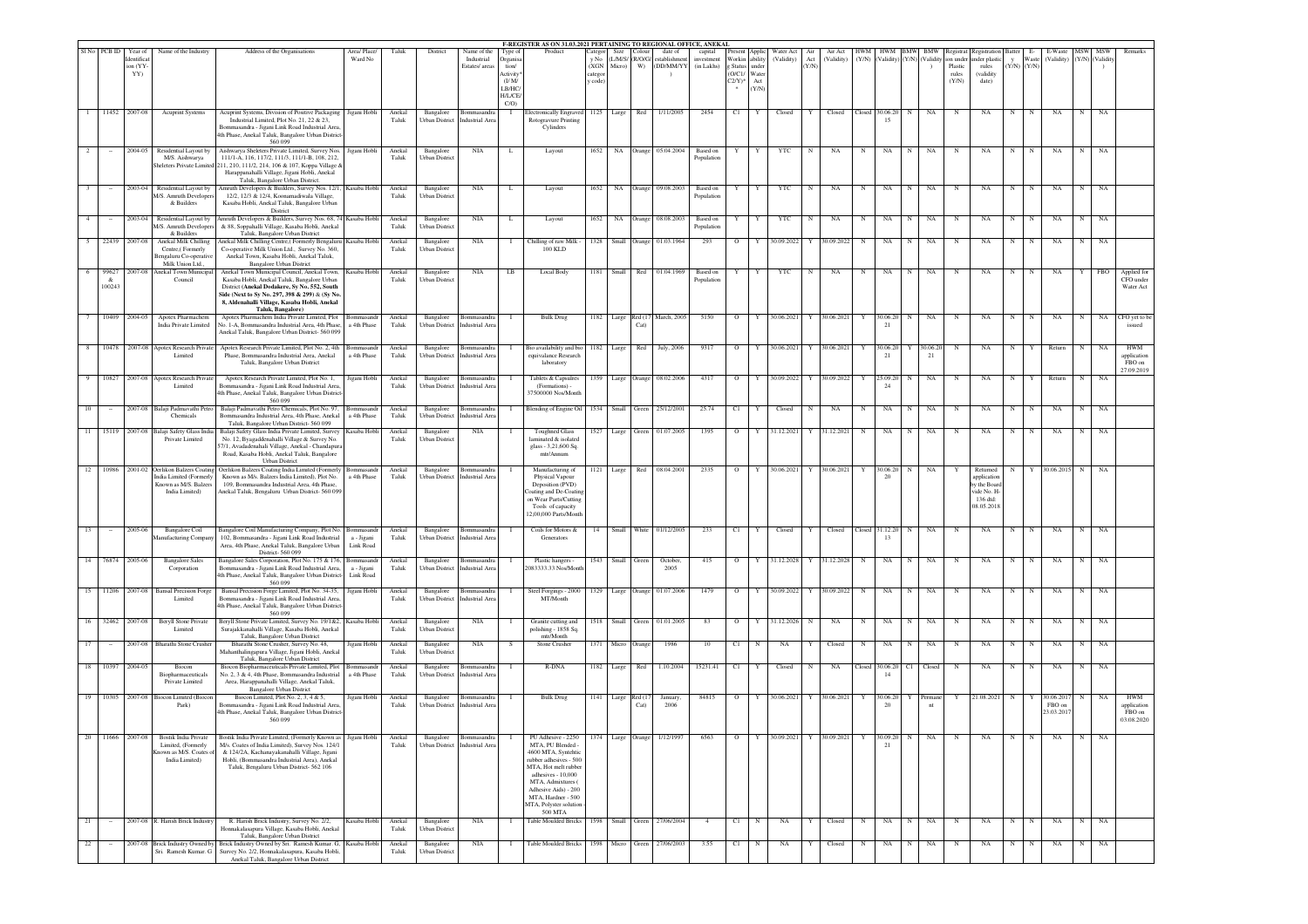| SI No        |                          |                                        |                                                       |                                                                                                                                                   |                           |                 |                                    |                                             |                                     | F-REGISTER AS ON 31.03.2021 PERTAINING TO REGIONAL OFFICE, ANEKAL |                    |                                                    |                                     |                                     |                                      |                  |                         |                   |             |                 |                |    |                            |                |                                                                                           |                       |                       |                       |                              |                           |
|--------------|--------------------------|----------------------------------------|-------------------------------------------------------|---------------------------------------------------------------------------------------------------------------------------------------------------|---------------------------|-----------------|------------------------------------|---------------------------------------------|-------------------------------------|-------------------------------------------------------------------|--------------------|----------------------------------------------------|-------------------------------------|-------------------------------------|--------------------------------------|------------------|-------------------------|-------------------|-------------|-----------------|----------------|----|----------------------------|----------------|-------------------------------------------------------------------------------------------|-----------------------|-----------------------|-----------------------|------------------------------|---------------------------|
|              |                          | PCB ID Year of<br>dentifica<br>ion (YY | Name of the Industry                                  | Address of the Organisations                                                                                                                      | Area/Place/<br>Ward No    | Taluk           | District                           | Name of the<br>Industrial<br>Estates/ areas | Type of<br><b>Organisa</b><br>tion/ | Product                                                           | Categor<br>y No    | Size Colour<br>(L/M/S/(R/O/G)<br>(XGN Micro)<br>W) | date of<br>stablishment<br>DD/MM/YY | capital<br>investment<br>(in Lakhs) | Present Applic<br>Workin<br>g Status | ability<br>under | Water Act<br>(Validity) | Air<br>Act<br>Y/N | (Validity)  | (Y/N)           |                |    | (Validity) (Y/N) (Validity | Plastic        | Air Act HWM HWM BMW BMW Registrat Registration Batter<br>ion under under plastic<br>rules | $\mathbf{v}$<br>(Y/N) | - E-<br>Waste<br>(Y/N | E-Waste<br>(Validity) | MSW MSW<br>(Y/N)<br>(Validit |                           |
|              |                          | YY)                                    |                                                       |                                                                                                                                                   |                           |                 |                                    |                                             | <b>Activity</b><br>(U M)            |                                                                   | categor<br>v code) |                                                    | $\rightarrow$                       |                                     | (O/C1/<br>$C2/Y$ <sup>*</sup>        | Water<br>Act     |                         |                   |             |                 |                |    |                            | rules<br>(Y/N) | (validity<br>date)                                                                        |                       |                       |                       |                              |                           |
|              |                          |                                        |                                                       |                                                                                                                                                   |                           |                 |                                    |                                             | LB/HC/                              |                                                                   |                    |                                                    |                                     |                                     |                                      | Y/N              |                         |                   |             |                 |                |    |                            |                |                                                                                           |                       |                       |                       |                              |                           |
|              |                          |                                        |                                                       |                                                                                                                                                   |                           |                 |                                    |                                             | H/L/CE/<br>$C/O$ )                  |                                                                   |                    |                                                    |                                     |                                     |                                      |                  |                         |                   |             |                 |                |    |                            |                |                                                                                           |                       |                       |                       |                              |                           |
| $\mathbf{1}$ |                          | 11452 2007-08                          | Acuprint Systems                                      | Acuprint Systems, Division of Positive Packaging<br>Industrial Limited, Plot No. 21, 22 & 23,                                                     | Jigani Hobli              | Anekal<br>Taluk | Bangalore<br><b>Urban District</b> | Bommasandr<br>ndustrial Area                | $\bf{I}$                            | Electronically Engraved 1125 Large<br>Rotogravure Printing        |                    | Red                                                | 1/11/2005                           | 2454                                | C1                                   | Y                | Closed                  | Y                 | Closed      | Closed          | 30.06.20<br>15 | N  | NA                         | $_{\rm N}$     | NA                                                                                        | N                     | $_{\rm N}$            | NA                    | $N$ $NA$                     |                           |
|              |                          |                                        |                                                       | Bommasandra - Jigani Link Road Industrial Area<br>4th Phase, Anekal Taluk, Bangalore Urban District                                               |                           |                 |                                    |                                             |                                     | Cylinders                                                         |                    |                                                    |                                     |                                     |                                      |                  |                         |                   |             |                 |                |    |                            |                |                                                                                           |                       |                       |                       |                              |                           |
|              |                          | 2004-05                                | Residential Layout by                                 | 560 099<br>Aishwarya Sheleters Private Limited, Survey Nos.                                                                                       | Jigani Hobli              | Anekal          | Bangalore                          | <b>NIA</b>                                  | L                                   | Layout                                                            |                    | 1652 NA<br>Orange                                  | 05.04.200                           | <b>Based</b> on                     |                                      |                  | <b>YTC</b>              |                   | NA          |                 | NA             |    | NA                         |                | NA                                                                                        |                       |                       | NA                    |                              |                           |
|              |                          |                                        | M/S. Aishwarya<br>heleters Private Limite             | 111/1-A, 116, 117/2, 111/3, 111/1-B, 108, 212,<br>211, 210, 111/2, 214, 106 & 107, Koppa Village &                                                |                           | Taluk           | <b>Urban District</b>              |                                             |                                     |                                                                   |                    |                                                    |                                     | Population                          |                                      |                  |                         |                   |             |                 |                |    |                            |                |                                                                                           |                       |                       |                       |                              |                           |
|              |                          |                                        |                                                       | Harappanahalli Village, Jigani Hobli, Anekal<br>Taluk, Bangalore Urban District.                                                                  |                           |                 |                                    |                                             |                                     |                                                                   |                    |                                                    |                                     |                                     |                                      |                  |                         |                   |             |                 |                |    |                            |                |                                                                                           |                       |                       |                       |                              |                           |
|              |                          |                                        | 2003-04 Residential Layout by<br>M/S. Amruth Develope | Amruth Developers & Builders, Survey Nos. 12/1, Kasaba Hobli<br>12/2, 12/3 & 12/4, Koonamadiwala Village,                                         |                           | Anckal<br>Taluk | Bangalore<br><b>Urban District</b> | <b>NIA</b>                                  | L                                   | Layout                                                            |                    |                                                    | 1652 NA Orange 09.08.2003           | Based on<br>Population              |                                      |                  | <b>YTC</b>              |                   | NA          |                 | NA             |    | NA                         |                | NA                                                                                        |                       |                       | NA                    |                              |                           |
|              |                          |                                        | & Builders                                            | Kasaba Hobli, Anekal Taluk, Bangalore Urban<br>District                                                                                           |                           |                 |                                    |                                             |                                     |                                                                   |                    |                                                    |                                     |                                     |                                      |                  |                         |                   |             |                 |                |    |                            |                |                                                                                           |                       |                       |                       |                              |                           |
| 4            | $\sim$                   |                                        | 2003-04 Residential Layout by                         | Amruth Developers & Builders, Survey Nos. 68, 74 Kasaba Hobli                                                                                     |                           | Anekal          | Bangalore<br><b>Urban Distric</b>  | NIA                                         | L                                   | Layout                                                            |                    | 1652 NA<br>Orange                                  | 08.08.2003                          | Based on                            |                                      |                  | YTC                     |                   | NA          | N               | NA             | N  | NA                         | N              | NA                                                                                        | N                     | N                     | NA                    | NA<br>N                      |                           |
|              |                          |                                        | M/S. Amruth Develope<br>& Builders                    | & 88, Soppahalli Village, Kasaba Hobli, Anekal<br>Taluk, Bangalore Urban District<br>Anekal Milk Chilling Centre.(Formerly Bengaluru Kasaba Hobli |                           | Taluk           |                                    |                                             |                                     |                                                                   |                    |                                                    |                                     | Population                          |                                      |                  |                         |                   |             |                 |                |    |                            |                |                                                                                           |                       |                       |                       |                              |                           |
| $5 -$        | 22439                    | 2007-08                                | Anekal Milk Chilling<br>Centre.(Formerly              | Co-operative Milk Union Ltd., Survey No. 360,                                                                                                     |                           | Anekal<br>Taluk | Bangalore<br><b>Urban District</b> | <b>NIA</b>                                  | -1                                  | Chilling of raw Milk<br>$100$ KLD                                 |                    | 1328 Small Orange                                  | 01.03.1964                          | 293                                 | $\circ$                              | Y                | 30.09.2022              | Y                 | 30.09.2022  | N               | <b>NA</b>      | N  | NA                         | N              | <b>NA</b>                                                                                 | N                     | $_{\rm N}$            | NA                    | NA<br>N                      |                           |
|              |                          |                                        | engaluru Co-operativ<br>Milk Union Ltd.,              | Anekal Town, Kasaba Hobli, Anekal Taluk<br><b>Bangalore Urban District</b>                                                                        |                           |                 |                                    |                                             |                                     |                                                                   |                    |                                                    |                                     |                                     |                                      |                  |                         |                   |             |                 |                |    |                            |                |                                                                                           |                       |                       |                       |                              |                           |
|              | 99627<br>$\mathcal{R}^r$ |                                        | 2007-08 Anekal Town Municipal<br>Council              | Anekal Town Municipal Council, Anekal Town,<br>Kasaba Hobli, Anekal Taluk, Bangalore Urban                                                        | Kasaba Hobli              | Anekal<br>Taluk | Bangalore<br><b>Urban District</b> | <b>NIA</b>                                  | LB                                  | Local Body                                                        |                    | 1181 Small<br>Red                                  | 01.04.1969                          | Based on<br>Population              |                                      |                  | <b>YTC</b>              |                   | $_{\rm NA}$ | N               | $_{\rm NA}$    | N  | $_{\rm NA}$                | N              | NA                                                                                        | N                     | N                     | NA                    | <b>FBO</b>                   | Applied for<br>CFO under  |
|              | 100243                   |                                        |                                                       | District (Anekal Dodakere, Sy No. 552, South<br>Side (Next to Sy No. 297, 398 & 299) & (Sy No.                                                    |                           |                 |                                    |                                             |                                     |                                                                   |                    |                                                    |                                     |                                     |                                      |                  |                         |                   |             |                 |                |    |                            |                |                                                                                           |                       |                       |                       |                              | Water Act                 |
|              |                          |                                        |                                                       | 8, Aldenahalli Village, Kasaba Hobli, Anekal<br>Taluk, Bangalore)                                                                                 |                           |                 |                                    |                                             |                                     |                                                                   |                    |                                                    |                                     |                                     |                                      |                  |                         |                   |             |                 |                |    |                            |                |                                                                                           |                       |                       |                       |                              |                           |
|              |                          | 10409 2004-05                          | Apotex Pharmachen<br>India Private Limited            | Apotex Pharmachem India Private Limited, Plot<br>No. 1-A, Bommasandra Industrial Area, 4th Phase,                                                 | a 4th Phase               | Anekal<br>Taluk | Bangalore<br>Urban District        | <b>Bommasandr</b><br>ndustrial Are          |                                     | <b>Bulk Drug</b>                                                  |                    | 1182 Large<br>Red (17<br>Cat)                      | March, 2005                         | 5150                                | $\circ$                              |                  | 30.06.2021              |                   | 30.06.2021  |                 | 30.06.20<br>21 |    | NA                         | N              | NA                                                                                        |                       |                       | NA                    | NA                           | CFO yet to b<br>issued    |
|              |                          |                                        |                                                       | Anekal Taluk, Bangalore Urban District- 560 099                                                                                                   |                           |                 |                                    |                                             |                                     |                                                                   |                    |                                                    |                                     |                                     |                                      |                  |                         |                   |             |                 |                |    |                            |                |                                                                                           |                       |                       |                       |                              |                           |
|              |                          |                                        | 10478 2007-08 Apotex Research Private<br>Limited      | Apotex Research Private Limited, Plot No. 2, 4th<br>Phase, Bommasandra Industrial Area, Anekal                                                    | Bommasand<br>a 4th Phase  | Anekal<br>Taluk | Bangalore<br><b>Urban District</b> | Bommasandra<br>ndustrial Are                |                                     | Bio availability and bio<br>equivalance Research                  |                    | 1182 Large<br>Red                                  | July, 2006                          | 9317                                |                                      |                  | 30.06.2021              |                   | 30.06.202   |                 | 80.06.2<br>21  |    | 0.06.2<br>21               |                | NA                                                                                        |                       |                       | Return                |                              | <b>HWM</b><br>application |
|              |                          |                                        |                                                       | Taluk. Bangalore Urban District                                                                                                                   |                           |                 |                                    |                                             |                                     | laboratory                                                        |                    |                                                    |                                     |                                     |                                      |                  |                         |                   |             |                 |                |    |                            |                |                                                                                           |                       |                       |                       |                              | FBO on<br>27.09.2019      |
|              |                          |                                        | 10827 2007-08 Apotex Research Private<br>Limited      | Apotex Research Private Limited, Plot No. 1,<br>Bommasandra - Jigani Link Road Industrial Area,                                                   | Jigani Hobli              | Anekal<br>Taluk | Bangalore<br><b>Urban District</b> | Bommasandra<br>ndustrial Area               |                                     | Tablets & Capsulres<br>(Formations)                               |                    | 1359 Large Orange                                  | 08.02.2006                          | 4317                                | $\circ$                              |                  | 30.09.2022              |                   | 30.09.2022  | Y               | 25.09.20<br>24 |    | $_{\rm NA}$                | N              | $_{\rm NA}$                                                                               | N                     |                       | Return                | NA<br>N                      |                           |
|              |                          |                                        |                                                       | 4th Phase, Anekal Taluk, Bangalore Urban District<br>560.099                                                                                      |                           |                 |                                    |                                             |                                     | 37500000 Nos/Montl                                                |                    |                                                    |                                     |                                     |                                      |                  |                         |                   |             |                 |                |    |                            |                |                                                                                           |                       |                       |                       |                              |                           |
| 10           | $\sim$                   |                                        | 2007-08 Balaji Padmavathi Petro<br>Chemicals          | Balaji Padmavathi Petro Chemicals, Plot No. 97,<br>Bommasandra Industrial Area, 4th Phase, Anekal                                                 | Bommasandı<br>a 4th Phase | Anekal<br>Taluk | Bangalore<br><b>Urban District</b> | Bommasandra<br>ndustrial Are                |                                     | Blending of Engine Oil                                            |                    | 1534 Small<br>Green                                | 25/12/2001                          | 25.74                               | C1                                   |                  | Closed                  |                   | $_{\rm NA}$ | N               | $_{\rm NA}$    | N  | $_{\rm NA}$                | N              | $_{\rm NA}$                                                                               | N                     | N                     | $_{\rm NA}$           | NA<br>N                      |                           |
|              |                          |                                        | 15119 2007-08 Balaji Safety Glass India               | Taluk Bangalore Urban District- 560 099                                                                                                           |                           |                 |                                    |                                             |                                     |                                                                   |                    |                                                    |                                     |                                     |                                      |                  |                         |                   |             |                 |                |    |                            |                |                                                                                           |                       |                       |                       |                              |                           |
| 11           |                          |                                        | Private Limited                                       | Balaji Safety Glass India Private Limited, Survey<br>No. 12, Byagaddenahalli Village & Survey No.                                                 | Kasaba Hobl               | Anekal<br>Taluk | Bangalore<br>Urban District        | $_{\rm NIA}$                                |                                     | <b>Toughned Glass</b><br>laminated & isolated                     | 1527               | Large<br>Green                                     | 01.07.2005                          | 1395                                | $\circ$                              |                  | 31.12.2021              |                   | 31.12.2021  |                 | $_{\rm NA}$    |    | NA                         |                | NA                                                                                        | N                     |                       | NA                    | NA                           |                           |
|              |                          |                                        |                                                       | 7/1, Avadadenahali Village, Anekal - Chandapura<br>Road, Kasaba Hobli, Anekal Taluk, Bangalore                                                    |                           |                 |                                    |                                             |                                     | glass - 3,21,600 Sq.<br>mtr/Annum                                 |                    |                                                    |                                     |                                     |                                      |                  |                         |                   |             |                 |                |    |                            |                |                                                                                           |                       |                       |                       |                              |                           |
| 12           | 10986                    |                                        | 2001-02 Oerlikon Balzers Coating                      | <b>Urban District</b><br>Oerlikon Balzers Coating India Limited (Formerly                                                                         | Bommasandr                | Anekal          | Bangalore                          | Bommasandra                                 |                                     | Manufacturing of                                                  | 1121               | Large<br>Red                                       | 08.04.200                           | 2335                                | $\circ$                              |                  | 30.06.2021              |                   | 30.06.2021  |                 | 0.06.20        |    |                            |                | Returned                                                                                  |                       |                       | 0.06.201              |                              |                           |
|              |                          |                                        | India Limited (Formerly<br>Known as M/S. Balzers      | Known as M/s. Balzers India Limited). Plot No.<br>109. Bommasandra Industrial Area, 4th Phase.                                                    | a 4th Phase               | Taluk           | <b>Urban District</b>              | Industrial Are                              |                                     | Physical Vapour<br>Deposition (PVD)                               |                    |                                                    |                                     |                                     |                                      |                  |                         |                   |             |                 | 20             |    |                            |                | application<br>by the Board                                                               |                       |                       |                       |                              |                           |
|              |                          |                                        | India Limited)                                        | Anekal Taluk, Bengaluru Urban District- 560 099                                                                                                   |                           |                 |                                    |                                             |                                     | oating and De-Coatin<br>on Wear Parts/Cutting                     |                    |                                                    |                                     |                                     |                                      |                  |                         |                   |             |                 |                |    |                            |                | vide No. H<br>136 dtd:                                                                    |                       |                       |                       |                              |                           |
|              |                          |                                        |                                                       |                                                                                                                                                   |                           |                 |                                    |                                             |                                     | Tools of capacity<br>12,00,000 Parts/Montl                        |                    |                                                    |                                     |                                     |                                      |                  |                         |                   |             |                 |                |    |                            |                | 08.05.201                                                                                 |                       |                       |                       |                              |                           |
| 13           | $\sim$                   | 2005-06                                | <b>Bangalore Coil</b>                                 | Bangalore Coil Manufacturing Company, Plot No.                                                                                                    | Bommasandr                | Anckal          | Bangalore                          | Bommasandra                                 | $\mathbf{I}$                        | Coils for Motors &                                                |                    | White<br>14 Small                                  | 01/12/2005                          | 233                                 | C1                                   | Y                | Closed                  | Y                 | Closed      | Closed 31.12.20 |                | N  | NA                         | $_{\rm N}$     | NA                                                                                        | N                     | $_{\rm N}$            | NA                    | NA<br>N                      |                           |
|              |                          |                                        | lanufacturing Compa                                   | 102. Bommasandra - Jigani Link Road Industrial<br>Area, 4th Phase, Anekal Taluk, Bangalore Urban                                                  | a - Jigani<br>Link Road   | Taluk           | <b>Urban District</b>              | ndustrial Are                               |                                     | Generators                                                        |                    |                                                    |                                     |                                     |                                      |                  |                         |                   |             |                 | 13             |    |                            |                |                                                                                           |                       |                       |                       |                              |                           |
| 14           |                          | 76874 2005-06                          | <b>Bangalore Sales</b>                                | District- 560 099<br>Bangalore Sales Corporation, Plot No. 175 & 176,                                                                             | Bommasand                 | Anckal          | Bangalore                          | Bommasandra                                 |                                     | Plastic hangers -                                                 |                    | 1543 Small Green                                   | October.                            | 415                                 | $\circ$                              |                  | 31.12.2028              |                   | 31.12.2028  | N               | NA             |    | NA                         |                | NA                                                                                        |                       |                       | NA                    |                              |                           |
|              |                          |                                        | Corporation                                           | Bommasandra - Jigani Link Road Industrial Area,<br>4th Phase, Anekal Taluk, Bangalore Urban District                                              | a - Jigani<br>Link Road   | Taluk           | <b>Urban District</b>              | <b>Industrial Area</b>                      |                                     | 2083333.33 Nos/Mor                                                |                    |                                                    | 2005                                |                                     |                                      |                  |                         |                   |             |                 |                |    |                            |                |                                                                                           |                       |                       |                       |                              |                           |
| 15           |                          |                                        | 11206 2007-08 Bansal Precision Forge                  | 560 099<br>Bansal Precision Forge Limited, Plot No. 34-35,                                                                                        | Jigani Hobli              | Anckal          | Bangalore                          | Bommasandra                                 |                                     | Steel Forgings - 2000                                             |                    | 1329 Large Orange                                  | 01.07.2006                          | 1479                                | $\circ$                              |                  | 30.09.2022              |                   | 30.09.2022  |                 | NA             |    | NA.                        |                | NA                                                                                        |                       |                       | NA                    |                              |                           |
|              |                          |                                        | Limited                                               | Bommasandra - Jigani Link Road Industrial Area<br>4th Phase, Anekal Taluk, Bangalore Urban District                                               |                           | Taluk           | <b>Urban District</b>              | ndustrial Are                               |                                     | MT/Month                                                          |                    |                                                    |                                     |                                     |                                      |                  |                         |                   |             |                 |                |    |                            |                |                                                                                           |                       |                       |                       |                              |                           |
| 16           |                          | 32462 2007-08                          | <b>Beryll Stone Private</b>                           | 560 099<br>Beryll Stone Private Limited, Survey No. 19/1&2,                                                                                       | Kasaba Hobli              | Anekal          | Bangalore                          | <b>NIA</b>                                  |                                     | Granite cutting and                                               |                    | 1518 Small Green                                   | 01.01.2005                          | -83                                 | $\circ$                              |                  | 31.12.2026              |                   | NA          | N               | NA             |    | NA                         | N              | NA                                                                                        | N                     |                       | NA                    | NA                           |                           |
|              |                          |                                        | Limited                                               | Surajakkanahalli Village, Kasaba Hobli, Anekal<br>Taluk, Bangalore Urban District                                                                 |                           | Taluk           | <b>Urban District</b>              |                                             |                                     | polishing - 1858 Sq.<br>mtr/Month                                 |                    |                                                    |                                     |                                     |                                      |                  |                         |                   |             |                 |                |    |                            |                |                                                                                           |                       |                       |                       |                              |                           |
|              |                          |                                        | 2007-08 Bharathi Stone Crusher                        | Bharathi Stone Crusher, Survey No. 48,<br>Mahanthalingapura Village, Jigani Hobli, Anekal                                                         | Jigani Hobli              | Anekal<br>Taluk | Bangalore<br><b>Urban District</b> | <b>NIA</b>                                  |                                     | Stone Crusher                                                     |                    | 1371 Micro<br>Orange                               | 1986                                | 10                                  | C1                                   |                  | NA                      |                   | Closed      |                 | NA             |    | NA                         |                | NA                                                                                        | N                     |                       | NA                    | NA                           |                           |
| 18           | 10397                    | 2004-05                                | Biocon                                                | Taluk, Bangalore Urban District<br>Biocon Biopharmaceuticals Private Limited, Plot                                                                |                           | Anekal          | Bangalore                          | <b>Bommasandr</b>                           |                                     | R-DNA                                                             |                    | 1182 Large<br>Red                                  | 1.10.2004                           | 15231.41                            | Cl                                   |                  | Closed                  |                   | NA          | Closed          | 30.06.20       | Сl | Closed                     | N              | NA                                                                                        | N                     |                       | NA                    | NA                           |                           |
|              |                          |                                        | Biopharmaceuticals<br>Private Limited                 | No. 2, 3 & 4, 4th Phase, Bommasandra Industrial<br>Area, Harappanahalli Village, Anekal Taluk,                                                    | a 4th Phase               | Taluk           | <b>Urban District</b>              | ndustrial Are                               |                                     |                                                                   |                    |                                                    |                                     |                                     |                                      |                  |                         |                   |             |                 | 14             |    |                            |                |                                                                                           |                       |                       |                       |                              |                           |
|              |                          |                                        |                                                       | <b>Bangalore Urban District</b>                                                                                                                   |                           |                 |                                    |                                             |                                     |                                                                   |                    |                                                    |                                     |                                     |                                      |                  |                         |                   |             |                 |                |    |                            |                |                                                                                           |                       |                       |                       |                              |                           |
| 19           |                          |                                        | 10305 2007-08 Biocon Limited (Biocon<br>Park)         | Biocon Limited, Plot No. 2, 3, 4 & 5,<br>Bommasandra - Jigani Link Road Industrial Area,                                                          | Jigani Hobli              | Anekal<br>Taluk | Bangalore<br><b>Urban District</b> | Bommasandra<br>ndustrial Are                | л.                                  | <b>Bulk Drug</b>                                                  |                    | 1141 Large<br>Red (1)<br>Cat)                      | January,<br>2006                    | 84815                               | $\circ$                              |                  | 30.06.2021              |                   | 30.06.2021  | Y               | 30.06.20<br>20 |    | ermano<br>nt               |                | 21.08.2021                                                                                | N                     |                       | 0.06.2017<br>FBO on   | NA                           | <b>HWM</b><br>application |
|              |                          |                                        |                                                       | 4th Phase, Anekal Taluk, Bangalore Urban District<br>560.099                                                                                      |                           |                 |                                    |                                             |                                     |                                                                   |                    |                                                    |                                     |                                     |                                      |                  |                         |                   |             |                 |                |    |                            |                |                                                                                           |                       |                       | 23.03.201             |                              | FBO on<br>03.08.2020      |
| $20 -$       |                          |                                        | 11666 2007-08 Rostik India Private                    | Bostik India Private Limited (Formerly Known as                                                                                                   |                           |                 |                                    |                                             |                                     |                                                                   |                    |                                                    |                                     |                                     |                                      |                  |                         |                   | 30.09.20    |                 |                |    |                            |                |                                                                                           |                       |                       |                       |                              |                           |
|              |                          |                                        | Limited, (Formerly<br>nown as M/S. Coates             | M/s. Coates of India Limited). Survey Nos. 124/1<br>& 124/2A, Kachanayakanahalli Village, Jigani                                                  |                           | Taluk           |                                    | Urban District Industrial Area              |                                     | MTA, PU Blended -<br>4600 MTA, Syntehtic                          |                    |                                                    |                                     |                                     |                                      |                  |                         |                   |             |                 | 21             |    |                            |                |                                                                                           |                       |                       |                       |                              |                           |
|              |                          |                                        | India Limited)                                        | Hobli, (Bommasandra Industrial Area), Anekal<br>Taluk, Bengaluru Urban District- 562 106                                                          |                           |                 |                                    |                                             |                                     | rubber adhesives - 500<br>MTA, Hot melt rubber                    |                    |                                                    |                                     |                                     |                                      |                  |                         |                   |             |                 |                |    |                            |                |                                                                                           |                       |                       |                       |                              |                           |
|              |                          |                                        |                                                       |                                                                                                                                                   |                           |                 |                                    |                                             |                                     | adhesives - 10,000<br>MTA, Admixtures (                           |                    |                                                    |                                     |                                     |                                      |                  |                         |                   |             |                 |                |    |                            |                |                                                                                           |                       |                       |                       |                              |                           |
|              |                          |                                        |                                                       |                                                                                                                                                   |                           |                 |                                    |                                             |                                     | Adhesive Aids) - 200<br>MTA, Hardner - 500                        |                    |                                                    |                                     |                                     |                                      |                  |                         |                   |             |                 |                |    |                            |                |                                                                                           |                       |                       |                       |                              |                           |
|              |                          |                                        |                                                       |                                                                                                                                                   |                           |                 |                                    |                                             |                                     | MTA, Polyster solutio<br>500 MTA                                  |                    |                                                    |                                     |                                     |                                      |                  |                         |                   |             |                 |                |    |                            |                |                                                                                           |                       |                       |                       |                              |                           |
| 21           |                          |                                        | 2007-08 R. Harish Brick Industry                      | R. Harish Brick Industry, Survey No. 2/2,<br>Honnakalasapura Village, Kasaba Hobli, Anekal                                                        | Kasaba Hobli              | Anekal<br>Taluk | Bangalore<br><b>Urban District</b> | <b>NIA</b>                                  | $\mathbf{I}$                        | <b>Table Moulded Bricks</b>                                       |                    | 1598 Small Green                                   | 27/06/2004                          | $\overline{4}$                      | C1                                   | $_{\rm N}$       | <b>NA</b>               |                   | Closed      | $_{\rm N}$      | NA             | N  | <b>NA</b>                  | N              | NA                                                                                        | N                     | $_{\rm N}$            | <b>NA</b>             | $_{\rm N}$<br>NA             |                           |
| 22           | $\sim$                   |                                        |                                                       | Taluk, Bangalore Urban District<br>2007-08 Brick Industry Owned by Brick Industry Owned by Sri. Ramesh Kumar. G, Kasaba Hobli                     |                           | Anekal          | Bangalore                          | <b>NIA</b>                                  |                                     | Table Moulded Bricks 1598 Micro Green                             |                    |                                                    | 27/06/2003                          | 3.55                                | C1                                   | N                | $_{\rm NA}$             |                   | Closed      | N               | $_{\rm NA}$    | N  | $_{\rm NA}$                | $_{\rm N}$     | $_{\rm NA}$                                                                               | $_{\rm N}$            | N                     | $_{\rm NA}$           | N<br>NA                      |                           |
|              |                          |                                        | Sri. Ramesh Kumar. G                                  | Survey No. 2/2, Honnakalasapura, Kasaba Hobli,<br>Anekal Taluk, Bangalore Urban District                                                          |                           | Taluk           | <b>Urban District</b>              |                                             |                                     |                                                                   |                    |                                                    |                                     |                                     |                                      |                  |                         |                   |             |                 |                |    |                            |                |                                                                                           |                       |                       |                       |                              |                           |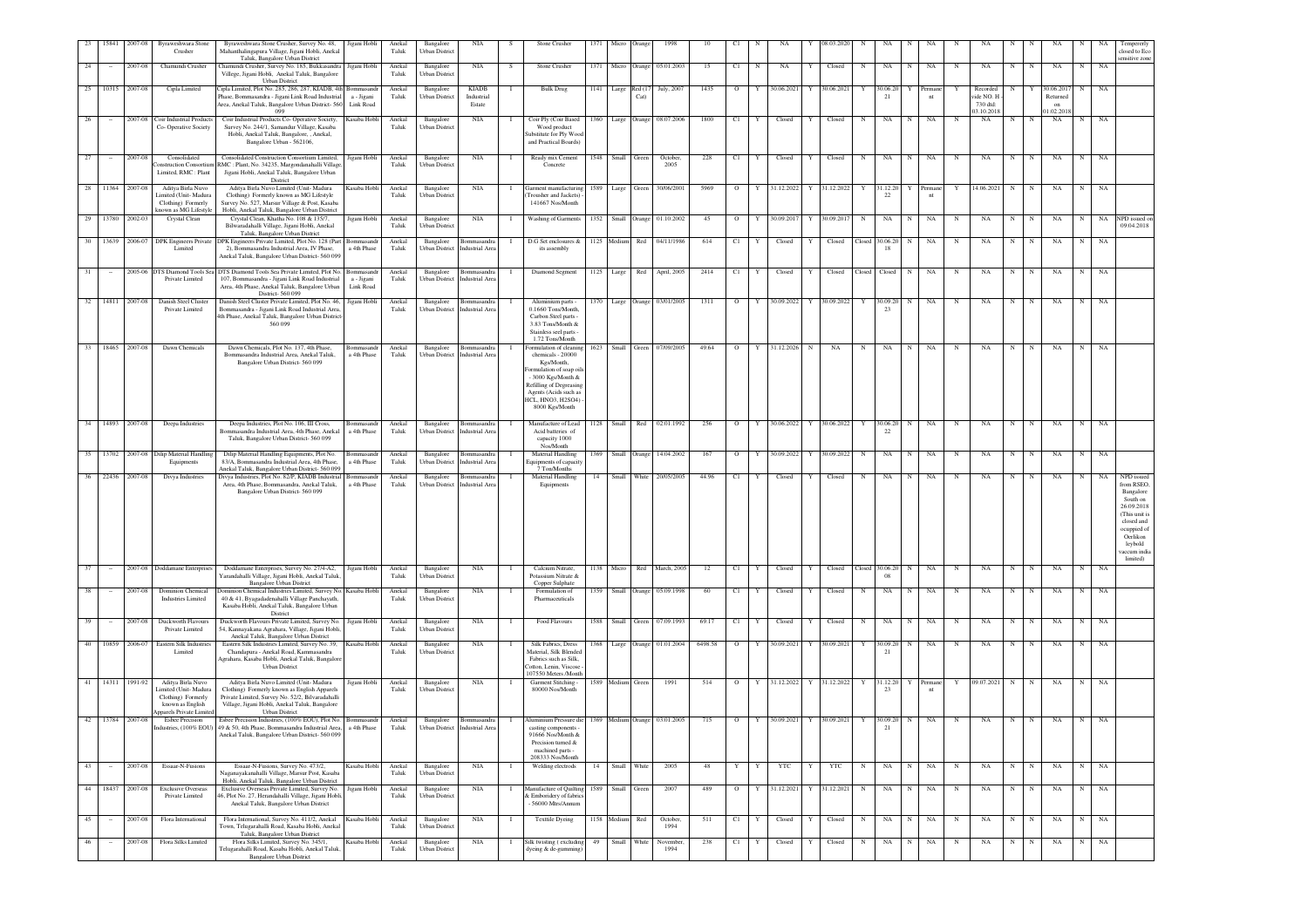| 23 |        | 15841 2007-08    | Byraweshwara Stone<br>Crusher                                                                                   | Byraweshwara Stone Crusher, Survey No. 48,<br>Mahanthalingapura Village, Jigani Hobli, Anekal<br>Taluk, Bangalore Urban District                                                                                       | Jigani Hobli              | Anekal<br>Taluk | Bangalore<br><b>Urban Distric</b>  | NIA                                   |              | Stone Crusher                                                                                                                                                                                      |      | 1371 Micro Orang             | 1998              | 10      | C1      | N | NA                      |   | 08.03.2020   |        | NA              |              | NA            |   | NA                                              |   |            | NA                                     | NA        | Tempererly<br>closed to Eco<br>ensitive zone                                                                                                                   |
|----|--------|------------------|-----------------------------------------------------------------------------------------------------------------|------------------------------------------------------------------------------------------------------------------------------------------------------------------------------------------------------------------------|---------------------------|-----------------|------------------------------------|---------------------------------------|--------------|----------------------------------------------------------------------------------------------------------------------------------------------------------------------------------------------------|------|------------------------------|-------------------|---------|---------|---|-------------------------|---|--------------|--------|-----------------|--------------|---------------|---|-------------------------------------------------|---|------------|----------------------------------------|-----------|----------------------------------------------------------------------------------------------------------------------------------------------------------------|
| 24 |        | 2007-08          | Chamundi Crusher                                                                                                | Chamundi Crusher, Survey No. 185, Bukkasandra Jigani Hobli<br>Villege, Jigani Hobli, Anekal Taluk, Bangalore<br><b>Urban District</b>                                                                                  |                           | Anckal<br>Taluk | Bangalore<br><b>Urban District</b> | <b>NIA</b>                            |              | Stone Crusher                                                                                                                                                                                      |      | 1371 Micro Orange            | 05.01.2003        | -15     | C1      | N | NA                      |   | Closed       | N      | NA              | N            | NA            | N | NA                                              | N | N          | NA                                     | NA        |                                                                                                                                                                |
| 25 |        | 10315 2007-08    | Cipla Limited                                                                                                   | Cipla Limited, Plot No. 285, 286, 287, KIADB, 4th Bommasandr<br>Phase, Bommasandra - Jigani Link Road Industrial<br>Area, Anekal Taluk, Bangalore Urban District- 560<br>099                                           | a - Jigani<br>Link Road   | Anekal<br>Taluk | Bangalore<br><b>Urban District</b> | <b>KIADB</b><br>Industrial<br>Estate  | л.           | <b>Bulk Drug</b>                                                                                                                                                                                   |      | 1141 Large Red (1)<br>Cat)   | July, 2007        | 1435    | $\circ$ |   | 30.06.2021              |   | 30.06.2021   |        | 30.06.20<br>21  |              | Permano<br>nt |   | Recorded<br>vide NO. H<br>730 dtd<br>03.10.2018 |   |            | 0.06.20<br>Returned<br>on<br>1.02.2018 | NA        |                                                                                                                                                                |
| 26 |        |                  | 2007-08 Coir Industrial Products<br>Co-Operative Society                                                        | Coir Industrial Products Co-Operative Society,<br>Survey No. 244/1, Samandur Village, Kasaba<br>Hobli, Anekal Taluk, Bangalore, , Anekal,<br>Bangalore Urban - 562106,                                                 | Kasaba Hobli              | Anekal<br>Taluk | Bangalore<br><b>Urban District</b> | NIA                                   |              | Coir Ply (Coir Based<br>Wood product<br>ubstitute for Ply Woo<br>and Practical Boards                                                                                                              |      | 1360 Large Orange            | 08.07.2006        | 1800    | C1      | Y | Closed                  |   | Closed       | N      | NA              | N            | NA            | N | NA                                              | N | N          | NA                                     | NA        |                                                                                                                                                                |
| 27 | $\sim$ | 2007-08          | Consolidated<br>onstruction Consorti<br>Limited, RMC : Plant                                                    | Consolidated Construction Consortium Limited,<br>RMC: Plant, No. 34235, Margondanahalli Village<br>Jigani Hobli, Anekal Taluk, Bangalore Urban<br>District                                                             | Jigani Hobli              | Anekal<br>Taluk | Bangalore<br><b>Urban Distric</b>  | <b>NIA</b>                            | -1           | Ready mix Cement<br>Concrete                                                                                                                                                                       |      | 1548 Small Green             | October<br>2005   | 228     | C1      | Y | Closed                  | Y | Closed       | N      | NA              | $_{\rm N}$   | NA            | N | NA                                              | N | N          | NA                                     | NA<br>N   |                                                                                                                                                                |
| 28 |        | 11364 2007-08    | Aditya Birla Nuvo<br>Limited (Unit-Madura<br>Clothing) Formerly<br>known as MG Lifestyle                        | Aditva Birla Nuvo Limited (Unit- Madura<br>Clothing) Formerly known as MG Lifestyle<br>survey No. 527, Marsur Village & Post, Kasaba<br>Hobli, Anekal Taluk, Bangalore Urban District                                  | Kasaba Hobli              | Anekal<br>Taluk | Bangalore<br><b>Urban District</b> | <b>NIA</b>                            |              | Garment manufacturing<br>Trousher and Jackets)<br>141667 Nos/Month                                                                                                                                 |      | 1589 Large Green             | 30/06/2001        | 5969    | $\circ$ | Y | 31.12.2022              | Y | 31.12.2022   |        | 31.12.20<br>22  |              | Perman        |   | 14.06.2021                                      | N | N          | NA                                     | NA        |                                                                                                                                                                |
|    |        | 29 13780 2002-03 | Crystal Clean                                                                                                   | Crystal Clean, Khatha No. 108 & 135/7,<br>Bilwaradahalli Village, Jigani Hobli, Anekal<br>Taluk, Bangalore Urban District                                                                                              | Jigani Hobli              | Anekal<br>Taluk | Bangalore<br><b>Urban Distric</b>  | <b>NIA</b>                            |              | Washing of Garments                                                                                                                                                                                |      | 1352 Small Orange            | 01.10.2002        | 45      | $\circ$ |   | 30.09.2017              |   | 30.09.2017   | N      | NA              | N            | NA            | N | NA                                              | N |            | NA                                     | NA        | NPD issued o<br>09.04.2018                                                                                                                                     |
| 30 |        |                  | 13639 2006-07 DPK Engineers Private<br>Limited                                                                  | DPK Engineers Private Limited, Plot No. 128 (Part Bommasand<br>2), Bommasandra Industrial Area, IV Phase,<br>Anekal Taluk, Bangalore Urban District- 560 099                                                           | a 4th Phase               | Anckal<br>Taluk | Bangalore<br><b>Urban District</b> | Bommasandra<br>Industrial Are         | л.           | D.G Set enclosures &<br>its assembly                                                                                                                                                               |      | 1125 Medium Red              | 04/11/1986        | 614     | C1      |   | Closed                  |   | Closed       | Closed | 30.06.20<br>18  | N            | NA            | N | NA                                              | N | N          | NA                                     | NA        |                                                                                                                                                                |
| 31 |        |                  | Private Limited                                                                                                 | 2005-06 DTS Diamond Tools Sea DTS Diamond Tools Sea Private Limited, Plot No. Bommasandr<br>107, Bommasandra - Jigani Link Road Industrial<br>Area, 4th Phase, Anekal Taluk, Bangalore Urban<br>District- 560 099      | a - Jigani<br>Link Road   | Anckal<br>Taluk | Bangalore<br><b>Urban District</b> | Bommasandra<br><b>Industrial Area</b> |              | <b>Diamond Segment</b>                                                                                                                                                                             |      | 1125 Large Red               | April, 2005       | 2414    | C1      |   | Closed                  |   | Closed       |        | Closed Closed   | N            | NA            | N | NA                                              |   |            | NA                                     | <b>NA</b> |                                                                                                                                                                |
| 32 |        | 14811 2007-08    | Danish Steel Cluster<br>Private Limited                                                                         | Danish Steel Cluster Private Limited, Plot No. 46.<br>Bommasandra - Jigani Link Road Industrial Area<br>4th Phase, Anekal Taluk, Bangalore Urban District<br>560 099                                                   | Jigani Hobli              | Anekal<br>Taluk | Bangalore<br><b>Urban District</b> | Bommasandra<br>Industrial Are         |              | Aluminium parts -<br>0.1660 Tons/Month<br>Carbon Steel parts<br>3.83 Tons/Month &<br>Stainless seel parts<br>1.72 Tons/Month                                                                       |      | 1370 Large Orange            | 03/01/2005        | 1311    | $\circ$ |   | 30.09.2022              |   | 30.09.2022   |        | 30.09.20<br>23  |              | NA            |   | NA                                              |   |            | NA.                                    | NA        |                                                                                                                                                                |
| 33 | 18465  | 2007-08          | Dawn Chemicals                                                                                                  | Dawn Chemicals, Plot No. 137, 4th Phase,<br>Bommasandra Industrial Area, Anekal Taluk,<br>Bangalore Urban District- 560 099                                                                                            | Bommasandr<br>a 4th Phase | Anekal<br>Taluk | Bangalore<br><b>Urban District</b> | Bommasandra<br><b>Industrial Area</b> |              | Formulation of cleaning<br>chemicals - 20000<br>Kgs/Month.<br>ormulation of soap oil<br>3000 Kgs/Month &<br>Refilling of Degreasing<br>Agents (Acids such as<br>HCL, HNO3, H2SO4<br>8000 Kgs/Month | 1623 | Small<br>Green               | 07/09/2005        | 49.64   | $\circ$ | Y | 31.12.2026              | N | NA           | N      | NA              | N            | $_{\rm NA}$   | N | NA                                              | N | N          | NA                                     | NA        |                                                                                                                                                                |
| 34 |        | 14893 2007-08    | Deepa Industries                                                                                                | Deepa Industries, Plot No. 106, III Cross,<br>sandra Industrial Area, 4th Phase, Anekal<br>Taluk, Bangalore Urban District- 560 099                                                                                    | Bommasandr<br>a 4th Phase | Anekal<br>Taluk | Bangalore<br><b>Urban District</b> | Bommasandra<br>ndustrial Area         | $\mathbf{I}$ | Manufacture of Lead<br>Acid batteries of<br>capacity 1000<br>Nos/Month                                                                                                                             |      | 1128 Small Red               | 02.01.1992        | 256     | $\circ$ | Y | 30.06.2022 Y 30.06.2022 |   |              | Y      | 30.06.20<br>22  | $\mathbb{N}$ | NA            | N | NA                                              | N | N          | NA                                     | NA<br>N   |                                                                                                                                                                |
| 35 |        |                  | 13702 2007-08 Dilip Material Handling<br>Equipments                                                             | Dilip Material Handling Equipments, Plot No.<br>83/A, Bommasandra Industrial Area, 4th Phase,<br>Anekal Taluk, Bangalore Urban District- 560 099                                                                       | Bommasand<br>a 4th Phase  | Anekal<br>Taluk | Bangalore<br><b>Urban District</b> | Bommasandra<br>Industrial Area        |              | <b>Material Handling</b><br><b>Equipments</b> of capacit<br>7 Ton/Months                                                                                                                           |      | 1369 Small Orange            | 14.04.2002        | 167     | $\circ$ |   | 30.09.2022              | Y | 30.09.2022   | N      | $_{\rm NA}$     | N            | $_{\rm NA}$   | N | NA                                              | N | N          | NA                                     | NA<br>N   |                                                                                                                                                                |
| 36 |        | 22436 2007-08    | Divya Industries                                                                                                | Divya Industries, Plot No. 82/P, KIADB Industrial Bommasandr<br>Area, 4th Phase, Bommasandra, Anekal Taluk,<br>Bangalore Urban District- 560 099                                                                       | a 4th Phase               | Anekal<br>Taluk | Bangalore<br><b>Urban District</b> | Bommasandra<br><b>Industrial Are</b>  |              | Material Handling<br>Equipments                                                                                                                                                                    |      | 14 Small White               | 20/05/2005        | 44.96   | C1      |   | Closed                  |   | Closed       |        | NA              | N            | NA            | N | NA                                              | N | N          | NA                                     | NA        | NPD issued<br>from RSEO,<br>Bangalore<br>South on<br>26.09.2018<br>(This unit i<br>closed and<br>ocuppied of<br>Oerlikon<br>levbold<br>accum india<br>limited) |
| 37 |        |                  | 2007-08 Doddamane Enterprises                                                                                   | Doddamane Enterprises, Survey No. 27/4-A2,<br>Yarandahalli Village, Jigani Hobli, Anekal Taluk,<br><b>Bangalore Urban District</b>                                                                                     | Jigani Hobli              | Anekal<br>Taluk | Bangalore<br><b>Urban District</b> | NIA                                   |              | Calcium Nitrate,<br>Potassium Nitrate &<br>Copper Sulphate                                                                                                                                         |      | 1138 Micro                   | Red March, 2005   | 12      | Cl      |   | Closed                  |   | Closed       |        | Closed 30.06.20 | N            | NA            | N | NA                                              | N | $_{\rm N}$ | NA                                     | N NA      |                                                                                                                                                                |
| 38 |        | 2007-08          | <b>Dominion Chemical</b><br><b>Industries Limited</b>                                                           | Dominion Chemical Industries Limited, Survey No. Kasaba Hobli<br>40 & 41, Byagadadenahalli Village Panchayath,<br>Kasaba Hobli, Anekal Taluk, Bangalore Urban<br>District                                              |                           | Anekal<br>Taluk | Bangalore<br><b>Urban Distric</b>  | <b>NIA</b>                            |              | Formulation of<br>Pharmaceuticals                                                                                                                                                                  | 1359 | Small Orange                 | 05.09.1998        | -60     | C1      |   | Closed                  |   | Closed       |        | NA              |              | NA            | N | NA                                              | N |            | NA                                     | NA        |                                                                                                                                                                |
| 39 |        | 2007-08          | Duckworth Flavour<br>Private Limited                                                                            | Duckworth Flavours Private Limited, Survey No. Jigani Hobli<br>54, Kannayakana Agrahara, Village, Jigani Hobli,<br>Anekal Taluk, Bangalore Urban District                                                              |                           | Anekal<br>Taluk | Bangalore<br><b>Urban Distric</b>  | NIA                                   | <b>I</b>     | Food Flavours                                                                                                                                                                                      |      | 1588 Small Green             | 07.09.1993        | 69.17   | C1      |   | Closed                  |   | Closed       | N      | NA              | N            | NA            | N | NA                                              | N |            | NA                                     | NA        |                                                                                                                                                                |
| 40 |        | 10859 2006-07    | <b>Eastern Silk Industries</b><br>Limited                                                                       | Eastern Silk Industries Limited, Survey No. 39,<br>Chandapura - Anekal Road, Kammasandra<br>Agrahara, Kasaba Hobli, Anekal Taluk, Bangalore<br><b>Urban District</b>                                                   | Kasaba Hobli              | Anekal<br>Taluk | Bangalore<br><b>Urban District</b> | <b>NIA</b>                            |              | Silk Fabrics, Dress<br>Material, Silk Blended<br>Fabrics such as Silk.<br>Cotton, Lenin, Viscose<br>07550 Meters /Month                                                                            |      | 1368 Large Orange 01.01.2004 |                   | 6498.58 | $\circ$ |   | 30.09.2021              |   | 30.09.2021   |        | 30.09.20<br>21  |              | NA            | N | NA                                              |   |            | NA                                     | NA.       |                                                                                                                                                                |
|    |        | 41 14311 1991-92 | Aditya Birla Nuvo<br>Limited (Unit- Madura<br>Clothing) Formerly<br>known as English<br>Apparels Private Limite | Aditya Birla Nuvo Limited (Unit- Madura<br>Clothing) Formerly known as English Apparels<br>Private Limited, Survey No. 52/2, Bilvaradahalli<br>Village, Jigani Hobli, Anekal Taluk, Bangalore<br><b>Urban District</b> | Jigani Hobli              | Anekal<br>Taluk | Bangalore<br><b>Urban Distric</b>  | $_{\rm NIA}$                          |              | Garment Stitching<br>80000 Nos/Month                                                                                                                                                               |      | 1589 Medium Green            | 1991              | 514     | $\circ$ |   | 31.12.2022              |   | 31.12.2022   |        | 31.12.20<br>23  |              | Perman        |   | 09.07.2021                                      |   | N          | NA                                     | NA        |                                                                                                                                                                |
| 42 |        | 13784 2007-08    | <b>Esbee Precision</b><br>Industries, (100% EOU                                                                 | Esbee Precision Industries, (100% EOU), Plot No. Bommasandr<br>49 & 50, 4th Phase, Bommasandra Industrial Area.<br>Anekal Taluk, Bangalore Urban District- 560 099                                                     | a 4th Phase               | Anekal<br>Taluk | Bangalore<br><b>Urban District</b> | Bommasandra<br><b>Industrial Area</b> |              | Aluminium Pressure die<br>casting components<br>91666 Nos/Month &<br>Precision turned &<br>machined parts -<br>208333 Nos/Month                                                                    |      | 1369 Medium Orange           | 03.01.2005        | 715     | $\circ$ | Y | 30.09.2021              |   | 30.09.2021   |        | 30.09.20<br>21  | N            | NA            | N | NA                                              | N | N          | NA                                     | NA        |                                                                                                                                                                |
| 43 |        | 2007-08          | Essaar-N-Fusions                                                                                                | Essaar-N-Fusions, Survey No. 473/2.<br>Naganayakanahalli Village, Marsur Post, Kasaba<br>Hobli, Anekal Taluk, Bangalore Urban District                                                                                 | Kasaba Hobli              | Anckal<br>Taluk | Bangalore<br><b>Urban District</b> | <b>NIA</b>                            |              | Welding electrods                                                                                                                                                                                  | 14   | Small White                  | 2005              | 48      |         |   | <b>YTC</b>              |   | YTC          |        | NA              | N            | NA            |   | <b>NA</b>                                       |   |            | NA                                     | <b>NA</b> |                                                                                                                                                                |
|    |        | 44 18437 2007-08 | <b>Exclusive Overseas</b><br>Private Limited                                                                    | Exclusive Overseas Private Limited, Survey No.<br>46, Plot No. 27, Herandahalli Village, Jigani Hobli,<br>Anekal Taluk, Bangalore Urban District                                                                       | Jigani Hobli              | Anckal<br>Taluk | Bangalore<br><b>Urban District</b> | <b>NIA</b>                            | - 1          | Manufacture of Ouilting 1589 Small Green<br>& Emboridery of fabrics<br>56000 Mtrs/Annun                                                                                                            |      |                              | 2007              | 489     | $\circ$ | Y | 31.12.2021              |   | Y 31.12.2021 | N      | NA              | N            | NA            | N | NA                                              | N | $_{\rm N}$ | NA                                     | NA        |                                                                                                                                                                |
| 45 | $\sim$ | 2007-08          | Flora International                                                                                             | Flora International, Survey No. 411/2, Anekal<br>Town, Telugarahalli Road, Kasaba Hobli, Anekal<br>Taluk, Bangalore Urban District                                                                                     | Kasaba Hobli              | Anekal<br>Taluk | Bangalore<br><b>Urban Distric</b>  | <b>NIA</b>                            | $\mathbf{I}$ | <b>Texttile Dyeing</b>                                                                                                                                                                             |      | 1158 Medium Red              | October.<br>1994  | 511     | C1      | Y | Closed                  |   | Closed       | N      | NA              | N            | NA            | N | NA                                              | N | N          | NA                                     | NA<br>N   |                                                                                                                                                                |
| 46 |        | 2007-08          | Flora Silks Limited                                                                                             | Flora Silks Limited, Survey No. 345/1.<br>relugarahalli Road, Kasaba Hobli, Anekal Taluk,<br><b>Bangalore Urban District</b>                                                                                           | Kasaba Hobli              | Anekal<br>Taluk | Bangalore<br><b>Urban District</b> | $_{\rm NIA}$                          | л.           | Silk twisting (excluding<br>lyeing & de-gummin                                                                                                                                                     | 49   | Small<br>White               | November.<br>1994 | 238     | C1      | Y | Closed                  |   | Closed       | N      | NA              | $_{\rm N}$   | $_{\rm NA}$   | N | NA                                              | N | N          | $_{\rm NA}$                            | NA        |                                                                                                                                                                |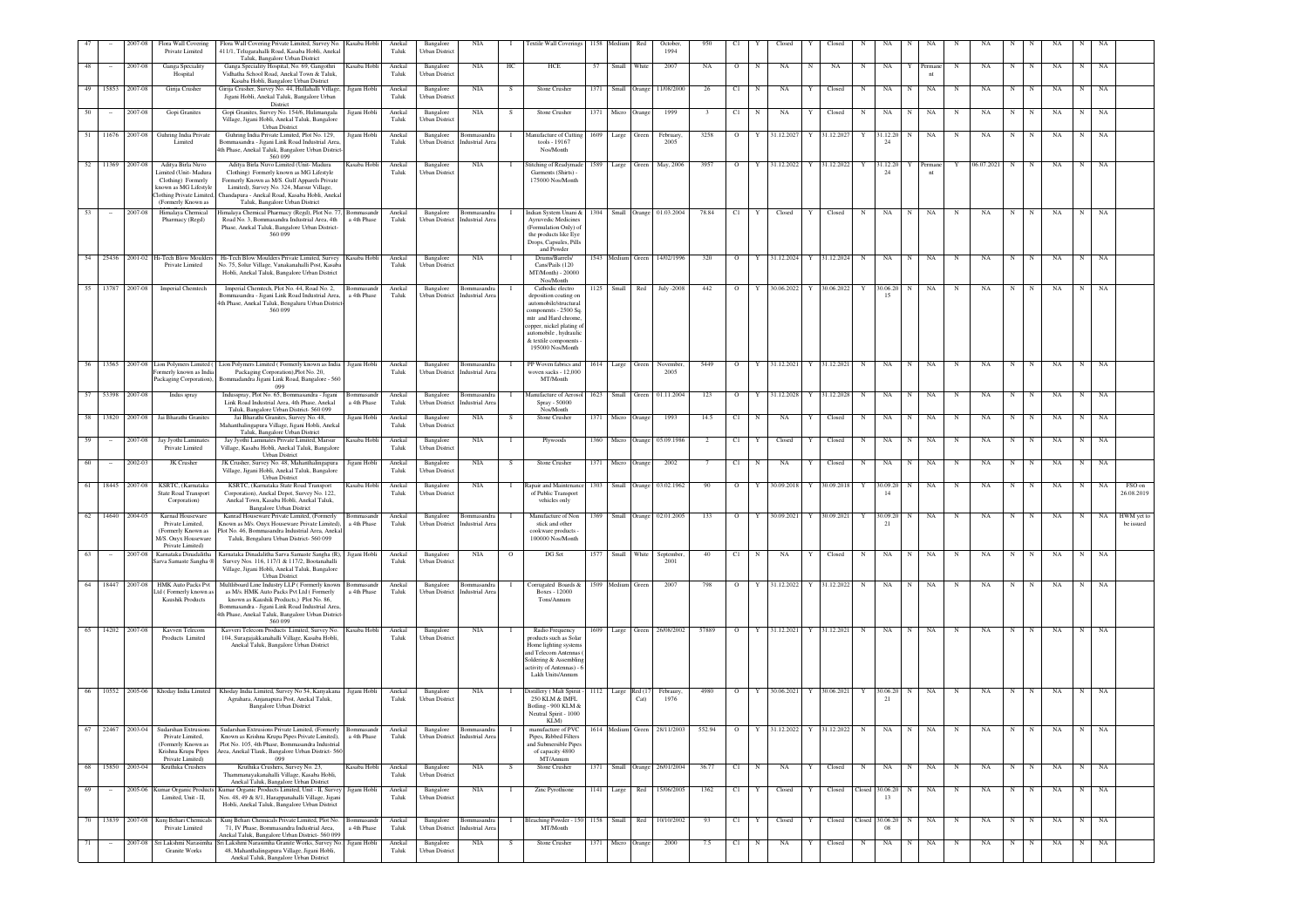|    |       | 2007-08          | Flora Wall Covering<br>Private Limited                                                                                  | Flora Wall Covering Private Limited, Survey No.<br>411/1, Telugarahalli Road, Kasaba Hobli, Anekal<br>Taluk, Bangalore Urban District                                                                                                                                                                      | Kasaba Hobli              | Anekal<br>Taluk | Bangalore<br><b>Urban District</b> | <b>NIA</b>                            |              | <b>Textile Wall Coverings</b>                                                                                                                                                                                       | 1158 Mediu | Red                         | October<br>1994   | 950    | C1       |            | Closed       |   | Closed         |                 | NA             |             | NA                                    |            | NA          |            |            | NA          | NA                        |                         |
|----|-------|------------------|-------------------------------------------------------------------------------------------------------------------------|------------------------------------------------------------------------------------------------------------------------------------------------------------------------------------------------------------------------------------------------------------------------------------------------------------|---------------------------|-----------------|------------------------------------|---------------------------------------|--------------|---------------------------------------------------------------------------------------------------------------------------------------------------------------------------------------------------------------------|------------|-----------------------------|-------------------|--------|----------|------------|--------------|---|----------------|-----------------|----------------|-------------|---------------------------------------|------------|-------------|------------|------------|-------------|---------------------------|-------------------------|
|    |       | 2007-08          | Ganga Speciality<br>Hospital                                                                                            | Ganga Speciality Hospital, No. 69, Gangothri<br>Vidhatha School Road, Anekal Town & Taluk,<br>Kasaba Hobli, Bangalore Urban District                                                                                                                                                                       | Kasaba Hobli              | Anckal<br>Taluk | Bangalore<br><b>Urban District</b> | <b>NIA</b>                            | HC           | HCE                                                                                                                                                                                                                 | 57         | Small<br>White              | 2007              | NA     | $\circ$  |            | NA           |   | NA             | N               | NA             |             | Permane<br>nt                         | N          | NA          | N          | N          | NA          | NA                        |                         |
| 49 |       | 15853 2007-08    | Girija Crusher                                                                                                          | Girija Crusher, Survey No. 44, Hullahalli Village,<br>Jigani Hobli Anekal Taluk Bangalore Urban                                                                                                                                                                                                            | Jigani Hobli              | Anekal<br>Taluk | Bangalore<br><b>Urban Distric</b>  | <b>NIA</b>                            | -S           | <b>Stone Crusher</b>                                                                                                                                                                                                |            | 1371 Small Orange           | 11/08/2000        | 26     | Cl       |            | NA           |   | Closed         | N               | NA             | N           | NA                                    | N          | NA          | N          | N          | NA          | NA<br>N                   |                         |
| 50 |       | 2007-08          | Gopi Granites                                                                                                           | District<br>Gopi Granites, Survey No. 154/6, Hulimangala<br>Village, Jigani Hobli, Anekal Taluk, Bangalore                                                                                                                                                                                                 | Jigani Hobli              | Anekal<br>Taluk | Bangalore<br>Urban Distric         | <b>NIA</b>                            | s            | Stone Crusher                                                                                                                                                                                                       |            | 1371 Micro<br>Orang         | 1999              |        | C1       |            | NA           |   | Closed         | N               | NA             |             | NA                                    | N          | NA          | N          |            | NA          | NA                        |                         |
| 51 |       |                  | 11676 2007-08 Guhring India Private<br>Limited                                                                          | <b>Urban District</b><br>Guhring India Private Limited, Plot No. 129,<br>Bommasandra - Jigani Link Road Industrial Area,<br>4th Phase, Anekal Taluk, Bangalore Urban District                                                                                                                              | Jigani Hobli              | Anckal<br>Taluk | Bangalore<br><b>Urban District</b> | <b>Rommasandra</b><br>ndustrial Area  |              | Manufacture of Cutting<br>tools - 19167<br>Nos/Month                                                                                                                                                                | 1609       | Large<br>Green              | February<br>2005  | 3258   | $\Omega$ |            | 31.12.2027   |   | 31.12.202      |                 | 31.12.20<br>24 |             | NA                                    |            | NA          | N          |            | NA          | NA                        |                         |
|    |       | 52 11369 2007-08 | Aditya Birla Nuvo<br>Limited (Unit-Madura<br>Clothing) Formerly<br>known as MG Lifestyle<br>(Formerly Known as          | 560 099<br>Aditva Birla Nuvo Limited (Unit- Madura<br>Clothing) Formerly known as MG Lifestyle<br>Formerly Known as M/S. Gulf Apparels Private<br>Limited), Survey No. 324, Marsur Village,<br>Clothing Private Limited, Chandapura - Anekal Road, Kasaba Hobli, Anekal<br>Taluk, Bangalore Urban District | Kasaba Hobli              | Anekal<br>Taluk | Bangalore<br><b>Urban District</b> | <b>NIA</b>                            |              | Stitching of Readymade 1589 Large Green<br>Garments (Shirts) -<br>175000 Nos/Month                                                                                                                                  |            |                             | May, 2006         | 3957   | $\circ$  |            | 31.12.2022   |   | Y 31.12.2022   |                 | 31.12.20<br>24 |             | Permano<br>$\mathop{\rm nt}\nolimits$ |            | 06.07.2021  | N          | $_{\rm N}$ | NA          | NA                        |                         |
| 53 |       | 2007-08          | Himalaya Chemical<br>Pharmacy (Regd)                                                                                    | Himalaya Chemical Pharmacy (Regd), Plot No. 77,<br>Road No. 3, Bommasandra Industrial Area, 4th<br>Phase, Anekal Taluk, Bangalore Urban District-<br>560.099                                                                                                                                               | a 4th Phase               | Anekal<br>Taluk | Bangalore<br><b>Urban District</b> | Bommasandra<br>ndustrial Are          |              | Indian System Unani & 1304 Small Orange 01.03.2004<br>Ayruvedic Medicines<br>(Formulation Only) of<br>the products like Eye<br>Drops, Capsules, Pills<br>and Powder                                                 |            |                             |                   | 78.84  | Cl       |            | Closed       |   | Closed         | N               | NA             | N           | NA                                    | N          | NA          | N          |            | NA          | NA                        |                         |
|    |       |                  | 54 25436 2001-02 Hi-Tech Blow Moulders<br>Private Limited                                                               | Hi-Tech Blow Moulders Private Limited, Survey<br>No. 75, Solur Village, Vanakanahalli Post, Kasaba<br>Hobli, Anekal Taluk, Bangalore Urban District                                                                                                                                                        | Kasaba Hobli              | Anckal<br>Taluk | Bangalore<br><b>Urban District</b> | NIA                                   |              | Drums/Barrels/<br>Cans/Pails (120<br>MT/Month) - 20000<br>Nos/Month                                                                                                                                                 |            | 1543 Medium Green           | 14/02/1996        | 320    | $\circ$  |            | 31.12.2024   |   | Y 31.12.2024 N |                 | NA             | N           | NA                                    | $_{\rm N}$ | NA          | N          | $_{\rm N}$ | NA          | NA<br>N                   |                         |
| 55 |       | 13787 2007-08    | Imperial Chemtech                                                                                                       | Imperial Chemtech, Plot No. 44, Road No. 2,<br>Bommasandra - Jigani Link Road Industrial Area,<br>4th Phase, Anekal Taluk, Bengaluru Urban District<br>560 099                                                                                                                                             | Bommasandr<br>a 4th Phase | Anckal<br>Taluk | Bangalore<br><b>Urban District</b> | Bommasandra<br>ndustrial Are          |              | Cathodic electro<br>deposition coating on<br>automobile/structural<br>components - 2500 Sq<br>mtr and Hard chrome<br>copper, nickel plating of<br>automobile, hydraulic<br>& textile components<br>195000 Nos/Month |            | 1125 Small Red              | July -2008        | 442    | $\circ$  |            | 30.06.2022   |   | Y 30.06.2022 Y |                 | 30.06.20<br>15 | N           | NA                                    | N          | NA          | N          | $_{\rm N}$ | NA.         | <b>NA</b><br>N            |                         |
| 56 |       |                  | Formerly known as India<br>Packaging Corporation),                                                                      | 13565 2007-08 Lion Polymers Limited (Lion Polymers Limited (Formerly known as India Jigani Hobli<br>Packaging Corporation), Plot No. 20,<br>Bommadandra Jigani Link Road, Bangalore - 560<br>099                                                                                                           |                           | Anckal<br>Taluk | Bangalore<br><b>Urban District</b> | Bommasandra<br><b>Industrial Area</b> | $\mathbf{I}$ | PP Woven fabrics and 1614 Large Green<br>woven sacks - 12.000<br>MT/Month                                                                                                                                           |            |                             | November.<br>2005 | 5449   | $\circ$  | Y          | 31.12.2021   |   | Y 31.12.2021 N |                 | NA             | $\mathbf N$ | NA                                    | $_{\rm N}$ | NA          | N          | $_{\rm N}$ | NA          | NA<br>N                   |                         |
| 57 |       | 53398 2007-08    | Indus spray                                                                                                             | Indusspray, Plot No. 65, Bommasandra - Jigani<br>Link Road Industrial Area, 4th Phase, Anekal                                                                                                                                                                                                              | Bommasandr<br>a 4th Phase | Anckal<br>Taluk | Bangalore<br><b>Urban District</b> | Bommasandra<br>ndustrial Are          |              | Manufacture of Aerosol 1623<br>Spray - 50000                                                                                                                                                                        |            | Small<br>Green              | 01.11.2004        | 123    | $\circ$  |            | 31.12.2028   |   | 31.12.2028     | N               | NA             |             | NA                                    | N          | NA          | N          |            | NA          | NA                        |                         |
| 58 |       | 13820 2007-08    | Jai Bharathi Granites                                                                                                   | Taluk, Bangalore Urban District- 560 099<br>Jai Bharathi Granites, Survey No. 48,<br>Mahanthalingapura Village, Jigani Hobli, Anekal                                                                                                                                                                       | Jigani Hobli              | Anekal<br>Taluk | Bangalore<br><b>Urban Distric</b>  | <b>NIA</b>                            |              | Nos/Month<br>Stone Crusher                                                                                                                                                                                          |            | 1371 Micro Orango           | 1993              | 14.5   | C1       |            | NA           |   | Closed         | N               | NA             |             | NA                                    | N          | NA          | N          |            | NA          | NA<br>N                   |                         |
|    |       | 2007-08          | Jay Jyothi Laminate<br>Private Limited                                                                                  | Taluk, Bangalore Urban District<br>Jay Jyothi Laminates Private Limited, Marsur<br>Village, Kasaba Hobli, Anekal Taluk, Bangalore                                                                                                                                                                          | Kasaba Hobli              | Anekal<br>Taluk | Bangalore<br><b>Urban District</b> | NIA                                   |              | Plywoods                                                                                                                                                                                                            |            | 1360 Micro<br>Orang         | 05.09.1986        |        | C1       |            | Closed       |   | Closed         |                 | NA             |             | NA                                    |            | NA          |            |            | NA          | NA                        |                         |
| 60 |       | 2002-03          | JK Crusher                                                                                                              | <b>Urban District</b><br>JK Crusher, Survey No. 48, Mahanthalingapura<br>Village, Jigani Hobli, Anekal Taluk, Bangalore                                                                                                                                                                                    | Jigani Hobli              | Anekal<br>Taluk | Bangalore<br><b>Urban District</b> | NIA                                   | -S           | Stone Crusher                                                                                                                                                                                                       |            | 1371 Micro Orange           | 2002              |        | C1       |            | NA           |   | Closed         | N               | NA             |             | NA                                    | N          | NA          | N          | N          | NA          | NA                        |                         |
| 61 |       | 18445 2007-08    | KSRTC, (Kamataka<br><b>State Road Transport</b><br>Corporation)                                                         | <b>Urban District</b><br>KSRTC, (Karnataka State Road Transport<br>Corporation), Anekal Depot, Survey No. 122,<br>Anekal Town, Kasaba Hobli, Anekal Taluk,<br><b>Bangalore Urban District</b>                                                                                                              | Kasaba Hobl               | Anckal<br>Taluk | Bangalore<br><b>Urban District</b> | <b>NIA</b>                            |              | Rapair and Maintenance<br>of Public Transport<br>vehicles only                                                                                                                                                      |            | 1303 Small Orange           | 03.02.1962        | 90     | $\circ$  |            | 30.09.2018   |   | 30.09.2018     |                 | 30.09.20<br>14 |             | NA                                    |            | <b>NA</b>   |            |            | NA          | NA                        | FSO on<br>26.08.2019    |
| 62 |       | 14640 2004-05    | Kamad Houseware<br>Private Limited.<br>(Formerly Known as<br>M/S. Onyx Houseware<br>Private Limited)                    | Kanrad Houseware Private Limited. (Formerly<br>Known as M/s. Onvx Houseware Private Limited).<br>Plot No. 46, Bommasandra Industrial Area, Anekal<br>Taluk, Bengaluru Urban District- 560 099                                                                                                              | Bommasandr<br>a 4th Phase | Anekal<br>Taluk | Bangalore<br><b>Urban District</b> | Bommasandra<br>ndustrial Are          |              | Manufacture of Non<br>stick and other<br>cookware products<br>$100000$ Nos/Month                                                                                                                                    | 1369       | Small Orange                | 02.01.2005        | 133    | $\circ$  |            | 30.09.2021   |   | 30.09.2021     |                 | 80.09.20<br>21 |             | NA                                    | N          | NA          | N          |            | NA          | NA                        | HWM yet to<br>be issued |
| 63 |       |                  | 2007-08 Kamataka Dinadalitha<br>Sarva Samaste Sangha 0                                                                  | Karnataka Dinadalitha Sarva Samaste Sangha (R), Jigani Hobli<br>Survey Nos. 116, 117/1 & 117/2, Bootanahalli<br>Village, Jigani Hobli, Anekal Taluk, Bangalore<br><b>Urban District</b>                                                                                                                    |                           | Anekal<br>Taluk | Bangalore<br>Urban Distric         | <b>NIA</b>                            | $\circ$      | DG Set                                                                                                                                                                                                              |            | 1577 Small White            | September<br>2001 | 40     | C1       | N          | NA           |   | Closed         | N               | $_{\rm NA}$    | N           | NA                                    | N          | NA          | N          | $_{\rm N}$ | NA          | N<br>NA                   |                         |
| 64 |       | 18447 2007-08    | HMK Auto Packs Pvt<br>Ltd (Formerly known a<br>Kaushik Products                                                         | Multliboard Line Industry LLP (Formerly known<br>as M/s. HMK Auto Packs Pvt Ltd (Formerly<br>known as Kaushik Products,) Plot No. 86,<br>Bommasandra - Jigani Link Road Industrial Area,<br>4th Phase, Anekal Taluk, Bangalore Urban District-<br>560 099                                                  | Bommasand<br>a 4th Phase  | Anekal<br>Taluk | Bangalore<br><b>Urban District</b> | <b>Bommasandra</b><br>ndustrial Are   |              | Corrugated Boards &<br>Boxes - 12000<br>Tons/Annum                                                                                                                                                                  |            | 1509 Medium Green           | 2007              | 798    | $\circ$  |            | 31.12.2022   |   | 31.12.2022     | N               | NA             | N           | $_{\rm NA}$                           | N          | NA          | N          | N          | NA          | NA<br>N                   |                         |
| 65 |       | 14202 2007-08    | Kavveri Telecom<br>Products Limited                                                                                     | Kavveri Telecom Products Limited, Survey No.<br>104, Suragajakkanahalli Village, Kasaba Hobli,<br>Anekal Taluk, Bangalore Urban District                                                                                                                                                                   | Kasaba Hobli              | Anekal<br>Taluk | Bangalore<br><b>Urban District</b> | <b>NIA</b>                            |              | Radio Frequency<br>products such as Sola<br>.<br>Home lighting systems<br>and Telecom Antennas<br>Soldering & Assembling<br>activity of Antennas) -<br>Lakh Units/Annum                                             |            | 1609 Large Green 26/08/2002 |                   | 57889  | $\circ$  |            | Y 31.12.2021 |   | Y 31.12.2021 N |                 | NA .           | N           | NA                                    | N          | NA          | N          | N          | NA          | NA<br>N                   |                         |
|    |       |                  |                                                                                                                         | 66   10552   2005-06   Khoday India Limited   Khoday India Limited, Survey No 54, Kanyakana   Jigani Hobli<br>Agrahara, Anjanapura Post, Anekal Taluk,<br><b>Bangalore Urban District</b>                                                                                                                  |                           | Anckal<br>Taluk | Bangalore<br><b>Urban District</b> | NIA                                   |              | Distillery (Malt Spiriit - 1112 Large Red (17<br>250 KLM & IMFL<br>Botling - 900 KLM &<br>Neutral Spirit - 1000<br>KLM)                                                                                             |            | Cat)                        | Febraury,<br>1976 | 4980   | $\circ$  |            | 30.06.2021   |   | 30.06.2021     |                 | 30.06.20<br>21 |             | NA                                    |            | NA          |            |            | NA          | NA                        |                         |
| 67 |       |                  | 22467 2003-04 Sudarshan Extrusions<br>Private Limited.<br>(Formerly Known as<br>Krishna Krupa Pipes<br>Private Limited) | Sudarshan Extrusions Private Limited, (Formerly Bommasandr<br>Known as Krishna Krupa Pipes Private Limited)<br>Plot No. 105, 4th Phase, Bommasandra Industrial<br>Area, Anekal Tlauk, Bangalore Urban District- 560<br>099                                                                                 | a 4th Phase               | Anekal<br>Taluk | Bangalore<br>Urban District        | Bommasandra<br>ndustrial Area         |              | manufacture of PVC<br>Pipes, Ribbed Filters<br>and Submersible Pipes<br>of capacity 4800<br>MT/Annum                                                                                                                |            | 1614 Medium Green           | 28/11/2003        | 552.94 | $\circ$  |            | 31.12.2022   |   | 31.12.2022     | N               | NA             |             | NA                                    | N          | NA          | N          | N          | NA          | $_{\rm N}$<br>NA          |                         |
| 68 | 15850 | 2003-04          | Kruthika Crushers                                                                                                       | Kruthika Crushers, Survey No. 23,<br>Thammanayakanahalli Village, Kasaba Hobli,<br>Anekal Taluk, Bangalore Urban District                                                                                                                                                                                  | Kasaba Hobli              | Anekal<br>Taluk | Bangalore<br><b>Urban District</b> | $_{\rm NIA}$                          | s            | Stone Crusher                                                                                                                                                                                                       | 1371       | Small Orange                | 26/01/2004        | 36.77  | C1       | $_{\rm N}$ | NA           |   | Closed         | N               | NA             | N           | NA                                    | N          | <b>NA</b>   | N          | N          | <b>NA</b>   | <b>NA</b><br>N            |                         |
| 69 |       |                  | 2005-06 Kumar Organic Products<br>Limited, Unit - II,                                                                   | Kumar Organic Products Limited, Unit - II, Survey<br>Nos. 48, 49 & 8/1, Harappanahalli Village, Jigani<br>Hobli, Anekal Taluk, Bangalore Urban District                                                                                                                                                    | Jigani Hobli              | Anekal<br>Taluk | Bangalore<br><b>Urban District</b> | <b>NIA</b>                            | <b>I</b>     | Zinc Pyrothione                                                                                                                                                                                                     |            | 1141 Large Red 15/06/2005   |                   | 1362   | C1       | Y          | Closed       |   | Closed         | Closed 30.06.20 | 13             | N           | $_{\rm NA}$                           | N          | $_{\rm NA}$ | N          | N          | NA          | $_{\rm N}$<br>$_{\rm NA}$ |                         |
| 70 | 13839 |                  | 2007-08 Kunj Behari Chemicals<br>Private Limited                                                                        | Kunj Behari Chemicals Private Limited, Plot No.<br>71. IV Phase. Bommasandra Industrial Area.<br>Anekal Taluk, Bangalore Urban District- 560 099                                                                                                                                                           | Bommasand<br>a 4th Phase  | Anekal<br>Taluk | Bangalore<br><b>Urban District</b> | Bommasandra<br>Industrial Area        |              | Bleaching Powder - 150 1158 Small Red<br>MT/Month                                                                                                                                                                   |            |                             | 10/10/2002        | 93     | C1       |            | Closed       |   | Closed         | Closed          | 30.06.20<br>08 |             | $_{\rm NA}$                           | N          | NA          | $_{\rm N}$ | N          | $_{\rm NA}$ | N<br>NA                   |                         |
| 71 |       |                  | 2007-08 Sri Lakshmi Narasimha<br><b>Granite Works</b>                                                                   | Sri Lakshmi Narasimha Granite Works, Survey No. Jigani Hobli<br>48, Mahanthalingapura Village, Jigani Hobli,<br>Anekal Taluk, Bangalore Urban District                                                                                                                                                     |                           | Anekal<br>Taluk | Bangalore<br>Urban District        | <b>NIA</b>                            | -S           | Stone Crusher                                                                                                                                                                                                       |            | 1371 Micro Orange           | 2000              | 7.5    | C1       | $_{\rm N}$ | NA           | Y | Closed         | $_{\rm N}$      | NA             | N           | NA                                    | $_{\rm N}$ | NA          | N          | N          | NA          | NA<br>N                   |                         |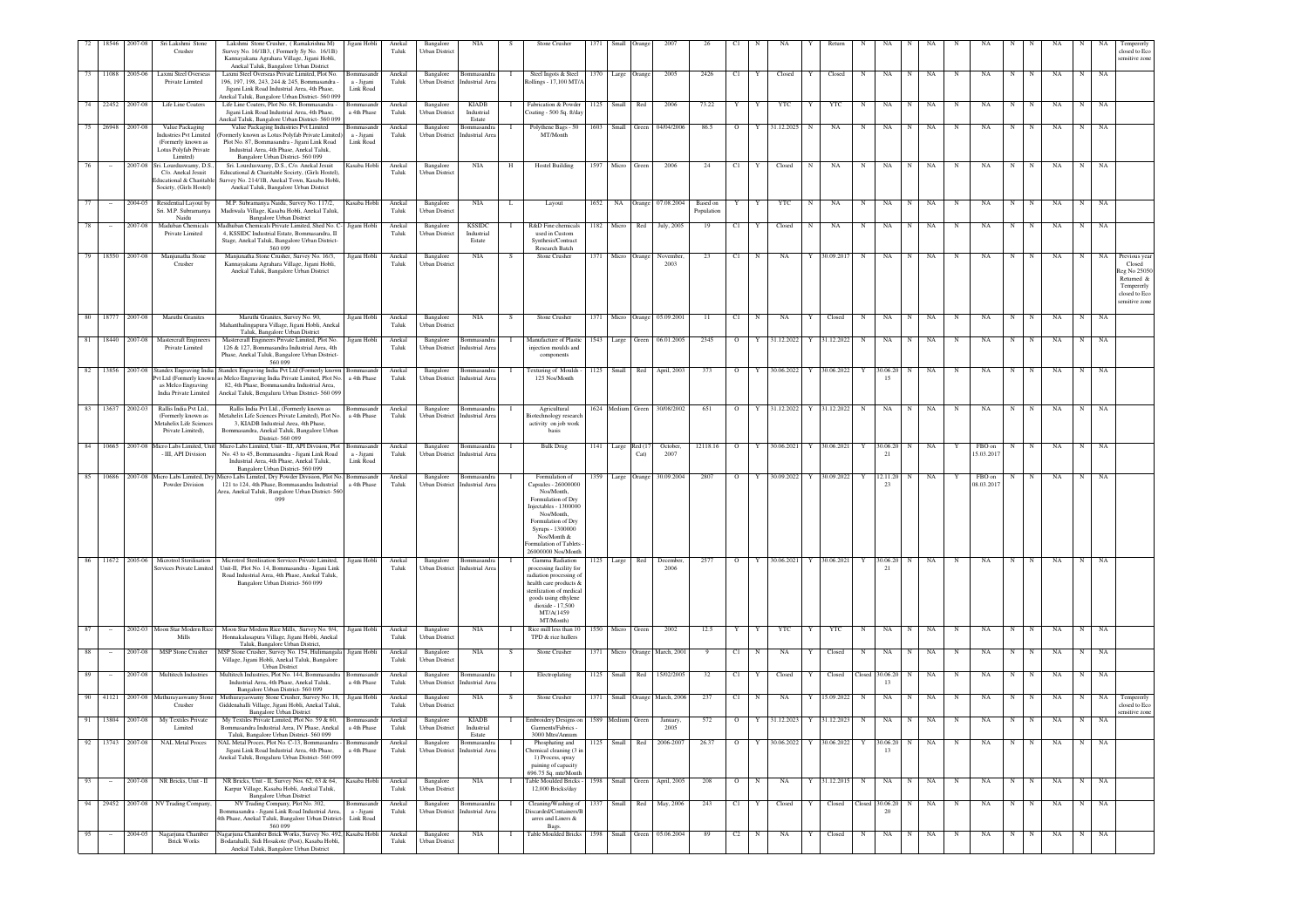| 72 | 18546          | 2007-08            | Sri Lakshmi Stone<br>Crusher                                                                              | Lakshmi, Stone Crusher (Ramakrishna M)<br>Survey No. 16/1B3. (Formerly Sv No. 16/1B)<br>Kannayakana Agrahara Village, Jigani Hobli,<br>Anekal Taluk, Bangalore Urban District                                                  | <sup>t</sup> igani Hobli             | Anekal<br>Taluk           | <b>Urban District</b>                          | <b>NIA</b>                            |    | Stone Crusher                                                                                                                                                                                                         | 1371<br>Small                  | <b>Orans</b>    | 200                                        | 26                     | C1                   |   | NA                      |   |                      |               | NA                 |   |             |            |                      |                  |             |            | NA          | Tempererly<br>closed to Eco<br>sensitive zone                            |
|----|----------------|--------------------|-----------------------------------------------------------------------------------------------------------|--------------------------------------------------------------------------------------------------------------------------------------------------------------------------------------------------------------------------------|--------------------------------------|---------------------------|------------------------------------------------|---------------------------------------|----|-----------------------------------------------------------------------------------------------------------------------------------------------------------------------------------------------------------------------|--------------------------------|-----------------|--------------------------------------------|------------------------|----------------------|---|-------------------------|---|----------------------|---------------|--------------------|---|-------------|------------|----------------------|------------------|-------------|------------|-------------|--------------------------------------------------------------------------|
| 73 |                | 11088 2005-06      | Laxmi Steel Overseas<br>Private Limited                                                                   | Laxmi Steel Overseas Private Limited, Plot No.<br>196 197 198 243 244 & 245 Bommasandra -<br>Jigani Link Road Industrial Area, 4th Phase.<br>Anekal Taluk, Bangalore Urban District- 560 099                                   | a - Iigani<br>Link Road              | Anekal<br>Taluk           | Bangalore<br><b>Urban District</b>             | Rommacandra<br><b>ndustrial</b> Area  |    | Steel Ingots & Steel<br>Rollings - 17,100 MT/                                                                                                                                                                         | 1370 Large                     | Orange          | 2005                                       | 2426                   | C1                   |   | Closed                  |   | Closed               |               | NA                 |   | NA          |            | NA                   |                  | NA          |            | NA          |                                                                          |
| 75 | 22452<br>26948 | 2007-08<br>2007-08 | Life Line Coaters<br>Value Packaging                                                                      | Life Line Coaters, Plot No. 68, Bommasandra<br>Jigani Link Road Industrial Area, 4th Phase,<br>Anekal Taluk, Bangalore Urban District- 560 099                                                                                 | a 4th Phase                          | Anekal<br>Taluk<br>Anekal | Bangalore<br><b>Urban District</b>             | <b>KIADB</b><br>Industrial<br>Estate  |    | Fabrication & Powder<br>oating - 500 Sq. ft/day<br>Polythene Bags - 50                                                                                                                                                | 1125<br>Small<br>1603<br>Small | Red             | 2006<br>04/04/200                          | 73.22<br>86.5          |                      |   | <b>YTC</b><br>1.12.2025 |   | <b>YTC</b>           |               | NA<br>NA           |   |             |            | NA                   |                  |             |            |             |                                                                          |
|    |                |                    | <b>Industries Pvt Limited</b><br>(Formerly known as<br>Lotus Polyfab Private<br>Limited)                  | Value Packaging Industries Pvt Limited<br>ormerly known as Lotus Polyfab Private Limited)<br>Plot No. 87, Bommasandra - Jigani Link Road<br>Industrial Area, 4th Phase, Anekal Taluk,<br>Bangalore Urban District-560 099      | Bommasand<br>a - Jigani<br>Link Road | ${\rm T}$ aluk            | Bangalore<br><b>Urban District</b>             | Bommasandra<br>Industrial Are         |    | MT/Month                                                                                                                                                                                                              |                                | Green           |                                            |                        | $^{\circ}$           |   |                         |   | NA                   |               |                    |   | NA.         |            | NA                   |                  |             |            |             |                                                                          |
| 76 | $\sim$         |                    | 2007-08 Sri. Lourduswamy, D.S.<br>C/o. Anekal Jesuit<br>ducational & Charitabl<br>Society, (Girls Hostel) | Sri. Lourduswamy, D.S., C/o. Anekal Jesuit<br>Educational & Charitable Society, (Girls Hostel),<br>urvey No. 214/1B. Anekal Town, Kasaba Hobli.<br>Anekal Taluk, Bangalore Urban District                                      | Kasaba Hobl                          | Anekal<br>Taluk           | Bangalore<br><b>Urban Distric</b>              | <b>NIA</b>                            | H  | Hostel Building                                                                                                                                                                                                       | 1597 Micro                     | Green           | 2006                                       | 24                     | C1                   |   | Closed                  | N | NA                   | N             | NA                 | N | NA          | N          | NA                   | N<br>N           | <b>NA</b>   | N          | NA          |                                                                          |
|    |                | 2004-05            | Residential Layout by<br>Sri. M.P. Subramanya                                                             | M.P. Subramanya Naidu, Survey No. 117/2.<br>Madiwala Village, Kasaba Hobli, Anekal Taluk,                                                                                                                                      | Kasaba Hobl                          | Anekal<br>Taluk           | Bangalore<br>Urban Distric                     | <b>NIA</b>                            | L  | Lavout                                                                                                                                                                                                                | 1652<br>NA                     | <b>Drange</b>   | 07.08.200                                  | Based on<br>Population |                      |   | <b>YTC</b>              |   | NA                   |               | NA                 |   | NA          |            | NA                   | N                | NA          |            |             |                                                                          |
| 78 |                | 2007-08            | Naidu<br>Maduban Chemicals<br>Private Limited                                                             | <b>Bangalore Urban District</b><br>Madhuban Chemicals Private Limited, Shed No. C-<br>4 KSSIDC Industrial Estate Bommasandra II<br>Stage, Anekal Taluk, Bangalore Urban District-                                              | Jigani Hobli                         | Anekal<br>Taluk           | Bangalore<br><b>Urban District</b>             | <b>KSSIDC</b><br>Industrial<br>Estate |    | R&D Fine chemicals<br>used in Custom<br>Synthesis/Contract                                                                                                                                                            | 1182 Micro                     | Red             | July, 2005                                 | 19                     | Cl                   |   | Closed                  |   | NA                   |               | NA                 |   | NA          | N          | NA                   | N                | NA          |            | NA          |                                                                          |
|    | 18550          | 2007-08            | Manjunatha Stone<br>Crusher                                                                               | 560 099<br>Manjunatha Stone Crusher, Survey No. 16/3,<br>Kannayakana Agrahara Village, Jigani Hobli,<br>Anekal Taluk, Bangalore Urban District                                                                                 | igani Hobl                           | Anckal<br>Taluk           | Bangalore<br><b>Urban District</b>             | <b>NIA</b>                            |    | Research Batch<br>Stone Crusher                                                                                                                                                                                       | 1371<br>Micro                  | <b>Irange</b>   | November<br>2003                           | 23                     |                      |   |                         |   |                      |               |                    |   |             |            |                      |                  |             |            |             | Previous yea<br>Closed<br><b>Reg No 2505</b><br>Returned &<br>Tempererly |
| 80 |                | 18777 2007-08      | Maruthi Granites                                                                                          | Maruthi Granites, Survey No. 90.                                                                                                                                                                                               |                                      |                           |                                                | <b>NIA</b>                            |    |                                                                                                                                                                                                                       |                                |                 | 05.09.2001                                 |                        |                      |   | NA                      |   |                      |               | NA                 |   |             |            |                      |                  |             |            |             | closed to Eco<br>sensitive zone                                          |
| 81 | 18440          | 2007-08            | Mastercraft Engineer                                                                                      | Mahanthalingapura Village, Jigani Hobli, Anekal<br>Taluk, Bangalore Urban District<br>Mastercraft Engineers Private Limited, Plot No.                                                                                          | Jigani Hobli<br>Jigani Hobli         | Anckal<br>Taluk<br>Anekal | Bangalore<br><b>Urban Distric</b><br>Bangalore | <b>commacandr</b>                     | -S | Stone Crusher<br>Manufacture of Plasti                                                                                                                                                                                | 1371 Micro<br>1543 Large       | Orange<br>Green | 06.01.2005                                 | 11<br>2345             | C1<br>$\overline{0}$ | N | 31.12.2022              |   | Closed<br>31.12.2022 | N             | NA                 | N | NA<br>NA    | $_{\rm N}$ | NA<br>NA             | N<br>N<br>N      | NA<br>NA    | N          | NA<br>NA    |                                                                          |
|    |                |                    | Private Limited                                                                                           | 126 & 127 Bommasandra Industrial Area 4th<br>Phase, Anekal Taluk, Bangalore Urban District-<br>560 099                                                                                                                         |                                      | Taluk                     | <b>Urban District</b>                          | Industrial Area                       |    | injection moulds and<br>components                                                                                                                                                                                    |                                |                 |                                            |                        |                      |   |                         |   |                      |               |                    |   |             |            |                      |                  |             |            |             |                                                                          |
| 82 | 13856          | 2007-08            | Itandex Engraving India<br>as Melco Engraving<br>India Private Limited                                    | Standex Engraving India Pvt Ltd (Formerly known<br>Pvt Ltd (Formerly known as Melco Engraving India Private Limited, Plot No.<br>82. 4th Phase. Bommasandra Industrial Area.<br>Anekal Taluk, Bengaluru Urban District-560 099 | a 4th Phase                          | Aneka<br>Taluk            | Bangalore<br><b>Urban District</b>             | <b>Industrial Area</b>                |    | exturing of Moulds<br>125 Nos/Month                                                                                                                                                                                   | 1125<br>Small                  | Red             | April, 200                                 | 373                    |                      |   | 0.06.202                |   | 0.06.202             |               | 0.06.2<br>15       |   | NA          |            | NA                   |                  | NA          |            | NA          |                                                                          |
|    | 13637          | 2002-03            | Rallis India Pvt Ltd.<br>(Formerly known as<br>Metahelix Life Science<br>Private Limited),                | Rallis India Pvt Ltd., (Formerly known as<br>Metahelix Life Sciences Private Limited), Plot No.<br>3. KIADB Industrial Area, 4th Phase.<br>Bommasandra, Anekal Taluk, Bangalore Urban<br>District- 560 099                     | a 4th Phase                          | Anckal<br>Taluk           | Bangalore                                      | Urban District Industrial Area        |    | Agricultural<br>Biotechnology research<br>activity on job work<br>basis                                                                                                                                               | 1624 Med                       |                 | 30/08/200                                  | 651                    |                      |   | 31.12.2022              |   | 1.12.202             |               | NA                 |   |             |            |                      |                  |             |            |             |                                                                          |
| 84 | 10665          |                    | 2007-08 Micro Labs Limited, Unit<br>- III. API Division                                                   | Micro Labs Limited, Unit - III, API Division, Plot<br>No. 43 to 45, Bommasandra - Jigani Link Road<br>Industrial Area, 4th Phase, Anekal Taluk,<br>Bangalore Urban District- 560 099                                           | a - Jigani<br>Link Road              | Anckal<br>Taluk           | Bangalore<br><b>Urban District</b>             | Bommasandra<br><b>Industrial Area</b> |    | <b>Bulk Drug</b>                                                                                                                                                                                                      | 1141 Large                     | Red (17<br>Cat) | October<br>2007                            | 12118.16               | $\overline{0}$       |   | 30.06.2021              |   | 30.06.2021           |               | 30.06.20<br>21     |   | NA          |            | FBO on<br>15.03.2013 | N                | NA          | $_{\rm N}$ | NA          |                                                                          |
| 85 | 10686          |                    | Powder Division                                                                                           | 2007-08 Micro Labs Limited, Dry Micro Labs Limited, Dry Powder Division, Plot No.<br>121 to 124, 4th Phase, Bommasandra Industrial<br>Area, Anekal Taluk, Bangalore Urban District-560<br>000                                  | Bommasand<br>a 4th Phase             | Anekal<br>Taluk           | Bangalore<br><b>Urban District</b>             | Bommasandra<br>Industrial Are         |    | Formulation of<br>Capsules - 26000000<br>Nos/Month<br>Formulation of Dry<br>Injectables - 1300000<br>Nos/Month,<br>Formulation of Dry<br>Syrups - 1300000<br>Nos/Month &<br>emulation of Tablet<br>26000000 Nos/Month | 1359<br>Large                  | <b>Drange</b>   | 30.09.200                                  | 2807                   | $\circ$              |   | 30.09.2022              |   | 30.09.2022           |               | 12.11.20<br>$23\,$ |   | NA          |            | FBO on<br>08.03.201  | N                | $_{\rm NA}$ | N          | NA          |                                                                          |
|    | 11672          | 2005-06            | Microtrol Sterilisation<br>Services Private Limited                                                       | Microtrol Sterilisation Services Private Limited<br>Unit-II, Plot No. 14, Bommasandra - Jigani Link<br>Road Industrial Area, 4th Phase, Anekal Taluk.<br>Bangalore Urban District-560 099                                      |                                      | Anckal<br>Taluk           | Bangalore                                      | Urban District Industrial Area        |    | Gamma Radiation<br>processing facility for<br>radiation processing o<br>health care products &<br>sterilization of medica<br>goods using ethylene<br>dioxide - 17 500<br>MT/A(1459<br>MT/Month                        | 1125<br>Large                  | Red             | December<br>2006                           | 257                    |                      |   | 30.06.2021              |   | 0.06.202             |               | 0.06.2<br>21       |   |             |            |                      |                  |             |            |             |                                                                          |
| 87 |                |                    | 2002-03 Moon Star Modern Rice<br>Mills                                                                    | Moon Star Modern Rice Mills, Survey No. 9/4,<br>Honnakalasapura Village, Jigani Hobli, Anekal<br>Taluk, Bangalore Urban District,                                                                                              | Jigani Hobli                         | Anckal<br>Taluk           | Bangalore<br><b>Urban Distric</b>              | <b>NIA</b>                            |    | Rice mill less than 10<br>TPD & rice hullers                                                                                                                                                                          | 1550 Micro                     | Green           | 2002                                       | 12.5                   | Y                    |   | <b>YTC</b>              |   | <b>YTC</b>           | N             | NA                 | N | <b>NA</b>   | N          | NA                   | $_{\rm N}$<br>N  | NA          | $_{\rm N}$ | NA          |                                                                          |
| 88 |                | 2007-08<br>2007-08 | <b>MSP Stone Crusher</b><br>Multitech Industries                                                          | MSP Stone Crusher, Survey No. 154, Hulimangala Jigani Hobli<br>Village, Jigani Hobli, Anekal Taluk, Bangalore<br>Urban District<br>Multitech Industries, Plot No. 144, Bommasandra                                             | Bommasand                            | Anekal<br>Taluk           | Bangalore<br><b>Urban District</b>             | <b>NIA</b><br><b>Bommasandra</b>      | s  | Stone Crusher                                                                                                                                                                                                         | Small                          |                 | 1371 Micro Orange March, 2001<br>15/02/200 | <b>g</b>               | Cl                   | N | NA<br>Closed            |   | Closed               | N<br>Closed   | $_{\rm NA}$        | N | NA          | N          | NA                   | N<br>N<br>N<br>N | NA          | N          | NA          |                                                                          |
| 89 |                |                    |                                                                                                           | Industrial Area, 4th Phase, Anekal Taluk,<br>Bangalore Urban District-560 099                                                                                                                                                  | a 4th Phase                          | Anekal<br>Taluk           | Bangalore<br><b>Urban District</b>             | Industrial Are                        |    | Electroplating                                                                                                                                                                                                        | 1125                           | $\mbox{Red}$    |                                            | 32                     | C1                   |   |                         |   | Closed               |               | 0.06.20<br>13      |   | $_{\rm NA}$ | N          | $_{\rm NA}$          |                  | $_{\rm NA}$ | $_{\rm N}$ | $_{\rm NA}$ |                                                                          |
| 90 | 41121          |                    | 2007-08 Muthurayaswamy Stor<br>Crusher                                                                    | Muthurayaswamy Stone Crusher, Survey No. 18.<br>Giddenahalli Village, Jigani Hobli, Anekal Taluk<br><b>Bangalore Urban District</b>                                                                                            | Jigani Hobl                          | Anekal<br>Taluk           | Bangalore<br><b>Urban Distric</b>              | <b>NIA</b>                            | -S | Stone Crusher                                                                                                                                                                                                         | 1371 Small                     |                 | Orange March, 200                          | 237                    | C1                   |   | NA                      |   | 15.09.2022           | N             | NA                 |   | <b>NA</b>   | N          | NA                   | N<br>N           | <b>NA</b>   | N          | NA          | Tempererly<br>closed to Eco<br>ensitive zon                              |
| 91 | 13804          | 2007-08            | My Textiles Private<br>Limited                                                                            | My Textiles Private Limited, Plot No. 59 & 60,<br>Bommasandra Industrial Area, IV Phase, Anekal<br>Taluk, Bangalore Urban District- 560 099                                                                                    | Bommasand<br>a 4th Phase             | Anckal<br>Taluk           | Bangalore<br><b>Urban District</b>             | <b>KIADR</b><br>Industrial<br>Estate  |    | imbroidery Designs on<br>Garments/Fabrics -<br>3000 Mtrs/Annum                                                                                                                                                        | 1589 Medit                     | Greer           | January<br>2005                            | 572                    | $\circ$              |   | 31.12.2023              |   | 31.12.2023           | N             | $_{\rm NA}$        |   | $_{\rm NA}$ | N          | $_{\rm NA}$          | N<br>N           | NA          | $_{\rm N}$ | NA          |                                                                          |
| 92 | 13743          | 2007-08            | NAL Metal Proces                                                                                          | VAL Metal Proces, Plot No. C-13, Bommasandra<br>Jigani Link Road Industrial Area, 4th Phase,<br>Anekal Taluk, Bengaluru Urban District-560 099                                                                                 | ommasand<br>a 4th Phase              | Anckal<br>Taluk           | Bangalore<br><b>Urban District</b>             | Industrial Are                        |    | Phosphating and<br>emical cleaning (3 in<br>1) Process, spray<br>paining of capacity<br>96.75 Sq. mtr/Month                                                                                                           | 1125<br>Small                  | Red             | 2006-2007                                  | 26.37                  | $\circ$              |   | 0.06.2022               |   | 0.06.202             |               | 0.06.2<br>13       |   | NA          |            | NA                   |                  |             |            |             |                                                                          |
| 93 |                | 2007-08            | NR Bricks, Unit - II                                                                                      | NR Bricks, Unit - II, Survey Nos. 62, 63 & 64,<br>Karpur Village, Kasaba Hobli, Anekal Taluk,<br><b>Bangalore Urban District</b>                                                                                               | Kasaba Hobli                         | Anckal<br>Taluk           | Bangalore<br><b>Urban District</b>             | <b>NIA</b>                            |    | <b>Table Moulded Bricks</b><br>12,000 Bricks/day                                                                                                                                                                      | 1598<br>Small                  | Green           | April, 2005                                | 208                    | $\overline{O}$       |   | NA                      |   | 31.12.2015           | N             | NA                 |   | NA          |            | NA                   |                  | NA          |            | NA          |                                                                          |
|    |                |                    | 94 29452 2007-08 NV Trading Company,                                                                      | NV Trading Company, Plot No. 302<br>sommasandra - Jigani Link Road Industrial Area,<br>4th Phase, Anekal Taluk, Bangalore Urban District<br>560.099                                                                            | a - Jigani<br>Link Road              | Anekal<br>Taluk           | Bangalore<br><b>Urban District</b>             | <b>Industrial Area</b>                |    | Cleaning/Washing of<br>Discarded/Containers/E<br>arres and Liners &<br>Bags.<br>Table Moulded Bricks                                                                                                                  | 1337                           | Small Red       | May, 2006                                  | 243                    | C1                   |   | Closed                  |   | Closed               | <b>Closed</b> | 30.06.20<br>20     |   | NA          |            | NA                   | N                | NA          |            | NA          |                                                                          |
| 95 |                | 2004-05            | Nagariuna Chamber<br><b>Brick Works</b>                                                                   | Nagarjuna Chamber Brick Works, Survey No. 492, Kasaba Hobli<br>Bodarahalli, Sidi Hosakote (Post), Kasaba Hobli,<br>Anekal Taluk, Bangalore Urban District                                                                      |                                      | Anekal<br>Taluk           | Bangalore<br><b>Urban District</b>             | NIA.                                  |    |                                                                                                                                                                                                                       | 1598<br>Small                  | Green           | 05.06.2004                                 | 89                     | C <sub>2</sub>       |   | <b>NA</b>               |   | Closed               |               | NA                 |   | NA          |            | NA                   |                  | NA          |            |             |                                                                          |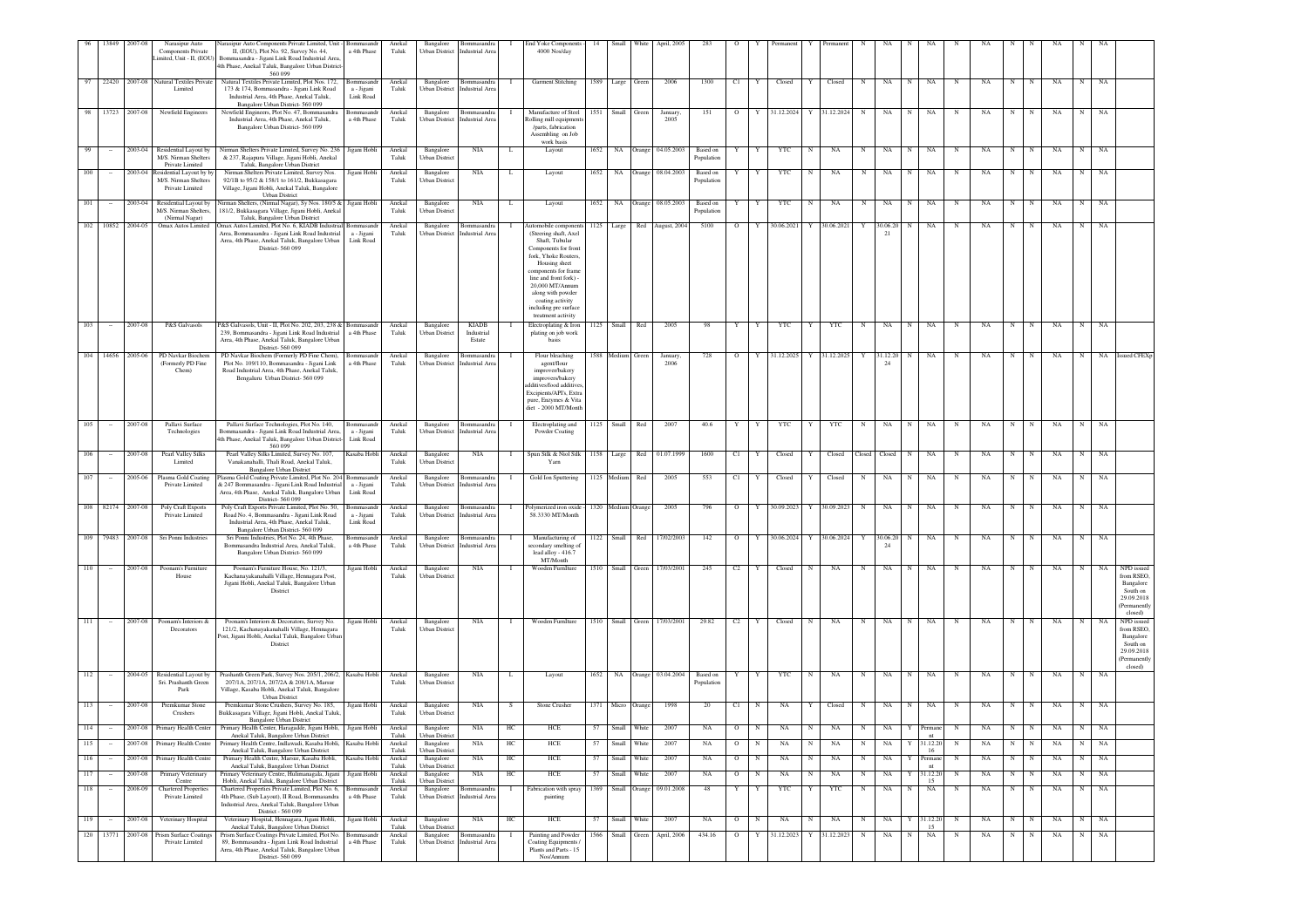|            |        | 13849 2007-08      | Narasipur Auto<br><b>Components Private</b><br>Limited, Unit - II, (EOU    | arasipur Auto Components Private Limited, Uni<br>II, (EOU), Plot No. 92, Survey No. 44,<br>Bommasandra - Jigani Link Road Industrial Area<br>4th Phase, Anekal Taluk, Bangalore Urban District<br>560.099 | a 4th Phase                                 | Anekal<br>Taluk           | Bangalore<br>Urban District                    | sandr<br><b>Industrial Area</b>       |          | <b>End Yoke Components</b><br>4000 Nos/day                                                                                                                                                                                                | 14       | Small              | White                | April, 2005               | 283                           | $\circ$            |                 | Permanent  |            | Permanen     |            | NA             |              | NA                       |            | NA                |            |            | NA          |            | NA          |                                                                                            |
|------------|--------|--------------------|----------------------------------------------------------------------------|-----------------------------------------------------------------------------------------------------------------------------------------------------------------------------------------------------------|---------------------------------------------|---------------------------|------------------------------------------------|---------------------------------------|----------|-------------------------------------------------------------------------------------------------------------------------------------------------------------------------------------------------------------------------------------------|----------|--------------------|----------------------|---------------------------|-------------------------------|--------------------|-----------------|------------|------------|--------------|------------|----------------|--------------|--------------------------|------------|-------------------|------------|------------|-------------|------------|-------------|--------------------------------------------------------------------------------------------|
| 97         |        |                    | 22420 2007-08 Natural Textiles Private<br>Limited                          | Natural Textiles Private Limited, Plot Nos. 172,<br>173 & 174, Bommasandra - Jigani Link Road<br>Industrial Area, 4th Phase, Anekal Taluk,                                                                | <b>Bommasand</b><br>a - Jigani<br>Link Road | Anekal<br>Taluk           | Bangalore<br><b>Urban District</b>             | Bommasandra<br><b>Industrial Area</b> |          | <b>Garment Stitching</b>                                                                                                                                                                                                                  |          |                    | 1589 Large Green     | 2006                      | 1300                          | Cl                 | Y               | Closed     |            | Closed       | N          | NA             | $\mathbb{N}$ | NA                       | N          | NA                | N          | N          | NA          | N          | NA          |                                                                                            |
|            |        | 98 13723 2007-08   | Newfield Engineers                                                         | Bangalore Urban District-560 099<br>Newfield Engineers, Plot No. 47, Bommasandra                                                                                                                          | Bommasandr                                  | Anckal                    | Bangalore                                      | Bommasandra                           |          | Manufacture of Steel                                                                                                                                                                                                                      |          |                    | 1551 Small Green     | January,                  | 151                           | $\circ$            | Y               | 31.12.2024 |            | Y 31.12.2024 | $_{\rm N}$ | <b>NA</b>      | N            | NA                       | $_{\rm N}$ | NA                | N          | N          | <b>NA</b>   | N          | NA          |                                                                                            |
|            |        |                    |                                                                            | Industrial Area 4th Phase Anekal Taluk<br>Bangalore Urban District-560 099                                                                                                                                | a 4th Phase                                 | Taluk                     | <b>Urban District</b>                          | <b>Industrial Area</b>                |          | Rolling mill equipment<br>/parts, fabrication<br>Assembling on Job<br>work basis                                                                                                                                                          |          |                    |                      | 2005                      |                               |                    |                 |            |            |              |            |                |              |                          |            |                   |            |            |             |            |             |                                                                                            |
| 99         |        |                    | 2003-04 Residential Layout by<br>M/S. Nirman Shelters                      | Nirman Shelters Private Limited, Survey No. 236<br>& 237, Rajapura Village, Jigani Hobli, Anekal                                                                                                          | Jigani Hobli                                | Anckal<br>Taluk           | Bangalore<br><b>Urban District</b>             | NIA                                   | L        | Layout                                                                                                                                                                                                                                    |          |                    |                      | 1652 NA Orange 04.05.2003 | Based on<br>Population        |                    | Y               | YTC        |            | NA           | N          | NA             | N            | NA                       | N          | NA                | N          | N          | NA          |            | NA          |                                                                                            |
| 100        | $\sim$ |                    | Private Limited<br>2003-04 Residential Layout by b<br>M/S. Nirman Shelters | Taluk, Bangalore Urban District<br>Nirman Shelters Private Limited, Survey Nos.<br>92/1B to 95/2 & 158/1 to 161/2, Bukkasagara                                                                            | Jigani Hobli                                | Anckal<br>Taluk           | Bangalore<br><b>Urban District</b>             | <b>NIA</b>                            | L        | Layout                                                                                                                                                                                                                                    | 1652     |                    | NA Orange            | 08.04.2003                | Based on                      | Y                  | Y               | <b>YTC</b> | N          | NA           | N          | NA             | $_{\rm N}$   | NA                       | N          | $_{\rm NA}$       | $_{\rm N}$ | N          | NA          | N          | NA          |                                                                                            |
|            |        |                    | Private Limited                                                            | Village, Jigani Hobli, Anekal Taluk, Bangalore<br><b>Urban District</b>                                                                                                                                   |                                             |                           |                                                |                                       |          |                                                                                                                                                                                                                                           |          |                    |                      |                           | Population                    |                    |                 |            |            |              |            |                |              |                          |            |                   |            |            |             |            |             |                                                                                            |
| 101        | $\sim$ | 2003-04            | Residential Lavout by<br>M/S. Nirman Shelters                              | Nirman Shelters, (Nirmal Nagar), Sy Nos. 180/5 & Jigani Hobli<br>181/2, Bukkasagara Village, Jigani Hobli, Anekal                                                                                         |                                             | Anekal<br>Taluk           | Bangalore<br><b>Urban Distric</b>              | <b>NIA</b>                            | L        | Layout                                                                                                                                                                                                                                    |          |                    |                      | 1652 NA Orange 08.05.2003 | Based on<br>Population        |                    |                 | <b>YTC</b> | N          | NA           | N          | NA             | N            | NA                       | N          | NA                | N          | N          | <b>NA</b>   | N          | NA          |                                                                                            |
| 102        | 10852  | 2004-05            | (Nirmal Nagar)<br>Omax Autos Limited                                       | Taluk, Bangalore Urban District<br>Omax Autos Limited, Plot No. 6, KIADB Industrial<br>Area, Bommasandra - Jigani Link Road Industrial                                                                    | Bommasand<br>a - Jigani                     | Anekal<br>Taluk           | Bangalore<br><b>Urban District</b>             | Bommasandra<br><b>Industrial Area</b> |          | Automobile components<br>(Steering shaft, Axel                                                                                                                                                                                            | 1125     | Large              | Red                  | August, 2004              | 5100                          | $\circ$            |                 | 30.06.2021 |            | 30.06.2021   |            | 30.06.20<br>21 |              | NA                       |            | NA                |            |            | NA          |            |             |                                                                                            |
|            |        |                    |                                                                            | Area, 4th Phase, Anekal Taluk, Bangalore Urban<br>District- 560 099                                                                                                                                       | Link Road                                   |                           |                                                |                                       |          | Shaft, Tubular<br>Components for fron<br>fork, Yhoke Routers,<br>Housing sheet<br>components for frame<br>line and front fork)<br>20,000 MT/Annum<br>along with powder<br>coating activity<br>including pre surface<br>treatment activity |          |                    |                      |                           |                               |                    |                 |            |            |              |            |                |              |                          |            |                   |            |            |             |            |             |                                                                                            |
| 103        | $\sim$ | 2007-08            | P&S Galvasols                                                              | P&S Galvasols, Unit - II, Plot No. 202, 203, 238 &<br>239, Bommasandra - Jigani Link Road Industrial<br>Area, 4th Phase, Anekal Taluk, Bangalore Urban<br>District- 560 099                               | <b>Bommasand</b><br>a 4th Phase             | Anekal<br>Taluk           | Bangalore<br><b>Urban District</b>             | KIADB<br>Industrial<br>Estate         |          | Electroplating & Iron<br>plating on job work<br>basis                                                                                                                                                                                     |          | 1125 Small Red     |                      | 2005                      | 98                            | Y                  | Y               | YTC        | Y.         | YTC          | N          | NA             | N            | NA                       | $_{\rm N}$ | NA                | N          | N          | NA          | N          | NA          |                                                                                            |
| 104        | 14656  | 2005-06            | PD Navkar Biochem<br>(Formerly PD Fine                                     | PD Navkar Biochem (Formerly PD Fine Chem),<br>Plot No. 109/110, Bommasandra - Jigani Link                                                                                                                 | Bommasandı<br>a 4th Phase                   | Anekal<br>Taluk           | Bangalore<br><b>Urban District</b>             | Bommasandra<br><b>Industrial Area</b> |          | Flour bleaching<br>agent/flour                                                                                                                                                                                                            |          | 1588 Medium Green  |                      | January,<br>2006          | 728                           | $\circ$            | Y               | 31.12.2025 | Y          | 31.12.2025   |            | 31.12.20<br>24 |              | NA                       | N          | NA                | N          | N          | NA          |            | NA          | Issued CFEXp                                                                               |
|            |        |                    | Chem)                                                                      | Road Industrial Area, 4th Phase, Anekal Taluk,<br>Bengaluru Urban District-560 099                                                                                                                        |                                             |                           |                                                |                                       |          | improver/bakery<br>improvers/bakery<br>dditives/food additive<br>Excipients/API's, Extra<br>pure, Enzymes & Vita<br>iet - 2000 MT/Monti                                                                                                   |          |                    |                      |                           |                               |                    |                 |            |            |              |            |                |              |                          |            |                   |            |            |             |            |             |                                                                                            |
| 105        | $\sim$ | 2007-08            | Pallavi Surface<br>Technologies                                            | Pallavi Surface Technologies, Plot No. 140,<br>Bommasandra - Jigani Link Road Industrial Area.<br>4th Phase, Anekal Taluk, Bangalore Urban District<br>560 099                                            | Bommasandı<br>a - Jigani<br>Link Road       | Anckal<br>Taluk           | Bangalore<br><b>Urban District</b>             | Bommasandra<br><b>Industrial Area</b> |          | Electroplating and<br>Powder Coating                                                                                                                                                                                                      |          | 1125 Small Red     |                      | 2007                      | 40.6                          | Y                  | Y               | YTC        | Y          | YTC          | N          | NA 1           | N            | NA                       | $_{\rm N}$ | NA                | N          | N          | NA          | N          | NA          |                                                                                            |
| 106        |        | 2007-08            | Pearl Valley Silks<br>Limited                                              | Pearl Valley Silks Limited, Survey No. 107,<br>Vanakanahalli, Thali Road, Anekal Taluk,<br><b>Bangalore Urban District</b>                                                                                | Casaba Hobl                                 | Anekal<br>Taluk           | Bangalore<br><b>Urban Distric</b>              | NIA                                   |          | Spun Silk & Niol Silk<br>Yarn                                                                                                                                                                                                             |          | 1158 Large Red     |                      | 01.07.1999                | 1600                          | C1                 |                 | Closed     |            | Closed       |            | Closed Closed  | $_{\rm N}$   | NA                       | N          | NA                | N          | N          | NA          | N          | NA          |                                                                                            |
| 107        |        | 2005-06            | Plasma Gold Coating<br>Private Limited                                     | Plasma Gold Coating Private Limited, Plot No. 204<br>& 247 Bommasandra - Jigani Link Road Industrial<br>Area, 4th Phase, Anekal Taluk, Bangalore Urban<br>District- 560 099                               | Bommasand<br>a - Jigani<br>Link Road        | Anekal<br>Taluk           | Bangalore<br><b>Urban District</b>             | Bommasandra<br>ndustrial Are          |          | Gold Ion Sputtering                                                                                                                                                                                                                       |          | 1125 Medium        | Red                  | 2005                      | 553                           | C1                 |                 | Closed     |            | Closed       | N          | NA             | N            | NA                       | N          | NA                | N          | N          | NA          |            | NA          |                                                                                            |
| 108        |        | 82174 2007-08      | Poly Craft Exports<br>Private Limited                                      | Poly Craft Exports Private Limited, Plot No. 50,<br>Road No. 4, Bommasandra - Jigani Link Road<br>Industrial Area, 4th Phase, Anekal Taluk,                                                               | <b>Bommasand</b><br>a - Jigani<br>Link Road | Anekal<br>Taluk           | Bangalore<br><b>Urban District</b>             | Bommasandra<br><b>Industrial Area</b> |          | Polymerized iron oxide -<br>58.3330 MT/Month                                                                                                                                                                                              |          | 1320 Medium Orange |                      | 2005                      | 796                           | $\circ$            |                 | 30.09.2023 | Y          | 30.09.2023   | $_{\rm N}$ | NA             | $_{\rm N}$   | NA                       | $_{\rm N}$ | $_{\rm NA}$       | N          | N          | $_{\rm NA}$ | N          | $_{\rm NA}$ |                                                                                            |
| 109        |        | 79483 2007-08      | Sri Ponni Industries                                                       | Bangalore Urban District-560 099<br>Sri Ponni Industries, Plot No. 24, 4th Phase,<br>Bommasandra Industrial Area, Anekal Taluk,<br>Bangalore Urban District- 560 099                                      | Bommasandı<br>a 4th Phase                   | Anekal<br>Taluk           | Bangalore<br><b>Urban District</b>             | Bommasandra<br>Industrial Are         |          | Manufacturing of<br>secondary smelting o<br>lead allow - $416.7$                                                                                                                                                                          |          |                    | 1122 Small Red       | 17/02/2003                | 142                           | $\circ$            | Y               | 30.06.2024 | Y          | 30.06.2024   | Y          | 30.06.20<br>24 | $_{\rm N}$   | NA                       | $_{\rm N}$ | $_{\rm NA}$       | $_{\rm N}$ | $_{\rm N}$ | $_{\rm NA}$ | $_{\rm N}$ | $_{\rm NA}$ |                                                                                            |
| 110        |        | 2007-08            | Poonam's Furniture                                                         | Poonam's Furniture House, No. 121/3,                                                                                                                                                                      | Jigani Hobli                                | Anekal                    | Bangalore                                      | <b>NIA</b>                            |          | MT/Month<br>Wooden FurnIture                                                                                                                                                                                                              |          |                    | 1510 Small Green     | 17/03/2001                | 245                           | C2                 | Y               | Closed     |            | NA           | N          | NA             |              | NA                       | N          | NA                | N          | N          | NA          |            |             | NPD issued                                                                                 |
|            |        |                    | House                                                                      | Kachanayakanahalli Village, Hennagara Post,<br>Jigani Hobli, Anekal Taluk, Bangalore Urban<br>District                                                                                                    |                                             | Taluk                     | <b>Urban District</b>                          |                                       |          |                                                                                                                                                                                                                                           |          |                    |                      |                           |                               |                    |                 |            |            |              |            |                |              |                          |            |                   |            |            |             |            |             | from RSEO.<br>Bangalore<br>South on<br>29.09.2018<br>(Permanently<br>closed)               |
| 111        | $\sim$ | 2007-08            | Poonam's Interiors &<br>Decorators                                         | Poonam's Interiors & Decorators, Survey No.<br>121/2, Kachanayakanahalli Village, Hennagara<br>Post, Jigani Hobli, Anekal Taluk, Bangalore Urban<br>District                                              | Jigani Hobli                                | Anekal<br>Taluk           | Bangalore<br><b>Urban Distric</b>              | <b>NIA</b>                            |          | Wooden FurnIture                                                                                                                                                                                                                          |          | 1510 Small Green   |                      | 17/03/2001                | 29.82                         | C2                 | Y               | Closed     | $_{\rm N}$ | NA           | N          | NA             | $_{\rm N}$   | NA                       | $_{\rm N}$ | $_{\rm NA}$       | $_{\rm N}$ | $\,$ N     | $_{\rm NA}$ | ${\bf N}$  | $_{\rm NA}$ | NPD issued<br>from RSEO,<br>Bangalore<br>South on<br>29.09.2018<br>(Permanently<br>closed) |
| 112        |        |                    | 2004-05 Residential Layout by<br>Sri. Prashanth Green<br>Park              | Prashanth Green Park, Survey Nos. 205/1, 206/2,<br>207/1A, 207/1A, 207/2A & 208/1A, Marsur<br>Village, Kasaba Hobli, Anekal Taluk, Bangalore<br><b>Urban District</b>                                     | Kasaba Hobl                                 | Anekal<br>Taluk           | Bangalore<br><b>Urban District</b>             | NIA                                   | L        | Layout                                                                                                                                                                                                                                    | 1652     |                    | NA Orange            | 03.04.2004                | <b>Based</b> or<br>Population |                    |                 | <b>YTC</b> | N          | NA           | N          | NA             | N            | NA                       | N          | NA                | N          | N          | NA          | N          | NA          |                                                                                            |
| 113        |        | 2007-08            | Premkumar Stone<br>Crushers                                                | Premkumar Stone Crushers, Survey No. 185,<br>Bukkasagara Village, Jigani Hobli, Anekal Taluk,<br><b>Bangalore Urban District</b>                                                                          | Jigani Hobli                                | Anekal<br>Taluk           | Bangalore<br>Urban Distric                     | NIA                                   |          | Stone Crusher                                                                                                                                                                                                                             |          | 1371 Micro Orange  |                      | 1998                      | 20                            | C1                 | $_{\rm N}$      | NA         |            | Closed       | N          | NA             | N            | NA                       |            | NA                | N          | N          | NA          | N          | NA          |                                                                                            |
| 114        |        |                    | 2007-08 Primary Health Center                                              | Primary Health Center, Haragadde, Jigani Hobli,<br>Anekal Taluk, Bangalore Urban District                                                                                                                 | Jigani Hobli                                | Anekal<br>Taluk           | Bangalore<br>Jrban Distric                     | NIA                                   | H        | HCE                                                                                                                                                                                                                                       | 57       | Small              | White                | 2007                      | NA                            | $\circ$            | N               | NA         |            | NA           |            | NA             |              | Perman<br>nt             |            | NA                |            |            |             |            |             |                                                                                            |
| 115<br>116 |        | 2007-08<br>2007-08 | Primary Health Centre<br>Primary Health Centre                             | Primary Health Centre, Indlawadi, Kasaba Hobli,<br>Anekal Taluk, Bangalore Urban District<br>Primary Health Centre, Marsur, Kasaba Hobli,                                                                 | Kasaba Hobli<br>Kasaba Hobli                | Anckal<br>Taluk<br>Anekal | Bangalore<br><b>Urban Distric</b><br>Bangalore | <b>NIA</b><br><b>NIA</b>              | HC<br>HC | $_{\rm HCE}$<br>HCE                                                                                                                                                                                                                       | 57<br>57 | Small              | White<br>Small White | 2007<br>2007              | NA<br>$_{\rm NA}$             | $\circ$<br>$\circ$ | N<br>$_{\rm N}$ | NA<br>NA   | N<br>N     | NA<br>NA     | N<br>N     | NA<br>NA       | Y<br>Y       | 31.12.20<br>16<br>Perman | N<br>N     | NA<br>$_{\rm NA}$ | N<br>N     | N<br>N     | NA<br>NA    | N<br>N     | NA<br>NA    |                                                                                            |
| 117        |        | 2007-08            | Primary Veterinary                                                         | Anekal Taluk, Bangalore Urban District<br>Primary Veterinary Centre, Hulimanagala, Jigani                                                                                                                 | Jigani Hobli                                | Taluk<br>Anekal           | <b>Urban District</b><br>Bangalore             | <b>NIA</b>                            | HC       | HCE                                                                                                                                                                                                                                       | 57       | Small              | White                | 2007                      | NA                            | $\circ$            | N               | NA         |            | NA           | N          | NA             |              | 31.12.2                  |            | NA                | N          | N          | NA          |            | NA          |                                                                                            |
| 118        |        | 2008-09            | Centre<br><b>Chartered Properties</b>                                      | Hobli, Anekal Taluk, Bangalore Urban District<br>Chartered Properties Private Limited, Plot No. 6,                                                                                                        | Bommasand                                   | Taluk<br>Anekal           | <b>Urban District</b><br>Bangalore             | Bommasandra                           |          | Fabrication with spray                                                                                                                                                                                                                    |          |                    | 1369 Small Orange    | 09.01.2008                | 48                            |                    |                 | <b>YTC</b> |            | <b>YTC</b>   | N          | NA             | N            | 15<br>NA                 | N          | NA                | N          | N          | NA          | N          | NA          |                                                                                            |
|            |        |                    | Private Limited                                                            | 4th Phase, (Sub Layout), II Road, Bommasandra<br>Industrial Area, Anekal Taluk, Bangalore Urban<br>District - 560 099                                                                                     | a 4th Phase                                 | Taluk                     | <b>Urban District</b>                          | Industrial Are                        |          | painting                                                                                                                                                                                                                                  |          |                    |                      |                           |                               |                    |                 |            |            |              |            |                |              |                          |            |                   |            |            |             |            |             |                                                                                            |
| 119        |        | 2007-08            | Veterinary Hospital                                                        | Veterinary Hospital, Hennagara, Jigani Hobli,<br>Anekal Taluk, Bangalore Urban District                                                                                                                   | Jigani Hobli                                | Anekal<br>Taluk           | Bangalore<br><b>Urban District</b>             | NIA                                   | HC       | HCE                                                                                                                                                                                                                                       | 57       |                    | Small White          | 2007                      | NA                            | $\circ$            | N               | NA         |            | NA           | N          | NA             |              | 31.12.20<br>15           |            | NA                | N          |            | NA          | N          | NA          |                                                                                            |
| 120        |        |                    | 13771 2007-08 Prism Surface Coatings<br>Private Limited                    | Prism Surface Coatings Private Limited, Plot No.<br>89, Bommasandra - Jigani Link Road Industrial<br>Area, 4th Phase, Anekal Taluk, Bangalore Urban<br>District- 560 099                                  | Bommasand<br>a 4th Phase                    | Anekal<br>Taluk           | Bangalore<br>Urban District                    | Bommasandra<br><b>Industrial Area</b> |          | Painting and Powder<br>Coating Equipments /<br>Plants and Parts - 15<br>Nos/Annum                                                                                                                                                         | 1566     |                    | Small Green          | April, 2006               | 434.16                        | $\circ$            | Y               | 31.12.2023 |            | Y 31.12.2023 | N          | NA             | $\mathbf N$  | NA                       | N          | NA                | N          | N          | NA          | N          | NA          |                                                                                            |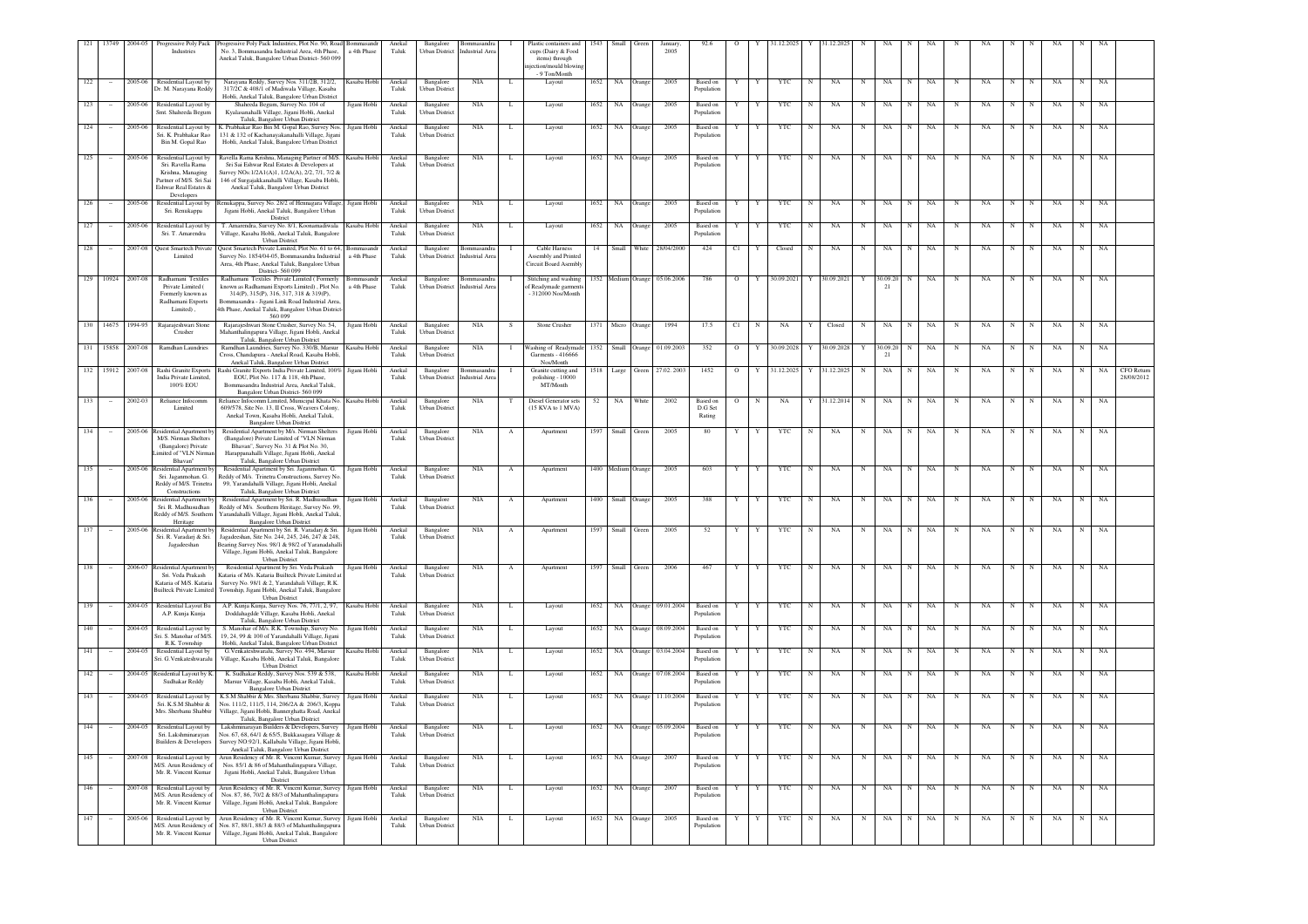| 121 |       | 13749 2004-05     | Progressive Poly Pack<br>Industries                                                                                              | Progressive Poly Pack Industries, Plot No. 90, Roa<br>No. 3, Bommasandra Industrial Area, 4th Phase,<br>Anekal Taluk, Bangalore Urban District- 560 099                                                                                                                         | a 4th Phase  | Aneka<br>Taluk                   | Bangalore<br><b>Urban District</b>        | ndustrial Are                       |                | Plastic containers and<br>cups (Dairy & Food<br>items) through<br>ection/mould blowin<br>- 9 Ton/Month |      |                       | January<br>2005 | 92.6                          |          |            | 1.12.202   |   |             |            |                |   |             |   |           |            |             |             |           |                          |
|-----|-------|-------------------|----------------------------------------------------------------------------------------------------------------------------------|---------------------------------------------------------------------------------------------------------------------------------------------------------------------------------------------------------------------------------------------------------------------------------|--------------|----------------------------------|-------------------------------------------|-------------------------------------|----------------|--------------------------------------------------------------------------------------------------------|------|-----------------------|-----------------|-------------------------------|----------|------------|------------|---|-------------|------------|----------------|---|-------------|---|-----------|------------|-------------|-------------|-----------|--------------------------|
|     |       | 2005-06           | Residential Layout by<br>Dr. M. Narayana Redd                                                                                    | Narayana Reddy, Survey Nos. 311/2B, 312/2,<br>317/2C & 408/1 of Madiwala Village, Kasaba<br>Hobli, Anekal Taluk, Bangalore Urban District                                                                                                                                       | Kasaba Hobi  | Anekal<br>Taluk                  | Bangalore<br>Urban Distric                | <b>NIA</b>                          |                | Layout                                                                                                 | 1652 | NA<br>)rang           | 2005            | <b>Based</b> on<br>Populatio  |          |            | YTC        |   | $_{\rm NA}$ |            | NA             |   |             |   |           |            |             |             |           |                          |
| 123 |       | 2005-06           | Residential Layout by<br>Smt. Shaheeda Begum                                                                                     | Shaheeda Begum, Survey No. 104 of<br>Kyalasanahalli Village, Jigani Hobli, Anekal<br>Taluk, Bangalore Urban District                                                                                                                                                            | Jigani Hobli | Anekal<br>Taluk                  | Bangalore<br><b>Urban District</b>        | <b>NIA</b>                          | $\mathbf{L}$   | Layout                                                                                                 |      | 1652 NA<br>Orang      | 2005            | Based on<br>Population        |          |            | <b>YTC</b> |   | NA          | N          | NA             |   | NA.         | N | <b>NA</b> | N          |             | <b>NA</b>   | NA        |                          |
| 124 |       | 2005-06           | Residential Layout by<br>Sri. K. Prabhakar Rao<br>Bin M. Gopal Rao                                                               | Prabhakar Rao Bin M. Gopal Rao, Survey Nos.<br>131 & 132 of Kachanayakanahalli Village, Jigani<br>Hobli, Anekal Taluk, Bangalore Urban District                                                                                                                                 | Jigani Hobli | Aneka<br>Taluk                   | Bangalore<br><b>Urban District</b>        | <b>NIA</b>                          | L              | Layout                                                                                                 | 1652 | NA<br>Orango          | 2005            | Based on<br>Populatio         |          |            | <b>YTC</b> |   | NA          |            | NA             |   | NA          |   | NA        |            |             | NA          |           |                          |
| 125 |       | 2005-06           | Residential Layout by<br>Sri. Ravella Rama<br>Krishna, Managing<br>Partner of M/S. Sri Sa<br>Eshwar Real Estates &<br>Developers | Ravella Rama Krishna, Managing Partner of M/S.<br>Sri Sai Eshwar Real Estates & Developers at<br>arvey NOs: 1/2A1(A)1, 1/2A(A), 2/2, 7/1, 7/2 &<br>146 of Surgajakkanahalli Village, Kasaba Hobli,<br>Anekal Taluk, Bangalore Urban District                                    | Kasaba Hobl  | Anekal<br>Taluk                  | Bangalore<br>Urban Distric                | NIA.                                | $\mathbf{L}$   | Layout                                                                                                 | 1652 | NA<br>Orano           | 2005            | Based on<br>Population        |          |            | <b>YTC</b> |   | <b>NA</b>   |            | NA             |   | NA.         |   | NA        | N          |             | NA          |           |                          |
| 126 |       | 2005-06           | Residential Lavout by<br>Sri. Renukappa                                                                                          | Renukappa, Survey No. 28/2 of Hennagara Village,<br>Jigani Hobli, Anekal Taluk, Bangalore Urban<br>District                                                                                                                                                                     | Jigani Hobli | Anckal<br>${\rm \texttt{Taluk}}$ | Bangalore<br>Urban Distric                | NIA                                 | L              | Layout                                                                                                 | 1652 | I NA<br>Orang         | 2005            | Based on<br>Population        |          |            | <b>YTC</b> |   | NA          |            | NA             |   | <b>NA</b>   |   | <b>NA</b> |            |             | NA          |           |                          |
| 127 |       | 2005-06           | Residential Layout by<br>Sri, T. Amarendra                                                                                       | T. Amarendra, Survey No. 8/1, Koonamadiwala<br>Village, Kasaba Hobli, Anekal Taluk, Bangalore<br><b>Urban District</b>                                                                                                                                                          | Casaba Hob   | Aneka<br>Taluk                   | Bangalore<br><b>Urban Distric</b>         | NIA                                 |                | Layou                                                                                                  | 1652 | NA<br>Orang           | 2005            | Based on<br>Population        |          |            | <b>YTC</b> |   | NA          |            | NA             |   | NA          |   | NA        |            |             | NA          |           |                          |
| 128 |       |                   | 2007-08 Ouest Smartech Private<br>Limited                                                                                        | Ouest Smartech Private Limited, Plot No. 61 to 64. Bommasand<br>Survey No. 1854/04-05, Bommasandra Industrial<br>Area, 4th Phase, Anekal Taluk, Bangalore Urban                                                                                                                 | a 4th Phase  | Anekal<br>Taluk                  | Bangalore<br>Urban Distric                | <b>Bommasandra</b><br>ndustrial Are |                | Cable Harness<br>Assembly and Printec<br>Circuit Board Asembl                                          | 14   | Small<br>White        | 28/04/2000      | 424                           | C1       |            | Closed     |   | NA          | N          | <b>NA</b>      |   | NA          |   | NA        |            |             | NA          | NA        |                          |
|     |       | 129 10924 2007-08 | Radhamani Textiles<br>Private Limited (<br>Formerly known as<br>Radhamani Exports<br>Limited),                                   | District- 560 099<br>Radhamani Textiles Private Limited (Formerly<br>known as Radhamani Exports Limited) . Plot No.<br>314(P), 315(P), 316, 317, 318 & 319(P),<br>nmasandra - Jigani Link Road Industrial Area,<br>4th Phase, Anekal Taluk, Bangalore Urban District<br>560 099 | a 4th Phase  | Anekal<br>Taluk                  | Bangalore<br><b>Urban District</b>        | Rommasandra<br>Industrial Area      |                | Stitching and washing<br>of Readymade garmen<br>- 312000 Nos/Month                                     |      | 1352 Medium Orange    | 05.06.2006      | 786                           | $\Omega$ |            | 30.09.2021 |   | 30.09.2021  |            | 30.09.20<br>21 |   | NA          |   | <b>NA</b> |            |             | NA          | <b>NA</b> |                          |
| 130 |       |                   | 14675 1994-95 Rajarajeshwari Stone<br>Crusher                                                                                    | Rajarajeshwari Stone Crusher, Survey No. 54.<br>Mahanthalingapura Village, Jigani Hobli, Anekal<br>Taluk, Bangalore Urban District                                                                                                                                              | Jigani Hobli | Anekal<br>Taluk                  | Bangalore<br><b>Urban District</b>        | <b>NIA</b>                          | -S             | Stone Crusher                                                                                          |      | 1371 Micro Orang      | 1994            | 17.5                          | C1       | $_{\rm N}$ | NA         | Y | Closed      | $_{\rm N}$ | <b>NA</b>      | N | <b>NA</b>   | N | <b>NA</b> | N          | $\mathbf N$ | <b>NA</b>   | NA<br>N   |                          |
| 131 | 15858 | 2007-08           | Ramdhan Laundries                                                                                                                | Ramdhan Laundries, Survey No. 330/B, Marsur<br>Cross, Chandapura - Anekal Road, Kasaba Hobli,<br>Anekal Taluk, Bangalore Urban District                                                                                                                                         | Kasaba Hobi  | Anekal<br>Taluk                  | Bangalore<br>Urban Distric                | <b>NIA</b>                          |                | Washing of Readymade<br>Garments - 416666<br>Nos/Month                                                 | 1352 | Small<br>Orange       | 01.09.2003      | 352                           | $\circ$  |            | 0.09.2028  |   | 30.09.2028  |            | 0.09.20<br>21  |   | NA          | N | NA        | $_{\rm N}$ |             | $_{\rm NA}$ | NA        |                          |
| 132 |       | 15912 2007-08     | Rashi Granite Exports<br>India Private Limited.<br>100% EOU                                                                      | Rashi Granite Exports India Private Limited, 100%<br>EOU. Plot No. 117 & 118, 4th Phase.<br>ommasandra Industrial Area, Anekal Taluk,<br>Bangalore Urban District-560 099                                                                                                       | Jigani Hobli | Anekal<br>Taluk                  | Bangalore<br><b>Urban District</b>        | <b>Bommasandra</b><br>ndustrial Are |                | Granite cutting and<br>polishing - 10000<br>MT/Month                                                   |      | 1518 Large<br>Green   | 27.02.2003      | 1452                          | $\circ$  |            | 31.12.2025 |   | 31.12.2025  | N          | NA             |   | NA          | N | NA        | N          |             | NA          |           | CEO Return<br>28/08/2012 |
| 133 |       | 2002-03           | Reliance Infocomn<br>Limited                                                                                                     | Reliance Infocomm Limited, Municipal Khata No.<br>609/578, Site No. 13, II Cross, Weavers Colony,<br>Anekal Town, Kasaba Hobli, Anekal Taluk,<br><b>Bangalore Urban District</b>                                                                                                | Kasaba Hobi  | Anekal<br>Taluk                  | Bangalore<br><b>Urban Distric</b>         | <b>NIA</b>                          |                | Diesel Generator sets<br>(15 KVA to 1 MVA)                                                             | 52   | NA<br>White           | 2002            | Based<br>D.G Set<br>Rating    |          |            | NA         |   | 31.12.2014  |            | NA             |   | NA          |   | NA        |            |             | NA          | NA        |                          |
| 134 |       | 2005-06           | Residential Apartment b<br>M/S. Nirman Shelters<br>(Bangalore) Private<br>mited of "VLN Nirms<br>Bhavan"                         | Residential Apartment by M/s. Nirman Shelters<br>(Bangalore) Private Limited of "VLN Nirman<br>Bhavan", Survey No. 31 & Plot No. 30,<br>Harappanahalli Village, Jigani Hobli, Anekal<br>Taluk, Bangalore Urban District                                                         | Jigani Hobli | Anekal<br>Taluk                  | Bangalore<br>Urban Distric                | <b>NIA</b>                          | A              | Apartment                                                                                              | 1597 | Small<br>Green        | 2005            | -80                           |          |            | YTC        |   | NA          | N          | NA             |   | NA          |   | NA        |            |             | NA          |           |                          |
|     |       |                   | Residential Apartment b<br>Sri. Jaganmohan. G.<br>Reddy of M/S. Trinetra<br>Constructions                                        | Residential Apartment by Sri. Jaganmohan. G.<br>teddy of M/s. Trinetra Constructions, Survey No.<br>99, Yarandahalli Village, Jigani Hobli, Anekal<br>Taluk, Bangalore Urban District                                                                                           | Jigani Hobli | Anekal<br>Taluk                  | Bangalore<br>Urban Distric                | <b>NIA</b>                          | A              | Apartment                                                                                              | 1400 | Mediu<br>Orang        | 2005            | 603                           |          |            | YTC        |   | NA          |            | NA             |   |             |   | NA        |            |             | NA          |           |                          |
| 136 |       |                   | 2005-06 Residential Apartment b<br>Sri. R. Madhusudhan<br>Reddy of M/S. Southern<br>Heritage                                     | Residential Apartment by Sri, R. Madhusudhan<br>Reddy of M/s. Southern Heritage, Survey No. 99,<br>Yarandahalli Village, Jigani Hobli, Anekal Taluk,<br>Bangalore Urban District                                                                                                | Jigani Hobli | Anekal<br>Taluk                  | Bangalore<br><b>Urban District</b>        | <b>NIA</b>                          | $\mathbf{A}$   | Apartment                                                                                              |      | 1400 Small Orange     | 2005            | 388                           |          |            | YTC        |   | NA          |            | NA             |   | NA          |   | NA        | N          |             | NA          |           |                          |
| 137 |       | 2005-06           | ntial Apartment b<br>Sri. R. Varadarj & Sri.<br>Jagadeeshan                                                                      | Residential Apartment by Sri. R. Varadarj & Sri.<br>Jagadeeshan, Site No. 244, 245, 246, 247 & 248,<br>Bearing Survey Nos. 98/1 & 98/2 of Yaranadahall<br>Village, Jigani Hobli, Anekal Taluk, Bangalore                                                                        | Jigani Hobli | Anekal<br>Taluk                  | Bangalore<br><b>Urban Distric</b>         | <b>NIA</b>                          | $\mathbf{A}$   | Apartment                                                                                              |      | 1597 Small<br>Green   | 2005            | 52                            |          |            | YTC        |   | NA          | N          | NA             |   | NA          |   | NA        |            |             | NA          | NA        |                          |
| 138 |       | 2006-07           | esidential Apartment b<br>Sri, Veda Prakash<br>Kataria of M/S Kataria<br><b>Builteck Private Limited</b>                         | <b>Urban District</b><br>Residential Apartment by Sri. Veda Prakash<br>Kataria of M/s. Kataria Builteck Private Limited a<br>Survey No. 98/1 & 2, Yarandahali Village, R.K.<br>Township, Jigani Hobli, Anekal Taluk, Bangalore<br><b>Urban District</b>                         | Jigani Hobli | Aneka<br>Taluk                   | Bangalore<br>Urban Distric                | <b>NIA</b>                          | A              | Apartment                                                                                              | 1597 | Small<br>Green        | 2006            |                               |          |            | <b>YTC</b> |   | NA          |            | NA             |   | NA          |   | NA        |            |             | NA          |           |                          |
|     |       | $2004 - 02$       | Residential Lavout Br<br>A.P. Kunja Kunja                                                                                        | A.P. Kunja Kunja, Survey Nos. 76, 77/1, 2, 97,<br>Doddahagdde Village, Kasaba Hobli, Anekal<br>Taluk, Bangalore Urban District                                                                                                                                                  | Kasaba Hobi  | Aneka<br>Taluk                   | Bangalore<br><b>Urban Distric</b>         | <b>NIA</b>                          |                | Layout                                                                                                 |      | $1652$ NA<br>Orange   | 09.01.2004      | Based on<br>Population        |          |            | YTC        |   | NA          |            | NA             |   | NA          |   | NA        |            |             | NA          |           |                          |
|     |       |                   | 2004-05 Residential Lavout by<br>Sri. S. Manohar of M/S<br>R.K. Township                                                         | S. Manohar of M/s. R.K. Township, Survey No.<br>19, 24, 99 & 100 of Yarandahalli Village, Jigani<br>Hobli, Anekal Taluk, Bangalore Urban District                                                                                                                               | Jigani Hobli | Anekal<br>Taluk                  | <b>Bangalore</b><br><b>Urban District</b> | NIA                                 | $\mathbf{I}$ . | Layout                                                                                                 |      | 1652 NA<br>Orange     | 08 09 2004      | <b>Based</b> on<br>Population |          |            | <b>YTC</b> |   | NA          |            | NA             |   | NA.         |   | <b>NA</b> |            |             | NA          |           |                          |
|     |       |                   | Residential Layout by<br>Sri. G. Venkateshwaral                                                                                  | G.Venkateshwaralu, Survey No. 494, Marsur<br>Village, Kasaba Hobli, Anekal Taluk, Bangalore<br><b>Urban District</b>                                                                                                                                                            |              | Aneka<br>Taluk                   | Bangalore<br><b>Urban Distric</b>         | NIA                                 |                | Layout                                                                                                 | 1652 | NA                    | 03.04.20        | <b>Based</b> on<br>Population |          |            | YTC        |   | NA          |            | NA             |   | NA          |   | NA        |            |             |             |           |                          |
| 142 |       |                   | 2004-05 Residential Lavout by K<br>Sudhakar Reddy                                                                                | K. Sudhakar Reddy, Survey Nos. 539 & 538,<br>Marsur Village, Kasaba Hobli, Anekal Taluk,<br><b>Bangalore Urban District</b>                                                                                                                                                     | Kasaba Hobl  | Anekal<br>Taluk                  | Bangalore<br>Urban Distric                | NIA.                                | L              | Layout                                                                                                 | 1652 | NA<br>Orang           | 07.08.2004      | Based on<br>Population        |          |            | <b>YTC</b> |   | <b>NA</b>   | N          | NA             |   | NA          | N | <b>NA</b> | N          | $_{\rm N}$  | NA          | NA        |                          |
| 143 |       | 2004-05           | Residential Layout by<br>Sri, K.S.M Shabbir &<br>Mrs Sherbanu Shabbir                                                            | K.S.M Shabbir & Mrs. Sherbanu Shabbir, Survey<br>Nos. 111/2, 111/5, 114, 206/2A & 206/3, Koppa<br>Village, Jigani Hobli, Bannerghatta Road, Anekal<br>Taluk. Bangalore Urban District                                                                                           | Jigani Hobli | Anekal<br>Taluk                  | Bangalore<br><b>Urban Distric</b>         | <b>NIA</b>                          | L              | Layout                                                                                                 | 1652 | $_{\rm NA}$<br>Orange | 11.10.2004      | Based on<br>Populatio         |          |            | <b>YTC</b> |   | $_{\rm NA}$ | N          | $_{\rm NA}$    |   | $_{\rm NA}$ | N | NA        | $_{\rm N}$ |             | $_{\rm NA}$ |           |                          |
| 144 |       | 2004-05           | Residential Layout by<br>Sri. Lakshminarayan<br><b>Builders &amp; Developers</b>                                                 | Lakshminaravan Builders & Developers, Survey<br>Nos. 67, 68, 64/1 & 65/5, Bukkasagara Village &<br>Survey NO:92/1, Kallabalu Village, Jigani Hobli,<br>Anekal Taluk, Bangalore Urban District                                                                                   | Jigani Hobli | Anckal<br>Taluk                  | Bangalore<br>Urban Distric                | NIA                                 | L              | Layout                                                                                                 | 1652 | NA<br>Orang           | 05.09.2004      | Based on<br>Populatio         |          |            | <b>YTC</b> |   | NA          | N          | NA             |   | NA          |   | NA        | N          |             | NA          |           |                          |
| 145 |       |                   | 2007-08 Residential Lavout by<br>M/S. Arun Residency of<br>Mr. R. Vincent Kumar                                                  | Arun Residency of Mr. R. Vincent Kumar, Survey<br>Nos. 85/1 & 86 of Mahanthalingapura Village,<br>Jigani Hobli, Anekal Taluk, Bangalore Urban<br>District                                                                                                                       | Jigani Hobli | Anekal<br>Taluk                  | Bangalore<br><b>Urban District</b>        | <b>NIA</b>                          | L              | Layout                                                                                                 | 1652 | NA<br>Orang           | 2007            | Based on<br>Population        |          |            | <b>YTC</b> |   | NA          |            | NA             |   | NA          |   | NA        | N          |             | NA          |           |                          |
|     |       | 2007-08           | Residential Layout by<br>M/S. Arun Residency of<br>Mr R Vincent Kumar                                                            | Arun Residency of Mr. R. Vincent Kumar, Survey<br>Nos. 87, 86, 70/2 & 88/3 of Mahanthalingapura<br>Village, Jigani Hobli, Anekal Taluk, Bangalore<br><b>Urban District</b>                                                                                                      | Jigani Hobli | Aneka<br>Taluk                   | Bangalore<br><b>Urban Distric</b>         | <b>NIA</b>                          |                | Layout                                                                                                 | 1652 | - NA<br><b>Drang</b>  | 2007            | Based or<br>Population        |          |            | YTC        |   | NA          |            | NA             |   | NA          |   | NA        |            |             | NA          |           |                          |
|     |       | 2005-06           | Residential Lavout by<br>M/S. Arun Residency of<br>Mr. R. Vincent Kumar                                                          | Arun Residency of Mr. R. Vincent Kumar, Survey<br>Nos. 87, 88/1, 88/3 & 88/3 of Mahanthalingapura<br>Village, Jigani Hobli, Anekal Taluk, Bangalore<br><b>Urban District</b>                                                                                                    | Jigani Hobli | Anekal<br>Taluk                  | Bangalore<br><b>Urban Distric</b>         | <b>NIA</b>                          | L              | Layout                                                                                                 |      | 1652 NA<br>Orange     | 2005            | <b>Based</b> on<br>Population |          |            | <b>YTC</b> |   | NA          |            | NA             |   | NA          |   | NA        |            |             | NA.         |           |                          |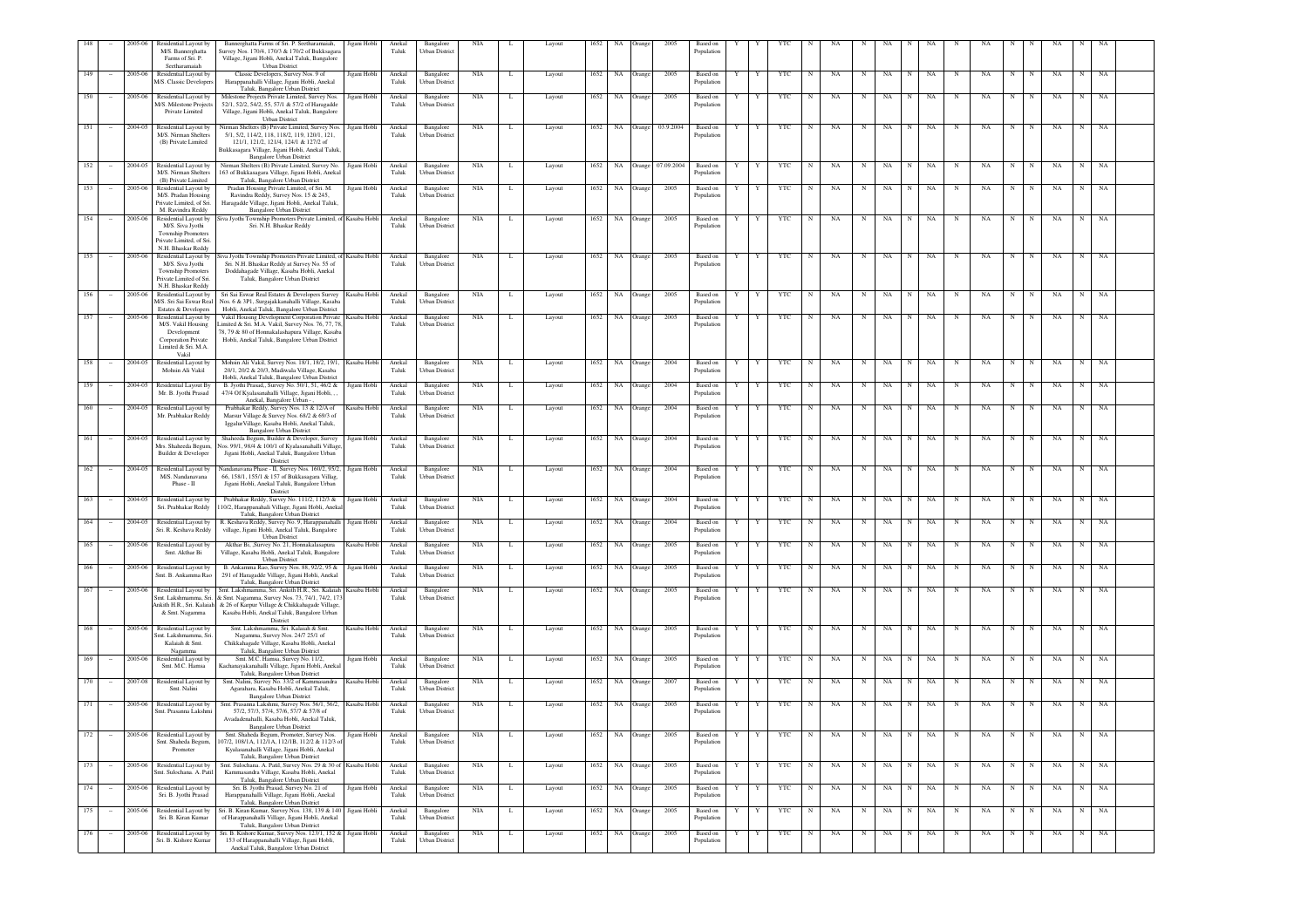|     |             | Residential Layout by<br>M/S. Bannerghatta<br>Farms of Sri P<br>Seetharamaiah                                     | Bannerghatta Farms of Sri. P. Seetharamaiah,<br>Survey Nos. 170/4, 170/3 & 170/2 of Bukksagara<br>Village, Jigani Hobli, Anekal Taluk, Bangalore<br>Urban District                                                                    | Jigani Hobl  | Aneka<br>Taluk                   | Bangalore<br><b>Urban Distric</b>  | <b>NIA</b>   |                | Layout | 652  | NA             |              | 200               | <b>Based</b> on<br>Population |  |            |   |             |   |             |             |            |             |            |           |           |  |
|-----|-------------|-------------------------------------------------------------------------------------------------------------------|---------------------------------------------------------------------------------------------------------------------------------------------------------------------------------------------------------------------------------------|--------------|----------------------------------|------------------------------------|--------------|----------------|--------|------|----------------|--------------|-------------------|-------------------------------|--|------------|---|-------------|---|-------------|-------------|------------|-------------|------------|-----------|-----------|--|
| 149 | 2005-06     | Residential Layout by<br>M/S. Classic Develope                                                                    | Classic Developers, Survey Nos. 9 of<br>Harappanahalli Village, Jigani Hobli, Anekal<br>Taluk, Bangalore Urban District                                                                                                               | Jigani Hobli | Anekal<br>Taluk                  | Bangalore<br>Urban Distric         | <b>NIA</b>   | τ              | Layout | 1652 | NA             | Orange       | 2005              | Based on<br>Populatio         |  | <b>YTC</b> |   | <b>NA</b>   |   | NA          | NA          |            | NA          |            | <b>NA</b> |           |  |
| 150 | 2005-06     | Residential Layout by<br>M/S. Milestone Project<br>Private Limited                                                | Milestone Projects Private Limited, Survey Nos.<br>52/1, 52/2, 54/2, 55, 57/1 & 57/2 of Haragadde<br>Village, Jigani Hobli, Anekal Taluk, Bangalore<br><b>Urban District</b>                                                          | Jigani Hobli | Anekal<br>Taluk                  | Bangalore<br><b>Urban District</b> | <b>NIA</b>   | T              | Layout |      | 1652 NA Orange |              | 2005              | Based on<br>Population        |  | <b>YTC</b> |   | <b>NA</b>   |   | NA.         | <b>NA</b>   |            | NA          |            | NA        | NA        |  |
| 151 | 2004-05     | Residential Layout by<br>M/S. Nirman Shelters<br>(B) Private Limited                                              | Nirman Shelters (B) Private Limited, Survey Nos.<br>5/1.5/2.114/2.118.118/2.119.120/1.121.<br>121/1, 121/2, 121/4, 124/1 & 127/2 of<br>Bukkasagara Village, Jigani Hobli, Anekal Taluk<br><b>Bangalore Urban District</b>             | ligani Hobli | Anekal<br>Taluk                  | Bangalore<br>Urban Distric         | <b>NIA</b>   | L              | Layout | 1652 | NA             | Orange       | 03.9.2004         | Based on<br>Population        |  | YTC        |   | NA          |   | NA          | NA          |            | NA          |            | NA        |           |  |
| 152 | 2004-05     | Residential Layout by<br>M/S Nirman Shelters                                                                      | Nirman Shelters (B) Private Limited, Survey No.<br>163 of Bukkasagara Village, Jigani Hobli, Aneka                                                                                                                                    | Jigani Hobl  | Anekal<br>Taluk                  | Bangalore<br>Urban Distrio         | <b>NIA</b>   | L              | Layout |      | 1652 NA        |              | Orange 07.09.2004 | Based o<br>Population         |  | YTC        |   | NA          |   | NA          | NA          | N          | NA          |            | NA        |           |  |
| 153 | 2005-06     | (B) Private Limited<br>Residential Layout by<br>M/S. Pradan Housing<br>Private Limited of Sri                     | Taluk, Bangalore Urban District<br>Pradan Housing Private Limited, of Sri. M.<br>Ravindra Reddy, Survey Nos. 15 & 245.<br>Haragadde Village, Jigani Hobli, Anekal Taluk                                                               | Jigani Hobl  | Anckal<br>Taluk                  | Bangalore<br>Urban Distric         | $_{\rm NIA}$ | L              | Layout | 1652 | NA             | Orange       | 2005              | Based on<br>Population        |  | <b>YTC</b> | N | NA          |   | NA          | NA          |            | NA          |            | NA        | NA        |  |
| 154 | 2005-06     | M. Ravindra Reddy<br>Residential Layout by<br>M/S. Siva Jyothi                                                    | Bangalore Urban District<br>Siva Jvothi Township Promoters Private Limited, of Kasaba Hobi<br>Sri. N.H. Bhaskar Reddy                                                                                                                 |              | Anekal<br>Taluk                  | Bangalore<br>Urban Distrio         | <b>NIA</b>   | L              | Lavout | 1652 | NA             | Orange       | 2005              | Based on<br>Population        |  | YTC        |   | <b>NA</b>   |   | <b>NA</b>   | NA          |            | <b>NA</b>   |            | NA        |           |  |
| 155 | 2005-06     | <b>Township Promoters</b><br>Private Limited of Sri<br>N.H. Bhaskar Reddy<br>Residential Lavout by                | Siva Jvothi Township Promoters Private Limited, of Kasaba Hobi                                                                                                                                                                        |              | Anekal                           | Bangalore                          | <b>NIA</b>   | L              | Layout | 1652 | <b>NA</b>      | Orange       | 2005              | Based on                      |  | YTC        |   | NA          |   | NA          | NA          |            | <b>NA</b>   |            | NA        |           |  |
|     |             | M/S. Siva Jyothi<br>Township Promoters<br>Private Limited of Sri<br>N.H. Bhaskar Reddy                            | Sri. N.H. Bhaskar Reddy at Survey No. 55 of<br>Doddahagade Village, Kasaba Hobli, Anekal<br>Taluk, Bangalore Urban District                                                                                                           |              | Taluk                            | Urban Distric                      |              |                |        |      |                |              |                   | Population                    |  |            |   |             |   |             |             |            |             |            |           |           |  |
| 156 | 2005-06     | Residential Layout by<br>M/S. Sri Sai Eswar Rea<br>Estates & Developers                                           | Sri Sai Eswar Real Estates & Developers Survey Kasaba Hobi<br>Vos. 6 & 3P1, Surgajakkanahalli Village, Kasaba<br>Hobli, Anekal Taluk, Bangalore Urban District                                                                        |              | Anekal<br>Taluk                  | Bangalore<br>Jrban Distri          | NIA          | L              | Layout | 1652 | NA             | Orange       | 2005              | Based on<br>Population        |  | <b>YTC</b> | N | NA          | N | <b>NA</b>   | NA          | N          | <b>NA</b>   | N          | NA        | NA        |  |
| 157 | 2005-06     | Residential Layout by<br>M/S. Vakil Housing<br>Development<br>Corporation Private<br>Limited & Sri. M.A.<br>Vakil | Vakil Housing Development Corporation Private<br>Limited & Sri. M.A. Vakil, Survey Nos. 76, 77, 78.<br>8, 79 & 80 of Honnakalashapura Village, Kasaba<br>Hobli, Anekal Taluk, Bangalore Urban District                                | Kasaba Hob   | Anekal<br>Taluk                  | Bangalor<br><b>Urban Distric</b>   | $_{\rm NIA}$ | L              | Layout | 1652 | $_{\rm NA}$    | <b>Orang</b> | 2005              | Based on<br>Population        |  | YTC        | N | NA          | N | NA          | NA          | N          | NA          | $_{\rm N}$ | NA        | <b>NA</b> |  |
|     | 2004-05     | Residential Layout by<br>Mohsin Ali Vakil                                                                         | Mohsin Ali Vakil, Survey Nos. 18/1, 18/2, 19/1,<br>20/1, 20/2 & 20/3. Madiwala Village, Kasaba<br>Hobli, Anekal Taluk, Bangalore Urban District                                                                                       | Kasaba Hobi  | Anekal<br>Taluk                  | Bangalore<br>Urban Distric         | <b>NIA</b>   | $\mathbf{I}$ . | Layout |      | $1652$ NA      | Orang        | 2004              | Based on<br>Population        |  | <b>YTC</b> |   | <b>NA</b>   |   | NA.         | NA          |            | NA          |            | NA        |           |  |
|     | 2004-05     | Residential Layout By<br>Mr. B. Jyothi Prasad                                                                     | B. Jyothi Prasad,, Survey No. 50/1, 51, 46/2 &<br>47/4 Of Kyalasanahalli Village, Jigani Hobli, ,<br>Anekal, Bangalore Urban                                                                                                          | ligani Hobl  | Anckal<br>Taluk                  | Bangalore<br>Urban Distric         | <b>NIA</b>   |                | Layout | 1652 | NA             |              | 2004              | <b>Based</b> on<br>Population |  | YTC        |   | NA          |   |             |             |            | NA          |            |           |           |  |
| 160 | 2004-05     | Residential Layout by<br>Mr. Prabhakar Reddy                                                                      | Prabhakar Reddy, Survey Nos. 13 & 12/A of<br>Marsur Village & Survey Nos. 68/2 & 69/3 of<br>Iggalur Village, Kasaba Hobli, Anekal Taluk,<br><b>Bangalore Urban District</b>                                                           | asaba Hob    | Anekal<br>Taluk                  | Bangalore<br>Urban Distric         | NIA          |                | Layout | 1652 | NA             | <b>Drang</b> | 2004              | <b>Based</b> on<br>Population |  | YTC        |   | NA          |   | NA          |             |            | NA          |            | NA        |           |  |
|     | 2004-05     | Residential Lavout by<br>Mrs. Shaheeda Begum.<br>Builder & Developer                                              | Shaheeda Begum, Builder & Developer, Survey<br>los. 99/1, 98/4 & 100/1 of Kyalasanahalli Village<br>Jigani Hobli, Anekal Taluk, Bangalore Urban                                                                                       | Jigani Hobl  | Anekal<br>${\rm \texttt{Taluk}}$ | Bangalore<br>Urban Distric         | <b>NIA</b>   | L              | Layout | 1652 | NA             | Orang        | $200-$            | Based on<br>Population        |  | YTC        |   | NA          |   |             |             |            | NA          |            |           |           |  |
| 162 | 2004-05     | Residential Layout by<br>M/S. Nandanavana<br>Phase - II                                                           | District<br>Nandanayana Phase - II. Survey Nos. 160/2, 95/2.<br>66, 158/1, 155/1 & 157 of Bukkasagara Villag.<br>Jigani Hobli, Anekal Taluk, Bangalore Urban                                                                          | Jigani Hobl  | Anekal<br>Taluk                  | Bangalore<br><b>Urban Distric</b>  | <b>NIA</b>   | T              | Layout |      | 1652 NA        | Orange       | 2004              | Based on<br>Population        |  | <b>YTC</b> | N | NA          |   | NA.         | NA          |            | NA.         | N          | NA        | NA        |  |
| 163 | 2004-05     | Residential Layout by<br>Sri Prabhakar Reddy                                                                      | District<br>Prabhakar Reddy, Survey No. 111/2, 112/3 &<br>110/2, Harappanahali Village, Jigani Hobli, Aneka<br>Taluk, Bangalore Urban District                                                                                        | Jigani Hobli | Anekal<br>Taluk                  | Bangalore<br><b>Urban District</b> | $_{\rm NIA}$ | L              | Layout | 1652 | NA             | <b>Irang</b> | 2004              | Based on<br>Population        |  | YTC        |   | NA          | N | $_{\rm NA}$ | $_{\rm NA}$ | N          | NA          |            | NA        | NA        |  |
| 164 | 2004-05     | Residential Layout by<br>Sri. R. Keshava Reddy                                                                    | R. Keshava Reddy, Survey No. 9, Harappanahalli<br>village, Jigani Hobli, Anekal Taluk, Bangalore<br><b>Urban District</b>                                                                                                             | Jigani Hobl  | Anekal<br>Taluk                  | Bangalore<br>Urban Distri          | <b>NIA</b>   | L              | Lavout | 1652 | <b>NA</b>      | Orange       | 2004              | Based on<br>Populatio         |  | <b>YTC</b> | N | <b>NA</b>   | N | <b>NA</b>   | NA          | N          | <b>NA</b>   | N          | NA        | NA        |  |
| 165 | 2005-06     | Residential Layout by<br>Smt. Akthar Bi                                                                           | Akthar Bi. ,Survey No. 21, Honnakalasapura<br>Village, Kasaba Hobli, Anekal Taluk, Bangalore<br>Urban District                                                                                                                        | Kasaba Hob   | Anekal<br>Taluk                  | Bangalore<br><b>Urban Distric</b>  | <b>NIA</b>   | L              | Layout | 1652 | NA             | Orang        | 2005              | Based on<br>Population        |  | YTC        | N | NA          | N | NA          | NA          | N          | NA          | N          | NA        | NA<br>N   |  |
| 166 | 2005-06     | Residential Layout by<br>Smt. B. Ankamma Ra                                                                       | B. Ankamma Rao, Survey Nos. 88, 92/2, 95 &<br>291 of Haragadde Village, Jigani Hobli, Anekal<br>Taluk, Bangalore Urban District                                                                                                       | Jigani Hobi  | Anckal<br>Taluk                  | Bangalore<br>Urban Distric         | <b>NIA</b>   | L              | Layout | 1652 | NA             | <b>Drang</b> | 2005              | Based on<br>Populatio         |  | YTC        | N | $_{\rm NA}$ |   | NA          | NA          |            | NA          |            | NA        | NA        |  |
| 167 | 2005-06     | Residential Layout by<br>Ankith H R Sri Kalajah<br>& Smt. Nagamma                                                 | Smt. Lakshmamma, Sri. Ankith H.R., Sri. Kalaiah<br>Smt. Lakshmamma, Sri. & Smt. Nagamma, Survey Nos. 73, 74/1, 74/2, 173<br>& 26 of Karpur Village & Chikkahagade Village,<br>Kasaba Hobli, Anekal Taluk, Bangalore Urban<br>District | Kasaba Hobi  | Anckal<br>Taluk                  | Bangalore<br>Urban Distric         | <b>NIA</b>   | L              | Layout | 1652 | NA             | Orange       | 2005              | Based on<br>Population        |  | <b>YTC</b> | N | <b>NA</b>   |   | <b>NA</b>   | NA          | N          | <b>NA</b>   | N          | NA        | <b>NA</b> |  |
| 168 | 2005-06     | Residential Layout by<br>Smt. Lakshmamma, Sri<br>Kalaiah & Smt.                                                   | Smt. Lakshmamma, Sri. Kalaiah & Smt.<br>Nagamma, Survey Nos. 24/7 25/1 of<br>Chikkahagade Village, Kasaba Hobli, Anekal                                                                                                               | Kasaba Hobi  | Anckal<br>Taluk                  | Bangalore<br>Urban Distric         | <b>NIA</b>   | L              | Lavout | 1652 |                | NA Orange    | 2005              | Based on<br>Population        |  | <b>YTC</b> |   | <b>NA</b>   |   | NA          | NA          | N          | NA          |            | NA        | NA        |  |
| 169 | 2005-06     | Nagamma<br>Residential Layout by<br>Smt. M.C. Hamsa                                                               | Taluk, Bangalore Urban District<br>Smt. M.C. Hamsa, Survey No. 11/2,<br>.<br>Kachanayakanahalli Village, Jigani Hobli, Anekal                                                                                                         | Jigani Hobl  | Anckal<br>Taluk                  | Bangalore<br>Urban Distric         | <b>NIA</b>   | τ              | Layout | 1652 | NA             | Orang        | 2005              | Based on<br>Population        |  | <b>YTC</b> | N | NA          |   | NA.         | <b>NA</b>   | N          | <b>NA</b>   | N          | NA        | NA        |  |
| 170 | 2007-08     | Residential Layout b<br>Smt. Nalini                                                                               | Taluk, Bangalore Urban District<br>Smt. Nalini, Survey No. 33/2 of Kamr<br>Agarahara, Kasaba Hobli, Anekal Taluk,<br>Bangalore Urban District                                                                                         | saba Hob     | Anekal<br>Taluk                  | Bangalore<br>Urban Distric         | <b>NIA</b>   | τ              | Layout | 1652 | NA             | )rang        | 2007              | Based or<br>Population        |  | YTC        |   | NA          |   | NA          | NA          |            | NA          |            | NA        | NA        |  |
| 171 | 2005-06     | Residential Layout by<br>Smt. Prasanna Lakshi                                                                     | Smt. Prasanna Lakshmi, Survey Nos. 56/1, 56/2,<br>57/2, 57/3, 57/4, 57/6, 57/7 & 57/8 of<br>Avadadenahalli, Kasaba Hobli, Anekal Taluk,                                                                                               | Kasaba Hob   | Anekal<br>Taluk                  | Bangalore<br>Urban Distric         | <b>NIA</b>   | L              | Layout | 1652 | NA             | Orange       | 2005              | <b>Based</b> on<br>Population |  | YTC        |   | NA          |   | NA          | NA          |            | NA          |            | NA        |           |  |
| 172 | 2005-06     | Residential Layout by<br>Smt. Shaheda Begum,<br>Promoter                                                          | <b>Bangalore Urban District</b><br>Smt Shaheda Begum Promoter Survey Nos<br>)7/2, 108/1A, 112/1A, 112/1B, 112/2 & 112/3 o<br>Kyalasanahalli Village, Jigani Hobli, Anekal                                                             | Jigani Hobli | Anekal<br>Taluk                  | Bangalore<br>Urban Distric         | <b>NIA</b>   | $\mathbf{L}$   | Layout | 1652 | NA             | Orang        | 2005              | Based on<br>Population        |  | <b>YTC</b> | N | <b>NA</b>   |   | NA          | NA          | N          | NA          | N          | NA        | NA        |  |
|     | 2005-06     | Residential Layout by<br>Smt. Sulochana. A. Patil                                                                 | Taluk, Bangalore Urban District<br>Smt. Sulochana. A. Patil, Survey Nos. 29 & 30 of Kasaba Hobi<br>Kammasandra Village, Kasaba Hobli, Anekal                                                                                          |              | Anekal<br>Taluk                  | Bangalore<br><b>Urban District</b> | <b>NIA</b>   | L              | Layout |      | 1652 NA        | Orang        | 2005              | Based on<br>Population        |  | <b>YTC</b> |   | $_{\rm NA}$ |   | NA          | NA          |            | NA          |            | NA        |           |  |
|     | $2005 - 06$ | Residential Layout by<br>Sri. B. Jyothi Prasad                                                                    | Taluk, Bangalore Urban District<br>Sri. B. Jyothi Prasad, Survey No. 21 of<br>Harappanahalli Village, Jigani Hobli, Anekal<br>Taluk, Bangalore Urban District                                                                         | Jigani Hobl  | Anekal<br>Taluk                  | Bangalore<br>Urban Distric         | <b>NIA</b>   | L              | Layout | 1652 | NA             | <b>Drang</b> | 2005              | Based on<br>Populatio         |  | YTC        | N | $_{\rm NA}$ |   | NA          | NA          | N          | $_{\rm NA}$ | N          | NA        | NA        |  |
| 175 | 2005-06     | Residential Lavout by<br>Sri. B. Kiran Kuma                                                                       | Sri. B. Kiran Kumar, Survey Nos. 138, 139 & 140<br>of Harappanahalli Village, Jigani Hobli, Anekal                                                                                                                                    | Jigani Hobl  | Anekal<br>Taluk                  | Bangalore<br>Urban Distric         | <b>NIA</b>   | L              | Layout | 1652 | NA             | Orang        | 2005              | Based on<br>Population        |  | YTC        | N | NA          |   | NA          | NA          | N          | NA          | N          | NA        | NA        |  |
| 176 | 2005-06     | Residential Layout by<br>Sri, B. Kishore Kuma                                                                     | Taluk, Bangalore Urban District<br>Sri. B. Kishore Kumar, Survey Nos. 123/1, 152 &<br>153 of Harappanahalli Village, Jigani Hobli,<br>Anekal Taluk, Bangalore Urban District                                                          | Jigani Hobl  | Anekal<br>Taluk                  | Bangalore<br><b>Urban Distric</b>  | <b>NIA</b>   | L              | Layout | 1652 | $_{\rm NA}$    | Orange       | 2005              | Based on<br>Population        |  | YTC        | N | $_{\rm NA}$ |   | $_{\rm NA}$ | NA          | $_{\rm N}$ | NA          | $_{\rm N}$ | NA        | <b>NA</b> |  |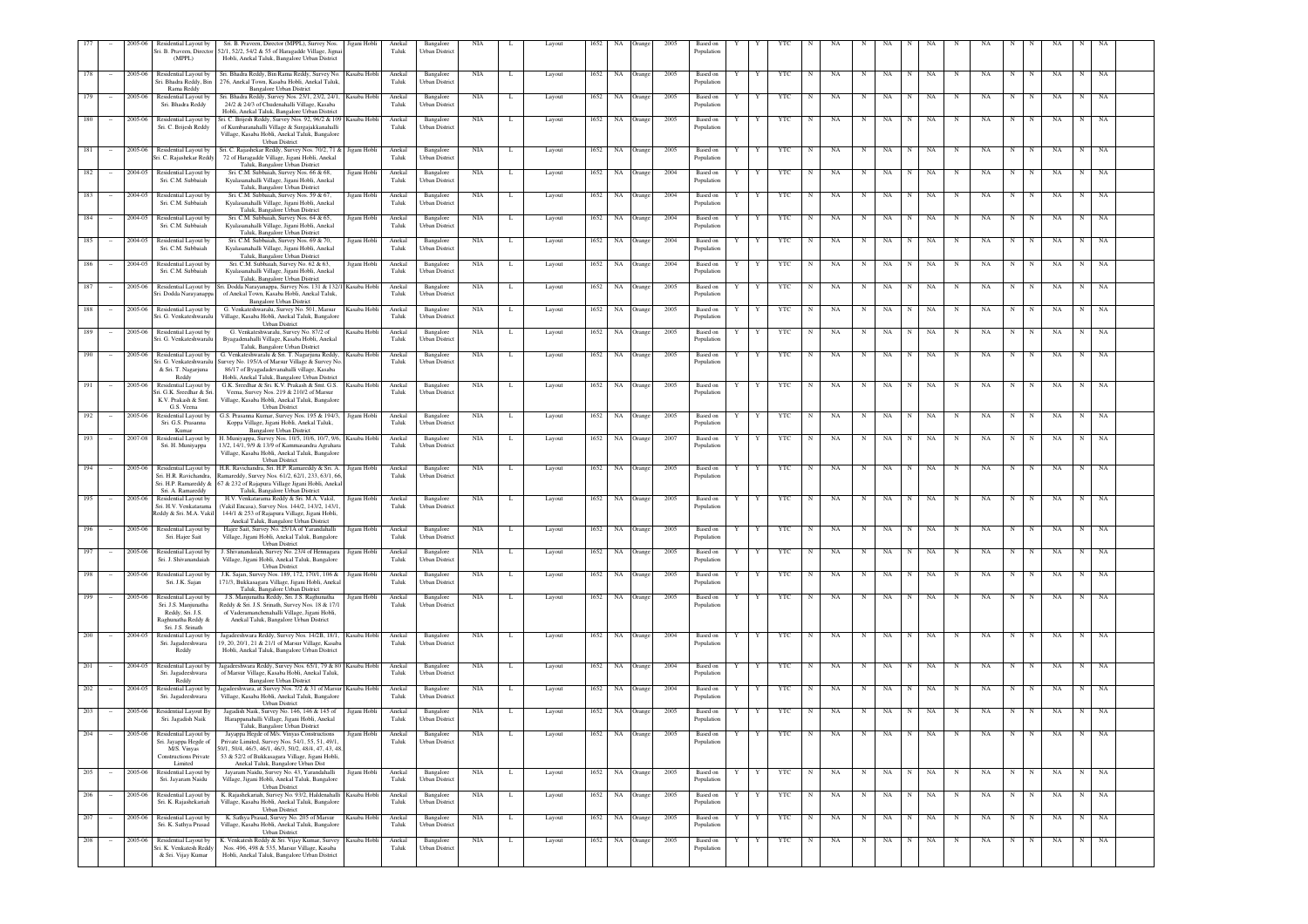|     |        | 2005-06 | Residential Layout by<br>Sri. B. Praveen, Director<br>(MPPL)                                          | Sri. B. Prayeen, Director (MPPL), Survey Nos.<br>52/1, 52/2, 54/2 & 55 of Haragadde Village, Jigna<br>Hobli, Anekal Taluk, Bangalore Urban District                                                       | Jigani Hobli | Anekal<br>Taluk | Bangalore<br><b>Urban District</b> | <b>NIA</b>   |              | Layou  | 1652      | NA<br>Orange       | 2005 | Based on<br>Population        |   |   |            |   |             |   |             |            |             |            |                 |              |   |           |              |             |  |
|-----|--------|---------|-------------------------------------------------------------------------------------------------------|-----------------------------------------------------------------------------------------------------------------------------------------------------------------------------------------------------------|--------------|-----------------|------------------------------------|--------------|--------------|--------|-----------|--------------------|------|-------------------------------|---|---|------------|---|-------------|---|-------------|------------|-------------|------------|-----------------|--------------|---|-----------|--------------|-------------|--|
|     |        |         | 2005-06 Residential Layout by<br>Sri. Bhadra Reddy, Bin<br>Rama Reddy                                 | Sri. Bhadra Reddy, Bin Rama Reddy, Survey No.   Kasaba Hobli<br>276, Anekal Town, Kasaba Hobli, Anekal Taluk,<br><b>Bangalore Urban District</b>                                                          |              | Anckal<br>Taluk | Bangalore<br><b>Urban District</b> | NIA          | L            | Layout |           | 1652 NA<br>Orange  | 2005 | Based on<br>Population        |   |   | <b>YTC</b> |   | NA          |   | NA          |            | NA          |            | NA              |              |   | NA        |              |             |  |
| 179 |        | 2005-06 | Residential Lavout by<br>Sri. Bhadra Reddy                                                            | Sri. Bhadra Reddy, Survey Nos. 23/1, 23/2, 24/1, Kasaba Hobli<br>24/2 & 24/3 of Chudenahalli Village, Kasaba<br>Hobli, Anekal Taluk, Bangalore Urban District                                             |              | Anckal<br>Taluk | Bangalore<br><b>Urban District</b> | <b>NIA</b>   | L            | Layout |           | 1652 NA Orange     | 2005 | Based on<br>Population        |   |   | <b>YTC</b> |   | <b>NA</b>   |   | NA          | N          | NA          | N          | NA              | $\mathbf{N}$ | N | NA        | N            | NA          |  |
| 180 |        | 2005-06 | Residential Layout by<br>Sri. C. Brijesh Reddy                                                        | Sri. C. Brijesh Reddy, Survey Nos. 92, 96/2 & 109<br>of Kumbaranahalli Village & Surgajakkanahalli<br>Village, Kasaba Hobli, Anekal Taluk, Bangalore<br><b>Urban District</b>                             | Kasaba Hobli | Anckal<br>Taluk | Bangalore<br><b>Urban District</b> | <b>NIA</b>   | L            | Layout | 1652      | NA<br>Orange       | 2005 | Based on<br>Population        |   |   | <b>YTC</b> |   | NA          |   | NA          |            | NA          |            | NA              | N            |   | NA        |              |             |  |
| 181 |        | 2005-06 | Residential Layout by<br>Sri. C. Rajashekar Redd                                                      | Sri. C. Rajashekar Reddy, Survey Nos. 70/2, 71 &<br>72 of Haragadde Village, Jigani Hobli, Anekal<br>Taluk, Bangalore Urban District                                                                      | Jigani Hobli | Anekal<br>Taluk | Bangalore<br><b>Urban District</b> | NIA          | L            | Layout | 1652      | NA<br>Orang        | 2005 | Based on<br>Population        |   |   | <b>YTC</b> |   | NA          |   | NA          |            | NA          |            | NA              |              |   | NA        |              |             |  |
| 182 |        | 2004-05 | Residential Layout by<br>Sri, C.M. Subbaiah                                                           | Sri. C.M. Subbaiah, Survey Nos. 66 & 68,<br>Kyalasanahalli Village, Jigani Hobli, Anekal<br>Taluk, Bangalore Urban District                                                                               | Jigani Hobli | Anekal<br>Taluk | Bangalore<br><b>Urban Distric</b>  | NIA          | L            | Layout | 1652      | NA<br>Orange       | 2004 | Based on<br>Population        |   |   | YTC        | N | $_{\rm NA}$ | N | $_{\rm NA}$ | N          | $_{\rm NA}$ | N          | NA              | N            |   | NA        | N            | $_{\rm NA}$ |  |
| 183 |        | 2004-05 | Residential Layout by<br>Sri. C.M. Subbaiah                                                           | Sri. C.M. Subbaiah, Survey Nos. 59 & 67,<br>Kyalasanahalli Village, Jigani Hobli, Anekal<br>Taluk, Bangalore Urban District                                                                               | Jigani Hobli | Anekal<br>Taluk | Bangalore<br><b>Urban District</b> | $_{\rm NIA}$ | L            | Layout | 1652      | NA<br>Orang        | 2004 | <b>Based</b> on<br>Population |   |   | YTC        | N | NA          | N | $_{\rm NA}$ | N          | $_{\rm NA}$ | N          | NA              | N            | N | NA        |              | $_{\rm NA}$ |  |
| 184 | $\sim$ | 2004-05 | Residential Layout by<br>Sri, C.M. Subbaiah                                                           | Sri. C.M. Subbaiah, Survey Nos. 64 & 65,<br>Kyalasanahalli Village, Jigani Hobli, Anekal<br>Taluk, Bangalore Urban District                                                                               | Jigani Hobli | Anckal<br>Taluk | Bangalore<br><b>Urban Distric</b>  | NIA          | L            | Layout |           | 1652 NA<br>Orange  | 2004 | Based on<br>Population        | Y |   | <b>YTC</b> | N | NA          | N | NA          | N          | NA          | N          | NA              | N            | N | NA        | $_{\rm N}$   | <b>NA</b>   |  |
| 185 | $\sim$ |         | 2004-05 Residential Lavout by<br>Sri. C.M. Subbaiah                                                   | Sri. C.M. Subbaiah, Survey Nos. 69 & 70,<br>Kyalasanahalli Village, Jigani Hobli, Anekal<br>Taluk, Bangalore Urban District                                                                               | Jigani Hobli | Anckal<br>Taluk | Bangalore<br><b>Urban District</b> | <b>NIA</b>   | L            | Layout | 1652 NA   | Orange             | 2004 | Based on<br>Population        | Y | Y | <b>YTC</b> | N | NA          | N | <b>NA</b>   | N          | NA          | N          | <b>NA</b>       | N            | N | <b>NA</b> | N            | NA          |  |
| 186 |        | 2004-05 | Residential Layout by<br>Sri, C.M. Subbaiah                                                           | Sri. C.M. Subbaiah, Survey No. 62 & 63,<br>Kyalasanahalli Village, Jigani Hobli, Anekal<br>Taluk, Bangalore Urban District                                                                                | Jigani Hobli | Anekal<br>Taluk | Bangalore<br><b>Urban Distric</b>  | <b>NIA</b>   | L            | Layout |           | 1652 NA<br>Orange  | 2004 | Based on<br>Population        | Y |   | YTC        | N | $_{\rm NA}$ | N | $_{\rm NA}$ | N          | $_{\rm NA}$ | N          | NA              | $_{\rm N}$   | N | NA        | N            | $_{\rm NA}$ |  |
| 187 |        | 2005-06 | Residential Layout by<br>Sri. Dodda Narayanapp                                                        | Sri. Dodda Narayanappa, Survey Nos. 131 & 132/1<br>of Anekal Town, Kasaba Hobli, Anekal Taluk,<br><b>Bangalore Urban District</b>                                                                         | Kasaba Hobli | Anekal<br>Taluk | Bangalore<br><b>Urban District</b> | <b>NIA</b>   | L            | Layout |           | 1652 NA<br>Orang   | 2005 | Based on<br>Population        |   |   | YTC        | N | NA          | N | $_{\rm NA}$ | N          | $_{\rm NA}$ | N          | NA              | N            | N | NA        | N            | NA          |  |
| 188 |        | 2005-06 | Residential Layout by<br>Sri. G. Venkateshwaralı                                                      | G. Venkateshwaralu, Survey No. 501, Marsur<br>Village, Kasaba Hobli, Anekal Taluk, Bangalore<br><b>Urban District</b>                                                                                     | Kasaba Hobli | Anckal<br>Taluk | Bangalore<br><b>Urban District</b> | NIA          | L            | Layout | 1652      | NA<br>Orang        | 2005 | Based on<br>Population        |   |   | YTC        | N | NA          | N | NA          | N          | NA          | N          | NA              | $_{\rm N}$   | N | NA        | N            | NA          |  |
| 189 | $\sim$ | 2005-06 | Residential Layout by<br>Sri. G. Venkateshwaralı                                                      | G. Venkateshwaralu, Survey No. 87/2 of<br>Byagadenahalli Village, Kasaba Hobli, Anekal<br>Taluk Bangalore Urban District                                                                                  | Kasaba Hobli | Anekal<br>Taluk | Bangalore<br><b>Urban Distric</b>  | NIA          | L            | Lavout | 1652      | <b>NA</b><br>Orang | 2005 | Based on<br>Population        |   | Y | <b>YTC</b> | N | <b>NA</b>   | N | NA          | N          | NA          | N          | <b>NA</b>       | N            | N | NA        | N            | NA          |  |
| 190 |        | 2005-06 | Residential Layout by<br>Sri. G. Venkateshwaralı<br>& Sri. T. Nagarjuna<br>Reddy                      | G. Venkateshwaralu & Sri. T. Nagarjuna Reddy,<br>Survey No. 195/A of Marsur Village & Survey No<br>86/17 of Byagadadevanahalli village, Kasaba<br>Hobli, Anekal Taluk, Bangalore Urban District           | Kasaba Hobl  | Anekal<br>Taluk | Bangalore<br><b>Urban District</b> | <b>NIA</b>   |              | Layout | 1652      | NA<br>Orang        | 2005 | <b>Based</b> on<br>Population |   |   | YTC        |   | NA          |   | NA          |            | NA          |            | NA              |              |   | NA        |              |             |  |
| 191 |        |         | 2005-06 Residential Layout by<br>Sri, G.K. Sreedhar & Sr<br>K V Prakash & Smt<br>G.S. Veena           | G.K. Sreedhar & Sri. K.V. Prakash & Smt. G.S.<br>Veena, Survey Nos. 219 & 210/2 of Marsur<br>Village, Kasaba Hobli, Anekal Taluk, Bangalore<br><b>Urban District</b>                                      | Kasaba Hobli | Anekal<br>Taluk | Bangalore<br><b>Urban District</b> | <b>NIA</b>   | L            | Layout |           | 1652 NA<br>Orange  | 2005 | <b>Based</b> on<br>Population |   |   | <b>YTC</b> |   | NA          |   | NA          |            | NA          | N          | NA              | N            |   | NA        |              |             |  |
| 192 |        | 2005-06 | Residential Layout by<br>Sri. G.S. Prasanna<br>Kumar                                                  | G.S. Prasanna Kumar, Survey Nos. 195 & 194/3,<br>Koppa Village, Jigani Hobli, Anekal Taluk,<br><b>Bangalore Urban District</b>                                                                            | Jigani Hobli | Anekal<br>Taluk | Bangalore<br><b>Urban District</b> | <b>NIA</b>   | L            | Layout | 1652      | NA<br>Orange       | 2005 | <b>Based</b> on<br>Population |   |   | <b>YTC</b> |   | <b>NA</b>   |   | NA          |            | NA          | N          | NA              | N            |   | NA.       |              | NA          |  |
| 193 |        | 2007-08 | Residential Layout by<br>Sri. H. Muniyappa                                                            | H. Muniyappa, Survey Nos. 10/5, 10/6, 10/7, 9/6,<br>13/2, 14/1, 9/9 & 13/9 of Kammasandra Agrahara<br>Village, Kasaba Hobli, Anekal Taluk, Bangalore<br><b>Urban District</b>                             | Kasaba Hobl  | Anekal<br>Taluk | Bangalore<br><b>Urban District</b> | <b>NIA</b>   |              | Layout | 1652      | NA<br>Orang        | 2007 | <b>Based</b> on<br>Population |   |   | <b>YTC</b> |   | NA          |   | NA          |            | NA          |            | NA              |              |   |           |              |             |  |
| 194 |        |         | 2005-06 Residential Layout by<br>Sri. H.R. Ravichandra,<br>Sri, H.P. Ramareddy &<br>Sri. A. Ramareddy | H.R. Ravichandra, Sri. H.P. Ramareddy & Sri. A.<br>Ramareddy, Survey Nos. 61/2, 62/1, 233, 63/1, 66<br>67 & 232 of Rajapura Village Jigani Hobli, Anekal<br>Taluk, Bangalore Urban District               | Jigani Hobli | Anekal<br>Taluk | Bangalor<br><b>Urban District</b>  | NIA          | L            | Layout |           | 1652 NA<br>Orang   | 2005 | <b>Based</b> or<br>Population |   |   | <b>YTC</b> |   | NA          |   | NA          |            | NA          | N          | NA              | N            |   | NA        |              | NA          |  |
| 195 |        | 2005-06 | Residential Layout by<br>Sri. H.V. Venkatarama<br>Reddy & Sri. M.A. Vakil                             | H.V. Venkatarama Reddy & Sri. M.A. Vakil,<br>Vakil Encasa), Survey Nos. 144/2, 143/2, 143/1,<br>144/1 & 253 of Rajapura Village, Jigani Hobli,<br>Anekal Taluk, Bangalore Urban District                  | Jigani Hobli | Anekal<br>Taluk | Bangalore<br><b>Urban Distric</b>  | <b>NIA</b>   | L            | Layout | 1652      | NA<br>Orange       | 2005 | Based on<br>Population        |   |   | YTC        | N | $_{\rm NA}$ | N | $_{\rm NA}$ | N          | $_{\rm NA}$ | N          | $_{\rm NA}$     | N            | N | NA        | N            | NA          |  |
| 196 |        | 2005-06 | Residential Layout by<br>Sri. Hajee Sait                                                              | Hajee Sait, Survey No. 25/1A of Yarandahalli<br>Village, Jigani Hobli, Anekal Taluk, Bangalore<br><b>Urban District</b>                                                                                   | Jigani Hobli | Anekal<br>Taluk | Bangalore<br><b>Urban District</b> | <b>NIA</b>   | L            | Layout |           | 1652 NA<br>Orange  | 2005 | Based on<br>Population        |   |   | YTC        | N | NA          | N | $_{\rm NA}$ | N          | $_{\rm NA}$ | $_{\rm N}$ | NA              | $_{\rm N}$   | N | NA        |              | $_{\rm NA}$ |  |
| 197 |        | 2005-06 | Residential Layout by<br>Sri. J. Shivanandaiah                                                        | J. Shivanandaiah, Survey No. 23/4 of Hennagara<br>Village, Jigani Hobli, Anekal Taluk, Bangalore<br><b>Urban District</b>                                                                                 | Jigani Hobli | Anekal<br>Taluk | Bangalore<br><b>Urban District</b> | <b>NIA</b>   | L            | Layout |           | 1652 NA<br>Orang   | 2005 | Based on<br>Population        |   |   | YTC        | N | NA          | N | $_{\rm NA}$ | N          | $_{\rm NA}$ | N          | NA              | N            | N | NA        | N            | NA          |  |
| 198 |        | 2005-06 | Residential Lavout by<br>Sri. J.K. Sajan                                                              | J.K. Sajan, Survey Nos. 189, 172, 170/1, 106 &<br>171/3, Bukkasagara Village, Jigani Hobli, Anekal<br>Taluk, Bangalore Urban District                                                                     | Jigani Hobli | Anekal<br>Taluk | Bangalore<br><b>Urban District</b> | <b>NIA</b>   | $\mathbf{L}$ | Layout | $1652$ NA | Orang              | 2005 | Based on<br>Populatio         |   |   | <b>YTC</b> |   | NA          |   | NA          |            | NA          | N          | <b>NA</b>       | N            |   | NA        | N            | NA          |  |
| 199 |        | 2005-06 | Residential Lavout by<br>Sri. J.S. Manjunatha<br>Reddy, Sri. J.S.<br>Raghunatha Reddy &               | J.S. Manjunatha Reddy, Sri, J.S. Raghunatha<br>Reddy & Sri. J.S. Srinath, Survey Nos. 18 & 17/1<br>of Vaderamanchenahalli Village, Jigani Hobli,<br>Anekal Taluk, Bangalore Urban District                | Jigani Hobli | Anckal<br>Taluk | Bangalore<br><b>Urban Distric</b>  | <b>NIA</b>   | L.           | Layout |           | 1652 NA<br>Orang   | 2005 | Based on<br>Population        |   |   | <b>YTC</b> |   | <b>NA</b>   |   | NA          | N          | NA          | N          | NA              | N            |   | NA.       |              | <b>NA</b>   |  |
| 200 |        | 2004-05 | Sri. J.S. Srinath<br>Residential Layout by<br>Sri. Jagadeeshwara<br>Reddy                             | Jagadeeshwara Reddy, Survey Nos. 14/2B, 18/1,<br>19, 20, 20/1, 21 & 21/1 of Marsur Village, Kasaba<br>Hobli, Anekal Taluk, Bangalore Urban District                                                       | Kasaba Hobli | Anckal<br>Taluk | Bangalore<br><b>Urban Distric</b>  | <b>NIA</b>   | L            | Layout | 1652      | NA<br>Orang        | 2004 | Based on<br>Population        |   |   | <b>YTC</b> | N | <b>NA</b>   |   | NA          | N          | NA          | N          | NA              | N            |   | <b>NA</b> |              | NA          |  |
| 201 |        |         | 2004-05 Residential Layout by<br>Sri. Jagadeeshwara                                                   | Jagadeeshwara Reddy, Survey Nos. 65/1, 79 & 80<br>of Marsur Village, Kasaba Hobli, Anekal Taluk,                                                                                                          | Kasaba Hobli | Anckal<br>Taluk | Bangalore<br><b>Urban District</b> | NIA          | L            | Layout |           | 1652 NA Orange     | 2004 | Based on<br>Population        |   |   | <b>YTC</b> |   | NA          | N | NA          | N          | NA          | N          | NA              | N            |   | NA        | N            | NA          |  |
| 202 |        | 2004-05 | Reddy<br>Residential Layout by<br>Sri. Jagadeeshwara                                                  | <b>Bangalore Urban District</b><br>Jagadeeshwara, at Survey Nos, 7/2 & 31 of Marsur<br>Village, Kasaba Hobli, Anekal Taluk, Bangalore<br><b>Urban District</b>                                            | Kasaba Hobli | Anckal<br>Taluk | Bangalore<br><b>Urban District</b> | <b>NIA</b>   | L            | Layout | 1652 NA   | Orango             | 2004 | Based on<br>Population        |   |   | <b>YTC</b> |   | NA          |   | NA          |            | NA          | N          | NA              | N            |   | NA        |              | NA          |  |
| 203 | $\sim$ |         | 2005-06 Residential Layout By<br>Sri. Jagadish Naik                                                   | Jagadish Naik, Survey No. 146, 146 & 145 of<br>Harappanahalli Village, Jigani Hobli, Anekal<br>Taluk, Bangalore Urban District                                                                            | Jigani Hobli | Anckal<br>Taluk | Bangalore<br><b>Urban District</b> | <b>NIA</b>   | L            | Lavout |           | 1652 NA Orange     | 2005 | Based on<br>Population        | Y | Y | <b>YTC</b> | N | NA          | N | NA          | $_{\rm N}$ | NA          | $_{\rm N}$ | NA              | N            | N | NA        | N            | NA          |  |
| 204 |        |         | 2005-06 Residential Layout by<br>Sri. Jayappa Hegde of<br>M/S. Vinvas<br><b>Constructions Private</b> | Javappa Hegde of M/s. Vinvas Constructions<br>Private Limited, Survey Nos. 54/1, 55, 51, 49/1,<br>50/1, 50/4, 46/3, 46/1, 46/3, 50/2, 48/4, 47, 43, 48<br>53 & 52/2 of Bukkasagara Village, Jigani Hobli, | Iigani Hobli | Anckal<br>Taluk | Bangalore<br><b>Urban District</b> | NIA          |              |        |           | 1652 NA Orange     | 2005 | Based on<br>Population        |   |   | <b>YTC</b> |   | <b>NA</b>   |   | NA          |            | NA 1        | $_{\rm N}$ | NA <sub>N</sub> | N            | N | <b>NA</b> |              |             |  |
| 205 | $\sim$ |         | Limited<br>2005-06 Residential Layout by                                                              | Anekal Taluk, Bangalore Urban Dist<br>Jayaram Naidu, Survey No. 43, Yarandahalli<br>Village, Jigani Hobli, Anekal Taluk, Bangalore                                                                        | Jigani Hobli | Anckal<br>Taluk | Bangalore<br><b>Urban District</b> | NIA          | L            | Layout |           | 1652 NA Orange     | 2005 | Based on<br>Population        | Y | Y | <b>YTC</b> | N | NA          | N | NA N        |            | NA          | N          | NA              | N            | N | NA        | $\mathbb{N}$ | NA          |  |
| 206 |        | 2005-06 | Sri. Jayaram Naidu<br>Residential Layout by<br>Sri. K. Rajashekariah                                  | <b>Urban District</b><br>K. Rajashekariah, Survey No. 93/2, Haldenahalli<br>Village, Kasaba Hobli, Anekal Taluk, Bangalore                                                                                | Kasaba Hobli | Anekal<br>Taluk | Bangalore<br><b>Urban District</b> | <b>NIA</b>   | L            | Layout |           | 1652 NA Orange     | 2005 | <b>Based</b> on<br>Population |   |   | <b>YTC</b> | N | NA          | N | NA          | N          | NA          | N          | NA              | N            | N | <b>NA</b> | N            | NA          |  |
| 207 |        | 2005-06 | Residential Layout by<br>Sri. K. Sathya Prasad                                                        | <b>Urban District</b><br>K. Sathya Prasad, Survey No. 205 of Marsur<br>Village, Kasaba Hobli, Anekal Taluk, Bangalore                                                                                     | Casaba Hobl  | Anekal<br>Taluk | Bangalore<br><b>Urban District</b> | NIA          | L            | Layout |           | 1652 NA<br>Orange  | 2005 | <b>Based</b> on<br>Population |   |   | <b>YTC</b> |   | NA          | N | NA          |            | NA          | N          | NA              | N            | N | NA        |              | NA          |  |
| 208 |        | 2005-06 | Residential Layout by<br>Sri. K. Venkatesh Reddy                                                      | <b>Urban District</b><br>K. Venkatesh Reddy & Sri. Vijay Kumar, Survey<br>Nos. 496, 498 & 535, Marsur Village, Kasaba                                                                                     | Kasaba Hobli | Anckal<br>Taluk | Bangalore<br><b>Urban District</b> | NIA          | L            | Layout |           | 1652 NA<br>Orange  | 2005 | Based on                      |   |   | YTC        | N | NA          | N | NA          | N          | NA          | N          | NA              | N            | N | NA        | N            | NA          |  |
|     |        |         | & Sri. Vijay Kumar                                                                                    | Hobli, Anekal Taluk, Bangalore Urban District                                                                                                                                                             |              |                 |                                    |              |              |        |           |                    |      | Population                    |   |   |            |   |             |   |             |            |             |            |                 |              |   |           |              |             |  |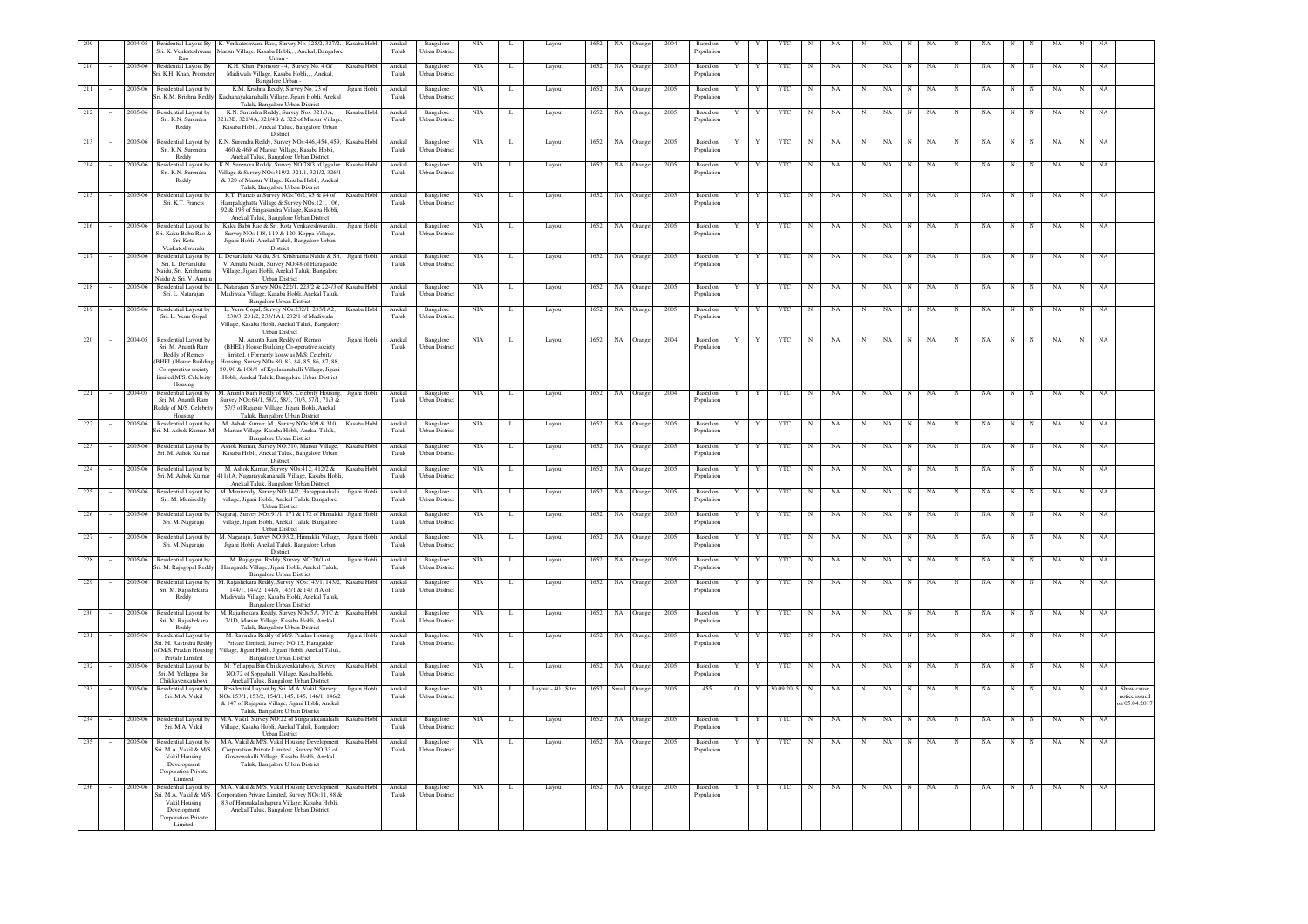|               | $004 - C$   | sidential Layout By<br>Sri. K. Venkateshwara<br>Rao                                                                                                       | K. Venkateshwara Rao., Survey No. 325/2, 327/2,<br>Marsur Village, Kasaba Hobli,, , Anekal, Bangalor<br>Urban -                                                                                                                                                                  | Kasaba Hob   | Aneka<br>Taluk           | Bangalor<br><b>Urban Distric</b>   | NIA        |                | Layout             | 1652 | NA              | rang         | 2004 | <b>Based</b> on<br>Population |         |   | YTC        |            | NA          |            |             |                         |    |            |           |            |   |             |   |           |                                             |
|---------------|-------------|-----------------------------------------------------------------------------------------------------------------------------------------------------------|----------------------------------------------------------------------------------------------------------------------------------------------------------------------------------------------------------------------------------------------------------------------------------|--------------|--------------------------|------------------------------------|------------|----------------|--------------------|------|-----------------|--------------|------|-------------------------------|---------|---|------------|------------|-------------|------------|-------------|-------------------------|----|------------|-----------|------------|---|-------------|---|-----------|---------------------------------------------|
| 210           | 2005-06     | Residential Layout By<br>Sri. K.H. Khan, Promote                                                                                                          | K H Khan Promoter - 4 Survey No. 4 Of<br>Madiwala Village, Kasaba Hobli Anekal.<br>Bangalore Urban -                                                                                                                                                                             | Kasaba Hobli | Anekal<br>Taluk          | Bangalore<br><b>Urban District</b> | NIA        | $\mathbf{L}$   | Layout             | 1652 | NA              | Orange       | 2005 | Based on<br>Population        |         |   | YTC.       | N          | <b>NA</b>   | N          | NA.         | <b>NA</b><br>N          |    | N          | <b>NA</b> | N          |   | <b>NA</b>   |   | NA        |                                             |
| 211           | 2005-06     | Residential Layout by<br>Sri. K.M. Krishna Redd                                                                                                           | K.M. Krishna Reddy, Survey No. 23 of<br>.<br>Kachanayakanahalli Village, Jigani Hobli, Anekal<br>Taluk, Bangalore Urban District                                                                                                                                                 | Jigani Hobli | Anckal<br>Taluk          | Bangalore<br><b>Urban Distric</b>  | <b>NIA</b> | τ              | Layout             | 1652 | NA              | Orange       | 2005 | <b>Based</b> on<br>Population |         |   | YTC        |            | <b>NA</b>   |            | NA          | NA                      |    |            | NA        | N          |   |             |   | NA        |                                             |
| 212           | 2005-06     | Residential Layout by<br>Sri K N Surendra<br>Reddy                                                                                                        | K.N. Surendra Reddy, Survey Nos. 321/3A,<br>821/3B, 321/4A, 321/4B & 322 of Marsur Village<br>Kasaba Hobli, Anekal Taluk, Bangalore Urban                                                                                                                                        | Kasaba Hobl  | Anekal<br>Taluk          | Bangalore<br><b>Urban District</b> | NIA        | L              | Layout             | 1652 | NA              | Orans        | 2005 | Based on<br>Population        |         |   | YTC        |            | NA          |            | NA          | NA                      |    |            | NA        |            |   | NA          |   |           |                                             |
| 213           | 2005-06     | Residential Layout by<br>Sri, K.N. Surendra<br>Reddy                                                                                                      | District<br>K.N. Surendra Reddy, Survey NOs:446, 454, 459, Kasaba Hobli<br>460 & 469 of Marsur Village, Kasaba Hobli,<br>Anekal Taluk, Bangalore Urban District                                                                                                                  |              | Anckal<br>Taluk          | Bangalore<br>Urban Distric         | NIA        | - L            | Layout             | 1652 | NA              | Orange       | 2005 | <b>Based</b> on<br>Population |         |   | YTC        |            | NA          |            | NA          | NA                      |    |            | NA        |            |   |             |   |           |                                             |
| 214           | 2005-06     | Residential Layout by<br>Sri, K.N. Surendra<br>Reddy                                                                                                      | K.N. Surendra Reddy, Survey NO:78/3 of Iggalur<br>Village & Survey NOs:319/2, 321/1, 321/2, 326/1<br>& 320 of Marsur Village, Kasaba Hobli, Anekal                                                                                                                               | Kasaba Hobl  | Anekal<br>Taluk          | Bangalore<br><b>Urban District</b> | <b>NIA</b> |                | Layout             | 1652 | NA              |              | 2005 | <b>Based</b> on<br>Population |         |   | YTC        |            | NA          |            | NA          | NA                      |    |            | NA        |            |   |             |   |           |                                             |
| 215           | 2005-06     | Residential Layout by<br>Sri. K.T. Francis                                                                                                                | Taluk, Bangalore Urban District<br>K T Francis at Survey NOs 76/2 85 & 84 of<br>Hampalaghatta Village & Survey NOs:121, 106,<br>92 & 193 of Singasandra Village, Kasaba Hobli,                                                                                                   | Kasaba Hobli | Anekal<br>${\rm T}$ aluk | Bangalore<br><b>Urban District</b> | <b>NIA</b> | $\mathbf{L}$   | Layout             | 1652 | NA              | Orange       | 2005 | Based on<br>Population        |         |   | <b>YTC</b> | N          | NA          |            | NA          | <b>NA</b><br>N          |    | N          | NA        | N          |   | NA          |   |           |                                             |
| 216           | 2005-06     | Residential Layout by<br>Sri. Kaku Babu Rao &                                                                                                             | Anekal Taluk, Bangalore Urban District<br>Kaku Babu Rao & Sri. Kota Venkateshwaralu.<br>Survey NOs:118, 119 & 120, Koppa Village,                                                                                                                                                | Jigani Hobli | Anekal<br>Taluk          | Bangalore<br><b>Urban Distric</b>  | <b>NIA</b> | $\overline{L}$ | Layout             | 1652 | $_{\rm NA}$     | Orange       | 2005 | Based on<br>Populatio         |         |   | YTC        | N          | <b>NA</b>   |            | NA          | NA<br>$_{\rm N}$        |    | N          | NA        | N          |   | NA          |   | NA        |                                             |
| 217           | 2005-06     | Sri Kota<br>Venkateshwaralt<br>Residential Layout by<br>Sri. L. Devaralulu                                                                                | Jigani Hobli, Anekal Taluk, Bangalore Urban<br>District<br>L. Devaralulu Naidu. Sri. Krishnama Naidu & Sri.<br>V. Amulu Naidu, Survey NO:48 of Haragadde                                                                                                                         | Jigani Hobli | Anekal<br>Taluk          | Bangalore<br><b>Urban District</b> | NIA.       | T              | Lavout             | 1652 | NA <sup>-</sup> | Orange       | 2005 | Based on<br>Population        |         |   | <b>YTC</b> | N          | NA          | N          | <b>NA</b>   | <b>NA</b><br>N          |    | N          | NA        | N          | N | <b>NA</b>   |   | <b>NA</b> |                                             |
| 218           | 2005-0      | Naidu, Sri. Krishnama<br>Naidu & Sri. V. Amult<br>Residential Layout by                                                                                   | Village, Jigani Hobli, Anekal Taluk, Bangalore<br><b>Urban District</b><br>Natarajan, Survey NOs:222/1, 223/2 & 224/3 of Kasaba Hobl                                                                                                                                             |              | Anekal                   | Bangalore                          | NIA        | τ              | Layout             | 1652 | NA              | Orang        | 2005 | Based on                      |         |   | YTC        |            | NA          |            | NA          | NA                      |    |            | NA        | N          |   | NA          |   |           |                                             |
| 219           | 2005-06     | Sri. L. Natarajan<br>Residential Layout by                                                                                                                | Madiwala Village, Kasaba Hobli, Anekal Taluk,<br><b>Bangalore Urban District</b><br>L. Venu Gopal, Survey NOs:232/1, 233/1A2,                                                                                                                                                    | Kasaba Hobli | Taluk<br>Anekal          | <b>Urban Distric</b><br>Bangalore  | NIA.       | Τ.             | Layout             | 1652 | NA              | Orange       | 2005 | Populatio<br>Based on         |         |   | YTC        | N          | NA          | N          | NA          | <b>NA</b><br>N          |    | N          | NA        | N          |   | NA.         |   | NA        |                                             |
|               |             | Sri. L. Venu Gopal                                                                                                                                        | 230/3 231/2 233/1A1 232/1 of Madiwala<br>Village, Kasaba Hobli, Anekal Taluk, Bangalore<br><b>Urban District</b>                                                                                                                                                                 |              | Taluk                    | <b>Urban Distric</b>               |            |                |                    |      |                 |              |      | Population                    |         |   |            |            |             |            |             |                         |    |            |           |            |   |             |   |           |                                             |
| 220           | 2004-05     | Residential Layout by<br>Sri. M. Ananth Ram<br>Reddy of Remco<br><b>BHEL)</b> House Buildin<br>Co-operative society<br>limited, M/S. Celebrity<br>Housing | M. Ananth Ram Reddy of Remco<br>(BHEL) House Building Co-operative society<br>limited, (Formerly konw as M/S. Celebrity<br>Housing, Survey NOs: 80, 83, 84, 85, 86, 87, 88,<br>89. 90 & 108/4 of Kyalasanahalli Village, Jigani<br>Hobli, Anekal Taluk, Bangalore Urban District | Jigani Hobli | Anekal<br>Taluk          | Bangalore<br><b>Urban Distric</b>  | <b>NIA</b> | L              | Layout             | 1652 | NA              | Orange       | 2004 | <b>Based</b> on<br>Population |         |   | YTC        |            | <b>NA</b>   |            | NA          | NA<br>N                 |    |            | NA        | N          |   | NA.         |   |           |                                             |
| 221<br>$\sim$ | 2004-05     | Residential Layout by<br>Sri, M. Ananth Ram<br>Reddy of M/S. Celebrit<br>Housing                                                                          | M. Ananth Ram Reddy of M/S. Celebrity Housing, Jigani Hobli<br>Survey NOs:64/1, 58/2, 58/3, 70/3, 57/1, 71/3 &<br>57/3 of Rajapur Village, Jigani Hobli, Anekal<br>Taluk, Bangalore Urban District                                                                               |              | Anekal<br>Taluk          | Bangalore<br><b>Urban Distric</b>  | <b>NIA</b> | L              | Layout             | 1652 |                 | NA Orange    | 2004 | Based on<br>Population        |         | Y | YTC        | N          | NA          | N          | NA          | N                       | NA | $_{\rm N}$ | NA        | N          | N | NA          | N | NA        |                                             |
| 222           | 2005-06     | Residential Layout by<br>Sri. M. Ashok Kumar. M                                                                                                           | M. Ashok Kumar. M., Survey NOs:309 & 310,<br>Marsur Village, Kasaba Hobli, Anekal Taluk,<br><b>Bangalore Urban District</b>                                                                                                                                                      | Kasaba Hob   | Aneka<br>Taluk           | Bangalore<br><b>Urban Distric</b>  | NIA        | L              | Layout             | 1652 | NA              | Orang        | 2005 | <b>Based</b> on<br>Population |         |   | YTC        |            | NA          |            | NA          | NA                      |    | N          | NA        | N          |   | NA          |   |           |                                             |
| 223           | 2005-06     | Residential Layout by<br>Sri. M. Ashok Kumar                                                                                                              | Ashok Kumar, Survey NO:310, Marsur Village,<br>Kasaba Hobli, Anekal Taluk, Bangalore Urban<br>District                                                                                                                                                                           | Kasaba Hobli | Anekal<br>Taluk          | Bangalore<br><b>Urban District</b> | <b>NIA</b> | T              | Layout             | 1652 | NA              | Orang        | 2005 | Based on<br>Population        |         |   | <b>YTC</b> | N          | NA          | N          | <b>NA</b>   | <b>NA</b><br>N          |    | N          | <b>NA</b> | N          |   | NA.         |   | NA        |                                             |
| 224           | $2005 - 06$ | Residential Layout by<br>Sri, M. Ashok Kumar                                                                                                              | M. Ashok Kumar, Survey NOs:412, 412/2 &<br>11/1A, Naganayakanahalli Village, Kasaba Hobli<br>Anekal Taluk, Bangalore Urban District                                                                                                                                              | Kasaba Hobl  | Anekal<br>Taluk          | Bangalore<br><b>Urban Distric</b>  | <b>NIA</b> | L              | Layout             | 1652 | NA              | Orange       | 2005 | <b>Based</b> on<br>Population |         |   | YTC        | N          | NA          |            | NA          | NA                      |    |            | NA        | N          |   | NA          |   |           |                                             |
| 225           | 2005-06     | Residential Layout by<br>Sri. M. Munireddy                                                                                                                | M. Munireddy, Survey NO:14/2, Harappanahalli<br>village, Jigani Hobli, Anekal Taluk, Bangalore<br><b>Urban District</b>                                                                                                                                                          | Jigani Hobl  | Anekal<br>Taluk          | Bangalore<br><b>Urban District</b> | <b>NIA</b> | L              | Layout             | 1652 | NA              | Orang        | 2005 | Based on<br>Population        |         |   | YTC        |            | NA          |            | NA          | NA                      |    |            | NA        |            |   | NA          |   |           |                                             |
| 226           | 2005-06     | Residential Lavout by<br>Sri. M. Nagaraju                                                                                                                 | Vagaraj, Survey NOs:91/1, 171 & 172 of Hinnakki<br>village, Jigani Hobli, Anekal Taluk, Bangalore<br><b>Urban District</b>                                                                                                                                                       | Jigani Hobl  | Anckal<br>Taluk          | Bangalore<br><b>Urban Distric</b>  | <b>NIA</b> | L              | Lavout             | 1652 | NA              | Orang        | 2005 | Based on<br>Population        |         |   | YTC        |            | <b>NA</b>   |            | NA          | <b>NA</b>               |    |            | NA        | N          |   | NA          |   | NA        |                                             |
| 227           | 2005-06     | Residential Layout by<br>Sri. M. Nagaraju                                                                                                                 | M. Nagaraju, Survey NO:93/2, Hinnakki Village,<br>Jigani Hobli, Anekal Taluk, Bangalore Urban<br>District                                                                                                                                                                        | Jigani Hobl  | Anekal<br>Taluk          | Bangalore<br><b>Urban District</b> | NIA        | τ              | Layout             | 1652 | NA              | <b>Drang</b> | 2005 | <b>Based</b> on<br>Population |         |   | YTC        |            | NA          |            | NA          | NA                      |    |            | NA        | N          |   | NA          |   | NA        |                                             |
| 228           | 2005-06     | Residential Layout by<br>Sri. M. Rajagopal Reddy                                                                                                          | M. Rajagopal Reddy, Survey NO:70/1 of<br>Haragadde Village, Jigani Hobli, Anekal Taluk,<br>Bangalore Urban District<br>1. Rajashekara Reddy, Survey NOs:143/1, 143/2,                                                                                                            | Jigani Hobli | Anekal<br>Taluk          | Bangalore<br><b>Urban District</b> | <b>NIA</b> | τ              | Layout             | 1652 | 1652 NA<br>NA   | Orang        | 2005 | Based on<br>Population        |         |   | <b>YTC</b> |            | NA          |            | NA          | NA                      |    |            | NA        | N          |   | NA          |   | NA        |                                             |
| 229           | $2005 - 06$ | Residential Layout by<br>Sri. M. Rajashekara<br>Reddy                                                                                                     | 144/1, 144/2, 144/4, 145/1 & 147/1A of<br>Madiwala Village, Kasaba Hobli, Anekal Taluk<br><b>Bangalore Urban District</b>                                                                                                                                                        | Kasaba Hob   | Anekal<br>Taluk          | Bangalore<br><b>Urban Distric</b>  | NIA        | L              | Layout             |      |                 | Orange       | 2005 | Based on<br>Population        |         |   | YTC        |            | NA          |            | NA          | NA                      |    | N          | NA        | Ν          |   | NA          |   | NA        |                                             |
| 230           | 2005-06     | Residential Layout by<br>Sri, M. Rajashekara<br>Reddy                                                                                                     | M. Rajashekara Reddy, Survey NOs:5A, 7/1C &<br>7/1D. Marsur Village, Kasaba Hobli, Anekal<br>Taluk, Bangalore Urban District                                                                                                                                                     | Kasaba Hobl  | Anekal<br>Taluk          | Bangalore<br><b>Urban District</b> | <b>NIA</b> | L              | Layout             |      | 1652 NA         | Orang        | 2005 | Based on<br>Population        |         |   | YTC        |            | NA          | $_{\rm N}$ | NA          | NA                      |    | N          | NA        | $_{\rm N}$ |   | NA          |   | NA        |                                             |
| 231           | 2005-06     | Residential Layout by<br>Sri. M. Ravindra Reddy<br>of M/S. Pradan Housing                                                                                 | M. Ravindra Reddy of M/S. Pradan Housing<br>Private Limited, Survey NO:15, Haragadde<br>'illage, Jigani Hobli, Jigani Hobli, Anekal Taluk                                                                                                                                        | Jigani Hobli | Anekal<br>Taluk          | Bangalore<br><b>Urban Distric</b>  | <b>NIA</b> | $\mathbf{L}$   | Lavout             | 1652 | <b>NA</b>       | Orang        | 2005 | Based on<br>Population        |         |   | <b>YTC</b> | $_{\rm N}$ | NA          | N          | <b>NA</b>   | $_{\rm N}$<br><b>NA</b> |    | N          | <b>NA</b> | $_{\rm N}$ | N | NA          |   | NA        |                                             |
| 232           | 2005-06     | Private Limited<br>Residential Layout by<br>Sri. M. Yellappa Bin<br>Chikkayenkatabovi                                                                     | <b>Bangalore Urban District</b><br>M. Yellappa Bin Chikkavenkatabovi, Survey<br>NO:72 of Soppahalli Village, Kasaba Hobli,<br>Anekal Taluk, Bangalore Urban District                                                                                                             | Kasaba Hobl  | Anekal<br>Taluk          | Bangalore<br>Urban Distric         | <b>NIA</b> | L              | Layout             | 1652 | $_{\rm NA}$     | Orang        | 2005 | Based on<br>Populatio         |         |   | <b>YTC</b> | N          | $_{\rm NA}$ | N          | $_{\rm NA}$ | NA<br>N                 |    | N          | NA        | N          |   | $_{\rm NA}$ |   | NA        |                                             |
| 233           | 2005-06     | Residential Lavout by<br>Sri M A Vakil                                                                                                                    | Residential Layout by Sri. M.A. Vakil, Survey<br>NOs: 153/1 153/2 154/1 145 145 146/1 146/2<br>& 147 of Rajapura Village, Jigani Hobli, Anekal<br>Taluk, Bangalore Urban District                                                                                                | Jigani Hobli | Anekal<br>Taluk          | Bangalore<br><b>Urban District</b> | <b>NIA</b> | L              | Layout - 401 Sites | 1652 | Small           | Orange       | 2005 | 455                           | $\circ$ |   | 30.09.2015 | N          | NA          | N          | NA          | NA<br>N                 |    | N          | NA        | N          | N | NA          |   | NA        | Show cause<br>notice issued<br>n 05.04.2017 |
| 234           | 2005-06     | Residential Layout by<br>Sri, M.A. Vakil                                                                                                                  | M.A. Vakil, Survey NO:22 of Surgajakkanahalli<br>Village, Kasaba Hobli, Anekal Taluk, Bangalore                                                                                                                                                                                  | Kasaba Hobl  | Anckal<br>Taluk          | Bangalore<br><b>Urban Distric</b>  | <b>NIA</b> | τ              | Layout             | 1652 | NA.             | Orange       | 2005 | Based on<br>Population        |         |   | <b>YTC</b> | N          | <b>NA</b>   |            | NA          | NA<br>N                 |    | N          | NA        | N          |   | <b>NA</b>   |   | NA        |                                             |
| 235           | 2005-06     | Residential Layout by<br>Sri, M.A. Vakil & M/S<br>Vakil Housing<br>Development<br>Corporation Private<br>Limited                                          | <b>Urban District</b><br>M.A. Vakil & M/S. Vakil Housing Development<br>Corporation Private Limited, Survey NO:33 of<br>Gowrenaballi Village Kasaba Hobli Anekal<br>Taluk, Bangalore Urban District                                                                              | Kasaba Hobl  | Anekal<br>Taluk          | Bangalore<br><b>Urban Distric</b>  | NIA        | τ              | Layout             | 1652 | NA              | Orang        | 2005 | Based on<br>Population        |         |   | YTC        |            | NA          |            | NA          | NA                      |    |            | NA        |            |   |             |   | NA        |                                             |
|               |             | Residential Layout by<br>Sri, M.A. Vakil & M/S.<br>Vakil Housing<br>Development<br>Corporation Private<br>Limited                                         | M.A. Vakil & M/S. Vakil Housing Development<br>orporation Private Limited, Survey NOs:11, 88 &<br>83 of Honnakalashapura Village, Kasaba Hobli,<br>Anekal Taluk, Bangalore Urban District                                                                                        | Kasaba Hob   | Anekal<br>Taluk          | Bangalore<br><b>Urban Distric</b>  | <b>NIA</b> | L              | Layout             | 1652 | NA              |              |      | Based on<br>Population        |         |   | YTC        |            |             |            |             |                         |    |            |           |            |   |             |   |           |                                             |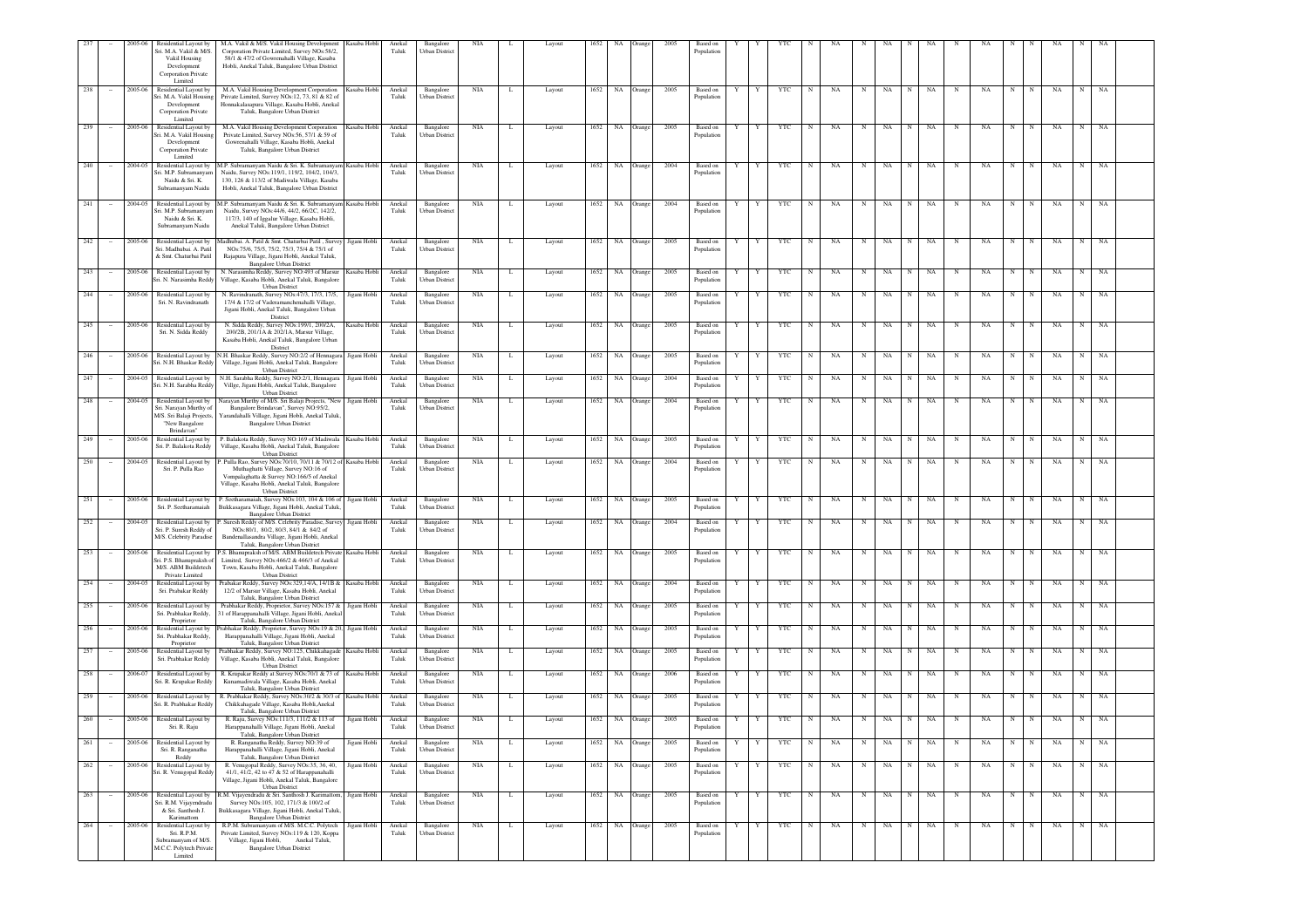|     | 237                             |         | 2005-06 Residential Layout by<br>Sri. M.A. Vakil & M/S.<br>Vakil Housing<br>Development<br>Corporation Private<br>Limited | M.A. Vakil & M/S. Vakil Housing Development   Kasaba Hobli<br>Corporation Private Limited, Survey NOs:58/2,<br>58/1 & 47/2 of Gowrenahalli Village, Kasaba<br>Hobli, Anekal Taluk, Bangalore Urban District                  |              | Anckal<br>Taluk | Bangalore<br><b>Urban District</b> | <b>NIA</b>   | L | Layout |      |                | 1652 NA Orange | 2005 | Based on<br>Population        |   |   | YTC        | $\mathbb{N}$ | NA          |            | NA          | $_{\rm N}$     | NA          | N          | NA | $\mathbf N$  | N          | NA          | $_{\rm N}$ | NA          |
|-----|---------------------------------|---------|---------------------------------------------------------------------------------------------------------------------------|------------------------------------------------------------------------------------------------------------------------------------------------------------------------------------------------------------------------------|--------------|-----------------|------------------------------------|--------------|---|--------|------|----------------|----------------|------|-------------------------------|---|---|------------|--------------|-------------|------------|-------------|----------------|-------------|------------|----|--------------|------------|-------------|------------|-------------|
| 238 |                                 |         | 2005-06 Residential Layout by<br>Sri. M.A. Vakil Housin<br>Development<br>Corporation Private<br>Limited                  | M.A. Vakil Housing Development Corporation<br>Private Limited, Survey NOs:12, 73, 81 & 82 of<br>Honnakalasapura Village, Kasaba Hobli, Anekal<br>Taluk, Bangalore Urban District                                             | Kasaba Hobi  | Anekal<br>Taluk | Bangalore<br>Jrban District        | NIA          | L | Layout |      | 1652 NA Orange |                | 2005 | Based on<br>Population        |   |   | <b>YTC</b> | N            | NA          |            | NA          | $\mathbb{N}$   | NA          | N          | NA | N            |            | NA          |            | NA          |
| 239 |                                 |         | 2005-06 Residential Layout by<br>Sri. M.A. Vakil Housin<br>Development<br>Corporation Private<br>Limited                  | M.A. Vakil Housing Development Corporation<br>Private Limited, Survey NOs:56, 57/1 & 59 of<br>Gowrenahalli Village, Kasaba Hobli, Anekal<br>Taluk, Bangalore Urban District                                                  | Kasaba Hobl  | Anekal<br>Taluk | Bangalore<br>Urban District        | <b>NIA</b>   | L | Layout |      |                | 1652 NA Orange | 2005 | Based on<br>Population        |   | Y | <b>YTC</b> | N            | NA          | N          | NA          | N              | NA          | $_{\rm N}$ | NA | N            | $_{\rm N}$ | NA          | N          | NA          |
|     | 240                             |         | 2004-05 Residential Layout by<br>Sri. M.P. Subramanyar<br>Naidu & Sri. K.<br>Subramanyam Naidu                            | M.P. Subramanyam Naidu & Sri. K. Subramanyam Kasaba Hobli<br>Naidu, Survey NOs:119/1, 119/2, 104/2, 104/3,<br>130, 126 & 113/2 of Madiwala Village, Kasaba<br>Hobli, Anekal Taluk, Bangalore Urban District                  |              | Anekal<br>Taluk | Bangalore<br>Urban Distric         | NIA          | L | Layout |      |                | 1652 NA Orange | 2004 | <b>Based</b> on<br>Population |   |   | YTC        | N            | NA          | N          | NA          | N              | NA          | N          | NA | N            |            | NA          |            | NA          |
| 241 |                                 |         | 2004-05 Residential Layout by<br>Sri. M.P. Subramanyar<br>Naidu & Sri, K.<br>Subramanyam Naidu                            | A.P. Subramanyam Naidu & Sri. K. Subramanyam Kasaba Hobli<br>Naidu, Survey NOs: 44/6, 44/2, 66/2C, 142/2,<br>117/3, 140 of Iggalur Village, Kasaba Hobli,<br>Anekal Taluk, Bangalore Urban District                          |              | Anekal<br>Taluk | Bangalore<br>Urban District        | NIA          | L | Layout |      | 1652 NA Orange |                | 2004 | <b>Based</b> on<br>Population |   |   | YTC        | N            | NA          | N          | NA          | $\mathbb{N}$   | NA          | N          | NA | N            |            | NA          | N          | NA          |
|     | 242<br>$\sim$                   | 2005-06 | Residential Layout by<br>Sri. Madhubai, A. Patil<br>& Smt. Chaturbai Patil                                                | Madhubai. A. Patil & Smt. Chaturbai Patil , Survey Jigani Hobli<br>NOs: 75/6, 75/5, 75/2, 75/3, 75/4 & 75/1 of<br>Rajapura Village, Jigani Hobli, Anekal Taluk,<br><b>Bangalore Urban District</b>                           |              | Anckal<br>Taluk | Bangalore<br>Urban Distric         | <b>NIA</b>   | L | Layout |      |                | 1652 NA Orange | 2005 | Based on<br>Population        | Y | Y | <b>YTC</b> | N            | NA          | N          | NA          | N              | NA          | N          | NA | N            | $_{\rm N}$ | NA          | N          | <b>NA</b>   |
|     | 243                             | 2005-06 | Residential Layout by<br>Sri. N. Narasimha Reddy                                                                          | N. Narasimha Reddy, Survey NO:493 of Marsur Kasaba Hobl<br>Village, Kasaba Hobli, Anekal Taluk, Bangalore<br><b>Urban District</b>                                                                                           |              | Anekal<br>Taluk | Bangalore<br>Urban District        | <b>NIA</b>   | L | Layout |      | 1652 NA        | Orange         | 2005 | Based on<br>Population        |   | Y | YTC        | N            | NA          | N          | NA          | N              | NA          | N          | NA | N            | N          | NA          | N          | <b>NA</b>   |
|     | 244                             | 2005-06 | Residential Layout by<br>Sri. N. Ravindranath                                                                             | N. Ravindranath, Survey NOs: 47/3, 17/3, 17/5,<br>17/4 & 17/2 of Vaderamanchenahalli Village,<br>Jigani Hobli, Anekal Taluk, Bangalore Urban<br>District                                                                     | Jigani Hobli | Anekal<br>Taluk | Bangalore<br><b>Urban District</b> | $_{\rm NIA}$ | L | Layout |      | 1652 NA Orange |                | 2005 | Based on<br>Population        |   |   | YTC        | $_{\rm N}$   | $_{\rm NA}$ | N          | $_{\rm NA}$ | N              | $_{\rm NA}$ | N          | NA | N            | N          | NA          | N          | $_{\rm NA}$ |
|     | 245                             | 2005-06 | Residential Layout by<br>Sri, N. Sidda Reddy                                                                              | N. Sidda Reddy, Survey NOs:199/1, 200/2A,<br>200/2B, 201/1A & 202/1A. Marsur Village.<br>Kasaba Hobli, Anekal Taluk, Bangalore Urbar<br>District                                                                             | Kasaba Hobl  | Anekal<br>Taluk | Bangalore<br><b>Urban District</b> | NIA          | L | Layout |      | 1652 NA Orange |                | 2005 | Based on<br>Population        |   |   | <b>YTC</b> | N            | NA          | N          | NA          | N              | NA          | N          | NA | N            |            | NA          | N          | NA          |
|     | 246                             | 2005-06 | Residential Layout by<br>Sri, N.H. Bhaskar Reddy                                                                          | N.H. Bhaskar Reddy, Survey NO:2/2 of Hennagara Jigani Hobli<br>Village, Jigani Hobli, Anekal Taluk, Bangalore<br><b>Urban District</b>                                                                                       |              | Anekal<br>Taluk | Bangalore<br>Urban Distric         | NIA          | L | Layout |      | 1652 NA Orange |                | 2005 | Based on<br>Population        |   |   | <b>YTC</b> | N            | NA          | N          | NA          | N              | NA          | N          | NA | N            |            | NA          |            | NA          |
|     | 247                             | 2004-05 | Residential Layout by<br>Sri. N.H. Sarabha Reddy                                                                          | N.H. Sarabha Reddy, Survey NO:2/1, Hennagara<br>Villge, Jigani Hobli, Anekal Taluk, Bangalore<br><b>Urban District</b>                                                                                                       | Jigani Hobli | Anekal<br>Taluk | Bangalore<br>Jrban Distric         | NIA          | L | Layout |      | 1652 NA Orange |                | 2004 | Based on<br>Population        |   |   | <b>YTC</b> | N            | NA          |            | NA          | N              | NA          | N          | NA | N            |            | NA          |            | NA          |
|     | 248                             | 2004-05 | Residential Layout by<br>Sri. Narayan Murthy o<br>M/S. Sri Balaji Projects,<br>"New Bangalore<br>Brindavan"               | Naravan Murthy of M/S. Sri Balaii Projects. "New   Jigani Hobli<br>Bangalore Brindavan", Survey NO:95/2,<br>arandahalli Village, Jigani Hobli, Anekal Taluk,<br><b>Bangalore Urban District</b>                              |              | Anckal<br>Taluk | Bangalore<br>Urban Distric         | NIA          | L | Layout |      | 1652 NA Orange |                | 2004 | <b>Based</b> on<br>Population |   |   | YTC        | N            | NA          | N          | NA          | N              | NA          | N          | NA | N            |            | NA          | N          | NA          |
|     | 249                             | 2005-06 | Residential Layout by<br>Sri. P. Balakota Reddy                                                                           | P. Balakota Reddy, Survey NO:169 of Madiwala Kasaba Hobli<br>Village, Kasaba Hobli, Anekal Taluk, Bangalore<br><b>Urban District</b>                                                                                         |              | Anekal<br>Taluk | Bangalore<br>Jrban District        | $_{\rm NIA}$ | L | Layout |      | 1652 NA Orange |                | 2005 | Based on<br>Population        |   |   | YTC        | $_{\rm N}$   | NA          | N          | NA          | $_{\rm N}$     | NA          | $_{\rm N}$ | NA | N            | N          | NA          | $_{\rm N}$ | NA          |
|     | 250                             | 2004-05 | Residential Layout by<br>Sri. P. Pulla Rao                                                                                | P. Pulla Rao, Survey NOs:70/10, 70/11 & 70/12 of Kasaba Hobl<br>Muthaghatti Village, Survey NO:16 of<br>Vompalaghatta & Survey NO:166/5 of Anekal<br>Village, Kasaba Hobli, Anekal Taluk, Bangalore<br><b>Urban District</b> |              | Anekal<br>Taluk | Bangalore<br><b>Irban Distric</b>  | $_{\rm NIA}$ | L | Layout |      | 1652 NA Orange |                | 2004 | <b>Based</b> on<br>Population |   |   | YTC        | N            | NA          | N          | NA          | $_{\rm N}$     | NA          | N          | NA | N            | $_{\rm N}$ | NA          | N          | NA          |
|     | 251                             |         | 2005-06 Residential Layout by<br>Sri. P. Seetharamaiah                                                                    | P. Seetharamaiah, Survey NOs:103, 104 & 106 of Jigani Hobli<br>Bukkasagara Village, Jigani Hobli, Anekal Taluk<br><b>Bangalore Urban District</b>                                                                            |              | Anekal<br>Taluk | Bangalore<br>Jrban Distric         | NIA          | L | Layout |      | 1652 NA Orange |                | 2005 | <b>Based</b> on<br>Population |   | Y | <b>YTC</b> | N            | NA          | N          | NA          | $\mathbf N$    | NA          | N          | NA | N            | N          | NA          | N          | <b>NA</b>   |
|     | 252                             | 2004-05 | Residential Layout by<br>Sri. P. Suresh Reddy of<br>M/S. Celebrity Paradise                                               | Suresh Reddy of M/S. Celebrity Paradise, Survey Jigani Hobli<br>NOs:80/1, 80/2, 80/3, 84/1 & 84/2 of<br>Bandenallasandra Village, Jigani Hobli, Anekal<br>Taluk, Bangalore Urban District                                    |              | Anekal<br>Taluk | Bangalore<br>Urban District        | NIA          | L | Layout |      | 1652 NA        | Orange         | 2004 | <b>Based</b> on<br>Population |   |   | YTC        | N            | NA          |            | NA          | N              | NA          | N          | NA | N            |            | NA          |            | NA          |
|     | 253                             |         | 2005-06 Residential Layout by<br>Sri. P.S. Bhanupraksh of<br>M/S. ABM Buildetech<br>Private Limited                       | P.S. Bhanupraksh of M/S. ABM Buildetech Private Kasaba Hobl<br>Limited, Survey NOs:466/2 & 466/3 of Anekal<br>Town, Kasaba Hobli, Anekal Taluk, Bangalore<br><b>Urban District</b>                                           |              | Anekal<br>Taluk | Bangalore<br>Urban Distric         | NIA          | L | Layout |      | 1652 NA        | Orang          | 2005 | <b>Based</b> on<br>Population |   |   | YTC        |              | NA          |            | NA          |                | NA          |            | NA |              |            |             |            |             |
|     | 254                             | 2004-05 | Residential Layout by<br>Sri. Prabakar Reddy                                                                              | Prabakar Reddy, Survey NOs:329,14/A, 14/1B & Kasaba Hobl<br>12/2 of Marsur Village, Kasaba Hobli, Anekal<br>Taluk, Bangalore Urban District                                                                                  |              | Anekal<br>Taluk | Bangalore<br>Jrban Distric         | NIA          | L | Layout |      | 1652 NA Orange |                | 2004 | Based on<br>Population        |   |   | YTC        | N            | NA          |            | NA          | N              | NA          | N          | NA | N            | N          | NA          |            | NA          |
| 255 |                                 | 2005-06 | Residential Layout by<br>Sri. Prabhakar Reddy.<br>Proprietor                                                              | Prabhakar Reddy, Proprietor, Survey NOs:157 & Jigani Hobli<br>of Harappanahalli Village, Jigani Hobli, Aneka<br>Taluk, Bangalore Urban District                                                                              |              | Anckal<br>Taluk | Bangalore<br>Jrban Distric         | NIA          | L | Layout |      | 1652 NA Orange |                | 2005 | <b>Based</b> on<br>Population |   |   | YTC        | N            | NA          | N          | NA          | N              | NA          | N          | NA | N            | $_{\rm N}$ | NA          | N          | NA          |
|     | 256                             | 2005-06 | Residential Layout by<br>Sri. Prabhakar Reddy<br>Proprietor                                                               | rabhakar Reddy, Proprietor, Survey NOs:19 & 20. Jigani Hobli<br>Harappanahalli Village, Jigani Hobli, Anekal<br>Taluk, Bangalore Urban District                                                                              |              | Anckal<br>Taluk | Bangalore<br>Urban Distric         | <b>NIA</b>   | L | Layout |      | 1652 NA Orange |                | 2005 | Based on<br>Population        |   |   | YTC        | N            | NA          |            | NA          | N              | NA          | N          | NA | N            |            | NA          |            | NA          |
| 257 |                                 | 2005-06 | Residential Layout by<br>Sri. Prabhakar Reddy                                                                             | Prabhakar Reddy, Survey NO:125, Chikkahagade   Kasaba Hobl<br>Village, Kasaba Hobli, Anekal Taluk, Bangalore<br><b>Urban District</b>                                                                                        |              | Anekal<br>Taluk | Bangalore<br>Urban Distric         | NIA          | L | Layout |      | 1652 NA Orange |                | 2005 | <b>Based</b> on<br>Population |   |   | <b>YTC</b> | N            | NA          | N          | NA          | N              | NA          | N          | NA | N            |            | NA          | N          | NA          |
|     | 258                             | 2006-07 | Residential Layout by<br>Sri. R. Krupakar Reddy                                                                           | R. Krupakar Reddy at Survey NOs:70/1 & 73 of<br>Kunamadiwala Village, Kasaba Hobli, Anekal<br>Taluk, Bangalore Urban District                                                                                                | Kasaba Hobl  | Anekal<br>Taluk | Bangalore<br>Jrban District        | $_{\rm NIA}$ | L | Layout | 1652 | NA             | Orang          | 2006 | Based on<br>Population        |   |   | YTC        | N            | $_{\rm NA}$ | N          | NA          | N              | $_{\rm NA}$ | N          | NA | N            |            | NA          | N          | $_{\rm NA}$ |
|     | 259                             | 2005-06 | Residential Layout by<br>Sri. R. Prabhakar Reddy                                                                          | R. Prabhakar Reddy, Survey NOs:30/2 & 30/3 of Kasaba Hobl<br>Chikkahagade Village, Kasaba Hobli, Anekal<br>Taluk, Bangalore Urban District                                                                                   |              | Anekal<br>Taluk | Bangalore<br>Urban Distric         | $_{\rm NIA}$ | L | Layout |      | 1652 NA Orange |                | 2005 | <b>Based</b> on<br>Population |   |   | YTC        | N            | NA          | N          | NA          | $_{\rm N}$     | $_{\rm NA}$ | N          | NA | N            | N          | NA          | N          | NA          |
|     | 260                             | 2005-06 | Residential Layout by<br>Sri. R. Raju                                                                                     | R. Raju, Survey NOs:111/3, 111/2 & 113 of<br>Harappanahalli Village, Jigani Hobli, Anekal<br>Taluk, Bangalore Urban District                                                                                                 | Jigani Hobli | Anekal<br>Taluk | Bangalore<br><b>Urban District</b> | NIA          | L | Layout |      | 1652 NA Orange |                | 2005 | Based on<br>Population        |   |   | YTC        | N            | NA          | N          | NA          | N              | NA          |            | NA | N            |            | NA          |            | <b>NA</b>   |
|     | 261<br>$\sim$                   |         | 2005-06 Residential Layout by<br>Sri. R. Ranganatha<br>Reddy                                                              | R. Ranganatha Reddy, Survey NO:39 of<br>Harappanahalli Village, Jigani Hobli, Anekal<br>Taluk, Bangalore Urban District                                                                                                      | Jigani Hobli | Anckal<br>Taluk | Bangalore<br><b>Urban District</b> | $_{\rm NIA}$ | L | Layout |      |                | 1652 NA Orange | 2005 | Based on<br>Population        | Y | Y | <b>YTC</b> | $\mathbb{N}$ | NA          | N          | NA          | $\overline{N}$ | NA          | $_{\rm N}$ | NA | ${\bf N}$    | N          | NA          | N          | NA          |
|     | 262<br>$\sim$                   | 2005-06 | Residential Layout by<br>Sri. R. Venugopal Reddy                                                                          | R. Venugopal Reddy, Survey NOs:35, 36, 40,<br>41/1, 41/2, 42 to 47 & 52 of Harappanahalli<br>Village, Jigani Hobli, Anekal Taluk, Bangalore<br><b>Urban District</b>                                                         | Jigani Hobli | Anekal<br>Taluk | Bangalore<br><b>Urban District</b> | $_{\rm NIA}$ | L | Layout |      | 1652 NA Orange |                | 2005 | Based on<br>Population        |   |   | YTC        | $_{\rm N}$   | $_{\rm NA}$ | $_{\rm N}$ | NA          | N              | NA          | $_{\rm N}$ | NA | N            | $_{\rm N}$ | NA          | N          | <b>NA</b>   |
|     | 263<br>$\overline{\phantom{a}}$ |         | 2005-06 Residential Layout by<br>Sri. R.M. Vijayendradu<br>& Sri. Santhosh J.<br>Karimattom                               | R.M. Vijayendradu & Sri. Santhosh J. Karimattom, Jigani Hobli<br>Survey NOs:105, 102, 171/3 & 100/2 of<br>Bukkasagara Village, Jigani Hobli, Anekal Taluk.<br>Bangalore Urban District                                       |              | Anekal<br>Taluk | Bangalore<br><b>Urban District</b> | $_{\rm NIA}$ | L | Layout |      | 1652 NA Orange |                | 2005 | Based on<br>Population        |   |   | YTC        | $_{\rm N}$   | $_{\rm NA}$ | N          | $_{\rm NA}$ | N              | $_{\rm NA}$ | N          | NA | N            |            | $_{\rm NA}$ |            | NA          |
|     | 264<br>$\sim$                   | 2005-06 | Residential Layout by<br>Sri, R.P.M.<br>Subramanyam of M/S.<br>M.C.C. Polytech Private<br>Limited                         | R.P.M. Subramanyam of M/S. M.C.C. Polytech<br>Private Limited, Survey NOs:119 & 120, Koppa<br>Village, Jigani Hobli, Anekal Taluk,<br><b>Bangalore Urban District</b>                                                        | Jigani Hobli | Anekal<br>Taluk | Bangalore<br><b>Urban District</b> | NIA          | L | Layout |      |                | 1652 NA Orange | 2005 | Based on<br>Population        |   | Y | <b>YTC</b> | N            | NA          | N          | NA          | $\overline{N}$ | NA          | N          | NA | $\mathbb{N}$ |            | NA          |            |             |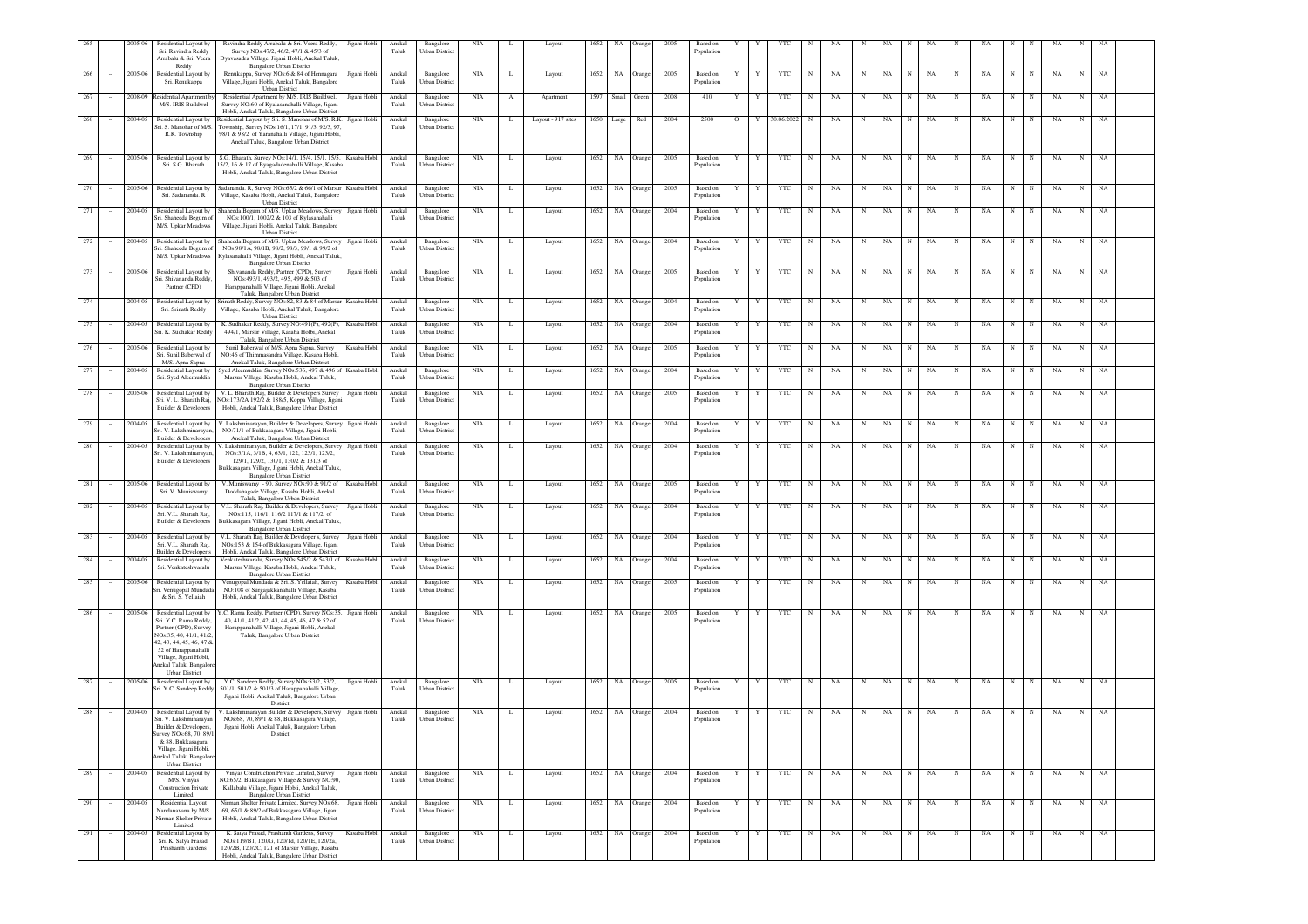|     |        | 2005-06 | Residential Layout by<br>Sri. Ravindra Reddy<br>Arrabalu & Sri. Veera<br>Reddy                                                                                                                                                              | Ravindra Reddy Arrabalu & Sri. Veera Reddy,<br>Survey NOs:47/2, 46/2, 47/1 & 45/3 of<br>Dyavasadra Village, Jigani Hobli, Anekal Taluk.<br><b>Bangalore Urban District</b>                                         | Jigani Hobli | Anekal<br>Taluk | Bangalore<br><b>Urban Distric</b>  | <b>NIA</b>   |              | Layout             | 1652           | NA          | <b>Drange</b> | 2005 | <b>Based</b> on<br>Population |   |   |            |              |             |   |             |             |    |            |             |              |            |             |            |             |  |
|-----|--------|---------|---------------------------------------------------------------------------------------------------------------------------------------------------------------------------------------------------------------------------------------------|--------------------------------------------------------------------------------------------------------------------------------------------------------------------------------------------------------------------|--------------|-----------------|------------------------------------|--------------|--------------|--------------------|----------------|-------------|---------------|------|-------------------------------|---|---|------------|--------------|-------------|---|-------------|-------------|----|------------|-------------|--------------|------------|-------------|------------|-------------|--|
| 266 |        | 2005-06 | Residential Layout by<br>Sri. Renukappa                                                                                                                                                                                                     | Renukappa, Survey NOs:6 & 84 of Hennagara Jigani Hobli<br>Village, Jigani Hobli, Anekal Taluk, Bangalore<br><b>Urban District</b>                                                                                  |              | Anckal<br>Taluk | Bangalore<br><b>Urban District</b> | <b>NIA</b>   | L            | Layout             | 1652           | NA          | Orange        | 2005 | Based on<br>Population        |   |   | <b>YTC</b> | N            | NA          |   | <b>NA</b>   | N           | NA | N          | NA          | N            |            | NA          |            | NA          |  |
| 267 |        |         | 2008-09 Residential Apartment by<br>M/S. IRIS Buildwel                                                                                                                                                                                      | Residential Apartment by M/S. IRIS Buildwel, Jigani Hobli<br>Survey NO:60 of Kyalasanahalli Village, Jigani<br>Hobli, Anekal Taluk, Bangalore Urban District                                                       |              | Anekal<br>Taluk | Bangalore<br><b>Urban Distric</b>  | <b>NIA</b>   | $\mathbf{A}$ | Apartment          | 1597           | Small       | Green         | 2008 | 410                           |   |   | YTC        | N            | NA          |   | NA          | N           | NA | N          | NA          | N            |            | NA.         |            | NA          |  |
| 268 |        | 2004-05 | Residential Layout by<br>Sri. S. Manohar of M/S.<br>R K Township                                                                                                                                                                            | Residential Layout by Sri. S. Manohar of M/S. R.K. Jigani Hobli<br>Township, Survey NOs:16/1, 17/1, 91/3, 92/3, 97,<br>98/1 & 98/2 of Yaranahalli Village, Jigani Hobli,<br>Anekal Taluk, Bangalore Urban District |              | Anekal<br>Taluk | Bangalore<br><b>Urban District</b> | NIA          | L            | Lavout - 917 sites | 1650 Large     |             | Red           | 2004 | 2500                          |   |   | 30.06.2022 | N            | NA          |   | NA          |             | NA | N          | NA          | N            |            | NA          |            | NA          |  |
| 269 | $\sim$ | 2005-06 | Residential Layout by<br>Sri, S.G. Bharath                                                                                                                                                                                                  | S.G. Bharath, Survey NOs:14/1, 15/4, 15/1, 15/5, Kasaba Hobli<br>15/2, 16 & 17 of Byagadadenahalli Village, Kasaba<br>Hobli, Anekal Taluk, Bangalore Urban District                                                |              | Anekal<br>Taluk | Bangalore<br><b>Urban District</b> | $_{\rm NIA}$ | L            | Layout             | 1652 NA Orange |             |               | 2005 | Based on<br>Population        | Y | Y | <b>YTC</b> | $\mathbb{N}$ | <b>NA</b>   | N | NA          | N           | NA | $_{\rm N}$ | <b>NA</b>   | N            | N          | <b>NA</b>   | N          | NA          |  |
| 270 |        | 2005-06 | Residential Layout by<br>Sri Sadananda R                                                                                                                                                                                                    | Sadananda. R, Survey NOs:65/2 & 66/1 of Marsur Kasaba Hobli<br>Village, Kasaba Hobli, Anekal Taluk, Bangalore<br><b>Urban District</b>                                                                             |              | Anekal<br>Taluk | Bangalore<br><b>Urban Distric</b>  | $_{\rm NIA}$ | L            | Layout             | 1652           | $_{\rm NA}$ | Orange        | 2005 | Based on<br>Population        |   |   | <b>YTC</b> | N            | <b>NA</b>   | N | $_{\rm NA}$ | N           | NA | N          | NA          | N            | N          | NA          |            | $_{\rm NA}$ |  |
| 271 |        | 2004-05 | Residential Layout by<br>Sri. Shaheeda Begum o<br>M/S. Upkar Meadows                                                                                                                                                                        | Shaheeda Begum of M/S. Upkar Meadows, Survey<br>NOs:100/1, 1002/2 & 103 of Kylasanahalli<br>Village, Jigani Hobli, Anekal Taluk, Bangalore<br><b>Urban District</b>                                                | Jigani Hobli | Anekal<br>Taluk | Bangalore<br><b>Urban District</b> | <b>NIA</b>   | L            | Layout             | 1652<br>NA     |             | Orange        | 2004 | Based on<br>Population        |   | Y | YTC        | N            | $_{\rm NA}$ | N | $_{\rm NA}$ | N           | NA | N          | $_{\rm NA}$ | N            | N          | $_{\rm NA}$ | N          | $_{\rm NA}$ |  |
| 272 |        | 2004-05 | Sri Shaheeda Begum of<br>M/S. Upkar Meadows                                                                                                                                                                                                 | Residential Layout by Shaheeda Begum of M/S. Upkar Meadows, Survey Jigani Hobli<br>NOs:98/1A, 98/1B, 98/2, 98/3, 99/1 & 99/2 of<br>Kylasanahalli Village, Jigani Hobli, Anekal Taluk,<br>Bangalore Urban District  |              | Anekal<br>Taluk | Bangalore<br><b>Urban District</b> | <b>NIA</b>   | L            | Layout             | 1652           | NA          | Orange        | 2004 | <b>Based</b> on<br>Population |   |   | <b>YTC</b> | N            | NA          |   | NA          | N           | NA | N          | NA          | N            |            | <b>NA</b>   |            | NA          |  |
| 273 |        | 2005-06 | Residential Layout by<br>Sri. Shivananda Reddy<br>Partner (CPD)                                                                                                                                                                             | Shivananda Reddy, Partner (CPD), Survey<br>NOs:493/1, 493/2, 495, 499 & 503 of<br>Harappanahalli Village, Jigani Hobli, Anekal<br>Taluk, Bangalore Urban District                                                  | Jigani Hobli | Anekal<br>Taluk | Bangalore<br><b>Urban Distric</b>  | <b>NIA</b>   |              | Layout             | 1652           | NA          | <b>Drange</b> | 2005 | <b>Based</b> on<br>Population |   |   | <b>YTC</b> |              | NA          |   | NA          |             | NA |            | NA          |              |            |             |            |             |  |
| 274 |        | 2004-05 | Residential Layout by<br>Sri. Srinath Reddy                                                                                                                                                                                                 | Srinath Reddy, Survey NOs:82, 83 & 84 of Marsur Kasaba Hobli<br>Village, Kasaba Hobli, Anekal Taluk, Bangalore<br><b>Urban District</b>                                                                            |              | Anekal<br>Taluk | Bangalore<br><b>Urban Distric</b>  | NIA          | L            | Layout             | 1652           | NA          | Orange        | 2004 | <b>Based</b> on<br>Population |   |   | <b>YTC</b> | N            | NA          |   | NA          | N           | NA | N          | NA          | N            |            | NA          |            | NA          |  |
| 275 |        | 2004-05 | Residential Layout by<br>Sri. K. Sudhakar Reddy                                                                                                                                                                                             | K. Sudhakar Reddy, Survey NO:491(P), 492(P), Kasaba Hobli<br>494/1, Marsur Village, Kasaba Holbi, Anekal<br>Taluk, Bangalore Urban District                                                                        |              | Anekal<br>Taluk | Bangalore<br>Urban Distric         | <b>NIA</b>   | L            | Layout             | 1652 NA        |             | <b>Drange</b> | 2004 | <b>Based</b> on<br>Population |   |   | <b>YTC</b> | N            | NA          | N | NA          |             | NA | N          | NA          | N            |            | NA          |            | NA          |  |
| 276 |        | 2005-06 | Residential Layout by<br>Sri. Sunil Baberwal of<br>M/S. Apna Sapna                                                                                                                                                                          | Sunil Baberwal of M/S. Apna Sapna, Survey<br>NO:46 of Thimmasandra Village, Kasaba Hobli,<br>Anekal Taluk, Bangalore Urban District                                                                                | Kasaba Hobl  | Anekal<br>Taluk | Bangalore<br><b>Urban Distric</b>  | <b>NIA</b>   | L            | Layout             | 1652           | NA          | Orange        | 2005 | Based on<br>Populatio         |   |   | <b>YTC</b> | N            | <b>NA</b>   |   | NA          |             | NA | N          | <b>NA</b>   | N            |            | NA          |            | NA          |  |
| 277 |        | 2004-05 | Residential Layout by<br>Sri. Syed Aleemuddin                                                                                                                                                                                               | Sved Aleemuddin, Survey NOs:536, 497 & 496 of Kasaba Hobl<br>Marsur Village, Kasaba Hobli, Anekal Taluk,<br><b>Bangalore Urban District</b>                                                                        |              | Anekal<br>Taluk | Bangalore<br>Urban Distric         | <b>NIA</b>   | L            | Lavout             | 1652           | NA          | Orange        | 2004 | Based on<br>Population        |   |   | <b>YTC</b> | N            | <b>NA</b>   |   | NA.         | N           | NA | N          | NA.         | N            | N          | <b>NA</b>   | N          | NA          |  |
| 278 | $\sim$ | 2005-06 | Residential Lavout by<br>Sri. V. L. Bharath Raj.<br>Builder & Developers                                                                                                                                                                    | V. L. Bharath Raj, Builder & Developers Survey<br>NOs:173/2A 192/2 & 188/5. Koppa Village, Jigar<br>Hobli, Anekal Taluk, Bangalore Urban District                                                                  | Jigani Hobli | Anckal<br>Taluk | Bangalore<br>Urban District        | <b>NIA</b>   | L            | Layout             | 1652           | NA          | Orange        | 2005 | Based on<br>Population        | Y | Y | <b>YTC</b> | N            | NA          | N | NA          | N           | NA | N          | NA          | N            | N          | <b>NA</b>   | N          | NA          |  |
| 279 | $\sim$ | 2004-05 | Residential Layout by<br>Sri. V. Lakshminaravan<br>Builder & Developers                                                                                                                                                                     | V. Lakshminarayan, Builder & Developers, Survey Jigani Hobli<br>NO:71/1 of Bukkasagara Village, Jigani Hobli,<br>Anekal Taluk, Bangalore Urban District                                                            |              | Anekal<br>Taluk | Bangalore<br><b>Urban Distric</b>  | $_{\rm NIA}$ | L            | Layout             | 1652           | NA          | Orange        | 2004 | Based on<br>Population        | Y | Y | <b>YTC</b> | $_{\rm N}$   | <b>NA</b>   | N | NA          | $_{\rm N}$  | NA | N          | NA          | N            | N          | <b>NA</b>   | N          | NA          |  |
| 280 |        | 2004-05 | Residential Layout by<br>Sri. V. Lakshminarayan<br><b>Builder &amp; Developers</b>                                                                                                                                                          | V. Lakshminarayan, Builder & Developers, Survey Jigani Hobli<br>NOs:3/1A, 3/1B, 4, 63/1, 122, 123/1, 123/2,<br>129/1 129/2 130/1 130/2 & 131/3 of<br>Bukkasagara Village, Jigani Hobli, Anekal Taluk,              |              | Anekal<br>Taluk | Bangalore<br><b>Urban District</b> | <b>NIA</b>   | L            | Layout             | 1652           | NA          | Orange        | 2004 | Based on<br>Population        |   |   | YTC        | N            | $_{\rm NA}$ |   | $_{\rm NA}$ | N           | NA | N          | NA          | $_{\rm N}$   | N          | NA          | N          | $_{\rm NA}$ |  |
| 281 |        |         | 2005-06 Residential Layout by<br>Sri. V. Muniswamy                                                                                                                                                                                          | <b>Bangalore Urban District</b><br>V. Muniswamy - 90, Survey NOs:90 & 91/2 of Kasaba Hobli<br>Doddahagade Village, Kasaba Hobli, Anekal                                                                            |              | Anckal<br>Taluk | Bangalore<br><b>Urban District</b> | <b>NIA</b>   | L            | Layout             | 1652 NA        |             | Orange        | 2005 | Based on<br>Population        |   |   | <b>YTC</b> | N            | NA          |   | NA          | N           | NA | N          | NA          | N            |            | NA          |            | NA          |  |
| 282 |        | 2004-05 | Residential Layout by<br>Sri, V.L. Sharath Rai.<br>Builder & Developers                                                                                                                                                                     | Taluk, Bangalore Urban District<br>V.L. Sharath Raj, Builder & Developers, Survey<br>NOs:115, 116/1, 116/2 117/1 & 117/2 of<br>Bukkasagara Village, Jigani Hobli, Anekal Taluk                                     | Jigani Hobli | Anekal<br>Taluk | Bangalore<br><b>Urban District</b> | <b>NIA</b>   | L            | Layout             | 1652           | NA          | Orange        | 2004 | <b>Based</b> on<br>Population |   |   | <b>YTC</b> | N            | NA          |   | NA          | N           | NA | N          | NA          | N            |            | NA          |            | NA          |  |
| 283 | $\sim$ | 2004-05 | Residential Layout by<br>Sri. V.L. Sharath Raj.                                                                                                                                                                                             | <b>Bangalore Urban District</b><br>V.L. Sharath Raj, Builder & Developer s, Survey Jigani Hobli<br>NOs:153 & 154 of Bukkasagara Village, Jigani<br>Hobli, Anekal Taluk, Bangalore Urban District                   |              | Anekal<br>Taluk | Bangalore<br><b>Urban District</b> | <b>NIA</b>   | L            | Layout             | 1652           | NA          | Orange        | 2004 | <b>Based</b> on<br>Population |   |   | <b>YTC</b> | N            | NA          | N | NA          | N           | NA | N          | NA          | N            | N          | NA          | N          | NA          |  |
| 284 |        | 2004-05 | Builder & Developer s<br>Residential Layout by<br>Sri. Venkateshwaralu                                                                                                                                                                      | Venkateshwaralu, Survey NOs:545/2 & 543/1 of Kasaba Hobli<br>Marsur Village, Kasaba Hobli, Anekal Taluk,<br><b>Bangalore Urban District</b>                                                                        |              | Anekal<br>Taluk | Bangalore<br>Urban Distric         | <b>NIA</b>   | L            | Layout             | 1652           | NA          | Orango        | 2004 | Based on<br>Population        |   |   | <b>YTC</b> |              | NA          |   | NA          |             | NA | N          | NA          | N            |            | NA          |            | NA          |  |
| 285 |        | 2005-06 | Residential Layout by<br>Sri. Venugopal Mundad<br>& Sri, S. Yellaiah                                                                                                                                                                        | Venugopal Mundada & Sri. S. Yellaiah, Survey<br>NO:108 of Surgajakkanahalli Village, Kasaba<br>Hobli, Anekal Taluk, Bangalore Urban District                                                                       | Kasaba Hobli | Anekal<br>Taluk | Bangalore<br><b>Urban District</b> | <b>NIA</b>   | L            | Layout             | 1652 NA        |             | Orange        | 2005 | Based on<br>Population        |   |   | <b>YTC</b> | N            | NA          | N | NA          | N           | NA | N          | NA          | N            |            | NA          |            | NA          |  |
| 286 | $\sim$ |         | 2005-06 Residential Layout by<br>Sri. Y.C. Rama Reddy,<br>Partner (CPD), Survey<br>NOs:35, 40, 41/1, 41/2.<br>42, 43, 44, 45, 46, 47 8<br>52 of Harappanahalli<br>Village, Jigani Hobli,<br>Anekal Taluk, Bangalor<br><b>Urban District</b> | Y.C. Rama Reddy, Partner (CPD), Survey NOs:35, Jigani Hobli<br>40, 41/1, 41/2, 42, 43, 44, 45, 46, 47 & 52 of<br>Harappanahalli Village, Jigani Hobli, Anekal<br>Taluk, Bangalore Urban District                   |              | Anekal<br>Taluk | Bangalore<br><b>Urban Distric</b>  | <b>NIA</b>   | L            | Layout             | 1652 NA        |             | Orange        | 2005 | Based on<br>Population        |   | Y | YTC        | N            | NA          | N | NA          | $\mathbf N$ | NA | $_{\rm N}$ | NA          | N            | $_{\rm N}$ | NA          | $_{\rm N}$ | NA          |  |
| 287 |        | 2005-06 | Residential Layout by<br>Sri. Y.C. Sandeep Reddy                                                                                                                                                                                            | Y.C. Sandeep Reddy, Survey NOs:53/2, 53/2,<br>501/1 501/2 & 501/3 of Harannanahalli Village<br>Jigani Hobli, Anekal Taluk, Bangalore Urban<br>District                                                             | Jigani Hobli | Anekal<br>Taluk | Bangalore<br><b>Urban District</b> | NIA          | L            | Layout             | 1652           | NA          | Orange        | 2005 | Based on<br>Population        |   |   | <b>YTC</b> | N            | NA          |   | NA          |             | NA |            | NA          |              |            | NA          |            |             |  |
| 288 | $\sim$ | 2004-05 | Residential Layout by<br>Sri. V. Lakshminaravan<br>Builder & Developers.<br>Survey NOs:68, 70, 89/1<br>& 88, Bukkasagara<br>Village, Jigani Hobli,<br>Anekal Taluk, Bangalord<br><b>Urban District</b>                                      | V. Lakshminarayan Builder & Developers, Survey Jigani Hobli<br>NOs:68, 70, 89/1 & 88, Bukkasagara Village,<br>Jigani Hobli, Anekal Taluk, Bangalore Urban<br>District                                              |              | Anekal<br>Taluk | Bangalore<br><b>Urban District</b> | NIA          | L            | Layout             | 1652           | NA Orange   |               | 2004 | Based on<br>Population        |   |   | <b>YTC</b> | N            | NA          | N | NA          | $_{\rm N}$  | NA | $_{\rm N}$ | NA          | $\mathbf{N}$ | N          | NA          | N          | NA          |  |
| 289 |        | 2004-05 | Residential Layout by<br>M/S. Vinyas<br><b>Construction Private</b><br>Limited                                                                                                                                                              | Vinyas Construction Private Limited, Survey Jigani Hobli<br>NO:65/2, Bukkasagara Village & Survey NO:90,<br>Kallabalu Village, Jigani Hobli, Anekal Taluk,<br><b>Bangalore Urban District</b>                      |              | Anckal<br>Taluk | Bangalore<br><b>Urban District</b> | <b>NIA</b>   | L            | Layout             | 1652 NA Orange |             |               | 2004 | Based on<br>Population        |   |   | <b>YTC</b> | $\mathbf N$  | NA          | N | NA N        |             | NA | $_{\rm N}$ | NA          | N            |            | <b>NA</b>   |            | NA          |  |
| 290 |        | 2004-05 | <b>Residential Lavout</b><br>Nandanavana by M/S.<br>Nirman Shelter Private                                                                                                                                                                  | Nirman Shelter Private Limited, Survey NOs:68, Jigani Hobli<br>69, 65/1 & 89/2 of Bukkasagara Village, Jigani<br>Hobli, Anekal Taluk, Bangalore Urban District                                                     |              | Anekal<br>Taluk | Bangalore<br><b>Urban District</b> | <b>NIA</b>   | L            | Layout             | 1652           | NA          | Orange        | 2004 | Based on<br>Population        |   |   | YTC        | N            | NA          |   | NA          | N           | NA | N          | NA          | N            |            | NA          |            | NA          |  |
| 291 | $\sim$ | 2004-05 | Limited<br>Residential Layout by<br>Sri. K. Satya Prasad,<br>Prashanth Gardens                                                                                                                                                              | K. Satya Prasad, Prashanth Gardens, Survey<br>NOs:119/B1, 120/G, 120/1d, 120/1E, 120/2a,<br>120/2B, 120/2C, 121 of Marsur Village, Kasaba<br>Hobli, Anekal Taluk, Bangalore Urban District                         | Kasaba Hobli | Anekal<br>Taluk | Bangalore<br><b>Urban District</b> | NIA          | L            | Layout             | 1652 NA Orange |             |               | 2004 | Based on<br>Population        |   | Y | YTC        | N            | NA          | N | $NA$ $N$    |             | NA | $_{\rm N}$ | NA          | N            | N          | NA          | N          | NA          |  |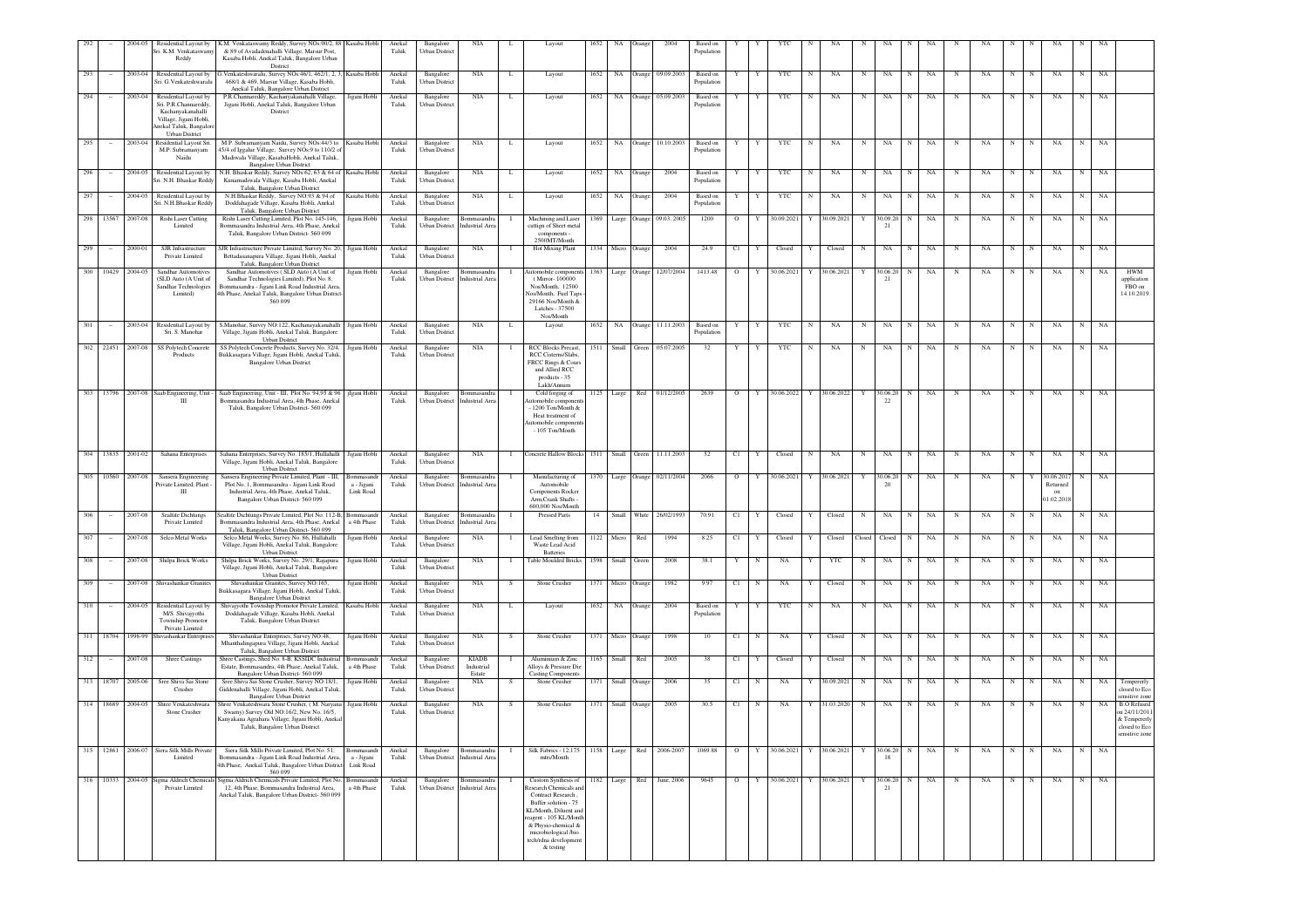|     |        | 2004-05           | Residential Layout by<br>Sri. K.M. Venkataswan<br>Reddy                                                                                          | K.M. Venkataswamy Reddy, Survey NOs:90/2, 88<br>& 89 of Avadadenahalli Village, Marsur Post,<br>Kasaba Hobli, Anekal Taluk, Bangalore Urban<br>District                                                                                     | Kasaba Hobl                          | Anekal<br>Taluk | Bangalore<br><b>Urban District</b> | NIA                                   |              | Layout                                                                                                                                                                                                                                                           | 1652 | NA                | Orange      | 2004                          | Based on<br>Population        |         |              | YTC         |   | NA           |        | NA             |            |             |   |             |            |   |                                           |   |             |                                                                                      |
|-----|--------|-------------------|--------------------------------------------------------------------------------------------------------------------------------------------------|---------------------------------------------------------------------------------------------------------------------------------------------------------------------------------------------------------------------------------------------|--------------------------------------|-----------------|------------------------------------|---------------------------------------|--------------|------------------------------------------------------------------------------------------------------------------------------------------------------------------------------------------------------------------------------------------------------------------|------|-------------------|-------------|-------------------------------|-------------------------------|---------|--------------|-------------|---|--------------|--------|----------------|------------|-------------|---|-------------|------------|---|-------------------------------------------|---|-------------|--------------------------------------------------------------------------------------|
| 293 |        |                   | 2003-04 Residential Layout by<br>Sri. G. Venkateshwaralu                                                                                         | G.Venkateshwaralu, Survey NOs:46/1, 462/1, 2, 3, Kasaba Hobli<br>468/1 & 469. Marsur Village, Kasaba Hobli,<br>Anekal Taluk, Bangalore Urban District                                                                                       |                                      | Anekal<br>Taluk | Bangalore<br><b>Urban District</b> | NIA                                   | L            | Layout                                                                                                                                                                                                                                                           |      |                   |             | 1652 NA Orange 09.09.2003     | <b>Based</b> on<br>Population |         |              | <b>YTC</b>  | N | NA           | N      | NA             | N          | NA          | N | NA          | N          | N | NA                                        |   | NA          |                                                                                      |
| 294 |        | 2003-04           | Residential Layout by<br>Sri. P.R.Channareddy,<br>Kachanyakanahalli<br>Village, Jigani Hobli,<br>Anekal Taluk, Bangalor<br><b>Urban District</b> | P.R.Channareddy, Kachanyakanahalli Village,<br>Jigani Hobli, Anekal Taluk, Bangalore Urban<br>District                                                                                                                                      | Jigani Hobli                         | Anekal<br>Taluk | Bangalore<br>Urban District        | NIA                                   |              | Layout                                                                                                                                                                                                                                                           | 1652 |                   |             | NA Orange 05.09.2003          | Based on<br>Population        |         |              | YTC         |   | NA           |        | NA             |            | NA          | N | NA          | N          |   | NA                                        |   | NA          |                                                                                      |
| 295 | $\sim$ |                   | 2003-04 Residential Layout Sri.<br>M.P. Subramanyam<br>Naidu                                                                                     | M.P. Subramanyam Naidu, Survey NOs:44/3 to Kasaba Hobli<br>45/4 of Iggalur Village, Survey NOs:9 to 110/2 of<br>Madiwala Village, KasabaHobli, Anekal Taluk,<br><b>Bangalore Urban District</b>                                             |                                      | Anckal<br>Taluk | Bangalore<br><b>Urban Distric</b>  | NIA                                   | L            | Layout                                                                                                                                                                                                                                                           | 1652 | NA                |             | Orange 10.10.2003             | <b>Based</b> on<br>Population |         |              | YTC         | N | NA           | N      | NA             | N          | NA          | N | NA          | N          | N | NA                                        | N | NA          |                                                                                      |
| 296 | $\sim$ |                   | 2004-05 Residential Layout by<br>Sri. N.H. Bhaskar Reddy                                                                                         | N.H. Bhaskar Reddy, Survey NOs:62, 63 & 64 of Kasaba Hobli<br>Kunamadiwala Village, Kasaba Hobli, Anekal<br>Taluk, Bangalore Urban District                                                                                                 |                                      | Anckal<br>Taluk | Bangalore<br><b>Urban District</b> | NIA                                   | L            | Layout                                                                                                                                                                                                                                                           |      | 1652 NA Orange    |             | 2004                          | Based on<br>Population        | Y       | $\mathbf{Y}$ | YTC         | N | NA           | N      | NA             | N          | NA          | N | NA          | N          | N | NA                                        | N | NA          |                                                                                      |
| 297 | $\sim$ |                   | 2004-05 Residential Layout by<br>Sri. N.H.Bhaskar Redd                                                                                           | N.H.Bhaskar Reddy, Survey NO:93 & 94 of<br>Doddahagade Village, Kasaba Hobli, Anekal<br>Taluk, Bangalore Urban District                                                                                                                     | Kasaba Hobli                         | Anekal<br>Taluk | Bangalore<br><b>Urban District</b> | <b>NIA</b>                            | L            | Layout                                                                                                                                                                                                                                                           |      | 1652 NA           | Orange      | 2004                          | Based on<br>Population        | Y       | Y            | <b>YTC</b>  | N | <b>NA</b>    | N      | NA             | $_{\rm N}$ | NA          | N | <b>NA</b>   | N          | N | <b>NA</b>                                 | N | NA          |                                                                                      |
|     |        | 298 13567 2007-08 | Rishi Laser Cutting<br>Limited                                                                                                                   | Rishi Laser Cutting Limited, Plot No. 145-146, Jigani Hobli<br>Bommasandra Industrial Area 4th Phase, Anekal<br>Taluk. Bangalore Urban District- 560 099                                                                                    |                                      | Anekal<br>Taluk | Bangalore<br><b>Urban District</b> | Bommasandra<br><b>Industrial Area</b> |              | Machining and Laser<br>cuttign of Sheet metal<br>components                                                                                                                                                                                                      |      |                   |             | 1369 Large Orange 09.03. 2005 | 1200                          | $\circ$ | Y            | 30.09.2021  |   | Y 30.09.2021 | Y      | 30.09.20<br>21 | N          | NA          | N | NA          | N          | N | NA                                        | N | NA          |                                                                                      |
| 299 |        | 2000-01           | SJR Infrastructure<br>Private Limited                                                                                                            | SJR Infrastructure Private Limited, Survey No. 20, Jigani Hobli<br>Bettadasanapura Village, Jigani Hobli, Anekal                                                                                                                            |                                      | Anekal<br>Taluk | Bangalore<br><b>Urban District</b> | NIA                                   |              | 2500MT/Month<br>Hot Mixing Plant                                                                                                                                                                                                                                 |      | 1334 Micro Orange |             | 2004                          | 24.9                          | C1      |              | Closed      |   | Closed       | Ν      | NA             | N          | NA          | N | NA          | N          | N | NA                                        | N | NA          |                                                                                      |
|     |        | 300 10429 2004-05 | Sandhar Automotives<br>(SLD Auto (A Unit of<br>Sandhar Technologies<br>Limited)                                                                  | Taluk, Bangalore Urban District<br>andhar Automotives (SLD Auto (A Unit of<br>Sandhar Technologies Limited), Plot No. 8,<br>Bommasandra - Jigani Link Road Industrial Area.<br>4th Phase, Anekal Taluk, Bangalore Urban District<br>560.099 | Jigani Hobli                         | Anekal<br>Taluk | Bangalore<br>Urban District        | Bommasandra<br>Industrial Area        |              | Automobile components<br>(Mirror-100000<br>Nos/Month, 12500<br>Vos/Month, Fuel Tap<br>29166 Nos/Month &<br>Latches - 37500                                                                                                                                       |      | 1363 Large        |             | Orange 12/07/2004             | 1413.48                       |         |              | 30.06.2021  |   | 30.06.2021   |        | 30.06.20<br>21 |            | NA          |   | NA          |            |   | NA                                        |   |             | <b>HWM</b><br>application<br>FBO on<br>14.10.2019                                    |
| 301 |        | 2003-04           | Residential Layout by<br>Sri. S. Manohar                                                                                                         | S.Manohar, Survey NO:122, Kachanayakanahalli Jigani Hobli<br>Village, Jigani Hobli, Anekal Taluk, Bangalore                                                                                                                                 |                                      | Anekal<br>Taluk | Bangalore<br>Jrban District        | NIA                                   | L            | Nos/Month<br>Layout                                                                                                                                                                                                                                              |      |                   |             | 1652 NA Orange 11.11.2003     | Based on<br>Population        | Y       | Y            | YTC         | N | NA           | N      | NA             | ${\bf N}$  | NA          | N | $_{\rm NA}$ | $_{\rm N}$ | N | NA                                        | N | NA          |                                                                                      |
|     |        |                   | 302 22451 2007-08 SS Polytech Concrete<br>Products                                                                                               | <b>Urban District</b><br>SS Polytech Concrete Products, Survey No. 32/4.<br>Bukkasagara Village, Jigani Hobli, Anekal Taluk,<br><b>Bangalore Urban District</b>                                                                             | Jigani Hobli                         | Anckal<br>Taluk | Bangalore<br>Urban District        | NIA                                   |              | <b>RCC Blocks Precast,</b><br>RCC Cisterns/Slabs,<br>FRCC Rings & Cours<br>and Allied RCC<br>products - 35                                                                                                                                                       | 1511 |                   | Small Green | 05.07.2005                    | 32                            | Y       |              | YTC         | N | NA           | N      | NA             | N          | NA          | N | NA          | N          | N | NA                                        | N | NA          |                                                                                      |
| 303 |        |                   | 13796 2007-08 Saab Engineering, Unit<br>Ш                                                                                                        | Saab Engineering, Unit - III, Plot No. 94,95 & 96<br>Bommasandra Industrial Area, 4th Phase, Anekal<br>Taluk, Bangalore Urban District-560 099                                                                                              | jIgani Hobli                         | Anekal<br>Taluk | Bangalore<br><b>Urban District</b> | Bommasandra<br><b>Industrial Area</b> |              | Lakh/Annum<br>Cold forging of<br>utomobile componen<br>- 1200 Ton/Month &<br>Heat treatment of<br>utomobile component<br>- 105 Ton/Month                                                                                                                         |      | 1125 Large        | Red         | 01/12/2005                    | 2639                          |         |              | 30.06.2022  |   | 30.06.2022   |        | 80.06.20<br>22 |            | NA          |   | NA          |            |   |                                           |   |             |                                                                                      |
| 304 | 13835  | 2001-02           | Sahana Enterprises                                                                                                                               | Sahana Enterprises, Survey No. 185/1, Hullahalli Jigani Hobli<br>Village, Jigani Hobli, Anekal Taluk, Bangalore<br><b>Urban District</b>                                                                                                    |                                      | Anekal<br>Taluk | Bangalore<br><b>Urban District</b> | <b>NIA</b>                            | $\mathbf{I}$ | Concrete Hallow Blocks 1511 Small Green 11.11.2003                                                                                                                                                                                                               |      |                   |             |                               | 52                            | C1      | Y            | Closed      | N | <b>NA</b>    | N      | NA             | $_{\rm N}$ | NA          | N | $_{\rm NA}$ | $_{\rm N}$ | N | <b>NA</b>                                 | N | NA          |                                                                                      |
| 305 | 10560  | 2007-08           | Sansera Engineering<br>Private Limited, Plant<br>Ш                                                                                               | Sansera Engineering Private Limited, Plant - III,<br>Plot No. 1. Bommasandra - Jigani Link Road<br>Industrial Area, 4th Phase, Anekal Taluk,<br>Bangalore Urban District-560 099                                                            | Bommasand<br>a - Jigani<br>Link Road | Anekal<br>Taluk | Bangalore<br><b>Urban District</b> | Bommasandra<br><b>Industrial Area</b> |              | Manufacturing of<br>Automobile<br><b>Components Rocker</b><br><b>Arm.Crank Shafts</b><br>600,000 Nos/Month                                                                                                                                                       | 1370 | Large             | Orange      | 02/11/2004                    | 2066                          | $\circ$ |              | 30.06.2021  | Y | 30.06.2021   |        | 30.06.20<br>20 | N          | $_{\rm NA}$ | N | NA          | N          |   | 60.06.201<br>Returned<br>on<br>01.02.2018 |   | NA          |                                                                                      |
| 306 |        | 2007-08           | <b>Sealtite Dichtungs</b><br>Private Limited                                                                                                     | Sealtite Dichtungs Private Limited, Plot No. 112-B. Bommasand<br>Bommasandra Industrial Area, 4th Phase, Anekal<br>Taluk, Bangalore Urban District- 560 099                                                                                 | a 4th Phase                          | Anckal<br>Taluk | Bangalore<br><b>Urban District</b> | Bommasandra<br>Industrial Area        |              | Pressed Parts                                                                                                                                                                                                                                                    | 14   | Small             | White       | 26/02/1993                    | 70.91                         | C1      |              | Closed      |   | Closed       | N      | NA             |            | NA          | N | NA          | N          | N | NA                                        |   | NA          |                                                                                      |
| 307 |        | 2007-08           | Selco Metal Works                                                                                                                                | Selco Metal Works, Survey No. 86, Hullahalli<br>Village, Jigani Hobli, Anekal Taluk, Bangalore<br><b>Urban District</b>                                                                                                                     | Jigani Hobli                         | Anekal<br>Taluk | Bangalore<br><b>Urban District</b> | NIA                                   |              | Lead Smelting from<br>Waste Lead Acid<br>Batteries                                                                                                                                                                                                               |      | 1122 Micro        | Red         | 1994                          | 8.25                          | C1      |              | Closed      |   | Closed       | Closed | Closed         | N          | NA          | N | NA          |            | N | NA                                        | N | NA          |                                                                                      |
| 308 |        | 2007-08           | Shilpa Brick Works                                                                                                                               | Shilpa Brick Works, Survey No. 29/1, Rajapura<br>Village, Jigani Hobli, Anekal Taluk, Bangalore<br><b>Urban District</b>                                                                                                                    | Jigani Hobli                         | Anekal<br>Taluk | Bangalore<br>Jrban District        | NIA                                   |              | <b>Table Moulded Bricks</b>                                                                                                                                                                                                                                      | 1598 | Small             | Green       | 2008                          | 38.1                          |         |              | NA          |   | <b>YTC</b>   |        | NA             |            | NA          |   | NA          |            |   | NA                                        |   | NA          |                                                                                      |
| 309 |        |                   | 2007-08 Shivashankar Granites                                                                                                                    | Shivashankar Granites, Survey NO:165,<br>Bukkasagara Village, Jigani Hobli, Anekal Taluk,<br><b>Bangalore Urban District</b>                                                                                                                | Jigani Hobli                         | Anekal<br>Taluk | Bangalore<br><b>Urban District</b> | NIA                                   |              | Stone Crusher                                                                                                                                                                                                                                                    |      | 1371 Micro Orange |             | 1982                          | 9.97                          | C1      | N            | NA          |   | Closed       | N      | NA             | N          | NA          | N | NA          | N          | N | NA                                        |   | NA          |                                                                                      |
| 310 |        | 2004-05           | Residential Layout by<br>M/S. Shivajyothi<br><b>Township Promotor</b><br>Private Limited                                                         | Shivaivothi Township Promotor Private Limited.<br>Doddahagade Village, Kasaba Hobli, Anekal<br>Taluk, Bangalore Urban District                                                                                                              | Kasaba Hobli                         | Anckal<br>Taluk | Bangalore<br><b>Urban District</b> | <b>NIA</b>                            | л.           | Layout                                                                                                                                                                                                                                                           |      | 1652 NA           | Orange      | 2004                          | Based on<br>Population        |         |              | <b>YTC</b>  |   | NA           |        | NA             |            | NA          |   | NA          | N          |   | NA                                        |   | NA          |                                                                                      |
|     |        |                   | 311 18704 1998-99 Shivashankar Enterprise                                                                                                        | Shivashankar Enterprises, Survey NO:48,<br>Mhanthalingapura Village, Jigani Hobli, Anekal<br>Taluk, Bangalore Urban District                                                                                                                | Jigani Hobli                         | Anckal<br>Taluk | Bangalore<br><b>Urban District</b> | NIA                                   | -S           | Stone Crusher                                                                                                                                                                                                                                                    |      | 1371 Micro        | Orange      | 1998                          | 10                            | C1      | N            | NA          |   | Closed       | N      | NA             | N          | NA          | N | NA          | N          | N | NA                                        | N | NA          |                                                                                      |
| 312 | $\sim$ | 2007-08           | <b>Shree Castings</b>                                                                                                                            | Shree Castings, Shed No. 8-B, KSSIDC Industrial<br>Estate, Bommasandra, 4th Phase, Anekal Taluk<br>Bangalore Urban District-560 099                                                                                                         | Bommasand<br>a 4th Phase             | Anckal<br>Taluk | Bangalore<br>Urban District        | <b>KIADB</b><br>Industrial<br>Estate  |              | Aluminium & Zinc.<br>Allovs & Pressure Di<br><b>Casting Components</b>                                                                                                                                                                                           |      | 1165 Small        | Red         | 2005                          | 38                            | C1      | Y            | Closed      | Y | Closed       | N      | NA             | $_{\rm N}$ | NA          | N | $_{\rm NA}$ | N          | N | NA                                        | N | $_{\rm NA}$ |                                                                                      |
| 313 | 18707  | 2005-06           | Sree Shiva Sai Stone<br>Crusher                                                                                                                  | Sree Shiva Sai Stone Crusher, Survey NO:18/1,<br>Giddenahalli Village, Jigani Hobli, Anekal Taluk,<br><b>Bangalore Urban District</b>                                                                                                       | Jigani Hobli                         | Anekal<br>Taluk | Bangalore<br>Jrban District        | <b>NIA</b>                            |              | Stone Crusher                                                                                                                                                                                                                                                    | 1371 | Small             | Orango      | 2006                          | 35                            | C1      | N            | $_{\rm NA}$ |   | 30.09.2021   | N      | $_{\rm NA}$    | N          | $_{\rm NA}$ | N | $_{\rm NA}$ | N          | N | $_{\rm NA}$                               |   | NA          | Tempererly<br>closed to Eco<br>sensitive zone                                        |
|     |        | 314 18689 2004-05 | Shree Venkateshwara<br>Stone Crusher                                                                                                             | Shree Venkateshwara Stone Crusher, (M. Naryana Jigani Hobli<br>Swamy) Survey Old NO:16/2, New No. 16/5,<br>Kanyakana Agrahara Village, Jigani Hobli, Anekal<br>Taluk, Bangalore Urban District                                              |                                      | Anekal<br>Taluk | Bangalore<br>Urban Distric         | NIA                                   | s            | Stone Crusher                                                                                                                                                                                                                                                    |      | 1371 Small Orange |             | 2005                          | 30.5                          | C1      | N            | NA          |   | Y 31.03.2020 | N      | NA             | $_{\rm N}$ | NA          | N | NA          | N          | N | NA                                        | N | NA          | <b>B.O</b> Refused<br>n 24/11/201<br>& Tempererly<br>closed to Eco<br>sensitive zone |
|     |        |                   | 315 12861 2006-07 Siera Silk Mills Private<br>Limited                                                                                            | Siera Silk Mills Private Limited. Plot No. 51.<br>Bommasandra - Jigani Link Road Industrial Area,<br>4th Phase, Anekal Taluk, Bangalore Urban District-<br>560 099                                                                          | Bommasand<br>a - Jigani<br>Link Road | Anckal<br>Taluk | Bangalore<br><b>Urban District</b> | Bommasandra<br><b>Industrial Area</b> |              | Silk Fabrics - 12.175<br>mtrs/Month                                                                                                                                                                                                                              |      |                   |             | 1158 Large Red 2006-2007      | 1069.88                       | $\circ$ |              | 30.06.2021  | Y | 30.06.2021   |        | 30.06.20<br>18 |            | NA          |   | NA.         |            |   | NA.                                       | N | NA          |                                                                                      |
|     |        |                   | Private Limited                                                                                                                                  | 316 10333 2004-05 Sigma Aldrich Chemicals Sigma Aldrich Chemicals Private Limited, Plot No.<br>12. 4th Phase. Bommasandra Industrial Area.<br>Anekal Taluk, Bangalore Urban District- 560 099                                               | Bommasand<br>a 4th Phase             | Anekal<br>Taluk | Bangalore<br>Urban District        | Bommasandra<br><b>Industrial Area</b> |              | Custom Synthesis of 1182 Large Red June, 2006<br><b>Research Chemicals an</b><br>Contract Research<br>Buffer solution - 75<br>KL/Month, Diluent and<br>eagent - 105 KL/Month<br>& Physio-chemical &<br>microbiological /bio<br>tech/rdna developmen<br>& testing |      |                   |             |                               | 9645                          | $\circ$ | Y            | 30.06.2021  |   | Y 30.06.2021 |        | 30.06.20<br>21 | N          | NA          | N | NA          | N          | N | NA                                        | N | NA          |                                                                                      |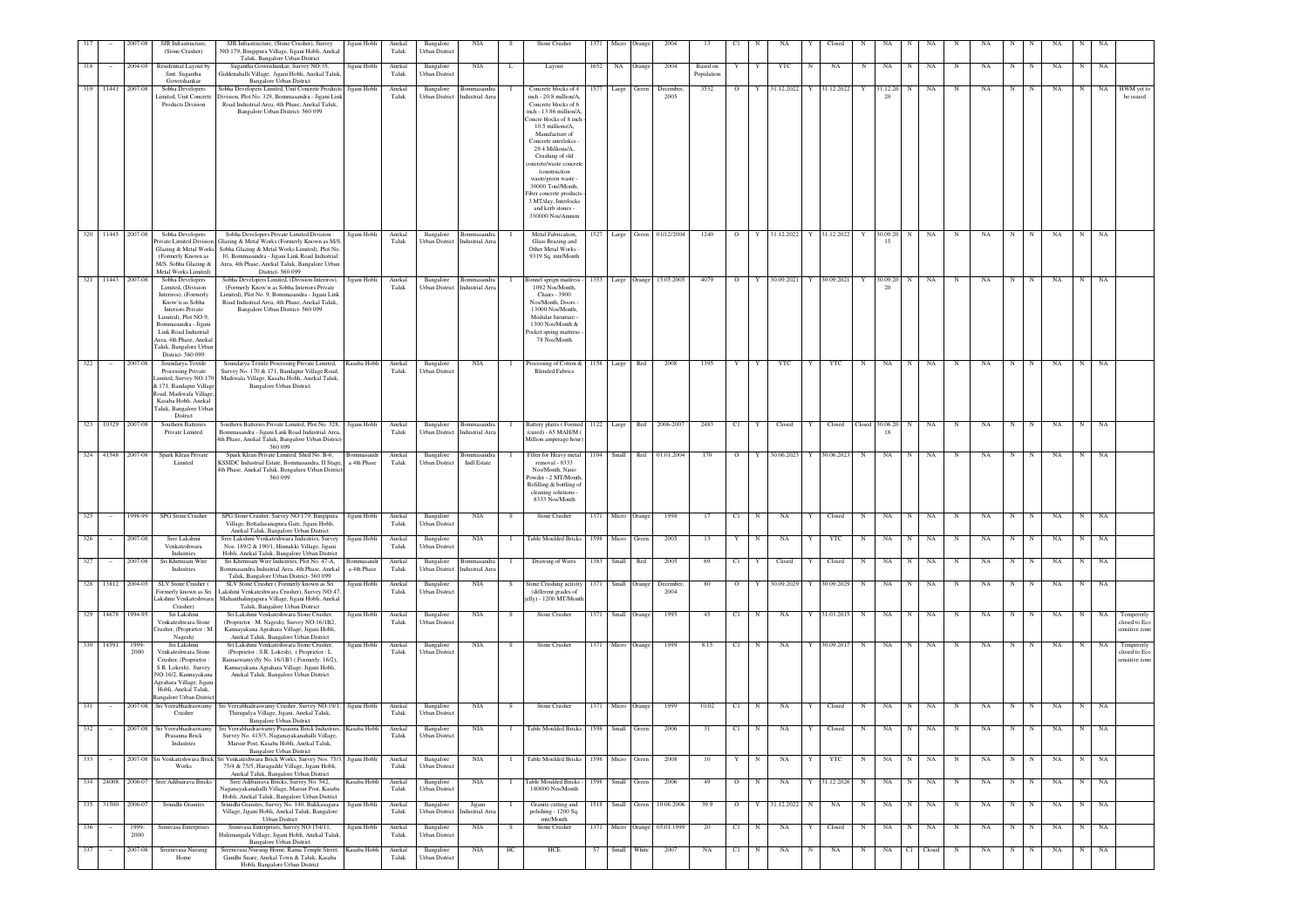|     |               | 2007-08           | SJR Infrastructure,<br>(Stone Crusher)                                                                                                                                                                                                                          | SJR Infrastructure, (Stone Crusher), Survey<br>NO:179, Bingipura Village, Jigani Hobli, Anekal                                                                                                                                                                                              | Jigani Hobli             | Anekal<br>Taluk | Bangalore<br>Urban Distric         | NIA                                           | Stone Crusher                                                                                                                                                                                                                                                                                                                                                                                                   | 1371 |                   | Micro Orange | 2004                         | 13                            | C1      | NA                      |   | Closed                 |   | NA                  | NA     |            | NA          |            |   | NA          |   | NA        |                                               |
|-----|---------------|-------------------|-----------------------------------------------------------------------------------------------------------------------------------------------------------------------------------------------------------------------------------------------------------------|---------------------------------------------------------------------------------------------------------------------------------------------------------------------------------------------------------------------------------------------------------------------------------------------|--------------------------|-----------------|------------------------------------|-----------------------------------------------|-----------------------------------------------------------------------------------------------------------------------------------------------------------------------------------------------------------------------------------------------------------------------------------------------------------------------------------------------------------------------------------------------------------------|------|-------------------|--------------|------------------------------|-------------------------------|---------|-------------------------|---|------------------------|---|---------------------|--------|------------|-------------|------------|---|-------------|---|-----------|-----------------------------------------------|
| 318 |               | 2004-05           | Residential Layout by<br>Smt. Sugantha                                                                                                                                                                                                                          | Taluk, Bangalore Urban District<br>Sugantha Gowrishankar, Survey NO:35.<br>Giddenahalli Village, Jigani Hobli, Anekal Taluk                                                                                                                                                                 | Jigani Hobli             | Anekal<br>Taluk | Bangalore<br>Urban Distric         | NIA                                           | Layout<br>L                                                                                                                                                                                                                                                                                                                                                                                                     |      | 1652 NA Orang     |              | 2004                         | <b>Based</b> on<br>Population |         | <b>YTC</b>              | N | NA                     |   | NA                  | NA     | N          | NA          | N          |   | NA          |   | NA        |                                               |
|     |               | 319 11441 2007-08 | Gowrishankar<br>Sobha Developers<br>Limited, Unit Concrete<br><b>Products Division</b>                                                                                                                                                                          | Bangalore Urban District<br>Sobha Developers Limited, Unit Concrete Products Jigani Hobli<br>Division, Plot No. 329, Bommasandra - Jigani Link<br>Road Industrial Area, 4th Phase, Anekal Taluk,<br>Bangalore Urban District- 560 099                                                       |                          | Anekal<br>Taluk | Bangalore<br>Urban District        | <b>Bommasandra</b><br><b>Industrial Area</b>  | Concrete blocks of 4<br>inch - 20.8 million/A<br>Concrete blocks of 6<br>inch - 13.86 million/A<br>oncre blocks of 8 inch<br>10.5 millions/A<br>Manufacture of<br>Concrete interlokes -<br>29.4 Millions/A,<br>Crushing of old<br>oncrete/waste concre<br>/construction<br>waste/green waste -<br>30000 Ton//Month,<br>liber concrete products<br>3 MT/day, Interlocks<br>and kerb stones -<br>330000 Nos/Annum | 1577 |                   | Large Green  | December<br>2005             | 3532                          | $\circ$ | 31.12.2022              | Y | 31.12.2022             |   | 31.12.20<br>20      | NA     | N          | NA          | N          |   | NA          |   | NA        | HWM yet to<br>be issued                       |
| 320 |               | 11445 2007-08     | Sobha Developers<br>Private Limited Division<br>(Formerly Known as<br>M/S. Sobha Glazing &<br>Metal Works Limited)                                                                                                                                              | Sobha Developers Private Limited Division:<br>Glazing & Metal Works (Formerly Known as M/S.<br>Glazing & Metal Works Sobha Glazing & Metal Works Limited), Plot No.<br>10, Bommasandra - Jigani Link Road Industrial<br>Area, 4th Phase, Anekal Taluk, Bangalore Urban<br>District- 560 099 | Jigani Hobl              | Anekal<br>Taluk | Bangalore<br>Urban District        | Bommasandra<br><b>Industrial Area</b>         | Metal Fabrication,<br>Glass Brazing and<br>Other Metal Works<br>9319 Sq. mtr/Month                                                                                                                                                                                                                                                                                                                              |      |                   |              | Large Green 01/12/2004       | 1240                          |         | 31.12.2022 Y            |   | 31.12.2022             |   | 30.09.20<br>15      | NA     |            | NA          |            |   |             |   | NA        |                                               |
| 321 |               | 11443 2007-08     | Sobha Developers<br>Limited, (Division<br>Interiros), (Formerly<br>Know'n as Sobha<br><b>Interiors Private</b><br>Limited), Plot NO:9.<br>Bommasandra - Jigani<br>Link Road Industrial<br>Area, 4th Phase, Anekal<br>Taluk, Bangalore Urban<br>District-560 099 | Sobha Developers Limited, (Division Interiros),<br>(Formerly Know'n as Sobha Interiors Private<br>.imited), Plot No. 9, Bommasandra - Jigani Link<br>Road Industrial Area, 4th Phase, Anekal Taluk,<br>Bangalore Urban District- 560 099                                                    | Jigani Hobli             | Anekal<br>Taluk | Bangalore                          | Bommasandra<br>Urban District Industrial Area | Bonnel sprign mattress<br>1092 Nos/Month<br>Chairs - 3900<br>Nos/Month, Doors<br>13000 Nos/Month,<br>Modular furniture -<br>1300 Nos/Month &<br>Pocket spring mattress<br>78 Nos/Month                                                                                                                                                                                                                          |      |                   |              | 1353 Large Orange 15.05.2005 | 4079                          | $\circ$ | 30.09.2021              | Y | 30.09.2021             |   | 30.09.20<br>20      | NA     | N          | NA          | N          |   | NA          |   | NA        |                                               |
| 322 | $\sim$        | 2007-08           | Soundarya Textile<br>Processing Private<br>imited, Survey NO:1<br>& 171, Bandapur Village<br>Road Madiwala Village<br>Kasaba Hobli Anekal<br>Taluk, Bangalore Urban<br>District                                                                                 | Soundarya Textile Processing Private Limited,<br>Survey No. 170 & 171, Bandapur Village Road,<br>Madiwala Village, Kasaba Hobli, Anekal Taluk,<br><b>Bangalore Urban District</b>                                                                                                           | Kasaba Hobl              | Anekal<br>Taluk | Bangalore<br><b>Urban District</b> | NIA                                           | Processing of Cotton &<br><b>Blended Fabrics</b>                                                                                                                                                                                                                                                                                                                                                                |      | 1158 Large Red    |              | 2008                         | 1395                          | Y       | YTC                     | Y | YTC                    | N | NA<br>N             | NA     | N          | NA          | N          | N | NA          |   | NA        |                                               |
|     |               | 323 10329 2007-08 | Southern Batteries<br>Private Limited                                                                                                                                                                                                                           | Southern Batteries Private Limited, Plot No. 328. Jigani Hobli<br>Bommasandra - Jigani Link Road Industrial Area,<br>4th Phase, Anekal Taluk, Bangalore Urban District<br>560 099                                                                                                           |                          | Anekal<br>Taluk | Bangalore<br>Urban District        | Bommasandra<br><b>Industrial Area</b>         | <b>Battery plates (Formed</b><br>/cured) - 65 MAH/M (<br>Million amperage hour                                                                                                                                                                                                                                                                                                                                  |      |                   |              | 1122 Large Red 2006-2007     | 2483                          | C1      | Closed                  | Y | Closed Closed 30.06.20 |   | N<br>18             | NA     | N          | NA          | N          | N | NA          |   | NA        |                                               |
|     |               | 324 41548 2007-08 | Spark Klean Private<br>Limited                                                                                                                                                                                                                                  | Spark Klean Private Limited, Shed No. B-6,<br>KSSIDC Industrial Estate, Bommasandra, II Stage<br>4th Phase, Anekal Taluk, Bengaluru Urban District<br>560 099                                                                                                                               | Bommasand<br>a 4th Phase | Anekal<br>Taluk | Bangalore<br>Urban District        | Bommasandra<br><b>Indl Estate</b>             | Filter for Heavy metal<br>removal - 8333<br>Nos/Month, Nano<br>Powder - 2 MT/Month<br>Refilling & bottling of<br>cleaning solutions -<br>8333 Nos/Month                                                                                                                                                                                                                                                         |      |                   |              | 1104 Small Red 01.01.2004    | 170                           | $\circ$ | 30.06.2023<br>Y         | Y | 30.06.2023             | N | NA<br>N             | NA     | N          | NA          | N          | N | NA          | N | <b>NA</b> |                                               |
| 325 |               | 1998-99           | SPG Stone Crusher                                                                                                                                                                                                                                               | SPG Stone Crusher, Survey NO:179, Bingipura<br>Village, Bettadasanapura Gate, Jigani Hobli,<br>Anekal Taluk, Bangalore Urban District                                                                                                                                                       | Jigani Hobli             | Anekal<br>Taluk | Bangalore<br>Jrban Distric         | NIA                                           | Stone Crusher                                                                                                                                                                                                                                                                                                                                                                                                   |      | 1371 Micro Orange |              | 1998                         | 17                            | C1      | NA                      | Y | Closed                 | N | NA<br>N             | NA     | N          | NA          | N          | N | NA          |   | NA        |                                               |
| 326 |               | 2007-08           | Sree Lakshmi<br>Venkateshwara<br>Industries                                                                                                                                                                                                                     | Sree Lakshmi Venkateshwara Industries, Survey<br>Nos. 189/2 & 190/1, Hinnakki Village, Jigani<br>Hobli, Anekal Taluk, Bangalore Urban District                                                                                                                                              | Jigani Hobli             | Anekal<br>Taluk | Bangalore<br>Urban Distric         | <b>NIA</b>                                    | <b>Table Moulded Bricks</b>                                                                                                                                                                                                                                                                                                                                                                                     |      | 1598 Micro Green  |              | 2005                         | 13                            |         | NA                      |   | YTC                    |   | NA<br>N             | NA     |            | NA          | N          |   | NA          |   | NA        |                                               |
| 327 |               | 2007-08           | Sri Khemisati Wire<br>Industries                                                                                                                                                                                                                                | Sri Khemisati Wire Industries, Plot No. 47-A.<br>Bommasandra Industrial Area, 4th Phase, Anekal<br>Taluk, Bangalore Urban District- 560 099                                                                                                                                                 | Bommasand<br>a 4th Phase | Anekal<br>Taluk | Bangalore<br>Urban Distric         | Bommasandra<br>ndustrial Are                  | Drawing of Wires                                                                                                                                                                                                                                                                                                                                                                                                | 1383 | Small             | Red          | 2005                         | 69                            | C1      | Closed                  | Y | Closed                 |   | NA<br>N             | NA     | N          | NA          | N          |   | NA          |   | NA        |                                               |
| 328 | 13812         | 2004-05           | SLV Stone Crusher (<br>Formerly known as Sri<br>Crusher)                                                                                                                                                                                                        | SLV Stone Crusher (Formerly known as Sri<br>Lakshmi Venkateshwara Crusher), Survey NO:47<br>Lakshmi Venkateshwara   Mahanthalingapura Village, Jigani Hobli, Anekal<br>Taluk, Bangalore Urban District                                                                                      | Jigani Hobli             | Anekal<br>Taluk | Bangalore<br>Urban District        | NIA                                           | <b>Stone Crushing activity</b><br>s<br>(different grades of<br>jelly) - 1200 MT/Monti                                                                                                                                                                                                                                                                                                                           |      | 1371 Small Orange |              | December,<br>2004            | 80                            | $\circ$ | 30.09.2029              | Y | 30.09.2029             | N | NA<br>N             | NA     | N          | NA          | N          | N | NA          |   | NA        |                                               |
| 329 |               | 14678 1994-95     | Sri Lakshmi<br>Venkateshwara Stone<br>Crusher, (Proprietor: M.<br>Nagesh)                                                                                                                                                                                       | Sri Lakshmi Venkateshwara Stone Crusher,<br>(Proprietor: M. Nagesh), Survey NO:16/1B2,<br>Kannayakana Agrahara Village, Jigani Hobli,<br>Anekal Taluk, Bangalore Urban District                                                                                                             | Jigani Hobli             | Anekal<br>Taluk | Bangalore<br><b>Urban District</b> | NIA                                           | Stone Crusher<br><b>S</b>                                                                                                                                                                                                                                                                                                                                                                                       |      | 1371 Small Orange |              | 1995                         | 45                            | Cl      | NA<br>N                 | Y | 31.03.2015             | N | NA<br>N             | NA     | N          | NA          | N          |   | NA          |   | NA        | Tempererly<br>closed to Eco<br>ensitive zon   |
| 330 | 14591         | 1999-<br>2000     | Sri Lakshmi<br>Venkateshwara Stone<br>Crusher, (Proprietor:<br>S.R. Lokesh), Survey<br>NO:16/2, Kannayakana<br>Agrahara Village, Jigani<br>Hobli, Anekal Taluk.<br><b>Bangalore Urban Distric</b>                                                               | Sri Lakshmi Venkateshwara Stone Crusher.<br>(Proprietor: S.R. Lokesh), (Proprietor: L.<br>Ramaswamy)Sy No. 16/1B3 (Formerly. 16/2),<br>Kannayakana Agrahara Village, Jigani Hobli,<br>Anekal Taluk, Bangalore Urban District                                                                | Jigani Hobli             | Anckal<br>Taluk | Bangalore<br>Urban District        | <b>NIA</b>                                    | Stone Crusher<br>-S                                                                                                                                                                                                                                                                                                                                                                                             |      | 1371 Micro Orange |              | 1999                         | 8.15                          | C1      | <b>NA</b><br>$_{\rm N}$ | Y | 30.09.2017             | N | NA<br>N             | NA     | N          | NA          | N          | N | NA          |   | <b>NA</b> | Tempererly<br>closed to Eco<br>sensitive zone |
| 331 | $\sim$        |                   | 2007-08 Sri Veerabhadraswamy<br>Crusher                                                                                                                                                                                                                         | Sri Veerabhadraswamy Crusher, Survey NO:19/1,<br>Thirupalya Village, Jigani, Anekal Taluk,<br><b>Bangalore Urban District</b>                                                                                                                                                               | Jigani Hobli             | Anekal<br>Taluk | Bangalore<br>Urban Distric         | <b>NIA</b>                                    | Stone Crusher<br>-S                                                                                                                                                                                                                                                                                                                                                                                             |      | 1371 Micro Orange |              | 1999                         | 10.02                         | Cl      | NA<br>$_{\rm N}$        | Y | Closed                 | N | NA.<br>$\mathbb{N}$ | NA     | $_{\rm N}$ | NA          | N          | N | NA          | N | NA        |                                               |
| 332 |               |                   | Prasanna Brick<br>Industries                                                                                                                                                                                                                                    | 2007-08 Sri Veerabhadraswamy Sri Veerabhadraswamy Prasanna Brick Industries, Kasaba Hobli<br>rvey No. 415/3 Naganayakanahalli Village<br>Marsur Post, Kasaba Hobli, Anekal Taluk.<br><b>Bangalore Urban District</b>                                                                        |                          | Anekal<br>Taluk | Bangalore                          | NIA                                           | <b>Table Moulded Bricks</b>                                                                                                                                                                                                                                                                                                                                                                                     | 1598 |                   | Small Green  | 2006                         | 31                            | C1      | NA                      | Y | Closed                 |   | NA<br>N             | NA     | N          | NA          | N          | N | NA          |   | NA        |                                               |
| 333 | $\rightarrow$ |                   | Works                                                                                                                                                                                                                                                           | 2007-08 Sri Venkateshwara Brick Sri Venkateshwara Brick Works, Survey Nos. 75/3, Jigani Hobli<br>75/4 & 75/5, Haragadde Village, Jigani Hobli,<br>Anekal Taluk, Bangalore Urban District                                                                                                    |                          | Anekal<br>Taluk | Bangalore<br>Urban Distric         | <b>NIA</b>                                    | <b>Table Moulded Bricks</b>                                                                                                                                                                                                                                                                                                                                                                                     |      | 1598 Micro Green  |              | 2008                         | 10                            |         | NA                      | Y | YTC                    | N | <b>NA</b><br>N      | NA.    |            | NA          | N          |   | NA          |   | NA        |                                               |
|     | 334 24008     |                   | 2006-07 Sree Adibairava Bricks                                                                                                                                                                                                                                  | Sree Adibairava Bricks, Survey No. 542,<br>.<br>Naganayakanahalli Village, Marsur Post, Kasaba<br>Hobli, Anekal Taluk, Bangalore Urban District                                                                                                                                             | Kasaba Hobi              | Anekal<br>Taluk | Bangalore<br>Urban Distric         | $_{\rm NIA}$                                  | Table Moulded Bricks -<br>180000 Nos/Month                                                                                                                                                                                                                                                                                                                                                                      |      | 1598 Small Green  |              | 2006                         | 49                            | $\circ$ | N<br>$_{\rm NA}$        | Y | 31.12.2026             | N | NA<br>N             | NA     | N          | $_{\rm NA}$ | $_{\rm N}$ | N | $_{\rm NA}$ |   | NA        |                                               |
| 335 |               | 31500 2006-07     | Srinidhi Granites                                                                                                                                                                                                                                               | Srinidhi Granites, Survey No. 140, Bukkasagara Jigani Hobli<br>Village, Jigani Hobli, Anekal Taluk, Bangalore<br>Urban District                                                                                                                                                             |                          | Anekal<br>Taluk | Bangalore<br>Urban District        | Jigani<br>ustrial Are                         | Granite cutting and<br>polishing - 1200 Sq.<br>mtr/Month                                                                                                                                                                                                                                                                                                                                                        | 1518 |                   | Small Green  | 10.06.2006                   | 39.9                          | $\circ$ | 31.12.2022<br>Y         | N | $_{\rm NA}$            | N | NA<br>N             | NA     | N          | $_{\rm NA}$ | N          | N | $_{\rm NA}$ | N | NA        |                                               |
| 336 | $\sim$        | 1999.<br>2000     | Srinivasa Enterprises                                                                                                                                                                                                                                           | Srinivasa Enterprises, Survey NO:154/11,<br>Hulimangala Village, Jigani Hobli, Anekal Taluk,<br><b>Bangalore Urban District</b>                                                                                                                                                             | Jigani Hobli             | Anckal<br>Taluk | Bangalore<br>Urban District        | <b>NIA</b>                                    | Stone Crusher<br>-S                                                                                                                                                                                                                                                                                                                                                                                             |      |                   |              | 1371 Micro Orange 05.01.1999 | 20                            | C1      | NA<br>N                 | Y | Closed                 | N | NA<br>N             | NA     | N          | NA          | N          | N | NA          | N | NA        |                                               |
| 337 | $\sim$        | 2007-08           | Sreenivasa Nursing<br>Home                                                                                                                                                                                                                                      | Sreenivasa Nursing Home, Rama Temple Street,<br>Gandhi Suare, Anekal Town & Taluk, Kasaba<br>Hobli, Bangalore Urban District                                                                                                                                                                | Kasaba Hobl              | Anckal<br>Taluk | Bangalore<br>Urban District        | <b>NIA</b>                                    | HCE<br>HC                                                                                                                                                                                                                                                                                                                                                                                                       | 57   | Small             | White        | 2007                         | NA                            | C1      | NA<br>N                 | N | $_{\rm NA}$            | N | <b>NA</b><br>C1     | Closed | N          | <b>NA</b>   | N          | N | NA          | N | NA        |                                               |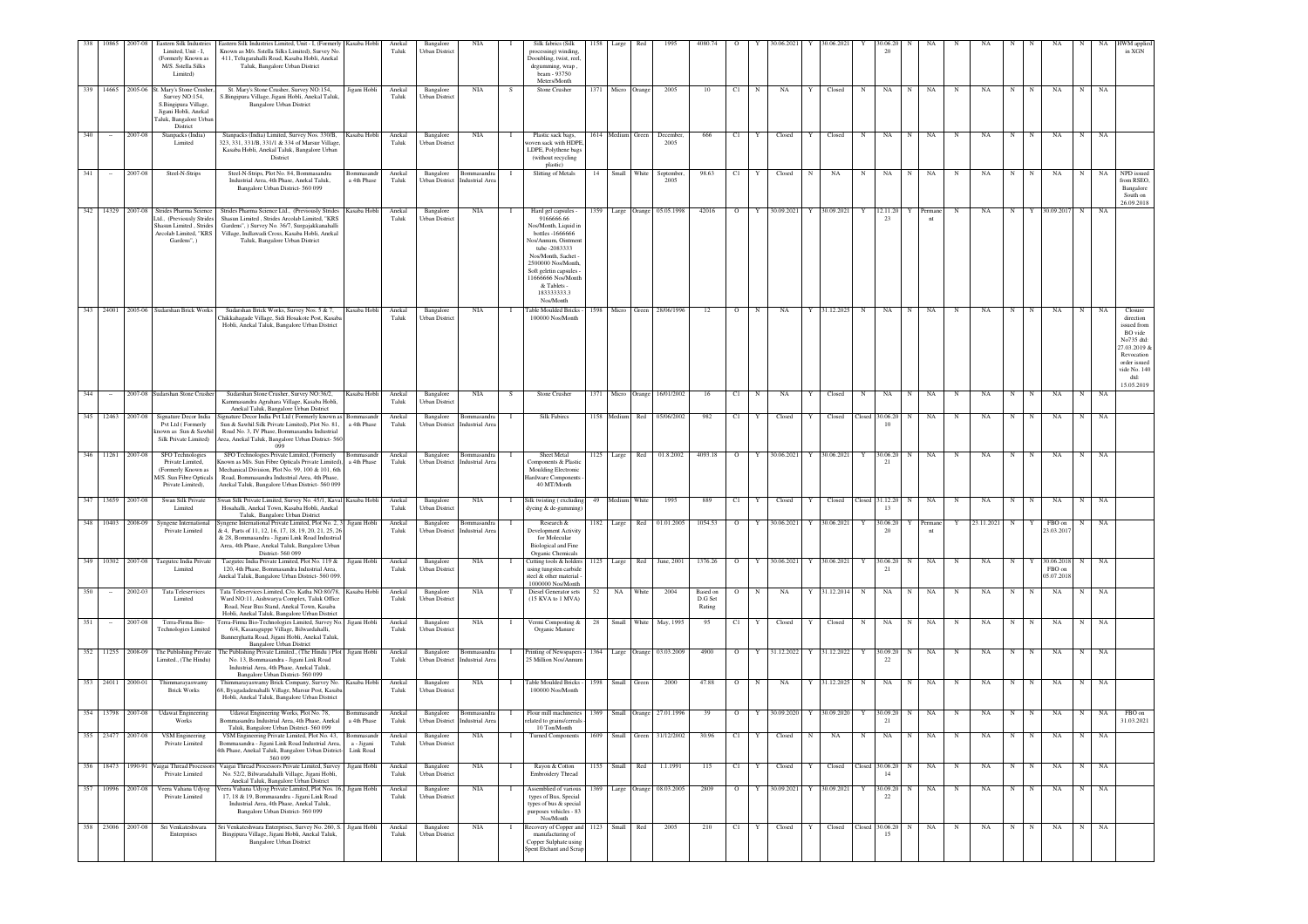| 338        |           | 10865 2007-08      | Eastern Silk Industries<br>Limited, Unit - I,<br>(Formerly Known as<br>M/S. Sstella Silks<br>Limited)                                                     | Eastern Silk Industries Limited, Unit - I, (Formerly<br>Known as M/s. Sstella Silks Limited), Survey No.<br>411. Telugarahalli Road, Kasaba Hobli, Anekal<br>Taluk, Bangalore Urban District                                                              | Kasaba Hobl               | Anekal<br>Taluk           | Bangalore<br><b>Urban District</b>             | NIA                                   |              | Silk fabrics (Silk<br>processing) winding,<br>Dooubling, twist, reel,<br>degumming, wrap<br>beam - 93750<br>Meters/Month                                                                                                                               | 1158       | Large<br>Red                 | 1995               | 4080.74                    | $\circ$            |            | 0.06.2021                 |    | 30.06.2021                 |            | 0.06.2<br>20          |              | NA          |            |             |   |   | NA                                       | NA               | HWM applie<br>in $XGN$                                                                                                                                  |  |
|------------|-----------|--------------------|-----------------------------------------------------------------------------------------------------------------------------------------------------------|-----------------------------------------------------------------------------------------------------------------------------------------------------------------------------------------------------------------------------------------------------------|---------------------------|---------------------------|------------------------------------------------|---------------------------------------|--------------|--------------------------------------------------------------------------------------------------------------------------------------------------------------------------------------------------------------------------------------------------------|------------|------------------------------|--------------------|----------------------------|--------------------|------------|---------------------------|----|----------------------------|------------|-----------------------|--------------|-------------|------------|-------------|---|---|------------------------------------------|------------------|---------------------------------------------------------------------------------------------------------------------------------------------------------|--|
|            |           |                    | 339 14665 2005-06 St. Mary's Stone Crusher.<br>Survey NO:154,<br>S.Bingipura Village.<br>Jigani Hobli, Anekal<br><b>Taluk Bangalore Urban</b><br>District | St. Mary's Stone Crusher, Survey NO:154,<br>S.Bingipura Village, Jigani Hobli, Anekal Taluk<br><b>Bangalore Urban District</b>                                                                                                                            | Jigani Hobli              | Anckal<br>Taluk           | Bangalore<br><b>Urban District</b>             | <b>NIA</b>                            |              | Stone Crusher                                                                                                                                                                                                                                          |            | 1371 Micro Orange            | 2005               | 10                         | C1                 | $_{\rm N}$ | NA                        | Y  | Closed N                   |            | NA .                  | N            | NA .        | N          | NA          |   |   | NA                                       | NA<br>N          |                                                                                                                                                         |  |
| 340        | $\sim$    | 2007-08            | Stanpacks (India)<br>Limited                                                                                                                              | Stanpacks (India) Limited, Survey Nos. 330/B,<br>323, 331, 331/B, 331/1 & 334 of Marsur Village,<br>Kasaba Hobli, Anekal Taluk, Bangalore Urban<br>District                                                                                               | Kasaba Hobli              | Anekal<br>Taluk           | Bangalore<br><b>Urban District</b>             | $_{\rm NIA}$                          |              | Plastic sack bags,<br>oven sack with HDPE<br>LDPE. Polythene bag<br>(without recycling<br>plastic)                                                                                                                                                     |            | 1614 Medium Green            | December,<br>2005  | 666                        | C1                 | Y          | Closed                    | Y  | Closed                     | N          | NA                    | $_{\rm N}$   | NA          | $_{\rm N}$ | NA          | N | N | NA                                       | $_{\rm N}$<br>NA |                                                                                                                                                         |  |
| 341        | $\sim$    | 2007-08            | Steel-N-Strips                                                                                                                                            | Steel-N-Strips, Plot No. 84, Bommasandra<br>Industrial Area, 4th Phase, Anekal Taluk,<br>Bangalore Urban District-560 099                                                                                                                                 | Bommasand<br>a 4th Phase  | Anekal<br>Taluk           | Bangalore<br><b>Urban District</b>             | Bommasandra<br><b>Industrial Area</b> |              | Slitting of Metals                                                                                                                                                                                                                                     |            | 14 Small White               | September,<br>2005 | 98.63                      | C1                 | Y          | Closed                    | N  | NA                         | N          | NA                    | N            | NA          | N          | NA          |   |   | <b>NA</b>                                | NA               | NPD issued<br>from RSEO.<br>Bangalore<br>South on<br>26.09.2018                                                                                         |  |
|            |           |                    | 342 14329 2007-08 Strides Pharma Science<br>Ltd., (Previously Strides<br>Shasun Limited, Strides<br>Arcolab Limited "KRS<br>Gardens", )                   | Strides Pharma Science Ltd., (Previously Strides<br>Shasun Limited, Strides Arcolab Limited, "KRS<br>Gardens", ) Survey No. 36/7, Surgajakkanahalli<br>Village, Indlawadi Cross, Kasaba Hobli, Anekal<br>Taluk, Bangalore Urban District                  | Kasaba Hobl               | Anekal<br>Taluk           | Bangalore<br><b>Urban District</b>             | <b>NIA</b>                            |              | Hard gel capsules -<br>9166666.66<br>Vos/Month, Liquid in<br>bottles -1666666<br>Nos/Annum, Ointmen<br>tube -2083333<br>Nos/Month, Sachet<br>2500000 Nos/Month<br>Soft geletin capsules<br>11666666 Nos/Month<br>& Tablets<br>183333333.3<br>Nos/Month |            | 1359 Large Orange            | 05.05.1998         | 42016                      | $\overline{O}$     |            | 30.09.2021                |    | Y 30.09.2021               |            | 12.11.20<br>23        |              | ermane      | N          | NA          |   |   | 30.09.2017                               | NA<br>N          |                                                                                                                                                         |  |
| 343        | 24001     | 2005-06            | Sudarshan Brick Works                                                                                                                                     | Sudarshan Brick Works, Survey Nos. 5 & 7,<br>Chikkahagade Village, Sidi Hosakote Post, Kasaba<br>Hobli, Anekal Taluk, Bangalore Urban District                                                                                                            | Kasaba Hobli              | Anekal<br>Taluk           | Bangalore<br><b>Urban Distric</b>              | <b>NIA</b>                            |              | Table Moulded Bricks -<br>100000 Nos/Month                                                                                                                                                                                                             |            | 1598 Micro<br>Green          | 28/06/1996         | 12                         | $\circ$            | $_{\rm N}$ | <b>NA</b>                 |    | Y 31.12.2025               | N          | NA                    | $_{\rm N}$   | NA          | N          | NA          | N | N | NA                                       | NA<br>N          | Closure<br>direction<br>issued from<br><b>BO</b> vide<br>No735 dtd:<br>27.03.2019 &<br>Revocation<br>order issued<br>vide No. 140<br>dtd:<br>15.05.2019 |  |
| 344        |           |                    | 2007-08 Sudarshan Stone Crusher                                                                                                                           | Sudarshan Stone Crusher, Survey NO:36/2<br>Kammasandra Agrahara Village, Kasaba Hobli<br>Anekal Taluk, Bangalore Urban District                                                                                                                           | Kasaba Hobli              | Anekal<br>Taluk           | Bangalore<br><b>Urban Distric</b>              | <b>NIA</b>                            | - S          | Stone Crusher                                                                                                                                                                                                                                          |            | 1371 Micro<br>Orange         | 16/01/2002         | 16                         | C1                 | $_{\rm N}$ | NA                        | Y  | Closed                     | N          | $_{\rm NA}$           | $_{\rm N}$   | NA          | N          | $_{\rm NA}$ |   | N | NA                                       | NA<br>N          |                                                                                                                                                         |  |
|            | 345 12463 | 2007-08            | Signature Decor India<br>Pyt Ltd (Formerly<br>cnown as Sun & Sawhil<br>Silk Private Limited)                                                              | Signature Decor India Pvt Ltd (Formerly known as Bommasand<br>Sun & Sawhil Silk Private Limited), Plot No. 81,<br>Road No. 3, IV Phase, Bommasandra Industrial<br>Area, Anekal Taluk, Bangalore Urban District- 560<br>099                                | a 4th Phase               | Anekal<br>Taluk           | Bangalore<br><b>Urban District</b>             | Bommasandra<br><b>Industrial Area</b> | -1           | <b>Silk Fabircs</b>                                                                                                                                                                                                                                    |            | 1158 Medium Red              | 05/06/2002         | 982                        | C1                 | Y          | Closed                    |    | Closed                     | Closed     | 30.06.20<br>10        | N            | NA          | N          | $_{\rm NA}$ |   | N | NA                                       | $_{\rm NA}$<br>N |                                                                                                                                                         |  |
|            |           | 346 11261 2007-08  | SFO Technologies<br>Private Limited.<br>(Formerly Known as<br>A/S. Sun Fibre Opticals<br>Private Limited),                                                | SFO Technologies Private Limited, (Formerly<br>Gnown as M/s. Sun Fibre Opticals Private Limited).<br>Mechanical Division, Plot No. 99, 100 & 101, 6th<br>Road, Bommasandra Industrial Area, 4th Phase,<br>Anekal Taluk, Bangalore Urban District- 560 099 | Bommasand<br>a 4th Phase  | Anekal<br>Taluk           | Bangalore<br><b>Urban District</b>             | Bommasandra<br><b>Industrial Area</b> |              | Sheet Metal<br>Components & Plasti<br>Moulding Electronic<br>lardware Components<br>40 MT/Month                                                                                                                                                        |            | 1125 Large Red               | 01.8.2002          | 4093.18                    | $\circ$            | Y          | 30.06.2021 Y 30.06.2021 Y |    |                            |            | 30.06.20<br>21        | N            | NA.         | N          | NA          |   | N | NA                                       | NA<br>N          |                                                                                                                                                         |  |
| 347        | 13659     | 2007-08            | Swan Silk Private<br>Limited                                                                                                                              | Swan Silk Private Limited, Survey No. 45/1, Kaval Kasaba Hobl<br>Hosahalli, Anekal Town, Kasaba Hobli, Anekal<br>Taluk, Bangalore Urban District                                                                                                          |                           | Anekal<br>Taluk           | Bangalore<br>Urban District                    | $_{\rm NIA}$                          | -1           | Silk twisting (excluding<br>dyeing & de-gummin                                                                                                                                                                                                         | 49         | Medium White                 | 1995               | 889                        | C1                 | Y          | Closed                    |    | Closed                     |            | Closed 31.12.20<br>13 | $_{\rm N}$   | NA          | N          | $_{\rm NA}$ |   | N | NA                                       | $_{\rm NA}$<br>N |                                                                                                                                                         |  |
|            | 348 10403 | 2008-09            | Syngene International<br>Private Limited                                                                                                                  | Syngene International Private Limited, Plot No. 2, 3 Jigani Hobli<br>& 4, Parts of 11, 12, 16, 17, 18, 19, 20, 21, 25, 20<br>& 28, Bommasandra - Jigani Link Road Industrial<br>Area, 4th Phase, Anekal Taluk, Bangalore Urban<br>District-560 099        |                           | Anekal<br>Taluk           | Bangalore<br><b>Urban District</b>             | Bommasandra<br><b>Industrial Area</b> |              | Research &<br>Development Activity<br>for Molecular<br><b>Biological and Fine</b><br>Organic Chemicals                                                                                                                                                 |            | Red<br>1182 Large            | 01.01.2005         | 1054.53                    | $\circ$            |            | 30.06.2021                |    | 30.06.2021                 |            | 30.06.20<br>20        |              | :rman<br>nt |            | 23.11.2021  |   |   | FBO on<br>23.03.2017                     | NA               |                                                                                                                                                         |  |
| 349<br>350 | 10302     | 2007-08<br>2002-03 | Taegutec India Private<br>Limited<br>Tata Teleservices                                                                                                    | Taegutec India Private Limited, Plot No. 119 &<br>120, 4th Phase, Bommasandra Industrial Area.<br>Anekal Taluk, Bangalore Urban District- 560 099<br>Tata Teleservices Limited, C/o. Katha NO:80/78, Kasaba Hobli                                         | Jigani Hobli              | Anekal<br>Taluk<br>Anekal | Bangalore<br><b>Urban Distric</b><br>Bangalore | $_{\rm NIA}$<br>NIA                   | T            | Cutting tools & holders<br>using tungsten carbid<br>steel & other material<br>1000000 Nos/Montl<br>Diesel Generator sets                                                                                                                               | 1125<br>52 | Large<br>Red<br>NA<br>White  | June, 2001<br>2004 | 1376.26<br><b>Based</b> on | $\circ$<br>$\circ$ | Y<br>N     | 30.06.2021<br>NA          | Y  | 30.06.2021<br>Y 31.12.2014 | N          | 80.06.20<br>21<br>NA  | N<br>N       | NA<br>NA    | N<br>N     | NA<br>NA    |   |   | 30.06.2018<br>FBO on<br>05.07.2018<br>NA | NA<br>N          | NA                                                                                                                                                      |  |
|            |           |                    | Limited                                                                                                                                                   | Ward NO:11, Aishwarva Complex, Taluk Office<br>Road, Near Bus Stand, Anekal Town, Kasaba<br>Hobli, Anekal Taluk, Bangalore Urban District                                                                                                                 |                           | Taluk                     | <b>Urban District</b>                          |                                       |              | (15 KVA to 1 MVA)                                                                                                                                                                                                                                      |            |                              |                    | D.G Set<br>Rating          |                    |            |                           |    |                            |            |                       |              |             |            |             |   |   |                                          |                  |                                                                                                                                                         |  |
| 351        |           | 2007-08            | Terra-Firma Bio-<br><b>Technologies Limited</b>                                                                                                           | erra-Firma Bio-Technologies Limited, Survey No. Jigani Hobli<br>6/4, Kasaraguppe Village, Bilwardahalli,<br>Bannerghatta Road, Jigani Hobli, Anekal Taluk,<br><b>Bangalore Urban District</b>                                                             |                           | Anekal<br>Taluk           | Bangalore<br><b>Urban District</b>             | NIA                                   |              | Vermi Composting &<br>Organic Manure                                                                                                                                                                                                                   | 28         | Small White                  | May, 1995          | 95                         | C1                 |            | Closed                    |    | Closed                     | N          | NA                    | N            | NA          | N          | NA          |   |   | NA                                       | NA<br>N          |                                                                                                                                                         |  |
|            | 352 11255 | 2008-09            | The Publishing Private<br>Limited., (The Hindu)                                                                                                           | The Publishing Private Limited., (The Hindu) Plot   Jigani Hobli<br>No. 13, Bommasandra - Jigani Link Road<br>Industrial Area, 4th Phase, Anekal Taluk.<br>Bangalore Urban District-560 099                                                               |                           | Anekal<br>Taluk           | Bangalore<br><b>Urban District</b>             | Bommasandra<br><b>Industrial Area</b> |              | Printing of Newspapers - 1364 Large Orange<br>25 Million Nos/Annun                                                                                                                                                                                     |            |                              | 03.03.2009         | 4900                       | $\circ$            | Y          | 31.12.2022                |    | Y 31.12.2022               |            | 30.09.20<br>22        | N            | NA          | N          | NA          |   | N | NA                                       | NA<br>N          |                                                                                                                                                         |  |
| 353        | 24011     | 2000-01            | Thimmarayaswamy<br><b>Brick Works</b>                                                                                                                     | Thimmarayaswamy Brick Company, Survey No.<br>68, Byagadadenahalli Village, Marsur Post, Kasaba<br>Hobli, Anekal Taluk, Bangalore Urban District                                                                                                           | Kasaba Hobl               | Anekal<br>Taluk           | Bangalore<br><b>Urban Distric</b>              | <b>NIA</b>                            | л.           | <b>Table Moulded Bricks -</b><br>100000 Nos/Month                                                                                                                                                                                                      | 1598       | Small<br>Green               | 2000               | 47.88                      | $\circ$            | N          | NA                        |    | Y 31.12.2025               | $_{\rm N}$ | NA                    | N            | NA          | N          | NA          | N | N | NA                                       | NA               |                                                                                                                                                         |  |
|            |           |                    | 354 13798 2007-08 Udawat Engineering<br>Works                                                                                                             | Udawat Engineering Works, Plot No. 78.<br>commasandra Industrial Area 4th Phase Anekal<br>Taluk, Bangalore Urban District- 560 099                                                                                                                        | Bommasandr<br>a 4th Phase | Anckal<br>Taluk           | Bangalore<br><b>Urban District</b>             | Bommasandra<br><b>Industrial Area</b> | $\mathbf{I}$ | Flour mill machineries<br>elated to grains/cereal<br>10 Ton/Month                                                                                                                                                                                      |            | 1369 Small Orange 27.01.1996 |                    | 39                         | $\circ$            | Y          | 30.09.2020 Y 30.09.2020 Y |    |                            |            | 30.09.20<br>21        | N            | NA          | $_{\rm N}$ | NA          | N | N | NA                                       | N<br>NA          | FBO on<br>31.03.2021                                                                                                                                    |  |
|            |           |                    | 355 23477 2007-08 VSM Engineering<br>Private Limited                                                                                                      | VSM Engineering Private Limited Plot No. 43<br>Bommasandra - Jigani Link Road Industrial Area,<br>4th Phase, Anekal Taluk, Bangalore Urban District-<br>560.099                                                                                           | a - Jigani<br>Link Road   | Anekal<br>Taluk           | Bangalore<br><b>Urban District</b>             | <b>NIA</b>                            |              | <b>Turned Con</b>                                                                                                                                                                                                                                      |            | 1609 Small Green             | 31/12/2002         |                            |                    |            | Closed                    |    | N NA N                     |            | <b>NA</b>             |              | NA          | $_{\rm N}$ | NA          | N |   | $N$ NA                                   | NA<br>N          |                                                                                                                                                         |  |
| 356        | 18473     | 1990-91            | aigai Thread Processors<br>Private Limited                                                                                                                | Vaigai Thread Processors Private Limited, Survey Jigani Hobli<br>No. 52/2, Bilwaradahalli Village, Jigani Hobli,<br>Anekal Taluk, Bangalore Urban District                                                                                                |                           | Anekal<br>Taluk           | Bangalore<br><b>Urban District</b>             | NIA                                   |              | Rayon & Cotton<br><b>Embroidery Thread</b>                                                                                                                                                                                                             |            | 1155 Small<br>Red            | 1.1.1991           | 115                        | C1                 | Y          | Closed                    | Y. | Closed Closed              |            | 30.06.20<br>14        | N            | NA          | N          | NA          |   |   | NA                                       | NA               |                                                                                                                                                         |  |
|            |           | 357 10996 2007-08  | Veera Vahana Udyog<br>Private Limited                                                                                                                     | 'eera Vahana Udyog Private Limited, Plot Nos. 16, Jigani Hobli<br>17, 18 & 19, Bommasandra - Jigani Link Road<br>Industrial Area, 4th Phase, Anekal Taluk,<br>Bangalore Urban District-560 099                                                            |                           | Anekal<br>Taluk           | Bangalore<br><b>Urban District</b>             | NIA                                   |              | Assemblied of various<br>types of Bus, Special<br>types of bus & special<br>purposes vehicles - 83<br>Nos/Month                                                                                                                                        |            | 1369 Large Orange 08.03.2005 |                    | 2809                       | $\circ$            |            | 30.09.2021                |    | Y 30.09.2021               |            | 30.09.20<br>22        | N            | NA          | $_{\rm N}$ | NA          |   | N | NA                                       | N<br>NA          |                                                                                                                                                         |  |
|            | 358 23006 | 2007-08            | Sri Venkateshwara<br>Enterprises                                                                                                                          | Sri Venkateshwara Enterprises, Survey No. 260, S. Jigani Hobli<br>Bingipura Village, Jigani Hobli, Anekal Taluk,<br><b>Bangalore Urban District</b>                                                                                                       |                           | Anekal<br>Taluk           | Bangalore<br><b>Urban District</b>             | NIA                                   | -1           | Recovery of Copper and<br>manufacturing of<br>Copper Sulphate using<br>pent Etchant and Scra                                                                                                                                                           |            | 1123 Small Red               | 2005               | 210                        | C1                 | Y          | Closed                    | Y  | Closed Closed              |            | 30.06.20<br>15        | $\mathbb{N}$ | NA          | $_{\rm N}$ | NA          |   | N | NA                                       | NA<br>N          |                                                                                                                                                         |  |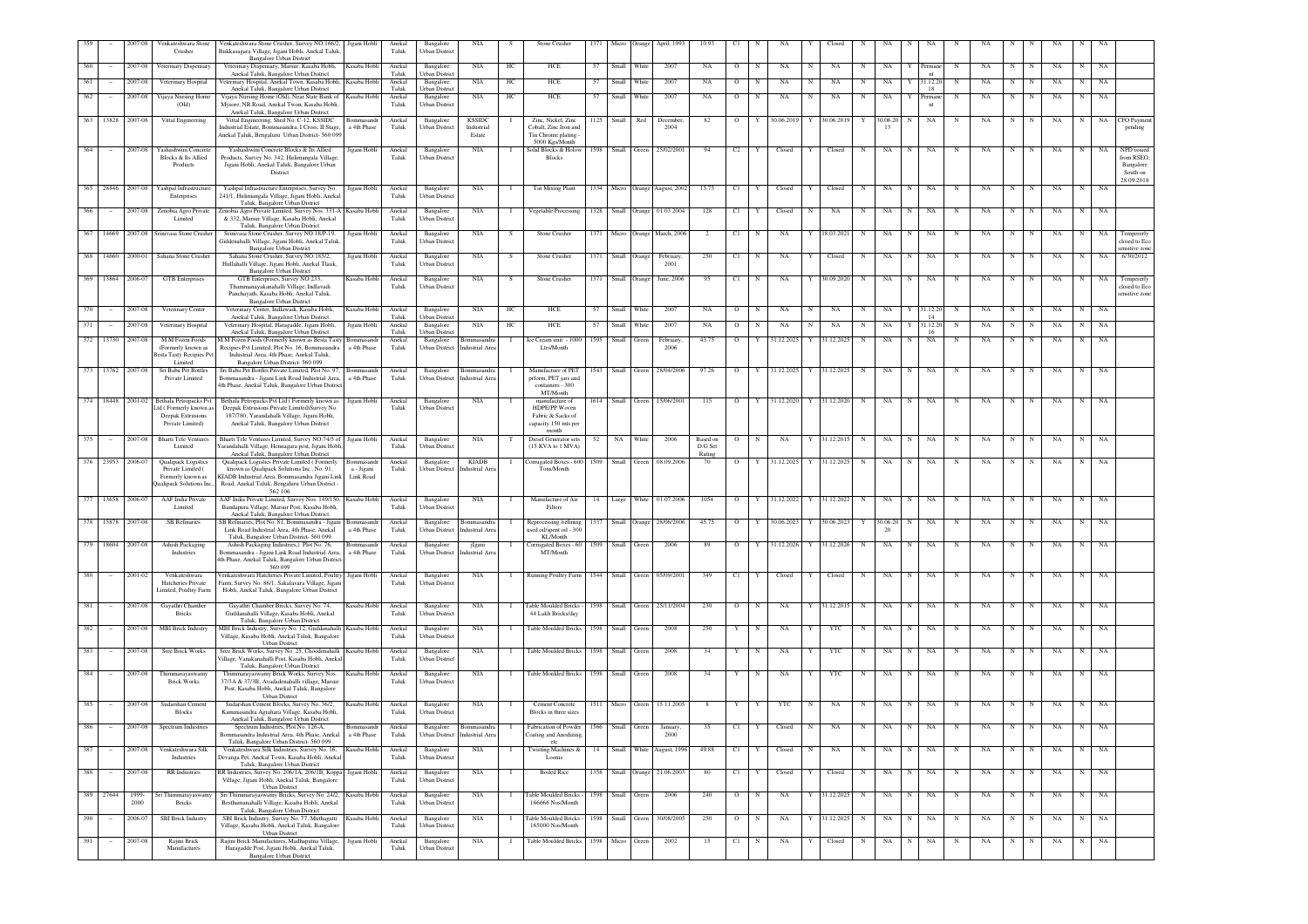|     |           | 2007-08           | Venkateshwara Stone<br>Crusher                                    | /enkateshwara Stone Crusher, Survey NO:166/2,<br>Bukkasagara Village, Jigani Hobli, Anekal Taluk,                                                                                                                     | Jigani Hobli              | Aneka<br>Taluk            | Bangalore<br><b>Urban District</b>                  | NIA                                   |              | Stone Crusher                                                       | 1371                   | Micro | <b>Drange</b> | April, 1993                           | 10.93                         | C1                 |   | NA                       | Closed                   |   | NA             |            | NA                   |            | NA          |            |   | NA          |   | NA          |                                               |
|-----|-----------|-------------------|-------------------------------------------------------------------|-----------------------------------------------------------------------------------------------------------------------------------------------------------------------------------------------------------------------|---------------------------|---------------------------|-----------------------------------------------------|---------------------------------------|--------------|---------------------------------------------------------------------|------------------------|-------|---------------|---------------------------------------|-------------------------------|--------------------|---|--------------------------|--------------------------|---|----------------|------------|----------------------|------------|-------------|------------|---|-------------|---|-------------|-----------------------------------------------|
|     |           | 2007-08           | Veterinary Dispensary                                             | <b>Bangalore Urban District</b><br>Veterinary Dispensary, Marsur, Kasaba Hobli,                                                                                                                                       | Kasaba Hobli              | Anckal<br>Taluk           | Bangalore                                           | <b>NIA</b>                            | НC           | HCE                                                                 | 57 Small               |       | White         | 2007                                  | NA                            | $\circ$            |   | NA                       | NA                       |   | NA             |            | Perman               |            | NA          |            |   | NA          |   | NA          |                                               |
| 361 |           | 2007-0            | Veterinary Hospital                                               | Anekal Taluk, Bangalore Urban District<br>'eterinary Hospital, Anekal Town, Kasaba Hobli.<br>Anekal Taluk, Bangalore Urban District                                                                                   | Kasaba Hob                | Anekal<br>Taluk           | <b>Urban District</b><br>Bangalore<br>Urban Distric | <b>NIA</b>                            | HC           | <b>HCE</b>                                                          | 57                     | Small | White         | 2007                                  | NA                            | $\circ$            | N | NA                       | NA                       |   | NA             |            | nt<br>1.12.2<br>18   | N          | NA          | N          |   | NA          |   | NA          |                                               |
| 362 |           | 2007-08           | Vijaya Nursing Home<br>(Old)                                      | Vijaya Nursing Home (Old), Near State Bank of<br>Mysore, NR Road, Anekal Twon, Kasaba Hobli,                                                                                                                          | Kasaba Hobli              | Anekal<br>Taluk           | Bangalore<br>Urban Distric                          | <b>NIA</b>                            | HC           | HCE                                                                 | 57                     | Small | White         | 2007                                  | NA                            | $\circ$            | N | NA<br>N                  | $_{\rm NA}$              | N | $_{\rm NA}$    | Y          | Perman<br>nt         | N          | NA          | N          | N | $_{\rm NA}$ | N | NA          |                                               |
| 363 |           | 13828 2007-08     | Vittal Engineering                                                | Anekal Taluk, Bangalore Urban District<br>Vittal Engineering, Shed No. C-12, KSSIDC                                                                                                                                   | Bommasand                 | Anekal                    | Bangalore                                           | <b>KSSIDC</b>                         |              | Zinc, Nickel, Zinc                                                  | 1125 Small             |       | Red           | December                              | 82                            | $\circ$            | Y | 30.06.2019               | Y<br>30.06.2019          | Y | 30.06.20       | N          | NA                   | N          | NA          | N          | N | NA          | N | NA          | CFO Payment                                   |
|     |           |                   |                                                                   | Industrial Estate, Bommasandra, I Cross, II Stage,<br>Anekal Taluk, Bengaluru Urban District- 560 099                                                                                                                 | a 4th Phase               | Taluk                     | <b>Urban District</b>                               | Industrial<br>Estate                  |              | Cobalt, Zinc Iron and<br>Tin Chrome plating<br>5000 Kgs/Month       |                        |       |               | 2004                                  |                               |                    |   |                          |                          |   | 13             |            |                      |            |             |            |   |             |   |             | pending                                       |
| 364 |           | 2007-08           | Yashashwini Concrete<br>Blocks & Its Allied                       | Yashashwini Concrete Blocks & Its Allied<br>Products, Survey No. 342, Hulimangala Village,                                                                                                                            | Jigani Hobli              | Anekal<br>Taluk           | Bangalore<br><b>Urban District</b>                  | <b>NIA</b>                            |              | Solid Blocks & Holow<br><b>Blocks</b>                               | 1598 Small             |       |               | Green 25/02/2001                      | 94                            | C2                 |   | Closed                   | Closed                   |   | NA             |            | NA                   | N          | NA          | N          |   | NA          |   | <b>NA</b>   | NPD issued<br>from RSEO,                      |
|     |           |                   | Products                                                          | Jigani Hobli, Anekal Taluk, Bangalore Urban<br>District                                                                                                                                                               |                           |                           |                                                     |                                       |              |                                                                     |                        |       |               |                                       |                               |                    |   |                          |                          |   |                |            |                      |            |             |            |   |             |   |             | Bangalore<br>South on<br>28.09.2018           |
| 365 |           | 28846 2007-08     | Yashpal Infrastructure<br>Enterprises                             | Yashpal Infrastructure Enterprises, Survey No.<br>241/1, Hulimangala Village, Jigani Hobli, Anekal<br>Taluk, Bangalore Urban District                                                                                 | Jigani Hobli              | Anekal<br>Taluk           | Bangalore<br><b>Urban District</b>                  | NIA                                   |              | Tar Mixing Plant                                                    | 1334 Micro             |       |               | Orange August, 2002                   | 15.75                         | C1                 |   | Closed                   | Closed                   |   | NA             |            | NA                   | N          | NA          |            |   |             |   | NA          |                                               |
| 366 |           |                   | 2007-08 Zenobia Agro Private<br>Limited                           | Zenobia Agro Private Limited, Survey Nos. 331-A Kasaba Hobl<br>& 332, Marsur Village, Kasaba Hobli, Anekal<br>Taluk, Bangalore Urban District                                                                         |                           | Anekal<br>Taluk           | Bangalore<br><b>Urban District</b>                  | <b>NIA</b>                            | -1           | Vegetable Processing                                                |                        |       |               | 1328 Small Orange 01.03.2004          | 128                           | C1                 |   | Closed                   | NA                       | N | NA             | N          | NA                   | N          | NA          | N          |   | NA          |   | NA          |                                               |
| 367 |           |                   | 14669 2007-08 Sriniyasa Stone Crusher                             | Sriniyasa Stone Crusher, Survey NO:18/P-19.<br>Giddenahalli Village, Jigani Hobli, Anekal Taluk,<br><b>Bangalore Urban District</b>                                                                                   | Jigani Hobli              | Anekal<br>Taluk           | Bangalore<br><b>Urban District</b>                  | <b>NIA</b>                            | -S           | Stone Crusher                                                       |                        |       |               | 1371 Micro Orange March, 2006         | $\overline{2}$                | C1                 | N | NA                       | 18.03.2021               |   | NA             |            | NA                   | N          | NA          | N          |   | NA          |   | <b>NA</b>   | Tempererly<br>closed to Eco<br>sensitive zone |
| 368 | 14660     | 2000-01           | Sahana Stone Crusher                                              | Sahana Stone Crusher, Survey NO:185/2,<br>Hullahalli Village, Jigani Hobli, Anekal Tlauk,<br><b>Bangalore Urban District</b>                                                                                          | Jigani Hobli              | Anekal<br>Taluk           | Bangalore<br><b>Urban Distric</b>                   | <b>NIA</b>                            | s            | Stone Crusher                                                       | 1371                   | Small | <b>Drange</b> | February<br>2001                      | 250                           | Cl                 |   | NA                       | Closed                   |   | NA             |            | NA                   | N          | NA          | N          |   | NA          |   | NA          | 6/30/2012                                     |
|     | 369 13864 | 2006-07           | <b>GTB</b> Enterprises                                            | GTB Enterprises, Survey NO:233,<br>Thammanayakanahalli Village, Indlavadi<br>Panchavath, Kasaba Hobli, Anekal Taluk,                                                                                                  | Kasaba Hobl               | Anekal<br>Taluk           | Bangalore<br><b>Urban District</b>                  | <b>NIA</b>                            | s            | Stone Crusher                                                       | 1371 Small             |       | Orange        | June, 200                             | 95                            | C1                 |   | NA                       | 30.09.2020               |   | NA             |            | NA                   |            | NA          | N          |   | NA          |   | NA          | Tempererly<br>closed to Eco<br>sensitive zone |
|     |           | 2007-08           | Veterinary Center                                                 | <b>Bangalore Urban District</b><br>Veterinary Center, Indlawadi, Kasaba Hobli,                                                                                                                                        | Kasaba Hobli              | Anekal                    | Bangalore                                           | NIA                                   | HC           | HCE                                                                 | 57                     | Small | White         | 2007                                  | NA                            |                    |   | NA                       | NA                       |   | NA             |            | 1.12.2               |            | NA          |            |   |             |   | NA          |                                               |
| 371 |           | 2007-08           | Veterinary Hospital                                               | Anekal Taluk, Bangalore Urban District<br>Veterinary Hospital, Haragadde, Jigani Hobli,<br>Anekal Taluk, Bangalore Urban District                                                                                     | Jigani Hobli              | Taluk<br>Anekal<br>Taluk  | Jrban District<br>Bangalore<br>Urban Distric        | NIA                                   | HC           | <b>HCE</b>                                                          | 57                     | Small | White         | 2007                                  | NA                            | $\circ$            | N | NA<br>N                  | NA                       | N | <b>NA</b>      |            | 14<br>31.12.20<br>16 | N          | NA          | N          | N | <b>NA</b>   | N | NA          |                                               |
| 372 | 13730     | 2007-08           | M.M Fozen Foods<br>(Formerly known as<br>Besta Tasty Recipies Pv  | M.M Fozen Foods (Formerly known as Besta Tasty<br>Recipies Pyt Limited, Plot No. 16, Bommasandra<br>Industrial Area 4th Phase Anekal Taluk                                                                            | Bommasano<br>a 4th Phase  | Anekal<br>Taluk           | Bangalore<br><b>Urban District</b>                  | Bommasandra<br>Industrial Area        |              | Ice Cream unit - 1000<br>Ltrs/Month                                 | 1595                   | Small | Green         | February<br>2006                      | 43.75                         | $\overline{O}$     |   | 31.12.2025               | 31.12.2025<br>Y          | N | NA             | N          | NA                   | N          | NA          | N          |   | NA          |   | NA          |                                               |
| 373 |           | 13762 2007-08     | Limited<br>Sri Baba Pet Bottles<br>Private Limited                | Bangalore Urban District-560 099<br>Sri Baba Pet Bottles Private Limited, Plot No. 97, Bommasandr<br>Bommasandra - Jigani Link Road Industrial Area.<br>4th Phase, Anekal Taluk, Bangalore Urban District             | a 4th Phase               | Anekal<br>Taluk           | Bangalore<br><b>Urban District</b>                  | Bommasandra<br>ndustrial Area         | л.           | Manufacture of PET<br>prform, PET jars and<br>containers - 300      | 1543                   | Small | Green         | 28/04/2006                            | 97.26                         | $\circ$            |   | 31.12.2025               | 31.12.2025<br>Y          | N | NA             | N          | NA                   | N          | NA          | N          |   | NA          |   | NA          |                                               |
|     | 374 18448 |                   | 2001-02 Bethala Petropacks Pvt                                    | Bethala Petropacks Pvt Ltd (Formerly known as                                                                                                                                                                         | Jigani Hobli              | Anekal                    | Bangalore                                           | <b>NIA</b>                            |              | MT/Month<br>manufacture of                                          | 1614                   | Small | Green         | 15/06/200                             | 115                           | $\circ$            |   | 31.12.2020               | 31.12.2020               |   | NA.            |            | <b>NA</b>            |            | NA          |            |   |             |   |             |                                               |
|     |           |                   | Ltd (Formerly known a<br>Deepak Extrusions<br>Private Limited)    | Deenak Extrusions Private Limited)Survey No.<br>187/780, Yarandahalli Village, Jigani Hobli,<br>Anekal Taluk, Bangalore Urban District                                                                                |                           | Taluk                     | <b>Urban District</b>                               |                                       |              | HDPE/PP Woven<br>Fabric & Sacks of<br>capacity 150 mts per<br>month |                        |       |               |                                       |                               |                    |   |                          |                          |   |                |            |                      |            |             |            |   |             |   |             |                                               |
| 375 |           | 2007-08           | <b>Bharti Tele Ventures</b><br>Limited                            | Bharti Tele Ventures Limited, Survey NO:74/5 of Jigani Hobli<br>Yarandahalli Village, Hennagara post, Jigani Hobli,<br>Anekal Taluk, Bangalore Urban District                                                         |                           | Anckal<br>Taluk           | Bangalore<br><b>Urban District</b>                  | NIA                                   |              | <b>Diesel Generator sets</b><br>(15 KVA to 1 MVA)                   | 52                     | NA    | White         | 2006                                  | Based on<br>D.G Set<br>Rating | $\circ$            | N | NA                       | 31.12.2015               | N | NA             | N          | NA                   | N          | NA          | $_{\rm N}$ | N | NA          |   | NA          |                                               |
|     |           | 376 23953 2006-07 | Qualipack Logistics<br>Private Limited (                          | Qualipack Logistics Private Limited (Formerly<br>known as Oualipack Solutions Inc., No. 91.                                                                                                                           | Bommasand<br>a - Jigani   | Anekal<br>Taluk           | Bangalore<br><b>Urban District</b>                  | <b>KIADB</b><br>ndustrial Are         | $\mathbf{I}$ | Corrugated Boxes - 600 1509 Small<br>Tons/Month                     |                        |       |               | Green 08.09.2006                      | 70                            | $\circ$            | Y | 31.12.2025               | Y 31.12.2025             | N | <b>NA</b>      | N          | NA                   | $_{\rm N}$ | <b>NA</b>   | $_{\rm N}$ | N | <b>NA</b>   | N | NA          |                                               |
|     |           | 377 13658 2006-07 | Formerly known as<br>Qualipack Solutions Inc<br>AAF India Private | KIADB Industrial Area, Bommasandra Jigani Link<br>Road, Anekal Taluk, Bengaluru Urban District -<br>562 106                                                                                                           | Link Road                 |                           |                                                     | <b>NIA</b>                            |              | Manufacture of Air                                                  |                        |       |               |                                       | 1054                          |                    |   | Y                        |                          |   |                | N          |                      |            |             |            |   |             |   | NA          |                                               |
|     |           | 378 15878 2007-08 | Limited<br>SB Refinaries                                          | AAF India Private Limited, Survey Nos. 149/150, Kasaba Hobli<br>Bandapura Village, Marsur Post, Kasaba Hobli,<br>Anekal Taluk, Bangalore Urban District<br>SB Refinaries, Plot No. 81, Bommasandra - Jigani Bommasand |                           | Anekal<br>Taluk<br>Anckal | Bangalore<br><b>Urban District</b><br>Bangalore     | Bommasandra                           |              | Filters<br>Reprocessing /refining                                   | 14 Large<br>1337 Small |       |               | White 01.07.2006<br>Orange 28/06/2006 | 45.75                         | $\circ$<br>$\circ$ |   | 31.12.2022<br>30.06.2023 | 31.12.2022<br>60.06.2023 | N | NA<br>30.06.20 |            | NA<br>NA             | N<br>N     | NA<br>NA    | N<br>N     |   | NA<br>NA    |   | NA          |                                               |
| 379 | 18604     | 2007-08           | Ashish Packaging                                                  | Link Road Industrial Area, 4th Phase, Anekal<br>Taluk, Bangalore Urban District- 560 099<br>Ashish Packaging Industries,) Plot No. 76,                                                                                | a 4th Phase<br>Bommasand  | Taluk<br>Anekal           | <b>Urban District</b><br>Bangalore                  | Industrial Are<br>jIgani              |              | used oil/spent oil - 300<br>KL/Month<br>Corrugated Boxes - 60       | 1509                   | Small | Green         | 2006                                  | 89                            | $\circ$            |   | 31.12.2026               | 31.12.2026               |   | 20<br>NA       | N          | NA                   | N          | NA          | N          |   | NA.         |   |             |                                               |
|     |           |                   | Industries                                                        | Bommasandra - Jigani Link Road Industrial Area,<br>4th Phase, Anekal Taluk, Bangalore Urban District<br>560.099                                                                                                       | a 4th Phase               | Taluk                     | <b>Urban District</b>                               | ndustrial Are                         |              | MT/Month                                                            |                        |       |               |                                       |                               |                    |   |                          |                          |   |                |            |                      |            |             |            |   |             |   |             |                                               |
| 380 |           | 2001-02           | Venkateshwara<br>Hatcheries Private<br>Limited, Poultry Farm      | Venkateshwara Hatcheries Private Limited, Poultry<br>Farm, Survey No. 86/1, Sakalayara Village, Jigan<br>Hobli, Anekal Taluk, Bangalore Urban District                                                                | Jigani Hobli              | Anekal<br>Taluk           | Bangalore<br><b>Urban Distric</b>                   | <b>NIA</b>                            |              | Running Poultry Farm                                                | 1544 Small             |       | Green         | 05/09/200                             | 349                           | Cl                 |   | Closed                   | Closed                   | N | NA             |            | NA                   | N          | NA          | Ν          |   | NA          |   | NA          |                                               |
| 381 |           | 2007-08           | Gayathri Chamber<br><b>Bricks</b>                                 | Gayathri Chamber Bricks, Survey No. 74,<br>Guddanahalli Village, Kasaba Hobli, Anekal<br>Taluk, Bangalore Urban District                                                                                              | Kasaba Hobi               | Anekal<br>Taluk           | Bangalore<br><b>Urban District</b>                  | <b>NIA</b>                            |              | Table Moulded Bricks -<br>44 Lakh Bricks/day                        | 1598                   | Small |               | Green 25/11/2004                      | 230                           | $\circ$            | N | NA<br>Y                  | 31.12.2015               |   | NA             | N          | NA                   | N          | NA          | N          |   | NA          |   | NA          |                                               |
| 382 |           | 2007-08           | <b>MBI</b> Brick Industry                                         | MBI Brick Industry, Survey No. 12, Guddanahalli<br>Village, Kasaba Hobli, Anekal Taluk, Bangalore<br><b>Urban District</b>                                                                                            | Kasaba Hobli              | Anekal<br>Taluk           | Bangalore<br>Jrban Distric                          | <b>NIA</b>                            |              | <b>Table Moulded Bricks</b>                                         | 1598                   | Small | Greer         | 2008                                  | 250                           |                    |   | NA                       | YTC                      |   | NA             |            | NA                   | N          | NA          | N          |   | NA          |   | NA          |                                               |
| 383 |           | 2007-08           | Sree Brick Works                                                  | Sree Brick Works, Survey No. 25, Choodenahalli<br>Village, Vanakanahalli Post, Kasaba Hobli, Anekal<br>Taluk, Bangalore Urban District                                                                                | Kasaba Hobi               | Anekal<br>Taluk           | Bangalore<br>Urban Distric                          | <b>NIA</b>                            | $\mathbf{I}$ | <b>Table Moulded Bricks</b>                                         | 1598 Small             |       | Green         | 2008                                  | 34                            |                    | N | NA                       | YTC                      | N | NA             |            | NA                   | N          | NA          | N          |   | NA          |   | NA          |                                               |
| 384 |           | 2007-08           | Thimmarayaswamy<br><b>Brick Works</b>                             | Thimmarayaswamy Brick Works, Survey Nos.<br>37/3A & 37/3B. Avadadenahalli village, Marsur<br>Post, Kasaba Hobli, Anekal Taluk, Bangalore<br><b>Urban District</b>                                                     | Kasaba Hobl               | Anekal<br>Taluk           | Bangalore<br>Urban Distric                          | <b>NIA</b>                            | -1           | <b>Table Moulded Bricks</b>                                         | 1598                   | Small | Greer         | 2008                                  | 34                            | Y                  | N | NA<br>Y                  | YTC                      | N | NA             | N          | NA                   | N          | NA          | $_{\rm N}$ | N | NA          |   | NA          |                                               |
| 385 | $\sim$    | 2007-08           | Sudarshan Cement<br><b>Blocks</b>                                 | Sudarshan Cement Blocks, Survey No. 36/2,<br>Kammasandra Agrahara Village, Kasaba Hobli<br>Anekal Taluk, Bangalore Urban District                                                                                     | Kasaba Hobli              | Anckal<br>Taluk           | Bangalore<br><b>Urban District</b>                  | <b>NIA</b>                            |              | <b>Cement Concrete</b><br>Blocks in three sizes                     | 1511 Micro             |       |               | Green 15.11.2005                      |                               | Y                  |   | <b>YTC</b><br>N          | NA                       | N | NA             | N          | NA                   | N          | NA          | N          | N | NA          | N | NA          |                                               |
| 386 |           | 2007-08           | Spectrum Industries                                               | Spectrum Industries, Plot No. 126-A,<br>nasandra Industrial Area, 4th Phase, Anekal<br>Taluk, Bangalore Urban District- 560 099                                                                                       | Bommasandr<br>a 4th Phase | Anckal<br>Taluk           | Bangalore<br>Urban District                         | Bommasandra<br><b>Industrial Area</b> | -1           | Fabrication of Powder<br>Coating and Anodizing,<br>etc              | 1566 Small             |       | Green         | January.<br>2000                      | 35                            | C1                 | Y | Closed<br>N              | $_{\rm NA}$              | N | $_{\rm NA}$    | N          | NA                   | N          | NA          | N          | N | $_{\rm NA}$ | N | NA          |                                               |
| 387 |           | 2007-08           | Venkateshwara Silk<br>Industries                                  | Venkateshwara Silk Industries, Survey No. 16,<br>Devanga Pet, Anekal Town, Kasaba Hobli, Anekal<br>Taluk, Bangalore Urban District                                                                                    | Kasaba Hobli              | Anekal<br>Taluk           | Bangalore<br><b>Urban Distric</b>                   | <b>NIA</b>                            |              | Twisting Machines &<br>Looms                                        | 14                     | Small | White         | August, 1996                          | 49.88                         | C1                 |   | Closed<br>N              | $_{\rm NA}$              |   | NA             | N          | $_{\rm NA}$          | $_{\rm N}$ | NA          | $_{\rm N}$ |   | NA          | N | $_{\rm NA}$ |                                               |
| 388 |           | 2007-08           | <b>RR</b> Industries                                              | RR Industries, Survey No. 206/1A, 206/1B, Koppa Jigani Hobli<br>Village, Jigani Hobli, Anekal Taluk, Bangalore<br><b>Urban District</b>                                                                               |                           | Anekal<br>Taluk           | Bangalore<br><b>Urban District</b>                  | <b>NIA</b>                            |              | <b>Boiled Rice</b>                                                  | 1358 Small             |       |               | Orange 21.06.2003                     | 80                            | C1                 |   | Closed<br>Y              | Closed                   | N | $_{\rm NA}$    | $_{\rm N}$ | NA                   | N          | $_{\rm NA}$ | N          | N | NA          | N | NA          |                                               |
| 389 | 27644     | 1999.<br>2000     | Sri Thimmarayaswamy<br><b>Bricks</b>                              | Sri Thimmarayaswamy Bricks, Survey No. 24/2. Kasaba Hobli<br>Besthamanahalli Village, Kasaba Hobli, Anekal<br>Taluk, Bangalore Urban District                                                                         |                           | Anckal<br>Taluk           | Bangalore<br><b>Urban District</b>                  | <b>NIA</b>                            | $\mathbf{I}$ | Table Moulded Bricks -<br>166666 Nos/Month                          | 1598                   | Small | Green         | 2006                                  | 240                           | $\circ$            | N | NA<br>Y                  | 31.12.2025               | N | NA             | N          | NA                   | N          | NA          | N          | N | NA          | N | <b>NA</b>   |                                               |
| 390 |           | 2006-07           | <b>SBI</b> Brick Industry                                         | SBI Brick Industry, Survey No. 77, Muthagatti<br>Village, Kasaba Hobli, Anekal Taluk, Bangalore<br><b>Urban District</b>                                                                                              | Kasaba Hobi               | Anekal<br>Taluk           | Bangalore<br><b>Urban District</b>                  | <b>NIA</b>                            |              | <b>Table Moulded Bricks -</b><br>165000 Nos/Month                   | 1598 Small             |       | Green         | 30/08/2005                            | 250                           | $\circ$            | N | NA                       | 31.12.2025               |   | <b>NA</b>      | N          | NA                   | N          | <b>NA</b>   | N          |   | <b>NA</b>   |   | NA          |                                               |
| 391 |           | 2007-08           | Rajini Brick<br>Manufactures                                      | Rajini Brick Manufactures, Madhapatna Village,<br>Haragadde Post, Jigani Hobli, Anekal Taluk,<br>Bangalore Urban District                                                                                             | Jigani Hobli              | Anekal<br>Taluk           | Bangalore<br><b>Urban District</b>                  | <b>NIA</b>                            |              | <b>Table Moulded Bricks</b>                                         | 1598                   | Micro | Green         | 2002                                  | 15                            | C1                 | N | NA                       | Closed<br>Y              |   | NA             | N          | NA                   | N          | NA          | N          |   | NA          |   | NA          |                                               |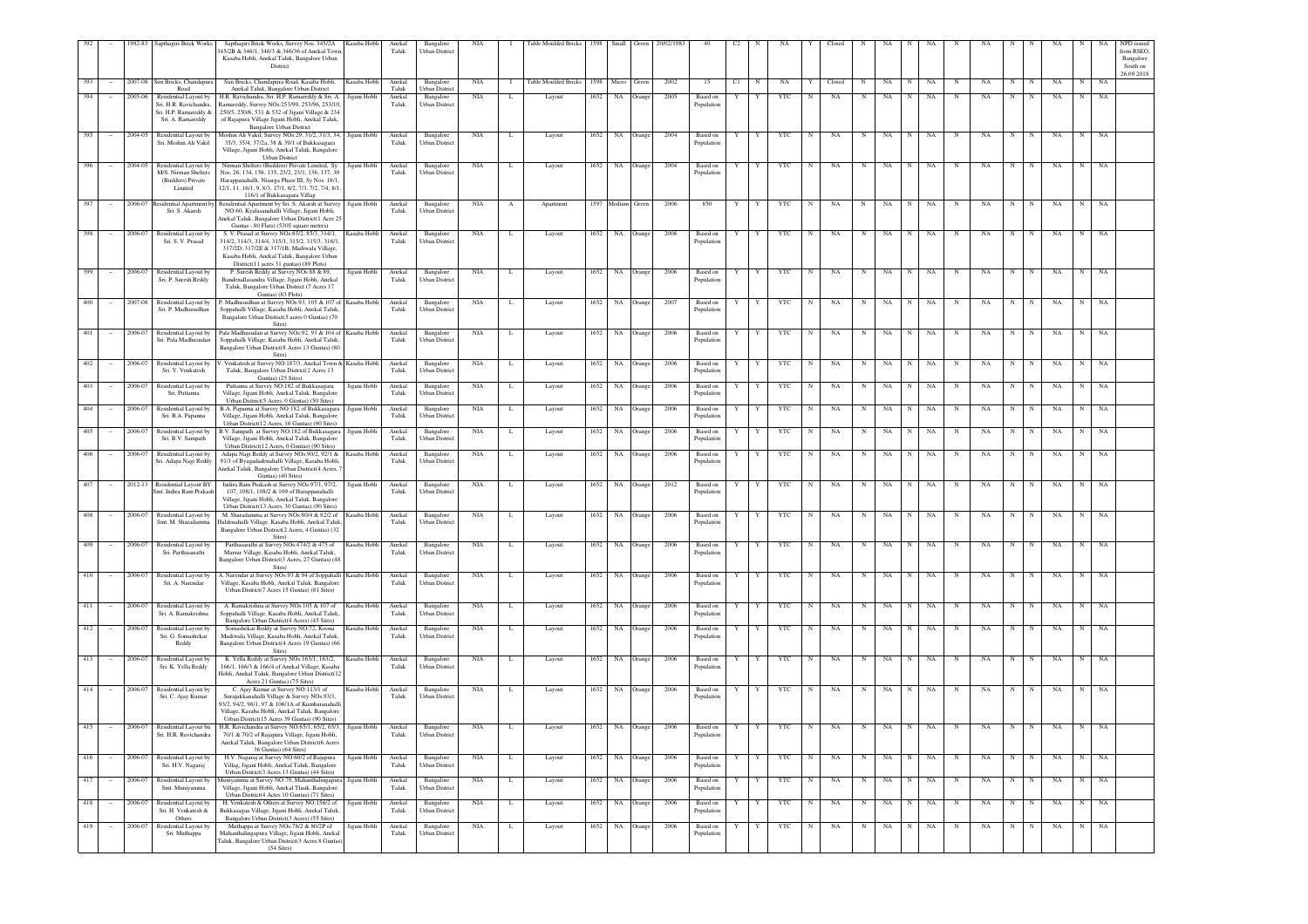|     | 982-83  | Sapthagiri Brick Works                                                                       | Sapthagiri Brick Works, Survey Nos. 345/2A<br>345/2B & 346/1, 346/3 & 346/36 of Anekal Town<br>Kasaba Hobli, Anekal Taluk, Bangalore Urban<br>District                                                                                         | Casaba Hot   | Aneka<br>Taluk                   | Bangalor<br><b>Urban District</b>  | <b>NIA</b> |              | <b>Table Moulded Bricks</b> | 1598 | small       | Green          | 20/02/198 |                               |  |            |   |             |   |             |   |             |   |             |            |              |    |            | from RSEO,<br>Bangalore<br>South on<br>26.09.2018 |  |
|-----|---------|----------------------------------------------------------------------------------------------|------------------------------------------------------------------------------------------------------------------------------------------------------------------------------------------------------------------------------------------------|--------------|----------------------------------|------------------------------------|------------|--------------|-----------------------------|------|-------------|----------------|-----------|-------------------------------|--|------------|---|-------------|---|-------------|---|-------------|---|-------------|------------|--------------|----|------------|---------------------------------------------------|--|
|     | 2007-08 | Sun Bricks, Chandapur<br>Road                                                                | Sun Bricks, Chandapura Road, Kasaba Hobli,<br>Anekal Taluk, Bangalore Urban District                                                                                                                                                           | asaba Hot    | Anekal<br>Taluk                  | Bangalore<br>Urban District        | <b>NIA</b> |              | <b>Table Moulded Bricks</b> | 1598 | Micro       |                | 2002      |                               |  | NA         |   | Closec      |   |             |   |             |   |             |            |              |    |            |                                                   |  |
| 394 | 2005-06 | Residential Layout by<br>Sri, H.R. Ravichandra<br>Sri. H.P. Ramareddy &<br>Sri. A. Ramareddy | H.R. Ravichandra, Sri. H.P. Ramareddy & Sri. A.<br>Ramareddy, Survey NOs:253/99, 253/96, 253/10<br>250/5, 250/6, 531 & 532 of Jigani Village & 234<br>of Rajapura Village Jigani Hobli, Anekal Taluk,<br><b>Bangalore Urban District</b>       | Jigani Hobli | Anekal<br>Taluk                  | Bangalore<br><b>Urban District</b> | <b>NIA</b> | L            | Layout                      | 1652 | NA          | Orange         | 2005      | Based on<br>Population        |  | <b>YTC</b> | N | NA          | N | $_{\rm NA}$ | N | $_{\rm NA}$ | N | NA          | N          | $\mathbf{N}$ | NA | $_{\rm N}$ | NA                                                |  |
| 395 | 2004-05 | Residential Layout by<br>Sri. Moshin Ali Vakil                                               | Moshin Ali Vakil, Survey NOs:29, 31/2, 31/3, 34, Jigani Hobli<br>35/3, 35/4, 37/2a, 38 & 39/1 of Bukkasagara<br>Village, Jigani Hobli, Anekal Taluk, Bangalore<br><b>Urban District</b>                                                        |              | Anekal<br>Taluk                  | Bangalore<br><b>Urban District</b> | <b>NIA</b> | L            | Layout                      | 1652 | $_{\rm NA}$ | Orang          | 2004      | Based on<br>Population        |  | YTC        |   | NA          |   | NA          |   | NA          |   | $_{\rm NA}$ |            |              | NA |            |                                                   |  |
| 396 | 2004-05 | Residential Layout by<br>M/S Nirman Shelters<br>(Builders) Private<br>Limited                | Nirman Shelters (Builders) Private Limited, Sy<br>Nos. 26, 134, 156, 135, 23/2, 23/1, 136, 137, 30<br>Harappanahalli, Nisarga Phase III, Sv Nos. 18/1.<br>12/1, 11, 16/1, 9, 8/3, 17/1, 8/2, 7/3, 7/2, 7/4, 8/1<br>116/1 of Bukkasagara Villag | Jigani Hobli | Anekal<br>Taluk                  | Bangalor<br><b>Urban Distric</b>   | <b>NIA</b> | τ            | Layout                      | 1652 | NA          | Orang          | 2004      | <b>Based</b><br>Population    |  | YTC        |   | NA          |   | NA          |   | NA          |   | NA          |            |              | NA |            |                                                   |  |
| 397 |         | 2006-07 Residential Apartment<br>Sri. S. Akarsh                                              | Residential Apartment by Sri. S. Akarsh at Survey<br>NO:60, Kyalasanahalli Village, Jigani Hobli,<br>Anekal Taluk, Bangalore Urban District(1 Acre 25<br>Guntas - 80 Flats) (5305 square meters)                                               | Jigani Hobli | Anekal<br>Taluk                  | Bangalore<br><b>Urban District</b> | <b>NIA</b> | Α            | Apartment                   |      | 1597 Mediun | Green          | 2006      | 850                           |  | <b>YTC</b> |   | NA          |   | NA          |   | NA          |   | NA          |            |              |    |            |                                                   |  |
|     | 2006-0  | Residential Layout by<br>Sri, S. V. Prasad                                                   | S. V. Prasad at Survey NOs:85/2, 85/3, 314/1,<br>314/2 314/3 314/4 315/1 315/2 315/3 316/1<br>317/2D, 317/2E & 317/1B. Madiwala Village.<br>Kasaba Hobli, Anekal Taluk, Bangalore Urban<br>District(11 acres 31 guntas) (89 Plots)             | asaba Hob    | Anekal<br>Taluk                  | Bangalore<br><b>Urban Distric</b>  | <b>NIA</b> | L            | Layout                      | 1652 | NA          | <b>Drang</b>   | 2006      | Based on<br>Population        |  | YTC        |   | NA          |   | NA          |   | NA          |   | NA          |            |              |    |            |                                                   |  |
| 399 | 2006-07 | Residential Layout by<br>Sri. P. Suresh Reddy                                                | P. Suresh Reddy at Survey NOs:88 & 89,<br>Bandenallasandra Village, Jigani Hobli, Anekal<br>Taluk. Bangalore Urban District (7 Acres 17<br>Guntas) (83 Plots)                                                                                  | Jigani Hobli | Anckal<br>Taluk                  | Bangalore<br><b>Urban Distric</b>  | <b>NIA</b> | L            | Layout                      | 1652 | $_{\rm NA}$ | Orange         | 2006      | Based on<br>Population        |  | YTC        | N | $_{\rm NA}$ | N | NA          |   | $_{\rm NA}$ | N | $_{\rm NA}$ |            |              | NA |            |                                                   |  |
| 400 | 2007-08 | Residential Layout by<br>Sri. P. Madhusudhai                                                 | P. Madhusudhan at Survey NOs:93, 105 & 107 of<br>Soppahalli Village, Kasaba Hobli, Anekal Taluk,<br>Bangalore Urban District(5 acres 0 Guntas) (70<br>Sites)                                                                                   | Kasaba Hobi  | Anekal<br>Taluk                  | Bangalore<br>Urban Distric         | NIA        | L            | Layout                      | 1652 | NA          | Orange         | 2007      | <b>Based</b> on<br>Population |  | YTC        |   | NA          |   | NA          |   | NA          |   | NA          |            |              | NA |            |                                                   |  |
| 401 | 2006-07 | Residential Layout by<br>Sri. Pala Madhusuda                                                 | Pala Madhusudan at Survey NOs:92, 93 & 104 of Kasaba Hobl<br>Soppahalli Village, Kasaba Hobli, Anekal Taluk,<br>Bangalore Urban District(8 Acres 13 Guntas) (80<br>Sites)                                                                      |              | Anckal<br>Taluk                  | Bangalore<br>Urban Distric         | <b>NIA</b> | L            | Lavout                      | 1652 | NA          | <b>Drang</b>   | 2006      | Based on<br>Population        |  | <b>YTC</b> |   | NA          |   |             |   |             |   | NA          |            |              |    |            |                                                   |  |
|     | 2006-07 | Residential Lavout by<br>Sri. V. Venkatesh                                                   | Venkatesh at Survey NO:187/3, Anekal Town & Kasaba Hob<br>Taluk, Bangalore Urban District(2 Acres 13<br>Guntas) (25 Sites)                                                                                                                     |              | Anckal<br>${\rm \texttt{Taluk}}$ | Bangalore<br>Urban Distric         | <b>NIA</b> | L            | Layout                      | 1652 | NA          |                | 2006      | Based on<br>Population        |  | <b>YTC</b> |   | NA          |   |             |   |             |   | NA          |            |              |    |            |                                                   |  |
|     | 2006-07 | Residential Layout by<br>Sri Puttanna                                                        | Puttanna at Survey NO:182 of Bukkasagara<br>Village, Jigani Hobli, Anekal Taluk, Bangalore<br>Urban District(5 Acres, 0 Guntas) (50 Sites)                                                                                                     | ligani Hob   | Anekal<br>Taluk                  | Bangalor<br><b>Urban District</b>  | NIA        |              | Layout                      | 1652 |             |                | 2006      | <b>Based</b> on<br>Population |  | YTC        |   | NA          |   |             |   |             |   | NA          |            |              |    |            |                                                   |  |
|     | 2006-0  | Residential Layout by<br>Sri. B.A. Papanna                                                   | B.A. Papanna at Survey NO:182 of Bukkasagara<br>Village, Jigani Hobli, Anekal Taluk, Bangalore<br>Urban District(12 Acres, 16 Guntas) (90 Sites)                                                                                               | Jigani Hobi  | Anekal<br>Taluk                  | Bangalore<br>Urban Distri          | NIA        | L            | Layout                      | 1652 | NA          | <b>Drang</b>   | 2006      | Based on<br>Populatio         |  | YTC        |   | NA          |   |             |   | NA          |   | NA          |            |              | NA |            |                                                   |  |
| 405 | 2006-07 | Residential Layout by<br>Sri, B.V. Sampath                                                   | B.V. Sampath at Survey NO:182 of Bukkasagara<br>Village, Jigani Hobli, Anekal Taluk, Bangalore                                                                                                                                                 | Jigani Hobl  | Anekal<br>Taluk                  | Bangalore<br>Urban Distric         | <b>NIA</b> | T            | Layout                      | 1652 | NA          | Orang          | 2006      | Based on<br>Population        |  | <b>YTC</b> | N | NA          |   | NA          |   | NA          |   | NA          | N          |              | NA |            | NA                                                |  |
| 406 | 2006-07 | Residential Layout by<br>Sri. Adapa Nagi Reddy                                               | Urban District(12 Acres, 0 Guntas) (90 Sites)<br>Adapa Nagi Reddy at Survey NOs:90/2, 92/1 &<br>91/1 of Byagadadenahalli Village, Kasaba Hobli,<br>Anekal Taluk, Bangalore Urban District(4 Acres,                                             | Kasaba Hobi  | Anekal<br>Taluk                  | Bangalore<br><b>Urban Distric</b>  | <b>NIA</b> | L            | Layout                      | 1652 | $_{\rm NA}$ | Orange         | 2006      | Based on<br>Population        |  | YTC        | N | $_{\rm NA}$ |   | NA          |   | $_{\rm NA}$ | N | $_{\rm NA}$ | $_{\rm N}$ |              | NA | N          | NA                                                |  |
| 407 |         | 2012-13 Residential Layout BY<br>Smt. Indira Ram Prakas                                      | Guntas) (40 Sites)<br>Indira Ram Prakash at Survey NOs:97/1, 97/2,<br>107, 108/1, 108/2 & 109 of Harappanahalli<br>Village, Jigani Hobli, Anekal Taluk, Bangalore<br>Urban District(13 Acres, 30 Guntas) (90 Sites)                            | Jigani Hobl  | Anckal<br>Taluk                  | Bangalore<br>Urban Distric         | <b>NIA</b> | L            | Layout                      | 1652 | NA          | Orang          | 2012      | Based on<br>Populatio         |  | <b>YTC</b> | N | NA          |   | NA          |   | NA          | N | NA          |            |              | NA |            |                                                   |  |
| 408 | 2006-07 | Residential Layout by<br>Smt. M. Sharadamma                                                  | M. Sharadamma at Survey NOs:80/4 & 82/2 of<br>Haldenahalli Village, Kasaba Hobli, Anekal Taluk<br>Bangalore Urban District(2 Acres, 4 Guntas) (32<br>Sites)                                                                                    | Kasaba Hobi  | Anckal<br>Taluk                  | Bangalore<br><b>Urban Distric</b>  | <b>NIA</b> | L            | Layout                      | 1652 | NA          | Orange         | 2006      | Based on<br>Population        |  | <b>YTC</b> | N | NA          |   | NA          |   | NA          | N | NA          |            |              | NA |            |                                                   |  |
| 409 | 2006-07 | Residential Layout by<br>Sri. Parthasarathi                                                  | Parthasarathi at Survey NOs:474/2 & 475 of<br>Marsur Village, Kasaba Hobli, Anekal Taluk,<br>Bangalore Urban District(3 Acres, 27 Guntas) (48<br>Sites)                                                                                        | Kasaba Hobi  | Anekal<br>Taluk                  | Bangalore<br><b>Urban Distric</b>  | <b>NIA</b> | T            | Layout                      | 1652 | NA          | Orange         | 2006      | Based on<br>Population        |  | <b>YTC</b> | N | NA          |   | NA          | N | NA          | N | NA          | N          |              | NA | N          | NA                                                |  |
| 410 | 2006-07 | Residential Layout by<br>Sri, A. Narendar                                                    | A. Narendar at Survey NOs:93 & 94 of Soppahalli<br>Village, Kasaba Hobli, Anekal Taluk, Bangalore<br>Urban District(7 Acres 15 Guntas) (81 Sites)                                                                                              | Kasaba Hobi  | Anckal<br>Taluk                  | Bangalor<br><b>Urban Distric</b>   | NIA        | L            | Layout                      |      | 1652 NA     | Orange         | 2006      | Based on<br>Population        |  | YTC        |   | NA          |   | NA          |   | NA          | N | NA          |            |              | NA |            | NA                                                |  |
| 411 | 2006-07 | Residential Layout by<br>Sri, A. Ramakrishna                                                 | A. Ramakrishna at Survey NOs:105 & 107 of<br>Soppahalli Village, Kasaba Hobli, Anekal Taluk<br>Bangalore Urban District(4 Acres) (45 Sites)                                                                                                    | Casaha Hob   | Anekal<br>Taluk                  | Bangalor<br>Urban Distric          | <b>NIA</b> |              | Layout                      | 1652 | NA          | <b>Orang</b>   | 2006      | Based o<br>Population         |  | <b>YTC</b> |   | NA          |   | NA          |   | NA          |   | NA          |            |              | NA |            | NA                                                |  |
| 412 | 2006-07 | Residential Layout by<br>Sri. G. Somashekar<br>Reddy                                         | Somashekar Reddy at Survey NO:72, Koona<br>Madiwala Village, Kasaba Hobli, Anekal Taluk,<br>Bangalore Urban District(4 Acres 19 Guntas) (66                                                                                                    | Casaba Hobi  | Anckal<br>Taluk                  | Bangalore<br>Urban Distric         | <b>NIA</b> | L            | Layout                      | 1652 | NA          | Orange         | 2006      | <b>Based</b> on<br>Population |  | YTC        |   | NA          |   | NA          |   | NA          | N | NA          |            |              | NA |            | NA                                                |  |
| 413 | 2006-07 | Residential Layout by<br>Sri. K. Yella Reddy                                                 | Sites)<br>K Yella Reddy at Survey NOs:163/1 163/2<br>166/1, 166/3 & 166/4 of Anekal Village, Kasaba<br>Hobli, Anekal Taluk, Bangalore Urban District(12                                                                                        | Kasaba Hobi  | Anekal<br>Taluk                  | Bangalore<br>Urban Distric         | <b>NIA</b> | $\mathbf{L}$ | Layout                      | 1652 | NA          | Orang          | 2006      | Based on<br>Population        |  | <b>YTC</b> | N | NA          |   | NA          |   | NA          | N | NA          | N          |              | NA |            |                                                   |  |
| 414 | 2006-07 | Residential Layout by<br>Sri. C. Ajay Kumar                                                  | Acres 21 Guntas) (75 Sites)<br>C. Ajay Kumar at Survey NO:113/1 of<br>Surajakkanahalli Village & Survey NOs:93/1.<br>93/2, 94/2, 96/1, 97 & 106/1A of Kumbaranahal                                                                             | Kasaba Hobl  | Anekal<br>Taluk                  | Bangalore<br><b>Urban District</b> | <b>NIA</b> | L            | Layout                      | 1652 | NA          | Orang          | 2006      | Based on<br>Population        |  | YTC        |   | NA          |   | NA          |   | NA          |   | NA          |            |              | NA |            |                                                   |  |
| 415 | 2006-07 | Residential Layout bu<br>Sri. H.R. Ravichandra                                               | Village, Kasaba Hobli, Anekal Taluk, Bangalore<br>Urban District(15 Acres 39 Guntas) (90 Sites)<br>H.R. Ravichandra at Survey NO:65/1, 65/2, 65/3, Jigani Hobli<br>70/1 & 70/2 of Rajapura Village, Jigani Hobli,                              |              | Anekal<br>Taluk                  | Bangalore<br><b>Urban Distric</b>  | <b>NIA</b> | L            | Layout                      |      |             | 1652 NA Orange | 2006      | Based on<br>Population        |  | <b>YTC</b> | N | NA          | N | NA          |   | NA          | N | NA          | N          |              | NA |            | NA                                                |  |
| 416 | 2006-07 | Residential Layout by                                                                        | Anekal Taluk, Bangalore Urban District(6 Acres<br>36 Guntas) (64 Sites)<br>H.V. Nagaraj at Survey NO:60/2 of Rajapura                                                                                                                          | Jigani Hobl  | Anekal                           | Bangalore                          | <b>NIA</b> | τ            | Layout                      | 1652 | NA          | <b>Drang</b>   | 2006      | <b>Based</b> or               |  | YTC        |   | NA          |   | NA          |   | NA          | N | NA          | N          |              | NA |            | NA                                                |  |
|     |         | Sri. H.V. Nagaraj                                                                            | Villag, Jigani Hobli, Anekal Taluk, Bangalore<br>Urban District(3 Acres 13 Guntas) (44 Sites)                                                                                                                                                  |              | Taluk                            | <b>Urban Distric</b>               |            |              |                             |      |             |                |           | Population                    |  |            |   |             |   |             |   |             |   |             |            |              |    |            |                                                   |  |
| 417 | 2006-07 | Residential Layout by<br>Smt. Muniyamma                                                      | Juniyamma at Survey NO:79, Mahanthalingapura<br>Village, Jigani Hobli, Anekal Tlauk, Bangalore<br>Urban District(4 Actes 10 Guntas) (71 Sites)                                                                                                 | Jigani Hobli | Anckal<br>Taluk                  | Bangalore<br>Urban Distric         | <b>NIA</b> | L            | Layout                      | 1652 | NA          | Orange         | 2006      | <b>Based</b> on<br>Populatio  |  | YTC        |   | NA          |   | NA          |   | NA          | N | NA          |            |              | NA |            | NA                                                |  |
| 418 | 2006-07 | Residential Layout b<br>Sri. H. Venkatesh &<br>Others                                        | H. Venkatesh & Others at Survey NO:156/2 of<br>Bukkasagaa Village, Jigani Hobli, Anekal Taluk,<br>Bangalore Urban District(3 Acres) (55 Sites)                                                                                                 | Jigani Hobl  | Anekal<br>Taluk                  | Bangalore<br>Urban Distric         | <b>NIA</b> | L            | Layout                      |      | 1652 NA     | Orange         | 2006      | Based on<br>Population        |  | YTC        |   | NA          |   | NA          |   | NA          |   | NA          |            |              | NA |            | NA                                                |  |
| 419 | 2006-07 | Residential Layout by<br>Sri. Muthappa                                                       | Muthappa at Survey NOs:78/2 & 80/2P of<br>Mahanthalingapura Village, Jigani Hobli, Anekal<br>Taluk, Bangalore Urban District(3 Acres 8 Guntas<br>$(54$ Sites)                                                                                  | Jigani Hobl  | Anekal<br>Taluk                  | Bangalor<br><b>Urban District</b>  | NIA        | L            | Layout                      |      | 1652 NA     | Orange         | 2006      | <b>Based</b> on<br>Population |  | YTC        |   | NA          |   | NA          |   | NA          |   | NA          |            |              |    |            |                                                   |  |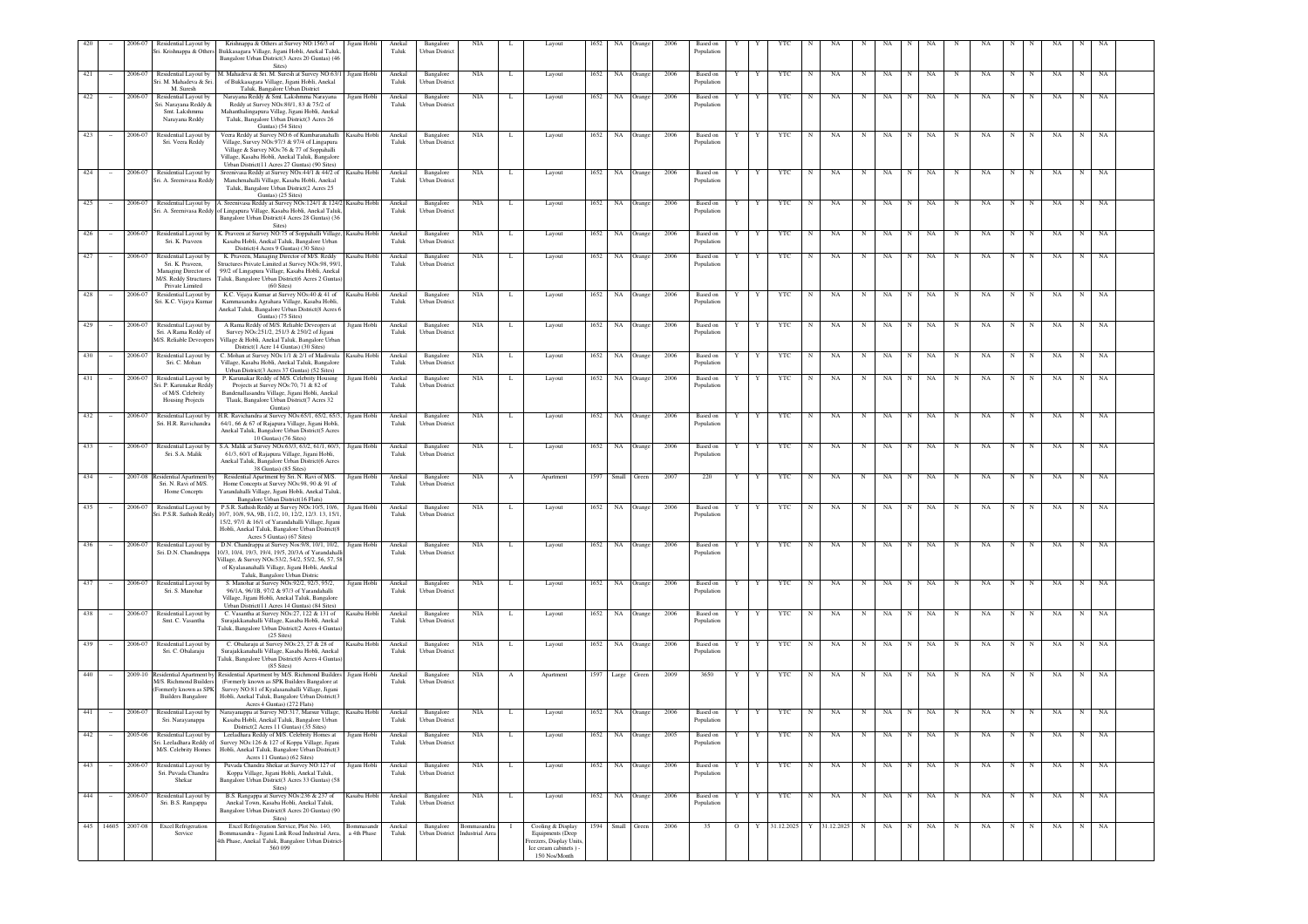|     |                          | 2006-07       | Residential Lavout by                                                                                         | Krishnappa & Others at Survey NO:156/3 of<br>Sri. Krishnappa & Others Bukkasagara Village, Jigani Hobli, Anekal Taluk,<br>Bangalore Urban District(3 Acres 20 Guntas) (46<br>Sites)                                                                                                                             | Jigani Hobli              | Anekal<br>Taluk | Bangalore<br><b>Urban District</b> | <b>NIA</b>                                    | L            | Layout                                                                                                  | 1652             | NA          | Orange        | 2006 | <b>Based</b> on<br>Population |          |   |            |            |                |            |           |   |             |              |                 |            |            |    |            |             |  |
|-----|--------------------------|---------------|---------------------------------------------------------------------------------------------------------------|-----------------------------------------------------------------------------------------------------------------------------------------------------------------------------------------------------------------------------------------------------------------------------------------------------------------|---------------------------|-----------------|------------------------------------|-----------------------------------------------|--------------|---------------------------------------------------------------------------------------------------------|------------------|-------------|---------------|------|-------------------------------|----------|---|------------|------------|----------------|------------|-----------|---|-------------|--------------|-----------------|------------|------------|----|------------|-------------|--|
| 421 |                          |               | Sri. M. Mahadeva & Sri<br>M. Suresh                                                                           | 2006-07 Residential Layout by M. Mahadeva & Sri. M. Suresh at Survey NO:63/1 Jigani Hobli<br>of Bukkasagara Village, Jigani Hobli, Anekal<br>Taluk, Bangalore Urban District                                                                                                                                    |                           | Anckal<br>Taluk | Bangalore<br><b>Urban District</b> | <b>NIA</b>                                    | L.           | Layout                                                                                                  | 1652 NA          |             | Orange        | 2006 | Based on<br>Population        |          |   | <b>YTC</b> |            | NA             |            | NA        |   | NA          |              | NA              |            |            | NA |            | NA          |  |
| 422 |                          | 2006-07       | Residential Layout by<br>Sri. Naravana Reddy &<br>Smt. Lakshmma<br>Narayana Reddy                             | Narayana Reddy & Smt. Lakshmma Narayana<br>Reddy at Survey NOs:80/1, 83 & 75/2 of<br>Mahanthalingapura Villag, Jigani Hobli, Anekal<br>Taluk, Bangalore Urban District(3 Acres 26<br>Guntas) (54 Sites)                                                                                                         | Jigani Hobli              | Anekal<br>Taluk | Bangalore<br><b>Urban District</b> | <b>NIA</b>                                    | L            | Layout                                                                                                  | 1652             | NA Orange   |               | 2006 | <b>Based</b> on<br>Population |          |   | <b>YTC</b> |            | NA             |            | NA        | N | NA          | N            | NA              | N          | N          | NA | N          | NA          |  |
| 423 | $\sim$                   |               | 2006-07 Residential Layout by<br>Sri. Veera Reddy                                                             | Veera Reddy at Survey NO:6 of Kumbaranahalli Kasaba Hobli<br>Village, Survey NOs:97/3 & 97/4 of Lingapura<br>Village & Survey NOs:76 & 77 of Soppahalli<br>Village, Kasaba Hobli, Anekal Taluk, Bangalore<br>Urban District(11 Acres 27 Guntas) (90 Sites)                                                      |                           | Anekal<br>Taluk | Bangalore<br><b>Urban District</b> | NIA                                           | L            | Layout                                                                                                  | 1652 NA Orange   |             |               | 2006 | Based on<br>Population        |          |   | <b>YTC</b> | N          | NA             | N          | NA        | N | NA          | $\mathbb{N}$ | NA              | N          | $_{\rm N}$ | NA | $_{\rm N}$ | NA          |  |
| 424 |                          | 2006-07       | Residential Layout by<br>Sri. A. Sreenivasa Reddy                                                             | Sreenivasa Reddy at Survey NOs: 44/1 & 44/2 of Kasaba Hobli<br>Manchenahalli Village, Kasaba Hobli, Anekal<br>Taluk, Bangalore Urban District(2 Acres 25<br>Guntas) (25 Sites)                                                                                                                                  |                           | Anekal<br>Taluk | Bangalore<br><b>Urban District</b> | $_{\rm NIA}$                                  | L            | Layout                                                                                                  | 1652             | NA          | Orange        | 2006 | Based on<br>Population        |          |   | YTC        | N          | NA             | N          | NA        | N | NA          | $_{\rm N}$   | NA              | N          | N          | NA | $_{\rm N}$ | NA          |  |
| 425 | $\sim$                   | 2006-07       |                                                                                                               | Residential Layout by A. Sreenivasa Reddy at Survey NOs:124/1 & 124/2 Kasaba Hobli<br>Sri. A. Sreenivasa Reddy of Lingapura Village, Kasaba Hobli, Anekal Taluk<br>Bangalore Urban District(4 Acres 28 Guntas) (36<br>Sites)                                                                                    |                           | Anekal<br>Taluk | Bangalore<br><b>Urban District</b> | NIA                                           | L            | Layout                                                                                                  | 1652 NA          |             | Orange        | 2006 | <b>Based</b> on<br>Population |          |   | <b>YTC</b> | N          | NA             | N          | NA        | N | NA          | N            | NA              | N          | N          | NA | N          | NA          |  |
| 426 |                          | 2006-07       | Residential Layout by<br>Sri. K. Praveen                                                                      | K. Praveen at Survey NO:75 of Soppahalli Village,<br>Kasaba Hobli, Anekal Taluk, Bangalore Urban<br>District(4 Acres 9 Guntas) (30 Sites)                                                                                                                                                                       | Kasaba Hobl               | Anekal<br>Taluk | Bangalore<br><b>Urban District</b> | <b>NIA</b>                                    | L            | Layout                                                                                                  | 1652             | NA          | Orango        | 2006 | <b>Based</b> on<br>Population |          |   | YTC        |            | NA             |            | NA        |   | NA          |              | NA              |            |            |    |            |             |  |
| 427 |                          | 2006-07       | Residential Layout by<br>Sri. K. Praveen,<br>Managing Director of<br>M/S. Reddy Structures<br>Private Limited | K. Praveen, Managing Director of M/S. Reddy<br>Structures Private Limited at Survey NOs:98, 99/1<br>99/2 of Lingapura Village, Kasaba Hobli, Anekal<br>Taluk, Bangalore Urban District(6 Acres 2 Guntas)<br>$(60$ Sites)                                                                                        | Kasaba Hobli              | Anekal<br>Taluk | Bangalore<br><b>Urban District</b> | NIA                                           | L            | Layout                                                                                                  | 1652 NA Orange   |             |               | 2006 | Based on<br>Population        |          |   | YTC        |            | NA             | N          | NA        | N | NA          | N            | NA              | N          | N          | NA | N          | NA          |  |
| 428 | $\overline{\phantom{a}}$ | 2006-07       | Residential Layout by<br>Sri. K.C. Vijaya Kumar                                                               | K.C. Vijaya Kumar at Survey NOs:40 & 41 of<br>Kammasandra Agrahara Village, Kasaba Hobli,<br>Anekal Taluk, Bangalore Urban District(8 Acres 6<br>Guntas) (75 Sites)                                                                                                                                             | Kasaba Hobli              | Anekal<br>Taluk | Bangalore<br><b>Urban District</b> | $_{\rm NIA}$                                  | L            | Layout                                                                                                  | 1652             | NA          | Orange        | 2006 | Based on<br>Population        |          | Y | YTC        | N          | $_{\rm NA}$    | N          | NA        | N | $_{\rm NA}$ | N            | NA              | N          | N          | NA | N          | $_{\rm NA}$ |  |
| 429 | $\sim$                   | 2006-07       | Residential Layout by<br>Sri. A Rama Reddy of<br>M/S. Reliable Deveopers                                      | A Rama Reddy of M/S. Reliable Deveopers at<br>Survey NOs:251/2, 251/3 & 250/2 of Jigani<br>Village & Hobli, Anekal Taluk, Bangalore Urban<br>District(1 Acre 14 Guntas) (30 Sites)                                                                                                                              | Jigani Hobli              | Anekal<br>Taluk | Bangalore<br><b>Urban District</b> | $_{\rm NIA}$                                  | L            | Layout                                                                                                  | 1652             | NA          | Orange        | 2006 | Based on<br>Population        |          |   | YTC        |            | $_{\rm NA}$    |            | NA        | N | $_{\rm NA}$ | N            | $_{\rm NA}$     | N          | N          | NA | N          | $_{\rm NA}$ |  |
| 430 |                          | 2006-07       | Residential Layout by<br>Sri. C. Mohan                                                                        | C. Mohan at Survey NOs: 1/1 & 2/1 of Madiwala<br>Village, Kasaba Hobli, Anekal Taluk, Bangalore<br>Urban District(3 Acres 37 Guntas) (52 Sites)                                                                                                                                                                 | Kasaba Hobli              | Anekal<br>Taluk | Bangalore<br><b>Urban Distric</b>  | <b>NIA</b>                                    | L            | Layout                                                                                                  | 1652             | $_{\rm NA}$ | <b>Drange</b> | 2006 | Based on<br>Population        |          |   | YTC        |            | NA             |            | NA        | N | NA          | N            | NA              | N          | N          | NA |            | $_{\rm NA}$ |  |
| 431 |                          | 2006-07       | Residential Layout by<br>Sri. P. Karunakar Reddy<br>of M/S. Celebrity<br><b>Housing Projects</b>              | P. Karunakar Reddy of M/S. Celebrity Housing<br>Projects at Survey NOs:70, 71 & 82 of<br>Bandenallasandra Village, Jigani Hobli, Anekal<br>Tlauk, Bangalore Urban District(7 Acres 32<br>Guntas)                                                                                                                | Jigani Hobli              | Anekal<br>Taluk | Bangalore<br><b>Urban District</b> | NIA                                           | L            | Layout                                                                                                  | 1652 NA Orange   |             |               | 2006 | <b>Based</b> on<br>Population |          |   | <b>YTC</b> |            | NA             |            | NA        | N | NA          | N            | NA              | N          | N          | NA | N          | NA          |  |
| 432 |                          | 2006-07       | Residential Layout by<br>Sri. H.R. Ravichandra                                                                | H.R. Ravichandra at Survey NOs:65/1, 65/2, 65/3, Jigani Hobli<br>64/1, 66 & 67 of Rajapura Village, Jigani Hobli,<br>Anekal Taluk, Bangalore Urban District(5 Acres<br>10 Guntas) (76 Sites)                                                                                                                    |                           | Anekal<br>Taluk | Bangalore<br><b>Urban District</b> | NIA                                           | L            | Layout                                                                                                  | 1652 NA          |             | Orange        | 2006 | <b>Based</b> on<br>Population |          |   | <b>YTC</b> |            | NA             | N          | NA        | N | NA          | N            | NA              | N          | N          | NA | N          | NA          |  |
| 433 |                          | 2006-07       | Residential Layout by<br>Sri, S.A. Malik                                                                      | S.A. Malik at Survey NOs:63/3, 63/2, 61/1, 60/3, Jigani Hobli<br>61/3, 60/1 of Rajapura Village, Jigani Hobli,<br>Anekal Taluk, Bangalore Urban District(6 Acres<br>38 Guntas) (85 Sites)                                                                                                                       |                           | Anekal<br>Taluk | Bangalore<br><b>Urban District</b> | NIA                                           | L            | Layout                                                                                                  | 1652             | NA          | Orange        | 2006 | <b>Based</b> on<br>Population |          |   | <b>YTC</b> |            | NA             |            | NA        | N | NA          | N            | NA              | N          | N          | NA | N          | NA          |  |
| 434 |                          |               | 2007-08 Residential Apartment by<br>Sri, N. Ravi of M/S.<br>Home Concepts                                     | Residential Apartment by Sri. N. Ravi of M/S.<br>Home Concents at Survey NOs:98 90 & 91 of<br>Yarandahalli Village, Jigani Hobli, Anekal Taluk<br>Bangalore Urban District(16 Flats)                                                                                                                            | Jigani Hobli              | Anekal<br>Taluk | Bangalore<br><b>Urban Distric</b>  | <b>NIA</b>                                    | $\mathbf{A}$ | Apartment                                                                                               | 1597             | Small       | Green         | 2007 | 220                           | Y        |   | <b>YTC</b> |            | NA             | N          | NA        | N | NA          | N            | NA              | N          | N          | NA | N          | NA          |  |
| 435 | $\sim$                   |               |                                                                                                               | 2006-07 Residential Layout by P.S.R. Sathish Reddy at Survey NOs:10/5, 10/6, Jigani Hobli<br>Sri. P.S.R. Sathish Reddy 10/7, 10/8, 9A, 9B, 11/2, 10, 12/2, 12/3. 13, 15/1<br>15/2, 97/1 & 16/1 of Yarandahalli Village, Jigani<br>Hobli, Anekal Taluk, Bangalore Urban District(8<br>Acres 5 Guntas) (67 Sites) |                           | Anckal<br>Taluk | Bangalore<br><b>Urban District</b> | NIA                                           | L            | Layout                                                                                                  | 1652 NA Orange   |             |               | 2006 | Based on<br>Population        | Y        | Y | <b>YTC</b> | N          | <b>NA</b>      | N          | NA        | N | NA          | $\mathbf N$  | NA              | N          | $_{\rm N}$ | NA | $_{\rm N}$ | NA          |  |
| 436 |                          | 2006-07       | Residential Layout by<br>Sri. D.N. Chandrappa                                                                 | D.N. Chandrappa at Survey Nos:9/8, 10/1, 10/2, Jigani Hobli<br>10/3, 10/4, 19/3, 19/4, 19/5, 20/3A of Yarandahall<br>Village, & Survey NOs: 53/2, 54/2, 55/2, 56, 57, 58<br>of Kyalasanahalli Village, Jigani Hobli, Anekal<br>Taluk, Bangalore Urban Distric                                                   |                           | Anckal<br>Taluk | Bangalore<br><b>Urban District</b> | NIA                                           | L            | Layout                                                                                                  | 1652 NA Orange   |             |               | 2006 | Based on<br>Population        |          |   | <b>YTC</b> |            | NA             | N          | NA        | N | NA          | N            | NA              | N          | N          | NA | N          | NA          |  |
| 437 |                          | 2006-07       | Residential Layout by<br>Sri. S. Manohar                                                                      | S. Manohar at Survey NOs:92/2, 92/3, 95/2,<br>96/1A, 96/1B, 97/2 & 97/3 of Yarandahalli<br>Village, Jigani Hobli, Anekal Taluk, Bangalore<br>Urban District(11 Acres 14 Guntas) (84 Sites)                                                                                                                      | Jigani Hobli              | Anekal<br>Taluk | Bangalore<br><b>Urban District</b> | NIA                                           | L            | Layout                                                                                                  | 1652 NA Orange   |             |               | 2006 | <b>Based</b> on<br>Population |          |   | <b>YTC</b> |            | NA             | N          | NA        | N | NA          | N            | NA              | N          | N          | NA | $_{\rm N}$ | NA          |  |
| 438 | $\sim$                   | 2006-07       | Residential Layout by<br>Smt. C. Vasantha                                                                     | C. Vasantha at Survey NOs:27, 122 & 131 of<br>Surajakkanahalli Village, Kasaba Hobli, Anekal<br>Taluk, Bangalore Urban District(2 Acres 4 Guntas<br>$(25$ Sites)                                                                                                                                                | Kasaba Hobli              | Anekal<br>Taluk | Bangalore<br><b>Urban District</b> | <b>NIA</b>                                    | L            | Layout                                                                                                  | 1652             | NA          | Orange        | 2006 | Based on<br>Population        |          |   | YTC        |            | $_{\rm NA}$    | $_{\rm N}$ | NA        | N | $_{\rm NA}$ | N            | $_{\rm NA}$     | N          | N          | NA | $_{\rm N}$ | NA          |  |
| 439 |                          | 2006-07       | Residential Layout by<br>Sri. C. Obalaraju                                                                    | C. Obalaraju at Survey NOs:23, 27 & 28 of<br>Surajakkanahalli Village, Kasaba Hobli, Anekal<br>Taluk, Bangalore Urban District(6 Acres 4 Guntas)<br>$(85 \text{ Sites})$                                                                                                                                        | Kasaba Hobli              | Anekal<br>Taluk | Bangalore<br><b>Urban District</b> | $_{\rm NIA}$                                  | L            | Layout                                                                                                  | 1652             | NA          | Orange        | 2006 | Based on<br>Population        |          |   | YTC        |            | NA             |            | NA        |   | NA          |              | NA              | N          | N          | NA |            |             |  |
| 440 | $\sim$                   |               | M/S. Richmond Builders<br>(Formerly known as SPK<br><b>Builders Bangalore</b>                                 | 2009-10 Residential Apartment by Residential Apartment by M/S. Richmond Builders<br>(Formerly known as SPK Builders Bangalore at<br>Survey NO:81 of Kvalasanahalli Village, Jigani<br>Hobli, Anekal Taluk, Bangalore Urban District(3<br>Acres 4 Guntas) (272 Flats)                                            | Jigani Hobli              | Anekal<br>Taluk | Bangalore<br><b>Urban District</b> | $_{\rm NIA}$                                  | $\mathbf{A}$ | Apartment                                                                                               | 1597 Large       |             | Green         | 2009 | 3650                          | Y        |   | YTC        |            | NA             | N          | NA        | N | NA          | $_{\rm N}$   | NA              | N          | N          | NA | N          | NA          |  |
| 441 | $\sim$                   |               | 2006-07 Residential Layout by<br>Sri. Narayanappa                                                             | Narayanappa at Survey NO:317, Marsur Village,<br>Kasaba Hobli, Anekal Taluk, Bangalore Urban                                                                                                                                                                                                                    | Kasaba Hobli              | Anckal<br>Taluk | Bangalore<br><b>Urban District</b> | <b>NIA</b>                                    | L            | Layout                                                                                                  | 1652 NA Orange   |             |               | 2006 | Based on<br>Population        | Y        |   | <b>YTC</b> | N          | NA             | N          | NA .      | N | NA .        | N            | NA              | N          | N          | NA | N          | NA          |  |
|     | $442 -$                  |               | 2005-06 Residential Layout by<br>M/S. Celebrity Homes                                                         | District(2 Acres 11 Guntas) (35 Sites)<br>Leeladhara Reddy of M/S. Celebrity Homes at<br>Sri. Leeladhara Reddy of Survey NOs:126 & 127 of Koppa Village, Jigani<br>Hobli, Anekal Taluk, Bangalore Urban District(3<br>Acres 11 Guntas) (62 Sites)                                                               | Jigani Hobli              | Anckal<br>Taluk | Bangalore<br><b>Urban District</b> | <b>NIA</b>                                    |              | Lavout                                                                                                  | 1652 NA Orange   |             |               | 2005 | Based on<br>Population        |          |   | <b>YTC</b> |            | <b>NA</b>      |            | <b>NA</b> |   | IN NA       |              | NA <sub>N</sub> |            | N NA       |    |            |             |  |
| 443 |                          | 2006-07       | Residential Layout by<br>Sri. Puvada Chandra<br>Shekar                                                        | Puvada Chandra Shekar at Survey NO:127 of<br>Koppa Village, Jigani Hobli, Anekal Taluk,<br>Bangalore Urban District(3 Acres 33 Guntas) (58<br>Sites)                                                                                                                                                            | Jigani Hobli              | Anekal<br>Taluk | Bangalore<br><b>Urban District</b> | NIA                                           | L.           | Layout                                                                                                  | 1652             | NA Orange   |               | 2006 | <b>Based</b> on<br>Population |          |   | <b>YTC</b> |            | NA             |            | NA        | N | NA          |              | NA              |            | N          | NA |            | NA          |  |
| 444 | $\sim$                   | 2006-07       | Residential Layout by<br>Sri. B.S. Rangappa                                                                   | B.S. Rangappa at Survey NOs:236 & 237 of<br>Anekal Town, Kasaba Hobli, Anekal Taluk,<br>Bangalore Urban District(8 Acres 20 Guntas) (90<br>Sites)                                                                                                                                                               | Kasaba Hobli              | Anckal<br>Taluk | Bangalore<br><b>Urban District</b> | <b>NIA</b>                                    | L            | Layout                                                                                                  | 1652 NA Orange   |             |               | 2006 | Based on<br>Population        | Y        | Y | <b>YTC</b> | $_{\rm N}$ | NA             | $_{\rm N}$ | NA        | N | NA          | N            | NA              | $_{\rm N}$ | N          | NA | N          | NA          |  |
| 445 |                          | 14605 2007-08 | <b>Excel Refrigeration</b><br>Service                                                                         | Excel Refrigeration Service, Plot No. 140,<br>3ommasandra - Jigani Link Road Industrial Area,<br>4th Phase, Anekal Taluk, Bangalore Urban District-<br>560 099                                                                                                                                                  | Bommasandr<br>a 4th Phase | Anekal<br>Taluk | Bangalore                          | Bommasandra<br>Urban District Industrial Area | - 1          | Cooling & Display<br>Equipments (Deep<br>reezers, Display Units<br>Ice cream cabinets)<br>150 Nos/Month | 1594 Small Green |             |               | 2006 | 35                            | $\Omega$ | Y | 31.12.2025 |            | Y 31.12.2025 N |            | NA        | N | <b>NA</b>   | $\mathbb{N}$ | NA              | N          | N          | NA | N          | NA          |  |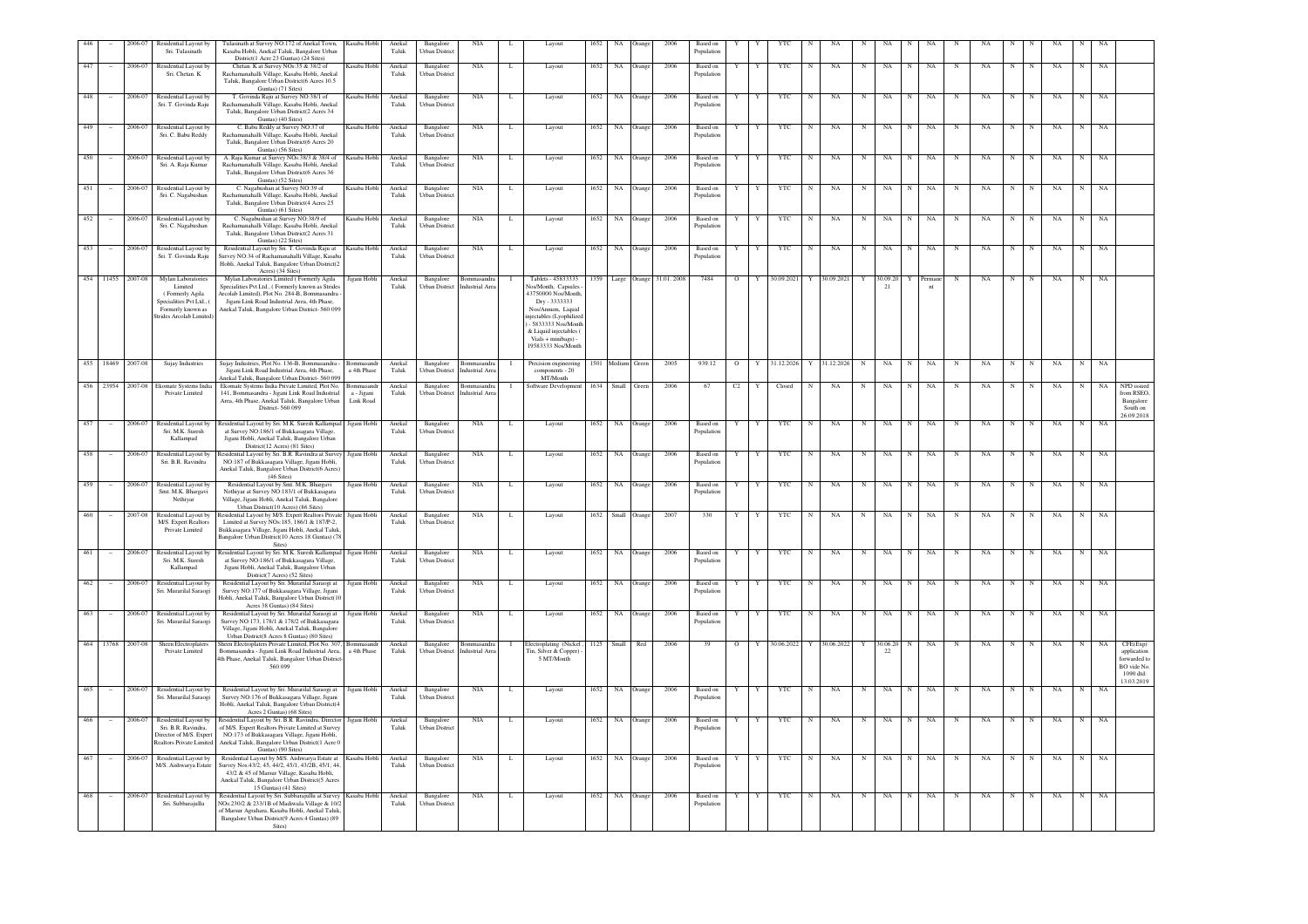|     |        | 2006-0        | Residential Layout b<br>Sri. Tulasinath                                                                                   | Tulasinath at Survey NO:172 of Anekal Town.<br>Kasaba Hobli, Anekal Taluk, Bangalore Urban<br>District(1 Acre 23 Guntas) (24 Sites)                                                                                                                | Kasaba Hobl                          | Anekal<br>Taluk | Bangalore<br><b>Urban Distric</b>  | NIA                                  |    | Layout                                                                                                                                                                                                                       | 1652        | NA    | Orango        | 2006               | Based o<br>Population         |                |   | YTC        | NA               |              | NA             |            | NA                         |            | NA          |            |            | NA          |            | NA          |                                                                                         |
|-----|--------|---------------|---------------------------------------------------------------------------------------------------------------------------|----------------------------------------------------------------------------------------------------------------------------------------------------------------------------------------------------------------------------------------------------|--------------------------------------|-----------------|------------------------------------|--------------------------------------|----|------------------------------------------------------------------------------------------------------------------------------------------------------------------------------------------------------------------------------|-------------|-------|---------------|--------------------|-------------------------------|----------------|---|------------|------------------|--------------|----------------|------------|----------------------------|------------|-------------|------------|------------|-------------|------------|-------------|-----------------------------------------------------------------------------------------|
| 447 |        | 2006-07       | Residential Lavout by<br>Sri. Chetan. K                                                                                   | Chetan, K at Survey NOs:35 & 38/2 of<br>Rachamanahalli Village, Kasaba Hobli, Anekal<br>Taluk, Bangalore Urban District(6 Acres 10.5<br>Guntas) (71 Sites)                                                                                         | Kasaba Hobi                          | Anekal<br>Taluk | Bangalore<br>Urban Distric         | <b>NIA</b>                           | L  | Layout                                                                                                                                                                                                                       | 1652        | NA    | <b>Drange</b> | 2006               | Based on<br>Population        |                |   | <b>YTC</b> | <b>NA</b><br>N   |              | <b>NA</b>      | N          | NA                         | N          | <b>NA</b>   | N          |            | NA.         |            | NA          |                                                                                         |
| 448 |        | 2006-07       | Residential Layout by<br>Sri. T. Govinda Raju                                                                             | T. Govinda Raju at Survey NO:38/1 of<br>Rachamanahalli Village, Kasaba Hobli, Anekal<br>Taluk, Bangalore Urban District(2 Acres 34<br>Guntas) (40 Sites)                                                                                           | Kasaba Hobl                          | Anekal<br>Taluk | Bangalore<br><b>Urban Distric</b>  | <b>NIA</b>                           | L  | Layout                                                                                                                                                                                                                       | 1652 NA     |       | Orange        | 2006               | Based on<br>Population        |                |   | <b>YTC</b> | NA               |              | NA             |            | NA                         |            | NA          | N          |            | NA          |            | NA          |                                                                                         |
| 449 |        | 2006-07       | Residential Layout by<br>Sri. C. Babu Reddy                                                                               | C. Babu Reddy at Survey NO:37 of<br>Rachamanahalli Village, Kasaba Hobli, Anekal<br>Taluk, Bangalore Urban District(6 Acres 20<br>Guntas) (56 Sites)                                                                                               | Kasaba Hobli                         | Anekal<br>Taluk | Bangalore<br>Urban Distric         | <b>NIA</b>                           | L  | Layout                                                                                                                                                                                                                       | 1652        | NA    | Orange        | 2006               | Based on<br>Population        |                |   | <b>YTC</b> | NA               |              | NA             |            | NA                         | N          | NA          | N          |            | NA          |            | NA          |                                                                                         |
| 450 |        | 2006-07       | Residential Layout by<br>Sri. A. Raja Kumar                                                                               | A. Raja Kumar at Survey NOs:38/3 & 38/4 of<br>manahalli Village, Kasaba Hobli, Anekal<br>Racha<br>Taluk, Bangalore Urban District(6 Acres 36<br>Guntas) (52 Sites)                                                                                 | Kasaba Hobli                         | Anekal<br>Taluk | Bangalore<br><b>Irhan Distric</b>  | $_{\rm NIA}$                         | L  | Layout                                                                                                                                                                                                                       | 1652        | NA    | <b>Drange</b> | 2006               | Based on<br>Population        |                |   | YTC        | $_{\rm N}$<br>NA |              | NA             | N          | NA                         | $_{\rm N}$ | NA          | $_{\rm N}$ |            | NA          |            | NA          |                                                                                         |
| 451 |        | 2006-07       | Residential Layout by<br>Sri, C. Nagabushan                                                                               | C. Nagabushan at Survey NO:39 of<br>Rachamanahalli Village, Kasaba Hobli, Anekal<br>Taluk, Bangalore Urban District(4 Acres 25<br>Guntas) (61 Sites)                                                                                               | Kasaba Hobl                          | Anckal<br>Taluk | Bangalore<br>Urban Distric         | <b>NIA</b>                           | L  | Layout                                                                                                                                                                                                                       | 1652        | NA    | <b>Drange</b> | 2006               | Based on<br>Population        |                |   | <b>YTC</b> | <b>NA</b><br>N   | N            | NA             | N          | NA                         | N          | NA          | N          |            | <b>NA</b>   |            | NA          |                                                                                         |
| 452 |        | 2006-0        | Residential Layout by<br>Sri. C. Nagabushan                                                                               | C. Nagabushan at Survey NO:38/9 of<br>Rachamanahalli Village, Kasaba Hobli, Anekal<br>Taluk, Bangalore Urban District(2 Acres 31<br>Guntas) (22 Sites)                                                                                             | Kasaba Hobi                          | Anekal<br>Taluk | Bangalore<br><b>Urban Distric</b>  | <b>NIA</b>                           |    | Layout                                                                                                                                                                                                                       | 1652        | NA    | <b>Irang</b>  | 2006               | Based on<br>Population        |                |   | YTC        | NA               |              |                |            |                            |            | NA          |            |            |             |            |             |                                                                                         |
| 453 |        | 2006-07       | Residential Lavout by<br>Sri. T. Govinda Raju                                                                             | Residential Lavout by Sri. T. Govinda Raju at<br>Survey NO:34 of Rachamanahalli Village, Kasaba<br>Hobli, Anekal Taluk, Bangalore Urban District(2<br>Acres) (34 Sites)                                                                            | Kasaba Hobl                          | Anekal<br>Taluk | Bangalore<br><b>Urban District</b> | <b>NIA</b>                           | L  | Layout                                                                                                                                                                                                                       | 1652        | NA    | Orange        | 2006               | Based on<br>Population        |                |   | <b>YTC</b> | NA               |              | NA             |            | NA                         |            | NA          |            |            | NA          |            |             |                                                                                         |
| 454 |        | 11455 2007-08 | Mylan Laboratories<br>Limited<br>(Formerly Agila<br>Specialities Pvt Ltd.,<br>Formerly known as<br>Strides Arcolab Limite | Mylan Laboratories Limited (Formerly Agila<br>Specialities Pvt Ltd., (Formerly known as Strides<br>Arcolab Limited) Plot No. 284-B. Bommasandra<br>Jigani Link Road Industrial Area, 4th Phase.<br>Anekal Taluk, Bangalore Urban District- 560 099 | Jigani Hobli                         | Anekal<br>Taluk | Bangalore<br><b>Urban District</b> | <b>kommasandı</b><br>ndustrial Area  |    | Tablets - 45833333<br>vos/Month, Capsules<br>43750000 Nos/Month<br>Drv - 3333333<br>Nos/Annum, Liquid<br>njectables (Lyophilized<br>5833333 Nos/Month<br>& Liquid injectables (<br>$Vials + minibags)$<br>19583333 Nos/Montl | 1359 Large  |       |               | Orange 31.01. 2008 | 7484                          |                |   | 30.09.2021 | 30.09.202        |              | 0.09.2<br>21   |            | $\mathop{\rm nt}\nolimits$ |            | NA          |            |            | NA          |            | NA          |                                                                                         |
| 455 |        | 18469 2007-08 | Sujay Industries                                                                                                          | Sujay Industries, Plot No. 136-B, Bommasandra -<br>Jigani Link Road Industrial Area, 4th Phase<br>Anekal Taluk, Bangalore Urban District- 560 099                                                                                                  | Rommacandr<br>a 4th Phase            | Anekal<br>Taluk | Bangalore<br><b>Urban District</b> | <b>Bommasandra</b><br>ndustrial Area |    | Precision engineering<br>components - 20<br>MT/Month                                                                                                                                                                         | 1501 Medium |       | Green         | 2005               | 939.12                        | $\overline{0}$ | Y | 31.12.2026 | Y 31.12.2026     | N            | NA             | N          | NA                         | N          | NA          | N          | N          | <b>NA</b>   | $_{\rm N}$ | <b>NA</b>   |                                                                                         |
| 456 |        | 23954 2007-08 | Ekomate Systems India<br>Private Limited                                                                                  | Ekomate Systems India Private Limited, Plot No.<br>141, Bommasandra - Jigani Link Road Industrial<br>Area, 4th Phase, Anekal Taluk, Bangalore Urban<br>District- 560 099                                                                           | Bommasano<br>a - Jigani<br>Link Road | Anekal<br>Taluk | Bangalore<br>Urban District        | Bommasandra<br>Industrial Area       |    | oftware Developmen                                                                                                                                                                                                           | 1634        | Small | Green         | 2006               | 67                            | C <sub>2</sub> |   | Closed     | NA               |              | NA             |            | NA                         |            | NA          |            |            |             |            |             | NPD issue<br>from RSEO,<br>Bangalore<br>South on<br>26.09.2018                          |
| 457 |        | 2006-07       | Residential Layout by<br>Sri, M.K. Suresh<br>Kallampad                                                                    | Residential Layout by Sri. M.K. Suresh Kallampad<br>at Survey NO:186/1 of Bukkasagara Village,<br>Jigani Hobli, Anekal Taluk, Bangalore Urban<br>District(12 Acres) (81 Sites)                                                                     | Jigani Hobli                         | Anekal<br>Taluk | Bangalore<br><b>Urban Distric</b>  | $_{\rm NIA}$                         | L  | Layout                                                                                                                                                                                                                       | 1652 NA     |       | Orange        | 2006               | <b>Based</b> on<br>Population |                |   | YTC        | $_{\rm NA}$<br>N | $_{\rm N}$   | NA             | N          | $_{\rm NA}$                | $_{\rm N}$ | $_{\rm NA}$ | $_{\rm N}$ | N          | $_{\rm NA}$ | $_{\rm N}$ | NA          |                                                                                         |
| 458 | $\sim$ | 2006-07       | Residential Layout by<br>Sri. B.R. Ravindra                                                                               | Residential Layout by Sri. B.R. Ravindra at Survey Jigani Hobli<br>NO:187 of Bukkasagara Village, Jigani Hobli,<br>Anekal Taluk, Bangalore Urban District(6 Acres)<br>$(46$ Sites)                                                                 |                                      | Anekal<br>Taluk | Bangalore<br>Jrban Distric         | $_{\rm NIA}$                         | L  | Lavout                                                                                                                                                                                                                       | 1652        | NA    | Orange        | 2006               | Based on<br>Population        | Y              |   | YTC        | <b>NA</b><br>N   | N            | NA             | N          | NA                         | N          | NA          | N          | N          | NA          |            | NA          |                                                                                         |
| 459 |        | 2006-07       | Residential Layout by<br>Smt. M.K. Bhargavi<br>Nethiyar                                                                   | Residential Layout by Smt. M.K. Bhargavi<br>Nethiyar at Survey NO:183/1 of Bukkasagara<br>Village, Jigani Hobli, Anekal Taluk. Bangalore<br>Urban District(10 Acres) (86 Sites)                                                                    | Jigani Hobli                         | Anekal<br>Taluk | Bangalore<br><b>Urban Distric</b>  | <b>NIA</b>                           | L  | Layout                                                                                                                                                                                                                       | 1652        | NA    | <b>Drange</b> | 2006               | Based on<br>Population        |                |   | YTC        | NA               |              | NA             |            | NA                         |            | NA          | N          |            | NA          |            | NA          |                                                                                         |
| 460 |        | 2007-08       | Residential Layout by<br>M/S. Expert Realtors<br>Private Limited                                                          | Residential Layout by M/S. Expert Realtors Private<br>Limited at Survey NOs:185, 186/1 & 187/P-2,<br>Bukkasagara Village, Jigani Hobli, Anekal Taluk<br>Bangalore Urban District(10 Acres 18 Guntas) (78<br>Sites)                                 | Jigani Hobli                         | Anekal<br>Taluk | Bangalore<br><b>Urban Distric</b>  | NIA                                  |    | Layout                                                                                                                                                                                                                       | 1652        | Small | <b>Drange</b> | 2007               | 330                           |                |   | YTC        | NA               |              | NA             |            | NA                         |            | NA          |            |            |             |            |             |                                                                                         |
| 461 |        | 2006-07       | Residential Layout by<br>Sri, M.K. Suresh<br>Kallampad                                                                    | Residential Lavout by Sri, M.K. Suresh Kallampad<br>at Survey NO:186/1 of Bukkasagara Village,<br>Jigani Hobli, Anekal Taluk, Bangalore Urban<br>District(7 Acres) (52 Sites)                                                                      | Jigani Hobli                         | Anekal<br>Taluk | Bangalore<br><b>Urban Distric</b>  | <b>NIA</b>                           | T. | Layout                                                                                                                                                                                                                       | 1652        | NA    | Orange        | 2006               | Based on<br>Population        |                |   | <b>YTC</b> | NA<br>N          | $\mathbf{N}$ | <b>NA</b>      | N          | NA                         | N          | NA          | N          | N          | <b>NA</b>   | N          | NA          |                                                                                         |
| 462 | $\sim$ | 2006-07       | Residential Layout by<br>Sri. Murarilal Saraogi                                                                           | Residential Lavout by Sri. Murarilal Saraogi at<br>Survey NO:177 of Bukkasagara Village, Jigani<br>Hobli, Anekal Taluk, Bangalore Urban District(10<br>Acres 38 Guntas) (84 Sites)                                                                 | Jigani Hobli                         | Anekal<br>Taluk | Bangalore<br>Jrban Dist            | <b>NIA</b>                           | L  | Lavout                                                                                                                                                                                                                       | 1652        | NA    | Orange        | 2006               | Based on<br>Populatio         |                | Y | <b>YTC</b> | <b>NA</b><br>N   | N            | NA             | N          | NA                         | N          | <b>NA</b>   | N          | N          | NA          | N          | NA          |                                                                                         |
| 463 |        | 2006-07       | Residential Layout by<br>Sri. Murarilal Saraog                                                                            | Residential Layout by Sri. Murarilal Saraogi at<br>Survey NO:173, 178/1 & 178/2 of Bukkasagara<br>Village, Jigani Hobli, Anekal Taluk, Bangalore<br>Urban District(8 Acres 8 Guntas) (80 Sites)                                                    | Jigani Hobli                         | Anekal<br>Taluk | Bangalore<br><b>Urban District</b> | <b>NIA</b>                           | L  | Layout                                                                                                                                                                                                                       | 1652 NA     |       | Orange        | 2006               | Based on<br>Population        |                |   | <b>YTC</b> | $_{\rm NA}$<br>N | N            | $_{\rm NA}$    | N          | $_{\rm NA}$                | $_{\rm N}$ | $_{\rm NA}$ | $\,$ N     | $_{\rm N}$ | $_{\rm NA}$ | $_{\rm N}$ | NA          |                                                                                         |
| 464 |        | 13768 2007-08 | Sheen Electroplaters<br>Private Limited                                                                                   | Sheen Electroplaters Private Limited, Plot No. 307, Bommasandr<br>Bommasandra - Jigani Link Road Industrial Area,<br>4th Phase, Anekal Taluk, Bangalore Urban District<br>560 099                                                                  | a 4th Phase                          | Anckal<br>Taluk | Bangalore<br>Urban District        | Bommasandra<br>ndustrial Area        |    | Electroplating (Nickel, 1125 Small<br>Tin, Silver & Copper)<br>5 MT/Month                                                                                                                                                    |             |       | Red           | 2006               | 39                            | $\circ$        |   | 30.06.2022 | 30.06.2022<br>Y  |              | 30.06.20<br>22 |            | NA                         | N          | NA          | N          |            | NA          |            | NA          | CFE(Exp)<br>application<br>forwarded to<br><b>BO</b> vide No<br>1090 dtd:<br>13.03.2019 |
| 465 |        | 2006-07       | Residential Layout by<br>Sri. Murarilal Saraogi                                                                           | Residential Layout by Sri. Murarilal Saraogi at<br>Survey NO:176 of Bukkasagara Village, Jigani<br>Hobli, Anekal Taluk, Bangalore Urban District(4<br>Acres 2 Guntas) (68 Sites)                                                                   | Jigani Hobli                         | Anekal<br>Taluk | Bangalore<br>Urban Distric         | <b>NIA</b>                           | L  | Layout                                                                                                                                                                                                                       | 1652        | NA    | Orange        | 2006               | Based on<br>Population        |                |   | <b>YTC</b> | NA<br>N          | N            | NA             | $_{\rm N}$ | NA                         | N          | NA          | N          | N          | NA          | N          | NA          |                                                                                         |
| 466 | $\sim$ | 2006-07       | Residential Layout by<br>Sri. B.R. Ravindra,<br>Director of M/S. Expert<br>Realtors Private Limited                       | Residential Layout by Sri. B.R. Ravindra, Director Jigani Hobli<br>of M/S. Expert Realtors Private Limited at Survey<br>NO:173 of Bukkasagara Village, Jigani Hobli,<br>Anekal Taluk, Bangalore Urban District(1 Acre 0<br>Guntas) (90 Sites)      |                                      | Anekal<br>Taluk | Bangalore<br><b>Urban Distric</b>  | $_{\rm NIA}$                         | L  | Layout                                                                                                                                                                                                                       | 1652        | NA    | Orange        | 2006               | Based on<br>Population        |                | Y | YTC        | $_{\rm NA}$<br>N | N            | NA             | N          | NA                         | N          | NA          | $_{\rm N}$ | N          | NA          |            | $_{\rm NA}$ |                                                                                         |
| 467 |        | 2006-07       | Residential Layout by<br>M/S. Aishwarya Estate                                                                            | Residential Layout by M/S Aishwarya Estate at<br>Survey Nos: 43/2, 45, 44/2, 45/1, 43/2B, 45/1, 44,<br>43/2 & 45 of Marsur Village, Kasaba Hobli,<br>Anekal Taluk, Bangalore Urban District(5 Acres<br>15 Guntas) (41 Sites)                       | Kasaba Hobl                          | Anekal<br>Taluk | Bangalore<br><b>Urban Distric</b>  | <b>NIA</b>                           | L  | Layout                                                                                                                                                                                                                       | 1652        | NA    | Orange        | 2006               | Based on<br>Population        |                |   | <b>YTC</b> | <b>NA</b><br>N   | N            | $_{\rm NA}$    | N          | NA                         | N          | <b>NA</b>   | $_{\rm N}$ | N          | NA          | N          | NA          |                                                                                         |
| 468 |        | 2006-07       | Residential Layout by<br>Sri. Subbarajullu                                                                                | Residential Layout by Sri. Subbarajullu at Survey<br>NOs:230/2 & 233/1B of Madiwala Village & 10/2<br>of Marsur Agrahara, Kasaba Hobli, Anekal Taluk<br>Bangalore Urban District(9 Acres 4 Guntas) (89<br>Sites)                                   | Kasaba Hobl                          | Anekal<br>Taluk | Bangalore<br><b>Urban Distric</b>  | <b>NIA</b>                           | τ  | Layout                                                                                                                                                                                                                       | 1652 NA     |       | Orange        | 2006               | Based on<br>Population        |                |   | YTC        | N<br>NA          |              | NA             |            | NA                         | N          | NA          | N          |            | NA          |            | NA          |                                                                                         |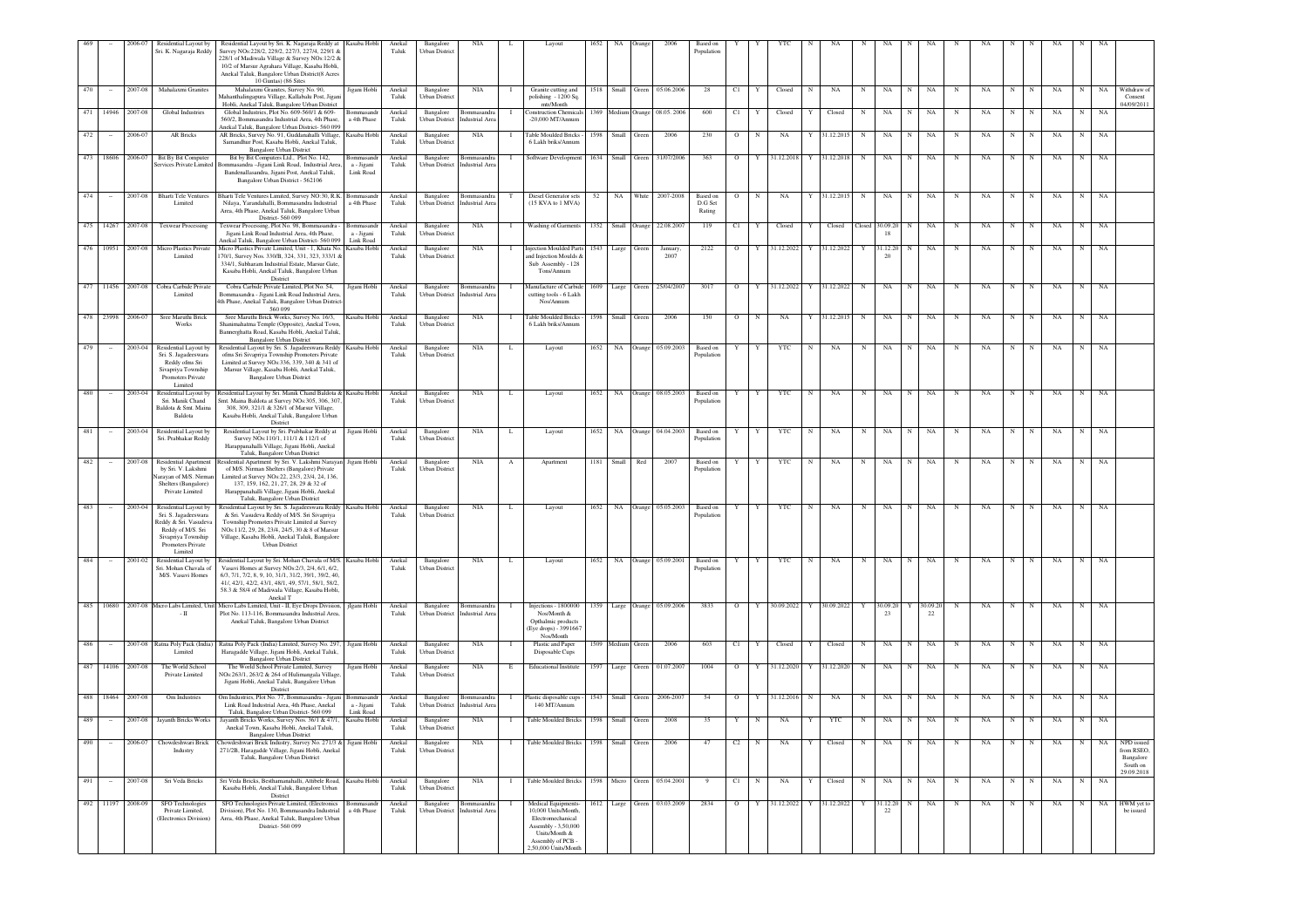|            |        | 2006-07       | Residential Layout by<br>Sri. K. Nagaraja Reddy                                                                                                   | Residential Layout by Sri. K. Nagaraja Reddy at<br>Survey NOs:228/2, 229/2, 227/3, 227/4, 229/1 &<br>228/1 of Madiwala Village & Survey NOs:12/2 &<br>10/2 of Marsur Agrahara Village, Kasaba Hobli,<br>Anekal Taluk, Bangalore Urban District(8 Acres<br>10 Guntas) (86 Sites    | Kasaba Hobli                                | Anckal<br>Taluk           | Bangalore<br><b>Urban Distric</b>              | NIA                                 | L            | Layout                                                                                                                                            | 1652 | NA                                     | Orange        | 2006                      | Based on<br>Population        | Y              | Y          | YTC              | N | NA           | N          | NA              |            | NA           |            | NA              | N          |            | NA              | N          | NA          |                                                                |
|------------|--------|---------------|---------------------------------------------------------------------------------------------------------------------------------------------------|-----------------------------------------------------------------------------------------------------------------------------------------------------------------------------------------------------------------------------------------------------------------------------------|---------------------------------------------|---------------------------|------------------------------------------------|-------------------------------------|--------------|---------------------------------------------------------------------------------------------------------------------------------------------------|------|----------------------------------------|---------------|---------------------------|-------------------------------|----------------|------------|------------------|---|--------------|------------|-----------------|------------|--------------|------------|-----------------|------------|------------|-----------------|------------|-------------|----------------------------------------------------------------|
| 470<br>471 | 14946  | 2007-08       | 2007-08 Mahalaxmi Granites<br><b>Global Industries</b>                                                                                            | Mahalaxmi Granites, Survey No. 90,<br>Mahanthalingapura Village, Kallabalu Post, Jigan<br>Hobli, Anekal Taluk, Bangalore Urban District<br>Global Industries, Plot No. 609-560/1 & 609-                                                                                           | Jigani Hobli<br>Rommacandi                  | Anckal<br>Taluk<br>Anekal | Bangalore<br><b>Urban Distric</b><br>Bangalore | NIA<br>Bommasandra                  |              | Granite cutting and<br>polishing - 1200 Sq.<br>mtr/Month<br><b>Construction Chemicals</b>                                                         |      | 1518 Small Green<br>1369 Medium Orange |               | 05.06.2006<br>08.05.2006  | 28<br>600                     | Cl<br>C1       |            | Closed<br>Closed |   | NA<br>Closed | N<br>N     | NA<br><b>NA</b> | N          | NA<br>NA     | N<br>N     | NA<br><b>NA</b> | N<br>N     | $_{\rm N}$ | NA<br><b>NA</b> | $_{\rm N}$ | NA<br>NA    | Withdraw o<br>Consent<br>04/09/2011                            |
| 472        |        | 2006-07       | <b>AR Bricks</b>                                                                                                                                  | 560/2, Bommasandra Industrial Area, 4th Phase,<br>Anekal Taluk, Bangalore Urban District- 560 099<br>AR Bricks, Survey No. 91, Guddanahalli Village,                                                                                                                              | a 4th Phase<br>Kasaba Hobl                  | Taluk<br>Anekal           | Urban Distric<br>Bangalore                     | ndustrial Are<br><b>NIA</b>         |              | $-20,000$ MT/Annun<br><b>Table Moulded Bricks</b>                                                                                                 | 1598 | Small                                  | Green         | 2006                      | 230                           | $\circ$        | N          | $_{\rm NA}$      |   | 31.12.2015   | $_{\rm N}$ | $_{\rm NA}$     | N          | $_{\rm NA}$  | N          | NA              | N          |            | NA              | $_{\rm N}$ | $_{\rm NA}$ |                                                                |
| 473        |        | 18606 2006-07 | <b>Bit By Bit Computer</b>                                                                                                                        | Samandhur Post, Kasaba Hobli, Anekal Taluk,<br><b>Bangalore Urban District</b><br>Bit by Bit Computers Ltd., Plot No. 142,                                                                                                                                                        |                                             | Taluk<br>Anekal           | <b>Urban District</b>                          |                                     |              | 6 Lakh briks/Annun<br>Software Development                                                                                                        |      | 1634 Small Green                       |               | 31/07/2006                | 363                           |                |            | 31.12.2018       |   | 31.12.2018   |            | NA              |            | NA           | N          | NA              | N          |            | NA              |            | $_{\rm NA}$ |                                                                |
|            |        |               | ervices Private Limited                                                                                                                           | nasandra - Jigani Link Road, Industrial Area<br>Bandenallasandra, Jigani Post, Anekal Taluk.<br>Bangalore Urban District - 562106                                                                                                                                                 | Bommasand<br>a - Jigani<br>Link Road        | ${\rm T}$ aluk            | Bangalore<br><b>Urban District</b>             | Bommasandra<br>ndustrial Are        |              |                                                                                                                                                   |      |                                        |               |                           |                               | $\circ$        | Y          |                  |   |              | N          |                 | N          |              |            |                 |            |            |                 |            |             |                                                                |
| 474        | $\sim$ | 2007-08       | <b>Bharti Tele Ventures</b><br>Limited                                                                                                            | Bharti Tele Ventures Limited, Survey NO:30, R.K.<br>Nilaya, Yarandahalli, Bommasandra Industrial<br>Area, 4th Phase, Anekal Taluk, Bangalore Urban<br>District-560 099                                                                                                            | Bommasand<br>a 4th Phase                    | Anekal<br>Taluk           | Bangalore<br><b>Urban Distric</b>              | Bommasandra<br>ndustrial Are        |              | <b>Diesel Generator sets</b><br>(15 KVA to 1 MVA)                                                                                                 | 52   | NA                                     | White         | 2007-2008                 | Based on<br>D.G Set<br>Rating | $\circ$        | $_{\rm N}$ | <b>NA</b>        |   | 31.12.2015   | N          | NA              | N          | NA           | N          | <b>NA</b>       | $_{\rm N}$ | N          | <b>NA</b>       | N          | NA          |                                                                |
| 475        |        | 14267 2007-08 | <b>Texwear Processing</b>                                                                                                                         | Texwear Processing, Plot No. 98, Bommasandra -<br>Jigani Link Road Industrial Area, 4th Phase,<br>Anekal Taluk, Bangalore Urban District- 560 099                                                                                                                                 | <b>Bommasand</b><br>a - Jigani<br>Link Road | Anekal<br>Taluk           | Bangalore<br>Jrban Distric                     | <b>NIA</b>                          |              | <b>Washing of Garments</b>                                                                                                                        |      | 1352 Small                             | <b>Drange</b> | 22.08.2007                | 119                           | C1             |            | Closed           |   | Closed       | Closed     | 30.09.20<br>18  |            | NA.          |            | <b>NA</b>       |            |            |                 |            |             |                                                                |
| 476        |        |               | 10951 2007-08 Micro Plastics Private<br>Limited                                                                                                   | Micro Plastics Private Limited. Unit - 1. Khata No.<br>170/1, Survey Nos. 330/B, 324, 331, 323, 333/1 &<br>334/1, Subharam Industrial Estate, Marsur Gate,<br>Kasaba Hobli, Anekal Taluk, Bangalore Urban<br>District                                                             | Kasaba Hobli                                | Anekal<br>Taluk           | Bangalore<br><b>Urban District</b>             | <b>NIA</b>                          |              | <b>Injection Moulded Parts</b><br>and Iniection Moulds &<br>Sub Assembly - 128<br>Tons/Annum                                                      | 1543 | Large                                  | Green         | January<br>2007           | 2122                          | $\circ$        |            | 31.12.2022       |   | 31.12.2022   |            | 31.12.20<br>20  | N          | NA           | N          | NA              | N          |            | <b>NA</b>       |            | NA          |                                                                |
|            |        |               | 477 11456 2007-08 Cobra Carbide Private<br>Limited                                                                                                | Cobra Carbide Private Limited, Plot No. 54.<br>Bommasandra - Jigani Link Road Industrial Area<br>4th Phase, Anekal Taluk, Bangalore Urban District<br>560 099                                                                                                                     | Jigani Hobli                                | Anekal<br>Taluk           | Bangalore<br><b>Urban District</b>             | <b>Bommasandra</b><br>ndustrial Are |              | Manufacture of Carbidel<br>cutting tools - 6 Lakh<br>Nos/Annum                                                                                    |      | 1609 Large Green                       |               | 25/04/2007                | 3017                          | $\circ$        |            | 31.12.2022       |   | Y 31.12.2022 | N          | NA              | N          | NA           | N          | <b>NA</b>       | N          | N          | NA              | N          | NA          |                                                                |
| 478        |        | 23998 2006-07 | Sree Maruthi Brick<br>Works                                                                                                                       | Sree Maruthi Brick Works, Survey No. 16/3,<br>Shanimahatma Temple (Opposite), Anekal Town<br>Bannerghatta Road, Kasaba Hobli, Anekal Taluk<br><b>Bangalore Urban District</b>                                                                                                     | Kasaba Hobl                                 | Anckal<br>Taluk           | Bangalore<br><b>Urban District</b>             | <b>NIA</b>                          |              | Table Moulded Bricks<br>6 Lakh briks/Annun                                                                                                        | 1598 | Small Green                            |               | 2006                      | 150                           | $\overline{0}$ |            | NA               |   | 31.12.2015   | N          | $_{\rm NA}$     |            | NA           | N          | $_{\rm NA}$     | N          | N          | NA              | N          | NA          |                                                                |
| 479        | $\sim$ | 2003-04       | Residential Layout by<br>Sri. S. Jagadeeswara<br>Reddy ofms Sri<br>Sivapriya Township<br>Promoters Private<br>Limited                             | Residential Layout by Sri. S. Jagadeeswara Reddy<br>ofms Sri Sivapriya Township Promoters Private<br>Limited at Survey NOs:336, 339, 340 & 341 of<br>Marsur Village, Kasaba Hobli, Anekal Taluk,<br><b>Bangalore Urban District</b>                                               | Kasaba Hobl                                 | Anekal<br>Taluk           | Bangalore<br>Urban Distric                     | <b>NIA</b>                          | L            | Layout                                                                                                                                            | 1652 |                                        | NA Orange     | 05.09.2003                | Based on<br>Population        |                |            | <b>YTC</b>       |   | NA           | N          | NA              | N          | NA           | N          | $_{\rm NA}$     | $_{\rm N}$ | N          | NA              | N          | NA          |                                                                |
| 480        |        | 2003-04       | Residential Layout by<br>Sri Manik Chand<br>Baldota & Smt. Maina<br>Baldota                                                                       | esidential Layout by Sri. Manik Chand Baldota &<br>Smt. Maina Baldota at Survey NOs:305, 306, 307<br>308, 309, 321/1 & 326/1 of Marsur Village.<br>Kasaba Hobli, Anekal Taluk, Bangalore Urban<br>District                                                                        | Casaba Hobl                                 | Anekal<br>Taluk           | Bangalore<br><b>Urban District</b>             | NIA                                 |              | Layou                                                                                                                                             | 1652 |                                        |               | NA Orange 08.05.2003      | <b>Based</b> on<br>Population |                |            | YTC              |   | NA           |            | NA              |            | NA           | N          | NA              |            |            | NA              |            | NA          |                                                                |
| 481        |        | 2003-04       | Residential Layout by<br>Sri Prabhakar Reddy                                                                                                      | Residential Layout by Sri. Prabhakar Reddy at<br>Survey NOs:110/1, 111/1 & 112/1 of<br>Harappanahalli Village, Jigani Hobli, Anekal<br>Taluk, Bangalore Urban District                                                                                                            | Jigani Hobli                                | Anekal<br>Taluk           | Bangalore<br><b>Urban District</b>             | <b>NIA</b>                          |              | Layout                                                                                                                                            | 1652 | NA                                     | <b>Drange</b> | 04.04.2003                | <b>Based</b> on<br>Population |                |            | YTC              |   | NA           |            |                 |            |              |            |                 |            |            |                 |            |             |                                                                |
| 482        |        | 2007-08       | Residential Apartment<br>by Sri. V. Lakshmi<br>Jaravan of M/S Nirma<br>Shelters (Bangalore)<br>Private Limited                                    | esidential Apartment by Sri. V. Lakshmi Narayan<br>of M/S. Nirman Shelters (Bangalore) Private<br>Limited at Survey NOs: 22 23/3 23/4 24 136<br>137, 159, 162, 21, 27, 28, 29 & 32 of<br>Harappanahalli Village, Jigani Hobli, Anekal<br>Taluk, Bangalore Urban District          | Jigani Hobl                                 | Anekal<br>Taluk           | Bangalore<br><b>Urban Distric</b>              | <b>NIA</b>                          | $\mathbf{A}$ | Apartment                                                                                                                                         | 1181 | Small                                  | Red           | 2007                      | <b>Based</b> on<br>Populatio  |                |            | YTC              |   | <b>NA</b>    |            | NA              |            | NA           |            | <b>NA</b>       |            |            | NA              |            |             |                                                                |
| 483        |        | 2003-04       | Residential Layout by<br>Sri. S. Jagadeeswara<br>Reddy & Sri, Vasudeva<br>Reddy of M/S. Sri<br>Sivapriya Township<br>Promoters Private<br>Limited | Residential Layout by Sri. S. Jagadeeswara Reddy<br>& Sri. Vasudeva Reddy of M/S. Sri Sivapriya<br>Township Promoters Private Limited at Survey<br>NOs:11/2, 29, 28, 23/4, 24/5, 30 & 8 of Marsur<br>Village, Kasaba Hobli, Anekal Taluk, Bangalore<br><b>Urban District</b>      | Casaba Hobl                                 | Anckal<br>Taluk           | Bangalore<br><b>Urban District</b>             | NIA                                 |              | Layout                                                                                                                                            | 1652 | NA                                     |               | 05.05.2003                | <b>Based</b> on<br>Population |                |            | <b>YTC</b>       |   |              |            |                 |            |              |            |                 |            |            |                 |            |             |                                                                |
| 484        |        |               | 2001-02 Residential Lavout by<br>Sri. Mohan Chavala of<br>M/S. Vasavi Homes                                                                       | Residential Lavout by Sri. Mohan Chavala of M/S. Kasaba Hobli<br>Vasavi Homes at Survey NOs:2/3, 2/4, 6/1, 6/2,<br>6/3, 7/1, 7/2, 8, 9, 10, 31/1, 31/2, 39/1, 39/2, 40<br>41/ 42/1 42/2 43/1 48/1 49 57/1 58/1 58/2<br>58.3 & 58/4 of Madiwala Village, Kasaba Hobli,<br>Anekal T |                                             | Anekal<br>Taluk           | Bangalore<br><b>Urban District</b>             | <b>NIA</b>                          | L            | Layout                                                                                                                                            |      |                                        |               | 1652 NA Orange 05.09.2001 | Based on<br>Population        |                |            | YTC              |   | NA           | N          | NA              | $_{\rm N}$ | NA           | N          | <b>NA</b>       | N          | N          | <b>NA</b>       | $_{\rm N}$ | NA          |                                                                |
| 485        |        |               | 10680 2007-08 Micro Labs Limited, Un<br>$\sim$ II                                                                                                 | Micro Labs Limited, Unit - II, Eve Drops Division,<br>Plot No. 113-116, Bommasandra Industrial Area,<br>Anekal Taluk, Bangalore Urban District                                                                                                                                    | jIgani Hobli                                | Anekal<br>Taluk           | Bangalore<br><b>Urban District</b>             | Bommasandra<br>ndustrial Are        |              | Injections - 1800000<br>Nos/Month $\&$<br>Opthalmic products<br>Eye drops) - 3991667<br>Nos/Month                                                 |      | 1359 Large Orange                      |               | 05.09.2006                | 3833                          | $\circ$        |            | 30.09.2022       |   | 30.09.2022   |            | 30.09.20<br>23  |            | 0.09.2<br>22 |            | <b>NA</b>       | N          |            | NA              |            | NA          |                                                                |
| 486        | $\sim$ |               | 2007-08 Ratna Poly Pack (India<br>Limited                                                                                                         | Ratna Poly Pack (India) Limited, Survey No. 297,<br>Haragadde Village, Jigani Hobli, Anekal Taluk,<br><b>Bangalore Urban District</b>                                                                                                                                             | Jigani Hobli                                | Anekal<br>Taluk           | Bangalore<br>Jrban Distric                     | <b>NIA</b>                          |              | Plastic and Paper<br>Disposable Cups                                                                                                              |      | 1509 Medium                            | Green         | 2006                      | 603                           | C1             |            | Closed           |   | Closed       | N          | NA              |            | NA           | N          | NA              | N          |            | NA              |            | NA          |                                                                |
| 487        |        | 14106 2007-08 | The World School<br>Private Limited                                                                                                               | The World School Private Limited, Survey<br>NOs:263/1, 263/2 & 264 of Hulimangala Village,<br>Jigani Hobli, Anekal Taluk, Bangalore Urban<br>District                                                                                                                             | Jigani Hobli                                | Anekal<br>Taluk           | Bangalore<br><b>Urban District</b>             | <b>NIA</b>                          | E            | <b>Educational Institute</b>                                                                                                                      |      | 1597 Large Green                       |               | 01.07.2007                | 1004                          | $\circ$        |            | 31.12.2020       |   | 31.12.2020   | N          | NA              | N          | NA           | N          | NA              | N          | N          | NA              | N          | NA          |                                                                |
| 488        |        | 18464 2007-08 | Om Industries                                                                                                                                     | Om Industries, Plot No. 77, Bommasandra - Jigani<br>Link Road Industrial Area 4th Phase Anekal<br>Taluk, Bangalore Urban District- 560 099                                                                                                                                        | a - Jigani<br>Link Road                     | Anckal<br>Taluk           | Bangalore<br><b>Urban District</b>             | ommasandra<br>ndustrial Are         |              | Plastic disposable cups<br>140 MT/Annum                                                                                                           | 1543 | Small                                  | Green         | 2006-2007                 | 54                            | $\overline{0}$ |            | 31.12.2016       |   | NA           | N          | $_{\rm NA}$     |            | NA           | N          | $_{\rm NA}$     | N          | $_{\rm N}$ | NA              | N          | $_{\rm NA}$ |                                                                |
| 489        |        | 2007-08       | Javanth Bricks Works                                                                                                                              | Javanth Bricks Works, Survey Nos, 36/1 & 47/1.<br>Anekal Town, Kasaba Hobli, Anekal Taluk,<br>Bangalore Urban District                                                                                                                                                            | Kasaba Hobli                                | Anekal<br>Taluk           | Bangalore<br>Urban Distric                     | <b>NIA</b>                          |              | <b>Table Moulded Bricks</b>                                                                                                                       |      | 1598 Small                             | Green         | 2008                      | 35                            | Y              | N          | NA               |   | <b>YTC</b>   | N          | <b>NA</b>       | N          | NA           | N          | NA              | N          | N          | <b>NA</b>       | N          | NA          |                                                                |
| 490        |        | 2006-07       | Chowdeshwari Brick<br>Industry                                                                                                                    | Chowdeshwari Brick Industry, Survey No. 271/3 & 271/2B, Haragadde Village, Jigani Hobli, Anekal<br>Taluk, Bangalore Urban District                                                                                                                                                | Jigani Hobli                                | Anekal<br>Taluk           | Bangalore<br><b>Urban District</b>             | <b>NIA</b>                          | $\mathbf{I}$ | Table Moulded Bricks 1598 Small Green                                                                                                             |      |                                        |               | 2006                      | 47                            | C2             | $_{\rm N}$ | NA               |   | Closed       | N          | NA              | $_{\rm N}$ | NA           | $_{\rm N}$ | NA              | $_{\rm N}$ | $_{\rm N}$ | NA              | $_{\rm N}$ | NA          | NPD issue<br>from RSEO,<br>Bangalore<br>South on<br>29.09.2018 |
| 491        |        | 2007-08       | Sri Veda Bricks                                                                                                                                   | Sri Veda Bricks, Besthamanahalli, Attibele Road<br>Kasaba Hobli, Anekal Taluk, Bangalore Urban<br>District                                                                                                                                                                        | Kasaba Hobli                                | Anekal<br>Taluk           | Bangalore<br><b>Urban Distric</b>              | <b>NIA</b>                          |              | Table Moulded Bricks 1598 Micro Green                                                                                                             |      |                                        |               | 05.04.2001                |                               | Cl             | N          | NA               |   | Closed       | N          | NA              | N          | NA.          | N          | <b>NA</b>       | N          | N          | <b>NA</b>       | N          | NA          |                                                                |
| 492        | 11197  | 2008-09       | SFO Technologies<br>Private Limited,<br>(Electronics Division)                                                                                    | SFO Technologies Private Limited, (Electronics<br>Division), Plot No. 130, Bommasandra Industrial<br>Area, 4th Phase, Anekal Taluk, Bangalore Urban<br>District- 560 099                                                                                                          | a 4th Phase                                 | Anckal<br>Taluk           | Bangalore<br><b>Urban District</b>             | ndustrial Are                       |              | Medical Equipments-<br>10,000 Units/Month,<br>Electromechanical<br>Assembly - 3,50,000<br>Units/Month &<br>Assembly of PCB<br>2.50.000 Units/Mont |      | 1612 Large Green                       |               | 03.03.2009                | 2834                          | $\overline{0}$ |            | 31.12.2022       |   | 31.12.2022   |            | 31.12.20<br>22  |            | NA           |            | NA              |            |            |                 |            | NA          | HWM yet to<br>be issued                                        |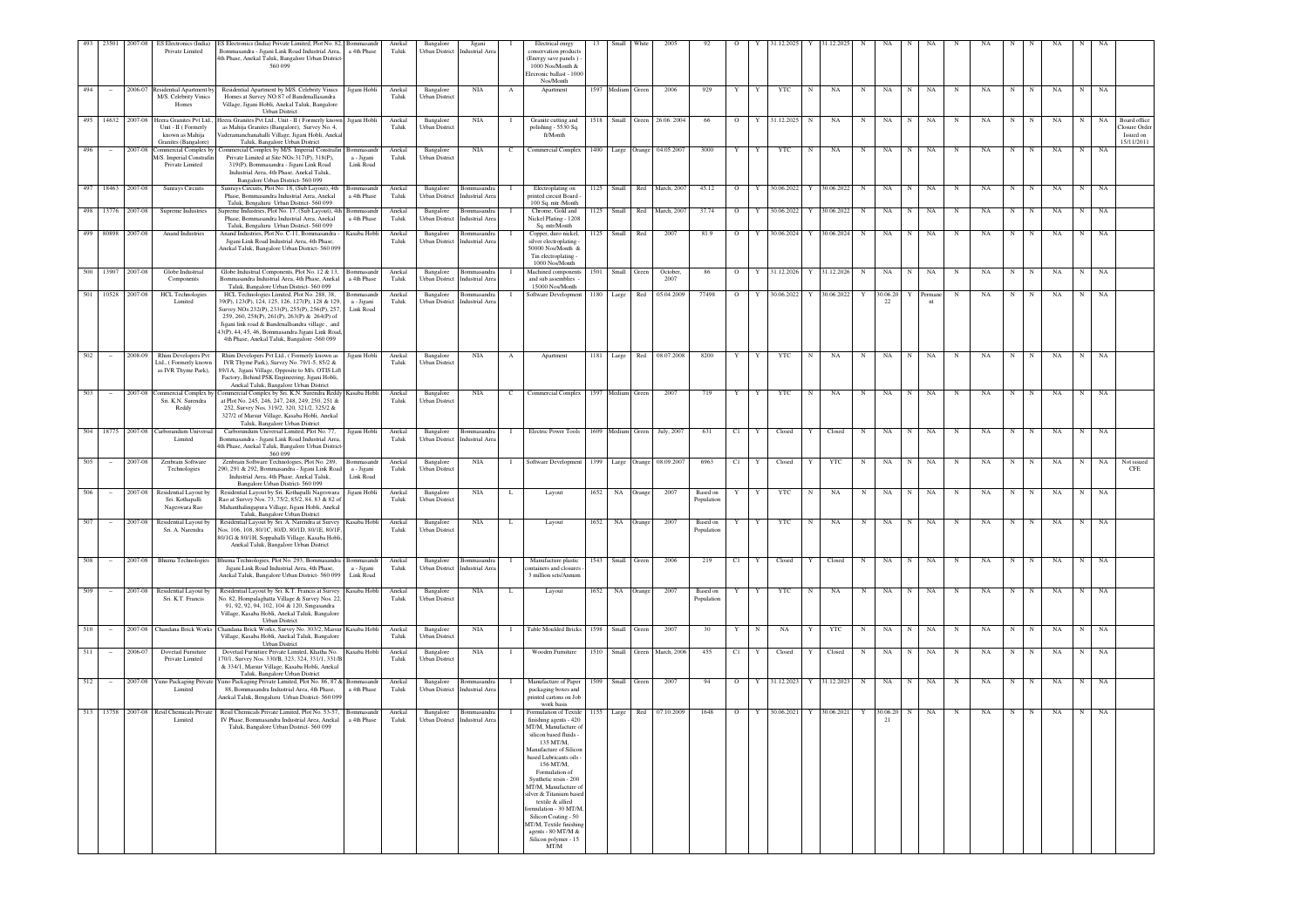|     | 493 | 23501  | 2007-08           | ES Electronics (India<br>Private Limited                                                                | ES Electronics (India) Private Lin<br>Bommasandra - Jigani Link Road Industrial Area.<br>4th Phase. Anekal Taluk, Bangalore Urban District<br>560 099                                                                                                                                                                                                | a 4th Phase                          | Taluk           | Bangalore<br><b>Urban District</b> | Jigan<br>ndustrial Are              |                | Electrical enrgy<br>conservation product<br>(Energy save panels)<br>1000 Nos/Month &<br>Elecronic ballast - 1000<br>Nos/Month                                                                                                                                                                                                                                                                                            |      | imall             |              | 200 <sup>s</sup>             | 92                           |                |              | 1.12.202   |                | 31.12.202  |                |                |                |             |                  |             |   |   |           |              |           |                                                          |
|-----|-----|--------|-------------------|---------------------------------------------------------------------------------------------------------|------------------------------------------------------------------------------------------------------------------------------------------------------------------------------------------------------------------------------------------------------------------------------------------------------------------------------------------------------|--------------------------------------|-----------------|------------------------------------|-------------------------------------|----------------|--------------------------------------------------------------------------------------------------------------------------------------------------------------------------------------------------------------------------------------------------------------------------------------------------------------------------------------------------------------------------------------------------------------------------|------|-------------------|--------------|------------------------------|------------------------------|----------------|--------------|------------|----------------|------------|----------------|----------------|----------------|-------------|------------------|-------------|---|---|-----------|--------------|-----------|----------------------------------------------------------|
|     | 494 | $\sim$ | 2006-07           | Residential Apartment by<br>M/S. Celebrity Vinics<br>Homes                                              | Residential Apartment by M/S. Celebrity Vinics<br>Homes at Survey NO:87 of Bandenallasandra<br>Village, Jigani Hobli, Anekal Taluk, Bangalore<br>Urban District                                                                                                                                                                                      | Jigani Hobli                         | Anekal<br>Taluk | Bangalore<br><b>Urban Distric</b>  | <b>NIA</b>                          | $\mathbf{A}$   | Apartment                                                                                                                                                                                                                                                                                                                                                                                                                |      | 1597 Medium Green |              | 2006                         | 929                          | Y              |              | <b>YTC</b> | N              | <b>NA</b>  | N              | NA .           | N              | NA.         | N                | NA          |   | N | <b>NA</b> | $\mathbf{N}$ | NA        |                                                          |
|     | 495 |        |                   | 14632 2007-08 Heera Granites Pvt Ltd.<br>Unit - II (Formerly<br>known as Mahija<br>Granites (Bangalore) | Heera Granites Pvt Ltd., Unit - II (Formerly known<br>as Mahija Granites (Bangalore). Survey No. 4.<br>deramanchanahalli Village, Jigani Hobli, Aneka<br>Taluk, Bangalore Urban District                                                                                                                                                             | Jigani Hobli                         | Anekal<br>Taluk | Bangalore<br><b>Urban Distric</b>  | <b>NIA</b>                          |                | Granite cutting and<br>polishing - 5530 Sq.<br>ft/Month                                                                                                                                                                                                                                                                                                                                                                  | 1518 | Small             | Green        | 26.06.2004                   | 66                           | $\overline{0}$ |              | 31.12.2025 |                | NA         | N              | NA             | N              | $_{\rm NA}$ | $_{\rm N}$       | NA          |   |   | NA        |              | NA        | Board office<br>Closure Order<br>Issued on<br>15/11/2011 |
|     | 496 |        | 2007-08           | Commercial Complex by<br>M/S. Imperial Constrafi<br>Private Limited                                     | Commercial Complex by M/S. Imperial Constrafin Bommasand<br>Private Limited at Site NOs:317(P), 318(P),<br>319(P). Bommasandra - Jigani Link Road<br>Industrial Area, 4th Phase, Anekal Taluk.                                                                                                                                                       | a - Jigani<br>Link Road              | Anckal<br>Taluk | Bangalore<br>Jrban Distric         | <b>NIA</b>                          | $\overline{c}$ | <b>Commercial Complex</b>                                                                                                                                                                                                                                                                                                                                                                                                |      |                   |              | 1400 Large Orange 04.05.2007 | 3000                         | Y              | Y            | YTC        | N              | NA         | N              | NA             | N              | NA          | N                | NA          | N |   | NA        | N            | NA        |                                                          |
|     | 497 |        | 18463 2007-08     | Sunrays Circuits                                                                                        | Bangalore Urban District-560 099<br>Sunrays Circuits, Plot No. 18, (Sub Layout), 4th<br>Phase, Bommasandra Industrial Area, Anekal                                                                                                                                                                                                                   | Bommasand<br>a 4th Phase             | Anekal<br>Taluk | Bangalore<br><b>Urban District</b> | Bommasandra<br>ndustrial Are        |                | Electroplating on<br>printed circuit Board                                                                                                                                                                                                                                                                                                                                                                               |      | $1125$ Small      |              | Red March, 2007              | 45.12                        |                |              | 30.06.2022 |                | 30.06.2022 |                | NA             |                | NA          |                  | NA          |   |   | NA        |              | NA        |                                                          |
|     |     |        | 498 13776 2007-08 | Supreme Industries                                                                                      | Taluk, Bengaluru Urban District- 560 099<br>oreme Industries, Plot No. 17, (Sub Layout), 4th<br>Phase, Bommasandra Industrial Area, Anekal                                                                                                                                                                                                           | a 4th Phase                          | Anekal<br>Taluk | Bangalore<br><b>Urban District</b> | <b>Rommasandr</b><br>Industrial Are |                | 100 Sq. mtr /Month<br>Chrome Gold and<br>Nickel Plating - 1208                                                                                                                                                                                                                                                                                                                                                           | 1125 | Small             | Red          | March, 2007                  | 37.74                        |                |              | 30.06.2022 |                | 30.06.2022 |                | NA             |                | NA          |                  | NA          |   |   | NA        |              | NA        |                                                          |
|     | 499 |        | 2007-08           | Anand Industries                                                                                        | Taluk, Bengaluru Urban District- 560 099<br>Anand Industries, Plot No. C-11, Bommasandra<br>Jigani Link Road Industrial Area, 4th Phase.                                                                                                                                                                                                             |                                      | Aneka<br>Taluk  | Bangalore<br><b>Urban District</b> | iommasandra<br>ndustrial Are        |                | Sq. mtr/Month<br>Copper, duro nickel,<br>silver electroplating                                                                                                                                                                                                                                                                                                                                                           | 125  |                   | Red          | 2007                         | 81.9                         |                |              | 0.06.202   |                | 0.06.202   |                | NA             |                |             |                  | NA          |   |   |           |              |           |                                                          |
|     | 500 | 13907  | 2007-08           | Globe Industrial                                                                                        | Anekal Taluk, Bangalore Urban District- 560 099<br>Globe Industrial Components, Plot No. 12 & 13,                                                                                                                                                                                                                                                    | Bommasand                            | Anekal          | Bangalore                          | <b>3ommasandr</b>                   |                | 50000 Nos/Month &<br>Tin electroplating<br>1000 Nos/Month<br>Machined components                                                                                                                                                                                                                                                                                                                                         | 501  | Small             | Greer        | October,                     | 86                           | $\overline{0}$ |              | 31.12.2026 |                | 31.12.2026 | N              | NA             | N              | NA          | N                | NA          |   |   | NA        |              | NA        |                                                          |
|     |     |        | 501 10528 2007-08 | Components<br><b>HCL</b> Technologies                                                                   | Bommasandra Industrial Area, 4th Phase, Anekal<br>Taluk, Bangalore Urban District- 560 099                                                                                                                                                                                                                                                           | a 4th Phase<br>Rommacand             | Taluk<br>Anekal | <b>Urban District</b><br>Bangalore | ndustrial Are<br><b>Bommasandra</b> |                | and sub assemblies<br>15000 Nos/Month<br>Software Development 1180 Large                                                                                                                                                                                                                                                                                                                                                 |      |                   | Red          | 2007<br>05.04.2009           | 77498                        | $\Omega$       | $\mathbf{v}$ | 30.06.2022 | Y              | 30.06.2022 |                | 0.06.20        |                | rma         | N                | <b>NA</b>   |   | N | NA.       | $_{\rm N}$   | NA        |                                                          |
|     |     |        |                   | Limited                                                                                                 | HCL Technologies Limited, Plot No. 288, 38, 39(P), 123(P), 124, 125, 126, 127(P), 128 & 129,<br>Survey NOs:232(P), 233(P), 255(P), 256(P), 257,<br>259, 260, 258(P), 261(P), 263(P) & 264(P) of<br>Jigani link road & Bandenallsandra village, and<br>43(P), 44, 45, 46. Bommasandra Jigani Link Road<br>4th Phase, Anekal Taluk, Bangalore -560 099 | a - Jigani<br>Link Road              | Taluk           | Urban District                     | ndustrial Are                       |                |                                                                                                                                                                                                                                                                                                                                                                                                                          |      |                   |              |                              |                              |                |              |            |                |            |                | 22             |                | nt          |                  |             |   |   |           |              |           |                                                          |
|     | 502 |        | 2008-09           | Rhim Developers Pvt<br>Ltd., (Formerly know<br>as IVR Thyme Park).                                      | Rhim Developers Pvt Ltd., (Formerly known as<br>IVR Thyme Park), Survey No. 79/1-5, 85/2 &<br>89/1A. Jigani Village. Opposite to M/s. OTIS Lift<br>Factory, Behind PSK Engineering, Jigani Hobli,<br>Anekal Taluk, Bangalore Urban District                                                                                                          | Jigani Hobl                          | Anekal<br>Taluk | Bangalon<br><b>Urban Distric</b>   | <b>NIA</b>                          | $\overline{A}$ | Apartment                                                                                                                                                                                                                                                                                                                                                                                                                | 1181 | Large             | Red          | 08.07.2008                   | 8200                         |                |              | <b>YTC</b> | $\overline{N}$ | NA         |                | NA             |                | NA          |                  | NA          |   |   | NA        |              | NA        |                                                          |
|     | 503 |        | 2007-08           | <b>Commercial Complex by</b><br>Sri KN Surendra<br>Reddy                                                | Commercial Complex by Sri. K.N. Surendra Reddy Kasaba Hobli<br>at Plot No. 245 246 247 248 249 250 251 &<br>252, Survey Nos. 319/2, 320, 321/2. 325/2 &<br>327/2 of Marsur Village, Kasaba Hobli, Anekal<br>Taluk, Bangalore Urban District                                                                                                          |                                      | Anekal<br>Taluk | Bangalore<br><b>Urban Distric</b>  | <b>NIA</b>                          | C              | <b>Commercial Complex</b>                                                                                                                                                                                                                                                                                                                                                                                                |      | 1597 Medium Green |              | 2007                         | 719                          | Y              | Y            | YTC        | N              | NA         | N              | NA             | $_{\rm N}$     | NA          | $\bar{\text{N}}$ | NA          |   |   | NA        | $_{\rm N}$   | NA        |                                                          |
|     | 504 |        |                   | 18775 2007-08 Carborandum Univers<br>Limited                                                            | Carborundum Universal Limited, Plot No. 77,<br>ommasandra - Jigani Link Road Industrial Area,<br>4th Phase, Anekal Taluk, Bangalore Urban District<br>560 099                                                                                                                                                                                        | Jigani Hobli                         | Anekal<br>Taluk | Bangalore<br>Jrban Distric         | Bommasandra<br>dustrial Are         |                | <b>Electric Power Tools</b>                                                                                                                                                                                                                                                                                                                                                                                              |      | 1609 Medium Green |              | July, 2007                   | 631                          | Cl             |              | Closed     |                | Closed     | N              | NA             | N              | NA          | $_{\rm N}$       | $_{\rm NA}$ |   |   | NA        | $_{\rm N}$   | <b>NA</b> |                                                          |
|     | 505 |        | 2007-08           | Zenbrain Software<br>Technologies                                                                       | Zenbrain Software Technologies, Plot No. 289.<br>90, 291 & 292, Bommasandra - Jigani Link Road<br>Industrial Area, 4th Phase, Anekal Taluk,<br>Bangalore Urban District-560 099                                                                                                                                                                      | Bommasand<br>a - Jigani<br>Link Road | Anekal<br>Taluk | Bangalore<br>Jrban Distric         | <b>NIA</b>                          |                | Software Development                                                                                                                                                                                                                                                                                                                                                                                                     |      | 1399 Large        | Orange       | 08.09.2007                   | 6963                         | C1             |              | Closed     |                | <b>YTC</b> |                | NA.            |                | NA          |                  | <b>NA</b>   |   |   | NA        |              | NA        | Not issued<br>$_{\rm CFE}$                               |
|     | 506 |        | 2007-08           | Residential Layout by<br>Sri. Kothapalli<br>Nageswara $\mathsf{Rao}$                                    | Residential Layout by Sri Kothanalli Nageswara<br>Rao at Survey Nos. 73, 75/2, 85/2, 84, 83 & 82 of<br>Mahanthalingapura Village, Jigani Hobli, Anekal<br>Taluk, Bangalore Urban District                                                                                                                                                            | Jigani Hobli                         | Anekal<br>Taluk | Bangalore<br><b>Urban District</b> | <b>NIA</b>                          | L              | Layout                                                                                                                                                                                                                                                                                                                                                                                                                   | 1652 | NA                | Orang        | 2007                         | Based on<br>Population       |                |              | <b>YTC</b> |                | <b>NA</b>  |                | NA             |                | NA          |                  | NA          |   |   | NA        |              | <b>NA</b> |                                                          |
|     | 507 |        | 2007-08           | Residential Layout by<br>Sri A Narendra                                                                 | Residential Layout by Sri. A. Narendra at Survey<br>Nos 106 108 80/1C 80/D 80/1D 80/1E 80/1E<br>0/1G & 80/1H, Soppahalli Village, Kasaba Hobli<br>Anekal Taluk, Bangalore Urban District                                                                                                                                                             | Kasaba Hobi                          | Anekal<br>Taluk | Bangalore<br><b>Urban Distric</b>  | <b>NIA</b>                          | τ              | Layout                                                                                                                                                                                                                                                                                                                                                                                                                   | 1652 | NA                | Orange       | 2007                         | Based on<br>Population       |                |              | YTC        |                | NA         |                | NA             |                | NA          | N                | NA          |   |   | NA        |              | NA        |                                                          |
|     | 508 |        | 2007-08           | <b>Bhuma</b> Technologies                                                                               | Bhuma Technologies, Plot No. 293, Bommasandra<br>Jigani Link Road Industrial Area, 4th Phase<br>Anekal Taluk, Bangalore Urban District- 560 099                                                                                                                                                                                                      | a - Iigani<br>Link Road              | Anekal<br>Taluk | Bangalore<br><b>Urban District</b> | <b>Bommasandr</b><br>ndustrial Are  |                | Manufacture plastic<br>intainers and closure<br>3 million sets/Annur                                                                                                                                                                                                                                                                                                                                                     | 1543 | Small             | Green        | 2006                         | 219                          | Cl             |              | Closed     |                | Closed     | N              | NA             | N              | NA          | N                | NA          |   |   | NA        |              | NA        |                                                          |
| 509 |     |        | 2007-08           | Residential Layout by<br>Sri. K.T. Francis                                                              | Residential Layout by Sri. K.T. Francis at Survey<br>No. 82, Hompalaghatta Village & Survey Nos. 22,<br>91, 92, 92, 94, 102, 104 & 120, Singasandra<br>Village, Kasaba Hobli, Anekal Taluk, Bangalore<br>Urban District                                                                                                                              | Kasaba Hobi                          | Anekal<br>Taluk | Bangalore<br><b>Urban Distric</b>  | <b>NIA</b>                          |                | Layout                                                                                                                                                                                                                                                                                                                                                                                                                   | 1652 | $_{\rm NA}$       | <b>Orang</b> | 2007                         | <b>Based</b> on<br>Populatio |                |              | YTC        |                | NA         |                | NA             |                | NA          |                  | NA          |   |   | NA        |              |           |                                                          |
|     | 510 |        |                   | 2007-08 Chandana Brick Works                                                                            | Chandana Brick Works, Survey No. 303/2, Marsur<br>Village, Kasaba Hobli, Anekal Taluk, Bangalore<br><b>Urban District</b><br>Dovetail Furniture Private Limited Khatha No.                                                                                                                                                                           | Kasaba Hobi                          | Anckal<br>Taluk | Bangalore<br>Urban Distri          | <b>NIA</b><br><b>NIA</b>            |                | <b>Table Moulded Bricks</b>                                                                                                                                                                                                                                                                                                                                                                                              |      | 1598 Small        | Green        | 2007                         | 30<br>455                    |                | N            | NA         |                | YTC        | N              | NA             | N              | NA          | N                | NA          |   |   | NA        | N            | NA        |                                                          |
|     | 511 |        | 2006-0            | Dovetail Furniture<br>Private Limited                                                                   | 70/1, Survey Nos. 330/B, 323, 324, 331/1, 331/B<br>& 334/1, Marsur Village, Kasaba Hobli, Anekal<br>Taluk, Bangalore Urban District                                                                                                                                                                                                                  | Kasaba Hobi                          | Anekal<br>Taluk | Bangalore<br>Urban Distric         |                                     | $\mathbf{I}$   | Wooden Furniture                                                                                                                                                                                                                                                                                                                                                                                                         |      | 1510 Small Green  |              | March, 200                   |                              | C1             |              | Closed     |                | Closed     | N              | NA             | N              | NA          | N                | NA          |   |   | NA.       | N            | NA        |                                                          |
|     | 512 |        |                   | 2007-08 Yuno Packaging Priv<br>Limited                                                                  | Yuno Packaging Private Limited, Plot No. 86, 87 & Bo<br>88. Bommasandra Industrial Area, 4th Phase.<br>Anekal Taluk, Bengaluru Urban District-560 099                                                                                                                                                                                                | a 4th Phase                          | Anekal<br>Taluk | Bangalore<br><b>Urban District</b> | Bommasandr<br>ndustrial Are         |                | Manufacture of Paper<br>packaging boxes and<br>printed cartons on Job<br>work basis                                                                                                                                                                                                                                                                                                                                      |      | 1509 Small Green  |              | 2007                         | 94                           | $\overline{0}$ |              | 31.12.2023 |                | 31.12.2023 | $\overline{N}$ | NA.            | $\overline{N}$ | NA          | N                | NA          |   |   | NA        | N            | NA        |                                                          |
|     | 513 |        |                   | 13758 2007-08 Resil Chemicals Pri<br>Limited                                                            | Resil Chemicals Private Limited, Plot No. 53-57,<br>IV Phase, Bommasandra Industrial Area, Anekal<br>Taluk, Bangalore Urban District- 560 099                                                                                                                                                                                                        | a 4th Phase                          | Anekal<br>Taluk | Bangalore<br><b>Urban District</b> | ndustrial Are                       |                | mulation of Textile<br>finishing agents - 420<br>MT/M. Manufacture o<br>silicon based fluids<br>135 MT/M,<br>Manufacture of Silico<br>based Lubricants oils<br>156 MT/M,<br>Formulation of<br>Synthetic resin - 200<br>MT/M, Manufacture of<br>silver & Titanium based<br>textile & allied<br>mulation - 30 MT/M<br>Silicon Coating - 50<br>MT/M, Textile finishin<br>agents - 80 MT/M &<br>Silicon polymer - 15<br>MT/M | 1155 | Large             | Red          | 07.10.2009                   | 1648                         |                |              | 80.06.2021 |                | 30.06.2021 |                | 60.06.20<br>21 |                | NA          |                  | NA          |   |   | NA        |              | NA        |                                                          |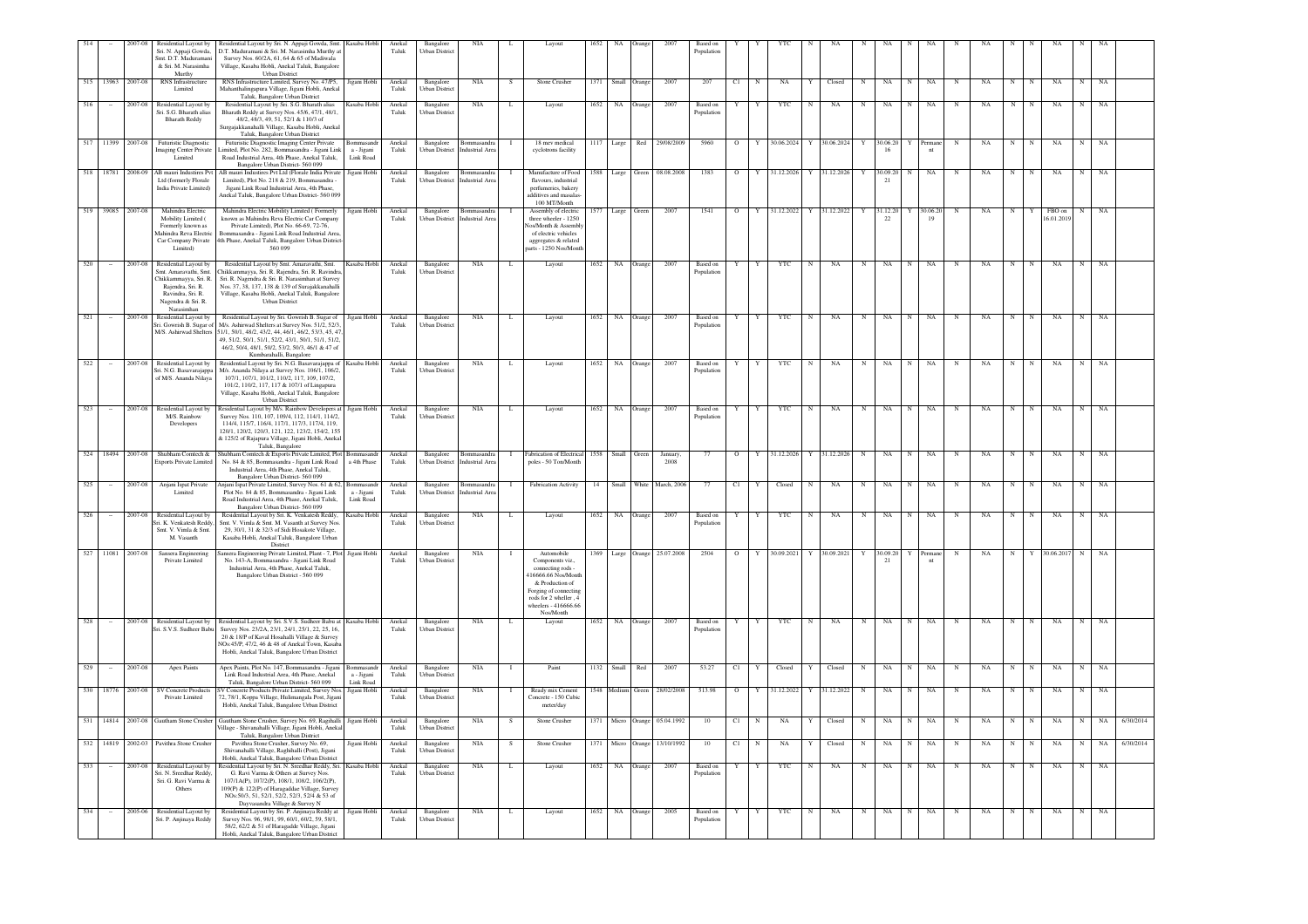|     |        | 2007-01           | Residential Layout by<br>Sri. N. Appaji Gowda.<br>Smt. D.T. Maduramani<br>& Sri. M. Narasimha<br>Murthy                                                   | Residential Layout by Sri. N. Appaji Gowda, Smt<br>D.T. Maduramani & Sri, M. Narasimha Murthy at<br>Survey Nos. 60/2A, 61, 64 & 65 of Madiwala<br>Village, Kasaba Hobli, Anekal Taluk, Bangalore<br><b>Urban District</b>                                                                         | Casaba Hobl                          | Anekal<br>Taluk | <b>Urban District</b>              | NIA                                   |              | Layor                                                                                                                                                                              | 1652 | NA           |              |                 | Population                    |          |   |            |              |             |            |                    |            |              |              |           |            |   |                      |              |             |           |
|-----|--------|-------------------|-----------------------------------------------------------------------------------------------------------------------------------------------------------|---------------------------------------------------------------------------------------------------------------------------------------------------------------------------------------------------------------------------------------------------------------------------------------------------|--------------------------------------|-----------------|------------------------------------|---------------------------------------|--------------|------------------------------------------------------------------------------------------------------------------------------------------------------------------------------------|------|--------------|--------------|-----------------|-------------------------------|----------|---|------------|--------------|-------------|------------|--------------------|------------|--------------|--------------|-----------|------------|---|----------------------|--------------|-------------|-----------|
| 515 | 13963  | 2007-08           | RNS Infrastructure<br>Limited                                                                                                                             | RNS Infrastructure Limited, Survey No. 47/P5,<br>Mahanthalingapura Village, Jigani Hobli, Anekal                                                                                                                                                                                                  | Jigani Hobli                         | Anckal<br>Taluk | Bangalore<br><b>Urban Distric</b>  | <b>NIA</b>                            |              | Stone Crushe                                                                                                                                                                       | 1371 | Small        |              | 2007            | 20                            |          |   | NA         |              | Close       |            |                    |            |              |              |           |            |   |                      |              |             |           |
| 516 |        | 2007-08           | Residential Layout by<br>Sri. S.G. Bharath alias<br><b>Bharath Reddy</b>                                                                                  | Taluk, Bangalore Urban District<br>Residential Layout by Sri, S.G. Bharath alias<br>Bharath Reddy at Survey Nos. 45/6, 47/1, 48/1,<br>48/2, 48/3, 49, 51, 52/1 & 110/3 of<br>Surgajakkanahalli Village, Kasaba Hobli, Anekal<br>Taluk, Bangalore Urban District                                   | asaba Hobl                           | Anekal<br>Taluk | Bangalore<br><b>Urban Distric</b>  | <b>NIA</b>                            |              | Layout                                                                                                                                                                             | 1652 | <b>NA</b>    | <b>Drans</b> | 2007            | Based on<br>Population        |          |   | YTC        |              | NA          |            | <b>NA</b>          |            | NA           |              | NA        | N          |   |                      |              |             |           |
|     |        | 517 11399 2007-08 | Futuristic Diagnostic<br><b>Imaging Center Private</b><br>Limited                                                                                         | Futuristic Diagnostic Imaging Center Private<br>imited, Plot No. 282, Bommasandra - Jigani Link<br>Road Industrial Area, 4th Phase, Anekal Taluk,<br>Bangalore Urban District-560 099                                                                                                             | a - Jigani<br>Link Road              | Anekal<br>Taluk | Bangalore<br><b>Urban District</b> | <b>Bommasandr</b><br>ndustrial Are    |              | 18 mev medical<br>cyclotrons facility                                                                                                                                              |      | $1117$ Large | Red          | 29/08/2009      | 5960                          | $\circ$  |   | 30.06.2024 | $\mathbf{Y}$ | 30.06.2024  |            | 30.06.20<br>16     |            | erma<br>nt   | N            | NA        | N          | N | NA                   | $_{\rm N}$   | $_{\rm NA}$ |           |
| 518 | 18781  | 2008-09           | AB mauri Industires Pv<br>Ltd (formerly Florale<br>India Private Limited)                                                                                 | AB mauri Industires Pyt Ltd (Florale India Private<br>Limited), Plot No. 218 & 219, Bommasandra -<br>Jigani Link Road Industrial Area, 4th Phase<br>Anekal Taluk, Bangalore Urban District- 560 099                                                                                               | Jigani Hobli                         | Anekal<br>Taluk | Bangalore<br>Urban Distric         | <b>Bommasandra</b><br>ndustrial Are   |              | Manufacture of Food<br>flavours, industrial<br>perfumeries, bakery<br>additives and masala<br>$100$ MT/Month                                                                       | 1588 | Large        | Green        | 08.08.200       | 1383                          | $\circ$  |   | 31.12.2026 |              | 31.12.2026  |            | 0.09.20<br>21      |            | $_{\rm NA}$  | N            | NA        | N          | N | NA                   | N            | NA          |           |
| 519 | 39085  | 2007-08           | Mahindra Electric<br>Mobility Limited (<br>Formerly known as<br>Mahindra Reva Electric<br>Car Company Private<br>Limited)                                 | Mahindra Electric Mobility Limited (Formerly<br>known as Mahindra Reva Electric Car Company<br>Private Limited), Plot No. 66-69, 72-76,<br>nmasandra - Jigani Link Road Industrial Area<br>4th Phase, Anekal Taluk, Bangalore Urban Distric<br>560 099                                            | Jigani Hobli                         | Anekal<br>Taluk | Bangalore<br><b>Urban District</b> | <b>Rommasandr</b><br>ndustrial Are    |              | Assembly of electric<br>three wheeler - 1250<br>los/Month & Assembl<br>of electric vehicles<br>aggregates & related<br>arts - 1250 Nos/Mont                                        | 1577 | Large        | Green        | 2007            | 1541                          | $\Omega$ |   | 31.12.2022 |              | 1.12.202    |            | 31.12.20<br>$22\,$ |            | 0.06.2<br>19 |              | NA        |            |   | FBO on<br>16.01.2019 |              | NA          |           |
| 520 |        |                   | 2007-08 Residential Lavout by<br>Smt. Amaravathi, Smt<br>Chikkammayya, Sri. R.<br>Rajendra, Sri. R.<br>Ravindra Sri R<br>Nagendra & Sri. R.<br>Narasimhan | Residential Lavout by Smt. Amaravathi, Smt.<br>hikkammayya, Sri. R. Rajendra, Sri. R. Ravindra<br>Sri. R. Nagendra & Sri. R. Narasimhan at Survey<br>Nos. 37, 38, 137, 138 & 139 of Surajakkanahalli<br>Village, Kasaba Hobli, Anekal Taluk, Bangalore<br><b>Urban District</b>                   | Kasaba Hobli                         | Anekal<br>Taluk | Bangalore<br>Urban District        | NIA                                   | L            | Layout                                                                                                                                                                             | 1652 | NA           | Orang        | 2007            | Based on<br>Populatio         |          |   | YTC        |              | <b>NA</b>   | N          | NA                 | N          | NA           |              | NA        | N          | N | NA                   |              | NA          |           |
| 521 |        | 2007-08           | Residential Layout by<br>Sri. Gowrish B. Sugar of<br>M/S. Ashirwad Shelters                                                                               | Residential Layout by Sri. Gowrish B. Sugar of<br>M/s. Ashirwad Shelters at Survey Nos. 51/2, 52/3,<br>51/1, 50/1, 48/2, 43/2, 44, 46/1, 46/2, 53/3, 45, 47<br>49, 51/2, 50/1, 51/1, 52/2, 43/1, 50/1, 51/1, 51/2,<br>46/2, 50/4, 48/1, 50/2, 53/2, 50/3, 46/1 & 47 of<br>Kumbarahalli, Bangalore | Jigani Hobli                         | Anekal<br>Taluk | Bangalore<br><b>Urban Distric</b>  | <b>NIA</b>                            |              | Layout                                                                                                                                                                             | 1652 | <b>NA</b>    | <b>Orang</b> | 2007            | Based on<br>Population        |          |   | YTC        |              | NA          |            | <b>NA</b>          |            | NA           |              | NA        |            |   |                      |              | NA          |           |
| 522 | $\sim$ |                   | 2007-08 Residential Lavout by<br>Sri. N.G. Basavarajappa<br>of M/S. Ananda Nilava                                                                         | Residential Layout by Sri. N.G. Basavarajappa of M/s. Ananda Nilaya at Survey Nos. 106/1, 106/2,<br>107/1, 107/1, 101/2, 110/2, 117, 109, 107/2,<br>101/2, 110/2, 117, 117 & 107/1 of Lingapura<br>Village, Kasaba Hobli, Anekal Taluk, Bangalore<br><b>Urban District</b>                        | Kasaba Hobli                         | Anekal<br>Taluk | Bangalore<br><b>Urban District</b> | <b>NIA</b>                            | $\mathbf{L}$ | Layout                                                                                                                                                                             | 1652 |              | NA Orange    | 2007            | Based on<br>Population        |          |   | <b>YTC</b> | N            | NA          | N          | NA                 | $_{\rm N}$ | NA           | N            | NA        | $_{\rm N}$ | N | <b>NA</b>            | $\mathbb{N}$ | NA          |           |
| 523 | $\sim$ | 2007-08           | Residential Layout by<br>M/S. Rainbow<br>Developers                                                                                                       | Residential Lavout by M/s. Rainbow Developers at<br>Survey Nos. 110, 107, 109/4, 112, 114/1, 114/2.<br>114/4, 115/7, 116/4, 117/1, 117/3, 117/4, 119,<br>120/1, 120/2, 120/3, 121, 122, 123/2, 154/2, 155<br>& 125/2 of Rajapura Village, Jigani Hobli, Anekal<br>Taluk, Bangalore                | Jigani Hobli                         | Anekal<br>Taluk | Bangalore<br><b>Urban District</b> | <b>NIA</b>                            | $\mathbf{L}$ | Layout                                                                                                                                                                             | 1652 | NA           | Orang        | 2007            | Based on<br>Population        |          |   | YTC        |              | NA          | N          | NA                 |            | NA           | N            | NA        | N          | N | <b>NA</b>            | N            | NA          |           |
| 524 |        | 18494 2007-08     | Shubham Comtech &<br><b>Exports Private Limited</b>                                                                                                       | Shubham Comtech & Exports Private Limited, Plo<br>No. 84 & 85 Bommasandra - Jigani Link Road<br>Industrial Area, 4th Phase, Anekal Taluk,<br>Bangalore Urban District-560 099                                                                                                                     | a 4th Phase                          | Anekal<br>Taluk | Bangalore<br><b>Urban District</b> | Bommasandra<br><b>Industrial Area</b> |              | Fabrication of Electrical<br>poles - 50 Ton/Month                                                                                                                                  | 1558 | Small        |              | January<br>2008 |                               |          |   | 31.12.2026 |              | 31.12.2026  |            |                    |            |              |              |           |            |   |                      |              |             |           |
| 525 |        | 2007-08           | Anjani Ispat Private<br>Limited                                                                                                                           | Anjani Ispat Private Limited, Survey Nos. 61 & 62<br>Plot No. 84 & 85, Bommasandra - Jigani Link<br>Road Industrial Area, 4th Phase, Anekal Taluk,<br>Bangalore Urban District-560 099                                                                                                            | Bommasand<br>a - Jigani<br>Link Road | Anekal<br>Taluk | Bangalore<br><b>Urban Distric</b>  | Bommasandra<br>ndustrial Are          |              | <b>Fabrication Activity</b>                                                                                                                                                        | 14   | Small        | White        | March, 2006     | 77                            | C1       |   | Closed     |              | NA          | N          | NA                 |            | NA           | N            | NA        | N          |   | NA                   |              | $_{\rm NA}$ |           |
| 526 |        | 2007-08           | Residential Layout by<br>Sri. K. Venkatesh Redd<br>Smt. V. Vimla & Smt.<br>M. Vasanth                                                                     | Residential Lavout by Sri. K. Venkatesh Reddy,<br>Smt. V. Vimla & Smt. M. Vasanth at Survey Nos<br>29, 30/1, 31 & 32/3 of Sidi Hosakote Village.<br>Kasaba Hobli, Anekal Taluk, Bangalore Urban<br>District                                                                                       | Kasaba Hobl                          | Anekal<br>Taluk | Bangalore<br><b>Urban Distric</b>  | <b>NIA</b>                            | L            | Layout                                                                                                                                                                             | 1652 | NA           | Orang        | 2007            | Based on<br>Population        |          | Y | YTC        | N            | NA          | N          | NA                 | N          | NA           | N            | <b>NA</b> | N          | N | <b>NA</b>            | N            | NA          |           |
| 527 | 11081  | 2007-08           | Sansera Engineering<br>Private Limited                                                                                                                    | ansera Engineering Private Limited, Plant - 7, Plo<br>No. 143-A, Bommasandra - Jigani Link Road<br>Industrial Area 4th Phase Anekal Taluk<br>Bangalore Urban District - 560 099                                                                                                                   | igani Hobli                          | Anekal<br>Taluk | Bangalon<br><b>Urban Distric</b>   | <b>NIA</b>                            |              | Automobile<br>Components viz.,<br>connecting rods -<br>116666.66 Nos/Mont<br>& Production of<br>Forging of connecting<br>rods for 2 wheller 4<br>wheelers - 416666.66<br>Nos/Month | 1369 | Large        | Orange       | 25.07.2008      | 2504                          | $\Omega$ |   | 30.09.2021 |              | 30.09.202   |            | 30.09.20<br>21     |            | nt           |              | NA        | N          |   | 30.06.201            |              | NA          |           |
| 528 |        | 2007-08           | Residential Layout by<br>Sri, S.V.S. Sudheer Bab                                                                                                          | Residential Layout by Sri. S.V.S. Sudheer Babu at<br>Survey Nos. 23/2A, 23/1, 24/1, 25/1, 22, 25, 16.<br>20 & 18/P of Kaval Hosahalli Village & Survey<br>NOs:45/P, 47/2, 46 & 48 of Anekal Town, Kasab<br>Hobli, Anekal Taluk, Bangalore Urban District                                          | Kasaba Hobli                         | Anekal<br>Taluk | Bangalore<br><b>Urban District</b> | <b>NIA</b>                            | $\mathbf{L}$ | Layout                                                                                                                                                                             | 1652 | NA           | Orang        | 2007            | Based on<br>Population        |          | Y | <b>YTC</b> | N            | NA          | N          | NA                 | N          | <b>NA</b>    | $\mathbb{N}$ | <b>NA</b> | $_{\rm N}$ | N | <b>NA</b>            | N            | NA          |           |
|     |        | 2007-08           | <b>Apex Paints</b>                                                                                                                                        | Apex Paints, Plot No. 147, Bommasandra - Jigani<br>Link Road Industrial Area 4th Phase Anekal<br>Taluk, Bangalore Urban District- 560 099                                                                                                                                                         | a - Iigani<br>Link Road              | Anekal<br>Taluk | Bangalore<br><b>Urban District</b> | $_{\rm NIA}$                          |              | Paint                                                                                                                                                                              | 1132 | Small        | Red          | 2007            | 53.2                          |          |   | Closed     |              | Closed      |            |                    |            | NA           |              | NA        |            |   |                      |              |             |           |
| 530 |        | 18776 2007-08     | <b>SV Concrete Products</b><br>Private Limited                                                                                                            | V Concrete Products Private Limited, Survey Nos.<br>72, 78/1, Koppa Village, Hulimangala Post, Jigani<br>Hobli, Anekal Taluk, Bangalore Urban District                                                                                                                                            | Jigani Hobli                         | Anekal<br>Taluk | Bangalore<br>Urban Distric         | <b>NIA</b>                            |              | Ready mix Cement<br>Concrete - 150 Cubic<br>meter/day                                                                                                                              | 1548 | Mediu        | Green        | 28/02/2008      | 513.98                        | О        |   | 1.12.2022  |              | 31.12.2022  |            | NA                 |            | NA           |              | NA        |            |   |                      |              |             |           |
| 531 |        |                   | 14814 2007-08 Gautham Stone Crusher                                                                                                                       | Gautham Stone Crusher, Survey No. 69, Ragihalli<br>Village - Shivanahalli Village, Jigani Hobli, Aneka<br>Taluk, Bangalore Urban District                                                                                                                                                         | Jigani Hobli                         | Anekal<br>Taluk | Bangalore<br><b>Urban District</b> | <b>NIA</b>                            |              | Stone Crusher                                                                                                                                                                      | 1371 | Micro        | Orang        | 05.04.1992      | 10                            | C1       | N | NA         |              | Closed      |            | $_{\rm NA}$        |            | NA           |              | NA        |            |   | NA                   |              | NA          | 6/30/2014 |
| 532 | 14819  |                   | 2002-03 Pavithra Stone Crusher                                                                                                                            | Pavithra Stone Crusher, Survey No. 69,<br>Shivanahalli Village, Raghihalli (Post), Jigani<br>Hobli, Anekal Taluk, Bangalore Urban District                                                                                                                                                        | Jigani Hobli                         | Anekal<br>Taluk | Bangalore<br>Urban Distric         | <b>NIA</b>                            |              | Stone Crusher                                                                                                                                                                      | 1371 | Micro        | Orang        | 13/10/1992      | 10                            | C1       | N | NA         |              | Closed      | N          | NA                 |            | NA           |              | NA        | N          |   | <b>NA</b>            |              | NA          | 6/30/2014 |
| 533 |        | 2007-08           | Residential Layout by<br>Sri. N. Sreedhar Reddy<br>Sri. G. Ravi Varma &<br>Others                                                                         | tesidential Layout by Sri. N. Sreedhar Reddy, Sri.<br>G. Ravi Varma & Others at Survey Nos.<br>107/1A(P), 107/2(P), 108/1, 108/2, 106/2(P),<br>109(P) & 122(P) of Haragaddae Village, Survey<br>NOs:50/3, 51, 52/1, 52/2, 52/3, 52/4 & 53 of<br>Dayvasandra Village & Survey N                    | Kasaba Hobl                          | Anekal<br>Taluk | Bangalore<br><b>Urban District</b> | <b>NIA</b>                            | L            | Layout                                                                                                                                                                             | 1652 | $_{\rm NA}$  | Orang        | 2007            | <b>Based</b> on<br>Population |          |   | YTC        |              | $_{\rm NA}$ | $_{\rm N}$ | $_{\rm NA}$        | $_{\rm N}$ | $_{\rm NA}$  | N            | NA        | $_{\rm N}$ | N | $_{\rm NA}$          | $_{\rm N}$   | $_{\rm NA}$ |           |
| 534 |        | 2005-06           | Residential Layout by<br>Sri. P. Anjinaya Reddy                                                                                                           | esidential Layout by Sri. P. Anjinaya Reddy at<br>Survey Nos. 96, 98/1, 99, 60/1, 60/2, 59, 58/1.<br>58/2, 62/2 & 51 of Haragadde Village, Jigani<br>Hobli, Anekal Taluk, Bangalore Urban District                                                                                                | Jigani Hobli                         | Anckal<br>Taluk | Bangalore<br><b>Urban Distric</b>  | <b>NIA</b>                            |              | Layou                                                                                                                                                                              | 1652 |              | NA Orange    | 2005            | Based or<br>Population        |          |   | YTC        |              | NA          |            | NA                 |            | NA           |              | NA        |            |   | NA                   |              | NA          |           |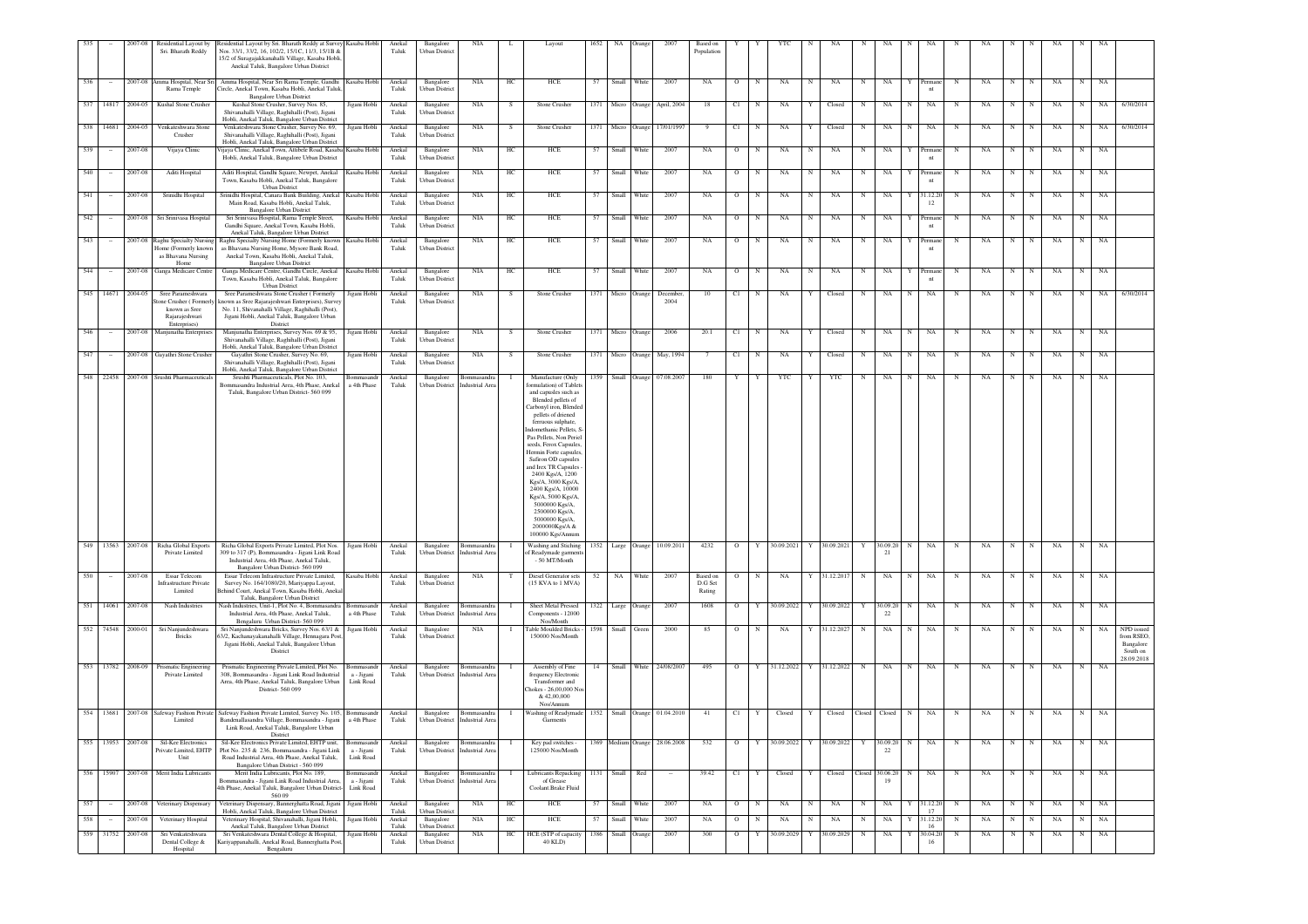|     |           | 2007-08           | Residential Lavout by<br>Sri. Bharath Reddy                              | Residential Layout by Sri. Bharath Reddy at Survey Kasaba Hobli<br>Nos. 33/1, 33/2, 16, 102/2, 15/1C, 11/3, 15/1B &<br>15/2 of Suragajakkanahalli Village, Kasaba Hobli,<br>Anekal Taluk, Bangalore Urban District                          |                                             | Anckal<br>Taluk                    | Bangalore<br><b>Urban Distric</b>                                       | <b>NIA</b>                                   |         | Layout                                                                                                                                                                                                                                                                                                                                                      | 1652 | NA<br>Orango                           | 2007                      | <b>Based</b> on<br>Population        |               |   |             |   |                  |                 |                |                |                 |                 |             |            |   |           |            |             |                                                   |
|-----|-----------|-------------------|--------------------------------------------------------------------------|---------------------------------------------------------------------------------------------------------------------------------------------------------------------------------------------------------------------------------------------|---------------------------------------------|------------------------------------|-------------------------------------------------------------------------|----------------------------------------------|---------|-------------------------------------------------------------------------------------------------------------------------------------------------------------------------------------------------------------------------------------------------------------------------------------------------------------------------------------------------------------|------|----------------------------------------|---------------------------|--------------------------------------|---------------|---|-------------|---|------------------|-----------------|----------------|----------------|-----------------|-----------------|-------------|------------|---|-----------|------------|-------------|---------------------------------------------------|
| 536 | $\sim$    |                   | 2007-08 Amma Hospital, Near St<br>Rama Temple                            | Amma Hospital, Near Sri Rama Temple, Gandhi<br>Circle, Anekal Town, Kasaba Hobli, Anekal Taluk<br><b>Bangalore Urban District</b>                                                                                                           | Kasaba Hobli                                | Anekal<br>Taluk                    | Bangalore<br><b>Urban District</b>                                      | NIA                                          | HC      | HCE                                                                                                                                                                                                                                                                                                                                                         |      | 57 Small White                         | 2007                      | NA                                   | $\circ$       | N | NA          | N | NA               | N               | NA             | Y              | Permane         | N               | NA          | N          | N | NA        | $_{\rm N}$ | NA          |                                                   |
|     | 538 14681 | 2004-05           | 537 14817 2004-05 Kushal Stone Crusher<br>Venkateshwara Stone<br>Crusher | Kushal Stone Crusher, Survey Nos. 85.<br>Shivanahalli Village, Raghihalli (Post), Jigani<br>Hobli, Anekal Taluk, Bangalore Urban District<br>Venkateshwara Stone Crusher, Survey No. 69,<br>Shiyanahalli Village, Raghihalli (Post), Jigani | Jigani Hobli<br>Jigani Hobli                | Anckal<br>Taluk<br>Anekal<br>Taluk | Bangalore<br><b>Urban District</b><br>Bangalore<br><b>Urban Distric</b> | NIA<br>NIA                                   | -S<br>s | Stone Crusher<br>Stone Crusher                                                                                                                                                                                                                                                                                                                              |      | 1371 Micro Orange<br>1371 Micro Orange | April, 2004<br>17/01/1997 | 18                                   | C1<br>C1      | N | NA<br>NA    |   | Closed<br>Closed | N<br>N          | NA<br>NA       | N              | NA<br>NA        | N<br>N          | NA<br>NA    | N<br>N     | N | NA<br>NA  | N          | NA<br>NA    | 6/30/2014<br>6/30/2014                            |
| 539 |           | 2007-08           | Vijaya Clinic                                                            | Hobli, Anekal Taluk, Bangalore Urban District<br>'ijaya Clinic, Anekal Town, Attibele Road, Kasaba<br>Hobli, Anekal Taluk, Bangalore Urban District                                                                                         | Kasaba Hobl                                 | Anekal<br>Taluk                    | Bangalore<br><b>Urban District</b>                                      | NIA                                          | HC      | HCE                                                                                                                                                                                                                                                                                                                                                         | 57   | Small<br>White                         | 2007                      | NA                                   | $\circ$       |   | NA          |   | NA               |                 | NA             |                | ermar<br>nt     | N               | NA          | N          |   | NA        |            | NA          |                                                   |
| 540 |           | 2007-08           | Aditi Hospital                                                           | Aditi Hospital, Gandhi Square, Newpet, Anekal<br>Town, Kasaba Hobli, Anekal Taluk, Bangalore                                                                                                                                                | Kasaba Hobli                                | Anekal<br>Taluk                    | Bangalore<br><b>Urban District</b>                                      | NIA                                          | HC      | HCE                                                                                                                                                                                                                                                                                                                                                         | 57   | Small White                            | 2007                      | NA                                   | $\circ$       | N | NA          | N | NA               | N               | $_{\rm NA}$    | $\overline{Y}$ | Perman<br>nt    | N               | NA          | N          | N | NA        | N          | NA          |                                                   |
| 541 |           | 2007-08           | Srinidhi Hospital                                                        | <b>Urban District</b><br>Srinidhi Hospital, Canara Bank Building, Anekal<br>Main Road, Kasaba Hobli, Anekal Taluk,                                                                                                                          | Kasaba Hobli                                | Anekal<br>Taluk                    | Bangalore<br><b>Urban District</b>                                      | NIA                                          | HC      | HCE                                                                                                                                                                                                                                                                                                                                                         |      | 57 Small White                         | 2007                      | NA                                   | $\circ$       | N | NA          | N | NA               | N               | NA             | v              | 31.12.20<br>12  | N               | NA          | $_{\rm N}$ | N | NA        | N          | NA          |                                                   |
| 542 | $\sim$    |                   | 2007-08 Sri Sriniyasa Hospital                                           | <b>Bangalore Urban District</b><br>Sri Srinivasa Hospital, Rama Temple Street,<br>Gandhi Square, Anekal Town, Kasaba Hobli,                                                                                                                 | Kasaba Hobli                                | Anckal<br>Taluk                    | Bangalore<br><b>Urban District</b>                                      | <b>NIA</b>                                   | HC      | HCE                                                                                                                                                                                                                                                                                                                                                         |      | 57 Small White                         | 2007                      | NA                                   | $\Omega$      | N | <b>NA</b>   | N | <b>NA</b>        | N               | <b>NA</b>      |                | Y Permane<br>nt | N               | <b>NA</b>   | N          | N | <b>NA</b> | $_{\rm N}$ | NA          |                                                   |
| 543 |           |                   | 2007-08 Raghu Specialty Nursing<br>Home (Formerly knowr                  | Anekal Taluk, Bangalore Urban District<br>Raghu Specialty Nursing Home (Formerly known<br>as Bhavana Nursing Home, Mysore Bank Road,                                                                                                        | Kasaba Hobli                                | Anekal<br>Taluk                    | Bangalore<br><b>Urban District</b>                                      | <b>NIA</b>                                   | HC      | HCE                                                                                                                                                                                                                                                                                                                                                         | 57   | Small<br>White                         | 2007                      | $_{\rm NA}$                          | $\mathcal{O}$ | N | $_{\rm NA}$ | N | $_{\rm NA}$      | N               | NA             |                | Perman<br>nt    | N               | NA          | $_{\rm N}$ | N | NA        | N          | $_{\rm NA}$ |                                                   |
| 544 |           |                   | as Bhavana Nursing<br>Home<br>2007-08 Ganga Medicare Centre              | Anekal Town, Kasaba Hobli, Anekal Taluk,<br><b>Bangalore Urban District</b><br>Ganga Medicare Centre, Gandhi Circle, Anekal                                                                                                                 | Kasaba Hobli                                | Anekal                             | Bangalore                                                               | NIA                                          | HC      | HCE                                                                                                                                                                                                                                                                                                                                                         | 57   | Small<br>White                         | 2007                      | NA                                   | $\circ$       | N | NA          |   | NA               | N               | NA             |                | Perman          |                 | $_{\rm NA}$ | N          | N | NA        |            | NA          |                                                   |
|     |           | 545 14671 2004-05 | Sree Parameshwara                                                        | Town, Kasaba Hobli, Anekal Taluk, Bangalore<br><b>Urban District</b><br>Sree Parameshwara Stone Crusher (Formerly                                                                                                                           | Jigani Hobli                                | Taluk<br>Anekal                    | <b>Urban District</b>                                                   | NIA                                          | s       | Stone Crusher                                                                                                                                                                                                                                                                                                                                               |      | 1371 Micro Orange                      | December,                 | 10                                   | C1            | N | NA          | Y | Closed           | N               | NA             | $\mathbb{N}$   | nt<br>NA        | N<br>$_{\rm N}$ | NA          | N          | N | NA        | $_{\rm N}$ | NA          | 6/30/2014                                         |
|     |           |                   | tone Crusher (Former<br>known as Sree<br>Rajarajeshwari<br>Enterprises)  | known as Sree Rajarajeshwari Enterprises), Survey<br>No. 11, Shivanahalli Village, Raghihalli (Post),<br>Jigani Hobli, Anekal Taluk, Bangalore Urban<br>District                                                                            |                                             | Taluk                              | Bangalore<br><b>Urban District</b>                                      |                                              |         |                                                                                                                                                                                                                                                                                                                                                             |      |                                        | 2004                      |                                      |               |   |             |   |                  |                 |                |                |                 |                 |             |            |   |           |            |             |                                                   |
| 546 | $\sim$    |                   | 2007-08 Manjunatha Enterprises                                           | Manjunatha Enterprises, Survey Nos. 69 & 95,<br>Shivanahalli Village, Raghihalli (Post), Jigani<br>Hobli, Anekal Taluk, Bangalore Urban District                                                                                            | Jigani Hobli                                | Anekal<br>Taluk                    | Bangalore<br><b>Urban District</b>                                      | <b>NIA</b>                                   |         | Stone Crusher                                                                                                                                                                                                                                                                                                                                               |      | 1371 Micro Orange                      | 2006                      | 20.1                                 | Cl            | N | NA          | Y | Closed           | N               | NA             | N              | NA              | N               | NA          | N          | N | NA.       | N          | NA          |                                                   |
| 547 |           |                   | 2007-08 Gayathri Stone Crusher                                           | Gayathri Stone Crusher, Survey No. 69,<br>Shivanahalli Village, Raghihalli (Post), Jigani<br>Hobli, Anekal Taluk, Bangalore Urban District                                                                                                  | Jigani Hobli                                | Anekal<br>Taluk                    | Bangalore<br><b>Urban District</b>                                      | <b>NIA</b>                                   |         | Stone Crusher                                                                                                                                                                                                                                                                                                                                               | 1371 | Micro<br>Orange                        | May, 1994                 |                                      | C1            |   | NA          |   | Closed           |                 | NA             |                | NA              | N               | NA          | N          |   | NA        |            | NA          |                                                   |
|     |           |                   | 548 22458 2007-08 Srushti Pharmaceutical                                 | Srushti Pharmaceuticals, Plot No. 103.<br>sommasandra Industrial Area, 4th Phase, Anekal<br>Taluk, Bangalore Urban District-560 099                                                                                                         | Bommasand<br>a 4th Phase                    | Anekal<br>Taluk                    | Bangalore<br><b>Urban District</b>                                      | Bommasandra<br>Industrial Area               |         | Manufacture (Only<br>formulation) of Tablet<br>and capusles such as<br>Blended pellets of<br>Carbonyl iron, Blended<br>pellets of driened                                                                                                                                                                                                                   |      | 1359 Small Orange 07.08.2007           |                           | 180                                  |               |   | YTC         |   | YTC              | N               | NA             | N              | NA              | N               | NA          | N          |   | NA        |            | NA          |                                                   |
|     |           |                   | 549 13563 2007-08 Richa Global Exports                                   | Richa Global Exports Private Limited, Plot Nos.                                                                                                                                                                                             | Jigani Hobli                                | Anekal                             |                                                                         | Bommasandra                                  |         | ferruous sulphate,<br>indomethanic Pellets, S<br>Pas Pellets, Non Periel<br>seeds, Ferox Capsules,<br>Hermin Forte capsules<br>Safiron OD capsules<br>and Irex TR Capsules<br>2400 Kgs/A, 1200<br>Kgs/A, 3000 Kgs/A,<br>2400 Kgs/A, 10000<br>Kgs/A, 5000 Kgs/A,<br>5000000 Kgs/A,<br>2500000 Kgs/A.<br>5000000 Kgs/A,<br>2000000Kgs/A &<br>100000 Kgs/Annum |      |                                        |                           | 4232                                 | $\circ$       | Y | 30.09.2021  |   | Y 30.09.2021 Y   |                 | 30.09.20 N     |                | NA              | $_{\rm N}$      | NA          | N          | N | NA        | N          | NA          |                                                   |
|     |           |                   | Private Limited                                                          | 309 to 317 (P), Bommasandra - Jigani Link Road<br>Industrial Area, 4th Phase, Anekal Taluk,<br>Bangalore Urban District- 560 099                                                                                                            |                                             | Taluk                              | Bangalore<br><b>Urban District</b>                                      | Industrial Area                              |         | Washing and Stiching   1352   Large   Orange   10.09.2011<br>of Readymade garment<br>- 50 MT/Month                                                                                                                                                                                                                                                          |      |                                        |                           |                                      |               |   |             |   |                  |                 | 21             |                |                 |                 |             |            |   |           |            |             |                                                   |
| 550 |           | 2007-08           | Essar Telecom<br><b>Infrastructure Private</b><br>Limited                | Essar Telecom Infrastructure Private Limited,<br>Survey No. 164/1080/20, Mariyappa Layout,<br>Behind Court, Anekal Town, Kasaba Hobli, Aneka<br>Taluk. Bangalore Urban District                                                             | Kasaba Hobli                                | Anekal<br>Taluk                    | Bangalore<br><b>Urban District</b>                                      | $_{\rm NIA}$                                 |         | Diesel Generator sets<br>(15 KVA to 1 MVA)                                                                                                                                                                                                                                                                                                                  | 52   | NA<br>White                            | 2007                      | <b>Based</b> on<br>D.G Set<br>Rating | $\circ$       | N | NA          |   | Y 31.12.2017     | $_{\rm N}$      | $_{\rm NA}$    | N              | $_{\rm NA}$     | N               | NA          | N          | N | NA        | $_{\rm N}$ | NA          |                                                   |
| 551 |           | 14061 2007-08     | Nash Industries                                                          | Nash Industries, Unit-1, Plot No. 4, Bommasandra<br>Industrial Area, 4th Phase, Anekal Taluk,<br>Bengaluru Urban District- 560 099                                                                                                          | <b>Bommasand</b><br>a 4th Phase             | Anekal<br>Taluk                    | Bangalore<br><b>Urban District</b>                                      | Bommasandra<br>ndustrial Area                |         | Sheet Metal Pressed<br>Components - 12000<br>Nos/Month                                                                                                                                                                                                                                                                                                      |      | 1322 Large<br>Orang                    | 2007                      | 1608                                 | $\circ$       |   | 30.09.2022  |   | 30.09.2022       |                 | 30.09.20<br>22 |                | NA              | N               | NA          | N          |   | NA        |            | NA          |                                                   |
|     |           |                   | 552 74548 2000-01 Sri Nanjundeshwara<br><b>Bricks</b>                    | Sri Nanjundeshwara Bricks, Survey Nos. 63/1 &<br>63/2, Kachanayakanahalli Village, Hennagara Post<br>Jigani Hobli, Anekal Taluk, Bangalore Urban<br>District                                                                                | Jigani Hobli                                | Anekal<br>Taluk                    | Bangalore<br><b>Urban District</b>                                      | NIA                                          |         | <b>Table Moulded Bricks</b><br>150000 Nos/Month                                                                                                                                                                                                                                                                                                             |      | 1598 Small Green                       | 2000                      | 85                                   | $\circ$       | N | NA          | Y | 31.12.2027       | N               | NA             | N              | NA              | N               | NA          | N          | N | NA        |            | NA          | NPD issued<br>from RSEO,<br>Bangalore<br>South on |
|     |           |                   | 553 13782 2008-09 Prismatic Engineering<br>Private Limited               | Prismatic Engineering Private Limited, Plot No.<br>308, Bommasandra - Jigani Link Road Industrial<br>Area, 4th Phase, Anekal Taluk, Bangalore Urban<br>District-560 099                                                                     | <b>Bommasand</b><br>a - Jigani<br>Link Road | Anekal<br>Taluk                    | Bangalore<br>Urban District                                             | Bommasandra<br><b>Industrial Area</b>        |         | Assembly of Fine<br>frequency Electronic<br>Transformer and<br>Thokes - 26,00,000 N<br>& 42,00,000<br>Nos/Annum                                                                                                                                                                                                                                             | 14   | Small White 24/08/2007                 |                           | 495                                  | $\circ$       |   | 31.12.2022  |   | Y 31.12.2022     | $_{\rm N}$      | NA             | $\mathbb{N}$   | NA              | $_{\rm N}$      | NA          | N          | N | NA        |            | NA          | 28.09.2018                                        |
|     |           |                   | Limited                                                                  | 554 13681 2007-08 Safeway Fashion Private Safeway Fashion Private Limited, Survey No. 105, Bommasandr<br>Bandenallasandra Village, Bommasandra - Jigani<br>Link Road, Anekal Taluk, Bangalore Urban<br>District                             | a 4th Phase                                 | Anekal<br>Taluk                    | Bangalore<br>Urban District                                             | Bommasandra<br><b>Industrial Area</b>        |         | Washing of Readymade 1352 Small Orange 01.04.2010<br>Garments                                                                                                                                                                                                                                                                                               |      |                                        |                           | 41                                   | C1            | Y | Closed      | Y | Closed Closed N  |                 |                |                | NA              | $_{\rm N}$      | NA          | N          | N | NA        | $_{\rm N}$ | NA          |                                                   |
|     |           | 555 13953 2007-08 | Sil-Kee Electronics<br>Private Limited, EHTP<br>Unit                     | Sil-Kee Electronics Private Limited, EHTP unit,<br>Plot No. 235 & 236, Bommasandra - Jigani Link<br>Road Industrial Area, 4th Phase, Anekal Taluk,<br>Bangalore Urban District - 560 099                                                    | Bommasandı<br>a - Jigani<br>Link Road       | Anekal<br>Taluk                    | Bangalore<br>Urban District                                             | <b>Bommasandra</b><br><b>Industrial Area</b> |         | Key pad switches -<br>125000 Nos/Month                                                                                                                                                                                                                                                                                                                      |      | 1369 Medium Orange 28.06.2008          |                           | 532                                  | $\circ$       |   | 30.09.2022  |   | Y 30.09.2022     |                 | 30.09.20<br>22 |                | NA              | N               | NA          | N          |   | NA        | N          | NA          |                                                   |
|     |           |                   | 556 15907 2007-08 Merit India Lubricants                                 | Merit India Lubricants, Plot No. 189<br>Bommasandra - Jigani Link Road Industrial Area,<br>4th Phase, Anekal Taluk, Bangalore Urban District-                                                                                               | Bommasandı<br>a - Jigani<br>Link Road       | Anekal<br>Taluk                    | Bangalore<br><b>Urban District</b>                                      | Bommasandra<br><b>Industrial Area</b>        |         | Lubricants Repacking 1131 Small Red<br>of Grease<br>Coolant.Brake Fluid                                                                                                                                                                                                                                                                                     |      |                                        |                           | 39.42                                | C1            |   | Closed      |   | Closed           | Closed 30.06.20 | 19             |                | NA              |                 | NA          |            |   | NA        |            | NA          |                                                   |
| 557 |           |                   | 2007-08 Veterinary Dispensary                                            | 560 09<br>Veterinary Dispensary, Bannerghatta Road, Jigani<br>Hobli, Anekal Taluk, Bangalore Urban District                                                                                                                                 | Jigani Hobli                                | Anckal<br>Taluk                    | Bangalore<br><b>Urban District</b>                                      | <b>NIA</b>                                   | HC      | HCE.                                                                                                                                                                                                                                                                                                                                                        | 57   | Small White                            | 2007                      | NA                                   | $\circ$       | N | NA          | N | NA               | N               | NA             |                | 31.12.20<br>17  | N               | NA          | N          | N | NA        | N          | <b>NA</b>   |                                                   |
| 558 |           | 2007-08           | Veterinary Hospital                                                      | Veterinary Hospital, Shivanahalli, Jigani Hobli,<br>Anekal Taluk, Bangalore Urban District                                                                                                                                                  | Jigani Hobli                                | Anckal<br>Taluk                    | Bangalore<br><b>Urban District</b>                                      | $_{\rm NIA}$                                 | HC      | HCE                                                                                                                                                                                                                                                                                                                                                         | 57   | Small<br>White                         | 2007                      | $_{\rm NA}$                          | $\circ$       | N | NA          | N | NA               | N               | $_{\rm NA}$    |                | 31.12.20<br>16  | N               | $_{\rm NA}$ | N          | N | NA        | N          | NA          |                                                   |
| 559 | 31752     | 2007-08           | Sri Venkateshwara<br>Dental College &<br>Hospital                        | Sri Venkateshwara Dental College & Hospital,<br>Kariyappanahalli, Anekal Road, Bannerghatta Post<br>Bengaluru                                                                                                                               | Jigani Hobli                                | Anekal<br>Taluk                    | Bangalore<br><b>Urban District</b>                                      | NIA                                          | HС      | HCE (STP of capacity<br>40 KLD)                                                                                                                                                                                                                                                                                                                             |      | 1386 Small Orange                      | 2007                      | 300                                  | $\circ$       | N | 30.09.2029  | Y | 30.09.2029       | N               | $_{\rm NA}$    | v              | 30.04.20<br>16  | N               | $_{\rm NA}$ | $_{\rm N}$ | N | NA        | N          | NA          |                                                   |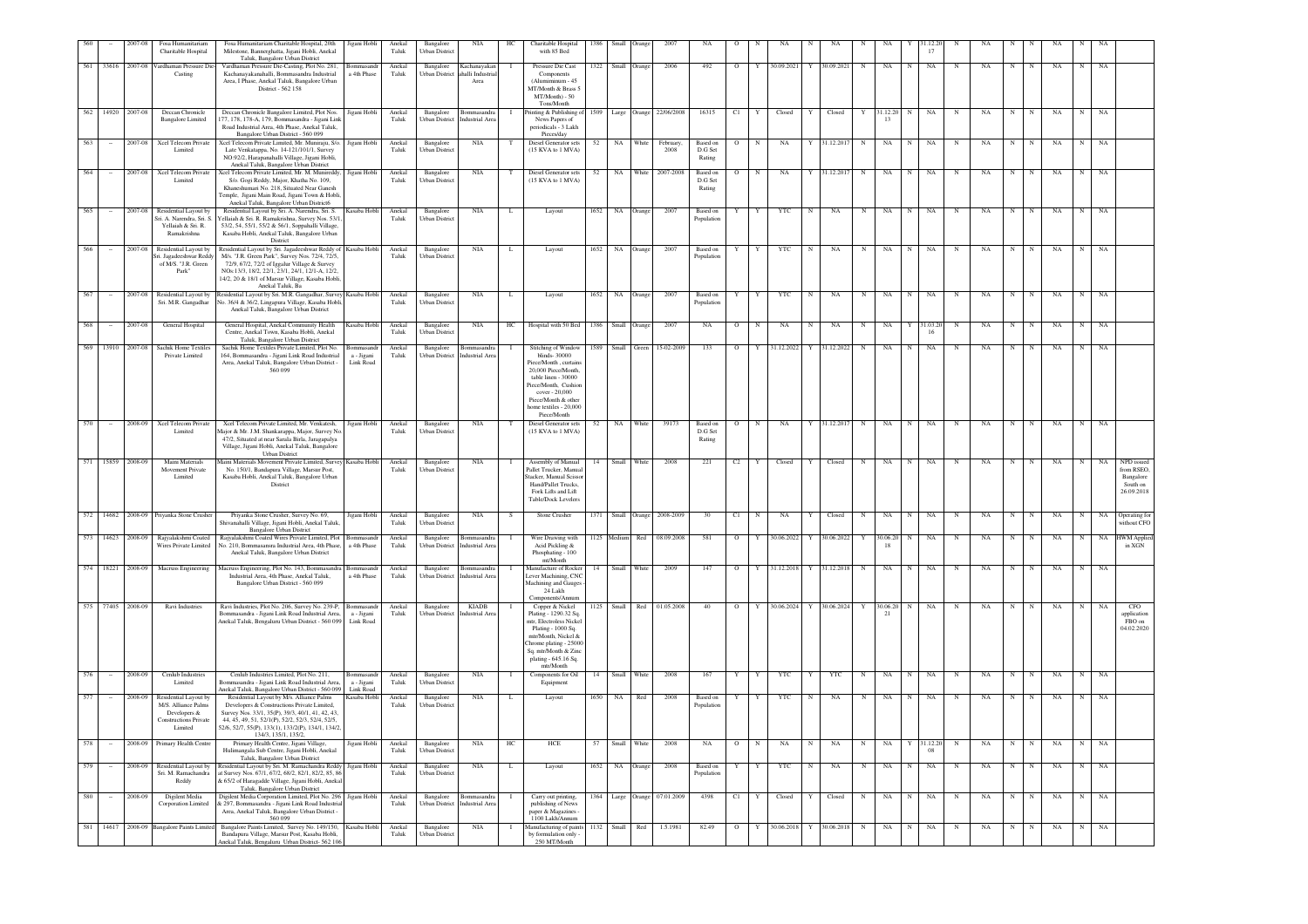|     |        | 2007-03       | Fosa Hu<br>Charitable Hospital                                                                          | Fosa Humanitariam Charitable Hospital 20th<br>Milestone, Bannerghatta, Jigani Hobli, Anekal<br>Taluk, Bangalore Urban District                                                                                                                                                | ligani Hobli                         | Anekal<br>Taluk          | Bangalon<br><b>Urban Distric</b>   | <b>NIA</b>                                   | HC           | Charitable Hospit<br>with 85 Bed                                                                                                                                                                                  | 1386            | Small           | <b>Oran</b>       | 2007             | NA                            | $\Omega$       |             | NA         |   | NA           |   | NA             |            | 12'<br>17      |            | NA          |            |   |             |            |             |                                                                |
|-----|--------|---------------|---------------------------------------------------------------------------------------------------------|-------------------------------------------------------------------------------------------------------------------------------------------------------------------------------------------------------------------------------------------------------------------------------|--------------------------------------|--------------------------|------------------------------------|----------------------------------------------|--------------|-------------------------------------------------------------------------------------------------------------------------------------------------------------------------------------------------------------------|-----------------|-----------------|-------------------|------------------|-------------------------------|----------------|-------------|------------|---|--------------|---|----------------|------------|----------------|------------|-------------|------------|---|-------------|------------|-------------|----------------------------------------------------------------|
| 561 | 33616  | 2007-08       | Vardhaman Pressure D<br>Casting                                                                         | Vardhaman Pressure Die-Casting, Plot No. 281,<br>Kachanayakanahalli, Bommasandra Industrial<br>Area, I Phase, Anekal Taluk, Bangalore Urban<br>District - 562 158                                                                                                             | a 4th Phase                          | Anekal<br>Taluk          | Bangalore<br><b>Urban District</b> | .<br>Gachanayakai<br>halli Industria<br>Area |              | Pressure Die Cast<br>$\label{subspace} \textbf{Components}$<br>(Alumiminum - 45<br>MT/Month & Brass <sup>4</sup><br>$MT/Month) - 50$<br>Tons/Month                                                                | 1322            | Small           | Orang             | 2006             | 492                           | $\overline{O}$ |             | 0.09.202   |   | 0.09.202     | N | NA             |            | NA             |            | NA          |            | N | NA          |            | NA          |                                                                |
| 562 | 14920  | 2007-08       | Deccan Chronicle<br><b>Bangalore</b> Limited                                                            | Deccan Chronicle Bangalore Limited, Plot Nos.<br>177, 178, 178-A, 179, Bommasandra - Jigani Link<br>Road Industrial Area 4th Phase Anekal Taluk<br>Bangalore Urban District - 560 099                                                                                         | Jigani Hobli                         | Anekal<br>Taluk          | Bangalore<br><b>Urban District</b> | Bommasandra<br>ndustrial Are                 |              | inting & Publishing of<br>News Papers of<br>periodicals - 3 Lakh<br>Pieces/day                                                                                                                                    | 1509            |                 | Large Orange      | 22/06/2008       | 16315                         | C1             | Y           | Closed     |   | Closed       | Y | 31.12.20<br>13 |            | $_{\rm NA}$    | N          | NA          | N          | N | NA          | N          | NA          |                                                                |
| 563 | $\sim$ | 2007-08       | Xcel Telecom Private<br>Limited                                                                         | Xcel Telecom Private Limited, Mr. Muniraiu, S/o.<br>Late Venkatappa, No. 14-121/101/1, Survey<br>NO:92/2, Harapanahalli Village, Jigani Hobli,<br>Anekal Taluk, Bangalore Urban District                                                                                      | Jigani Hobli                         | Anekal<br>Taluk          | Bangalore<br>Jrban Distric         | <b>NIA</b>                                   |              | <b>Diesel Generator sets</b><br>(15 KVA to 1 MVA)                                                                                                                                                                 | 52              | NA              | White             | February<br>2008 | Based on<br>D.G Set<br>Rating | $\circ$        | N           | <b>NA</b>  |   | 31.12.201    | N | NA             | N          | NA             | N          | NA          | N          | N | <b>NA</b>   | N          | NA          |                                                                |
| 564 |        | 2007-08       | Xcel Telecom Private<br>Limited                                                                         | Xcel Telecom Private Limited, Mr. M. Munireddy.<br>S/o. Gogi Reddy, Major, Khatha No. 109.<br>imari No. 218, Situated Near Ganesh<br>'emple, Jigani Main Road, Jigani Town & Hobli,<br>Anekal Taluk, Bangalore Urban District6                                                | Jigani Hobli                         | Anekal<br>Taluk          | Bangalore<br><b>Urban District</b> | <b>NIA</b>                                   |              | <b>Diesel Generator sets</b><br>(15 KVA to 1 MVA)                                                                                                                                                                 | 52              |                 | NA White          | 2007-2008        | Based on<br>D.G Set<br>Rating | $\Omega$       | $\mathbf N$ | NA         |   | 31.12.2017   | N | NA             | N          | NA             | N          | NA          | $_{\rm N}$ | N | NA          | $_{\rm N}$ | NA          |                                                                |
| 565 |        | 2007-08       | Residential Layout by<br>Sri A Narendra Sri S<br>Yellaiah & Sri, R.<br>Ramakrishna                      | Residential Lavout by Sri. A. Narendra, Sri. S.<br>Cellaiah & Sri R Ramakrishna Survey Nos 53/1<br>53/2, 54, 55/1, 55/2 & 56/1, Soppahalli Village,<br>Kasaba Hobli, Anekal Taluk, Bangalore Urban<br>District                                                                | Kasaba Hobl                          | Anekal<br>Taluk          | Bangalore<br><b>Urban District</b> | <b>NIA</b>                                   |              | Layout                                                                                                                                                                                                            | 1652            | NA              |                   | 2007             | Based or<br>Population        |                |             | YTO        |   | NA           |   |                |            |                |            | NA          |            |   |             |            |             |                                                                |
| 566 |        |               | 2007-08 Residential Layout by<br>Sri Jagadeeshwar Redd<br>of M/S. "J.R. Green<br>Park"                  | Residential Layout by Sri. Jagadeeshwar Reddy of<br>M/s. "J.R. Green Park", Survey Nos. 72/4, 72/5.<br>72/9, 67/2, 72/2 of Iggalur Village & Survey<br>NOs:13/3, 18/2, 22/1, 23/1, 24/1, 12/1-A, 12/2,<br>14/2, 20 & 18/1 of Marsur Village, Kasaba Hobli<br>Anekal Taluk, Ba | Kasaba Hobli                         | Anckal<br>Taluk          | Bangalore<br><b>Urban District</b> | <b>NIA</b>                                   |              | Layout                                                                                                                                                                                                            |                 | 1652 NA Orange  |                   | 2007             | Based or<br>Population        |                |             | YTC        |   | NA           |   | NA             |            | NA             |            | NA          | N          |   |             |            | NA          |                                                                |
| 567 |        | 2007-08       | Residential Layout by<br>Sri. M.R. Gangadhar                                                            | Residential Layout by Sri. M.R. Gangadhar, Survey<br>No. 36/4 & 36/2, Lingapura Village, Kasaba Hobli<br>Anekal Taluk, Bangalore Urban District                                                                                                                               | Kasaba Hobli                         | Anekal<br>Taluk          | Bangalor<br><b>Urban Distric</b>   | NIA                                          | L            | Layout                                                                                                                                                                                                            | 1652            | NA              | Orang             | 2007             | Based or<br>Populatio         |                |             | YTC        |   | NA           |   | NA             | $_{\rm N}$ | NA             | N          | NA          | $_{\rm N}$ |   | NA          | N          | NA          |                                                                |
| 568 |        | 2007-08       | General Hospital                                                                                        | General Hospital, Anekal Community Health<br>Centre, Anekal Town, Kasaba Hobli, Anekal<br>Taluk, Bangalore Urban District                                                                                                                                                     | Casaba Hobl                          | Anckal<br>Taluk          | Bangalore<br>Urban Distric         | <b>NIA</b>                                   | HC           | Hospital with 50 Bed                                                                                                                                                                                              | 1386            | Small           | <b>Drang</b>      | 2007             | NA                            |                |             | NA         |   | NA           | N | NA             |            | 1.03.2<br>16   |            | NA          |            |   | NA          |            | NA          |                                                                |
| 569 | 13910  | 2007-08       | Sachik Home Textiles<br>Private Limited                                                                 | Sachik Home Textiles Private Limited Plot No.<br>164. Bommasandra - Jigani Link Road Industrial<br>Area, Anekal Taluk, Bangalore Urban District -<br>560.099                                                                                                                  | a - Jigani<br>Link Road              | Anekal<br>Taluk          | Bangalore<br><b>Urban District</b> | Bommasandra<br>ndustrial Are                 |              | Stitching of Window<br>blinds-30000<br>Piece/Month, curtain<br>20,000 Piece/Month<br>table linen - 30000<br>Piece/Month, Cushio<br>cover - 20,000<br>Piece/Month & other<br>home textiles - 20,000<br>Piece/Month | 1589            | Small           | Green             | 15-02-2009       | 133                           | $\Omega$       |             | 31.12.2022 |   | 31.12.2022   | N | <b>NA</b>      | N          | NA.            |            | NA          | N          |   | <b>NA</b>   | N          | NA          |                                                                |
| 570 |        | 2008-09       | Xcel Telecom Private<br>Limited                                                                         | Xcel Telecom Private Limited, Mr. Venkatesh.<br>Major & Mr. J.M. Shankarappa, Major, Survey N<br>47/2, Situated at near Sarala Birla, Jaragapalya<br>Village, Jigani Hobli, Anekal Taluk, Bangalore<br><b>Urban District</b>                                                  | Jigani Hobli                         | Anekal<br>Taluk          | Bangalor<br><b>Urban Distric</b>   | <b>NIA</b>                                   |              | <b>Diesel Generator sets</b><br>(15 KVA to 1 MVA)                                                                                                                                                                 | 52              | NA              | White             | 39173            | Based o<br>D.G Set<br>Rating  |                | N           | <b>NA</b>  |   | 31.12.2017   | N | NA             | N          | NA             | N          | NA          | N          |   | NA          | N          | NA          |                                                                |
| 571 | 15859  | 2008-09       | Maini Materials<br>Movement Private<br>Limited                                                          | Iaini Materials Movement Private Limited, Surve<br>No. 150/1, Bandapura Village, Marsur Post,<br>Kasaba Hobli, Anekal Taluk, Bangalore Urban<br>District                                                                                                                      | saba Hobl                            | Anekal<br>Taluk          | Bangalore<br><b>Urban Distric</b>  | NIA                                          |              | Assembly of Manual<br>Pallet Trucker, Manua<br>Stacker Manual Scisso<br>Hand/Pallet Trucks.<br>Fork Lifts and Lift<br>Table/Dock Levelers                                                                         | 14              | Small           | Whit              | 2008             | 221                           | C <sub>2</sub> |             | Closed     |   | Closed       |   | NA             |            | NA             |            | NA          |            |   |             |            | NA          | NPD issue<br>from RSEO.<br>Bangalore<br>South on<br>26.09.2018 |
| 572 |        |               | 14682 2008-09 Priyanka Stone Crusher                                                                    | Priyanka Stone Crusher, Survey No. 69,<br>Shivanahalli Village, Jigani Hobli, Anekal Taluk<br><b>Bangalore Urban District</b>                                                                                                                                                 | Jigani Hobli                         | Anekal<br>Taluk          | Bangalor<br><b>Urban District</b>  | <b>NIA</b>                                   | s            | Stone Crusher                                                                                                                                                                                                     | 1371            | Small           | Orang             | 2008-2009        | 30                            | C1             | N           | NA         |   | Closed       | N | $_{\rm NA}$    | $_{\rm N}$ | NA             | N          | NA          | N          | N | NA          |            | $_{\rm NA}$ | Operating for<br>without CFC                                   |
| 573 | 14623  | 2008-09       | Rajyalakshmi Coated<br>Wires Private Limited                                                            | Rajyalakshmi Coated Wires Private Limited, Plot<br>No. 210, Bommasansra Industrial Area, 4th Phase,<br>Anekal Taluk, Bangalore Urban District                                                                                                                                 | Bommasandı<br>a 4th Phase            | Anekal<br>${\rm T}$ aluk | Bangalore<br>Urban Distric         | Bommasandra<br>ndustrial Are                 |              | Wire Drawing with<br>Acid Pickling $\&$<br>Phosphating - 100<br>mt/Month                                                                                                                                          |                 | 1125 Medium Red |                   | 08.09.2008       | 581                           | $\circ$        | Y           | 30.06.2022 | Y | 30.06.2022   | Y | 30.06.20<br>18 |            | NA             | $_{\rm N}$ | NA          | $_{\rm N}$ | N | NA          |            | NA          | <b>HWM</b> Applie<br>in XGN                                    |
| 574 |        | 18221 2008-09 | Macruss Engineering                                                                                     | Macruss Engineering, Plot No. 143, Bommasandra<br>Industrial Area, 4th Phase, Anekal Taluk,<br>Bangalore Urban District - 560 099                                                                                                                                             | Rommacandi<br>a 4th Phase            | Anekal<br>Taluk          | Bangalore<br><b>Urban Distric</b>  | Bommasandra<br>ndustrial Are                 |              | Manufacture of Rocker<br>Lever Machining, CN<br>Machining and Gauges<br>24 Lakh<br>Components/Ann                                                                                                                 | $\overline{14}$ | Small           | White             | 2009             | 147                           | $\Omega$       |             | 31.12.2018 |   | 31.12.2018   | N | NA             |            | NA             |            | NA          | N          |   | NA          |            | NA          |                                                                |
| 575 |        | 77405 2008-09 | Ravi Industries                                                                                         | Ravi Industries, Plot No. 206, Survey No. 239-P.<br>Bommasandra - Jigani Link Road Industrial Area.<br>Anekal Taluk, Bengaluru Urban District - 560 099                                                                                                                       | Bommasand<br>a - Jigani<br>Link Road | Anekal<br>Taluk          | Bangalore<br><b>Urban District</b> | KIADR<br>ndustrial An                        |              | Copper & Nickel<br>Plating - 1290.32 Sq<br>ntr, Electroless Nicke<br>Plating - 1000 Sq.<br>mtr/Month, Nickel &<br>Chrome plating - 25000<br>Sq. mtr/Month & Zinc<br>plating - 645.16 Sq.<br>mtr/Month             |                 | 1125 Small Red  |                   | 01 05 2008       | 40                            | $\Omega$       |             | 30.06.2024 |   | Y 30,06,2024 |   | 30.06.20<br>21 |            | NA.            | N          | NA          | N          | N | NA          |            | <b>NA</b>   | CFO.<br>application<br>FBO on<br>04.02.2020                    |
|     |        | $2008 - 0$    | <b>Cenlub Industries</b><br>Limited                                                                     | Cenlub Industries Limited, Plot No. 211,<br>ommasandra - Jigani Link Road Industrial Area<br>Anekal Taluk, Bangalore Urban District - 560 099                                                                                                                                 | sommasand<br>a - Jigani<br>Link Road | Anekal<br>Taluk          | Bangalore<br>Urban Distrio         | <b>NIA</b>                                   |              | Components for Oil<br>Equipment                                                                                                                                                                                   | 14              | Small           |                   | 2008             | 16                            |                |             | <b>YTC</b> |   | YTC          |   | NA             |            | NA             |            | NA          |            |   | NA          |            | NA          |                                                                |
| 577 |        | 2008-09       | Residential Layout by<br>M/S. Alliance Palms<br>Developers &<br><b>Constructions Private</b><br>Limited | Residential Layout by M/s. Alliance Palms<br>Developers & Constructions Private Limited.<br>Survey Nos. 33/1, 35(P), 39/3, 40/1, 41, 42, 43.<br>44, 45, 49, 51, 52/1(P), 52/2, 52/3, 52/4, 52/5,<br>52/6, 52/7, 55(P), 133(1), 133/2(P), 134/1, 134/2<br>134/3, 135/1, 135/2. | Casaba Hobl                          | Anekal<br>Taluk          | Bangalore<br><b>Urban Distric</b>  | <b>NIA</b>                                   | $\mathbf{L}$ | Layout                                                                                                                                                                                                            | 1650            | NA              | Red               | 2008             | Based on<br>Population        |                |             | <b>YTC</b> |   | <b>NA</b>    |   | NA             |            | NA             |            | <b>NA</b>   | N          |   | NA          |            | NA          |                                                                |
| 578 | $\sim$ |               | 2008-09 Primary Health Centre                                                                           | Primary Health Centre, Jigani Village,<br>Hulimangala Sub Centre, Jigani Hobli, Anekal<br>Taluk, Bangalore Urban District                                                                                                                                                     | Jigani Hobli                         | Anekal<br>Taluk          | Bangalore<br>Urban District        | <b>NIA</b>                                   | HC           | <b>HCF</b>                                                                                                                                                                                                        | 57              | Small White     |                   | 2008             | NA                            | $\Omega$       | $\mathbf N$ | <b>NA</b>  |   | NA           | N | NA             | Y          | 31.12.20<br>08 | N          | NA          | $_{\rm N}$ | N | <b>NA</b>   | $_{\rm N}$ | NA          |                                                                |
| 579 |        | 2008-0        | Residential Layout by<br>Sri, M. Ramachandra<br>Reddy                                                   | Residential Layout by Sri. M. Ramachandra Reddy<br>at Survey Nos. 67/1, 67/2, 68/2, 82/1, 82/2, 85, 86<br>& 65/2 of Haragadde Village, Jigani Hobli, Aneka<br>Taluk, Bangalore Urban District                                                                                 | Jigani Hobl                          | Anekal<br>Taluk          | Bangalore<br><b>Urban District</b> | <b>NIA</b>                                   | L            | Layout                                                                                                                                                                                                            | 1652            | $_{\rm NA}$     | rans              | 2008             | Based on<br>Population        |                |             | <b>YTC</b> |   | NA           | N | $_{\rm NA}$    |            | $_{\rm NA}$    | N          | $_{\rm NA}$ | N          | N | $_{\rm NA}$ | N          | $_{\rm NA}$ |                                                                |
| 580 |        | 2008-09       | Digilent Media<br>Corporation Limited                                                                   | Digilent Media Corporation Limited, Plot No. 296<br>& 297, Bommasandra - Jigani Link Road Industria<br>Area, Anekal Taluk, Bangalore Urban District -<br>560.099                                                                                                              | Jigani Hobli                         | Anckal<br>Taluk          | Bangalore<br>Urban Distric         | Bommasandra<br>ndustrial Are                 |              | Carry out printing.<br>publishing of News<br>paper & Magazines<br>1100 Lakh/Annum                                                                                                                                 |                 |                 | 1364 Large Orange | 07.01.2009       | 4398                          | C1             | Y           | Closed     |   | Closed       | N | NA             | N          | NA             | N          | NA          | $_{\rm N}$ | N | <b>NA</b>   | N          | NA          |                                                                |
| 581 |        |               | 14617 2008-09 Bangalore Paints Limite                                                                   | Bangalore Paints Limited Survey No. 149/150<br>Bandapura Village, Marsur Post, Kasaba Hobli,<br>Anekal Taluk, Bengaluru Urban District-562 106                                                                                                                                | Kasaba Hobli                         | Anekal<br>Taluk          | Bangalore<br><b>Urban District</b> | <b>NIA</b>                                   |              | Manufacturing of paints<br>by formulation only<br>250 MT/Month                                                                                                                                                    | 1132            | Small           | Red               | 1.5.1981         | 82.49                         | $\Omega$       |             | 30.06.2018 |   | 30.06.2018   | N | <b>NA</b>      |            | NA             |            | NA          |            |   | NA          |            |             |                                                                |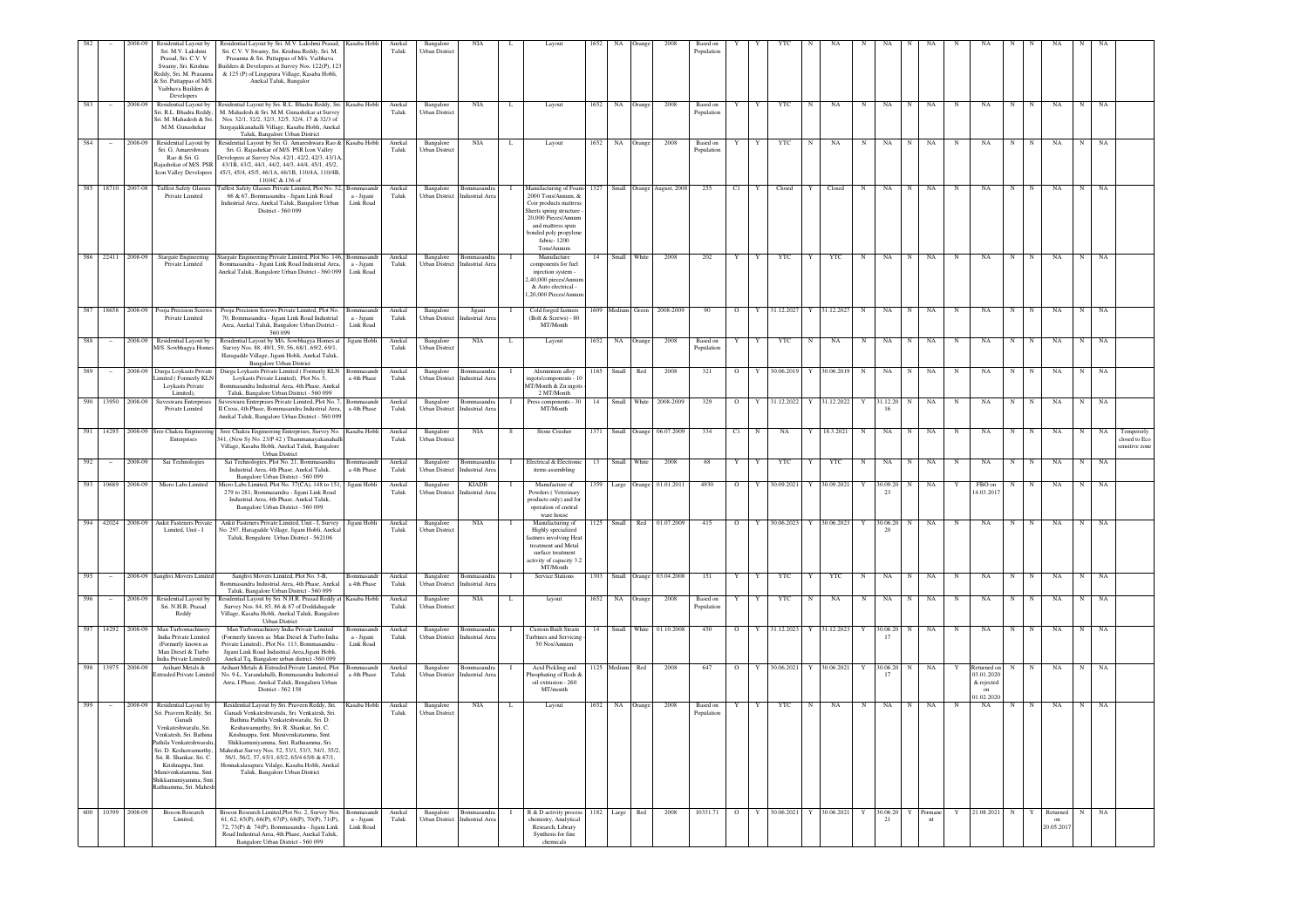|            |        | 2008-09       | Residential Layout by<br>Sri, M.V. Lakshmi<br>Prasad, Sri. C.V. V<br>Swamy, Sri. Krishna<br>Reddy, Sri, M. Prasann<br>& Sri Puttannas of M/S<br>Vaibhava Builders &<br>Developers                                                                                                     | Residential Layout by Sri. M.V. Lakshmi Prasad.<br>Sri, C.V. V Swamy, Sri, Krishna Reddy, Sri, M.<br>Prasanna & Sri. Puttappas of M/s. Vaibhava<br>uilders & Developers at Survey Nos. 122(P), 123<br>& 125 (P) of Lingapura Village, Kasaba Hobli,<br>Anekal Taluk, Bangalor                                                                                                                                                                                | Casaba Hobl                           | Anekal<br>Taluk           | Bangalon<br><b>Urban District</b>               | NIA                                           |   | Layo                                                                                                                                                                                            | 1652       | NA                |              |                     | Based or<br>Population |                     |   |                          |                           |   |                       |            |              |            |                                                            |            |            |                              |                |    |                                             |
|------------|--------|---------------|---------------------------------------------------------------------------------------------------------------------------------------------------------------------------------------------------------------------------------------------------------------------------------------|--------------------------------------------------------------------------------------------------------------------------------------------------------------------------------------------------------------------------------------------------------------------------------------------------------------------------------------------------------------------------------------------------------------------------------------------------------------|---------------------------------------|---------------------------|-------------------------------------------------|-----------------------------------------------|---|-------------------------------------------------------------------------------------------------------------------------------------------------------------------------------------------------|------------|-------------------|--------------|---------------------|------------------------|---------------------|---|--------------------------|---------------------------|---|-----------------------|------------|--------------|------------|------------------------------------------------------------|------------|------------|------------------------------|----------------|----|---------------------------------------------|
| 583        |        | 2008-09       | Residential Layout by<br>Sri. R.L. Bhadra Reddy.<br>Sri. M. Mahadesh & Sri<br>M M Gunashekar                                                                                                                                                                                          | Residential Layout by Sri. R.L. Bhadra Reddy, Sri.<br>M. Mahadesh & Sri. M.M. Gunashekar at Survey<br>Nos. 32/1, 32/2, 32/3, 32/5, 32/4, 17 & 32/3 of<br>Surgajakkanahalli Village, Kasaba Hobli, Anekal<br>Taluk, Bangalore Urban District                                                                                                                                                                                                                  | Kasaba Hobli                          | Anckal<br>Taluk           | Bangalore<br>Urban Distric                      | <b>NIA</b>                                    | L | Layout                                                                                                                                                                                          | 1652       | NA                | Orang        | 2008                | Based on<br>Population |                     |   | <b>YTC</b>               | NA                        | N | <b>NA</b>             |            | NA           | N          | <b>NA</b>                                                  | N          |            | <b>NA</b>                    | N              | NA |                                             |
| 584        |        | 2008-09       | Residential Layout by<br>Sri, G. Amareshwara<br>Rao & Sri. G.<br>Rajashekar of M/S. PSR<br>Icon Valley Developer                                                                                                                                                                      | esidential Lavout by Sri. G. Amareshwara Rao &<br>Sri. G. Rajashekar of M/S. PSR Icon Valley<br>evelopers at Survey Nos. 42/1, 42/2, 42/3, 43/1/<br>43/1B, 43/2, 44/1, 44/2, 44/3, 44/4, 45/1, 45/2,<br>45/3 45/4 45/5 46/1A 46/1B 110/4A 110/4B<br>110/4C & 136 of                                                                                                                                                                                          | Kasaba Hobl                           | Anekal<br>Taluk           | Bangalore<br><b>Urban Distric</b>               | <b>NIA</b>                                    | L | Layout                                                                                                                                                                                          |            | 1652 NA           | Orange       | 2008                | Based on<br>Population |                     |   | <b>YTC</b>               | <b>NA</b>                 | N | NA                    | N          | NA           | N          | <b>NA</b>                                                  | N          | N          | NA.                          | N              | NA |                                             |
| 585        | 18710  | 2007-08       | <b>Tuffest Safety Glasses</b><br>Private Limited                                                                                                                                                                                                                                      | Fuffest Safety Glasses Private Limited, Plot No. 52<br>66 & 67, Bommasandra - Jigani Link Road<br>Industrial Area, Anekal Taluk, Bangalore Urban<br>District - 560 099                                                                                                                                                                                                                                                                                       | a - Jigani<br>Link Road               | Anekal<br>Taluk           | Bangalore<br>Urban District                     | Bommasandr<br>Industrial Are                  |   | Manufacturing of Foar<br>2000 Tons/Annum, &<br>Coir products mattress<br>heets spring structure<br>20,000 Pieces/Annun<br>and mattress spun<br>onded poly propylen<br>fabric-1200<br>Tons/Annum |            | Small             |              | Orange August, 2008 | 255                    |                     |   | Closed                   | Closed                    |   |                       |            |              |            |                                                            |            |            |                              |                |    |                                             |
| 586        | 22411  | 2008-09       | <b>Stargate Engineering</b><br>Private Limited                                                                                                                                                                                                                                        | Stargate Engineering Private Limited, Plot No. 146<br>Bommasandra - Jigani Link Road Industrial Area,<br>Anekal Taluk, Bangalore Urban District - 560 099                                                                                                                                                                                                                                                                                                    | a - Jigani<br>Link Road               | Taluk                     | Bangalore<br><b>Urban District</b>              | ndustrial Are                                 |   | Manufacture<br>components for fuel<br>injection system -<br>2.40.000 pieces/Annu<br>& Auto electrical -<br>,20,000 Pieces/Annu                                                                  |            | Small             | Whit         | 2008                | 202                    |                     |   | <b>YTC</b>               | <b>YTC</b>                | N | NA                    | N          | NA           | N          | NA                                                         | N          |            | NA                           | $\overline{N}$ | NA |                                             |
| 587        |        |               | 18658 2008-09 Pooja Precision Screws<br>Private Limited                                                                                                                                                                                                                               | Pooja Precision Screws Private Limited, Plot No.<br>70, Bommasandra - Jigani Link Road Industrial<br>Area, Anekal Taluk, Bangalore Urban District -<br>560 099                                                                                                                                                                                                                                                                                               | a - Jigani<br>Link Road               | Anekal<br>Taluk           | Bangalor<br>Urban Distric                       | Jigani<br>dustrial An                         |   | Cold forged fastners<br>(Bolt & Screws) - 80<br>MT/Month                                                                                                                                        |            | 1609 Medium Green |              | 2008-2009           | 90                     | $\circ$             |   | 31.12.2027               | 31.12.2027                | N | NA                    | $_{\rm N}$ | $_{\rm NA}$  | $_{\rm N}$ | NA                                                         | $_{\rm N}$ | N          | NA                           | $_{\rm N}$     | NA |                                             |
| 588        |        |               | 2008-09 Residential Layout by<br>M/S. Sowbhagya Home                                                                                                                                                                                                                                  | Residential Layout by M/s. Sowbhagya Homes at<br>Survey Nos. 88, 49/1, 59, 56, 68/1, 69/2, 69/1,<br>Haragadde Village, Jigani Hobli, Anekal Taluk,<br><b>Bangalore Urban District</b>                                                                                                                                                                                                                                                                        | Jigani Hobl                           | Anekal<br>Taluk           | Bangalore<br>Urban Distric                      | <b>NIA</b>                                    |   | Layout                                                                                                                                                                                          | 1652       | NA                | <b>Orang</b> | 2008                | Based on<br>Populatio  |                     |   | <b>YTC</b>               | NA                        |   | NA                    |            | NA           |            | NA                                                         |            |            |                              |                |    |                                             |
| 589<br>590 |        | 13950 2008-09 | 2008-09 Durga Loykasts Private<br>imited (Formerly KLN<br>Loykasts Private<br>Limited),<br>Suveswaru Enterprises                                                                                                                                                                      | Durga Loykasts Private Limited (Formerly KLN<br>Loykasts Private Limited), Plot No. 5,<br>mmasandra Industrial Area, 4th Phase, Anekal<br>Taluk, Bangalore Urban District - 560 099<br>Suveswaru Enterprises Private Limited, Plot No. 7.                                                                                                                                                                                                                    | Bommasand<br>a 4th Phase<br>Rommacane | Anckal<br>Taluk<br>Anekal | Bangalore<br><b>Urban District</b><br>Bangalore | Bommasandra<br>Industrial Area<br>Rommscandr  |   | Aluminium alloy<br>ingots/components - 1<br>MT/Month & Zn ingots<br>2 MT/Month                                                                                                                  | 1165<br>14 | Small Red         | Small White  | 2008<br>2008-2009   | 321<br>329             | $\Omega$<br>$\circ$ |   | 30.06.2019<br>31.12.2022 | 30.06.201<br>Y 31.12.2022 |   | <b>NA</b><br>31.12.20 |            | NA.<br>NA    | N          | NA<br>NA                                                   | N          | N          | NA                           | N              | NA |                                             |
|            |        |               | Private Limited                                                                                                                                                                                                                                                                       | II Cross 4th Phase Bommasandra Industrial Area<br>Anekal Taluk, Bangalore Urban District - 560 099                                                                                                                                                                                                                                                                                                                                                           | a 4th Phase                           | Taluk                     | <b>Urban District</b>                           | ndustrial Are                                 |   | Press components - 30<br>MT/Month                                                                                                                                                               |            |                   |              |                     |                        |                     |   |                          |                           |   | 16                    |            |              |            |                                                            |            |            |                              |                |    |                                             |
| 591        | 14295  | 2008-09       | Sree Chakra Engineering<br><b>Enterprises</b>                                                                                                                                                                                                                                         | Sree Chakra Engineering Enterprises, Survey No.<br>341, (New Sy No. 23/P 42) Thammanayakanahall<br>Village, Kasaba Hobli, Anekal Taluk, Bangalore<br><b>Urban District</b>                                                                                                                                                                                                                                                                                   | Kasaba Hob                            | Anckal<br>Taluk           | Bangalore<br><b>Urban Distric</b>               | <b>NIA</b>                                    |   | Stone Crusher                                                                                                                                                                                   | 1371       | Small             | Orange       | 06.07.200           | 334                    | C1                  | N | NA                       | 18.3.202                  | N | NA                    |            | NA           |            | NA                                                         |            |            | NA                           |                | NA | Tempererly<br>closed to Eco<br>ensitive zon |
| 592        | $\sim$ | 2008-09       | Sai Technologies                                                                                                                                                                                                                                                                      | Sai Technologies, Plot No. 21, Bommasandra<br>Industrial Area, 4th Phase, Anekal Taluk,<br>Bangalore Urban District - 560 099                                                                                                                                                                                                                                                                                                                                | Bommasandı<br>a 4th Phase             | Anekal<br>Taluk           | Bangalore<br>Urban Distric                      | Bommasandra<br>dustrial Are                   |   | Electrical & Electronic<br>items assembling                                                                                                                                                     | 13         | Small             | White        | 2008                | 68                     | v                   |   | <b>YTC</b>               | <b>YTC</b>                | N | NA                    | N          | NA           | N          | NA                                                         | $_{\rm N}$ | N          | <b>NA</b>                    | $_{\rm N}$     | NA |                                             |
| 593        | 10689  | 2008-09       | Micro Labs Limited                                                                                                                                                                                                                                                                    | Micro Labs Limited, Plot No. 37(CA), 148 to 151,<br>279 to 281 Bommasandra - Jigani Link Road<br>Industrial Area, 4th Phase, Anekal Taluk,<br>Bangalore Urban District - 560 099                                                                                                                                                                                                                                                                             | Jigani Hobli                          | Anekal<br>Taluk           | Bangalore<br><b>Urban District</b>              | KIADB<br>ndustrial Are                        |   | Manufacture of<br>Powders (Veterinary<br>products only) and for<br>operation of cnetral<br>ware house                                                                                           | 1359       | Large             | Orang        | 01.01.2011          | 4930                   | $\circ$             |   | 30.09.2021               | 30.09.2021                |   | 30.09.20<br>23        |            | NA           |            | FBO on<br>14.03.2013                                       |            | $_{\rm N}$ | NA                           | $_{\rm N}$     | NA |                                             |
| 594        | 42024  | 2008-09       | <b>Ankit Fasteners Private</b><br>Limited, Unit - I                                                                                                                                                                                                                                   | Ankit Fasteners Private Limited, Unit - I, Survey<br>No. 297, Haragadde Village, Jigani Hobli, Anekal<br>Taluk, Bengaluru Urban District - 562106                                                                                                                                                                                                                                                                                                            | Jigani Hobl                           | Anckal<br>Taluk           | Bangalore<br><b>Urban Distric</b>               | <b>NIA</b>                                    |   | Manufacturing of<br>Highly specialized<br>astners involving Hea<br>treatment and Metal<br>surface treatment<br>ctivity of capacity 3.2<br>MT/Month                                              |            |                   |              | 01.07.200           | 415                    |                     |   |                          |                           |   | 0.06.2<br>20          |            | NA           |            | NA                                                         |            |            |                              |                |    |                                             |
| 595        |        |               | 2008-09 Sanghvi Movers Limite                                                                                                                                                                                                                                                         | Sanghvi Movers Limited, Plot No. 3-B.<br>Bommasandra Industrial Area 4th Phase, Anekal<br>Taluk, Bangalore Urban District - 560 099                                                                                                                                                                                                                                                                                                                          | a 4th Phase                           | Anekal<br>Taluk           | Bangalore<br><b>Urban District</b>              | <b>Industrial Area</b>                        |   | <b>Service Station</b>                                                                                                                                                                          | 1303       |                   | Small Orange | 03.04.2008          | $\overline{15}$        |                     |   | <b>YTC</b>               | YTC                       |   | NA                    |            | NA           |            | NA                                                         |            |            |                              |                | NA |                                             |
| 596        |        | 2008-09       | Residential Layout by<br>Sri. N.H.R. Prasad<br>Reddy                                                                                                                                                                                                                                  | Residential Lavout by Sri, N.H.R. Prasad Reddy at<br>Survey Nos. 84, 85, 86 & 87 of Doddahagade<br>Village, Kasaba Hobli, Anekal Taluk, Bangalore<br><b>Urban District</b>                                                                                                                                                                                                                                                                                   | Kasaba Hobli                          | Anckal<br>Taluk           | Bangalore<br>Urban Distric                      | <b>NIA</b>                                    | L | layout                                                                                                                                                                                          | 1652       | NA                | Orang        | 2008                | Based on<br>Populatio  |                     |   | <b>YTC</b>               | NA                        | N | <b>NA</b>             | N          | NA           | N          | <b>NA</b>                                                  | N          | N          | <b>NA</b>                    | N              | NA |                                             |
| 597        |        | 14292 2008-09 | Man Turbomachinery<br>India Private Limited<br>(Formerly known as<br>Man Diesel & Turbo<br>India Private Limited)                                                                                                                                                                     | Man Turbomachinery India Private Limited<br>(Formerly known as Man Diesel & Turbo India<br>Private Limited)., Plot No. 113, Bommasandra -<br>Jigani Link Road Industrial Area, Jigani Hobli,<br>Anekal Tq, Bangalore urban district -560 099                                                                                                                                                                                                                 | a - Iigani<br>Link Road               | Anekal<br>Taluk           | Bangalore<br><b>Urban District</b>              | Bommasandra<br><b>Industrial Area</b>         |   | <b>Custom Built Steam</b><br><b>Furbines and Servicin</b><br>50 Nos/Annum                                                                                                                       | 14         |                   | Small White  | 01.10.2008          | 450                    | $\circ$             |   | 31.12.2023               | 31.12.2023                |   | 30.06.20<br>17        |            | NA           | N          | NA                                                         | N          | N          | NA                           |                | NA |                                             |
| 598        |        | 13975 2008-09 | Arihant Metals &<br><b>Extruded Private Limite</b>                                                                                                                                                                                                                                    | Arihant Metals & Extruded Private Limited. Plot<br>No. 9-L. Yarandahalli Bommasandra Industrial<br>Area, I Phase, Anekal Taluk, Bengaluru Urban<br>District - 562 158                                                                                                                                                                                                                                                                                        | a 4th Phase                           | Anekal<br>Taluk           | Bangalore<br><b>Urban District</b>              | <b>Industrial Are</b>                         |   | Acid Pickling and<br>Phosphating of Rods &<br>oil extrusion - 260<br>MT/month                                                                                                                   |            | 1125 Medium Red   |              | 2008                | 647                    |                     |   | 30.06.2021               | 30.06.2021                |   | 30.06.20<br>17        |            | NA           |            | Returned o<br>03.01.2020<br>& rejected<br>on<br>01.02.2020 |            |            | NA                           |                | NA |                                             |
| 599        |        | 2008-09       | Residential Layout by<br>Sri. Praveen Reddy, Sri<br>Ganadi<br>Venkateshwaralu, Sri.<br>Venkatesh, Sri. Bathina<br>athila Venkateshwaralu<br>Sri D Keshawamurthy<br>Sri, R. Shankar, Sri, C.<br>Krishnappa, Smt.<br>Munivenkatamma, Sm<br>Shikkamuniyamma, Sm<br>Rathnamma, Sri. Mahes | Residential Layout by Sri. Praveen Reddy, Sri.<br>Ganadi Venkateshwaralu, Sri, Venkatesh, Sri,<br>Bathina Pathila Venkateshwaralu Sri D<br>Keshawamurthy, Sri. R. Shankar, Sri. C.<br>Krishnappa, Smt. Munivenkatamma, Smt.<br>Shikkamuniyamma, Smt. Rathnamma, Sri.<br>Maheshat Survey Nos. 52, 53/1, 53/3, 54/1, 55/2<br>56/1, 56/2, 57, 65/1, 65/2, 65/4 65/6 & 67/1,<br>Honnakalasapura Vilalge, Kasaba Hobli, Anekal<br>Taluk, Bangalore Urban District |                                       | Taluk                     | Bangalore<br><b>Urban District</b>              | NIA                                           |   | Layout                                                                                                                                                                                          | 1652       |                   |              | 2008                | Based of<br>Population |                     |   | YT <sub>O</sub>          |                           |   |                       |            |              |            | NA                                                         |            |            |                              |                |    |                                             |
| 600        |        | 10399 2008-09 | <b>Biocon Research</b><br>Limited.                                                                                                                                                                                                                                                    | Riocon Research Limited, Plot No. 2, Survey Nos.<br>61, 62, 65(P), 66(P), 67(P), 68(P), 70(P), 71(P),<br>72, 73(P) & 74(P), Bommasandra - Jigani Link<br>Road Industrial Area, 4th Phase, Anekal Taluk,<br>Bangalore Urban District - 560 099                                                                                                                                                                                                                | a - Jigani<br>Link Road               | Anekal<br>Taluk           | Bangalore                                       | Rommscandro<br>Urban District Industrial Area |   | R & D activity process<br>chemistry. Analytical<br>Research, Library<br>Synthesis for fine<br>chemicals                                                                                         |            | 1182 Large Red    |              | 2008                | 10331.71               | $\overline{O}$      | Y | 30.06.2021 Y             | 30.06.2021                |   | 30.06.20<br>21        |            | Perman<br>nt |            | 21.08.2021                                                 |            |            | Returned<br>on<br>20.05.2017 |                | NA |                                             |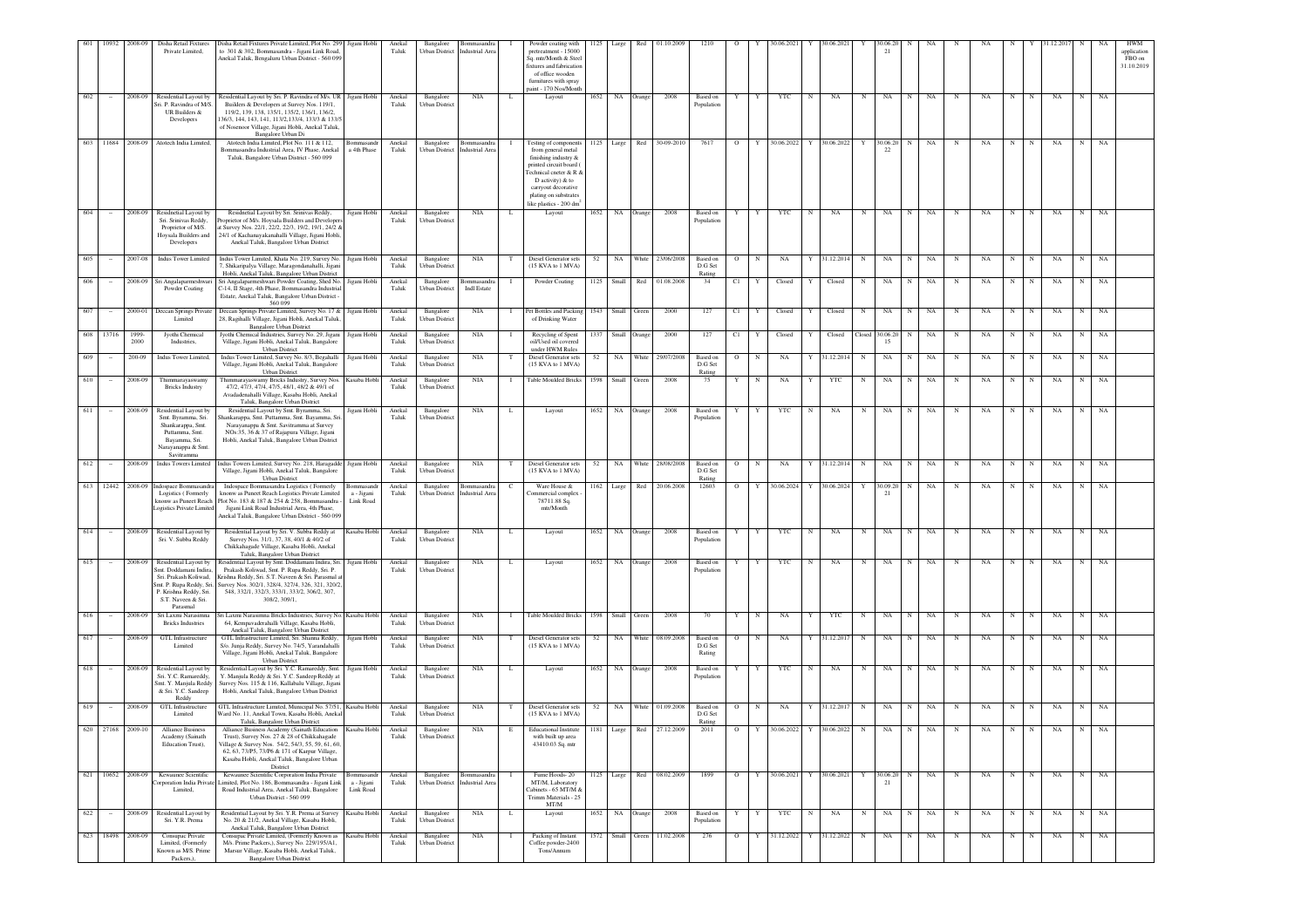|     | 10932     | 2008-09       | Disha Retail Fixtures<br>Private Limited                                                                                                                        | Disha Retail Fixtures Private Limited, Plot No. 299<br>to 301 & 302. Bommasandra - Jigani Link Road.<br>Anekal Taluk, Bengaluru Urban District - 560 099                                                                                                                                                         | Jigani Hobli                          | Anekal<br>Taluk | Bangalore<br><b>Urban District</b> | 3ommasandra<br><b>Industrial Area</b>         |              | Powder coating with<br>pretreatment - 15000<br>Sq. mtr/Month & Steel<br>ixtures and fabricatio<br>of office wooden<br>furnitures with spray<br>paint - 170 Nos/Month                                                   | 1125             | Red<br>Large | 01.10.2009                  | 1210                          |         |            | 0.06.2021  |   | 30.06.2021     |        | 0.06.2<br>21   |            |           |            |           |   |             |           |                  | application<br>FBO on<br>31.10.2019 |
|-----|-----------|---------------|-----------------------------------------------------------------------------------------------------------------------------------------------------------------|------------------------------------------------------------------------------------------------------------------------------------------------------------------------------------------------------------------------------------------------------------------------------------------------------------------|---------------------------------------|-----------------|------------------------------------|-----------------------------------------------|--------------|------------------------------------------------------------------------------------------------------------------------------------------------------------------------------------------------------------------------|------------------|--------------|-----------------------------|-------------------------------|---------|------------|------------|---|----------------|--------|----------------|------------|-----------|------------|-----------|---|-------------|-----------|------------------|-------------------------------------|
| 602 | $\sim$    | 2008-09       | Residential Layout by<br>Sri. P. Ravindra of M/S<br>UR Builders &<br>Developers                                                                                 | Residential Layout by Sri. P. Ravindra of M/s. UR Jigani Hobli<br>Builders & Developers at Survey Nos. 119/1,<br>119/2, 139, 138, 135/1, 135/2, 136/1, 136/2,<br>136/3 144 143, 141, 113/2, 133/4, 133/3 & 133/5<br>of Nosenoor Village, Jigani Hobli, Anekal Taluk,<br>Bangalore Urban Di                       |                                       | Anekal<br>Taluk | Bangalore<br><b>Urban District</b> | <b>NIA</b>                                    | L            | Layout                                                                                                                                                                                                                 | 1652 NA Orange   |              | 2008                        | Based on<br>Population        |         |            | YTC        | N | $_{\rm NA}$    | N      | NA             | N          | NA        | $_{\rm N}$ | NA        | N | N           | NA        | NA<br>N          |                                     |
| 603 |           |               | 11684 2008-09 Atotech India Limited.                                                                                                                            | Atotech India Limited. Plot No. 111 & 112.<br>nasandra Industrial Area, IV Phase, Anekal<br>Taluk, Bangalore Urban District - 560 099                                                                                                                                                                            | Bommasandr<br>a 4th Phase             | Anekal<br>Taluk | Bangalore<br><b>Urban District</b> | Bommasandra<br>Industrial Area                |              | Testing of components<br>from general metal<br>finishing industry &<br>printed circuit board (<br>Technical cneter & R &<br>D activity) & to<br>carryout decorative<br>plating on substrates<br>like plastics - 200 dm | 1125 Large       |              | Red 30-09-2010              | 7617                          | $\circ$ |            | 30.06.2022 |   | Y 30.06.2022 Y |        | 30.06.20<br>22 | N          | NA        | N          | NA        | N |             | NA        | <b>NA</b>        |                                     |
| 604 |           | 2008-09       | Residnetial Layout by<br>Sri. Srinivas Reddy,<br>Proprietor of M/S.<br>Hovsala Builders and<br>Developers                                                       | Residnetial Layout by Sri. Srinivas Reddy,<br>oprietor of M/s. Hoysala Builders and Developer<br>at Survey Nos. 22/1, 22/2, 22/3, 19/2, 19/1, 24/2 &<br>24/1 of Kachanavakanahalli Village, Iigani Hobli<br>Anekal Taluk, Bangalore Urban District                                                               | Jigani Hobli                          | Anekal<br>Taluk | Bangalore<br><b>Urban Distric</b>  | <b>NIA</b>                                    | п.           | Layout                                                                                                                                                                                                                 | 1652 NA Orange   |              | 2008                        | Based on<br>Population        |         |            | YTC        | N | NA             | N      | NA             | N          | NA        | N          | NA        | N | $_{\rm N}$  | <b>NA</b> | NA<br>N          |                                     |
| 605 | $\sim$    | 2007-08       | Indus Tower Limited                                                                                                                                             | Indus Tower Limited, Khata No. 219, Survey No. Jigani Hobli<br>7, Shikaripalya Village, Maragondanahalli, Jigani<br>Hobli, Anekal Taluk, Bangalore Urban District                                                                                                                                                |                                       | Anekal<br>Taluk | Bangalore<br><b>Urban Distric</b>  | <b>NIA</b>                                    | T            | <b>Diesel Generator sets</b><br>(15 KVA to 1 MVA)                                                                                                                                                                      | 52               | NA           | White 23/06/2008            | Based on<br>D G Set<br>Rating | $\circ$ | N          | NA         |   | Y 31.12.2014   | N      | NA             | $_{\rm N}$ | NA        | $_{\rm N}$ | NA        | N | $_{\rm N}$  | NA        | NA<br>N          |                                     |
| 606 |           | 2008-09       | Sri Angalaparmeshwari<br>Powder Coating                                                                                                                         | Sri Angalaparmeshwari Powder Coating, Shed No. Jigani Hobli<br>C-14, II Stage, 4th Phase, Bommasandra Industrial<br>Estate, Anekal Taluk, Bangalore Urban District -<br>560.099                                                                                                                                  |                                       | Anekal<br>Taluk | Bangalore<br><b>Urban Distric</b>  | Bommasandra<br>Indl Estate                    |              | Powder Coating                                                                                                                                                                                                         | 1125             | Small<br>Red | 01.08.2008                  | 34                            | C1      |            | Closed     |   | Closed         |        | NA             |            | NA        | N          | NA        | N |             | NA        | NA               |                                     |
| 607 |           |               | 2000-01 Deccan Springs Private<br>Limited                                                                                                                       | Deccan Springs Private Limited, Survey No. 17 & Jigani Hobli<br>28, Ragihalli Village, Jigani Hobli, Anekal Taluk,<br><b>Bangalore Urban District</b>                                                                                                                                                            |                                       | Anekal<br>Taluk | Bangalore<br><b>Urban Distric</b>  | NIA                                           | <b>I</b>     | Pet Bottles and Packing 1543 Small<br>of Drinking Water                                                                                                                                                                |                  | Green        | 2000                        | 127                           | Cl      |            | Closed     | Y | Closed         | N      | NA             | N          | NA        | N          | NA        | N | $_{\rm N}$  | NA        |                  |                                     |
|     | 608 1371  | 1999.<br>2000 | Jyothi Chemical<br>Industries,                                                                                                                                  | Jyothi Chemical Industries, Survey No. 29, Jigani<br>Village, Jigani Hobli, Anekal Taluk, Bangalore<br><b>Urban District</b>                                                                                                                                                                                     | Jigani Hobli                          | Anekal<br>Taluk | Bangalore<br><b>Urban District</b> | <b>NIA</b>                                    |              | Recycling of Spent<br>oil/Used oil covered<br>under HWM Rules                                                                                                                                                          | 1337 Small       | Orange       | 2000                        | 127                           | C1      |            | Closed     |   | Closed         | Closed | 30.06.20<br>15 |            | NA        | N          | NA        | N |             | NA        | NA               |                                     |
| 609 |           | 200-09        | Indus Tower Limited,                                                                                                                                            | Indus Tower Limited, Survey No. 8/3, Begahalli<br>Village, Jigani Hobli, Anekal Taluk, Bangalore                                                                                                                                                                                                                 | Jigani Hobli                          | Anekal<br>Taluk | Bangalore<br><b>Urban Distric</b>  | <b>NIA</b>                                    |              | Diesel Generator sets<br>(15 KVA to 1 MVA)                                                                                                                                                                             | 52               | NA<br>White  | 29/07/2008                  | Based on<br>D.G Set           | $\circ$ |            | NA         |   | 31.12.2014     | N      | NA             |            | NA        | N          | NA        | N |             | NA        | NA<br>N          |                                     |
| 610 |           | 2008-09       | Thimmarayaswamy<br><b>Bricks Industry</b>                                                                                                                       | <b>Urban District</b><br>Thimmarayaswamy Bricks Industry, Survey Nos. Kasaba Hobli<br>47/2, 47/3, 47/4, 47/5, 48/1, 48/2 & 49/1 of<br>Avadadenahalli Village, Kasaba Hobli, Anekal<br>Taluk, Bangalore Urban District                                                                                            |                                       | Anckal<br>Taluk | Bangalore<br><b>Urban Distric</b>  | <b>NIA</b>                                    | $\mathbf{I}$ | Table Moulded Bricks                                                                                                                                                                                                   | 1598 Small Green |              | 2008                        | Rating<br>75                  |         |            | NA         |   | <b>YTC</b>     | N      | NA             | N          | NA        | N          | NA        | N |             | NA        | NA<br>N          |                                     |
| 611 |           | 2008-09       | Residential Layout by<br>Smt. Byramma, Sri.                                                                                                                     | Residential Lavout by Smt. Byramma, Sri.<br>Shankarappa, Smt. Puttamma, Smt. Bayamma, Sri                                                                                                                                                                                                                        | Jigani Hobli                          | Anekal<br>Taluk | Bangalore<br><b>Urban District</b> | <b>NIA</b>                                    | L            | Layout                                                                                                                                                                                                                 | 1652 NA Orange   |              | 2008                        | Based on<br>Population        |         |            | YTC        |   | NA             |        | <b>NA</b>      |            | NA        |            | NA        |   |             | NA        |                  |                                     |
|     |           |               | Shankarappa, Smt.<br>Puttamma, Smt.<br>Bavamma, Sri.<br>Narayanappa & Smt.<br>Savitramma                                                                        | Narayanappa & Smt. Savitramma at Survey<br>NOs:35, 36 & 37 of Rajapura Village, Jigani<br>Hobli, Anekal Taluk, Bangalore Urban District                                                                                                                                                                          |                                       |                 |                                    |                                               |              |                                                                                                                                                                                                                        |                  |              |                             |                               |         |            |            |   |                |        |                |            |           |            |           |   |             |           |                  |                                     |
| 612 | $\sim$    | 2008-09       | Indus Towers Limited                                                                                                                                            | Indus Towers Limited, Survey No. 218, Haragadde Jigani Hobli<br>Village, Jigani Hobli, Anekal Taluk, Bangalore<br><b>Urban District</b>                                                                                                                                                                          |                                       | Anekal<br>Taluk | Bangalore<br><b>Urban Distric</b>  | <b>NIA</b>                                    | T            | <b>Diesel Generator sets</b><br>(15 KVA to 1 MVA)                                                                                                                                                                      | 52               | NA           | White 28/08/2008            | Based on<br>D G Set<br>Rating | $\circ$ | $_{\rm N}$ | NA         |   | Y 31.12.2014 N |        | NA             | N          | NA        | $_{\rm N}$ | NA        | N | $\mathbf N$ | NA        | N<br>NA          |                                     |
| 613 | 12442     | 2008-09       | ndospace Bommasandra<br>Logistics (Formerly<br>ogistics Private Limited                                                                                         | Indospace Bommasandra Logistics (Formerly<br>knonw as Puneet Reach Logistics Private Limited<br>knonw as Puneet Reach Plot No. 183 & 187 & 254 & 258, Bommasandra -<br>Jigani Link Road Industrial Area, 4th Phase,<br>Anekal Taluk, Bangalore Urban District - 560 099                                          | Bommasandr<br>a - Jigani<br>Link Road | Anekal<br>Taluk | Bangalore<br><b>Urban District</b> | Bommasandra<br><b>Industrial Area</b>         |              | Ware House &<br>ommercial complex<br>78711.88 Sq.<br>mtr/Month                                                                                                                                                         | 1162             | Red<br>Large | 20.06.2008                  | 12603                         | $\circ$ |            | 30.06.2024 |   | 30.06.2024     |        | 80.09.20<br>21 |            | NA        |            | NA        |   |             | NA        |                  |                                     |
| 614 |           | 2008-09       | Residential Layout by<br>Sri. V. Subba Reddy                                                                                                                    | Residential Layout by Sri. V. Subba Reddy at<br>Survey Nos. 31/1, 37, 38, 40/1 & 40/2 of<br>Chikkahagade Village, Kasaba Hobli, Anekal                                                                                                                                                                           | Kasaba Hobli                          | Anekal<br>Taluk | Bangalore<br><b>Urban District</b> | NIA                                           | L            | Layout                                                                                                                                                                                                                 | 1652             | Orange<br>NA | 2008                        | Based on<br>Population        |         |            | YTC        |   | NA             |        | NA             |            | NA        |            | NA        |   |             | NA        | NA               |                                     |
| 615 |           | 2008-09       | Residential Layout by<br>Smt. Doddamani Indira<br>Sri. Prakash Koliwad,<br>Smt. P. Rupa Reddy, Sri.<br>P. Krishna Reddy, Sri.<br>S.T. Naveen & Sri.<br>Parasmal | Taluk, Bangalore Urban District<br>Residential Layout by Smt. Doddamani Indira, Sri.<br>Prakash Koliwad, Smt. P. Rupa Reddy, Sri. P.<br>Krishna Reddy, Sri. S.T. Naveen & Sri. Parasmal at<br>Survey Nos. 302/1, 328/4, 327/4, 326, 321, 320/2,<br>548, 332/1, 332/3, 333/1, 333/2, 306/2, 307,<br>308/2, 309/1. | Jigani Hobli                          | Anekal<br>Taluk | Bangalore<br>Urban Distric         | <b>NIA</b>                                    | L            | Layout                                                                                                                                                                                                                 | 1652             | NA<br>Orange | 2008                        | Based on<br>Population        |         |            | YTC        |   | NA             |        | NA             |            | NA        |            | NA        | N |             | NA        | NA               |                                     |
| 616 |           | 2008-09       | Sri Laxmi Narasimna<br><b>Bricks Industries</b>                                                                                                                 | Sri Laxmi Narasimna Bricks Industries, Survey No. Kasaba Hobli<br>64, Kempavaderahalli Village, Kasaba Hobli,<br>Anekal Taluk, Bangalore Urban District                                                                                                                                                          |                                       | Anckal<br>Taluk | Bangalore<br><b>Urban District</b> | <b>NIA</b>                                    | $\mathbf{I}$ | Table Moulded Bricks 1598 Small                                                                                                                                                                                        |                  | Green        | 2008                        | 70                            |         |            | NA         |   | YTC            | N      | NA             |            | NA        |            | NA        |   |             | NA        | <b>NA</b>        |                                     |
| 617 |           | 2008-09       | GTL Infrastructure<br>Limited                                                                                                                                   | GTL Infrastructure Limited, Sri. Shanna Reddy.<br>S/o. Junia Reddy, Survey No. 74/5. Yarandahalli<br>Village, Jigani Hobli, Anekal Taluk, Bangalore<br><b>Urban District</b>                                                                                                                                     | Jigani Hobli                          | Anekal<br>Taluk | Bangalore<br><b>Urban District</b> | <b>NIA</b>                                    | T            | Diesel Generator sets<br>(15 KVA to 1 MVA)                                                                                                                                                                             | 52               |              | NA White 08.09.2008         | Based on<br>D.G Set<br>Rating | $\circ$ |            | NA         |   | 31.12.2017     | N      | NA             | N          | NA        | N          | NA        | N |             | NA        | <b>NA</b>        |                                     |
| 618 |           | 2008-09       | Residential Layout by<br>Sri, Y.C. Ramareddy.<br>Smt. Y. Manjula Reddy<br>& Sri. Y.C. Sandeep<br>Reddy                                                          | Residential Layout by Sri. Y.C. Ramareddy, Smt. Jigani Hobli<br>Y. Manjula Reddy & Sri. Y.C. Sandeep Reddy at<br>Survey Nos. 115 & 116, Kallabalu Village, Jigani<br>Hobli, Anekal Taluk, Bangalore Urban District                                                                                               |                                       | Anekal<br>Taluk | Bangalore<br><b>Urban Distric</b>  | <b>NIA</b>                                    | L.           | Layout                                                                                                                                                                                                                 | 1652 NA Orange   |              | 2008                        | Based on<br>Population        |         |            | <b>YTC</b> | N | NA             | N      | NA             | N          | NA        | N          | NA        | N | N           | NA        | <b>NA</b><br>N   |                                     |
| 619 |           | 2008-09       | GTL Infrastructure<br>Limited                                                                                                                                   | GTL Infrastructure Limited, Municipal No. 57/51, Kasaba Hobli<br>Vard No. 11, Anekal Town, Kasaba Hobli, Anekal<br>Taluk, Bangalore Urban District                                                                                                                                                               |                                       | Anekal<br>Taluk | Bangalore<br>Urban Distric         | $_{\rm NIA}$                                  |              | Diesel Generator sets<br>(15 KVA to 1 MVA)                                                                                                                                                                             | 52               | NA           | White 01.09.2008            | Based on<br>D.G Set<br>Rating | $\circ$ | N          | NA         |   | Y 31.12.2017 N |        | NA             | N          | NA        | $_{\rm N}$ | NA        | N | $_{\rm N}$  | NA        | $_{\rm N}$<br>NA |                                     |
|     | 620 27168 | 2009-10       | <b>Alliance Business</b><br>Education Trust),                                                                                                                   | Alliance Business Academy (Sainath Education Kasaba Hobli<br>Survey Nos. 27 & 28 of Chikkaha<br>Village & Survey Nos. 54/2, 54/3, 55, 59, 61, 60,<br>62, 63, 73/P5, 73/P6 & 171 of Karpur Village,<br>Kasaba Hobli, Anekal Taluk, Bangalore Urban<br>District                                                    |                                       | Anekal          | Bangalore                          | NIA                                           | E            | <b>Educational Institute</b><br>43410.03 Sq. mtr                                                                                                                                                                       | 1181 Large       |              | Red 27.12.2009              | 2011                          | $\circ$ |            | 30.06.2022 | Y | 30.06.2022     |        | NA             | N          | NA        | N          | NA        | N | N           | NA        | NA<br>N          |                                     |
| 621 | 10652     | 2008-09       | Kewaunee Scientific<br>Limited.                                                                                                                                 | Kewaunee Scientific Corporation India Private<br>Corporation India Private Limited, Plot No. 186, Bommasandra - Jigani Link<br>Road Industrial Area, Anekal Taluk, Bangalore<br>Urban District - 560 099                                                                                                         | Bommasandr<br>a - Jigani<br>Link Road | Anekal<br>Taluk | Bangalore                          | Bommasandra<br>Urban District Industrial Area |              | Fume Hoods-20<br>MT/M. Laboratory<br>Cabinets - 65 MT/M &<br>Trimm Materials - 25<br>MT/M                                                                                                                              | 1125 Large       |              | Red 08.02.2009              | 1899                          | $\circ$ |            | 30.06.2021 |   | Y 30.06.2021   |        | 30.06.20<br>21 |            | <b>NA</b> |            | NA        |   |             | NA        |                  |                                     |
| 622 | $\sim$    | 2008-09       | Residential Layout by<br>Sri, Y.R. Prema                                                                                                                        | Residential Layout by Sri. Y.R. Prema at Survey Kasaba Hobli<br>No. 20 & 21/2, Anekal Village, Kasaba Hobli,<br>Anekal Taluk, Bangalore Urban District                                                                                                                                                           |                                       | Anckal<br>Taluk | Bangalore<br><b>Urban Distric</b>  | <b>NIA</b>                                    | L            | Layout                                                                                                                                                                                                                 | 1652             | NA<br>Orange | 2008                        | Based on<br>Population        |         |            | <b>YTC</b> |   | NA             |        | NA             |            | NA        | N          | <b>NA</b> | N |             | NA.       | NA               |                                     |
| 623 | 18498     | 2008-09       | Consupac Private<br>Limited, (Formerly<br>Known as M/S. Prime<br>Packers.).                                                                                     | Consupac Private Limited, (Formerly Known as Kasaba Hobl<br>M/s. Prime Packers.), Survey No. 229/195/A1.<br>Marsur Village, Kasaba Hobli, Anekal Taluk,<br><b>Bangalore Urban District</b>                                                                                                                       |                                       | Anekal<br>Taluk | Bangalore<br><b>Urban District</b> | NIA                                           |              | Packing of Instant<br>Coffee powder-2400<br>Tons/Annum                                                                                                                                                                 |                  |              | 1572 Small Green 11.02.2008 | 276                           | $\circ$ |            | 31.12.2022 |   | Y 31.12.2022   | N      | NA             |            | NA        | N          | NA        |   |             | NA        | NA               |                                     |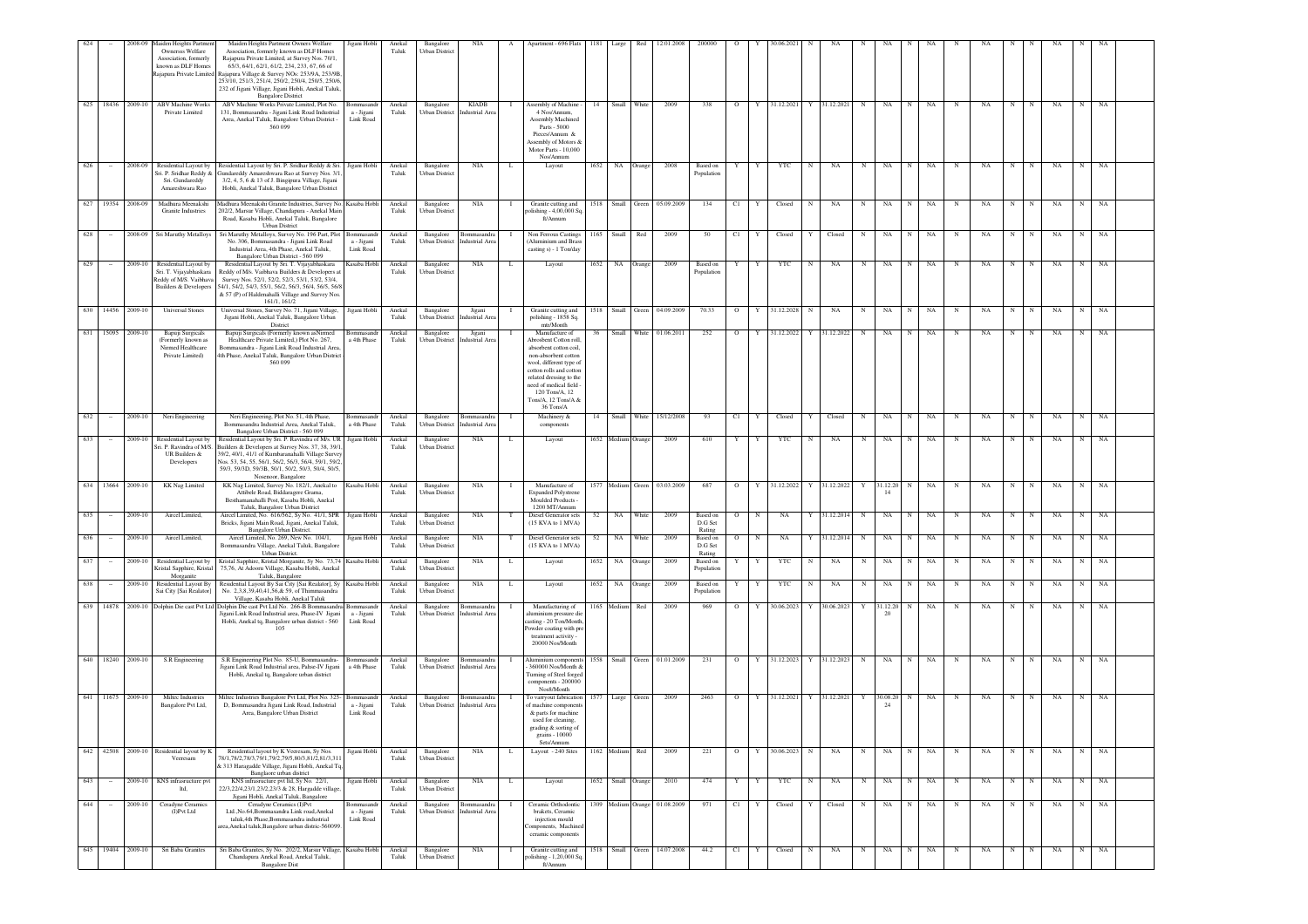|            | 624 |               |                          | 2008-09 Maiden Heights Partme<br>Ownersss Welfare<br>Association, formerly<br>known as DLF Homes              | Maiden Heights Partment Owners Welfare<br>Association, formerly known as DLF Homes<br>Rajapura Private Limited, at Survey Nos. 70/1,<br>65/3, 64/1, 62/1, 61/2, 234, 233, 67, 66 of<br>Rajapura Private Limited Rajapura Village & Survey NOs: 253/9A, 253/9B<br>253/10 251/3 251/4 250/2 250/4 250/5 250/6<br>232 of Jigani Village, Jigani Hobli, Anekal Taluk,<br><b>Bangalore District</b> | Jigani Hobli                                        | Anekal<br>Taluk           | Bangalore<br><b>Urban District</b>              | NIA                                                 |              | Apartment - 696 Flats 1181 Large                                                                                                                                                                                                                          |                              |             | Red 12.01.2008                 | 200000                        | $\circ$        |   | 30.06.2021       |   | NA                          |   |                |             |           |             |             |                          |           |             |          |  |
|------------|-----|---------------|--------------------------|---------------------------------------------------------------------------------------------------------------|------------------------------------------------------------------------------------------------------------------------------------------------------------------------------------------------------------------------------------------------------------------------------------------------------------------------------------------------------------------------------------------------|-----------------------------------------------------|---------------------------|-------------------------------------------------|-----------------------------------------------------|--------------|-----------------------------------------------------------------------------------------------------------------------------------------------------------------------------------------------------------------------------------------------------------|------------------------------|-------------|--------------------------------|-------------------------------|----------------|---|------------------|---|-----------------------------|---|----------------|-------------|-----------|-------------|-------------|--------------------------|-----------|-------------|----------|--|
|            |     |               |                          | 625 18436 2009-10 ABV Machine Works<br>Private Limited                                                        | ABV Machine Works Private Limited, Plot No.<br>131, Bommasandra - Jigani Link Road Industrial<br>Area, Anekal Taluk, Bangalore Urban District -<br>560 099                                                                                                                                                                                                                                     | Bommasandı<br>a - Jigani<br>Link Road               | Anekal<br>Taluk           | Bangalore<br>Urban District                     | KIADB<br>Industrial Area                            |              | Assembly of Machine -<br>4 Nos/Annum,<br>Assembly Machined<br>Parts - 5000<br>Pieces/Annum &<br>ssembly of Motors &<br>Motor Parts - 10,000<br>Nos/Annum                                                                                                  | 14 Small White               |             | 2009                           | 338                           | $\circ$        |   |                  |   | Y 31.12.2021 Y 31.12.2021 N |   | NA             | $\mathbf N$ | NA        |             | NA          | N<br>$_{\rm N}$          | NA        |             | NA       |  |
|            | 626 |               | 2008-09                  | Residential Layout by<br>Sri. P. Sridhar Reddy &<br>Sri. Gundareddy<br>Amareshwara Rao                        | Residential Layout by Sri. P. Sridhar Reddy & Sri. Jigani Hobli<br>Gundareddy Amareshwara Rao at Survey Nos. 3/1<br>3/2, 4, 5, 6 & 13 of J. Bingipura Village, Jigani<br>Hobli, Anekal Taluk, Bangalore Urban District                                                                                                                                                                         |                                                     | Anekal<br>Taluk           | Bangalore<br><b>Urban District</b>              | NIA                                                 | L            | Layout                                                                                                                                                                                                                                                    | 1652 NA Orange               |             | 2008                           | <b>Based</b> on<br>Population |                | Y | <b>YTC</b>       | N | NA                          | N | NA             | $_{\rm N}$  | NA .      | $\mathbf N$ | NA          | N<br>N                   | NA        | $\mathbf N$ | NA       |  |
|            | 627 |               | 19354 2008-09            | Madhura Meenakshi<br><b>Granite Industries</b>                                                                | Madhura Meenakshi Granite Industries, Survey No. Kasaba Hobli<br>202/2. Marsur Village. Chandapura - Anekal Mair<br>Road, Kasaba Hobli, Anekal Taluk, Bangalore<br><b>Urban District</b>                                                                                                                                                                                                       |                                                     | Anekal<br>Taluk           | Bangalore<br><b>Urban District</b>              | <b>NIA</b>                                          |              | Granite cutting and<br>olishing - 4,00,000 Sq<br>ft/Annum                                                                                                                                                                                                 | 1518 Small                   | Green       | 05.09.2009                     | 134                           | C1             | Y | Closed           | N | $_{\rm NA}$                 | N | NA             | N           | NA        | N           | NA          | N<br>N                   | NA        | N           | NA       |  |
|            | 628 | $\sim$        |                          |                                                                                                               | 2008-09 Sri Maruthy Metalloys Sri Maruthy Metalloys, Survey No. 196 Part, Plot Bommasandr<br>No. 306, Bommasandra - Jigani Link Road<br>Industrial Area, 4th Phase, Anekal Taluk,                                                                                                                                                                                                              | a - Jigani<br>Link Road                             | Anckal<br>Taluk           | Bangalore<br>Urban District Industrial Area     | Bommasandra                                         | $\mathbf{I}$ | Non Ferrous Castings<br>(Aluminium and Bras<br>casting s) - 1 Ton/day                                                                                                                                                                                     | $1165$ Small                 | Red         | 2009                           | 50                            | C1             | Y | Closed           |   | Closed                      | N | NA.            | N           | <b>NA</b> | N           | NA          | N<br>N                   | NA        | N           | NA       |  |
| 629        |     | $\sim$        | 2009-10                  | Residential Lavout by<br>Sri. T. Vijayabhaskara<br>Reddy of M/S. Vaibhava<br><b>Builders &amp; Developers</b> | Bangalore Urban District - 560 099<br>Residential Layout by Sri. T. Vijayabhaskara<br>Reddy of M/s. Vaibhava Builders & Developers a<br>Survey Nos. 52/1, 52/2, 52/3, 53/1, 53/2, 53/4,<br>54/1, 54/2, 54/3, 55/1, 56/2, 56/3, 56/4, 56/5, 56/8<br>& 57 (P) of Haldenahalli Village and Survey Nos.<br>161/1, 161/2                                                                            | Kasaba Hobl                                         | Anekal<br>Taluk           | Bangalore<br><b>Urban Distric</b>               | <b>NIA</b>                                          | L            | Layout                                                                                                                                                                                                                                                    | 1652<br>NA                   | Orange      | 2009                           | Based on<br>Population        |                |   | <b>YTC</b>       |   | NA                          |   | NA             |             | NA        | N           | NA          | N                        | <b>NA</b> | N           | NA       |  |
|            |     |               | 630 14456 2009-10        | <b>Universal Stones</b>                                                                                       | Universal Stones, Survey No. 71, Jigani Village,<br>Jigani Hobli, Anekal Taluk, Bangalore Urban<br>District                                                                                                                                                                                                                                                                                    | Jigani Hobli                                        | Anekal<br>Taluk           | Bangalore<br><b>Urban District</b>              | Jigani<br>ndustrial Area                            |              | Granite cutting and<br>polishing - 1858 Sq.<br>mtr/Month                                                                                                                                                                                                  | 1518 Small Green             |             | 04.09.2009                     | 70.33                         | $\circ$        |   | 31.12.2028       |   | NA                          | N | NA             |             | NA        |             | NA          |                          | NA        |             | NA       |  |
|            |     |               | 631 15095 2009-10        | Bapuji Surgicals<br>(Formerly known as<br>Nirmed Healthcare<br>Private Limited)                               | Bapuji Surgicals (Formerly known asNirmed<br>Healthcare Private Limited,) Plot No. 267,<br>sommasandra - Jigani Link Road Industrial Area,<br>4th Phase, Anekal Taluk, Bangalore Urban District<br>560 099                                                                                                                                                                                     | Bommasand<br>a 4th Phase                            | Anekal<br>Taluk           | Bangalore<br><b>Urban District</b>              | Jigani<br>Industrial Are                            |              | Manufacture of<br>Abrosbent Cotton roll<br>absorbent cotton coil,<br>non-absorbent cotton<br>wool, different type of<br>cotton rolls and cottor<br>related dressing to the<br>need of medical field<br>120 Tons/A, 12<br>Tons/A, 12 Tons/A &<br>36 Tons/A |                              | Small White | 01.06.2011                     | 252                           | $\circ$        |   | 31.12.2022       |   | 31.12.2022                  | N | NA             | N           | NA        | N           | NA          | N<br>N                   | NA        | N           | NA       |  |
| 632        |     |               | 2009-10                  | Neri Engineering                                                                                              | Neri Engineering, Plot No. 51, 4th Phase,<br>Bommasandra Industrial Area, Anekal Taluk,<br>Bangalore Urban District - 560 099                                                                                                                                                                                                                                                                  | Bommasandı<br>a 4th Phase                           | Anekal<br>Taluk           | Bangalore<br><b>Urban District</b>              | Bommasandra<br><b>Industrial Area</b>               |              | Machinery &<br>components                                                                                                                                                                                                                                 | 14 Small White               |             | 15/12/2008                     | 93                            | C1             | Y | Closed           |   | Closed                      | N | NA             | $_{\rm N}$  | NA        | $_{\rm N}$  | $_{\rm NA}$ | N<br>$_{\rm N}$          | NA        | $_{\rm N}$  | NA       |  |
| 633        |     |               | 2009-10                  | Residential Layout by<br>Sri. P. Ravindra of M/S.<br>UR Builders &<br>Developers                              | Residential Layout by Sri. P. Ravindra of M/s. UR Jigani Hobli<br>Builders & Developers at Survey Nos. 37, 38, 39/1<br>39/2, 40/1, 41/1 of Kumbaranahalli Village Survey<br>Nos. 53, 54, 55, 56/1, 56/2, 56/3, 56/4, 59/1, 59/2,<br>59/3, 59/3D, 59/3B, 50/1, 50/2, 50/3, 50/4, 50/5,<br>Nosenoor, Bangalore                                                                                   |                                                     | Anekal<br>Taluk           | Bangalore<br><b>Urban District</b>              | <b>NIA</b>                                          | п.           | Layout                                                                                                                                                                                                                                                    | 1652 Medium Orange           |             | 2009                           | 610                           |                |   | YTC              |   | NA                          | N | NA             | N           | NA        |             | NA          | N<br>N                   | NA        |             | NA       |  |
|            |     |               | 634 13664 2009-10        | KK Nag Limited                                                                                                | KK Nag Limited, Survey No. 182/1, Anekal to<br>Attibele Road, Biddaragere Grama,<br>Besthamanahalli Post, Kasaba Hobli, Anekal<br>Taluk, Bangalore Urban District                                                                                                                                                                                                                              | Kasaba Hobli                                        | Anekal<br>Taluk           | Bangalore<br><b>Urban District</b>              | <b>NIA</b>                                          |              | Manufacture of<br><b>Expanded Polystrene</b><br>Mondded Products<br>1200 MT/Annum                                                                                                                                                                         | 1577 Medium                  |             | Green 03.03.2009               | 687                           | $\overline{0}$ | Y | 31.12.2022       |   | Y 31.12.2022                | Y | 31.12.20<br>14 |             | NA        | N           | NA          | N<br>N                   | NA        | N           | NA       |  |
| 635        |     |               | 2009-10                  | Aircel Limited,                                                                                               | Aircel Limited, No. 616/562, Sy No. 41/1, SPR<br>Bricks, Jigani Main Road, Jigani, Anekal Taluk,<br>Bangalore Urban District.                                                                                                                                                                                                                                                                  | Jigani Hobli                                        | Anekal<br>Taluk           | Bangalore<br><b>Urban District</b>              | NIA                                                 |              | <b>Diesel Generator sets</b><br>(15 KVA to 1 MVA)                                                                                                                                                                                                         | 52<br>NA                     | White       | 2009                           | Based on<br>D.G Set<br>Rating | $\circ$        |   | NA               |   | 31.12.2014                  | N | NA             |             | NA        | N           | NA          | N<br>N                   | NA        |             | NA       |  |
| 636        |     |               | 2009-10                  | Aircel Limited,                                                                                               | Aircel Limited, No. 269, New No. 104/1,<br>Bommasandra Village, Anekal Taluk, Bangalore<br>Urban District.                                                                                                                                                                                                                                                                                     | Jigani Hobl                                         | Anekal<br>Taluk           | Bangalore<br><b>Urban District</b>              | NIA                                                 |              | <b>Diesel Generator sets</b><br>(15 KVA to 1 MVA)                                                                                                                                                                                                         | 52<br>NA                     | White       | 2009                           | Based on<br>D.G Set<br>Rating | $\circ$        |   | NA               |   | 31.12.2014                  | N | NA             |             | NA        | N           | NA          | N<br>N                   | NA        | N           | NA       |  |
| 637        |     |               | 2009-10                  | Residential Layout by<br>Kristal Sapphire, Kristal<br>Morganite                                               | Kristal Sapphire, Kristal Morganite, Sy No. 73,74 Kasaba Hobli<br>75,76, At Adooru Village, Kasaba Hobli, Anekal<br>Taluk, Bangalore                                                                                                                                                                                                                                                           |                                                     | Anekal<br>Taluk           | Bangalore<br><b>Urban District</b>              | <b>NIA</b>                                          | L            | Layout                                                                                                                                                                                                                                                    | 1652<br>NA                   | Orange      | 2009                           | Based on<br>Population        |                |   | YTC              |   | NA                          |   | NA             |             | NA        |             | NA          | N                        | NA        |             | NA       |  |
|            | 638 |               | 2009-10                  | Residential Layout By<br>Sai City [Sai Realator]                                                              | Residential Layout By Sai City [Sai Realator], Sy   Kasaba Hobli<br>No. 2,3,8,39,40,41,56,& 59, of Thimmasandra<br>Village, Kasaba Hobli, Anekal Taluk                                                                                                                                                                                                                                         |                                                     | Anckal<br>Taluk           | Bangalore<br><b>Urban District</b>              | <b>NIA</b>                                          | L.           | Layout                                                                                                                                                                                                                                                    | 1652 NA Orange               |             | 2009                           | Based on<br>Population        |                |   | <b>YTC</b>       |   | NA                          | N | NA             | N           | NA        | N           | NA          | N<br>N                   | NA        | N           | NA       |  |
|            | 639 |               |                          |                                                                                                               | 14878 2009-10 Dolphin Die cast Pvt Ltd Dolphin Die cast Pvt Ltd No. 266-B Bommasandra Bommasandr<br>Jigani Link Road Industrial area, Phase-IV Jigani<br>Hobli, Anekal tq, Bangalore urban district - 560<br>105                                                                                                                                                                               | a - Jigani<br>Link Road                             | Anekal<br>Taluk           | Bangalore<br>Urban District Industrial Area     | Bommasandra                                         |              | Manufacturing of<br>aluminium pressure die<br>asting - 20 Ton/Month<br>owder coating with pre<br>treatment activity -<br>20000 Nos/Month                                                                                                                  | 1165 Mediur                  | Red         | 2009                           | 969                           | $\circ$        |   | 30.06.2023       |   | 30.06.2023                  |   | 31.12.20<br>20 |             | NA        |             | NA          | N                        | NA        |             | NA       |  |
|            | 640 | 18240 2009-10 |                          |                                                                                                               |                                                                                                                                                                                                                                                                                                                                                                                                |                                                     |                           |                                                 |                                                     |              |                                                                                                                                                                                                                                                           |                              |             |                                |                               |                |   |                  |   |                             |   |                |             |           |             |             |                          |           |             |          |  |
|            |     |               |                          | S.R Engineering                                                                                               | S.R Engineering Plot No. 85-U, Bommasandra-<br>Jigani Link Road Industrial area, Pahse-IV Jigani<br>Hobli, Anekal tq, Bangalore urban district                                                                                                                                                                                                                                                 | Bommasandr<br>a 4th Phase                           | Anekal<br>Taluk           | Bangalore<br><b>Urban District</b>              | Bommasandra<br><b>Industrial Area</b>               |              | Aluminium components<br>360000 Nos/Month &<br>Turning of Steel forged<br>components - 200000                                                                                                                                                              |                              |             | 1558 Small Green 01.01.2009    | 231                           | $\circ$        | Y | 31.12.2023       |   | Y 31.12.2023 N              |   | NA             | N           | NA        | $_{\rm N}$  | NA          | N<br>N                   | NA        | N           | NA       |  |
|            |     |               | 641 11675 2009-10        | Miltec Industries<br>Bangalore Pvt Ltd.                                                                       | Miltec Industries Bangalore Pyt Ltd. Plot No. 325-<br>D, Bommasandra Jigani Link Road, Industrial<br>Area, Bangalore Urban District                                                                                                                                                                                                                                                            | Bommasandı<br>a - Jigani<br>Link Road               | Anekal<br>Taluk           | Bangalore<br><b>Urban District</b>              | Bommasandra<br>Industrial Are                       |              | Nos8/Month<br>To varryout fabrication<br>of machine componen<br>& parts for machine<br>used for cleaning,<br>grading & sorting of<br>grains - 10000<br>Sets/Annum                                                                                         | 1577 Large Green             |             | 2009                           | 2463                          | $\circ$        | Y | 31.12.2021       |   | Y 31.12.2021 Y              |   | 30.08.20<br>24 | N           | NA        | N           | NA          | N<br>N                   | NA        | N           | NA       |  |
|            |     |               |                          | 642 42508 2009-10 Residential layout by K<br>Veeresam                                                         | Residential layout by K Veeresam, Sv Nos.<br>78/1.78/2.78/3.79/1.79/2.79/5.80/3.81/2.81/3.31<br>& 313 Haragadde Village, Jigani Hobli, Anekal To                                                                                                                                                                                                                                               | Jigani Hobli                                        | Anckal<br>Taluk           | Bangalore<br><b>Urban District</b>              | <b>NIA</b>                                          | L.           | Layout - 240 Sites                                                                                                                                                                                                                                        | 1162 Medium                  | Red         | 2009                           | 221                           | $\circ$        | Y | 30.06.2023       | N | NA                          | N | NA.            | N           | <b>NA</b> | $_{\rm N}$  | <b>NA</b>   | N<br>$_{\rm N}$          | <b>NA</b> | N           | NA       |  |
|            | 643 | $\sim$        | 2009-10                  | KNS infrasructure pvt<br>ltd.                                                                                 | Banglaore urban district<br>KNS infrasructure pvt ltd, Sy No. 22/1,<br>22/3.22/4,23/1,23/2,23/3 & 28, Hargadde village,<br>Jigani Hobli, Anekal Taluk, Bangalore                                                                                                                                                                                                                               | Jigani Hobli                                        | Anekal<br>Taluk           | Bangalore<br><b>Urban District</b>              | <b>NIA</b>                                          | L            | Lavout                                                                                                                                                                                                                                                    | 1652 Small Orange            |             | 2010                           | 474                           | Y              | Y | <b>YTC</b>       | N | $_{\rm NA}$                 | N | <b>NA</b>      | $_{\rm N}$  | NA        | $_{\rm N}$  | NA          | $_{\rm N}$<br>$_{\rm N}$ | <b>NA</b> | $_{\rm N}$  | NA       |  |
| 644<br>645 |     |               | 2009-10<br>19404 2009-10 | <b>Ceradyne Ceramics</b><br>(DPvt Ltd<br>Sri Baba Granites                                                    | Ceradyne Ceramics (I)Pvt<br>Ltd., No.64, Bommasandra Link road, Anekal<br>taluk.4th Phase.Bommasandra industrial<br>rea, Anekal taluk, Bangalore urban distric-560099<br>Sri Baba Granites, Sy No. 202/2, Marsur Village,                                                                                                                                                                      | ommasand<br>a - Jigani<br>Link Road<br>Kasaba Hobli | Anekal<br>Taluk<br>Anekal | Bangalore<br><b>Urban District</b><br>Bangalore | Bommasandra<br><b>Industrial Area</b><br><b>NIA</b> |              | Ceramic Orthodontic<br>brakets, Ceramic<br>injection mould<br>omponents, Machinee<br>ceramic components<br>Granite cutting and                                                                                                                            | 1309<br>Mediun<br>1518 Small | Orange      | 01.08.2009<br>Green 14.07.2008 | 971<br>44.2                   | C1<br>C1       |   | Closed<br>Closed |   | Closed<br>NA                |   | NA<br>NA       |             | NA<br>NA  |             | NA<br>NA    |                          | NA<br>NA  |             | NA<br>NA |  |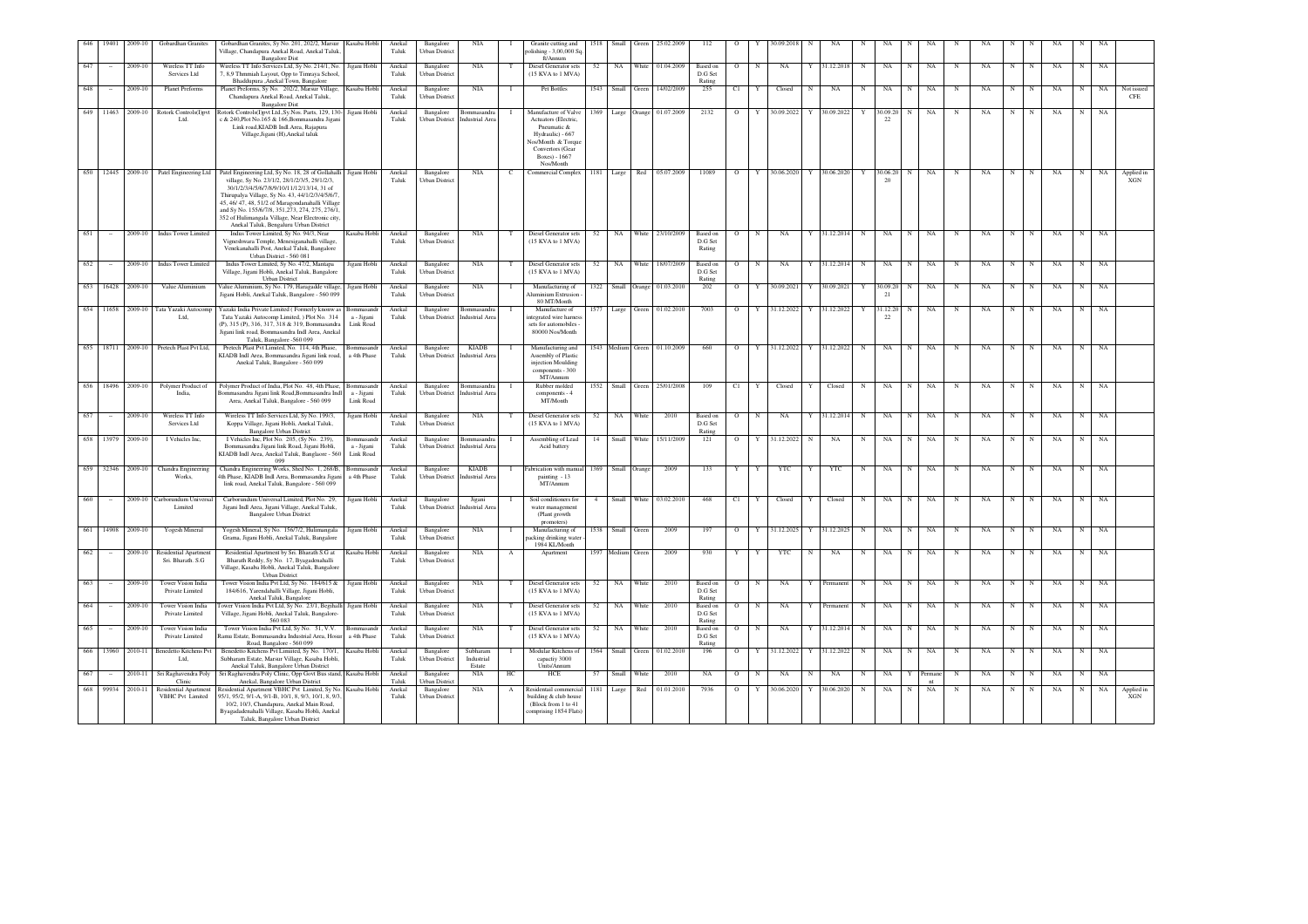| 646 | 19401             | 2009-10       | Gobardhan Granites                           | Gobardhan Granites, Sv No. 201, 202/2, Marsur Kasaba Hobli                                                         |                                  | Anekal          | Bangalore                          | <b>NIA</b>                      |              | Granite cutting and                               | 1518          |                 | Small Green 25.02.2009       | 112                 | $\Omega$       |   | 0092018        |   | NA             |              |           |            |               |            |             |            |             |             |                  |                   |
|-----|-------------------|---------------|----------------------------------------------|--------------------------------------------------------------------------------------------------------------------|----------------------------------|-----------------|------------------------------------|---------------------------------|--------------|---------------------------------------------------|---------------|-----------------|------------------------------|---------------------|----------------|---|----------------|---|----------------|--------------|-----------|------------|---------------|------------|-------------|------------|-------------|-------------|------------------|-------------------|
|     |                   |               |                                              | Village, Chandapura Anekal Road, Anekal Taluk,                                                                     |                                  | Taluk           | <b>Urban Distric</b>               |                                 |              | olishing - 3,00,000 S                             |               |                 |                              |                     |                |   |                |   |                |              |           |            |               |            |             |            |             |             |                  |                   |
| 647 |                   | 2009-10       | Wireless TT Info                             | <b>Bangalore Dist</b><br>Wireless TT Info Services Ltd. Sv No. 214/1. No.                                          | Jigani Hobli                     | Anekal          | <b>Bangalore</b>                   | <b>NIA</b>                      |              | ft/Annum<br>Diesel Generator sets                 | 52<br>NA      | White           | 01.04.2009                   | Based on            | $\Omega$       |   | NA <sup></sup> |   | 31 12 2018     | N            | <b>NA</b> |            | <b>NA</b>     | N          | <b>NA</b>   | N          |             | NA.         | NA               |                   |
|     |                   |               | Services Ltd                                 | 7.8.9 Thmmiah Lavout. Opp to Timrava School.                                                                       |                                  | Taluk           | <b>Urban District</b>              |                                 |              | (15 KVA to 1 MVA)                                 |               |                 |                              | D G Set             |                |   |                |   |                |              |           |            |               |            |             |            |             |             |                  |                   |
|     |                   |               |                                              | Bhaddupura , Anekal Town, Bangalore                                                                                |                                  |                 |                                    |                                 |              |                                                   |               |                 |                              | Rating              |                |   |                |   |                |              |           |            |               |            |             |            |             |             |                  |                   |
| 648 | н.                | 2009-10       | <b>Planet Preforms</b>                       | Planet Preforms, Sy No. 202/2, Marsur Village,<br>Chandanura Anekal Road, Anekal Taluk                             | Kasaba Hobl                      | Anckal<br>Taluk | Bangalore<br><b>Urban Distric</b>  | <b>NIA</b>                      | л.           | Pet Bottles                                       | $1543$ Small  | Green           | 14/02/2009                   | 255                 | Cl             |   | Closed         |   | NA             | N            | NA.       |            | NA.           | N          | <b>NA</b>   | N          |             | <b>NA</b>   | NA               | Not issued<br>CEE |
|     |                   |               |                                              | <b>Bangalore</b> Dist                                                                                              |                                  |                 |                                    |                                 |              |                                                   |               |                 |                              |                     |                |   |                |   |                |              |           |            |               |            |             |            |             |             |                  |                   |
| 649 | 11463             | 2009-10       | Rotork Controls(I)pvt                        | Rotork Controls(I)pvt Ltd., Sy.Nos. Parts, 129, 130-                                                               | Jigani Hobli                     | Anckal          | Bangalore                          | Bommasandra                     |              | Manufacture of Valve                              | 1369          | Orange<br>Large | 01.07.2009                   | 2132                | $\circ$        |   | 0.09.2022      |   | 30.09.2022     |              | 0.09.20   |            | NA            |            | NA          |            |             | NA          | NA               |                   |
|     |                   |               | Ltd.                                         | c & 240, Plot No. 165 & 166, Bommasandra Jigani<br>Link road, KIADB Indl. Area, Rajapura                           |                                  | Taluk           | <b>Urban District</b>              | <b>Industrial Area</b>          |              | Actuators (Electric,<br>Pneumatic &               |               |                 |                              |                     |                |   |                |   |                |              | 22        |            |               |            |             |            |             |             |                  |                   |
|     |                   |               |                                              | Village, Jigani (H), Anekal taluk                                                                                  |                                  |                 |                                    |                                 |              | Hydraulic) - 667                                  |               |                 |                              |                     |                |   |                |   |                |              |           |            |               |            |             |            |             |             |                  |                   |
|     |                   |               |                                              |                                                                                                                    |                                  |                 |                                    |                                 |              | <b>Nos/Month &amp; Torque</b>                     |               |                 |                              |                     |                |   |                |   |                |              |           |            |               |            |             |            |             |             |                  |                   |
|     |                   |               |                                              |                                                                                                                    |                                  |                 |                                    |                                 |              | Convertors (Gear<br>Boxes) - 1667                 |               |                 |                              |                     |                |   |                |   |                |              |           |            |               |            |             |            |             |             |                  |                   |
|     |                   |               |                                              |                                                                                                                    |                                  |                 |                                    |                                 |              | Nos/Month                                         |               |                 |                              |                     |                |   |                |   |                |              |           |            |               |            |             |            |             |             |                  |                   |
| 650 |                   | 12445 2009-10 |                                              | Patel Engineering Ltd Patel Engineering Ltd, Sy No. 18, 28 of Gollahalli Jigani Hobli                              |                                  | Anekal          | Bangalore                          | <b>NIA</b>                      | $\mathbf C$  | <b>Commercial Complex</b>                         | 1181 Large    | Red             | 05.07.2009                   | 11089               | $\circ$        | Y | 30.06.2020     |   | Y 30.06.2020 Y |              | 30.06.20  | N          | <b>NA</b>     | $_{\rm N}$ | <b>NA</b>   | N          | $_{\rm N}$  | NA          | $_{\rm N}$<br>NA | Applied in        |
|     |                   |               |                                              | village, Sy No. 23/1/2, 28/1/2/3/5, 29/1/2/3,<br>30/1/2/3/4/5/6/7/8/9/10/11/12/13/14, 31 of                        |                                  | Taluk           | <b>Urban District</b>              |                                 |              |                                                   |               |                 |                              |                     |                |   |                |   |                |              | 20        |            |               |            |             |            |             |             |                  | $XGN$             |
|     |                   |               |                                              | Thirupalya Village, Sy No. 43, 44/1/2/3/4/5/6/7,                                                                   |                                  |                 |                                    |                                 |              |                                                   |               |                 |                              |                     |                |   |                |   |                |              |           |            |               |            |             |            |             |             |                  |                   |
|     |                   |               |                                              | 45, 46/ 47, 48, 51/2 of Maragondanahalli Village                                                                   |                                  |                 |                                    |                                 |              |                                                   |               |                 |                              |                     |                |   |                |   |                |              |           |            |               |            |             |            |             |             |                  |                   |
|     |                   |               |                                              | and Sy No. 155/6/7/8, 351,273, 274, 275, 276/1,<br>352 of Hulimangala Village, Near Electronic city,               |                                  |                 |                                    |                                 |              |                                                   |               |                 |                              |                     |                |   |                |   |                |              |           |            |               |            |             |            |             |             |                  |                   |
|     |                   |               |                                              | Anekal Taluk, Bengaluru Urban District                                                                             |                                  |                 |                                    |                                 |              |                                                   |               |                 |                              |                     |                |   |                |   |                |              |           |            |               |            |             |            |             |             |                  |                   |
| 651 | - 2               | $2009 - 10$   | Indus Tower Limited                          | Indus Tower Limited, Sy No. 94/3, Near                                                                             | Kasaba Hobli                     | Anekal<br>Taluk | Bangalore<br><b>Urban Distric</b>  | <b>NIA</b>                      | T            | Diesel Generator sets                             | 52            |                 | NA White 23/10/2009          | Based on<br>D.G Set | $\circ$        | N | <b>NA</b>      |   | Y 31.12.2014 N |              | NA        | N          | NA            | $_{\rm N}$ | NA          | N          | $_{\rm N}$  | NA          | NA<br>N          |                   |
|     |                   |               |                                              | Vigneshwara Temple, Menesiganahalli village,<br>Venekanahalli Post, Anekal Taluk, Bangalore                        |                                  |                 |                                    |                                 |              | (15 KVA to 1 MVA)                                 |               |                 |                              | Rating              |                |   |                |   |                |              |           |            |               |            |             |            |             |             |                  |                   |
|     |                   |               |                                              | Urban District - 560 081                                                                                           |                                  |                 |                                    |                                 |              |                                                   |               |                 |                              |                     |                |   |                |   |                |              |           |            |               |            |             |            |             |             |                  |                   |
| 652 |                   | 2009-10       | Indus Tower Limited                          | Indus Tower Limited, Sy No. 47/2, Mantapa<br>Village, Jigani Hobli, Anekal Taluk, Bangalore                        | Jigani Hobli                     | Anekal<br>Taluk | Bangalore<br><b>Urban District</b> | <b>NIA</b>                      |              | Diesel Generator sets<br>(15 KVA to 1 MVA)        | 52<br>NA      | White           | 18/07/2009                   | Based on<br>D.G Set | $\circ$        |   | <b>NA</b>      |   | 31.12.2014     | N            | NA        | N          | $_{\rm NA}$   | $_{\rm N}$ | <b>NA</b>   | $_{\rm N}$ | N           | $_{\rm NA}$ | N<br>NA          |                   |
|     |                   |               |                                              | <b>Urban District</b>                                                                                              |                                  |                 |                                    |                                 |              |                                                   |               |                 |                              | Ratine              |                |   |                |   |                |              |           |            |               |            |             |            |             |             |                  |                   |
|     | 653 16428 2009-10 |               | Value Aluminium                              | Value Aluminium, Sy No. 179, Haragadde village, Jigani Hobli                                                       |                                  | Anekal          | Bangalore                          | $_{\rm NIA}$                    |              | Manufacturing of                                  | 1322 Small    | Orange          | 01.03.2010                   | 202                 | $\circ$        | Y | 30.09.2021     |   | Y 30.09.2021   | $\mathbf{v}$ | 30.09.20  | $_{\rm N}$ | NA            | N          | NA          | $_{\rm N}$ | $_{\rm N}$  | NA          | $_{\rm N}$<br>NA |                   |
|     |                   |               |                                              | Jigani Hobli, Anekal Taluk, Bangalore - 560 099                                                                    |                                  | Taluk           | <b>Urban Distric</b>               |                                 |              | luminium Extrusion<br>80 MT/Month                 |               |                 |                              |                     |                |   |                |   |                |              | 21        |            |               |            |             |            |             |             |                  |                   |
|     | 654 11658         |               | 2009-10 Tata Yazaki Autocomp                 | Yazaki India Private Limited (Formerly knonw as Bommasand                                                          |                                  | Anckal          | Bangalore                          | Bommasandra                     |              | Manufacture of                                    | 1577 Large    | Green           | 01.02.2010                   | 7003                | $\circ$        | Y | 31.12.2022     |   | Y 31.12.2022   | $\mathbf{Y}$ | 31.12.20  | N          | NA            | N          | NA          | N          | $_{\rm N}$  | <b>NA</b>   | NA<br>N          |                   |
|     |                   |               | Ltd.                                         | Tata Yazaki Autocomp Limited, ) Plot No. 314<br>(P), 315 (P), 316, 317, 318 & 319, Bommasandra                     | a - Jigani<br>Link Road          | Taluk           | <b>Urban District</b>              | <b>Industrial Area</b>          |              | ntegrated wire harness<br>sets for automobiles    |               |                 |                              |                     |                |   |                |   |                |              | 22        |            |               |            |             |            |             |             |                  |                   |
|     |                   |               |                                              | Jigani link road, Bommasandra Indl Area, Anekal                                                                    |                                  |                 |                                    |                                 |              | 80000 Nos/Month                                   |               |                 |                              |                     |                |   |                |   |                |              |           |            |               |            |             |            |             |             |                  |                   |
|     |                   |               |                                              | Taluk, Bangalore -560 099                                                                                          |                                  |                 |                                    |                                 |              |                                                   |               |                 |                              |                     |                |   |                |   |                |              |           |            |               |            |             |            |             |             |                  |                   |
|     |                   |               | 655 18711 2009-10 Pretech Plast Pvt Ltd,     | Pretech Plast Pvt Limited, No. 114, 4th Phase.<br>KIADB Indl Area, Bommasandra Jigani link road,                   | <b>Bommasandr</b><br>a 4th Phase | Anekal<br>Taluk | Bangalore<br><b>Urban District</b> | KIADR<br><b>Industrial Area</b> |              | Manufacturing and<br>Assembly of Plastic          |               |                 | 1543 Medium Green 01.10.2009 | 660                 | $\Omega$       |   | 31.12.2022     |   | Y 31.12.2022 N |              | NA        |            | <b>NA</b>     |            | <b>NA</b>   |            |             | <b>NA</b>   | <b>NA</b>        |                   |
|     |                   |               |                                              | Anekal Taluk, Bangalore - 560 099                                                                                  |                                  |                 |                                    |                                 |              | injection Moulding                                |               |                 |                              |                     |                |   |                |   |                |              |           |            |               |            |             |            |             |             |                  |                   |
|     |                   |               |                                              |                                                                                                                    |                                  |                 |                                    |                                 |              | components - 300<br>MT/Annum                      |               |                 |                              |                     |                |   |                |   |                |              |           |            |               |            |             |            |             |             |                  |                   |
|     | 656 18496         | 2009-10       | Polymer Product of                           | Polymer Product of India, Plot No. 48, 4th Phase,                                                                  | Bommasand                        | Anekal          | Bangalore                          | Bommasandra                     |              | Rubber molded                                     | 1552<br>Small | Green           | 25/01/2008                   | 109                 | C1             |   | Closed         |   | Closed         |              | NA        |            | NA            |            | NA          |            |             | NA          |                  |                   |
|     |                   |               |                                              |                                                                                                                    |                                  |                 |                                    |                                 |              |                                                   |               |                 |                              |                     |                |   |                |   |                |              |           |            |               |            |             |            |             |             |                  |                   |
|     |                   |               | India.                                       | mmasandra Jigani link Road, Bommasandra Indl                                                                       | a - Jigani                       | Taluk           | <b>Urban District</b>              | <b>Industrial Area</b>          |              | components - 4                                    |               |                 |                              |                     |                |   |                |   |                |              |           |            |               |            |             |            |             |             |                  |                   |
|     |                   |               |                                              | Area, Anekal Taluk, Bangalore - 560 099                                                                            | Link Road                        |                 |                                    |                                 |              | MT/Month                                          |               |                 |                              |                     |                |   |                |   |                |              |           |            |               |            |             |            |             |             |                  |                   |
| 657 | $\sim$            | 2009-10       | Wireless TT Info                             | Wireless TT Info Services Ltd, Sy No. 199/3,                                                                       |                                  | Anckal          | Bangalore                          | <b>NIA</b>                      | T            | <b>Diesel Generator sets</b>                      | 52            | NA White        | 2010                         | Based on            | $\circ$        | N | <b>NA</b>      |   | 31.12.2014 N   |              | NA        | N          | NA            | $_{\rm N}$ | <b>NA</b>   | N          | $_{\rm N}$  | <b>NA</b>   | NA<br>N          |                   |
|     |                   |               | Services Ltd                                 | Koppa Village, Jigani Hobli, Anekal Taluk,                                                                         | Jigani Hobli                     | Taluk           | <b>Urban Distric</b>               |                                 |              | (15 KVA to 1 MVA)                                 |               |                 |                              | D G Set             |                |   |                |   |                |              |           |            |               |            |             |            |             |             |                  |                   |
|     |                   | 2009-10       |                                              | <b>Bangalore Urban District</b>                                                                                    | Bommasandr                       | Anekal          |                                    | <b>Bommasandra</b>              |              |                                                   | 14            |                 |                              | Rating              |                | Y |                | N |                | N            |           | N          |               |            |             | N          | $\mathbf N$ |             | <b>NA</b><br>N   |                   |
|     | 658 13979         |               | I Vehicles Inc.                              | I Vehicles Inc, Plot No. 205, (Sy No. 239),<br>Bommasandra Jigani link Road, Jigani Hobli,                         | a - Jigani                       | Taluk           | Bangalore<br><b>Urban District</b> | <b>Industrial Area</b>          |              | Assembling of Lead<br>Acid battery                |               |                 | Small White 15/11/2009       | 121                 | $\circ$        |   | 31.12.2022     |   | <b>NA</b>      |              | <b>NA</b> |            | NA            | N          | NA          |            |             | <b>NA</b>   |                  |                   |
|     |                   |               |                                              | KIADB Indl Area, Anekal Taluk, Banglaore - 560                                                                     | Link Road                        |                 |                                    |                                 |              |                                                   |               |                 |                              |                     |                |   |                |   |                |              |           |            |               |            |             |            |             |             |                  |                   |
|     | 659 32346         | 2009-10       |                                              | 099                                                                                                                | Bommasandr                       | Anekal          |                                    | <b>KIADB</b>                    |              | Fabrication with manu                             | 1369<br>Small |                 | 2009                         | 133                 | Y              |   |                |   |                | N            |           | N          |               | N          |             |            | N           |             | NA               |                   |
|     |                   |               | Chandra Engineering<br><b>Works</b>          | Chandra Engineering Works, Shed No. 1, 268/B,<br>th Phase, KIADB Indl Area, Bommasandra Jigani                     | a 4th Phase                      | Taluk           | Bangalore<br><b>Urban District</b> | ndustrial Area                  |              | painting - 13                                     |               | Orange          |                              |                     |                |   | YTC            |   | YTC            |              | NA        |            | $_{\rm NA}$   |            | NA          | N          |             | NA          |                  |                   |
|     |                   |               |                                              | link road, Anekal Taluk, Bangalore - 560 099                                                                       |                                  |                 |                                    |                                 |              | MT/Annum                                          |               |                 |                              |                     |                |   |                |   |                |              |           |            |               |            |             |            |             |             |                  |                   |
| 660 |                   | 2009-10       |                                              |                                                                                                                    |                                  |                 |                                    | Jigani                          |              | Soil conditioners for                             |               | Small White     | 03.02.201                    | 468                 | Cl             |   | Closed         |   | Closed         | N            |           |            |               | N          |             |            |             | NA          | N<br>NA          |                   |
|     |                   |               | Carborundum Univers<br>Limited               | Carborundum Universal Limited, Plot No. 29,<br>Jigani Indl Area, Jigani Village, Anekal Taluk,                     | Jigani Hobli                     | Anekal<br>Taluk | Bangalore<br><b>Urban District</b> | Industrial Area                 |              | water management                                  |               |                 |                              |                     |                |   |                |   |                |              | NA        |            | NA            |            | NA          |            |             |             |                  |                   |
|     |                   |               |                                              | <b>Bangalore Urban District</b>                                                                                    |                                  |                 |                                    |                                 |              | (Plant growth                                     |               |                 |                              |                     |                |   |                |   |                |              |           |            |               |            |             |            |             |             |                  |                   |
|     | 661 14908         | 2009-10       | Yogesh Mineral                               | Yogesh Mineral, Sy No. 156/7/2, Hulimangala Jigani Hobli                                                           |                                  | Anekal          | Bangalore                          | <b>NIA</b>                      |              | promoters)<br>Manufacturing of                    | 1538 Small    | Green           | 2009                         | 197                 | $\overline{0}$ |   | 31.12.2025     |   | Y 31.12.2025   | N            | NA        | N          | NA            | $_{\rm N}$ | NA          | N          | N           | <b>NA</b>   | NA               |                   |
|     |                   |               |                                              | Grama, Jigani Hobli, Anekal Taluk, Bangalore                                                                       |                                  | Taluk           | <b>Urban Distric</b>               |                                 |              | acking drinking water                             |               |                 |                              |                     |                |   |                |   |                |              |           |            |               |            |             |            |             |             |                  |                   |
| 662 |                   | 2009-10       | <b>Residential Apartment</b>                 | Residential Apartment by Sri. Bharath S.G at                                                                       | Kasaba Hobli                     | Anekal          | Bangalore                          | NIA                             | $\mathbf{A}$ | 1984 KL/Month<br>Apartment                        | 1597 Medium   | Green           | 2009                         | 930                 | Y              |   | <b>YTC</b>     | N | <b>NA</b>      | N            | NA        | N          | NA            | N          | NA          | N          |             | NA          | <b>NA</b>        |                   |
|     |                   |               | Sri, Bharath, S.G.                           | Bharath Reddy, Sy No. 17, Byagadenahalli                                                                           |                                  | Taluk           | <b>Urban Distric</b>               |                                 |              |                                                   |               |                 |                              |                     |                |   |                |   |                |              |           |            |               |            |             |            |             |             |                  |                   |
|     |                   |               |                                              | Village, Kasaba Hobli, Anekal Taluk, Bangalore                                                                     |                                  |                 |                                    |                                 |              |                                                   |               |                 |                              |                     |                |   |                |   |                |              |           |            |               |            |             |            |             |             |                  |                   |
| 663 | - 2               | 2009-10       | <b>Tower Vision India</b>                    | <b>Urban District</b><br>Tower Vision India Pvt Ltd. Sv No. 184/615 &                                              | Jigani Hobli                     | Anekal          | Bangalore                          | <b>NIA</b>                      |              | <b>Diesel Generator sets</b>                      | 52<br>NA      | White           | 2010                         | Based on            | $\Omega$       | N | <b>NA</b>      |   | Permanent      | $_{\rm N}$   | NA.       | N          | NA            | N          | NA          | N          | N           | <b>NA</b>   | NA<br>N          |                   |
|     |                   |               | Private Limited                              | 184/616, Yarendahalli Village, Jigani Hobli,                                                                       |                                  | Taluk           | <b>Urban Distric</b>               |                                 |              | (15 KVA to 1 MVA)                                 |               |                 |                              | D G Set             |                |   |                |   |                |              |           |            |               |            |             |            |             |             |                  |                   |
| 664 |                   | 2009-10       | Tower Vision India                           | Anekal Taluk, Bangalore                                                                                            |                                  | Anekal          | <b>Bangalore</b>                   | <b>NIA</b>                      |              | Diesel Generator sets                             | 52<br>NA      | White           | 2010                         | Rating<br>Based on  | $^{\circ}$     |   | <b>NA</b>      |   | Permanent      | N            | <b>NA</b> |            |               | N          | NA.         | N          |             | NA.         | NA               |                   |
|     |                   |               | Private Limited                              | Tower Vision India Pvt Ltd, Sy No. 23/1, Begihalli Jigani Hobli<br>Village, Jigani Hobli, Anekal Taluk, Bangalore- |                                  | Taluk           | <b>Urban Distric</b>               |                                 |              | (15 KVA to 1 MVA)                                 |               |                 |                              | D G Set             |                |   |                |   |                |              |           |            | NA            |            |             |            |             |             |                  |                   |
|     | <b>.</b>          |               |                                              | 560 083                                                                                                            |                                  |                 |                                    |                                 |              |                                                   |               |                 |                              | Rating              |                |   |                |   |                |              |           |            |               |            |             |            |             |             |                  |                   |
| 665 |                   | 2009-10       | <b>Tower Vision India</b><br>Private Limited | Tower Vision India Pvt Ltd, Sy No. 51, V.V.<br>Ramu Estate, Bommasandra Industrial Area, Hosur                     | Bommasandr<br>a 4th Phase        | Anckal<br>Taluk | Bangalore<br><b>Urban Distric</b>  | <b>NIA</b>                      |              | <b>Diesel Generator sets</b><br>(15 KVA to 1 MVA) | 52<br>NA      | White           | 2010                         | Based on<br>D G Set | $\circ$        |   | NA             |   | 31.12.2014     | N            | NA        | N          | NA            | N          | NA          | N          | N           | <b>NA</b>   | NA<br>N          |                   |
|     |                   |               |                                              | Road, Bangalore - 560 099                                                                                          |                                  |                 |                                    |                                 |              |                                                   |               |                 |                              | Rating              |                |   |                |   |                |              |           |            |               |            |             |            |             |             |                  |                   |
| 666 | 13960             |               | 2010-11 Benedetto Kitchens Pvt<br>Ltd.       | Benedetto Kitchens Pvt Limiited, Sy No. 170/1, Kasaba Hobli<br>Subharam Estate, Marsur Village, Kasaba Hobli,      |                                  | Anckal<br>Taluk | Bangalore<br><b>Urban Distric</b>  | Subharam<br>Industrial          |              | Modular Kitchens of                               | 1564<br>Small | Green           | 01.02.2010                   | 196                 | $\overline{0}$ |   | 31.12.2022     | Y | 31.12.2022     | N            | NA        | N          | NA.           | N          | <b>NA</b>   | N          |             | NA          | NA               |                   |
|     |                   |               |                                              | Anekal Taluk, Bangalore Urban District                                                                             |                                  |                 |                                    | Estate                          |              | capactiy 3000<br>Units/Annum                      |               |                 |                              |                     |                |   |                |   |                |              |           |            |               |            |             |            |             |             |                  |                   |
| 667 | $\sim$            | 2010-11       | Sri Raghavendra Poly<br>Clinic               | Sri Raghavendra Poly Clinic, Opp Govt Bus stand, Kasaba Hobli                                                      |                                  | Anekal<br>Taluk | Bangalore<br>Irhan Distric         | <b>NIA</b>                      | HC           | <b>HCE</b>                                        | 57<br>Small   | White           | 2010                         | <b>NA</b>           | $\Omega$       | N | N <sub>A</sub> | N | NA             | N            | NA        |            | Permane<br>nt | N          | <b>NA</b>   | N          | $\mathbf N$ | <b>NA</b>   | NA<br>N          |                   |
| 668 |                   | 99934 2010-11 | Residential Apartment                        | Anekal, Bangalore Urban District<br>Residential Apartment VBHC Pvt Limited, Sy No. Kasaba Hobli                    |                                  | Anekal          | Bangalore                          | <b>NIA</b>                      | A            | Residentail commercial                            | 1181<br>Large | Red             | 01.01.2010                   | 7936                | $\circ$        |   | 30.06.2020     | Y | 30.06.2020     | N            | NA        | N          | $_{\rm NA}$   | N          | $_{\rm NA}$ | $_{\rm N}$ | N           | $_{\rm NA}$ | N<br>$_{\rm NA}$ | Applied in        |
|     |                   |               | VBHC Pvt Limited                             | 95/1, 95/2, 9/1-A, 9/1-B, 10/1, 8, 9/3, 10/1, 8, 9/3,<br>10/2 10/3 Chandapura Anekal Main Road                     |                                  | Taluk           | <b>Urban District</b>              |                                 |              | building & club house<br>(Block from 1 to 41)     |               |                 |                              |                     |                |   |                |   |                |              |           |            |               |            |             |            |             |             |                  | <b>XGN</b>        |
|     |                   |               |                                              | Byagadadenahalli Village, Kasaba Hobli, Anekal<br>Taluk, Bangalore Urban District                                  |                                  |                 |                                    |                                 |              | comprising 1854 Flats)                            |               |                 |                              |                     |                |   |                |   |                |              |           |            |               |            |             |            |             |             |                  |                   |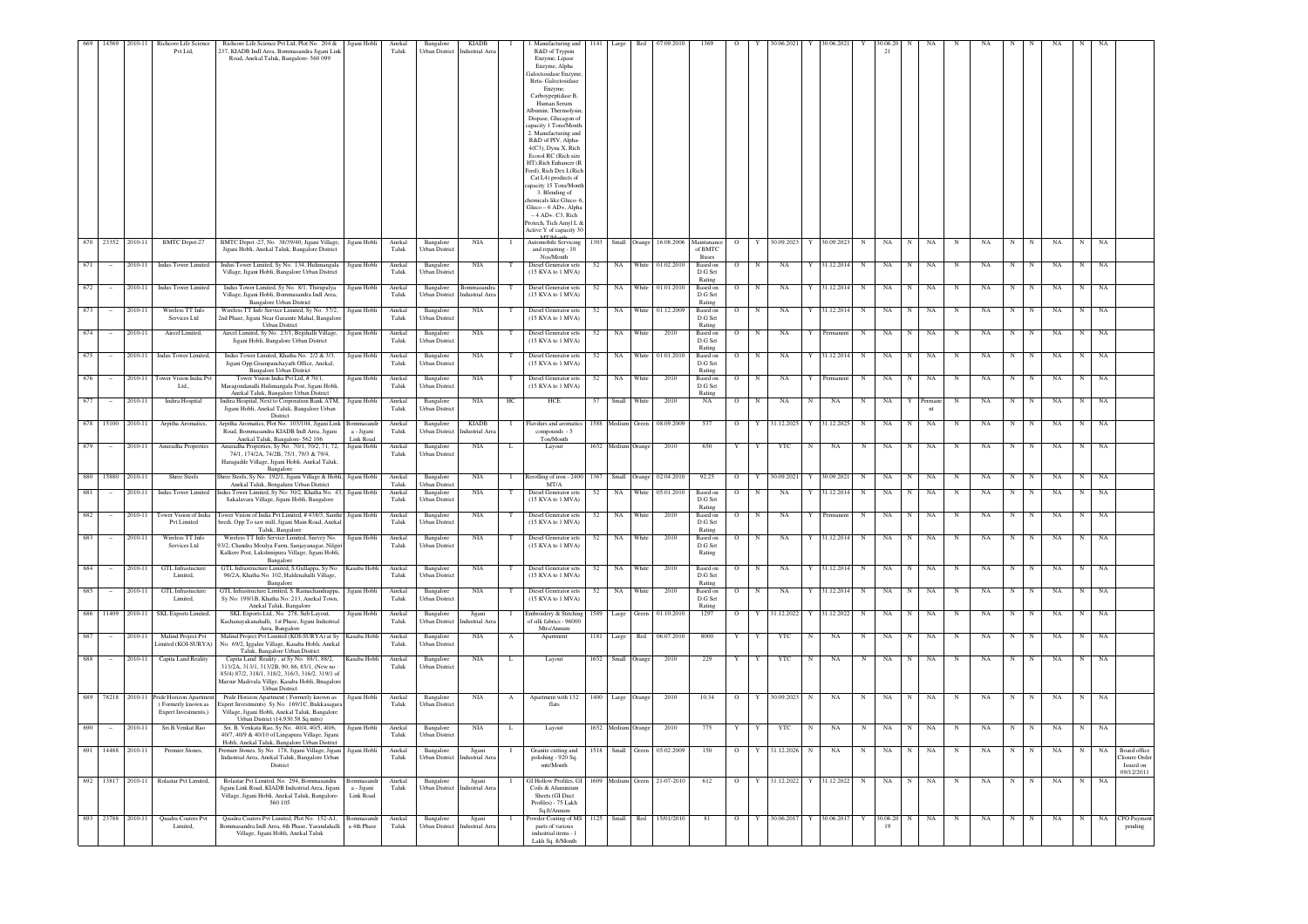| 669        |        | 14569 2010-11      | Richcore Life Scienc<br>Pvt Ltd.                                                   | Richcore Life Science Pvt Ltd, Plot No. 204 &<br>237. KIADB Indl Area. Bommasandra Jigani Link<br>Road, Anekal Taluk, Bangalore- 560 099                                                                                   | Jigani Hobli                 | Anekal<br>Taluk           | <b>Urban District</b>                          | <b>KIADB</b><br><b>Industrial Area</b>         | . Manufacturing and<br>R&D of Trypsin<br>Enzyme, Lipase<br>Enzyme, Alpha<br>Galoctosidase Enzym<br>Beta-Galoctosidase<br>Enzyme.<br>Carboypeptidase B,<br>Human Serum<br><b>Albumin</b> Thermolysir<br>Dispase, Glucagon of<br>capacity 1 Tons/Month<br>2. Manufacturing and<br>R&D of PIV Alpha-<br>4(C3), Dyna X, Rich<br>Ecosol RC (Rich size<br>HT), Rich Enhancer (F<br>Feed), Rich Dex L(Rich<br>Cat L4) products of<br>capacity 15 Tons/Mont<br>3. Blending of<br>hemicals like Gluco-<br>Gluco - 6 AD+. Alpha<br>$-4$ AD $+$ , C3, Rich<br>Protech, Tich Amyl L &<br>Active Y of capacity 30<br>MTMA |          | 1141 Large        |                | Red 07.09.2010               | 1369                                             | $\Omega$           |                | 30.06.2021      |   | 60.06.202                 |                 | n ns 1<br>21             |                 |                    |            |                   |                 |                 |                          |                 |             |                                                         |
|------------|--------|--------------------|------------------------------------------------------------------------------------|----------------------------------------------------------------------------------------------------------------------------------------------------------------------------------------------------------------------------|------------------------------|---------------------------|------------------------------------------------|------------------------------------------------|--------------------------------------------------------------------------------------------------------------------------------------------------------------------------------------------------------------------------------------------------------------------------------------------------------------------------------------------------------------------------------------------------------------------------------------------------------------------------------------------------------------------------------------------------------------------------------------------------------------|----------|-------------------|----------------|------------------------------|--------------------------------------------------|--------------------|----------------|-----------------|---|---------------------------|-----------------|--------------------------|-----------------|--------------------|------------|-------------------|-----------------|-----------------|--------------------------|-----------------|-------------|---------------------------------------------------------|
| 670        |        | 23352 2010-11      | <b>BMTC</b> Depot-27                                                               | BMTC Depot -27, No. 38/39/40, Jigani Village.<br>Jigani Hobli, Anekal Taluk, Bangalore District                                                                                                                            | Jigani Hobli                 | Anckal<br>Taluk           | Bangalore<br><b>Urban District</b>             | NIA                                            | Automobile Servicing<br>and repairing - 10<br>Nos/Month                                                                                                                                                                                                                                                                                                                                                                                                                                                                                                                                                      |          |                   |                | 1303 Small Orange 16.08.2006 | Maintananc<br>of BMTC<br>Buses                   | $\circ$            | Y              | 30.09.2023      |   | 30.09.2023                | $_{\rm N}$      | NA                       | N               | NA                 | N          | NA                | N               | N               | <b>NA</b>                | N               | NA          |                                                         |
| 671        |        | 2010-11            | <b>Indus Tower Limited</b>                                                         | Indus Tower Limited, Sy No. 134, Hulimangala<br>Village, Jigani Hobli, Bangalore Urban District<br>Indus Tower Limited, Sv No. 8/1. Thirupalva                                                                             | Jigani Hobli                 | Anekal<br>Taluk           | <b>Urban District</b>                          | <b>NIA</b>                                     | Diesel Generator sets<br>(15 KVA to 1 MVA)                                                                                                                                                                                                                                                                                                                                                                                                                                                                                                                                                                   | 52       | NA                | White          | 01.02.201                    | Based or<br>D.G Set<br>Rating                    |                    |                | NA              |   | 31.12.2014                | N               | NA                       |                 | NA                 |            | NA                |                 |                 | NA                       |                 | NA          |                                                         |
| 672<br>673 |        | 2010-11<br>2010-11 | Indus Tower Limited<br>Wireless TT Info                                            | Village, Jigani Hobli, Bommasandra Indl Area,<br>Bangalore Urban District<br>Wireless TT Info Service Limited, Sy No. 57/2,                                                                                                | Jigani Hobli<br>Jigani Hobli | Anekal<br>Taluk<br>Anekal | Bangalore<br><b>Urban District</b><br>Bangalor | Bommasandra<br>ndustrial Are<br>$_{\rm NIA}$   | <b>Diesel Generator sets</b><br>(15 KVA to 1 MVA)<br>Diesel Generator set                                                                                                                                                                                                                                                                                                                                                                                                                                                                                                                                    | 52<br>52 | NA<br>$_{\rm NA}$ | White<br>White | 01.01.2010<br>01.12.2009     | Based on<br>D.G Set<br>Rating<br><b>Based</b> or | $\circ$<br>$\circ$ | N<br>${\bf N}$ | <b>NA</b><br>NA |   | 31.12.2014<br>31.12.2014  | N<br>$_{\rm N}$ | <b>NA</b><br>$_{\rm NA}$ | N<br>$_{\rm N}$ | NA.<br>$_{\rm NA}$ | N<br>N     | NA<br>$_{\rm NA}$ | N<br>$_{\rm N}$ | N<br>$_{\rm N}$ | <b>NA</b><br>$_{\rm NA}$ | N<br>$_{\rm N}$ | NA<br>NA    |                                                         |
| 674        |        | $2010 - 11$        | Services Ltd<br>Aircel Limited,                                                    | 2nd Phase, Jigani Near Garainte Mahal, Bangalon<br><b>Urban District</b><br>Aircel Limited, Sy No. 23/1, Begihalli Village,                                                                                                | Jigani Hobli                 | Taluk<br>Anekal           | <b>Urban District</b><br>Bangalore             | $_{\rm NIA}$                                   | (15 KVA to 1 MVA)<br>Diesel Generator sets                                                                                                                                                                                                                                                                                                                                                                                                                                                                                                                                                                   | 52       | NA                | White          | 2010                         | D G Set<br>Rating<br>Based on                    | $\circ$            | $_{\rm N}$     | NA              |   | Permanent                 | N               | NA                       | N               | NA                 | N          | NA                | N               | N               | NA                       | N               | $_{\rm NA}$ |                                                         |
| 675        |        | 2010-11            | Indus Tower Limited,                                                               | Jigani Hobli, Bangalore Urban District<br>Indus Tower Limited. Khatha No. 2/2 & 3/3.                                                                                                                                       | Jigani Hobli                 | Taluk<br>Anekal           | <b>Urban Distric</b><br>Bangalore              | <b>NIA</b>                                     | (15 KVA to 1 MVA)<br>Diesel Generator sets                                                                                                                                                                                                                                                                                                                                                                                                                                                                                                                                                                   | 52       |                   | NA White       | 01.01.2010                   | D.G Set<br>Rating<br>Based on                    | $\Omega$           | $\mathbf N$    | NA              | v | 31.12.2014                | N               | NA                       | N               | NA                 | N          | NA                | $_{\rm N}$      | N               | NA                       | N               | NA          |                                                         |
| 676        |        |                    |                                                                                    | Jigani Opp.Grampanchayath Office, Anekal,<br>Bangalore Urban District                                                                                                                                                      | Jigani Hobli                 | Taluk<br>Anekal           | <b>Urban District</b>                          | <b>NIA</b>                                     | (15 KVA to 1 MVA)                                                                                                                                                                                                                                                                                                                                                                                                                                                                                                                                                                                            | 52       |                   | White          | 2010                         | D.G Set<br>Rating<br>Based on                    |                    |                |                 |   |                           |                 | NA                       |                 |                    | N          |                   |                 | N               | NA                       | N               |             |                                                         |
|            |        | $2010 - 11$        | Tower Vision India Pv<br>Ltd.,                                                     | Tower Vision India Pvt Ltd, #70/1,<br>Maragondanalli Hulimangala Post, Jigani Hobli,<br>Anekal Taluk, Bangalore Urban District                                                                                             |                              | Taluk                     | Bangalore<br><b>Urban Distric</b>              |                                                | Diesel Generator sets<br>(15 KVA to 1 MVA)                                                                                                                                                                                                                                                                                                                                                                                                                                                                                                                                                                   |          | $_{\rm NA}$       |                |                              | D.G Set<br>Rating                                | $\circ$            | N              | $_{\rm NA}$     |   | Permanen                  | N               |                          |                 | $_{\rm NA}$        |            | $_{\rm NA}$       |                 |                 |                          |                 | $_{\rm NA}$ |                                                         |
| 677        |        | 2010-11            | Indira Hospital                                                                    | Indira Hospital, Next to Corporation Bank ATM,<br>Jigani Hobli, Anekal Taluk, Bangalore Urban<br>District                                                                                                                  | Jigani Hobli                 | Anekal<br>Taluk           | Bangalore<br><b>Urban District</b>             | <b>NIA</b><br>$H$ <sup><math>\sim</math></sup> | <b>HCE</b>                                                                                                                                                                                                                                                                                                                                                                                                                                                                                                                                                                                                   | 57       | Small             | White          | 2010                         | NA                                               | $\Omega$           | N              | NA.             |   | NA                        | N               | NA                       |                 | Perman<br>nt       |            | NA                | N               | N               | <b>NA</b>                | N               | NA          |                                                         |
| 678        | 15100  | $2010 - 11$        | Arpitha Aromatics,                                                                 | Arpitha Aromatics, Plot No. 103/104, Jigani Link<br>Road, Bommasandra KIADB Indl Area, Jigani<br>Anekal Taluk, Bangalore- 562 106<br>Anuradha Properties, Sy No. 70/1, 70/2, 71, 72,                                       | a - Jigani<br>Link Road      | Anekal<br>${\rm T}$ aluk  | Bangalore<br><b>Urban District</b>             | <b>KIADB</b><br>dustrial Are                   | avdurs and aromatic<br>$\mathop{\mathsf{compounds}}$ - $5$<br>Ton/Month                                                                                                                                                                                                                                                                                                                                                                                                                                                                                                                                      |          |                   | Greer          | 08.09.200                    | 53                                               | O                  |                | 1.12.202        |   | 31.12.202                 |                 | NA                       |                 | NA                 |            | NA                |                 |                 | NA                       |                 | NA          |                                                         |
| 679        |        | 2010-11            | Anuradha Properties                                                                | 74/1, 174/2A, 74/2B, 75/1, 79/3 & 79/4,<br>Haragadde Village, Jigani Hobli, Anekal Taluk,                                                                                                                                  | Jigani Hobli                 | Anekal<br>Taluk           | Bangalore<br><b>Urban District</b>             | <b>NIA</b>                                     | Layout                                                                                                                                                                                                                                                                                                                                                                                                                                                                                                                                                                                                       | 1652     |                   | Orang          | 2010                         | 650                                              |                    |                | YTC             |   | NA                        |                 | NA                       |                 | NA                 |            | NA                |                 |                 |                          |                 | NA          |                                                         |
| 680        | 15880  | 2010-11            | <b>Shree Steels</b>                                                                | Bangalore<br>Shree Steels, Sy No. 192/1, Jigani Village & Hobli,<br>Anekal Taluk, Bengaluru Urban District                                                                                                                 | Jigani Hobli                 | Anekal<br>Taluk           | Bangalore<br><b>Urban Distric</b>              | <b>NIA</b>                                     | Rerolling of iron - 2400<br>MT/A                                                                                                                                                                                                                                                                                                                                                                                                                                                                                                                                                                             | 1367     |                   | Small Orange   | 02.04.2010                   | 92.25                                            | $\Omega$           |                | 30.09.2021      |   | 30.09.202                 | N               | NA                       |                 | NA                 |            | NA.               |                 | N               | <b>NA</b>                |                 | NA          |                                                         |
| 681        |        | 2010-11            | <b>Indus Tower Limited</b>                                                         | ndus Tower Limited, Sv No: 30/2, Khatha No. 43<br>Sakalavara Village, Jigani Hobli, Bangalore                                                                                                                              | Jigani Hobli                 | Anekal<br>Taluk           | Bangalore<br>Urban Distric                     | <b>NIA</b>                                     | <b>Diesel Generator sets</b><br>(15 KVA to 1 MVA)                                                                                                                                                                                                                                                                                                                                                                                                                                                                                                                                                            | 52       | NA                | White          | 05.01.2010                   | Based on<br>D.G Set<br>Rating                    | $\Omega$           |                | NA.             |   | 31.12.2014                | N               | <b>NA</b>                |                 | NA.                |            | <b>NA</b>         |                 |                 | NA                       |                 | NA          |                                                         |
| 682        |        | 2010-11            | Tower Vision of India<br>Pvt Limited                                               | Tower Vision of India Pvt Limited, #438/3, Santhe<br>eedi, Opp To saw mill, Jigani Main Road, Anekal<br>Taluk, Bangalore                                                                                                   | Jigani Hobli                 | Anekal<br>Taluk           | Bangalore<br><b>Urban District</b>             | <b>NIA</b>                                     | Diesel Generator sets<br>(15 KVA to 1 MVA)                                                                                                                                                                                                                                                                                                                                                                                                                                                                                                                                                                   | 52       | NA                | White          | 2010                         | <b>Based</b> or<br>D G Set<br>Rating             | $\overline{0}$     | N              | NA              |   | Permanen                  | N               | NA                       | N               | NA                 | N          | NA                | N               |                 | NA                       | N               | NA          |                                                         |
| 683        |        | 2010-11            | Wireless TT Info<br>Services Ltd                                                   | Wireless TT Info Service Limited, Survey No.<br>3/2, Chandra Moulya Farm, Sanjayanagar, Nilgir<br>Kalkere Post, Lakshmipura Village, Jigani Hobli,                                                                         | Jigani Hobli                 | Anckal<br>Taluk           | Bangalore<br><b>Urban Distric</b>              | <b>NIA</b>                                     | <b>Diesel Generator sets</b><br>(15 KVA to 1 MVA)                                                                                                                                                                                                                                                                                                                                                                                                                                                                                                                                                            | 52       | NA                | White          | 2010                         | Based on<br>D.G Set<br>Rating                    | $\circ$            | N              | NA              |   | 31.12.2014                | N               | NA                       | N               | NA                 | N          | NA                | N               | N               | <b>NA</b>                | N               | NA          |                                                         |
| 684        |        | 2010-11            | <b>GTL</b> Infrastucture<br>Limited.                                               | Bangalore<br>GTL Infrastructure Limited, S.Gullappa, Sy No.<br>96/2A, Khatha No. 102, Haldenahalli Village,<br>Bangalore                                                                                                   | Kasaba Hobli                 | Anekal<br>Taluk           | Bangalore<br><b>Urban District</b>             | <b>NIA</b>                                     | <b>Diesel Generator sets</b><br>(15 KVA to 1 MVA)                                                                                                                                                                                                                                                                                                                                                                                                                                                                                                                                                            | 52       | NA                | White          | 2010                         | Based on<br>D.G Set                              | $\Omega$           | $_{\rm N}$     | <b>NA</b>       | Y | 31.12.2014                | N               | NA                       | N               | NA                 | N          | <b>NA</b>         | N               | N               | <b>NA</b>                | N               | <b>NA</b>   |                                                         |
| 685        |        | 2010-11            | GTL Infrastucture<br>Limited,                                                      | GTL Infrastructure Limited, S. Ramachandrappa,<br>Sy No: 199/1B, Khatha No: 213, Anekal Town,<br>Anekal Taluk, Bangalore                                                                                                   | Jigani Hobli                 | Anekal<br>Taluk           | Bangalore<br><b>Urban Distric</b>              | $_{\rm NIA}$                                   | Diesel Generator sets<br>(15 KVA to 1 MVA)                                                                                                                                                                                                                                                                                                                                                                                                                                                                                                                                                                   | 52       | $_{\rm NA}$       | White          | 2010                         | Rating<br><b>Based</b> on<br>D.G Set<br>Ratino   | $\circ$            | N              | $_{\rm NA}$     |   | 31.12.2014                | N               | $_{\rm NA}$              | N               | $_{\rm NA}$        | N          | $_{\rm NA}$       | N               | N               | NA                       | $_{\rm N}$      | $_{\rm NA}$ |                                                         |
| 686        |        | 11409 2010-11      | <b>SKL Exports Limited.</b>                                                        | SKL Exports Ltd., No. 278, Sub Lavout,<br>Kachanayakanahalli, 1st Phase, Jigani Industrial<br>Area, Bangalore                                                                                                              | ${\rm Jigani}$ Hobli         | Anekal<br>Taluk           | Bangalore<br><b>Urban District</b>             | Jigani<br>ndustrial Are                        | Embroidery & Stitching<br>of silk fabrics - 96000<br>Mtrs/Annum                                                                                                                                                                                                                                                                                                                                                                                                                                                                                                                                              |          | 1589 Large        | Green          | 01.10.2010                   | 1297                                             | $\Omega$           |                | 31.12.2022      |   | 31.12.2022                | N               | $_{\rm NA}$              | N               | NA                 | N          | NA                | $_{\rm N}$      | N               | $_{\rm NA}$              | $_{\rm N}$      | $_{\rm NA}$ |                                                         |
| 687        |        | $2010 - 1$         | Malind Project Pvt<br>.imited (KOI-SURYA)                                          | Malind Project Pvt Limited (KOI-SURYA) at Sy<br>No. 69/2, Iggalur Village, Kasaba Hobli, Anekal<br>Taluk, Bangalore Urban District                                                                                         | Kasaba Hobl                  | Anckal<br>Taluk           | Bangalore<br><b>Urban District</b>             | $_{\rm NIA}$<br>A                              | Apartment                                                                                                                                                                                                                                                                                                                                                                                                                                                                                                                                                                                                    | 1181     | Large             | Red            | 06.07.2010                   | 8000                                             |                    |                | YTC             |   | $_{\rm NA}$               | N               | $_{\rm NA}$              |                 | NA                 |            | $_{\rm NA}$       |                 |                 | NA                       | N               | $_{\rm NA}$ |                                                         |
| 688        | $\sim$ | 2010-11            | Capita Land Reality                                                                | Capita Land Reality, at Sv No. 88/1, 88/2.<br>313/2A, 313/1, 313/2B, 90, 86, 85/1, (New no:<br>85/4) 87/2, 318/1, 318/2, 316/3, 316/2, 319/1 of<br>Marsur Madivala Villge, Kasaba Hobli, Bnagalon<br><b>Urban District</b> | Kasaba Hobli                 | Anckal<br>Taluk           | Bangalore<br><b>Urban Distric</b>              | NIA<br>L                                       | Layout                                                                                                                                                                                                                                                                                                                                                                                                                                                                                                                                                                                                       |          | 1652 Small Orang  |                | 2010                         | 229                                              | Y                  | Y              | <b>YTC</b>      | N | NA                        | N               | NA                       | N               | NA                 | N          | NA                | N               | N               | NA                       | N               | NA          |                                                         |
| 689        |        |                    | 78218 2010-11 Pride Horizon Apartmen<br>(Formerly known as<br>Expert Investments,) | Pride Horizon Apartment (Formerly known as<br>Expert Investments) Sv No. 169/1C, Bukkasagar<br>Village, Jigani Hobli, Anekal Taluk, Bangalore                                                                              | Jigani Hobli                 | Anckal<br>Taluk           | Bangalore<br><b>Urban District</b>             | <b>NIA</b><br>$\mathbf{A}$                     | Apartment with 132<br>flats                                                                                                                                                                                                                                                                                                                                                                                                                                                                                                                                                                                  |          | 1400 Large Orang  |                | 2010                         | 10.34                                            | $\circ$            |                | 30.09.2023      |   | NA                        | N               | NA                       | N               | NA                 |            | NA                | N               | N               | NA.                      |                 | NA          |                                                         |
|            |        | $2010 - 1$         | Sri.B.Venkat Rao                                                                   | Urban District (14,930.58 Sq mtrs)<br>Sri. B. Venkata Rao, Sy No. 40/4, 40/5, 40/6,<br>40/7, 40/9 & 40/10 of Lingapura Village, Jigani                                                                                     | ligani Hobli                 | Anekal<br>Taluk           | Bangalor<br><b>Urban District</b>              | <b>NIA</b>                                     | Layout                                                                                                                                                                                                                                                                                                                                                                                                                                                                                                                                                                                                       |          | 1652 Mediur       |                | 2010                         | 775                                              |                    |                | YTC             |   | NA                        |                 |                          |                 | NA                 |            | NA                |                 |                 |                          |                 |             |                                                         |
| 691        | 14488  | 2010-11            | Premier Stones,                                                                    | Hobli, Anekal Taluk, Bangalore Urban District<br>Premier Stones, Sy No. 178, Jigani Village, Jigani<br>Industrial Area, Anekal Taluk, Bangalore Urban<br>District                                                          | Jigani Hobli                 | Anekal<br>Taluk           | Bangalore<br><b>Urban District</b>             | Jigani<br>lustrial Are                         | Granite cutting and<br>polishing - 920 Sq.<br>$mtr/M$ onth                                                                                                                                                                                                                                                                                                                                                                                                                                                                                                                                                   | 1518     | Small             | Green          | 05.02.2009                   | 150                                              | о                  |                | 31.12.2026      |   | NA                        |                 | NA                       |                 | NA                 |            | NA                |                 |                 |                          |                 |             | Board office<br>losure Order<br>Issued on<br>09/12/2011 |
| 692        | 13817  | 2010-11            | Rolastar Pvt Limited,                                                              | Rolastar Pvt Limited, No. 294, Bommasandra<br>Jigani Link Road, KIADB Industrial Area, Jigani<br>Village, Jigani Hobli, Anekal Taluk, Bangalore-<br>560 105                                                                | a - Jigani<br>Link Road      | Anekal<br>Taluk           | Bangalore<br><b>Urban District</b>             | Jigani<br>ndustrial Are                        | GI Hollow Profiles, GI<br>Coils & Aluminium<br>Sheets (GI Duct<br>Profiles) - 75 Lakh<br>Sq.ft/Annum                                                                                                                                                                                                                                                                                                                                                                                                                                                                                                         | 1609     | Medium Green      |                | 21-07-2010                   | 612                                              | $\circ$            |                | 31.12.2022      |   | 31.12.2022                |                 | $_{\rm NA}$              | N               | $_{\rm NA}$        | N          | NA                | N               | N               | NA                       |                 | NA          |                                                         |
|            |        | 693 23788 2010-11  | Quadra Coaters Pvt<br>Limited                                                      | Quadra Coaters Pvt Limited, Plot No. 152-A1,<br>Bommasandra Indi Area 4th Phase Yarandahalli<br>Village, Jigani Hobli, Anekal Taluk                                                                                        | a 4th Phase                  | Anekal<br>Taluk           | Bangalore<br><b>Urban District</b>             | Jigan<br>ndustrial Are                         | Powder Coating of MS<br>parts of various<br>industrial items - 1<br>Lakh Sq. ft/Month                                                                                                                                                                                                                                                                                                                                                                                                                                                                                                                        |          |                   |                | 1125 Small Red 15/01/2010    | 81                                               | $\circ$            |                |                 |   | Y 30.06.2017 Y 30.06.2017 | Y               | 30.06.20<br>19           | N               | $_{\rm NA}$        | $_{\rm N}$ | NA                | N               | N               | NA                       | N               | $_{\rm NA}$ | CFO Paymen<br>$\mathop{\rm pending}\nolimits$           |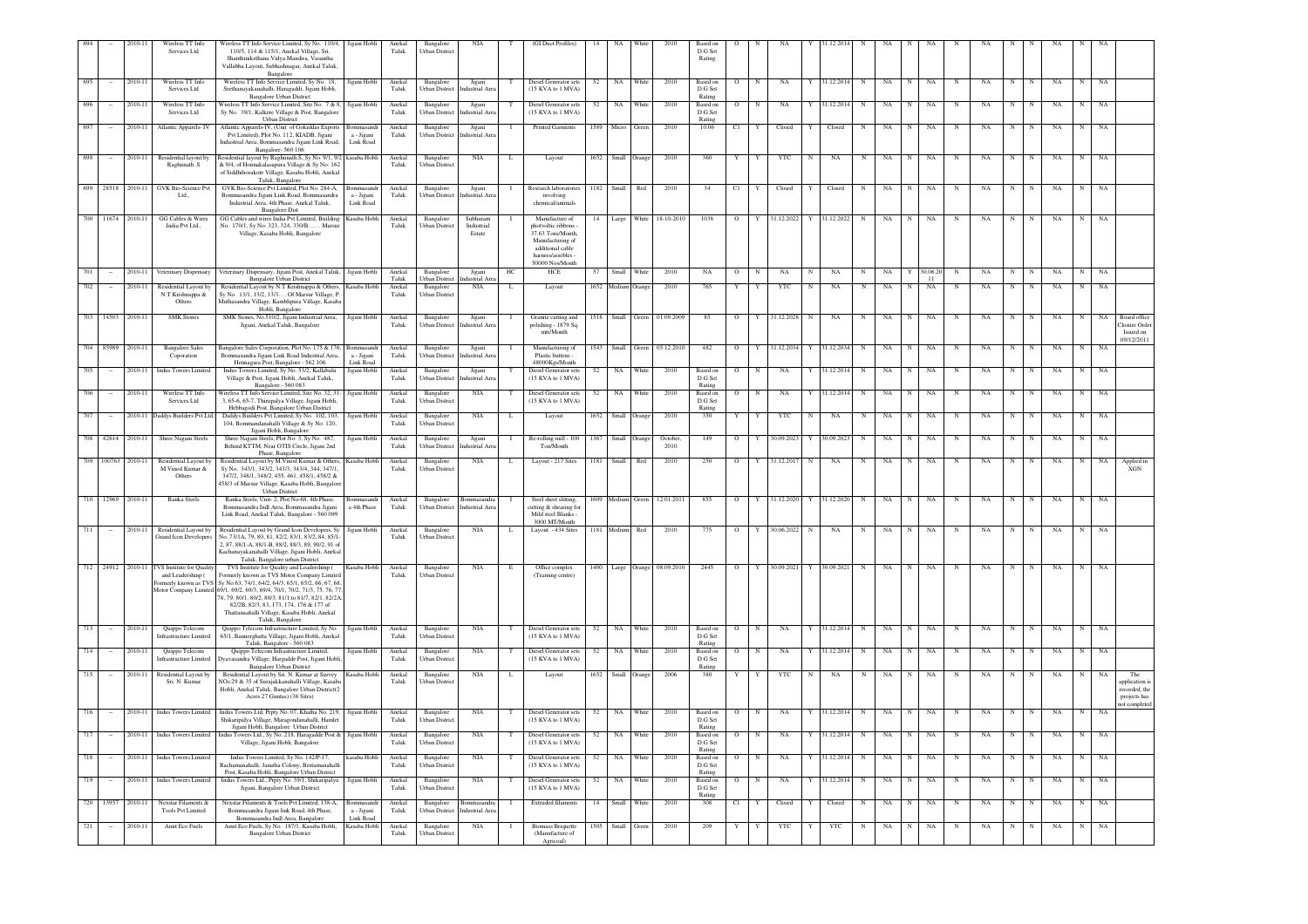|     |       |                | Wireless TT Info<br>Services Ltd                                                     | Wireless TT Info Service Limited, Sv No. 110/4.<br>110/5, 114 & 115/1, Anekal Village, Sri.<br>ikethana Vidya Mandira, Vasantha<br>Vallabha Layout, Subhashnagar, Anekal Taluk<br>Bangalore                                                                                                                                                                                                          | Jigani Hobli                                | Anckal<br>Taluk | Bangalore<br><b>Urban District</b> | <b>NIA</b>                       |              | (GI Duct Profiles)                                                                                                                      | 14   | NA<br>Whit            | 2010            | Based or<br>D.G Set<br>Rating           |          |   |             |   | 1.12.201    |            |             |   |               |            |             |            |            |             |         |                                                                  |
|-----|-------|----------------|--------------------------------------------------------------------------------------|------------------------------------------------------------------------------------------------------------------------------------------------------------------------------------------------------------------------------------------------------------------------------------------------------------------------------------------------------------------------------------------------------|---------------------------------------------|-----------------|------------------------------------|----------------------------------|--------------|-----------------------------------------------------------------------------------------------------------------------------------------|------|-----------------------|-----------------|-----------------------------------------|----------|---|-------------|---|-------------|------------|-------------|---|---------------|------------|-------------|------------|------------|-------------|---------|------------------------------------------------------------------|
|     |       |                | Wireless TT Info<br>Services Ltd                                                     | Wireless TT Info Service Limited. Sv No. 18.<br>Seethanavakanahalli, Haragaddi, Jigani Hobli,<br><b>Bangalore Urban District</b>                                                                                                                                                                                                                                                                     | Jigani Hobli                                | Anckal<br>Taluk | Bangalore<br><b>Urban District</b> | Jigani<br>ndustrial Are          |              | <b>Diesel Generator sets</b><br>(15 KVA to 1 MVA)                                                                                       | 52   | <b>NA</b><br>White    | 2010            | Based on<br>D.G Set<br>Rating           |          |   | NA          |   | 31.12.2014  |            | NA          |   |               |            | NA          |            |            |             |         |                                                                  |
|     |       |                | Wireless TT Info<br>Services Ltd                                                     | Vireless TT Info Service Limited, Site No. 7 & 8<br>Sy No. 39/1, Kalkere Village & Post, Bangalore<br><b>Urban District</b>                                                                                                                                                                                                                                                                          |                                             | Aneka<br>Taluk  | Bangalore<br><b>Urban District</b> | Jigan<br>ndustrial Are           |              | Diesel Generator sets<br>(15 KVA to 1 MVA)                                                                                              | 52   | NA                    | 2010            | Based or<br>D.G Set<br>Rating           |          |   | NA          |   | 1.12.20     |            | NA          |   |               |            |             |            |            |             |         |                                                                  |
| 697 |       | 2010-11        | Atlantic Apparels-IV                                                                 | Atlantic Apparels-IV, (Unit of Gokuldas Exports<br>Pvt Limited), Plot No. 112, KIADB, Jigani<br>Industrial Area, Bommasandra Jigani Link Road,<br>Bangalore-560 106                                                                                                                                                                                                                                  | <b>Rommasand</b><br>a - Jigani<br>Link Road | Anckal<br>Taluk | Bangalore<br>Urban District        | Jigani<br>dustrial Ar            |              | <b>Printed Garments</b>                                                                                                                 | 1589 | Micro<br>Greet        | 2010            | 10.06                                   | C1       |   | Closed      |   | Closed      |            | NA          |   | NA            |            | NA          |            |            | NA          |         |                                                                  |
| 698 |       | 2010-11        | Residential layout by<br>Raghunath .S                                                | Residential layout by Raghunath.S, Sy No. 9/1, 9/2<br>& 9/4, of Honnakalasapura Village & Sv No: 162<br>of Siddhihosakote Village, Kasaba Hobli, Anekal<br>Taluk, Bangalore                                                                                                                                                                                                                          | casaba Hobli                                | Anekal<br>Taluk | Bangalore<br><b>Urban District</b> | <b>NIA</b>                       |              | Layout                                                                                                                                  | 1652 | Small<br>Orang        | 2010            | 360                                     |          |   | YTC         |   | NA          |            | NA          |   | NA            |            | NA          |            |            |             |         |                                                                  |
| 699 | 28518 | 2010-11        | GVK Bio-Science Pvt<br>Ltd.                                                          | GVK Bio-Science Pvt Limited, Plot No. 284-A,<br>sandra Jigani Link Road, Bomm<br>Industrial Area 4th Phase Anekal Taluk<br><b>Bangalore Dist</b>                                                                                                                                                                                                                                                     | <b>Bommasand</b><br>a - Jigani<br>Link Road | Anekal<br>Taluk | Bangalore<br>Urban Distric         | Jigani<br>strial A               |              | Research laboratories<br>involving<br>chemical/animals                                                                                  | 1182 | Small<br>$\mbox{Red}$ | 2010            | 34                                      | C1       |   | Closed      |   | Closed      | N          | $_{\rm NA}$ |   | NA            | N          | $_{\rm NA}$ | N          |            | $_{\rm NA}$ | NA      |                                                                  |
| 700 |       | 11674 2010-11  | GG Cables & Wires<br>India Pvt Ltd.,                                                 | GG Cables and wires India Pvt Limited, Building<br>No. 170/1, Sy No: 323, 324, 330/B Marsur<br>Village, Kasaba Hobli, Bangalore                                                                                                                                                                                                                                                                      | Kasaba Hobi                                 | Anekal<br>Taluk | Bangalore<br>Urban Distric         | Subharan<br>Industrial<br>Estate |              | Manufacture of<br>photvoltic ribbons<br>37.63 Tons/Month<br>Manufacturing of<br>additional cable<br>harness/assebles<br>50000 Nos/Month | 14   | Large<br>White        | 18-10-2010      | 1038                                    | $\circ$  |   | 31.12.2022  |   | 31.12.2022  |            | <b>NA</b>   |   | NA            |            | NA          |            |            | NA          |         |                                                                  |
| 701 |       | 2010-11        | Veterinary Dispensary                                                                | Veterinary Dispensary, Jigani Post, Anekal Taluk,<br>Bangalore Urban District                                                                                                                                                                                                                                                                                                                        | Jigani Hobl                                 | Anekal<br>Taluk | Bangalore<br>Urban Distric         | Jigan<br>ustrial Are             |              | HCE                                                                                                                                     | 57   | Small<br>White        | 2010            | NA                                      | $\circ$  |   | NA          |   | NA          | N          | NA          |   | 0.06.20<br>11 |            | NA          |            |            | NA          |         |                                                                  |
| 702 |       | 2010-1         | Residential Layout by<br>N.T Krishnappa $\&$<br>Others                               | Residential Layout by N.T Krishnappa & Others,<br>Sy No. 13/1, 13/2, 13/3 Of Marsur Village, P.<br>Muthasandra Village, Kamblipura Village, Kasaba<br>Hobli, Bangalore                                                                                                                                                                                                                               | asaba Hobi                                  | Aneka<br>Taluk  | Bangalore<br><b>Urban Distric</b>  | <b>NIA</b>                       |              | Layout                                                                                                                                  |      | 1652 Mediu<br>Orans   | 2010            | 765                                     |          |   | YTC         |   | $_{\rm NA}$ |            | NA          |   | NA            |            | NA          |            |            | NA          | NA      |                                                                  |
| 703 | 14503 | 2010-11        | <b>SMK Stones</b>                                                                    | SMK Stones, No.510/2, Jigani Industrial Area,<br>Jigani, Anekal Taluk, Bangalore                                                                                                                                                                                                                                                                                                                     | Jigani Hobli                                | Anekal<br>Taluk | Bangalore<br>Urban Distric         | Jigani                           |              | Granite cutting and<br>polishing - 1879 Sq.<br>mtr/Month                                                                                |      | 1518 Small<br>Green   | 01.09.2009      | 85                                      | $\circ$  |   | 31.12.2028  |   | NA          | N          | $_{\rm NA}$ | N | NA            |            | NA          | N          |            | NA          |         | Board office<br>Closure Orde<br>Issued on<br>09/12/2011          |
| 704 | 85989 | 2010-11        | <b>Bangalore Sales</b><br>Coporation                                                 | Bangalore Sales Corporation, Plot No. 175 & 176,<br>Bommasandra Jigani Link Road Industrial Area,                                                                                                                                                                                                                                                                                                    | a - Jigani                                  | Anekal<br>Taluk | Bangalore<br>Urban District        | Jigani<br>dustrial Ar            |              | Manufacturing of<br>Plastic buttens                                                                                                     |      | $1543$ Small<br>Green | 05.12.2010      | 482                                     | $\circ$  |   | 31.12.2034  |   | 31.12.2034  | N          | NA.         |   | <b>NA</b>     | N          | NA          | N          | N          | <b>NA</b>   | NA      |                                                                  |
| 705 |       | 2010-11        | <b>Indus Towers Limite</b>                                                           | Hennagara Post, Bangalore - 562 106<br>Indus Towers Limited, Sy No. 53/2, Kallabalu<br>Village & Post, Jigani Hobli, Anekal Taluk,<br>Bangalore - 560 083                                                                                                                                                                                                                                            | Link Road<br>Jigani Hobli                   | Aneka<br>Taluk  | Bangalore<br><b>Urban District</b> | Jigani<br>dustrial Are           |              | 48000Kgs/Month<br>Diesel Generator sets<br>(15 KVA to 1 MVA)                                                                            | 52   | NA                    | 2010            | Based<br>D G Set<br>Rating              |          |   | NA          |   | 1.12.201    |            | NA          |   | NA            |            | NA          |            |            | NA          | NA      |                                                                  |
|     |       | 2010-1         | Wireless TT Info<br>Services Ltd                                                     | Wireless TT Info Service Limited, Site No. 32, 31-<br>3, 65-6, 65-7, Thirupalya Village, Jigani Hobli,<br>Hebbagodi Post, Bangalore Urban District                                                                                                                                                                                                                                                   | Jigani Hobli                                | Anckal<br>Taluk | Bangalore<br>Urban District        | <b>NIA</b>                       |              | <b>Diesel Generator sets</b><br>(15 KVA to 1 MVA)                                                                                       | 52   | NA<br>White           | 2010            | Based on<br>D.G Set<br>Rating           |          |   | NA          |   | 31.12.2014  |            | NA          |   | NA            |            | NA          |            |            | NA          |         |                                                                  |
|     |       |                | 2010-11 Daddys Builders Pvt Ltd                                                      | Daddys Builders Pvt Limited, Sy No. 102, 103,<br>104, Bommandanahalli Village & Sy No: 120,<br>Jigani Hobli, Bangalore                                                                                                                                                                                                                                                                               | Jigani Hobli                                | Aneka<br>Taluk  | Bangalore<br><b>Urban District</b> | <b>NIA</b>                       |              | Layout                                                                                                                                  | 1652 | Small                 | 2010            | 350                                     |          |   | YTC         |   | NA          |            | NA          |   | NA            |            | NA          |            |            |             |         |                                                                  |
| 708 | 42614 | 2010-11        | Shree Nagani Steels                                                                  | Shree Nagani Steels, Plot No: 3, Sy No. 487,<br>Behind KTTM, Near OTIS Circle, Jigani 2nd<br>Phase, Bangalore                                                                                                                                                                                                                                                                                        | Jigani Hobl                                 | Anekal<br>Taluk | Bangalore<br>Urban Distric         | Jigani<br>strial A               |              | Re-rolling mill - 100<br>Ton/Month                                                                                                      | 1367 | Small<br>Orang        | October<br>2010 | 149                                     | $\circ$  |   | 0.09.2023   |   | 60.09.202   |            | NA          |   | NA            |            | NA          |            |            | NA          |         |                                                                  |
| 709 |       | 100763 2010-11 | Residential Layout by<br>M. Vinod Kumar &<br>Others                                  | Residential Lavout by M.Vinod Kumar & Others.<br>Sv No. 343/1, 343/2, 343/3, 343/4, 344, 347/1.<br>347/2, 348/1, 348/2, 455, 461, 458/1, 458/2 &<br>458/3 of Marsur Village, Kasaba Hobli, Bangalor<br><b>Urban District</b>                                                                                                                                                                         | Kasaba Hobl                                 | Anekal<br>Taluk | Bangalore<br><b>Urban Distric</b>  | <b>NIA</b>                       | $\mathbf{L}$ | Lavout - 217 Sites                                                                                                                      | 1181 | Small<br>Red          | 2010            | 250                                     | $\Omega$ |   | 31.12.2017  |   | NA          |            | NA          |   | NA.           |            | NA          | N          |            | NA          | NA      | Applied in<br>XGN                                                |
| 710 | 12969 | 2010-11        | Ranka Steels                                                                         | Ranka Steels, Unit- 2, Plot No-68, 4th Phase,<br>Bommasandra Indl Area, Bommasandra Jigani<br>Link Road, Anekal Taluk, Bangalore - 560 099                                                                                                                                                                                                                                                           | a 4th Phase                                 | Anekal<br>Taluk | Bangalore<br><b>Urban District</b> | tommasandr<br>ndustrial Are      |              | Steel sheet slitting,<br>cutting & shearing fo<br>Mild steel Blanks<br>3000 MT/Month                                                    |      | 1609 Medium Green     | 12.01.2011      | 855                                     | $\circ$  |   | 31.12.2020  |   | 31.12.2020  | $_{\rm N}$ | NA          |   | NA            | $_{\rm N}$ | NA          | $_{\rm N}$ |            | NA          | NA      |                                                                  |
| 711 |       | 2010-11        | Residential Layout by<br>Grand Icon Developers                                       | Residential Layout by Grand Icon Developers, Sy<br>No. 73/1A, 79, 80, 81, 82/2, 83/1, 83/2, 84, 85/1-<br>2.87.88/1-A.88/1-B.88/2.88/3.89.90/2.91 of<br>Kachanavakanahalli Village, Jigani Hobli, Anekal<br>Taluk, Bangalore urban District                                                                                                                                                           | Jigani Hobl                                 | Anekal<br>Taluk | Bangalore<br>Urban Distric         | <b>NIA</b>                       | L            | Layout - 434 Sites                                                                                                                      |      | 1181 Mediu<br>Red     | 2010            | 775                                     | $\circ$  | Y | 30.06.2022  | N | NA          | N          | $_{\rm NA}$ | N | NA            | N          | NA          | N          | N          | NA          | NA<br>N |                                                                  |
| 712 |       |                | 24912 2010-11 TVS Institute for Quality<br>and Leadershinp (<br>ormerly known as TVS | TVS Institute for Quality and Leadershinp (<br>Formerly known as TVS Motor Company Limited<br>Sv No.63, 74/1, 64/2, 64/3, 65/1, 65/2, 66, 67, 68<br>Motor Company Limited 69/1, 69/2, 69/3, 69/4, 70/1, 70/2, 71/3, 75, 76, 77<br>78, 79, 80/1, 80/2, 80/3, 81/1 to 81/7, 82/1, 82/2A<br>82/2B, 82/3, 83, 173, 174, 176 & 177 of<br>Thattanaahalli Village, Kasaba Hobli, Anekal<br>Taluk, Bangalore | Kasaba Hobi                                 | Anekal<br>Taluk | Bangalore<br>Urban Distric         | <b>NIA</b>                       |              | Office complex<br>(Training centre)                                                                                                     |      | 1400 Large<br>Orango  | 08.09.2010      | 2445                                    | $\circ$  |   | 0.09.2021   |   | 0.09.2021   |            | NA          |   |               |            |             |            |            |             |         |                                                                  |
| 713 |       | 2010-11        | Quippo Telecom<br>Infrastructure Limited                                             | Quippo Telecom Infrastructure Limited, Sy No.<br>65/1, Bannerghatta Village, Jigani Hobli, Anekal<br>Taluk, Bangalore - 560 083                                                                                                                                                                                                                                                                      | Jigani Hobli                                | Anekal<br>Taluk | Bangalor<br><b>Urban Distric</b>   | <b>NIA</b>                       |              | Diesel Generator sets<br>(15 KVA to 1 MVA)                                                                                              | 52   | <b>NA</b><br>White    | 2010            | Based or<br>D G Set<br>Rating           | $\circ$  | N | $_{\rm NA}$ |   | 31.12.2014  | $_{\rm N}$ | NA          | N | NA            | $_{\rm N}$ | NA          | $_{\rm N}$ | $_{\rm N}$ | NA          | N<br>NA |                                                                  |
| 714 |       | 2010-11        | Quippo Telecom<br>nfrastructure Limited                                              | Ouippo Telecom Infrastructure Limited.<br>.<br>Dyavasandra Village, Hargadde Post, Jigani Hobli,<br><b>Bangalore Urban District</b>                                                                                                                                                                                                                                                                  | Jigani Hobli                                | Anckal<br>Taluk | Bangalore<br>Urban Distric         | <b>NIA</b>                       |              | <b>Diesel Generator sets</b><br>(15 KVA to 1 MVA)                                                                                       | 52   | NA<br>White           | 2010            | Based on<br>D.G Set<br>Rating           | $\circ$  |   | <b>NA</b>   |   | 31.12.2014  | N          | <b>NA</b>   |   | NA            | N          | <b>NA</b>   | N          |            | <b>NA</b>   | NA      |                                                                  |
| 715 |       | 2010-11        | Residential Layout by<br>Sri. N. Kumar                                               | Residential Layout by Sri. N. Kumar at Survey<br>NOs:29 & 35 of Surajakkanahalli Village, Kasaba<br>Hobli, Anekal Taluk, Bangalore Urban District(2<br>Acres 27 Guntas) (36 Sites)                                                                                                                                                                                                                   | Kasaba Hobl                                 | Anekal<br>Taluk | Bangalore<br><b>Urban Distric</b>  | <b>NIA</b>                       |              | Layou                                                                                                                                   | 1652 | Small<br>Orang        | 2006            | 380                                     |          |   | YTC         |   | NA          |            | NA          |   | NA            |            | NA          |            |            |             |         | application is<br>recorded, the<br>projects has<br>not completed |
| 716 |       | 2010-11        | Indus Towers Limited                                                                 | Indus Towers Ltd, Prpty No. 07, Khatha No. 219,<br>Shikaripalya Village, Maragondanahalli, Hamlet                                                                                                                                                                                                                                                                                                    | Jigani Hobli                                | Aneka<br>Taluk  | Bangalore<br><b>Urban Distric</b>  | <b>NIA</b>                       |              | <b>Diesel Generator sets</b><br>(15 KVA to 1 MVA)                                                                                       | 52   | NA<br>White           | 2010            | Based or<br>D.G Set                     |          |   | NA          |   | 31.12.2014  |            | NA          |   | NA            |            | NA          |            |            | NA          | NA      |                                                                  |
| 717 |       | 2010-11        | <b>Indus Towers Limited</b>                                                          | Jigani Hobli, Bangalore Urban District<br>Indus Towers Ltd., Sv No. 218, Haragadde Post &<br>Village, Jigani Hobli, Bangalore                                                                                                                                                                                                                                                                        | Jigani Hobli                                | Anekal<br>Taluk | Bangalore<br>Urban Distric         | <b>NIA</b>                       |              | <b>Diesel Generator sets</b><br>(15 KVA to 1 MVA)                                                                                       | 52   | NA<br>White           | 2010            | Rating<br>Based on<br>D.G Set<br>Rating |          |   | NA          |   | 31.12.2014  |            | NA          |   | NA            |            | NA          |            |            | NA          | NA      |                                                                  |
| 718 |       | 2010-11        | <b>Indus Towers Limited</b>                                                          | Indus Towers Limited, Sy No. 142/P-17<br>Rachamanahalli, Janatha Colony, Bestamanahalli<br>Post, Kasaba Hobli, Bangalore Urban District<br>Indus Towers Ltd., Prpty No. 39/1, Shikaripalya                                                                                                                                                                                                           | asaba Hobl                                  | Aneka<br>Taluk  | Bangalore<br><b>Urban Distric</b>  | <b>NIA</b>                       |              | Diesel Generator sets<br>(15 KVA to 1 MVA)                                                                                              | 52   | NA<br>Whit            | 2010            | Based o<br>D G Set<br>Rating            |          |   | NA          |   | 1.12.201    |            | NA          |   | NA            |            | NA          |            |            | NA          | NA      |                                                                  |
| 719 |       | 2010-11        | Indus Towers Limited                                                                 | Jigani, Bangalore Urban District                                                                                                                                                                                                                                                                                                                                                                     | Jigani Hobli                                | Anekal<br>Taluk | Bangalore<br>Urban Distric         | <b>NIA</b>                       |              | <b>Diesel Generator sets</b><br>(15 KVA to 1 MVA)                                                                                       | 52   | NA<br>White           | 2010            | Based on<br>D.G Set<br>Rating           |          |   | NA          |   | 31.12.2014  |            | NA          |   | NA            |            | NA          |            |            | NA          |         |                                                                  |
| 720 |       | 2010-11        | Nexstar Filaments &<br><b>Tools Pvt Limited</b>                                      | Nexstar Filaments & Tools Pvt Limited. 138-A.<br>Bommasandra Jigani link Road, 4th Phase.<br>Bommasandra Indl Area, Bangalore                                                                                                                                                                                                                                                                        | a - Jigani<br>Link Road                     | Anekal<br>Taluk | Bangalore<br><b>Urban District</b> | dommacandr<br>ndustrial Are      |              | Extruded filaments                                                                                                                      | 14   | Small<br>White        | 2010            | 308                                     |          |   | Closed      |   | Closed      |            | NA          |   | NA            |            | NA          |            |            | NA          |         |                                                                  |
|     |       | 2010-1         | Amit Eco Fuels                                                                       | Amit Eco Fuels, Sy No. 187/1, Kasaba Hobli,<br><b>Bangalore Urban District</b>                                                                                                                                                                                                                                                                                                                       | Kasaba Hobl                                 | Anekal<br>Taluk | Bangalore<br>Urban Distric         | <b>NIA</b>                       |              | <b>Biomass Briquette</b><br>(Manufacture of<br>Agricoal)                                                                                | 1505 | Small                 | 2010            | 209                                     |          |   | <b>YTC</b>  |   | <b>YTC</b>  |            | NA          |   |               |            | NA          |            |            |             |         |                                                                  |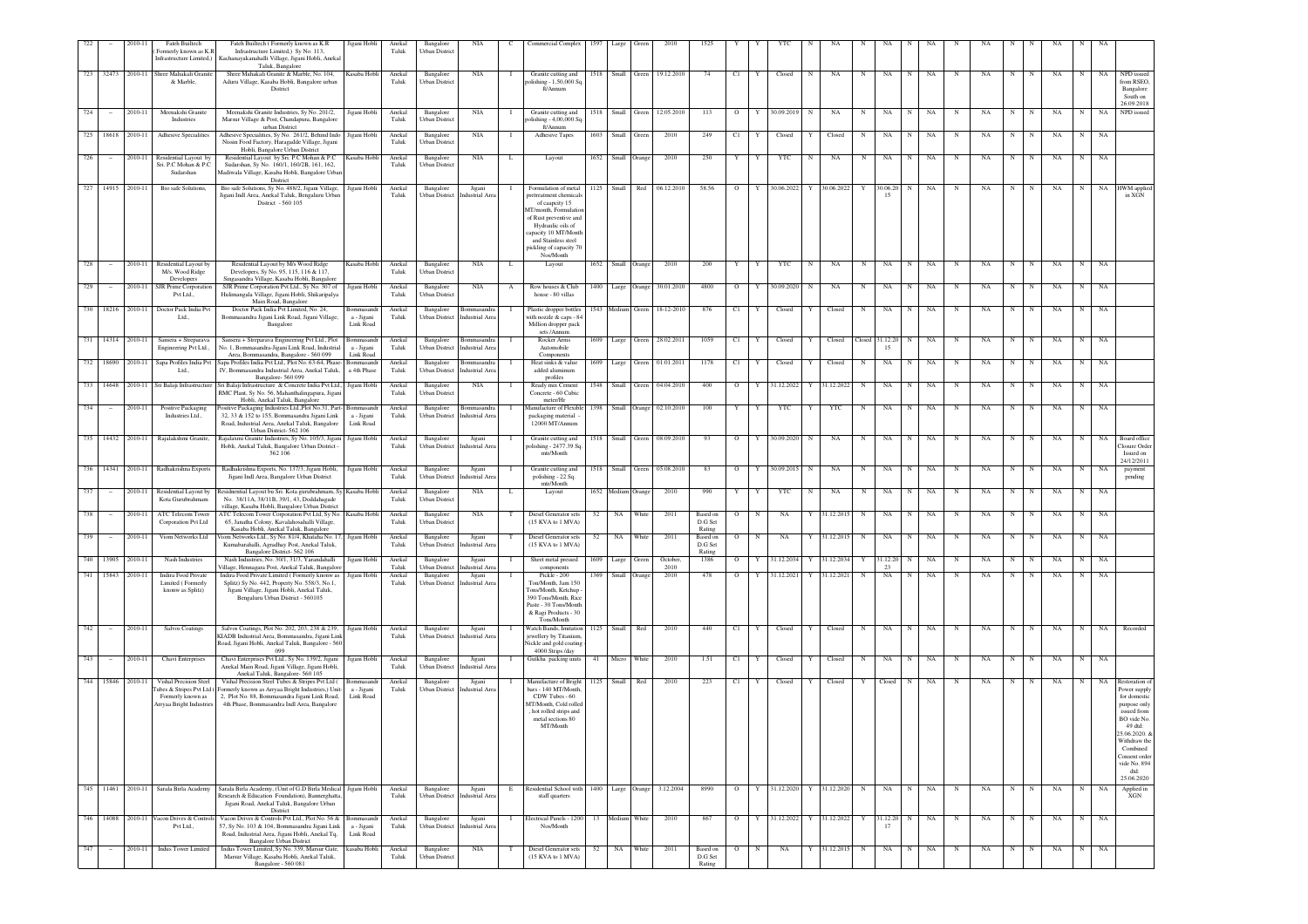|            |                | 2010-1             | Fatch Builtech                                                 | Fatch Builtech (Formerly known as K R                                                                                                                                                  | Jigani Hobli                          | Anckal                    | Bangalore                                       | NIA                                  |              | <b>Commercial Complex</b>                                                   | 1597         | Large             | Green          | 2010                     | 1525                                 |                    |   |                          |   |                           |            |                             |            |                    |            |                   |            |             |                 |             |             |                                                   |
|------------|----------------|--------------------|----------------------------------------------------------------|----------------------------------------------------------------------------------------------------------------------------------------------------------------------------------------|---------------------------------------|---------------------------|-------------------------------------------------|--------------------------------------|--------------|-----------------------------------------------------------------------------|--------------|-------------------|----------------|--------------------------|--------------------------------------|--------------------|---|--------------------------|---|---------------------------|------------|-----------------------------|------------|--------------------|------------|-------------------|------------|-------------|-----------------|-------------|-------------|---------------------------------------------------|
|            |                |                    | Formerly known as K.<br>Infrastructure Limited,)               | Infrastructure Limited,) Sy No. 113,<br>Kachanayakanahalli Village, Jigani Hobli, Anekal<br>Taluk, Bangalore                                                                           |                                       | Taluk                     | <b>Urban Distric</b>                            |                                      |              |                                                                             |              |                   |                |                          |                                      |                    |   |                          |   |                           |            |                             |            |                    |            |                   |            |             |                 |             |             |                                                   |
|            |                |                    | 723 32473 2010-11 Shree Mahakali Granite<br>& Marble.          | Shree Mahakali Granite & Marble, No. 104,<br>Aduru Village, Kasaba Hobli, Bangalore urban                                                                                              | Kasaba Hobli                          | Anckal<br>Taluk           | Bangalore<br><b>Urban District</b>              | <b>NIA</b>                           |              | Granite cutting and<br>polishing - 1,50,000 Sq                              |              | 1518 Small Green  |                | 19.12.2010               | 74                                   | C1                 | Y | Closed                   |   | <b>NA</b>                 | N          | NA                          |            | NA                 |            | NA                | N          |             | NA              |             | NA          | NPD issued<br>from RSEO.                          |
|            |                |                    |                                                                | District                                                                                                                                                                               |                                       |                           |                                                 |                                      |              | ft/Annum                                                                    |              |                   |                |                          |                                      |                    |   |                          |   |                           |            |                             |            |                    |            |                   |            |             |                 |             |             | Bangalore<br>South on<br>26.09.2018               |
| 724        |                | 2010-11            | Meenakshi Granite<br>Industries                                | Meenakshi Granite Industries, Sy No. 201/2,<br>Marsur Village & Post, Chandapura, Bangalore<br>urban District                                                                          | Jigani Hobli                          | Anekal<br>Taluk           | Bangalore<br><b>Urban District</b>              | $_{\rm NIA}$                         |              | Granite cutting and<br>oolishing - 4,00,000 So<br>ft/Annum                  |              | 1518 Small Green  |                | 12.05.2010               | 113                                  | $\circ$            |   | 30.09.2019               |   | NA                        | N          | $_{\rm NA}$                 | N          | $_{\rm NA}$        | N          | NA                | N          | N           | NA              |             | $_{\rm NA}$ | NPD issued                                        |
| 725        |                | 18618 2010-11      | Adhesive Specialities                                          | Adhesive Specialities, Sy No. 261/2, Behind Indo<br>Nissin Food Factory, Haragadde Village, Jigani<br>Hobli, Bangalore Urban District                                                  | Jigani Hobli                          | Anckal<br>Taluk           | Bangalore<br><b>Urban Distric</b>               | NIA                                  |              | <b>Adhesive Tapes</b>                                                       |              | 1603 Small Green  |                | 2010                     | 249                                  | C1                 | Y | Closed                   |   | Closed                    | N          | NA                          | N          | NA                 | N          | NA                | N          | N           | NA              | N           | NA          |                                                   |
| 726        |                | 2010-11            | Residential Layout by<br>Sri. P.C Mohan & P.C<br>Sudarshan     | Residential Layout by Sri. P.C Mohan & P.C<br>Sudarshan, Sy No. 160/1, 160/2B, 161, 162,<br>Madiwala Village, Kasaba Hobli, Bangalore Urba<br>District                                 | Kasaba Hobli                          | Anckal<br>Taluk           | Bangalore<br><b>Urban District</b>              | <b>NIA</b>                           | L            | Layout                                                                      |              | 1652 Small Orange |                | 2010                     | 250                                  | Y                  | Y | <b>YTC</b>               | N | NA                        | N          | NA                          | N          | NA                 | N          | NA                | N          | N           | <b>NA</b>       | N           | NA          |                                                   |
| 727        | 14915          | 2010-11            | Bio safe Solutions,                                            | Bio safe Solutions, Sy No. 488/2, Jigani Village,<br>Jigani Indl Area, Anekal Taluk, Bengaluru Urbar                                                                                   | Jigani Hobli                          | Anekal<br>Taluk           | Bangalore<br><b>Urban District</b>              | Jigani<br>ndustrial Are              |              | Formulation of metal<br>pretreatment chemical                               | 1125         | Small             | Red            | 06.12.2010               | 58.56                                | $\circ$            |   | 0.06.2022                |   | 30.06.2022                |            | 30.06.20<br>15              | N          | NA                 | N          | <b>NA</b>         | N          | N           | NA              | N           | NA          | <b>HWM</b> applied<br>in XGN                      |
|            |                |                    |                                                                | District - 560 105                                                                                                                                                                     |                                       |                           |                                                 |                                      |              | of caapcity 15<br>MT/month, Formulati<br>of Rust preventive and             |              |                   |                |                          |                                      |                    |   |                          |   |                           |            |                             |            |                    |            |                   |            |             |                 |             |             |                                                   |
|            |                |                    |                                                                |                                                                                                                                                                                        |                                       |                           |                                                 |                                      |              | Hydraulic oils of<br>apacity 10 MT/Month<br>and Stainless steel             |              |                   |                |                          |                                      |                    |   |                          |   |                           |            |                             |            |                    |            |                   |            |             |                 |             |             |                                                   |
| 728        | $\sim$         | 2010-11            | Residential Layout by                                          | Residential Layout by M/s Wood Ridge                                                                                                                                                   | Kasaba Hobli                          | Anekal                    | Bangalore                                       | <b>NIA</b>                           | L            | pickling of capacity 7<br>Nos/Month<br>Layout                               | 1652         | Small Orange      |                | 2010                     | 200                                  | Y                  |   | YTC                      | N | NA                        | $_{\rm N}$ | NA                          | $_{\rm N}$ | NA                 | N          | $_{\rm NA}$       | $_{\rm N}$ | N           | $_{\rm NA}$     | N           | $_{\rm NA}$ |                                                   |
| 729        |                |                    | M/s. Wood Ridge<br>Developers<br>2010-11 SJR Prime Corporation | Developers, Sy No. 95, 115, 116 & 117,<br>Singasandra Village, Kasaba Hobli, Bangalore<br>SJR Prime Corporation Pvt Ltd., Sy No. 307 of                                                | Jigani Hobli                          | Taluk<br>Anekal           | <b>Urban Distric</b><br>Bangalore               | <b>NIA</b>                           | $\mathbf{A}$ | Row houses & Club                                                           |              | 1400 Large Orange |                | 30.01.2010               | 4800                                 | $\circ$            | Y | 30.09.2020               | N | NA                        | N          | NA                          | $_{\rm N}$ | NA                 | N          | $_{\rm NA}$       | N          | N           | NA              | N           | NA          |                                                   |
| 730        |                |                    | Pvt Ltd.,<br>18216 2010-11 Doctor Pack India Pvt               | Hulimangala Village, Jigani Hobli, Shikaripalya<br>Main Road, Bangalore<br>Doctor Pack India Pvt Limited, No. 24,                                                                      | <b>Bommasandr</b>                     | Taluk<br>Anckal           | Urban Distric<br>Bangalore                      | <b>Bommasandra</b>                   |              | house - 80 villas<br>Plastic dropper bottles                                |              | 1543 Medium Green |                | 18-12-2010               | 876                                  | C1                 | Y | Closed                   |   | Closed                    | N          | NA                          | N          | NA                 | N          | NA                | N          | N           | <b>NA</b>       | N           | NA          |                                                   |
|            |                |                    | Ltd.                                                           | Bommasandra Jigani Link Road, Jigani Village,<br>Bangalore                                                                                                                             | a - Jigani<br>Link Road               | Taluk                     | <b>Urban Distric</b>                            | ndustrial Are                        |              | vith nozzle & caps - 8<br>Million dropper pack<br>sets /Annum               |              |                   |                |                          |                                      |                    |   |                          |   |                           |            |                             |            |                    |            |                   |            |             |                 |             |             |                                                   |
|            |                | 731 14314 2010-11  | Sansera + Streparava<br>Engineering Pvt Ltd.,                  | Sansera + Streparava Engineering Pvt Ltd., Plot<br>No. 1, Bommasandra-Jigani Link Road, Industrial<br>Area, Bommasandra, Bangalore - 560 099                                           | Bommasandı<br>a - Jigani<br>Link Road | Anekal<br>Taluk           | Bangalore<br><b>Urban District</b>              | Bommasandra<br>ndustrial Are         |              | Rocker Arms<br>Automobile<br>Components                                     |              | 1609 Large Green  |                | 28.02.2011               | 1059                                 | C1                 |   | Closed                   |   | Closed                    |            | Closed 31.12.20<br>15       | N          | NA                 | N          | NA                | N          |             | NA              | N           | NA          |                                                   |
|            |                | 732 18690 2010-11  | Sapa Profiles India Pvt<br>Ltd                                 | Sana Profiles India Pvt Ltd Plot No. 63-64 Phase-<br>IV. Bommasandra Industrial Area, Anekal Taluk.<br>Bangalore-560 099                                                               | Bommasandr<br>a 4th Phase             | Anckal<br>Taluk           | Bangalore<br><b>Urban District</b>              | Bommasandra<br><b>Industrial Are</b> |              | Heat sinks & value<br>added aluminum<br>profiles                            |              | 1609 Large Green  |                | 01.01.2011               | 1178                                 | C1                 |   | Closed                   |   | Closed                    | N          | NA                          |            | NA                 | N          | NA                | N          |             | <b>NA</b>       |             | NA          |                                                   |
| 733        |                |                    | 14648 2010-11 Sri Balaji Infrastructure                        | Sri Balaji Infrastructure & Concrete India Pvt Ltd.,<br>RMC Plant, Sy No. 56, Mahanthalingapura, Jigani<br>Hobli, Anekal Taluk, Bangalore                                              | Jigani Hobli                          | Anckal<br>Taluk           | Bangalore<br><b>Urban Distric</b>               | <b>NIA</b>                           |              | Ready mix Cement<br>Concrete - 60 Cubic                                     | 1548         | Small             | Green          | 04.04.2010               | 400                                  | $\overline{O}$     |   | 31.12.2022               |   | 31.12.2022                | N          | NA                          | N          | NA                 |            | NA                | N          |             | NA              |             | NA          |                                                   |
| 734        |                | 2010-11            | <b>Positive Packaging</b><br>Industries Ltd.,                  | ositive Packaging Industries Ltd., Plot No.31, Part-<br>32, 33 & 152 to 155, Bommasandra Jigani Link<br>Road, Industrial Area, Anekal Taluk, Bangalore                                 | a - Jigani                            | Anekal<br>Taluk           | Bangalore<br><b>Urban District</b>              | <b>Bommasand</b><br>Industrial Are   |              | meter/Hr<br>Manufacture of Flexible<br>packaging material<br>12000 MT/Annun | 1398         |                   | Small Orange   | 02.10.2010               | 100                                  |                    |   | YTC                      |   | <b>YTC</b>                | N          | NA                          |            | NA                 | N          | NA                | N          |             | NA              | N           | NA          |                                                   |
|            |                |                    | 735 14432 2010-11 Rajalakshmi Granite                          | Urban District-562 106<br>Rajalaxmi Granite Industries, Sy No. 105/3, Jigani<br>Hobli, Anekal Taluk, Bangalore Urban District -                                                        | Link Road<br>Jigani Hobli             | Anekal<br>Taluk           | Bangalore<br><b>Urban District</b>              | Jigani<br>ndustrial Are              |              | Granite cutting and<br>polishing - 2477.39 Sq                               | 1518         |                   | Small Green    | 08.09.2010               | 93                                   |                    |   | 30.09.2020               |   | NA                        |            | NA                          |            | NA                 |            | NA                |            |             |                 |             |             | Board office<br>Closure Order                     |
| 736        |                |                    | 14341 2010-11 Radhakrishna Exports                             | 562 106<br>Radhakrishna Exports, No. 137/3, Jigani Hobli,                                                                                                                              | Jigani Hobli                          | Anekal                    | Bangalore                                       | Jigani                               |              | mtr/Month<br>Granite cutting and                                            | 1518         |                   | Small Green    | 05.08.2010               | 83                                   | $\circ$            |   | 30.09.2015               |   | NA                        | N          | NA                          |            | NA                 | N          | NA                | N          |             | NA              |             | NA          | Issued on<br>24/12/2011<br>payment                |
| 737        |                | 2010-11            | Residential Layout by                                          | Jigani Indl Area, Bangalore Urban District<br>Residnential Layout bu Sri. Kota gurubrahmam, S                                                                                          | Kasaba Hobl                           | Taluk<br>Anekal           | Urban District                                  | ndustrial Are<br><b>NIA</b>          | $\mathbf{L}$ | polishing - 22 Sq.<br>mtr/Month                                             |              | 1652 Medium Orang |                | 2010                     | 990                                  | Y                  |   | YTC                      | N | NA                        | N          | NA                          | N          | NA                 | N          | NA                | N          | N           | NA              | N           | NA          | pending                                           |
|            |                |                    | Kota Gurubrahman                                               | No. 38/11A, 38/11B, 39/1, 43, Doddahagade<br>village, Kasaba Hobli, Bangalore Urban District                                                                                           |                                       | Taluk                     | Bangalore<br><b>Urban District</b>              |                                      |              | Layout                                                                      |              |                   |                |                          |                                      |                    |   |                          |   |                           |            |                             |            |                    |            |                   |            |             |                 |             |             |                                                   |
| 738        | $\sim$         | 2010-11            | <b>ATC Telecom Tower</b><br>Corporation Pvt Ltd                | ATC Telecom Tower Corporation Pvt Ltd, Sy No.<br>65, Janatha Colony, Kavalahosahalli Village,<br>Kasaba Hobli, Anekal Taluk, Bangalore                                                 | Kasaba Hobli                          | Anekal<br>Taluk           | Bangalore<br><b>Urban Distric</b>               | NIA                                  |              | Diesel Generator sets<br>(15 KVA to 1 MVA)                                  | 52           | NA                | White          | 2011                     | Based on<br>D.G Set<br>Rating        | $\circ$            | N | <b>NA</b>                |   | 31.12.2015                | N          | NA                          | N          | NA                 | N          | NA                | N          | N           | NA              | N           | NA          |                                                   |
| 739        | $\rightarrow$  | 2010-11            | Viom Networks Ltd                                              | Viom Networks Ltd., Sy No. 81/4, Khataha No. 17,<br>Kumabarahalli, Agradhay Post, Anekal Taluk,<br>Bangalore District-562 106                                                          | Jigani Hobli                          | Anekal<br>Taluk           | Bangalore<br><b>Urban District</b>              | Jigani<br>ndustrial Are              |              | <b>Diesel Generator sets</b><br>(15 KVA to 1 MVA)                           | 52           | NA                | White          | 2011                     | Based on<br>D.G Set<br>Rating        | $\circ$            | N | NA                       |   | 31.12.2015                | N          | NA                          | N          | NA                 | N          | NA                | N          | N           | <b>NA</b>       | N           | $_{\rm NA}$ |                                                   |
| 740<br>741 | 13905<br>15843 | 2010-11<br>2010-11 | Nash Industries<br>Indira Food Private                         | Nash Industries, No. 30/1, 31/3, Yarandahalli<br>Village, Hennagara Post, Anekal Taluk, Bangalore<br>Indira Food Private Limited (Formerly knonw as                                    | Jigani Hobli<br>Jigani Hobli          | Anekal<br>Taluk<br>Anekal | Bangalore<br><b>Urban District</b><br>Bangalore | Jigani<br>dustrial Are<br>Jigani     |              | Sheet metal pressed<br>components<br>Pickle - 200                           | 1609<br>1369 | Large<br>Small    | Greer<br>Orang | October,<br>2010<br>2010 | 1386<br>478                          | $\circ$<br>$\circ$ |   | 31.12.2034<br>31.12.2021 |   | 31.12.2034<br>31.12.2021  | N          | 31.12.20<br>23<br><b>NA</b> | N          | $_{\rm NA}$<br>NA. | N<br>N     | $_{\rm NA}$<br>NA | N<br>N     | N<br>N      | NA<br><b>NA</b> | N           | NA<br>NA    |                                                   |
|            |                |                    | Limited (Formerly<br>knonw as Splitz)                          | Splitz) Sy No. 442, Property No. 558/3, No.1,<br>Jigani Village, Jigani Hobli, Anekal Taluk,<br>Bengaluru Urban District - 560105                                                      |                                       | Taluk                     | <b>Urban District</b>                           | ndustrial Are                        |              | Ton/Month, Jam 150<br>Tons/Month, Ketchup<br>390 Tons/Month, Rice           |              |                   |                |                          |                                      |                    |   |                          |   |                           |            |                             |            |                    |            |                   |            |             |                 |             |             |                                                   |
|            |                |                    |                                                                |                                                                                                                                                                                        |                                       |                           |                                                 |                                      |              | Paste - 30 Tons/Montl<br>& Ragi Products - 30<br>Tons/Month                 |              |                   |                |                          |                                      |                    |   |                          |   |                           |            |                             |            |                    |            |                   |            |             |                 |             |             |                                                   |
| 742        | $\sim$         | 2010-11            | <b>Salvos Coatings</b>                                         | Salvos Coatings, Plot No. 202, 203, 238 & 239,<br>KIADB Industrial Area, Bommasandra, Jigani Link<br>Road, Jigani Hobli, Anekal Taluk, Bangalore - 560                                 | Jigani Hobli                          | Anckal<br>Taluk           | Bangalore<br><b>Urban District</b>              | Jigani<br>ndustrial Are              |              | Watch Bands, Imitation<br>ewellery by Titaniun<br>Vickle and gold coatin    |              | 1125 Small Red    |                | 2010                     | 440                                  | Cl                 | Y | Closed                   |   | Closed                    | N          | NA                          | N          | NA                 | N          | NA.               | N          | N           | <b>NA</b>       | $_{\rm N}$  | NA          | Recorded                                          |
| 743        | $\sim$         | 2010-11            | Chavi Enterprises                                              | 099<br>Chavi Enterprises Pvt Ltd., Sy No. 139/2, Jigani<br>Anekal Main Road, Jigani Village, Jigani Hobli,                                                                             | Jigani Hobli                          | Anckal<br>Taluk           | Bangalore<br><b>Urban District</b>              | Jigani<br>ndustrial Are              |              | 4000 Strips /day<br>Gutkha packing units                                    |              | 41 Micro          | White          | 2010                     | 1.51                                 | C1                 | Y | Closed                   | Y | Closed                    | N          | NA                          | $_{\rm N}$ | NA                 | $_{\rm N}$ | NA                | N          | $\mathbf N$ | NA              | $\mathbf N$ | NA          |                                                   |
| 744        | 15846          | 2010-11            | Vishal Precision Steel<br>Tubes & Stripes Pvt Ltd              | Anekal Taluk, Bangalore- 560 105<br>Vishal Precision Steel Tubes & Stripes Pvt Ltd (<br>ormerly known as Arryaa Bright Industries.) Unit                                               | Bommasandı<br>a - Jigani              | Anekal<br>Taluk           | Bangalore                                       | Jigani                               |              | Manufacture of Bright<br>bars - 140 MT/Month                                | 1125         | Small             | Red            | 2010                     | 223                                  | C1                 |   | Closed                   |   | Closed                    | Y          | Closed                      | N          | NA.                | N          | <b>NA</b>         | N          | N           | NA              |             | NA          | Restoration of                                    |
|            |                |                    | Formerly known as<br>Arryaa Bright Industrie                   | 2, Plot No. 88, Bommasandra Jigani Link Road,<br>4th Phase, Bommasandra Indl Area, Bangalore                                                                                           | Link Road                             |                           | <b>Urban District</b>                           | ndustrial An                         |              | CDW Tubes - 60<br>4T/Month, Cold rolle                                      |              |                   |                |                          |                                      |                    |   |                          |   |                           |            |                             |            |                    |            |                   |            |             |                 |             |             | Power supply<br>for domestic<br>purpose only      |
|            |                |                    |                                                                |                                                                                                                                                                                        |                                       |                           |                                                 |                                      |              | hot rolled strips and<br>metal sections 80<br>MT/Month                      |              |                   |                |                          |                                      |                    |   |                          |   |                           |            |                             |            |                    |            |                   |            |             |                 |             |             | issued from<br>BO vide No.<br>49 dtd:             |
|            |                |                    |                                                                |                                                                                                                                                                                        |                                       |                           |                                                 |                                      |              |                                                                             |              |                   |                |                          |                                      |                    |   |                          |   |                           |            |                             |            |                    |            |                   |            |             |                 |             |             | 5.06.2020. &<br>Withdraw the<br>Combined          |
|            |                |                    |                                                                |                                                                                                                                                                                        |                                       |                           |                                                 |                                      |              |                                                                             |              |                   |                |                          |                                      |                    |   |                          |   |                           |            |                             |            |                    |            |                   |            |             |                 |             |             | Consent order<br>vide No. 894<br>dtd <sup>-</sup> |
| 745        |                |                    | 11461 2010-11 Sarala Birla Academy                             | Sarala Birla Academy, (Unit of G.D Birla Medical                                                                                                                                       | Jigani Hobli                          | Anekal                    | Bangalore                                       | Jigani                               | E            | Residential School with 1400 Large Orange                                   |              |                   |                | 3.12.2004                | 8990                                 | $\circ$            |   |                          |   | Y 31.12.2020 Y 31.12.2020 | N          | NA .                        | N          | NA                 | $_{\rm N}$ | NA                | N          | $\mathbf N$ | NA              | N           | NA          | 25.06.2020<br>Applied in                          |
|            |                |                    |                                                                | Research & Education Foundation), Bannerghatta,<br>Jigani Road, Anekal Taluk, Bangalore Urban<br>District                                                                              |                                       | Taluk                     | <b>Urban District</b>                           | Industrial Are                       |              | staff quarters                                                              |              |                   |                |                          |                                      |                    |   |                          |   |                           |            |                             |            |                    |            |                   |            |             |                 |             |             | <b>XGN</b>                                        |
| 746        | 14088          |                    | 2010-11 Vacon Drives & Contro<br>Pvt Ltd.,                     | Vacon Drives & Controls Pvt Ltd., Plot No. 56 &<br>57, Sy No. 103 & 104, Bommasandra Jigani Link<br>Road, Industrial Area, Jigani Hobli, Anekal Tq,<br><b>Bangalore Urban District</b> | Bommasandı<br>a - Jigani<br>Link Road | Anckal<br>Taluk           | Bangalore<br><b>Urban District</b>              | Jigani<br>Industrial Are             |              | Electrical Panels - 1200<br>Nos/Month                                       | 13           | Medium White      |                | 2010                     | 867                                  | $\circ$            |   | 31.12.2022               |   | Y 31.12.2022              | Y          | 31.12.20<br>17              | N          | NA                 | N          | NA                | N          | N           | <b>NA</b>       | N           | NA          |                                                   |
| 747        |                | 2010-11            | <b>Indus Tower Limited</b>                                     | Indus Tower Limited, Sy No. 339, Marsur Gate,<br>Marsur Village, Kasaba Hobli, Anekal Taluk,<br>Bangalore - 560 081                                                                    | kasaba Hobli                          | Anekal<br>Taluk           | Bangalore<br><b>Urban District</b>              | NIA                                  |              | <b>Diesel Generator sets</b><br>(15 KVA to 1 MVA)                           | 52           | NA                | White          | 2011                     | <b>Based</b> on<br>D.G Set<br>Rating | $\circ$            | N | NA                       |   | 31.12.2015                | N          | NA                          | N          | NA                 | N          | NA                |            | N           | NA              |             | NA          |                                                   |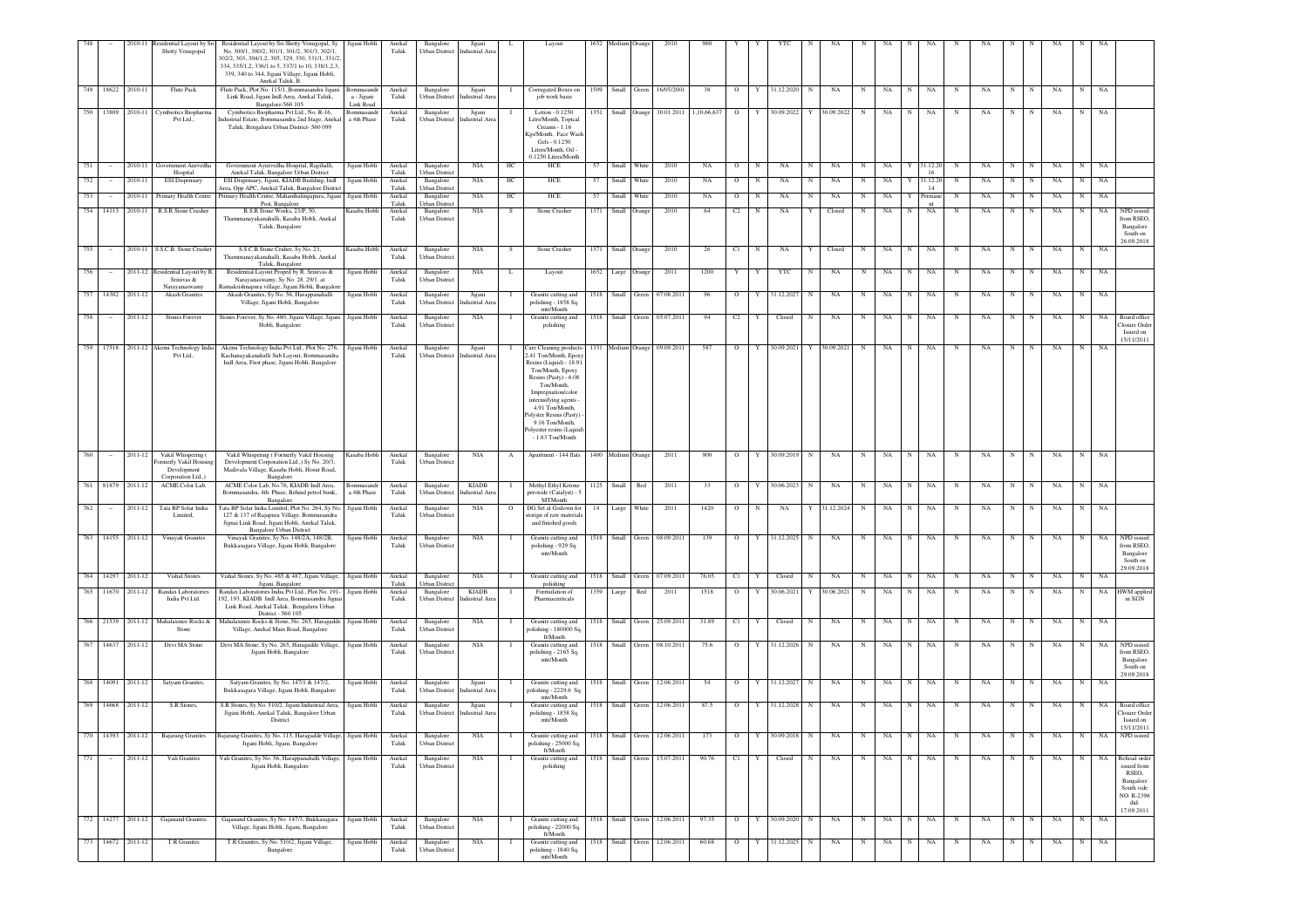|     |           | 2010-11           | esidential Layout by Sı<br>Shetty Venugopal                                     | Residential Layout by Sri Shetty Venugopal, Sy<br>No. 300/1, 300/2, 301/1, 301/2, 301/3, 302/1.<br>302/2, 303, 304/1.2, 305, 329, 330, 331/1, 331/2<br>334, 335/1,2, 336/1 to 5, 337/1 to 10, 338/1,2,3.<br>339, 340 to 344, Jigani Village, Jigani Hobli,<br>Anekal Taluk, B | Jigani Hobl                                        | Anekal<br>Taluk | Bangalore<br><b>Urban District</b> | Jigan<br><b>Industrial Area</b>        | L.           | Layout                                                                                                                                                                                                                                                                                                  | 1652 Medium        | <b>Drange</b> | 2010                                     |       |                |   | YTC         |   |             |   |             |            |                |            |             |                 |     |   |             |                                                                                                      |
|-----|-----------|-------------------|---------------------------------------------------------------------------------|-------------------------------------------------------------------------------------------------------------------------------------------------------------------------------------------------------------------------------------------------------------------------------|----------------------------------------------------|-----------------|------------------------------------|----------------------------------------|--------------|---------------------------------------------------------------------------------------------------------------------------------------------------------------------------------------------------------------------------------------------------------------------------------------------------------|--------------------|---------------|------------------------------------------|-------|----------------|---|-------------|---|-------------|---|-------------|------------|----------------|------------|-------------|-----------------|-----|---|-------------|------------------------------------------------------------------------------------------------------|
|     |           | 749 18622 2010-11 | Flute Pack                                                                      | Flute Pack, Plot No. 115/1, Bommasandra Jigani<br>Link Road, Jigani Indl Area, Anekal Taluk,<br>Bangalore-560 105                                                                                                                                                             | <b>Bommasand</b><br>a - Jigani<br><b>Link Road</b> | Anekal<br>Taluk | Bangalore<br><b>Urban District</b> | Jigani<br>ndustrial Area               |              | Corrugated Boxes on<br>job work basis                                                                                                                                                                                                                                                                   | 1509 Small Green   |               | 16/05/2001                               | 38    | $\circ$        |   | 31.12.2020  |   | NA          | N | NA          |            | NA             |            | NA          | N               | NA  |   | NA          |                                                                                                      |
|     |           |                   | 750 13809 2010-11 Cymbiotics Biopharma<br>Pvt Ltd.,                             | Cymbiotics Biopharma Pvt Ltd., No. R-16,<br>adustrial Estate, Bommasandra 2nd Stage, Anekal<br>Taluk, Bengaluru Urban District- 560 099                                                                                                                                       | Bommasandr<br>a 4th Phase                          | Anekal<br>Taluk | Bangalore<br><b>Urban District</b> | Jigani<br><b>Industrial Area</b>       |              | Lotion - 0.1250<br>Litrs/Month, Topical<br>Creams - 1.16<br>Kgs/Month, Face Wash<br>Gels - 0.1250<br>Liters/Month Oil<br>0.1250 Liters/Month                                                                                                                                                            |                    |               | 1351 Small Orange 30.01.2011 1,10,66,637 |       | $\circ$        |   | 30.09.2022  |   | 30.09.2022  |   | NA          | N          | NA             |            | NA          | N<br>N          | NA  | N | <b>NA</b>   |                                                                                                      |
| 751 | $\sim$    | 2010-11           | Government Aurvedha<br>Hospital                                                 | Government Ayurvedha Hospital, Ragihalli,<br>Anekal Taluk, Bangalore Urban District                                                                                                                                                                                           | Jigani Hobli                                       | Anekal<br>Taluk | Bangalore<br><b>Urban District</b> | <b>NIA</b>                             | HC           | HCE                                                                                                                                                                                                                                                                                                     | Small<br>57        | White         | 2010                                     | NA    | $\circ$        | N | NA          |   | NA          | N | NA          |            | 31.12.20<br>16 | N          | NA          | N<br>N          | NA  | N | NA          |                                                                                                      |
| 752 |           | 2010-11           | <b>ESI</b> Dispensary                                                           | ESI Dispensary, Jigani, KIADB Building, Indl<br>Area, Opp APC, Anekal Taluk, Bangalore District                                                                                                                                                                               | Jigani Hobl                                        | Anekal<br>Taluk | Bangalore<br><b>Urban District</b> | NIA                                    | HC           | HCE                                                                                                                                                                                                                                                                                                     | Small<br>57        | White         | 2010                                     | NA    | $\circ$        |   | NA          |   | NA          | N | NA          |            | 31.12.20<br>14 |            | NA          | N               | NA  | N | NA          |                                                                                                      |
| 753 |           | 2010-11           | Primary Health Centre                                                           | Primary Health Centre, Mahanthalingapura, Jigani<br>Post, Bangalore                                                                                                                                                                                                           | Jigani Hobli                                       | Anekal<br>Taluk | Bangalore<br><b>Urban District</b> | NIA                                    | HC           | HCE                                                                                                                                                                                                                                                                                                     | 57<br>Small        | White         | 2010                                     | NA    | $\mathbf{o}$   | N | NA          |   | NA          | N | NA          |            | Permano<br>nt  | N          | NA          | N<br>N          | NA  | N | NA          |                                                                                                      |
| 754 | 14113     | 2010-11           | R.S.R Stone Crusher                                                             | R.S.R Stone Works, 23/P, 50<br>Thammanayakanahalli, Kasaba Hobli, Anekal<br>Taluk, Bangalore                                                                                                                                                                                  | Casaba Hobl                                        | Anekal<br>Taluk | Bangalore<br><b>Urban District</b> | $_{\rm NIA}$                           | s            | Stone Crusher                                                                                                                                                                                                                                                                                           | 1371<br>Small      | <b>Drange</b> | 2010                                     | 64    | C <sub>2</sub> | N | $_{\rm NA}$ |   | Closed      | N | $_{\rm NA}$ | N          | $_{\rm NA}$    | N          | $_{\rm NA}$ | N<br>$_{\rm N}$ | NA  | N | NA          | NPD issued<br>from RSEO.<br>Bangalore<br>South on<br>26.09.2018                                      |
| 755 | $\sim$    |                   | 2010-11 S.S.C.B. Stone Crusher                                                  | S.S.C.B Stone Cruher, Sy No. 23,<br>Thammanayakanahalli, Kasaba Hobli, Anekal<br>Taluk, Bangalore                                                                                                                                                                             | Kasaba Hobli                                       | Anckal<br>Taluk | Bangalore<br><b>Urban Distric</b>  | <b>NIA</b>                             | -S           | Stone Crusher                                                                                                                                                                                                                                                                                           | 1371 Small Orange  |               | 2010                                     | 26    | Cl             | N | NA          |   | Closed      | N | NA          | N          | NA             | - N        | NA          | N<br>N          | NA  | N | NA          |                                                                                                      |
| 756 |           |                   | 2011-12 Residential Layout by R<br>Srinivas &                                   | Residential Layout Proped by R. Srinivas &<br>Narayanaswamy, Sy No. 28, 29/1, at                                                                                                                                                                                              | Jigani Hobli                                       | Anekal<br>Taluk | Bangalore<br><b>Urban District</b> | NIA                                    | L.           | Layout                                                                                                                                                                                                                                                                                                  | 1652<br>Large      | <b>Drange</b> | 2011                                     | 1200  | Y              |   | <b>YTC</b>  |   | NA          | N | NA          | N          | NA             | N          | NA          | N<br>N          | NA  |   | NA          |                                                                                                      |
| 757 |           | 14302 2011-12     | Narayanaswamy<br><b>Akash Granites</b>                                          | Ramakrishnapura village, Jigani Hobli, Bangalore<br>Akash Granites, Sy No. 56, Harappanahalli<br>Village, Jigani Hobli, Bangalore                                                                                                                                             | Jigani Hobli                                       | Anekal<br>Taluk | Bangalore<br><b>Urban District</b> | Jigani<br>ndustrial Area               |              | Granite cutting and<br>polishing - 1858 Sq.                                                                                                                                                                                                                                                             | 1518 Small         | Green         | 07.08.201                                | 96    | $\circ$        |   | 31.12.2027  |   | NA          | N | NA          |            | NA             | N          | NA          | N<br>N          | NA  | N | NA          |                                                                                                      |
| 758 |           | 2011-12           | Stones Forever                                                                  | Stones Forever, Sy No. 480, Jigani Village, Jigani   Jigani Hobli<br>Hobli, Bangalore                                                                                                                                                                                         |                                                    | Anekal<br>Taluk | Bangalore<br><b>Urban District</b> | NIA                                    |              | mtr/Month<br>Granite cutting and<br>polishing                                                                                                                                                                                                                                                           | 1518 Small         | Green         | 05.07.2011                               | 94    | C <sub>2</sub> |   | Closed      |   | NA          |   | NA          |            | NA             |            | NA          |                 |     |   |             | Board office<br>Closure Order<br>Issued on<br>15/11/2011                                             |
| 759 |           |                   | 17518 2011-12 Akemi Technology India<br>Pvt Ltd.,                               | Akemi Technology India Pvt Ltd., Plot No. 276,<br>Kachanayakanahalli Sub Layout, Bommasandra<br>Indl Area, First phase, Jigani Hobli, Bangalore                                                                                                                               | Jigani Hobli                                       | Anekal<br>Taluk | Bangalore<br><b>Urban District</b> | Jigani<br>ndustrial Area               |              | Care Cleaning products-<br>2.41 Ton/Month, Epoxy<br>Resins (Liquid) - 18.91<br>Ton/Month, Epoxy<br>Resins (Pasty) - 6.08<br>Ton/Month,<br>Impregnation/color<br>internsifying agents -<br>4.91 Ton/Month.<br>Polyster Resins (Pasty)<br>9.16 Ton/Month,<br>olyester resins (Liquid<br>$-1.83$ Ton/Month | 1331 Medium Orange |               | 09.09.2011                               | 587   | $\circ$        |   | 30.09.2021  |   | 30.09.2021  | N | NA          |            | NA             |            | NA          | N               | NA. |   | NA          |                                                                                                      |
| 760 | $\sim$    | 2011-12           | Vakil Whispering (<br>ormerly Vakil Housin<br>Development<br>Corporation Ltd.,) | Vakil Whispering (Formerly Vakil Housing<br>Development Corporation Ltd.,) Sy No. 20/3,<br>Madivala Village, Kasaba Hobli, Hosur Road,<br>Bangalore                                                                                                                           | Kasaba Hobli                                       | Anekal<br>Taluk | Bangalore<br><b>Urban District</b> | NIA                                    | A            | Apartment - 144 flats                                                                                                                                                                                                                                                                                   | 1400 Medium Orange |               | 2011                                     | 900   | $\circ$        | Y | 30.09.2019  | N | NA          | N | NA          | N          | NA             | $_{\rm N}$ | NA          | N<br>N          | NA  | N | NA          |                                                                                                      |
| 761 | 81879     | 2011-12           | ACME Color Lab                                                                  | ACME Color Lab, No.76, KIADB Indi Area,<br>Bommasandra, 4th Phase, Behind petrol bunk,<br>Bangalore                                                                                                                                                                           | Bommasand<br>a 4th Phase                           | Anekal<br>Taluk | Bangalore<br><b>Urban District</b> | <b>KIADB</b><br><b>Industrial Area</b> |              | Methyl Ethyl Ketone<br>peroxide (Catalyst) - 5<br>MTMonth                                                                                                                                                                                                                                               | 1125 Small         | Red           | 2011                                     | -33   | $\circ$        |   | 30.06.2023  |   | NA          |   | NA          |            | NA             |            | NA          | N               | NA  |   | NA          |                                                                                                      |
| 762 |           | 2011-12           | Tata BP Solar India<br>Limited,                                                 | Tata BP Solar India Limited, Plot No. 264, Sy No.<br>127 & 137 of Rajapura Village, Bommasandra<br>Jignai Link Road, Jigani Hobli, Anekal Taluk,<br><b>Bangalore Urban District</b>                                                                                           | Jigani Hobli                                       | Anekal<br>Taluk | Bangalore<br><b>Urban District</b> | <b>NIA</b>                             | $\circ$      | DG Set at Godown for<br>orign of raw materials<br>and finished goods                                                                                                                                                                                                                                    | Large<br>14        | White         | 2011                                     | 1420  | $\circ$        |   | NA          |   | 31.12.2024  | N | NA          | N          | NA             | N          | NA          | N               | NA  | N | NA          |                                                                                                      |
|     |           | 763 14155 2011-12 | Vinayak Granites                                                                | Vinayak Granites, Sy No. 148/2A, 148/2B,<br>Bukkasagara Village, Jigani Hobli, Bangalore                                                                                                                                                                                      | Jigani Hobli                                       | Anekal<br>Taluk | Bangalore<br><b>Urban District</b> | <b>NIA</b>                             |              | Granite cutting and<br>polishing - 929 Sq.<br>mtr/Month                                                                                                                                                                                                                                                 |                    |               | 1518 Small Green 08.09.2011              | 139   | $\circ$        | Y | 31.12.2025  | N | NA          | N | NA          | N          | NA             | N          | NA          | N<br>N          | NA  | N | NA          | NPD issued<br>from RSEO,<br>Bangalore<br>South on<br>29.09.2018                                      |
|     | 764 14297 | 2011-12           | Vishal Stones                                                                   | Vishal Stones, Sy No. 485 & 487, Jigani Village,<br>Jigani, Bangalore                                                                                                                                                                                                         | Jigani Hobli                                       | Anekal<br>Taluk | Bangalore<br><b>Urban District</b> | <b>NIA</b>                             |              | Granite cutting and<br>polishing                                                                                                                                                                                                                                                                        | 1518<br>Small      | Green         | 07.09.2011                               | 76.05 | C1             |   | Closed      |   | NA          | N | NA          | N          | NA             | N          | NA          | N<br>N          | NA  | N | NA          |                                                                                                      |
|     |           |                   | 765 11670 2011-12 Randax Laboratories<br>India Pvt Ltd.                         | Randax Laboratories India Pvt Ltd., Plot No. 191-<br>192, 193, KIADB Indl Area, Bommasandra Jigna<br>Link Road, Anekal Taluk, Bengaluru Urban<br>District - 560 105                                                                                                           | Jigani Hobli                                       | Anckal<br>Taluk | Bangalore<br><b>Urban District</b> | <b>KIADB</b><br>Industrial Are         | $\mathbf{I}$ | Formulation of<br>Pharmaceuticals                                                                                                                                                                                                                                                                       | 1359 Large         | Red           | 2011                                     | 1518  | $\circ$        | Y | 30.06.2021  | Y | 30.06.2021  | N | NA          | N          | NA             | N          | NA          | N<br>$_{\rm N}$ | NA  | N | NA          | <b>HWM</b> applied<br>in XGN                                                                         |
| 766 |           | 21539 2011-12     | Mahalaxmee Rocks &<br>Stone                                                     | Mahalaxmee Rocks & Stone, No. 265, Haragadde<br>Village, Anekal Main Road, Bangalore                                                                                                                                                                                          | Jigani Hobli                                       | Anekal<br>Taluk | Bangalore<br><b>Urban Distric</b>  | <b>NIA</b>                             |              | Granite cutting and<br>olishing - 180000 S<br>ft/Month                                                                                                                                                                                                                                                  | 1518 Small         | Green         | 25.09.2011                               | 31.89 | C1             | Y | Closed      | N | $_{\rm NA}$ | N | $_{\rm NA}$ | N          | $_{\rm NA}$    | N          | $_{\rm NA}$ | N<br>N          | NA  | N | $_{\rm NA}$ |                                                                                                      |
| 767 | 14637     | 2011-12           | Devi MA Stone                                                                   | Devi MA Stone, Sy No. 265, Haragadde Village,<br>Jigani Hobli, Bangalore                                                                                                                                                                                                      | Jigani Hobl                                        | Anekal<br>Taluk | Bangalore<br><b>Urban District</b> | NIA                                    |              | Granite cutting and<br>polishing - 2165 Sq.<br>mtr/Month                                                                                                                                                                                                                                                | Small<br>1518      | Green         | 08.10.201                                | 75.6  | $\circ$        |   | 31.12.2026  |   | NA          |   | NA          |            | NA             |            | NA          |                 | NA  |   | NA          | NPD issued<br>from RSEO.<br>Bangalore<br>South on<br>29.09.2018                                      |
| 768 |           | 14091 2011-12     | Satyam Granites,                                                                | Satyam Granites, Sy No. 147/1 & 147/2,<br>Bukkasagara Village, Jigani Hobli, Bangalore                                                                                                                                                                                        | Jigani Hobli                                       | Anekal<br>Taluk | Bangalore<br><b>Urban District</b> | Jigani<br>ndustrial Are                |              | Granite cutting and<br>polishing - 2229.6 Sq<br>mtr/Month                                                                                                                                                                                                                                               |                    |               | 1518 Small Green 12.06.2011              | - 54  | $\circ$        |   | 31.12.2027  |   | NA          | N | NA          | N          | NA             | N          | NA          | N<br>N          | NA  | N | NA          |                                                                                                      |
| 769 | 14668     | 2011-12           | S.R Stones,                                                                     | S.R Stones, Sy No. 510/2, Jigani Industrial Area,<br>Jigani Hobli, Anekal Taluk, Bangalore Urban<br>District                                                                                                                                                                  | Jigani Hobl                                        | Anekal<br>Taluk | Bangalore<br><b>Urban District</b> | Jigani<br>Industrial Are               |              | Granite cutting and<br>polishing - 1858 Sq.<br>mtr/Month                                                                                                                                                                                                                                                | 1518<br>Small      | Green         | 12.06.2011                               | 87.5  | $\circ$        |   | 31.12.2028  | N | NA          | N | NA          | N          | NA             | N          | NA          | N<br>N          | NA  |   | NA          | Board office<br>Closure Order<br>Issued on                                                           |
|     |           |                   | 770 14393 2011-12 Bajarang Granites                                             | Bajarang Granites, Sv No. 115, Haragadde Village, Jigani Hobli  <br>Jigani Hobli, Jigani, Bangalore                                                                                                                                                                           |                                                    | Anekal<br>Taluk | Bangalore<br><b>Urban District</b> | <b>NIA</b>                             |              | Granite cutting and<br>polishing - 25000 Sq.<br>ft/Month                                                                                                                                                                                                                                                | $1518$ Small       | Green         | 12.06.2                                  |       |                |   | 30.09.20    |   | <b>NA</b>   |   | <b>NA</b>   |            | N   NA         |            |             |                 |     |   |             | 15/11/2011<br>NPD issued                                                                             |
| 771 | $\sim$    | 2011-12           | Vali Granites                                                                   | Vali Granites, Sy No. 56, Harappanahalli Village,<br>Jigani Hobli, Bangalore                                                                                                                                                                                                  | Jigani Hobli                                       | Anekal<br>Taluk | Bangalore<br><b>Urban District</b> | NIA                                    |              | Granite cutting and<br>polishing                                                                                                                                                                                                                                                                        | $1518$ Small       | Green         | 15.07.2011                               | 90.76 | C1             |   | Closed      | N | $_{\rm NA}$ | N | NA          | $_{\rm N}$ | NA             | $_{\rm N}$ | $_{\rm NA}$ | $_{\rm N}$<br>N | NA  | N | NA          | Refusal order<br>issued from<br>RSEO,<br>Bangalore<br>South vide<br>NO. R-2396<br>dtd:<br>17.09.2011 |
|     |           |                   | 772 14277 2011-12 Gajanand Granites                                             | Gajanand Granites, Sy No. 147/3, Bukkasagara<br>Village, Jigani Hobli, Jigani, Bangalore                                                                                                                                                                                      | Jigani Hobli                                       | Anekal<br>Taluk | Bangalore<br><b>Urban District</b> | <b>NIA</b>                             |              | Granite cutting and<br>polishing - 22000 Sq.                                                                                                                                                                                                                                                            | 1518 Small         |               | Green 12.06.2011                         | 97.35 | $\overline{0}$ | Y | 30.09.2020  |   | NA          | N | NA          | N          | NA             |            | <b>NA</b>   | N<br>N          | NA  | N | NA          |                                                                                                      |
|     |           | 773 14672 2011-12 | T.R Granites                                                                    | T.R Granites, Sy No. 510/2, Jigani Village,<br>Bangalore                                                                                                                                                                                                                      | Jigani Hobli                                       | Anekal<br>Taluk | Bangalore<br><b>Urban District</b> | NIA                                    |              | ft/Month<br>Granite cutting and<br>polishing - 1840 Sq.<br>mtr/Month                                                                                                                                                                                                                                    | 1518 Small         | Green         | 12.06.2011                               | 60.68 | $\overline{0}$ |   | 31.12.2025  | N | NA          | N | NA          | N          | NA             | N          | NA          | N<br>N          | NA  | N | NA          |                                                                                                      |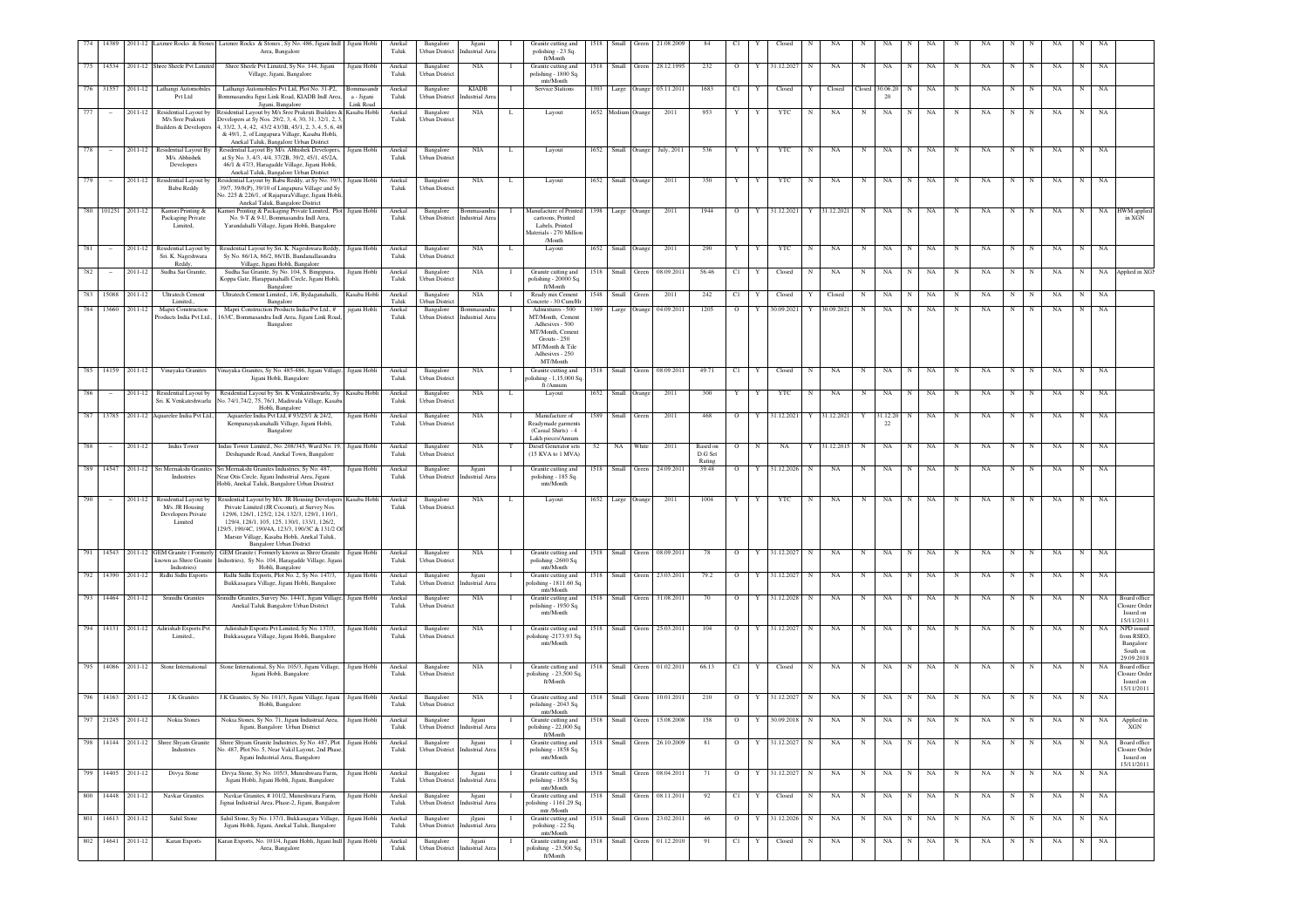| 774 |                |                    |                                                                                   | 14389 2011-12 Laxmee Rocks & Stones Laxmee Rocks & Stones, Sy No. 486, Jigani Indl Jigani Hobli<br>Area, Bangalore                                                                                                                                                                                                                     |                         | Anekal<br>Taluk           | Bangalore<br><b>Urban District</b> | Jigan<br>Industrial Area         |    | Granite cutting and<br>polishing - 23 Sq.<br>ft/Month                                                                                         | 1518              |                 | Small Green 21.08.2009       | 84                            | C1      |   | Closed               |   | NA          |            | NA             |   | NA          | N           | NA          |                 | NA        | N          | NA          |                                                          |
|-----|----------------|--------------------|-----------------------------------------------------------------------------------|----------------------------------------------------------------------------------------------------------------------------------------------------------------------------------------------------------------------------------------------------------------------------------------------------------------------------------------|-------------------------|---------------------------|------------------------------------|----------------------------------|----|-----------------------------------------------------------------------------------------------------------------------------------------------|-------------------|-----------------|------------------------------|-------------------------------|---------|---|----------------------|---|-------------|------------|----------------|---|-------------|-------------|-------------|-----------------|-----------|------------|-------------|----------------------------------------------------------|
|     |                |                    |                                                                                   | 775 14534 2011-12 Shree Sheele Pvt Limited Shree Sheele Pvt Limited, Sy No. 144, Jigani<br>Village, Jigani, Bangalore                                                                                                                                                                                                                  | Jigani Hobli            | Anckal<br>Taluk           | Bangalore<br><b>Urban District</b> | <b>NIA</b>                       |    | Granite cutting and<br>polishing - 1800 Sq.<br>mtr/Month                                                                                      |                   |                 | 1518 Small Green 28.12.1995  | 232                           | $\circ$ |   | 31.12.2027           |   | NA          | N          | NA             |   | NA          | N           | NA          | N               | NA        |            | NA          |                                                          |
| 776 | 31557          |                    | 2011-12 Lathangi Automobiles<br>Pvt Ltd                                           | Lathangi Automobiles Pvt Ltd, Plot No. 31-P2,<br><b>Bommasandra Jigni Link Road KIADB Indi Area</b>                                                                                                                                                                                                                                    | Bommasand<br>a - Jigani | Anekal<br>Taluk           | Bangalore<br><b>Urban District</b> | <b>KIADB</b><br>Industrial Are   |    | <b>Service Stations</b>                                                                                                                       | 1303 Large        |                 | Orange<br>05.11.2011         | 1683                          | Cl      |   | Closed               |   | Closed      | Closed     | 30.06.20<br>20 |   | NA          | N           | NA          | N<br>N          | NA        | N          | NA          |                                                          |
| 777 |                | 2011-12            | Residential Layout by<br>M/s Sree Prakruti<br>Builders & Developers               | Jigani, Bangalore<br>Residential Layout by M/s Sree Prakruti Builders & Kasaba Hobli<br>Developers at Sy Nos. 29/2, 3, 4, 30, 31, 32/1, 2, 3<br>4, 33/2, 3, 4, 42, 43/2 43/3B, 45/1, 2, 3, 4, 5, 6, 48<br>& 49/1, 2, of Lingapura Village, Kasaba Hobli,<br>Anekal Taluk, Bangalore Urban District                                     | Link Road               | Anekal<br>Taluk           | Bangalor<br><b>Urban District</b>  | NIA                              | L  | Layout                                                                                                                                        | 1652 Medium       |                 | 2011<br>Orange               | 953                           |         |   | <b>YTC</b>           |   | NA          | N          | NA             |   | NA          | N           | NA          | N<br>N          | NA        | N          | NA          |                                                          |
| 778 |                | 2011-12            | Residential Layout By<br>M/s. Abhishek<br>Developers                              | Residential Layout By M/s. Abhishek Developers,<br>at Sy No. 3, 4/3, 4/4, 37/2B, 39/2, 45/1, 45/2A,<br>46/1 & 47/3, Haragadde Village, Jigani Hobli,<br>Anekal Taluk, Bangalore Urban District                                                                                                                                         | Jigani Hobli            | Anekal<br>Taluk           | Bangalore<br><b>Urban District</b> | NIA                              | L  | Layout                                                                                                                                        |                   |                 | 1652 Small Orange July, 2011 | 536                           |         |   | <b>YTC</b>           |   | NA          |            | NA             | N | NA          | N           | NA          | N               | NA        |            | NA          |                                                          |
| 779 | $\sim$         | 2011-12            | Residential Layout by<br>Babu Reddy                                               | Residential Layout by Babu Reddy, at Sy No. 39/3, Jigani Hobli<br>39/7, 39/8(P), 39/10 of Lingapura Village and Sy<br>No. 225 & 226/1, of RajapuraVillage, Jigani Hobli,<br>Anekal Taluk, Bangalore District                                                                                                                           |                         | Anekal<br>Taluk           | Bangalore<br><b>Urban District</b> | <b>NIA</b>                       | L  | Layout                                                                                                                                        | 1652              | Small<br>Orange | 2011                         | 350                           | Y       | Y | <b>YTC</b>           | N | NA          | N          | NA             | N | NA          | N           | NA          | N<br>N          | NA        | N          | NA          |                                                          |
|     |                | 780 101251 2011-12 | Kamsri Printing &<br>Packaging Private<br>Limited.                                | Kamsri Printing & Packaging Private Limited, Plot Jigani Hobli<br>No. 9-T & 9-U, Bommasandra Indl Area,<br>Yarandahalli Village, Jigani Hobli, Bangalore                                                                                                                                                                               |                         | Anckal<br>Taluk           | Bangalore<br><b>Urban District</b> | Bommasandra<br>Industrial Area   | -1 | Manufacture of Printed<br>cartoons. Printed<br>Labels, Printed<br>faterials - 270 Millio<br>$/M$ onth                                         | 1398 Large Orange |                 | 2011                         | 1944                          | $\circ$ | Y | 31.12.2021           |   | 31.12.2021  | $_{\rm N}$ | NA             | N | NA          | $_{\rm N}$  | $_{\rm NA}$ | $_{\rm N}$<br>N | NA        | N          |             | NA HWM applied<br>in XGN                                 |
| 781 |                |                    | 2011-12 Residential Lavout by<br>Sri. K. Nageshwara<br>Reddy,                     | Residential Layout by Sri. K. Nageshwara Reddy,<br>Sy No. 86/1A, 86/2, 86/1B, Bandanallasandra<br>Village, Jigani Hobli, Bangalore                                                                                                                                                                                                     | Jigani Hobli            | Anekal<br>Taluk           | Bangalore<br><b>Urban District</b> | <b>NIA</b>                       | L  | Layout                                                                                                                                        | 1652 Small Orange |                 | 2011                         | 290                           | Y       |   | YTC                  |   | NA          | N          | NA             | N | NA          | N           | NA          | N<br>N          | NA        | N          | NA          |                                                          |
| 782 |                | 2011-12            | Sudha Sai Granite.                                                                | Sudha Sai Granite, Sy No. 104, S. Bingipura,<br>Koppa Gate, Harappanahalli Circle, Jigani Hobli,<br>Bangalore                                                                                                                                                                                                                          | Jigani Hobli            | Anekal<br>Taluk           | Bangalore<br><b>Urban District</b> | <b>NIA</b>                       |    | Granite cutting and<br>polishing - 20000 Sq<br>ft/Month                                                                                       | 1518 Small        | Green           | 08.09.2011                   | 56.46                         | C1      |   | Closed               |   | NA          | N          | NA             |   | NA          | N           | NA          | N               | NA        | N          |             | NA Applied in XGN                                        |
| 783 | 15088<br>13660 | 2011-12            | <b>Ultratech Cement</b><br>Limited                                                | Ultratech Cement Limited., 1/6, Bydaganahalli,<br>Bangalore                                                                                                                                                                                                                                                                            | Kasaba Hobli            | Anekal<br>Taluk<br>Anekal | Bangalore<br><b>Urban District</b> | NIA<br>Bommasandra               |    | Ready mix Cement<br>Concrete - 30 Cum/Hr                                                                                                      | 1548<br>1369      | Small           | 2011<br>Green<br>04.09.2011  | 242                           | C1      |   | Closed<br>30.09.2021 |   | Closed      | N          | NA             | N | NA          | N           | NA          | N<br>N<br>N     | NA        | N          | NA<br>NA    |                                                          |
| 784 |                | 2011-12            | Mapei Construction<br>Products India Pvt Ltd.,                                    | Mapei Construction Products India Pvt Ltd., #<br>163/C, Bommasandra Indl Area, Jigani Link Road<br>Bangalore                                                                                                                                                                                                                           | jigani Hobli            | Taluk                     | Bangalore<br>Urban District        | <b>Industrial Area</b>           |    | Admixtures - 500<br>MT/Month, Cement<br>Adhesives - 500<br>MT/Month, Cement<br>Grouts - 250<br>MT/Month & Tile<br>Adhesives - 250<br>MT/Month |                   | Large           | Orange                       | 1205                          | $\circ$ |   |                      |   | 30.09.2021  |            | NA             |   | NA          |             | NA          |                 | NA        |            |             |                                                          |
|     |                | 785 14159 2011-12  | Vinayaka Granites                                                                 | Vinayaka Granites, Sy No. 485-486, Jigani Village, Jigani Hobli<br>Jigani Hobli, Bangalore                                                                                                                                                                                                                                             |                         | Anekal<br>Taluk           | Bangalore<br><b>Urban District</b> | NIA                              |    | Granite cutting and<br>olishing - 1,15,000 Sq<br>ft /Annum                                                                                    | 1518 Small Green  |                 | 08.09.2011                   | 49.71                         | Cl      |   | Closed               |   | NA          | N          | NA             | N | NA          | N           | NA          | N<br>N          | NA        | $_{\rm N}$ | NA          |                                                          |
| 786 |                | 2011-12            | Residential Layout by<br>Sri. K Venkateshwarlu                                    | Residential Layout by Sri. K Venkateshwarlu, Sy<br>No. 74/1,74/2, 75, 76/1, Madiwala Village, Kasaba<br>Hobli, Bangalore                                                                                                                                                                                                               | Kasaba Hobl             | Anekal<br>Taluk           | Bangalore<br><b>Urban District</b> | <b>NIA</b>                       | L  | Layout                                                                                                                                        | 1652 Small        |                 | <b>Drange</b><br>2011        | 300                           |         |   | YTC                  |   | NA          |            | NA             |   | NA          |             | NA          |                 | NA        |            | NA          |                                                          |
|     |                |                    | 787 13785 2011-12 Aquarelee India Pvt Ltd.,                                       | Aquarelee India Pvt Ltd, # 93/25/1 & 24/2.<br>Kempanayakanahalli Village, Jigani Hobli,<br>Bangalore                                                                                                                                                                                                                                   | Jigani Hobli            | Anekal<br>Taluk           | Bangalore<br><b>Urban District</b> | <b>NIA</b>                       | л. | Manufacture of<br>Readymade garments<br>(Casual Shirts) - 4<br>Lakh pieces/Annum                                                              | 1589 Small        | Green           | 2011                         | 468                           | $\circ$ |   | 31.12.2021           |   | 31.12.2021  | Y          | 31.12.20<br>22 |   | NA          | N           | NA          | N               | NA        | N          | NA          |                                                          |
| 788 | $\sim$         | 2011-12            | <b>Indus Tower</b>                                                                | Indus Tower Limited., No. 208/345, Ward No. 19.<br>Deshapande Road, Anekal Town, Bangalore                                                                                                                                                                                                                                             | Jigani Hobli            | Anekal<br>Taluk           | Bangalore<br><b>Urban Distric</b>  | <b>NIA</b>                       |    | Diesel Generator sets<br>(15 KVA to 1 MVA)                                                                                                    | 52                | NA              | 2011<br>White                | Based on<br>D G Set<br>Rating | $\circ$ |   | NA                   |   | 31.12.2015  | N          | NA             | N | NA          | N           | NA          | N<br>N          | NA        | N          | NA          |                                                          |
| 789 | 14547          |                    | 2011-12 Sri Meenakshi Granites<br>Industries                                      | Sri Meenakshi Granites Industries, Sy No. 487,<br>Near Otis Circle, Jigani Industrial Area, Jigani<br>Hobli, Anekal Taluk, Bangalore Urban Disstrict                                                                                                                                                                                   | Jigani Hobl             | Anekal<br>Taluk           | Bangalore<br><b>Urban District</b> | Jigani<br>Industrial Are         |    | Granite cutting and<br>polishing - 185 Sq.<br>mtr/Month                                                                                       | 1518              | Small           | 24.09.201<br>Green           | 39.48                         | $\circ$ |   | 31.12.2026           |   | NA          |            | NA             |   | NA          |             | NA          |                 |           |            |             |                                                          |
| 790 | $\sim$         |                    | 2011-12 Residential Layout by<br>M/s. JR Housing<br>Developers Private<br>Limited | Residential Layout by M/s. JR Housing Developers Kasaba Hobli<br>Private Limited (JR Coconut), at Survey Nos.<br>129/6.126/1.125/2.124.132/3.129/1.110/1.<br>129/4, 128/1, 105, 125, 130/1, 133/1, 126/2,<br>29/5, 190/4C, 190/4A, 123/3, 190/3C & 131/2 Of<br>Marsur Village, Kasaba Hobli, Anekal Taluk,<br>Bangalore Urban District |                         | Anckal<br>Taluk           | Bangalore<br><b>Urban District</b> | <b>NIA</b>                       | L  | Layout                                                                                                                                        | 1652 Large Orange |                 | 2011                         | 1004                          | Y       | Y | <b>YTC</b>           | N | NA          | N          | NA             | N | NA          | $\mathbf N$ | NA          | N<br>N          | NA        | N          | <b>NA</b>   |                                                          |
| 791 | 14543          |                    | 2011-12 GEM Granite (Formerly<br>known as Shree Granit<br>Industries)             | GEM Granite (Formerly known as Shree Granite<br>Industries), Sy No. 104, Haragadde Village, Jigan<br>Hobli, Bangalore                                                                                                                                                                                                                  | Jigani Hobli            | Anekal<br>Taluk           | Bangalore<br><b>Urban District</b> | NIA                              |    | Granite cutting and<br>polishing -2600 Sq.<br>mtr/Month                                                                                       | 1518              | Small           | 08.09.201<br>Green           | 78                            | $\circ$ |   | 31.12.2027           |   | NA          | N          | NA             |   | NA          |             | NA          | N<br>N          | NA        |            | NA          |                                                          |
|     |                | 792 14390 2011-12  | Ridhi Sidhi Exports                                                               | Ridhi Sidhi Exports, Plot No. 2, Sy No. 147/3,<br>Bukkasagara Village, Jigani Hobli, Bangalore                                                                                                                                                                                                                                         | Jigani Hobl             | Anekal<br>Taluk           | Bangalore<br><b>Urban District</b> | Jigani<br>ndustrial Area         |    | Granite cutting and<br>olishing - 1811.60 Sq.<br>mtr/Month                                                                                    | 1518 Small        | Green           | 23.03.201                    | 79.2                          | $\circ$ |   | 31.12.2027           |   | NA          | N          | NA             |   | NA          | N           | NA          | N<br>N          | NA        | N          | NA          |                                                          |
|     |                | 793 14464 2011-12  | Srinidhi Granites                                                                 | Srinidhi Granites, Survey No. 144/1, Jigani Village, Jigani Hobli<br>Anekal Taluk Bangalore Urban District                                                                                                                                                                                                                             |                         | Anekal<br>Taluk           | Bangalore<br><b>Urban District</b> | NIA                              |    | Granite cutting and<br>polishing - 1950 Sq.<br>mtr/Month                                                                                      | 1518 Small        | Green           | 31.08.2011                   | 70                            | $\circ$ |   | 31.12.2028           |   | NA          |            | NA             |   | NA          |             | NA          |                 |           |            | NA          | Board office<br>Closure Order<br>Issued on<br>15/11/2011 |
|     |                |                    | 794 14131 2011-12 Adirishab Exports Pvt<br>Limited.                               | Adirishab Exports Pvt Limited, Sy No. 137/3,<br>Bukkasagara Village, Jigani Hobli, Bangalore                                                                                                                                                                                                                                           | Jigani Hobli            | Anckal<br>Taluk           | Bangalore<br><b>Urban Distric</b>  | NIA                              |    | Granite cutting and<br>olishing -2173.93 Sq<br>mtr/Month                                                                                      | 1518 Small Green  |                 | 25.03.2011                   | 104                           | $\circ$ |   | 31.12.2027           | N | NA          | N          | NA             | N | NA          | N           | NA          | N<br>N          | NA.       |            | NA          | NPD issued<br>from RSEO,<br>Bangalore<br>South on        |
| 795 |                | 14086 2011-12      | Stone International                                                               | Stone International, Sy No. 105/3, Jigani Village,<br>Jigani Hobli, Bangalore                                                                                                                                                                                                                                                          | Jigani Hobli            | Anekal<br>Taluk           | Bangalore<br><b>Urban District</b> | $_{\rm NIA}$                     | -1 | Granite cutting and<br>polishing - 23,500 Sq.<br>ft/Month                                                                                     | 1518 Small        |                 | Green 01.02.2011             | 66.13                         | C1      |   | Closed               | N | $_{\rm NA}$ | $_{\rm N}$ | NA             | N | $_{\rm NA}$ | N           | $_{\rm NA}$ | $_{\rm N}$<br>N | NA        |            | $_{\rm NA}$ | 29.09.2018<br>Board office<br>Closure Order<br>Issued on |
|     |                | 796 14163 2011-12  | J.K Granites                                                                      | J.K Granites, Sy No. 101/3, Jigani Village, Jigani<br>Hobli, Bangalore                                                                                                                                                                                                                                                                 | Jigani Hobli            | Anekal<br>Taluk           | Bangalore<br><b>Urban District</b> | $_{\rm NIA}$                     |    | Granite cutting and<br>polishing - 2043 Sq.<br>mtr/Month                                                                                      | 1518 Small        |                 | Green<br>10.01.2011          | 210                           | $\circ$ |   | 31.12.2027           | N | $_{\rm NA}$ | N          | $_{\rm NA}$    | N | $_{\rm NA}$ | N           | NA          | $_{\rm N}$<br>N | NA        | N          | $_{\rm NA}$ | 15/11/2011                                               |
| 797 |                | 21245 2011-12      | Nokia Stones                                                                      | Nokia Stones, Sy No. 71, Jigani Industrial Area,<br>Jigani, Bangalore Urban District                                                                                                                                                                                                                                                   | Jigani Hobli            | Anekal<br>Taluk           | Bangalore<br><b>Urban District</b> | Jigani<br><b>Industrial Area</b> |    | Granite cutting and<br>polishing - 22,000 Sq<br>ft/Month                                                                                      | 1518 Small        | Green           | 15.08.2008                   | 158                           | $\circ$ |   | 30.09.2018           |   | NA          |            | NA             |   | NA          |             | NA          |                 | NA        |            | NA          | Applied in<br>$_{\rm XGN}$                               |
|     |                |                    | 798 14144 2011-12 Shree Shyam Granite<br>Industries                               | Shree Shyam Granite Industries, Sy No. 487, Plot Jigani Hobli<br>No. 487, Plot No. 5, Near Vakil Layout, 2nd Phase,<br>Jigani Industrial Area, Bangalore                                                                                                                                                                               |                         | Anekal<br>Taluk           | Bangalore<br><b>Urban District</b> | Jigani<br>Industrial Area        |    | Granite cutting and<br>polishing - 1858 Sq.<br>mtr/Month                                                                                      |                   |                 | 1518 Small Green 26.10.2009  | 81                            | $\circ$ |   | 31.12.2027           |   | NA          |            | NA             |   | NA          |             | NA          |                 | NA        |            |             | Board office<br>Closure Order<br>Issued on<br>15/11/2011 |
|     |                | 799 14405 2011-12  | Divya Stone                                                                       | Divya Stone, Sy No. 105/3, Muneshwara Farm,<br>Jigani Hobli, Jigani Hobli, Jigani, Bangalore                                                                                                                                                                                                                                           | Jigani Hobli            | Anekal<br>Taluk           | Bangalore<br><b>Urban District</b> | Jigani<br>ndustrial Are          |    | Granite cutting and<br>polishing - 1858 Sq.<br>mtr/Month                                                                                      |                   |                 | 1518 Small Green 08.04.2011  | 71                            | $\circ$ |   | 31.12.2027           |   | NA          | N          | NA             | N | NA          | N           | NA          | N<br>N          | NA        |            | NA          |                                                          |
| 800 |                | 14448 2011-12      | Naykar Granites                                                                   | Navkar Granites, #101/2, Muneshwara Farm.<br>Jignai Industrial Area, Phase-2, Jigani, Bangalore                                                                                                                                                                                                                                        | Jigani Hobli            | Anckal<br>Taluk           | Bangalore<br><b>Urban District</b> | Jigani<br>ndustrial Are          |    | Granite cutting and<br>polishing - 1161.29 Sc<br>mtr /Month                                                                                   | 1518              | Small Green     | 08.11.2011                   | 92                            | C1      |   | Closed               |   | NA          | N          | NA             | N | NA          | N           | NA          | N               | <b>NA</b> | N          | NA          |                                                          |
| 801 |                | 14613 2011-12      | Sahil Stone                                                                       | Sahil Stone, Sy No. 137/1, Bukkasagara Village,<br>Jigani Hobli, Jigani, Anekal Taluk, Bangalore                                                                                                                                                                                                                                       | Jigani Hobli            | Anekal<br>Taluk           | Bangalore<br><b>Urban District</b> | jIgani<br>Industrial Are         |    | Granite cutting and<br>polishing - 22 Sq.<br>mtr/Month                                                                                        | 1518              | Small           | 23.02.2011<br>Green          | 46                            | $\circ$ |   | 31.12.2026           |   | NA          | N          | NA             | N | NA          | N           | NA          | N<br>N          | NA        | N          | NA          |                                                          |
| 802 |                | 14641 2011-12      | Karan Exports                                                                     | Karan Exports, No. 101/4, Jigani Hobli, Jigani Indl Jigani Hobli<br>Area, Bangalore                                                                                                                                                                                                                                                    |                         | Anekal<br>Taluk           | Bangalore<br>Urban District        | Jigani<br><b>Industrial Area</b> |    | Granite cutting and<br>olishing - 23,500 Sq<br>ft/Month                                                                                       | 1518              | Small           | Green<br>01.12.2010          | 91                            | Cl      |   | Closed               |   | NA          | N          | NA             |   | NA          | N           | NA          | N               | NA        |            | NA          |                                                          |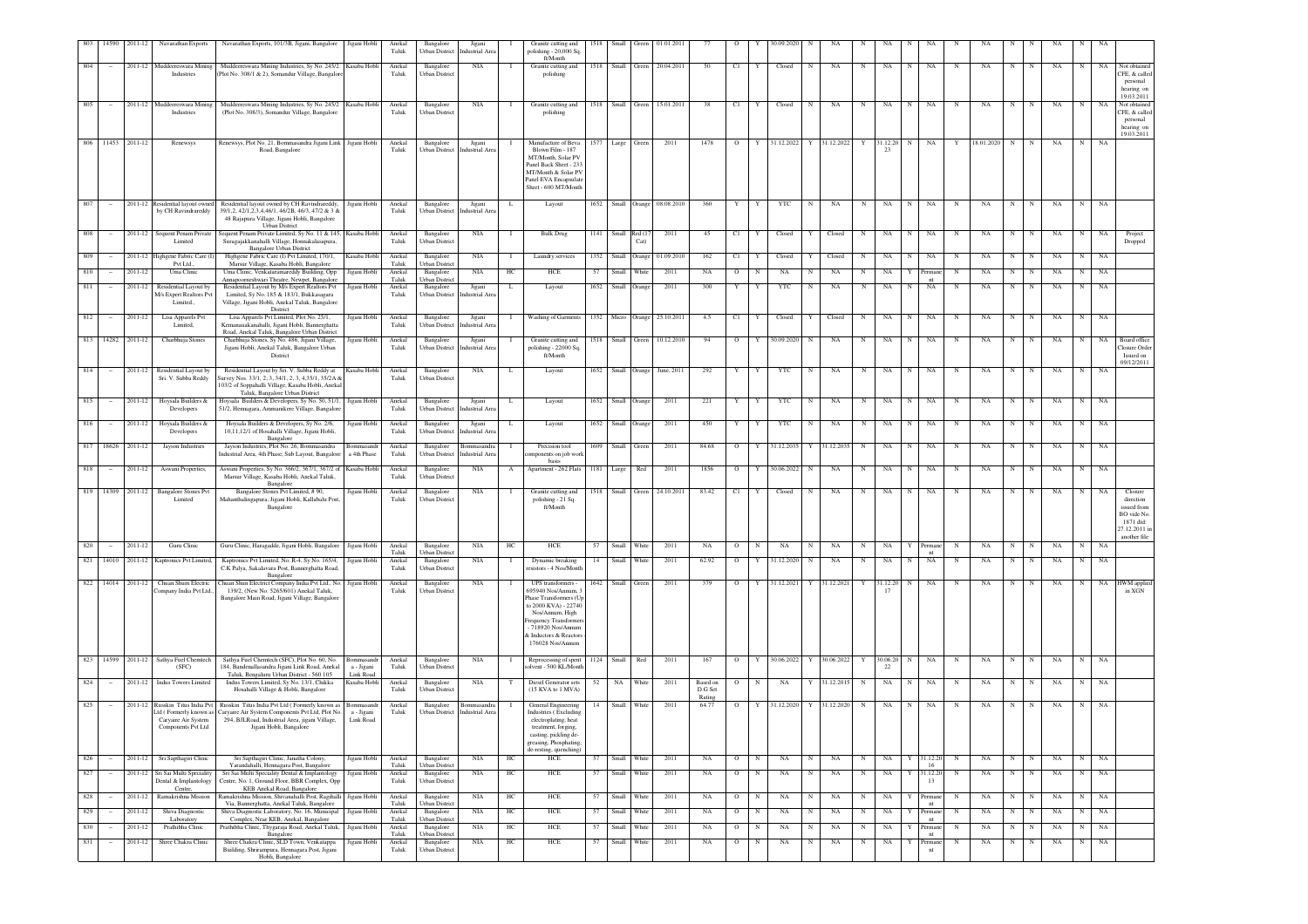| 803 |                          | 14590 2011-12     | Navarathan Exports                                                   | Navarathan Exports, 101/3B, Jigani, Bangalore                                                                                               | Jigani Hobli                         | Anekal<br>Taluk | Bangalore<br><b>Urban District</b> | Jigani<br>ndustrial Are  |              | Granite cutting and<br>polishing - 20,000 Sc                  | 1518    | Small              | Green       | 01.01.201                    | 77                  | $\circ$        |            | 30.09.2020      | NA               |            | NA               |            | NA                |            | NA         |             |            | NA          | NA                        |                               |
|-----|--------------------------|-------------------|----------------------------------------------------------------------|---------------------------------------------------------------------------------------------------------------------------------------------|--------------------------------------|-----------------|------------------------------------|--------------------------|--------------|---------------------------------------------------------------|---------|--------------------|-------------|------------------------------|---------------------|----------------|------------|-----------------|------------------|------------|------------------|------------|-------------------|------------|------------|-------------|------------|-------------|---------------------------|-------------------------------|
| 804 |                          |                   | 2011-12 Muddeereswara Mining                                         | Muddeereswara Mining Industries, Sy No. 245/2 Kasaba Hobli                                                                                  |                                      | Anekal          | Bangalore                          | NIA                      |              | ft/Month<br>Granite cutting and                               |         |                    |             | 1518 Small Green 20.04.2011  | 50                  | C1             |            | Closed          | NA<br>N          |            | NA               |            | NA                |            | NA         |             |            | NA          |                           | Not obtained                  |
|     |                          |                   | Industries                                                           | (Plot No. 308/1 & 2), Somandur Village, Bangalore                                                                                           |                                      | Taluk           | <b>Urban District</b>              |                          |              | polishing                                                     |         |                    |             |                              |                     |                |            |                 |                  |            |                  |            |                   |            |            |             |            |             |                           | CFE, & called<br>personal     |
|     |                          |                   |                                                                      |                                                                                                                                             |                                      |                 |                                    |                          |              |                                                               |         |                    |             |                              |                     |                |            |                 |                  |            |                  |            |                   |            |            |             |            |             |                           | hearing on<br>19.03.2011      |
| 805 |                          |                   | 2011-12 Muddeereswara Mini<br>Industries                             | Muddeereswara Mining Industries, Sy No. 245/2 Kasaba Hobl<br>(Plot No. 308/3), Somandur Village, Bangalore                                  |                                      | Anekal<br>Taluk | Bangalore<br><b>Urban Distric</b>  | NIA                      |              | Granite cutting and<br>polishing                              | 1518    |                    | Small Green | 15.01.2011                   | 38                  | C1             |            | Closed          | NA               |            |                  |            |                   |            | NA         |             |            | NA          |                           | Not obtained<br>CFE, & caller |
|     |                          |                   |                                                                      |                                                                                                                                             |                                      |                 |                                    |                          |              |                                                               |         |                    |             |                              |                     |                |            |                 |                  |            |                  |            |                   |            |            |             |            |             |                           | personal<br>hearing on        |
|     | 806 11453 2011-12        |                   | Renewsys                                                             | Renewsys, Plot No. 21, Bommasandra Jigani Link Jigani Hobli                                                                                 |                                      | Anekal          | Bangalore                          | Jigani                   |              | Manufacture of Beva                                           | 1577    |                    | Large Green | 2011                         | 1478                | $\circ$        |            | 31.12.2022      | Y 31.12.2022     | Y          | 31.12.20         | N          | NA                |            | 18.01.2020 | N           |            | NA          | <b>NA</b><br>N            | 19.03.2011                    |
|     |                          |                   |                                                                      | Road, Bangalore                                                                                                                             |                                      | Taluk           | Urban District                     | dustrial Ar              |              | Blown Film - 187<br>MT/Month, Solar PV                        |         |                    |             |                              |                     |                |            |                 |                  |            | 23               |            |                   |            |            |             |            |             |                           |                               |
|     |                          |                   |                                                                      |                                                                                                                                             |                                      |                 |                                    |                          |              | Panel Back Sheet - 233<br>MT/Month & Solar PV                 |         |                    |             |                              |                     |                |            |                 |                  |            |                  |            |                   |            |            |             |            |             |                           |                               |
|     |                          |                   |                                                                      |                                                                                                                                             |                                      |                 |                                    |                          |              | Panel EVA Encapsulate<br>Sheet - 600 MT/Month                 |         |                    |             |                              |                     |                |            |                 |                  |            |                  |            |                   |            |            |             |            |             |                           |                               |
| 807 | $\sim$                   |                   |                                                                      | 2011-12 Residential layout owned Residential layout owned by CH Ravindrareddy,                                                              | Jigani Hobli                         | Anekal          | Bangalore                          | Jigani                   | L            | Layout                                                        |         |                    |             | 1652 Small Orange 08.08.2010 | 360                 | Y              | Y          | YTC             | $_{\rm N}$<br>NA | N          | NA               | N          | NA                | $_{\rm N}$ | NA         | N           | $_{\rm N}$ | NA          | NA<br>N                   |                               |
|     |                          |                   | by CH Ravindrareddy                                                  | 39/1,2, 42/1,2,3,4,46/1, 46/2B, 46/3, 47/2 & 3 &<br>48 Rajapura Village, Jigani Hobli, Bangalore                                            |                                      | Taluk           | <b>Urban District</b>              | ndustrial Are            |              |                                                               |         |                    |             |                              |                     |                |            |                 |                  |            |                  |            |                   |            |            |             |            |             |                           |                               |
| 808 |                          | 2011-12           | Sequent Penam Private                                                | <b>Urban District</b><br>Sequent Penam Private Limited, Sy No. 11 & 145, Kasaba Hobli                                                       |                                      | Anekal          | Bangalore                          | $_{\rm NIA}$             |              | <b>Bulk Drug</b>                                              |         | 1141 Small Red (17 |             | 2011                         | 45                  | C1             |            | Closed          | Closed           |            | NA               |            | NA                | N          | NA         | N           | N          | NA          | NA                        | Project                       |
|     |                          |                   | Limited                                                              | Suragajakkanahalli Village, Honnakalasapura,<br><b>Bangalore Urban District</b>                                                             |                                      | Taluk           | <b>Urban District</b>              |                          |              |                                                               |         |                    | Cat         |                              |                     |                |            |                 |                  |            |                  |            |                   |            |            |             |            |             |                           | Dropped                       |
| 809 | $\overline{\phantom{a}}$ |                   | 2011-12 Highgene Fabric Care (I)<br>Pvt Ltd.                         | Highgene Fabric Care (I) Pvt Limited, 170/1,<br>Marsur Village, Kasaba Hobli, Bangalore                                                     | Kasaba Hobi                          | Anekal<br>Taluk | Bangalore<br>Urban Distric         | NIA                      | $\bf{I}$     | Laundry services                                              |         | 1352 Small         | Orange      | 01.09.2010                   | 162                 | C1             | Y          | Closed          | Closed<br>Y      | N          | NA               | N          | NA                | N          | NA         | N           | N          | NA          | NA<br>N                   |                               |
| 810 |                          | 2011-12           | Uma Clinic                                                           | Uma Clinic, Venkataramareddy Building, Opp<br>Annapoorneshwari Theatre, Newpet, Bangalore                                                   | Jigani Hobli                         | Anekal<br>Taluk | Bangalore<br>Urban Distric         | $_{\rm NIA}$             | HC           | HCE                                                           | 57      | Small              | White       | 2011                         | $_{\rm NA}$         | $\circ$        | N          | NA              | $_{\rm NA}$<br>N | N          | $_{\rm NA}$      |            | erman<br>nt       | N          | NA         | N           |            | NA          | $_{\rm NA}$<br>N          |                               |
| 811 |                          | 2011-12           | Residential Layout by<br>M/s Expert Realtors Pv                      | Residential Layout by M/s Expert Realtors Pvt<br>Limited, Sy No. 185 & 183/1, Bukkasagara                                                   | Jigani Hobli                         | Anekal<br>Taluk | Bangalore<br>Urban District        | Jigani<br>ndustrial Are  | Ι.           | Layout                                                        | 1652    | Small              | Orange      | 2011                         | 300                 |                |            | YTC             | NA<br>N          |            | NA               |            | NA                | N          | NA         | N           |            | NA          | NA<br>N                   |                               |
|     |                          |                   | Limited.                                                             | Village, Jigani Hobli, Anekal Taluk, Bangalore<br>District                                                                                  |                                      |                 |                                    |                          |              |                                                               |         |                    |             |                              |                     |                |            |                 |                  |            |                  |            |                   |            |            |             |            |             |                           |                               |
| 812 |                          | 2011-12           | Lisa Apparels Pvt<br>Limited,                                        | Lisa Apparels Pvt Limited, Plot No. 25/1,<br>Kemanauakanahalli, Jigani Hobli, Bannerghatta                                                  | Jigani Hobli                         | Anekal<br>Taluk | Bangalore<br><b>Urban District</b> | Jigani<br>Industrial Are |              | Washing of Garments                                           |         |                    |             | 1352 Micro Orange 25.10.2011 | 4.5                 | C1             |            | Closed          | Closed           |            | NA               |            | NA                |            | NA         |             |            | NA          | NA                        |                               |
|     |                          | 813 14282 2011-12 | Charbhuja Stones                                                     | Road, Anekal Taluk, Bangalore Urban District<br>Charbhuia Stones, Sy No. 486, Jigani Village,                                               | Jigani Hobli                         | Anekal          | Bangalore                          | Jigani                   |              | Granite cutting and                                           |         | 1518 Small Green   |             | 10.12.2010                   | 94                  | $\circ$        |            | 30.09.2020      | NA<br>N          | N          | NA               | N          | NA                | N          | NA         | N           |            | NA          | <b>NA</b>                 | <b>Board</b> office           |
|     |                          |                   |                                                                      | Jigani Hobli, Anekal Taluk, Bangalore Urban<br>District                                                                                     |                                      | Taluk           | <b>Urban District</b>              | Industrial Are           |              | polishing - 22000 Sq.<br>ft/Month                             |         |                    |             |                              |                     |                |            |                 |                  |            |                  |            |                   |            |            |             |            |             |                           | Closure Orde<br>Issued on     |
| 814 | $\sim$                   | 2011-12           | Residential Layout by                                                | Residential Lavout by Sri. V. Subba Reddy at                                                                                                | Kasaba Hobl                          | Anekal          | Bangalore                          | <b>NIA</b>               | L            | Layout                                                        |         |                    |             | 1652 Small Orange June, 2011 | 292                 | Y              | Y          | <b>YTC</b>      | NA<br>N          | N          | NA               | $_{\rm N}$ | NA                | N          | NA         | N           | N          | NA          | NA<br>N                   | 09/12/2011                    |
|     |                          |                   | Sri. V. Subba Reddy                                                  | urvey Nos. 33/1, 2, 3, 34/1, 2, 3, 4,35/1, 35/2A &<br>103/2 of Soppahalli Village, Kasaba Hobli, Anekal                                     |                                      | Taluk           | <b>Urban Distric</b>               |                          |              |                                                               |         |                    |             |                              |                     |                |            |                 |                  |            |                  |            |                   |            |            |             |            |             |                           |                               |
| 815 |                          | 2011-12           | Hoysala Builders &                                                   | Taluk, Bangalore Urban District<br>Hoysala Builders & Developers, Sy No. 50, 51/1, Jigani Hobli                                             |                                      | Anekal          | Bangalore                          | Jigani                   | L            | Layout                                                        |         | 1652 Small Orange  |             | 2011                         | 221                 |                |            | YTC<br>N        | NA               | N          | NA               |            | NA                | N          | NA         | N           | N          | NA          | NA                        |                               |
|     |                          |                   | Developers                                                           | 51/2, Hennagara, Ammanikere Village, Bangalore                                                                                              |                                      | Taluk           | <b>Urban District</b>              | Industrial Are           |              |                                                               |         |                    |             |                              |                     |                |            |                 |                  |            |                  |            |                   |            |            |             |            |             |                           |                               |
| 816 | ÷                        | 2011-12           | Hovsala Builders &<br>Developers                                     | Hoysala Builders & Developers, Sy No. 2/6,<br>10,11,12/1 of Hosahalli Village, Jigani Hobli,                                                | Jigani Hobli                         | Anekal<br>Taluk | Bangalore<br><b>Urban District</b> | Jigani<br>ndustrial Are  | L            | Layout                                                        |         | 1652 Small Orange  |             | 2011                         | 450                 | Y              | Y          | <b>YTC</b>      | NA<br>N          | N          | NA               | N          | NA                | N          | NA         | N           | N          | NA          | NA<br>N                   |                               |
| 817 | 18626                    | 2011-12           | Jayson Industries                                                    | Bangalore<br>Jayson Industries, Plot No. 26, Bommasandra                                                                                    | <b>Bommasand</b>                     | Anekal          | Bangalore                          | Bommasandr               |              | Precision tool                                                | 1609    | Small              | Green       | 2011                         | 84.68               | $\circ$        |            | 31.12.2035      | 31.12.2035       | N          | NA               | N          | $_{\rm NA}$       | N          | NA         | $_{\rm N}$  | N          | NA          | $_{\rm NA}$<br>N          |                               |
|     |                          |                   |                                                                      | Industrial Area, 4th Phase, Sub Layout, Bangalore                                                                                           | a 4th Phase                          | Taluk           | <b>Urban District</b>              | <b>Industrial Are</b>    |              | mponents on job wo<br>basis                                   |         |                    |             |                              |                     |                |            |                 |                  |            |                  |            |                   |            |            |             |            |             |                           |                               |
| 818 |                          | 2011-12           | Aswani Properties.                                                   | Aswani Properties, Sy No. 366/2, 367/1, 367/2 of Kasaba Hobl<br>Marsur Village, Kasaba Hobli, Anekal Taluk,<br>Bangalore                    |                                      | Anekal<br>Taluk | Bangalore<br>Urban Distric         | $_{\rm NIA}$             | $\mathbf{A}$ | Apartment - 262 Flats                                         | 1181    | Large              | Red         | 2011                         | 1856                | $\circ$        |            | 30.06.2022<br>N | NA               |            | NA               | N          | $_{\rm NA}$       | N          | NA         | N           | N          | NA          | NA<br>N                   |                               |
|     |                          | 819 14309 2011-12 | <b>Bangalore Stones Pvt</b><br>Limited                               | Bangalore Stones Pvt Limited, #90,<br>Mahanthalingapura, Jigani Hobli, Kallabalu Post,                                                      | Jigani Hobli                         | Anekal<br>Taluk | Bangalore<br>Urban Distric         | NIA                      | $\mathbf{I}$ | Granite cutting and<br>polishing - 21 Sq.                     |         |                    |             | 1518 Small Green 24.10.2011  | 83.42               | C1             | Y          | Closed          | N<br>NA          | N          | NA               | N          | NA                | N          | NA         | N           | N          | NA          | NA                        | Closure<br>direction          |
|     |                          |                   |                                                                      | Bangalore                                                                                                                                   |                                      |                 |                                    |                          |              | ft/Month                                                      |         |                    |             |                              |                     |                |            |                 |                  |            |                  |            |                   |            |            |             |            |             |                           | issued from<br>BO vide No.    |
|     |                          |                   |                                                                      |                                                                                                                                             |                                      |                 |                                    |                          |              |                                                               |         |                    |             |                              |                     |                |            |                 |                  |            |                  |            |                   |            |            |             |            |             |                           | 1871 dtd:<br>27.12.2011 ii    |
| 820 | $\sim$                   | 2011-12           | Guru Clinic                                                          | Guru Clinic, Haragadde, Jigani Hobli, Bangalore                                                                                             | Jigani Hobli                         | Anckal          | Bangalore                          | <b>NIA</b>               | HC           | HCE                                                           | 57      | Small              | White       | 2011                         | NA                  | $\circ$        | N          | NA              | NA               | N          | NA               |            | Permane           | N          | NA         | N           | N          | NA          | NA                        | another file                  |
| 821 | 14010                    |                   | 2011-12 Kaptronics Pvt Limited,                                      | Kaptronics Pvt Limited, No. R-4, Sy No. 165/4,                                                                                              | Jigani Hobli                         | Taluk<br>Anekal | Urban Distric<br>Bangalore         | $_{\rm NIA}$             |              | Dynamic breaking                                              | 14      | Small              | White       | 2011                         | 62.92               | $\circ$        | Y          | 31.12.2020      | $_{\rm NA}$<br>N | N          | NA               | N          | nt<br>$_{\rm NA}$ | N          | NA         | $_{\rm N}$  |            | $_{\rm NA}$ | $_{\rm NA}$<br>N          |                               |
|     |                          |                   |                                                                      | C.K Palya, Sakalavara Post, Bannerghatta Road,<br>Bangalore                                                                                 |                                      | Taluk           | <b>Urban District</b>              |                          |              | esistors - 4 Nos/Mont                                         |         |                    |             |                              |                     |                |            |                 |                  |            |                  |            |                   |            |            |             |            |             |                           |                               |
|     |                          |                   | 822 14014 2011-12 Chuan Shum Electric<br>Company India Pvt Ltd       | Chuan Shun Electrict Company India Pvt Ltd., No.<br>139/2, (New No. 5265/601) Anekal Taluk,                                                 | Jigani Hobli                         | Anekal<br>Taluk | Bangalore<br><b>Urban District</b> | $_{\rm NIA}$             |              | UPS transformers -<br>695940 Nos/Annum,                       |         | 1642 Small Green   |             | 2011                         | 379                 | $\circ$        |            | 31.12.2021      | Y 31.12.2021     | Y          | 31.12.20<br>17   | $_{\rm N}$ | NA                | N          | NA         | N           | N          | NA          | N                         | NA HWM applies<br>in XGN      |
|     |                          |                   |                                                                      | Bangalore Main Road, Jigani Village, Bangalore                                                                                              |                                      |                 |                                    |                          |              | Phase Transformers (Up<br>to 2000 KVA) - 22740                |         |                    |             |                              |                     |                |            |                 |                  |            |                  |            |                   |            |            |             |            |             |                           |                               |
|     |                          |                   |                                                                      |                                                                                                                                             |                                      |                 |                                    |                          |              | Nos/Annum, High<br>equency Transforme                         |         |                    |             |                              |                     |                |            |                 |                  |            |                  |            |                   |            |            |             |            |             |                           |                               |
|     |                          |                   |                                                                      |                                                                                                                                             |                                      |                 |                                    |                          |              | 718920 Nos/Annum<br>& Inductors & Reactor<br>176028 Nos/Annun |         |                    |             |                              |                     |                |            |                 |                  |            |                  |            |                   |            |            |             |            |             |                           |                               |
|     |                          |                   |                                                                      |                                                                                                                                             |                                      |                 |                                    |                          |              |                                                               |         |                    |             |                              |                     |                |            |                 |                  |            |                  |            |                   |            |            |             |            |             |                           |                               |
|     |                          |                   | 823 14599 2011-12 Sathya Fuel Chemtech<br>(SFC)                      | Sathya Fuel Chemtech (SFC), Plot No. 60, No.<br>184, Bandenallasandra Jigani Link Road, Anekal<br>Taluk, Bengaluru Urban District - 560 105 | Bommasand<br>a - Jigani<br>Link Road | Anekal<br>Taluk | Bangalore<br>Urban Distric         | NIA                      | $\mathbf{I}$ | Reprocessing of spent<br>olvent - 500 KL/Mont                 |         | 1124 Small Red     |             | 2011                         | 167                 | $\circ$        | Y          | 30.06.2022      | Y 30.06.2022     | Y          | 30.06.20 N<br>22 |            | NA                | $_{\rm N}$ | NA         | $\mathbf N$ | $_{\rm N}$ | NA          | NA<br>$_{\rm N}$          |                               |
| 824 |                          | 2011-12           | Indus Towers Limited                                                 | Indus Towers Limited, Sv No. 13/1, Chikka<br>Hosahalli Village & Hobli, Bangalore                                                           | Kasaba Hobi                          | Anekal<br>Taluk | Bangalore<br>Urban Distric         | <b>NIA</b>               |              | Diesel Generator sets<br>(15 KVA to 1 MVA)                    | 52      | NA                 | White       | 2011                         | Based on<br>D.G Set | $\circ$        | N          | NA              | 31.12.2015<br>Y  | N          | NA               | N          | NA                | N          | NA         | N           | N          | NA          | <b>NA</b><br>N            |                               |
| 825 | $\overline{\phantom{a}}$ | 2011-12           | Russkin Titus India Pvt                                              | Russkin Titus India Pvt Ltd (Formerly known as                                                                                              | Bommasand                            | Anekal          | Bangalore                          | Bommasandra              |              | <b>General Engineering</b>                                    | $^{14}$ | Small              | White       | 2011                         | Rating<br>64.77     | $\circ$        | Y          | 31.12.2020      | Y<br>31.12.2020  | $_{\rm N}$ | NA               | N          | $_{\rm NA}$       | N          | NA         | N           | N          | NA          | $_{\rm N}$<br>$_{\rm NA}$ |                               |
|     |                          |                   | Ltd (Formerly known as<br>Carvaire Air System                        | Caryaire Air System Components Pvt Ltd, Plot No.<br>294, BJLRoad, Industrial Area, jigani Village,                                          | a - Jigani<br>Link Road              | Taluk           | Urban District                     | Industrial Are           |              | Industries (Excluding<br>electroplating, heat                 |         |                    |             |                              |                     |                |            |                 |                  |            |                  |            |                   |            |            |             |            |             |                           |                               |
|     |                          |                   | Components Pvt Ltd                                                   | Jigani Hobli, Bangalore                                                                                                                     |                                      |                 |                                    |                          |              | treatment, forging,<br>casting, pickling de                   |         |                    |             |                              |                     |                |            |                 |                  |            |                  |            |                   |            |            |             |            |             |                           |                               |
|     |                          |                   |                                                                      |                                                                                                                                             |                                      |                 |                                    |                          |              | greasing, Phosphating,<br>de-resting, quenching)              |         |                    |             |                              |                     |                |            |                 |                  |            |                  |            |                   |            |            |             |            |             |                           |                               |
| 826 |                          | 2011-12           | Sri Sapthagiri Clinic                                                | Sri Sapthagiri Clinic, Janatha Colony,<br>Yarandahalli, Hennagara Post, Bangalore                                                           | Jigani Hobli                         | Anekal<br>Taluk | Bangalore<br>Urban District        | <b>NIA</b>               | HC           | HCE                                                           | 57      | Small              | White       | 2011                         | NA                  | $\circ$        | N          | NA              | NA<br>N          |            | NA               |            | 31.12.20<br>16    | N          | NA         | N           |            | NA          | NA                        |                               |
| 827 |                          |                   | 2011-12 Sri Sai Multi Speciality<br>Dental & Implantology<br>Centre, | Sri Sai Multi Speciality Dental & Implantology<br>Centre, No. 1, Ground Floor, BBR Complex, Opp<br>KEB Anekal Road, Bangalore               | Jigani Hobli                         | Anekal<br>Taluk | Bangalore<br><b>Urban District</b> | NIA                      | HC           | HCE                                                           | 57      | Small              | White       | 2011                         | <b>NA</b>           | $\circ$        | N          | NA.             | NA<br>N          | N          | NA.              |            | 31.12.20<br>13    | N          | <b>NA</b>  | N           | N          | NA          | NA                        |                               |
| 828 |                          | 2011-12           | Ramakrishna Mission                                                  | Ramakrishna Mission, Shivanahalli Post, Ragihalli<br>Via, Bannerghatta, Anekal Taluk, Bangalore                                             | Jigani Hobli                         | Anekal<br>Taluk | Bangalore<br><b>Urban District</b> | NIA                      | HC           | HCE                                                           | 57      | Small              | White       | 2011                         | NA                  | $\overline{0}$ | N          | NA              | N<br>NA          | N          | NA               |            | Permane<br>nt     | N          | NA         | N           | N          | NA          | NA<br>N                   |                               |
| 829 |                          | 2011-12           | Shiva Diagnostic<br>Laboratory                                       | Shiva Diagnostic Laboratory, No. 16, Municipal<br>Complex, Near KEB, Anekal, Bangalore                                                      | Jigani Hobli                         | Anekal<br>Taluk | Bangalore<br>Urban District        | $_{\rm NIA}$             | HC           | HCE                                                           | 57      | Small              | White       | 2011                         | NA                  | $\circ$        | $_{\rm N}$ | NA              | $_{\rm NA}$<br>N |            | NA               |            | Permano<br>nt     | N          | NA         | N           | N          | NA          | $_{\rm NA}$<br>N          |                               |
| 830 |                          | 2011-12           | Prathibha Clinic                                                     | Prathibha Clinic, Thygaraja Road, Anekal Taluk,<br>Bangalore                                                                                | Jigani Hobli                         | Anekal<br>Taluk | Bangalore<br><b>Urban District</b> | <b>NIA</b>               | HC           | HCE                                                           | 57      | Small              | White       | 2011                         | <b>NA</b>           | $\circ$        | N          | NA              | NA<br>N          | N          | <b>NA</b>        |            | Permane<br>nt     | N          | <b>NA</b>  | N           | N          | NA.         | NA                        |                               |
| 831 |                          | 2011-12           | Shree Chakra Clinic                                                  | Shree Chakra Clinic, SLD Town, Venkatappa<br>Building, Shrirampura, Hennagara Post, Jigani                                                  | Jigani Hobli                         | Anekal<br>Taluk | Bangalore<br>Urban District        | NIA                      | HC           | HCE                                                           | 57      | Small              | White       | 2011                         | NA                  | $\circ$        | N          | NA              | NA<br>N          |            | NA               |            | Permane<br>nt     | N          | NA         | N           | N          | NA          | N<br>NA                   |                               |
|     |                          |                   |                                                                      | Hobli, Bangalore                                                                                                                            |                                      |                 |                                    |                          |              |                                                               |         |                    |             |                              |                     |                |            |                 |                  |            |                  |            |                   |            |            |             |            |             |                           |                               |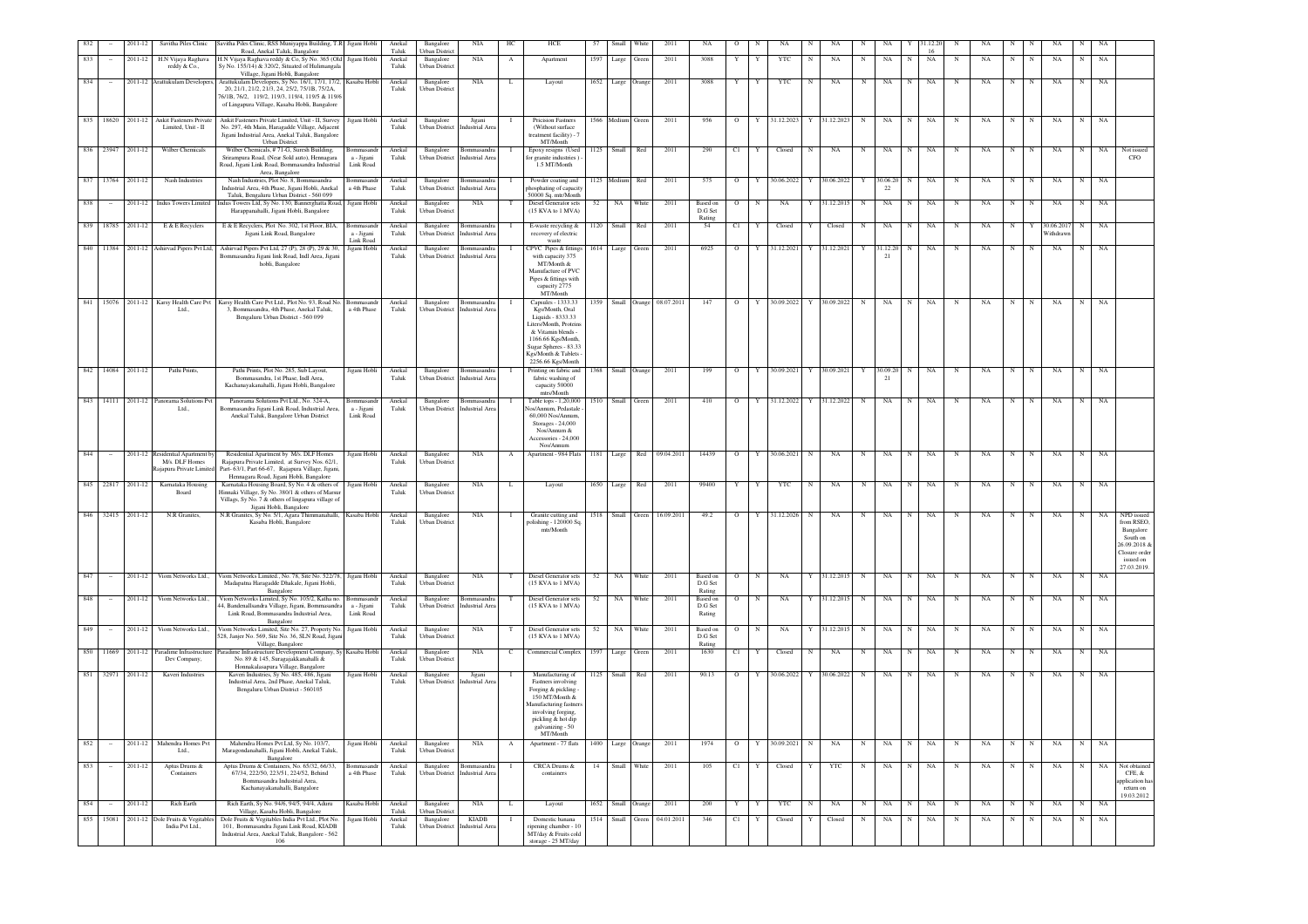|     |           | 2011-12           | Savitha Piles Clini                                              | vitha Piles Clinic, RSS Muniyappa Building, T.R<br>Road, Anekal Taluk, Bangalore                                                                                                          | Jigani Hobli                                | Anekal<br>Taluk | Bangalore<br><b>Urban District</b>        | NIA                                    |              | HCI                                                                                                                                                                                                 |              |                |               | 201                          | NA                                  |                |              |            |   |             |              |                  |            | I.I2.<br>16 |            |             |                 |                         |            |           |                                                                                                              |
|-----|-----------|-------------------|------------------------------------------------------------------|-------------------------------------------------------------------------------------------------------------------------------------------------------------------------------------------|---------------------------------------------|-----------------|-------------------------------------------|----------------------------------------|--------------|-----------------------------------------------------------------------------------------------------------------------------------------------------------------------------------------------------|--------------|----------------|---------------|------------------------------|-------------------------------------|----------------|--------------|------------|---|-------------|--------------|------------------|------------|-------------|------------|-------------|-----------------|-------------------------|------------|-----------|--------------------------------------------------------------------------------------------------------------|
|     |           | 2011-12           | H.N Vijaya Raghava<br>reddy & Co.,                               | H.N Vijava Raghava reddy & Co. Sv No. 365 (Old<br>Sv No. 155/14) & 320/2. Situated of Hulimangala                                                                                         | Jigani Hobli                                | Anekal<br>Taluk | Bangalon<br><b>Urban District</b>         | <b>NIA</b>                             |              | Apartment                                                                                                                                                                                           | 1597         | Large          | <b>Tree</b>   | 2011                         | 3088                                |                |              | YTO        |   | NA          |              | NA               |            | NA          |            | NA          |                 |                         |            | NA        |                                                                                                              |
| 834 |           |                   | 2011-12 Arattukulam Developers                                   | Village, Jigani Hobli, Bangalore<br>Arattukulam Developers, Sy No. 16/1, 17/1, 17/2,                                                                                                      | asaba Hob                                   | Anckal          | Bangalore                                 | <b>NIA</b>                             | L            | Layout                                                                                                                                                                                              | 1652         | Large          | <b>Drange</b> | 2011                         | 3088                                |                |              | YTC        |   | NA          |              | NA               |            | NA          |            | NA          |                 | NA                      |            |           |                                                                                                              |
|     |           |                   |                                                                  | 20, 21/1, 21/2, 21/3, 24, 25/2, 75/1B, 75/2A,<br>76/1B, 76/2, 119/2, 119/3, 119/4, 119/5 & 119/<br>of Lingapura Village, Kasaba Hobli, Bangalore                                          |                                             | Taluk           | <b>Urban Distric</b>                      |                                        |              |                                                                                                                                                                                                     |              |                |               |                              |                                     |                |              |            |   |             |              |                  |            |             |            |             |                 |                         |            |           |                                                                                                              |
| 835 |           |                   | 18620 2011-12 Ankit Fasteners Private<br>Limited, Unit - II      | Ankit Fasteners Private Limited, Unit - II, Survey<br>No. 297, 4th Main, Haragadde Village, Adjacent<br>Jigani Industrial Area, Anekal Taluk, Bangalore<br><b>Urban District</b>          | Jigani Hobli                                | Anekal<br>Taluk | Bangalore<br><b>Urban Distric</b>         | Jigani<br>strial An                    |              | <b>Pricision Fastners</b><br>(Without surface<br>reatment facility) - 7<br>MT/Month                                                                                                                 | 1566 Medium  |                | Green         | 2011                         | 956                                 | $\circ$        |              | 31.12.2023 |   | 31.12.2023  | $_{\rm N}$   | NA               | N          | <b>NA</b>   | N          | <b>NA</b>   | N<br>N          | <b>NA</b>               | N          | NA        |                                                                                                              |
|     |           | 836 23947 2011-12 | Wilber Chemicals                                                 | Wilber Chemicals, #71-G, Suresh Building,<br>Srirampura Road, (Near Sold auto), Hennagara<br>Road, Jigani Link Road, Bommasandra Industrial                                               | Rommacand<br>a - Jigani<br>Link Road        | Anekal<br>Taluk | Bangalore<br><b>Urban District</b>        | Bommasandra<br><b>Industrial Area</b>  |              | Epoxy resigns (Used<br>or granite industries)<br>1.5 MT/Month                                                                                                                                       | $1125$ Small |                | Red           | 2011                         | 290                                 | C1             |              | Closed     |   | NA          | N            | NA               | $_{\rm N}$ | <b>NA</b>   | N          | $_{\rm NA}$ | $_{\rm N}$<br>N | NA                      | N          | NA        | Not issued<br>$_{\rm CFO}$                                                                                   |
|     |           | 837 13764 2011-12 | Nash Industries                                                  | Area, Bangalore<br>Nash Industries, Plot No. 8, Bommasandra<br>Industrial Area, 4th Phase, Jigani Hobli, Anekal<br>Taluk. Bengaluru Urban District - 560 099                              | mmacano<br>a 4th Phase                      | Anekal<br>Taluk | Bangalore<br><b>Urban District</b>        | <b>Rommacandra</b><br>ndustrial Area   |              | Powder coating and<br>hosphating of capacit<br>50000 Sq. mtr/Month                                                                                                                                  | 1125 Mediu   |                | Red           | 2011                         | 575                                 | $\overline{0}$ |              | 30.06.2022 |   | 30.06.2022  |              | 0.06.20<br>22    |            | NA          | N          | NA          | N               | NA                      | N          | NA        |                                                                                                              |
| 838 | $\sim$    | 2011-12           | Indus Towers Limited                                             | Indus Towers Ltd, Sy No. 130, Bannerghatta Road,<br>Harappanahalli, Jigani Hobli, Bangalore                                                                                               | Jigani Hobli                                | Anckal<br>Taluk | Bangalore<br>Urban Distric                | <b>NIA</b>                             |              | Diesel Generator sets<br>(15 KVA to 1 MVA)                                                                                                                                                          | 52           | NA             | White         | 2011                         | Based on<br>D.G Set                 | $\circ$        |              | NA         |   | 31.12.2015  | N            | NA               |            | NA          | N          | NA          | N               | NA                      | N          | NA        |                                                                                                              |
|     |           | 839 18785 2011-12 | E & E Recyclers                                                  | E & E Recyclers, Plot No. 302, 1st Floor, BIA,<br>Jigani Link Road, Bangalore                                                                                                             | Rommacano<br>a - Jigani<br><b>Link Road</b> | Anekal<br>Taluk | Bangalore<br><b>Urban District</b>        | Bommasandra<br><b>Industrial Area</b>  |              | E-waste recycling &<br>recovery of electric<br>waste                                                                                                                                                | 1120 Small   |                | Red           | 2011                         | Rating<br>54                        | $\overline{C}$ |              | Closed     |   | Closed      | N            | NA               |            | NA          | N          | NA          | $\mathbf{N}$    | 30.06.2017<br>Withdrawr |            | NA        |                                                                                                              |
| 840 | 11384     |                   | 2011-12 Ashirvad Pipers Pvt Ltd,                                 | Ashirvad Pipers Pvt Ltd, 27 (P), 28 (P), 29 & 30,<br>Bommasandra Jigani link Road, Indl Area, Jigani<br>hobli, Bangalore                                                                  | Jigani Hobli                                | Aneka<br>Taluk  | Bangalore<br><b>Urban District</b>        | Industrial Area                        |              | <b>PVC</b> Pipes & fittings<br>with capacity 375<br>MT/Month &<br>Manufacture of PVC<br>Pipes & fittings with<br>capacity 2775<br>MT/Month                                                          | 1614 Large   |                | Greer         | 2011                         | 6925                                | $\overline{O}$ |              | 31.12.2021 |   | 31.12.2021  |              | 1.12.2<br>$21\,$ |            | NA          |            | NA          |                 | NA                      | N          | NA        |                                                                                                              |
|     |           |                   | 841 15076 2011-12 Karsy Health Care Pv<br>Ltd.                   | Karsy Health Care Pvt Ltd., Plot No. 93, Road No.<br>3. Bommasandra, 4th Phase, Anekal Taluk,<br>Bengaluru Urban District - 560 099                                                       | a 4th Phase                                 | Anekal<br>Taluk | Bangalore<br><b>Urban District</b>        | <b>Industrial Area</b>                 |              | Capsules - 1333.33<br>Kgs/Month, Oral<br>Liquids - 8333.33<br>.iters/Month, Proteins<br>& Vitamin blends<br>1166.66 Kgs/Month,<br>Sugar Spheres - 83.33<br>Kgs/Month & Tablets<br>2256.66 Kgs/Month |              |                |               | 1359 Small Orange 08.07.2011 | 147                                 | $\circ$        |              | 30.09.2022 |   | 30.09.2022  | $_{\rm N}$   | NA               | $_{\rm N}$ | NA          | $_{\rm N}$ | NA          | N<br>N          | NA                      | $_{\rm N}$ | NA        |                                                                                                              |
| 842 |           | 14084 2011-12     | Pathi Prints,                                                    | Pathi Prints, Plot No. 285, Sub Layout,<br>Bommasandra, 1st Phase, Indl Area,<br>Kachanayakanahalli, Jigani Hobli, Bangalore                                                              | Jigani Hobl                                 | Anekal<br>Taluk | Bangalore<br><b>Urban District</b>        | Bommasandra<br><b>Industrial Area</b>  |              | Printing on fabric and<br>fabric washing of<br>capacity 50000<br>mtrs/Month                                                                                                                         | 1368         | Small          | Orange        | 2011                         | 199                                 | $\overline{0}$ |              | 30.09.2021 |   | 30.09.2021  |              | 80.09.20<br>21   |            | NA          |            | NA          | N               | NA                      | N          | NA        |                                                                                                              |
|     |           |                   | 843 14111 2011-12 Panorama Solutions Pv<br>Ltd.,                 | Panorama Solutions Pvt Ltd No. 324-A<br>ommasandra Jigani Link Road, Industrial Area<br>Anekal Taluk, Bangalore Urban District                                                            | Bommasand<br>a - Jigani<br>Link Road        | Anekal<br>Taluk | <b>Bangalore</b><br><b>Urban District</b> | Bommasandra<br><b>Industrial Area</b>  |              | Table tops - 1,20,000<br>os/Annum, Pedastalo<br>60,000 Nos/Ann<br>Storages - 24,000<br>Nos/Annum &<br>Accessories - 24,000<br>Nos/Annum                                                             | 1510         | Small          | Green         | 2011                         | 410                                 | $\Omega$       | $\mathbf{v}$ | 31 12 2022 | v | 31.12.2022  | $\mathbb{N}$ | <b>NA</b>        | N          | <b>NA</b>   | N          | <b>NA</b>   | $_{\rm N}$<br>N | <b>NA</b>               | $_{\rm N}$ | NA        |                                                                                                              |
| 844 |           | 2011-12           | desidential Apartment<br>M/s. DLF Homes<br>ajapura Private Limit | Residential Apartment by M/s. DLF Homes<br>Rajapura Private Limited, at Survey Nos. 62/1,<br>Part- 63/1, Part 66-67, Rajapura Village, Jigani,<br>Hennagara Road, Jigani Hobli, Bangalore | Jigani Hobl                                 | Anekal<br>Taluk | Bangalore<br>Urban Distric                | <b>NIA</b>                             | $\mathbf{A}$ | Apartment - 984 Flats                                                                                                                                                                               | 1181 Large   |                | Red           | 09.04.2011                   | 14439                               | $\circ$        |              | 30.06.2021 |   | NA          | N            | NA               | N          | NA          | N          | NA          | N<br>N          | NA                      | N          | NA        |                                                                                                              |
|     | 845 22817 | 2011-12           | Karnataka Housing<br>Board                                       | Karnataka Housing Board, Sv No. 4 & others of<br>Hinnaki Village, Sy No. 380/1 & others of Marsur<br>Villags, Sy No. 7 & others of lingapura village of<br>Jigani Hobli, Bangalore        | Jigani Hobli                                | Anckal<br>Taluk | Bangalore<br><b>Urban Distric</b>         | <b>NIA</b>                             | L            | Layout                                                                                                                                                                                              | 1650 Large   |                | Red           | 2011                         | 99400                               |                |              | <b>YTC</b> |   | NA          |              | NA               |            | <b>NA</b>   | N          | NA          | N<br>N          | NA                      | N          | NA        |                                                                                                              |
|     |           | 846 32415 2011-12 | N.R Granites,                                                    | N.R Granites, Sy No. 5/1, Agara Thimmanahalli,<br>Kasaba Hobli, Bangalore                                                                                                                 | Kasaba Hobl                                 | Anekal<br>Taluk | Bangalor<br><b>Urban District</b>         | NIA                                    |              | Granite cutting and<br>olishing - 120000 Sc<br>mtr/Month                                                                                                                                            | 1518         | Small          | Green         | 16.09.2011                   | 49.2                                | $\circ$        |              | 31.12.2026 |   | $_{\rm NA}$ | N            | $_{\rm NA}$      |            | NA          | N          | NA          | $_{\rm N}$      | NA                      |            | NA        | NPD issued<br>from RSEO.<br>Bangalore<br>South on<br>26.09.2018 8<br>Closure orde<br>issued on<br>27.03.2019 |
| 847 |           | 2011-12           | Viom Networks Ltd                                                | Viom Networks Limited., No. 78, Site No. 522/78.<br>Madapatna Haragadde Dhakale, Jigani Hobli,<br>Bangalore                                                                               | Jigani Hobli                                | Anckal<br>Taluk | Bangalore<br>Urban District               | <b>NIA</b>                             |              | <b>Diesel Generator sets</b><br>(15 KVA to 1 MVA)                                                                                                                                                   | 52           | NA             | White         | 2011                         | Based on<br>D.G Set<br>Rating       |                |              | NA         |   | 31.12.2015  |              | NA               |            | NA          |            | NA          |                 | NA                      |            | <b>NA</b> |                                                                                                              |
| 848 |           | 2011-12           | Viom Networks Ltd.,                                              | Viom Networks Limited, Sy No. 105/2, Katha no.<br>44, Bandenallsandra Village, Jigani, Bommasandra<br>Link Road, Bommasandra Industrial Area.<br>Bangalore                                | a - Iigani<br>Link Road                     | Anekal<br>Taluk | Bangalore<br><b>Urban District</b>        | <b>Industrial Area</b>                 |              | Diesel Generator sets<br>(15 KVA to 1 MVA)                                                                                                                                                          | 52           | NA             | White         | 2011                         | Based or<br>D G Set<br>Rating       |                |              | NA         |   | 31.12.2015  |              | NA               |            | NA          |            | NA          |                 |                         |            |           |                                                                                                              |
| 849 |           | 2011-12           | Viom Networks Ltd.                                               | Viom Networks Limited, Site No. 27, Property No.<br>528, Janjer No. 569, Site No. 36, SLN Road, Jigan<br>Village, Bangalore                                                               | Jigani Hobl                                 | Aneka<br>Taluk  | Bangalore<br><b>Urban District</b>        | NIA                                    |              | Diesel Generator sets<br>(15 KVA to 1 MVA)                                                                                                                                                          | 52           | NA             | Vhite         | 201                          | <b>Based</b> o<br>D.G Set<br>Rating |                |              | NA         |   | 31.12.201   |              | NA               |            | NA          |            | NA          |                 |                         |            | NA        |                                                                                                              |
| 850 | 11669     |                   | 2011-12 Paradime Infrastructure<br>Dev Company,                  | Paradime Infrastructure Development Company, Sy<br>No. 89 & 145, Suragajakkanahalli &<br>Honnakalasapura Village, Bangalore                                                               | Kasaba Hobl                                 | Anekal<br>Taluk | Bangalore<br><b>Urban District</b>        | <b>NIA</b>                             | $\epsilon$   | <b>Commercial Complex</b>                                                                                                                                                                           | 1597         | Large          | Greer         | 2011                         | 1630                                | C1             |              | Closed     |   | NA          |              | NA.              |            | <b>NA</b>   |            | NA          |                 | NA                      |            | NA        |                                                                                                              |
| 851 | 32971     | 2011-12           | Kaveri Industrie                                                 | Kaveri Industries, Sy No. 485, 486, Jigar<br>Industrial Area 2nd Phase Anekal Taluk<br>Bengaluru Urban District - 560105                                                                  | igani Hobl                                  | Anckal<br>Taluk | Bangalor<br><b>Urban District</b>         | Jigan<br>ndustrial An                  |              | Manufacturing of<br>Fastners involving<br>Forging & pickling<br>150 MT/Month &<br>anufacturing fastner<br>involving forging,<br>pickling & hot dip<br>galvanizing - 50<br>MT/Month                  | 1125         | Small          | Red           | 2011                         | 90.13                               |                |              | 30.06.2022 |   | 0.06.202    |              |                  |            |             |            | NA          |                 |                         |            |           |                                                                                                              |
| 852 |           | 2011-12           | Mahendra Homes Pv<br>Ltd.                                        | Mahendra Homes Pvt Ltd, Sy No. 103/7,<br>Maragondanahalli, Jigani Hobli, Anekal Taluk<br>Bangalore                                                                                        | Jigani Hobl                                 | Anckal<br>Taluk | Bangalore<br>Urban Distric                | <b>NIA</b>                             | $\mathbf{A}$ | Apartment - 77 flats                                                                                                                                                                                | 1400 Large   |                | Orange        | 2011                         | 1974                                | $\circ$        |              | 30.09.2021 |   | NA          | N            | NA               |            | NA          | N          | NA          | N               | NA                      |            | NA        |                                                                                                              |
| 853 |           | 2011-12           | Aptus Drums &<br>Containers                                      | Aptus Drums & Containers, No. 65/32, 66/33,<br>67/34, 222/50, 223/51, 224/52, Behind<br>Bommasandra Industrial Area.<br>Kachanayakanahalli, Bangalore                                     | Bommasand<br>a 4th Phase                    | Anekal<br>Taluk | Bangalore<br><b>Urban District</b>        | macandr<br><b>Industrial Area</b>      |              | CRCA Drums &<br>containers                                                                                                                                                                          |              | 14 Small White |               | 2011                         | 105                                 | Cl             |              | Closed     |   | <b>YTC</b>  | N            | NA               | N          | $_{\rm NA}$ | N          | NA          | N<br>N          | NA                      |            | NA        | Not obtaine<br>CFE, &<br>pplication ha<br>return on<br>19.03.2012                                            |
| 854 |           | 2011-12           | Rich Earth                                                       | Rich Earth, Sy No. 94/6, 94/5, 94/4, Aduru<br>Village, Kasaba Hobli, Bangalore                                                                                                            | asaba Hob                                   | Anekal<br>Taluk | Bangalor<br><b>Urban District</b>         | <b>NIA</b>                             |              | Layout                                                                                                                                                                                              | 1652         | Small          | <b>Prange</b> | 2011                         | 200                                 |                |              | YTC        |   | $_{\rm NA}$ |              | NA               |            | NA          |            | NA          |                 | NA                      |            | NA        |                                                                                                              |
|     |           |                   | 855 15081 2011-12 Dole Fruits & Vegitable<br>India Pvt Ltd.      | Dole Fruits & Vegitables India Pvt Ltd Plot No<br>101. Bommasandra Jigani Link Road, KIADB<br>Industrial Area, Anekal Taluk, Bangalore - 562<br>106                                       | Jigani Hobli                                | Anekal<br>Taluk | Bangalore<br><b>Urban District</b>        | <b>KIADB</b><br><b>Industrial Area</b> |              | Domestic banana<br>ripening chamber - 10<br>MT/day & Fruits col<br>storage - 25 MT/day                                                                                                              | 1514 Small   |                | Green         | 04/01/2011                   | 346                                 | C1             |              | Closed     |   | Closed      | N            | NA               | N          | <b>NA</b>   | N          | NA          | $_{\rm N}$<br>N | <b>NA</b>               | $_{\rm N}$ | NA        |                                                                                                              |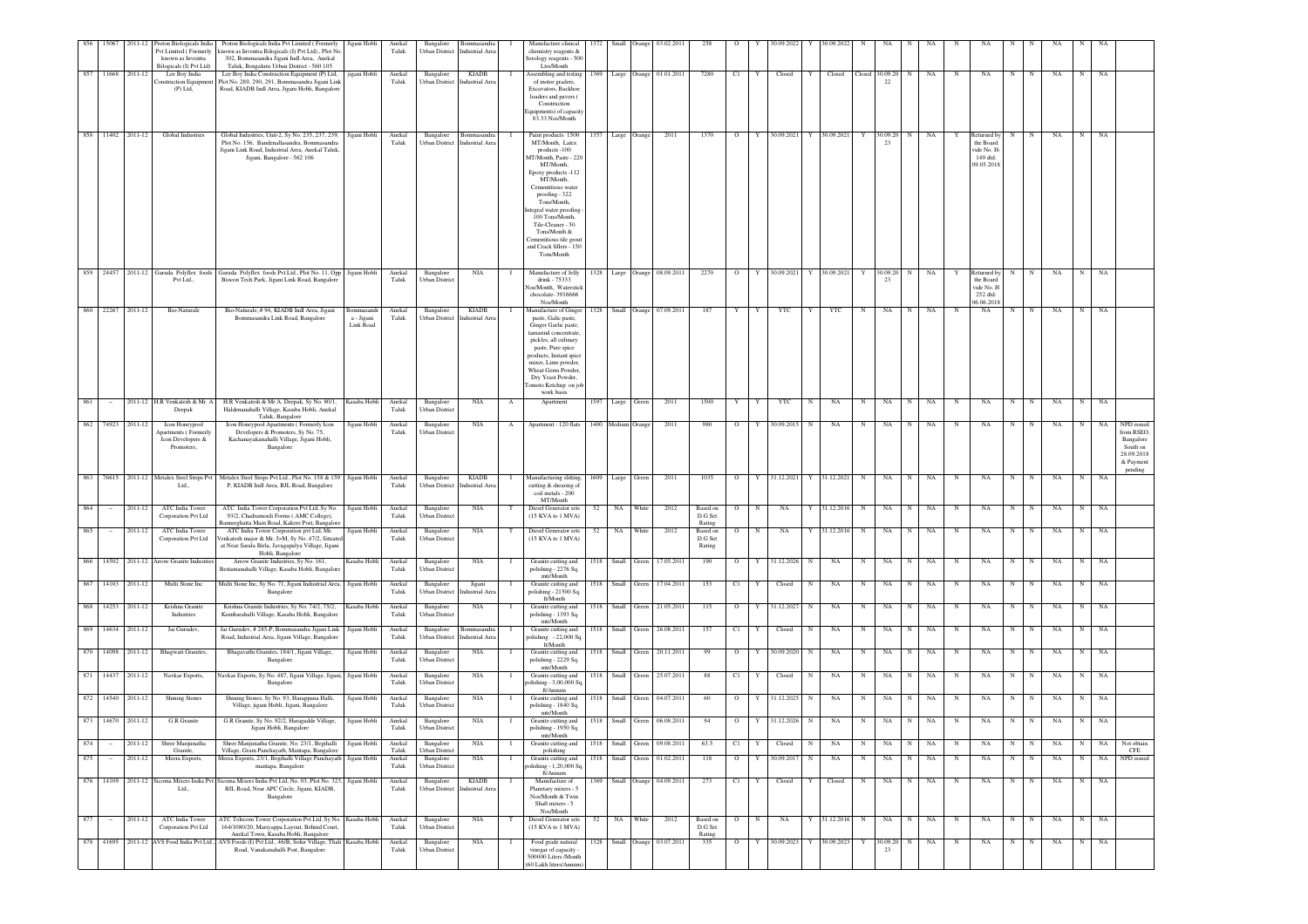| 856 | 15067             |                   | 2011-12 Proton Biologicals India<br>Pvt Limited (Formerly<br>known as Inventra | Proton Biologicals India Pvt Limited (Formerly<br>nown as Inventra Bilogicals (I) Pvt Ltd) Plot No                                                                                                                                                               | Jigani Hobl                                | Anekal<br>Taluk           | Bangalore<br><b>Urban District</b>              | 3ommasandra<br><b>Industrial Area</b>                                 |              | Manufacture clinical<br>chemistry reagents &                                                                                                                                                                                                                                                                                                  | 1372               |                   | Small Orange 03.02.2011               | 258                                         | $\circ$            |   | 30.09.2022       |    | 30.09.2022               |            | NA                         |             | NA          |            | NA                                                               |                 |          |            |             |                                                                                         |
|-----|-------------------|-------------------|--------------------------------------------------------------------------------|------------------------------------------------------------------------------------------------------------------------------------------------------------------------------------------------------------------------------------------------------------------|--------------------------------------------|---------------------------|-------------------------------------------------|-----------------------------------------------------------------------|--------------|-----------------------------------------------------------------------------------------------------------------------------------------------------------------------------------------------------------------------------------------------------------------------------------------------------------------------------------------------|--------------------|-------------------|---------------------------------------|---------------------------------------------|--------------------|---|------------------|----|--------------------------|------------|----------------------------|-------------|-------------|------------|------------------------------------------------------------------|-----------------|----------|------------|-------------|-----------------------------------------------------------------------------------------|
| 857 |                   | 11668 2011-12     | Bilogicals (I) Pvt Ltd)<br>Lee Boy India                                       | 302, Bommasandra Jigani Indl Area, Anekal<br>Taluk. Bengaluru Urban District - 560 105<br>Lee Boy India Construction Equipment (P) Ltd,                                                                                                                          | jigani Hobli                               | Anekal                    | Bangalore                                       | <b>KIADB</b>                                                          |              | Serology reagents - 500<br>Ltrs/Month<br>Assembling and testing                                                                                                                                                                                                                                                                               | 1369               |                   | Large Orange 01.01.2011               | 7280                                        | Cl                 |   | Closed           |    | Closed                   | Closed     | 30.09.20                   |             | NA          | N          | NA                                                               | N<br>N          | NA       |            | NA          |                                                                                         |
|     |                   |                   | <b>Construction Equipmen</b><br>$(P)$ Ltd,                                     | Plot No. 289, 290, 291. Bommasandra Jigani Link<br>Road, KIADB Indl Area, Jigani Hobli, Bangalore                                                                                                                                                                |                                            | Taluk                     | <b>Urban District</b>                           | <b>Industrial Area</b>                                                |              | of motor graders,<br>Excavators, Backhoo<br>loaders and pavers (<br>Construction<br>quipments) of capacity<br>83.33 Nos/Month                                                                                                                                                                                                                 |                    |                   |                                       |                                             |                    |   |                  |    |                          |            | 22                         |             |             |            |                                                                  |                 |          |            |             |                                                                                         |
| 859 |                   | 858 11402 2011-12 | <b>Global Industries</b>                                                       | Global Industries, Unit-2, Sy No. 235, 237, 239,<br>Plot No. 156. Bandenallasandra, Bommasandra<br>Jigani Link Road, Industrial Area, Anekal Taluk<br>Jigani, Bangalore - 562 106                                                                                | Jigani Hobli                               | Anckal<br>Taluk           |                                                 | Bangalore Bommasandra<br>Urban District Industrial Area<br><b>NIA</b> | $\mathbf{I}$ | Paint products 1500<br>MT/Month, Latex<br>products -100<br>MT/Month, Paste - 220<br>MT/Month,<br>Epoxy products -112<br>MT/Month,<br>Cementitious water<br>proofing - 322<br>Tons/Month,<br>tegral water proofing<br>100 Tons/Month,<br>Tile-Cleaner - 50<br>Tons/Month &<br>lementitious tile grout<br>and Crack fillers - 150<br>Tons/Month |                    | 1357 Large Orange | 2011                                  | 1370<br>2270                                | $\circ$            | Y | 30.09.2021       |    | Y 30.09.2021 Y           |            | 30.09.20<br>23<br>30.09.20 | N           | NA          | Y          | Returned by<br>the Board<br>vide No. H<br>149 dtd:<br>09.05.201  | N<br>N          | NA       | N          | NA<br>NA    |                                                                                         |
|     |                   |                   | Pvt Ltd.,                                                                      | 24457 2011-12 Garuda Polyflex foods Garuda Polyflex foods Pvt Ltd., Plot No. 11, Opp Jigani Hobli<br>Biocon Tech Park, Jigani Link Road, Bangalore                                                                                                               |                                            | Anckal<br>Taluk           | Bangalore<br><b>Urban Distric</b>               |                                                                       | $\mathbf{I}$ | Manufacture of Jelly<br>drink - 75333<br>os/Month, Waterstick<br>chocolate-3916666<br>Nos/Month                                                                                                                                                                                                                                               |                    |                   | 1328 Large Orange 08.09.2011          |                                             | $\circ$            | Y | 30.09.2021       | Y. | 30.09.2021 Y             |            | 23                         | $\mathbf N$ | NA          | Y          | Returned by<br>the Board<br>vide No. F<br>252 dtd:<br>06.06.2018 | N<br>N          | NA       | N          |             |                                                                                         |
|     | 860 22267 2011-12 |                   | Bio-Naturale                                                                   | Bio-Naturale, #94, KIADB Indl Area, Jigani<br>Bommasandra Link Road, Bangalore                                                                                                                                                                                   | ommasand<br>a - Jigani<br><b>Link Road</b> | Anekal<br>Taluk           | Bangalore<br><b>Urban District</b>              | <b>KIADB</b><br>ndustrial Area                                        |              | Manufacture of Ginger<br>paste, Galic paste,<br>Ginger Garlic paste,<br>tamarind concentrate<br>pickles, all culinary<br>paste, Pure spice<br>products, Instant spice<br>mixer, Lime powder<br>Wheat Germ Powder<br>Dry Yeast Powder<br>Tomoto Ketchup on job<br>work basis                                                                   | 1328               |                   | Small Orange 07.09.2011               | 187                                         |                    |   | YTC              |    | YTC                      | N          | NA                         |             | NA          |            | NA                                                               | N               | NA       | N          | NA          |                                                                                         |
| 861 |                   |                   | Deepak                                                                         | 2011-12 H.R Venkatesh & Mr. A H.R Venkatesh & Mr A. Deepak, Sy No. 80/1,<br>Haldenanahalli Village, Kasaba Hobli, Anekal<br>Taluk, Bangalore                                                                                                                     | Kasaba Hobli                               | Anekal<br>Taluk           | Bangalore<br><b>Urban District</b>              | NIA                                                                   | A            | Apartment                                                                                                                                                                                                                                                                                                                                     | 1597 Large         | Green             | 2011                                  | 1500                                        |                    |   | YTC              |    | NA                       | N          | NA                         |             | NA          |            | NA                                                               | N               | NA       |            | NA          |                                                                                         |
|     | 862 74923 2011-12 |                   | Icon Honeypool<br>Apartments (Formerly<br>Icon Developers &<br>Promoters.      | Icon Honeypool Apartments (Formerly Icon<br>Developers & Promoters, Sy No. 75,<br>Kachanayakanahalli Village, Jigani Hobli,<br>Bangalore                                                                                                                         | Jigani Hobli                               | Anckal<br>Taluk           | Bangalore<br><b>Urban District</b>              | NIA                                                                   | $\mathbf{A}$ | Apartment - 120 flats                                                                                                                                                                                                                                                                                                                         | 1400 Medium Orange |                   | 2011                                  | 980                                         | $\circ$            |   | 30.09.2015       |    | NA                       | N          | NA                         | N           | NA          | N          | NA                                                               | N<br>N          | NA       | N          | NA          | NPD issued<br>from RSEO,<br>Bangalore<br>South on<br>28.09.2018<br>& Payment<br>pending |
| 863 |                   |                   | Ltd.                                                                           | 76615 2011-12 Metalex Steel Strips Pvt Metalex Steel Strips Pvt Ltd., Plot No. 158 & 159<br>P, KIADB Indl Area, BJL Road, Bangalore                                                                                                                              | Jigani Hobli                               | Anekal<br>Taluk           | Bangalore<br><b>Urban District</b>              | <b>KIADB</b><br>ndustrial Area                                        |              | Manufacturing slitting,<br>cutting & shearing of<br>coil metals - 200<br>MT/Month                                                                                                                                                                                                                                                             | 1609               | Large             | Green<br>2011                         | 1035                                        | $\circ$            |   | 31.12.2021       |    | 31.12.2021               | $_{\rm N}$ | NA                         | N           | NA          | N          | NA                                                               | N<br>N          | NA       | N          | NA          |                                                                                         |
| 864 |                   | 2011-12           | ATC India Tower<br>Corporation Pvt Ltd                                         | ATC India Tower Corporation Pvt Ltd, Sy No.<br>93/2, Chadramouli Forms ( AMC College),<br>Jannerghatta Main Road, Kakere Post, Bangalore                                                                                                                         | Jigani Hobli                               | Anekal<br>Taluk           | Bangalore<br><b>Urban District</b>              | <b>NIA</b>                                                            |              | <b>Diesel Generator sets</b><br>(15 KVA to 1 MVA)                                                                                                                                                                                                                                                                                             | 52                 | NA                | White<br>2012                         | Based on<br>D.G Set<br>Rating               | $\circ$            |   | NA               |    | 31.12.2016               | N          | NA                         | N           | NA          | N          | NA                                                               | N<br>N          | NA       | N          | NA          |                                                                                         |
| 865 |                   | 2011-12           | ATC India Tower<br>Corporation Pvt Ltd                                         | ATC India Tower Corporation pvt Ltd, Mr.<br>'enkatesh major & Mr, J>M, Sy No. 47/2, Situate<br>at Near Sarala Birla, Javagapalya Village, Jigani<br>Hobli, Bangalore                                                                                             | Jigani Hobli                               | Anckal<br>Taluk           | Bangalore<br><b>Urban District</b>              | <b>NIA</b>                                                            |              | <b>Diesel Generator sets</b><br>(15 KVA to 1 MVA)                                                                                                                                                                                                                                                                                             | 52                 | NA                | 2012<br>White                         | Based on<br>D.G Set<br>Rating               | $\circ$            |   | NA               |    | 31.12.2016               | N          | NA                         |             | NA          | N          | NA                                                               | N               | NA       |            | NA          |                                                                                         |
| 866 |                   |                   | 14502 2011-12 Arrow Granite Industrie                                          | Arrow Granite Industries, Sv No. 161.<br>Bestamanahalli Village, Kasaba Hobli, Bangalore                                                                                                                                                                         | Kasaba Hobli                               | Anekal<br>Taluk           | Bangalore<br><b>Urban Distric</b>               | <b>NIA</b>                                                            |              | Granite cutting and<br>polishing - 2276 Sq.<br>mtr/Month                                                                                                                                                                                                                                                                                      | 1518               | Small             | 17.05.2011<br>Green                   | 190                                         | $\circ$            |   | 31.12.2026       |    | NA                       | N          | NA                         |             | NA          | N          | NA                                                               | N<br>N          | NA       | N          | NA          |                                                                                         |
| 867 | 14103             | 2011-12           | Multi Stone Inc                                                                | Multi Stone Inc, Sy No. 71, Jigani Industrial Area, Jigani Hobli<br>Bangalore                                                                                                                                                                                    |                                            | Anekal<br>Taluk           | Bangalore<br><b>Urban District</b>              | Jigani<br>Industrial Are                                              |              | Granite cutting and<br>polishing - 21500 Sq<br>ft/Month                                                                                                                                                                                                                                                                                       | 1518               | Small             | Green<br>17.04.2011                   | 153                                         | C1                 |   | Closed           |    | NA                       | N          | NA                         | N           | NA          | N          | NA                                                               | N<br>N          | NA       | N          | NA          |                                                                                         |
| 868 | 14253             | 2011-12           | Krishna Granite<br>Industries                                                  | Krishna Granite Industries, Sy No. 74/2, 75/2,<br>Kumbarahalli Village, Kasaba Hobli, Bangalore                                                                                                                                                                  | Kasaba Hobl                                | Anekal<br>Taluk           | Bangalore<br><b>Urban District</b>              | NIA                                                                   |              | Granite cutting and<br>polishing - 1393 Sq.<br>mtr/Month                                                                                                                                                                                                                                                                                      | 1518               | Small             | 21.05.2011<br>Green                   | 115                                         | $\circ$            |   | 31.12.2027       |    | NA                       | N          | NA                         |             | NA          |            | NA                                                               | N               | NA       |            | NA          |                                                                                         |
|     | 869 14634 2011-12 |                   | Jai Gurudev,                                                                   | Jai Gurudev, # 285-P, Bommasandra Jigani Link<br>Road, Industrial Area, Jigani Village, Bangalore                                                                                                                                                                | Jigani Hobli                               | Anekal<br>Taluk           | Bangalore<br><b>Urban District</b>              | Bommasandra<br>Industrial Area                                        |              | Granite cutting and<br>oolishing - 22,000 Sq.<br>ft/Month                                                                                                                                                                                                                                                                                     |                    |                   | 1518 Small Green 26.08.2011           | 157                                         | C1                 |   | Closed           |    | NA                       | N          | NA                         | N           | NA          | N          | NA                                                               | N<br>N          | NA       | N          | NA          |                                                                                         |
|     |                   | 870 14098 2011-12 | <b>Bhagwati Granites,</b>                                                      | Bhagavathi Granites, 184/1, Jigani Village,<br>Bangalore                                                                                                                                                                                                         | Jigani Hobli                               | Anckal<br>Taluk           | Bangalore<br><b>Urban District</b>              | <b>NIA</b>                                                            |              | Granite cutting and<br>polishing - 2229 Sq.<br>mtr/Month                                                                                                                                                                                                                                                                                      |                    |                   | 1518 Small Green 20.11.2011           | - 99                                        | $\circ$            |   | 30.09.2020       |    | NA                       | N          | NA                         |             | NA          | N          | NA                                                               | N<br>N          | NA       | N          | NA          |                                                                                         |
| 871 |                   | 14437 2011-12     | Navkar Exports,                                                                | Navkar Exports, Sy No. 487, Jigani Village, Jigani, Jigani Hobli<br>Bangalore                                                                                                                                                                                    |                                            | Anekal<br>Taluk           | Bangalore<br><b>Urban District</b>              | <b>NIA</b>                                                            |              | Granite cutting and<br>olishing - 3,00,000 Sq<br>ft/Annum                                                                                                                                                                                                                                                                                     | 1518 Small         |                   | Green<br>25.07.2011                   | -88                                         | Cl                 |   | Closed           |    | NA                       | N          | NA                         | N           | NA          | N          | NA                                                               | N<br>N          | NA       | N          | NA          |                                                                                         |
|     | 872 14540 2011-12 |                   | <b>Shining Stones</b>                                                          | Shining Stones, Sy No. 93, Harappana Halli,<br>Village, jigani Hobli, Jigani, Bangalore                                                                                                                                                                          | Jigani Hobl                                | Anekal<br>Taluk           | Bangalore<br><b>Urban District</b>              | NIA                                                                   |              | Granite cutting and<br>polishing - 1840 Sq.<br>mtr/Month                                                                                                                                                                                                                                                                                      | 1518 Small         |                   | Green<br>04.07.2011                   | 60                                          | $\circ$            |   | 31.12.2025       |    | $_{\rm NA}$              | N          | NA                         |             | NA          | N          | NA                                                               | N<br>N          | NA       | N          | NA          |                                                                                         |
|     | 873 14670 2011-12 |                   | G.R Granite                                                                    | G.R Granite, Sy No. 92/2, Haragadde Village,<br>Jigani Hobli, Bangalore                                                                                                                                                                                          | Jigani Hobli                               | Anekal<br>Taluk           | Bangalore<br><b>Urban District</b>              | <b>NIA</b>                                                            |              | Granite cutting and<br>polishing - 1950 Sq.<br>mtr/Month                                                                                                                                                                                                                                                                                      |                    | 1518 Small Green  | 06.08.2011                            | 94                                          | $\circ$            | Y | 31.12.2026       | N  | NA                       | N          | NA                         | N           | NA          | $_{\rm N}$ | NA                                                               | N<br>N          | NA       | N          | NA          |                                                                                         |
| 874 | $\sim$            | 2011-12           | Shree Manjunatha<br>Granite,                                                   | Shree Manjunatha Granite, No. 23/1, Begihalli<br>Village, Gram Panchayath, Mantapa, Bangalore                                                                                                                                                                    | Jigani Hobli                               | Anekal<br>Taluk           | Bangalore<br><b>Urban District</b>              | NIA                                                                   | $\bf{I}$     | Granite cutting and<br>polishing                                                                                                                                                                                                                                                                                                              | 1518               | Small             | Green<br>09.08.2011                   | 63.5                                        | C1                 |   | Closed           |    | NA                       | N          | NA                         | N           | NA          | N          | NA                                                               | N<br>N          | NA       | N          | NA          | Not obtain<br>CFE                                                                       |
| 875 | $\sim$            | 2011-12           | Meera Exports,                                                                 | Meera Exports, 23/1, Begihalli Village Panchayath Jigani Hobli<br>mantapa, Bangalore                                                                                                                                                                             |                                            | Anekal<br>Taluk           | Bangalore<br><b>Urban District</b>              | $_{\rm NIA}$                                                          | -1           | Granite cutting and<br>olishing - 1,20,000 Sq<br>ft/Annum                                                                                                                                                                                                                                                                                     | 1518               | Small             | Green<br>01.02.2011                   | 118                                         | $\circ$            |   | 30.09.2017       |    | $_{\rm NA}$              | N          | $_{\rm NA}$                | N           | $_{\rm NA}$ | $_{\rm N}$ | $_{\rm NA}$                                                      | $_{\rm N}$<br>N | NA       | N          | $_{\rm NA}$ | NPD issued                                                                              |
|     |                   |                   |                                                                                |                                                                                                                                                                                                                                                                  |                                            |                           |                                                 |                                                                       |              |                                                                                                                                                                                                                                                                                                                                               |                    |                   |                                       |                                             |                    |   |                  |    |                          | N          | NA                         | N           | NA          | $_{\rm N}$ |                                                                  |                 |          |            | NA          |                                                                                         |
|     |                   |                   | 876 14109 2011-12 Sicoma Mixers India Pvt<br>Ltd.,                             | Sicoma Mixers India Pvt Ltd, No. 03, Plot No. 323, Jigani Hobli<br>BJL Road, Near APC Circle, Jigani, KIADB,<br>Bangalore                                                                                                                                        |                                            | Anekal<br>Taluk           | Bangalore<br><b>Urban District</b>              | <b>KIADB</b><br><b>Industrial Area</b>                                |              | Manufacture of<br>Planetary mixers - 5<br>Nos/Month & Twin<br>Shaft mixers - 5<br>Nos/Month                                                                                                                                                                                                                                                   | 1369 Small         |                   | Orange 04.09.2011                     | 273                                         | C1                 | Y | Closed           | Y  | Closed                   |            |                            |             |             |            | NA                                                               | N<br>N          | NA       | $_{\rm N}$ |             |                                                                                         |
| 877 |                   | 2011-12           | ATC India Tower<br>Corporation Pvt Ltd                                         | ATC Telecom Tower Corporation Pvt Ltd, Sy No. Kasaba Hobli<br>164/1080/20, Mariyappa Layout, Behind Court,<br>Anekal Town, Kasaba Hobli, Bangalore<br>878 41695 2011-12 AVS Food India Pvt Ltd., AVS Foods (I) Pvt Ltd., 46/B, Solur Village, Thali Kasaba Hobli |                                            | Anekal<br>Taluk<br>Anekal | Bangalore<br><b>Urban District</b><br>Bangalore | NIA<br>NIA                                                            |              | Diesel Generator sets<br>(15 KVA to 1 MVA)<br>Food grade natural                                                                                                                                                                                                                                                                              | 52<br>1328 Small   | NA                | White<br>2012<br>03.07.2011<br>Orange | <b>Based</b> on<br>D.G Set<br>Rating<br>335 | $\circ$<br>$\circ$ | N | NA<br>30.09.2023 |    | 31.12.2016<br>30.09.2023 | N          | NA<br>30.09.20             | N           | NA<br>NA    | N<br>N     | NA<br>NA                                                         | N<br>N<br>N     | NA<br>NA | N<br>N     | NA<br>NA    |                                                                                         |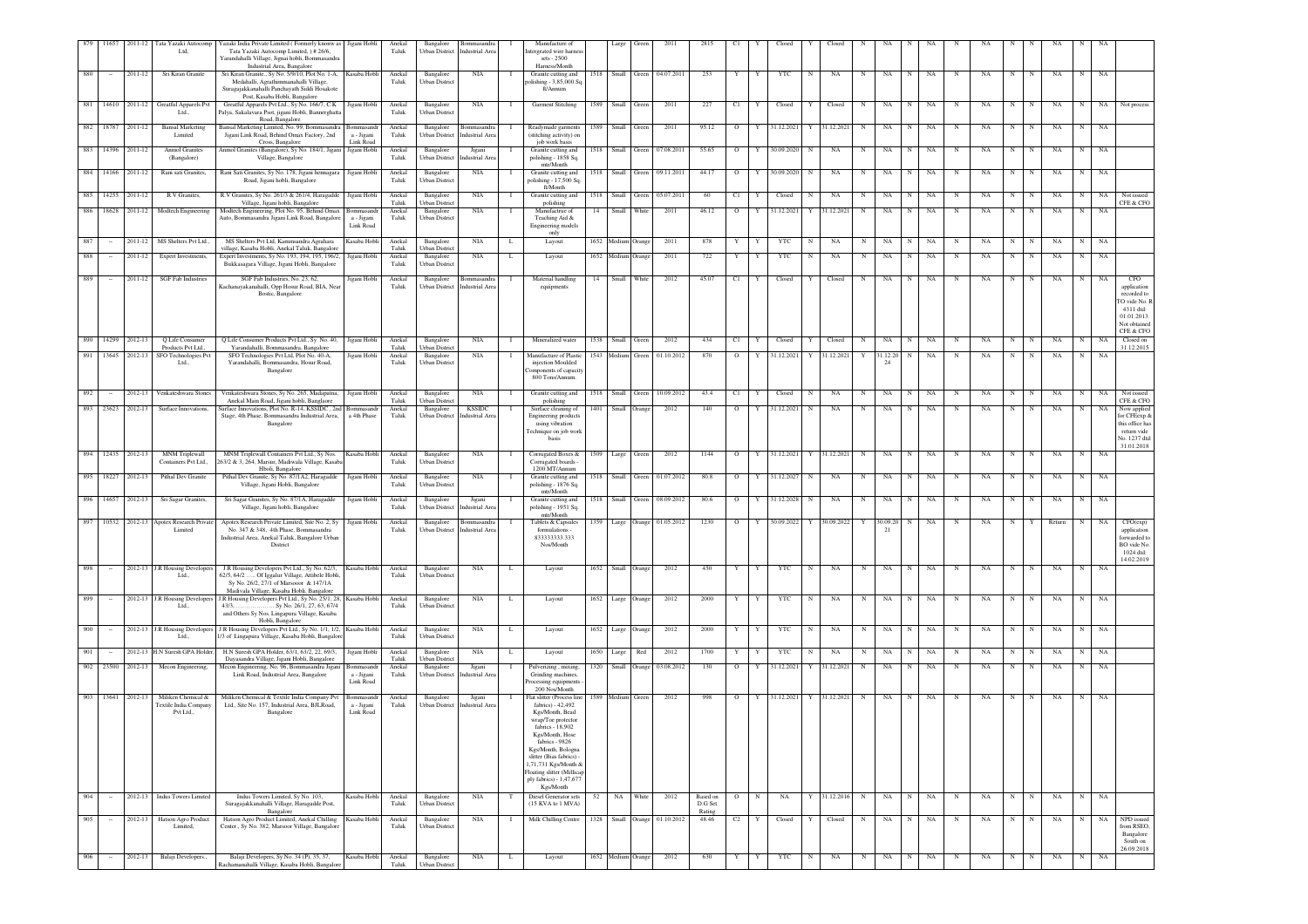| 879        | 11657         |                   | 2011-12 Tata Yazaki Autocomp                    | Yazaki India Private Limited (Formerly knonw as                                                                                                    | Jigani Hobli                                | Anekal                    | Bangalore                                            | 3ommasandra                           |     | Manufacture of                                                                     |              | Large            | Green               | 2011                         | 2815                | C1             |              | Closed            |   | Closed           |     | NA            |              | NA          |            | NA          |   |   |             |   |           |                                               |
|------------|---------------|-------------------|-------------------------------------------------|----------------------------------------------------------------------------------------------------------------------------------------------------|---------------------------------------------|---------------------------|------------------------------------------------------|---------------------------------------|-----|------------------------------------------------------------------------------------|--------------|------------------|---------------------|------------------------------|---------------------|----------------|--------------|-------------------|---|------------------|-----|---------------|--------------|-------------|------------|-------------|---|---|-------------|---|-----------|-----------------------------------------------|
|            |               |                   | Ltd.                                            | Tata Yazaki Autocomn Limited 1#26/6<br>Yarandahalli Village, Jignai hobli, Bommasandra                                                             |                                             | Taluk                     | <b>Urban District</b>                                | <b>Industrial Area</b>                |     | tergrated wire harne<br>sets - 2500<br>Harness/Month                               |              |                  |                     |                              |                     |                |              |                   |   |                  |     |               |              |             |            |             |   |   |             |   |           |                                               |
| 880        | $\sim$        | 2011-12           | Sri Kiran Granite                               | Industrial Area, Bangalore<br>Sri Kiran Granite., Sy No. 5/9/10, Plot No. 1-A,<br>Medahalli, Agrathimmanahalli Village,                            | Kasaba Hobli                                | Anekal<br>Taluk           | Bangalore<br><b>Urban District</b>                   | <b>NIA</b>                            |     | Granite cutting and<br>olishing - 3,85,000 Sq                                      |              |                  |                     | 1518 Small Green 04.07.2011  | 253                 |                | Y            | <b>YTC</b>        | N | NA               | N   | NA            | N            | NA          | N          | NA          | N | N | NA          |   | NA        |                                               |
| 881        |               | 14610 2011-12     | Greatful Apparels Pvt                           | Suragajakkanahalli Panchayath Siddi Hosakote<br>Post, Kasaba Hobli, Bangalore<br>Greatful Apparels Pvt Ltd., Sy No. 166/7, C.K                     | Jigani Hobli                                | Anekal                    | Bangalore                                            | NIA                                   |     | ft/Annum<br><b>Garment Stitching</b>                                               | 1589         | Small            | Greer               | 2011                         | 227                 | C1             |              | Closed            |   | Closed           |     | NA            |              | NA          | N          | NA          |   |   | NA          |   | NA        | Not process                                   |
|            |               |                   | Ltd.                                            | Palya, Sakalavara Psot, jigani Hobli, Bannerghatta<br>Road, Bangalore                                                                              |                                             | Taluk                     | <b>Urban Distric</b>                                 |                                       |     |                                                                                    |              |                  |                     |                              |                     |                |              |                   |   |                  |     |               |              |             |            |             |   |   |             |   |           |                                               |
|            |               | 882 18787 2011-12 | <b>Bansal Marketing</b><br>Limited              | Bansal Marketing Limited, No. 99, Bommasandra<br>Jigani Link Road, Behind Omax Factory, 2nd<br>Cross, Bangalore                                    | a - Jigani<br>Link Road                     | Anekal<br>Taluk           | Bangalore<br><b>Urban District</b>                   | Bommasandra<br>Industrial Area        |     | Readymade garments<br>(stitching activity) on<br>job work basis                    |              | 1589 Small Green |                     | 2011                         | 95.12               | $\circ$        |              | 31.12.2021        |   | 31.12.2021       | N   | NA            | N            | NA          | N          | NA          |   | N | NA          |   | NA        |                                               |
| 883        | 14396         | 2011-12           | Anmol Granites<br>(Bangalore)                   | Anmol Granites (Bangalore), Sy No. 184/1, Jigani<br>Village, Bangalore                                                                             | Jigani Hobli                                | Anckal<br>Taluk           | Bangalore<br><b>Urban District</b>                   | Jigani<br>Industrial Area             |     | Granite cutting and<br>polishing - 1858 Sq.<br>mtr/Month                           | 1518         | Small            | Green               | 07.08.2011                   | 55.65               | $\circ$        |              | 30.09.2020        |   | NA               |     | NA            |              | NA          |            | NA          |   |   | NA          |   | NA        |                                               |
|            |               | 884 14166 2011-12 | Rani sati Granites,                             | Rani Sati Granites, Sy No. 178, Jigani hennagara<br>Road, Jigani hobli, Bangalore                                                                  | Jigani Hobli                                | Anckal<br>Taluk           | Bangalore<br><b>Urban Distric</b>                    | NIA                                   |     | Granite cutting and<br>polishing - 17,500 Sq                                       |              |                  |                     | 1518 Small Green 09.11.2011  | 44.17               | $\circ$        | $\mathbf{Y}$ | 30.09.2020        | N | NA               | N   | NA            | N            | $_{\rm NA}$ | N          | NA          | N | N | NA          | N | NA        |                                               |
| 885        | 14255         | 2011-12           | R.V Granites,                                   | R.V Granites, Sv No. 261/3 & 261/4. Haragadde<br>Village, Jigani hobli, Bangalore                                                                  | Jigani Hobli                                | Anckal<br>Taluk           | Bangalore<br><b>Urban District</b>                   | <b>NIA</b>                            |     | ft/Month<br>Granite cutting and<br>polishing                                       |              | 1518 Small       | Green               | 05.07.2011                   | 60                  | C1             |              | Closed            |   | NA               | - N | <b>NA</b>     | N            | NA          | N          | NA          | N | N | NA          |   | NA        | Not issued<br>CFE & CFO                       |
| 886        | 18628         | 2011-12           | Modtech Engineering                             | Modtech Engineering, Plot No. 95, Behind Omax<br>Auto, Bommasandra Jigani Link Road, Bangalore                                                     | <b>Bommasand</b><br>a - Jigani<br>Link Road | Anekal<br>Taluk           | Bangalore<br><b>Urban District</b>                   | $_{\rm NIA}$                          |     | Manufactrue of<br>Teaching Aid &<br>Engineering models                             | 14           |                  | Small White         | 2011                         | 46.12               | $\circ$        |              | 31.12.2021        |   | 31.12.2021       | N   | $_{\rm NA}$   | N            | $_{\rm NA}$ | N          | $_{\rm NA}$ |   | N | $_{\rm NA}$ | N | <b>NA</b> |                                               |
| 887        |               | 2011-12           | MS Shelters Pvt Ltd.,                           | MS Shelters Pvt Ltd, Kammsandra Agrahara                                                                                                           | Kasaba Hobl                                 | Anekal                    | Bangalore                                            | <b>NIA</b>                            |     | only<br>Layout                                                                     |              | 1652 Medium      | Orange              | 2011                         | 878                 |                |              | YTC               |   | NA               |     | NA            |              | NA          | N          | NA          |   |   | NA          |   | NA        |                                               |
| 888        | $\sim$        | 2011-12           | Expert Investments,                             | village, Kasaba Hobli, Anekal Taluk, Bangalore<br>Expert Investments, Sv No. 193, 194, 195, 196/2.<br>Bukkasagara Village, Jigani Hobli, Bangalore | Jigani Hobli                                | Taluk<br>Anekal<br>Taluk  | Urban District<br>Bangalore<br><b>Urban District</b> | <b>NIA</b>                            | L   | Layout                                                                             |              |                  | 1652 Medium Orange  | 2011                         | 722                 | Y              |              | <b>YTC</b>        |   | <b>NA</b>        | N   | NA            | N            | NA          | N          | NA          | N | N | NA          |   | NA        |                                               |
| 889        |               | 2011-12           | <b>SGF Fab Industries</b>                       | SGF Fab Industries, No. 23, 62,                                                                                                                    | Jigani Hobli                                | Anekal<br>Taluk           | Bangalore<br><b>Urban District</b>                   | Bommasandra<br><b>Industrial Area</b> |     | Material handling                                                                  | 14           | Small            | White               | 2012                         | 45.07               | C1             |              | Closed            |   | Closed           |     | NA            | N            | NA          | N          | NA          |   |   | NA          |   | NA        | <b>CFO</b>                                    |
|            |               |                   |                                                 | Kachanayakanahalli, Opp Hosur Road, BIA, Near<br>Bostic, Bangalore                                                                                 |                                             |                           |                                                      |                                       |     | equipments                                                                         |              |                  |                     |                              |                     |                |              |                   |   |                  |     |               |              |             |            |             |   |   |             |   |           | application<br>recorded to<br>TO vide No. F   |
|            |               |                   |                                                 |                                                                                                                                                    |                                             |                           |                                                      |                                       |     |                                                                                    |              |                  |                     |                              |                     |                |              |                   |   |                  |     |               |              |             |            |             |   |   |             |   |           | 4311 dtd:<br>01.01.2013<br>Not obtained       |
| 890        | 14299         | 2012-13           | O Life Consumer                                 | Q Life Consumer Products Pvt Ltd., Sv No. 40,                                                                                                      | Jigani Hobli                                | Anckal                    | Bangalore                                            | <b>NIA</b>                            |     | Mineralized water                                                                  |              | 1538 Small       | Green               | 2012                         | 434                 | C1             |              | Closed            |   | Closed           |     | NA.           |              | NA          | N          | NA          |   |   | <b>NA</b>   |   | NA        | CFE & CFO<br>Closed on                        |
| 891        | 13645         | 2012-13           | Products Pvt Ltd.<br>SFO Technologies Pv        | Yarandahalli, Bommasandra, Bangalore<br>SFO Technologies Pvt Ltd, Plot No. 40-A,                                                                   | Jigani Hobli                                | Taluk<br>Anekal           | <b>Urban Distric</b><br>Bangalore                    | NIA                                   |     | Manufacture of Plastic                                                             | 1543         | Mediun           | Green               | 01.10.2012                   | 870                 |                |              | 1.12.2021         |   | 31.12.2021       |     | 31.12.2       |              | NA          | N          | NA          |   |   | NA          |   | NA        | 31.12.2015                                    |
|            |               |                   | Ltd.,                                           | Yarandahalli, Bommasandra, Hosur Road,<br>Bangalore                                                                                                |                                             | Taluk                     | <b>Urban District</b>                                |                                       |     | injection Moulded<br>components of capacity<br>800 Tons/Annum                      |              |                  |                     |                              |                     |                |              |                   |   |                  |     | 24            |              |             |            |             |   |   |             |   |           |                                               |
| 892        | $\sim$        | 2012-13           | Venkateshwara Stones                            | Venkateshwara Stones, Sy No. 265, Madapatna,<br>Anekal Main Road, Jigani hobli, Banglaore,                                                         | Jigani Hobli                                | Anckal<br>Taluk           | Bangalore<br><b>Urban Distric</b>                    | <b>NIA</b>                            | - 1 | Granite cutting and<br>polishing                                                   | 1518         | Small            | Green               | 10.09.2012                   | 43.4                | C1             | Y            | Closed            | N | NA               | N   | <b>NA</b>     | N            | NA.         | N          | NA          | N | N | <b>NA</b>   |   | NA        | Not issued<br>CFE & CFO                       |
| 893        | 23623         | 2012-13           | Surface Innovations,                            | Surface Innovations, Plot No. R-14, KSSIDC, 2nd<br>Stage, 4th Phase, Bommasandra Industrial Area,                                                  | Bommasand<br>a 4th Phase                    | Anekal<br>Taluk           | Bangalore<br><b>Urban District</b>                   | <b>KSSIDC</b><br>Industrial Area      |     | Surface cleaning of<br><b>Engineering products</b>                                 | 1401         | Small            | Orango              | 2012                         | 140                 | $\circ$        | Y            | 31.12.2021        | N | NA               | N   | $_{\rm NA}$   | N            | $_{\rm NA}$ | N          | $_{\rm NA}$ | N | N | NA          | N | NA        | Now applied<br>for CFEexp &                   |
|            |               |                   |                                                 | Bangalore                                                                                                                                          |                                             |                           |                                                      |                                       |     | using vibration<br>Fechnique on job work                                           |              |                  |                     |                              |                     |                |              |                   |   |                  |     |               |              |             |            |             |   |   |             |   |           | this office has<br>return vide                |
|            |               |                   |                                                 |                                                                                                                                                    |                                             |                           |                                                      |                                       |     | basis                                                                              |              |                  |                     |                              |                     |                |              |                   |   |                  |     |               |              |             |            |             |   |   |             |   |           | No. 1237 dtd:<br>31.01.2018                   |
|            |               | 894 12435 2012-13 | <b>MNM</b> Triplewall<br>Containers Pvt Ltd.    | MNM Triplewall Containers Pvt Ltd., Sv Nos.<br>263/2 & 3, 264, Marsur, Madiwala Village, Kasab<br>Hboli, Bangalore                                 | Kasaba Hobli                                | Anckal<br>Taluk           | Bangalore<br><b>Urban Distric</b>                    | <b>NIA</b>                            |     | Corrugated Boxes &<br>Cornigated boards<br>1200 MT/Annum                           |              |                  | 1509 Large Green    | 2012                         | 1144                | $\overline{0}$ |              | 31.12.2021        |   | Y 31.12.2021     | N   | NA            | N            | NA          | N          | NA          | N | N | NA          | N | NA        |                                               |
| 895        | 18227         | 2012-13           | Pithal Dev Granite                              | Pithal Dev Granite, Sy No. 87/1A2, Haragadde<br>Village, Jigani Hobli, Bangalore                                                                   | Jigani Hobli                                | Anekal<br>Taluk           | Bangalore<br><b>Urban Distric</b>                    | <b>NIA</b>                            |     | Granite cutting and<br>polishing - 1876 Sq.<br>mtr/Month                           | 1518         | Small            | Green               | 01.07.2012                   | 80.8                | $\circ$        |              | 31.12.2027        |   | NA               |     | NA            |              | NA          | N          | NA          |   |   | NA          |   | NA        |                                               |
| 896        |               | 14657 2012-13     | Sri Sagar Granites,                             | Sri Sagar Granites, Sy No. 87/1A, Haragadde<br>Village, Jigani hobli, Bangalore                                                                    | Jigani Hobli                                | Anekal<br>Taluk           | Bangalore<br><b>Urban District</b>                   | Jigani<br>ndustrial Area              |     | Granite cutting and<br>polishing - 1951 Sq.<br>mtr/Month                           |              |                  | 1518 Small Green    | 08.09.2012                   | 80.6                | $\circ$        |              | 31.12.2028        |   | NA               | N   | NA            | N            | NA          | N          | NA          |   | N | NA          |   | NA        |                                               |
| 897        |               |                   | 10532 2012-13 Apotex Research Privat<br>Limited | Apotex Research Private Limited, Site No. 2, Sy<br>No. 347 & 348, 4th Phase, Bommasandra                                                           | Jigani Hobli                                | Anckal<br>Taluk           | Bangalore<br><b>Urban District</b>                   | Bommasandra<br><b>Industrial Area</b> |     | Tablets & Capsules<br>formulations                                                 |              |                  |                     | 1359 Large Orange 01.05.2012 | 1230                |                |              | 30.09.2022        |   | 30.09.2022       |     | 60.09.2<br>21 |              | NA          |            | NA          |   |   | Return      |   |           | CFO(cxp)<br>application                       |
|            |               |                   |                                                 | Industrial Area, Anekal Taluk, Bangalore Urban<br>District                                                                                         |                                             |                           |                                                      |                                       |     | 833333333.333<br>Nos/Month                                                         |              |                  |                     |                              |                     |                |              |                   |   |                  |     |               |              |             |            |             |   |   |             |   |           | orwarded to<br><b>BO</b> vide No<br>1024 dtd: |
| 898        | $\sim$        |                   | 2012-13 J.R Housing Developers                  | J.R Housing Developers Pvt Ltd., Sy No. 62/3,                                                                                                      | Kasaba Hobli                                | Anekal                    | Bangalore                                            | <b>NIA</b>                            | L   | Layout                                                                             |              |                  | 1652 Small Orange   | 2012                         | 450                 | Y              | Y            | <b>YTC</b>        | N | <b>NA</b>        | N   | NA            | N            | NA          | $_{\rm N}$ | NA          | N | N | NA          | N | NA        | 14.02.2019                                    |
|            |               |                   | Ltd.                                            | 62/5, 64/2  Of Iggalur Village, Attibele Hobli,<br>Sy No. 26/2, 27/1 of Marsooor & 147/1A<br>Madivala Village, Kasaba Hobli, Bangalore             |                                             | Taluk                     | <b>Urban District</b>                                |                                       |     |                                                                                    |              |                  |                     |                              |                     |                |              |                   |   |                  |     |               |              |             |            |             |   |   |             |   |           |                                               |
| 899        |               |                   | 2012-13 J.R Housing Developers<br>Ltd.          | J.R Housing Developers Pvt Ltd., Sy No. 25/1, 28,<br>43/3<br>Sy No. 26/1, 27, 63, 67/4                                                             | Kasaba Hobli                                | Anekal<br>Taluk           | Bangalore<br><b>Urban Distric</b>                    | <b>NIA</b>                            | L   | Layout                                                                             |              | $1652$ Large     | Orango              | 2012                         | 2000                | Y              |              | <b>YTC</b>        | N | NA               | N   | NA            | N            | NA          | N          | NA          | N | N | NA          |   | NA        |                                               |
| 900        | $\sim$        |                   | 2012-13 J.R Housing Developers                  | and Others Sy Nos. Lingapura Village, Kasaba<br>Hobli, Bangalore<br>J.R Housing Developers Pvt Ltd., Sy No. 1/1, 1/2, Kasaba Hobli                 |                                             | Anckal                    | Bangalore                                            | <b>NIA</b>                            | L   | Layout                                                                             |              |                  | 1652 Large Orange   | 2012                         | 2000                | Y              | Y            | <b>YTC</b>        |   | <b>NA</b>        | N   | NA            | N            | NA          | N          | NA          | N | N | NA.         |   | NA        |                                               |
|            |               |                   | Ltd.                                            | 1/3 of Lingapura Village, Kasaba Hobli, Bangalor                                                                                                   |                                             | Taluk                     | <b>Urban Distric</b>                                 |                                       |     |                                                                                    |              |                  |                     |                              |                     |                |              |                   |   |                  |     |               |              |             |            |             |   |   |             |   |           |                                               |
| 901<br>902 | 23500         | 2012-13           | 2012-13 H.N Suresh GPA Holder                   | H.N Suresh GPA Holder, 63/1, 63/2, 22, 69/3,<br>Davasandra Village, Jigani Hobli, Bangalore<br>Mecon Engineering, No. 96, Bommasandra Jigani       | Jigani Hobli                                | Anekal<br>Taluk<br>Anekal | Bangalore<br><b>Urban District</b><br>Bangalore      | <b>NIA</b>                            | L   | Layout                                                                             | 1650<br>1320 | Large            | Red<br>Small Orange | 2012<br>03.08.2012           | 1700<br>130         | $\circ$        |              | YTC<br>31.12.2021 |   | NA<br>31.12.2021 | N   | NA<br>NA      | N            | NA<br>NA    | N          | NA<br>NA    |   |   | NA          |   | NA<br>NA  |                                               |
|            |               |                   | Mecon Engineering,                              | Link Road, Industrial Area, Bangalore                                                                                                              | a - Jigani<br>Link Road                     | Taluk                     | <b>Urban District</b>                                | Jigani<br>ndustrial Area              |     | Pulverizing, mixing,<br>Grinding machines,<br>rocessing equipments                 |              |                  |                     |                              |                     |                |              |                   |   |                  |     |               |              |             | N          |             |   |   | NA          |   |           |                                               |
|            |               | 903 13641 2012-13 | Miliken Chemical &<br>Textile India Company     | Miliken Chemical & Textile India Company Pvt<br>Ltd., Site No. 157, Industrial Area, BJLRoad,                                                      | <b>Bommasand</b><br>a - Jigani              | Anekal<br>Taluk           | Bangalore<br><b>Urban District</b>                   | Jigani<br>ndustrial An                |     | 200 Nos/Month<br>Flat slitter (Process line 1589 Medium Green<br>fabrics) - 42,492 |              |                  |                     | 2012                         | 998                 | $\circ$        | Y            | 31.12.2021        |   | Y 31.12.2021     | N   | NA            | N            | NA          | N          | NA          | N | N | NA          | N | <b>NA</b> |                                               |
|            |               |                   | Pvt Ltd.                                        | Bangalore                                                                                                                                          | Link Road                                   |                           |                                                      |                                       |     | Kgs/Month, Bead<br>wran/Toe protector                                              |              |                  |                     |                              |                     |                |              |                   |   |                  |     |               |              |             |            |             |   |   |             |   |           |                                               |
|            |               |                   |                                                 |                                                                                                                                                    |                                             |                           |                                                      |                                       |     | fabrics - 18,902<br>Kgs/Month, Hose                                                |              |                  |                     |                              |                     |                |              |                   |   |                  |     |               |              |             |            |             |   |   |             |   |           |                                               |
|            |               |                   |                                                 |                                                                                                                                                    |                                             |                           |                                                      |                                       |     | fabrics - 9826<br>Kgs/Month, Bologna                                               |              |                  |                     |                              |                     |                |              |                   |   |                  |     |               |              |             |            |             |   |   |             |   |           |                                               |
|            |               |                   |                                                 |                                                                                                                                                    |                                             |                           |                                                      |                                       |     | slitter (Bias fabrics) -<br>1,71,731 Kgs/Month &                                   |              |                  |                     |                              |                     |                |              |                   |   |                  |     |               |              |             |            |             |   |   |             |   |           |                                               |
|            |               |                   |                                                 |                                                                                                                                                    |                                             |                           |                                                      |                                       |     | loating slitter (Millicap<br>ply fabrics) - 1,47,677<br>Kgs/Month                  |              |                  |                     |                              |                     |                |              |                   |   |                  |     |               |              |             |            |             |   |   |             |   |           |                                               |
| 904        | $\sim$        |                   | 2012-13 Indus Towers Limited                    | Indus Towers Limited, Sy No. 103,<br>Suragajakkanahalli Village, Haragadde Post,                                                                   | Kasaba Hobli                                | Anekal<br>Taluk           | Bangalore<br><b>Urban Distric</b>                    | <b>NIA</b>                            |     | Diesel Generator sets<br>(15 KVA to 1 MVA)                                         | 52           | NA               | White               | 2012                         | Based on<br>D G Set | $\circ$        | $_{\rm N}$   | NA                |   | Y 31.12.2016 N   |     | NA            | $\mathbb{N}$ | NA          | $_{\rm N}$ | NA          | N | N | NA          | N | NA        |                                               |
| 905        | $\rightarrow$ | 2012-13           | Hatson Agro Product                             | Bangalore<br>Hatson Agro Product Limited, Anekal Chilling<br>Center., Sy No. 382, Marsoor Village, Bangalore                                       | Kasaba Hobli                                | Anekal<br>Taluk           | Bangalore<br><b>Urban District</b>                   | <b>NIA</b>                            |     | Milk Chilling Centre                                                               |              |                  |                     | 1328 Small Orange 01.10.2012 | Rating<br>48.46     | C2             | Y            | Closed            |   | Closed           | N   | $_{\rm NA}$   | N            | $_{\rm NA}$ | N          | $_{\rm NA}$ | N | N | $_{\rm NA}$ |   | NA        | NPD issued<br>from RSEO,                      |
|            |               |                   | Limited.                                        |                                                                                                                                                    |                                             |                           |                                                      |                                       |     |                                                                                    |              |                  |                     |                              |                     |                |              |                   |   |                  |     |               |              |             |            |             |   |   |             |   |           | Bangalore<br>South on                         |
| 906        |               | 2012-13           | Balaji Developers.,                             | Balaji Developers, Sy No. 34 (P), 35, 37,<br>tachamanahalli Village, Kasaba Hobli, Bangalore                                                       | Kasaba Hobli                                | Anckal                    | Bangalore<br>Taluk Urban District                    | NIA                                   | L   | Layout                                                                             |              |                  | 1652 Medium Orange  | 2012                         | 630                 |                |              | <b>YTC</b>        |   | NA               |     | NA            |              | NA          |            | NA          |   |   | NA          |   | NA        | 26.09.2018                                    |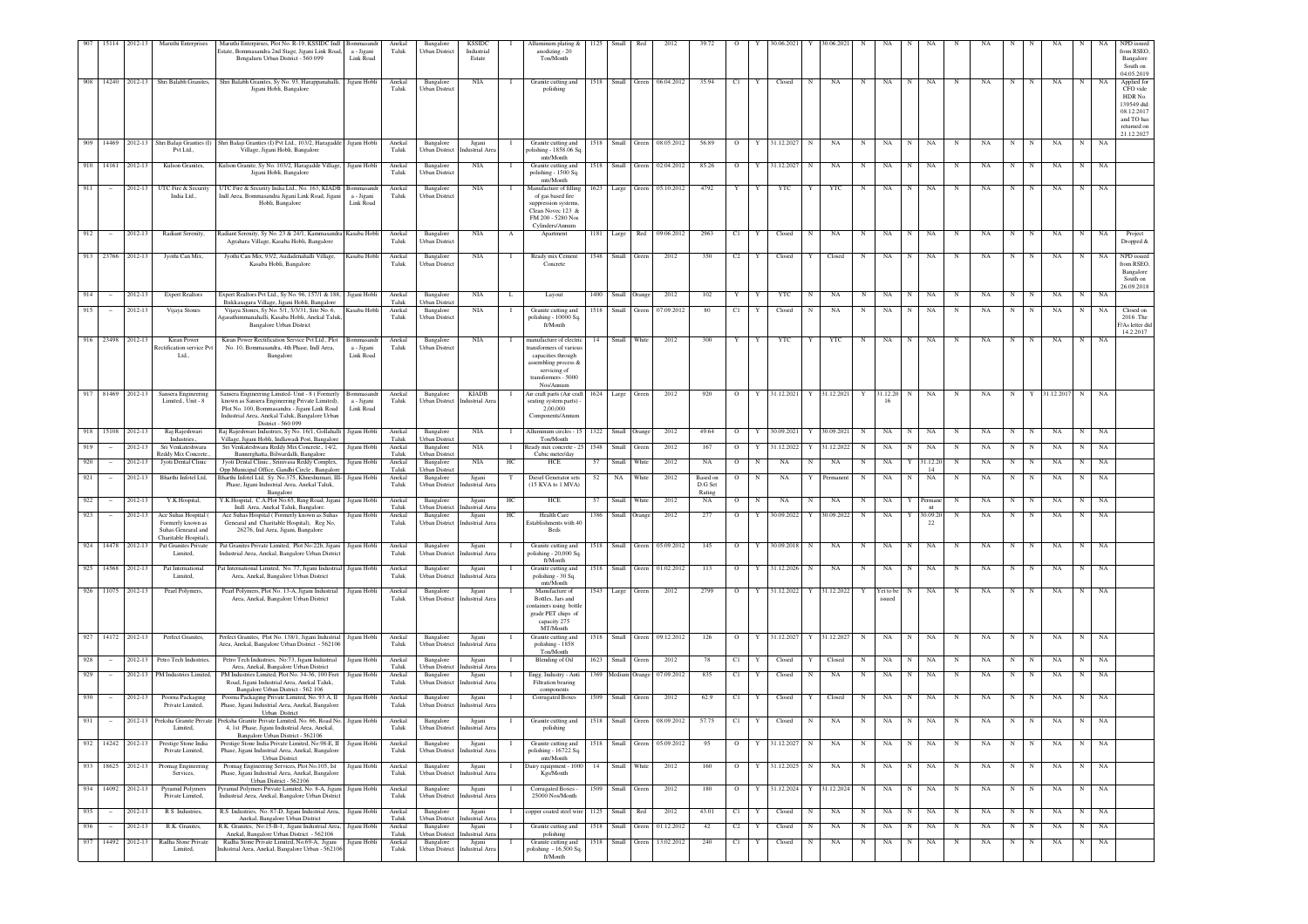|            |                   | 15114 2012-13     | Maruthi Enterprises                                                                    | Maruthi Enterpirses, Plot No. R-19, KSSIDC Ind<br>Estate, Bommasandra 2nd Stage, Jigani Link Road,<br>Bengaluru Urban District - 560 099                                                                                  | a - Jigani<br>Link Road              | Anekal<br>Taluk           | Bangalore<br><b>Urban District</b>              | <b>KSSID</b><br>Industrial<br>Estate |     | ım platıng &<br>anodizing - 20<br>Ton/Month                                                                                                        | 1125         | Small                     | Red              | 2012                      | 39.72                         | $\circ$  |            | 30.06.2021               |   | 30.06.2021              |        | NA                  |             |               |            |             |        |            | NA          |            | NA                | NPD issue<br>from RSEO,<br>Bangalore<br>South on<br>04.05.2019                                            |
|------------|-------------------|-------------------|----------------------------------------------------------------------------------------|---------------------------------------------------------------------------------------------------------------------------------------------------------------------------------------------------------------------------|--------------------------------------|---------------------------|-------------------------------------------------|--------------------------------------|-----|----------------------------------------------------------------------------------------------------------------------------------------------------|--------------|---------------------------|------------------|---------------------------|-------------------------------|----------|------------|--------------------------|---|-------------------------|--------|---------------------|-------------|---------------|------------|-------------|--------|------------|-------------|------------|-------------------|-----------------------------------------------------------------------------------------------------------|
| 908        |                   |                   | 14240 2012-13 Shri Balabh Granites,                                                    | Shri Balabh Granites, Sy No. 93, Harappanahalli,<br>Jigani Hobli, Bangalore                                                                                                                                               | Jigani Hobli                         | Anekal<br>Taluk           | Bangalore<br><b>Urban District</b>              | NIA                                  |     | Granite cutting and<br>polishing                                                                                                                   |              |                           | 1518 Small Green | 06.04.2012                | 35.94                         | Cl       | Y          | Closed                   | N | NA                      | N      | NA                  | N           | NA            | N          | <b>NA</b>   | N      | N          | NA          |            | NA                | Applied for<br>CFO vide<br>HDR No<br>139549 dtd:<br>08.12.2017<br>and TO has<br>returned on<br>21.12.2027 |
| 909        |                   |                   | Pvt Ltd.                                                                               | 14469 2012-13 Shri Balaji Granties (I) Shri Balaji Granties (I) Pvt Ltd., 103/2, Haragadde Jigani Hobli<br>Village, Jigani Hobli, Bangalore                                                                               |                                      | Anekal<br>Taluk           | Bangalore<br><b>Urban District</b>              | Jigani<br>ndustrial Are              |     | Granite cutting and<br>olishing - 1858.06 S<br>mtr/Month                                                                                           |              |                           | 1518 Small Green | 08.05.2012                | 56.89                         | $\circ$  | Y          | 31.12.2027               | N | NA                      | N      | NA                  | N           | NA            | N          | NA          | N      | N          | NA          |            | NA                |                                                                                                           |
| 910        |                   | 14161 2012-13     | Kulson Granites,                                                                       | Kulson Granite, Sy No. 103/2, Haragadde Village,<br>Jigani Hobli, Bangalore                                                                                                                                               | Jigani Hobli                         | Anekal<br>Taluk           | Bangalore<br><b>Urban Distric</b>               | NIA                                  |     | Granite cutting and<br>polishing - 1500 Sq.<br>mtr/Month                                                                                           | 1518         | Small Green               |                  | 02.04.2012                | 85.26                         | $\circ$  |            | 31.12.2027               | N | NA                      | N      | NA                  | N           | NA            | N          | NA          | N      | N          | NA          | N          | NA                |                                                                                                           |
| 911        |                   | 2012-13           | UTC Fire & Security<br>India Ltd.,                                                     | UTC Fire & Security India Ltd., No. 163, KIADB<br>Indl Area, Bommasandra Jigani Link Road, Jigani<br>Hobli, Bangalore                                                                                                     | a - Jigani<br>Link Road              | Anekal<br>Taluk           | Bangalore<br><b>Urban District</b>              | <b>NIA</b>                           |     | Manufacture of filling<br>of gas based fire<br>suppression systems<br>Clean Novec 123 &<br>FM 200 - 5280 Nos<br>Cylinders/Annum                    | 1623         | Large                     | Green            | 05.10.2012                | 4792                          |          |            | YTC                      |   | YTC                     |        | NA                  |             | NA            |            | NA          |        |            |             |            |                   |                                                                                                           |
| 912        |                   | 2012-13           | Radiant Serenity.                                                                      | Radiant Serenity, Sy No. 23 & 24/1, Kammasandra Kasaba Hobli<br>Agrahara Village, Kasaba Hobli, Bangalore                                                                                                                 |                                      | Anckal<br>Taluk           | Bangalore<br><b>Urban District</b>              | NIA                                  | A   | Apartment                                                                                                                                          |              |                           |                  | 1181 Large Red 09.06.2012 | 2963                          | C1       | Y          | Closed                   | N | NA                      | N      | NA                  | N           | NA            | N          | NA          | N      | N          | NA          | N          | NA                | Project<br>Dropped &                                                                                      |
|            |                   | 913 23766 2012-13 | Jyothi Can Mix,                                                                        | Jyothi Can Mix, 93/2, Audadenahalli Village,<br>Kasaba Hobli, Bangalore                                                                                                                                                   | Kasaba Hobli                         | Anekal<br>Taluk           | Bangalore<br><b>Urban District</b>              | <b>NIA</b>                           | - 1 | Ready mix Cement<br>Concrete                                                                                                                       |              | 1548 Small Green          |                  | 2012                      | 350                           | C2       | Y          | Closed                   | Y | Closed                  | N      | NA                  | N           | NA            | $_{\rm N}$ | $_{\rm NA}$ | N      | N          | NA          | N          | NA                | NPD issued<br>from RSEO.<br>Bangalore<br>South on<br>26.09.2018                                           |
| 914        | $\sim$            | 2012-13           | <b>Expert Realtors</b>                                                                 | Expert Realtors Pvt Ltd., Sy No. 96, 157/1 & 188,<br>Bukkasagara Village, Jigani Hobli, Bangalore                                                                                                                         | Jigani Hobli                         | Anckal<br>Taluk           | Bangalore<br><b>Urban District</b>              | NIA                                  | L   | Layout                                                                                                                                             |              | 1400 Small Orange         |                  | 2012                      | 102                           | Y        | Y          | YTC                      | N | NA                      | N      | NA                  | $\mathbb N$ | NA            | N          | NA          | N      | N          | NA          | N          | NA                |                                                                                                           |
| 915        |                   | 2012-13           | Vijaya Stones                                                                          | Vijaya Stones, Sy No. 5/1, 5/3/31, Site No. 6,<br>vgasathimmanahalli. Kasaba Hobli. Anekal Taluk<br><b>Bangalore Urban District</b>                                                                                       | Kasaba Hobli                         | Anekal<br>Taluk           | Bangalore<br><b>Urban Distric</b>               | <b>NIA</b>                           |     | Granite cutting and<br>polishing - 10000 Sq<br>ft/Month                                                                                            | 1518         | Small                     | Greer            | 07.09.2012                | 80                            | C1       |            | Closed                   |   | NA                      |        | NA                  |             | NA            |            | NA          |        |            | NA          |            | NA                | Closed on<br>2016 .The<br>F/As letter dtd<br>14.2.2017                                                    |
|            | 916 23498 2012-13 |                   | Kiran Power<br>Rectification service Pv<br>Ltd.                                        | Kiran Power Rectification Service Pvt Ltd., Plot<br>No. 10. Bommasandra, 4th Phase, Indl Area.<br>Bangalore                                                                                                               | Bommasand<br>a - Jigani<br>Link Road | Anekal<br>Taluk           | Bangalore<br><b>Urban District</b>              | NIA                                  | - 1 | manufacture of electric<br>ransformers of variou<br>capacities through<br>assembling process &<br>servicing of<br>transformers - 5000<br>Nos/Annum | 14           | Small White               |                  | 2012                      | 300                           | Y        |            | YTC                      |   | <b>YTC</b>              | N      | NA                  | N           | NA            | N          | NA          | N      | N          | NA          | N          | NA                |                                                                                                           |
| 917        |                   | 81469 2012-13     | Sansera Engineering<br>Limited., Unit - 8                                              | Sansera Engineering Limited- Unit - 8 (Formerly<br>known as Sansera Engineering Private Limited),<br>Plot No. 100, Bommasandra - Jigani Link Road<br>Industrial Area, Anekal Taluk, Bangalore Urbar<br>District - 560 099 | Bommasand<br>a - Jigani<br>Link Road | Anekal<br>Taluk           | Bangalore<br><b>Urban District</b>              | <b>KIADB</b><br>ndustrial Are        |     | Air craft parts (Air craft<br>seating system parts)<br>2.00,000<br>Components/Annum                                                                | 1624         | Large                     | Green            | 2012                      | 920                           | $\circ$  | Y          |                          |   | 31.12.2021 Y 31.12.2021 | Y      | 31.12.20<br>16      | $\mathbf N$ | NA            | N          | NA          | N      | Y          | 31.12.2017  | $_{\rm N}$ | $_{\rm NA}$       |                                                                                                           |
| 918        |                   | 15108 2012-13     | Rai Raieshwari<br>Industries.                                                          | Rai Raieshwari Industries, Sv No. 16/1, Gollahalli<br>Village, Jigani Hobli, Indlawadi Post, Bangalore                                                                                                                    | Jigani Hobli                         | Anekal<br>Taluk           | Bangalore<br><b>Urban District</b>              | NIA                                  |     | Alluminum circles - 15<br>Ton/Month                                                                                                                | 1322         | Small                     | Orang            | 2012                      | 49.64                         | $\circ$  | Y          | 30.09.2021               |   | 30.09.2021              | N      | NA                  | N           | NA            | N          | NA          | N      |            | NA          | N          | NA                |                                                                                                           |
| 919        |                   | 2012-13           | Sri Venkateshwara<br>Reddy Mix Concrete.,                                              | Sri Venkateshwara Reddy Mix Concrete., 14/2,<br>Bannerghatta, Bilwardalli, Bangalore                                                                                                                                      | Jigani Hobli                         | Anekal<br>Taluk           | Bangalore<br><b>Urban District</b>              | <b>NIA</b>                           |     | Ready mix concrete - 2<br>Cubic meter/day                                                                                                          | 1548         | Small                     | Green            | 2012                      | 167                           | $\circ$  |            | 31.12.2022               |   | 31.12.202               |        | NA                  |             | NA            | N          | NA          |        |            | NA          |            | $_{\rm NA}$       |                                                                                                           |
| 920        |                   | 2012-13           | Jyoti Dental Clinic                                                                    | Jvoti Dental Clinic., Srinivasa Reddy Complex.<br>Opp Municipal Office, Gandhi Circle, Bangalore                                                                                                                          | Jigani Hobli                         | Anckal<br>Taluk           | Bangalore<br><b>Urban Distric</b>               | NIA                                  | HC  | HCE                                                                                                                                                | 57           |                           | Small White      | 2012                      | NA                            | $\circ$  | $_{\rm N}$ | NA                       |   | NA                      | N      | NA                  |             | 31.12.2<br>14 | N          | NA          | N      | N          | NA          | N          | NA                |                                                                                                           |
| 921        |                   | 2012-13           | Bharthi Infotel Ltd,                                                                   | Bharthi Infotel Ltd, Sy. No.375, Khneshumari, III-<br>Phase, Jigani Industrial Area, Anekal Taluk,<br>Bangalore                                                                                                           | Jigani Hobli                         | Anekal<br>Taluk           | Bangalore<br><b>Urban District</b>              | Jigani<br>ndustrial Are              |     | Diesel Generator sets<br>(15 KVA to 1 MVA)                                                                                                         | 52           | $_{\rm NA}$               | White            | 2012                      | Based on<br>D.G Set<br>Rating | O        | N          | NA                       |   | Permanen                | N      | $_{\rm NA}$         | N           | $_{\rm NA}$   | N          | $_{\rm NA}$ | N      | N          | $_{\rm NA}$ | N          | $_{\rm NA}$       |                                                                                                           |
| 922        |                   | 2012-13           | Y.K.Hospital,                                                                          | Y.K.Hospital, C.A.Plot No.65, Ring Road, Jigani<br>Indl. Area, Anekal Taluk, Bangalore.                                                                                                                                   | Jigani Hobli                         | Anekal<br>Taluk           | Bangalore<br><b>Urban District</b>              | Jigani<br>dustrial Are               | HC  | HCE                                                                                                                                                | 57           | Small                     | White            | 2012                      | NA                            | $\circ$  | $_{\rm N}$ | NA                       |   | NA                      | N      | NA                  | Y           | Perman        | N          | NA          | N      | N          | NA          | N          | $_{\rm NA}$       |                                                                                                           |
| 923        |                   | 2012-13           | Ace Suhas Hospital<br>Formerly known as<br>Suhas Genearal and<br>Charitable Hospital), | Ace Suhas Hospital (Formerly known as Suhas<br>Genearal and Charitable Hospital), Reg No,<br>26276, Ind Area, Jigani, Bangalore                                                                                           | Jigani Hobli                         | Anekal<br>Taluk           | Bangalore<br><b>Urban District</b>              | Jigani<br>ndustrial Are              | HC  | Health Care<br>stablishments with 4<br>Beds                                                                                                        | 1386         | Small                     | Orang            | 2012                      | 277                           | $\circ$  |            | 80.09.2022               |   | 30.09.2022              | N      | NA                  |             | 0.09.20<br>22 |            | NA          | N      | N          | NA          |            | NA                |                                                                                                           |
|            |                   |                   | 924 14478 2012-13 Pat Granites Private<br>Limited.                                     | Pat Granites Private Limited. Plot No:22b. Jigani<br>Industrial Area, Anekal, Bangalore Urban District                                                                                                                    | Jigani Hobli                         | Anekal<br>Taluk           | Bangalore<br><b>Urban District</b>              | Jigani<br>ndustrial Are              |     | Granite cutting and<br>polishing - 20,000 Sq.<br>ft/Month                                                                                          |              |                           | 1518 Small Green | 05.09.2012                | 145                           | $\circ$  | Y          | 30.09.2018               | N | NA                      | N      | NA                  | N           | NA            | N          | NA          | N      | N          | NA.         | N          | NA                |                                                                                                           |
| 925        | 14568             | 2012-13           | Pat International<br>Limited.                                                          | Pat International Limited, No. 77, Jigani Industrial<br>Area, Anekal, Bangalore Urban District                                                                                                                            | Jigani Hobli                         | Anekal<br>Taluk           | Bangalore<br><b>Urban District</b>              | Jigani<br>Industrial Are             |     | Granite cutting and<br>polishing - 30 Sq.<br>mtr/Month                                                                                             |              | 1518 Small Green          |                  | 01.02.2012                | 113                           | $\circ$  |            | 31.12.2026               |   | NA                      | N      | NA                  | N           | NA            | N          | NA          | N      | N          | NA          |            | NA                |                                                                                                           |
| 926        |                   | 11075 2012-13     | Pearl Polymers,                                                                        | Pearl Polymers, Plot No. 13-A, Jigani Industrial<br>Area, Anekal, Bangalore Urban District                                                                                                                                | Jigani Hobli                         | Anekal<br>Taluk           | Bangalore<br><b>Urban District</b>              | Jigani<br>ndustrial Are              |     | Manufacture of<br>Bottles, Jars and<br>ontainers using bottle<br>grade PET chips of<br>capacity 275<br>MT/Month                                    | 1543         |                           | Large Green      | 2012                      | 2799                          | $\circ$  |            | 31.12.2022               |   | 31.12.2022              | Y      | Yet to be<br>issued |             | NA            | N          | NA          | N      |            | NA          |            | NA                |                                                                                                           |
| 927        |                   | 14172 2012-13     | Perfect Granites,                                                                      | Perfect Granites, Plot No. 138/1, Jigani Industrial<br>Area, Anekal, Bangalore Urban District - 562106                                                                                                                    | Jigani Hobli                         | Anckal<br>Taluk           | Bangalore<br>Urban District                     | Jigani<br>dustrial Are               |     | Granite cutting and<br>polishing - 1858<br>Ton/Month                                                                                               |              | 1518 Small Green          |                  | 09.12.2012                | 126                           | $\circ$  | Y          | 31.12.2027               |   | Y 31.12.2027            | N      | NA                  | $_{\rm N}$  | NA            | N          | NA          | N      | N          | NA          | N          | NA                |                                                                                                           |
| 928<br>929 |                   | 2012-13           | Petro Tech Industries,<br>2012-13 PM Industries Limited,                               | Petro Tech Industries, No:73, Jigani Industrial<br>Area, Anekal, Bangalore Urban District<br>PM Industries Limited, Plot No. 34-36, 100 Feet                                                                              | Jigani Hobli<br>Jigani Hobli         | Anekal<br>Taluk<br>Anekal | Bangalore<br><b>Urban District</b><br>Bangalore | Jigani<br>ndustrial Are<br>Jigani    |     | Blending of Oil<br>Engg. Industry - Anti                                                                                                           | 1623<br>1369 | Small<br>Medium Orange    | Green            | 2012<br>07.09.2012        | 78<br>835                     | C1<br>C1 | Y          | Closed<br>Closed         |   | Closed<br>NA            | N<br>N | NA<br>NA            | N<br>N      | NA<br>NA      | N<br>N     | NA<br>NA    | N<br>N | N<br>N     | NA<br>NA    | N<br>N     | $_{\rm NA}$<br>NA |                                                                                                           |
|            |                   |                   |                                                                                        | Road, Jigani Industrial Area, Anekal Taluk,<br>Bangalore Urban District - 562 106<br>Poorna Packaging Private Limited, No. 93 A. II                                                                                       |                                      | Taluk                     | <b>Urban District</b>                           | ndustrial Are                        |     | Filtration bearing<br>components                                                                                                                   |              | 1509 Small Green          |                  |                           |                               |          |            |                          |   |                         |        |                     |             |               |            |             |        |            |             |            |                   |                                                                                                           |
| 930        |                   | 2012-13           | Poorna Packaging<br>Private Limited,                                                   | Phase, Jigani Industrial Area, Anekal, Bangalore<br>Urban District                                                                                                                                                        | Jigani Hobli                         | Anekal<br>Taluk           | Bangalore<br><b>Urban District</b>              | Jigani<br>dustrial Are               |     | Corrugated Boxes                                                                                                                                   |              |                           |                  | 2012                      | 62.9                          | C1       |            | Closed                   |   | Closed                  | N      | NA                  | N           | NA            | N          | NA          | N      | N          | NA          | N          | NA                |                                                                                                           |
| 931        | $\sim$            |                   | 2012-13 Preksha Granite Private<br>Limited.                                            | Preksha Granite Private Limited No. 66, Road No.<br>4, 1st Phase, Jigani Industrial Area, Anekal,<br>Bangalore Urban District - 562106                                                                                    | Jigani Hobli                         | Anckal<br>Taluk           | Bangalore<br><b>Urban District</b>              | Jigani<br>ndustrial Are              |     | Granite cutting and<br>polishing                                                                                                                   |              | 1518 Small Green          |                  | 08.09.2012                | 57.75                         | C1       | Y          | Closed                   |   | NA                      | N      | NA                  | N           | NA            | N          | NA          | N      |            | NA          |            | NA                |                                                                                                           |
| 932        |                   | 14242 2012-13     | Prestige Stone India<br>Private Limited                                                | Prestige Stone India Private Limited, No:98-E, II<br>Phase, Jigani Industrial Area, Anekal, Bangalore<br><b>Urban District</b>                                                                                            | Jigani Hobli                         | Anekal<br>Taluk           | Bangalore<br><b>Urban District</b>              | Jigani<br>ndustrial Are              |     | Granite cutting and<br>polishing - 16722 Sq.<br>mtr/Month                                                                                          | 1518         | Small                     | Green            | 05.09.2012                | 95                            | $\circ$  |            | 31.12.2027               | N | NA                      |        | NA                  |             | NA            | N          | NA          |        |            | NA          |            | NA                |                                                                                                           |
| 933        |                   | 18625 2012-13     | Promag Engineering<br>Services,                                                        | Promag Engineering Services, Plot No.105, Ist<br>Phase, Jigani Industrial Area, Anekal, Bangalore<br>Urban District - 562106                                                                                              | Jigani Hobli                         | Anekal<br>Taluk           | Bangalore<br><b>Urban District</b>              | Jigani<br>ndustrial Area             |     | Dairy equipment - 1000<br>Kgs/Month                                                                                                                | 14           | Small<br>1509 Small Green | White            | 2012<br>2012              | 160                           | $\circ$  |            | 31.12.2025<br>31.12.2024 |   | NA                      |        | NA                  |             | NA            |            | NA          |        |            | NA          | N          | NA                |                                                                                                           |
|            |                   | 934 14092 2012-13 | Pyramid Polymers<br>Private Limited,                                                   | Pyramid Polymers Private Limited, No. 8-A, Jigani<br>Industrial Area, Anekal, Bangalore Urban District                                                                                                                    | Jigani Hobli                         | Anckal<br>Taluk           | Bangalore<br><b>Urban District</b>              | Jigani<br>ndustrial Are              |     | Corrugated Boxes -<br>25000 Nos/Month                                                                                                              |              |                           |                  |                           | 180                           | $\circ$  |            |                          | Y | 31.12.2024              | N      | NA                  | N           | NA            | N          | NA          | N      | N          | NA          |            | NA                |                                                                                                           |
| 935        |                   | 2012-13           | R.S. Industries                                                                        | R.S Industries, No. 87-D. Jigani Industrial Area.<br>Anekal, Bangalore Urban District                                                                                                                                     | Jigani Hobli                         | Anckal<br>Taluk           | Bangalore<br><b>Urban District</b>              | Jigani<br>ndustrial Are              |     | copper coated steel wire                                                                                                                           | 1125         | Small                     | Red              | 2012                      | 43.01                         | C1       |            | Closed                   |   | NA                      | N      | NA                  |             | NA            | N          | NA          | N      | N          | NA          |            | NA                |                                                                                                           |
| 936        |                   | 2012-13           | R.K. Granites,                                                                         | R.K. Granites, No:15-B-1, Jigani Industrial Area,<br>Anekal, Bangalore Urban District - 562106                                                                                                                            | Jigani Hobli                         | Anekal<br>Taluk           | Bangalore<br><b>Urban District</b>              | Jigani<br>ndustrial Are              |     | Granite cutting and<br>polishing                                                                                                                   | 1518         | Small                     | Green            | 01.12.2012                | 42                            | C2       |            | Closed                   |   | $_{\rm NA}$             | N      | $_{\rm NA}$         | N           | $_{\rm NA}$   | N          | $_{\rm NA}$ | N      | $_{\rm N}$ | NA          | N          | NA                |                                                                                                           |
| 937        |                   | 14492 2012-13     | Radha Stone Private<br>Limited.                                                        | Radha Stone Private Limited, No.69-A. Jigani<br>ndustrial Area, Anekal, Bangalore Urban - 56210                                                                                                                           | Jigani Hobli                         | Anekal<br>Taluk           | Bangalore<br><b>Urban District</b>              | Jigani<br>ndustrial Are              |     | Granite cutting and<br>oolishing - 16,500 Sq<br>ft/Month                                                                                           | 1518         | Small                     | Green            | 13.02.2012                | 240                           | C1       | Y          | Closed                   | N | NA                      | N      | NA                  | N           | NA            | N          | NA          | N      | N          | NA          | N          | NA                |                                                                                                           |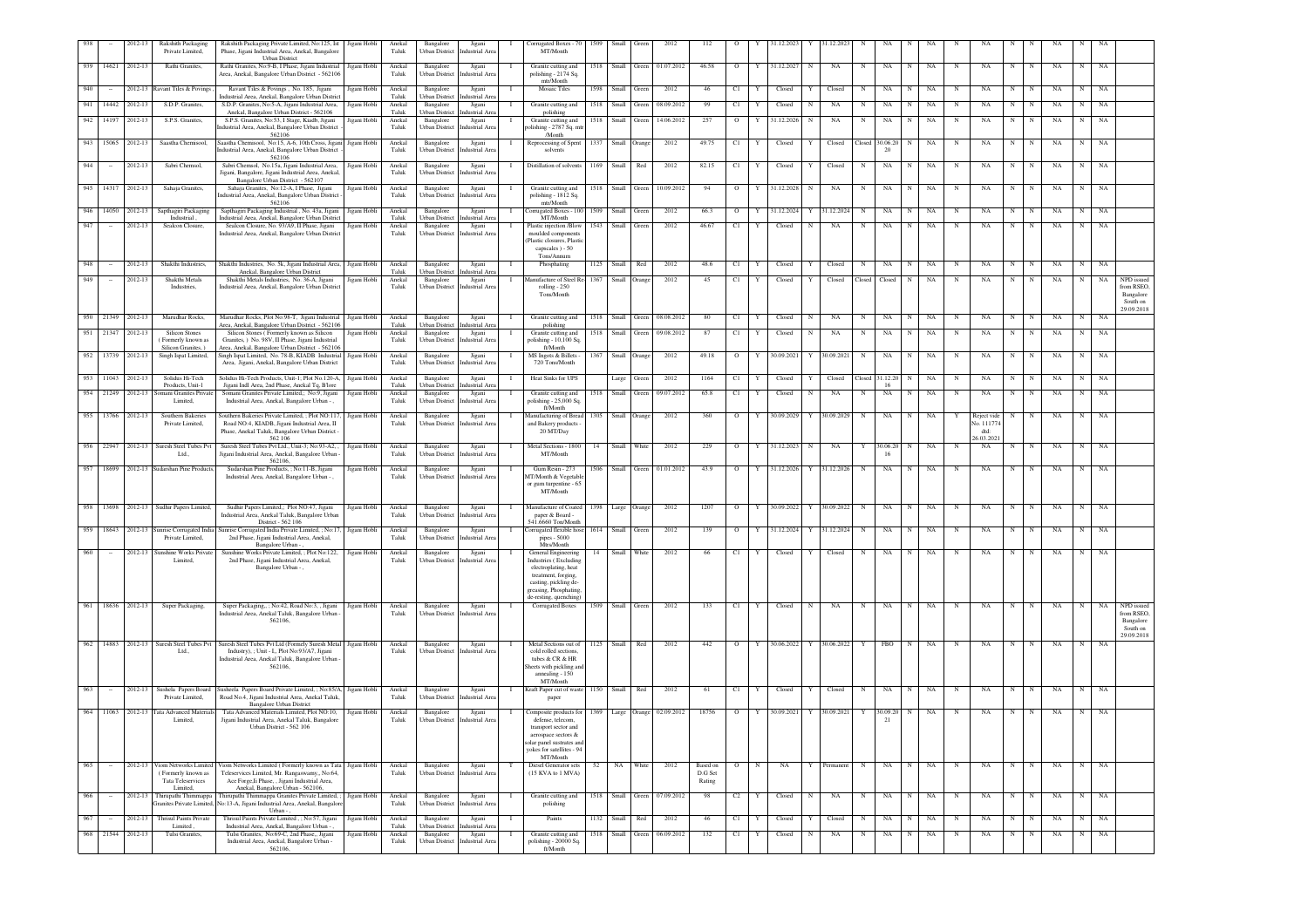|     |           | 2012-13           | Rakshith Packaging<br>Private Limited.                       | Rakshith Packaging Private Limited, No:125, Ist<br>Phase, Jigani Industrial Area, Anekal, Bangalore                                              | Jigani Hobli | Anekal<br>Taluk | Bangalore<br><b>Urban District</b>           | Jigani<br>ndustrial Are                  | Corrugated Boxes - 70<br>MT/Month                           | 1509 |                   | Small Green | 2012                         | 112                        | $\circ$        |   | 31.12.2023 | Y          | 31.12.2023   |               | NA                  | NA        |            | NA                       |            |            | NA          |   | NA          |                                     |
|-----|-----------|-------------------|--------------------------------------------------------------|--------------------------------------------------------------------------------------------------------------------------------------------------|--------------|-----------------|----------------------------------------------|------------------------------------------|-------------------------------------------------------------|------|-------------------|-------------|------------------------------|----------------------------|----------------|---|------------|------------|--------------|---------------|---------------------|-----------|------------|--------------------------|------------|------------|-------------|---|-------------|-------------------------------------|
|     | 939 14621 | 2012-13           | Rathi Granites,                                              | <b>Urban District</b><br>Rathi Granites, No:9-B, I Phase, Jigani Industrial Jigani Hobli                                                         |              | Anekal          | Bangalore                                    | Jigani                                   | Granite cutting and                                         |      | 1518 Small Green  |             | 01.07.2012                   | 46.58                      | $\circ$        |   | 31.12.2027 | N          | NA           |               | NA                  | NA        |            | NA                       |            |            | NA          |   |             |                                     |
| 940 |           |                   | 2012-13 Ravant Tiles & Povings                               | Area, Anekal, Bangalore Urban District - 562106<br>Ravant Tiles & Povings, No. 185, Jigani                                                       | Jigani Hobli | Taluk<br>Anekal | Urban District<br>Bangalore                  | ndustrial Area<br>Jigani                 | polishing - 2174 Sq.<br>mtr/Month<br><b>Mosaic Tiles</b>    |      | 1598 Small Green  |             | 2012                         | 46                         | C1             |   | Closed     |            | Closed       |               | NA                  | NA        |            | NA                       | N          |            | NA          |   | NA          |                                     |
| 941 | 14442     | 2012-13           | S.D.P. Granites.                                             | Industrial Area, Anekal, Bangalore Urban District<br>S.D.P. Granites, No:5-A, Jigani Industrial Area,                                            | Jigani Hobli | Taluk<br>Anekal | Urban District<br>Bangalore                  | dustrial Are<br>Jigani                   | Granite cutting and                                         | 1518 | Small             | Green       | 08.09.2012                   | 99                         | C1             |   | Closed     | N          | NA           |               | NA                  | NA        |            | NA                       | Ν          |            | NA          |   | NA          |                                     |
|     | 942 14197 | 2012-13           | S.P.S. Granites,                                             | Anekal, Bangalore Urban District - 562106<br>S.P.S. Granites, No:53, I Stage, Kiadb, Jigani                                                      | Jigani Hobli | Taluk<br>Anekal | Jrban District<br>Bangalore                  | lustrial Are<br>Jigani                   | polishing<br>Granite cutting and                            |      | 1518 Small        | Green       | 14.06.2012                   | 257                        | $\circ$        |   | 31.12.2026 | N          | $_{\rm NA}$  | N             | NA<br>N             | NA        | N          | $_{\rm NA}$              | N          | N          | NA          | N | NA          |                                     |
|     |           |                   |                                                              | ndustrial Area, Anekal, Bangalore Urban District<br>562106                                                                                       |              | Taluk           | Urban Distric                                | lustrial Are                             | olishing - 2787 Sq. mt<br>/Month                            |      |                   |             |                              |                            |                |   |            |            |              |               |                     |           |            |                          |            |            |             |   |             |                                     |
| 943 | 15065     | 2012-13           | Saastha Chemisool,                                           | Saastha Chemisool, No:15, A-6, 10th Cross, Jigani Jigani Hobli<br>ndustrial Area, Anekal, Bangalore Urban District<br>562106                     |              | Anekal<br>Taluk | Bangalore<br>Urban District                  | Jigani<br>dustrial Are                   | Reprocessing of Spent<br>solvents                           | 1337 | Small Orange      |             | 2012                         | 49.75                      | C1             |   | Closed     | Y          | Closed       | Closed        | 30.06.20<br>N<br>20 | NA        | N          | NA                       | N          | N          | NA          |   | <b>NA</b>   |                                     |
| 944 | $\sim$    | 2012-13           | Sabri Chemsol,                                               | Sabri Chemsol, No.15a, Jigani Industrial Area,<br>Jigani, Bangalore, Jigani Industrial Area, Anekal,                                             | Jigani Hobli | Anekal<br>Taluk | Bangalore<br>Urban District                  | Jigani<br>dustrial Are                   | Distillation of solvents                                    |      | 1169 Small        | Red         | 2012                         | 82.15                      | C1             | Y | Closed     | Y          | Closed       | N             | NA<br>N             | NA        | N          | NA                       | N          | N          | $_{\rm NA}$ | N | $_{\rm NA}$ |                                     |
| 945 | 14317     | 2012-13           | Sahaja Granites,                                             | Bangalore Urban District - 562107<br>Sahaja Granites, No:12-A, I Phase, Jigani                                                                   | Jigani Hobli | Anekal          | Bangalore                                    | Jigani                                   | Granite cutting and                                         | 1518 | Small             | Green       | 10.09.2012                   | 94                         | $\circ$        |   | 31.12.2028 | $_{\rm N}$ | $_{\rm NA}$  | N             | NA<br>N             | NA        | N          | $_{\rm NA}$              | N          | N          | $_{\rm NA}$ |   | $_{\rm NA}$ |                                     |
|     |           |                   |                                                              | Industrial Area, Anekal, Bangalore Urban District<br>562106                                                                                      |              | Taluk           | <b>Urban District</b>                        | ndustrial Are                            | polishing - 1812 Sq.<br>mtr/Month                           |      |                   |             |                              |                            |                |   |            |            |              |               |                     |           |            |                          |            |            |             |   |             |                                     |
| 946 | 14050     | 2012-13           | Sapthagiri Packaging<br>Industrial,                          | Sapthagiri Packaging Industrial, No. 43a, Jigani<br>Industrial Area, Anekal, Bangalore Urban District                                            | Jigani Hobl  | Anekal<br>Taluk | Bangalore<br>Jrban District                  | Jigani<br>lustrial Are                   | Corrugated Boxes - 100<br>MT/Month                          |      | 1509 Small Green  |             | 2012                         | 66.3                       | $\circ$        |   | 31.12.2024 | Y          | 31.12.2024   | N             | NA<br>N             | NA        | N          | NA                       | N          | N          | NA          | N | NA          |                                     |
| 947 | <b>.</b>  | 2012-13           | Sealcon Closure                                              | Sealcon Closure, No. 93/A9, II Phase, Jigani<br>Industrial Area, Anekal, Bangalore Urban District                                                | Jigani Hobl  | Anckal<br>Taluk | Bangalore<br>Urban District                  | Jigani<br>ndustrial Are                  | Plastic injection /Blow<br>moulded components               | 1543 | Small             | Green       | 2012                         | 46.67                      | C1             |   | Closed     | N          | NA           |               | NA<br>N             | NA        | N          | NA                       | N          |            | NA          |   | NA          |                                     |
|     |           |                   |                                                              |                                                                                                                                                  |              |                 |                                              |                                          | Plastic closures, Plastic<br>capscales) - 50<br>Tons/Annum  |      |                   |             |                              |                            |                |   |            |            |              |               |                     |           |            |                          |            |            |             |   |             |                                     |
| 948 |           | 2012-13           | Shakthi Industries.                                          | Shakthi Industries, No. 5k, Jigani Industrial Area, Jigani Hobli<br>Anekal, Bangalore Urban District                                             |              | Anekal<br>Taluk | Bangalore<br>Jrban District                  | Jigani<br>dustrial Are                   | Phosphating                                                 | 1125 | Small             | Red         | 2012                         | 48.6                       | C1             |   | Closed     | Y          | Closed       |               | NA<br>N             | <b>NA</b> | N          | NA                       | N          | N          | NA          |   | NA          |                                     |
| 949 | $\sim$    | 2012-13           | Shakthi Metals<br>Industries.                                | Shakthi Metals Industries, No. 36-A, Jigani<br>Industrial Area, Anekal, Bangalore Urban District                                                 | Jigani Hobli | Anekal<br>Taluk | Bangalore<br><b>Urban District</b>           | Jigani<br>Industrial Area                | Manufacture of Steel Re-<br>rolling - 250                   |      | 1367 Small Orange |             | 2012                         | 45                         | C1             | Y | Closed     | Y          | Closed       | Closed Closed | N                   | NA        | N          | NA.                      | N          | $_{\rm N}$ | NA          | N | NA          | NPD issued<br>from RSEO,            |
|     |           |                   |                                                              |                                                                                                                                                  |              |                 |                                              |                                          | Tons/Month                                                  |      |                   |             |                              |                            |                |   |            |            |              |               |                     |           |            |                          |            |            |             |   |             | Bangalore<br>South on               |
|     |           | 950 21349 2012-13 | Marudhar Rocks.                                              | Marudhar Rocks, Plot No:98-T, Jigani Industrial Jigani Hobli                                                                                     |              | Anckal<br>Taluk | Bangalore                                    | Jigani                                   | Granite cutting and                                         |      | 1518 Small Green  |             | 08.08.2012                   | 80                         | C1             |   | Closed     | N          | NA           | N             | NA<br>N             | NA        | N          | NA                       | $_{\rm N}$ | N          | NA          | N | <b>NA</b>   | 29.09.2018                          |
| 951 | 21347     | 2012-13           | <b>Silicon Stones</b><br>(Formerly known as                  | Area, Anekal, Bangalore Urban District - 562106<br>Silicon Stones (Formerly known as Silicon<br>Granites, ) No. 98V, II Phase, Jigani Industrial | Jigani Hobli | Anekal<br>Taluk | Urban District<br>Bangalore<br>Urban Distric | ndustrial Area<br>Jigani<br>dustrial Are | polishing<br>Granite cutting and<br>polishing - 10,100 Sc   | 1518 | Small             | Green       | 09.08.2012                   | 87                         | C1             |   | Closed     | N          | NA           |               | NA                  | NA        | N          | NA                       | N          |            | NA          |   | NA          |                                     |
|     |           | 952 13739 2012-13 | Silicon Granites, )<br>Singh Ispat Limited,                  | Area, Anekal, Bangalore Urban District - 562106<br>Singh Ispat Limited, No. 78-B, KIADB Industrial Jigani Hobli                                  |              | Anekal          | Bangalore                                    | Jigani                                   | ft/Month<br>MS Ingots & Billets                             | 1367 | Small Orang       |             | 2012                         | 49.18                      | $\circ$        |   | 30.09.2021 | Y          | 30.09.2021   |               | NA                  | NA        | N          | NA                       | N          |            | NA          |   | NA          |                                     |
|     |           |                   |                                                              | Area, Jigani, Anekal, Bangalore Urban District                                                                                                   |              | Taluk           | Urban District                               | ndustrial Area                           | 720 Tons/Month                                              |      |                   |             |                              |                            |                |   |            |            |              |               |                     |           |            |                          |            |            |             |   |             |                                     |
|     | 953 11043 | 2012-13           | Solidus Hi-Tech<br>Products, Unit-1                          | Solidus Hi-Tech Products, Unit-1; Plot No.120-A,<br>Jigani Indl Area, 2nd Phase, Anekal Tq, B'lore                                               | Jigani Hobl  | Anekal<br>Taluk | Bangalore<br>Urban District                  | Jigani<br>dustrial Are                   | <b>Heat Sinks for UPS</b>                                   |      | Large Green       |             | 2012                         | 1164                       | C1             |   | Closed     |            | Closed       | Closed        | 31.12.2<br>16       | NA        |            | NA                       | N          |            | NA          |   | NA          |                                     |
| 954 | 21249     | 2012-13           | Somani Granites Priva<br>Limited.                            | Somani Granites Private Limited.: No:9. Jigani<br>Industrial Area, Anekal, Bangalore Urban -                                                     | Jigani Hobli | Anekal<br>Taluk | Bangalore<br>Urban District                  | Jigani<br>dustrial Are                   | Granite cutting and<br>polishing - $25,000$ Sq.<br>ft/Month | 1518 | Small             | Green       | 09.07.2012                   | 65.8                       | C1             | Y | Closed     | N          | $_{\rm NA}$  | N             | NA<br>N             | NA        | N          | NA                       | N          | N          | NA          |   | NA          |                                     |
|     |           | 955 13766 2012-13 | Southern Bakeries<br>Private Limited,                        | Southern Bakeries Private Limited, ; Plot NO:117<br>Road NO:4, KIADB, Jigani Industrial Area, II                                                 | Jigani Hobli | Anekal<br>Taluk | Bangalore<br>Urban District                  | Jigani<br>dustrial Are                   | Manufacturing of Bread<br>and Bakery products               |      | 1305 Small Orange |             | 2012                         | 360                        | $\mathcal{O}$  |   | 30.09.2029 | Y          | 30.09.2029   | $_{\rm N}$    | NA<br>$_{\rm N}$    | NA        | Y          | Reject vide<br>Vo. 11177 | N          | N          | $_{\rm NA}$ |   | $_{\rm NA}$ |                                     |
|     |           |                   |                                                              | Phase, Anekal Taluk, Bangalore Urban District<br>562 106                                                                                         |              |                 |                                              |                                          | 20 MT/Day                                                   |      |                   |             |                              |                            |                |   |            |            |              |               |                     |           |            | dtd:<br>6.03.2021        |            |            |             |   |             |                                     |
|     | 956 22947 |                   | 2012-13 Suresh Steel Tubes Pvt<br>Ltd.                       | Suresh Steel Tubes Pvt Ltd., Unit-3; No:93-A2, ,<br>Jigani Industrial Area, Anekal, Bangalore Urban                                              | Jigani Hobli | Anekal<br>Taluk | Bangalore<br>Urban District                  | Jigani<br>ndustrial Are                  | Metal Sections - 1800<br>MT/Month                           | 14   | Small             | White       | 2012                         | 229                        | $\circ$        | Y | 31.12.2023 | N          | NA           | Y             | 30.06.20<br>N<br>16 | NA        | $_{\rm N}$ | NA                       | N          | N          | $_{\rm NA}$ | N | $_{\rm NA}$ |                                     |
|     |           |                   | 957 18699 2012-13 Sudarshan Pine Products,                   | 562106.<br>Sudarshan Pine Products, ; No:11-B, Jigani                                                                                            | Jigani Hobli | Anekal          | Bangalore                                    | Jigani                                   | Gum Resin - 273                                             |      | 1506 Small Green  |             | 01.01.2012                   | 43.9                       | $\circ$        |   | 31.12.2026 | Y          | 31.12.2026   | N             | NA<br>N             | NA        | N          | $_{\rm NA}$              | N          | N          | NA          |   | NA          |                                     |
|     |           |                   |                                                              | Industrial Area, Anekal, Bangalore Urban - ,                                                                                                     |              | Taluk           | Jrban District                               | Industrial Area                          | MT/Month & Vegetable<br>or gum turpentine - 65<br>MT/Month  |      |                   |             |                              |                            |                |   |            |            |              |               |                     |           |            |                          |            |            |             |   |             |                                     |
| 958 |           |                   | 13698 2012-13 Sudhir Papers Limited,                         | Sudhir Papers Limited,; Plot NO:47, Jigani                                                                                                       | Jigani Hobli | Anekal          | Bangalore                                    | Jigani                                   | Manufacture of Coated                                       |      | 1398 Large Orange |             | 2012                         | 1207                       | $\overline{0}$ |   | 30.09.2022 | Y          | 30.09.2022   | N             | NA<br>$\mathbb{N}$  | NA        | N          | NA                       | N          | N          | NA          | N | NA          |                                     |
|     |           |                   |                                                              | Industrial Area, Anekal Taluk, Bangalore Urban<br>District - 562 106                                                                             |              | Taluk           | Urban District                               | ndustrial Are                            | paper & Board -<br>541,6660 Ton/Month                       |      |                   |             |                              |                            |                |   |            |            |              |               |                     |           |            |                          |            |            |             |   |             |                                     |
|     |           | 959 18643 2012-13 | Sunrise Corrugated India<br>Private Limited,                 | Sunrise Corrugated India Private Limited, ; No:17,<br>2nd Phase, Jigani Industrial Area, Anekal,                                                 | Jigani Hobl  | Anekal<br>Taluk | Bangalor<br>Jrban District                   | Jigani<br>ndustrial Are                  | Corrugated flexible hose<br>pipes - 5000                    |      | 1614 Small        | Green       | 2012                         | 139                        | $\circ$        |   | 31.12.2024 |            | Y 31.12.2024 | N             | NA<br>N             | NA        | N          | NA                       | N          |            | NA          |   | NA          |                                     |
| 960 |           |                   | 2012-13 Sunshine Works Private<br>Limited,                   | Bangalore Urban - ,<br>Sunshine Works Private Limited, ; Plot No:122,<br>2nd Phase, Jigani Industrial Area, Anekal,                              | Jigani Hobli | Anekal<br>Taluk | Bangalore<br>Jrban District                  | Jigani<br>lustrial Arc                   | Mtrs/Month<br>General Engineering<br>Industries (Excluding  | 14   | Small             | White       | 2012                         | -66                        | C1             |   | Closed     | Y          | Closed       |               | NA<br>N             | NA        |            | NA                       | N          | N          | NA          |   | NA          |                                     |
|     |           |                   |                                                              | Bangalore Urban -,                                                                                                                               |              |                 |                                              |                                          | electroplating, heat<br>treatment, forging,                 |      |                   |             |                              |                            |                |   |            |            |              |               |                     |           |            |                          |            |            |             |   |             |                                     |
|     |           |                   |                                                              |                                                                                                                                                  |              |                 |                                              |                                          | casting, pickling de-<br>greasing, Phosphating.             |      |                   |             |                              |                            |                |   |            |            |              |               |                     |           |            |                          |            |            |             |   |             |                                     |
|     |           | 961 18636 2012-13 | Super Packaging,                                             | Super Packaging,, ; No:42, Road No:3, , Jigani                                                                                                   | Jigani Hobli | Anckal          | Bangalore                                    | Jigani                                   | de-resting, quenching)<br>Corrugated Boxes                  |      | 1509 Small Green  |             | 2012                         | 133                        | C1             | Y | Closed     | N          | NA           | N             | NA<br>N             | NA        | N          | NA                       | N          | N          | NA          |   | NA          | NPD issued                          |
|     |           |                   |                                                              | Industrial Area, Anekal Taluk, Bangalore Urban<br>562106                                                                                         |              | Taluk           | <b>Urban District</b>                        | Industrial Area                          |                                                             |      |                   |             |                              |                            |                |   |            |            |              |               |                     |           |            |                          |            |            |             |   |             | from RSEO,<br>Bangalore<br>South on |
|     |           |                   |                                                              | 962 14883 2012-13 Suresh Steel Tubes Pvt Suresh Steel Tubes Pvt Ltd (Formely Suresh Metal Jigani Hobli                                           |              | Anekal          | Bangalore                                    | Jigani                                   | Metal Sections out of                                       |      | 1125 Small        | Red         | 2012                         | 442                        |                |   | 30.06.2022 |            | 30.06.2022   |               | <b>FBO</b>          | NA        |            | NA                       |            |            |             |   |             | 29.09.2018                          |
|     |           |                   | Ltd.                                                         | Industry), ; Unit - I,, Plot No:93/A7, Jigani<br>Industrial Area, Anekal Taluk, Bangalore Urban                                                  |              | Taluk           | Urban District                               | ndustrial Are                            | cold rolled sections,<br>tubes & CR & HR                    |      |                   |             |                              |                            |                |   |            |            |              |               |                     |           |            |                          |            |            |             |   |             |                                     |
|     |           |                   |                                                              | 562106                                                                                                                                           |              |                 |                                              |                                          | heets with pickling an<br>annealing - 150                   |      |                   |             |                              |                            |                |   |            |            |              |               |                     |           |            |                          |            |            |             |   |             |                                     |
| 963 |           |                   |                                                              | 2012-13 Sushela Papers Board Susheela Papers Board Private Limited, ; No:85/A, Jigani Hobli                                                      |              | Anckal          | Bangalore                                    | Jigani                                   | MT/Month<br>Kraft Paper cut of waste                        |      | 1150 Small Red    |             | 2012                         | - 61                       | C1             | Y | Closed     | Y          | Closed       | N             | NA<br>N             | NA        | N          | NA                       | N          | N          | NA          |   | NA          |                                     |
| 964 |           |                   | Private Limited,<br>11063 2012-13 Tata Advanced Materials    | Road No.4, Jigani Industrial Area, Anekal Taluk,<br><b>Bangalore Urban District</b><br>Tata Advanced Materials Limited, Plot NO:10,              | Jigani Hobli | Taluk<br>Anekal | <b>Urban District</b><br>Bangalore           | Industrial Are<br>Jigani                 | paper<br>Composite products for                             |      |                   |             | 1369 Large Orange 02.09.2012 | 18756                      | $\overline{O}$ |   | 30.09.2021 |            | Y 30.09.2021 | Y             | 30.09.20<br>N       | NA        | N          | NA                       | N          | N          | NA          |   | NA          |                                     |
|     |           |                   | Limited.                                                     | Jigani Industrial Area, Anekal Taluk, Bangalore<br>Urban District - 562 106                                                                      |              | Taluk           | <b>Urban District</b>                        | <b>Industrial Area</b>                   | defense, telecom.<br>transport sector and                   |      |                   |             |                              |                            |                |   |            |            |              |               | 21                  |           |            |                          |            |            |             |   |             |                                     |
|     |           |                   |                                                              |                                                                                                                                                  |              |                 |                                              |                                          | aerospace sectors &<br>solar panel sustrates and            |      |                   |             |                              |                            |                |   |            |            |              |               |                     |           |            |                          |            |            |             |   |             |                                     |
|     |           |                   |                                                              |                                                                                                                                                  |              |                 |                                              |                                          | yokes for satellites - 94<br>MT/Month                       |      |                   |             |                              |                            |                |   |            |            |              |               |                     |           |            |                          |            |            |             |   |             |                                     |
| 965 |           | 2012-13           | (Formerly known as                                           | Viom Networks Limited Viom Networks Limited (Formerly known as Tata Jigani Hobli<br>Teleservices Limited, Mr. Rangaswamy,, No:64.                |              | Anekal<br>Taluk | Bangalore<br><b>Urban District</b>           | Jigani<br>ndustrial Are                  | Diesel Generator sets<br>(15 KVA to 1 MVA)                  | 52   | NA                | White       | 2012                         | <b>Based</b> on<br>D.G Set |                |   | NA         |            | Permanent    |               | NA                  | NA        |            | NA                       |            |            | NA          |   | NA          |                                     |
| 966 |           |                   | Tata Teleservices<br>Limited<br>2012-13 Thirupathi Thimmappa | Ace Forge, Ii Phase, , Jigani Industrial Area,<br>Anekal, Bangalore Urban - 562106.<br>Thirupathi Thimmappa Granites Private Limited, ;          | Jigani Hobli | Anekal          | Bangalore                                    | Jigani                                   | Granite cutting and                                         |      | 1518 Small Green  |             | 07.09.2012                   | Rating<br>98               | C2             |   | Closed     | N          | NA           |               | NA<br>N             | <b>NA</b> |            | NA                       | N          |            | NA.         |   | NA          |                                     |
|     |           |                   |                                                              | Granites Private Limited, No:13-A, Jigani Industrial Area, Anekal, Bangalor<br>Urban -                                                           |              | Taluk           | <b>Urban District</b>                        | Industrial Are                           | polishing                                                   |      |                   |             |                              |                            |                |   |            |            |              |               |                     |           |            |                          |            |            |             |   |             |                                     |
| 967 |           | 2012-13           | <b>Thrisul Paints Private</b><br>Limited,                    | Thrisul Paints Private Limited, ; No:57, Jigani<br>Industrial Area, Anekal, Bangalore Urban -                                                    | Jigani Hobi  | Anekal<br>Taluk | Bangalore<br><b>Irban District</b>           | Jigani<br>ndustrial Are                  | Paints                                                      |      | $1132$ Small      | Red         | 2012                         | 46                         | C1             |   | Closed     |            | Closed       |               | NA                  | NA        |            | NA                       | N          |            | NA          |   | NA          |                                     |
| 968 |           | 21544 2012-13     | Tulsi Granites.                                              | Tulsi Granites, No:69-C. 2nd Phase., Jigani<br>Industrial Area, Anekal, Bangalore Urban -                                                        | Jigani Hobl  | Anckal<br>Taluk | Bangalore<br>Urban District                  | Jigani<br>Industrial Are                 | Granite cutting and<br>polishing - 20000 Sq.                |      | 1518 Small Green  |             | 06.09.2012                   | 132                        | C1             |   | Closed     | N          | NA           |               | NA<br>N             | NA        | N          | NA                       | N          | N          | NA          |   | NA          |                                     |
|     |           |                   |                                                              | 562106,                                                                                                                                          |              |                 |                                              |                                          | ft/Month                                                    |      |                   |             |                              |                            |                |   |            |            |              |               |                     |           |            |                          |            |            |             |   |             |                                     |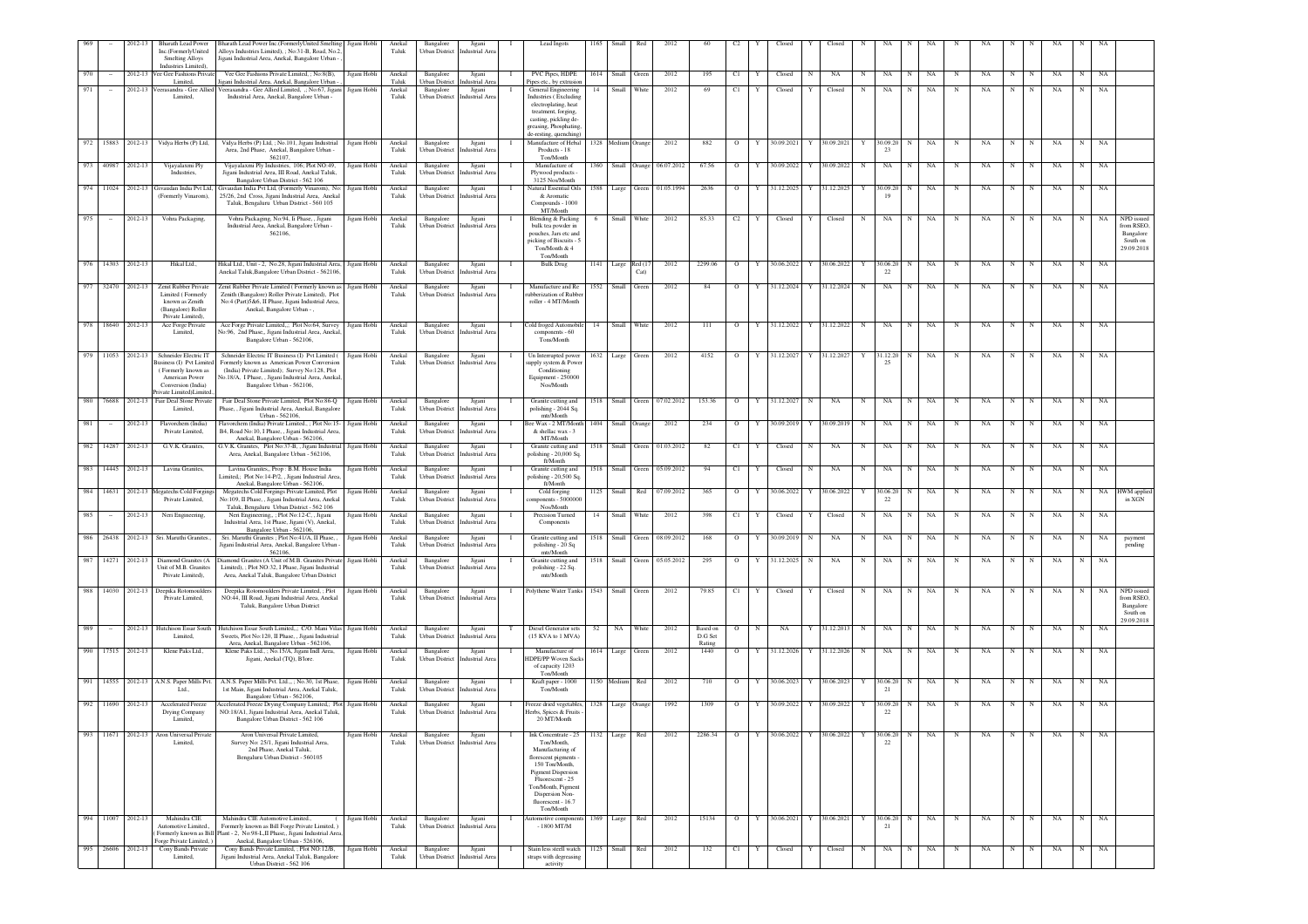|     |        | 2012-13           | <b>Bharath Lead Powe</b><br>Inc.(FormerlyUnited       | 3harath Lead Power Inc.(FormerlyUnited Smelting<br>Allovs Industries Limited), : No:31-B. Road, No.2                         | Jigani Hobl  | Anekal<br>Taluk | Bangalore<br><b>Urban District</b>          | Jigani<br>ndustrial Are  | <b>Lead Ingots</b>                                       | 1165 | Small             | Red            | 2012       | 60                         | C <sub>2</sub> |            | Closed                    |   | Closed       |            |                |            |             |            |             |            |   |             |            |             |                                     |
|-----|--------|-------------------|-------------------------------------------------------|------------------------------------------------------------------------------------------------------------------------------|--------------|-----------------|---------------------------------------------|--------------------------|----------------------------------------------------------|------|-------------------|----------------|------------|----------------------------|----------------|------------|---------------------------|---|--------------|------------|----------------|------------|-------------|------------|-------------|------------|---|-------------|------------|-------------|-------------------------------------|
|     |        |                   | <b>Smelting Alloys</b><br>Industries Limited).        | Jigani Industrial Area, Anekal, Bangalore Urban                                                                              |              |                 |                                             |                          |                                                          |      |                   |                |            |                            |                |            |                           |   |              |            |                |            |             |            |             |            |   |             |            |             |                                     |
| 970 |        |                   | 2012-13 Vee Gee Fashions Private<br>Limited.          | Vee Gee Fashions Private Limited, ; No:8(B),<br>igani Industrial Area, Anekal, Bangalore Urban                               | Jigani Hobli | Anekal<br>Taluk | Bangalore<br><b>Urban District</b>          | Jigani<br>ndustrial Are  | PVC Pipes, HDPE<br>Pipes etc., by extrusion              | 1614 | Small             | Green          | 2012       | 195                        | C1             |            | Closed                    |   | NA           |            | NA             |            | NA          | N          | NA          |            |   | NA          |            | NA          |                                     |
| 971 |        | 2012-13           | Veerasandra - Gee Allie<br>Limited                    | Veerasandra - Gee Allied Limited, .; No:67, Jigan<br>Industrial Area, Anekal, Bangalore Urban -                              | Jigani Hobli | Anckal<br>Taluk | Bangalore<br><b>Urban District</b>          | Jigani<br>ndustrial Are  | General Engineering<br>Industries (Excluding             | 14   | Small             | White          | 2012       | 69                         | C1             |            | Closed                    |   | Closed       |            | NA             |            | NA          |            | NA          | N          |   | NA          |            | NA          |                                     |
|     |        |                   |                                                       |                                                                                                                              |              |                 |                                             |                          | electroplating, heat<br>treatment, forging,              |      |                   |                |            |                            |                |            |                           |   |              |            |                |            |             |            |             |            |   |             |            |             |                                     |
|     |        |                   |                                                       |                                                                                                                              |              |                 |                                             |                          | casting, pickling de-<br>greasing, Phosphating           |      |                   |                |            |                            |                |            |                           |   |              |            |                |            |             |            |             |            |   |             |            |             |                                     |
|     |        | 972 15883 2012-13 | Vidya Herbs (P) Ltd,                                  | Vidya Herbs (P) Ltd, ; No.101, Jigani Industrial                                                                             | Jigani Hobli | Anekal          | Bangalore                                   | Jigani                   | de-resting, quenching)<br>Manufacture of Hebal           |      | 1328 Medium Orang |                | 2012       | 882                        | $\circ$        |            | 30.09.2021                | Y | 30.09.2021   |            | 30.09.20       | $_{\rm N}$ | NA          | N          | NA          | N          | N | NA          | N          | <b>NA</b>   |                                     |
|     |        |                   |                                                       | Area, 2nd Phase, Anekal, Bangalore Urban<br>562107,                                                                          |              | Taluk           | Urban Distric                               | dustrial Are             | Products - 18<br>Ton/Month                               |      |                   |                |            |                            |                |            |                           |   |              |            | 23             |            |             |            |             |            |   |             |            |             |                                     |
| 973 | 40987  | 2012-13           | Vijayalaxmi Ply<br>Industries.                        | Vijavalaxmi Plv Industries. 106: Plot NO:49.<br>Jigani Industrial Area, III Road, Anekal Taluk.                              | Jigani Hobli | Anekal<br>Taluk | Bangalore<br><b>Urban District</b>          | Jigani<br>ndustrial An   | Manufacture of<br>Plywood products                       | 1360 |                   | Small Orange   | 06.07.2012 | 67.56                      | $\circ$        |            | 30.09.2022                |   | 30.09.2022   | N          | NA             |            | NA          | N          | NA          | N          | N | NA          | N          | NA          |                                     |
| 974 | 11024  | 2012-13           | Givaudan India Pvt Ltd.                               | Bangalore Urban District - 562 106<br>Givaudan India Pvt Ltd, (Formerly Vinarom), No:                                        | Jigani Hobli | Anekal          | Bangalore                                   | Jigani                   | 3125 Nos/Month<br>Vatural Essential Oils                 | 1588 | Large             | Green          | 01.05.1994 | 2636                       | $\circ$        |            | 1.12.2025                 |   | 31.12.2025   |            | 0.09.20        |            | NA          |            | NA          |            |   | NA          |            |             |                                     |
|     |        |                   | (Formerly Vinarom)                                    | 25/26, 2nd Cross, Jigani Industrial Area. Anekal<br>Taluk, Bengaluru Urban District - 560 105                                |              | Taluk           | <b>Urban District</b>                       | ndustrial Are            | & Aromatic<br>Compounds - 1000                           |      |                   |                |            |                            |                |            |                           |   |              |            | 19             |            |             |            |             |            |   |             |            |             |                                     |
| 975 | $\sim$ | 2012-13           | Vohra Packaging,                                      | Vohra Packaging, No:94, Ii Phase, , Jigani<br>Industrial Area, Anekal, Bangalore Urban -                                     | Jigani Hobli | Anekal<br>Taluk | Bangalore<br><b>Urban District</b>          | Jigani<br>Industrial Are | MT/Month<br>Blending & Packing<br>bulk tea nowder in     | 6    |                   | Small White    | 2012       | 85.33                      | C2             |            | Closed                    |   | Closed       | N          | NA             | N          | NA          | N          | NA          | N          | N | NA          |            | NA          | NPD issue<br>from RSEO.             |
|     |        |                   |                                                       | 562106.                                                                                                                      |              |                 |                                             |                          | pouches, Jars etc and<br>picking of Biscuits - 5         |      |                   |                |            |                            |                |            |                           |   |              |            |                |            |             |            |             |            |   |             |            |             | Bangalore<br>South on               |
|     |        |                   |                                                       |                                                                                                                              |              |                 |                                             |                          | Ton/Month & 4<br>Ton/Month                               |      |                   |                |            |                            |                |            |                           |   |              |            |                |            |             |            |             |            |   |             |            |             | 29.09.2018                          |
| 976 |        | 14303 2012-13     | Hikal Ltd.,                                           | Hikal Ltd., Unit - 2, No.28, Jigani Industrial Area,<br>Anekal Taluk, Bangalore Urban District - 562106,                     | Jigani Hobli | Anekal<br>Taluk | Bangalore<br>Urban Distric                  | Jigani<br>ustrial An     | <b>Bulk Drug</b>                                         | 1141 | Large             | Red (1<br>Cat) | 2012       | 2299.06                    | $\circ$        | Y          | 30.06.2022                | Y | 30.06.2022   |            | 30.06.20<br>22 | $_{\rm N}$ | $_{\rm NA}$ | N          | $_{\rm NA}$ | N          | N | NA          | N          | NA          |                                     |
| 977 |        | 32470 2012-13     | Zenit Rubber Private                                  | Zenit Rubber Private Limited (Formerly known as                                                                              | Jigani Hobli | Anekal          | Bangalore                                   | Jigani                   | Manufacture and Re                                       |      | 1552 Small        | Green          | 2012       | 84                         | $\circ$        |            | 31.12.2024                |   | 31.12.2024   | N          | NA             | N          | NA          | N          | NA          | N          | N | NA          | N          | NA          |                                     |
|     |        |                   | Limited (Formerly<br>known as Zenith                  | Zenith (Bangalore) Roller Private Limited), Plot<br>No:4 (Part)5&6, II Phase, Jigani Industrial Area,                        |              | Taluk           | <b>Urban District</b>                       | ndustrial Are            | ubberization of Rubbe<br>roller - 4 MT/Month             |      |                   |                |            |                            |                |            |                           |   |              |            |                |            |             |            |             |            |   |             |            |             |                                     |
|     |        |                   | (Bangalore) Roller<br>Private Limited).               | Anekal, Bangalore Urban - ,                                                                                                  |              |                 |                                             |                          |                                                          |      |                   |                |            |                            |                |            |                           |   |              |            |                |            |             |            |             |            |   |             |            |             |                                     |
| 978 |        | 18640 2012-13     | Ace Forge Private<br>Limited,                         | Ace Forge Private Limited,,; Plot No:64, Survey<br>No:96, 2nd Phase,, Jigani Industrial Area, Anekal,                        | Jigani Hobli | Anekal<br>Taluk | Bangalore<br><b>Urban District</b>          | Jigani<br>ndustrial Are  | Cold froged Automobil<br>components - 60                 | 14   |                   | Small White    | 2012       | 111                        | $\circ$        |            | 31.12.2022                |   | Y 31.12.2022 | N          | NA             | N          | NA          | N          | NA          | N          |   | NA          |            | NA          |                                     |
|     |        |                   |                                                       | Bangalore Urban - 562106,                                                                                                    |              |                 |                                             |                          | Tons/Month                                               |      |                   |                |            |                            |                |            |                           |   |              |            |                |            |             |            |             |            |   |             |            |             |                                     |
| 979 |        | 11053 2012-13     | Schneider Electric IT<br>Business (I) Pvt Limited     | Schneider Electric IT Business (I) Pvt Limited (<br>Formerly known as American Power Conversion                              | Jigani Hobli | Anekal<br>Taluk | Bangalore<br><b>Urban District</b>          | Jigani<br>ndustrial Are  | Un Interrupted power<br>upply system & Powe              | 1632 | Large             | Green          | 2012       | 4152                       |                |            | 31.12.2027                |   | 31.12.2027   |            | 31.12.20<br>25 |            | NA          |            | NA          |            |   |             |            |             |                                     |
|     |        |                   | (Formerly known as<br>American Power                  | (India) Private Limited): Survey No:128, Plot<br>No.18/A, I Phase, Jigani Industrial Area, Anekal                            |              |                 |                                             |                          | Conditioning<br>Equipment - 250000                       |      |                   |                |            |                            |                |            |                           |   |              |            |                |            |             |            |             |            |   |             |            |             |                                     |
|     |        |                   | Conversion (India)<br>rivate Limited)Limited          | Bangalore Urban - 562106,                                                                                                    |              |                 |                                             |                          | Nos/Month                                                |      |                   |                |            |                            |                |            |                           |   |              |            |                |            |             |            |             |            |   |             |            |             |                                     |
| 980 |        |                   | 76688 2012-13 Fair Deal Stone Private<br>Limited.     | Fair Deal Stone Private Limited, Plot No:86-Q<br>Phase, , Jigani Industrial Area, Anekal, Bangalore                          | Jigani Hobli | Anckal<br>Taluk | Bangalore<br><b>Urban District</b>          | Jigani<br>ndustrial Are  | Granite cutting and<br>polishing - 2044 Sq.              |      | 1518 Small Green  |                | 07.02.2012 | 153.36                     | $\circ$        | Y          | 31.12.2027                | N | NA           | N          | NA             | N          | NA          | N          | NA          | N          | N | NA          | N          | NA          |                                     |
| 981 | $\sim$ | 2012-13           | Flavorchem (India)                                    | Urban - 562106,<br>Flavorchem (India) Private Limited., ; Plot No:15-                                                        | Jigani Hobli | Anckal          | Bangalore                                   | Jigani                   | mtr/Month<br>Bee Wax - 2 MT/Month 1404 Small Orange      |      |                   |                | 2012       | 234                        | $\circ$        | Y          | 30.09.2019                | Y | 30.09.2019   | $_{\rm N}$ | NA             | N          | NA          | N          | NA          | $_{\rm N}$ | N | NA          | $_{\rm N}$ | NA          |                                     |
|     |        |                   | Private Limited                                       | B4, Road No:10, I Phase, , Jigani Industrial Area,<br>Anekal, Bangalore Urban - 562106,                                      |              | Taluk           | <b>Urban District</b>                       | ndustrial Are            | & shellac wax - 3<br>MT/Month                            |      |                   |                |            |                            |                |            |                           |   |              |            |                |            |             |            |             |            |   |             |            |             |                                     |
| 982 | 14287  | 2012-13           | G.V.K. Granites,                                      | G.V.K. Granites, Plot No:37-B, , Jigani Industrial<br>Area, Anekal, Bangalore Urban - 562106,                                | Jigani Hobli | Anekal<br>Taluk | Bangalore<br><b>Urban District</b>          | Jigani<br>ndustrial Are  | Granite cutting and<br>polishing - 20,000 Sc<br>ft/Month | 1518 | Small             | Green          | 01.03.2012 | 82                         | C1             |            | Closed                    |   | NA           | N          | $_{\rm NA}$    | N          | $_{\rm NA}$ | N          | $_{\rm NA}$ | N          | N | $_{\rm NA}$ | N          | $_{\rm NA}$ |                                     |
| 983 |        | 14445 2012-13     | Lavina Granites,                                      | Lavina Granites,, Prop : B.M. House India<br>.imited,; Plot No:14-P/2, , Jigani Industrial Area,                             | Jigani Hobli | Anekal<br>Taluk | Bangalore<br><b>Urban District</b>          | Jigani<br>ndustrial Are  | Granite cutting and<br>polishing - 20,500 Sq             | 1518 |                   | Small Green    | 05.09.2012 | 94                         | C1             | Y          | Closed                    | N | NA           | N          | $_{\rm NA}$    | N          | $_{\rm NA}$ | N          | $_{\rm NA}$ | N          | N | $_{\rm NA}$ | N          | $_{\rm NA}$ |                                     |
| 984 | 14631  |                   | 2012-13 Megatechs Cold Forging                        | Anekal, Bangalore Urban - 562106,<br>Megatechs Cold Forgings Private Limited, Plot                                           | Jigani Hobli | Anekal          | Bangalore                                   | Jigani                   | ft/Month<br>Cold forging                                 |      | 1125 Small        | Red            | 07.09.2012 | 365                        | $\circ$        |            | 30.06.2022                |   | 30.06.2022   | Y          | 30.06.20       | N          | NA          | N          | NA          | N          | N | NA          | N          | NA          | <b>HWM</b> applied                  |
|     |        |                   | Private Limited,                                      | No:109, II Phase, , Jigani Industrial Area, Anekal<br>Taluk, Bengaluru Urban District - 562 106                              |              | Taluk           | <b>Urban District</b>                       | dustrial An              | mponents - 500000<br>Nos/Month                           |      |                   |                |            |                            |                |            |                           |   |              |            | 22             |            |             |            |             |            |   |             |            |             | in XGN                              |
| 985 |        | 2012-13           | Neri Engineering,                                     | Neri Engineering: Plot No:12-C. . Jigani<br>Industrial Area, 1st Phase, Jigani (V), Anekal,                                  | Jigani Hobli | Anekal<br>Taluk | Bangalore<br><b>Urban District</b>          | Jigani<br>ndustrial Are  | Precision Turned<br>Components                           | 14   | Small             | White          | 2012       | 398                        | C1             |            | Closed                    |   | Closed       | N          | NA             | N          | NA          | N          | NA          | N          | N | <b>NA</b>   | N          | $_{\rm NA}$ |                                     |
| 986 | 26438  | 2012-13           | Sri. Maruthi Granites.,                               | Bangalore Urban - 562106,<br>Sri. Maruthi Granites ; Plot No:41/A, II Phase, ,                                               | Jigani Hobli | Anekal          | Bangalore                                   | Jigani                   | Granite cutting and                                      | 1518 | Small             | Green          | 08.09.2012 | 168                        | $\circ$        |            | 30.09.2019                | N | NA           | N          | $_{\rm NA}$    | N          | $_{\rm NA}$ | N          | $_{\rm NA}$ | N          | N | NA          | N          | $_{\rm NA}$ | payment                             |
|     |        |                   |                                                       | Jigani Industrial Area, Anekal, Bangalore Urban<br>562106.                                                                   |              | Taluk           | <b>Urban District</b>                       | ndustrial Are            | polishing - 20 Sq<br>mtr/Month                           |      |                   |                |            |                            |                |            |                           |   |              |            |                |            |             |            |             |            |   |             |            |             | pending                             |
| 987 |        | 14271 2012-13     | Diamond Granites (A<br>Unit of M.B. Granites          | Diamond Granites (A Unit of M.B. Granites Private<br>Limited), ; Plot NO:32, I Phase, Jigani Industrial                      | Jigani Hobli | Anekal<br>Taluk | Bangalore<br>Urban District                 | Jigani<br>ndustrial Are  | Granite cutting and<br>polishing - 22 Sq.                | 1518 |                   | Small Green    | 05.05.2012 | 295                        | $\circ$        |            | 31.12.2025                |   | NA           |            | NA             |            | NA          |            | NA          |            |   | NA          |            | NA          |                                     |
|     |        |                   | Private Limited).                                     | Area, Anekal Taluk, Bangalore Urban District                                                                                 |              |                 |                                             |                          | mtr/Month                                                |      |                   |                |            |                            |                |            |                           |   |              |            |                |            |             |            |             |            |   |             |            |             |                                     |
| 988 |        |                   | 14030 2012-13 Deepika Rotomoulder<br>Private Limited, | Deepika Rotomoulders Private Limited, ; Plot<br>NO:44, III Road, Jigani Industrial Area, Anekal                              | Jigani Hobli | Anekal<br>Taluk | Bangalore<br><b>Urban District</b>          | Jigani<br>ndustrial Area | Polythene Water Tanks 1543                               |      |                   | Small Green    | 2012       | 79.85                      | C1             |            | Closed                    |   | Closed       | N          | NA             |            | NA          | N          | NA          | N          |   |             |            | NA          | NPD issue<br>from RSEO,             |
|     |        |                   |                                                       | Taluk, Bangalore Urban District                                                                                              |              |                 |                                             |                          |                                                          |      |                   |                |            |                            |                |            |                           |   |              |            |                |            |             |            |             |            |   |             |            |             | Bangalore<br>South on<br>29.09.2018 |
| 989 | $\sim$ |                   | 2012-13 Hutchison Essar South<br>Limited.             | Hutchison Essar South Limited,,; C/O. Mani Vilas   Jigani Hobli<br>Sweets, Plot No:120, II Phase, , Jigani Industrial        |              | Anekal<br>Taluk | Bangalore<br><b>Urban District</b>          | Jigani<br>ndustrial Are  | Diesel Generator sets<br>(15 KVA to 1 MVA)               | 52   | NA                | White          | 2012       | <b>Based</b> on<br>D.G Set | $\circ$        | $_{\rm N}$ | NA                        |   | 31.12.2013   | N          | NA             | N          | NA          | N          | NA          | N          | N | NA          | N          | NA          |                                     |
| 990 |        | 17515 2012-13     | Klene Paks Ltd.,                                      | Area, Anekal, Bangalore Urban - 562106,<br>Klene Paks Ltd., ; No.15/A, Jigani Indl Area,                                     | Jigani Hobli | Anekal          | Bangalore                                   | Jigani                   | Manufacture of                                           |      | 1614 Large        | Green          | 2012       | Rating<br>1440             | O              |            | 31.12.2026                |   | 31.12.2026   |            | NA             |            | NA          | N          | NA          | N          |   | NA          |            | NA          |                                     |
|     |        |                   |                                                       | Jigani, Anekal (TQ), B'lore.                                                                                                 |              | Taluk           | <b>Urban District</b>                       | ndustrial Are            | DPE/PP Woven Sack<br>of capacity 1203                    |      |                   |                |            |                            |                |            |                           |   |              |            |                |            |             |            |             |            |   |             |            |             |                                     |
| 991 | 14555  |                   | 2012-13 A.N.S. Paper Mills Pvt.                       | A.N.S. Paper Mills Pvt. Ltd.,, ; No.30, 1st Phase,                                                                           | Jigani Hobli | Anekal          | Bangalore                                   | Jigani                   | Ton/Month<br>Kraft paper - 1000                          | 1150 | Mediur            | Red            | 2012       | 710                        | $\circ$        |            | 30.06.2023                |   | 30.06.2023   |            | 30.06.20       |            | $_{\rm NA}$ | N          | NA          | N          | N | NA          |            | NA          |                                     |
|     |        |                   | Ltd.,                                                 | 1st Main, Jigani Industrial Area, Anekal Taluk,<br>Bangalore Urban - 562106                                                  |              | Taluk           | <b>Urban District</b>                       | ndustrial Are            | Ton/Month                                                |      |                   |                |            |                            |                |            |                           |   |              |            | 21             |            |             |            |             |            |   |             |            |             |                                     |
| 992 |        | 11690 2012-13     | Accelerated Freeze<br>Drying Company                  | Accelerated Freeze Drying Company Limited,; Plot<br>NO:18/A1, Jigani Industrial Area, Anekal Taluk,                          | Jigani Hobli | Anekal<br>Taluk | Bangalore<br><b>Urban District</b>          | Jigani<br>ndustrial Are  | Freeze dried vegetables,<br>Herbs, Spices & Fruits       |      | 1328 Large Orange |                | 1992       | 1309                       | $\circ$        | Y          | 30.09.2022                | Y | 30.09.2022   | Y          | 30.09.20<br>22 | N          | NA          | N          | NA          | N          | N | NA          | N          | NA          |                                     |
|     |        |                   | Limited.                                              | Bangalore Urban District - 562 106                                                                                           |              |                 |                                             |                          | 20 MT/Month                                              |      |                   |                |            |                            |                |            |                           |   |              |            |                |            |             |            |             |            |   |             |            |             |                                     |
|     |        |                   | 993 11671 2012-13 Aron Universal Private<br>Limited,  | Aron Universal Private Limited,<br>Survey No: 25/1, Jigani Industrial Area,                                                  | Jigani Hobli | Anekal<br>Taluk | Bangalore<br>Urban District Industrial Area | Jigani                   | Ink Concentrate - 25 1132 Large Red<br>Ton/Month,        |      |                   |                | 2012       | 2286.34                    | $\mathbf{O}$   |            | 30.06.2022                |   | Y 30.06.2022 |            | 30.06.20<br>22 | $_{\rm N}$ | NA          | N          | NA          | N          | N | NA          |            |             |                                     |
|     |        |                   |                                                       | 2nd Phase, Anekal Taluk,<br>Bengaluru Urban District - 560105                                                                |              |                 |                                             |                          | Manufacturing of<br>florescent pigments                  |      |                   |                |            |                            |                |            |                           |   |              |            |                |            |             |            |             |            |   |             |            |             |                                     |
|     |        |                   |                                                       |                                                                                                                              |              |                 |                                             |                          | 150 Ton/Month.<br><b>Pigment Dispersion</b>              |      |                   |                |            |                            |                |            |                           |   |              |            |                |            |             |            |             |            |   |             |            |             |                                     |
|     |        |                   |                                                       |                                                                                                                              |              |                 |                                             |                          | Fluorescent - 25<br>Ton/Month, Pigment                   |      |                   |                |            |                            |                |            |                           |   |              |            |                |            |             |            |             |            |   |             |            |             |                                     |
|     |        |                   |                                                       |                                                                                                                              |              |                 |                                             |                          | Dispersion Non-<br>fluorescent - 16.7                    |      |                   |                |            |                            |                |            |                           |   |              |            |                |            |             |            |             |            |   |             |            |             |                                     |
|     |        | 994 11007 2012-13 | Mahindra CIE                                          | Mahindra CIE Automotive Limited.,                                                                                            | Jigani Hobli | Anekal          | Bangalore                                   | Jigani                   | Ton/Month<br>Automotive components 1369 Large Red        |      |                   |                | 2012       | 15134                      | $\circ$        |            | Y 30.06.2021 Y 30.06.2021 |   |              | Y          | 30.06.20       | N          | NA          | $_{\rm N}$ | NA          | N          | N | NA          | N          | NA          |                                     |
|     |        |                   | Automotive Limited.                                   | Formerly known as Bill Forge Private Limited,<br>Formerly known as Bill Plant - 2, No:98-L,II Phase,, Jigani Industrial Area |              | Taluk           | <b>Urban District</b>                       | ndustrial Are            | $\sim$ 1800 MT/M                                         |      |                   |                |            |                            |                |            |                           |   |              |            | 21             |            |             |            |             |            |   |             |            |             |                                     |
| 995 | 26606  | 2012-13           | Forge Private Limited.<br>Cony Bands Private          | Anekal, Bangalore Urban - 526106.<br>Cony Bands Private Limited, ; Plot NO:12/B,                                             | Jigani Hobli | Anekal          | Bangalore                                   | Jigani                   | Stain less steell watch                                  | 1125 | Small             | Red            | 2012       | 132                        | C1             |            | Closed                    |   | Closed       |            | NA             |            | NA          |            | NA          |            |   | NA          |            | NA          |                                     |
|     |        |                   | Limited.                                              | Jigani Industrial Area, Anekal Taluk, Bangalore<br>Urban District - 562 106                                                  |              | Taluk           | <b>Urban District</b>                       | ndustrial Are            | straps with degreasing<br>activity                       |      |                   |                |            |                            |                |            |                           |   |              |            |                |            |             |            |             |            |   |             |            |             |                                     |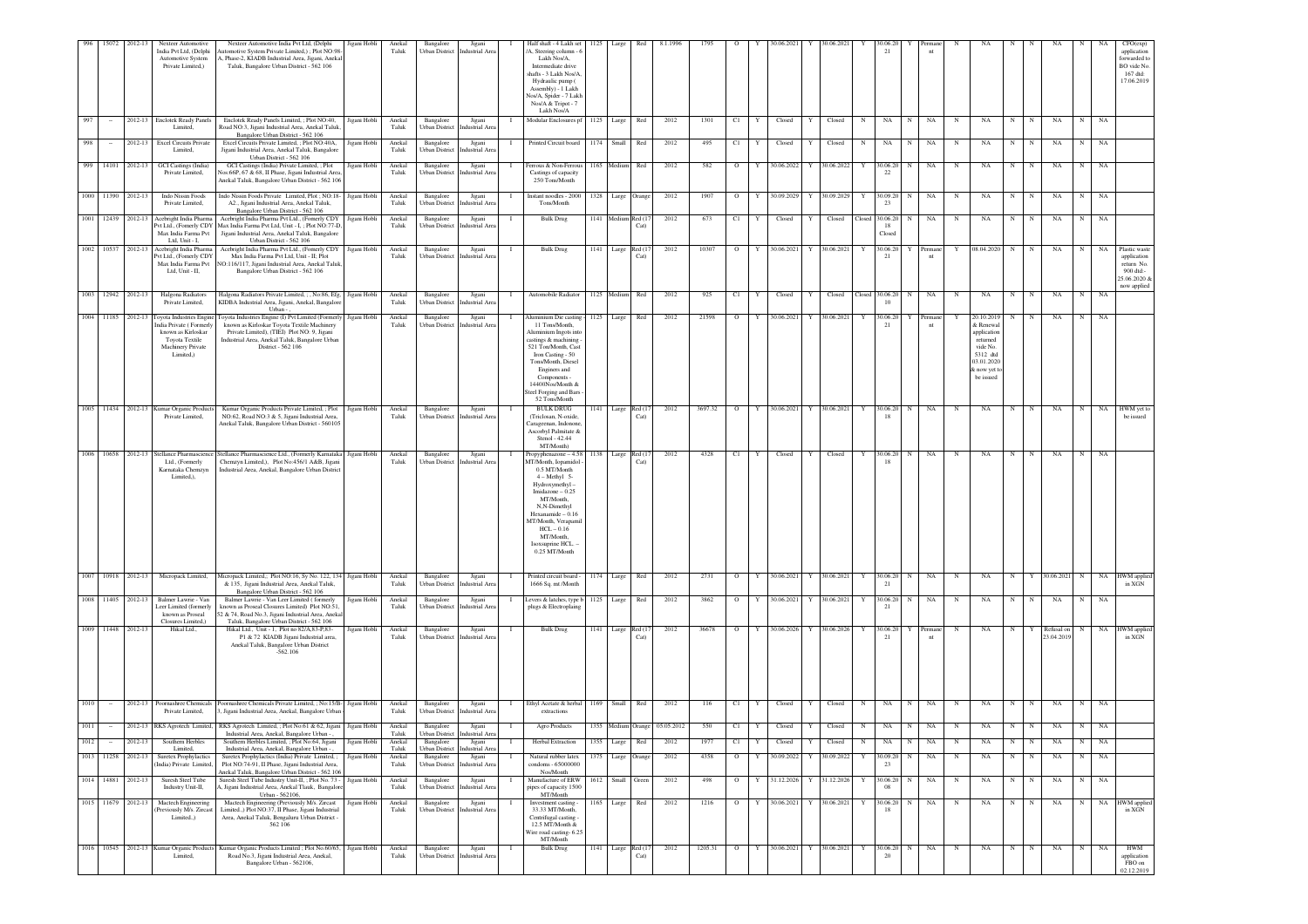| 996              |                                   | 15072 2012-13      | Nexteer Automotive<br>India Pvt Ltd, (Delphi<br><b>Automotive System</b><br>Private Limited.)                 | Nexteer Automotive India Pvt Ltd, (Delphi<br>Automotive System Private Limited,) ; Plot NO:98<br>A. Phase-2, KIADB Industrial Area, Jigani, Anekal<br>Taluk, Bangalore Urban District - 562 106                                                                                   | Jigani Hobli                 | Anekal<br>Taluk           | Bangalore<br>Urban District              | Jigani<br><b>Industrial Area</b>    | Half shaft - 4 Lakh set<br>A, Steering column -<br>Lakh Nos/A.<br>Intermediate drive<br>shafts - 3 Lakh Nos/A<br>Hydraulic pump (<br>Assembly) - 1 Lakh<br>Nos/A. Spider - 7 Lakh                                                                                   | 1125 | Large              | Red                 | 8.1.1996     | 1795         |               | 30.06.2021                |        | 30.06.202            |        | 0.06.2<br>21                      | ermar<br>nt  |        |                                                                                                                     |        |        |                         |            | NA       | CFO(exp)<br>application<br>forwarded to<br>BO vide No.<br>167 dtd:<br>17.06.2019       |
|------------------|-----------------------------------|--------------------|---------------------------------------------------------------------------------------------------------------|-----------------------------------------------------------------------------------------------------------------------------------------------------------------------------------------------------------------------------------------------------------------------------------|------------------------------|---------------------------|------------------------------------------|-------------------------------------|---------------------------------------------------------------------------------------------------------------------------------------------------------------------------------------------------------------------------------------------------------------------|------|--------------------|---------------------|--------------|--------------|---------------|---------------------------|--------|----------------------|--------|-----------------------------------|--------------|--------|---------------------------------------------------------------------------------------------------------------------|--------|--------|-------------------------|------------|----------|----------------------------------------------------------------------------------------|
| 997              |                                   |                    | 2012-13 Enclotek Ready Panels                                                                                 | Enclotek Ready Panels Limited.: Plot NO:40.                                                                                                                                                                                                                                       | Jigani Hobli                 | Anekal                    | Bangalore                                | Jigani                              | Nos/A & Tripot - 7<br>Lakh Nos/A<br>Modular Enclosures pf                                                                                                                                                                                                           |      | 1125 Large Red     |                     | 2012         | 1301         | C1            | Closed                    | Y      | Closed               | N      | NA<br>N                           | NA           | N      | NA                                                                                                                  | N      | N      | NA                      | N          | NA       |                                                                                        |
| 998              |                                   | 2012-13            | Limited,<br><b>Excel Circuits Private</b>                                                                     | Road NO:3, Jigani Industrial Area, Anekal Taluk<br>Bangalore Urban District - 562 106<br>Excel Circuits Private Limited.: Plot NO:40A.                                                                                                                                            | Jigani Hobli                 | Taluk<br>Anekal           | Urban District<br>Bangalore              | ustrial Ar<br>Jigani                | Printed Circuit board                                                                                                                                                                                                                                               |      | $1174$ Small       | Red                 | 2012         | 495          | C1            | Closed                    | Y      | Closed               |        | NA<br>N                           | NA           | N      | NA                                                                                                                  | N      | N      | NA                      |            | NA       |                                                                                        |
| 999              | 14101                             | 2012-13            | Limited.<br>GCI Castings (India)                                                                              | Jigani Industrial Area, Anekal Taluk, Bangalore<br>Urban District - 562 106<br>GCI Castings (India) Private Limited, ; Plot                                                                                                                                                       | Jigani Hobli                 | Taluk<br>Anekal           | Urban District<br>Bangalore              | dustrial Are<br>Jigani              | Ferrous & Non-Ferrous                                                                                                                                                                                                                                               |      | 1165 Medium Red    |                     | 2012         | 582          | $\circ$       | 30.06.2022                | Y      | 30.06.2022           |        | 30.06.20                          | NA           | N      | NA                                                                                                                  | N      |        | NA                      |            | NA       |                                                                                        |
|                  |                                   |                    | Private Limited.                                                                                              | Nos:66P, 67 & 68, II Phase, Jigani Industrial Area<br>Anekal Taluk, Bangalore Urban District - 562 106                                                                                                                                                                            |                              | Taluk                     | <b>Urban District</b>                    | ndustrial Are                       | Castings of capacity<br>250 Tons/Month                                                                                                                                                                                                                              |      |                    |                     |              |              |               |                           |        |                      |        | 22                                |              |        |                                                                                                                     |        |        |                         |            |          |                                                                                        |
|                  |                                   | 1000 11390 2012-13 | <b>Indo Nissin Foods</b><br>Private Limited.                                                                  | Indo Nissin Foods Private Limited, Plot ; NO:18- Jigani Hobli<br>A2 Iigani Industrial Area Anekal Taluk<br>Bangalore Urban District - 562 106                                                                                                                                     |                              | Anekal<br>Taluk           | Bangalore<br><b>Urban District</b>       | Jigani<br>Industrial Are            | Instant noodles - 2000<br>Tons/Month                                                                                                                                                                                                                                |      | 1328 Large Orange  |                     | 2012         | 1907         | $\circ$       | 30.09.2029                | Y      | 30.09.2029           |        | 30.09.20<br>23                    | NA           | N      | NA                                                                                                                  | N      | N      | NA                      |            | NA       |                                                                                        |
|                  |                                   |                    | 1001 12439 2012-13 Acebright India Pharma<br>Pvt Ltd., (Fomerly CDY<br>Max India Farma Pvt<br>Ltd. Unit - I.  | Acebright India Pharma Pvt Ltd., (Fomerly CDY<br>Max India Farma Pvt Ltd, Unit - I, ; Plot NO:77-D,<br>Jigani Industrial Area, Anekal Taluk, Bangalore<br>Urban District - 562 106                                                                                                | Jigani Hobli                 | Anekal<br>Taluk           | Bangalore<br>Urban District              | Jigani<br>ndustrial Area            | <b>Bulk Drug</b>                                                                                                                                                                                                                                                    |      | 1141 Medium Red (1 | Cat)                | 2012         | 673          | C1            | Closed                    | Y      | Closed               | Closed | 30.06.20<br>18<br>Closed          | NA           | N      | NA                                                                                                                  | N      |        | NA                      |            | NA       |                                                                                        |
|                  |                                   |                    | 1002 10537 2012-13 Acebright India Pharma<br>Pvt Ltd., (Fomerly CDY<br>Max India Farma Pvt<br>Ltd. Unit - II. | Acebright India Pharma Pvt Ltd., (Fomerly CDY<br>Max India Farma Pvt Ltd, Unit - II; Plot<br>NO:116/117. Jigani Industrial Area. Anekal Taluk<br>Bangalore Urban District - 562 106                                                                                               | Jigani Hobli                 | Anekal<br>Taluk           | Bangalore<br>Urban District              | Jigani<br><b>Industrial Area</b>    | <b>Bulk Drug</b>                                                                                                                                                                                                                                                    |      | 1141 Large         | Red (1)<br>Cat)     | 2012         | 10307        | $\circ$       | 30.06.2021                | Y      | 30.06.2021           |        | 30.06.20<br>21                    | Perman<br>nt |        | 08.04.2020                                                                                                          | N      | N      | NA                      |            | NA       | Plastic waste<br>application<br>return No.<br>900 dtd:-<br>25.06.2020 &<br>now applied |
|                  |                                   | 1003 12942 2012-13 | Halgona Radiators<br>Private Limited,                                                                         | Halgona Radiators Private Limited, ; , No:86, Efg, Jigani Hobli<br>KIDBA Industrial Area, Jigani, Anekal, Bangalon<br>Urban -                                                                                                                                                     |                              | Anekal<br>Taluk           | Bangalore<br>Urban District              | Jigani<br>dustrial Area             | Automobile Radiator<br>$\mathbf{I}$                                                                                                                                                                                                                                 |      | 1125 Medium Red    |                     | 2012         | 925          | C1            | Closed<br>Y               | Y      |                      |        | Closed Closed 30.06.20<br>N<br>10 | NA           | N      | NA                                                                                                                  | N      | N      | NA                      | N          | NA       |                                                                                        |
|                  |                                   |                    | India Private (Formerly<br>known as Kirloskar<br>Toyota Textile<br>Machinery Private<br>Limited.)             | 1004 11185 2012-13 Toyota Industries Engine Toyota Industries Engine (I) Pvt Limited (Formerly Jigani Hobli<br>known as Kirloskar Toyota Textile Machinery<br>Private Limited), (TIEI) Plot NO: 9, Jigani<br>Industrial Area, Anekal Taluk, Bangalore Urban<br>District - 562 106 |                              | Anekal<br>Taluk           | Bangalore<br>Urban District              | Jigani<br>Industrial Are            | Aluminium Die casting<br>11 Tons/Month,<br><b>Muminium</b> Ingots into<br>castings & machining<br>521 Ton/Month, Cast<br>Iron Casting - 50<br>Tons/Month, Diesel<br>Enginers and<br>Components -<br>14400Nos/Month &<br>Steel Forging and Bars<br>52 Tons/Month     |      | 1125 Large         | Red                 | 2012         | 21598        | $\circ$       | 30.06.2021<br>Y           | Y      | 30.06.2021           |        | 30.06.20<br>21                    | Perman<br>nt |        | 20.10.201<br>& Renewa<br>application<br>returned<br>vide No.<br>5312 dtd<br>03.01.2020<br>& now yet to<br>be issued | N      | N      | <b>NA</b>               | N          | NA       |                                                                                        |
|                  |                                   |                    | 1005 11434 2012-13 Kumar Organic Products<br>Private Limited,                                                 | Kumar Organic Products Private Limited, ; Plot Jigani Hobli<br>NO:62, Road NO:3 & 5, Jigani Industrial Area,<br>Anekal Taluk, Bangalore Urban District - 560105                                                                                                                   |                              | Anekal<br>Taluk           | Bangalore<br>Urban District              | Jigani<br>ndustrial Are             | <b>BULK DRUG</b><br>(Triclosan, N-oxide,<br>Carageenan, Indonone.<br>Ascorbyl Palmitate &<br>Stenol - 42.44<br>MT/Month)                                                                                                                                            |      | 1141 Large Red (1' | Cat)                | 2012         | 3697.32      | $\circ$       | Y 30.06.2021 Y 30.06.2021 |        |                      | Y      | 30.06.20<br>N<br>18               | NA           | N      | NA                                                                                                                  | N      | N      | NA                      | $_{\rm N}$ | NA       | HWM yet to<br>be issued                                                                |
| 1006             |                                   | 10658 2012-13      | Stellance Pharmascience<br>Ltd. (Formerly<br>Karnataka Chemzyn<br>Limited,),                                  | Stellance Pharmascience Ltd., (Formerly Karnataka Jigani Hobli<br>Chemzyn Limited,), Plot No:456/1 A&B, Jigani<br>Industrial Area, Anekal, Bangalore Urban District                                                                                                               |                              | Anekal<br>Taluk           | Bangalore<br>Urban District              | Jigani<br>ndustrial Are             | Propyphenazone - 4.58<br>MT/Month, Iopamidol<br>0.5 MT/Month<br>$4 - Methyl$ 5-<br>Hydroxymethyl-<br>Imidazone $-0.25$<br>MT/Month.<br>N.N-Dimethyl<br>$Hexanamide - 0.16$<br>MT/Month, Verapamil<br>$HCL - 0.16$<br>MT/Month.<br>Isoxsuprine HCL.<br>0.25 MT/Month | 1138 | Large              | Red (1)<br>Cat)     | 2012         | 4328         | Cl            | Closed                    | Y      | Closed               |        | 30.06.20<br>N<br>18               | NA           | N      | NA                                                                                                                  | N      |        | NA                      |            | NA       |                                                                                        |
|                  |                                   |                    | 1007 10918 2012-13 Micropack Limited,                                                                         | Micropack Limited,; Plot NO:16, Sy No. 122, 134 Jigani Hobli<br>& 135, Jigani Industrial Area, Anekal Taluk,<br>Bangalore Urban District - 562 106                                                                                                                                |                              | Anekal<br>Taluk           | Bangalore<br>Urban Distric               | Jigani<br>lustrial Are              | Printed circuit board -<br>1666 Sq. mt /Month                                                                                                                                                                                                                       |      | 1174 Large Red     |                     | 2012         | 2731         | $\circ$       | 30.06.2021<br>Y           |        | Y 30.06.2021         | Y      | 30.06.20<br>N<br>21               | NA           | N      | NA                                                                                                                  | N      |        | 30.06.2021 N            |            | NA       | HWM applied<br>in XGN                                                                  |
| 1008             | 11405                             | 2012-13            | Balmer Lawrie - Van<br>Leer Limited (formerly<br>known as Proseal<br>Closures Limited,)                       | Balmer Lawrie - Van Leer Limited (formerly<br>known as Proseal Closures Limited) Plot NO:51<br>52 & 74, Road No.3, Jigani Industrial Area, Aneka<br>Taluk, Bangalore Urban District - 562 106                                                                                     | Jigani Hobli                 | Anckal<br>Taluk           | Bangalore<br>Urban District              | Jigani<br>dustrial Are              | Levers & latches, type b<br>plugs & Electroplaing                                                                                                                                                                                                                   |      | 1125 Large         | Red                 | 2012         | 3862         | $\circ$       | 30.06.2021                | Y      | 30.06.2021           |        | 30.06.20<br>21                    | NA           | N      | NA                                                                                                                  | N      | N      | NA                      |            | NA       |                                                                                        |
|                  |                                   | 1009 11448 2012-13 | Hikal Ltd.,                                                                                                   | Hikal Ltd., Unit - 1, Plot no 82/A,83-P,83-<br>P1 & 72 KIADB Jigani Industrial area,<br>Anekal Taluk, Bangalore Urban District<br>$-562.106$                                                                                                                                      | Jigani Hobli                 | Anckal<br>Taluk           | Bangalore<br><b>Urban District</b>       | Jigani<br>Industrial Are            | <b>Bulk Drug</b>                                                                                                                                                                                                                                                    |      | 1141 Large Red (1) | Cat)                | 2012         | 36678        | $\circ$       | 30.06.2026<br>Y           |        | Y 30.06.2026         | Y      | 30.06.20<br>21                    | Perman<br>nt | N      | NA                                                                                                                  | N      |        | Refusal on<br>3.04.2019 |            | NA .     | HWM applied<br>in XGN                                                                  |
| 1010             |                                   |                    | Private Limited                                                                                               | 2012-13 Poornashree Chemicals Poornashree Chemicals Private Limited, ; No:15/B- Jigani Hobli<br>3. Jigani Industrial Area, Anekal, Bangalore Urbar                                                                                                                                |                              | Anekal<br>Taluk           | Bangalore<br><b>Urban District</b>       | Jigani<br>ndustrial Are             | Ethyl Acetate & herbal<br>extractions                                                                                                                                                                                                                               |      | 1169 Small Red     |                     | 2012         | 116          | Cl            | Closed<br>Y               | Y      | Closed               | N      | NA<br>N                           | NA           | N      | NA                                                                                                                  | N      | N      | NA                      |            | NA       |                                                                                        |
| 1011             |                                   |                    |                                                                                                               | 2012-13 RKS Agrotech Limited, RKS Agrotech Limited, ; Plot No:61 & 62, Jigani   Jigani Hobli<br>Industrial Area, Anekal, Bangalore Urban -                                                                                                                                        |                              | Anekal<br>Taluk           | Bangalore<br>Urban District              | Jigani<br>Industrial Area           | Agro Products                                                                                                                                                                                                                                                       |      | 1355 Medium Orange |                     | 05.05.2012   | 550          | C1            | Closed                    |        | Closed               |        | NA                                | NA           |        | NA                                                                                                                  |        |        | NA                      |            | NA       |                                                                                        |
| $1012\,$<br>1013 | $\overline{\phantom{a}}$<br>11258 | 2012-13<br>2012-13 | Southern Herbles<br>Limited,<br><b>Suretex Prophylactics</b>                                                  | Southern Herbles Limited, ; Plot No:64, Jigani<br>Industrial Area, Anekal, Bangalore Urban -<br>Suretex Prophylactics (India) Private Limited, ;                                                                                                                                  | Jigani Hobli<br>Jigani Hobli | Anekal<br>Taluk<br>Anekal | Bangalore<br>Urban District<br>Bangalore | Jigani<br>Industrial Area<br>Jigani | Herbal Extraction<br>Natural rubber latex                                                                                                                                                                                                                           | 1375 | 1355 Large         | Red<br>Large Orange | 2012<br>2012 | 1977<br>4358 | C1<br>$\circ$ | Closed<br>30.09.2022      | Y<br>Y | Closed<br>30.09.2022 | N      | NA<br>N<br>80.09.20<br>N          | NA<br>NA     | N<br>N | NA<br>NA                                                                                                            | N<br>N | N<br>N | NA<br>NA                | N          | NA<br>NA |                                                                                        |
|                  |                                   | 1014 14881 2012-13 | (India) Private Limited<br>Suresh Steel Tube                                                                  | Plot NO:74-91. II Phase, Jigani Industrial Area.<br>Anekal Taluk, Bangalore Urban District - 562 106<br>Suresh Steel Tube Industry Unit-II, ; Plot No. 73 - Jigani Hobli                                                                                                          |                              | Taluk<br>Anekal           | <b>Urban District</b><br>Bangalore       | ndustrial Area<br>Jigani            | condoms - 65000000<br>Nos/Month<br>Manufacture of ERW                                                                                                                                                                                                               |      | 1612 Small Green   |                     | 2012         | 498          | $\circ$       | 31.12.2026                | Y      | 31.12.2026           |        | 23<br>30.06.20                    | NA           | N      | NA                                                                                                                  | N      |        | NA                      |            | NA       |                                                                                        |
|                  |                                   | 1015 11679 2012-13 | Industry Unit-II,<br>Mactech Engineering                                                                      | A, Jigani Industrial Area, Anekal Tlauk, Bangalord<br>Urban - 562106,<br>Mactech Engineering (Previously M/s. Zircast                                                                                                                                                             | Jigani Hobli                 | Taluk<br>Anekal           | Urban District                           | ndustrial Area                      | pipes of capacity 1500<br>MT/Month                                                                                                                                                                                                                                  |      |                    | Red                 | 2012         | 1216         |               | 30.06.2021                |        | 30.06.2021           |        | 08                                | NA           |        |                                                                                                                     |        |        |                         |            | NA       |                                                                                        |
|                  |                                   |                    | (Previously M/s. Zircast<br>Limited.,)                                                                        | Limited.,) Plot NO:37, II Phase, Jigani Industrial<br>Area, Anekal Taluk, Bengaluru Urban District -<br>562 106                                                                                                                                                                   |                              | Taluk                     | Bangalore<br><b>Urban District</b>       | Jigani<br><b>Industrial Area</b>    | Investment casting -<br>33.33 MT/Month,<br>Centrifugal casting -<br>12.5 MT/Month &<br>Wire road casting- 6.25<br>MT/Month                                                                                                                                          |      | 1165 Large         |                     |              |              | $\circ$       |                           |        |                      |        | 30.06.20<br>18                    |              |        | NA                                                                                                                  |        |        | NA                      |            |          | HWM applied<br>in XGN                                                                  |
|                  |                                   |                    | Limited.                                                                                                      | 1016 10545 2012-13 Kumar Organic Products Kumar Organic Products Limited ; Plot No.60/65, Jigani Hobli<br>Road No.3, Jigani Industrial Area, Anekal,<br>Bangalore Urban - 562106,                                                                                                 |                              | Anekal<br>Taluk           | Bangalore<br><b>Urban District</b>       | Jigani<br><b>Industrial Area</b>    | <b>Bulk Drug</b>                                                                                                                                                                                                                                                    |      | 1141 Large Red (1) | Cat)                | 2012         | 1205.31      | $\circ$       | 30.06.2021<br>Y           | Y      | 30.06.2021           |        | 30.06.20<br>N<br>20               | NA           | N      | NA                                                                                                                  | N      | N      | NA                      |            | NA       | <b>HWM</b><br>application<br>FBO on<br>02.12.2019                                      |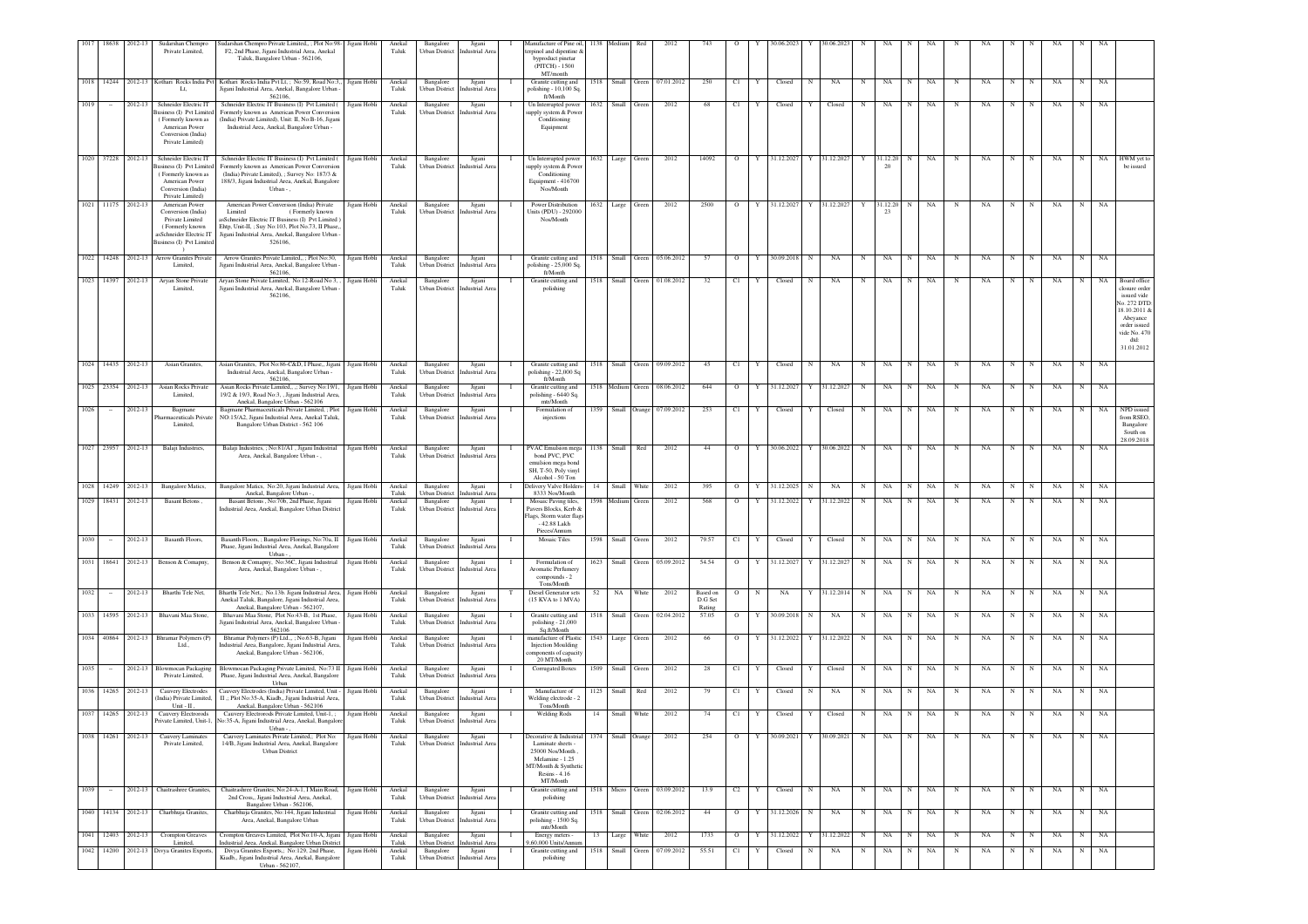| 1017 |            | 18638 2012-13                            | Sudarshan Chempro<br>Private Limited,                                                                                                       | Sudarshan Chempro Private Limited,, ; Plot No:98-<br>F2, 2nd Phase, Jigani Industrial Area, Anekal<br>Taluk, Bangalore Urban - 562106,                                                                                                           | Jigani Hobli                 | Anekal<br>Taluk           | Bangalore<br><b>Urban District</b>              | Jigani<br>ndustrial Area                 | Manufacture of Pine oil,<br>erpinol and dipentine &<br>byproduct pinetar<br>(PITCH) - 1500<br>MT/month                                |      | 1138 Medium Red   |                  | 2012                        | 743                           | $\circ$              |   | 30.06.2023           |             | 30.06.2023         |                 | NA             |                |                 |            |                 |                 |            | NA          |            |             |                                                                                                                                               |
|------|------------|------------------------------------------|---------------------------------------------------------------------------------------------------------------------------------------------|--------------------------------------------------------------------------------------------------------------------------------------------------------------------------------------------------------------------------------------------------|------------------------------|---------------------------|-------------------------------------------------|------------------------------------------|---------------------------------------------------------------------------------------------------------------------------------------|------|-------------------|------------------|-----------------------------|-------------------------------|----------------------|---|----------------------|-------------|--------------------|-----------------|----------------|----------------|-----------------|------------|-----------------|-----------------|------------|-------------|------------|-------------|-----------------------------------------------------------------------------------------------------------------------------------------------|
|      |            |                                          | 1018 14244 2012-13 Kothari Rocks India Pvt<br>Lt,                                                                                           | Kothari Rocks India Pvt Lt, ; No:59, Road No:3,,<br>Jigani Industrial Area, Anekal, Bangalore Urban<br>562106,                                                                                                                                   | Jigani Hobli                 | Anekal<br>Taluk           | Bangalore<br>Urban District                     | Jigani<br>ndustrial Are                  | Granite cutting and<br>polishing - 10,100 Sq<br>ft/Month                                                                              |      |                   | 1518 Small Green | 07.01.2012                  | 250                           | C1                   |   | Closed               |             | NA                 | N               | NA             |                | NA              | N          | NA              |                 |            | NA          |            | NA          |                                                                                                                                               |
| 1019 |            |                                          | 2012-13 Schneider Electric IT<br>Business (I) Pvt Limited<br>(Formerly known as<br>American Power<br>Conversion (India)<br>Private Limited) | Schneider Electric IT Business (I) Pvt Limited (<br>Formerly known as American Power Conversion<br>(India) Private Limited), Unit: II, No:B-16, Jigani<br>Industrial Area, Anekal, Bangalore Urban -                                             | Jigani Hobli                 | Anckal<br>Taluk           | Bangalore<br><b>Urban District</b>              | Jigani<br>ndustrial Are                  | Un Interrupted power<br>upply system & Powe<br>Conditioning<br>Equipment                                                              |      | 1632 Small Green  |                  | 2012                        | 68                            | C1                   |   | Closed               |             | Closed             |                 | NA             |                | NA.             |            | NA              |                 |            | NA          |            |             |                                                                                                                                               |
| 1020 |            | 37228 2012-13                            | Schneider Electric IT<br>Business (I) Pyt Limited<br>(Formerly known as<br>American Power<br>Conversion (India)<br>Private Limited)         | Schneider Electric IT Business (I) Pvt Limited (<br>Formerly known as American Power Conversion<br>(India) Private Limited).: Survey No: 187/3 &<br>188/3, Jigani Industrial Area, Anekal, Bangalore<br>Urban -                                  | Jigani Hobli                 | Anekal<br>Taluk           | Bangalore<br><b>Urban District</b>              | Jigani<br><b>Industrial Are</b>          | Un Interrupted power<br>supply system & Power<br>Conditioning<br>Equipment - 416700<br>Nos/Month                                      |      | 1632 Large Green  |                  | 2012                        | 14092                         | $\circ$              | Y | 31.12.2027           |             | Y 31.12.2027       | Y               | 31.12.20<br>20 | $_{\rm N}$     | NA              | $_{\rm N}$ | NA              | $_{\rm N}$      | $_{\rm N}$ | $_{\rm NA}$ | N          | NA          | HWM yet to<br>be issued                                                                                                                       |
|      |            | 1021 11175 2012-13                       | American Power<br>Conversion (India)<br>Private Limited<br>(Formerly known)<br>asSchneider Electric IT<br>Business (I) Pvt Limited          | American Power Conversion (India) Private<br>(Formerly known<br>Limited<br>asSchneider Electric IT Business (I) Pvt Limited<br>Ehtp, Unit-II, ; Suy No:103, Plot No.73, II Phase,,<br>Jigani Industrial Area, Anekal, Bangalore Urban<br>526106. | Jigani Hobli                 | Anekal<br>Taluk           | Bangalore<br><b>Urban District</b>              | Jigani<br>ndustrial An                   | Power Distribution<br>Units (PDU) - 292000<br>Nos/Month                                                                               |      | 1632 Large Green  |                  | 2012                        | 2500                          | $\circ$              |   | Y 31.12.2027         |             | Y 31.12.2027       |                 | 31.12.20<br>23 | N              | NA              | $_{\rm N}$ | NA              | N               | N          | NA.         | N          | NA          |                                                                                                                                               |
|      |            |                                          | 1022 14248 2012-13 Arrow Granites Private<br>Limited.                                                                                       | Arrow Granites Private Limited · Plot No:30<br>Jigani Industrial Area, Anekal, Bangalore Urban<br>562106,                                                                                                                                        | Jigani Hobli                 | Anckal<br>Taluk           | Bangalore<br><b>Urban District</b>              | Jigani<br>ndustrial Are                  | Granite cutting and<br>polishing - 25,000 Sq<br>ft/Month                                                                              |      |                   | 1518 Small Green | 05.06.2012                  | 57                            | $\Omega$             |   | Y 30.09.2018         | $\mathbf N$ | NA                 | N               | NA             | $_{\rm N}$     | NA              | $_{\rm N}$ | NA              | N               | N          | NA          | N          | NA          |                                                                                                                                               |
|      |            | 1023 14397 2012-13                       | Aryan Stone Private<br>Limited.                                                                                                             | Arvan Stone Private Limited. No:12-Road No 3<br>Jigani Industrial Area, Anekal, Bangalore Urban<br>562106.                                                                                                                                       | Jigani Hobli                 | Anckal<br>Taluk           | Bangalore<br><b>Urban District</b>              | Jigani<br>Industrial Are                 | Granite cutting and<br>polishing                                                                                                      |      | 1518 Small Green  |                  | 01.08.2012                  | 32                            | C1                   | Y | Closed               | N           | NA                 | N               | NA             | $_{\rm N}$     | NA              | N          | <b>NA</b>       | N               | N          | <b>NA</b>   | N          | NA          | Board office<br>closure order<br>issued vide<br>No. 272 DTD<br>18.10.2011 &<br>Abeyance<br>order issued<br>vide No. 470<br>dtd:<br>31.01.2012 |
|      |            | 1024 14435 2012-13<br>1025 23354 2012-13 | Asian Granites.<br>Asian Rocks Private                                                                                                      | Asian Granites, Plot No:86-C&D, I Phase, Jigani<br>Industrial Area, Anekal, Bangalore Urban -<br>562106.<br>Asian Rocks Private Limited,, .; Survey No:19/1,                                                                                     | Jigani Hobli<br>Jigani Hobli | Anckal<br>Taluk<br>Anekal | Bangalore<br><b>Urban District</b><br>Bangalore | Jigani<br>Industrial Are<br>Jigani       | Granite cutting and<br>polishing - 22,000 Sq<br>ft/Month<br>Granite cutting and                                                       |      | 1518 Medium Green | 1518 Small Green | 09.09.2012<br>08.06.2012    | 45<br>644                     | C1<br>$\overline{0}$ | Y | Closed<br>31.12.2027 | $_{\rm N}$  | NA<br>Y 31.12.2027 | $_{\rm N}$<br>N | NA<br>NA       | N<br>N         | NA<br><b>NA</b> | $_{\rm N}$ | <b>NA</b><br>NA | $_{\rm N}$<br>N | N<br>N     | NA<br>NA    | N<br>N     | NA<br>NA    |                                                                                                                                               |
| 1026 |            | 2012-13                                  | Limited.<br>Bagmano                                                                                                                         | 19/2 & 19/3, Road No:3, Jigani Industrial Area,<br>Anekal, Bangalore Urban - 562106<br>Bagmane Pharmaceuticals Private Limited, ; Plot                                                                                                           | Jigani Hobli                 | Taluk<br>Anekal           | <b>Urban District</b><br>Bangalore              | ndustrial Are<br>Jigani                  | polishing - 6440 Sq.<br>mtr/Month<br>Formulation of                                                                                   | 1359 |                   | Small Orange     | 07.09.2012                  | 253                           | C1                   |   | Closed               |             | Closed             | N               | NA             |                | NA              | N          | NA              | N               | N          | NA          |            | NA          | NPD issued                                                                                                                                    |
|      |            |                                          | armaceuticals Privat<br>Limited.                                                                                                            | NO:15/A2, Jigani Industrial Area, Anekal Taluk,<br>Bangalore Urban District - 562 106                                                                                                                                                            |                              | Taluk                     | <b>Urban District</b>                           | ndustrial Are                            | injections                                                                                                                            |      |                   |                  |                             |                               |                      |   |                      |             |                    |                 |                |                |                 |            |                 |                 |            |             |            |             | from RSEO,<br>Bangalore<br>South on<br>28.09.2018                                                                                             |
|      |            | 1027 23957 2012-13                       | Balaji Industries,                                                                                                                          | Balaji Industries, ; No:81/A1, Jigani Industrial<br>Area, Anekal, Bangalore Urban - ,                                                                                                                                                            | Jigani Hobli                 | Anekal<br>Taluk           | Bangalore<br><b>Urban District</b>              | Jigani<br><b>Industrial Are</b>          | PVAC Emulsion mega<br>bond PVC, PVC<br>emulsion mega bond<br>SH, T-50, Poly vinyl<br>Alcohol - 50 Ton                                 |      | 1138 Small        | Red              | 2012                        | 44                            | $\overline{0}$       | Y | 30.06.2022           | Y           | 30.06.2022         | N               | NA             | $\overline{N}$ | NA              | N          | NA              | N               | N          | NA          |            | NA          |                                                                                                                                               |
|      | 1028 14249 | 2012-13                                  | Bangalore Matics,                                                                                                                           | Bangalore Matics, No:20, Jigani Industrial Area,<br>Anekal, Bangalore Urban -                                                                                                                                                                    | Jigani Hobli                 | Anckal<br>Taluk           | Bangalore<br><b>Urban District</b>              | Jigani<br>ndustrial Are                  | <b>Delivery Valve Holders</b><br>8333 Nos/Month                                                                                       | 14   | Small             | White            | 2012                        | 395                           | $\circ$              | Y | 31.12.2025           |             | NA                 |                 | NA             | N              | NA              | N          | NA              | N               | N          | NA          | N          | $_{\rm NA}$ |                                                                                                                                               |
| 1029 | 18431      | 2012-13                                  | Basant Betons,                                                                                                                              | Basant Betons, No:70b, 2nd Phase, Jigani<br>Industrial Area, Anekal, Bangalore Urban District                                                                                                                                                    | Jigani Hobli                 | Anekal<br>Taluk           | Bangalore<br><b>Urban District</b>              | Jigani<br>ndustrial Are                  | Mosaic Paving tiles,<br>Pavers Blocks, Kerb &<br>lags, Storm water flags<br>$-42.88$ Lakh<br>Pieces/Annum                             |      | 1598 Medium Green |                  | 2012                        | 568                           | $\mathcal{O}$        | Y | 31.12.2022           |             | 31.12.2022         | N               | NA             | $_{\rm N}$     | $_{\rm NA}$     | N          | $_{\rm NA}$     | $_{\rm N}$      | $_{\rm N}$ | $_{\rm NA}$ | $_{\rm N}$ | $_{\rm NA}$ |                                                                                                                                               |
| 1030 | $\sim$     | 2012-13                                  | Basanth Floors.                                                                                                                             | Basanth Floors, ; Bangalore Florings, No:70a, II<br>Phase, Jigani Industrial Area, Anekal, Bangalore<br>Urban -                                                                                                                                  | Jigani Hobli                 | Anckal<br>Taluk           | Bangalore<br><b>Urban District</b>              | Jigani<br>ndustrial Are                  | <b>Mosaic Tiles</b>                                                                                                                   |      | 1598 Small Green  |                  | 2012                        | 79.57                         | C1                   | Y | Closed               |             | Closed             | N               | NA .           | N              | NA.             | $_{\rm N}$ | NA              | N               | N          | NA          | N          | NA          |                                                                                                                                               |
| 1031 |            | 18641 2012-13                            | Benson & Comapny,                                                                                                                           | Benson & Comapny, No:36C, Jigani Industrial<br>Area, Anekal, Bangalore Urban - ,                                                                                                                                                                 | Jigani Hobli                 | Anekal<br>Taluk           | Bangalore<br><b>Urban District</b>              | Jigani<br>ndustrial Are                  | Formulation of<br>Aromatic Perfumery<br>compounds - 2<br>Tons/Month                                                                   | 1623 | Small             | Green            | 05.09.2012                  | 54.54                         | $\circ$              |   | 31.12.2027           |             | 31.12.2027         |                 | NA             |                | NA              |            | NA              |                 |            | NA          |            |             |                                                                                                                                               |
| 1032 | $\sim$     | 2012-13                                  | Bharthi Tele Net,                                                                                                                           | Bharthi Tele Net,; No.13b. Jigani Industrial Area,<br>Anekal Taluk, Bangalore, Jigani Industrial Area,<br>Anekal, Bangalore Urban - 562107,                                                                                                      | Jigani Hobli                 | Anekal<br>Taluk           | Bangalore<br><b>Urban District</b>              | Jigani<br>ndustrial Are                  | Diesel Generator sets<br>(15 KVA to 1 MVA)                                                                                            | 52   | NA                | White            | 2012                        | Based on<br>D.G Set<br>Rating | $\circ$              | N | NA                   |             | 31.12.2014         | N               | NA             | $_{\rm N}$     | NA              | N          | NA              | N               | N          | NA          |            | NA          |                                                                                                                                               |
|      | 1033 14595 |                                          | 2012-13 Bhavani Maa Stone,                                                                                                                  | Bhavani Maa Stone, Plot No:43-B, 1st Phase,<br>Jigani Industrial Area, Anekal, Bangalore Urban<br>562106                                                                                                                                         | Jigani Hobli                 | Anekal<br>Taluk           | Bangalore<br><b>Urban District</b>              | Jigani<br>ndustrial Are                  | Granite cutting and<br>polishing - 21,000<br>Sq.ft/Month                                                                              |      | 1518 Small Green  |                  | 02.04.2012                  | 57.05                         | $\circ$              |   | 30.09.2018           |             | NA                 | N               | NA             |                | NA              |            | NA              | N               |            | NA          | N          | NA          |                                                                                                                                               |
|      |            |                                          | 1034 40864 2012-13 Bhramar Polymers (P)<br>Ltd.                                                                                             | Bhramar Polymers (P) Ltd.,, ; No.63-B, Jigani<br>Industrial Area, Bangalore, Jigani Industrial Area,<br>Anekal, Bangalore Urban - 562106,                                                                                                        | Jigani Hobli                 | Anckal<br>Taluk           | Bangalore<br><b>Urban District</b>              | Jigani<br>ndustrial Are                  | manufacture of Plastic<br><b>Injection Moulding</b><br>components of capacit<br>20 MT/Month                                           | 1543 | Large Green       |                  | 2012                        | 66                            | $\Omega$             |   | 31.12.2022           | Y           | 31.12.2022         | N               | NA             | N              | NA              | N          | NA              | N               | N          | NA          |            | NA          |                                                                                                                                               |
| 1035 |            |                                          | 2012-13 Blowmocan Packaging<br>Private Limited,                                                                                             | Blowmocan Packaging Private Limited, No:73 II<br>Phase, Jigani Industrial Area, Anekal, Bangalore<br>Urban                                                                                                                                       | Jigani Hobli                 | Anekal<br>Taluk           | Bangalore<br><b>Urban Distric</b>               | Jigani<br>ndustrial Are                  | Corrugated Boxes                                                                                                                      | 1509 | Small Green       |                  | 2012                        | 28                            | C1                   | Y | Closed               |             | Closed             | N               | NA             | $_{\rm N}$     | NA              | N          | $_{\rm NA}$     | N               | N          | NA          | $_{\rm N}$ | NA          |                                                                                                                                               |
|      |            | 1036 14265 2012-13                       | Cauvery Electrodes<br>(India) Private Limited.<br>Unit - II,                                                                                | Cauvery Electrodes (India) Private Limited, Unit -<br>II .; Plot No:35-A, Kiadb,, Jigani Industrial Area,<br>Anekal, Bangalore Urban - 562106                                                                                                    | Jigani Hobli                 | Anckal<br>Taluk           | Bangalore<br><b>Urban District</b>              | Jigani<br>ndustrial Are                  | Manufacture of<br>Welding electrode - 2<br>Tons/Month                                                                                 |      | 1125 Small        | Red              | 2012                        | 79                            | C1                   | Y | Closed               |             | NA                 | N               | NA             | N              | NA              | N          | NA              | N               | N          | NA          | N          | $_{\rm NA}$ |                                                                                                                                               |
|      |            |                                          | 1037 14265 2012-13 Cauvery Electrorods<br>Private Limited, Unit-1.                                                                          | Cauvery Electrorods Private Limited, Unit-1, ;<br>No:35-A, Jigani Industrial Area, Anekal, Bangaloro<br>Urban -                                                                                                                                  | Jigani Hobli                 | Anckal<br>Taluk           | Bangalore<br><b>Urban District</b>              | Jigani<br>ndustrial Are                  | <b>Welding Rods</b>                                                                                                                   | 14   | Small White       |                  | 2012                        | 74                            | C1                   | Y | Closed               | Y           | Closed             | N               | <b>NA</b>      | N              | NA              | $_{\rm N}$ | NA              | N               | N          | NA          | N          | NA          |                                                                                                                                               |
|      |            |                                          | 1038 14261 2012-13 Cauvery Laminates<br>Private Limited,                                                                                    | Cauvery Laminates Private Limited : Plot No:<br>14/B, Jigani Industrial Area, Anekal, Bangalore<br><b>Urban District</b>                                                                                                                         | Jigani Hobli                 | Anekal<br>Taluk           | Bangalore                                       | Jigani<br>Urban District Industrial Area | Decorative & Industrial<br>Laminate sheets -<br>25000 Nos/Month<br>Melamine - 1.25<br>4T/Month & Synthet<br>Resins - 4.16<br>MT/Month |      | 1374 Small Orange |                  | 2012                        |                               | O <sub>Y</sub>       |   | 30.09.2021           |             | Y 30.09.2021       |                 | N NA N NA      |                |                 | $_{\rm N}$ | <b>NA</b>       | $_{\rm N}$      |            | NA          |            |             |                                                                                                                                               |
| 1039 | $\sim$     |                                          | 2012-13 Chaitrashree Granites,                                                                                                              | Chaitrashree Granites, No:24-A-1, I Main Road,<br>2nd Cross,, Jigani Industrial Area, Anekal,                                                                                                                                                    | Jigani Hobli                 | Anekal<br>Taluk           | Bangalore<br><b>Urban District</b>              | Jigani<br>ndustrial Are                  | Granite cutting and<br>polishing                                                                                                      |      |                   |                  | 1518 Micro Green 03.09.2012 | 13.9                          | C2                   | Y | Closed               | N           | NA                 | N               | NA             | N              | NA              | $_{\rm N}$ | NA              | N               | N          | NA          | N          | NA          |                                                                                                                                               |
|      |            | 1040 14134 2012-13                       | Charbhuja Granites,                                                                                                                         | Bangalore Urban - 562106,<br>Charbhuja Granites, No:144, Jigani Industrial<br>Area, Anekal, Bangalore Urban                                                                                                                                      | Jigani Hobli                 | Anckal<br>Taluk           | Bangalore<br><b>Urban District</b>              | Jigani<br>ndustrial Area                 | Granite cutting and<br>polishing - 1500 Sq.                                                                                           |      | 1518 Small Green  |                  | 02.06.2012                  | 44                            | $\circ$              |   | 31.12.2026           |             | NA                 |                 | NA             | N              | NA              | N          | NA              | N               | N          | NA          |            | NA          |                                                                                                                                               |
|      |            |                                          |                                                                                                                                             | Crompton Greaves Limited. Plot No:10-A. Jigani                                                                                                                                                                                                   | Jigani Hobli                 |                           | Bangalore                                       | Jigani                                   | mtr/Month<br>Energy meters -                                                                                                          | 13   |                   | White            | 2012                        | 1733                          | $\circ$              | Y | 31.12.2022           |             | 31.12.2022         | N               | NA             | N              | NA              | N          | NA              | N               | N          | NA          | N          | NA          |                                                                                                                                               |
|      | 1041 12403 | 2012-13                                  | <b>Crompton Greaves</b><br>Limited.                                                                                                         | Industrial Area, Anekal, Bangalore Urban District                                                                                                                                                                                                |                              | Anckal<br>Taluk           | <b>Urban District</b>                           | ndustrial Are                            | 60.000 Units/Annu                                                                                                                     |      | Large             |                  |                             |                               |                      |   |                      |             |                    |                 |                |                |                 |            |                 |                 |            |             |            |             |                                                                                                                                               |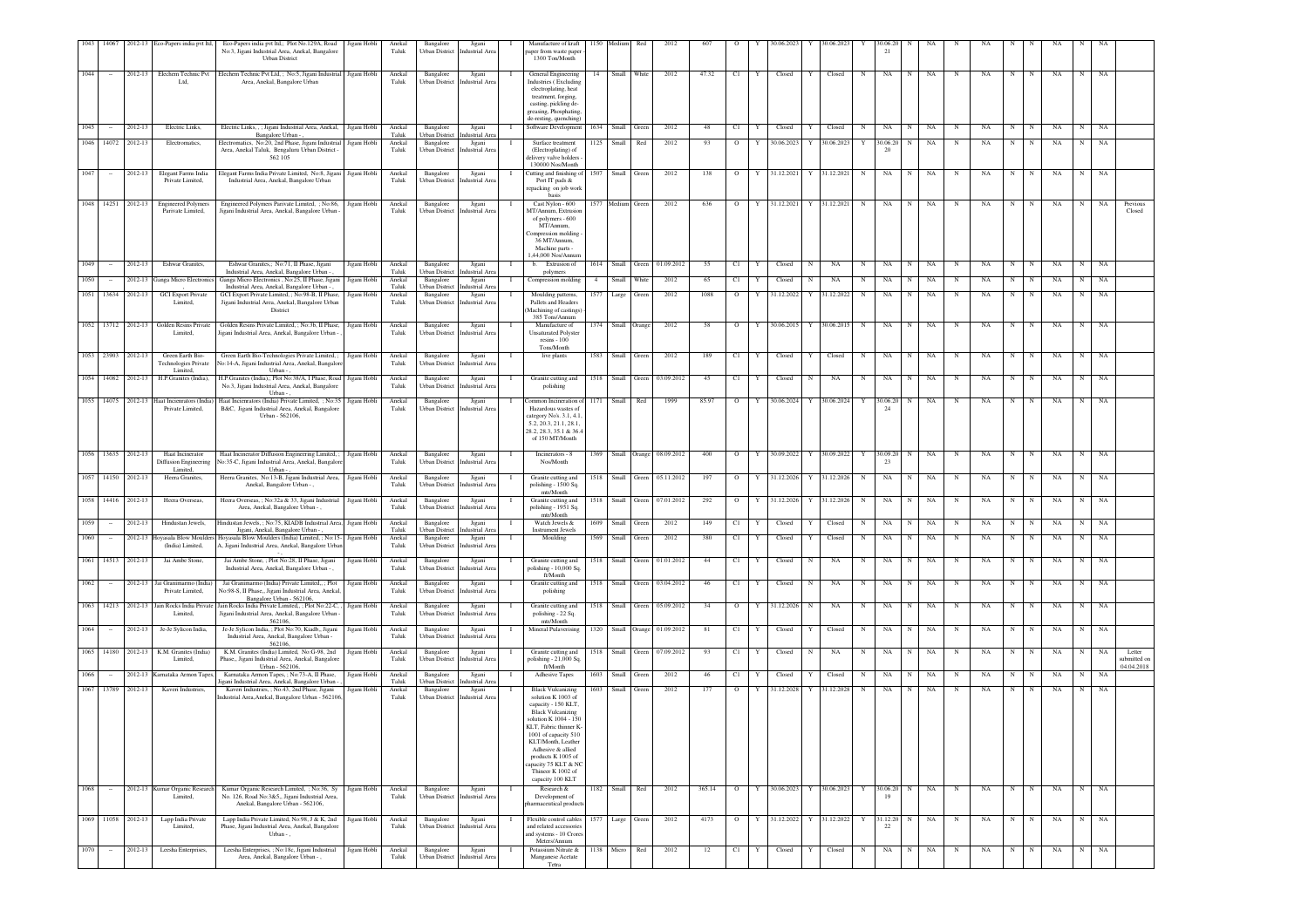| 1043 14067 2012-13 Eco-Papers india pvt ltd, |                                                      | Eco-Papers india pvt ltd,; Plot No.129A, Road<br>No:3, Jigani Industrial Area, Anekal, Bangalore<br><b>Urban District</b>                                                           | Jigani Hobli | Anekal<br>Taluk | Bangalore<br><b>Urban District</b> | Jigani<br>ndustrial Area |              | Manufacture of kraft<br>paper from waste paper<br>1300 Ton/Month                                                                                                                                                                                  |                | 1150 Medium       | Red              | 2012                         | 607    | $\circ$        | 30.06.2023                             |   | Y 30.06.2023            |              | 30.06.2<br>21  |              | NA          |            | NA          |     |   | NA          |      | NA        |                          |
|----------------------------------------------|------------------------------------------------------|-------------------------------------------------------------------------------------------------------------------------------------------------------------------------------------|--------------|-----------------|------------------------------------|--------------------------|--------------|---------------------------------------------------------------------------------------------------------------------------------------------------------------------------------------------------------------------------------------------------|----------------|-------------------|------------------|------------------------------|--------|----------------|----------------------------------------|---|-------------------------|--------------|----------------|--------------|-------------|------------|-------------|-----|---|-------------|------|-----------|--------------------------|
| 2012-13<br>1044                              | Ltd.                                                 | Elechem Technic Pvt Elechem Technic Pvt Ltd, ; No:5, Jigani Industrial Jigani Hobli<br>Area, Anekal, Bangalore Urban                                                                |              | Anekal<br>Taluk | Bangalore<br><b>Urban District</b> | Jigani<br>ndustrial Are  |              | General Engineering<br>Industries (Excluding<br>electroplating, heat<br>treatment, forging,<br>casting, pickling de-<br>greasing, Phosphating.                                                                                                    | 14             | Small White       |                  | 2012                         | 47.32  | C1             | Closed<br>Y                            | Y | Closed                  | $\mathbb{N}$ | NA             | N            | NA          | $_{\rm N}$ | <b>NA</b>   | N   | N | NA          | N    | NA        |                          |
| 1045<br>2012-13<br>$\sim$                    | Electric Links,                                      | Electric Links, , ; Jigani Industrial Area, Anekal, Jigani Hobli                                                                                                                    |              | Anckal          | Bangalore                          | Jigani                   |              | de-resting, quenching)<br>Software Development                                                                                                                                                                                                    |                | 1634 Small Green  |                  | 2012                         | 48     | C1             | Closed<br>Y                            |   | Closed                  | $_{\rm N}$   | NA             | N            | NA          | N          | NA          | N   | N | NA          | N    | NA        |                          |
| 1046<br>14072<br>2012-13                     | Electromatics.                                       | Bangalore Urban -<br>Electromatics, No:20, 2nd Phase, Jigani Industrial                                                                                                             | Jigani Hobli | Taluk<br>Anekal | <b>Urban District</b><br>Bangalore | dustrial Area<br>Jigani  |              | Surface treatment                                                                                                                                                                                                                                 | 1125           | Small             | Red              | 2012                         | 93     | $\circ$        | 0.06.2023                              |   | 30.06.2023              |              | 30.06.20       |              | NA          | N          | NA          |     |   | NA          |      | NA        |                          |
|                                              |                                                      | Area, Anekal Taluk. Bengaluru Urban District<br>562 105                                                                                                                             |              | Taluk           | <b>Urban District</b>              | ndustrial Are            |              | (Electroplating) of<br>delivery valve holders                                                                                                                                                                                                     |                |                   |                  |                              |        |                |                                        |   |                         |              | 20             |              |             |            |             |     |   |             |      |           |                          |
| 1047<br>2012-13                              | Elegant Farms India                                  | Elegant Farms India Private Limited, No:8, Jigani   Jigani Hobli                                                                                                                    |              | Anekal          | Bangalore                          | Jigani                   |              | 130000 Nos/Month<br>Cutting and finishing of                                                                                                                                                                                                      | 1507           | Small Green       |                  | 2012                         | 138    | $\circ$        | 31.12.2021<br>Y                        |   | Y 31.12.2021            | $\mathbf N$  | NA             | N            | NA          | N          | NA          | N   | N | NA          | N    | <b>NA</b> |                          |
|                                              | Private Limited.                                     | Industrial Area, Anekal, Bangalore Urban                                                                                                                                            |              | Taluk           | <b>Urban District</b>              | ndustrial Are            |              | Port IT pads &                                                                                                                                                                                                                                    |                |                   |                  |                              |        |                |                                        |   |                         |              |                |              |             |            |             |     |   |             |      |           |                          |
|                                              | <b>Engineered Polymers</b>                           |                                                                                                                                                                                     |              |                 |                                    |                          |              | repacking on job worl<br>basis                                                                                                                                                                                                                    |                | 1577 Medium Green |                  | 2012                         | 636    | $\overline{0}$ | 31.12.2021                             |   | Y 31.12.2021 N          |              |                | $\mathbb{N}$ |             |            | NA          |     | N |             |      | NA        |                          |
| 1048 14251 2012-13                           | Parivate Limited.                                    | Engineered Polymers Parivate Limited, ; No:86,<br>Jigani Industrial Area, Anekal, Bangalore Urban                                                                                   | Jigani Hobli | Anekal<br>Taluk | Bangalore<br><b>Urban District</b> | Jigani<br>ndustrial Are  |              | Cast Nylon - 600<br>MT/Annum, Extrusio                                                                                                                                                                                                            |                |                   |                  |                              |        |                |                                        |   |                         |              | NA             |              | NA          | N          |             | N   |   | NA          |      |           | Previous<br>Closed       |
|                                              |                                                      |                                                                                                                                                                                     |              |                 |                                    |                          |              | of polymers - 600<br>MT/Annum,<br>ompression molding<br>36 MT/Annum,<br>Machine parts -<br>144 000 Nos/Annun                                                                                                                                      |                |                   |                  |                              |        |                |                                        |   |                         |              |                |              |             |            |             |     |   |             |      |           |                          |
| 2012-13<br>1049                              | <b>Eshwar Granites.</b>                              | Eshwar Granites . No.71 II Phase Tigani<br>Industrial Area, Anekal, Bangalore Urban -                                                                                               | Jigani Hobli | Anekal<br>Taluk | Bangalore<br><b>Urban District</b> | Jigani<br>ndustrial Are  |              | h Extrusion of<br>polymers                                                                                                                                                                                                                        | 1614           | Small             | Green            | 01.09.2012                   | 55     | C1             | Closed                                 |   | <b>NA</b>               | N            | NA             |              | NA          | N          | NA.         | N   | N | NA          |      | NA        |                          |
| 2012-13<br>1050                              | <b>Ganga Micro Electronic</b>                        | Ganga Micro Electronics, No:25, II Phase, Jigani<br>Industrial Area, Anekal, Bangalore Urban - ,                                                                                    | Jigani Hobli | Anekal<br>Taluk | Bangalore<br>Urban District        | Jigani<br>dustrial Area  |              | Compression molding                                                                                                                                                                                                                               | $\overline{4}$ | Small             | Whit             | 2012                         | 65     | C1             | Closed                                 |   | NA                      |              | NA             |              | NA          | N          | NA          |     |   | NA          |      | NA        |                          |
| 1051 13634 2012-13                           | <b>GCI Export Private</b><br>Limited,                | GCI Export Private Limited, ; No:98-B, II Phase,<br>Jigani Industrial Area, Anekal, Bangalore Urban                                                                                 | Jigani Hobli | Anekal<br>Taluk | Bangalore<br><b>Urban District</b> | Jigani<br>ndustrial Are  |              | Moulding patterns,<br>Pallets and Headers                                                                                                                                                                                                         | 1577           | Large Green       |                  | 2012                         | 1088   | $\circ$        | 31.12.2022<br>Y                        |   | Y 31.12.2022            | N            | NA             | N            | NA          | N          | NA          | N   | N | NA          | N    | NA        |                          |
|                                              |                                                      | District                                                                                                                                                                            |              |                 |                                    |                          |              | Machining of castings<br>385 Tons/Annum                                                                                                                                                                                                           |                |                   |                  |                              |        |                |                                        |   |                         |              |                |              |             |            |             |     |   |             |      |           |                          |
| 1052 13712 2012-13 Golden Resins Private     | Limited.                                             | Golden Resins Private Limited.: No:3b. II Phase.<br>Jigani Industrial Area, Anekal, Bangalore Urban                                                                                 | Jigani Hobli | Anckal<br>Taluk | Bangalore<br><b>Urban District</b> | Jigani<br>ndustrial Are  |              | Manufacture of<br><b>Unsaturated Polyster</b>                                                                                                                                                                                                     |                | 1374 Small Orange |                  | 2012                         | 58     | $\circ$        | 30.06.2015<br>Y                        |   | Y 30.06.2015 N          |              | NA             | $_{\rm N}$   | NA          | $_{\rm N}$ | NA          | N   | N | NA          | N    | NA        |                          |
|                                              |                                                      |                                                                                                                                                                                     |              |                 |                                    |                          |              | $resins - 100$<br>Tons/Month                                                                                                                                                                                                                      |                |                   |                  |                              |        |                |                                        |   |                         |              |                |              |             |            |             |     |   |             |      |           |                          |
| 1053 23903<br>2012-13                        | Green Earth Bio-                                     | Green Earth Bio-Technologies Private Limited, ; Jigani Hobli                                                                                                                        |              | Anekal          | Bangalore                          | Jigani<br>ndustrial Ar   |              | live plants                                                                                                                                                                                                                                       |                | 1583 Small Green  |                  | 2012                         | 189    | C1             | Closed<br>Y                            |   | Closed                  | N            | NA             | N            | NA          | N          | NA          | N   | N | NA          | N    | NA        |                          |
| 1054 14082 2012-13                           | Technologies Private<br>Limited,                     | No:14-A, Jigani Industrial Area, Anekal, Bangalore<br>Urban -<br>H.P.Granites (India), H.P.Granites (India),; Plot No:38/A, I Phase, Road Jigani Hobli                              |              | Taluk<br>Anckal | <b>Urban District</b><br>Bangalore | Jigani                   | $\mathbf{I}$ | Granite cutting and                                                                                                                                                                                                                               |                | 1518 Small Green  |                  | 03.09.2012                   | 45     | C1             | Closed<br>Y                            | N | <b>NA</b>               | N            | NA             | $_{\rm N}$   | <b>NA</b>   | N          | <b>NA</b>   | N   | N | NA          | N    | <b>NA</b> |                          |
|                                              |                                                      | No.3. Jigani Industrial Area, Anekal, Bangalore<br>Urban -                                                                                                                          |              | Taluk           | <b>Urban District</b>              | ndustrial Are            |              | polishing                                                                                                                                                                                                                                         |                |                   |                  |                              |        |                |                                        |   |                         |              |                |              |             |            |             |     |   |             |      |           |                          |
| 1055 14075<br>2012-13                        | Private Limited.                                     | Haat Incienrators (India) Haat Incienrators (India) Private Limited, ; No:35 Jigani Hobli<br>B&C. Jigani Industrial Area, Anekal, Bangalore                                         |              | Anekal<br>Taluk | Bangalore<br><b>Urban District</b> | Jigani<br>Industrial Are |              | Common Incineration of<br>Hazardous wastes of                                                                                                                                                                                                     | 1171           | Small             | Red              | 1999                         | 85.97  | $\circ$        | 30.06.2024<br>Y                        |   | Y 30.06.2024            |              | 30.06.20<br>24 |              | NA          | N          | NA          |     | N | NA          |      | NA        |                          |
|                                              |                                                      | Urban - 562106.                                                                                                                                                                     |              |                 |                                    |                          |              | category No's, 3.1, 4.1<br>5.2, 20.3, 21.1, 28.1<br>28.2, 28.3, 35.1 & 36.<br>of 150 MT/Month                                                                                                                                                     |                |                   |                  |                              |        |                |                                        |   |                         |              |                |              |             |            |             |     |   |             |      |           |                          |
| 1056 13635 2012-13                           | Haat Incinerator<br>Diffusion Engineering<br>Limited | Haat Incinerator Diffusion Engineering Limited, ; Jigani Hobli<br>No:35-C, Jigani Industrial Area, Anekal, Bangalord<br>Urban -                                                     |              | Anekal<br>Taluk | Bangalore<br><b>Urban District</b> | Jigani<br>ndustrial Are  |              | Incinerators - 8<br>Nos/Month                                                                                                                                                                                                                     |                |                   |                  | 1369 Small Orange 08.09.2012 | 400    | $\circ$        | 30.09.2022                             |   | Y 30.09.2022            | Y            | 30.09.20<br>23 | N            | NA          | N          | NA          |     | N | NA          | N    | NA        |                          |
| 1057 14150 2012-13                           | Heera Granites,                                      | Heera Granites, No:13-B, Jigani Industrial Area, Jigani Hobli<br>Anekal, Bangalore Urban - ,                                                                                        |              | Anekal<br>Taluk | Bangalore<br><b>Urban District</b> | Jigani<br>ndustrial Are  |              | Granite cutting and<br>polishing - 1500 Sq.<br>mtr/Month                                                                                                                                                                                          |                | 1518 Small Green  |                  | 05.11.2012                   | 197    | $\circ$        | 31.12.2026                             |   | Y 31.12.2026            | N            | NA             | N            | NA          | N          | NA          |     | N | NA          |      | NA        |                          |
| 1058 14416 2012-13                           | Heera Overseas,                                      | Heera Overseas, ; No:32a & 33, Jigani Industrial Jigani Hobli<br>Area, Anekal, Bangalore Urban - ,                                                                                  |              | Anekal<br>Taluk | Bangalore<br><b>Urban District</b> | Jigani<br>ndustrial Are  |              | Granite cutting and<br>polishing - 1951 Sq.<br>mtr/Month                                                                                                                                                                                          |                | 1518 Small Green  |                  | 07.01.2012                   | 292    | $\circ$        | 31.12.2026<br>Y                        |   | Y 31.12.2026            | N            | NA             | N            | NA          | $_{\rm N}$ | NA          | N   | N | NA          | N    | NA        |                          |
| 2012-13<br>1059                              | Hindustan Jewels.                                    | Hindustan Jewels, ; No:75, KIADB Industrial Area, Jigani Hobli<br>Jigani, Anekal, Bangalore Urban - .                                                                               |              | Anekal<br>Taluk | Bangalore<br><b>Urban District</b> | Jigani<br>dustrial Are   |              | Watch Jewels &<br><b>Instrument Jewels</b>                                                                                                                                                                                                        | 1609           | Small             | Green            | 2012                         | 149    | C1             | Closed                                 |   | Closed                  | N            | NA             | N            | NA          | N          | $_{\rm NA}$ | N   | N | $_{\rm NA}$ |      | NA        |                          |
| 1060<br>2012-13                              | (India) Limited,                                     | Hoyasala Blow Moulders Hoyasala Blow Moulders (India) Limited, ; No:15- Jigani Hobli<br>A, Jigani Industrial Area, Anekal, Bangalore Urban                                          |              | Anekal<br>Taluk | Bangalore<br><b>Urban District</b> | Jigani<br>ndustrial Are  |              | Moulding                                                                                                                                                                                                                                          | 1569           | Small Green       |                  | 2012                         | 380    | C1             | Closed<br>Y                            | Y | Closed                  | N            | NA             | $_{\rm N}$   | $_{\rm NA}$ | N          | $_{\rm NA}$ | N   | N | NA          | N    | NA        |                          |
| 1061 14513 2012-13                           | Jai Ambe Stone,                                      | Jai Ambe Stone, ; Plot No:28, II Phase, Jigani<br>Industrial Area, Anekal, Bangalore Urban - ,                                                                                      | Jigani Hobli | Anekal<br>Taluk | Bangalore<br><b>Urban District</b> | Jigani<br>ndustrial Are  |              | Granite cutting and<br>polishing - 10,000 Sq                                                                                                                                                                                                      |                | 1518 Small Green  |                  | 01.01.2012                   | 44     | C1             | Closed                                 |   | NA                      |              | NA             | N            | NA          | N          | NA          |     |   | NA          |      | NA        |                          |
| 1062<br>- 11                                 | 2012-13 Jai Granimarmo (India)<br>Private Limited,   | Jai Granimarmo (India) Private Limited,, ; Plot Jigani Hobli<br>No:98-S. II Phase Jigani Industrial Area. Anekal.                                                                   |              | Anekal<br>Taluk | Bangalore<br><b>Urban District</b> | Jigani<br>ndustrial Are  |              | ft/Month<br>Granite cutting and<br>polishing                                                                                                                                                                                                      |                |                   | 1518 Small Green | 03.04.2012                   | -46    | C1             | Closed                                 |   | NA                      | N            | NA             | N            | NA          | N          | NA          | N   | N | NA          |      | NA        |                          |
| 1063 14213                                   | Limited.                                             | Bangalore Urban - 562106,<br>2012-13 Jain Rocks India Private Jain Rocks India Private Limited,, ; Plot No:22-C,, Jigani Hobli<br>Jigani Industrial Area, Anekal, Bangalore Urban - |              | Anekal<br>Taluk | Bangalore<br><b>Urban District</b> | Jigani<br>ndustrial Are  |              | Granite cutting and<br>polishing - 22 Sq.                                                                                                                                                                                                         |                | 1518 Small        | Green            | 05.09.2012                   | -34    | $\circ$        | 31.12.2026                             |   | NA                      | N            | NA             | N            | NA          | N          | NA          | N   | N | NA          |      | NA        |                          |
| 1064<br>2012-13                              | Je-Je Sylicon India,                                 | 562106.<br>Je-Je Sylicon India, ; Plot No:70, Kiadb,, Jigani<br>Industrial Area, Anekal, Bangalore Urban -                                                                          | Jigani Hobli | Anekal<br>Taluk | Bangalore<br><b>Urban District</b> | Jigani<br>ndustrial Are  |              | mtr/Month<br><b>Mineral Pulaverising</b>                                                                                                                                                                                                          | 1320           |                   | Small Orange     | 01.09.2012                   | 81     | C1             | Closed                                 |   | Closed                  | N            | NA             | N            | NA          | N          | NA          |     | N | NA          |      | NA        |                          |
| 1065 14180 2012-13                           | K.M. Granites (India)                                | 562106.<br>K.M. Granites (India) Limited, No:G-98, 2nd                                                                                                                              |              | Anekal          | Bangalore                          |                          |              |                                                                                                                                                                                                                                                   |                | 1518 Small Green  |                  | 07.09.2012                   | 93     | C1             | Closed                                 | N | NA                      | N            | NA             | N            | NA          | N          | NA          | N   | N | NA          |      | NA        | Letter                   |
|                                              | Limited,                                             | Phase,, Jigani Industrial Area, Anekal, Bangalore<br>Urban - 562106,                                                                                                                | Jigani Hobli | Taluk           | <b>Urban District</b>              | Jigani<br>dustrial Are   |              | Granite cutting and<br>polishing - 21,000 Sq                                                                                                                                                                                                      |                |                   |                  |                              |        |                |                                        |   |                         |              |                |              |             |            |             |     |   |             |      |           | ubmitted o<br>04.04.2018 |
| 2012-13<br>1066                              | Karnataka Armon Tapes.                               | Karnataka Armon Tanes : No.73-A II Phase                                                                                                                                            | Jigani Hobli | Anekal          | Bangalore                          | Jigani                   |              | ft/Month<br>Adhesive Tapes                                                                                                                                                                                                                        | 1603           | Small             | Green            | 2012                         | -46    | C1             | Closed                                 | Y | Closed                  |              | NA.            |              | NA          | N          | <b>NA</b>   | N   | N | NA.         |      | NA        |                          |
| 1067 13789 2012-13                           | Kaveri Industries,                                   | Jigani Industrial Area, Anekal, Bangalore Urban -<br>Kaveri Industries, ; No.43, 2nd Phase, Jigani                                                                                  | Jigani Hobli | Taluk<br>Anekal | Urban District<br>Bangalore        | dustrial Are<br>Jigani   |              | <b>Black Vulcanizing</b>                                                                                                                                                                                                                          | 1603           | Small             | Green            | 2012                         | 177    | $\circ$        | 31.12.2028                             |   | Y 31.12.2028            | N            | NA             | N            | NA          | N          | NA          |     | N | NA          | N    | NA        |                          |
|                                              |                                                      | Industrial Area, Anekal, Bangalore Urban - 562106                                                                                                                                   |              | Taluk           | <b>Urban District</b>              | ndustrial Are            |              | solution K 1003 of<br>capacity - 150 KLT.                                                                                                                                                                                                         |                |                   |                  |                              |        |                |                                        |   |                         |              |                |              |             |            |             |     |   |             |      |           |                          |
| 1068<br>$\sim$ 100 $\mu$                     |                                                      |                                                                                                                                                                                     |              | Anckal          |                                    |                          |              | <b>Black Vulcanizing</b><br>solution K 1004 - 150<br>KLT, Fabric thinner K<br>1001 of capacity 510<br>KLT/Month, Leather<br>Adhesive & allied<br>products K 1005 of<br>apacity 75 KLT & NC<br>Thineer K 1002 of<br>capacity 100 KLT<br>Research & |                |                   | 1182 Small Red   | 2012                         | 365.14 |                | 0 Y 30.06.2023 Y 30.06.2023 Y 30.06.20 |   |                         |              |                | N            | NA          | $_{\rm N}$ | NA          | N I | N | NA          | N NA |           |                          |
|                                              |                                                      | 2012-13 Kumar Organic Research Limited, : No:36, Sy<br>Limited, No. 126, Road No:3&5, Jigani Industrial Area,<br>Anekal, Bangalore Urban - 562106,                                  |              | Taluk           | Bangalore<br><b>Urban District</b> | Jigani<br>Industrial Are |              | Development of<br>armaceutical produc                                                                                                                                                                                                             |                |                   |                  |                              |        |                |                                        |   |                         |              | 19             |              |             |            |             |     |   |             |      |           |                          |
| 1069 11058 2012-13                           | Lapp India Private<br>Limited.                       | Lapp India Private Limited, No:98, J & K, 2nd Jigani Hobli<br>Phase, Jigani Industrial Area, Anekal, Bangalore<br>Urban - ,                                                         |              | Anekal<br>Taluk | Bangalore<br><b>Urban District</b> | Jigani<br>ndustrial Are  |              | Flexible control cables<br>and related accessories<br>and systems - 10 Crores<br>Meters/Annum                                                                                                                                                     |                | 1577 Large Green  |                  | 2012                         | 4173   | $\circ$        | Y                                      |   | 31.12.2022 Y 31.12.2022 | Y            | 31.12.20<br>22 | N            | NA          | N          | NA          | N   | N | NA          | N    | NA        |                          |
| 1070<br>2012-13                              | Leesha Enterprises,                                  | Leesha Enterprises, ; No:18c, Jigani Industrial<br>Area, Anekal, Bangalore Urban - ,                                                                                                | Jigani Hobli | Anckal<br>Taluk | Bangalore<br><b>Urban District</b> | Jigani<br>ndustrial Are  |              | Potassium Nitrate &<br>Manganese Acetate<br>Tetra                                                                                                                                                                                                 | 1138           | Micro             | Red              | 2012                         | 12     | C1             | Closed                                 |   | Closed                  |              | NA             |              | NA          | N          | NA          |     | N | NA          |      | NA        |                          |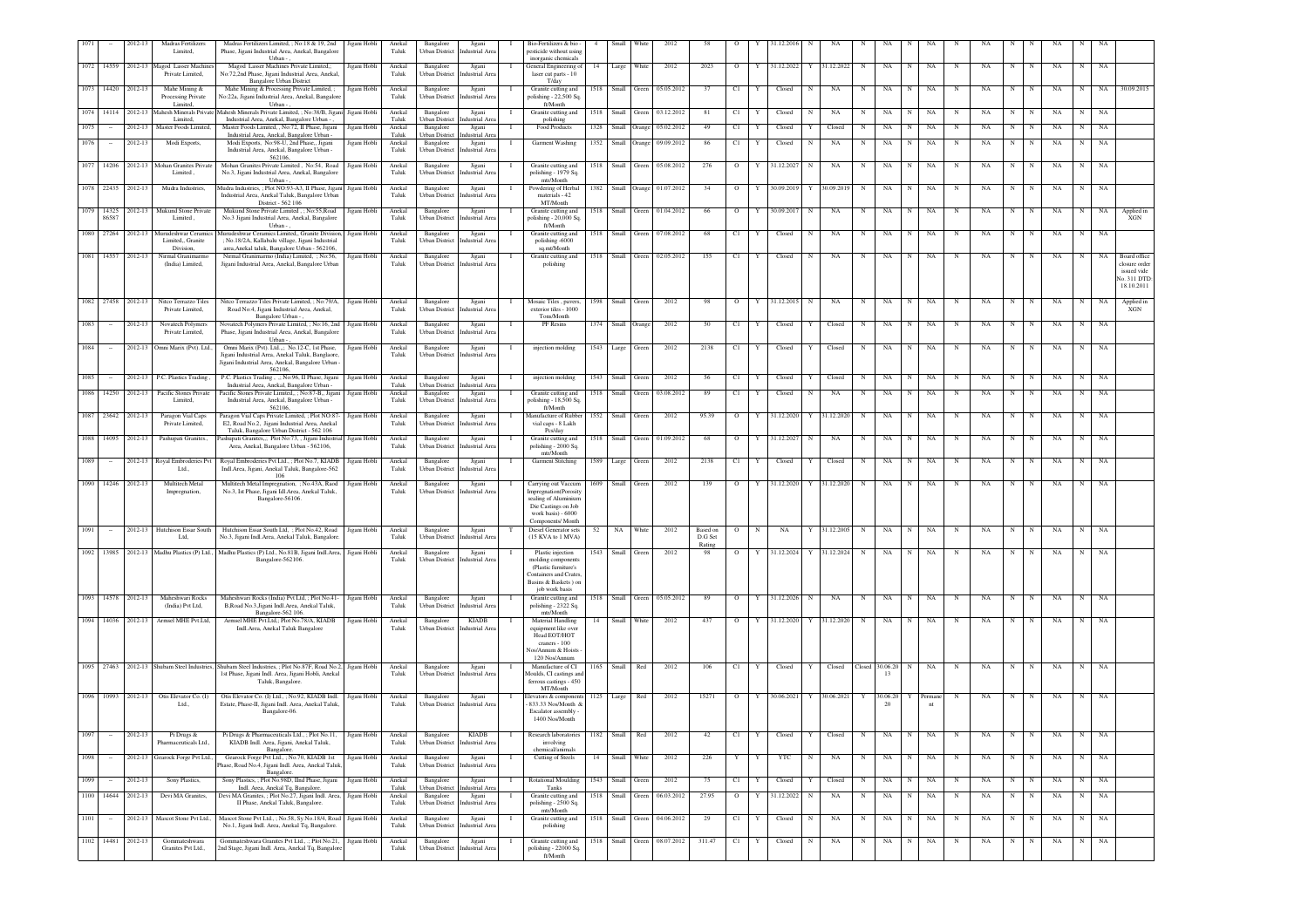| 1071 |                     | 2012-13            | Madras Fertilizers<br>Limited,                               | Madras Fertilizers Limited.: No:18 & 19, 2nd<br>Phase, Jigani Industrial Area, Anekal, Bangalore<br>Urban -                                                               | Jigani Hobli | Anekal<br>Taluk          | Bangalore<br><b>Urban District</b>                   | Jigan<br>Industrial Area                          |              | Bio-Fertilizers & bio<br>pesticide without using<br>inorganic chemicals                                                                |            | Small<br>White         | 2012                         | 58                                   | $\circ$ |    | 31.12.2016 |   | NA          |        | NA             |   | NA            | N | NA          |                 | NA       |   |             |                                                           |
|------|---------------------|--------------------|--------------------------------------------------------------|---------------------------------------------------------------------------------------------------------------------------------------------------------------------------|--------------|--------------------------|------------------------------------------------------|---------------------------------------------------|--------------|----------------------------------------------------------------------------------------------------------------------------------------|------------|------------------------|------------------------------|--------------------------------------|---------|----|------------|---|-------------|--------|----------------|---|---------------|---|-------------|-----------------|----------|---|-------------|-----------------------------------------------------------|
|      |                     |                    | 1072 14559 2012-13 Magod Lasser Machines<br>Private Limited. | Magod Lasser Machines Private Limited<br>No:72,2nd Phase, Jigani Industrial Area, Anekal,<br><b>Bangalore Urban District</b>                                              | Jigani Hobli | Anekal<br>Taluk          | Bangalore<br><b>Urban District</b>                   | Jigani<br><b>Industrial Area</b>                  |              | General Engineering of<br>laser cut parts - 10<br>T/day                                                                                | 14         | White<br>Large         | 2012                         | 2023                                 | $\circ$ |    | 31.12.2022 |   | 31.12.2022  | N      | NA             |   | NA            | N | NA          | N               | NA       |   | NA          |                                                           |
|      |                     | 1073 14420 2012-13 | Mahe Mining &<br>Processing Private                          | Mahe Mining & Processing Private Limited, ;<br>No:22a, Jigani Industrial Area, Anekal, Bangalore                                                                          | Jigani Hobli | Anekal<br>Taluk          | Bangalore<br><b>Urban District</b>                   | Jigani<br>Industrial Area                         |              | Granite cutting and<br>polishing - 22,500 Sc                                                                                           | 1518       | Small<br>Green         | 05.05.2012                   | - 37                                 | Cl      |    | Closed     |   | NA          | N      | NA             | N | NA            | N | NA          | N<br>N          | NA       | N | NA          | 30.09.2015                                                |
|      | 1074 14114          | 2012-13            | Limited.                                                     | Urban -<br>Mahesh Minerals Private Mahesh Minerals Private Limited, ; No:38/B, Jigani                                                                                     | Jigani Hobl  | Anekal                   | Bangalore                                            | Jigan                                             |              | ft/Month<br>Granite cutting and                                                                                                        | 1518 Small | Green                  | 03.12.2012                   | 81                                   | C1      |    | Closed     |   | NA          | N      | NA             |   | NA            |   | NA          | N               | NA       | N | NA          |                                                           |
| 1075 |                     | 2012-13            | Limited,<br>Master Foods Limited.                            | Industrial Area, Anekal, Bangalore Urban -<br>Master Foods Limited, , No:72, II Phase, Jigani<br>Industrial Area, Anekal, Bangalore Urban -                               | Jigani Hobli | Taluk<br>Anekal<br>Taluk | Urban District<br>Bangalore<br><b>Urban District</b> | Industrial Are<br>Jigani<br><b>Industrial Are</b> |              | polishing<br><b>Food Products</b>                                                                                                      | 1328 Small | Orange                 | 05.02.2012                   | -49                                  | C1      |    | Closed     |   | Closed      | N      | NA             |   | NA            | N | NA          | N<br>N          | NA       | N | NA          |                                                           |
| 1076 |                     | 2012-13            | Modi Exports,                                                | Modi Exports, No:98-U, 2nd Phase,, Jigani<br>Industrial Area, Anekal, Bangalore Urban -                                                                                   | Jigani Hobli | Anekal<br>Taluk          | Bangalore<br><b>Urban District</b>                   | Jigani<br>Industrial Area                         |              | <b>Garment Washing</b>                                                                                                                 | 1352       | Small<br><b>Drange</b> | 09.09.2012                   | 86                                   | C1      |    | Closed     |   | $_{\rm NA}$ | N      | $_{\rm NA}$    | N | $_{\rm NA}$   | N | $_{\rm NA}$ | N<br>N          | NA       | N | NA          |                                                           |
|      |                     |                    | 1077 14206 2012-13 Mohan Granites Private<br>Limited         | 562106.<br>Mohan Granites Private Limited, No:54, Road Jigani Hobli<br>No.3, Jigani Industrial Area, Anekal, Bangalore                                                    |              | Anekal<br>Taluk          | Bangalore<br><b>Urban District</b>                   | Jigani<br>Industrial Area                         |              | Granite cutting and<br>polishing - 1979 Sq.                                                                                            |            | 1518 Small Green       | 05.08.2012                   | 276                                  | $\circ$ | Y  | 31.12.2027 | N | NA          | N      | NA             | N | NA            | N | $_{\rm NA}$ | N<br>$_{\rm N}$ | NA       | N | NA          |                                                           |
|      | 1078 22435          | 2012-13            | Mudra Industries,                                            | Urban -<br>Mudra Industries, ; Plot NO:93-A3, II Phase, Jigani Jigani Hobli<br>Industrial Area, Anekal Taluk, Bangalore Urban                                             |              | Anckal<br>Taluk          | Bangalore<br><b>Urban District</b>                   | Jigani<br>ndustrial Are                           |              | mtr/Month<br>Powdering of Herbal<br>materials - 42                                                                                     |            |                        | 1382 Small Orange 01.07.2012 | 34                                   | $\circ$ |    | 30.09.2019 |   | 30.09.2019  | N      | NA             | N | NA            | N | NA          | N<br>N          | NA       |   | NA          |                                                           |
|      | 1079 14325<br>86587 |                    | 2012-13 Mukund Stone Private<br>Limited                      | District - 562 106<br>Mukund Stone Private Limited .: No:55.Road<br>No.3 Jigani Industrial Area, Anekal, Bangalore                                                        | Jigani Hobli | Anekal<br>Taluk          | Bangalore<br><b>Urban District</b>                   | Jigani<br>ndustrial Are                           |              | MT/Month<br>Granite cutting and<br>polishing - 20,000 Sc                                                                               | 1518 Small | Green                  | 01.04.2012                   | 66                                   | $\circ$ | Y  | 30.09.2017 | N | NA          | N      | NA             | N | $_{\rm NA}$   | N | $_{\rm NA}$ | N<br>N          | NA       | N | NA          | Applied in<br><b>XGN</b>                                  |
|      | 1080 27264          |                    | 2012-13 Murudeshwar Ceramics<br>Limited., Granite            | Urban -<br>Murudeshwar Ceramics Limited,, Granite Division,<br>No.18/2A. Kallabalu village, Jigani Industrial                                                             | Jigani Hobli | Anekal<br>Taluk          | Bangalore<br><b>Urban District</b>                   | Jigani<br><b>Industrial Area</b>                  |              | ft/Month<br>Granite cutting and<br>polishing -6000                                                                                     | 1518 Small | Green                  | 07.08.2012                   | 68                                   | C1      |    | Closed     |   | $_{\rm NA}$ | N      | $_{\rm NA}$    | N | $_{\rm NA}$   | N | $_{\rm NA}$ | $_{\rm N}$<br>N | NA       | N | $_{\rm NA}$ |                                                           |
|      |                     | 1081 14557 2012-13 | Division.<br>Nirmal Granimarm                                | area.Anekal taluk. Bangalore Urban - 562106.<br>Nirmal Granimarmo (India) Limited, ; No:56,                                                                               | Jigani Hobl  | Anekal                   | Bangalor                                             | Jigan                                             |              | sq.mt/Month<br>Granite cutting and                                                                                                     | 1518 Small | Green                  | 02.05.2012                   | 155                                  | C1      |    | Closed     |   | NA          | N      | NA             |   | NA            |   | NA          | N               | NA       |   | NA          | <b>Board</b> office                                       |
|      |                     |                    | (India) Limited,                                             | Jigani Industrial Area, Anekal, Bangalore Urban                                                                                                                           |              | Taluk                    | <b>Urban District</b>                                | <b>Industrial Area</b>                            |              | polishing                                                                                                                              |            |                        |                              |                                      |         |    |            |   |             |        |                |   |               |   |             |                 |          |   |             | closure order<br>issued vide<br>No. 311 DTD<br>18.10.2011 |
|      | 1082 27458          | 2012-13            | Nitco Terrazzo Tiles<br>Private Limited                      | Nitco Terrazzo Tiles Private Limited.: No:79/A.<br>Road No:4, Jigani Industrial Area, Anekal,<br>Bangalore Urban - ,                                                      | Jigani Hobli | Anekal<br>Taluk          | Bangalore<br><b>Urban District</b>                   | Jigani<br>ndustrial An                            |              | Mosaic Tiles, pavers,<br>exterior tiles - 1000<br>Tons/Month                                                                           | 1598       | Small<br>Green         | 2012                         | 98                                   | $\circ$ |    | 31.12.2015 |   | NA          | N      | NA             |   | NA            | N | NA          | N               | NA       |   | NA          | Applied in<br>XGN                                         |
| 1083 |                     | 2012-13            | Novatech Polymers<br>Private Limited.                        | Novatech Polymers Private Limited, ; No:16, 2nd Jigani Hobli<br>Phase, Jigani Industrial Area, Anekal, Bangalore<br>Urban -                                               |              | Anekal<br>Taluk          | Bangalore<br><b>Urban District</b>                   | Jigani<br>Industrial Are                          |              | PF Resins                                                                                                                              | 1374 Small | Orange                 | 2012                         | 50                                   | Cl      |    | Closed     |   | Closed      | N      | NA             |   | NA            | N | NA          | N<br>N          | NA       | N | NA          |                                                           |
| 1084 |                     |                    | 2012-13 Omni Marix (Pvt). Ltd.,                              | Omni Marix (Pvt). Ltd.,,; No.12-C, 1st Phase,<br>Jigani Industrial Area, Anekal Taluk, Banglaore,<br>Jigani Industrial Area, Anekal, Bangalore Urban<br>562106.           | Jigani Hobli | Anekal<br>Taluk          | Bangalore<br><b>Urban District</b>                   | Jigani<br>Industrial Area                         |              | injection molding                                                                                                                      | 1543 Large | Greer                  | 2012                         | 2138                                 | C1      |    | Closed     |   | Closed      |        | NA             |   | NA            |   | NA          |                 |          |   |             |                                                           |
| 1085 | $\sim$              | 2012-13            | P.C. Plastics Trading                                        | P.C. Plastics Trading, "; No:96, II Phase, Jigani<br>Industrial Area, Anekal, Bangalore Urban -                                                                           | Jigani Hobli | Anekal<br>Taluk          | Bangalore<br><b>Urban District</b>                   | Jigan<br>ndustrial Area                           |              | injection molding                                                                                                                      | 1543       | Small<br>Green         | 2012                         | 56                                   | C1      |    | Closed     |   | Closed      | N      | $_{\rm NA}$    | N | $_{\rm NA}$   | N | NA          | N               | NA       | N | NA          |                                                           |
|      |                     | 1086 14250 2012-13 | Pacific Stones Private<br>Limited,                           | Pacific Stones Private Limited: No:87-B., Jigani<br>Industrial Area, Anekal, Bangalore Urban -<br>562106,                                                                 | Jigani Hobli | Anckal<br>Taluk          | Bangalore<br><b>Urban District</b>                   | Jigani<br>Industrial Area                         |              | Granite cutting and<br>polishing - 18,500 Sq<br>ft/Month                                                                               | 1518       | Small<br>Green         | 03.08.2012                   | 89                                   | C1      |    | Closed     |   | NA          | N      | NA             | N | NA            | N | NA          | N<br>N          | NA       | N | NA          |                                                           |
|      |                     | 1087 23642 2012-13 | Paragon Vial Caps<br>Private Limited                         | Paragon Vial Caps Private Limited, ; Plot NO:87-<br>E2. Road No.2. Jigani Industrial Area, Anekal<br>Taluk, Bangalore Urban District - 562 106                            | Jigani Hobli | Anckal<br>Taluk          | Bangalore<br><b>Urban District</b>                   | Jigani<br>ndustrial Are                           | $\mathbf{I}$ | Manufacture of Rubber<br>vial caps - 8 Lakh<br>Pcs/day                                                                                 | 1552 Small | Green                  | 2012                         | 95.39                                | $\circ$ | Y  | 31.12.2020 |   | 31.12.2020  | N      | NA             | N | <b>NA</b>     | N | NA          | N<br>N          | NA       | N | NA          |                                                           |
|      | 1088 14095          | 2012-13            | Pashupati Granites.,                                         | Pashupati Granites,,; Plot No:73, Jigani Industrial Jigani Hobli<br>Area, Anekal, Bangalore Urban - 562106,                                                               |              | Anekal<br>Taluk          | Bangalore<br><b>Urban District</b>                   | Jigani<br><b>Industrial Area</b>                  |              | Granite cutting and<br>polishing - 2000 Sq.<br>mtr/Month                                                                               | 1518       | Small<br>Green         | 01.09.2012                   | 68                                   | $\circ$ |    | 31.12.2027 |   | NA          | N      | NA             | N | NA            | N | NA          | N<br>N          | NA       |   | NA          |                                                           |
| 1089 |                     |                    | 2012-13 Royal Embroderies Pv<br>Ltd.                         | Royal Embroderies Pvt Ltd., ; Plot No.7, KIADB<br>Indl.Area, Jigani, Anekal Taluk, Bangalore-562<br>106                                                                   | Jigani Hobl  | Anekal<br>Taluk          | Bangalore<br>Urban District                          | Jigani<br>Industrial Area                         |              | <b>Garment Stitching</b>                                                                                                               | 1589 Large | Greer                  | 2012                         | 2138                                 | C1      |    | Closed     |   | Closed      | N      | NA             |   | NA            | N | NA          | N               | NA       | N | NA          |                                                           |
|      |                     | 1090 14246 2012-13 | Multitech Metal<br>Impregnation                              | Multitech Metal Impregnation, ; No.43A, Raod<br>No.3, Ist Phase, Jigani Idl.Area, Anekal Taluk,<br>Bangalore-56106.                                                       | Jigani Hobli | Anekal<br>Taluk          | Bangalore<br><b>Urban District</b>                   | Jigani<br>ndustrial Are                           |              | Carrying out Vaccum<br>Impregnation(Porosity<br>sealing of Aluminiur<br>Die Castings on Job<br>work basis) - 6000<br>Components/ Month | 1609 Small | Green                  | 2012                         | 139                                  | $\circ$ |    | 31.12.2020 |   | 31.12.2020  | N      | NA             | N | NA            | N | NA          | N<br>N          | NA       | N | NA          |                                                           |
| 1091 |                     | 2012-13            | <b>Hutchison Essar South</b><br>Ltd.                         | Hutchison Essar South Ltd, ; Plot No.42, Road<br>No.3, Jigani Indl.Area, Anekal Taluk, Bangalore.                                                                         | Jigani Hobli | Anekal<br>Taluk          | Bangalore<br><b>Urban District</b>                   | Jigani<br>Industrial Are                          |              | Diesel Generator sets<br>(15 KVA to 1 MVA)                                                                                             | 52         | NA<br>White            | 2012                         | <b>Based</b> on<br>D.G Set<br>Rating | $\circ$ | N  | NA         |   | 31.12.2005  | N      | NA             | N | NA            | N | NA          | N<br>N          | NA       | N | NA          |                                                           |
| 1092 | 13985               |                    |                                                              | 2012-13 Madhu Plastics (P) Ltd., Madhu Plastics (P) Ltd., No.81B, Jigani Indl.Area,<br>Bangalore-562106.                                                                  | Jigani Hobli | Anekal<br>Taluk          | Bangalore<br><b>Urban District</b>                   | Jigani<br>ndustrial Are                           |              | Plastic injection<br>molding components<br>(Plastic furniture's<br>Containers and Crates<br>Basins & Baskets ) on<br>job work basis    | 1543       | Small<br>Greer         | 2012                         | 98                                   | $\circ$ |    | 31.12.2024 |   | 31.12.2024  |        | NA             |   | NA            |   | NA          |                 |          |   |             |                                                           |
|      |                     | 1093 14578 2012-13 | Maheshwari Rocks<br>(India) Pvt Ltd,                         | Maheshwari Rocks (India) Pvt Ltd.: Plot No.41-<br>B,Road No.3,Jigani Indl.Area, Anekal Taluk,<br>Bangalore-562 106.                                                       | Jigani Hobli | Anckal<br>Taluk          | Bangalore<br><b>Urban District</b>                   | Jigani<br>ndustrial Are                           |              | Granite cutting and<br>polishing - 2322 Sq.<br>mtr/Month                                                                               | 1518 Small | Green                  | 05.05.2012                   | -89                                  | $\circ$ |    | 31.12.2026 |   | NA          |        | NA             |   | NA            |   | NA          |                 | NA       |   | NA          |                                                           |
|      |                     |                    | 1094 14036 2012-13 Armsel MHE Pvt.Ltd,                       | Armsel MHE Pvt.Ltd,; Plot No.78/A, KIADB<br>Indl.Area, Anekal Taluk Bangalore                                                                                             | Jigani Hobli | Anekal<br>Taluk          | Bangalore<br><b>Urban District</b>                   | <b>KIADB</b><br>Industrial Area                   |              | <b>Material Handling</b><br>equipment like over<br>Head EOT/HOT<br>craners - 100<br>los/Annum & Hoists<br>120 Nos/Annum                | 14         | Small<br>White         | 2012                         | 437                                  | $\circ$ |    | 31.12.2020 |   | 31.12.2020  | N      | NA             |   | NA            | N | NA          | N               | NA       | N | NA          |                                                           |
|      |                     |                    |                                                              | 1095 27463 2012-13 Shubam Steel Industries, Shubam Steel Industries, ; Plot No.87F, Road No.2,<br>1st Phase, Jigani Indl. Area, Jigani Hobli, Anekal<br>Taluk, Bangalore. | Jigani Hobl  | Anekal<br>Taluk          | Bangalor<br>Urban District                           | Jigan<br>Industrial Area                          |              | Manufacture of CI<br>Moulds, CI castings and<br>ferrous castings - 450<br>MT/Month                                                     | 1165       | Red<br>Small           | 2012                         | 106                                  | C1      |    | Closed     |   | Closed      | Closed | 30.06.20<br>13 |   | NA            | N | NA          | N               | NA       | N | NA          |                                                           |
|      |                     | 1096 10993 2012-13 | Otis Elevator Co. (I)<br>Ltd.,                               | Otis Elevator Co. (I) Ltd., ; No.92, KIADB Indl.<br>Estate, Phase-II, Jigani Indl. Area, Anekal Taluk<br>Bangalore-06.                                                    | Jigani Hobli | Anekal<br>Taluk          | Bangalore<br><b>Urban District</b>                   | Jigani<br>Industrial Are                          |              | levators & components<br>833.33 Nos/Month &<br>Escalator assembly<br>1400 Nos/Month                                                    | 1125 Large | Red                    | 2012                         | 15271                                | $\circ$ | Y  | 30.06.2021 |   | 30.06.2021  | Y      | 30.06.20<br>20 |   | Permane<br>nt | N | $_{\rm NA}$ | N<br>N          | NA       | N | $_{\rm NA}$ |                                                           |
|      |                     | $1097 - 2012-13$   | Pi Drugs &<br>Pharmaceuticals Ltd.,                          | Pi Drugs & Pharmaceuticals Ltd., ; Plot No.11, Jigani Hobli<br>KIADB Indl. Area, Jigani, Anekal Taluk,<br>Bangalore.                                                      |              | Anekal<br>Taluk          | Bangalore                                            | <b>KIADB</b><br>Urban District Industrial Area    | $\mathbf{I}$ | Research laboratories 1182 Small Red<br>involving<br>chemical/animals                                                                  |            |                        | 2012                         | 42                                   | C1      | Y. | Closed     | Y | Closed N    |        | NA .           | N | $NA$ $N$      |   | NA          | N<br>N          | $\rm NA$ | N | NA          |                                                           |
| 1098 |                     |                    | 2012-13 Gearock Forge Pvt Ltd.,                              | Gearock Forge Pvt Ltd., ; No.70, KIADB 1st<br>Phase, Road No.4, Jigani Indl. Area, Anekal Taluk<br>Bangalore.                                                             | Jigani Hobli | Anekal<br>Taluk          | Bangalore<br><b>Urban District</b>                   | Jigani<br><b>Industrial Area</b>                  |              | <b>Cutting of Steels</b>                                                                                                               | $^{14}$    | Small<br>White         | 2012                         | 226                                  | Y       |    | YTC        |   | $_{\rm NA}$ | N      | $_{\rm NA}$    | N | $_{\rm NA}$   | N | $_{\rm NA}$ | N<br>N          | NA       |   | NA          |                                                           |
| 1099 |                     | 2012-13            | Sony Plastics,                                               | Sony Plastics, ; Plot No.98D, IInd Phase, Jigani<br>Indl. Area, Anekal Tq, Bangalore.                                                                                     | Jigani Hobl  | Anekal<br>Taluk          | Bangalore<br><b>Urban District</b>                   | Jigani<br><b>Industrial Area</b>                  |              | <b>Rotational Moulding</b><br>Tanks                                                                                                    | 1543 Small | Green                  | 2012                         | 75                                   | C1      |    | Closed     |   | Closed      | N      | NA             |   | NA            | N | NA          | N               | NA       | N | NA          |                                                           |
| 1100 |                     | 14644 2012-13      | Devi MA Granites,                                            | Devi MA Granites, ; Plot No.27, Jigani Indl. Area,<br>II Phase, Anekal Taluk, Bangalore.                                                                                  | Jigani Hobli | Anekal<br>Taluk          | Bangalore<br><b>Urban District</b>                   | Jigani<br>Industrial Area                         |              | Granite cutting and<br>polishing - 2500 Sq.<br>mtr/Month                                                                               | 1518       | Small<br>Green         | 06.03.2012                   | 27.95                                | $\circ$ |    | 31.12.2022 |   | NA          | N      | NA             |   | NA            | N | NA          | N               | NA       | N | NA          |                                                           |
| 1101 |                     | 2012-13            | Mascot Stone Pvt Ltd.,                                       | Mascot Stone Pvt Ltd., ; No.58, Sy.No.18/4, Road<br>No.1, Jigani Indl. Area, Anekal Tq, Bangalore.                                                                        | Jigani Hobli | Anekal<br>Taluk          | Bangalore<br><b>Urban District</b>                   | Jigani<br><b>Industrial Area</b>                  |              | Granite cutting and<br>polishing                                                                                                       | 1518       | Small<br>Green         | 04.06.2012                   | 29                                   | Cl      |    | Closed     |   | NA          | N      | NA             | N | NA            | N | NA          | N<br>N          | NA       | N | NA          |                                                           |
|      |                     | 1102 14481 2012-13 | Gommateshwara<br>Granites Pvt Ltd.,                          | Gommateshwara Granites Pvt Ltd., .; Plot No.21, Jigani Hobli<br>2nd Stage, Jigani Indl. Area, Anekal Tq, Bangalord                                                        |              | Anekal<br>Taluk          | Bangalore<br>Urban District                          | Jigani<br>Industrial Area                         |              | Granite cutting and<br>polishing - 22000 Sq.<br>ft/Month                                                                               | 1518 Small | Green                  | 08.07.2012                   | 311.47                               | C1      |    | Closed     |   | NA          | N      | NA             |   | NA            | N | NA          | N               | NA       |   | NA          |                                                           |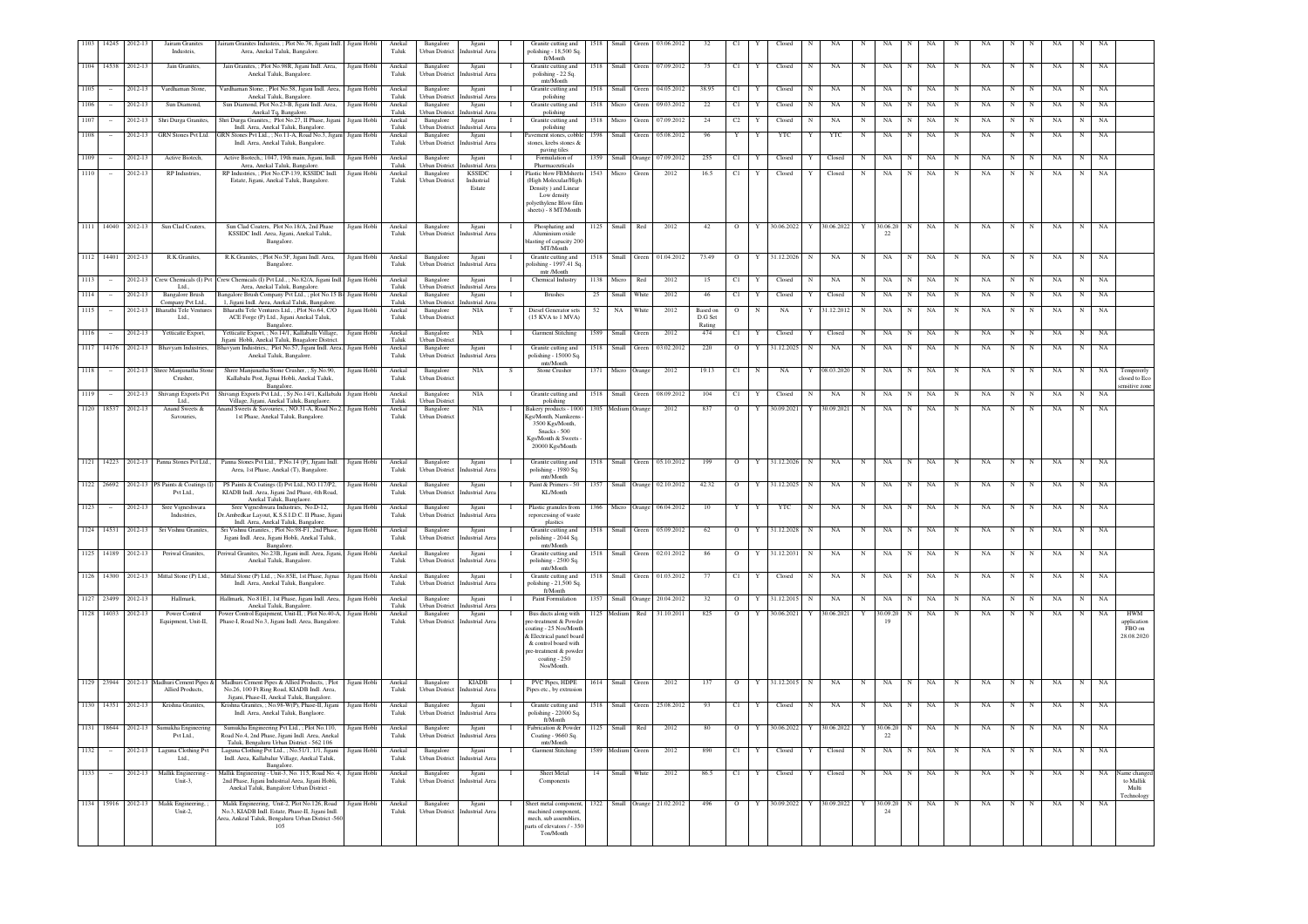| 1103 | 14245      | 2012-13            | <b>Jairam Granite</b><br>Industeis.                | lairam Granites Industeis, ; Plot No.76, Jigani Indl. Jigani Hobli<br>Area, Anekal Taluk, Bangalore,                                         |              | Anekal<br>Taluk             | Bangalor<br><b>Urban District</b>             | Jigani<br>ndustrial Area             | Granite cutting and<br>polishing - 18,500 Sq.<br>ft/Month                | 1518 | Small                | Green        | 03.06.2013              | 32                  | C1             |   | Closed     |   | NA          |   | NA               | NA          |   | NA             |                |   | NA          |   | NA          |                              |
|------|------------|--------------------|----------------------------------------------------|----------------------------------------------------------------------------------------------------------------------------------------------|--------------|-----------------------------|-----------------------------------------------|--------------------------------------|--------------------------------------------------------------------------|------|----------------------|--------------|-------------------------|---------------------|----------------|---|------------|---|-------------|---|------------------|-------------|---|----------------|----------------|---|-------------|---|-------------|------------------------------|
| 1104 | 14538      | 2012-13            | Jain Granites                                      | Jain Granites, ; Plot No.98R, Jigani Indl. Area,<br>Anekal Taluk, Bangalore.                                                                 | Jigani Hobli | Anekal<br>Taluk             | Bangalore<br>Urban Distric                    | Jigani<br>strial A                   | Granite cutting and<br>polishing - 22 Sq.                                | 1518 | Small                | Green        | 07.09.2012              | 75                  | CI             |   | Closed     | N | NA          |   | NA<br>N          | NA          | N | NA             | N              |   | <b>NA</b>   |   | NA          |                              |
| 1105 |            | 2012-13            | Vardhaman Stone                                    | Vardhaman Stone · Plot No 58 Iigani Indl Area                                                                                                | Jigani Hobl  | Anekal                      | <b>Bangalore</b>                              | Jigani                               | mtr/Month<br>Granite cutting and                                         | 1518 | Small                | Green        | 04 05 2012              | 38.95               | C1             |   | Closed     | N | <b>NA</b>   | N | NA.<br>N         | NA.         | N | NA <sup></sup> | N              |   | NA.         |   | NA          |                              |
| 1106 |            | 2012-13            | Sun Diamond,                                       | Anekal Taluk, Bangalore<br>Sun Diamond, Plot No.23-B, Jigani Indl. Area,<br>Anekal Tq, Bangalore.                                            | Jigani Hobl  | Taluk<br>Anekal<br>Taluk    | Jrban District<br>Bangalore<br>Jrban District | dustrial Ar<br>Jigani<br>ustrial Are | polishing<br>Granite cutting and<br>polishing                            | 1518 | Micro                | Greet        | 09.03.2012              | 22                  | C1             |   | Closed     |   | NA          |   | NA               | NA          | N | NA             | N              |   | NA          |   | NA          |                              |
| 1107 |            | 2012-13            | Shri Durga Granites,                               | Shri Durga Granites,; Plot No.27, II Phase, Jigani<br>Indl. Area, Anekal Taluk, Bangalore.                                                   | Jigani Hobli | Anekal<br>Taluk             | Bangalore<br><b>Irhan District</b>            | Jigani<br>dustrial Are               | Granite cutting and<br>polishing                                         | 1518 | Micro                | Greet        | 07.09.2012              | 24                  | C2             |   | Closed     |   | $_{\rm NA}$ |   | $_{\rm NA}$      | NA          | N | NA             | N              |   | $_{\rm NA}$ |   | $_{\rm NA}$ |                              |
| 1108 |            | 2012-13            | GRN Stones Pvt Ltd.                                | GRN Stones Pvt Ltd., ; No.11-A, Road No.3, Jigani Jigani Hobli<br>Indl. Area, Anekal Taluk, Bangalore.                                       |              | Anekal<br>Taluk             | Bangalore<br>Urban District                   | Jigani<br>ndustrial Are              | vement stones, cobbl<br>stones, krebs stones &                           | 1598 | Small                | Green        | 05.08.2012              | 96                  |                |   | YTC        |   | YTC         |   | NA<br>N          | <b>NA</b>   | N | NA             | N              |   | NA          |   | NA          |                              |
| 1109 |            | 2012-13            | Active Biotech,                                    | Active Biotech,; 1047, 19th main, Jigani, Indl.                                                                                              | Jigani Hobl  | Anekal                      | Bangalore                                     | Jigani                               | paving tiles<br>Formulation of                                           | 1359 | Small                | Orang        | 07.09.2012              | 255                 | Cl             |   | Closed     |   | Closed      |   | NA               | NA          | N | NA             | N              |   | NA          |   | NA          |                              |
| 1110 |            | 2012-13            | <b>RP</b> Industries                               | Area, Anekal Taluk, Bangalore<br>RP Industries, ; Plot No.CP-139, KSSIDC Indl.                                                               | Jigani Hobl  | Taluk<br>Anekal             | Jrban District<br>Bangalore                   | strial A<br><b>KSSIDC</b>            | Pharmaceuticals<br>lastic blow FBMshee                                   | 1543 | Micro                | Green        | 2012                    | 16.5                | C1             |   | Closed     |   | Closed      |   | NA               | NA          |   | NA             |                |   | NA          |   | NA          |                              |
|      |            |                    |                                                    | Estate, Jigani, Anekal Taluk, Bangalore.                                                                                                     |              | Taluk                       | <b>Urban District</b>                         | Industrial<br>Estate                 | (High Molecular/High<br>Density ) and Linear                             |      |                      |              |                         |                     |                |   |            |   |             |   |                  |             |   |                |                |   |             |   |             |                              |
|      |            |                    |                                                    |                                                                                                                                              |              |                             |                                               |                                      | Low density<br>olyethylene Blow filn                                     |      |                      |              |                         |                     |                |   |            |   |             |   |                  |             |   |                |                |   |             |   |             |                              |
|      |            | 1111 14040 2012-13 | Sun Clad Coaters                                   | Sun Clad Coaters, Plot No.18/A, 2nd Phase                                                                                                    | Jigani Hobli | Anekal                      | Bangalor                                      |                                      | sheets) - 8 MT/Month                                                     |      | 1125 Small Red       |              | 2012                    | 42                  | $\circ$        |   | 30.06.2022 | Y | 30.06.2022  | Y | N                | NA          |   | NA             | $_{\rm N}$     | N | NA          |   | NA          |                              |
|      |            |                    |                                                    | KSSIDC Indl. Area, Jigani, Anekal Taluk,<br>Bangalore.                                                                                       |              | Taluk                       | Urban District                                | Jigani<br>ndustrial Are              | Phosphating and<br>Aluminium oxide<br>lasting of capacity 200            |      |                      |              |                         |                     |                |   |            |   |             |   | 30.06.20<br>22   |             | N |                |                |   |             |   |             |                              |
|      |            | 1112 14401 2012-13 | R.K.Granites                                       | R.K.Granites, ; Plot No.5F, Jigani Indl. Area,                                                                                               | Jigani Hobl  | Anekal                      | Bangalor                                      | Jigani                               | MT/Month<br>Granite cutting and                                          | 1518 | Small                | Green        | 01.04.2012              | 73.49               | $\circ$        |   | 31.12.2026 | N | $_{\rm NA}$ | N | NA               | NA          |   | $_{\rm NA}$    | N              |   | NA          |   | NA          |                              |
|      |            |                    |                                                    | Bangalore.                                                                                                                                   |              | Taluk                       | Urban Distric                                 | lustrial Ar                          | olishing - 1997.41 Sq<br>mtr /Month                                      |      |                      |              |                         |                     |                |   |            |   |             |   |                  |             |   |                |                |   |             |   |             |                              |
| 1113 |            | 2012-13            | Crew Chemicals (I) P<br>Ltd.                       | Crew Chemicals (I) Pvt Ltd., ; No.82/A, Jigani Indl. Jigani Hobli<br>Area, Anekal Taluk, Bangalore.                                          |              | Anekal<br>${\rm \bf T}aluk$ | Bangalore<br>Jrban District                   | Jigani<br>lustrial Are               | Chemical Industry                                                        | 1138 | <b>Micro</b>         | Red          | 2012                    | 15                  | C1             |   | Closed     |   | NA          |   | NA               | NA          |   | NA             |                |   | NA          |   | NA          |                              |
| 1114 |            | 2012-13            | <b>Bangalore Brush</b><br>Company Pvt Ltd.,        | ngalore Brush Company Pvt Ltd., ; plot No.15 B-<br>1, Jigani Indl. Area, Anekal Taluk, Bangalore.                                            | Jigani Hobl  | Anekal<br>${\rm T}$ aluk    | Bangalore<br>Jrban Distric                    | Jigani<br>ustrial Ar                 | <b>Brushes</b>                                                           | 75   |                      |              | 2012                    | 40                  |                |   | Closed     |   | Closed      |   | NA               | NA          |   | NA             | N              |   | NA          |   | NA          |                              |
| 1115 |            | 2012-13            | <b>Bharathi Tele Ven</b><br>Ltd.,                  | Bharathi Tele Ventures Ltd : Plot No.64, C/O<br>ACE Forge (P) Ltd., Jigani Anekal Taluk,<br>Bangalore.                                       | Jigani Hobli | Anekal<br>Taluk             | Bangalore<br>Urban Distric                    | <b>NIA</b>                           | Diesel Generator sets<br>(15 KVA to 1 MVA)                               | 52   | NA.                  | White        | 2012                    | Based on<br>D.G Set | $\Omega$       |   | NA         | Y | 31 12 2012  |   | NA<br>N          | NA.         | N | NA.            | N              |   | NA.         |   | NA          |                              |
| 1116 |            | 2012-13            | Yetticatte Export,                                 | Yetticatte Export, ; No.14/1, Kallaballi Village,<br>Jigani Hobli, Anekal Taluk, Bnagalore District.                                         | Jigani Hobl  | Anekal<br>Taluk             | Bangalore<br>Jrban Distric                    | <b>NIA</b>                           | <b>Garment Stitching</b>                                                 | 1589 | Small                | Greet        | 2012                    | Rating<br>474       |                |   | Closed     |   | Closed      |   | NA               | $_{\rm NA}$ |   | NA             | N              |   | NA          |   | NA          |                              |
| 1117 | 14176      | 2012-13            | Bhavyam Industries,                                | Bhavyam Industries,; Plot No.57, Jigani Indl. Area, Jigani Hobli<br>Anekal Taluk, Bangalore.                                                 |              | Anekal<br>Taluk             | Bangalor<br>Urban District                    | Jigani<br>ustrial Ar                 | Granite cutting and<br>polishing - 15000 Sq.                             | 1518 | Small                | Greet        | 03.02.2012              | 220                 | $\circ$        |   | 31.12.2025 | N | $_{\rm NA}$ |   | $_{\rm NA}$      | NA          | N | NA             | $_{\rm N}$     |   | NA          |   | $_{\rm NA}$ |                              |
| 1118 |            |                    | 2012-13 Shree Maniunatha Stone                     | Shree Maniunatha Stone Crusher.: Sv.No.90.                                                                                                   | Jigani Hobli | Anekal                      | Bangalore                                     | <b>NIA</b>                           | mtr/Month<br>Stone Crusher                                               | 1371 | Micro Orang          |              | 2012                    | 19.13               | C1             | N | NA         | Y | 08.03.2020  |   | NA<br>N          | <b>NA</b>   | N | NA             | N              |   | <b>NA</b>   |   | NA          | Tempererly                   |
| 1119 |            | 2012-13            | Crusher,<br>Shivangi Exports Pvt                   | Kallabalu Post, Jignai Hobli, Anekal Taluk,<br>Bangalore.<br>Shivangi Exports Pvt Ltd., ; Sy.No.14/1, Kallabalu                              | Jigani Hobl  | ${\rm \bf T}aluk$<br>Anekal | Urban Distric<br>Bangalore                    | $_{\rm NIA}$                         | Granite cutting and                                                      | 1518 | Small                | Green        | 08.09.2012              | 104                 | C1             |   | Closed     |   | $_{\rm NA}$ |   | $_{\rm NA}$      | $_{\rm NA}$ |   | NA             | N              |   | NA          |   | NA          | closed to Eco<br>nsitive zon |
| 1120 | 18537      | 2012-13            | ht.I<br>Anand Sweets &                             | Village, Jigani, Anekal Taluk, Banglaore.<br>nand Sweets & Savouries, ; NO.31-A, Road No.2, Jigani Hobl                                      |              | Taluk<br>Anekal             | <b>Irhan District</b><br>Bangalore            | <b>NIA</b>                           | polishing<br>Bakery products - 1000                                      | 1305 |                      | Oran         | 2012                    | 837                 | $\circ$        |   | 30.09.2021 | Y | 30.09.2021  |   | NA<br>N          | NA          |   | NA             | N              |   | <b>NA</b>   |   | NA          |                              |
|      |            |                    | Savouries,                                         | 1st Phase, Anekal Taluk, Bangalore.                                                                                                          |              | Taluk                       | Urban District                                |                                      | <i>sgs/Month</i> , Namkeens<br>3500 Kgs/Month,                           |      |                      |              |                         |                     |                |   |            |   |             |   |                  |             |   |                |                |   |             |   |             |                              |
|      |            |                    |                                                    |                                                                                                                                              |              |                             |                                               |                                      | Snacks - 500<br>Kgs/Month & Sweets                                       |      |                      |              |                         |                     |                |   |            |   |             |   |                  |             |   |                |                |   |             |   |             |                              |
|      |            |                    |                                                    |                                                                                                                                              |              |                             |                                               |                                      | 20000 Kgs/Month                                                          |      |                      |              |                         |                     |                |   |            |   |             |   |                  |             |   |                |                |   |             |   |             |                              |
|      |            |                    | 1121 14223 2012-13 Panna Stones Pvt Ltd.,          | Panna Stones Pvt Ltd., P.No.14 (P), Jigani Indl.<br>Area, 1st Phase, Anekal (T), Bangalore.                                                  | Jigani Hobli | Anekal<br>Taluk             | Bangalore<br><b>Irban Distric</b>             | Jigani<br>trial Are                  | Granite cutting and<br>polishing - 1980 Sq.<br>mtr/Month                 |      | 1518 Small Green     |              | 05.10.2012              | 199                 | $\circ$        |   | 31.12.2026 | N | <b>NA</b>   |   | NA<br>N          | NA          | N | NA             | $_{\rm N}$     | N | NA          |   | NA          |                              |
|      | 1122 26692 |                    | 2012-13 PS Paints & Coatings<br>Pvt Ltd            | PS Paints & Coatings (I) Pvt Ltd., NO.117/P2,<br>KIADB Indl. Area, Jigani 2nd Phase, 4th Road,                                               | Jigani Hobli | Anekal<br>Taluk             | Bangalor<br>Urban District                    | Jigani<br>dustrial Are               | Paint & Primers - 50<br>KL/Month                                         | 1357 |                      | Small Orange | 02.10.2012              | 42.32               | $\overline{O}$ |   | 31.12.2025 | N | $_{\rm NA}$ | N | $_{\rm NA}$      | $_{\rm NA}$ |   | $_{\rm NA}$    | N              |   | NA          |   | $_{\rm NA}$ |                              |
| 1123 |            | 2012-13            | Sree Vigneshwara                                   | Anekal Taluk, Banglaore.<br>Sree Vigneshwara Industries, No.D-12,                                                                            | Jigani Hobl  | Anekal                      | Bangalore                                     | Jigani                               | Plastic granules from                                                    | 1366 |                      | Micro Orange | 06.04.2012              | 10                  |                |   | <b>YTC</b> | N | NA          | N | NA               | NA          | N | NA             | N              |   | NA          |   | NA          |                              |
|      |            |                    | Industries,                                        | Dr.Ambedkar Layout, K.S.S.I.D.C. II Phase, Jigar<br>Indl. Area, Anekal Taluk, Bangalore.                                                     |              | Taluk                       | Jrban Distric                                 | strial Ar                            | reporcessing of waste<br>plastics                                        |      |                      |              |                         |                     |                |   |            |   |             |   |                  |             |   |                |                |   |             |   |             |                              |
|      | 1124 14531 | 2012-13            | Sri Vishnu Granites.                               | Sri Vishnu Granites. : Plot No.98-F1. 2nd Phase.<br>Jigani Indl. Area, Jigani Hobli, Anekal Taluk,<br>Bangalore.                             | Jigani Hobli | Anekal<br>Taluk             | Bangalore<br><b>Irhan District</b>            | Jigani<br>lustrial Are               | Granite cutting and<br>polishing - 2044 Sq.<br>mtr/Month                 | 1518 | Small                | Green        | 05.09.2012              | 62                  | $\circ$        |   | 31.12.2028 | N | NA          | N | NA<br>N          | NA          | N | NA             | $_{\rm N}$     | N | NA          | N | NA          |                              |
| 1125 | 14189      | 2012-13            | Periwal Granites,                                  | Periwal Granites, No.23B, Jigani indl. Area, Jigani, Jigani Hobli<br>Anekal Taluk, Bangalore.                                                |              | Anekal<br>Taluk             | Bangalore<br>Jrban Distric                    | Jigani<br>ustrial Are                | Granite cutting and<br>polishing - 2500 Sq.                              | 1518 | Small                | Green        | 02.01.2012              | $86\,$              | $\circ$        |   | 31.12.2031 | N | $_{\rm NA}$ |   | $_{\rm NA}$<br>N | NA          |   | NA             | $_{\rm N}$     |   | NA          |   | NA          |                              |
| 1126 |            | 14300 2012-13      | Mittal Stone (P) Ltd.,                             | Mittal Stone (P) Ltd., ; No.85E, 1st Phase, Jignai                                                                                           | Jigani Hobli | Anekal                      | Bangalore                                     | Jigani                               | mtr/Month<br>Granite cutting and                                         | 1518 | Small                | Green        | 01.03.2012              | 77                  | C1             |   | Closed     | N | NA          |   | NA<br>N          | NA          | N | NA             | N              |   | NA          |   | NA          |                              |
|      |            |                    |                                                    | Indl. Area, Anekal Taluk, Bangalore.                                                                                                         |              | Taluk                       | Urban District                                | ndustrial Are                        | polishing - 21,500 Sq<br>$\mathrm{ft/Month}$                             |      |                      |              |                         |                     |                |   |            |   |             |   |                  |             |   |                |                |   |             |   |             |                              |
| 1127 | 23499      | 2012-13            | Hallmark                                           | Hallmark. No.81E1, 1st Phase, Jigani Indl. Area.<br>Anekal Taluk, Bangalore                                                                  | Jigani Hobli | Anekal<br>Taluk             | Bangalore<br>Jrban District                   | Jigani<br>strial Ar                  | Paint Formulation                                                        | 1357 | Small                | Orans        | 20.04.2012              | 32                  | $\,$ O         |   | 31.12.2015 | N | $_{\rm NA}$ |   | $_{\rm NA}$      | $_{\rm NA}$ | N | $_{\rm NA}$    | N              |   | $_{\rm NA}$ |   | NA          |                              |
|      | 1128 14033 | 2012-13            | Power Control<br>Equipment, Unit-II,               | Power Control Equipment, Unit-II, ; Plot No.40-A,<br>Phase-I, Road No.3, Jigani Indl. Area, Bangalore                                        | Jigani Hobl  | Anekal<br>Taluk             | Bangalor<br><b>Irhan District</b>             | Jigani<br>ndustrial Are              | Bus ducts along with<br>pre-treatment & Powder                           | 1125 | Medir                | Red          | 31.10.2011              | 825                 |                |   | 30.06.2021 |   | 0.06.202    |   | 0.09.2<br>19     | NA          |   | NA             |                |   |             |   |             | application                  |
|      |            |                    |                                                    |                                                                                                                                              |              |                             |                                               |                                      | coating - 25 Nos/Mont<br>& Electrical panel boar<br>& control board with |      |                      |              |                         |                     |                |   |            |   |             |   |                  |             |   |                |                |   |             |   |             | FBO on<br>28.08.2020         |
|      |            |                    |                                                    |                                                                                                                                              |              |                             |                                               |                                      | ore-treatment & powde<br>coating - 250                                   |      |                      |              |                         |                     |                |   |            |   |             |   |                  |             |   |                |                |   |             |   |             |                              |
|      |            |                    |                                                    |                                                                                                                                              |              |                             |                                               |                                      | Nos/Month.                                                               |      |                      |              |                         |                     |                |   |            |   |             |   |                  |             |   |                |                |   |             |   |             |                              |
| 1129 | 23944      |                    | 2012-13 Madhuri Cement Pipes &<br>Allied Products, | Madhuri Cement Pipes & Allied Products, ; Plot<br>No.26, 100 Ft Ring Road, KIADB Indl. Area,                                                 | Jigani Hobli | Anekal<br>Taluk             | Bangalore<br>Jrban Distric                    | KIADB<br>dustrial Are                | PVC Pipes, HDPE<br>Pipes etc., by extrusio                               |      | 1614   Small   Green |              | 2012                    | 137                 | $\circ$        |   | 31.12.2015 |   | NA          |   | NA<br>N          | NA          |   | - NA           |                |   | <b>NA</b>   |   | NA          |                              |
|      | 1130 14351 | 2012-13            | Krishna Granites                                   | Jigani, Phase-II, Anekal Taluk, Bangalore.<br>Krishna Granites, ; No.98-W(P), Phase-II, Jigani                                               | Jigani Hobli | Anekal                      | Bangalor                                      | Jigani                               | Granite cutting and                                                      |      |                      |              | 25.08.2012              |                     |                |   | Closed     |   | NA          |   | NA               | NA          |   | NA             |                |   | NA          |   |             |                              |
|      |            |                    |                                                    | Indl. Area, Anekal Taluk, Banglaore.                                                                                                         |              | Taluk                       | <b>Irhan District</b>                         | ndustrial Are                        | polishing - 22000 Sq.<br>ft/Month                                        |      |                      |              |                         |                     |                |   |            |   |             |   |                  |             |   |                |                |   |             |   |             |                              |
| 1131 | 18644      | 2012-13            | Sumukha Engineering<br>Pvt Ltd.                    | Sumukha Engineering Pvt Ltd., ; Plot No.110,<br>Road No.4, 2nd Phase, Jigani Indl. Area, Anekal<br>Taluk, Bengaluru Urban District - 562 106 | Jigani Hobl  | Anekal<br>Taluk             | Bangalore<br>Jrban Distri                     | Jigani<br>.<br>rial A                | Fabrication & Powder<br>Coating - 9660 Sq.<br>mtr/Month                  | 1125 | Small                | Red          | 2012                    | 80                  |                |   | 30.06.2022 |   | 0.06.2022   |   | 0.06.2<br>$22\,$ | NA          |   | NA             | Ν              |   | NA          |   | NA          |                              |
| 1132 |            | 2012-13            | Laguna Clothing Pv<br>Ltd.                         | Laguna Clothing Pvt Ltd: No.51/1, 1/1. Jigani<br>Indl. Area, Kallabalur Village, Anekal Taluk,                                               | Jigani Hobli | Anekal<br>Taluk             | <b>Bangalore</b><br>Jrban District            | Jigani<br>ustrial Are                | <b>Garment Stitching</b>                                                 |      | 1589 Medium Green    |              | 2012                    | 890                 | Cl             |   | Closed     | Y | Closed      |   | NA<br>N          | <b>NA</b>   | N | <b>NA</b>      | N              | N | <b>NA</b>   |   | NA          |                              |
| 1133 |            | 2012-13            | Mallik Engineering                                 | Bangalore.<br>fallik Engineering - Unit-3, No. 115, Road No. 4                                                                               | Jigani Hob   | Aneka                       | Bangalore                                     | Jigani                               | Sheet Meta                                                               | 14   | Small                |              | 2012                    | 86.5                | CI             |   | Closed     | Y | Closed      |   | NA               | NA          |   | NA             | $\overline{N}$ |   | NA          |   |             | ame chans                    |
|      |            |                    | Unit-3                                             | 2nd Phase, Jigani Industrial Area, Jigani Hobli,<br>Anekal Taluk, Bangalore Urban District -                                                 |              | Taluk                       | Jrban Distric                                 | trial Are                            | Components                                                               |      |                      |              |                         |                     |                |   |            |   |             |   |                  |             |   |                |                |   |             |   |             | to Mallik<br>Multi           |
| 1134 | 15916      | 2012-13            | Malik Engineering.                                 | Malik Engineering, Unit-2, Plot No.126, Road                                                                                                 | Jigani Hobl  | Anekal                      | Bangalore                                     | Jigani                               | Sheet metal component.                                                   | 1322 |                      |              | Small Orange 21.02.2012 | 496                 | $\circ$        |   | 30.09.2022 |   | 30.09.2022  |   | 60.09.2<br>24    | NA          |   | NA             |                |   | NA          |   | NA          | Technology                   |
|      |            |                    | Unit-2.                                            | No.3, KIADB Indl. Estate, Phase-II, Jigani Indl.<br>Area, Ankeal Taluk, Bengaluru Urban District -560<br>105                                 |              | Taluk                       | Urban Distric                                 | ustrial Ar                           | machined component<br>mech, sub assemblies<br>arts of elevators / - 35   |      |                      |              |                         |                     |                |   |            |   |             |   |                  |             |   |                |                |   |             |   |             |                              |
|      |            |                    |                                                    |                                                                                                                                              |              |                             |                                               |                                      | Ton/Month                                                                |      |                      |              |                         |                     |                |   |            |   |             |   |                  |             |   |                |                |   |             |   |             |                              |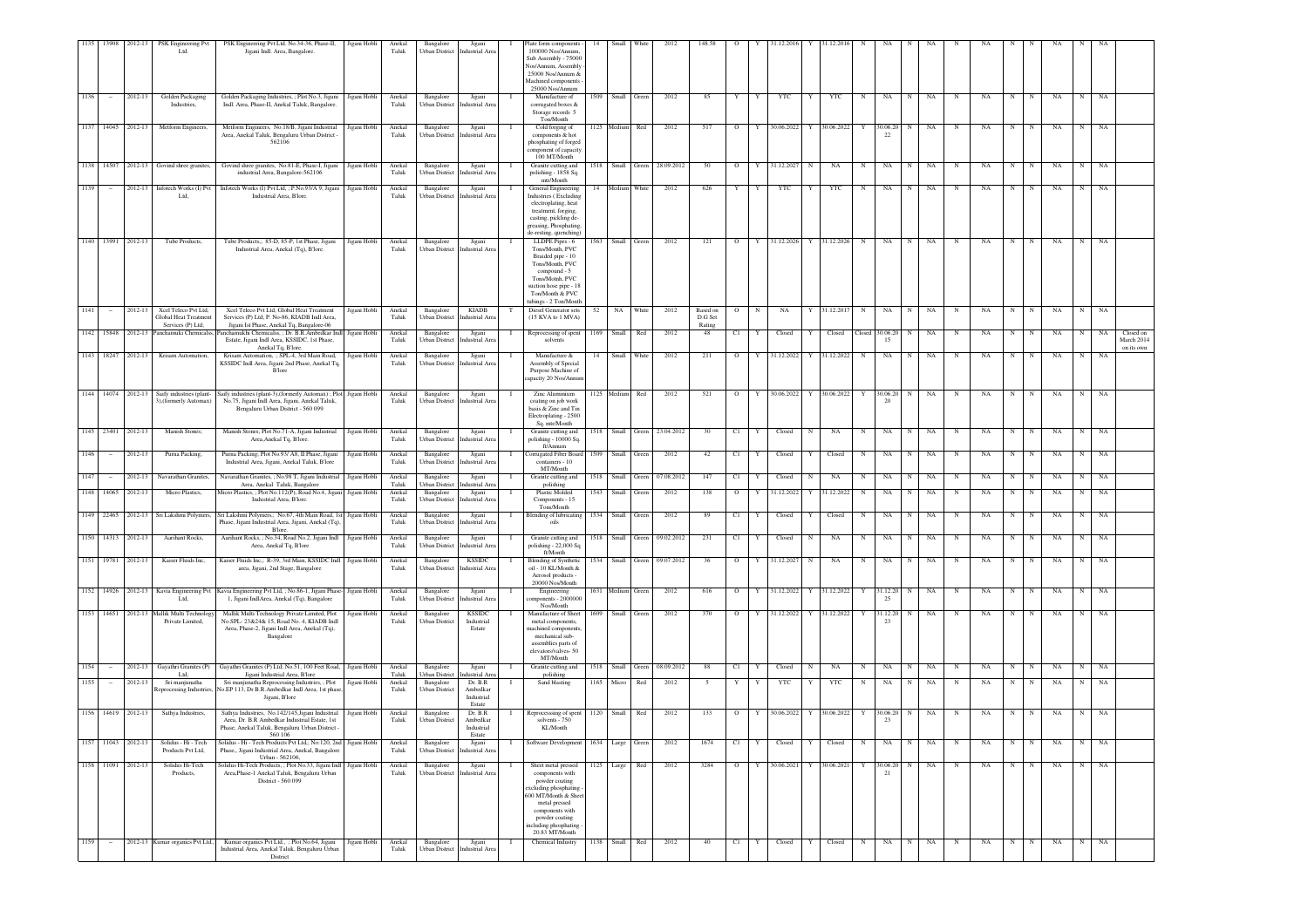| 1135 |        | 13908 2012-13      | PSK Engineering Pv<br>Ltd.                                           | PSK Engineering Pvt Ltd. No.34-36, Phase-II,<br>Jigani Indl. Area, Bangalore.                                                                                                  | Jigani Hobli | Anekal<br>Taluk          | Bangalore<br><b>Urban District</b>                          | Jigani<br>ndustrial Area                           | Plate form components<br>100000 Nos/Annum<br>Sub Assembly - 75000<br>Nos/Annum, Assembly<br>25000 Nos/Annum &<br>Machined components                                                | 14         | Small<br>White    | 2012       | 148.58                     | $\circ$ |   | 31.12.2016   |   | 31.12.2016             |            | NA             |             |             |             |     |   |             |    |                  |                                       |
|------|--------|--------------------|----------------------------------------------------------------------|--------------------------------------------------------------------------------------------------------------------------------------------------------------------------------|--------------|--------------------------|-------------------------------------------------------------|----------------------------------------------------|-------------------------------------------------------------------------------------------------------------------------------------------------------------------------------------|------------|-------------------|------------|----------------------------|---------|---|--------------|---|------------------------|------------|----------------|-------------|-------------|-------------|-----|---|-------------|----|------------------|---------------------------------------|
| 1136 | $\sim$ | 2012-13            | Golden Packaging<br>Industries.                                      | Golden Packaging Industries, ; Plot No.3, Jigani<br>Indl. Area, Phase-II, Anekal Taluk, Bangalore.                                                                             | Jigani Hobli | Anckal<br>Taluk          | Bangalore<br><b>Urban District</b>                          | Jigani<br>ndustrial Are                            | 25000 Nos/Annum<br>Manufacture of<br>corrugated boxes &<br>Storage records 5<br>Ton/Month                                                                                           | 1509       | Small Green       | 2012       | 85                         | Y       |   | YTC          |   | YTC                    | $_{\rm N}$ | NA             | N           | NA          | $\mathbf N$ | NA  | N | $_{\rm N}$  | NA | NA<br>N          |                                       |
|      |        |                    | 1137 14045 2012-13 Metform Engineers,                                | Metform Engineers, No.18/B, Jigani Industrial<br>Area, Anekal Taluk, Bengaluru Urban District -<br>562106                                                                      | Jigani Hobli | Anekal<br>Taluk          | Bangalore<br><b>Urban District</b>                          | Jigani<br>ndustrial Are                            | Cold forging of<br>components & hot<br>phosphating of forged<br>component of capacity<br>100 MT/Month                                                                               |            | 1125 Medium Red   | 2012       | 517                        | $\circ$ | Y | 30.06.2022   |   | Y 30.06.2022 Y         |            | 30.06.20<br>22 | N           | NA          | $_{\rm N}$  | NA  | N | $_{\rm N}$  | NA | NA<br>N          |                                       |
|      |        |                    | 1138 14507 2012-13 Govind shree granites,                            | Govind shree granites, No.81-E, Phase-I, Jigani<br>industrial Area, Bangalore-562106                                                                                           | Jigani Hobli | Anekal<br>Taluk          | Bangalore<br>Urban District                                 | Jigani<br>ndustrial Are                            | Granite cutting and<br>polishing - 1858 Sq.                                                                                                                                         |            | 1518 Small Green  | 28.09.2012 | 50                         | $\circ$ |   | 31.12.2027   |   | NA                     | N          | NA             | N           | NA          | N           | NA  | N | N           | NA | NA<br>N          |                                       |
| 1139 |        |                    | 2012-13 Infotech Works (I) Pvt<br>Ltd.                               | Infotech Works (I) Pvt Ltd, ; P.No.93/A 9, Jigani   Jigani Hobli<br>Industrial Area, B'lore.                                                                                   |              | Anekal<br>Taluk          | Bangalore<br><b>Urban District</b>                          | Jigani<br>ndustrial Area                           | mtr/Month<br>General Engineering<br>Industries (Excluding                                                                                                                           |            | Medium White      | 2012       | 626                        |         |   | YTC          |   | YTC                    |            | NA             |             | NA          |             | NA  |   |             | NA |                  |                                       |
|      |        |                    |                                                                      |                                                                                                                                                                                |              |                          |                                                             |                                                    | electroplating, heat<br>treatment, forging.<br>casting, pickling de-<br>greasing, Phosphating<br>de-resting, quenching)                                                             |            |                   |            |                            |         |   |              |   |                        |            |                |             |             |             |     |   |             |    |                  |                                       |
|      |        | 1140 13991 2012-13 | Tube Products,                                                       | Tube Products,; 85-D, 85-P, 1st Phase, Jigani<br>Industrial Area, Anekal (Tq), B'lore.                                                                                         | Jigani Hobli | Anckal<br>Taluk          | Bangalore<br><b>Urban District</b>                          | Jigani<br>ndustrial Are                            | LLDPE Pipes - 6<br>Tons/Month, PVC<br>Braided pipe - 10<br>Tons/Month, PVC<br>compound - 5<br>Tons/Motnh, PVC<br>suction hose pipe - 18<br>Ton/Month & PVC<br>tubings - 2 Ton/Month |            | 1563 Small Green  | 2012       | 121                        | $\circ$ |   | Y 31.12.2026 |   | Y 31.12.2026 N         |            | NA             | $\mathbf N$ | NA .        | $\mathbf N$ | NA  | N | N           | NA | $N$ $NA$         |                                       |
| 1141 |        |                    | 2012-13 Xcel Teleco Pvt Ltd,<br>Global Heat Treatment                | Xcel Teleco Pvt Ltd, Global Heat Treatment<br>Services (P) Ltd; P. No-86, KIADB Indl Area,                                                                                     | Jigani Hobli | Anekal<br>Taluk          | Bangalore<br>Urban District                                 | <b>KIADB</b><br>ndustrial Area                     | Diesel Generator sets<br>(15 KVA to 1 MVA)                                                                                                                                          | 52         | NA<br>White       | 2012       | <b>Based</b> on<br>D.G Set |         |   | NA           |   | 31.12.2017             | N          | NA             |             | NA          |             | NA  | N |             | NA | NA               |                                       |
|      |        |                    | Services (P) Ltd:<br>1142 15848 2012-13 Panchamuki Chemicalss        | Jigani Ist Phase, Anekal Tq, Bangalore-06<br>anchamukhi Chemicalss, ; Dr. B.R.Ambedkar Indl Jigani Hobli<br>Estate, Jigani Indl Area, KSSIDC, 1st Phase,<br>Anekal Tq, B'lore. |              | Anekal<br>Taluk          | Bangalore<br><b>Urban District</b>                          | Jigani<br>ndustrial Are                            | Reprocessing of spent<br>solvents                                                                                                                                                   |            | 1169 Small Red    | 2012       | Rating<br>48               | C1      |   | Closed       |   | Closed Closed 30.06.20 |            | 15             |             | NA          | N           | NA  | N | $_{\rm N}$  | NA | NA<br>N          | Closed on<br>March 2014<br>on its own |
|      |        |                    | 1143 18247 2012-13 Krisam Automation,                                | Krisam Automation. .: SPL-4. 3rd Main Road.<br>KSSIDC Indl Area, Jigani 2nd Phase, Anekal Tq,<br><b>B</b> lore                                                                 | Jigani Hobli | Anckal<br>Taluk          | Bangalore<br><b>Urban District</b>                          | Jigani<br>ndustrial Are                            | Manufacture &<br>Assembly of Special<br>Purpose Machine of<br>apacity 20 Nos/Annu                                                                                                   | 14         | Small White       | 2012       | 211                        | $\circ$ |   | 31.12.2022   |   | 31.12.2022             | N          | NA             |             | NA          | N           | NA  | N | N           | NA | NA<br>N          |                                       |
|      |        |                    | 1144 14074 2012-13 Saify industries (plant-<br>3),(formerly Automax) | Saify industries (plant-3), (formerly Automax) ; Plot Jigani Hobli<br>No.75, Jigani Indl Area, Jigani, Anekal Taluk,<br>Bengaluru Urban District - 560 099                     |              | Anekal<br>Taluk          | Bangalore<br><b>Urban District</b>                          | Jigani<br>ndustrial Area                           | Zinc Aluminium<br>coating on job work<br>basis & Zinc and Tin<br>Electroplating - 2500<br>Sq. mtr/Month                                                                             |            | 1125 Medium Red   | 2012       | 521                        | $\circ$ | Y | 30.06.2022   |   | 30.06.2022             |            | 30.06.20<br>20 |             | NA          |             | NA  |   |             | NA | NA               |                                       |
| 1145 | 23401  | 2012-13            | Manish Stones;                                                       | Manish Stones; Plot No.71-A, Jigani Industrial<br>Area, Anekal Tq, B'lore.                                                                                                     | Jigani Hobli | Anekal<br>Taluk          | Bangalore<br><b>Urban District</b>                          | Jigani<br>ndustrial Are                            | Granite cutting and<br>polishing - 10000 Sq                                                                                                                                         | 1518       | Small<br>Green    | 23.04.2012 | 30                         | C1      |   | Closed       |   | NA                     | N          | NA             |             | NA          |             | NA  | N |             | NA | NA               |                                       |
| 1146 |        | 2012-13            | Purna Packing,                                                       | Purna Packing; Plot No.93/ A8, II Phase, Jigani<br>Industrial Area, Jigani, Anekal Taluk, B'lore                                                                               | Jigani Hobli | Anekal<br>Taluk          | Bangalore<br>Urban District                                 | Jigani<br>ndustrial Are                            | ft/Annum<br>Corrugated Fiber Board<br>containers - 10                                                                                                                               |            | 1509 Small Green  | 2012       | 42                         | C1      |   | Closed       |   | Closed                 | N          | NA             | N           | NA          | N           | NA  | N |             | NA | N<br>NA          |                                       |
| 1147 |        | 2012-13            | Navarathan Granites,                                                 | Navarathan Granites, ; No.98 T, Jigani Industrial<br>Area, Anekal Taluk, Bangalore                                                                                             | Jigani Hobli | Anekal<br>Taluk          | Bangalore<br><b>Urban District</b>                          | Jigani<br>dustrial Area                            | MT/Month<br>Granite cutting and<br>polishing                                                                                                                                        |            | 1518 Small Green  | 07.08.2012 | 147                        | C1      |   | Closed       |   | NA                     |            | NA             |             | NA          |             | NA  | N |             | NA | NA               |                                       |
| 1148 | 14065  | 2012-13            | Micro Plastics,                                                      | Micro Plastics, ; Plot No.112(P), Road No.4, Jigani<br>Industrial Area, B'lore.                                                                                                | Jigani Hobli | Anekal<br>Taluk          | Bangalore<br><b>Urban District</b>                          | Jigani<br>ndustrial Are                            | Plastic Molded<br>Components - 15                                                                                                                                                   | 1543       | Small<br>Greet    | 2012       | 138                        | $\circ$ |   | 1.12.2022    |   | 31.12.2022             | N          | NA             |             | NA          | N           | NA  | N | N           | NA | NA<br>N          |                                       |
| 1149 |        |                    | 22465 2012-13 Sri Lakshmi Polymers,                                  | Sri Lakshmi Polymers,; No.67, 4th Main Road, 1st<br>Phase, Jigani Industrial Area, Jigani, Anekal (Tq),<br>B'lore.                                                             | Jigani Hobli | Anekal<br>Taluk          | Bangalore<br><b>Urban District</b>                          | Jigani<br>ndustrial Area                           | Tons/Month<br><b>Blending of lubricating</b><br>oils                                                                                                                                | 1534       | Small<br>Greet    | 2012       | 89                         | C1      |   | Closed       |   | Closed                 | N          | $_{\rm NA}$    | N           | $_{\rm NA}$ | N           | NA  | N | N           | NA | $_{\rm NA}$<br>N |                                       |
|      |        | 1150 14313 2012-13 | Aarihant Rocks,                                                      | Aarihant Rocks, ; No.34, Road No.2, Jigani Indl Jigani Hobli<br>Area, Anekal Tq, B'lore                                                                                        |              | Anekal<br>Taluk          | Bangalore<br><b>Urban District</b>                          | Jigani<br>ndustrial Are                            | Granite cutting and<br>polishing - 22,000 Sc<br>ft/Month                                                                                                                            |            | 1518 Small Green  | 09.02.2012 | 231                        | C1      | Y | Closed       | N | NA                     | N          | NA             | N           | NA          | N           | NA  | N | $_{\rm N}$  | NA | N<br>NA          |                                       |
|      |        | 1151 19781 2012-13 | Kaiser Fluids Inc                                                    | Kaiser Fluids Inc,; R-39, 3rd Main, KSSIDC Indl Jigani Hobli<br>area, Jigani, 2nd Stage, Bangalore                                                                             |              | Anckal<br>Taluk          | Bangalore<br><b>Urban District</b>                          | <b>KSSIDC</b><br>ndustrial Are                     | <b>Blending of Synthetic</b><br>oil - 10 KL/Month &<br>Aerosol products<br>20000 Nos/Month                                                                                          |            | 1534 Small Green  | 09.07.2012 | 36                         | $\circ$ |   | 31.12.2027   |   | NA                     | N          | NA             |             | NA          | N           | NA  | N | N           | NA | NA<br>N          |                                       |
|      |        |                    | Ltd.                                                                 | 1152   14926   2012-13   Kavia Engineering Pvt   Kavia Engineering Pvt Ltd, ; No.86-1, Jigani Phase- Jigani Hobli<br>1, Jigani IndlArea, Anekal (Tq), Bangalore                |              | Anckal<br>Taluk          | Bangalore<br>Urban Distric                                  | Jigani<br>dustrial Are                             | Engineering<br>omponents - 200000                                                                                                                                                   |            | 1631 Medium Green | 2012       | 616                        | $\circ$ |   | 31.12.2022   | Y | 31.12.2022 Y           |            | 31.12.20<br>25 | N           | NA          | N           | NA  | N | N           | NA | NA<br>N          |                                       |
|      |        |                    | 1153 14651 2012-13 Mallik Multi Technology<br>Private Limited,       | Mallik Multi Technology Private Limited, Plot<br>No.SPL-23&24& 15, Road No. 4, KIADB Indl<br>Area, Phase-2, Jigani Indl Area, Anekal (Tq),<br>Bangalore                        | Jigani Hobli | Anekal<br>Taluk          | Bangalore<br><b>Urban District</b>                          | <b>KSSIDC</b><br>Industrial<br>Estate              | Nos/Month<br>Manufacture of Sheet<br>metal components,<br>machined components<br>mechanical sub-<br>assemblies parts of<br>elevators/valves-50                                      | 1609       | Small<br>Green    | 2012       | 370                        | $\circ$ | Y | 31.12.2022   | Y | 31.12.2022             | Y          | 31.12.20<br>23 | N           | NA          | $_{\rm N}$  | NA. | N | $\mathbf N$ | NA | NA<br>N          |                                       |
| 1154 | $\sim$ | 2012-13            | Gayathri Granites (P)                                                | Gayathri Granites (P) Ltd; No.51, 100 Feet Road, Jigani Hobli                                                                                                                  |              | Anekal                   | Bangalore                                                   | Jigani                                             | MT/Month<br>Granite cutting and                                                                                                                                                     |            | 1518 Small Green  | 08.09.2012 | 88                         | Cl      |   | Closed       |   | NA                     | N          | NA             | N           | NA          | N           | NA  | N | $\mathbf N$ | NA | NA<br>N          |                                       |
| 1155 |        | 2012-13            | Ltd:<br>Sri manjunatha<br>Reprocessing Industries                    | Jigani Industrial Area, B'lore<br>Sri manjunatha Reprocessing Industries, ; Plot<br>No.EP 113, Dr B.R.Ambedkar Indl Area, 1st phase<br>Jigani, B'lore                          | Jigani Hobli | Taluk<br>Anekal<br>Taluk | <b>Urban District</b><br>Bangalore<br><b>Urban District</b> | ndustrial Are<br>Dr. B.R<br>Ambedkar<br>Industrial | polishing<br>Sand blasting                                                                                                                                                          |            | 1165 Micro<br>Red | 2012       |                            |         | Y | YTC          |   | YTC                    | N          | NA             | N           | NA          | N           | NA  | N | N           | NA | NA               |                                       |
|      |        | 1156 14619 2012-13 | Sathya Industries,                                                   | Sathya Industries, No.142/145, Jigani Industrial<br>Area, Dr. B.R Ambedkar Industrial Estate, 1st<br>Phase, Anekal Taluk, Bengaluru Urban District -                           | Jigani Hobli | Anekal<br>Taluk          | Bangalore<br><b>Urban District</b>                          | Estate<br>Dr. B.R<br>Ambedkar<br>Industrial        | Reprocessing of spent<br>solvents - 750<br>KL/Month                                                                                                                                 |            | 1120 Small<br>Red | 2012       | 133                        | $\circ$ |   | 30.06.2022   | Y | 30.06.2022             | Y          | 30.06.20<br>23 | N           | NA          | N           | NA  | N | N           | NA | $_{\rm NA}$<br>N |                                       |
|      |        | 1157 11043 2012-13 | Solidus - Hi - Tech<br>Products Pvt Ltd,                             | 560 106<br>Solidus - Hi - Tech Products Pvt Ltd,; No:120, 2nd<br>Phase,, Jigani Industrial Area, Anekal, Bangalore                                                             | Jigani Hobli | Anekal<br>Taluk          | Bangalore<br><b>Urban District</b>                          | Estate<br>Jigani<br><b>Industrial Area</b>         | Software Development 1634 Large                                                                                                                                                     |            | Green             | 2012       | 1674                       | C1      |   | Closed       |   | Closed                 | N          | NA             |             | NA          | N           | NA  | N |             | NA | NA               |                                       |
| 1158 |        | 11091 2012-13      | Solidus Hi-Tech<br>Products,                                         | Urban - 562106,<br>Solidus Hi-Tech Products, ; Plot No.33, Jigani Indl<br>Area, Phase-1 Anekal Taluk, Bengaluru Urban<br>District - 560 099                                    | Jigani Hobli | Anckal<br>Taluk          | Bangalore<br><b>Urban District</b>                          | Jigani<br><b>Industrial Area</b>                   | Sheet metal pressed<br>components with<br>powder coating<br>excluding phosphating<br>600 MT/Month & Sheet<br>metal pressed                                                          | 1125 Large | Red               | 2012       | 3284                       | $\circ$ |   | 30.06.2021   |   | 30.06.2021             |            | 30.06.20<br>21 |             | NA          |             | NA  | N |             | NA | <b>NA</b>        |                                       |
|      |        |                    |                                                                      |                                                                                                                                                                                |              |                          |                                                             |                                                    | components with<br>powder coating<br>ncluding phosphating<br>20.83 MT/Month                                                                                                         |            |                   |            |                            |         |   |              |   |                        |            |                |             |             |             |     |   |             |    |                  |                                       |
| 1159 | $\sim$ |                    | 2012-13 Kumar organics Pvt Ltd.,                                     | Kumar organics Pvt Ltd., : Plot No.64, Jigani<br>Industrial Area, Anekal Taluk, Bengaluru Urban<br>District                                                                    | Jigani Hobli | Anckal<br>Taluk          | Bangalore<br><b>Urban District</b>                          | Jigani<br>ndustrial Are                            | Chemical Industry                                                                                                                                                                   | 1138       | Small<br>Red      | 2012       | 40                         | C1      | Y | Closed       | Y | Closed                 | N          | NA             | N           | NA          | N           | NA  | N | N           | NA | NA<br>N          |                                       |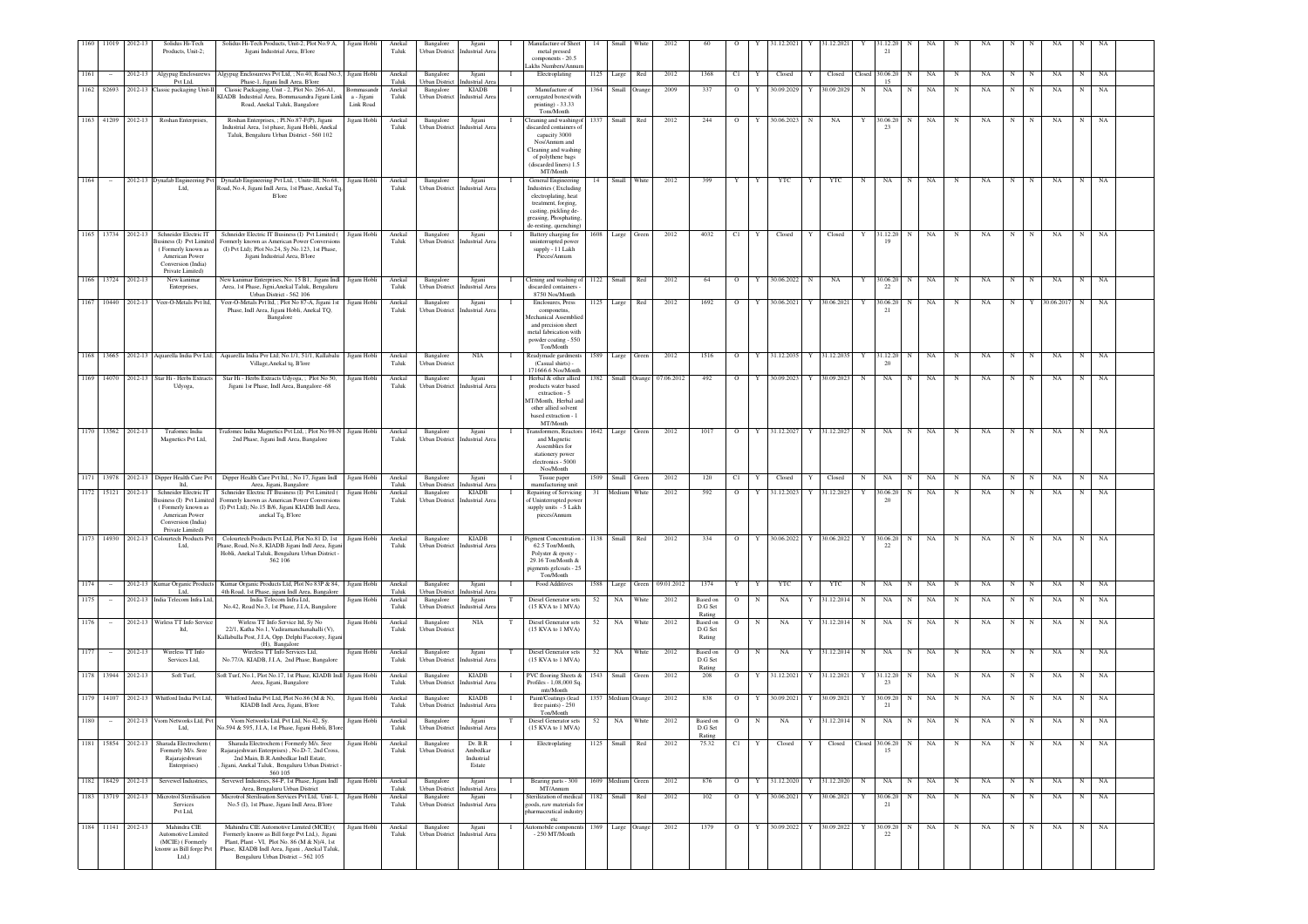|      |            | 1160 11019 2012-13 | Solidus Hi-Tech<br>Products, Unit-2;                                                                                               | Solidus Hi-Tech Products, Unit-2; Plot No.9 A,<br>Jigani Industrial Area, B'lore                                                                                                                                                   | Jigani Hobli                       | Anekal<br>Taluk | Bangalore<br><b>Urban District</b> | Jigani<br>Industrial Are                    |    | Manufacture of Sheet<br>metal pressed<br>components - 20.5<br>akhs Numbers/Ann                                                                                          | 14                | Small        | White         | 2012       | 60                                   |          |   | 31.12.2021 | 31.12.2021     |            | 1.12.2<br>21    |   |             |             |             |                          |                  |    |            |             |  |
|------|------------|--------------------|------------------------------------------------------------------------------------------------------------------------------------|------------------------------------------------------------------------------------------------------------------------------------------------------------------------------------------------------------------------------------|------------------------------------|-----------------|------------------------------------|---------------------------------------------|----|-------------------------------------------------------------------------------------------------------------------------------------------------------------------------|-------------------|--------------|---------------|------------|--------------------------------------|----------|---|------------|----------------|------------|-----------------|---|-------------|-------------|-------------|--------------------------|------------------|----|------------|-------------|--|
| 1161 |            | 2012-13            | Algypug Enclosurews<br>Pvt Ltd.                                                                                                    | Algypug Enclosurews Pvt Ltd, ; No.40, Road No.3, Jigani Hobli<br>Phase-1, Jigani Indl Area, B'lore                                                                                                                                 |                                    | Anckal<br>Taluk | Bangalore<br><b>Urban District</b> | Jigani<br>ndustrial Are                     |    | Electroplating                                                                                                                                                          | 1125 Large        |              | Red           | 2012       | 1368                                 | Cl       |   | Closed     | Closed         | Closed     | 30.06.20<br>15  |   | NA          | N           | NA          | N                        |                  | NA |            | NA          |  |
|      | 1162 82693 |                    | 2012-13 Classic packaging Unit-II                                                                                                  | Classic Packaging, Unit - 2, Plot No. 266-A1,<br>KIADB Industrial Area, Bommasandra Jigani Link<br>Road, Anekal Taluk, Bangalore                                                                                                   | nmasano<br>a - Jigani<br>Link Road | Anekal<br>Taluk | Bangalore<br><b>Urban District</b> | <b>KIADB</b><br>Industrial Area             |    | Manufacture of<br>orrugated boxes with<br>printing) - 33.33<br>Tons/Month                                                                                               | 1364              | Small        | <b>Drange</b> | 2009       | 337                                  | $\circ$  |   | 30.09.2029 | 30.09.2029     | N          | NA              |   | NA          |             | NA          | N                        |                  | NA | N          | NA          |  |
|      |            |                    | 1163 41209 2012-13 Roshan Enterprises,                                                                                             | Roshan Enterprises, ; Pl.No.87-F(P), Jigani<br>Industrial Area, 1st phase, Jigani Hobli, Anekal<br>Taluk. Bengaluru Urban District - 560 102                                                                                       | Jigani Hobli                       | Anekal<br>Taluk | Bangalore<br><b>Urban District</b> | Jigani<br><b>Industrial Area</b>            |    | Cleaning and washingof<br>discarded containers of<br>capacity 3000<br>Nos/Annum and<br>Cleaning and washing<br>of polythene bags<br>(discarded liners) 1.5<br>MT/Month  | 1337              | Small        | Red           | 2012       | 244                                  | $\circ$  |   | 30.06.2023 | NA             | Y          | 30.06.20<br>23  |   | $_{\rm NA}$ | N           | $_{\rm NA}$ | N<br>N                   |                  | NA | N          | NA          |  |
| 1164 | $\sim$     |                    | Ltd.                                                                                                                               | 2012-13 Dynafab Engineering Pvt Dynafab Engineering Pvt Ltd, ; Unite-III, No.68, Jigani Hobli<br>Road, No.4, Jigani Indl Area, 1st Phase, Anekal Tq<br><b>B</b> lore                                                               |                                    | Anekal<br>Taluk | Bangalore<br><b>Urban District</b> | Jigani<br><b>Industrial Area</b>            |    | General Engineering<br>Industries (Excluding<br>electroplating, heat<br>treatment, forging,<br>casting, pickling de-<br>greasing, Phosphating<br>de-resting, quenching) | 14                | Small        | White         | 2012       | 399                                  | Y        |   | YTC        | <b>YTC</b>     | N          | NA              | N | NA          | $\mathbf N$ | NA          | N<br>N                   |                  | NA | N          | NA          |  |
|      |            | 1165 13734 2012-13 | Schneider Electric IT<br>usiness (I) Pvt Limited<br>(Formerly known as<br>American Power<br>Conversion (India)<br>Private Limited) | Schneider Electric IT Business (I) Pvt Limited (<br>Formerly known as American Power Conversions<br>(I) Pvt Ltd): Plot No.24, Sv.No.123, 1st Phase.<br>Jigani Industrial Area, B'lore                                              | Jigani Hobli                       | Anekal<br>Taluk | Bangalore<br><b>Urban District</b> | Jigani<br>Industrial Are                    |    | Battery charging for<br>uninterrupted power<br>supply - 11 Lakh<br>Pieces/Annum                                                                                         | 1608              | Large        | Green         | 2012       | 4032                                 | C1       |   | Closed     | Closed         |            | 31.12.20<br>19  |   | NA          | N           | NA          | N<br>N                   |                  | NA |            | $_{\rm NA}$ |  |
|      |            | 1166 13724 2012-13 | New kanimar<br>Enterprises,                                                                                                        | New kanimar Enterprises, No. 15 B1, Jigani Indl Jigani Hobli<br>Area, 1st Phase, Jigni, Anekal Taluk, Bengaluru<br>Urban District - 562 106                                                                                        |                                    | Anekal<br>Taluk | Bangalore<br><b>Urban District</b> | Jigan<br>Industrial Area                    |    | Clening and washing of<br>discarded containers<br>8750 Nos/Month                                                                                                        | 1122 Small        |              | Red           | 2012       | 64                                   | $\circ$  |   | 30.06.2022 | NA             |            | 30.06.20<br>22  |   | NA          |             | NA          | N                        |                  | NA |            | NA          |  |
|      |            |                    | 1167 10440 2012-13 Veer-O-Metals Pvt ltd,                                                                                          | Veer-O-Metals Pvt ltd, ; Plot No 87-A, Jigani 1st<br>Phase, Indl Area, Jigani Hobli, Anekal TQ,<br>Bangalore                                                                                                                       | Jigani Hobli                       | Anekal<br>Taluk | Bangalore<br><b>Urban District</b> | Jigani<br>Industrial Area                   |    | <b>Enclosures, Press</b><br>componetns<br>lechanical Assemblie<br>and precision sheet<br>metal fabrication with<br>powder coating - 550<br>Ton/Month                    | 1125 Large        |              | Red           | 2012       | 1692                                 | $\circ$  |   | 30.06.2021 | 30.06.2021     |            | 30.06.20<br>21  |   | NA          | N           | NA          | N                        | $Y = 30.06.2017$ |    | N          | NA          |  |
| 1168 |            |                    |                                                                                                                                    | 13665   2012-13   Aquarella India Pvr Ltd;   Aquarella India Pvr Ltd; No.1/1, 51/1, Kallabalu<br>Village, Anekal tq, B'lore                                                                                                        | Jigani Hobli                       | Anekal<br>Taluk | Bangalore<br><b>Urban Distric</b>  | <b>NIA</b>                                  |    | Readymade gardments<br>(Casual shirts) -<br>171666.6 Nos/Month                                                                                                          | 1589              | Large        | Green         | 2012       | 1516                                 | $\circ$  |   | 31.12.2035 | 31.12.2035     | Y          | 31.12.20<br>20  | N | $_{\rm NA}$ | N           | NA          | N<br>N                   |                  | NA | N          | NA          |  |
|      |            |                    | 1169 14070 2012-13 Star Hi - Herbs Extracts<br>Udyoga,                                                                             | Star Hi - Herbs Extracts Udyoga, ; Plot No 50,<br>Jigani 1sr Phase, Indl Area, Bangalore -68                                                                                                                                       | Jigani Hobli                       | Anekal<br>Taluk | Bangalore<br><b>Urban District</b> | Jigani<br>Industrial Are                    |    | Herbal & other allied<br>products water based<br>extraction - 5<br>MT/Month, Herbal an<br>other allied solvent<br>based extraction - 1<br>MT/Month                      | 1382              | Small Orange |               | 07.06.2012 | 492                                  | $\circ$  |   | 30.09.2023 | 30.09.2023     | N          | $_{\rm NA}$     | N | $_{\rm NA}$ | N           | NA          | $_{\rm N}$<br>$_{\rm N}$ |                  | NA | N          | NA          |  |
|      |            | 1170 13562 2012-13 | Trafomec India<br>Magnetics Pvt Ltd,                                                                                               | Trafomec India Magnetics Pvt Ltd, ; Plot No 98-N<br>2nd Phase, Jigani Indl Area, Bangalore                                                                                                                                         | Jigani Hobli                       | Anekal<br>Taluk | Bangalore<br>Urban District        | Jigan<br>Industrial Area                    |    | ransformers. Reactors<br>and Magnetic<br>Assemblies for<br>stationery power<br>electronics - 5000<br>Nos/Month                                                          | 1642 Large        |              | Green         | 2012       | 1017                                 | $\circ$  |   | 31.12.2027 | Y 31.12.2027   | N          | NA              | N | NA          | $_{\rm N}$  | NA          | N                        |                  | NA | N          | NA          |  |
|      |            |                    | 1171 13978 2012-13 Dipper Health Care Pvt<br>ltd.                                                                                  | Dipper Health Care Pvt ltd, ; No 17, Jigani Indl<br>Area, Jigani, Bangalore                                                                                                                                                        | Jigani Hobli                       | Anekal<br>Taluk | Bangalore<br>Urban District        | Jigani<br>dustrial Area                     |    | Tissue paper<br>nanufacturing unit                                                                                                                                      | 1509              | Small        | Green         | 2012       | 120                                  | C1       |   | Closed     | Closed         | N          | NA              | N | NA          | N           | NA          | N<br>N                   |                  | NA | N          | NA          |  |
| 1172 | 15121      | 2012-13            | Schneider Electric IT<br>usiness (I) Pvt Limited<br>(Formerly known as<br>American Power<br>Conversion (India)<br>Private Limited) | Schneider Electric IT Business (I) Pvt Limited (<br>Formerly known as American Power Conversions<br>(I) Pvt Ltd); No.15 B/6, Jigani KIADB Indl Area,<br>anekal Tq, Blore                                                           | Jigani Hobl                        | Anekal<br>Taluk | Bangalore<br><b>Urban District</b> | <b>KIADB</b><br><b>Industrial Area</b>      |    | Repairing of Servicing<br>of Uninterrupted power<br>supply units - 5 Lakh<br>pieces/Annum                                                                               |                   |              | Vhite         | 2012       | 592                                  | $\circ$  |   | 31.12.2023 | 31.12.2023     |            | 80.06.20<br>-20 |   | NA          |             | NA          |                          |                  | NA |            | NA          |  |
|      |            |                    | 1173 14930 2012-13 Colourtech Products Pvt<br>Ltd.                                                                                 | Colourtech Products Pvt Ltd, Plot No.81 D, 1st<br>hase, Road, No.8, KIADB Jigani Indl Area, Jigan<br>Hobli, Anekal Taluk, Bengaluru Urban District -<br>562 106                                                                    | Jigani Hobli                       | Anekal<br>Taluk | Bangalore<br><b>Urban District</b> | <b>KIADB</b><br>ndustrial Are               |    | igment Concentration -<br>62.5 Ton/Month,<br>Polyster & epoxy<br>29.16 Ton/Month &<br>pigments gelcoats - 25<br>Ton/Month                                               | 1138 Small        |              | Red           | 2012       | 334                                  | $\circ$  | Y | 30.06.2022 | Y 30.06.2022 Y |            | 30.06.20<br>22  | N | NA          | $\mathbf N$ | NA          | N<br>$_{\rm N}$          |                  | NA | N          | NA          |  |
| 1174 |            |                    | 2012-13 Kumar Organic Products<br>Ltd.                                                                                             | Kumar Organic Products Ltd, Plot No 83P & 84,<br>4th Road, 1st Phase, jigani Indl Area, Bangalore                                                                                                                                  | Jigani Hobli                       | Anekal<br>Taluk | Bangalore<br><b>Urban District</b> | Jigani<br>ndustrial Are                     |    | Food Additives                                                                                                                                                          | 1588              | Large        | Green         | 09.01.2012 | 1374                                 | Y        |   | <b>YTC</b> | <b>YTC</b>     | N          | NA              | N | NA          | N           | NA          | N<br>N                   |                  | NA | $_{\rm N}$ | NA          |  |
| 1175 |            |                    | 2012-13 India Telecom Infra Ltd                                                                                                    | India Telecom Infra Ltd,<br>No.42, Road No.3, 1st Phase, J.I.A, Bangalore                                                                                                                                                          | igani Hobli                        | Anekal<br>Taluk | Bangalore<br><b>Urban District</b> | Jigani<br>Industrial Area                   |    | <b>Diesel Generator sets</b><br>(15 KVA to 1 MVA)                                                                                                                       | 52                | NA           | White         | 2012       | Based or<br>D.G Set<br>Rating        | $\circ$  |   | NA         | 31.12.2014     | N          | NA              |   | NA          | N           | NA          | N<br>N                   |                  | NA | N          | NA          |  |
| 1176 |            |                    | 2012-13 Wirless TT Info Service<br>ltd,                                                                                            | Wirless TT Info Service Itd, Sy No<br>22/1, Katha No.1, Vadiramanchanahalli (V),<br>Kallabulla Post, J.I.A, Opp. Delphi Facotory, Jigan<br>(H) Bangalore                                                                           | Jigani Hobli                       | Anekal<br>Taluk | Bangalore<br><b>Urban District</b> | NIA                                         |    | <b>Diesel Generator sets</b><br>(15 KVA to 1 MVA)                                                                                                                       | 52                | NA           | White         | 2012       | Based on<br>D.G Set<br>Rating        | $\Omega$ |   | NA         | 31.12.2014     | N          | NA              | N | NA          | N           | NA          | N<br>N                   |                  | NA | N          | NA          |  |
| 1177 |            | 2012-13            | Wireless TT Info<br>Services Ltd.                                                                                                  | Wireless TT Info Services Ltd,<br>No.77/A. KIADB, J.I.A, 2nd Phase, Bangalore                                                                                                                                                      | Jigani Hobli                       | Anekal<br>Taluk | Bangalore<br><b>Urban District</b> | Jigan<br>Industrial Area                    |    | Diesel Generator sets<br>(15 KVA to 1 MVA)                                                                                                                              | 52                | NA           | White         | 2012       | <b>Based</b> on<br>D.G Set<br>Rating | $\circ$  |   | NA         | 31.12.2014     |            | NA              |   | NA          |             | NA          | N                        |                  | NA |            | NA          |  |
|      |            | 1178 13944 2012-13 | Soft Turf.                                                                                                                         | Soft Turf, No.1, Plot No.17, 1st Phase, KIADB Indl Jigani Hobli<br>Area, Jigani, Bangalore                                                                                                                                         |                                    | Anekal<br>Taluk | Bangalore<br><b>Urban District</b> | <b>KIADB</b><br>Industrial Area             | л. | PVC flooring Sheets &<br>Profiles - 1.08.000 Sq<br>mtr/Month                                                                                                            | 1543 Small Green  |              |               | 2012       | 208                                  | $\circ$  |   | 31.12.2021 | 31.12.2021     | Y          | 31.12.20<br>23  |   | NA          | N           | NA          | N<br>N                   |                  | NA | N          | NA          |  |
|      | 1179 14107 |                    | 2012-13 Whitford India Pvt Ltd,                                                                                                    | Whitford India Pvt Ltd, Plot No.86 (M & N),<br>KIADB Indl Area, Jigani, B'lore                                                                                                                                                     | Jigani Hobli                       | Anekal<br>Taluk | Bangalore<br><b>Urban District</b> | <b>KIADB</b><br>Industrial Are              |    | Paint/Coatings (lead<br>free paints) - 250<br>Ton/Month                                                                                                                 | 1357              | Medium       | Orange        | 2012       | 838                                  | $\circ$  |   | 30.09.2021 | 30.09.2021     |            | 80.09.20<br>21  |   | NA          | N           | NA          | N<br>N                   |                  | NA |            | NA          |  |
| 1180 | $\sim$     |                    | 2012-13 Viom Networks Ltd, Pvt<br>Ltd.                                                                                             | Viom Networks Ltd, Pvt Ltd, No.42, Sy.<br>No.594 & 595, J.I.A, 1st Phase, Jigani Hobli, B'lor                                                                                                                                      | Jigani Hobli                       | Anekal<br>Taluk | Bangalore<br><b>Urban District</b> | Jigani<br>Industrial Area                   |    | Diesel Generator sets<br>(15 KVA to 1 MVA)                                                                                                                              | 52                | NA           | White         | 2012       | Based on<br>D.G Set                  | $\circ$  | N | NA         | 31.12.2014     | $_{\rm N}$ | NA              | N | $_{\rm NA}$ | N           | $_{\rm NA}$ | $_{\rm N}$<br>N          |                  | NA | N          | $_{\rm NA}$ |  |
|      |            | 1181 15854 2012-13 | Sharada Electrochem<br>Formerly M/s. Sree<br>Rajarajeshwari<br>Enterprises)                                                        | Sharada Electrochem (Formerly M/s. Sree<br>Rajarajeshwari Enterprises), No.D-7, 2nd Cross,<br>2nd Main, B.R.Ambedkar Indl Estate,<br>Jigani, Anekal Taluk, Bengaluru Urban District<br>560 105                                     | Jigani Hobli                       | Anekal<br>Taluk | Bangalore<br><b>Urban District</b> | Dr. B.R<br>Ambedkar<br>Industrial<br>Estate |    | Electroplating                                                                                                                                                          | 1125              | Small        | Red           | 2012       | 75.32                                | C1       |   | Closed     | Closed         | Closed     | 30.06.20<br>15  | N | $_{\rm NA}$ | $_{\rm N}$  | NA          | N<br>N                   |                  | NA | N          | NA          |  |
|      |            | 1182 18429 2012-13 | Servewel Industries,                                                                                                               | Servewel Industries, 84-P, 1st Phase, Jigani Indl<br>Area, Bengaluru Urban District                                                                                                                                                | Jigani Hobli                       | Anekal<br>Taluk | Bangalore<br><b>Urban District</b> | Jigani<br><b>Industrial Area</b>            |    | Bearing parts - 300<br>MT/Annum                                                                                                                                         | 1609 Medium       |              | Green         | 2012       | 876                                  | $\circ$  |   | 31.12.2020 | 31.12.2020     | N          | $_{\rm NA}$     | N | $_{\rm NA}$ | $_{\rm N}$  | $_{\rm NA}$ | N                        |                  | NA | N          | NA          |  |
|      |            |                    | 1183 13719 2012-13 Microtrol Sterilisatio<br>Services<br>Pvt Ltd.                                                                  | Microtrol Sterilisation Services Pvt Ltd, Unit- I,<br>No.5 (I), 1st Phase, Jigani Indl Area, B'lore                                                                                                                                | Jigani Hobli                       | Anekal<br>Taluk | Bangalore<br><b>Urban District</b> | Jigani<br>Industrial Area                   |    | Sterilization of medical<br>goods, raw materials for<br>harmaceutical industry<br>etc                                                                                   | 1182 Small Red    |              |               | 2012       | 102                                  | $\circ$  |   | 30.06.2021 | 30.06.2021     | Y          | 30.06.20<br>21  |   | NA          | N           | NA          | N<br>$_{\rm N}$          |                  | NA | N          | NA          |  |
|      |            | 1184 11141 2012-13 | Mahindra CIE<br>Automotive Limited<br>(MCIE) (Formerly<br>knonw as Bill forge Pvt<br>Ltd.)                                         | Mahindra CIE Automotive Limited (MCIE) (<br>Formerly knonw as Bill forge Pvt Ltd,), Jigani<br>Plant, Plant - VI, Plot No. 86 (M & N)/4, 1st<br>Phase, KIADB Indl Area, Jigani, Anekal Taluk,<br>Bengaluru Urban District - 562 105 | Jigani Hobli                       | Anekal<br>Taluk | Bangalore<br><b>Urban District</b> | Jigani<br><b>Industrial Area</b>            |    | Automobile components<br>$-250$ MT/Month                                                                                                                                | 1369 Large Orange |              |               | 2012       | 1379                                 | $\circ$  | Y | 30.09.2022 | 30.09.2022     |            | 30.09.20<br>22  | N | NA          | N           | NA          | N<br>$_{\rm N}$          |                  | NA | $_{\rm N}$ | NA          |  |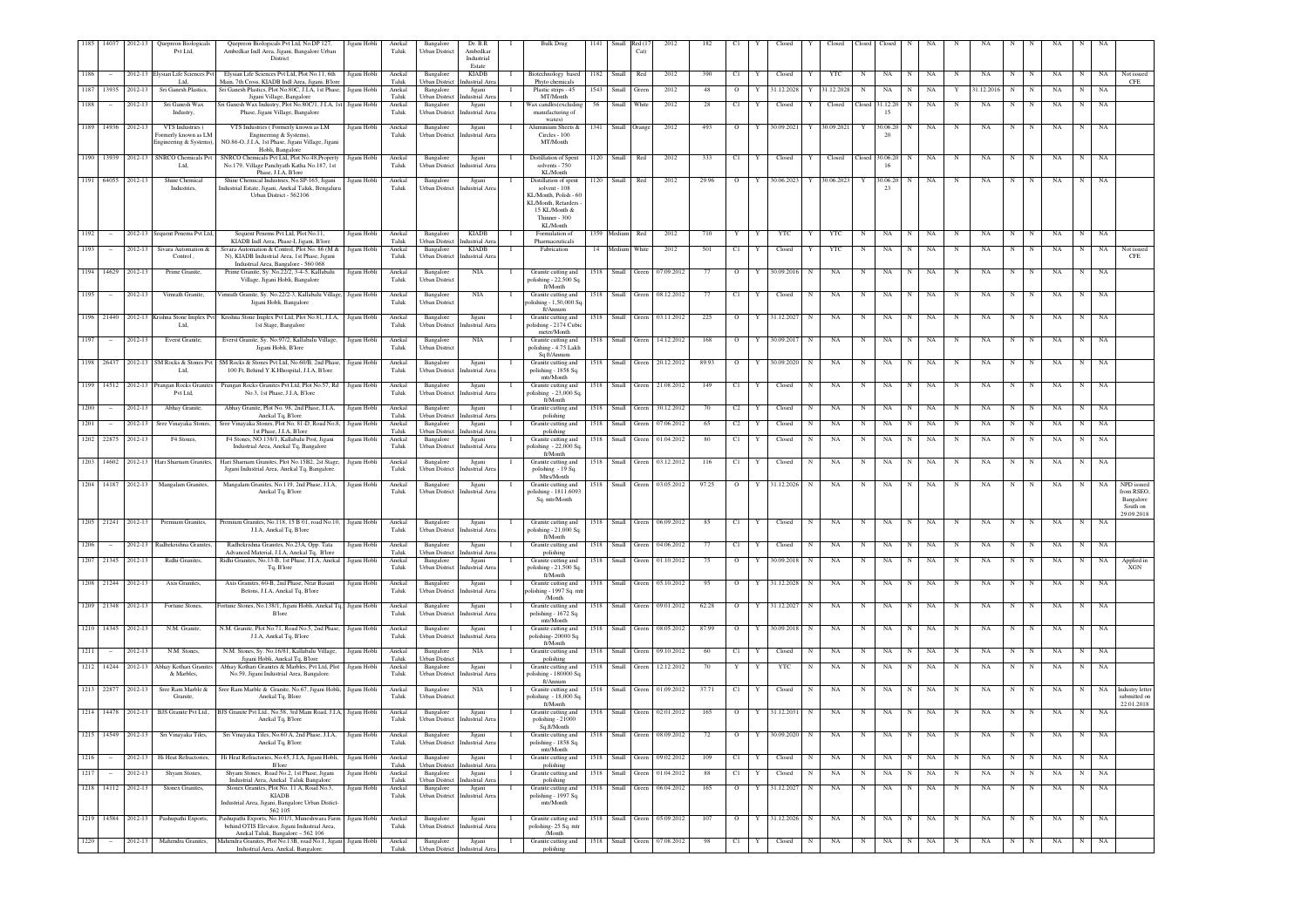| 1185 |            | 14037 2012-13      | Quepreon Biologicals                      | Quepreon Biologicals Pvt Ltd, No.DP 127,                                                                 | Jigani Hobli        | Anekal          | Bangalore                          | Dr. B.R                          |     | <b>Bulk Drug</b>                             | 1141        | Small<br>Red (1  | 2012                        | 182    |                |   | Closed     |   | Closed      | losed      |                |            |             |            |             |            |                           |                           |                            |
|------|------------|--------------------|-------------------------------------------|----------------------------------------------------------------------------------------------------------|---------------------|-----------------|------------------------------------|----------------------------------|-----|----------------------------------------------|-------------|------------------|-----------------------------|--------|----------------|---|------------|---|-------------|------------|----------------|------------|-------------|------------|-------------|------------|---------------------------|---------------------------|----------------------------|
|      |            |                    | Pvt Ltd,                                  | Ambedkar Indl Area, Jigani, Bangalore Urban                                                              |                     | Taluk           | <b>Urban District</b>              | Ambedkar                         |     |                                              |             | Cat)             |                             |        |                |   |            |   |             |            |                |            |             |            |             |            |                           |                           |                            |
|      |            |                    |                                           | District                                                                                                 |                     |                 |                                    | Industrial                       |     |                                              |             |                  |                             |        |                |   |            |   |             |            |                |            |             |            |             |            |                           |                           |                            |
| 1186 |            |                    | 2012-13 Elysian Life Sciences Pvt         | Elysian Life Sciences Pvt Ltd, Plot No.11, 6th                                                           | Jigani Hobli        | Anckal          | Bangalore                          | Estate<br><b>KIADB</b>           |     | Biotechnology based                          | 1182 Small  | Red              | 2012                        | 390    | C1             |   | Closed     |   | YTC         |            | NA             |            | NA          |            | NA          |            |                           |                           | Not issued                 |
|      |            |                    | Ltd.                                      | Main, 7th Cross, KIADB Indl Area, Jigani, B'lore                                                         |                     | Taluk           | <b>Urban District</b>              | <b>Industrial Area</b>           |     | Phyto chemicals                              |             |                  |                             |        |                |   |            |   |             |            |                |            |             |            |             |            |                           |                           | $\rm CFE$                  |
| 1187 | 13935      | 2012-13            | Sri Ganesh Plastics,                      | Sri Ganesh Plastics, Plot No.80C, J.I.A, 1st Phase,                                                      | Jigani Hobli        | Anekal          | Bangalore                          | Jigani                           |     | Plastic strips - 45<br>MT/Month              | 1543        | Small<br>Green   | 2012                        | 48     | $\circ$        |   | 1.12.2028  |   | 1.12.2028   | N          | NA             |            | NA          |            | 31.12.201   |            | N<br>NA                   | NA                        |                            |
| 1188 |            | 2012-13            | Sri Ganesh Wax                            | Jigani Village, Bangalore<br>Sri Ganesh Wax Industry, Plot No.80C/1, J.I.A, 1st                          | Jigani Hobl         | Taluk<br>Anekal | <b>Urban Distric</b><br>Bangalore  | ndustrial An<br>Jigani           |     | Wax candles(excluding                        | 56          | White<br>Small   | 2012                        | 28     | C1             |   | Closed     |   | Closed      | Closed     | 31.12.20       |            | NA          | N          | NA          | N<br>N     | NA                        | $_{\rm NA}$<br>N          |                            |
|      |            |                    | Industry,                                 | Phase, Jigani Village, Bangalore                                                                         |                     | Taluk           | <b>Urban District</b>              | Industrial Area                  |     | manufacturing of                             |             |                  |                             |        |                |   |            |   |             |            | 15             |            |             |            |             |            |                           |                           |                            |
|      |            |                    |                                           |                                                                                                          |                     |                 |                                    |                                  |     | waxes)                                       |             |                  |                             |        |                |   |            |   |             |            |                |            |             |            |             |            |                           |                           |                            |
|      |            | 1189 14936 2012-13 | VTS Industries (<br>Formerly known as LM  | VTS Industries (Formerly known as LM<br>Engineering & Systems),                                          | Jigani Hobli        | Anekal<br>Taluk | Bangalore<br><b>Urban District</b> | Jigani<br>ndustrial Are          |     | Aluminium Sheets &<br>Circles - 100          | 1341        | Small<br>Orange  | 2012                        | 493    | $\circ$        |   | 30.09.2021 |   | 30.09.2021  | Y          | 80.06.20<br>20 | N          | NA          | N          | NA          | N          | N<br>NA                   | $_{\rm N}$<br>NA          |                            |
|      |            |                    | Engineering & Systems)                    | NO.86-O, J.I.A, 1st Phase, Jigani Village, Jigani                                                        |                     |                 |                                    |                                  |     | MT/Month                                     |             |                  |                             |        |                |   |            |   |             |            |                |            |             |            |             |            |                           |                           |                            |
|      |            |                    |                                           | Hobli, Bangalore                                                                                         |                     |                 |                                    |                                  |     |                                              |             |                  |                             |        |                |   |            |   |             |            |                |            |             |            |             |            |                           |                           |                            |
|      | 1190 13939 |                    | 2012-13 SNRCO Chemicals Pvt<br>Ltd        | SNRCO Chemicals Pvt Ltd, Plot No.48, Property<br>No.179, Village Panchyath Katha No.187, 1st             | Jigani Hobli        | Anekal<br>Taluk | Bangalore<br><b>Urban District</b> | Jigan<br>ndustrial Area          |     | Distillation of Spent<br>solvents - 750      | 1120 Small  | Red              | 2012                        | 333    | C1             |   | Closed     |   | Closed      | Closed     | 30.06.20<br>16 |            | NA          |            | NA          | N          | NA                        |                           |                            |
|      |            |                    |                                           | Phase, J.I.A, B'lore                                                                                     |                     |                 |                                    |                                  |     | KL/Month                                     |             |                  |                             |        |                |   |            |   |             |            |                |            |             |            |             |            |                           |                           |                            |
|      |            | 1191 64055 2012-13 | Shine Chemical                            | Shine Chemical Industries, No.SP-165, Jigani                                                             | Jigani Hobli        | Anekal          | Bangalore                          | Jigani                           |     | Distillation of spent                        | 1120 Small  | Red              | 2012                        | 29.96  | $\circ$        |   | 30.06.2023 |   | 30.06.2023  |            | 30.06.20       |            | NA          | N          | NA          | N          | NA<br>N                   | NA                        |                            |
|      |            |                    | Industries.                               | Industrial Estate, Jigani, Anekal Taluk, Bengaluru<br>Urban District - 562106                            |                     | Taluk           | <b>Urban District</b>              | <b>Industrial Are</b>            |     | solvent - 108<br>KL/Month, Polish - 60       |             |                  |                             |        |                |   |            |   |             |            | 23             |            |             |            |             |            |                           |                           |                            |
|      |            |                    |                                           |                                                                                                          |                     |                 |                                    |                                  |     | KL/Month, Retarders                          |             |                  |                             |        |                |   |            |   |             |            |                |            |             |            |             |            |                           |                           |                            |
|      |            |                    |                                           |                                                                                                          |                     |                 |                                    |                                  |     | 15 KL/Month &                                |             |                  |                             |        |                |   |            |   |             |            |                |            |             |            |             |            |                           |                           |                            |
|      |            |                    |                                           |                                                                                                          |                     |                 |                                    |                                  |     | Thinner - 300<br>KL/Month                    |             |                  |                             |        |                |   |            |   |             |            |                |            |             |            |             |            |                           |                           |                            |
| 1192 |            | 2012-13            | Sequent Penems Pvt Ltd                    | Sequent Penems Pvt Ltd. Plot No.11.                                                                      | Jigani Hobli        | Anekal          | Bangalore                          | <b>KIADB</b>                     |     | Formulation of                               | 1359        | Red<br>Mediu     | 2012                        | 710    | Y              |   | <b>YTC</b> |   | <b>YTC</b>  | N          | NA             | N          | NA          | N          | NA          | N          | NA<br>N                   | NA<br>N                   |                            |
|      |            |                    |                                           | KIADB Indl Area, Phase-I, Jigani, B'lore                                                                 |                     | Taluk           | <b>Urban District</b>              | dustrial Are                     |     | Pharmaceuticals                              |             |                  |                             |        |                |   |            |   |             |            |                |            |             |            |             |            |                           |                           |                            |
| 1193 |            | 2012-13            | Sivara Automation &<br>Control,           | Sivara Automation & Control, Plot No. 86 (M &<br>N), KIADB Industrial Area, 1st Phase, Jigani            | Jigani Hobl         | Anekal<br>Taluk | Bangalore<br><b>Urban District</b> | <b>KIADB</b><br>Industrial Area  |     | Fabrication                                  | 14<br>Mediu | White            | 2012                        | 501    | C1             |   | Closed     |   | YTC         | N          | NA             | N          | $_{\rm NA}$ | N          | NA          | N          | N<br>NA                   | $_{\rm NA}$<br>N          | Not issued<br>CFE          |
|      |            |                    |                                           | Industrial Area, Bangalore - 560 068                                                                     |                     |                 |                                    |                                  |     |                                              |             |                  |                             |        |                |   |            |   |             |            |                |            |             |            |             |            |                           |                           |                            |
| 1194 | 14629      | 2012-13            | Prime Granite,                            | Prime Granite, Sy. No.22/2, 3-4-5, Kallabalu                                                             | Jigani Hobli        | Anekal          | Bangalore                          | <b>NIA</b>                       | - 1 | Granite cutting and                          | 1518        | Small<br>Green   | 07.09.2012                  | 77     | $\circ$        |   | 30.09.2016 |   | NA          | N          | NA             | N          | NA          | N          | NA          | N<br>N     | NA                        | NA<br>N                   |                            |
|      |            |                    |                                           | Village, Jigani Hobli, Bangalore                                                                         |                     | Taluk           | <b>Urban Distric</b>               |                                  |     | oolishing - 22,500 Sc<br>ft/Month            |             |                  |                             |        |                |   |            |   |             |            |                |            |             |            |             |            |                           |                           |                            |
| 1195 |            | 2012-13            | Vimrath Granite.                          | Vimrath Granite, Sy. No.22/2-3, Kallabalu Village,                                                       | Jigani Hobl         | Anekal          | Bangalore                          | <b>NIA</b>                       |     | Granite cutting and                          | 1518        | Small<br>Green   | 08.12.2012                  | 77     | C1             |   | Closed     | N | $_{\rm NA}$ | N          | $_{\rm NA}$    | N          | <b>NA</b>   | N          | $_{\rm NA}$ | N          | $_{\rm N}$<br>NA          | $_{\rm NA}$<br>N          |                            |
|      |            |                    |                                           | Jigani Hobli, Bangalore                                                                                  |                     | Taluk           | <b>Urban Distric</b>               |                                  |     | olishing - 1.50,000 S                        |             |                  |                             |        |                |   |            |   |             |            |                |            |             |            |             |            |                           |                           |                            |
| 1196 | 21440      |                    | 2012-13 Krishna Stone Implex Pvt          | Krishna Stone Implex Pvt Ltd, Plot No.81, J.I.A,                                                         | Jigani Hobli        | Anekal          | Bangalore                          | Jigani                           |     | ft/Annum<br>Granite cutting and              | 1518        | Small<br>Green   | 03.11.2012                  | 225    | $\circ$        |   | 1.12.2027  |   | $_{\rm NA}$ | N          | $_{\rm NA}$    | N          | $_{\rm NA}$ | N          | $_{\rm NA}$ | N          | NA<br>N                   | $_{\rm NA}$<br>N          |                            |
|      |            |                    | Ltd.                                      | 1st Stage, Bangalore                                                                                     |                     | Taluk           | <b>Urban District</b>              | Industrial Are                   |     | polishing - 2174 Cubi                        |             |                  |                             |        |                |   |            |   |             |            |                |            |             |            |             |            |                           |                           |                            |
|      |            |                    |                                           |                                                                                                          |                     |                 |                                    |                                  |     | meter/Month                                  |             |                  |                             |        |                |   |            |   |             |            |                |            |             |            |             |            |                           |                           |                            |
| 1197 |            | 2012-13            | <b>Everst Granite</b>                     | Everst Granite, Sy. No.97/2, Kallabalu Village,<br>Jigani Hobli, B'lore                                  | Jigani Hobl         | Anekal<br>Taluk | Bangalore<br><b>Urban District</b> | NIA                              |     | Granite cutting and<br>polishing - 4.75 Lakh |             | 1518 Small Green | 14.12.2012                  | 168    | $\circ$        |   | 30.09.2017 |   | NA          | N          | NA             |            | NA          | N          | NA          | N          | N<br>NA                   | NA<br>N                   |                            |
|      |            |                    |                                           |                                                                                                          |                     |                 |                                    |                                  |     | Sq ft/Annum                                  |             |                  |                             |        |                |   |            |   |             |            |                |            |             |            |             |            |                           |                           |                            |
|      | 1198 26437 |                    |                                           | 2012-13 SM Rocks & Stones Pvt SM Rocks & Stones Pvt Ltd, No.60/B, 2nd Phase,                             | Jigani Hobli        | Anckal          | Bangalore                          | Jigan                            |     | Granite cutting and                          | 1518        | Small<br>Green   | 20.12.2012                  | 89.93  | $\circ$        |   | 30.09.2020 |   | NA          |            | NA             |            | NA          |            | NA          | N          | NA                        | NA                        |                            |
|      |            |                    | Ltd                                       | 100 Ft, Behind Y.K.Hhospital, J.I.A, B'lore                                                              |                     | Taluk           | <b>Urban District</b>              | Industrial Area                  |     | polishing - 1858 Sq.<br>mtr/Month            |             |                  |                             |        |                |   |            |   |             |            |                |            |             |            |             |            |                           |                           |                            |
|      |            |                    | 1199 14512 2012-13 Prangan Rocks Granites | Prangan Rocks Granites Pvt Ltd. Plot No.57, Rd                                                           | Jigani Hobli        | Anekal          | Bangalore                          | Jigani                           |     | Granite cutting and                          |             | 1518 Small Green | 21.08.2012                  | 149    | Cl             |   | Closed     |   | NA          | N          | NA             | N          | NA          | N          | NA          | N<br>N     | <b>NA</b>                 | NA<br>N                   |                            |
|      |            |                    | Pvt Ltd                                   | No.3, 1st Phase, J.I.A, B'lore                                                                           |                     | Taluk           | <b>Urban District</b>              | Industrial Are                   |     | polishing - 23,000 Sq                        |             |                  |                             |        |                |   |            |   |             |            |                |            |             |            |             |            |                           |                           |                            |
| 1200 |            | 2012-13            | Abhay Granite,                            | Abhay Granite, Plot No. 98, 2nd Phase, J.I.A,                                                            | Jigani Hobli        | Anekal          | Bangalore                          | Jigani                           |     | ft/Month<br>Granite cutting and              | 1518        | Small<br>Green   | 30.12.2012                  | 70     | C <sub>2</sub> |   | Closed     |   | NA          | N          | NA             |            | NA          |            | NA          |            | NA                        | NA                        |                            |
|      |            |                    |                                           | Anekal To, B'lore                                                                                        |                     | Taluk           | <b>Urban District</b>              | Industrial Are                   |     | polishing                                    |             |                  |                             |        |                |   |            |   |             |            |                |            |             |            |             |            |                           |                           |                            |
| 1201 |            | 2012-13            | Sree Vinayaka Stone                       | Sree Vinavaka Stones, Plot No. 81-D, Road No.8.                                                          | Jigani Hobl         | Anekal          | Bangalore                          | Jigani                           |     | Granite cutting and                          | 1518        | Small<br>Green   | 07.06.2012                  | 65     | C <sub>2</sub> |   | Closed     |   | NA          | N          | NA             |            | NA          | N          | NA          | N          | N<br>NA                   | NA                        |                            |
| 1202 | 22875      | 2012-13            | F4 Stones.                                | 1st Phase, J.I.A, B'lore<br>F4 Stones, NO.138/1, Kallabalu Post, Jigani                                  | Jigani Hobli        | Taluk<br>Anekal | <b>Urban District</b><br>Bangalore | ndustrial Are<br>Jigani          |     | polishing<br>Granite cutting and             | 1518        | Small<br>Green   | 01.04.2012                  | -80    | C1             |   | Closed     |   | NA          | N          | NA             | N          | NA          | N          | NA          | N<br>N     | NA                        | NA<br>N                   |                            |
|      |            |                    |                                           | Industrial Area, Anekal Tq, Bangalore                                                                    |                     | Taluk           | <b>Urban District</b>              | ndustrial Are                    |     | olishing - 22,000 Sc                         |             |                  |                             |        |                |   |            |   |             |            |                |            |             |            |             |            |                           |                           |                            |
|      |            |                    |                                           |                                                                                                          |                     |                 |                                    |                                  |     | ft/Month                                     |             |                  |                             |        |                |   |            |   |             |            |                |            |             |            |             |            |                           |                           |                            |
| 1203 | 14602      |                    | 2012-13 Hari Sharnam Granites             | Hari Shamam Granites, Plot No.15B2, 2st Stage,<br>Jigani Industrial Area, Anekal To, Bangalore,          | Jigani Hobli        | Anekal<br>Taluk | Bangalore<br><b>Urban District</b> | Jigani<br>ndustrial An           |     | Granite cutting and<br>polishing - 19 Sq.    | 1518        | Small<br>Green   | 03.12.2012                  | 116    | C1             |   | Closed     |   | $_{\rm NA}$ | N          | $_{\rm NA}$    | N          | $_{\rm NA}$ | N          | $_{\rm NA}$ | $_{\rm N}$ | $_{\rm N}$<br>NA          | $_{\rm NA}$<br>N          |                            |
|      |            |                    |                                           |                                                                                                          |                     |                 |                                    |                                  |     | Mtrs/Month                                   |             |                  |                             |        |                |   |            |   |             |            |                |            |             |            |             |            |                           |                           |                            |
|      | 1204 14187 | 2012-13            | Mangalam Granites,                        | Mangalam Granites, No.119, 2nd Phase, J.I.A,                                                             | Jigani Hobli        | Anekal          | Bangalore                          | Jigani                           |     | Granite cutting and                          | 1518        | Small<br>Green   | 03.05.2012                  | 97.25  | $\circ$        |   | 31.12.2026 |   | NA          | N          | NA             |            | NA          | N          | NA          | N          | N<br>NA                   | NA                        | NPD issued                 |
|      |            |                    |                                           | Anekal Tq, B'lore                                                                                        |                     | Taluk           | <b>Urban District</b>              | ndustrial Area                   |     | oolishing - 1811.6093<br>Sq. mtr/Month       |             |                  |                             |        |                |   |            |   |             |            |                |            |             |            |             |            |                           |                           | from RSEO,<br>Bangalore    |
|      |            |                    |                                           |                                                                                                          |                     |                 |                                    |                                  |     |                                              |             |                  |                             |        |                |   |            |   |             |            |                |            |             |            |             |            |                           |                           | South on                   |
|      |            |                    |                                           |                                                                                                          |                     |                 |                                    |                                  |     |                                              |             |                  | 06.09.2012                  |        |                |   |            |   |             |            |                |            |             |            |             |            |                           |                           | 29.09.2018                 |
| 1205 | 21241      | 2012-13            | Premium Granites,                         | Premium Granites, No.118, 15 B 01, road No.10,<br>J.I.A, Anekal Tq, B'lore                               | Jigani Hobli        | Anekal<br>Taluk | Bangalore<br><b>Urban District</b> | Jigani<br>Industrial Are         |     | Granite cutting and                          | 1518        | Small<br>Green   |                             | 85     | C1             |   | Closed     |   | NA          | N          | NA             | N          | NA          | N          | NA          | N<br>N     | NA                        | NA                        |                            |
|      |            |                    |                                           |                                                                                                          |                     |                 |                                    |                                  |     | polishing - 21,000 Sc                        |             |                  |                             |        |                |   |            |   |             |            |                |            |             |            |             |            |                           |                           |                            |
| 1206 |            | 2012-13            |                                           |                                                                                                          |                     |                 |                                    |                                  |     | ft/Month                                     |             |                  |                             |        |                |   |            |   |             |            |                |            |             |            |             |            |                           |                           |                            |
| 1207 | 21345      |                    | Radhekrishna Granite                      | Radhekrishna Granites, No.23A, Opp. Tata                                                                 | igani Hobl          | Anekal          | Bangalore                          | Jigani                           |     | Granite cutting and                          | 1518 Small  | Green            | 04.06.2012                  | 77     | C1             |   | Closed     |   | NA          | N          | NA             |            | NA          | N          | NA          |            | NA<br>N                   | NA                        |                            |
|      |            | 2012-13            | Ridhi Granites.                           | Advanced Material, J.I.A, Anekal Tq, B'lore<br>Ridhi Granites, No.13-B, 1st Phase, J.I.A, Anekal         | Jigani Hobli        | Taluk<br>Anekal | <b>Urban District</b><br>Bangalore | dustrial Are<br>Jigani           |     | polishing<br>Granite cutting and             | 1518        | Small<br>Green   | 01.10.2012                  | 75     | $\circ$        |   | 30.09.2018 |   |             | N          | NA             | N          | NA          | N          |             | N          | NA<br>N                   | NA<br>N                   |                            |
|      |            |                    |                                           | Tq, B'lore                                                                                               |                     | Taluk           | <b>Urban District</b>              | ndustrial Are                    |     | polishing - 21,500 Sc                        |             |                  |                             |        |                |   |            |   | NA          |            |                |            |             |            | NA          |            |                           |                           | Applied in<br>$_{\rm XGN}$ |
|      |            |                    |                                           |                                                                                                          |                     |                 |                                    |                                  |     | ft/Month                                     |             |                  |                             |        |                |   |            |   |             |            |                |            |             |            |             |            |                           |                           |                            |
|      | 1208 21244 | 2012-13            | Axis Granites,                            | Axis Granites, 60-B, 2nd Phase, Near Basant<br>Betons, J.I.A, Anekal Tq, B'lore                          | Jigani Hobl         | Anekal<br>Taluk | Bangalore<br><b>Urban District</b> | Jigani<br>ndustrial Are          |     | Granite cutting and                          | 1518        | Small<br>Green   | 05.10.2012                  | 95     | $\circ$        |   | 31.12.2028 |   | NA          | N          | NA             | N          | NA          | N          | NA          | N          | NA<br>N                   | NA<br>N                   |                            |
|      |            |                    |                                           |                                                                                                          |                     |                 |                                    |                                  |     | olishing - 1997 Sq. mt<br>/Month             |             |                  |                             |        |                |   |            |   |             |            |                |            |             |            |             |            |                           |                           |                            |
|      | 1209 21348 | 2012-13            | Fortune Stones,                           | Fortune Stones, No.138/1, Jigani Hobli, Anekal Tq, Jigani Hobli                                          |                     | Anekal          | Bangalore                          | Jigani                           |     | Granite cutting and                          | 1518        | Small<br>Greer   | 09.01.2012                  | 62.28  | $\circ$        |   | 31.12.2027 |   | NA          |            | NA             |            | NA          |            | NA          |            | NA                        | NA                        |                            |
|      |            |                    |                                           | <b>B</b> lore                                                                                            |                     | Taluk           | <b>Urban District</b>              | ndustrial Area                   |     | polishing - 1672 Sq.<br>mtr/Month            |             |                  |                             |        |                |   |            |   |             |            |                |            |             |            |             |            |                           |                           |                            |
|      |            | 1210 14345 2012-13 | N.M. Granite                              | N.M. Granite, Plot No.71, Road No.5, 2nd Phase, Jigani Hobli                                             |                     | Anekal          | Bangalore                          | Jigani                           |     | Granite cutting and                          | 1518 Small  | Green            | 08.05.2012                  | 87.99  | $\circ$        |   | 30.09.2018 |   | NA          | N          | NA             | N          | NA          | N          | NA          | N<br>N     | NA                        | NA                        |                            |
|      |            |                    |                                           | J.I.A, Anekal Tq, B'lore                                                                                 |                     | Taluk           | <b>Urban Distric</b>               | dustrial Are                     |     | polishing-20000 Sq.<br>ft/Month              |             |                  |                             |        |                |   |            |   |             |            |                |            |             |            |             |            |                           |                           |                            |
| 1211 |            | 2012-13            | N.M. Stones,                              | N.M. Stones, Sy. No.16/81, Kallabalu Village,                                                            | Jigani Hobli        | Anckal          | Bangalore                          | <b>NIA</b>                       |     | Granite cutting and                          | 1518 Small  | Green            | 09.10.2012                  | -60    | C1             |   | Closed     |   | NA          | N          | NA             |            | NA          |            | NA          |            | NA                        | $_{\rm NA}$               |                            |
|      |            |                    |                                           | Jigani Hobli, Anekal Tq, B'lore                                                                          |                     | Taluk           | <b>Urban District</b>              |                                  |     | polishing                                    |             |                  |                             |        |                |   |            |   |             |            |                |            |             |            |             |            |                           |                           |                            |
| 1212 | 14244      | 2012-13            | Abhay Kothari Granit<br>& Marbles         | Abhay Kothari Granites & Marbles, Pvt Ltd, Plot                                                          | Jigani Hobli        | Anekal<br>Taluk | Bangalore<br><b>Urban District</b> | Jigani<br>Industrial Are         |     | Granite cutting and<br>olishing - 180000 Sc  | 1518        | Small<br>Green   | 12.12.2012                  | $70\,$ | Y              |   | YTC        |   | $_{\rm NA}$ | N          | $_{\rm NA}$    | N          | $_{\rm NA}$ | N          | $_{\rm NA}$ | N<br>N     | NA                        | $_{\rm NA}$<br>N          |                            |
|      |            |                    |                                           | No.59, Jigani Industrial Area, Bangalore.                                                                |                     |                 |                                    |                                  |     | ft/Annum                                     |             |                  |                             |        |                |   |            |   |             |            |                |            |             |            |             |            |                           |                           |                            |
| 1213 | 22877      | 2012-13            | Sree Ram Marble &                         | Sree Ram Marble & Granite, No.67, Jigani Hobli,                                                          | Jigani Hobli        | Anekal          | Bangalore                          | <b>NIA</b>                       |     | Granite cutting and                          | 1518        | Small<br>Greer   | 01.09.2012                  | 37.71  | C1             |   | Closed     |   | NA          | N          | NA             |            | NA          | N          | NA          | N          | N<br>NA                   | NA                        | Industry lette             |
|      |            |                    | Granite,                                  | Anekal Tq, Blore                                                                                         |                     | Taluk           | <b>Urban District</b>              |                                  |     | polishing - 18,000 Sq<br>ft/Month            |             |                  |                             |        |                |   |            |   |             |            |                |            |             |            |             |            |                           |                           | submitted on<br>22.01.2018 |
|      |            |                    |                                           | 1214 14478 2012-13 BJS Granite Pvt Ltd., BJS Granite Pvt Ltd., No.58, 3rd Main Road, J.I.A, Jigani Hobli |                     | Anekal          | Bangalore                          | Jigani                           |     | Granite cutting and                          |             |                  | 1518 Small Green 02.01.2012 | 165    | $\circ$        |   | 31.12.2031 |   | NA          | N          | NA             | N          | NA          | $_{\rm N}$ | NA          | N          | N<br>NA                   | N<br>NA                   |                            |
|      |            |                    |                                           | Anekal Tq, B'lore                                                                                        |                     | Taluk           | <b>Urban District</b>              | Industrial Area                  |     | polishing - 21000                            |             |                  |                             |        |                |   |            |   |             |            |                |            |             |            |             |            |                           |                           |                            |
|      |            |                    | 1215 14549 2012-13 Sri Vinavaka Tiles     | Sri Vinavaka Tiles No 60 A 2nd Phase II A                                                                | <b>Ligani Hobli</b> | Anekal          |                                    |                                  |     | Sq.ft/Month                                  |             | Small            | 08.09.20                    |        |                |   | 30.09.20   |   |             |            |                |            |             |            |             |            |                           |                           |                            |
|      |            |                    |                                           | Anekal Tq, B'lore                                                                                        |                     | Taluk           |                                    | Urban District Industrial Area   |     | polishing - 1858 Sq.                         |             |                  |                             |        |                |   |            |   |             |            |                |            |             |            |             |            |                           |                           |                            |
|      |            |                    |                                           |                                                                                                          |                     |                 |                                    |                                  |     | mtr/Month                                    |             |                  |                             |        |                |   |            |   |             |            |                |            |             |            |             |            |                           |                           |                            |
| 1216 |            | 2012-13            | Hi Heat Refractories,                     | Hi Heat Refractories, No.45, J.I.A, Jigani Hobli,<br><b>B</b> lore                                       | Jigani Hobli        | Anekal<br>Taluk | Bangalore<br><b>Urban District</b> | Jigani<br><b>Industrial Area</b> |     | Granite cutting and<br>polishing             | 1518        | Small<br>Green   | 09.02.2012                  | 109    | C1             |   | Closed     |   | $_{\rm NA}$ | $_{\rm N}$ | $_{\rm NA}$    | N          | $_{\rm NA}$ | N          | $_{\rm NA}$ | N          | NA<br>N                   | $_{\rm NA}$<br>N          |                            |
| 1217 |            | 2012-13            | Shyam Stones,                             | Shvam Stones, Road No.2, 1st Phase, Jigani                                                               | Jigani Hobli        | Anekal          | Bangalore                          | Jigani                           |     | Granite cutting and                          | 1518        | Small<br>Green   | 01.04.2012                  | -88    | C1             |   | Closed     |   | NA          |            | NA             |            | NA          |            | NA          | N          | N<br>NA                   | NA                        |                            |
|      |            |                    |                                           | Industrial Area, Anekal Taluk Bangalore                                                                  |                     | Taluk           | <b>Urban District</b>              | <b>Industrial Area</b>           |     | polishing                                    |             |                  |                             |        |                |   |            |   |             |            |                | N          |             |            |             | N          |                           |                           |                            |
| 1218 |            | 14112 2012-13      | Stonex Granites,                          | Stonex Granites, Plot No. 11 A, Road No.3,<br><b>KIADB</b>                                               | Jigani Hobli        | Anekal<br>Taluk | Bangalore<br><b>Urban District</b> | Jigani<br>Industrial Area        |     | Granite cutting and<br>polishing - 1997 Sq.  | 1518        | Small<br>Green   | 06.04.2012                  | 165    | $\circ$        |   | 31.12.2027 |   | NA          | N          | NA             |            | NA          | N          | NA          |            | $_{\rm N}$<br>NA          | NA<br>N                   |                            |
|      |            |                    |                                           | Industrial Area, Jigani, Bangalore Urban Distict-                                                        |                     |                 |                                    |                                  |     | mtr/Month                                    |             |                  |                             |        |                |   |            |   |             |            |                |            |             |            |             |            |                           |                           |                            |
|      |            |                    |                                           | 562 105                                                                                                  |                     |                 |                                    |                                  |     |                                              |             |                  |                             |        |                |   |            | N |             |            |                |            |             |            |             |            |                           |                           |                            |
|      |            | 1219 14584 2012-13 | Pashupathi Exports,                       | Pashupathi Exports, No.101/1, Muneshwara Farm<br>behind OTIS Elevator, Jigani Industrial Area,           | Jigani Hobli        | Anckal<br>Taluk | Bangalore<br><b>Urban District</b> | Jigani<br><b>Industrial Area</b> |     | Granite cutting and<br>polishing-25 Sq. mtr  | 1518 Small  |                  | Green 05.09.2012            | 107    | $\circ$        | Y | 31.12.2026 |   | NA          | N          | NA             | N          | NA          | $_{\rm N}$ | NA          | N          | NA<br>$_{\rm N}$          | NA<br>N                   |                            |
| 1220 | $\sim$     | 2012-13            | Mahendra Granites,                        | Anekal Taluk, Bangalore - 562 106<br>Mahendra Granites, Plot No.13B, road No.1, Jigani Jigani Hobli      |                     | Anekal          | Bangalore                          | Jigani                           |     | /Month<br>Granite cutting and                | 1518        | Small<br>Green   | 07.08.2012                  | 98     | C1             |   | Closed     |   | $_{\rm NA}$ | $_{\rm N}$ | $_{\rm NA}$    | $_{\rm N}$ | $_{\rm NA}$ | $_{\rm N}$ | $_{\rm NA}$ | $_{\rm N}$ | $_{\rm N}$<br>$_{\rm NA}$ | $_{\rm N}$<br>$_{\rm NA}$ |                            |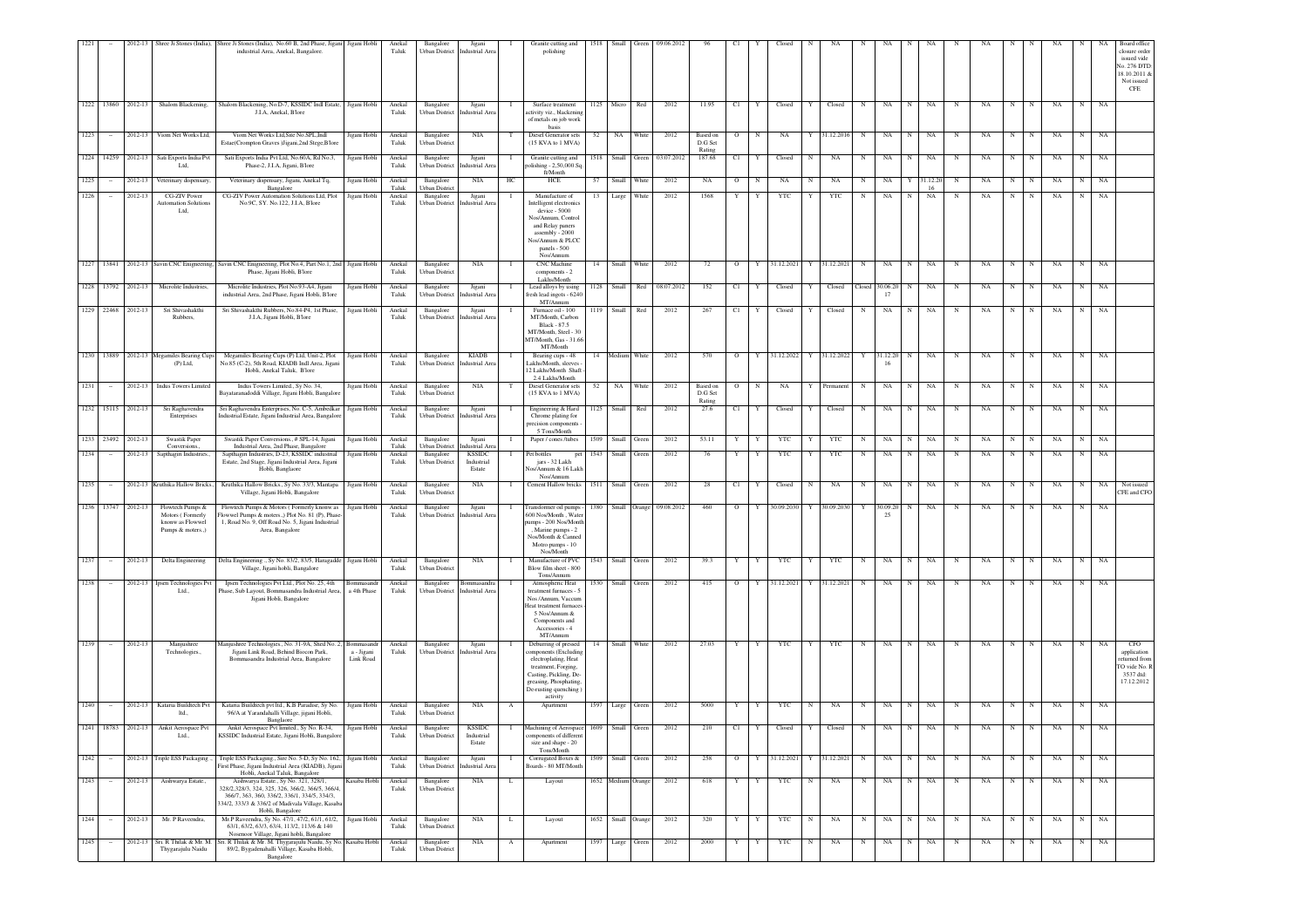| 1222 13860 2012-13<br>Shalom Blackening, No.D-7, KSSIDC Indl Estate, Jigani Hobli<br>2012<br>Shalom Blackening,<br>Anckal<br>Bangalore<br>Jigani<br>Surface treatment<br>1125 Micro Red<br>11.95<br>C1<br>Closed<br>Closed<br>N<br>NA<br>N<br>NA<br>$_{\rm N}$<br>NA<br>Y<br>Y<br>J.I.A, Anekal, B'lore<br>Taluk<br>dustrial Area<br>activity viz., blackenin<br>Urban District<br>of metals on job work<br>basis<br>1223<br>2012-13 Viom Net Works Ltd,<br>Viom Net Works Ltd Site No SPL Indl<br>NA White<br>31.12.2016<br>Jigani Hobli<br>Anekal<br>Bangalore<br>NIA<br>Diesel Generator sets<br>52<br>2012<br>Based on<br>$\circ$<br>N<br>NA<br>Y<br>N<br>NA<br>N<br>NA<br>NA<br>$\sim$<br>N<br>Estae(Crompton Graves )Jigani,2nd Stege,B'lore<br>Taluk<br>Urban Distric<br>(15 KVA to 1 MVA)<br>D.G Set<br>Rating<br>1224 14259 2012-13<br>Sati Exports India Pvt Ltd, No.60A, Rd No.3,<br>03.07.2012<br>Sati Exports India Pvt<br>1518 Small Green<br>187.68<br>NA<br>NA<br>NA<br>Jigani Hobli<br>Anekal<br>Granite cutting and<br>Closed<br>NA<br>Bangalore<br>Jigani<br>C1<br>N<br>N<br>N<br>Ltd.<br>Phase-2, J.I.A, Jigani, B'lore<br>Taluk<br><b>Urban District</b><br>Industrial Are<br>oolishing - 2,50,000 Sq.<br>ft/Month<br>1225<br>Veterinary dispensary, Jigani, Anekal Tq,<br>2012<br>2012-13<br>Veterinary dispensary,<br>Jigani Hobli<br>Anekal<br>Bangalore<br>NIA<br>HC<br>HCE<br>57<br>Small<br>White<br>NA<br>$\overline{0}$<br>NA<br>N<br>NA<br>NA<br>1.12.20<br>NA<br>Taluk<br>Bangalore<br>Jrban District<br>16<br>1226<br>2012-13<br>CG-ZIV Power<br>CG-ZIV Power Automation Solutions Ltd, Plot<br>Jigani Hobl<br>Anekal<br>Bangalore<br>Jigani<br>Manufacture of<br>2012<br>1568<br>YTC<br>YTC<br>NA<br>NA<br>NA<br>13<br>Large<br>White<br>N<br>No.9C, SY. No.122, J.I.A, B'lore<br>Taluk<br>Urban District<br>Industrial Are<br>Intelligent electronics<br><b>Automation Solution</b><br>Ltd,<br>device - 5000<br>Nos/Annum, Control<br>and Relay paners<br>assembly - 2000<br>Nos/Annum & PLCC<br>panels - 500<br>Nos/Annum<br>1227 13841 2012-13 Savin CNC Enigneering, Savin CNC Enigneering, Plot No.4, Part No.1, 2nd Jigani Hobli<br>CNC Machine<br>2012<br>31.12.2021<br>Y 31.12.2021<br>Anekal<br>Bangalore<br>NIA<br>Small White<br>72<br>$\overline{O}$<br>N<br>NA<br>NA<br>NA<br>14<br>N<br>N<br>Phase, Jigani Hobli, B'lore<br>Taluk<br>Urban Distric<br>components - 2<br>Lakhs/Month<br>1228 13792 2012-13 Microlite Industries,<br>Microlite Industries, Plot No.93-A4, Jigani<br>Jigani Hobli<br>Anekal<br>Lead alloys by using<br>1128 Small<br>Red<br>08.07.2012<br>152<br>Closed<br>Closed<br>30.06.20<br>NA<br>NA<br>Bangalore<br>Jigani<br>C1<br>Closed<br>industrial Area, 2nd Phase, Jigani Hobli, B'lore<br>Taluk<br>ndustrial Are<br>resh lead ingots - 6240<br>17<br>Urban District<br>MT/Annum<br>Sri Shivashakthi Rubbers, No.84-P4, 1st Phase,<br>1229 22468 2012-13<br>Sri Shivashakthi<br>Jigani Hobli<br>Anekal<br>Bangalore<br>Jigani<br>Furnace oil - 100<br>1119<br>Small<br>Red<br>2012<br>267<br>C1<br>Closed<br>Closed<br>NA<br>NA<br>NA<br>Y<br>N<br>N<br>J.I.A, Jigani Hobli, B'lore<br>Taluk<br>dustrial Are<br>MT/Month, Carbon<br>Rubbers,<br>Urban District<br>Black - 87.5<br>MT/Month, Steel - 30<br>MT/Month Gas - 31 66<br>MT/Month<br>Megamiles Bearing Cups (P) Ltd, Unit-2, Plot<br><b>KIADB</b><br>31.12.2022<br>Y 31.12.2022<br>1230 13889 2012-13 Megamiles Bearing Cups<br>Bearing cups - 48<br>2012<br>570<br>31.12.20<br>NA<br>NA<br>Jigani Hobli<br>Anckal<br>Medium White<br>Bangalore<br>14<br>$\circ$<br>Y<br>Y<br>N<br>N<br>No.85 (C-2), 5th Road, KIADB Indl Area, Jigani<br>(P) Ltd.<br>Taluk<br>Lakhs/Month, sleeves<br>16<br>Urban District<br>ndustrial Are<br>Hobli, Anekal Taluk, B'lore<br>12 Lakhs/Month Shaft<br>2.4 Lakhs/Month<br>1231<br>2012-13 Indus Towers Limited<br>Indus Towers Limited., Sy No. 34,<br>NA White<br>Jigani Hobli<br>Anekal<br><b>NIA</b><br>Diesel Generator sets<br>52<br>2012<br>NA<br>NA<br>NA<br>NA<br>Bangalore<br>Based on<br>$\circ$<br>N<br>Y<br>Permanent<br>N<br>N<br>N<br>$\sim$<br>Bayataranadoddi Village, Jigani Hobli, Bangalore<br>Taluk<br>Urban Distric<br>(15 KVA to 1 MVA)<br>D G Set<br>Rating<br>1232 15115<br>2012-13<br>Sri Raghavendra<br>Sri Raghavendra Enterprises, No. C-5, Ambedkar<br>Jigani Hobli<br>Bangalore<br>Engineering & Hard<br>$1125$ Small<br>Red<br>2012<br>27.6<br>C1<br>Closed<br>Closed<br>NA<br>NA<br>$_{\rm NA}$<br>Anekal<br>Jigani<br>Y<br>Y<br>N<br>N<br>N<br>Industrial Estate, Jigani Industrial Area, Bangalore<br>Taluk<br><b>Urban District</b><br>Industrial Are<br>Chrome plating for<br>Enterprises<br>precision components<br>5 Tons/Month<br>Swastik Paper Conversions., # SPL-14, Jigani<br>1233<br>23492<br>2012-13<br>Swastik Paper<br>Jigani Hobli<br>Anekal<br>Bangalore<br>Paper / cones /tubes<br>1509<br>2012<br>53.11<br>YTC<br>YTC<br>NA<br>NA<br>$_{\rm NA}$<br>Jigani<br>Small<br>Green<br>N<br>N<br>N<br>Industrial Area, 2nd Phase, Bangalore<br>Urban District<br>Taluk<br>dustrial Are<br>Conversions<br>1234<br>2012-13<br>Sapthagiri Industries.<br>Sapthagiri Industries, D-23, KSSIDC industrial<br>Jigani Hobl<br>Anekal<br>Bangalore<br><b>KSSIDC</b><br>Pet bottles<br>1543<br>Small<br>Green<br>2012<br>76<br>YTC<br>YTC<br>NA<br>NA<br>NA<br>Y<br>N<br>N<br>Estate, 2nd Stage, Jigani Industrial Area, Jigani<br>Taluk<br>Urban District<br>Industrial<br>jars - 32 Lakh<br>Hobli, Banglaore<br>Vos/Annum & 16 Lakh<br>Estate<br>Nos/Annum<br>1235<br>2012-13 Kruthika Hallow Bricks.   Kruthika Hallow Bricks., Sy No. 33/3, Mantapa   Jigani Hobli<br>Anekal<br>Bangalore<br>NIA<br><b>Cement Hallow bricks</b><br>1511 Small Green<br>2012<br>28<br>C1<br>Closed<br>NA<br>NA<br>NA<br>NA<br>N<br>N<br>N<br>Village, Jigani Hobli, Bangalore<br>Taluk<br>Urban Distric<br>1236 13747 2012-13<br>Flowtech Pumps & Motors (Formerly knonw as<br>1380 Small Orange 09.08.2012<br>30.09.2030<br>30.09.20<br>Flowtech Pumps &<br>Jigani Hobli<br>30.09.2030<br>NA<br>NA<br>Anekal<br>Transformer oil pumps -<br>460<br>$\circ$<br>Bangalore<br>Jigani<br>Y.<br>N<br>Motors (Formerly<br>Flowwel Pumps & moters.,) Plot No. 81 (P), Phase<br>Taluk<br>Urban District<br><b>Industrial Are</b><br>600 Nos/Month . Water<br>25<br>knonw as Flowwel<br>1, Road No. 9, Off Road No. 5, Jigani Industrial<br>mps - 200 Nos/Month<br>Pumps & moters.,)<br>Area, Bangalore<br>, Marine pumps - 2<br>Nos/Month & Canned<br>Motro pumps - 10<br>Nos/Month<br>1237<br>Delta Engineering ., Sy No. 83/2, 83/5, Haragadde Jigani Hobli<br>Delta Engineering<br>Manufacture of PVC<br>2012<br><b>YTC</b><br><b>YTC</b><br>2012-13<br>Anekal<br><b>NIA</b><br>1543<br>39.3<br>NA<br>NA<br>NA<br>Bangalore<br>Small Green<br>Y<br>N<br>N<br>Y<br>N<br>Village, Jigani hobli, Bangalore<br>Taluk<br>Urban Distric<br>Blow film sheet - 800<br>Tons/Annum<br>1238<br>2012-13<br>Ipsen Technologies Pvt<br>Ipsen Technologies Pvt Ltd., Plot No. 25, 4th<br>Atmospheric Heat<br>1530<br>Small<br>2012<br>415<br>31.12.2021<br>31.12.2021<br>NA<br>NA<br>NA<br>Anekal<br>Bangalore<br>Bommasandra<br>Green<br>$\circ$<br>Y<br>Bommasand<br>N<br>N<br>N<br>Phase, Sub Lavout, Bommasandra Industrial Area<br>Ltd.,<br>a 4th Phase<br>Taluk<br>Urban District<br><b>Industrial Area</b><br>treatment furnaces - 5<br>Jigani Hobli, Bangalore<br>Nos /Annum, Vaccum<br>leat treatment furnace<br>5 Nos/Annum &<br>Components and<br>Accessories - 4<br>MT/Annum<br>1239<br>Manjushree Technologies., No. 31-9A, Shed No. 2, Bommasandr<br>2012-13<br>Maniushree<br>Deburring of pressed<br>2012<br>27.03<br>YTC<br><b>YTC</b><br>NA<br>NA<br>Anckal<br>Small<br>White<br>NA.<br>$\sim$<br>Bangalore<br>Jigani<br>14<br>Y<br>Y<br>Y<br>N<br>N<br>$_{\rm N}$<br>Jigani Link Road, Behind Biocon Park.<br>Technologies.<br>a - Jigani<br>Taluk<br>Urban District<br>ndustrial Are<br>components (Excluding<br>Bommasandra Industrial Area, Bangalore<br><b>Link Road</b><br>electroplating, Heat<br>treatment, Forging,<br>Casting, Pickling, De-<br>greasing, Phosphating.<br>De-rusting quenching<br>activity<br>1240<br>Kataria Buildtech pvt ltd., K.B Paradise, Sy No.<br><b>NIA</b><br>2012<br><b>YTC</b><br>NA<br>NA.<br>NA .<br>2012-13 Kataria Buildtech Pvt<br>Jigani Hobli<br>1597 Large Green<br>5000<br>$\mathbb{N}$<br>NA<br>Anckal<br>Bangalore<br>$_{\rm N}$<br>N<br>$\sim$<br>$\mathbf{A}$<br>Apartment<br>Y<br>Y<br>$_{\rm N}$<br>ltd.,<br>96/A at Yarandahalli Village, jigani Hobli,<br>Taluk<br>Urban Distric<br>Banglaore<br>1241<br>18783 2012-13<br>Ankit Aerospace Pvt<br>Ankit Aerospace Pvt limited., Sy No. R-34,<br>Jigani Hobli<br><b>KSSIDC</b><br>Machining of Aerospace<br>2012<br>210<br>Closed<br>Anekal<br>1609<br>Small Green<br>Closed<br>NA<br>NA<br>NA<br>Bangalore<br>C1<br>$\mathbf{I}$<br>Y<br>N<br>N<br>Taluk<br>SIDC In<br>d Estate. Iigani Hoh<br>ndustrial<br>size and shape - 20<br>Estate | industrial Area, Anekal, Bangalore. | Taluk | Urban District | Industrial Are | polishing |  |  |  |  |  |  |  |            |            |             |              |             | Board office<br>closure order<br>issued vide<br>No. 276 DTD<br>18.10.2011 &<br>Not issued<br>$\rm CFE$ |
|--------------------------------------------------------------------------------------------------------------------------------------------------------------------------------------------------------------------------------------------------------------------------------------------------------------------------------------------------------------------------------------------------------------------------------------------------------------------------------------------------------------------------------------------------------------------------------------------------------------------------------------------------------------------------------------------------------------------------------------------------------------------------------------------------------------------------------------------------------------------------------------------------------------------------------------------------------------------------------------------------------------------------------------------------------------------------------------------------------------------------------------------------------------------------------------------------------------------------------------------------------------------------------------------------------------------------------------------------------------------------------------------------------------------------------------------------------------------------------------------------------------------------------------------------------------------------------------------------------------------------------------------------------------------------------------------------------------------------------------------------------------------------------------------------------------------------------------------------------------------------------------------------------------------------------------------------------------------------------------------------------------------------------------------------------------------------------------------------------------------------------------------------------------------------------------------------------------------------------------------------------------------------------------------------------------------------------------------------------------------------------------------------------------------------------------------------------------------------------------------------------------------------------------------------------------------------------------------------------------------------------------------------------------------------------------------------------------------------------------------------------------------------------------------------------------------------------------------------------------------------------------------------------------------------------------------------------------------------------------------------------------------------------------------------------------------------------------------------------------------------------------------------------------------------------------------------------------------------------------------------------------------------------------------------------------------------------------------------------------------------------------------------------------------------------------------------------------------------------------------------------------------------------------------------------------------------------------------------------------------------------------------------------------------------------------------------------------------------------------------------------------------------------------------------------------------------------------------------------------------------------------------------------------------------------------------------------------------------------------------------------------------------------------------------------------------------------------------------------------------------------------------------------------------------------------------------------------------------------------------------------------------------------------------------------------------------------------------------------------------------------------------------------------------------------------------------------------------------------------------------------------------------------------------------------------------------------------------------------------------------------------------------------------------------------------------------------------------------------------------------------------------------------------------------------------------------------------------------------------------------------------------------------------------------------------------------------------------------------------------------------------------------------------------------------------------------------------------------------------------------------------------------------------------------------------------------------------------------------------------------------------------------------------------------------------------------------------------------------------------------------------------------------------------------------------------------------------------------------------------------------------------------------------------------------------------------------------------------------------------------------------------------------------------------------------------------------------------------------------------------------------------------------------------------------------------------------------------------------------------------------------------------------------------------------------------------------------------------------------------------------------------------------------------------------------------------------------------------------------------------------------------------------------------------------------------------------------------------------------------------------------------------------------------------------------------------------------------------------------------------------------------------------------------------------------------------------------------------------------------------------------------------------------------------------------------------------------------------------------------------------------------------------------------------------------------------------------------------------------------------------------------------------------------------------------------------------------------------------------------------------------------------------------------------------------------------------------------------------------------------------------------------------------------------------------------------------------------------------------------------------------------------------------------------------------------------------------------------------------------------------------------------------------------------------------------------------------------------------------------------------------------------------------------------------------------------------------------------------------------------------------------------------------------------------------------------------------------------------------------------------------------------------------------------------------------------------------------------------------------------------------------------------------------------------------------------------------------------------------------------------------------------------------------------------------------------------------------------------------------------------------------------------------------------------------------------------------------------------------------------------------------------------------------------------------------------------------------------------------------------------------------------------------------------------------------------------------------------------------------------------------------------------------------------------------------------------------------------------------------------------------------------------------------------------------------------------------------------------------------------------------------------------------------------------------------------------------------------------------------------------------------------------------------------------------------------------------------------------------------------------------------------------------------------------------------------------------------------------------------------------------------------------------|-------------------------------------|-------|----------------|----------------|-----------|--|--|--|--|--|--|--|------------|------------|-------------|--------------|-------------|--------------------------------------------------------------------------------------------------------|
|                                                                                                                                                                                                                                                                                                                                                                                                                                                                                                                                                                                                                                                                                                                                                                                                                                                                                                                                                                                                                                                                                                                                                                                                                                                                                                                                                                                                                                                                                                                                                                                                                                                                                                                                                                                                                                                                                                                                                                                                                                                                                                                                                                                                                                                                                                                                                                                                                                                                                                                                                                                                                                                                                                                                                                                                                                                                                                                                                                                                                                                                                                                                                                                                                                                                                                                                                                                                                                                                                                                                                                                                                                                                                                                                                                                                                                                                                                                                                                                                                                                                                                                                                                                                                                                                                                                                                                                                                                                                                                                                                                                                                                                                                                                                                                                                                                                                                                                                                                                                                                                                                                                                                                                                                                                                                                                                                                                                                                                                                                                                                                                                                                                                                                                                                                                                                                                                                                                                                                                                                                                                                                                                                                                                                                                                                                                                                                                                                                                                                                                                                                                                                                                                                                                                                                                                                                                                                                                                                                                                                                                                                                                                                                                                                                                                                                                                                                                                                                                                                                                                                                                                                                                                                                                                                                                                                                                                                                                                                                                                                                                                                                                                                                                                                                                                                                                                                                                                                                                                                                                                                                                                                                                                                                                                                                                                                                                                                                                                                                                                                                      |                                     |       |                |                |           |  |  |  |  |  |  |  | N          | N          | NA          |              | NA          |                                                                                                        |
|                                                                                                                                                                                                                                                                                                                                                                                                                                                                                                                                                                                                                                                                                                                                                                                                                                                                                                                                                                                                                                                                                                                                                                                                                                                                                                                                                                                                                                                                                                                                                                                                                                                                                                                                                                                                                                                                                                                                                                                                                                                                                                                                                                                                                                                                                                                                                                                                                                                                                                                                                                                                                                                                                                                                                                                                                                                                                                                                                                                                                                                                                                                                                                                                                                                                                                                                                                                                                                                                                                                                                                                                                                                                                                                                                                                                                                                                                                                                                                                                                                                                                                                                                                                                                                                                                                                                                                                                                                                                                                                                                                                                                                                                                                                                                                                                                                                                                                                                                                                                                                                                                                                                                                                                                                                                                                                                                                                                                                                                                                                                                                                                                                                                                                                                                                                                                                                                                                                                                                                                                                                                                                                                                                                                                                                                                                                                                                                                                                                                                                                                                                                                                                                                                                                                                                                                                                                                                                                                                                                                                                                                                                                                                                                                                                                                                                                                                                                                                                                                                                                                                                                                                                                                                                                                                                                                                                                                                                                                                                                                                                                                                                                                                                                                                                                                                                                                                                                                                                                                                                                                                                                                                                                                                                                                                                                                                                                                                                                                                                                                                                      |                                     |       |                |                |           |  |  |  |  |  |  |  | $_{\rm N}$ | N          | NA          | N            | NA          |                                                                                                        |
|                                                                                                                                                                                                                                                                                                                                                                                                                                                                                                                                                                                                                                                                                                                                                                                                                                                                                                                                                                                                                                                                                                                                                                                                                                                                                                                                                                                                                                                                                                                                                                                                                                                                                                                                                                                                                                                                                                                                                                                                                                                                                                                                                                                                                                                                                                                                                                                                                                                                                                                                                                                                                                                                                                                                                                                                                                                                                                                                                                                                                                                                                                                                                                                                                                                                                                                                                                                                                                                                                                                                                                                                                                                                                                                                                                                                                                                                                                                                                                                                                                                                                                                                                                                                                                                                                                                                                                                                                                                                                                                                                                                                                                                                                                                                                                                                                                                                                                                                                                                                                                                                                                                                                                                                                                                                                                                                                                                                                                                                                                                                                                                                                                                                                                                                                                                                                                                                                                                                                                                                                                                                                                                                                                                                                                                                                                                                                                                                                                                                                                                                                                                                                                                                                                                                                                                                                                                                                                                                                                                                                                                                                                                                                                                                                                                                                                                                                                                                                                                                                                                                                                                                                                                                                                                                                                                                                                                                                                                                                                                                                                                                                                                                                                                                                                                                                                                                                                                                                                                                                                                                                                                                                                                                                                                                                                                                                                                                                                                                                                                                                                      |                                     |       |                |                |           |  |  |  |  |  |  |  | N          |            | NA          |              | NA          |                                                                                                        |
|                                                                                                                                                                                                                                                                                                                                                                                                                                                                                                                                                                                                                                                                                                                                                                                                                                                                                                                                                                                                                                                                                                                                                                                                                                                                                                                                                                                                                                                                                                                                                                                                                                                                                                                                                                                                                                                                                                                                                                                                                                                                                                                                                                                                                                                                                                                                                                                                                                                                                                                                                                                                                                                                                                                                                                                                                                                                                                                                                                                                                                                                                                                                                                                                                                                                                                                                                                                                                                                                                                                                                                                                                                                                                                                                                                                                                                                                                                                                                                                                                                                                                                                                                                                                                                                                                                                                                                                                                                                                                                                                                                                                                                                                                                                                                                                                                                                                                                                                                                                                                                                                                                                                                                                                                                                                                                                                                                                                                                                                                                                                                                                                                                                                                                                                                                                                                                                                                                                                                                                                                                                                                                                                                                                                                                                                                                                                                                                                                                                                                                                                                                                                                                                                                                                                                                                                                                                                                                                                                                                                                                                                                                                                                                                                                                                                                                                                                                                                                                                                                                                                                                                                                                                                                                                                                                                                                                                                                                                                                                                                                                                                                                                                                                                                                                                                                                                                                                                                                                                                                                                                                                                                                                                                                                                                                                                                                                                                                                                                                                                                                                      |                                     |       |                |                |           |  |  |  |  |  |  |  | N          |            | NA          |              | NA          |                                                                                                        |
|                                                                                                                                                                                                                                                                                                                                                                                                                                                                                                                                                                                                                                                                                                                                                                                                                                                                                                                                                                                                                                                                                                                                                                                                                                                                                                                                                                                                                                                                                                                                                                                                                                                                                                                                                                                                                                                                                                                                                                                                                                                                                                                                                                                                                                                                                                                                                                                                                                                                                                                                                                                                                                                                                                                                                                                                                                                                                                                                                                                                                                                                                                                                                                                                                                                                                                                                                                                                                                                                                                                                                                                                                                                                                                                                                                                                                                                                                                                                                                                                                                                                                                                                                                                                                                                                                                                                                                                                                                                                                                                                                                                                                                                                                                                                                                                                                                                                                                                                                                                                                                                                                                                                                                                                                                                                                                                                                                                                                                                                                                                                                                                                                                                                                                                                                                                                                                                                                                                                                                                                                                                                                                                                                                                                                                                                                                                                                                                                                                                                                                                                                                                                                                                                                                                                                                                                                                                                                                                                                                                                                                                                                                                                                                                                                                                                                                                                                                                                                                                                                                                                                                                                                                                                                                                                                                                                                                                                                                                                                                                                                                                                                                                                                                                                                                                                                                                                                                                                                                                                                                                                                                                                                                                                                                                                                                                                                                                                                                                                                                                                                                      |                                     |       |                |                |           |  |  |  |  |  |  |  | N          |            | NA          |              | NA          |                                                                                                        |
|                                                                                                                                                                                                                                                                                                                                                                                                                                                                                                                                                                                                                                                                                                                                                                                                                                                                                                                                                                                                                                                                                                                                                                                                                                                                                                                                                                                                                                                                                                                                                                                                                                                                                                                                                                                                                                                                                                                                                                                                                                                                                                                                                                                                                                                                                                                                                                                                                                                                                                                                                                                                                                                                                                                                                                                                                                                                                                                                                                                                                                                                                                                                                                                                                                                                                                                                                                                                                                                                                                                                                                                                                                                                                                                                                                                                                                                                                                                                                                                                                                                                                                                                                                                                                                                                                                                                                                                                                                                                                                                                                                                                                                                                                                                                                                                                                                                                                                                                                                                                                                                                                                                                                                                                                                                                                                                                                                                                                                                                                                                                                                                                                                                                                                                                                                                                                                                                                                                                                                                                                                                                                                                                                                                                                                                                                                                                                                                                                                                                                                                                                                                                                                                                                                                                                                                                                                                                                                                                                                                                                                                                                                                                                                                                                                                                                                                                                                                                                                                                                                                                                                                                                                                                                                                                                                                                                                                                                                                                                                                                                                                                                                                                                                                                                                                                                                                                                                                                                                                                                                                                                                                                                                                                                                                                                                                                                                                                                                                                                                                                                                      |                                     |       |                |                |           |  |  |  |  |  |  |  | N          | N          | NA          | N            | NA          |                                                                                                        |
|                                                                                                                                                                                                                                                                                                                                                                                                                                                                                                                                                                                                                                                                                                                                                                                                                                                                                                                                                                                                                                                                                                                                                                                                                                                                                                                                                                                                                                                                                                                                                                                                                                                                                                                                                                                                                                                                                                                                                                                                                                                                                                                                                                                                                                                                                                                                                                                                                                                                                                                                                                                                                                                                                                                                                                                                                                                                                                                                                                                                                                                                                                                                                                                                                                                                                                                                                                                                                                                                                                                                                                                                                                                                                                                                                                                                                                                                                                                                                                                                                                                                                                                                                                                                                                                                                                                                                                                                                                                                                                                                                                                                                                                                                                                                                                                                                                                                                                                                                                                                                                                                                                                                                                                                                                                                                                                                                                                                                                                                                                                                                                                                                                                                                                                                                                                                                                                                                                                                                                                                                                                                                                                                                                                                                                                                                                                                                                                                                                                                                                                                                                                                                                                                                                                                                                                                                                                                                                                                                                                                                                                                                                                                                                                                                                                                                                                                                                                                                                                                                                                                                                                                                                                                                                                                                                                                                                                                                                                                                                                                                                                                                                                                                                                                                                                                                                                                                                                                                                                                                                                                                                                                                                                                                                                                                                                                                                                                                                                                                                                                                                      |                                     |       |                |                |           |  |  |  |  |  |  |  | N          |            | NA          |              | NA          |                                                                                                        |
|                                                                                                                                                                                                                                                                                                                                                                                                                                                                                                                                                                                                                                                                                                                                                                                                                                                                                                                                                                                                                                                                                                                                                                                                                                                                                                                                                                                                                                                                                                                                                                                                                                                                                                                                                                                                                                                                                                                                                                                                                                                                                                                                                                                                                                                                                                                                                                                                                                                                                                                                                                                                                                                                                                                                                                                                                                                                                                                                                                                                                                                                                                                                                                                                                                                                                                                                                                                                                                                                                                                                                                                                                                                                                                                                                                                                                                                                                                                                                                                                                                                                                                                                                                                                                                                                                                                                                                                                                                                                                                                                                                                                                                                                                                                                                                                                                                                                                                                                                                                                                                                                                                                                                                                                                                                                                                                                                                                                                                                                                                                                                                                                                                                                                                                                                                                                                                                                                                                                                                                                                                                                                                                                                                                                                                                                                                                                                                                                                                                                                                                                                                                                                                                                                                                                                                                                                                                                                                                                                                                                                                                                                                                                                                                                                                                                                                                                                                                                                                                                                                                                                                                                                                                                                                                                                                                                                                                                                                                                                                                                                                                                                                                                                                                                                                                                                                                                                                                                                                                                                                                                                                                                                                                                                                                                                                                                                                                                                                                                                                                                                                      |                                     |       |                |                |           |  |  |  |  |  |  |  | N          | N          | NA          | N            | NA          |                                                                                                        |
|                                                                                                                                                                                                                                                                                                                                                                                                                                                                                                                                                                                                                                                                                                                                                                                                                                                                                                                                                                                                                                                                                                                                                                                                                                                                                                                                                                                                                                                                                                                                                                                                                                                                                                                                                                                                                                                                                                                                                                                                                                                                                                                                                                                                                                                                                                                                                                                                                                                                                                                                                                                                                                                                                                                                                                                                                                                                                                                                                                                                                                                                                                                                                                                                                                                                                                                                                                                                                                                                                                                                                                                                                                                                                                                                                                                                                                                                                                                                                                                                                                                                                                                                                                                                                                                                                                                                                                                                                                                                                                                                                                                                                                                                                                                                                                                                                                                                                                                                                                                                                                                                                                                                                                                                                                                                                                                                                                                                                                                                                                                                                                                                                                                                                                                                                                                                                                                                                                                                                                                                                                                                                                                                                                                                                                                                                                                                                                                                                                                                                                                                                                                                                                                                                                                                                                                                                                                                                                                                                                                                                                                                                                                                                                                                                                                                                                                                                                                                                                                                                                                                                                                                                                                                                                                                                                                                                                                                                                                                                                                                                                                                                                                                                                                                                                                                                                                                                                                                                                                                                                                                                                                                                                                                                                                                                                                                                                                                                                                                                                                                                                      |                                     |       |                |                |           |  |  |  |  |  |  |  | N          | N          | NA          | N            | NA          |                                                                                                        |
|                                                                                                                                                                                                                                                                                                                                                                                                                                                                                                                                                                                                                                                                                                                                                                                                                                                                                                                                                                                                                                                                                                                                                                                                                                                                                                                                                                                                                                                                                                                                                                                                                                                                                                                                                                                                                                                                                                                                                                                                                                                                                                                                                                                                                                                                                                                                                                                                                                                                                                                                                                                                                                                                                                                                                                                                                                                                                                                                                                                                                                                                                                                                                                                                                                                                                                                                                                                                                                                                                                                                                                                                                                                                                                                                                                                                                                                                                                                                                                                                                                                                                                                                                                                                                                                                                                                                                                                                                                                                                                                                                                                                                                                                                                                                                                                                                                                                                                                                                                                                                                                                                                                                                                                                                                                                                                                                                                                                                                                                                                                                                                                                                                                                                                                                                                                                                                                                                                                                                                                                                                                                                                                                                                                                                                                                                                                                                                                                                                                                                                                                                                                                                                                                                                                                                                                                                                                                                                                                                                                                                                                                                                                                                                                                                                                                                                                                                                                                                                                                                                                                                                                                                                                                                                                                                                                                                                                                                                                                                                                                                                                                                                                                                                                                                                                                                                                                                                                                                                                                                                                                                                                                                                                                                                                                                                                                                                                                                                                                                                                                                                      |                                     |       |                |                |           |  |  |  |  |  |  |  | $\,$ N     | N          | NA          | N            | NA          |                                                                                                        |
|                                                                                                                                                                                                                                                                                                                                                                                                                                                                                                                                                                                                                                                                                                                                                                                                                                                                                                                                                                                                                                                                                                                                                                                                                                                                                                                                                                                                                                                                                                                                                                                                                                                                                                                                                                                                                                                                                                                                                                                                                                                                                                                                                                                                                                                                                                                                                                                                                                                                                                                                                                                                                                                                                                                                                                                                                                                                                                                                                                                                                                                                                                                                                                                                                                                                                                                                                                                                                                                                                                                                                                                                                                                                                                                                                                                                                                                                                                                                                                                                                                                                                                                                                                                                                                                                                                                                                                                                                                                                                                                                                                                                                                                                                                                                                                                                                                                                                                                                                                                                                                                                                                                                                                                                                                                                                                                                                                                                                                                                                                                                                                                                                                                                                                                                                                                                                                                                                                                                                                                                                                                                                                                                                                                                                                                                                                                                                                                                                                                                                                                                                                                                                                                                                                                                                                                                                                                                                                                                                                                                                                                                                                                                                                                                                                                                                                                                                                                                                                                                                                                                                                                                                                                                                                                                                                                                                                                                                                                                                                                                                                                                                                                                                                                                                                                                                                                                                                                                                                                                                                                                                                                                                                                                                                                                                                                                                                                                                                                                                                                                                                      |                                     |       |                |                |           |  |  |  |  |  |  |  | $_{\rm N}$ | N          | $_{\rm NA}$ | N            | NA          |                                                                                                        |
|                                                                                                                                                                                                                                                                                                                                                                                                                                                                                                                                                                                                                                                                                                                                                                                                                                                                                                                                                                                                                                                                                                                                                                                                                                                                                                                                                                                                                                                                                                                                                                                                                                                                                                                                                                                                                                                                                                                                                                                                                                                                                                                                                                                                                                                                                                                                                                                                                                                                                                                                                                                                                                                                                                                                                                                                                                                                                                                                                                                                                                                                                                                                                                                                                                                                                                                                                                                                                                                                                                                                                                                                                                                                                                                                                                                                                                                                                                                                                                                                                                                                                                                                                                                                                                                                                                                                                                                                                                                                                                                                                                                                                                                                                                                                                                                                                                                                                                                                                                                                                                                                                                                                                                                                                                                                                                                                                                                                                                                                                                                                                                                                                                                                                                                                                                                                                                                                                                                                                                                                                                                                                                                                                                                                                                                                                                                                                                                                                                                                                                                                                                                                                                                                                                                                                                                                                                                                                                                                                                                                                                                                                                                                                                                                                                                                                                                                                                                                                                                                                                                                                                                                                                                                                                                                                                                                                                                                                                                                                                                                                                                                                                                                                                                                                                                                                                                                                                                                                                                                                                                                                                                                                                                                                                                                                                                                                                                                                                                                                                                                                                      |                                     |       |                |                |           |  |  |  |  |  |  |  | N          |            | NA          |              | $_{\rm NA}$ |                                                                                                        |
|                                                                                                                                                                                                                                                                                                                                                                                                                                                                                                                                                                                                                                                                                                                                                                                                                                                                                                                                                                                                                                                                                                                                                                                                                                                                                                                                                                                                                                                                                                                                                                                                                                                                                                                                                                                                                                                                                                                                                                                                                                                                                                                                                                                                                                                                                                                                                                                                                                                                                                                                                                                                                                                                                                                                                                                                                                                                                                                                                                                                                                                                                                                                                                                                                                                                                                                                                                                                                                                                                                                                                                                                                                                                                                                                                                                                                                                                                                                                                                                                                                                                                                                                                                                                                                                                                                                                                                                                                                                                                                                                                                                                                                                                                                                                                                                                                                                                                                                                                                                                                                                                                                                                                                                                                                                                                                                                                                                                                                                                                                                                                                                                                                                                                                                                                                                                                                                                                                                                                                                                                                                                                                                                                                                                                                                                                                                                                                                                                                                                                                                                                                                                                                                                                                                                                                                                                                                                                                                                                                                                                                                                                                                                                                                                                                                                                                                                                                                                                                                                                                                                                                                                                                                                                                                                                                                                                                                                                                                                                                                                                                                                                                                                                                                                                                                                                                                                                                                                                                                                                                                                                                                                                                                                                                                                                                                                                                                                                                                                                                                                                                      |                                     |       |                |                |           |  |  |  |  |  |  |  | N          | N          | NA          |              | NA          |                                                                                                        |
|                                                                                                                                                                                                                                                                                                                                                                                                                                                                                                                                                                                                                                                                                                                                                                                                                                                                                                                                                                                                                                                                                                                                                                                                                                                                                                                                                                                                                                                                                                                                                                                                                                                                                                                                                                                                                                                                                                                                                                                                                                                                                                                                                                                                                                                                                                                                                                                                                                                                                                                                                                                                                                                                                                                                                                                                                                                                                                                                                                                                                                                                                                                                                                                                                                                                                                                                                                                                                                                                                                                                                                                                                                                                                                                                                                                                                                                                                                                                                                                                                                                                                                                                                                                                                                                                                                                                                                                                                                                                                                                                                                                                                                                                                                                                                                                                                                                                                                                                                                                                                                                                                                                                                                                                                                                                                                                                                                                                                                                                                                                                                                                                                                                                                                                                                                                                                                                                                                                                                                                                                                                                                                                                                                                                                                                                                                                                                                                                                                                                                                                                                                                                                                                                                                                                                                                                                                                                                                                                                                                                                                                                                                                                                                                                                                                                                                                                                                                                                                                                                                                                                                                                                                                                                                                                                                                                                                                                                                                                                                                                                                                                                                                                                                                                                                                                                                                                                                                                                                                                                                                                                                                                                                                                                                                                                                                                                                                                                                                                                                                                                                      |                                     |       |                |                |           |  |  |  |  |  |  |  | N          |            | NA          |              | NA          | Not issued<br>CFE and CFO                                                                              |
|                                                                                                                                                                                                                                                                                                                                                                                                                                                                                                                                                                                                                                                                                                                                                                                                                                                                                                                                                                                                                                                                                                                                                                                                                                                                                                                                                                                                                                                                                                                                                                                                                                                                                                                                                                                                                                                                                                                                                                                                                                                                                                                                                                                                                                                                                                                                                                                                                                                                                                                                                                                                                                                                                                                                                                                                                                                                                                                                                                                                                                                                                                                                                                                                                                                                                                                                                                                                                                                                                                                                                                                                                                                                                                                                                                                                                                                                                                                                                                                                                                                                                                                                                                                                                                                                                                                                                                                                                                                                                                                                                                                                                                                                                                                                                                                                                                                                                                                                                                                                                                                                                                                                                                                                                                                                                                                                                                                                                                                                                                                                                                                                                                                                                                                                                                                                                                                                                                                                                                                                                                                                                                                                                                                                                                                                                                                                                                                                                                                                                                                                                                                                                                                                                                                                                                                                                                                                                                                                                                                                                                                                                                                                                                                                                                                                                                                                                                                                                                                                                                                                                                                                                                                                                                                                                                                                                                                                                                                                                                                                                                                                                                                                                                                                                                                                                                                                                                                                                                                                                                                                                                                                                                                                                                                                                                                                                                                                                                                                                                                                                                      |                                     |       |                |                |           |  |  |  |  |  |  |  | N          | N          | NA          |              | NA          |                                                                                                        |
|                                                                                                                                                                                                                                                                                                                                                                                                                                                                                                                                                                                                                                                                                                                                                                                                                                                                                                                                                                                                                                                                                                                                                                                                                                                                                                                                                                                                                                                                                                                                                                                                                                                                                                                                                                                                                                                                                                                                                                                                                                                                                                                                                                                                                                                                                                                                                                                                                                                                                                                                                                                                                                                                                                                                                                                                                                                                                                                                                                                                                                                                                                                                                                                                                                                                                                                                                                                                                                                                                                                                                                                                                                                                                                                                                                                                                                                                                                                                                                                                                                                                                                                                                                                                                                                                                                                                                                                                                                                                                                                                                                                                                                                                                                                                                                                                                                                                                                                                                                                                                                                                                                                                                                                                                                                                                                                                                                                                                                                                                                                                                                                                                                                                                                                                                                                                                                                                                                                                                                                                                                                                                                                                                                                                                                                                                                                                                                                                                                                                                                                                                                                                                                                                                                                                                                                                                                                                                                                                                                                                                                                                                                                                                                                                                                                                                                                                                                                                                                                                                                                                                                                                                                                                                                                                                                                                                                                                                                                                                                                                                                                                                                                                                                                                                                                                                                                                                                                                                                                                                                                                                                                                                                                                                                                                                                                                                                                                                                                                                                                                                                      |                                     |       |                |                |           |  |  |  |  |  |  |  | N          | N          | NA          |              | NA          |                                                                                                        |
|                                                                                                                                                                                                                                                                                                                                                                                                                                                                                                                                                                                                                                                                                                                                                                                                                                                                                                                                                                                                                                                                                                                                                                                                                                                                                                                                                                                                                                                                                                                                                                                                                                                                                                                                                                                                                                                                                                                                                                                                                                                                                                                                                                                                                                                                                                                                                                                                                                                                                                                                                                                                                                                                                                                                                                                                                                                                                                                                                                                                                                                                                                                                                                                                                                                                                                                                                                                                                                                                                                                                                                                                                                                                                                                                                                                                                                                                                                                                                                                                                                                                                                                                                                                                                                                                                                                                                                                                                                                                                                                                                                                                                                                                                                                                                                                                                                                                                                                                                                                                                                                                                                                                                                                                                                                                                                                                                                                                                                                                                                                                                                                                                                                                                                                                                                                                                                                                                                                                                                                                                                                                                                                                                                                                                                                                                                                                                                                                                                                                                                                                                                                                                                                                                                                                                                                                                                                                                                                                                                                                                                                                                                                                                                                                                                                                                                                                                                                                                                                                                                                                                                                                                                                                                                                                                                                                                                                                                                                                                                                                                                                                                                                                                                                                                                                                                                                                                                                                                                                                                                                                                                                                                                                                                                                                                                                                                                                                                                                                                                                                                                      |                                     |       |                |                |           |  |  |  |  |  |  |  | N          | N          | NA          |              | NA          |                                                                                                        |
|                                                                                                                                                                                                                                                                                                                                                                                                                                                                                                                                                                                                                                                                                                                                                                                                                                                                                                                                                                                                                                                                                                                                                                                                                                                                                                                                                                                                                                                                                                                                                                                                                                                                                                                                                                                                                                                                                                                                                                                                                                                                                                                                                                                                                                                                                                                                                                                                                                                                                                                                                                                                                                                                                                                                                                                                                                                                                                                                                                                                                                                                                                                                                                                                                                                                                                                                                                                                                                                                                                                                                                                                                                                                                                                                                                                                                                                                                                                                                                                                                                                                                                                                                                                                                                                                                                                                                                                                                                                                                                                                                                                                                                                                                                                                                                                                                                                                                                                                                                                                                                                                                                                                                                                                                                                                                                                                                                                                                                                                                                                                                                                                                                                                                                                                                                                                                                                                                                                                                                                                                                                                                                                                                                                                                                                                                                                                                                                                                                                                                                                                                                                                                                                                                                                                                                                                                                                                                                                                                                                                                                                                                                                                                                                                                                                                                                                                                                                                                                                                                                                                                                                                                                                                                                                                                                                                                                                                                                                                                                                                                                                                                                                                                                                                                                                                                                                                                                                                                                                                                                                                                                                                                                                                                                                                                                                                                                                                                                                                                                                                                                      |                                     |       |                |                |           |  |  |  |  |  |  |  | N          | N          | NA          |              | <b>NA</b>   | <b>CFO</b><br>application<br>returned from<br>TO vide No. R<br>3537 dtd:<br>17.12.2012                 |
|                                                                                                                                                                                                                                                                                                                                                                                                                                                                                                                                                                                                                                                                                                                                                                                                                                                                                                                                                                                                                                                                                                                                                                                                                                                                                                                                                                                                                                                                                                                                                                                                                                                                                                                                                                                                                                                                                                                                                                                                                                                                                                                                                                                                                                                                                                                                                                                                                                                                                                                                                                                                                                                                                                                                                                                                                                                                                                                                                                                                                                                                                                                                                                                                                                                                                                                                                                                                                                                                                                                                                                                                                                                                                                                                                                                                                                                                                                                                                                                                                                                                                                                                                                                                                                                                                                                                                                                                                                                                                                                                                                                                                                                                                                                                                                                                                                                                                                                                                                                                                                                                                                                                                                                                                                                                                                                                                                                                                                                                                                                                                                                                                                                                                                                                                                                                                                                                                                                                                                                                                                                                                                                                                                                                                                                                                                                                                                                                                                                                                                                                                                                                                                                                                                                                                                                                                                                                                                                                                                                                                                                                                                                                                                                                                                                                                                                                                                                                                                                                                                                                                                                                                                                                                                                                                                                                                                                                                                                                                                                                                                                                                                                                                                                                                                                                                                                                                                                                                                                                                                                                                                                                                                                                                                                                                                                                                                                                                                                                                                                                                                      |                                     |       |                |                |           |  |  |  |  |  |  |  | N          | N          | NA          | $\mathbb{N}$ | NA          |                                                                                                        |
|                                                                                                                                                                                                                                                                                                                                                                                                                                                                                                                                                                                                                                                                                                                                                                                                                                                                                                                                                                                                                                                                                                                                                                                                                                                                                                                                                                                                                                                                                                                                                                                                                                                                                                                                                                                                                                                                                                                                                                                                                                                                                                                                                                                                                                                                                                                                                                                                                                                                                                                                                                                                                                                                                                                                                                                                                                                                                                                                                                                                                                                                                                                                                                                                                                                                                                                                                                                                                                                                                                                                                                                                                                                                                                                                                                                                                                                                                                                                                                                                                                                                                                                                                                                                                                                                                                                                                                                                                                                                                                                                                                                                                                                                                                                                                                                                                                                                                                                                                                                                                                                                                                                                                                                                                                                                                                                                                                                                                                                                                                                                                                                                                                                                                                                                                                                                                                                                                                                                                                                                                                                                                                                                                                                                                                                                                                                                                                                                                                                                                                                                                                                                                                                                                                                                                                                                                                                                                                                                                                                                                                                                                                                                                                                                                                                                                                                                                                                                                                                                                                                                                                                                                                                                                                                                                                                                                                                                                                                                                                                                                                                                                                                                                                                                                                                                                                                                                                                                                                                                                                                                                                                                                                                                                                                                                                                                                                                                                                                                                                                                                                      |                                     |       |                |                |           |  |  |  |  |  |  |  | N          | N          | NA          |              | NA          |                                                                                                        |
| Tons/Month<br>2012-13 Triple ESS Packaging . Triple ESS Packaging., Sire No. 5-D, Sy No. 162, Jigani Hobli<br>1242<br>Corrugated Boxes &<br>1509 Small Green<br>2012<br>258<br>$\overline{0}$<br>31.12.2021<br>Y 31.12.2021<br>NA<br>NA<br>NA<br>Anekal<br>Bangalore<br>N<br>$_{\rm N}$<br>Jigani<br>Y<br>N<br>$\sim$<br>First Phase, Jigani Industrial Area (KIADB), Jigani<br>Taluk<br>Boards - 80 MT/Month<br>Urban District<br>dustrial Are<br>Hobli, Anekal Taluk, Bangalore                                                                                                                                                                                                                                                                                                                                                                                                                                                                                                                                                                                                                                                                                                                                                                                                                                                                                                                                                                                                                                                                                                                                                                                                                                                                                                                                                                                                                                                                                                                                                                                                                                                                                                                                                                                                                                                                                                                                                                                                                                                                                                                                                                                                                                                                                                                                                                                                                                                                                                                                                                                                                                                                                                                                                                                                                                                                                                                                                                                                                                                                                                                                                                                                                                                                                                                                                                                                                                                                                                                                                                                                                                                                                                                                                                                                                                                                                                                                                                                                                                                                                                                                                                                                                                                                                                                                                                                                                                                                                                                                                                                                                                                                                                                                                                                                                                                                                                                                                                                                                                                                                                                                                                                                                                                                                                                                                                                                                                                                                                                                                                                                                                                                                                                                                                                                                                                                                                                                                                                                                                                                                                                                                                                                                                                                                                                                                                                                                                                                                                                                                                                                                                                                                                                                                                                                                                                                                                                                                                                                                                                                                                                                                                                                                                                                                                                                                                                                                                                                                                                                                                                                                                                                                                                                                                                                                                                                                                                                                                                                                                                                                                                                                                                                                                                                                                                                                                                                                                                                                                                                                    |                                     |       |                |                |           |  |  |  |  |  |  |  | $_{\rm N}$ | N          | NA          | $_{\rm N}$   | NA          |                                                                                                        |
| 1243<br>Aishwarya Estate., Sy No. 321, 328/1,<br>1652 Medium Orango<br>2012-13<br>Aishwarya Estate.,<br>Kasaba Hobl<br>Anekal<br>Bangalore<br>$_{\rm NIA}$<br>2012<br>618<br>YTC<br>N<br>$_{\rm NA}$<br>$\mathbf N$<br>$_{\rm NA}$<br>N<br>NA<br>$_{\rm NA}$<br>L<br>Layout<br>Y<br>N<br>328/2,328/3, 324, 325, 326, 366/2, 366/5, 366/4,<br>Taluk<br>Urban District<br>366/7, 363, 360, 336/2, 336/1, 334/5, 334/3,<br>334/2, 333/3 & 336/2 of Madivala Village, Kasab<br>Hobli, Bangalore                                                                                                                                                                                                                                                                                                                                                                                                                                                                                                                                                                                                                                                                                                                                                                                                                                                                                                                                                                                                                                                                                                                                                                                                                                                                                                                                                                                                                                                                                                                                                                                                                                                                                                                                                                                                                                                                                                                                                                                                                                                                                                                                                                                                                                                                                                                                                                                                                                                                                                                                                                                                                                                                                                                                                                                                                                                                                                                                                                                                                                                                                                                                                                                                                                                                                                                                                                                                                                                                                                                                                                                                                                                                                                                                                                                                                                                                                                                                                                                                                                                                                                                                                                                                                                                                                                                                                                                                                                                                                                                                                                                                                                                                                                                                                                                                                                                                                                                                                                                                                                                                                                                                                                                                                                                                                                                                                                                                                                                                                                                                                                                                                                                                                                                                                                                                                                                                                                                                                                                                                                                                                                                                                                                                                                                                                                                                                                                                                                                                                                                                                                                                                                                                                                                                                                                                                                                                                                                                                                                                                                                                                                                                                                                                                                                                                                                                                                                                                                                                                                                                                                                                                                                                                                                                                                                                                                                                                                                                                                                                                                                                                                                                                                                                                                                                                                                                                                                                                                                                                                                                          |                                     |       |                |                |           |  |  |  |  |  |  |  | $_{\rm N}$ | $_{\rm N}$ | $_{\rm NA}$ | N            | NA          |                                                                                                        |
| 1244<br>2012-13<br>Mr. P Raveendra,<br>Mr.P Raveendra, Sv No. 47/1, 47/2, 61/1, 61/2.<br>Anckal<br>$_{\rm NIA}$<br>1652 Small Orange<br>2012<br><b>YTC</b><br>NA<br>NA<br>NA<br>Jigani Hobli<br>Bangalore<br>L<br>Layout<br>320<br>$_{\rm N}$<br>$_{\rm N}$<br>$_{\rm N}$<br>NA<br>Y<br>N<br>Y<br>63/1, 63/2, 63/3, 63/4, 113/2, 113/6 & 140<br>Taluk<br><b>Urban District</b>                                                                                                                                                                                                                                                                                                                                                                                                                                                                                                                                                                                                                                                                                                                                                                                                                                                                                                                                                                                                                                                                                                                                                                                                                                                                                                                                                                                                                                                                                                                                                                                                                                                                                                                                                                                                                                                                                                                                                                                                                                                                                                                                                                                                                                                                                                                                                                                                                                                                                                                                                                                                                                                                                                                                                                                                                                                                                                                                                                                                                                                                                                                                                                                                                                                                                                                                                                                                                                                                                                                                                                                                                                                                                                                                                                                                                                                                                                                                                                                                                                                                                                                                                                                                                                                                                                                                                                                                                                                                                                                                                                                                                                                                                                                                                                                                                                                                                                                                                                                                                                                                                                                                                                                                                                                                                                                                                                                                                                                                                                                                                                                                                                                                                                                                                                                                                                                                                                                                                                                                                                                                                                                                                                                                                                                                                                                                                                                                                                                                                                                                                                                                                                                                                                                                                                                                                                                                                                                                                                                                                                                                                                                                                                                                                                                                                                                                                                                                                                                                                                                                                                                                                                                                                                                                                                                                                                                                                                                                                                                                                                                                                                                                                                                                                                                                                                                                                                                                                                                                                                                                                                                                                                                       |                                     |       |                |                |           |  |  |  |  |  |  |  | N          | N          | NA          | N            | NA          |                                                                                                        |
| Nosenoor Village, Jigani hobli, Bangalore<br>1245<br>2012-13 Sri. R Thilak & Mr. M. Sri. R Thilak & Mr. M. Thygarajulu Naidu, Sy No. Kasaba Hobl<br>Anekal<br>Bangalore<br>$_{\rm NIA}$<br>$\mathbf{A}$<br>1597 Large Green<br>2012<br>2000<br>YTC<br>$_{\rm N}$<br>$_{\rm NA}$<br>N<br>NA<br>$_{\rm N}$<br>NA<br>$_{\rm N}$<br>$_{\rm NA}$<br>Apartment<br>Y<br>Y<br>$\sim$<br>89/2, Bygadenahalli Village, Kasaba Hobli,<br>Thygarajulu Naidu<br>Taluk<br>Urban Distric<br>Bangalore                                                                                                                                                                                                                                                                                                                                                                                                                                                                                                                                                                                                                                                                                                                                                                                                                                                                                                                                                                                                                                                                                                                                                                                                                                                                                                                                                                                                                                                                                                                                                                                                                                                                                                                                                                                                                                                                                                                                                                                                                                                                                                                                                                                                                                                                                                                                                                                                                                                                                                                                                                                                                                                                                                                                                                                                                                                                                                                                                                                                                                                                                                                                                                                                                                                                                                                                                                                                                                                                                                                                                                                                                                                                                                                                                                                                                                                                                                                                                                                                                                                                                                                                                                                                                                                                                                                                                                                                                                                                                                                                                                                                                                                                                                                                                                                                                                                                                                                                                                                                                                                                                                                                                                                                                                                                                                                                                                                                                                                                                                                                                                                                                                                                                                                                                                                                                                                                                                                                                                                                                                                                                                                                                                                                                                                                                                                                                                                                                                                                                                                                                                                                                                                                                                                                                                                                                                                                                                                                                                                                                                                                                                                                                                                                                                                                                                                                                                                                                                                                                                                                                                                                                                                                                                                                                                                                                                                                                                                                                                                                                                                                                                                                                                                                                                                                                                                                                                                                                                                                                                                                               |                                     |       |                |                |           |  |  |  |  |  |  |  | $\,$ N     | $_{\rm N}$ | $_{\rm NA}$ | N            | NA          |                                                                                                        |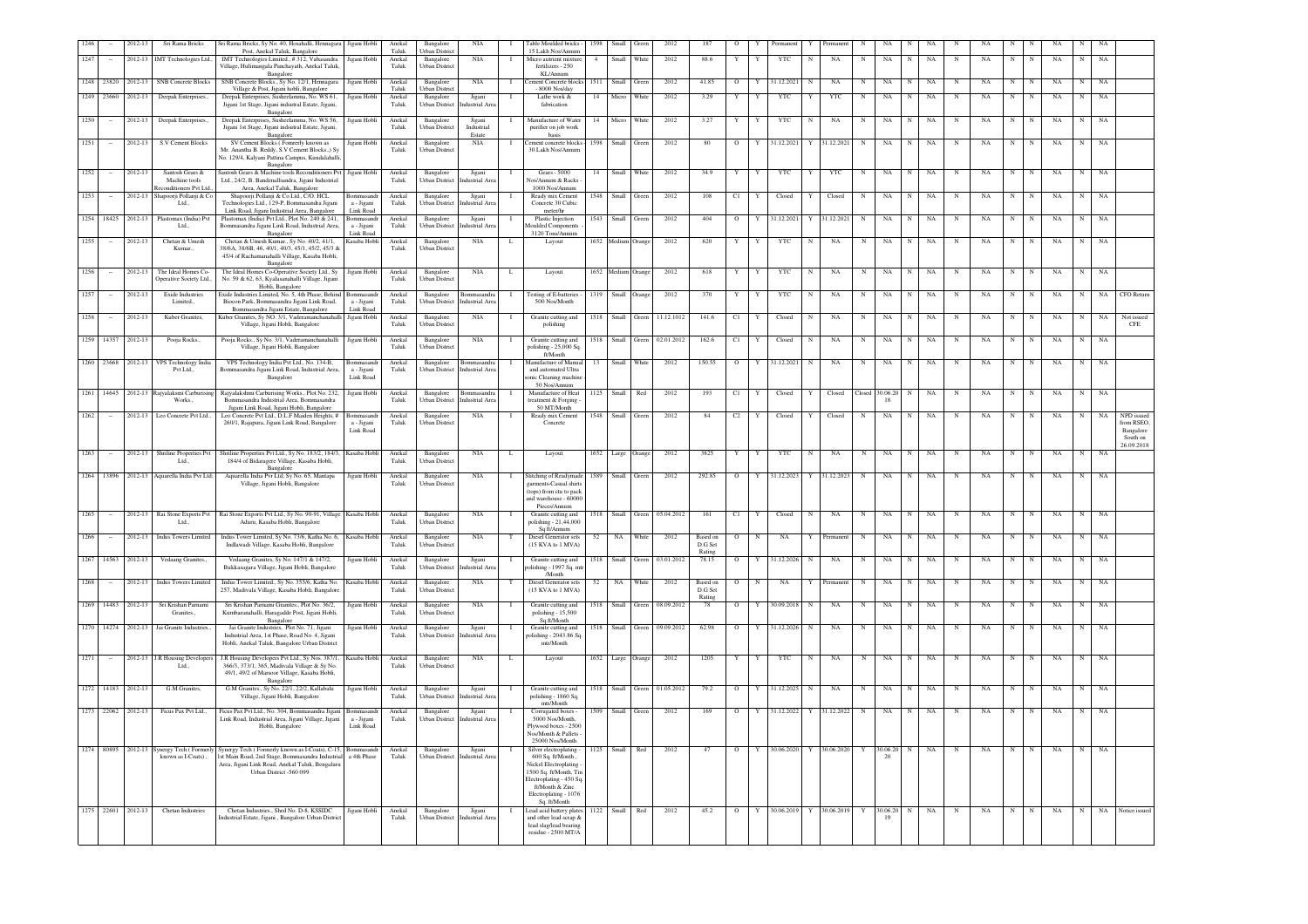|      |            |             | Sri R                                                    | Sri Rama Bricks, Sy No. 40, Hosahalli, Hennagan<br>Post, Anekal Taluk, Bangalore                                                                 |                           | Anekal<br>Taluk          | Bangalor<br><b>Urban District</b>         | NIA                            |              | able Moulded bricks<br>15 Lakh Nos/Annum                                                                                                                  | 1598 |                   |       | 201        |                               |                |   |                 |   |             |            |                |            |             |           |             |              |            |           |            |    |                                     |
|------|------------|-------------|----------------------------------------------------------|--------------------------------------------------------------------------------------------------------------------------------------------------|---------------------------|--------------------------|-------------------------------------------|--------------------------------|--------------|-----------------------------------------------------------------------------------------------------------------------------------------------------------|------|-------------------|-------|------------|-------------------------------|----------------|---|-----------------|---|-------------|------------|----------------|------------|-------------|-----------|-------------|--------------|------------|-----------|------------|----|-------------------------------------|
|      |            | 2012-13     | IMT Technologies Ltd.,                                   | IMT Technologies Limited., #312, Vabasandra<br>Village, Hulimangala Panchayath, Anekal Taluk,                                                    | Iigani Hobli              | Anckal<br>Taluk          | Bangalore<br><b>Urban Distric</b>         | <b>NIA</b>                     |              | Micro autrient mixture<br>fertilizers - 250                                                                                                               |      | <b>Smal</b>       | Vhit  | 2012       | 886                           |                |   | <b>YTC</b>      |   | NA          |            | NA             |            | NA          |           | NA          |              |            |           |            |    |                                     |
| 1248 | 23820      | 2012-13     | <b>SNB</b> Concrete Blocks                               | Bangalore<br>SNB Concrete Blocks., Sy No. 12/1, Hennagara                                                                                        | Jigani Hobli              | Anckal                   | Bangalore                                 | <b>NIA</b>                     |              | KL/Annum<br>ment Concrete block                                                                                                                           | 1511 | Small             | Gree  | 2012       | 41.85                         | $\overline{0}$ |   | 31.12.2021      |   | NA          |            | NA             |            | NA          |           | NA          |              |            | NA        |            |    |                                     |
| 1249 | 23660      | 2012-13     | Deepak Enterprises.                                      | Village & Post, Jigani hobli, Bangalore<br>Deepak Enterprises, Susheelamma, No. WS 61,                                                           | Jigani Hobli              | Taluk<br>Anekal          | <b>Urban District</b><br>Bangalore        | Jigani                         |              | - 8000 Nos/day<br>Lathe work &                                                                                                                            | 14   | Micro             | White | 2012       | 3.29                          | Y              |   | <b>YTC</b>      |   | <b>YTC</b>  | N          | NA             | N          | NA          | N         | NA          | N            | N          | <b>NA</b> |            | NA |                                     |
|      |            |             |                                                          | Jigani 1st Stage, Jigani indsutral Estate, Jigani,<br>Bangalore                                                                                  |                           | Taluk                    | <b>Urban Distric</b>                      | dustrial An                    |              | fabrication                                                                                                                                               |      |                   |       |            |                               |                |   |                 |   |             |            |                |            |             |           |             |              |            |           |            |    |                                     |
| 1250 |            | 2012-13     | Deepak Enterprises.,                                     | Deepak Enterprises, Susheelamma, No. WS 56,<br>Jigani 1st Stage, Jigani indsutral Estate, Jigani,<br>Bangalore                                   | Jigani Hobli              | Anekal<br>Taluk          | Bangalore<br><b>Urban Distric</b>         | Jigani<br>Industrial<br>Estate |              | Manufacture of Water<br>purifier on job work<br>basis                                                                                                     | 14   | Micro             | Whit  | 2012       | 3.27                          | Y              |   | YTC             |   | $_{\rm NA}$ | N          | NA             |            | $_{\rm NA}$ | N         | $_{\rm NA}$ |              | N          | NA        |            | NA |                                     |
| 1251 |            | 2012-13     | S.V Cement Blocks                                        | SV Cement Blocks (Formerly known as<br>Mr. Anantha B. Reddy, S.V Cement Blocks.,) Sy<br>No. 129/4, Kalyani Pattina Campus, Kundalahalli,         | Jigani Hobli              | Anekal<br>Taluk          | Bangalore<br>Urban Distric                | <b>NIA</b>                     |              | ement concrete blocks<br>30 Lakh Nos/Annun                                                                                                                | 1598 | Small             | Green | 2012       | -80                           | $\Omega$       |   | 31.12.2021      |   | 31.12.2021  | N          | NA             | N          | NA          | N         | NA          | N            | N          | <b>NA</b> | N          | NA |                                     |
| 1252 |            | 2012-13     | Santosh Gears &<br>Machine tools                         | Bangalore<br>Santosh Gears & Machine tools Reconditioners Pvt<br>Ltd., 24/2, B. Bandenallsandra, Jigani Industrial                               | Jigani Hobli              | Anekal<br>Taluk          | Bangalore<br><b>Urban District</b>        | Jigani<br>ndustrial An         |              | Gears - 5000<br>los/Annum & Racks                                                                                                                         | 14   | Small             | White | 2012       | 34.9                          |                |   | YTC             |   | YTC         | N          | NA             |            | NA          | $\bar{N}$ | NA          | $_{\rm N}$   |            | NA        |            | NA |                                     |
| 1253 |            | 2012-13     | econditioners Pvt Ltd<br>Shapoorii Pollanii & C<br>Ltd., | Area, Anekal Taluk, Bangalore<br>Shapoorii Pollanii & Co Ltd., C/O. HCL<br>Technologies Ltd., 129-P, Bommasandra Jigani                          | kommasand<br>a - Jigani   | Anekal<br>Taluk          | Bangalore<br><b>Urban District</b>        | Jigani<br>dustrial An          |              | 1000 Nos/Annum<br>Ready mix Cement<br>Concrete 30 Cubic                                                                                                   | 1548 | Small             | Greer | 2012       | 108                           | C1             |   | Closed          |   | Closed      | N          | NA.            |            | NA.         | N         | <b>NA</b>   | N            |            | <b>NA</b> |            | NA |                                     |
| 1254 | 18425      | 2012-13     | Plastomax (India) Pv<br>Ltd.,                            | Link Road, Jigani Industrial Area, Bangalore<br>Plastomax (India) Pvt Ltd., Plot No. 240 & 241,<br>Bommasandra Jigani Link Road, Industrial Area | Link Road<br>a - Jigani   | Anekal<br>Taluk          | Bangalore<br><b>Urban District</b>        | Jigani<br>dustrial Are         |              | meter/hr<br><b>Plastic Injection</b><br><b>Ioulded Components</b>                                                                                         | 1543 | small             |       | 2012       | 404                           | $\overline{O}$ |   | 1.12.2021       |   | 1.12.202    |            | NA             |            | NA          |           | NA          |              |            |           |            |    |                                     |
| 1255 |            | 2012-1      | Chetan & Umesh                                           | Bangalore<br>Chetan & Umesh Kumar., Sy No. 40/2, 41/1,                                                                                           | Link Road<br>Kasaba Hobli | Anekal                   | Bangalore                                 | <b>NIA</b>                     |              | 3120 Tons/Annum<br>Layout                                                                                                                                 | 1652 | Medium Orano      |       | 2012       | 620                           |                |   | YTC             |   | NA          |            | NA             |            | NA          |           | NA          |              |            |           |            |    |                                     |
|      |            |             | Kumar.                                                   | 38/6A, 38/6B, 46, 40/1, 40/3, 45/1, 45/2, 45/3 &<br>45/4 of Rachamanahalli Village, Kasaba Hobli,<br>Bangalore                                   |                           | Taluk                    | <b>Urban Distric</b>                      |                                |              |                                                                                                                                                           |      |                   |       |            |                               |                |   |                 |   |             |            |                |            |             |           |             |              |            |           |            |    |                                     |
| 1256 |            | $2012 - 13$ | The Ideal Homes Co-<br>Operative Society Ltd.            | The Ideal Homes Co-Operative Society Ltd., Sy<br>No. 59 & 62, 63, Kyalasanahalli Village, Jigani<br>Hobli, Bangalore                             | Jigani Hobli              | Anekal<br>Taluk          | Bangalore<br><b>Urban Distric</b>         | <b>NIA</b>                     | $\mathbf{L}$ | Layout                                                                                                                                                    |      | 1652 Medium Orano |       | 2012       | 618                           |                |   | <b>YTC</b>      |   | <b>NA</b>   | N          | <b>NA</b>      |            | NA          |           | NA          | N            | N          | <b>NA</b> |            | NA |                                     |
|      |            | $2012 -$    | <b>Exide Industries</b><br>Limited.                      | tries Limited, No. 5, 4th Phase, Behin<br>Biocon Park, Bommasandra Jigani Link Road,<br>Bommasandra Jigani Estate, Bangalore                     | a - Jigani<br>Link Road   | Aneka<br>Taluk           | Bangalore<br><b>Urban District</b>        | ndustrial Are                  |              | <b>Cesting of E-batteries</b><br>500 Nos/Month                                                                                                            | 1319 | small             | )rang | 2012       |                               |                |   | YT <sub>C</sub> |   | NA          |            | NA             |            | NA          |           | NA          |              |            |           |            | NA | CFO Retu                            |
|      |            | 2012-13     | Kuber Granites                                           | Kuber Granites Sv NO 3/1 Vaderamanchar<br>Village, Jigani Hobli, Bangalore                                                                       | Jigani Hobli              | Anekal<br>Taluk          | <b>Bangalore</b><br><b>Urban District</b> | <b>NIA</b>                     |              | Granite cutting and<br>polishing                                                                                                                          | 1518 | Small Green       |       | 11.12.1012 | 141.6                         | C1             |   | Closed          |   | NA          |            | NA             |            | NA.         |           | <b>NA</b>   |              |            |           |            | NA | Not issued<br>CFE                   |
|      |            | $2012 - 13$ | Pooja Rocks.                                             | Pooja Rocks., Sy No. 3/1, Vaderamanchanahalli<br>Village, Jigani Hobli, Bangalore                                                                | Jigani Hobi               | Anckal<br>Taluk          | Bangalore<br><b>Urban Distric</b>         |                                |              | Granite cutting and<br>polishing - 25,000 Sq<br>ft/Month                                                                                                  |      |                   |       | 02.01.201  | 162.0                         |                |   | Closed          |   | NA          |            | NA             |            | NA          |           | NA          |              |            |           |            |    |                                     |
| 1260 | 23668      | 2012-13     | VPS Technology India<br>Pvt Ltd.,                        | VPS Technology India Pvt Ltd., No. 134-B,<br>Bommasandra Jigani Link Road, Industrial Area<br>Bangalore                                          | a - Jigani<br>Link Road   | Anekal<br>Taluk          | Bangalore<br><b>Urban District</b>        | tommasandra<br>ndustrial Are   |              | Aanufacture of Manua<br>and automated Ultra<br>nic Cleaning machin                                                                                        |      | Small             |       | 2012       | 150.55                        | $\circ$        |   | 31.12.202       |   | NA          |            | NA             |            | NA          |           | NA          |              |            |           |            | NA |                                     |
| 1261 | 14645      |             | 2012-13 Rajyalaksmi Carburisi<br>Works.                  | Rajyalakshmi Carburising Works., Plot No. 232,<br>Bommasandra Industrial Area Bommasandra                                                        | Jigani Hobli              | Anckal<br>Taluk          | Bangalore<br><b>Urban District</b>        | sandr<br>ndustrial Are         |              | 50 Nos/Annum<br>Manufacture of Heat<br>treatment & Forging                                                                                                | 1125 | Small             | Red   | 2012       | 193                           | C1             |   | Closed          |   | Closed      |            | 30.06.20<br>18 |            | NA          |           | NA          |              |            |           |            |    |                                     |
| 1262 |            |             | 2012-13 Leo Concrete Pvt Ltd.,                           | Jigani Link Road, Jigani Hobli, Bangalore<br>Leo Concrete Pvt Ltd., D.L.F Maiden Heights, #<br>260/1, Rajapura, Jigani Link Road, Bangalore      | Bommasandı<br>a - Jigani  | Anckal<br>${\rm T}$ aluk | Bangalore<br>Urban Distric                | <b>NIA</b>                     |              | 50 MT/Month<br>Ready mix Cement<br>Concrete                                                                                                               | 1548 | Small             | Green | 2012       | 84                            | C2             | Y | Closed          |   | Closed      | N          | <b>NA</b>      | N          | NA.         | N         | <b>NA</b>   | N            | N          | <b>NA</b> |            | NA | NPD issued<br>from RSEO.            |
|      |            |             |                                                          |                                                                                                                                                  | Link Road                 |                          |                                           |                                |              |                                                                                                                                                           |      |                   |       |            |                               |                |   |                 |   |             |            |                |            |             |           |             |              |            |           |            |    | Bangalore<br>South on<br>26.09.2018 |
| 1263 |            | 2012-13     | Shriline Properties Pvt<br>Ltd.                          | Shriline Properties Pvt Ltd., Sv No. 183/2, 184/3.<br>184/4 of Bidaragere Village, Kasaba Hobli,<br>Bangalore                                    | Kasaba Hobl               | Anekal<br>Taluk          | Bangalore<br><b>Urban Distric</b>         | <b>NIA</b>                     | $\mathbf{L}$ | Lavout                                                                                                                                                    |      | $1652$ Large      | Orang | 2012       | 3825                          | Y              |   | <b>YTC</b>      | N | <b>NA</b>   | N          | <b>NA</b>      | N          | NA          | N         | <b>NA</b>   | $\mathbb{N}$ | $_{\rm N}$ | <b>NA</b> | $_{\rm N}$ | NA |                                     |
| 1264 | 13896      |             |                                                          |                                                                                                                                                  |                           |                          |                                           |                                |              |                                                                                                                                                           |      |                   |       |            |                               |                |   |                 |   |             |            |                |            |             |           |             |              |            |           |            |    |                                     |
|      |            |             | 2012-13 Aquarella India Pvr Ltd                          | Aquarella India Pvr Ltd; Sy No. 65, Mantapa<br>Village, Jigani Hobli, Bangalore                                                                  | igani Hobl                | Anekal<br>Taluk          | Bangalore<br><b>Urban District</b>        | <b>NIA</b>                     |              | litching of Readyma<br>garments-Casual shirts<br>(tops) from ctu to pack                                                                                  | 1589 | Small             |       | 2012       | 292.85                        |                |   | 1.12.202        |   | 1.12.202    |            | NA             |            | NA          |           | NA          |              |            |           |            |    |                                     |
| 1265 |            | 2012-13     | Rai Stone Exports Pvt                                    | Rai Stone Exports Pvt Ltd., Sy No. 90-91, Village                                                                                                | Kasaba Hobli              | Anckal                   | Bangalore                                 | <b>NIA</b>                     |              | ind warehouse - 60000<br>Pieces/Annum<br>Granite cutting and                                                                                              | 1518 | Small             | Green | 05.04.2012 | 161                           | CI.            |   | Closed          |   | <b>NA</b>   | N          | NA             |            | NA          |           | NA          |              |            | NA        |            | NA |                                     |
| 1266 |            |             | Ltd.<br>2012-13 Indus Towers Limited                     | Aduru, Kasaba Hobli, Bangalore<br>Indus Tower Limited, Sy No. 73/6, Katha No. 6,                                                                 | Kasaba Hobli              | Taluk<br>Anekal          | Urban Distric<br>Bangalore                | <b>NIA</b>                     |              | polishing - 21,44,000<br>Sq ft/Annum<br>Diesel Generator sets                                                                                             | 52   | NA                | White | 2012       | Based on                      | $\Omega$       | N | NA              |   | Permaner    | N          | NA             |            | NA          | N         | NA.         | N            |            | NA        |            | NA |                                     |
|      | 14563      |             |                                                          | Indlawadi Village, Kasaba Hobli, Bangalore                                                                                                       |                           | Taluk                    | <b>Urban Distric</b>                      |                                |              | (15 KVA to 1 MVA)                                                                                                                                         | 1518 | Small             | Green |            | D.G Set<br>Rating<br>78.15    |                |   | 1.12.2020       |   | <b>NA</b>   | N          |                |            | NA          |           | NA          |              |            | NA        |            | NA |                                     |
| 1267 |            | 2012-13     | Vedaang Granites.,                                       | Vedaang Granites, Sy No. 147/1 & 147/2,<br>Bukkasagara Village, Jigani Hobli, Bangalore                                                          | Jigani Hobli              | Anckal<br>Taluk          | Bangalore<br><b>Urban Distric</b>         | Jigani<br>dustrial Ar          |              | Granite cutting and<br>olishing - 1997 Sq. m<br>$/M$ onth                                                                                                 |      |                   |       | 03.01.2012 |                               |                |   |                 |   |             |            | NA             |            |             |           |             |              |            |           |            |    |                                     |
| 1268 |            |             | 2012-13 Indus Towers Limited                             | Indus Tower Limited Sv No 355/6 Katha No<br>257, Madivala Village, Kasaba Hobli, Bangalore                                                       | Kasaba Hobl               | Anekal<br>Taluk          | Bangalore<br><b>Urban Distric</b>         | <b>NIA</b>                     |              | Diesel Generator sets<br>(15 KVA to 1 MVA)                                                                                                                | 52   | NA                | White | 2012       | Based on<br>D.G Set<br>Rating |                |   | NA              |   | Permane     | N          | NA             |            | NA          |           | NA          |              |            | NA        |            | NA |                                     |
| 1269 | 14483      | $2012 - 1.$ | Sri Krishan Parnami<br>Granites.                         | Sri Krishan Parnami Granites., Plot No. 36/2,<br>Kumbaranahalli, Haragadde Post, Jigani Hobli,<br>Bangalore                                      | Jigani Hob                | Anekal<br>Taluk          | Bangalore<br><b>Urban District</b>        | <b>NIA</b>                     |              | Granite cutting and<br>polishing - 15,500<br>Sq.ft/Month                                                                                                  |      |                   |       | 08.09.2013 | 78                            |                |   | 0.09.201        |   | <b>NA</b>   |            | NA             |            | NA          |           | NA          |              |            |           |            |    |                                     |
| 1270 |            |             | 14274 2012-13 Jai Granite Industries.                    | Jai Granite Industries Plot No. 71 Jigani<br>Industrial Area, 1st Phase, Road No. 4, Jigani<br>Hobli, Anekal Taluk, Bangalore Urban District     | ligani Hobli              | Anekal<br>Taluk          | <b>Bangalore</b><br><b>Urban District</b> | Jigani<br>ndustrial Are        |              | Granite cutting and<br>olishing - 2043.86 Sc<br>mtr/Month                                                                                                 | 1518 | Small Green       |       | 09.09.2012 | 62.98                         | $\Omega$       |   | 31.12.2026      |   | NA          |            | NA             |            | NA          |           | NA          |              |            |           |            |    |                                     |
| 1271 |            |             | 2012-13 J.R Housing Developer:<br>Ltd.                   | J.R Housing Developers Pvt Ltd., Sy Nos. 387/1,<br>366/3, 373/1, 365, Madivala Village & Sy No.<br>49/1, 49/2 of Marsoor Village, Kasaba Hobli,  | Casaba Hobl               | Anekal<br>Taluk          | Bangalore<br><b>Urban Distric</b>         | <b>NIA</b>                     | L            | Layout                                                                                                                                                    |      | 1652 Large        | Orang | 2012       | 1205                          |                |   | YTC             |   | $_{\rm NA}$ | $_{\rm N}$ | NA             |            | NA          | N         | NA          |              |            | NA        |            | NA |                                     |
| 1272 | 14183      | 2012-13     | G.M Granites.                                            | Bangalore<br>G.M Granites., Sy No. 22/1, 22/2, Kallabalu<br>Village, Jigani Hobli, Bangalore                                                     | Jigani Hobli              | Anekal<br>Taluk          | Bangalore<br><b>Urban District</b>        | Jigani<br>dustrial Ar          |              | Granite cutting and<br>polishing - 1860 Sq.                                                                                                               |      | 1518 Small        | Green | 01.05.2012 | 79.2                          | $\circ$        |   | 31.12.2025      |   | <b>NA</b>   | N          | NA             | N          | NA          | N         | <b>NA</b>   | N            |            | <b>NA</b> |            | NA |                                     |
|      | 1273 22062 | 2012-13     | Ficus Pax Pvt Ltd.,                                      | Ficus Pax Pvt Ltd., No. 304, Bommasandra Jigani<br>Link Road, Industrial Area, Jigani Village, Jigani<br>Hobli, Bangalore                        | a - Jigani<br>Link Road   | Anekal<br>Taluk          | Bangalore<br><b>Urban District</b>        | Jigani<br>dustrial An          |              | mtr/Month<br>Corrugated boxes -<br>5000 Nos/Month<br>Plywood boxes - 2500                                                                                 | 1509 | Small             | Green | 2012       | 169                           | $\circ$        |   | 31.12.2022      |   | 31.12.2022  | N          | $_{\rm NA}$    | $_{\rm N}$ | $_{\rm NA}$ | N         | $_{\rm NA}$ | N            |            | <b>NA</b> | $_{\rm N}$ | NA |                                     |
| 1274 | 80895      | 2012-13     | Synergy Tech (Former                                     | Synergy Tech (Formerly known as I-Coats), C-15                                                                                                   |                           | Aneka                    | Bangalore                                 | Jigani                         |              | los/Month & Pallets<br>25000 Nos/Month<br>Silver electroplating -                                                                                         | 1125 | Small             | Red   | 2012       | 47                            | $\overline{O}$ |   | 30.06.2020      |   | 30.06.2020  |            | 30.06.20       |            | NA          |           | NA          | N            |            | NA        |            | NA |                                     |
|      |            |             | known as I-Coats)                                        | st Main Road, 2nd Stage, Bommasandra Industria<br>Area, Jigani Link Road, Anekal Taluk, Bengaluru<br>Urban District -560 099                     | a 4th Phase               | ${\rm T}$ aluk           | <b>Urban District</b>                     | dustrial An                    |              | 600 Sq. ft/Month<br>Nickel Electroplating<br>1500 Sq. ft/Month. Tip<br>lectroplating - 450 Sq<br>ft/Month & Zinc<br>Electroplating - 1076<br>Sq. ft/Month |      |                   |       |            |                               |                |   |                 |   |             |            | 20             |            |             |           |             |              |            |           |            |    |                                     |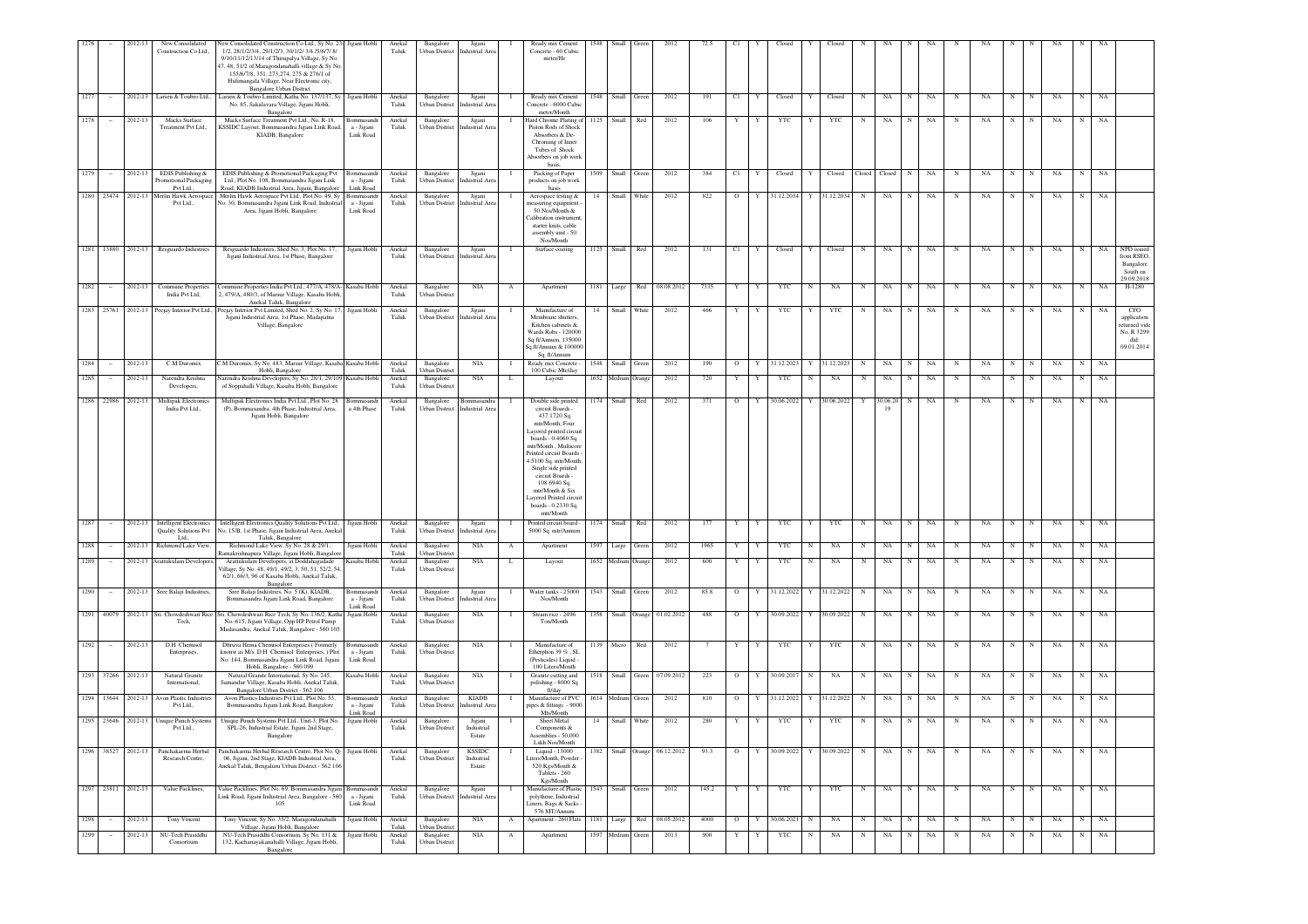|              |       | 2012-13                                  | New Consolidated<br>Construction Co Ltd.,                               | lew Consolidated Construction Co Ltd., Sv No. 23<br>1/2, 28/1/2/3/4, 29/1/2/3, 30/1/2/3/4 /5/6/7/8/<br>9/10/11/12/13/14 of Thirupalya Village, Sy No.<br>47, 48, 51/2 of Maragondanahalli village & Sy No<br>155/6/7/8, 351, 273, 274, 275 & 276/1 of<br>Hulimangala Village, Near Electronic city,<br>Bangalore Urban District | Jigani Hobli                               | Anekal<br>${\rm \texttt{Taluk}}$ | Bangalore                                       | Jigani<br>Urban District Industrial Area |                   | Ready mix Cement<br>Concrete - 60 Cubic<br>meter/Hr                                                                                                                                                                                                                                                                                        | 1548                | Small            | Green          | 2012                                 | 72.5        | C1               |   | Closed             |   |                  |                            |               |            |                   |            |                   |                      |                 |                 |             |                                                                              |
|--------------|-------|------------------------------------------|-------------------------------------------------------------------------|---------------------------------------------------------------------------------------------------------------------------------------------------------------------------------------------------------------------------------------------------------------------------------------------------------------------------------|--------------------------------------------|----------------------------------|-------------------------------------------------|------------------------------------------|-------------------|--------------------------------------------------------------------------------------------------------------------------------------------------------------------------------------------------------------------------------------------------------------------------------------------------------------------------------------------|---------------------|------------------|----------------|--------------------------------------|-------------|------------------|---|--------------------|---|------------------|----------------------------|---------------|------------|-------------------|------------|-------------------|----------------------|-----------------|-----------------|-------------|------------------------------------------------------------------------------|
| 1277         |       |                                          |                                                                         | 2012-13 Larsen & Toubro Ltd., Larsen & Toubro Limited, Katha No. 137/137, Sy<br>No. 85, Sakalavara Village, Jigani Hobli,<br>Bangalore                                                                                                                                                                                          | Jigani Hobli                               | Anekal<br>Taluk                  | Bangalore<br><b>Urban District</b>              | Jigani<br>dustrial An                    |                   | Ready mix Cement<br>Concrete - 6000 Cubi<br>meter/Month                                                                                                                                                                                                                                                                                    | 1548                | Small            | Green          | 2012                                 | 191         | Cl               |   | Closed             |   | Closed           | N                          | $_{\rm NA}$   | N          | <b>NA</b>         | N          | NA                | N<br>$_{\rm N}$      | NA              | N               | NA          |                                                                              |
| 1278         |       | 2012-13                                  | <b>Macks Surface</b><br>Treatment Pvt Ltd.,                             | Macks Surface Treatment Pvt Ltd., No. R-18.<br>CSSIDC Layout, Bommasandra Jigani Link Road<br>KIADB, Bangalore                                                                                                                                                                                                                  | ommasand<br>a - Jigani<br>Link Road        | Anekal<br>Taluk                  | Bangalore<br><b>Urban District</b>              | Jigani<br>ndustrial Area                 |                   | Hard Chrome Plating of<br>Piston Rods of Shock<br>Absorbers & De-<br>Chroming of Inner<br>Tubes of Shock<br>bsorbers on job wor<br>basis                                                                                                                                                                                                   | 1125 Small          |                  | Red            | 2012                                 | 106         | Y                |   | <b>YTC</b>         |   | <b>YTC</b>       | N                          | NA            | N          | NA                | N          | NA                | N<br>N               | NA              | N               | NA          |                                                                              |
| 1279         |       | 2012-13                                  | EDIS Publishing &<br>romotional Packaging<br>Pvt Ltd.                   | EDIS Publishing & Promotional Packaging Pv<br>Ltd., Plot No. 108, Bommasandra Jigani Link<br>Road, KIADB Industrial Area, Jigani, Bangalore                                                                                                                                                                                     | mmasano<br>a - Jigani<br>Link Road         | Aneka<br>Taluk                   | Bangalore<br><b>Urban District</b>              | Jigan<br>dustrial An                     |                   | Packing of Paper<br>products on job work<br>hasis                                                                                                                                                                                                                                                                                          | 1509                | Small            | <b>Green</b>   | 2012                                 | 384         | Cl               |   | Closed             |   | Closed           | Closed                     | Closed        |            | NA                |            | NA                |                      |                 |                 | NA          |                                                                              |
|              |       |                                          | 1280 23474 2012-13 Merlin Hawk Aerospac<br>Pvt Ltd.,                    | Merlin Hawk Aerospace Pvt Ltd., Plot No. 49, Sv<br>No. 30, Bommasandra Jigani Link Road, Industrial<br>Area, Jigani Hobli, Bangalore                                                                                                                                                                                            | Bommasand<br>a - Jigani<br>Link Road       | Anekal<br>${\rm T}$ aluk         | Bangalore<br><b>Urban District</b>              | Jigani<br>Industrial Area                |                   | Aerospace testing &<br>teasuring equipment<br>50 Nos/Month &<br>alibration instrume<br>starter knits, cable<br>assembly unit - 50<br>Nos/Month                                                                                                                                                                                             | 14                  | Small            | White          | 2012                                 | 822         | $\circ$          |   | 31.12.2034         |   | 31.12.2034       | N                          | NA            |            | NA                | N          | NA                | N                    | <b>NA</b>       | N               | <b>NA</b>   |                                                                              |
| 1281         |       |                                          | 13880 2012-13 Resguardo Industries                                      | Reseuardo Industries, Shed No. 3, Plot No. 17.<br>Jigani Industrial Area, 1st Phase, Bangalore                                                                                                                                                                                                                                  | Jigani Hobli                               | Anckal<br>Taluk                  | Bangalore<br><b>Urban District</b>              | Jigan<br>lustrial Are                    |                   | Surface coating                                                                                                                                                                                                                                                                                                                            | 1125                | Small            | Red            | 2012                                 | 131         | Cl               |   | Closed             |   | Closed           | $_{\rm N}$                 | $_{\rm NA}$   | $_{\rm N}$ | NA                | N          | NA                | N<br>N               | NA              | $_{\rm N}$      | NA          | NPD issue<br>from RSEO,<br>Bangalore<br>South on<br>29.09.2018               |
| 1282         |       | 2012-13                                  | Commune Propertio<br>India Pvt Ltd,                                     | Commune Properties India Pvt Ltd., 477/A, 478/A-<br>2, 479/A, 480/3, of Marsur Village, Kasaba Hobli,<br>Anekal Taluk, Bangalore                                                                                                                                                                                                | asaba Hob                                  | Aneka<br>Taluk                   | Bangalore<br><b>Urban District</b>              | NIA                                      | $\mathbf{A}$      | Apartment                                                                                                                                                                                                                                                                                                                                  | 1181 Large          |                  | Red            | 08.08.2012                           | 7335        |                  |   | <b>YTC</b>         |   | NA               |                            | NA            |            | NA                |            | NA                |                      | NA              |                 | NA          | H-1280                                                                       |
| 1283         | 25761 |                                          | 2012-13 Peejay Interior Pvt Ltd.                                        | Peeiav Interior Pvt Limited. Shed No. 2, Sv No. 17.<br>Jigani Industrial Area, 1st Phase, Madapatna<br>Village, Bangalore                                                                                                                                                                                                       | Jigani Hobl                                | Anekal<br>${\rm T}$ aluk         | Bangalore<br><b>Urban District</b>              | Jigani<br>Industrial Area                |                   | Manufacture of<br>Membrane shutters,<br>Kitchen cabinets &<br>Wards Robs - 120000<br>Sq ft/Annum, 135000<br>Sq.ft/Annum & 100000<br>Sq. ft/Annum                                                                                                                                                                                           | 14                  | Small            | White          | 2012                                 | 466         |                  |   | <b>YTC</b>         |   | <b>YTC</b>       |                            | NA            |            | NA                |            | NA                |                      |                 |                 |             | <b>CFO</b><br>application<br>eturned vid<br>No. R 3299<br>dtd:<br>09.01.2014 |
| 1284<br>1285 |       | 2012-13<br>2012-13                       | C.M Duromiz<br>Narendra Krishna                                         | C.M Duromix, Sy No. 483, Marsur Village, Kasaba Kasaba Hobli<br>Hobli, Bangalore<br>Narendra Krishna Developers, Sy No. 28/1, 29/109 Kasaba Hobli                                                                                                                                                                               |                                            | Anekal<br>Taluk<br>Anekal        | Bangalor<br><b>Urban District</b><br>Bangalore  | <b>NIA</b><br>NIA.                       | $\mathbf{L}$      | Ready mix Concrete<br>100 Cubic Mtr/day<br>Layout                                                                                                                                                                                                                                                                                          | 1548<br>1652 Medium | Small            | Greer<br>Orano | 2012<br>2012                         | 190<br>720  | $\mathbf O$<br>Y |   | 31.12.2023<br>YTC. | N | 31.12.2023<br>NA | $_{\rm N}$<br>$\mathbf{N}$ | NA<br>NA      | N          | NA<br>NA.         | N<br>N     | NA<br>NA.         | N<br>$_{\rm N}$<br>N | NA<br><b>NA</b> | $_{\rm N}$<br>N | NA<br>NA    |                                                                              |
|              | 22986 |                                          | Developers.                                                             | of Soppahalli Village, Kasaba Hobli, Bangalore                                                                                                                                                                                                                                                                                  |                                            | Taluk                            | <b>Urban Distric</b>                            |                                          |                   |                                                                                                                                                                                                                                                                                                                                            |                     |                  |                |                                      |             |                  |   |                    |   |                  |                            |               |            |                   |            |                   |                      |                 |                 |             |                                                                              |
| 1286         |       | 2012-13                                  | Multipak Electronio<br>India Pvt Ltd.,                                  | Multipak Electronics India Pvt Ltd., Plot No. 28<br>(P), Bommasandra, 4th Phase, Industrial Area,<br>Jigani Hobli, Bangalore                                                                                                                                                                                                    | a 4th Phase                                | Aneka<br>Taluk                   | Bangalore<br><b>Urban District</b>              | Industrial Are                           |                   | Double side printed<br>circuit Boards<br>437 1720 So<br>mtr/Month, Four<br>ayered printed circu<br>boards - 0.4060 Sq.<br>mtr/Month . Multicor<br>Printed circuit Boards<br>4.5100 Sq. mtr/Month<br>Single side printed<br>circuit Boards -<br>108.6940 Sq.<br>mtr/Month & Six<br>avered Printed circu<br>boards - 0.2330 Sq.<br>mtr/Month | 1174                | Small            | Red            | 2012                                 | 371         | $\overline{0}$   |   | 30.06.2022         |   | 30.06.2022       |                            | 30.06.2<br>19 |            | NA                |            | NA                |                      | NA              | N               | NA          |                                                                              |
| 1287         |       | 2012-13                                  | <b>Intelligent Electronics</b><br><b>Ouality Solutions Pvt</b><br>Ltd., | Intelligent Electronics Quality Solutions Pvt Ltd.,<br>No. 15/B, 1st Phase, Jigani Industrial Area, Aneka<br>Taluk, Bangalore                                                                                                                                                                                                   | Jigani Hobli                               | Anckal<br>Taluk                  | Bangalore<br><b>Urban District</b>              | Jigani<br>ndustrial Are                  |                   | Printed circuit board -<br>5000 Sq. mtr/Annun                                                                                                                                                                                                                                                                                              | 1174 Small          |                  | Red            | 2012                                 | 177         | Y                |   | <b>YTC</b>         |   | YTC              | $_{\rm N}$                 | NA            | $_{\rm N}$ | NA                | $_{\rm N}$ | NA                | N<br>$_{\rm N}$      | NA              | $\,$ N          | NA          |                                                                              |
| 1288         |       | 2012-13                                  | <b>Richmond Lake View</b>                                               | Richmond Lake View, Sv No. 28 & 29/1.<br>makrishnapura Village, Jigani Hobli, Bangalo                                                                                                                                                                                                                                           | Jigani Hobl                                | Anekal<br>Taluk                  | Bangalore<br>Jrban Distri                       | <b>NIA</b>                               | $\mathbf{A}$      | Apartment                                                                                                                                                                                                                                                                                                                                  | 1597                | Large            | Green          | 2012                                 | 1965        | Y                |   | <b>YTC</b>         |   | NA               | N                          | NA.           | N          | <b>NA</b>         | N          | NA                | N<br>N               | <b>NA</b>       | N               | NA          |                                                                              |
| 1289         |       |                                          | 2012-13 Arattukulam Developer:                                          | Arattukulam Developers, at Doddahagadade<br>Village, Sv No. 48, 49/1, 49/2, 3, 50, 51, 52/2, 54<br>62/1, 66/3, 96 of Kasaba Hobli, Anekal Taluk,<br>Bangalore                                                                                                                                                                   | isaba Hob                                  | Anekal<br>Taluk                  | Bangalore<br><b>Urban District</b>              | <b>NIA</b>                               | L                 | Layout                                                                                                                                                                                                                                                                                                                                     | 1652 Mediu          |                  | <b>Irang</b>   | 2012                                 | 600         |                  |   | YTC                |   | $_{\rm NA}$      |                            | NA            |            | NA                | N          | NA                | $_{\rm N}$           | NA              |                 | $_{\rm NA}$ |                                                                              |
| 1290         |       | 2012-13                                  | Sree Balaji Industries                                                  | Sree Balaji Industries, No. 5 (K), KIADB,<br>Bommasandra Jigani Link Road, Bangalore                                                                                                                                                                                                                                            | ommasand<br>a - Jigani<br>Link Road        | Anekal<br>Taluk                  | Bangalore<br><b>Urban District</b>              | Jigani<br>ustrial Ar                     |                   | Water tanks - 25000<br>Nos/Month                                                                                                                                                                                                                                                                                                           | 1543                | Small            | Green          | 2012                                 | 85.8        | $\overline{0}$   |   | 31.12.2022         |   | 31.12.2022       |                            | NA            |            | NA                |            | NA                |                      | NA              |                 | NA          |                                                                              |
| 1291         | 40079 |                                          | Tech,                                                                   | 2012-13 Sri. Chowdeshwari Rice Sri. Chowdeshwari Rice Tech. Sv No. 136/2. Katha<br>No.-615, Jigani Village, Opp HP Petrol Pump<br>Madasandra, Anekal Taluk, Bangalore - 560 10:                                                                                                                                                 | Jigani Hobli                               | Anekal<br>Taluk                  | Bangalore<br><b>Urban District</b>              | <b>NIA</b>                               |                   | Steam rice - 2496<br>Ton/Month                                                                                                                                                                                                                                                                                                             | 1358                | Small            | Orange         | 01.02.2012                           | 488         | $\circ$          |   | 30.09.2022         |   | 30.09.2022       |                            | NA.           |            | NA                |            | NA                |                      | NA              |                 | NA          |                                                                              |
| 1292         |       | 2012-13                                  | D.H. Chemisol<br>Enterprises.                                           | Dhruva Hema Chemisol Enterprises (Formerly<br>knonw as M/s. D.H Chemisol Enterprises. ) Plot<br>No. 144, Bommasandra Jigani Link Road, Jigani<br>Hobli, Bangalore - 560 099                                                                                                                                                     | <b>Bommasan</b><br>a - Jigani<br>Link Road | Anekal<br>Taluk                  | Bangalore<br><b>Urban District</b>              | <b>NIA</b>                               |                   | Manufacture of<br>Etherphon 39 % . SI<br>(Pesticides) Liquid<br>100 Liters/Month                                                                                                                                                                                                                                                           | 1139 Micro          |                  | Red            | 2012                                 |             |                  |   | <b>YTC</b>         |   | <b>YTC</b>       | N                          | NA            | N          | NA                | N          | NA                | N<br>N               | NA              | $_{\rm N}$      | NA          |                                                                              |
|              |       | 1293 37266 2012-13                       | Natural Granite<br>International.                                       | Natural Granite International, Sy No. 245,<br>Samandur Village, Kasaba Hobli, Anekal Taluk,<br>Bangalore Urban District - 562 106                                                                                                                                                                                               | Kasaba Hobl                                | Anekal<br>Taluk                  | Bangalore<br><b>Urban District</b>              | <b>NIA</b>                               |                   | Granite cutting and<br>polishing - 8000 Sq<br>ft/day                                                                                                                                                                                                                                                                                       |                     | 1518 Small Green |                | 07.09.2012                           | 223         | $\overline{0}$   |   | 30.09.2017         |   | NA               | N                          | NA            |            | NA                | N          | NA                | N                    | NA              |                 | NA          |                                                                              |
| 1294         | 13644 | 2012-13                                  | Avon Plastic Industr<br>Pvt Ltd.,                                       | Avon Plastics Industries Pvt Ltd., Plot No. 53,<br>Bommasandra Jigani Link Road, Bangalore                                                                                                                                                                                                                                      | a - Jigani<br>Link Road                    | Aneka<br>Taluk                   | Bangalore<br><b>Urban District</b>              | <b>KIADB</b><br>dustrial Are             |                   | Manufacture of PVC<br>pipes & fittings - 9000<br>Mts/Month                                                                                                                                                                                                                                                                                 | 1614 Medi           |                  | Greer          | 2012                                 | 810         | $\overline{0}$   |   | 31.12.2022         |   | 1.12.2022        | N                          | NA            |            | NA                |            | NA                |                      | NA              |                 | NA          |                                                                              |
|              |       |                                          | 1295 23646 2012-13 Unique Punch System<br>Pvt Ltd.,                     | Unique Punch Systems Pvt Ltd., Unit-3, Plot No.<br>SPL-26, Industrial Estate, Jigani 2nd Stage,<br>Bangalore                                                                                                                                                                                                                    | Jigani Hobli                               | Anekal<br>Taluk                  | Bangalore<br><b>Urban District</b>              | Jigani<br>Industrial<br>Estate           |                   | Sheet Metal<br>Components &<br>Assemblies - 50,000<br>Lskh Nos/Month                                                                                                                                                                                                                                                                       | 14                  | Small            | White          | 2012                                 | 280         | Y                |   | YTC                |   | YTC              | N                          | NA            | N          | <b>NA</b>         | N          | NA                | $_{\rm N}$<br>N      | <b>NA</b>       | $_{\rm N}$      | NA          |                                                                              |
|              |       | 1296 38527 2012-13<br>1297 23811 2012-13 | Panchakarma Herbal<br>Research Centre<br>Value Packlines                | Panchakarma Herbal Research Centre, Plot No. Q- Jigani Hobli<br>06, Jigani, 2nd Stage, KIADB Industrial Area,<br>Anekal Taluk, Bengaluru Urban District - 562 106<br>Value Packlines, Plot No. 69, Bommasandra Jigani                                                                                                           |                                            | Anekal<br>Taluk<br>Anekal        | Bangalore<br><b>Urban District</b><br>Bangalore | <b>KSSIDC</b><br>Industrial<br>Estate    |                   | Liquid - 13000<br>iters/Month Powder<br>520 Kgs/Month &<br>Tablets - 260<br>Kgs/Month<br>Manufacture of Plasti                                                                                                                                                                                                                             | 1543 Small          |                  | Green          | 1382 Small Orange 06.12.2012<br>2012 | 93.3        | $\circ$          | Y | 30.09.2022         | v | 30.09.2022       | $_{\rm N}$                 | $_{\rm NA}$   | N          | $_{\rm NA}$<br>NA | $_{\rm N}$ | $_{\rm NA}$<br>NA | $_{\rm N}$<br>N      | NA              | $_{\rm N}$      | $_{\rm NA}$ |                                                                              |
|              |       |                                          |                                                                         | Link Road, Jigani Industrial Area, Bangalore - 560<br>105                                                                                                                                                                                                                                                                       | a - Jigani<br>Link Road                    | Taluk                            | <b>Urban District</b>                           | Jigan<br><b>Industrial Area</b>          |                   | polythene. Industrial<br>iners, Bags & Sacks<br>576 MT/Annum                                                                                                                                                                                                                                                                               |                     |                  |                |                                      | 145.2       |                  |   | YTC                |   | YTC              |                            | NA            |            |                   |            |                   |                      |                 |                 |             |                                                                              |
| 1298<br>1299 |       | 2012-13<br>2012-13                       | <b>Tony Vincen</b><br>NU-Tech Prasiddhi                                 | Tony Vincent, Sy No. 35/2, Maragondanahalli<br>Village, Jigani Hobli, Bangalore<br>NU-Tech Prasiddhi Consortium, Sv No. 131 &                                                                                                                                                                                                   | igani Hobl<br>Jigani Hobl                  | Anekal<br>Taluk<br>Anekal        | Bangalore<br><b>Urban District</b><br>Bangalore | <b>NIA</b><br><b>NIA</b>                 | A<br>$\mathbf{A}$ | Apartment - 260 Flats<br>Apartment                                                                                                                                                                                                                                                                                                         | 1181 Large<br>1597  |                  | Red<br>Greer   | 08.05.2012<br>2013                   | 4000<br>900 | $\overline{0}$   |   | 30.06.2021<br>YTC  |   | NA<br>NA         |                            | NA<br>NA      |            | NA<br>NA          |            | NA<br>NA          |                      | NA<br>NA        |                 | NA<br>NA    |                                                                              |
|              |       |                                          | Consortium                                                              | 132, Kachanayakanahalli Village, Jigani Hobli,<br>Bangalore                                                                                                                                                                                                                                                                     |                                            | Taluk                            | <b>Urban District</b>                           |                                          |                   |                                                                                                                                                                                                                                                                                                                                            |                     |                  |                |                                      |             |                  |   |                    |   |                  |                            |               |            |                   |            |                   |                      |                 |                 |             |                                                                              |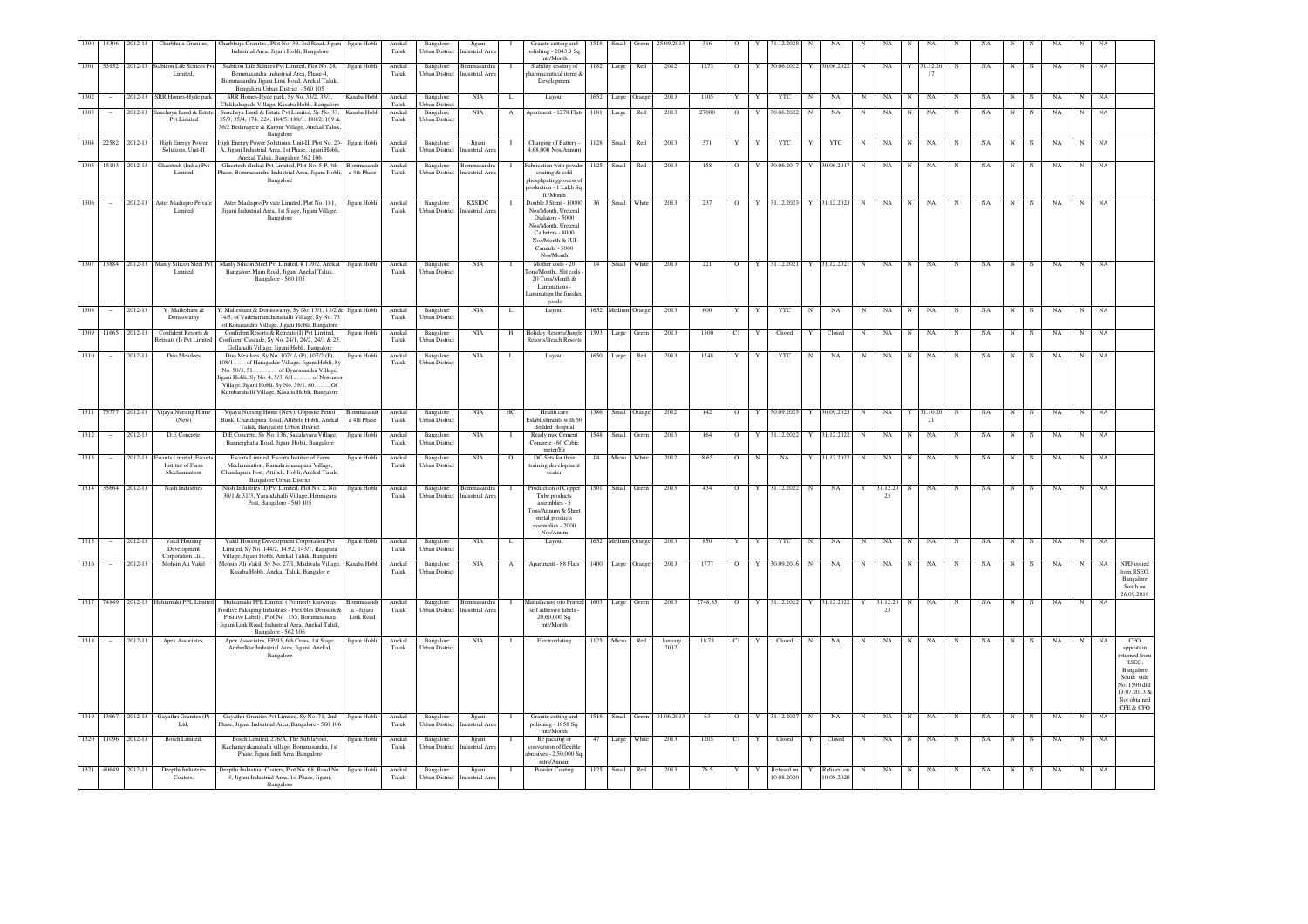| 1300 |        | 14306 2012-13      |                                                          | Charbhuia Granites , Plot No. 39, 3rd Road, Jigani   Jigani Hobli                                                                                                                                                                        |                           | Anckal          | Bangalore                          | Jigani                             |                | Granite cutting and                                                                                                             | 1518 | Small<br>Green       | 25.09.2013      | 316     |                | 31.12.2028               | NA                      |            |                  |   |                  |            |           |            |             |           |                  |                                                                                                               |
|------|--------|--------------------|----------------------------------------------------------|------------------------------------------------------------------------------------------------------------------------------------------------------------------------------------------------------------------------------------------|---------------------------|-----------------|------------------------------------|------------------------------------|----------------|---------------------------------------------------------------------------------------------------------------------------------|------|----------------------|-----------------|---------|----------------|--------------------------|-------------------------|------------|------------------|---|------------------|------------|-----------|------------|-------------|-----------|------------------|---------------------------------------------------------------------------------------------------------------|
|      |        |                    | Charbhuja Granites,                                      | Industrial Area, Jigani Hobli, Bangalore                                                                                                                                                                                                 |                           | Taluk           | <b>Urban District</b>              | ndustrial Are                      |                | polishing - 2043.8 Sq<br>mtr/Month                                                                                              |      |                      |                 |         |                |                          |                         |            |                  |   |                  |            |           |            |             |           |                  |                                                                                                               |
|      |        |                    | 1301 33952 2012-13 Stabicon Life Scinces Pvt<br>Limited. | Stabicon Life Scinces Pvt Limited, Plot No. 28,<br>Bommasandra Industrial Area, Phase-4.                                                                                                                                                 | Jigani Hobli              | Anekal<br>Taluk | Bangalore<br><b>Urban District</b> | Bommasandra<br>Industrial Area     |                | Stability tessting of<br>harmaceutical items &                                                                                  |      | 1182 Large<br>Red    | 2012            | 1273    | $\circ$        | 30.06.2022               | 30.06.2022              |            | NA               |   | 31.12.20<br>17   |            | NA        |            |             | <b>NA</b> |                  |                                                                                                               |
|      |        |                    |                                                          | Bommasandra Jigani Link Road, Anekal Taluk                                                                                                                                                                                               |                           |                 |                                    |                                    |                | Development                                                                                                                     |      |                      |                 |         |                |                          |                         |            |                  |   |                  |            |           |            |             |           |                  |                                                                                                               |
| 1302 |        |                    | 2012-13 SRR Homes-Hyde park                              | Bengaluru Urban District - 560 105<br>SRR Homes-Hyde park, Sy No. 33/2, 33/3,                                                                                                                                                            | Kasaba Hobli              | Anckal          | Bangalore                          | <b>NIA</b>                         |                | Layout                                                                                                                          |      | 1652 Large<br>Orang  | 2013            | 1105    |                | <b>YTC</b>               | NA                      |            | NA               |   | NA               |            | NA        |            |             | NA        | NA               |                                                                                                               |
| 1303 |        | 2012-13            | Sanchaya Land & Estat                                    | Chikkahagade Village, Kasaba Hobli, Bangalore<br>Sanchaya Land & Estate Pvt Limited, Sy No. 33,                                                                                                                                          | Kasaba Hobli              | Taluk<br>Anekal | <b>Urban District</b><br>Bangalore | <b>NIA</b>                         | A              | Apartment - 1278 Flats                                                                                                          |      | 1181 Large<br>Red    | 2013            | 27000   | $\Omega$       | 30.06.2022               | $_{\rm NA}$             | N          | $_{\rm NA}$      | N | $_{\rm NA}$      | N          | NA        | N          | N           | NA        | NA<br>N          |                                                                                                               |
|      |        |                    | Pyt Limited                                              | 35/3 35/4 174 224 184/5 188/1 188/2 189 &<br>36/2 Bedaragere & Karpur Village, Anekal Taluk,<br>Bangalore                                                                                                                                |                           | Taluk           | <b>Urban Distric</b>               |                                    |                |                                                                                                                                 |      |                      |                 |         |                |                          |                         |            |                  |   |                  |            |           |            |             |           |                  |                                                                                                               |
|      |        | 1304 22582 2012-13 | <b>High Energy Power</b><br>Solutions, Unit-II           | High Energy Power Solutions, Unit-II, Plot No. 20- Jigani Hobli<br>A, Jigani Industrial Area, 1st Phase, Jigani Hobli,                                                                                                                   |                           | Anekal<br>Taluk | Bangalore<br><b>Urban District</b> | Jigani<br>ndustrial Are            |                | Charging of Battery<br>4.68.000 Nos/Annu                                                                                        |      | 1128 Small<br>Red    | 2013            | 371     | Y              | <b>YTC</b>               | YTC                     | $_{\rm N}$ | NA               | N | $_{\rm NA}$      | $_{\rm N}$ | NA        | $_{\rm N}$ | $_{\rm N}$  | NA        | NA<br>$_{\rm N}$ |                                                                                                               |
|      |        | 1305 15103 2012-13 | Glacetech (India) Pvt<br>Limited                         | Anekal Taluk, Bangalore 562 106<br>Glacetech (India) Pvt Limited, Plot No. 5-P, 4th<br>Phase, Bommasandra Industrial Area, Jigani Hobli,                                                                                                 | a 4th Phase               | Anekal<br>Taluk | Bangalore<br><b>Urban District</b> | <b>Bommasandr</b><br>ndustrial Are |                | Fabrication with powder<br>coating & cold                                                                                       |      | 1125 Small<br>Red    | 2013            | 158     | $\circ$        | 30.06.2017               | 30.06.2017              | N          | $_{\rm NA}$      | N | NA               | $_{\rm N}$ | NA        | N          | N           | NA        | N<br>NA          |                                                                                                               |
|      |        |                    |                                                          | Bangalore                                                                                                                                                                                                                                |                           |                 |                                    |                                    |                | phosphpatingprocess<br>oduction - 1 Lakh Sc<br>ft /Month                                                                        |      |                      |                 |         |                |                          |                         |            |                  |   |                  |            |           |            |             |           |                  |                                                                                                               |
| 1306 | $\sim$ |                    | 2012-13 Aster Madispro Private<br>Limited                | Aster Madispro Private Limited, Plot No. 181,<br>Jigani Industrial Area, 1st Stage, Jigani Village,                                                                                                                                      | Jigani Hobli              | Anekal<br>Taluk | Bangalore<br><b>Urban District</b> | <b>KSSIDC</b><br>ndustrial Are     |                | Double J Stent - 10000<br>Nos/Month, Ureteral                                                                                   | 36   | Small<br>White       | 2013            | 237     | $\overline{0}$ | 31.12.2023               | 31.12.2023              | N          | NA               | N | NA               | N          | <b>NA</b> | N          |             | NA        | NA<br>N          |                                                                                                               |
|      |        |                    |                                                          | Bangalore                                                                                                                                                                                                                                |                           |                 |                                    |                                    |                | Dialators - 5000<br>Nos/Month, Ureteral<br>Catheters - 8000<br>Nos/Month & IUI<br>Cannula - 5000<br>Nos/Month                   |      |                      |                 |         |                |                          |                         |            |                  |   |                  |            |           |            |             |           |                  |                                                                                                               |
| 1307 |        |                    | 13884 2012-13 Manly Silicon Steel Pvt<br>Limited         | Manly Silicon Steel Pyt Limited #139/2 Anekal<br>Bangalore Main Road, Jigani Anekal Taluk.                                                                                                                                               | Jigani Hobli              | Anekal<br>Taluk | Bangalore<br><b>Urban District</b> | <b>NIA</b>                         | $\mathbf{I}$   | Mother coils - 20<br>Tons/Month, Slit coils                                                                                     | 14   | Small White          | 2013            | 221     | $\Omega$       | Y 31 12 2021             | Y 31.12.2021 N          |            | <b>NA</b>        | N | <b>NA</b>        | N          | NA.       | N          | N           | NA.       | <b>NA</b><br>N   |                                                                                                               |
|      |        |                    |                                                          | Bangalore - 560 105                                                                                                                                                                                                                      |                           |                 |                                    |                                    |                | 20 Tons/Month &<br>Laminations -<br>aminatign the finishe<br>goods                                                              |      |                      |                 |         |                |                          |                         |            |                  |   |                  |            |           |            |             |           |                  |                                                                                                               |
| 1308 |        | 2012-13            | Y. Mallesham &<br>Doraiswamy                             | . Mallesham & Doraiswamy, Sy No. 13/1, 13/2 & Jigani Hobli<br>14/5, of Vaderamanchanahalli Village, Sy No. 73                                                                                                                            |                           | Anckal<br>Taluk | Bangalore<br><b>Urban Distric</b>  | <b>NIA</b>                         | $\mathbf{I}$ . | Layout                                                                                                                          |      | 1652 Medium Orang    | 2013            | 600     |                | YTC                      | NA                      |            | NA               |   | NA               | N          | NA        | N          |             | NA        | <b>NA</b>        |                                                                                                               |
| 1309 | 11665  | 2012-13            | Confident Resorts &<br>Retreats (I) Pvt Limited          | of Konasandra Village, Jigani Hobli, Bangalore<br>Confident Resorts & Retreats (I) Pvt Limited,<br>Confident Cascade, Sy No. 24/1, 24/2, 24/3 & 25,                                                                                      | Jigani Hobli              | Anekal<br>Taluk | Bangalore<br><b>Urban Distric</b>  | <b>NIA</b>                         | н              | Holiday Resorts/Jungle<br><b>Resorts/Beach Resort</b>                                                                           |      | 1593 Large<br>Green  | 2013            | 1500    | Cl             | Closed                   | Closed                  |            | NA               |   | NA               |            | NA        |            |             | NA        | NA               |                                                                                                               |
| 1310 |        | 2012-13            | Duo Meadoes                                              | Gollahalli Village, Jigani Hobli, Bangalore<br>Duo Meadoes, Sy No. 107/ A (P), 107/2 (P),                                                                                                                                                | Jigani Hobli              | Aneka           | Bangalore                          | <b>NIA</b>                         |                | Layout                                                                                                                          |      | 1650 Large<br>Red    | 2013            | 1248    |                | YTC                      | NA                      |            | NA               |   | NA               |            | NA        |            |             | NA        | NA               |                                                                                                               |
|      |        |                    |                                                          | $108/1$ .<br>of Haragadde Village, Jigani Hobli, Sy<br>No. 50/3, 51 of Dyavasandra Village,<br>igani Hobli, Sy No. 4, 5/3, 6/1 of Nosenoor<br>Village, Jigani Hobli, Sy No. 59/1, 60 Of<br>Kumbarahalli Village, Kasaba Hobli, Bangalore |                           | Taluk           | <b>Urban District</b>              |                                    |                |                                                                                                                                 |      |                      |                 |         |                |                          |                         |            |                  |   |                  |            |           |            |             |           |                  |                                                                                                               |
|      |        |                    | 1311 75777 2012-13 Vijaya Nursing Home                   | Vijaya Nursing Home (New), Opposite Petrol                                                                                                                                                                                               | Bommasandr<br>a 4th Phase | Anckal<br>Taluk | Bangalore<br><b>Urban Distric</b>  | <b>NIA</b>                         | HC             | Health care<br>Establishments with 5                                                                                            |      | 1386 Small Orange    | 2012            | 142     | $\overline{0}$ | 30.09.2023               | Y 30.09.2023 N          |            | NA               |   | Y 31.10.20<br>21 | N          | - NA      | N          | $\mathbf N$ | NA        | NA<br>N          |                                                                                                               |
| 1312 |        | 2012-13            | (New)<br>D.E Concrete                                    | Bunk, Chandapura Road, Attibele Hobli, Anekal<br>Taluk, Bangalore Urban District<br>D.E Concrete, Sy No. 136, Sakalavara Village,                                                                                                        | Jigani Hobli              | Anekal          | Bangalore                          | <b>NIA</b>                         |                | <b>Bedded Hospital</b><br>Ready mix Cement                                                                                      |      | 1548 Small<br>Green  | 2013            | 164     | $\Omega$       | 31.12.2022               | 31.12.2022              |            | NA               |   | NA.              |            | NA        | N          |             | NA        | NA               |                                                                                                               |
| 1313 |        | 2012-13            | Escorts Limited, Escort                                  | Bannerghatta Road, Jigani Hobli, Bangalore<br>Escorts Limited, Escorts Institue of Farm                                                                                                                                                  | Jigani Hobli              | Taluk<br>Anekal | Urban Distric                      | <b>NIA</b>                         |                | Concrete - 60 Cubic<br>meter/Hr<br>DG Sets for their                                                                            |      | Micro<br>White       | 2012            | 8.65    |                | NA                       | 31.12.2022              |            | NA               |   | NA               |            | NA        |            |             | NA        |                  |                                                                                                               |
|      |        |                    | Institue of Farm<br>Mechanisation                        | Mechanisation, Ramakrishanapura Village,<br>Chandapura Post, Attibele Hobli, Anekal Taluk,<br><b>Bangalore Urban District</b>                                                                                                            |                           | Taluk           | Bangalore<br><b>Urban District</b> |                                    |                | training development<br>center                                                                                                  |      |                      |                 |         |                |                          |                         |            |                  |   |                  |            |           |            |             |           |                  |                                                                                                               |
| 1314 | 35664  | 2012-13            | Nash Industries                                          | Nash Industries (I) Pvt Limited, Plot No. 2, No.<br>30/1 & 31/3, Yarandahalli Village, Hennagara<br>Post, Bangalore - 560 105                                                                                                            | Jigani Hobli              | Anckal<br>Taluk | Bangalore<br><b>Urban District</b> | Bommasandra<br>ndustrial Are       |                | Production of Copper<br>Tube products<br>assemblies - 5<br>Tons/Annum & Shee<br>metal products<br>assemblies - 2000<br>Nos/Anum | 1501 |                      | 2013            | 434     |                | 31.12.2022               | NA                      |            | 1.12.2<br>$23\,$ |   |                  |            |           |            |             |           |                  |                                                                                                               |
| 1315 | $\sim$ | 2012-13            | Vakil Housing<br>Development                             | Vakil Housing Development Corporation Pvt<br>Limited, Sy No. 144/2, 143/2, 143/1, Rajapura                                                                                                                                               | Jigani Hobli              | Anckal<br>Taluk | Bangalore<br>Urban Distric         | <b>NIA</b>                         | L              | Layout                                                                                                                          |      | 1652 Medium Orange   | 2013            | 850     |                | <b>YTC</b>               | <b>NA</b>               | N          | NA               | N | NA               | N          | <b>NA</b> | N          | N           | <b>NA</b> | <b>NA</b>        |                                                                                                               |
| 1316 |        | 2012-13            | Corporation Ltd.,<br>Mohsin Ali Vakil                    | Village, Jigani Hobli, Anekal Taluk, Bangalore<br>Mohsin Ali Vakil, Sy No. 27/1, Madivala Village,                                                                                                                                       | Kasaba Hobl               | Anekal          | Bangalore                          | <b>NIA</b>                         | $\mathbf{A}$   | Apartment - 88 Flats                                                                                                            |      | 1400 Large<br>Orange | 2013            | 1777    | $\Omega$       | 30.09.2016               | NA                      | N          | NA               |   | NA.              | N          | <b>NA</b> | N          | N           | NA        | <b>NA</b>        | NPD issued                                                                                                    |
|      |        |                    |                                                          | Kasaba Hobli, Anekal Taluk, Bangalor e                                                                                                                                                                                                   |                           | Taluk           | <b>Urban District</b>              |                                    |                |                                                                                                                                 |      |                      |                 |         |                |                          |                         |            |                  |   |                  |            |           |            |             |           |                  | from RSEO<br>Bangalore<br>South on                                                                            |
| 1317 |        |                    | 74849 2012-13 Huhtamaki PPL Limited                      | Huhtamaki PPL Limited (Formerly known as                                                                                                                                                                                                 |                           | Anekal          | Bangalore                          | Rommasandra                        |                | Manufacture ofo Print                                                                                                           |      | 1603 Large<br>Green  | 2013            | 2748.85 | $\overline{0}$ | 31.12.2022               | Y 31.12.2022 Y          |            | 31.12.20         |   | NA               | N          | NA        | N          | N           | NA        | NA               | 26.09.2018                                                                                                    |
|      |        |                    |                                                          | Positive Pakaging Industries - Flexibles Division &<br>Positive Label) . Plot No. 155. Bommasandra<br>Jigani Link Road, Industrial Area, Anekal Taluk<br>Bangalore - 562 106                                                             | a - Jigani<br>Link Road   | Taluk           | <b>Urban District</b>              | ndustrial Are                      |                | self adhesive labels<br>20,60,000 Sq.<br>mtr/Month                                                                              |      |                      |                 |         |                |                          |                         |            | 23               |   |                  |            |           |            |             |           |                  |                                                                                                               |
| 1318 | $\sim$ | 2012-13            | Apex Associates,                                         | Apex Associates, EP-93, 6th Cross, 1st Stage,<br>Ambedkar Industrial Area, Jigani, Anekal,                                                                                                                                               | Jigani Hobli              | Anekal<br>Taluk | Bangalore<br><b>Urban Distric</b>  | <b>NIA</b>                         |                | Electroplating                                                                                                                  |      | 1125 Micro<br>Red    | January<br>2012 | 18.73   | C1             | Closed                   | <b>NA</b>               | N          | <b>NA</b>        | N | <b>NA</b>        | N          | NA        | $_{\rm N}$ |             | NA        | NA               | CFO<br>appcation                                                                                              |
|      |        |                    |                                                          | Bangalore                                                                                                                                                                                                                                |                           |                 |                                    |                                    |                |                                                                                                                                 |      |                      |                 |         |                |                          |                         |            |                  |   |                  |            |           |            |             |           |                  | eturned from<br>RSEO,<br>Bangalore<br>South vide<br>No. 1590 dtd<br>19.07.2013 8<br>Not obtained<br>CFE & CFC |
|      |        | 1319 13667 2012-13 | Gayathri Granites (P)<br>Ltd.                            | Gayathri Granites Pvt Limited, Sy No. 71, 2nd Jigani Hobli<br>Phase, Jigani Indsutrial Area, Bangalore - 560 106                                                                                                                         |                           | Anckal<br>Taluk | Bangalore<br><b>Urban District</b> | Jigani<br>ndustrial Are            |                | Granite cutting and<br>polishing - 1858 Sq.                                                                                     |      | 1518 Small Green     | 01.06.2013      | 63      | $\circ$        | 31.12.2027               | NA                      | N          | NA               |   | NA.              | N          | <b>NA</b> | N          | N           | NA        | <b>NA</b>        |                                                                                                               |
| 1320 |        | 11096 2012-13      | Bosch Limited.                                           | Bosch Limited, 276/A. The Sub layout.<br>Kachanavakanahalli village. Bommasandra, 1st                                                                                                                                                    | Jigani Hobli              | Anekal<br>Taluk | Bangalore<br><b>Urban District</b> | Jigani<br>dustrial Are             |                | mtr/Month<br>Re packing or<br>conversion of flexible                                                                            | 47   | Large<br>White       | 2013            | 1205    | C1             | Closed                   | Closed                  | N          | NA               |   | NA               | N          | NA        | N          | N           | NA        | <b>NA</b>        |                                                                                                               |
| 1321 |        | 40649 2012-13      | Deepthi Industries<br>Coaters                            | Phase, Jigani Indl Area, Bangalore<br>Deepthi Industrial Coaters, Plot No. 68, Road No.<br>4, Jigani Industrial Area, 1st Phase, Jigani,                                                                                                 | Jigani Hobli              | Anekal<br>Taluk | Bangalore<br><b>Urban District</b> | Jigani<br>dustrial Are             |                | $b$ rasives - 2.50,000 S<br>mtrs/Annum<br>Powder Coating                                                                        |      | 1125 Small<br>Red    | 2013            | 76.5    |                | Refused on<br>10.08.2020 | Refused on<br>10.08.202 | N          | NA               | N | NA               | N          | NA        | N          | $_{\rm N}$  | NA        | <b>NA</b><br>N   |                                                                                                               |
|      |        |                    |                                                          | <b>Bangalore</b>                                                                                                                                                                                                                         |                           |                 |                                    |                                    |                |                                                                                                                                 |      |                      |                 |         |                |                          |                         |            |                  |   |                  |            |           |            |             |           |                  |                                                                                                               |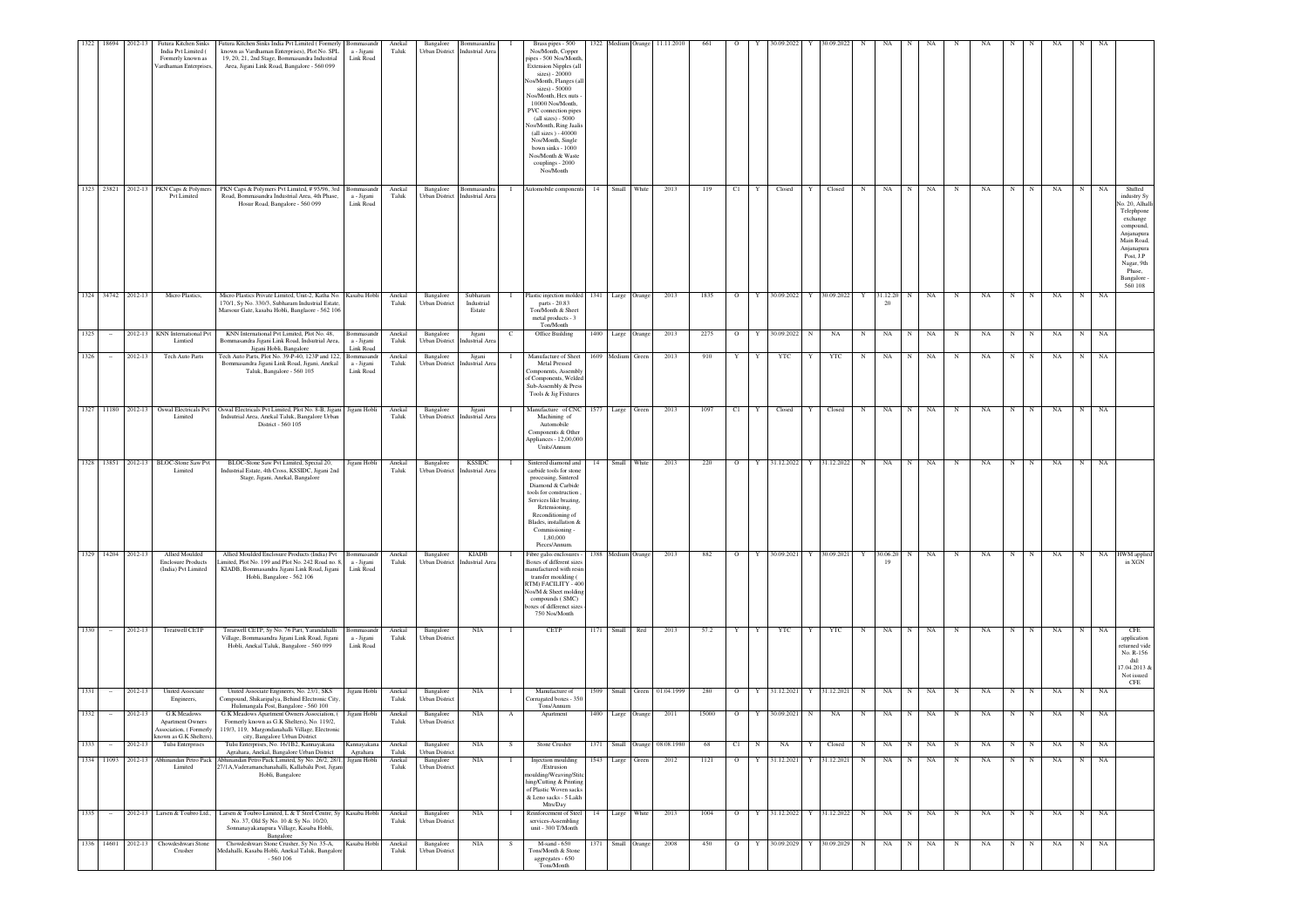| 1336                                                                                                                   | 1335                                                                                                                                 |                                                                                                                              | 1333                                                                                     |                                                                                                                                  | 1332                                                                                                                                    | 1331                                      | 1330                                                                                                                                      |                                                                                                                                                                                                                       |                                                                                                                                                                                                                                                                 |                                                                                                                             | 1326                                                                                                                                 | 1325                                                                                                                     |                                                                                                                                                                       |                                                                                                                                                                                           |                                                                                                                                                                                                                                                                                                                                                                                                               |
|------------------------------------------------------------------------------------------------------------------------|--------------------------------------------------------------------------------------------------------------------------------------|------------------------------------------------------------------------------------------------------------------------------|------------------------------------------------------------------------------------------|----------------------------------------------------------------------------------------------------------------------------------|-----------------------------------------------------------------------------------------------------------------------------------------|-------------------------------------------|-------------------------------------------------------------------------------------------------------------------------------------------|-----------------------------------------------------------------------------------------------------------------------------------------------------------------------------------------------------------------------|-----------------------------------------------------------------------------------------------------------------------------------------------------------------------------------------------------------------------------------------------------------------|-----------------------------------------------------------------------------------------------------------------------------|--------------------------------------------------------------------------------------------------------------------------------------|--------------------------------------------------------------------------------------------------------------------------|-----------------------------------------------------------------------------------------------------------------------------------------------------------------------|-------------------------------------------------------------------------------------------------------------------------------------------------------------------------------------------|---------------------------------------------------------------------------------------------------------------------------------------------------------------------------------------------------------------------------------------------------------------------------------------------------------------------------------------------------------------------------------------------------------------|
| 14601                                                                                                                  | $\sim$                                                                                                                               |                                                                                                                              | $\sim$                                                                                   |                                                                                                                                  | $\sim$                                                                                                                                  |                                           | $\sim$                                                                                                                                    |                                                                                                                                                                                                                       |                                                                                                                                                                                                                                                                 |                                                                                                                             |                                                                                                                                      | $\sim$                                                                                                                   |                                                                                                                                                                       |                                                                                                                                                                                           |                                                                                                                                                                                                                                                                                                                                                                                                               |
| 2012-13                                                                                                                |                                                                                                                                      | 1334 11093 2012-13                                                                                                           | 2012-13                                                                                  |                                                                                                                                  | 2012-13                                                                                                                                 | 2012-13                                   | 2012-13                                                                                                                                   | 1329 14204 2012-13                                                                                                                                                                                                    |                                                                                                                                                                                                                                                                 |                                                                                                                             | 2012-13                                                                                                                              |                                                                                                                          | 1324 34742 2012-13                                                                                                                                                    |                                                                                                                                                                                           | 1322 18694 2012-13                                                                                                                                                                                                                                                                                                                                                                                            |
| Chowdeshwari Stone<br>Crusher                                                                                          | 2012-13 Larsen & Toubro Ltd.,                                                                                                        | Abhinandan Petro Pack<br>Limited                                                                                             | Tulsi Enterprises                                                                        | <b>Apartment Owners</b><br>Association, (Formerly<br>nown as G.K Shelters'                                                       | Engineers,<br>G.K Meadows                                                                                                               | <b>United Associate</b>                   | Treatwell CETP                                                                                                                            | Allied Moulded<br><b>Enclosure Products</b><br>(India) Pvt Limited                                                                                                                                                    | 1328 13851 2012-13 BLOC-Stone Saw Pvt<br>Limited                                                                                                                                                                                                                | 1327 11180 2012-13 Oswal Electricals Pvt<br>Limited                                                                         | Tech Auto Parts                                                                                                                      | 2012-13 KNN International Pvt<br>Limtied                                                                                 | Micro Plastics,                                                                                                                                                       | 1323 23821 2012-13 PKN Caps & Polymers<br>Pvt Limited                                                                                                                                     | Futura Kitchen Sinks<br>India Pvt Limited (<br>Formerly known as<br>Vardhaman Enterprises                                                                                                                                                                                                                                                                                                                     |
| Bangalore<br>Chowdeshwari Stone Crusher, Sy No. 35-A,<br>Medahalli, Kasaba Hobli, Anekal Taluk, Bangalore<br>$-560106$ | Larsen & Toubro Limited, L & T Steel Centre, Sy<br>No. 37, Old Sy No. 10 & Sy No. 10/20,<br>Sonnanayakanapura Village, Kasaba Hobli, | Abhinandan Petro Pack Limited, Sy No. 26/2, 28/1,<br>27/1 A, Vaderamanchanahalli, Kallabalu Post, Jigani<br>Hobli, Bangalore | Tulsi Enterprises, No. 16/1B2, Kannayakana<br>Agrahara, Anekal, Bangalore Urban District | Formerly known as G.K Shelters), No. 119/2,<br>119/3, 119, Margondanahalli Village, Electronic<br>city. Bangalore Urban District | Compound, Shikaripalya, Behind Electronic City,<br>Hulimangala Post, Bangalore - 560 100<br>G.K Meadows Apartment Owners Association, ( | United Associate Engineers, No. 23/1, SKS | Treatwell CETP, Sy No. 76 Part, Yarandahalli<br>Village, Bommasandra Jigani Link Road, Jigani<br>Hobli, Anekal Taluk, Bangalore - 560 099 | Allied Moulded Enclosure Products (India) Pvt<br>imited, Plot No. 199 and Plot No. 242 Road no. 8,<br>KIADB, Bommasandra Jigani Link Road, Jigani<br>Hobli, Bangalore - 562 106                                       | BLOC-Stone Saw Pvt Limited, Special 20,<br>Industrial Estate, 4th Cross, KSSIDC, Jigani 2nd<br>Stage, Jigani, Anekal, Bangalore                                                                                                                                 | Oswal Electricals Pvt Limited, Plot No. 8-B, Jigani<br>Indsutrial Area, Anekal Taluk, Bangalore Urban<br>District - 560 105 | Tech Auto Parts, Plot No. 39-P-40, 123P and 122,<br>Bommasandra Jigani Link Road, Jigani, Anekal<br>Taluk, Bangalore - 560 105       | KNN International Pvt Limited, Plot No. 48,<br>Bommasandra Jigani Link Road, Indsutrial Area,<br>Jigani Hobli, Bangalore | Micro Plastics Private Limited, Unit-2, Katha No. Kasaba Hobli<br>170/1, Sy No. 330/3, Subharam Industrial Estate,<br>Marsour Gate, kasaba Hobli, Banglaore - 562 106 | PKN Caps & Polymers Pvt Limited, #95/96, 3rd<br>Road, Bommasandra Industrial Area, 4th Phase,<br>Hosur Road, Bangalore - 560 099                                                          | Futura Kitchen Sinks India Pvt Limited (Formerly<br>known as Vardhaman Enterprises), Plot No. SPL<br>19, 20, 21, 2nd Stage, Bommasandra Industrial<br>Area, Jigani Link Road, Bangalore - 560 099                                                                                                                                                                                                             |
| Kasaba Hobli                                                                                                           | Kasaba Hobli                                                                                                                         | Jigani Hobli                                                                                                                 | Kannayakana<br>Agrahara                                                                  |                                                                                                                                  | Jigani Hobli                                                                                                                            | Jigani Hobli                              | a - Jigani<br>Link Road                                                                                                                   | a - Jigani<br>Link Road                                                                                                                                                                                               | Jigani Hobli                                                                                                                                                                                                                                                    | Jigani Hobli                                                                                                                | Bommasand<br>a - Jigani<br>Link Road                                                                                                 | Bommasand<br>a - Jigani<br>Link Road                                                                                     |                                                                                                                                                                       | a - Jigani<br>Link Road                                                                                                                                                                   | a - Jigani<br>Link Road                                                                                                                                                                                                                                                                                                                                                                                       |
| Anekal<br>Taluk                                                                                                        | Anekal<br>Taluk                                                                                                                      | Anekal<br>Taluk                                                                                                              | Anckal<br>Taluk                                                                          | Taluk                                                                                                                            | Taluk<br>Anekal                                                                                                                         | Anekal                                    | Anckal<br>Taluk                                                                                                                           | Anekal<br>Taluk                                                                                                                                                                                                       | Anekal<br>Taluk                                                                                                                                                                                                                                                 | Anckal<br>Taluk                                                                                                             | Anekal<br>Taluk                                                                                                                      | Anekal<br>Taluk                                                                                                          | Anekal<br>Taluk                                                                                                                                                       | Anekal<br>Taluk                                                                                                                                                                           | Anckal<br>Taluk                                                                                                                                                                                                                                                                                                                                                                                               |
| Bangalore<br><b>Urban District</b>                                                                                     | Bangalore<br><b>Urban District</b>                                                                                                   | Bangalore<br><b>Urban District</b>                                                                                           | Bangalore<br><b>Urban District</b>                                                       | <b>Urban District</b>                                                                                                            | <b>Urban District</b><br>Bangalore                                                                                                      | Bangalore                                 | Bangalore<br><b>Urban District</b>                                                                                                        | Bangalore<br><b>Urban District</b>                                                                                                                                                                                    | Bangalore<br><b>Urban District</b>                                                                                                                                                                                                                              | Bangalore<br><b>Urban District</b>                                                                                          | Bangalore<br><b>Urban District</b>                                                                                                   | Bangalore<br><b>Urban District</b>                                                                                       | Bangalore<br><b>Urban District</b>                                                                                                                                    | Bangalore<br>Urban District                                                                                                                                                               | Bangalore<br><b>Urban District</b>                                                                                                                                                                                                                                                                                                                                                                            |
| NIA                                                                                                                    | NIA                                                                                                                                  | NIA                                                                                                                          | NIA                                                                                      |                                                                                                                                  | NIA                                                                                                                                     | $_{\rm NIA}$                              | NIA                                                                                                                                       | KIADB<br>Industrial Area                                                                                                                                                                                              | <b>KSSIDC</b><br><b>Industrial Area</b>                                                                                                                                                                                                                         | Jigani<br>Industrial Area                                                                                                   | Jigani<br>ndustrial Area                                                                                                             | Jigani<br>ndustrial Are                                                                                                  | Subharam<br>Industrial<br>Estate                                                                                                                                      | Bommasandra<br><b>Industrial Area</b>                                                                                                                                                     | 3ommasandr<br><b>Industrial Area</b>                                                                                                                                                                                                                                                                                                                                                                          |
| -S                                                                                                                     |                                                                                                                                      |                                                                                                                              | s                                                                                        |                                                                                                                                  | A                                                                                                                                       |                                           |                                                                                                                                           |                                                                                                                                                                                                                       |                                                                                                                                                                                                                                                                 |                                                                                                                             |                                                                                                                                      | C                                                                                                                        |                                                                                                                                                                       |                                                                                                                                                                                           |                                                                                                                                                                                                                                                                                                                                                                                                               |
| M-sand - 650<br>Tons/Month & Stone<br>aggregates - $650\,$<br>Tons/Month                                               | & Leno sacks - 5 Lakh<br>Mtrs/Day<br>Reinforcement of Steel<br>services-Assembling<br>unit - 300 T/Month                             | Injection moulding<br>/Extrusion<br>oulding/Weaving/Stit<br>hing/Cutting & Printing<br>of Plastic Woven sacks                | Stone Crusher                                                                            |                                                                                                                                  | Corrugated boxes - 350<br>Tons/Annum<br>Apartment                                                                                       | Manufacture of                            | CETP                                                                                                                                      | Fibre galss enclosures -<br>Boxes of different sizes<br>nanufactured with resi<br>transfer moulding (<br>RTM) FACILITY - 400<br>Nos/M & Sheet molding<br>compounds (SMC)<br>oxes of differenct sizes<br>750 Nos/Month | Sintered diamond and<br>carbide tools for stone<br>processing, Sintered<br>Diamond & Carbide<br>tools for construction<br>Services like brazing,<br>Retensioning,<br>Reconditioning of<br>Blades, installation &<br>Commissioning -<br>1,80,000<br>Pieces/Annum | Manufacture of CNC<br>Machining of<br>Automobile<br>Components & Other<br>Appliances - 12,00,000<br>Units/Annum             | Manufacture of Sheet<br>Metal Pressed<br>omponents, Assembl<br>of Components, Welded<br>Sub-Assembly & Press<br>Tools & Jig Fixtures | Office Building                                                                                                          | Plastic injection molded 1341 Large Orange<br>parts - 20.83<br>Ton/Month & Sheet<br>metal products - 3<br>Ton/Month                                                   | Automobile components                                                                                                                                                                     | Brass pipes - 500<br>Nos/Month, Copper<br>pipes - 500 Nos/Month<br><b>Extension Nipples</b> (all<br>sizes) - 20000<br>los/Month, Flanges (all<br>sizes) - 50000<br>Nos/Month, Hex nuts<br>10000 Nos/Month,<br>PVC connection pipes<br>$(all sizes) - 5000$<br>Nos/Month, Ring Jaali:<br>$(all sizes) - 40000$<br>Nos/Month, Single<br>hown sinks - 1000<br>Nos/Month & Waste<br>couplings - 2000<br>Nos/Month |
|                                                                                                                        | 14                                                                                                                                   |                                                                                                                              |                                                                                          |                                                                                                                                  |                                                                                                                                         |                                           |                                                                                                                                           |                                                                                                                                                                                                                       | 14                                                                                                                                                                                                                                                              |                                                                                                                             |                                                                                                                                      |                                                                                                                          |                                                                                                                                                                       | 14                                                                                                                                                                                        |                                                                                                                                                                                                                                                                                                                                                                                                               |
| 1371 Small Orange                                                                                                      | Large                                                                                                                                | 1543 Large Green                                                                                                             | 1371 Small Orange                                                                        |                                                                                                                                  | 1400 Large Orange                                                                                                                       |                                           | 1171 Small Red                                                                                                                            | 1388 Medium Orange                                                                                                                                                                                                    | Small White                                                                                                                                                                                                                                                     | 1577 Large Green                                                                                                            | 1609 Medium                                                                                                                          | 1400 Large Orange                                                                                                        |                                                                                                                                                                       | Small White                                                                                                                                                                               |                                                                                                                                                                                                                                                                                                                                                                                                               |
|                                                                                                                        | White                                                                                                                                |                                                                                                                              |                                                                                          |                                                                                                                                  |                                                                                                                                         |                                           |                                                                                                                                           |                                                                                                                                                                                                                       |                                                                                                                                                                                                                                                                 |                                                                                                                             | Green                                                                                                                                |                                                                                                                          |                                                                                                                                                                       |                                                                                                                                                                                           |                                                                                                                                                                                                                                                                                                                                                                                                               |
| 2008                                                                                                                   | 2013                                                                                                                                 | 2012                                                                                                                         | 08.08.1980                                                                               |                                                                                                                                  | 2011                                                                                                                                    | 1509 Small Green 01.04.1999               | 2013                                                                                                                                      | 2013                                                                                                                                                                                                                  | 2013                                                                                                                                                                                                                                                            | 2013                                                                                                                        | 2013                                                                                                                                 | 2013                                                                                                                     | 2013                                                                                                                                                                  | 2013                                                                                                                                                                                      | 1322 Medium Orange 11.11.2010                                                                                                                                                                                                                                                                                                                                                                                 |
| 450                                                                                                                    | 1004                                                                                                                                 | 1121                                                                                                                         | 68                                                                                       |                                                                                                                                  | 15000                                                                                                                                   | 280                                       | 57.2                                                                                                                                      | 882                                                                                                                                                                                                                   | 220                                                                                                                                                                                                                                                             | 1097                                                                                                                        | 910                                                                                                                                  | 2275                                                                                                                     | 1835                                                                                                                                                                  | 119                                                                                                                                                                                       | 661                                                                                                                                                                                                                                                                                                                                                                                                           |
| $\mathbf O$                                                                                                            | $\circ$                                                                                                                              | $\overline{0}$                                                                                                               | C1                                                                                       |                                                                                                                                  | $\circ$                                                                                                                                 | $\circ$                                   | Y                                                                                                                                         | $\circ$                                                                                                                                                                                                               |                                                                                                                                                                                                                                                                 | C1                                                                                                                          |                                                                                                                                      | $\circ$                                                                                                                  | $\circ$                                                                                                                                                               | C1                                                                                                                                                                                        | $\circ$                                                                                                                                                                                                                                                                                                                                                                                                       |
| Y                                                                                                                      | Y                                                                                                                                    | Y                                                                                                                            | N                                                                                        |                                                                                                                                  | Y                                                                                                                                       | Y                                         | Y                                                                                                                                         | Y                                                                                                                                                                                                                     |                                                                                                                                                                                                                                                                 | Y                                                                                                                           |                                                                                                                                      | Y                                                                                                                        |                                                                                                                                                                       |                                                                                                                                                                                           |                                                                                                                                                                                                                                                                                                                                                                                                               |
| 30.09.2029<br>Y                                                                                                        | 31.12.2022<br>Y                                                                                                                      | 31.12.2021<br>Y                                                                                                              | NA                                                                                       |                                                                                                                                  | 30.09.2021<br>N                                                                                                                         | 31.12.2021                                | YTC                                                                                                                                       | 30.09.2021 Y                                                                                                                                                                                                          | 0 Y 31.12.2022 Y 31.12.2022                                                                                                                                                                                                                                     | Closed<br>Y                                                                                                                 | YTC                                                                                                                                  | 30.09.2022<br>N                                                                                                          | Y 30.09.2022 Y 30.09.2022                                                                                                                                             | Closed                                                                                                                                                                                    | 30.09.2022                                                                                                                                                                                                                                                                                                                                                                                                    |
| 30.09.2029                                                                                                             | 31.12.2022                                                                                                                           | 31.12.2021                                                                                                                   | Closed                                                                                   |                                                                                                                                  | NA                                                                                                                                      | 31.12.2021                                | <b>YTC</b>                                                                                                                                | 30.09.2021                                                                                                                                                                                                            |                                                                                                                                                                                                                                                                 | Closed                                                                                                                      | YTC                                                                                                                                  | NA                                                                                                                       |                                                                                                                                                                       | Closed                                                                                                                                                                                    | 30.09.2022                                                                                                                                                                                                                                                                                                                                                                                                    |
| $_{\rm N}$                                                                                                             | $_{\rm N}$                                                                                                                           | N                                                                                                                            | N                                                                                        |                                                                                                                                  | N                                                                                                                                       | N                                         | N                                                                                                                                         | Y                                                                                                                                                                                                                     | N                                                                                                                                                                                                                                                               | $_{\rm N}$                                                                                                                  | N                                                                                                                                    | N                                                                                                                        | Y                                                                                                                                                                     |                                                                                                                                                                                           |                                                                                                                                                                                                                                                                                                                                                                                                               |
| NA                                                                                                                     | $_{\rm NA}$                                                                                                                          | NA                                                                                                                           | NA                                                                                       |                                                                                                                                  | NA                                                                                                                                      | NA                                        | NA<br>$\mathbb{N}$                                                                                                                        | 30.06.20 N<br>19                                                                                                                                                                                                      | NA N NA                                                                                                                                                                                                                                                         | NA N                                                                                                                        | NA                                                                                                                                   | NA                                                                                                                       | 31.12.20 N<br>20                                                                                                                                                      | NA                                                                                                                                                                                        | NA                                                                                                                                                                                                                                                                                                                                                                                                            |
| $_{\rm N}$                                                                                                             | N                                                                                                                                    | N                                                                                                                            | N                                                                                        |                                                                                                                                  | $_{\rm N}$                                                                                                                              | $_{\rm N}$                                |                                                                                                                                           |                                                                                                                                                                                                                       |                                                                                                                                                                                                                                                                 |                                                                                                                             | N                                                                                                                                    | ${\bf N}$                                                                                                                |                                                                                                                                                                       |                                                                                                                                                                                           |                                                                                                                                                                                                                                                                                                                                                                                                               |
| $_{\rm NA}$<br>$_{\rm N}$                                                                                              | $_{\rm NA}$<br>N                                                                                                                     | NA<br>N                                                                                                                      | NA<br>N                                                                                  |                                                                                                                                  | NA<br>$_{\rm N}$                                                                                                                        | NA<br>N                                   | NA<br>N                                                                                                                                   | NA<br>N                                                                                                                                                                                                               | $_{\rm N}$                                                                                                                                                                                                                                                      | NA<br>$_{\rm N}$                                                                                                            | NA<br>N                                                                                                                              | $_{\rm NA}$<br>$_{\rm N}$                                                                                                | NA<br>$_{\rm N}$                                                                                                                                                      | NA                                                                                                                                                                                        |                                                                                                                                                                                                                                                                                                                                                                                                               |
|                                                                                                                        |                                                                                                                                      |                                                                                                                              |                                                                                          |                                                                                                                                  |                                                                                                                                         |                                           |                                                                                                                                           |                                                                                                                                                                                                                       |                                                                                                                                                                                                                                                                 |                                                                                                                             |                                                                                                                                      |                                                                                                                          |                                                                                                                                                                       |                                                                                                                                                                                           |                                                                                                                                                                                                                                                                                                                                                                                                               |
| NA                                                                                                                     | NA                                                                                                                                   | NA                                                                                                                           | NA                                                                                       |                                                                                                                                  | NA                                                                                                                                      | NA                                        | NA                                                                                                                                        | NA                                                                                                                                                                                                                    | NA                                                                                                                                                                                                                                                              | NA                                                                                                                          | NA                                                                                                                                   | NA                                                                                                                       | NA                                                                                                                                                                    | NA                                                                                                                                                                                        | NA                                                                                                                                                                                                                                                                                                                                                                                                            |
| N<br>N                                                                                                                 |                                                                                                                                      |                                                                                                                              | N<br>N                                                                                   |                                                                                                                                  | N<br>N                                                                                                                                  | N<br>N                                    | N                                                                                                                                         |                                                                                                                                                                                                                       | N<br>N                                                                                                                                                                                                                                                          | N<br>N                                                                                                                      |                                                                                                                                      | N<br>N                                                                                                                   | N<br>N                                                                                                                                                                |                                                                                                                                                                                           |                                                                                                                                                                                                                                                                                                                                                                                                               |
| NA                                                                                                                     | NA                                                                                                                                   | NA                                                                                                                           | NA                                                                                       |                                                                                                                                  | NA                                                                                                                                      | NA                                        | NA                                                                                                                                        | NA                                                                                                                                                                                                                    | NA                                                                                                                                                                                                                                                              | NA                                                                                                                          | NA                                                                                                                                   | NA                                                                                                                       | NA                                                                                                                                                                    | NA                                                                                                                                                                                        | NA                                                                                                                                                                                                                                                                                                                                                                                                            |
| $_{\rm N}$                                                                                                             | N                                                                                                                                    | N                                                                                                                            | N                                                                                        |                                                                                                                                  | N                                                                                                                                       | N                                         | N                                                                                                                                         | N                                                                                                                                                                                                                     | $N$ $NA$                                                                                                                                                                                                                                                        | N NA                                                                                                                        |                                                                                                                                      | N                                                                                                                        | N NA                                                                                                                                                                  |                                                                                                                                                                                           | N                                                                                                                                                                                                                                                                                                                                                                                                             |
| NA                                                                                                                     | NA                                                                                                                                   | NA                                                                                                                           | NA                                                                                       |                                                                                                                                  | NA                                                                                                                                      | NA                                        | NA                                                                                                                                        | NA                                                                                                                                                                                                                    |                                                                                                                                                                                                                                                                 |                                                                                                                             | NA                                                                                                                                   | NA                                                                                                                       |                                                                                                                                                                       | NA                                                                                                                                                                                        | NA                                                                                                                                                                                                                                                                                                                                                                                                            |
|                                                                                                                        |                                                                                                                                      |                                                                                                                              |                                                                                          |                                                                                                                                  |                                                                                                                                         | 17.04.2013 &<br>Not issued<br><b>CFE</b>  | CFE<br>application<br>returned vide<br>No. R-156<br>dtd:                                                                                  | HWM applied<br>in XGN                                                                                                                                                                                                 |                                                                                                                                                                                                                                                                 |                                                                                                                             |                                                                                                                                      |                                                                                                                          |                                                                                                                                                                       | Shifted<br>industry Sy<br>No. 20, Alhalli<br>Telephpone<br>exchange<br>compound,<br>Anjanapura<br>Main Road.<br>Anjanapura<br>Post, J.P<br>Nagar, 9th<br>Phase,<br>Bangalore -<br>560 108 |                                                                                                                                                                                                                                                                                                                                                                                                               |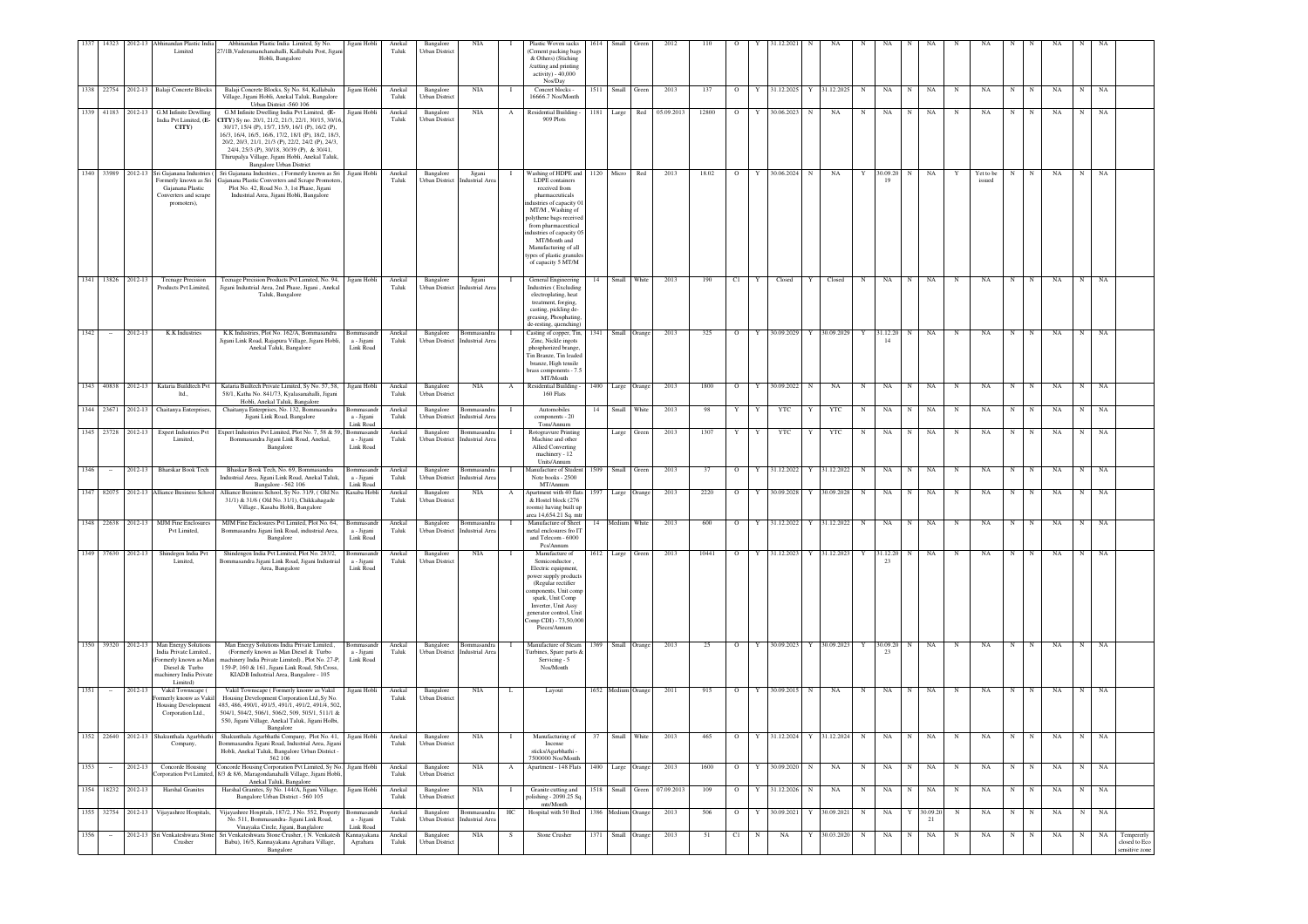|      |                    |                               | 1337 14323 2012-13 Abhinandan Plastic India<br>Limited                                                                        | Abhinandan Plastic India Limited, Sv No.<br>27/1B, Vaderamanchanahalli, Kallabalu Post, Jigani<br>Hobli, Bangalore                                                                                                                                                                                                                                                                            | Jigani Hobli                         | Anckal<br>Taluk                           | Bangalore<br><b>Urban District</b>       | <b>NIA</b>                                 |              | Plastic Woven sacks<br>(Cement packing bags<br>& Others) (Stiching<br>/cutting and printing<br>activity) - 40,000<br>Nos/Day                                                                                                                                                                | 1614         | Small                      | Green             | 2012               | 110        | $\circ$        | 31.12.202                   |   | NA                   |        |                       |            |                             |   |                     |                 |                 |                 |             |                 |                                             |
|------|--------------------|-------------------------------|-------------------------------------------------------------------------------------------------------------------------------|-----------------------------------------------------------------------------------------------------------------------------------------------------------------------------------------------------------------------------------------------------------------------------------------------------------------------------------------------------------------------------------------------|--------------------------------------|-------------------------------------------|------------------------------------------|--------------------------------------------|--------------|---------------------------------------------------------------------------------------------------------------------------------------------------------------------------------------------------------------------------------------------------------------------------------------------|--------------|----------------------------|-------------------|--------------------|------------|----------------|-----------------------------|---|----------------------|--------|-----------------------|------------|-----------------------------|---|---------------------|-----------------|-----------------|-----------------|-------------|-----------------|---------------------------------------------|
|      |                    |                               | 1338 22754 2012-13 Balaji Concrete Blocks                                                                                     | Balaji Concrete Blocks, Sy No. 84, Kallabalu<br>Village, Jigani Hobli, Anekal Taluk, Bangalore<br>Urban District -560 106                                                                                                                                                                                                                                                                     | Jigani Hobli                         | Anckal<br>Taluk                           | Bangalore<br>Jrban Distri                | <b>NIA</b>                                 |              | Concret blocks -<br>16666.7 Nos/Month                                                                                                                                                                                                                                                       | 1511         | Small                      | Green             | 2013               | 137        | $\overline{0}$ | 31.12.2025                  |   | Y 31.12.2025         | N      | NA                    | N          | NA<br>N                     |   | <b>NA</b>           | N               | N               | NA              | N           | NA              |                                             |
|      | 1339 41183         | 2012-13                       | G.M Infinite Dewlling<br>India Pvt Limited, (E-<br>CITY)                                                                      | G.M Infinite Dwelling India Pvt Limited, (E-<br>CITY) Sv no. 20/1, 21/2, 21/3, 22/1, 30/15, 30/16<br>30/17, 15/4 (P), 15/7, 15/9, 16/1 (P), 16/2 (P),<br>16/3, 16/4, 16/5, 16/6, 17/2, 18/1 (P), 18/2, 18/3<br>20/2, 20/3, 21/1, 21/3 (P), 22/2, 24/2 (P), 24/3.<br>24/4, 25/3 (P), 30/18, 30/39 (P), & 30/41.<br>Thirupalya Village, Jigani Hobli, Anekal Taluk,<br>Bangalore Urban District | Jigani Hobli                         | Anekal<br>Taluk                           | Bangalore<br>Urban Distric               | <b>NIA</b>                                 | $\mathbf{A}$ | <b>Residential Building</b><br>909 Plots                                                                                                                                                                                                                                                    |              | 1181 Large                 | Red               | 05.09.2013         | 12800      | $\Omega$       | 30.06.2023<br>$\mathbf{Y}$  | N | NA                   | N      | NA                    | N          | NA<br>N                     |   | NA                  | N               | $_{\rm N}$      | <b>NA</b>       | N           | NA              |                                             |
| 1340 | 33989              | 2012-13                       | Sri Gajanana Industrie<br>Formerly known as Sri<br>Gajanana Plastic<br>Converters and scrape<br>promoters),                   | Sri Gajanana Industries., (Formerly known as Sri<br>janana Plastic Converters and Scrape Promoters<br>Plot No. 42, Road No. 3, 1st Phase, Jigani<br>Industrial Area, Jigani Hobli, Bangalore                                                                                                                                                                                                  | Jigani Hobl                          | Aneka<br>Taluk                            | Bangalore<br>Urban District              | Jigani<br>dustrial Are                     |              | ashing of HDPE and<br>LDPE containers<br>received from<br>pharmaceuticals<br>stries of capacity 0<br>MT/M, Washing of<br>olythene bags received<br>from pharmaceutical<br>dustries of capacity 0:<br>MT/Month and<br>Manufacturing of all<br>types of plastic granule<br>of capacity 5 MT/M | 1120         | Micro                      | Red               | 2013               | 18.02      |                | 0.06.2024                   |   | NA                   |        | 0.09.20<br>19         |            | NA                          |   | Yet to be<br>issued |                 |                 | NA              |             | NA              |                                             |
| 1342 | 1341 13826 2012-13 | 2012-13                       | <b>Tecnage Precision</b><br>Products Pvt Limited<br>K.K Industries                                                            | Tecnage Precision Products Pvt Limited, No. 94.<br>Jigani Industrial Area, 2nd Phase, Jigani, Anekal<br>Taluk, Bangalore<br>K.K Industries, Plot No. 162/A, Bommasandra                                                                                                                                                                                                                       | Jigani Hobli                         | Anckal<br>Taluk<br>Anckal                 | Bangalore<br>Jrban District<br>Bangalore | Jigani<br>Bomma                            |              | General Engineering<br>Industries (Excluding<br>electroplating, heat<br>treatment, forging,<br>casting, pickling de<br>greasing, Phosphating<br>de-resting, quenching)<br>Casting of copper, Tin,                                                                                           | 14<br>1341   | Small<br>Small             | White<br>Orange   | 2013<br>2013       | 190<br>325 | C1             | Closed<br>30.09.2029        |   | Closed<br>30.09.2029 | N      | <b>NA</b><br>31.12.20 | N          | NA.<br>N<br>NA              |   | <b>NA</b><br>NA     | N               | N               | <b>NA</b><br>NA | N           | <b>NA</b><br>NA |                                             |
|      |                    |                               |                                                                                                                               | Jigani Link Road, Rajapura Village, Jigani Hobli,<br>Anekal Taluk, Bangalore                                                                                                                                                                                                                                                                                                                  | a - Jigani<br>Link Road              | Taluk                                     |                                          | Urban District Industrial Area             |              | Zinc, Nickle ingots<br>phosphorized brange.<br>Tin Branze, Tin leaded<br>branze, High tensile<br>rass components - 7.<br>MT/Month                                                                                                                                                           |              |                            |                   |                    |            |                |                             |   |                      |        | 14                    |            |                             |   |                     |                 |                 |                 |             |                 |                                             |
| 1344 | 23671              |                               | 1343 40838 2012-13 Kataria Buildtech Pvt<br>ltd.,<br>2012-13 Chaitanya Enterprises,                                           | Kataria Builtech Private Limited, Sy No. 57, 58, Jigani Hobli<br>58/1, Katha No. 841/73, Kyalasanahalli, Jigani<br>Hobli, Anekal Taluk, Bangalore<br>Chaitanya Enterprises, No. 132, Bommas                                                                                                                                                                                                   |                                      | Anekal<br>$\operatorname{Taluk}$<br>Aneka | Bangalore<br>Jrban District<br>Bangalore | <b>NIA</b><br>tommasandr                   |              | <b>Residential Building</b><br>$160\rm~Flats$<br>Automobiles                                                                                                                                                                                                                                |              | 1400 Large Orange<br>Small | White             | 2013<br>2013       | 1800<br>98 | $\Omega$       | 30.09.2022<br>YTC           |   | NA<br>YTC            |        | NA<br>$_{\rm NA}$     | $_{\rm N}$ | NA<br>N<br>NA               |   | NA<br>$_{\rm NA}$   | N               | N               | NA<br>NA        |             | NA<br>NA        |                                             |
|      |                    | 1345 23728 2012-13            | <b>Expert Industries Pvt</b>                                                                                                  | Jigani Link Road, Bangalore<br>Expert Industries Pvt Limited, Plot No. 7, 58 & 59,                                                                                                                                                                                                                                                                                                            | a - Jigani<br>Link Road<br>Bommasand | Taluk<br>Anekal                           | Urban District<br>Bangalore              | Industrial Are<br>Bommasandra              |              | components - 20<br>Tons/Annum<br>Rotogravure Printing                                                                                                                                                                                                                                       |              | Large                      | Green             | 2013               | 1307       |                | <b>YTC</b>                  | Y | YTC                  | N      | $_{\rm NA}$           | N          | $_{\rm NA}$<br>N            |   | NA                  | N               | N               | <b>NA</b>       |             | NA              |                                             |
|      |                    |                               | Limited                                                                                                                       | Bommasandra Jigani Link Road, Anekal,<br>Bangalore                                                                                                                                                                                                                                                                                                                                            | a - Jigani<br>Link Road              | Taluk                                     | Jrban District                           | ndustrial Area                             |              | Machine and other<br>Allied Converting<br>machinery - 12<br>Units/Annum                                                                                                                                                                                                                     |              |                            |                   |                    |            |                |                             |   |                      |        |                       |            |                             |   |                     |                 |                 |                 |             |                 |                                             |
| 1346 | $\sim$             | 2012-13                       | Bharskar Book Tech                                                                                                            | Bhaskar Book Tech, No. 69, Bommasandra<br>Industrial Area, Jigani Link Road, Anekal Taluk,<br>Bangalore - 562 106                                                                                                                                                                                                                                                                             | 3ommasand<br>a - Jigani<br>Link Road | Anekal<br>Taluk                           | Bangalore<br>rban Distric                | 3ommasandra<br>dustrial Are                |              | <b>Ianufacture</b> of Student<br>Note books - 2500<br>MT/Annum                                                                                                                                                                                                                              | 1509         | Small                      | Green             | 2013               | - 37       | $\circ$        | 31.12.2022                  |   | Y 31.12.2022         | N      | NA                    |            | NA<br>N                     |   | NA                  |                 |                 | NA              |             | NA              |                                             |
|      |                    |                               | 1347 82075 2012-13 Alliance Business School                                                                                   | Alliance Business School, Sy No. 31/9, (Old No.<br>31/1) & 31/6 (Old No. 31/1), Chikkahagade<br>Village., Kasaba Hobli, Bangalore                                                                                                                                                                                                                                                             | Kasaba Hobli                         | Anekal<br>Taluk                           | Bangalore<br>Urban District              | <b>NIA</b>                                 |              | Apartment with 40 flats<br>& Hostel block (276<br>rooms) having built up<br>rea 14,654.21 Sq. mtr                                                                                                                                                                                           |              | 1597 Large                 | Orange            | 2013               | 2220       | $\Omega$       | 30.09.2028                  | Y | 30.09.2028           | N      | NA                    | N          | NA<br>N                     |   | NA.                 | N               | N               | NA              | N           | NA              |                                             |
|      |                    | 1348 22638 2012-13            | <b>MJM</b> Fine Enclosur<br>Pvt Limited,                                                                                      | MJM Fine Enclosures Pvt Limited, Plot No. 64,<br>Bommasandra Jigani link Road, industrial Area,<br>Bangalore                                                                                                                                                                                                                                                                                  | a - Jigani<br>Link Road              | Anekal<br>Taluk                           | Bangalore<br><b>Urban District</b>       | <b>Industrial Area</b>                     |              | Manufacture of Sheet<br>netal enclosures fro IT<br>and Telecom - 6000<br>Pcs/Annum                                                                                                                                                                                                          |              | Medium White               |                   | 2013               | 600        | $\overline{0}$ | 31.12.2022                  |   | 31.12.2022           | N      | NA                    |            | NA                          |   | NA                  |                 |                 | NA              |             | NA              |                                             |
|      |                    | 1349 37630 2012-13            | Shindegen India Pvt<br>Limited.                                                                                               | Shindengen India Pvt Limited, Plot No. 283/2,<br>Bommasandra Jigani Link Road, Jigani Industria<br>Area, Bangalore                                                                                                                                                                                                                                                                            | a - Jigani<br>Link Road              | Anekal<br>Taluk                           | Bangalore<br>Urban Distric               | <b>NIA</b>                                 |              | Manufacture of<br>Semiconductor,<br>Electric equipment<br>power supply products<br>(Regular rectifier<br>mponents, Unit com<br>spark, Unit Comp<br>Inverter, Unit Assy<br>generator control, Uni<br>omp CDI) - 73,50,000<br>Pieces/Annum                                                    |              | 1612 Large                 | Green             | 2013               | 10441      | $\overline{0}$ | 31.12.2023                  |   | Y 31.12.2023         |        | 31.12.20<br>23        |            | NA<br>N                     |   | NA                  | N               |                 | NA              |             | NA              |                                             |
|      |                    | 1350 39320 2012-13            | Man Energy Solutions<br>India Private Limited<br>Formerly known as Man<br>Diesel & Turbo<br>achinery India Privat<br>Limited) | Man Energy Solutions India Private Limited.,<br>(Formerly known as Man Diesel & Turbo<br>machinery India Private Limited)., Plot No. 27-P,<br>159-P, 160 & 161, Jigani Link Road, 5th Cross,<br>KIADB Industrial Area, Bangalore - 105                                                                                                                                                        | a - Jigani<br>Link Road              | Anckal<br>Taluk                           | Bangalore<br>Urban District              | Bommasandra<br><b>Industrial Area</b>      |              | Manufacture of Steam<br>Turbines, Spare parts &<br>Servicing - 5<br>Nos/Month                                                                                                                                                                                                               |              |                            | 1369 Small Orange | 2013               | 25         | $\overline{O}$ | Y 30.09.2023 Y 30.09.2023 Y |   |                      |        | 30.09.20 N<br>23      |            | $_{\rm NA}$<br>$\mathbb{N}$ |   | $_{\rm NA}$         | $\mathbb{N}$    | N               | NA              | $\mathbf N$ | NA              |                                             |
| 1351 |                    | 2012-13                       | Vakil Townscape (<br>ormerly knonw as Vakil<br><b>Housing Development</b><br>Corporation Ltd.,                                | Vakil Townscape (Formerly knonw as Vakil<br>Housing Development Corporation Ltd., Sy No.<br>485, 486, 490/1, 491/5, 491/1, 491/2, 491/4, 502,<br>504/1 504/2 506/1 506/2 509 505/1 511/1 &<br>550, Jigani Village, Anekal Taluk, Jigani Holbi,<br>Bangalore                                                                                                                                   | Jigani Hobli                         | Anckal<br>Taluk                           | Bangalore<br><b>Urban District</b>       | <b>NIA</b>                                 | Ι.           | Layout                                                                                                                                                                                                                                                                                      |              | 1652 Medium Orange         |                   | 2011               | 915        |                | 30.09.2015                  |   | NA                   |        | NA                    |            | NA                          |   | <b>NA</b>           | N               |                 | NA              |             | NA              |                                             |
|      | 1352 22640         |                               | 2012-13 Shakunthala Agarbhathi<br>Company, $% \left\vert \cdot \right\rangle$                                                 | Shakunthala Agarbhathi Company, Plot No. 41, Jigani Hobli<br>Bommasandra Jigani Road, Industrial Area, Jigani<br>Hobli, Anekal Taluk, Bangalore Urban District -<br>562.106                                                                                                                                                                                                                   |                                      | Anekal<br>Taluk                           | Bangalore<br>Urban Distric               | NIA                                        |              | Manufacturing of<br>Incense<br>sticks/Agarbhathi -<br>7500000 Nos/Month                                                                                                                                                                                                                     | 37           | Small                      | White             | 2013               | 465        | $\circ$        | 31.12.2024                  |   | Y 31.12.2024         | N      | NA                    |            | NA                          |   | NA                  |                 |                 | $_{\rm NA}$     |             | NA              |                                             |
| 1353 |                    | 2012-13                       | Concorde Housing<br><b>Corporation Pvt Limited</b>                                                                            | Concorde Housing Corporation Pvt Limited, Sy No. Jigani Hobli<br>8/3 & 8/6, Maragondanahalli Village, Jigani Hobli,<br>Anekal Taluk, Bangalore                                                                                                                                                                                                                                                |                                      | Anekal<br>${\rm T}$ aluk                  | Bangalore<br>Jrban District              | <b>NIA</b>                                 |              | Apartment - 148 Flats                                                                                                                                                                                                                                                                       |              |                            | 1400 Large Orange | 2013               | 1600       | $\Omega$       | 30.09.2020                  |   | NA                   |        | $_{\rm NA}$           | N          | NA<br>N                     |   | NA                  | N               | N               | NA              |             | NA              |                                             |
| 1355 | 32754              | 1354 18232 2012-13<br>2012-13 | Harshal Granites<br>Vijayashree Hospitals,                                                                                    | Harshal Granites, Sy No. 144/A, Jigani Village,<br>Bangalore Urban District - 560 105<br>Vijayashree Hospitals, 187/2, J No. 552, Property                                                                                                                                                                                                                                                    | Jigani Hobli                         | Anckal<br>Taluk                           | Bangalore<br><b>Urban District</b>       | <b>NIA</b>                                 | HC           | Granite cutting and<br>olishing - 2090.25 Sc<br>mtr/Month<br>Hospital with 50 Bed                                                                                                                                                                                                           | 1518<br>1386 | Small<br>Medium            | Green             | 07.09.2013<br>2013 | 109<br>506 |                | 31.12.2026<br>0.09.2021     |   | NA<br>30.09.2021     |        | NA<br>NA              | N          | $_{\rm NA}$<br>30.09.2      |   | NA<br>NA            | N               |                 | NA<br>NA        |             | NA<br>NA        |                                             |
| 1356 |                    |                               |                                                                                                                               | No. 511, Bommasandra-Jigani Link Road,<br>Vinayaka Circle, Jigani, Banglalore<br>2012-13 Sri Venkateshwara Stone Sri Venkateshwara Stone Crusher, (N. Venkatesh Kannavakana                                                                                                                                                                                                                   | Bommasand<br>a - Jigani<br>Link Road | Anekal<br>Taluk<br>Anekal                 | Bangalore<br>Urban District<br>Bangalore | Bommasandra<br>ndustrial Are<br><b>NIA</b> | $\mathbf{S}$ | Stone Crusher                                                                                                                                                                                                                                                                               |              | 1371 Small Orange          | Orango            | 2013               | 51         | $\circ$<br>C1  | NA<br>N                     | Y | 30.03.2020           | N<br>N | <b>NA</b>             | N          | 21<br><b>NA</b><br>N        | N | <b>NA</b>           | N<br>$_{\rm N}$ | N<br>$_{\rm N}$ | <b>NA</b>       | N           | <b>NA</b>       |                                             |
|      |                    |                               | Crusher                                                                                                                       | Babu), 16/5, Kannayakana Agrahara Village,<br>Bangalore                                                                                                                                                                                                                                                                                                                                       | Agrahara                             | Taluk                                     | <b>Urban District</b>                    |                                            |              |                                                                                                                                                                                                                                                                                             |              |                            |                   |                    |            |                |                             |   |                      |        |                       |            |                             |   |                     |                 |                 |                 |             |                 | Tempererly<br>closed to Eco<br>isitive zone |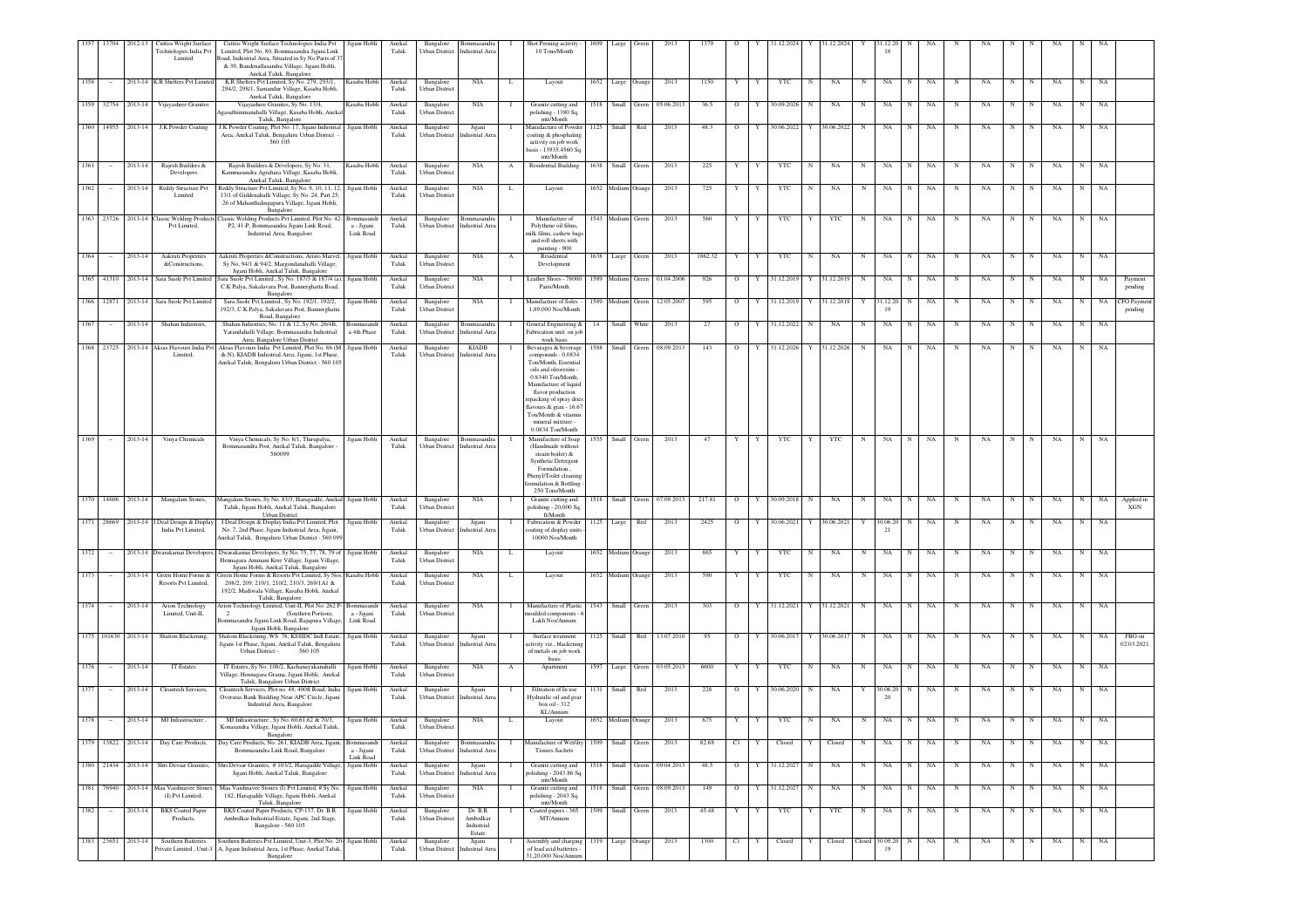| 1357               | 13704 2012-13 | <b>Cuttiss Wright Surface</b><br>Technologies India Pvt<br>Limited | Cuttiss Wright Surface Technologies India Pvt<br>Limited, Plot No. 80, Bommasandra Jigani Link<br>Road, Industrial Area, Situated in Sv No Parts of 37<br>& 39. Bandenallasandra Village, Jigani Hobli,<br>Anekal Taluk, Bangalore | Jigani Hobli                         | Aneka<br>Taluk  | Bangalore<br><b>Urban District</b> | asandra<br><b>Industrial Area</b>                       |              | Shot Peening activity<br>10 Tons/Month                                                                                                                                                                                                                                              | Large<br>1609               | Green  | 2013       | 1379    | $\circ$  |   | 31.12.2024 |   | 31.12.2024     |            | 31.12.2<br>18  |   | NA |   |    |   |            | NA        | NA                      |                          |
|--------------------|---------------|--------------------------------------------------------------------|------------------------------------------------------------------------------------------------------------------------------------------------------------------------------------------------------------------------------------|--------------------------------------|-----------------|------------------------------------|---------------------------------------------------------|--------------|-------------------------------------------------------------------------------------------------------------------------------------------------------------------------------------------------------------------------------------------------------------------------------------|-----------------------------|--------|------------|---------|----------|---|------------|---|----------------|------------|----------------|---|----|---|----|---|------------|-----------|-------------------------|--------------------------|
| 1358               |               | 2013-14 K.R Shelters Pvt Limited                                   | K.R Shelters Pvt Limited, Sy No. 279, 293/1,<br>294/2, 298/1, Samandur Village, Kasaba Hobli,<br>Anekal Taluk, Bangalore                                                                                                           | Kasaba Hobli                         | Anekal<br>Taluk | Bangalore<br><b>Urban Distric</b>  | NIA                                                     | L            | Layout                                                                                                                                                                                                                                                                              | 1652 Large Orange           |        | 2013       | 1150    |          |   | YTC        | N | NA             | N          | NA             | N | NA | N | NA | N |            | <b>NA</b> | NA<br>N                 |                          |
| 1359 32754 2013-14 |               | Vijayashree Granites                                               | Vijayashree Granites, Sy No. 13/4,<br>ahalli Village, Kasaba Hobli, Aneka<br>Taluk, Bangalore                                                                                                                                      | Kasaba Hobli                         | Anekal<br>Taluk | Bangalore<br><b>Urban District</b> | NIA                                                     |              | Granite cutting and<br>polishing - 1380 Sq.<br>mtr/Month                                                                                                                                                                                                                            | 1518 Small                  | Green  | 05.06.2013 | 36.5    | $\circ$  |   | 30.09.2026 |   | NA             |            | NA             |   | NA |   | NA |   |            | NA        | NA                      |                          |
|                    |               | 1360 14955 2013-14 J.K Powder Coating                              | J.K Powder Coating, Plot No. 17, Jigani Industrial   Jigani Hobli<br>Area, Anekal Taluk, Bengaluru Urban District<br>560 105                                                                                                       |                                      | Anekal<br>Taluk | Bangalore<br><b>Urban District</b> | Jigani<br>ndustrial Area                                |              | Manufacture of Powder<br>coating & phosphating<br>activity on job work<br>basis - 13935.4560 Sq                                                                                                                                                                                     | 1125 Small                  | Red    | 2013       | 48.3    | $\circ$  | Y | 30.06.2022 |   | Y 30.06.2022 N |            | NA             | N | NA | N | NA | N | $_{\rm N}$ | NA        | NA<br>N                 |                          |
| 1361<br>$\sim$     | 2013-14       | Rajesh Builders &<br>Developers                                    | Rajesh Builders & Developers, Sy No. 31,<br>Kammasandra Agrahara Village, Kasaba Hobli,<br>Anekal Taluk, Bangalore                                                                                                                 | Kasaba Hobli                         | Anekal<br>Taluk | Bangalore<br><b>Urban Distric</b>  | $_{\rm NIA}$                                            | $\mathbf{A}$ | mtr/Month<br><b>Residential Building</b>                                                                                                                                                                                                                                            | 1638 Small                  | Green  | 2013       | 225     | Y        |   | YTC        | N | $_{\rm NA}$    | N          | NA             | N | NA | N | NA | N | N          | NA        | $_{\rm NA}$<br>N        |                          |
| 1362               | 2013-14       | Reddy Structure Pvt<br>Limited                                     | Reddy Structure Pvt Limited, Sy No. 9, 10, 11, 12, Jigani Hobli<br>13/1 of Giddenahalli Village, Sy No. 24, Part 25,<br>26 of Mahanthalingapura Village, Jigani Hobli,<br>Bangalore                                                |                                      | Anekal<br>Taluk | Bangalore<br><b>Urban District</b> | $_{\rm NIA}$                                            | L            | Layout                                                                                                                                                                                                                                                                              | 1652 Medium                 | Orange | 2013       | 725     |          |   | YTC        |   | NA             | N          | NA             |   | NA | N | NA | N |            | NA        | NA                      |                          |
|                    |               | 1363 23726 2013-14 Classic Welding Product<br>Pvt Limited,         | Classic Welding Products Pvt Limited, Plot No. 42-<br>P2, 41-P, Bommasandra Jigani Link Road,<br>Industrial Area, Bangalore                                                                                                        | Bommasano<br>a - Jigani<br>Link Road | Anekal<br>Taluk | Bangalore<br><b>Urban District</b> | Bommasandra<br>Industrial Area                          |              | Manufacture of<br>Polythene oil films,<br>nilk films, cashew bag:<br>and roll sheets with<br>painting - 900                                                                                                                                                                         | 1543 Medium                 | Green  | 2013       | 560     |          |   | YTC        |   | YTC            | N          | NA             |   | NA | N | NA | N |            | NA        |                         |                          |
| 1364<br>$\sim$     | 2013-14       | Aakruti Properties<br>&Constructions                               | Aakruti Properties &Constructions, Aristo Marvel, Jigani Hobli<br>Sy No, 94/1 & 94/2, Margondanahalli Village,<br>Jigani Hobli, Anekal Taluk, Bangalore                                                                            |                                      | Anekal<br>Taluk | Bangalore<br><b>Urban Distric</b>  | NIA                                                     | $\mathbf{A}$ | Residential<br>Development                                                                                                                                                                                                                                                          | 1638 Large                  | Green  | 2013       | 1862.32 | Y        |   | YTC        |   | NA             | N          | NA             | N | NA | N | NA | N | N          | NA        | NA                      |                          |
|                    |               | 1365 41310 2013-14 Sara Suole Pvt Limited                          | Sara Suole Pvt Limited., Sy No. 187/3 & 187/4 (a), Jigani Hobli<br>C.K Palya, Sakalavara Post, Bannerghatta Road,<br>Bangalore                                                                                                     |                                      | Anekal<br>Taluk | Bangalore<br>Urban District        | NIA                                                     |              | cather Shoes - 78000<br>Pairs/Month                                                                                                                                                                                                                                                 | 1589 Mediun                 | Green  | 01.04.2006 | 926     | $\circ$  |   | 31.12.2019 |   | 31.12.2019     |            | NA             |   | NA | N | NA | N |            | NA        | NA                      | Payment<br>pending       |
| 1366 12871         |               | 2013-14 Sara Suole Pvt Limited                                     | Sara Suole Pvt Limited., Sy No. 192/1, 192/2,<br>192/3, C.K Palya, Sakalavara Post, Bannerghatta<br>Road, Bangalore                                                                                                                | Jigani Hobli                         | Anekal<br>Taluk | Bangalore<br><b>Urban Distric</b>  | <b>NIA</b>                                              |              | Manufacture of Soles<br>1,89,000 Nos/Montl                                                                                                                                                                                                                                          | 1589 Medium                 | Green  | 12.05.200  | 595     | $\circ$  |   | 31.12.2019 |   | 31.12.2019     |            | 31.12.20<br>19 |   | NA | N | NA | N |            | NA        | <b>NA</b>               | CFO Paymer<br>pending    |
| 1367               | 2013-14       | Shahan Industries,                                                 | Shahan Industries, No. 11 & 12, Sy No. 26/4B,<br>Yarandahalli Village, Bommasandra Industrial<br>Area, Bangalore Urban District                                                                                                    | Bommasand<br>a 4th Phase             | Anekal<br>Taluk | Bangalore<br><b>Urban Distric</b>  | Bommasandra<br>Industrial Area                          |              | General Engineering &<br>Fabrication unit on job<br>work basis                                                                                                                                                                                                                      | Small<br>14                 | White  | 2013       | 27      | $\circ$  |   | 31.12.2022 | N | NA             | N          | NA             |   | NA | N | NA | N | N          | <b>NA</b> | NA<br>N                 |                          |
| 1368 23725         |               | 2013-14 Akras Flavours India Pv<br>Limited.                        | Akras Flavours India Pvt Limited, Plot No. 86 (M<br>& N), KIADB Industrial Area, Jigani, 1st Phase.<br>Anekal Taluk, Bengaluru Urban District - 560 105                                                                            | Jigani Hobli                         | Anekal<br>Taluk | Bangalore<br><b>Urban District</b> | <b>KIADB</b><br>Industrial Area                         |              | Bevarages & beverage<br>compounds - 0.0834<br>Ton/Month, Essential<br>oils and oleoresins<br>0.8340 Ton/Month,<br>Manufacture of liquid<br>flavor production<br>epacking of spray dries<br>lavours & gran - 16.67<br>Ton/Month & vitamin<br>mineral mixture -<br>$0.0834$ Ton/Month | 1588<br>Small               | Green  | 08.09.2013 | 143     | $\circ$  |   | 31.12.2026 |   | 31.12.2026     | N          | NA             |   | NA |   | NA |   |            | NA        | NA                      |                          |
| 1369               | 2013-14       | Vinya Chemicals                                                    | Vinya Chemicals, Sy No. 8/1, Thirupalya,<br>Bommasandra Post, Anekal Taluk, Bangalore -<br>560099                                                                                                                                  | Jigani Hobli                         | Anckal<br>Taluk |                                    | Bangalore Bommasandra<br>Urban District Industrial Area |              | Manufacture of Soap<br>(Handmade without<br>steam boiler) &<br><b>Synthetic Detergent</b><br>Formulation.<br>henvl/Toilet cleaning<br>mulation & Bottlins                                                                                                                           | 1555 Small Green            |        | 2013       | 47      | Y        |   | YTC        |   | YTC            | $_{\rm N}$ | NA             | N | NA | N | NA | N | N          | NA        | <b>NA</b><br>$_{\rm N}$ |                          |
| 1370 14606 2013-14 |               | Mangalam Stones,                                                   | Mangalam Stones, Sy No. 83/3, Haragadde, Anekal Jigani Hobli<br>Taluk, Jigani Hobli, Anekal Taluk, Bangalore<br><b>Urban District</b>                                                                                              |                                      | Anekal<br>Taluk | Bangalore<br><b>Urban District</b> | <b>NIA</b>                                              |              | 250 Tons/Month<br>Granite cutting and<br>polishing - 20,000 Sq<br>ft/Month                                                                                                                                                                                                          | 1518 Small Green 07.09.2013 |        |            | 217.81  | $\Omega$ |   | 30.09.2018 | N | NA             | $_{\rm N}$ | NA             | N | NA | N | NA | N | N          | NA        | NA                      | Applied in<br><b>XGN</b> |
| 1371 28669         |               | 2013-14 I Deal Design & Display<br>India Pvt Limited,              | I Deal Design & Display India Pvt Limited. Plot<br>No. 7, 2nd Phase, Jigani Industrial Area, Jigani,<br>Anekal Taluk, Bengaluru Urban District - 560 099                                                                           | Jigani Hobli                         | Anekal<br>Taluk | Bangalore<br><b>Urban District</b> | Jigani<br><b>Industrial Area</b>                        |              | Fabrication & Powder<br>oating of display units<br>10000 Nos/Month                                                                                                                                                                                                                  | 1125 Large                  | Red    | 2013       | 2425    | $\circ$  |   | 30.06.2021 |   | 30.06.2021     |            | 30.06.20<br>21 |   | NA | N | NA | N |            | NA        | NA                      |                          |
| 1372<br>- 11       |               |                                                                    | 2013-14 Dwarakamai Developers, Dwarakamai Developers, Sy No. 75, 77, 78, 79 of Jigani Hobli<br>Hennagara Ammani Kere Village, Jigani Village,<br>Jigani Hobli, Anekal Taluk, Bangalore                                             |                                      | Anckal<br>Taluk | Bangalore<br><b>Urban Distric</b>  | <b>NIA</b>                                              | L            | Layout                                                                                                                                                                                                                                                                              | 1652 Medium                 | Orange | 2013       | 865     |          |   | <b>YTC</b> |   | NA             |            | NA             |   | NA | N | NA | N |            | NA        | NA                      |                          |
| 1373               | 2013-14       | Green Home Forms &<br><b>Resorts Pvt Limited.</b>                  | Green Home Forms & Resorts Pvt Limited, Sy Nos. Kasaba Hobli<br>208/2, 209, 210/1, 210/2, 210/3, 269/1A1 &<br>192/2, Madiwala Village, Kasaba Hobli, Anekal<br>Taluk, Bangalore                                                    |                                      | Anekal<br>Taluk | Bangalore<br><b>Urban Distric</b>  | <b>NIA</b>                                              | L            | Layout                                                                                                                                                                                                                                                                              | 1652 Medium Orange          |        | 2013       | 590     | Y        | Y | <b>YTC</b> | N | $_{\rm NA}$    | N          | NA             | N | NA | N | NA | N | N          | NA        | NA<br>N                 |                          |
| 1374               | 2013-14       | Arion Technology<br>Limited, Unit-II,                              | Arion Technology Limited, Unit-II, Plot No. 262 P- Bommasandr<br>$\overline{2}$<br>(Southern Portion).<br>ommasandra Jigani Link Road, Rajapura Village,<br>Jigani Hobli, Bangalore                                                | a - Jigani<br>Link Road              | Anckal<br>Taluk | Bangalore<br><b>Urban District</b> | <b>NIA</b>                                              | -1           | Manufacture of Plastic<br>toulded components -<br>Lakh Nos/Annum                                                                                                                                                                                                                    | 1543 Small Green            |        | 2013       | 303     | $\circ$  | Y | 31.12.2021 |   | Y 31.12.2021   | $_{\rm N}$ | NA             | N | NA | N | NA | N | N          | NA        | <b>NA</b><br>N          |                          |
| 1375 101630        | 2013-14       | Shalom Blackening,                                                 | Shalom Blackening, WS 78, KSSIDC Indl Estate,<br>Jigani 1st Phase, Jigani, Anekal Taluk, Bengaluru<br>Urban District -<br>560 105                                                                                                  | Jigani Hobli                         | Anekal<br>Taluk | Bangalore<br><b>Urban District</b> | Jigani<br>ndustrial Are                                 |              | Surface treatment<br>ctivity viz., blackenii<br>of metals on job work<br>basi:                                                                                                                                                                                                      | 1125<br>Small               | Red    | 13.07.2010 | 95      | $\circ$  | Y | 30.06.2017 | Y | 30.06.2017     | N          | NA             | N | NA | N | NA | N |            | NA        | <b>NA</b><br>N          | FBO on<br>02.03.2021     |
| 1376<br><b>.</b>   | 2013-14       | <b>IT Estates</b>                                                  | IT Estates, Sy No. 108/2, Kachanayakanahalli<br>Village, Hennagara Grama, Jigani Hobli, Anekal<br>Taluk, Bangalore Urban District                                                                                                  | Jigani Hobli                         | Anckal<br>Taluk | Bangalore<br><b>Urban District</b> | <b>NIA</b>                                              | $\mathbf{A}$ | Apartment                                                                                                                                                                                                                                                                           | 1597 Large Green 03.05.2013 |        |            | 6600    | Y        |   | <b>YTC</b> | N | NA             | N          | NA             | N | NA | N | NA | N | N          | NA        | NA<br>N                 |                          |
| 1377               | 2013-14       | Cleantech Services,                                                | Cleantech Services, Plot no. 48, 400ft Road, India Jigani Hobli<br>Overseas Bank Building Near APC Circle, Jigani<br>Industrial Area, Bangalore                                                                                    |                                      | Anekal<br>Taluk | Bangalore<br><b>Urban District</b> | Jigani<br><b>Industrial Area</b>                        |              | Filtration of In use<br>Hydraulic oil and gea<br>box oil $-312$<br>KL/Annum                                                                                                                                                                                                         | 1131 Small                  | Red    | 2013       | 228     | $\circ$  |   | 30.06.2020 |   | NA             | Y          | 30.06.20<br>20 |   | NA | N | NA | N |            | NA        | NA<br>N                 |                          |
| 1378               | 2013-14       | MJ Infrastructure,                                                 | MJ Infrastructure , Sy No. 60,61,62 & 70/3,<br>Konasandra Village, Jigani Hobli, Anekal Taluk,<br>Bangalore                                                                                                                        | Jigani Hobli                         | Anekal<br>Taluk | Bangalore<br><b>Urban District</b> | <b>NIA</b>                                              |              | Layout                                                                                                                                                                                                                                                                              | 1652 Medium                 | Orange | 2013       | 675     |          |   | <b>YTC</b> |   | NA             |            | NA             |   | NA |   | NA |   |            | NA        |                         |                          |
| 1379 13822 2013-14 |               | Day Care Products,                                                 | Day Care Products, No. 261, KIADB Area, Jigani,<br>Bommasandra Link Road, Bangalore                                                                                                                                                | a - Jigani<br>Link Road              | Anekal<br>Taluk | Bangalore<br><b>Urban District</b> | 3ommasandra<br><b>Industrial Area</b>                   |              | Aanufacture of Wet/dry<br><b>Tissues Sachets</b>                                                                                                                                                                                                                                    | Small<br>1509               | Green  | 2013       | 82.68   | C1       |   | Closed     |   | Closed         |            | NA             |   | NA | N | NA |   |            | NA        | NA                      |                          |
| 1380 21434 2013-14 |               | Shri Devsar Granites.                                              | Shri Devsar Granites, #103/2, Haragadde Village, Jigani Hobli<br>Jigani Hobli, Anekal Taluk, Bangalore                                                                                                                             |                                      | Anekal<br>Taluk | Bangalore<br><b>Urban District</b> | Jigani<br>Industrial Area                               |              | Granite cutting and<br>polishing - 2043.86 Sq.<br>mtr/Month                                                                                                                                                                                                                         | 1518 Small                  | Green  | 09.04.2013 | 48.5    | $\circ$  |   | 31.12.2027 |   | NA             |            | NA             |   | NA |   | NA | N |            | NA        | <b>NA</b>               |                          |
|                    |               | (I) Pvt Limited,                                                   | 1381 76940 2013-14 Maa Vaishnavee Stonex Maa Vaishnavee Stonex (I) Pvt Limited. # Sv No.<br>182, Haragadde Village, Jigani Hobli, Anekal<br>Taluk, Bangalore                                                                       | Jigani Hobli                         | Anekal<br>Taluk | Bangalore<br><b>Urban District</b> | NIA                                                     |              | Granite cutting and<br>polishing - 2043 Sq.<br>mtr/Month                                                                                                                                                                                                                            | 1518 Small Green 08.09.2013 |        |            | 149     | $\circ$  |   | 31.12.2027 |   | NA             | N          | NA             | N | NA | N | NA | N | N          | NA        | NA                      |                          |
| 1382               | 2013-14       | <b>BKS</b> Coated Paper<br>Products.                               | BKS Coated Paper Products, CP-137, Dr. B.R<br>Ambedkar Industrial Estate, Jigani, 2nd Stage,<br>Bangalore - 560 105                                                                                                                | Jigani Hobli                         | Anekal<br>Taluk | Bangalore<br><b>Urban District</b> | Dr. B.R<br>Ambedkar<br>Industrial<br>Estate             |              | Coated papers - 365<br>MT/Annum                                                                                                                                                                                                                                                     | 1509<br>Small               | Green  | 2013       | 45.48   |          |   | <b>YTC</b> |   | <b>YTC</b>     | N          | NA             |   | NA | N | NA | N |            | NA        | NA                      |                          |
| 1383 23651         | 2013-14       | Southern Batteries<br>rivate Limited . Unit-3                      | Southern Batteries Pvt Limited, Unit-3, Plot No. 20- Jigani Hobli<br>A, Jigani Indsutrial Area, 1st Phase, Anekal Taluk.<br>Bangalore                                                                                              |                                      | Anekal<br>Taluk | Bangalore<br><b>Urban District</b> | Jigani<br><b>Industrial Area</b>                        |              | Assembly and charging<br>of lead acid batteries<br>31.20,000 Nos/Annum                                                                                                                                                                                                              | 1319<br>Large               | Orange | 2013       | 1300    | C1       | Y | Closed     | Y | Closed         | Closed     | 30.09.20<br>19 | N | NA | N | NA | N | N          | NA        | $_{\rm NA}$<br>N        |                          |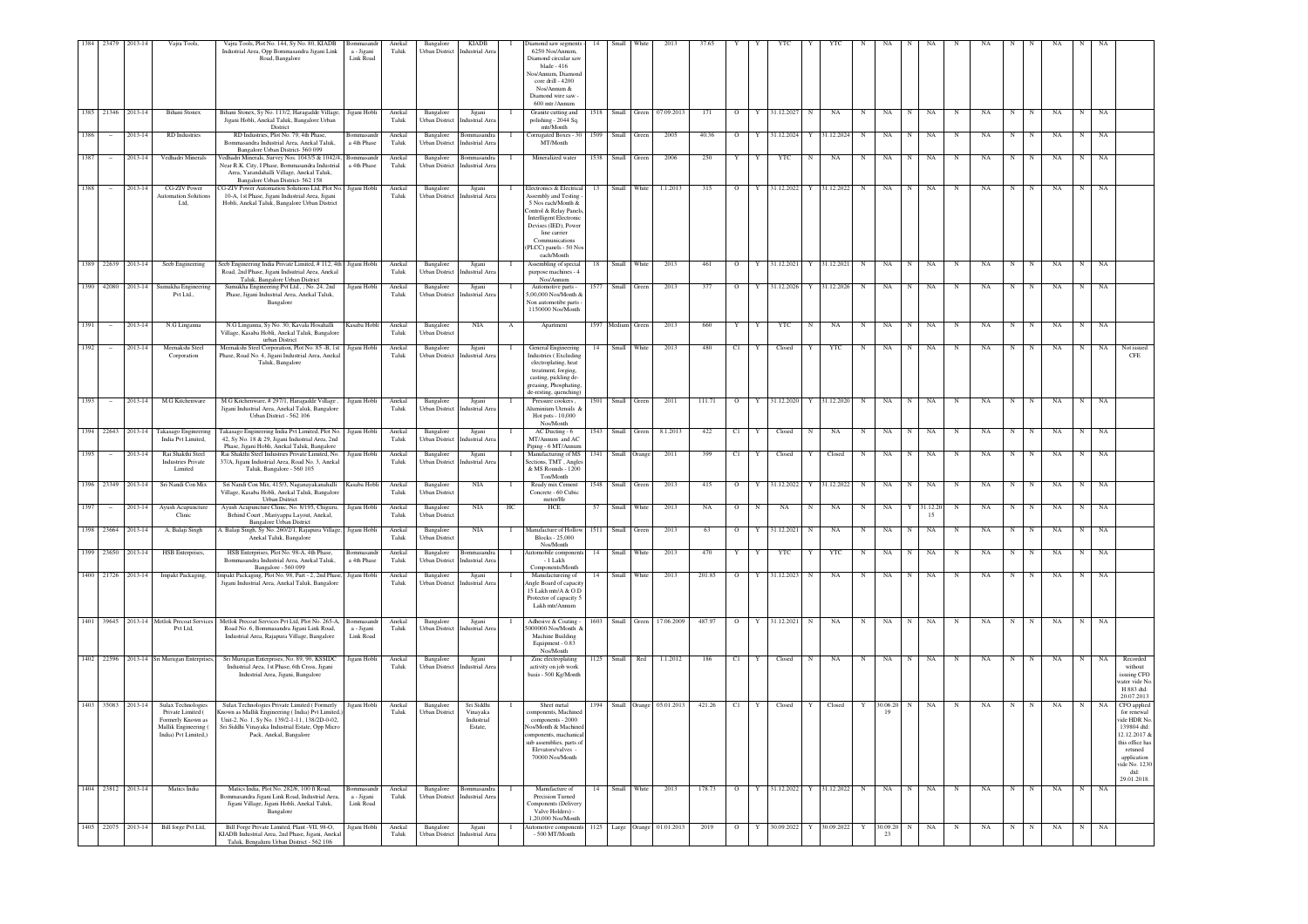|            |            | 1384 23479 2013-14                | Vajra Tools                                                                                                | Vajra Tools, Plot No. 144, Sy No. 80, KIADE<br>Industrial Area, Opp Bommasandra Jigani Link<br>Road, Bangalore                                                                                                                  | a - Jigani<br>Link Road              | Taluk                     | Bangalor<br><b>Urban District</b>               | <b>KIADR</b><br>ndustrial Are                   |    | iamond saw segment<br>6250 Nos/Annum.<br>Diamond circular saw<br>blade - 416<br><b>Vos/Annum Diamon</b><br>core drill - 4200<br>Nos/Annum &<br>Diamond wire saw<br>600 mtr / Annum                                                 | 14   | Small            | White                | 2013<br>07.09.2013 | 37.65        |                     |              |                          |                          |        |                        |                     |                 |            |           |   |            |             |            |                                                                                                                                                                    |
|------------|------------|-----------------------------------|------------------------------------------------------------------------------------------------------------|---------------------------------------------------------------------------------------------------------------------------------------------------------------------------------------------------------------------------------|--------------------------------------|---------------------------|-------------------------------------------------|-------------------------------------------------|----|------------------------------------------------------------------------------------------------------------------------------------------------------------------------------------------------------------------------------------|------|------------------|----------------------|--------------------|--------------|---------------------|--------------|--------------------------|--------------------------|--------|------------------------|---------------------|-----------------|------------|-----------|---|------------|-------------|------------|--------------------------------------------------------------------------------------------------------------------------------------------------------------------|
| 1386       | 1385 21346 | 2013-14<br>2013-14                | <b>Bihani Stonex</b><br><b>RD</b> Industries                                                               | Bihani Stonex, Sy No. 113/2, Haragadde Village,<br>Jigani Hobli, Anekal Taluk, Bangalore Urban<br>District<br>RD Industries Plot No. 79 4th Phase                                                                               | Jigani Hobli<br>Rommacand            | Anekal<br>Taluk<br>Anekal | Bangalore<br>Jrban District<br><b>Bangalore</b> | Jigani<br>ustrial Are<br><b>Bommasandra</b>     |    | Granite cutting and<br>polishing - 2044 Sq.<br>mtr/Month<br>Corrugated Boxes - 30                                                                                                                                                  |      | 1509 Small Green | 1518 Small Green     | 2005               | 171<br>40.36 | $\Omega$            | Y<br>Y       | 31.12.2027<br>31.12.2024 | NA<br>31 12 2024         | N<br>N | <b>NA</b><br><b>NA</b> | $\overline{N}$<br>N | NA<br><b>NA</b> | N<br>N     | NA<br>NA  | N | N<br>N     | NA<br>NA    |            | NA<br>NA                                                                                                                                                           |
|            |            | 2013-14                           | Vedhadri Minerals                                                                                          | Bommasandra Industrial Area, Anekal Taluk.<br>Bangalore Urban District-560 099<br>adri Minerals, Survey Nos. 1043/5 & 1042/4,                                                                                                   | a 4th Phase                          | Taluk<br>Aneka            | Urban District<br>Bangalore                     | ndustrial Are<br>ommasandr                      |    | MT/Month<br>Mineralized water                                                                                                                                                                                                      | 1538 | Small            |                      | 2006               | 25(          |                     |              | YTC                      | NA                       |        | NA                     |                     | NA              |            | NA        |   |            | NA          |            |                                                                                                                                                                    |
|            |            |                                   |                                                                                                            | Near R.K. City, I Phase, Bommasandra Industrial<br>Area, Yarandahalli Village, Anekal Taluk.<br>Bangalore Urban District-562 158                                                                                                | a 4th Phase                          | Taluk                     | <b>Irhan District</b>                           | <b>Industrial Are</b>                           |    |                                                                                                                                                                                                                                    |      |                  | iree                 |                    |              |                     |              |                          |                          |        |                        |                     |                 |            |           |   |            |             |            |                                                                                                                                                                    |
| 1388       |            | $2013 - 14$<br>1389 22639 2013-14 | CG-ZIV Power<br>mation Soluti<br>Ltd,                                                                      | G-ZIV Power Automation Solutions Ltd, Plot No.<br>10-A, 1st Phase, Jigani Industrial Area, Jigani<br>Hobli, Anekal Taluk, Bangalore Urban District                                                                              | Jigani Hobli                         | Anckal<br>Taluk<br>Anekal | Bangalore<br>Jrban District<br><b>Bangalore</b> | Jigani<br>dustrial Are<br>Jigani                |    | Electronics & Electrical<br><b>Assembly and Testing</b><br>5 Nos each/Month &<br>ontrol & Relay Panel:<br>Interlligent Electronic<br>Devises (IED), Power<br>line carrier<br>Communications<br>(PLCC) panels - 50 No<br>each/Month |      | Small            | White<br>Small White | 1.1.2013<br>2013   | 315<br>461   | $\circ$<br>$\Omega$ |              | 31.12.2022<br>31.12.2021 | 31.12.2022<br>31.12.2021 |        | NA                     | $_{\rm N}$          | NA              |            | NA<br>NA  |   |            | NA.         |            | <b>NA</b>                                                                                                                                                          |
|            |            |                                   | Seeb Engineering                                                                                           | Seeb Engineering India Private Limited, #112, 4th Jigani Hobli<br>Road, 2nd Phase, Jigani Indsutrial Area, Anekal<br>Taluk, Bangalore Urban District                                                                            |                                      | Taluk                     | Jrban District                                  | ndustrial Are                                   |    | Assembling of special<br>purpose machines - 4<br>${\it Nos/Annum}$                                                                                                                                                                 |      |                  |                      |                    |              |                     |              |                          |                          |        |                        |                     |                 |            |           |   |            |             |            |                                                                                                                                                                    |
|            | 4208       | 2013-14                           | mukha Engineerii<br>Pvt Ltd.,                                                                              | ukha Engineering Pvt Ltd., ; No. 24, 2no<br>Phase, Jigani Industrial Area, Anekal Taluk,<br>Bangalore                                                                                                                           |                                      | Aneka<br>Taluk            | Bangalore<br><b>Urban District</b>              | Jigani<br>ndustrial Are                         |    | Automotive parts -<br>00.000 Nos/Month &<br>Son automotibe parts<br>1150000 Nos/Month                                                                                                                                              |      |                  |                      | 201                | 37           |                     |              | 31.12.2026               | 1.12.2026                |        | NA                     |                     |                 |            |           |   |            |             |            |                                                                                                                                                                    |
| 1391       |            | 2013-14                           | N.G Linganna                                                                                               | N.G Linganna, Sy No. 30, Kavala Hosahalli<br>Village, Kasaba Hobli, Anekal Taluk, Bangalore<br>urban District                                                                                                                   | Kasaba Hobi                          | Anekal<br>Taluk           | Bangalore<br>Irhan Distric                      | <b>NIA</b>                                      | A  | Apartment                                                                                                                                                                                                                          | 1597 | Mediu            | Green                | 2013               | 660          |                     |              | YTC                      | NA                       |        | NA                     | N                   | NA              | N          | NA        |   |            | NA          |            | NA                                                                                                                                                                 |
| 1392       |            | 2013-14                           | Meenakshi Steel<br>Corporation                                                                             | Meenakshi Steel Corporation, Plot No. 85 -B. 1st<br>Phase, Road No. 4, Jigani Industrial Area, Anekal<br>Taluk, Bangalore                                                                                                       | Jigani Hobl                          | Anekal<br>Taluk           | Bangalore<br>Jrban District                     | Jigani<br>dustrial Are                          |    | General Engineering<br>Industries (Excluding<br>electroplating, heat<br>treatment, forging,<br>casting, pickling de-<br>zreasing, Phosphating<br>de-resting, quenching)                                                            | 14   | Small            | White                | 2013               | 480          | C1                  |              | Closed                   | <b>YTC</b>               |        | NA.                    |                     | NA              |            | NA.       |   |            | NA.         |            | NA<br>Not issued<br>$\mbox{CFE}$                                                                                                                                   |
| 1393       |            | 2013-14                           | M.G Kitchenware                                                                                            | M.G Kitchenware, # 297/1, Haragadde Village,<br>Jigani Industrial Area, Anekal Taluk, Bangalore<br>Urban District - 562 106                                                                                                     | Jigani Hobli                         | Anckal<br>Taluk           | Bangalore<br><b>Irban District</b>              | Jigani<br>lustrial Are                          |    | Pressure cookers.<br>Juminium Utensils &<br>Hot pots - 10,000<br>Nos/Month                                                                                                                                                         | 1501 |                  | Small Green          | 2011               | 111.71       | $\overline{0}$      | $\mathbf{Y}$ | 31.12.2020<br>Y          | 31.12.2020               | N      | NA.                    | $_{\rm N}$          | NA              | N          | NA        |   |            | NA          |            | NA                                                                                                                                                                 |
|            |            |                                   | 1394 22643 2013-14 Takasago Engineering<br>India Pvt Limited.                                              | Takasago Engineering India Pvt Limited, Plot No. Jigani Hobli<br>42. Sv No. 18 & 29. Jigani Industrial Area. 2nd<br>Phase, Jigani Hobli, Anekal Taluk, Bangalore                                                                |                                      | Anekal<br>Taluk           | Bangalore<br>Jrban District                     | Jigani<br>dustrial Are                          |    | AC Ducting - 6<br>MT/Annum and AC<br>Piping - 6 MT/Annum                                                                                                                                                                           |      |                  | 1543 Small Green     | 8.1.2013           | 422          | Cl                  |              | Closed                   | <b>NA</b>                |        | NA                     | N                   | NA              | N          | <b>NA</b> |   |            | NA          |            | NA                                                                                                                                                                 |
| 1395       |            | $2013 - 1$                        | Rai Shakthi Steel<br><b>Industries Private</b><br>Limited                                                  | Rai Shakthi Steel Industries Private Limited, No.<br>37/A, Jigani Industrial Area, Road No. 3, Anekal<br>Taluk, Bangalore - 560 105                                                                                             | Jigani Hob                           | Aneka<br>Taluk            | Bangalore<br><b>Urban District</b>              | Jigani<br>dustrial Are                          |    | Manufacturing of MS<br>ections, TMT, Angle<br>& MS Rounds - 1200                                                                                                                                                                   |      | Small            | Orang                | 2011               | 39           | $\overline{c}$      |              | Closed                   | Closed                   |        | NA                     |                     | NA              |            | NA        |   |            | NA          |            | NA                                                                                                                                                                 |
|            |            | 1396 23349 2013-14                | Sri Nandi Con Mix                                                                                          | Sri Nandi Con Mix, 415/3, Naganayakanahalli<br>Village, Kasaba Hobli, Anekal Taluk, Bangalore<br><b>Urban Dsitrict</b>                                                                                                          | Kasaba Hobl                          | Anckal<br>Taluk           | Bangalore<br>rban Distric                       | <b>NIA</b>                                      |    | Ton/Month<br>Ready mix Cement<br>Concrete - 60 Cubic<br>$\rm meter/Hr$                                                                                                                                                             |      | 1548 Small       | Green                | 2013               | 415          | $\overline{0}$      |              | 31.12.2022               | 31.12.2022               |        | NA                     |                     | NA              | N          | NA        |   |            | NA          |            | NA                                                                                                                                                                 |
| 1397       |            | 2013-14                           | Ayush Acupunctur<br>Clinic                                                                                 | Ayush Acupuncture Clinic, No. 8/195, Chiguru<br>Behind Court . Mariyanna Layout. Anekal.<br>Bangalore Urban District                                                                                                            | Jigani Hobli                         | Anckal<br>Taluk           | Bangalore<br>Urban District                     | <b>NIA</b>                                      | HC | HCF                                                                                                                                                                                                                                |      | Small            | White                | 2013               | NA           | $\circ$             |              | NA                       | NA                       |        | $_{\rm NA}$            |                     | 1.12.20<br>15   |            | NA        |   |            | $_{\rm NA}$ |            | NA                                                                                                                                                                 |
| 1398       | 23664      | 2013-14                           | A, Balaji Singh                                                                                            | A. Balaji Singh, Sy No. 260/2/1, Rajapura Village,<br>Anekal Taluk, Bangalore                                                                                                                                                   | Jigani Hobli                         | Anekal<br>Taluk           | Bangalore<br>Jrban Distric                      | NIA                                             |    | anufacture of Hollo<br><b>Blocks</b> - 25,000<br>Nos/Month                                                                                                                                                                         | 1511 | Small            | Greet                | 2013               | 63           | $\overline{0}$      |              | 31.12.2021               | NA                       |        | NA                     |                     | NA              | N          | NA        |   |            | NA          |            | NA                                                                                                                                                                 |
| 1399 23650 |            | 2013-14                           | HSB Enterprises,                                                                                           | HSB Enterprises Plot No. 98-A 4th Phase<br>Bommasandra Industrial Area, Anekal Taluk,<br>Bangalore - 560 099                                                                                                                    | a 4th Phase                          | Anekal<br>Taluk           | <b>Bangalore</b><br>Jrban District              | tommasandra<br>dustrial Are                     |    | omobile componer<br>- 1 Lakh<br>Components/Month                                                                                                                                                                                   | 14   | Small            | White                | 2013               | 470          |                     |              | YTC                      | <b>YTC</b>               | N      | NA                     | N                   | NA              | N          | NA        |   |            | NA          |            | NA                                                                                                                                                                 |
|            |            | 1400 21726 2013-14                | Impakt Packaging,                                                                                          | Impakt Packaging, Plot No. 98, Part - 2, 2nd Phase, Jigani Hobli<br>Jigani Industrial Area, Anekal Taluk, Bangalore                                                                                                             |                                      | Anekal<br>Taluk           | Bangalore<br>Urban District                     | Jigani<br>dustrial Are                          |    | Manufactureing of<br>ngle Board of capaci<br>15 Lakh mtr/A & O D<br>Protector of capacity:<br>Lakh mtr/Annum                                                                                                                       | 14   | Small            | White                | 2013               | 201.85       | $\circ$             |              | 31.12.2023               | NA                       |        | NA                     | N                   | NA              | N          | NA        |   |            | NA          |            | NA                                                                                                                                                                 |
| 1401       | 39645      |                                   | 2013-14 Metlok Precoat Service<br>Pvt Ltd,                                                                 | Metlok Precoat Services Pvt Ltd, Plot No. 265-A.<br>Road No. 6, Bommasandra Jigani Link Road,<br>Industrial Area, Rajapura Village, Bangalore                                                                                   | a - Jigani<br>Link Road              | Anekal<br>Taluk           | Bangalore<br><b>Urban District</b>              | Jigani<br>dustrial Are                          |    | Adhesive & Coating -<br>000000 Nos/Month<br>Machine Building<br>Equipment - 0.83<br>Nos/Month                                                                                                                                      |      | Small            | Green                | 17.06.2009         | 487.9        | $\circ$             |              | 31.12.2021               | <b>NA</b>                |        | NA                     |                     | NA              |            | NA        |   |            | NA          |            |                                                                                                                                                                    |
|            |            |                                   | 1402 22596 2013-14 Sri Murugan Enterprises,                                                                | Sri Murugan Enterprises, No. 89, 90, KSSIDC<br>Industrial Area, 1st Phase, 6th Cross, Jigani<br>Industrial Area, Jigani, Bangalore                                                                                              | Jigani Hobli                         | Anckal<br>Taluk           | Bangalore<br>Urban Distric                      | Jigani<br>lustrial Ar                           |    | Zinc electroplating<br>activity on job work<br>basis - 500 Kg/Month                                                                                                                                                                | 1125 | Small            | Red                  | 1.1.2012           | 186          | C1                  | Y            | Closed<br>N              | NA                       | N      | NA                     | N                   | NA              | N          | NA        |   | N          | NA          |            | Recorded<br>NA<br>without<br>issuing CFO<br>vater vide No<br>H 883 dtd:<br>20.07.2013                                                                              |
| 1403 35083 |            | 2013-14                           | Sulax Technologies<br>Private Limited (<br>Formerly Known as<br>Mallik Engineering<br>India) Pvt Limited,) | Sulax Technologies Private Limited (Formerly<br>own as Mallik Engineering (India) Pvt Limited,<br>Unit-2, No. 1, Sv No. 139/2-1-11, 138/2D-0-02,<br>Sri Siddhi Vinayaka Industrial Estate, Opp Micro<br>Pack, Anekal, Bangalore | Jigani Hobli                         | Anekal<br>Taluk           | Bangalore<br><b>Urban District</b>              | Sri Siddhi<br>Vinayaka<br>Industrial<br>Estate. |    | Sheet metal<br>mponents, Machine<br>components - 2000<br>los/Month & Machine<br>omponents, machanica<br>ub assemblies, parts o<br>Elevators/valves -<br>70000 Nos/Month                                                            |      |                  | 1394 Small Orange    | 05.01.2013         | 421.26       | C1                  | Y            | Closed                   | Closed                   |        | 30.06.20<br>19         | N                   | NA              | $_{\rm N}$ | NA        |   | $_{\rm N}$ | $_{\rm NA}$ |            | CFO applied<br>NA<br>for renewal<br>vide HDR No<br>139804 dtd:<br>12.12.2017 &<br>this office ha<br>retuned<br>application<br>vide No. 1230<br>dtd:<br>29.01.2018. |
|            |            | 1404 23812 2013-14                | Matics India                                                                                               | Matics India, Plot No. 282/6, 100 ft Road,<br>Bommasandra Jigani Link Road, Industrial Area,<br>Jigani Village, Jigani Hobli, Anekal Taluk,<br>Bangalore                                                                        | Bommasand<br>a - Jigani<br>Link Road | Anekal<br>Taluk           | Bangalore<br>Urban District                     | Bommasandra<br>ndustrial Are                    |    | Manufacture of<br>Precision Turned<br>omponents (Deliver<br>Valve Holders) -                                                                                                                                                       | 14   | Small            | White                | 2013               | 178.73       | $\overline{0}$      |              | Y 31.12.2022             | Y 31.12.2022 N           |        | NA                     | $\overline{N}$      | <b>NA</b>       | $_{\rm N}$ | NA        | N | $_{\rm N}$ | NA          | $_{\rm N}$ | <b>NA</b>                                                                                                                                                          |
|            |            | 1405 22075 2013-14                | Bill forge Pvt Ltd.                                                                                        | Bill Forge Private Limited, Plant -VII, 98-O,<br>KIADB Industrial Area, 2nd Phase, Jigani, Anekal<br>Taluk, Bengaluru Urban District - 562 106                                                                                  | Jigani Hobli                         | Anekal<br>Taluk           | Bangalore<br>Urban District                     | Jigani<br>dustrial Are                          |    | 1,20,000 Nos/Month<br>utomotive components<br>- 500 MT/Month                                                                                                                                                                       |      |                  | 1125 Large Orange    | 01.01.2013         | 2019         | $\circ$             |              | 30.09.2022               | 0.09.2022                |        | 30.09.20<br>23         |                     | NA              |            | NA        |   |            |             |            |                                                                                                                                                                    |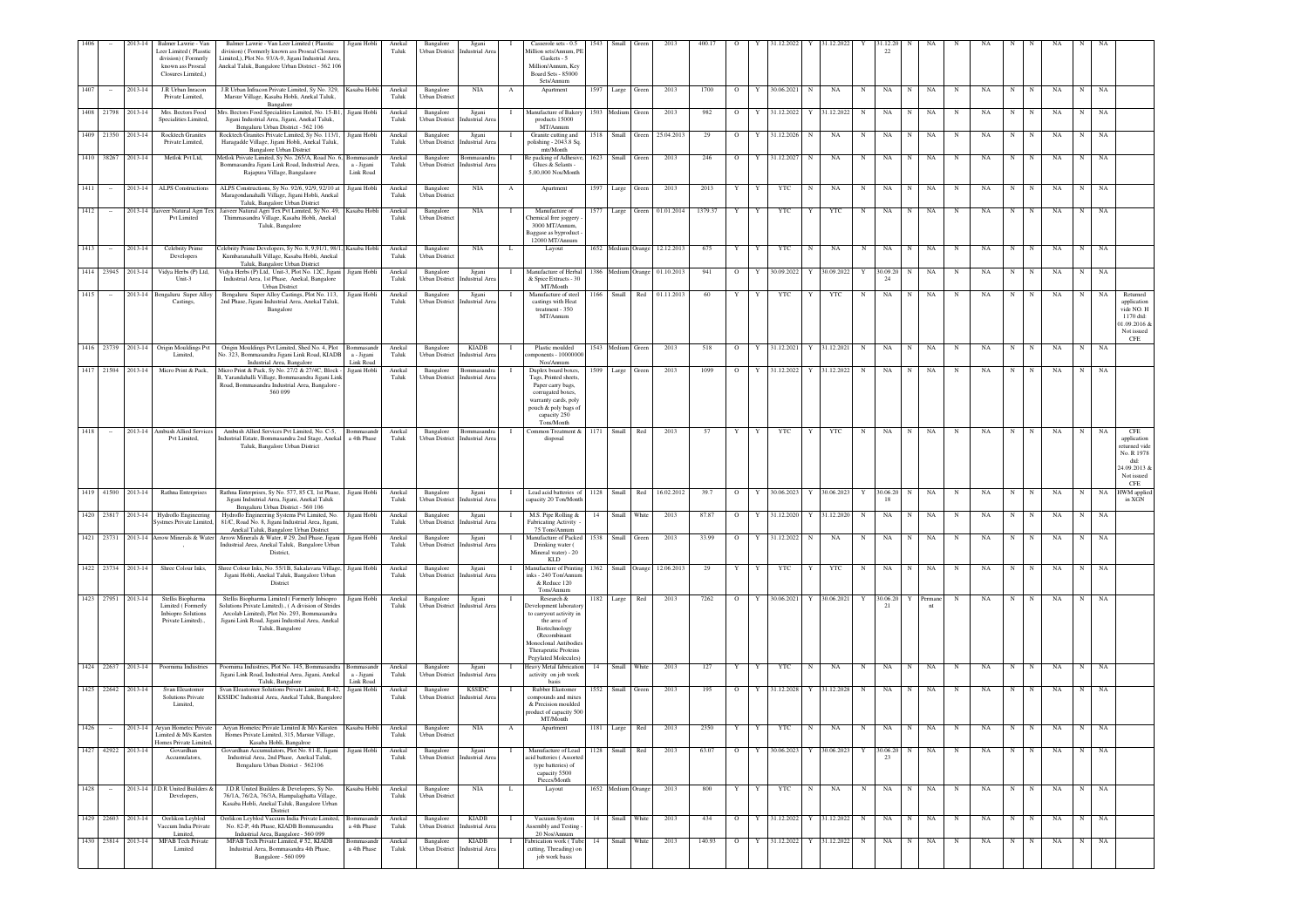|      |        | $2013 - 14$        | Balmer Lawrie - Van<br>Leer Limited (Plasstic<br>division) (Formerly<br>known ass Proseal<br>Closures Limited,) | Balmer Lawrie - Van Leer Limited (Plasstic<br>division) (Formerly known ass Proseal Closures<br>Limited,), Plot No. 93/A-9, Jigani Industrial Area,<br>Anekal Taluk, Bangalore Urban District - 562 106                  | Jigani Hobl                                  | Anekal<br>Taluk | Bangalore<br><b>Urban District</b> | Jigani<br>Industrial Are               |   | Casserole sets - 0.5<br>Million sets/Annum, PE<br>Gaskets - 5<br>Million/Annum, Key<br>Board Sets - 85000<br>Sets/Annum                                                                            | 1543 | Small             | Green              | 2013                         | 400.17  | $\circ$  |   | 31.12.2022 |   | 31.12.2022                |             | 1.12.2<br>22   |             |             |            |             |   |            |             |            |             |                                                                                               |
|------|--------|--------------------|-----------------------------------------------------------------------------------------------------------------|--------------------------------------------------------------------------------------------------------------------------------------------------------------------------------------------------------------------------|----------------------------------------------|-----------------|------------------------------------|----------------------------------------|---|----------------------------------------------------------------------------------------------------------------------------------------------------------------------------------------------------|------|-------------------|--------------------|------------------------------|---------|----------|---|------------|---|---------------------------|-------------|----------------|-------------|-------------|------------|-------------|---|------------|-------------|------------|-------------|-----------------------------------------------------------------------------------------------|
| 1407 | $\sim$ | 2013-14            | J.R Urban Inracon<br>Private Limited,                                                                           | J.R Urban Infracon Private Limited, Sy No. 329,<br>Marsur Village, Kasaba Hobli, Anekal Taluk,<br>Bangalore                                                                                                              | Kasaba Hobli                                 | Anekal<br>Taluk | Bangalore<br><b>Urban District</b> | NIA                                    | A | Apartment                                                                                                                                                                                          | 1597 | Large Green       |                    | 2013                         | 1700    | $\circ$  |   | 30.06.2021 |   | NA                        | N           | NA             |             | NA          | N          | NA          | N |            | NA          |            | <b>NA</b>   |                                                                                               |
|      |        | 1408 21798 2013-14 | Mrs. Bectors Food<br>Specialities Limited,                                                                      | Mrs. Bectors Food Specialities Limited, No. 15-B1.<br>Jigani Industrial Area, Jigani, Anekal Taluk,<br>Bengaluru Urban District - 562 106                                                                                | Jigani Hobli                                 | Anckal<br>Taluk | Bangalore<br><b>Urban District</b> | Jigani<br>ndustrial Are                |   | Manufacture of Bakery<br>products 15000<br>MT/Annum                                                                                                                                                |      | 1503 Medium Green |                    | 2013                         | 982     | $\circ$  | Y | 31.12.2022 |   | 31.12.2022                | N           | NA             | N           | NA          | N          | NA          | N | N          | NA          | N          | <b>NA</b>   |                                                                                               |
|      |        | 1409 21350 2013-14 | <b>Rocktech Granites</b><br>Private Limited.                                                                    | Rocktech Granites Private Limited, Sy No. 113/1,<br>Haragadde Village, Jigani Hobli, Anekal Taluk,<br><b>Bangalore Urban District</b>                                                                                    | Jigani Hobli                                 | Anckal<br>Taluk | Bangalore<br><b>Urban District</b> | Jigani<br>ndustrial Are                |   | Granite cutting and<br>polishing - 2043.8 Sq.<br>mtr/Month                                                                                                                                         |      |                   | 1518 Small Green   | 25.04.2013                   | 29      | $\Omega$ | Y | 31.12.2026 | N | NA                        | N           | NA             | N           | NA          | $_{\rm N}$ | NA          | N | N          | NA          | N          | NA          |                                                                                               |
| 1410 |        | 38267 2013-14      | Metlok Pvt Ltd,                                                                                                 | Metlok Private Limited, Sy No. 265/A, Road No. 6,<br>Bommasandra Jigani Link Road, Industrial Area,<br>Rajapura Village, Bangalaore                                                                                      | Bommasand<br>a - Jigani<br>Link Road         | Anekal<br>Taluk | Bangalore<br><b>Urban District</b> | Bommasandra<br>Industrial Are          |   | Re packing of Adhesive<br>Glues & Selants -<br>5.00,000 Nos/Month                                                                                                                                  |      | 1623 Small        | Green              | 2013                         | 246     | $\circ$  |   | 31.12.2027 |   | NA                        | N           | $_{\rm NA}$    | N           | $_{\rm NA}$ | $_{\rm N}$ | $_{\rm NA}$ | N | N          | $_{\rm NA}$ | N          | $_{\rm NA}$ |                                                                                               |
| 1411 |        | 2013-14            | <b>ALPS</b> Constructions                                                                                       | ALPS Constructions, Sy No. 92/6, 92/9, 92/10 at<br>Maragondanahalli Village, Jigani Hobli, Anekal<br>Taluk, Bangalore Urban District                                                                                     | Jigani Hobli                                 | Anekal<br>Taluk | Bangalore<br><b>Urban District</b> | $_{\rm NIA}$                           | A | Apartment                                                                                                                                                                                          | 1597 | Large             | Green              | 2013                         | 2013    | Y        |   | YTC        |   | NA                        | N           | NA             | N           | $_{\rm NA}$ | N          | NA          | N | N          | $_{\rm NA}$ |            | $_{\rm NA}$ |                                                                                               |
| 1412 |        |                    | 2013-14 Jaiveer Natural Agri Tex<br>Pvt Limited                                                                 | Jaiveer Natural Agri Tex Pvt Limited, Sy No. 49,<br>Thimmasandra Village, Kasaba Hobli, Anekal<br>Taluk, Bangalore                                                                                                       | Kasaba Hobli                                 | Anekal<br>Taluk | Bangalore<br><b>Urban District</b> | NIA                                    |   | Manufacture of<br>hemical free joggery<br>3000 MT/Annum<br>Baggase as byproduct<br>12000 MT/Annum                                                                                                  |      | 1577 Large Green  |                    | 01.01.2014                   | 1379.37 | Y        | Y | YTC        |   | <b>YTC</b>                | N           | NA             | N           | NA          | N          | NA          | N | N          | NA          | N          | NA          |                                                                                               |
| 1413 | $\sim$ | 2013-14            | <b>Celebrity Prime</b><br>Developers                                                                            | elebrity Prime Developers, Sy No. 8, 9,91/1, 98/1,<br>Kumbaranahalli Village, Kasaba Hobli, Anekal<br>Taluk, Bangalore Urban District                                                                                    | Kasaba Hobli                                 | Anekal<br>Taluk | Bangalore<br><b>Urban Distric</b>  | NIA                                    |   | Layout                                                                                                                                                                                             |      |                   | 1652 Medium Orange | 12.12.2013                   | 675     |          |   | <b>YTC</b> |   | NA                        | N           | NA             | N           | NA          | N          | NA          | N | N          | NA          |            | NA          |                                                                                               |
|      |        | 1414 23945 2013-14 | Vidya Herbs (P) Ltd,<br>Unit-3                                                                                  | Vidya Herbs (P) Ltd, Unit-3, Plot No. 12C, Jigani<br>Industrial Area, 1st Phase, Anekal, Bangalore<br><b>Urban District</b>                                                                                              | Jigani Hobli                                 | Anekal<br>Taluk | Bangalore<br><b>Urban District</b> | Jigani<br>ndustrial Are                |   | Manufacture of Herbal<br>& Spice Extracts - 30<br>MT/Month                                                                                                                                         |      | 1386 Medium Orang |                    | 01.10.2013                   | 941     | $\circ$  |   | 30.09.2022 |   | 30.09.2022                |             | 30.09.20<br>24 |             | NA          |            | NA          |   |            | NA          |            | NA          |                                                                                               |
| 1415 | $\sim$ |                    | 2013-14 Bengaluru Super Alloy<br>Castings,                                                                      | Bengaluru Super Alloy Castings, Plot No. 113,<br>2nd Phase, Jigani Industrial Area, Anekal Taluk<br>Bangalore                                                                                                            | Jigani Hobli                                 | Anckal<br>Taluk | Bangalore<br><b>Urban District</b> | Jigani<br>ndustrial Are                |   | Manufacture of steel<br>castings with Heat<br>treatment - 350<br>MT/Annum                                                                                                                          | 1166 |                   | Small Red          | 01.11.2013                   | 60      |          |   | <b>YTC</b> |   | YTC                       | N           | NA             | N           | NA          | N          | NA          | N | N          | NA          |            | NA          | Returned<br>application<br>vide NO. H<br>1170 dtd:<br>01.09.2016 &<br>Not issued<br>$\rm CFE$ |
|      |        |                    | 1416 23739 2013-14 Origin Mouldings Pvt<br>Limited,                                                             | Origin Mouldings Pvt Limited, Shed No. 4, Plot<br>No. 323, Bommasandra Jigani Link Road, KIADB                                                                                                                           | Bommasandı<br>a - Jigani                     | Anekal<br>Taluk | Bangalore<br>Urban Distric         | <b>KIADB</b><br>dustrial Are           |   | Plastic moulded<br>mponents - 1000000                                                                                                                                                              |      | 1543 Medium Green |                    | 2013                         | 518     | $\circ$  | Y | 31.12.2021 |   | Y 31.12.2021              | N           | NA             | N           | NA          | N          | NA          | N | N          | NA          | N          | NA          |                                                                                               |
|      |        | 1417 21504 2013-14 | Micro Print & Pack,                                                                                             | Industrial Area, Bangalore<br>Micro Print & Pack, Sy No. 27/2 & 27/4C, Block -<br>B, Yarandahalli Village, Bommasandra Jigani Link<br>Road, Bommasandra Industrial Area, Bangalore<br>560 099                            | Link Road<br>Jigani Hobli                    | Anekal<br>Taluk | Bangalore<br><b>Urban District</b> | Bommasandra<br>Industrial Are          |   | Nos/Annum<br>Duplex board boxes.<br>Tags, Printed sheets,<br>Paper carry bags,<br>corrugated boxes,<br>warranty cards, poly<br>pouch & poly bags of                                                | 1509 | Large             | Green              | 2013                         | 1099    | $\circ$  | Y | 31.12.2022 | Y | 31.12.2022                | N           | NA             | $_{\rm N}$  | <b>NA</b>   | N          | <b>NA</b>   | N | $_{\rm N}$ | <b>NA</b>   | $_{\rm N}$ | $_{\rm NA}$ |                                                                                               |
| 1418 | $\sim$ |                    | 2013-14 Ambush Allied Services<br>Pvt Limited,                                                                  | Ambush Allied Services Pvt Limited No. C-5<br>Industrial Estate, Bommasandra 2nd Stage, Anekal<br>Taluk, Bangalore Urban District                                                                                        | Bommasandr<br>a 4th Phase                    | Anekal<br>Taluk | Bangalore<br><b>Urban District</b> | Bommasandra<br>Industrial Are          |   | capacity 250<br>Tons/Month<br>Common Treatment &<br>disposal                                                                                                                                       |      | 1171 Small        | Red                | 2013                         | 57      |          |   | YTC        |   | YTC                       | N           | NA             |             | NA          |            | NA.         | N |            | NA.         |            | NA          | <b>CFE</b><br>application<br>returned vide<br>No. R 1978<br>dtd:<br>24.09.2013 &              |
|      |        |                    | 1419 41500 2013-14 Rathna Enterprises                                                                           | Rathna Enterprises, Sy No. 577, 85 CI, 1st Phase,                                                                                                                                                                        | Jigani Hobli                                 | Anekal          | Bangalore                          | Jigani                                 |   | Lead acid batteries of 1128 Small Red                                                                                                                                                              |      |                   |                    | 16.02.2012                   | 39.7    | $\circ$  | Y |            |   | 30.06.2023 Y 30.06.2023 Y |             | 30.06.20       | N           | NA          | $_{\rm N}$ | NA          | N | N          | NA          | N          | NA          | Not issued<br>$\rm CFE$<br>HWM applied                                                        |
|      |        |                    | 1420 23817 2013-14 Hydroflo Engineering                                                                         | Jigani Indsutrial Area, Jigani, Anekal Taluk<br>Bengaluru Urban District - 560 106<br>Hydroflo Engineering Systems Pvt Limited, No.                                                                                      | Jigani Hobli                                 | Taluk<br>Anekal | <b>Urban District</b><br>Bangalore | dustrial Are<br>Jigani                 |   | apacity 20 Ton/Mont<br>M.S. Pipe Rolling &                                                                                                                                                         | 14   | Small             | White              | 2013                         | 87.87   | $\circ$  |   | 31.12.2020 |   | 31.12.2020                | N           | 18<br>NA       | N           | NA          | N          | NA          | N | N          | NA          |            | NA          | in XGN                                                                                        |
|      |        |                    | stmes Private Limited<br>1421 23731 2013-14 Arrow Minerals & Water                                              | 81/C, Road No. 8, Jigani Industrial Area, Jigani.<br>Anekal Taluk, Bangalore Urban District<br>Arrow Minerals & Water, #29, 2nd Phase, Jigani                                                                            | Jigani Hobli                                 | Taluk<br>Anekal | <b>Urban District</b><br>Bangalore | ndustrial Are<br>Jigani                |   | <b>Fabricating Activity</b><br>75 Tons/Annum<br>Aanufacture of Packed                                                                                                                              | 1538 |                   | Small Green        | 2013                         | 33.99   | $\circ$  |   | 31.12.2022 | N | NA                        |             | NA             |             | NA          |            | NA          | N | N          | NA          |            | NA          |                                                                                               |
|      |        |                    |                                                                                                                 | Industrial Area, Anekal Taluk, Bangalore Urban<br>District                                                                                                                                                               |                                              | Taluk           | <b>Urban District</b>              | ndustrial Are                          |   | Drinking water (<br>Mineral water) - 20<br>KLD                                                                                                                                                     |      |                   |                    |                              |         |          |   |            |   |                           | N           |                | N           |             | N          |             |   |            |             | N          |             |                                                                                               |
|      |        |                    | 1422 23734 2013-14 Shree Colour Inks,                                                                           | Shree Colour Inks, No. 55/1B, Sakalavara Village,<br>Jigani Hobli, Anekal Taluk, Bangalore Urban<br>District                                                                                                             | Jigani Hobli                                 | Anekal<br>Taluk | Bangalore<br><b>Urban District</b> | Jigani<br>Industrial Are               |   | Manufacture of Printing<br>inks - 240 Ton/Annun<br>& Reduce 120                                                                                                                                    |      |                   |                    | 1362 Small Orange 12.06.2013 | 29      | Y        | Y | YTC        |   | <b>YTC</b>                | N           | NA             | N           | NA          | N          | NA          | N | N          | NA          |            | NA          |                                                                                               |
| 1423 | 27951  | 2013-14            | Stellis Biopharma<br>Limited (Formerly<br><b>Inbiopro Solutions</b><br>Private Limited).,                       | Stellis Biopharma Limited (Formerly Inbiopro<br>Solutions Private Limited) (A division of Strides<br>Arcolab Limited), Plot No. 293, Bommasandra<br>Jigani Link Road, Jigani Industrial Area, Anekal<br>Taluk, Bangalore | Jigani Hobli                                 | Anekal<br>Taluk | Bangalore<br><b>Urban District</b> | Jigani<br>ndustrial Are                |   | Tons/Annum<br>Research &<br>evelopment laborato<br>to carryout activity in<br>the area of<br>Biotechnology<br>(Recombinant<br>Monoclonal Antibodie<br>Therapeutic Proteins<br>Pegylated Molecules) | 1182 | Large             | Red                | 2013                         | 7262    | $\circ$  |   | 30.06.2021 |   | 30.06.2021                |             | 30.06.20<br>21 |             | Perman      | N          | <b>NA</b>   | N | N          | NA          |            | NA          |                                                                                               |
|      |        |                    | 1424 22637 2013-14 Poornima Industries                                                                          | Poornima Industries, Plot No. 145, Bommasandra<br>Jigani Link Road, Industrial Area, Jigani, Anekal<br>Taluk, Bangalore                                                                                                  | Bommasandı<br>a - Jigani<br><b>Link Road</b> | Anckal<br>Taluk | Bangalore<br><b>Urban District</b> | Jigani<br>ndustrial Are                |   | Heavy Metal fabrication<br>activity on job work<br>basis                                                                                                                                           | 14   | Small White       |                    | 2013                         | 127     |          |   | <b>YTC</b> |   | NA                        | N           | NA             | N           | NA          | N          | NA          | N | N          | NA          | N          | NA          |                                                                                               |
|      |        | 1425 22642 2013-14 | Svan Eleastomer<br>Solutions Private<br>Limited,                                                                | Svan Eleastomer Solutions Private Limited, R-42.<br>KSSIDC Industrial Area, Anekal Taluk, Bangalore                                                                                                                      | Jigani Hobli                                 | Anekal<br>Taluk | Bangalore<br><b>Urban District</b> | <b>KSSIDC</b><br><b>Industrial Are</b> |   | <b>Rubber Elastomer</b><br>compounds and mixes<br>& Precision moulded<br>product of capacity 500<br>MT/Month                                                                                       |      | 1552 Small Green  |                    | 2013                         | 195     | $\circ$  |   | 31.12.2028 |   | 31.12.2028                | N           | NA             |             | NA          |            | NA          | N |            | NA          |            | NA          |                                                                                               |
| 1426 |        |                    | 2013-14 Aryan Hometec Private<br>mited & M/s Karster                                                            | Aryan Hometec Private Limited & M/s Karsten<br>Iomes Private Limited, 315, Marsur Village                                                                                                                                | Kasaba Hobli                                 | Anekal<br>Taluk | Bangalore<br>rban Distric          | $_{\rm NIA}$                           | A | Apartment                                                                                                                                                                                          | 1181 | Large             | Red                | 2013                         | 2350    | Y        | Y | YTC        | N | $_{\rm NA}$               | N           | $_{\rm NA}$    | $_{\rm N}$  | $_{\rm NA}$ | N          | NA          | N | N          | NA          | N          | NA          |                                                                                               |
|      |        | 1427 42922 2013-14 | Homes Private Limited,<br>Govardhan<br>Accumulators,                                                            | Kasaba Hobli, Bangalroe<br>Govardhan Accumulators, Plot No. 81-E, Jigani<br>Industrial Area, 2nd Phase, Anekal Taluk,<br>Bengaluru Urban District - 562106                                                               | Jigani Hobli                                 | Anekal<br>Taluk | Bangalore<br><b>Urban District</b> | Jigani<br>ndustrial Area               |   | Manufacture of Lead<br>acid batteries (Assorted<br>type batteries) of<br>capacity 5500                                                                                                             |      | 1128 Small Red    |                    | 2013                         | 63.07   | $\circ$  | Y |            |   | 30.06.2023 Y 30.06.2023   | Y           | 30.06.20<br>23 | N           | NA          | N          | NA          | N | N          | NA          | N          | NA          |                                                                                               |
| 1428 | $\sim$ |                    | 2013-14 J.D.R United Builders &                                                                                 | J.D.R United Builders & Developers, Sy No.<br>76/1A, 76/2A, 76/3A, Hampalaghatta Village,                                                                                                                                | Kasaba Hobli                                 | Anekal<br>Taluk | Bangalore<br><b>Urban District</b> | NIA                                    |   | Pieces/Month<br>Layout                                                                                                                                                                             |      |                   | 1652 Medium Orange | 2013                         | 800     | Y        |   | <b>YTC</b> | N | NA                        | N           | NA             | $\mathbf N$ | NA          | $_{\rm N}$ | NA          | N | N          | NA          | N          | NA          |                                                                                               |
|      |        |                    | Developers,                                                                                                     | Kasaba Hobli, Anekal Taluk, Bangalore Urban<br>District                                                                                                                                                                  |                                              |                 |                                    |                                        |   |                                                                                                                                                                                                    |      |                   |                    |                              |         |          |   |            |   |                           |             |                |             |             |            |             |   |            |             |            |             |                                                                                               |
|      |        | 1429 22603 2013-14 | Oerlikon Leyblod<br>Vaccum India Private<br>Limited,                                                            | Oerlikon Leyblod Vaccum India Private Limited,<br>No. 82-P, 4th Phase, KIADB Bommasandra<br>Industrial Area, Bangalore - 560 099                                                                                         | <b>Bommasand</b><br>a 4th Phase              | Anekal<br>Taluk | Bangalore<br><b>Urban District</b> | KIADB<br>Industrial Area               |   | Vacuum System<br>ssembly and Testing<br>20 Nos/Annum                                                                                                                                               | 14   |                   | Small White        | 2013                         | 434     | $\circ$  |   | 31.12.2022 |   | Y 31.12.2022              | $\mathbf N$ | NA             | $_{\rm N}$  | NA          | N          | NA          | N | N          | NA          | N          | NA          |                                                                                               |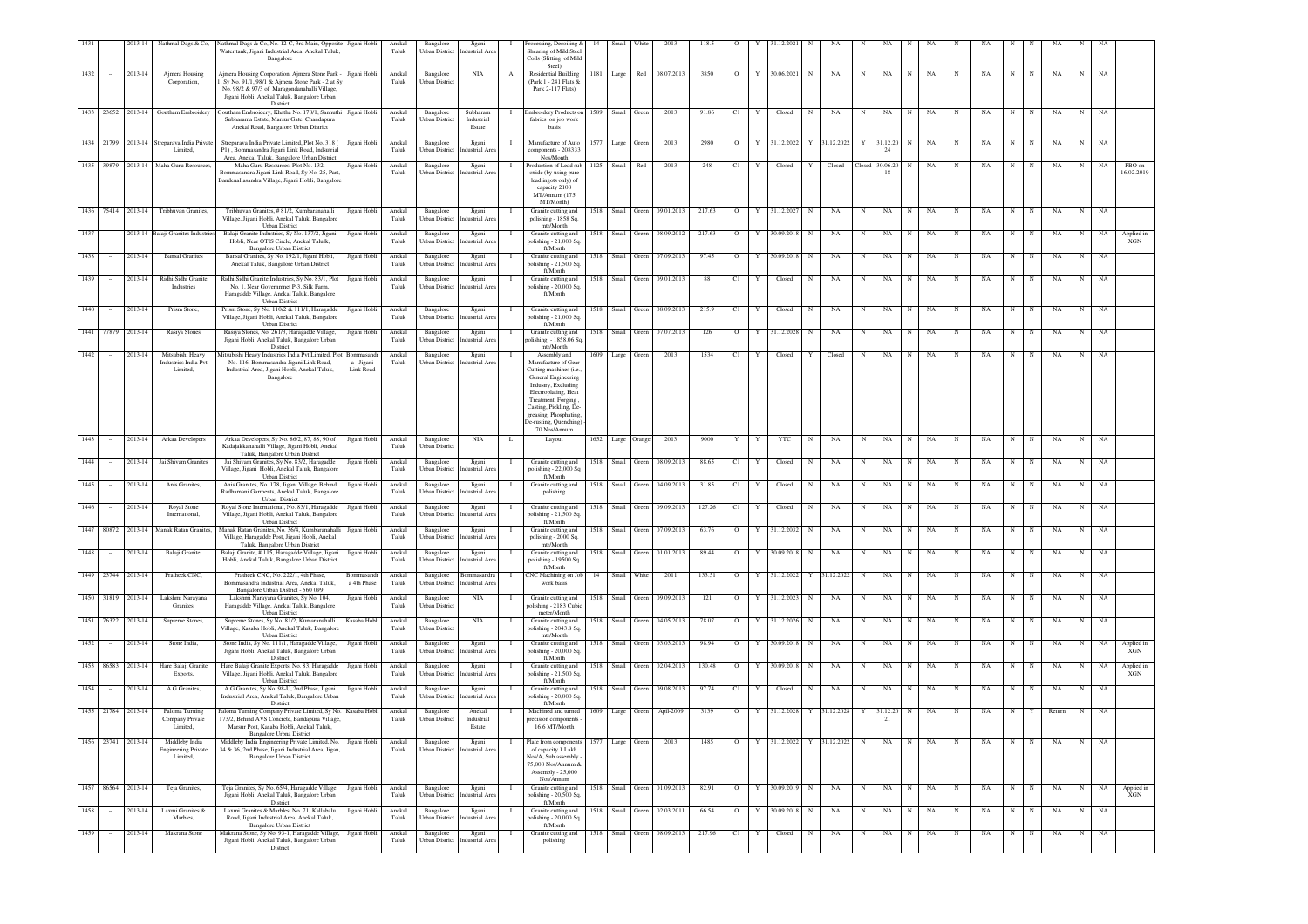| 1431       |            | 2013-14            | Nathmal Dags & Co,                                       | Nathmal Dags & Co, No. 12-C, 3rd Main, Oppo<br>Water tank, Jigani Industrial Area, Anekal Taluk,<br>Bangalore                                                                                                              | Jigani Hobli                                | Anekal<br>Taluk                  | Bangalo<br><b>Urban District</b>   | Jigani<br>Industrial Area        |    | ig Dero<br>Shearing of Mild Steel<br>Coils (Slitting of Mild<br>Steel                                                                                                                                                                                | 14   | Small      | White             | 2013       | 118.5  | $\Omega$       | 1.12.202        |   | NA          |        | NA             |   | NA          |   | NA          |            |   |             |            |             |                          |
|------------|------------|--------------------|----------------------------------------------------------|----------------------------------------------------------------------------------------------------------------------------------------------------------------------------------------------------------------------------|---------------------------------------------|----------------------------------|------------------------------------|----------------------------------|----|------------------------------------------------------------------------------------------------------------------------------------------------------------------------------------------------------------------------------------------------------|------|------------|-------------------|------------|--------|----------------|-----------------|---|-------------|--------|----------------|---|-------------|---|-------------|------------|---|-------------|------------|-------------|--------------------------|
| 1432       |            | 2013-14            | Ajmera Housing<br>Corporation,                           | Ajmera Housing Corporation, Ajmera Stone Park - Jigani Hobli<br>Sv No. 91/1, 98/1 & Aimera Stone Park - 2 at Sv<br>No. 98/2 & 97/3 of Maragondanahalli Village.<br>Jigani Hobli, Anekal Taluk, Bangalore Urban<br>District |                                             | Anekal<br>Taluk                  | Bangalore<br><b>Irhan District</b> | <b>NIA</b>                       |    | <b>Residential Building</b><br>(Park 1 - 241 Flats &<br>Park 2-117 Flats)                                                                                                                                                                            |      | 1181 Large | Red               | 08.07.2013 | 3850   |                | 0.06.2021       |   | NA          |        | NA             |   | NA          |   | NA          |            |   | NA          |            |             |                          |
|            |            |                    | 1433 23652 2013-14 Goutham Embroidery                    | Joutham Embroidery, Khatha No. 170/1, Sannuthi<br>Subharama Estate Marsur Gate Chandanura<br>Anekal Road, Bangalore Urban District                                                                                         | Jigani Hobli                                | Anckal<br>Taluk                  | Bangalore<br><b>Urban District</b> | Subharan<br>Industrial<br>Estate |    | Embroidery Products of<br>fabrics on job work<br>basis                                                                                                                                                                                               | 1589 | Small      | Greer             | 2013       | 91.86  | Cl             | Closed          |   | NA          | N      | NA             | N | NA          | N | NA          | N          |   | NA          | $_{\rm N}$ | NA          |                          |
| 1434 21799 |            | 2013-14            | Streparava India Private<br>Limited.                     | Streparava India Private Limited, Plot No. 318 (<br>P1), Bommasandra Jigani Link Road, Indsutrial<br>Area, Anekal Taluk, Bangalore Urban District                                                                          | Jigani Hobli                                | Anekal<br>Taluk                  | Bangalore<br>Urban District        | Jigani<br>dustrial Are           |    | Manufacture of Auto<br>omponents - 208333<br>Nos/Month                                                                                                                                                                                               | 1577 | Large      | Green             | 2013       | 2980   | $\overline{O}$ | 1.12.2022       |   | 31.12.2022  |        | 31.12.20<br>24 | N | NA          | N | NA          |            | N | NA          | N          | NA          |                          |
|            |            |                    | 1435 39879 2013-14 Maha Guru Resources                   | Maha Guru Resources, Plot No. 132.<br>Bommasandra Jigani Link Road, Sy No. 25, Part,<br>Bandenallasandra Village, Jigani Hobli, Bangalore                                                                                  | Jigani Hobli                                | Anckal<br>Taluk                  | Bangalore<br>Jrban District        | Jigani<br>dustrial Are           |    | Production of Lead sub<br>oxide (by using pure<br>lead ingots only) of<br>capacity 2100<br>MT/Annum (175<br>MT/Month)                                                                                                                                | 1125 | Small      | Red               | 2013       | 248    | C1             | Closed          |   | Closed      | Closed | 30.06.20<br>18 | N | NA.         | N | <b>NA</b>   | N          | N | <b>NA</b>   | N          | NA          | FBO on<br>16.02.2019     |
|            |            |                    | 1436 75414 2013-14 Tribhuvan Granites,                   | Tribhuvan Granites, #81/2, Kumbaranahalli<br>Village, Jigani Hobli, Anekal Taluk, Bangalore<br><b>Urban District</b>                                                                                                       | Jigani Hobli                                | Anekal<br>Taluk                  | Bangalore<br>Jrban District        | Jigani<br>dustrial Are           |    | Granite cutting and<br>polishing - 1858 Sq.<br>mtr/Month                                                                                                                                                                                             | 1518 | Small      | Green             | 09.01.2013 | 217.63 |                | 31.12.202       |   | NA          |        | NA             |   | NA          |   | NA          |            |   |             |            | NA          |                          |
|            |            |                    | 2013-14 Balaii Granites Indust                           | Balaii Granite Industries Sv No. 137/2. Jigan<br>Hobli, Near OTIS Circle, Anekal Talulk.<br>Bangalore Urban District                                                                                                       | Jigani Hobli                                | Anekal<br>Taluk                  | Bangalore<br>Urban District        | Jigani<br>ndustrial Area         |    | Granite cutting and<br>polishing - 21,000 Sq<br>ft/Month                                                                                                                                                                                             | 1518 | Small      | Green             | 08.09.2012 | 217.63 |                | 30.09.2013      |   | <b>NA</b>   |        | NA             |   | NA          |   | NA.         |            |   |             |            | NA          | Applied in<br>XGN        |
|            |            | 2013-14            | <b>Bansal Granites</b>                                   | Bansal Granites, Sy No. 192/1, Jigani Hobli<br>Anekal Taluk, Bangalore Urban District                                                                                                                                      | Jigani Hot                                  | Aneka<br>Taluk                   | Bangalore<br>Urban District        | Jigani<br>ndustrial Are          |    | Granite cutting and<br>$\text{polishing} - 21,500$ Sq<br>ft/Month                                                                                                                                                                                    |      |            |                   | 7.09.201   | 97.4   |                |                 |   | NA          |        | NA             |   |             |   |             |            |   |             |            | NA          |                          |
| 1439       |            | 2013-14            | Ridhi Sidhi Granite<br>Industries                        | Ridhi Sidhi Granite Industries, Sy No. 83/1, Plot<br>No. 1, Near Governmnet P-3, Silk Farm,<br>Haragadde Village, Anekal Taluk, Bangalore<br><b>Urban District</b>                                                         | Jigani Hobli                                | Anekal<br>Taluk                  | Bangalore<br><b>Irban District</b> | Jigani<br>dustrial An            |    | Granite cutting and<br>polishing - 20,000 Sq<br>ft/Month                                                                                                                                                                                             | 1518 | Small      | Green             | 09.01.2013 | 88     | <sup>C1</sup>  | Closed          |   | <b>NA</b>   |        | NA             |   | NA          |   | NA          |            |   |             |            | NA          |                          |
|            |            | 2013-14            | Prism Stone.                                             | Prism Stone, Sv No. 110/2 & 111/1. Haragadde<br>Village, Jigani Hobli, Anekal Taluk, Bangalore<br><b>Urban District</b>                                                                                                    | Jigani Hobli                                | Anckal<br>Taluk                  | Bangalore<br>Urban District        | Jigani<br>ndustrial Area         |    | Granite cutting and<br>polishing - 21,000 Sq<br>ft/Month                                                                                                                                                                                             | 1518 | Small 1    | Green             | 08.09.2013 | 215.9  |                | Closed          |   | NA          |        | NA             |   | NA.         |   | <b>NA</b>   |            |   |             |            |             |                          |
| 1441       | 77879      | 2013-14            | <b>Rasiva Stones</b>                                     | Rasiya Stones, No. 261/3, Haragadde Village,<br>Jigani Hobli, Anekal Taluk, Bangalore Urban<br>District                                                                                                                    | Jigani Hobli                                | Aneka<br>Taluk                   | Bangalore<br><b>Urban District</b> | Jigani<br>ndustrial Are          |    | Granite cutting and<br>olishing - 1858.06 So<br>mtr/Month                                                                                                                                                                                            |      | Small      | ireer             | 07.07.2013 | 126    | $\mathbf C$    | 1.12.2028       |   | <b>NA</b>   |        | $_{\rm NA}$    |   | NA          |   | NA          |            |   | NA          |            | NA          |                          |
| 1442       |            | 2013-14            | Mitsubishi Heavy<br>Industries India Pvt<br>Limited,     | Mitsubishi Heavy Industries India Pyt Limited, Plot<br>No. 116, Bommasandra Jigani Link Road,<br>Industrial Area, Jigani Hobli, Anekal Taluk,<br>Bangalore                                                                 | <b>Bommasand</b><br>a - Jigani<br>Link Road | Anekal<br>Taluk                  | Bangalore<br><b>Irban Distric</b>  | Jigani                           |    | Assembly and<br>Manufacture of Gear<br>Cutting machines (i.e.<br>General Engineering<br>Industry, Excluding<br>Electroplating, Heat<br>Treatment, Forging<br>Casting, Pickling, De<br>greasing, Phosphating<br>e-rusting, Quenching)<br>70 Nos/Annum | 1609 | Large      | Green             | 2013       | 1534   | C1             | Closed          |   | Closed      | N      | NA             |   | NA          | N | <b>NA</b>   | N          | N | NA          |            | NA          |                          |
| 1443       |            | 2013-14            | Arkaa Developers                                         | Arkaa Developers, Sv No. 86/2, 87, 88, 90 of<br>Kadajakkanahalli Village, Jigani Hobli, Anekal<br>Taluk, Bangalore Urban District                                                                                          | Jigani Hobli                                | Anekal<br>Taluk                  | Bangalore<br>Urban District        | <b>NIA</b>                       | Ι. | Lavout                                                                                                                                                                                                                                               |      |            | 1652 Large Orange | 2013       | 9000   |                | <b>YTC</b><br>Y | N | <b>NA</b>   | N      | NA             | N | NA          | N | NA          | N          | N | NA          | N          | $_{\rm NA}$ |                          |
| 1444       |            | 2013-14            | Jai Shivam Granites                                      | Jai Shivam Granites, Sy No. 83/2, Haragadde<br>Village, Jigani Hobli, Anekal Taluk, Bangalore<br><b>Urban District</b>                                                                                                     | Jigani Hobli                                | Anekal<br>Taluk                  | Bangalore<br>Urban District        | Jigani<br>dustrial Area          |    | Granite cutting and<br>polishing - 22,000 Sq<br>ft/Month                                                                                                                                                                                             | 1518 |            | Small Green       | 08.09.2013 | 88.65  | C1             | Closed          |   | NA          |        | NA             | N | NA          | N | NA          | N          | N | NA          |            | NA          |                          |
| 1445       |            | $2013 - 14$        | Anis Granites.                                           | Anis Granites, No. 178, Jigani Village, Behind<br>Radhamani Garments, Anekal Taluk, Bangalore<br>Urban District                                                                                                            | Jigani Hobli                                | Anckal<br>Taluk                  | Bangalore<br><b>Irhan District</b> | Jigani<br>dustrial Are           |    | Granite cutting and<br>polishing                                                                                                                                                                                                                     | 1518 | Small      | Green             | 04.09.2013 | 31.85  | C1             | Closed          |   | $_{\rm NA}$ |        | $_{\rm NA}$    |   | $_{\rm NA}$ | N | NA          |            | N | NA          |            | NA          |                          |
| 1446       |            | 2013-14            | Royal Stone<br>International.                            | Roval Stone International, No. 83/1, Haragadde<br>Village, Jigani Hobli, Anekal Taluk, Bangalore<br><b>Urban District</b>                                                                                                  | Jigani Hobli                                | Anckal<br>Taluk                  | Bangalore<br>Jrban District        | Jigani<br>dustrial Are           |    | Granite cutting and<br>polishing $-21,500$ Sq<br>ft/Month                                                                                                                                                                                            | 1518 | Small      | Green             | 09.09.2013 | 127.26 | C1             | Closed          |   | <b>NA</b>   | N      | <b>NA</b>      |   | NA          | N | <b>NA</b>   | N          | N | <b>NA</b>   |            | NA          |                          |
| 1447       | 80872      | 2013-14            | Manak Ratan Granites                                     | Manak Ratan Granites, No. 36/4, Kumbaranahalli<br>Village, Haragadde Post, Jigani Hobli, Anekal<br>Taluk, Bangalore Urban District                                                                                         | Jigani Hobli                                | Anekal<br>Taluk                  | Bangalore<br><b>Irhan District</b> | Jigani<br>dustrial Are           |    | Granite cutting and<br>polishing - 2000 Sq.<br>mtr/Month                                                                                                                                                                                             | 1518 | Small      | Green             | 07.09.2013 | 63.76  | $\circ$        | 31.12.2032      | N | $_{\rm NA}$ | N      | $_{\rm NA}$    | N | $_{\rm NA}$ | N | $_{\rm NA}$ | $_{\rm N}$ | N | NA          |            | NA          |                          |
| 1448       | $\sim$     | 2013-14            | Balaji Granite,                                          | Balaji Granite, #115, Haragadde Village, Jigani<br>Hobli, Anekal Taluk, Bangalore Urban District                                                                                                                           | Jigani Hobli                                | Anckal<br>Taluk                  | Bangalore<br><b>Irban District</b> | Jigani<br>ustrial Are            |    | Granite cutting and<br>polishing - 19500 Sq.<br>ft/Month                                                                                                                                                                                             | 1518 | Small      | Green             | 01.01.2013 | 89.44  | $\circ$        | 0.09.2018       | N | NA          | N      | NA             | N | $_{\rm NA}$ | N | <b>NA</b>   | N          | N | $_{\rm NA}$ | N          | $_{\rm NA}$ |                          |
|            |            | 1449 23744 2013-14 | Pratheek CNC                                             | Pratheek CNC. No. 222/1. 4th Phase<br>Bommasandra Industrial Area, Anekal Taluk.<br>Bangalore Urban District - 560 099                                                                                                     | commocond<br>a 4th Phase                    | Anekal<br>Taluk                  | <b>Bangalore</b><br>Urban District | Bommasandra<br>Industrial Area   |    | CNC Machining on Job<br>work basis                                                                                                                                                                                                                   | 14   | Small      | White             | 2011       | 133.51 | $\Omega$       | 31.12.2022      |   | 31.12.2022  | N      | $_{\rm NA}$    | N | NA          | N | NA          | $_{\rm N}$ | N | NA          | N          | NA          |                          |
| 1450       | 31819      | 2013-14            | Lakshmi Narayana<br>Granites.                            | Lakshmi Narayana Granites, Sy No. 104<br>Haragadde Village, Anekal Taluk, Bangalore<br><b>Urban District</b>                                                                                                               | Jigani Hob                                  | Aneka<br>Taluk                   | Bangalore<br>Urban District        | NIA                              |    | Granite cutting and<br>oolishing - 2183 Cubi<br>meter/Month                                                                                                                                                                                          |      | Small      | ireer             | 09.09.201  | 121    |                | 1.12.202        |   | NA          |        | NA             |   | NA          |   | NA          |            |   | NA          |            | NA          |                          |
| 1451       | 76322      | 2013-14            | Supreme Stones,                                          | Supreme Stones, Sy No. 81/2, Kumaranahalli<br>Village, Kasaba Hobli, Anekal Taluk, Bangalore<br><b>Urban District</b>                                                                                                      | Kasaba Hot                                  | Anekal<br>Taluk                  | Bangalore<br>rban Distric          | <b>NIA</b>                       |    | Granite cutting and<br>polishing - 2043.8 Sq<br>$\mathrm{mtr}/\mathrm{Month}$                                                                                                                                                                        | 1518 | Small      | Green             | 04.05.2013 | 78.07  | $\Omega$       | 1.12.202        |   | NA          |        | NA             |   | NA          |   | NA          |            |   | NA          |            | NA          |                          |
| 1452       |            | 2013-14            | Stone India.                                             | Stone India, Sy No. 111/1, Haragadde Village,<br>Jigani Hobli, Anekal Taluk, Bangalore Urban<br>District                                                                                                                   | Jigani Hobli                                | Anekal<br>Taluk                  | Bangalore<br>Urban District        | Jigani<br>dustrial Are           |    | Granite cutting and<br>polishing - 20,000 Sq<br>ft/Month                                                                                                                                                                                             | 1518 | Small      | Green             | 03.03.2013 | 98.94  | $\Omega$       | 0.09.201        |   | NA          | N      | NA             |   | NA          | N | NA          | N          |   | NA          |            | NA          | Applied in<br><b>XGN</b> |
| 1453       |            | $2013 - 14$        | Hare Balaji Granit<br>Exports,                           | Hare Balaji Granite Exports, No. 83, Haragadde<br>Village, Jigani Hobli, Anekal Taluk, Bangalore<br><b>Urban District</b>                                                                                                  | Jigani Hob                                  | Aneka<br>Taluk                   | Bangalore<br>Urban District        | Jigani<br>dustrial Are           |    | Granite cutting and<br>olishing - 21,500 Sq<br>ft/Month                                                                                                                                                                                              |      |            | ireer             | 02.04.201  | 130.48 |                | 0.09.20         |   | NA          |        | NA             |   | NA          |   | NA          |            |   |             |            | NA          | Applied in<br><b>XGN</b> |
| 1454       |            | 2013-14            | A.G Granites.                                            | A.G Granites, Sy No. 98-U, 2nd Phase, Jigani<br>Industrial Area, Anekal Taluk, Bangalore Urban<br>District                                                                                                                 | Jigani Hobl                                 | Anckal<br>$\operatorname{Taluk}$ | Bangalore<br>Jrban District        | Jigani<br>dustrial Are           |    | Granite cutting and<br>polishing - 20,000 Sq.<br>ft/Month                                                                                                                                                                                            |      | Small      | Green             | 09.08.2013 | 97.74  | CI             | Closed          |   | NA          |        | NA             |   | NA          |   | NA          |            |   |             |            | NA          |                          |
| 1455 21784 |            | 2013-14            | Paloma Turning<br>Company Private<br>Limited.            | Paloma Turning Company Private Limited, Sy No.<br>173/2, Behind AVS Concrete, Bandapura Village,<br>Marsur Post, Kasaba Hobli, Anekal Taluk,<br>Bangalore Urbna District                                                   | Kasaba Hobl                                 | Anekal<br>Taluk                  | Bangalore<br><b>Urban District</b> | Anekal<br>Industrial<br>Estate   |    | Machined and turned<br>precision components<br>16.6 MT/Month                                                                                                                                                                                         | 1609 | Large      | Green             | Apil-2009  | 3139   |                | 1.12.2028       |   | 31.12.2028  |        | 31.12.20<br>21 |   | NA          |   | NA          |            |   | Ret         |            |             |                          |
| 1456 23741 |            | 2013-14            | Middleby India<br><b>Engineering Private</b><br>Limited. | Middleby India Engineering Private Limited, No.<br>34 & 36, 2nd Phase, Jigani Industrial Area, Jigan,<br><b>Bangalore Urban District</b>                                                                                   | Jigani Hobli                                | Aneka<br>Taluk                   | Bangalore<br><b>Urban District</b> | Jigani<br>ndustrial Are          |    | late from component<br>of capacity 1 Lakh<br>Nos/A. Sub assembly<br>75,000 Nos/Annum &<br>Assembly - 25,000<br>Nos/Annum                                                                                                                             |      | Large      | Green             | 2013       | 1485   |                | 1.12.202        |   | 31.12.2022  |        | NA             |   | NA          |   | NA          |            |   |             |            | NA          |                          |
|            | 1457 86564 | 2013-14            | Teja Granites,                                           | Teja Granites, Sy No. 65/4, Haragadde Village,<br>Jigani Hobli, Anekal Taluk, Bangalore Urban<br>District                                                                                                                  | Jigani Hobli                                | Anekal<br>Taluk                  | Bangalore<br><b>Urban District</b> | Jigani<br><b>Industrial Are</b>  |    | Granite cutting and<br>polishing - 20,500 Sq<br>ft/Month                                                                                                                                                                                             | 1518 | Small      | Green             | 01.09.2013 | 82.91  |                | 30.09.2019      |   | NA          |        | NA             |   | NA          |   | NA          |            |   | NA          |            | NA          | Applied in<br><b>XGN</b> |
| 1458       |            | 2013-14            | Laxmi Granites &<br>Marbles,                             | Laxmi Granites & Marbles, No. 71, Kallabalu<br>Road, Jigani Industrial Area, Anekal Taluk,<br>Bangalore Urban District                                                                                                     | Jigani Hobli                                | Anekal<br>Taluk                  | Bangalore<br><b>Irban Distric</b>  | Jigani<br>ustrial Ar             |    | Granite cutting and<br>polishing - 20,000 Sq<br>ft/Month                                                                                                                                                                                             | 1518 | Small      | Green             | 02.03.2011 | 66.54  | $\circ$        | 0.09.2018       | N | NA          | N      | $_{\rm NA}$    |   | NA          | N | NA          | N          | N | NA          |            | NA          |                          |
| 1459       |            | 2013-14            | Makrana Stone                                            | Makrana Stone, Sy No. 93-1, Haragadde Village,<br>Jigani Hobli, Anekal Taluk, Bangalore Urban<br>District                                                                                                                  | Jigani Hobli                                | Anekal<br>Taluk                  | Bangalore<br>Urban District        | Jigani<br>ndustrial Are          |    | Granite cutting and<br>polishing                                                                                                                                                                                                                     | 1518 | Small      | Green             | 08.09.2013 | 217.96 | C1             | Closed          | N | <b>NA</b>   |        | <b>NA</b>      | N | NA          | N | NA          | N          | N | <b>NA</b>   |            | NA          |                          |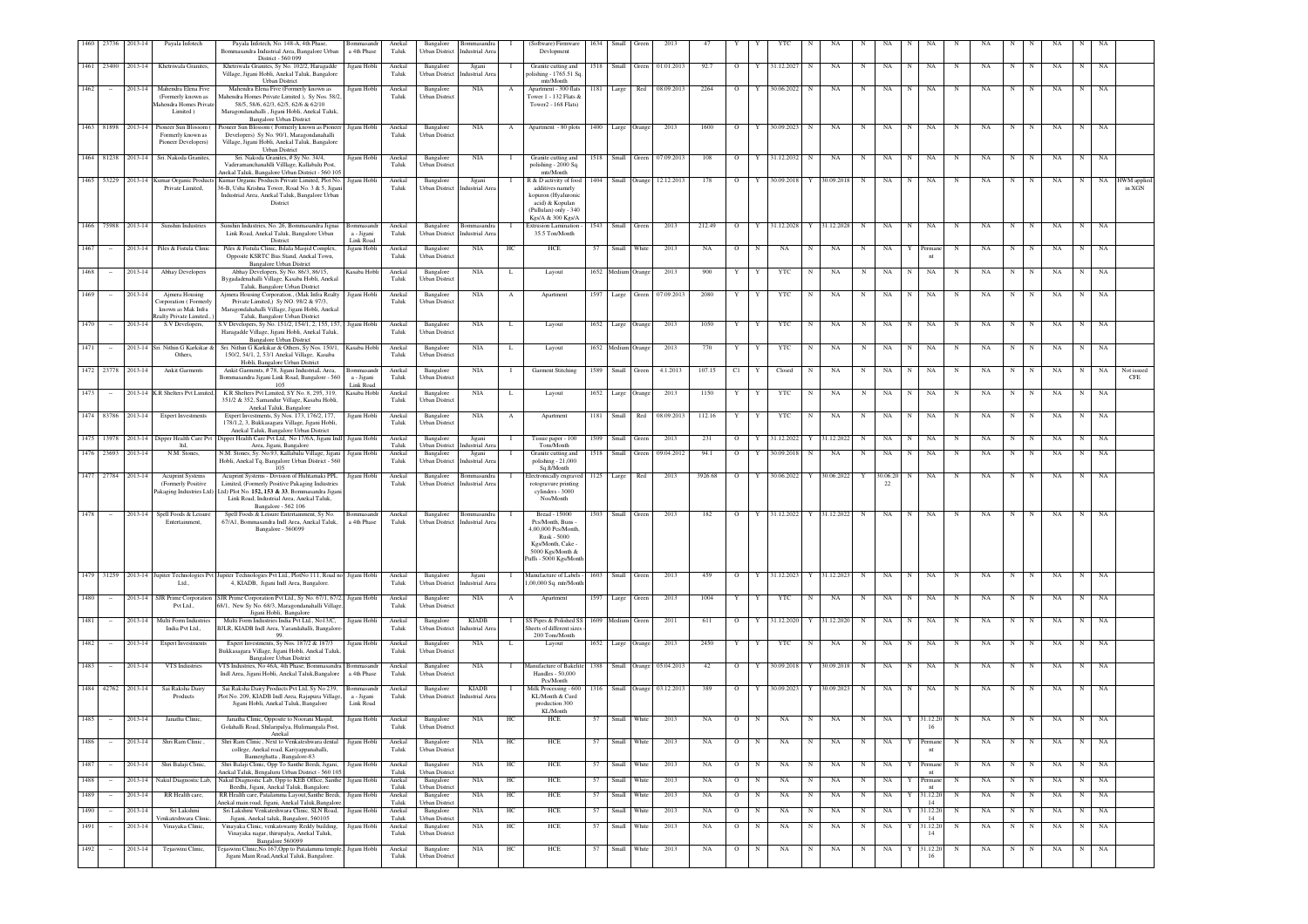|            |       | 1460 23736 2013-14 | Payala Infotech                                                                          | Payala Infotech, No. 148-A, 4th Phase,<br>Bommasandra Industrial Area, Bangalore Urban<br>District - 560 099                                                                                                                       | a 4th Phase                          | Anekal<br>Taluk | Bangalore<br>Urban District        | <b>Industrial Area</b>                        |              | (Software) Firmware<br>Devlopment                                                                                                  | 1634 | Small              | Green       | 2013                         | 47      |                |            | YTC        |   | NA           |            | NA             |   | NA                                    |            | NA        |             |            | NA          | N            |             |                            |
|------------|-------|--------------------|------------------------------------------------------------------------------------------|------------------------------------------------------------------------------------------------------------------------------------------------------------------------------------------------------------------------------------|--------------------------------------|-----------------|------------------------------------|-----------------------------------------------|--------------|------------------------------------------------------------------------------------------------------------------------------------|------|--------------------|-------------|------------------------------|---------|----------------|------------|------------|---|--------------|------------|----------------|---|---------------------------------------|------------|-----------|-------------|------------|-------------|--------------|-------------|----------------------------|
| 1461 23400 |       | 2013-14            | Khetriwala Granites                                                                      | Khetriwala Granites Sv No. 102/2. Haragadde<br>Village, Jigani Hobli, Anekal Taluk, Bangalore                                                                                                                                      | Jigani Hobli                         | Anekal<br>Taluk | Bangalore<br><b>Urban District</b> | Jigani<br>Industrial Are                      |              | Granite cutting and<br>polishing - 1765.51 Sq                                                                                      |      | 1518 Small Green   |             | 01.01.2013                   | 92.7    | $\circ$        |            | 31.12.2027 |   | NA           | N          | NA             |   | NA                                    |            | NA        | N           |            | NA          |              | NA          |                            |
| 1462       |       | 2013-14            | Mahendra Elena Five<br>(Formerly known as                                                | <b>Urban District</b><br>Mahendra Elena Five (Formerly known as<br>Aahendra Homes Private Limited ) Sv Nos 58/2                                                                                                                    | Jigani Hobli                         | Anekal<br>Taluk | Bangalore<br>Urban Distric         | <b>NIA</b>                                    | $\mathbf{A}$ | mtr/Month<br>Apartment - 300 flats<br>Tower 1 - 132 Flats &                                                                        | 1181 | Large              | Red         | 08.09.2013                   | 2264    | $\circ$        |            | 30.06.2022 |   | NA           | N          | NA             | N | NA                                    |            | NA        | N           |            | NA          |              | NA          |                            |
|            |       |                    | <b>Jahendra Homes Priva</b><br>Limited)                                                  | 58/5, 58/6, 62/3, 62/5, 62/6 & 62/10<br>Maragondanahalli, Jigani Hobli, Anekal Taluk<br><b>Bangalore Urban District</b>                                                                                                            |                                      |                 |                                    |                                               |              | Tower2 - 168 Flats)                                                                                                                |      |                    |             |                              |         |                |            |            |   |              |            |                |   |                                       |            |           |             |            |             |              |             |                            |
|            |       |                    | 1463 81898 2013-14 Pioneer Sun Blossom (<br>Formerly known as<br>Pioneer Developers)     | Pioneer Sun Blossom (Formerly known as Pioneer Jigani Hobli<br>Developers) Sy No. 90/1, Maragondanahalli<br>Village, Jigani Hobli, Anekal Taluk, Bangalore<br><b>Urban District</b>                                                |                                      | Anekal<br>Taluk | Bangalore<br>Urban Distric         | <b>NIA</b>                                    | $\mathbf{A}$ | Apartment - 80 plots                                                                                                               |      | 1400 Large Orange  |             | 2013                         | 1600    | $\circ$        |            | 30.09.2023 |   | NA           | N          | NA             | N | NA                                    | N          | NA        | N           |            | NA          |              |             |                            |
| 1464 81238 |       |                    | 2013-14 Sri. Nakoda Granites,                                                            | Sri. Nakoda Granites, # Sy No. 34/4,<br>Vaderamanchanahlli Villlage, Kallabalu Post,<br>Anekal Taluk, Bangalore Urban District - 560 105                                                                                           | Jigani Hobli                         | Anekal<br>Taluk | Bangalore<br>Urban Distric         | <b>NIA</b>                                    |              | Granite cutting and<br>polishing - 2000 Sq.<br>mtr/Month                                                                           |      | 1518 Small Green   |             | 07.09.2013                   | 108     | $\circ$        |            | 31.12.2032 | N | NA           | N          | NA             | N | NA                                    | N          | NA        | N           | N          | NA          | N            | NA          |                            |
| 1465 53229 |       |                    | 2013-14 Kumar Organic Products<br>Private Limited.                                       | Kumar Organic Products Private Limited, Plot No. Jigani Hobli<br>36-B. Usha Krishna Tower, Road No. 3 & 5. Jigan<br>Industrial Area, Anekal Taluk, Bangalore Urban<br>District                                                     |                                      | Anekal<br>Taluk | Bangalore<br>Urban District        | Jigani<br>dustrial Are                        |              | R & D activity of food<br>additives namely<br>kopuron (Hvaluronic<br>acid) & Kopulan<br>(Pullulan) only - 340<br>Kgs/A & 300 Kgs/A | 1404 | Small              | Orange      | 12.12.2013                   | 178     | $\circ$        | Y          | 30.09.2018 | Y | 30.09.2018   | $_{\rm N}$ | NA             | N | NA                                    | N          | NA        | N           | N          | NA          | N            | NA          | HWM applied<br>in XGN      |
| 1466 75988 |       | 2013-14            | Sunshin Industries                                                                       | Sunshin Industries, No. 26, Bommasandra Jignai<br>Link Road, Anekal Taluk, Bangalore Urban<br>District                                                                                                                             | a - Jigani<br>Link Road              | Anekal<br>Taluk | Bangalore<br>Urban District        | ndustrial Are                                 |              | <b>Extrusion Lamination</b><br>35.5 Ton/Month                                                                                      | 1543 | Small              | Green       | 2013                         | 212.49  |                |            | 31.12.2028 |   | 31.12.2028   |            | NA             |   | NA                                    |            | NA        |             |            | NA          |              | NA          |                            |
| 1467       |       | 2013-14            | Piles & Fistula Clinic                                                                   | Piles & Fistula Clinic, Bilala Masjid Complex,<br>Opposite KSRTC Bus Stand, Anekal Town,<br><b>Bangalore Urban District</b>                                                                                                        | Jigani Hobli                         | Anekal<br>Taluk | Bangalore<br>Urban Distric         | NIA                                           | HC           | HCE                                                                                                                                | 57   | Small              | White       | 2013                         | NA      | $\circ$        | N          | NA         |   | NA           | N          | NA             |   | Permane                               |            | NA        | N           | N          | NA          | N            | NA          |                            |
| 1468       |       | 2013-14            | Abhay Developers                                                                         | Abhav Developers, Sv No. 86/3, 86/15.<br>Bygadadenahalli Village, Kasaba Hobli, Anekal<br>Taluk, Bangalore Urban District                                                                                                          | Kasaba Hobi                          | Anekal<br>Taluk | Bangalore<br>Urban District        | <b>NIA</b>                                    | L            | Layout                                                                                                                             |      | 1652 Medium Orange |             | 2013                         | 900     |                |            | <b>YTC</b> |   | NA           |            | NA             |   | NA                                    | N          | NA        | N           |            | NA          |              | NA          |                            |
| 1469       |       | 2013-14            | Ajmera Housing<br>Corporation (Formerly<br>known as Mak Infra<br>Realty Private Limited. | Ajmera Housing Corporation., (Mak Infra Realty Jigani Hobli<br>Private Limited,) Sy NO. 98/2 & 97/3,<br>Maragondahahalli Village, Jigani Hobli, Anekal<br>Taluk, Bangalore Urban District                                          |                                      | Anekal<br>Taluk | Bangalore<br><b>Urban District</b> | NIA                                           | $\mathbf{A}$ | Apartment                                                                                                                          |      | 1597 Large Green   |             | 07.09.2013                   | 2080    | Y              |            | <b>YTC</b> |   | NA           | N          | NA             | N | NA                                    | N          | NA        | N           | N          | NA          | N            | NA          |                            |
| 1470       |       | 2013-14            | S.V Developers,                                                                          | S.V Developers, Sy No. 151/2, 154/1, 2, 155, 157, Jigani Hobli<br>Haragadde Village, Jigani Hobli, Anekal Taluk,<br><b>Bangalore Urban District</b>                                                                                |                                      | Anekal<br>Taluk | Bangalore<br>Urban Distric         | NIA                                           | L            | Layout                                                                                                                             |      | 1652 Large         | Orange      | 2013                         | 1050    |                |            | <b>YTC</b> |   | NA           |            | NA             |   | NA                                    |            | NA        | N           | N          | NA          | N            | NA          |                            |
| 1471       |       |                    | 2013-14 Sri. Nithin G Karkikar &<br>Others,                                              | Sri. Nithin G Karkikar & Others, Sy Nos. 150/1,<br>150/2, 54/1, 2, 53/1 Anekal Village, Kasaba<br>Hobli, Bangalore Urban District                                                                                                  | Kasaba Hob                           | Anekal<br>Taluk | Bangalore<br>Urban Distric         | NIA                                           |              | Layout                                                                                                                             |      | 1652 Mediu         | Orang       | 2013                         | 770     |                |            | <b>YTC</b> |   | NA           |            | NA             |   | NA                                    |            | NA        | N           |            | NA          |              | NA          |                            |
|            |       | 1472 23778 2013-14 | <b>Ankit Garments</b>                                                                    | Ankit Garments, #78, Jigani IndustriaL Area.<br>Bommasandra Jigani Link Road, Bangalore - 560                                                                                                                                      | a - Jigani                           | Anekal<br>Taluk | Bangalore<br>Urban Distric         | <b>NIA</b>                                    | $\mathbf{I}$ | <b>Garment Stitching</b>                                                                                                           |      | 1589 Small         | Green       | 4.1.2013                     | 107.15  | C1             |            | Closed     |   | NA           | N          | NA             | N | NA                                    | N          | NA        | N           | N          | NA          | N            | NA          | Not issued<br>$\mbox{CFE}$ |
| 1473       |       |                    | 2013-14 K.R Shelters Pvt Limited,                                                        | 105<br>K.R Shelters Pvt Limited, SY No. 8, 295, 319,<br>351/2 & 352, Samandur Village, Kasaba Hobli,                                                                                                                               | Link Road<br>Kasaba Hobi             | Anekal<br>Taluk | Bangalore<br>Urban District        | <b>NIA</b>                                    | L            | Layout                                                                                                                             |      | 1652 Large         | Orange      | 2013                         | 1150    | Y              |            | YTC        |   | NA           | N          | NA             | N | NA                                    | N          | NA        | N           | N          | NA          | N            | NA          |                            |
| 1474 83786 |       | 2013-14            | <b>Expert Investments</b>                                                                | Anekal Taluk, Bangalore<br>Expert Investments, Sy Nos. 173, 176/2, 177,<br>178/1.2.3. Bukkasagara Village, Jigani Hobli,<br>Anekal Taluk, Bangalore Urban District                                                                 | Jigani Hobli                         | Anekal<br>Taluk | Bangalore<br><b>Urban District</b> | <b>NIA</b>                                    | $\mathbf{A}$ | Apartment                                                                                                                          |      | 1181 Small         | Red         | 08.09.2013                   | 112.16  | Y              | Y          | <b>YTC</b> | N | NA           | N          | NA             | N | NA                                    | $_{\rm N}$ | NA        | N           | N          | NA          | N            | NA          |                            |
| 1475       | 13978 | 2013-14            | Dipper Health Care Pv<br>ltd.                                                            | Dipper Health Care Pvt Ltd, No 17/6A, Jigani Indl Jigani Hobli<br>Area, Jigani, Bangalore                                                                                                                                          |                                      | Anekal<br>Taluk | Bangalore<br><b>Irban District</b> | Jigani<br>dustrial Are                        |              | Tissue paper - 100<br>Tons/Month                                                                                                   | 1509 | Small              | Green       | 2013                         | 231     | $\circ$        |            | 31.12.2022 |   | 31.12.2022   | N          | $_{\rm NA}$    |   | NA                                    | N          | NA        | N           |            | $_{\rm NA}$ | N            | $_{\rm NA}$ |                            |
| 1476 23693 |       | 2013-14            | N.M. Stones.                                                                             | N.M. Stones, Sy. No.93, Kallabalu Village, Jigani   Jigani Hobli<br>Hobli, Anekal Tq, Bangalore Urban District - 560<br>105                                                                                                        |                                      | Anekal<br>Taluk | Bangalore<br>Urban District        | Jigani<br>ndustrial Are                       |              | Granite cutting and<br>polishing - 21,000<br>Sq.ft/Month                                                                           |      | 1518 Small Green   |             | 09.04.2012                   | 94.1    | $\circ$        |            | 30.09.2018 |   | NA           | N          | NA             | N | NA                                    | N          | NA        | N           | N          | NA          | N            | NA          |                            |
| 1477 27784 |       | 2013-14            | <b>Acuprint Systems</b><br>(Formerly Positive<br>Pakaging Industries Ltd)                | Acuprint Systems - Division of Hubtamaki PPL - Ligani Hobl<br>Limited, (Formerly Positive Pakaging Industries<br>td) Plot No. 152, 153 & 33, Bommasandra Jigan<br>Link Road, Industrial Area, Anekal Taluk,<br>Bangalore - 562 106 |                                      | Anekal<br>Taluk | Bangalore<br><b>Urban District</b> | Bommasandra<br><b>Industrial Are</b>          |              | Electronically engrave<br>rotogravure printing<br>cylinders - 3000<br>Nos/Month                                                    | 1125 | Large              | Red         | 2013                         | 3926.68 | $\circ$        |            | 30.06.2022 |   | 30.06.2022   |            | 30.06.20<br>22 |   | NA                                    |            | NA        |             |            | NA          |              | NA          |                            |
| 1478       |       | 2013-14            | Spell Foods & Leisure<br>Entertainment,                                                  | Spell Foods & Leisure Entertainment. Sv No.<br>67/A1, Bommasandra Indl Area, Anekal Taluk,                                                                                                                                         | Bommasand<br>a 4th Phase             | Anekal<br>Taluk | Bangalore                          | Bommasandra<br>Urban District Industrial Area |              | Bread - 15000<br>Pcs/Month, Buns -                                                                                                 | 1503 | Small Green        |             | 2013                         | 182     | $\circ$        |            | 31.12.2022 |   | 31.12.2022   |            | NA             |   | NA                                    |            | NA        |             |            |             |              |             |                            |
|            |       |                    |                                                                                          | Bangalore - 560099                                                                                                                                                                                                                 |                                      |                 |                                    |                                               |              | 4,00,000 Pcs/Month,<br>Rusk - 5000<br>Kes/Month, Cake -<br>5000 Kgs/Month &<br>Puffs - 5000 Kgs/Montl                              |      |                    |             |                              |         |                |            |            |   |              |            |                |   |                                       |            |           |             |            |             |              |             |                            |
|            |       |                    | Ltd.                                                                                     | 1479 31259 2013-14 Jupiter Technologies Pvt Jupiter Technologies Pvt Ltd., PlotNo 111, Road no Jigani Hobli<br>4, KIADB, Jigani Indl Area, Bangalore.                                                                              |                                      | Anekal<br>Taluk | Bangalore<br>Urban District        | Jigani<br>dustrial Are                        |              | Manufacture of Labels<br>,00,000 Sq. mtr/Mon                                                                                       |      | 1603 Small         | Green       | 2013                         | 459     | $\circ$        |            | 31.12.2023 |   | Y 31.12.2023 | N          | NA             | N | NA                                    | N          | NA        | N           | $_{\rm N}$ | NA          | $_{\rm N}$   | NA          |                            |
| 1480       |       |                    | 2013-14 SJR Prime Corporation<br>Pvt Ltd.,                                               | SJR Prime Corporation Pvt Ltd., Sy No. 67/1, 67/2, Jigani Hobli<br>68/1, New Sy No. 68/3, Maragondanahalli Village<br>Jigani Hobli, Bangalore                                                                                      |                                      | Anekal<br>Taluk | Bangalore<br>Urban Distric         | NIA                                           | A            | Apartment                                                                                                                          | 1597 | Large              | Green       | 2013                         | 1004    |                |            | YTC        |   | NA           |            | NA             |   | NA                                    |            | NA        | N           |            | NA          |              | NA          |                            |
| 1481       |       | 2013-14            | Multi Form Industries<br>India Pvt Ltd                                                   | Multi Form Industries India Pvt Ltd., No13/C, Jigani Hobli<br>BJLR, KIADB Indl Area, Yarandahalli, Bangalore<br>99.                                                                                                                |                                      | Anekal<br>Taluk | Bangalore<br><b>Urban District</b> | <b>KIADB</b><br>ndustrial Are                 |              | SS Pipes & Polished SS<br>sheets of different sizes<br>200 Tons/Month                                                              |      | 1609 Medium Green  |             | 2011                         | 611     | $\circ$        |            | 31.12.2020 |   | 31.12.2020   | N          | NA             | N | NA                                    | N          | NA        | N           | N          | NA          | N            | NA          |                            |
| 1482       |       | 2013-14            | <b>Expert Investments</b>                                                                | Expert Investments, Sy Nos. 187/2 & 187/3<br>Bukkasagara Village, Jigani Hobli, Anekal Taluk<br><b>Bangalore Urban District</b>                                                                                                    | Jigani Hobli                         | Anekal<br>Taluk | Bangalore<br><b>Urban District</b> | <b>NIA</b>                                    |              | Layout                                                                                                                             |      | 1652 Large         | Orange      | 2013                         | 2450    |                |            | <b>YTC</b> |   | NA           |            | NA             |   | NA                                    |            | NA        | N           | N          | NA          |              | NA          |                            |
| 1483       |       | 2013-14            | VTS Industries                                                                           | VTS Industries, No 46A, 4th Phase, Bommasandra<br>Indl Area, Jigani Hobli, Anekal Taluk, Bangalore                                                                                                                                 | a 4th Phase                          | Anekal<br>Taluk | Bangalore<br>Jrban District        | <b>NIA</b>                                    |              | Manufacture of Bakelit<br>Handles - 50,000<br>Pcs/Month                                                                            | 1388 | Small              | Orange      | 05.04.2013                   | 42      | $\circ$        |            | 30.09.2018 |   | 30.09.2018   |            | NA             |   | NA                                    | N          | NA        | N           |            | NA          |              | NA          |                            |
| 1484 42762 |       | 2013-14            | Sai Raksha Dairy<br>Products                                                             | Sai Raksha Dairy Products Pvt Ltd, Sv No 239.<br>Plot No. 209, KIADB Indl Area, Rajapura Village<br>Jigani Hobli, Anekal Taluk, Bangalore                                                                                          | Bommasano<br>a - Jigani<br>Link Road | Anekal<br>Taluk | Bangalore<br>Urban District        | <b>KIADB</b><br>ndustrial Are                 |              | Milk Processing - 600<br>KL/Month & Curd<br>production 300<br>KL/Month                                                             |      |                    |             | 1316 Small Orange 03.12.2013 | 389     | $\circ$        |            | 30.09.2023 | Y | 30.09.2023   | N          | NA             | N | NA                                    | N          | NA        | N           | N          | NA          | N            | NA          |                            |
| 1485       |       | 2013-14            | Janatha Clinic,                                                                          | Janatha Clinic, Opposite to Noorani Masjid,<br>Golahalli Road, Shilaripalya, Hulimangala Post,                                                                                                                                     | Jigani Hobli                         | Anckal<br>Taluk | Bangalore<br><b>Urban District</b> | <b>NIA</b>                                    | HC           | HCE                                                                                                                                | 57   | Small White        |             | 2013                         | NA      | $\circ$        |            | NA         |   | NA           |            | NA             |   | 31.12.20<br>16                        |            | NA        |             |            | NA          |              |             |                            |
| 1486       |       | 2013-14            | Shri Ram Clinic,                                                                         | Anekal<br>Shri Ram Clinic, Next to Venkateshwara dental Jigani Hobli<br>college, Anekal road, Kariyappanahalli,                                                                                                                    |                                      | Anckal<br>Taluk | Bangalore<br><b>Urban District</b> | <b>NIA</b>                                    | HC           | HCE                                                                                                                                | 57   |                    | Small White | 2013                         | NA      | $\circ$        | N          | - NA       | N | NA           | N          | NA             |   | Y Permane<br>nt                       | N          | NA        | $\mathbf N$ | N          | NA          | $\mathbf{N}$ | NA          |                            |
| 1487       |       | 2013-14            | Shri Balaji Clinic,                                                                      | Bannerghatta, Bangalore-83<br>Shri Balaji Clinic, Opp To Santhe Beedi, Jigani, Jigani Hobli<br>Anekal Taluk, Bengaluru Urban District - 560 105                                                                                    |                                      | Anckal<br>Taluk | Bangalore<br>Urban District        | <b>NIA</b>                                    | HC           | HCE                                                                                                                                | 57   | Small              | White       | 2013                         | NA      | $\overline{0}$ | N          | NA         |   | NA           | N          | NA             |   | Permane<br>nt                         | N          | NA        | N           | N          | NA          | N            | NA          |                            |
| 1488       |       | 2013-14            | Nakul Diagnostic Lab,                                                                    | Nakul Diagnostic Lab, Opp to KEB Office, Santhe Jigani Hobli<br>Beedhi, Jigani, Anekal Taluk, Bangalore.                                                                                                                           |                                      | Anekal<br>Taluk | Bangalore<br><b>Urban District</b> | $_{\rm NIA}$                                  | HC           | HCE                                                                                                                                |      | 57 Small           | White       | 2013                         | NA      | $\circ$        | $_{\rm N}$ | NA         | N | $_{\rm NA}$  | N          | NA             |   | Permane<br>$\mathop{\rm nt}\nolimits$ | N          | NA        | N           | $_{\rm N}$ | NA          | N            | NA          |                            |
| 1489       |       | 2013-14            | RR Health care,                                                                          | RR Health care. Patalamma Lavout.Santhe Beedi. Jigani Hobli<br>Anekal main road, Jigani, Anekal Taluk, Bangalore                                                                                                                   |                                      | Anekal<br>Taluk | Bangalore<br>Urban District        | NIA                                           | HC           | HCE                                                                                                                                | 57   | Small              | White       | 2013                         | NA      | $\circ$        | N          | <b>NA</b>  | N | $_{\rm NA}$  | N          | NA             | Y | 31.12.20<br>14                        | N          | <b>NA</b> | N           | $_{\rm N}$ | NA          | N            | NA          |                            |
| 1490       |       | 2013-14            | Sri Lakshmi<br>Venkateshwara Clinic                                                      | Sri Lakshmi Venkateshwara Clinic, SLN Road,<br>Jigani, Anekal taluk, Bangalore, 560105                                                                                                                                             | Jigani Hobli                         | Anekal<br>Taluk | Bangalore<br>Urban District        | NIA                                           | HC           | HCE                                                                                                                                | 57   | Small              | White       | 2013                         | NA      | $\circ$        | N          | NA         | N | NA           | N          | NA             |   | 31.12.20<br>14                        | N          | NA        | N           | N          | NA          | N            | $_{\rm NA}$ |                            |
| 1491       |       | 2013-14            | Vinayaka Clinic,                                                                         | Vinavaka Clinic, venkatswamy Reddy building,<br>Vinayaka nagar, thirupalya, Anekal Taluk,<br>Bangalore 560099                                                                                                                      | Jigani Hobli                         | Anckal<br>Taluk | Bangalore<br><b>Urban District</b> | <b>NIA</b>                                    | HC           | HCE                                                                                                                                | 57   | Small              | White       | 2013                         | NA      | $\circ$        | N          | NA         |   | NA           | N          | NA             |   | 31.12.20<br>-14                       | N          | NA        | N           | N          | NA          | N            | NA          |                            |
| 1492       |       | 2013-14            | Tejaswini Clinic,                                                                        | Tejaswini Clinic, No.167, Opp to Patalamma temple, Jigani Hobli<br>Jigani Main Road, Anekal Taluk, Bangalore.                                                                                                                      |                                      | Anekal<br>Taluk | Bangalore<br><b>Urban District</b> | NIA                                           | HC           | HCE                                                                                                                                | 57   | Small              | White       | 2013                         | NA      | $\circ$        | N          | NA         | N | NA           | N          | NA             |   | 31.12.20<br>16                        | N          | NA        | N           | N          | NA          | N            | NA          |                            |
|            |       |                    |                                                                                          |                                                                                                                                                                                                                                    |                                      |                 |                                    |                                               |              |                                                                                                                                    |      |                    |             |                              |         |                |            |            |   |              |            |                |   |                                       |            |           |             |            |             |              |             |                            |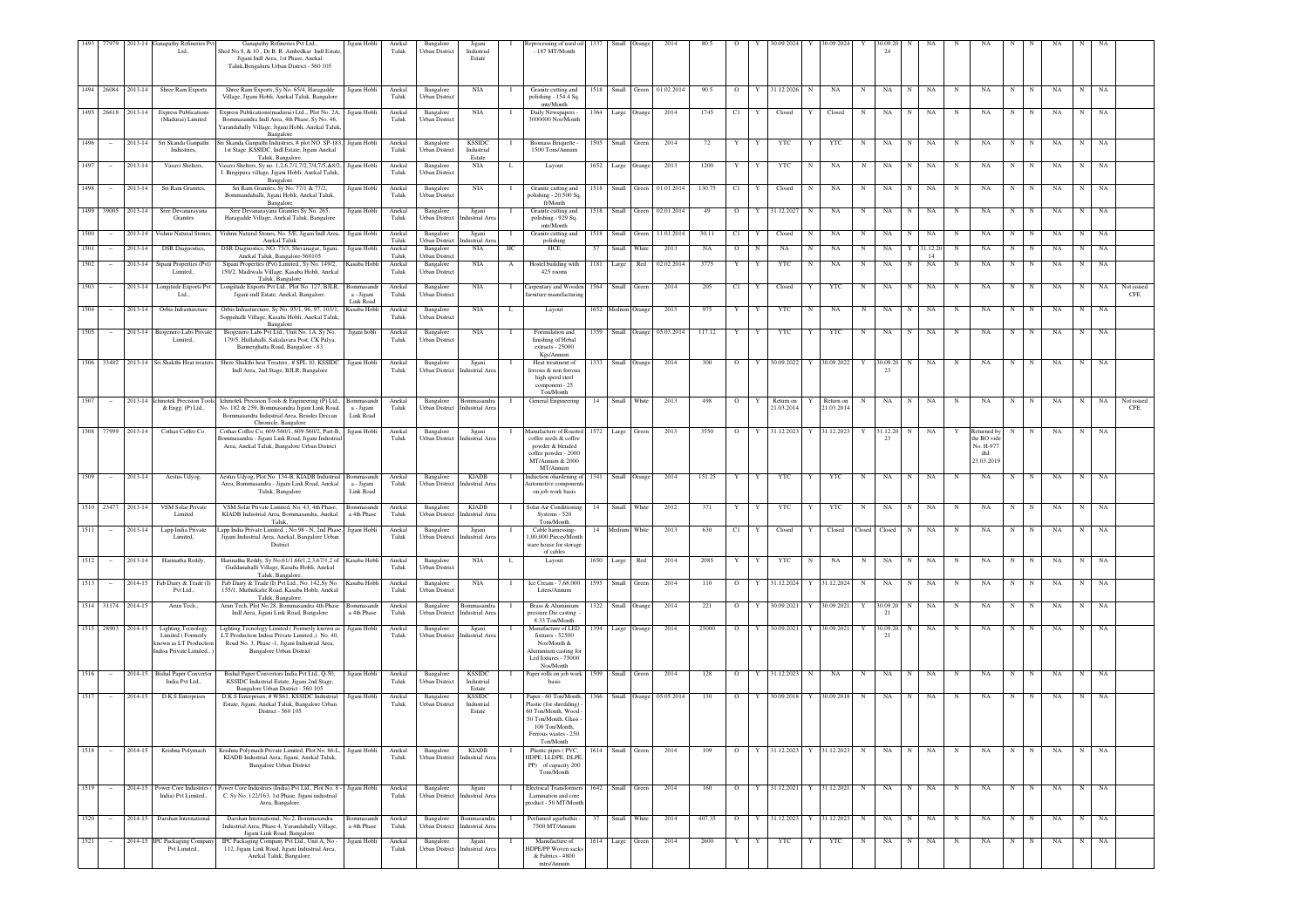| 1493         |        |                    | 77979 2013-14 Ganapathy Refineries Pv<br>Ltd.,          | Ganapathy Refineries Pvt Ltd.<br>Shed No.9, & 10, Dr B. R. Ambedkar Indl Estate<br>Jigani Indl Area, 1st Phase, Anekal<br>Taluk, Bengaluru Urban District - 560 105 | Jigani Hobli                                | Anekal<br>Taluk           | Bangalor<br><b>Urban District</b>               | Jigan<br>Industrial<br>Estate                |              | eprocessing of used<br>- 187 MT/Month                                          | 1337 | Small             | Orans                | 2014               | 80.5          | $\circ$        |              | 30.09.2024               |   | 30.09.202        |              | 0.09.2<br>24      |            |                        |            |                                        |   |   |             |   |                   |                   |
|--------------|--------|--------------------|---------------------------------------------------------|---------------------------------------------------------------------------------------------------------------------------------------------------------------------|---------------------------------------------|---------------------------|-------------------------------------------------|----------------------------------------------|--------------|--------------------------------------------------------------------------------|------|-------------------|----------------------|--------------------|---------------|----------------|--------------|--------------------------|---|------------------|--------------|-------------------|------------|------------------------|------------|----------------------------------------|---|---|-------------|---|-------------------|-------------------|
| 1494         |        | 26084 2013-14      | Shree Ram Exports                                       | Shree Ram Exports, Sy No. 65/4, Haragadde<br>Village, Jigani Hobli, Anekal Taluk, Bangalore                                                                         | Jigani Hobli                                | Anckal<br>Taluk           | Bangalore<br><b>Urban Distric</b>               | <b>NIA</b>                                   |              | Granite cutting and<br>polishing - 154.4 Sq.<br>mtr/Month                      | 1518 | Small Green       |                      | 01.02.2014         | 90.5          | $\overline{0}$ |              | 31.12.2026               |   | NA               |              | NA                |            | NA                     |            | NA                                     |   |   |             |   |                   |                   |
| 1495         | 26618  | 2013-14            | <b>Express Publications</b><br>(Madurai) Limited        | Express Publications(madurai) Ltd.,, Plot No. 2A,<br>Bommasandra Indl Area, 4th Phase, Sy No. 46,<br>Yarandahally Village, Jigani Hobli, Anekal Taluk,              | Jigani Hobli                                | Anekal<br>Taluk           | Bangalore<br><b>Urban District</b>              | <b>NIA</b>                                   |              | Daily Newspapers -<br>3000000 Nos/Month                                        |      | 1364 Large        | Orange               | 2014               | 1745          | C1             |              | Closed                   |   | Closed           | N            | $_{\rm NA}$       | N          | $_{\rm NA}$            | N          | $_{\rm NA}$                            | N | N | NA          |   | NA                |                   |
| 1496         |        | 2013-14            | Sri Skanda Ganpathi<br>Industries,                      | Bangalore<br>Sri Skanda Ganpathi Industries, # plot NO. SP-183,<br>1st Stage , KSSIDC, Indl Estate, Jigani Anekal<br>Taluk, Bangalore.                              | Jigani Hobli                                | Anekal<br>Taluk           | Bangalore<br><b>Urban District</b>              | <b>KSSIDC</b><br>Industrial<br>Estate        |              | Biomass Briquette -<br>1500 Tons/Annum                                         | 1505 | Small             | Greer                | 2014               | 72            |                |              | YTC                      |   | <b>YTC</b>       | N            | $_{\rm NA}$       |            | $_{\rm NA}$            | N          | $_{\rm NA}$                            | N |   | NA          |   |                   |                   |
| 1497         |        | 2013-14            | Vasavi Shelters,                                        | Vasavi Shelters, Sy no. 1,2,6,7/1,7/2,7/4,7/5,&8/2,<br>J. Bingipura village, Jigani Hobli, Anekal Taluk.<br>Bangalore                                               | Jigani Hobli                                | Anekal<br>Taluk           | Bangalore<br>Urban Distric                      | <b>NIA</b>                                   | L            | Layout                                                                         |      | 1652 Large Orange |                      | 2013               | 1200          | Y              | $\mathbf{Y}$ | YTC                      | N | NA               | N            | NA                | $_{\rm N}$ | NA                     | N          | $_{\rm NA}$                            | N | N | NA          | N | NA                |                   |
| 1498         |        | 2013-14            | Sri Ram Granites                                        | Sri Ram Granites, Sv No. 77/1 & 77/2.<br>Bommandahalli, Jigani Hobli, Anekal Taluk,<br>Bangalore                                                                    | Jigani Hobli                                | Anckal<br>Taluk           | Bangalore<br><b>Urban District</b>              | NIA                                          |              | Granite cutting and<br>polishing - 20,500 Sq<br>ft/Month                       | 1518 |                   | Small Green          | 01.01.2014         | 130.75        | C1             |              | Closed                   |   | NA               | N            | NA                | N          | NA                     | N          | NA                                     | N | N | NA          |   | NA                |                   |
| 1499         | 39005  | 2013-14            | Sree Devanarayana<br>Granites                           | Sree Devanarayana Granites Sy No. 265,<br>Haragadde Village, Anekal Taluk, Bangalore<br>Vishnu Natural Stones, No. 5/E, Jigani Indl Area,                           | Jigani Hobli                                | Anekal<br>Taluk           | Bangalore<br><b>Urban District</b>              | Jigani<br>ndustrial Are                      |              | Granite cutting and<br>polishing - 929 Sq<br>mtr/Month                         | 1518 |                   | Small Green          | 02.01.2014         | 49            | $\circ$        | Y            | 31.12.2027               |   | NA               | N            | NA                | $_{\rm N}$ | NA                     | N          | NA                                     | N | N | $_{\rm NA}$ | N | NA                |                   |
| 1500<br>1501 |        | 2013-14<br>2013-14 | Vishnu Natural Stones,<br><b>DSR</b> Diagnostics,       | Anekal Taluk<br>DSR Diagnostics, NO. 75/3, Shivanagar, Jigani,                                                                                                      | Jigani Hobli<br>Jigani Hobli                | Anekal<br>Taluk<br>Anckal | Bangalore<br><b>Urban District</b><br>Bangalore | Jigani<br>ndustrial Are<br><b>NIA</b>        |              | Granite cutting and<br>polishing<br><b>HCE</b>                                 | 1518 | Small             | Green<br>Small White | 11.01.2014<br>2013 | 30.11<br>NA   | C1<br>$\circ$  | N            | Closed<br>NA             |   | NA<br>NA         | N<br>N       | $_{\rm NA}$<br>NA |            | $_{\rm NA}$<br>31.12.2 |            | NA<br>NA                               | N |   | NA<br>NA    |   | $_{\rm NA}$<br>NA |                   |
| 1502         |        | 2013-14            | Sipani Properties (Pvt)                                 | Anekal Taluk, Bangalore-560105<br>Sipani Properties (Pvt) Limited., Sy No. 149/2,                                                                                   | Kasaba Hobl                                 | Taluk<br>Anekal           | <b>Urban Distric</b><br>Bangalore               | <b>NIA</b>                                   | A            | Hostel building with                                                           | 1181 | Large             | Red                  | 02.02.201          | 3775          | Y              |              | YTC                      |   | NA               | N            | NA                | N          | 14<br>NA               | N          | NA                                     | N | N | NA          |   | NA                |                   |
|              |        |                    | Limited.                                                | 150/2, Madiwala Village, Kasaba Hobli, Anekal<br>Taluk, Bangalore                                                                                                   |                                             | Taluk                     | <b>Urban District</b>                           |                                              |              | 425 rooms                                                                      |      |                   |                      |                    |               |                |              |                          |   |                  |              |                   |            |                        |            |                                        |   |   |             |   |                   |                   |
| 1503         |        | 2013-14            | Longitude Exports Pvt<br>Ltd.                           | Longitude Exports Pvt Ltd., Plot No. 127, BJLR,<br>Jigani indl Estate, Anekal, Bangalore.                                                                           | <b>Bommasand</b><br>a - Jigani<br>Link Road | Anekal<br>Taluk           | Bangalore<br>Urban Distric                      | NIA                                          |              | Carpentary and Wooden<br>urniture manufacturin                                 | 1564 |                   | Small Green          | 2014               | 205           | C1             |              | Closed                   |   | <b>YTC</b>       |              | NA                |            | NA                     |            | NA                                     |   |   | NA          |   | NA                | Not issued<br>CFE |
| 1504<br>1505 | $\sim$ |                    | 2013-14 Orbis Infrasturcture                            | Orbis Infrasturcture, Sv No. 95/1, 96, 97, 103/1.<br>Soppahalli Village, Kasaba Hobli, Anekal Taluk<br>Bangalore<br>Biogenero Labs Pvt Ltd., Unit No. 1A, Sy No.    | Kasaba Hobli                                | Anckal<br>Taluk           | Bangalore<br><b>Urban Distric</b>               | <b>NIA</b>                                   | $\mathbf{L}$ | Layout                                                                         |      | 1652 Medium Orang |                      | 2013<br>05.03.2014 | 975<br>117.12 |                |              | <b>YTC</b><br><b>YTC</b> |   | NA<br><b>YTC</b> |              | NA                |            | NA                     |            | NA                                     | N | N | NA          |   | NA                |                   |
|              |        |                    | 2013-14 Biogenero Labs Private<br>Limited.              | 179/5. Hullahalli, Sakalayara Post, CK Palya.<br>Bannerghatta Road, Bangalore - 83                                                                                  | Jigani hobli                                | Anckal<br>Taluk           | Bangalore<br><b>Urban Distric</b>               | <b>NIA</b>                                   |              | Formulation and<br>finishing of Hebal<br>extracts - 25000<br>Kgs/Annum         |      | 1359 Small Orange |                      |                    |               | Y              | Y            |                          |   |                  | N            | NA                | N          | NA                     | N          | NA                                     | N |   | <b>NA</b>   | N | NA                |                   |
|              |        |                    | 1506 33482 2013-14 Sri Shakthi Heat treaters            | Shree Shakthi heat Treaters , # SPL 10, KSSIDC<br>Indl Area, 2nd Stage, BJLR, Bangalore                                                                             | Jigani Hobli                                | Anekal<br>Taluk           | Bangalore<br><b>Urban District</b>              | Jigani<br>ndustrial Are                      |              | Heat treatment of<br>ferrous & non ferrou<br>high speed steel                  |      | 1333 Small Orange |                      | 2014               | 300           | $\Omega$       | Y            | 30.09.2022               |   | Y 30.09.2022     | Y            | 30.09.20<br>23    | N          | NA                     | N          | <b>NA</b>                              | N | N | NA          | N | <b>NA</b>         |                   |
| 1507         |        |                    | 2013-14 Ichinotek Precision Tools                       | Ichinotek Precision Tools & Engineering (P) Ltd.,                                                                                                                   |                                             | Anekal                    | Bangalore                                       | Bommasandra                                  |              | component - 25<br>Ton/Month<br>General Engineering                             |      | 14 Small White    |                      | 2013               | 498           | $\circ$        |              | Return on                |   | Return on        | N            | NA                |            | NA                     | N          | NA                                     | N |   | <b>NA</b>   |   | NA                | Not issued        |
|              |        |                    | & Engg. (P) Ltd.,                                       | No. 182 & 259, Bommasandra Jigani Link Road,<br>Bommasandra Industrial Area, Besides Deccan<br>Chronicle, Bangalore                                                 | a - Jigani<br>Link Road                     | Taluk                     | <b>Urban District</b>                           | ndustrial Are                                |              |                                                                                |      |                   |                      |                    |               |                |              | 21.03.2014               |   | 21.03.2014       |              |                   |            |                        |            |                                        |   |   |             |   |                   | CFE               |
| 1508         |        | 77999 2013-14      | Cothas Coffee Co.                                       | Cothas Coffee Co. 609-560/1 609-560/2 Part-B<br>Bommasandra - Jigani Link Road, Jigani Industria<br>Area, Anekal Taluk, Bangalore Urban District                    | Jigani Hobli                                | Anekal<br>Taluk           | Bangalore<br><b>Urban District</b>              | Jigani<br>ndustrial Are                      |              | Manufacture of Roasted<br>coffee seeds & coffee<br>nowder & blended            |      | Large             |                      | 2013               | 3550          |                |              | 31.12.2023               |   | 31.12.2023       |              | 31.12.20<br>23    |            |                        |            | Returned by<br>the BO vid<br>No. H-977 |   |   |             |   |                   |                   |
| 1509         | $\sim$ | 2013-14            | Aestus Udyog,                                           | Aestus Udyog, Plot No. 134-B, KIADB Industrial                                                                                                                      | Bommasandr                                  | Anckal                    | Bangalore                                       | <b>KIADB</b>                                 |              | coffee powder - 2000<br>MT/Annum & 2000<br>MT/Annum<br>Induction ohardening of |      | 1341 Small Orange |                      | 2014               | 151.25        | Y              | Y            | <b>YTC</b>               |   | <b>YTC</b>       | N            | NA                | N          | NA                     | - N        | dtd <sup>-</sup><br>23.03.2019<br>NA   | N | N | <b>NA</b>   |   | NA                |                   |
|              |        |                    |                                                         | Area, Bommasandra - Jigani Link Road, Anekal<br>Taluk, Bangalore                                                                                                    | a - Jigani<br>Link Road                     | Taluk                     | <b>Urban District</b>                           | ndustrial Are                                |              | Automotive componen<br>on job work basis                                       |      |                   |                      |                    |               |                |              |                          |   |                  |              |                   |            |                        |            |                                        |   |   |             |   |                   |                   |
|              |        | 1510 23477 2013-14 | <b>VSM Solar Private</b><br>Limited                     | VSM Solar Private Limited No. 43, 4th Phase<br>KIADB Industrial Area, Bommasandra, Anekal<br>Taluk.                                                                 | <b>Bommasandr</b><br>a 4th Phase            | Anckal<br>Taluk           | Bangalore<br><b>Urban District</b>              | <b>KIADR</b><br>ndustrial An                 |              | Solar Air Conditioning<br>Systems - 520<br>Tons/Month                          | 14   | Small             | White                | 2012               | 371           | Y              |              | <b>YTC</b>               |   | <b>YTC</b>       | N            | NA                | N          | NA.                    | N          | <b>NA</b>                              | N | N | <b>NA</b>   | N | NA                |                   |
| 1511         | $\sim$ | 2013-14            | Lapp India Private<br>Limited.                          | Lapp India Private Limited, ; No:98 - N, 2nd Phase,<br>Jigani Industrial Area, Anekal, Bangalore Urban<br>District                                                  | Jigani Hobli                                | Anekal<br>Taluk           | Bangalore<br><b>Urban Distric</b>               | Jigani<br>ndustrial An                       |              | Cable harnessing-<br>1.00.000 Pieces/Mont<br>ware house for storage            |      | 14 Medium White   |                      | 2013               | 630           | C1             | Y            | Closed                   |   | Closed           | Closed       | Closed            | N          | <b>NA</b>              | N          | <b>NA</b>                              | N | N | <b>NA</b>   | N | NA                |                   |
| 1512         |        | 2013-14            | Harinatha Reddy,                                        | Harinatha Reddy, Sy No.61/1,66/1,2,3,67/1,2 of<br>Guddanahalli Village, Kasaba Hobli, Anekal<br>Taluk, Bangalore.                                                   | Kasaba Hobli                                | Anckal<br>Taluk           | Bangalore<br><b>Urban District</b>              | <b>NIA</b>                                   | L            | of cables<br>Layout                                                            |      | 1650 Large        | Red                  | 2014               | 2085          |                |              | <b>YTC</b>               |   | NA               |              | NA                |            | NA                     | N          | <b>NA</b>                              | N |   | NA          |   |                   |                   |
| 1513         |        | 2014-15            | Fab Dairy & Trade (I<br>Pvt Ltd.                        | Fab Dairy & Trade (I) Pvt Ltd., No. 142, Sy No.<br>155/1, Muthukatte Road, Kasaba Hobli, Anekal<br>Taluk, Bangalore.                                                | Kasaba Hobli                                | Anekal<br>Taluk           | Bangalore<br><b>Urban Distric</b>               | <b>NIA</b>                                   |              | Ice Cream - 7,68,000<br>Liters/Annum                                           | 1595 | Small             | Green                | 2014               | 110           | $\circ$        |              | 31.12.2024               |   | 31.12.2024       |              | NA                |            | NA                     |            | NA                                     | N |   | NA          |   | NA                |                   |
|              |        | 1514 31174 2014-15 | Arun Tech.,                                             | Arun Tech, Plot No.28, Bommasandra 4th Phase<br>Indl Area, Jigani Link Road, Bangalore                                                                              | a 4th Phase                                 | Anekal<br>Taluk           | Bangalore<br><b>Urban District</b>              | Bommasandra<br>ndustrial Are                 |              | Brass & Aluminiun<br>pressure Die casting<br>8.33 Ton/Month                    |      | 1322 Small Orange |                      | 2014               | 221           | $\circ$        |              | 30.09.2021               |   | Y 30.09.2021     |              | 30.09.20<br>21    |            | NA                     |            | NA                                     | N |   | NA          |   | NA                |                   |
| 1515         | 28903  | 2014-15            | <b>Lighting Tecnology</b><br>Limited (Formerly          | Lighting Tecnology Limited (Formerly known as<br>LT Production Indisa Private Limited.,) No. 40,                                                                    | Jigani Hobli                                | Anekal<br>Taluk           | Bangalore<br><b>Urban Distric</b>               | Jigani<br>ndustrial Are                      |              | Manufacture of LED<br>fixtures - 52500                                         | 1394 | Large             | Orang                | 2014               | 25000         | $\Omega$       |              | 30.09.2021               |   | 30.09.2021       |              | 30.09.20<br>21    |            | NA                     |            | NA                                     | N |   | NA          |   |                   |                   |
|              |        |                    | known as LT Production<br>ndisa Private Limited         | Road No. 3, Phase -1, Jigani Industrial Area,<br><b>Bangalore Urban District</b>                                                                                    |                                             |                           |                                                 |                                              |              | Nos/Month $\&$<br>Aluminium casting fo<br>Led fixtures - 75000<br>Nos/Month    |      |                   |                      |                    |               |                |              |                          |   |                  |              |                   |            |                        |            |                                        |   |   |             |   |                   |                   |
| 1516         | $\sim$ |                    | 2014-15 Bishal Paper Convertor<br>India Pvt Ltd.        | Bishal Paper Convertors India Pvt Ltd., O-50.<br>KSSIDC Industrial Estate, Jigani 2nd Stage,<br>Bangalore Urban District - 560 105                                  | Jigani Hobli                                | Anckal<br>Taluk           | Bangalore<br><b>Urban District</b>              | <b>KSSIDC</b><br>Industrial<br><b>Estate</b> |              | Paper rolls on job work<br>basis                                               | 1509 | Small             | Green                | 2014               | 128           | $\circ$        | Y            | 31.12.2023               | N | NA               | N            | NA                | $_{\rm N}$ | NA                     | $_{\rm N}$ | <b>NA</b>                              | N | N | <b>NA</b>   | N | NA                |                   |
| 1517         |        | 2014-15            | D.K.S Enterprises                                       | D.K.S Enterprises, # WS61, KSSIDC Industrial<br>Estate, Jigani, Anekal Taluk, Bangalore Urban<br>District - 560 105                                                 | Jigani Hobli                                | Anekal<br>Taluk           | Bangalore<br><b>Urban Distric</b>               | <b>KSSIDC</b><br>Industrial<br>Estate        |              | Paper - 60 Ton/Month,<br>Plastic (for shredding)<br>60 Ton/Month, Wood         | 1366 |                   | Small Orange         | 05.05.2014         | 130           | $\circ$        |              | 30.09.2018               |   | 30.09.2018       |              | $_{\rm NA}$       |            | $_{\rm NA}$            | N          | NA                                     | N | N | NA          |   | $_{\rm NA}$       |                   |
|              |        |                    |                                                         |                                                                                                                                                                     |                                             |                           |                                                 |                                              |              | 50 Ton/Month, Glass<br>100 Ton/Month,<br>Ferrous wastes - 250                  |      |                   |                      |                    |               |                |              |                          |   |                  |              |                   |            |                        |            |                                        |   |   |             |   |                   |                   |
| 1518         |        | 2014-15            | Krishna Polymach                                        | Krishna Polymach Private Limited, Plot No. 86-L,<br>KIADB Industrial Area, Jigani, Anekal Taluk,                                                                    | Jigani Hobli                                | Anekal<br>Taluk           | Bangalore<br><b>Urban District</b>              | KIADB<br>ndustrial Area                      |              | Ton/Month<br>Plastic pipes (PVC,<br>HDPE, LLDPE, DLPE                          | 1614 |                   | Small Green          | 2014               | 109           | $\circ$        |              | 31.12.2023               |   | Y 31.12.2023     | N            | NA                | N          | NA                     | N          | NA                                     | N | N | NA          | N | NA                |                   |
|              |        |                    |                                                         | <b>Bangalore Urban District</b>                                                                                                                                     |                                             |                           |                                                 |                                              |              | PP) of capacity 200<br>Tons/Month                                              |      |                   |                      |                    |               |                |              |                          |   |                  |              |                   |            |                        |            |                                        |   |   |             |   |                   |                   |
| 1519         | $\sim$ |                    | 2014-15 Power Core Industries (<br>India) Pvt Limited., | Power Core Industries (India) Pvt Ltd., Plot No. 8 -<br>C, Sy No. 122/163, 1st Phase, Jigani industrial<br>Area, Bangalore,                                         | Jigani Hobli                                | Anekal<br>Taluk           | Bangalore<br><b>Urban District</b>              | Jigani<br>Industrial Are                     |              | <b>Electrical Transformers</b><br>Lamination and core<br>roduct - 50 MT/Mont   |      | 1642 Small Green  |                      | 2014               | 160           | $\circ$        | Y            | 31.12.2021               |   | Y 31.12.2021     | $\mathbb{N}$ | NA                | $_{\rm N}$ | NA                     | N          | NA                                     | N | N | NA          | N | NA                |                   |
| 1520         | $\sim$ | 2014-15            | Darshan International                                   | Darshan International, No.2, Bommasandra<br>Industrial Area, Phase 4, Yarandahally Village,                                                                         | Bommasandr<br>a 4th Phase                   | Anckal<br>Taluk           | Bangalore<br><b>Urban District</b>              | Bommasandra<br><b>Industrial Area</b>        | - 1          | Perfumed agarbathis -<br>7500 MT/Annum                                         | 37   | Small             | White                | 2014               | 407.35        | $\circ$        | Y            | 31.12.2023               |   | Y 31.12.2023     | N            | NA                | N          | <b>NA</b>              | $_{\rm N}$ | NA                                     | N | N | NA          | N | NA                |                   |
| 1521         |        |                    | 2014-15 IPC Packaging Compar                            | Jigani Link Road, Bangalore.<br>IPC Packaging Company Pvt Ltd., Unit A, No -<br>112, Jigani Link Road, Jigani Industrial Area,                                      | Jigani Hobli                                | Anekal                    | Bangalore                                       | Jigani                                       |              | Manufacture of                                                                 | 1614 | Large             | Green                | 2014               | 2600          | Y              |              | YTC                      |   | YTC              | N            | NA                |            | NA                     | N          | NA                                     | N | N | NA          |   | NA                |                   |
|              |        |                    | Pvt Limited.,                                           | Anekal Taluk, Bangalore.                                                                                                                                            |                                             | Taluk                     | <b>Urban District</b>                           | ndustrial Area                               |              | <b>IDPE/PP</b> Woven sack:<br>& Fabrics - 4800<br>mtrs/Annun                   |      |                   |                      |                    |               |                |              |                          |   |                  |              |                   |            |                        |            |                                        |   |   |             |   |                   |                   |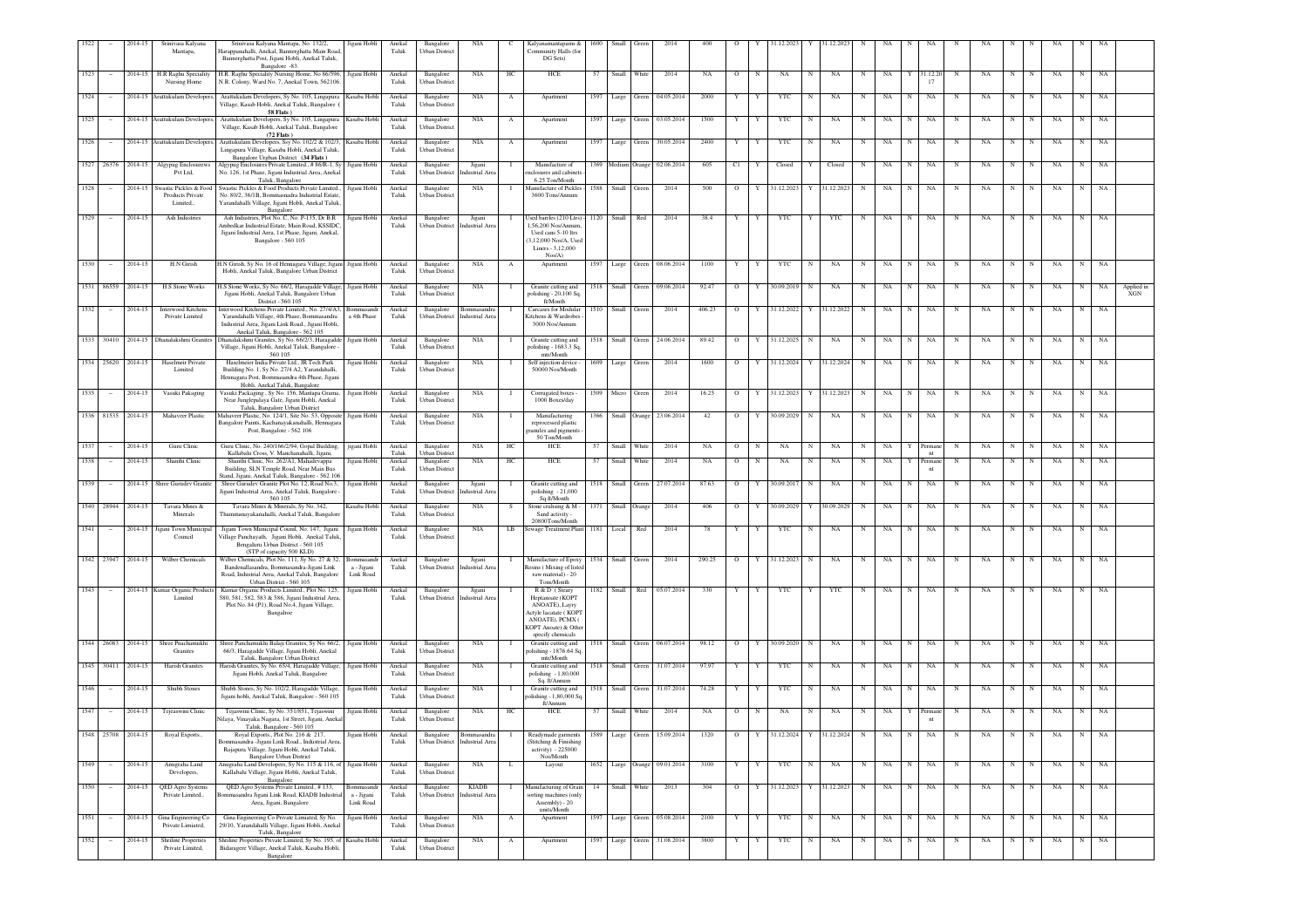|              |            | 2014-15            | Srinivasa Kalyana<br>Mantapa,                                  | Srinivasa Kalyana Mantapa, No. 132/2.<br>Harappanahalli, Anekal, Bannerghatta Main Road<br>Bannerghatta Post, Jigani Hobli, Anekal Taluk,<br>Bangalore -83.                                            | Jigani Hobli                                | Anekal<br>Taluk           | Bangalore<br><b>Urban Distric</b>               | NIA                                  |              | Kalyanamantapams &<br>Community Halls (for<br>DG Sets)                                                                                     | 1600           | Small          | 2014<br>Green                            | 400         | $\circ$            |   | 31.12.2023        | 31.12.2022         |   | NA          |            |                    |            |                  |              |   |             |   |           |                          |
|--------------|------------|--------------------|----------------------------------------------------------------|--------------------------------------------------------------------------------------------------------------------------------------------------------------------------------------------------------|---------------------------------------------|---------------------------|-------------------------------------------------|--------------------------------------|--------------|--------------------------------------------------------------------------------------------------------------------------------------------|----------------|----------------|------------------------------------------|-------------|--------------------|---|-------------------|--------------------|---|-------------|------------|--------------------|------------|------------------|--------------|---|-------------|---|-----------|--------------------------|
| 1523         |            |                    | 2014-15 H.R Raghu Speciality<br>Nursing Home                   | H.R. Raghu Speciality Nursing Home, No 86/596, Jigani Hobli<br>N.R. Colony, Ward No. 7, Anekal Town, 562106.                                                                                           |                                             | Anekal<br>Taluk           | Bangalore<br><b>Urban District</b>              | <b>NIA</b>                           | HC           | HCE                                                                                                                                        | 57 Small       |                | White<br>2014                            | NA          | $\circ$            | N | NA                | NA<br>N            |   | NA          | Y          | 31.12.20<br>17     | N          | NA               | N            |   | NA.         |   | NA        |                          |
| 1524         |            |                    | 2014-15 Arattukulam Developers                                 | Arattukulam Developers, Sy No. 105, Lingapura<br>Village, Kasab Hobli, Anekal Taluk, Bangalore (<br>58 Flats)                                                                                          | Kasaba Hobl                                 | Anekal<br>Taluk           | Bangalore<br>Urban Distric                      | NIA                                  | A            | Apartment                                                                                                                                  | 1597 Large     |                | 04.05.2014<br>Green                      | 2000        |                    |   | YTC               | N<br>NA            |   | NA          |            | NA                 | N          | NA               | N            |   | NA          |   | NA        |                          |
| 1525         |            |                    | 2014-15 Arattukulam Developers                                 | Arattukulam Developers, Sy No. 105, Lingapura Kasaba Hobli<br>Village, Kasab Hobli, Anekal Taluk, Bangalore<br>$(72$ Flats)                                                                            |                                             | Anekal<br>Taluk           | Bangalore<br>Urban Distric                      | <b>NIA</b>                           | $\mathbf{A}$ | Apartment                                                                                                                                  | 1597 Large     |                | Green<br>03.05.2014                      | 1500        |                    |   | YTC               | NA<br>N            | N | NA          | N          | NA                 | N          | NA               | N            |   | NA          |   | NA        |                          |
| 1526         |            |                    | 2014-15 Arattukulam Developers.                                | Arattukulam Developers, Ssy No. 102/2 & 102/3, Kasaba Hobli<br>Lingapura Village, Kasaba Hobli, Anekal Taluk,<br>Bangalore Urgban District (34 Flats)                                                  |                                             | Anekal<br>Taluk           | Bangalore<br><b>Urban Distric</b>               | <b>NIA</b>                           | $\mathbf{A}$ | Apartment                                                                                                                                  | 1597           | Large          | 30.05.2014<br>Green                      | 2400        |                    |   | <b>YTC</b>        | NA<br>N            |   | NA          | N          | <b>NA</b>          | N          | <b>NA</b>        | N            |   | <b>NA</b>   |   | NA        |                          |
| 1527         |            | 26376 2014-15      | Algypug Enclosurews<br>Pvt Ltd.                                | Algypug Enclosures Private Limited., #86/R-1, Sy Jigani Hobli<br>No. 126, 1st Phase, Jigani Industrial Area, Anekal<br>Taluk, Bangalore                                                                |                                             | Anekal<br>Taluk           | Bangalore<br><b>Urban District</b>              | Jigani<br>ndustrial Are              |              | Manufacture of<br>nclosures and cabinets<br>6.25 Ton/Month                                                                                 | 1369 Medium    |                | <b>Drange</b><br>02.06.2014              | 605         | CI.                |   | Closed            | Closed<br>Y        | N | NA          | N          | NA                 | N          | NA               | N            |   | NA          |   | NA        |                          |
| 1528         |            |                    | 2014-15 Swastic Pickles & Food<br>Products Private<br>Limited. | Swastic Pickles & Food Products Private Limited.,<br>No. 80/2, 36/1B, Bommasnadra Industrial Estate,<br>Yarandahalli Village, Jigani Hobli, Anekal Taluk,                                              | Jigani Hobli                                | Aneka<br>Taluk            | Bangalore<br><b>Urban District</b>              | NIA                                  |              | Manufacture of Pickles<br>3600 Tons/Annum                                                                                                  | 1588           | Small          | 2014<br>Greer                            | 500         | $\circ$            |   | 31.12.2023        | 31.12.2023         |   | NA          |            | NA                 | N          | NA               | Ν            |   | NA          |   |           |                          |
| 1529         | $\sim$     | 2014-15            | Ash Industries                                                 | Bangalore<br>Ash Industries, Plot No. C, No. P-135, Dr B.R<br>Ambedkar Industrial Estate, Main Road, KSSIDC<br>Jigani Industrial Area, 1st Phase, Jigani, Anekal,<br>Bangalore - 560 105               | Jigani Hobli                                | Anekal<br>Taluk           | Bangalore<br><b>Urban District</b>              | Jigani<br>ndustrial Area             | 1            | Used barrles (210 Ltrs) -<br>,56,200 Nos/Annum<br>Used cans 5-10 ltrs<br>3.12.000 Nos/A, Used<br>Liners - 3,12,000<br>$Nos/A$ )            | 1120           | Small          | Red<br>2014                              | 38.4        |                    |   | YTC               | <b>YTC</b><br>Y    | N | NA          | $_{\rm N}$ | NA                 | N          | NA               | N            | N | $_{\rm NA}$ |   | NA        |                          |
| 1530         |            | 2014-15            | H.N Girish                                                     | H.N Girish, Sy No. 16 of Hennagara Village, Jigani Jigani Hobli<br>Hobli, Anekal Taluk, Bangalore Urban District                                                                                       |                                             | Anekal<br>Taluk           | Bangalore<br>Urban Distric                      | <b>NIA</b>                           | A            | Apartment                                                                                                                                  | 1597 Large     |                | Green<br>08.06.2014                      | 1100        |                    |   | YTC               | NA<br>N            |   | NA          |            | NA                 | N          | NA               | N            |   | NA          |   | NA        |                          |
|              | 1531 86559 | 2014-15            | H.S Stone Works                                                | H.S Stone Works, Sy No. 66/2, Haragadde Village,<br>Jigani Hobli, Anekal Taluk, Bangalore Urban<br>District - 560 105                                                                                  | Jigani Hobli                                | Anekal<br>Taluk           | Bangalore<br>Urban Distric                      | <b>NIA</b>                           |              | Granite cutting and<br>polishing - 20,100 Sc<br>ft/Month                                                                                   | 1518 Small     |                | 09.06.2014<br>Green                      | 92.47       | $\circ$            |   | 30.09.2019        | NA<br>N            |   | <b>NA</b>   | N          | NA                 | N          | <b>NA</b>        | N            |   | <b>NA</b>   |   | <b>NA</b> | Applied in<br><b>XGN</b> |
| 1532         |            | 2014-15            | <b>Interwood Kitchens</b><br>Private Limited                   | Interwood Kitchens Private Limited., No. 27/4/A3, Bommasandr<br>Yarandahalli Village, 4th Phase, Bommasandra<br>Industrial Area, Jigani Link Road., Jigani Hobli,<br>Anekal Taluk, Bangalore - 562 105 | a 4th Phase                                 | Anekal<br>Taluk           | Bangalore<br><b>Urban District</b>              | Bommasandra<br>ndustrial Area        |              | Carcases for Modular<br>Kitchens & Wardrobes<br>3000 Nos/Annum                                                                             | 1510           | Small          | 2014<br>Green                            | 406.23      | $\circ$            |   | 31.12.2022        | 31.12.2022<br>Y    | N | NA          | N          | NA                 | N          | NA               | N            |   | NA          |   | NA        |                          |
| 1533         |            |                    | 30410 2014-15 Dhanalakshmi Granites                            | Dhanalakshmi Granites, Sy No. 66/2/3, Haragadde Jigani Hobli<br>Village, Jigani Hobli, Anekal Taluk, Bangalore -<br>560 105                                                                            |                                             | Anekal<br>Taluk           | Bangalore<br><b>Urban Distric</b>               | <b>NIA</b>                           |              | Granite cutting and<br>polishing - 1683.3 Sq<br>mtr/Month                                                                                  | 1518 Small     |                | Green<br>24.06.2014                      | 89.42       | $\overline{0}$     |   | 31.12.2025        | NA<br>N            |   | NA          | N          | NA                 | N          | NA               | N            |   | NA          |   | NA        |                          |
|              |            | 1534 25620 2014-15 | Haselmeir Private<br>Limited                                   | Haselmeier India Private Ltd., JR Tech Park<br>Building No. 1, Sy No. 27/4 A2, Yarandahalli,<br>Hennagara Post, Bommasandra 4th Phase, Jigani<br>Hobli, Anekal Taluk, Bangalore                        | Jigani Hobli                                | Anekal<br>Taluk           | Bangalore<br><b>Urban District</b>              | <b>NIA</b>                           |              | Self injection device<br>50000 Nos/Month                                                                                                   | 1609 Large     |                | 2014<br>Greer                            | 1600        |                    |   | 31.12.2024        | 31.12.2024<br>Y    |   | NA          |            | NA                 | N          | NA               | N            |   | NA          |   | NA        |                          |
| 1535         |            | 2014-15            | Vasuki Pakaging                                                | Vasuki Packaging, Sy No. 156, Mantapa Grama,<br>Near Junglepalaya Gate, Jigani Hobli, Anekal<br>Taluk, Bangalore Urban District                                                                        | Jigani Hobli                                | Anekal<br>Taluk           | Bangalore<br>Urban Distric                      | <b>NIA</b>                           |              | Corrugated boxes -<br>1000 Boxes/day                                                                                                       | 1509           | Micro          | Green<br>2014                            | 16.25       | $\circ$            |   | 31.12.2023        | 31.12.2023         | N | $_{\rm NA}$ |            | $_{\rm NA}$        | N          | NA               | N            |   | NA          |   | NA        |                          |
|              |            | 1536 81535 2014-15 | Mahaveer Plastic                                               | Mahaveer Plastic, No. 124/1, Site No. 53, Opposite Jigani Hobli<br>Bangalore Paints, Kachanayakanahalli, Hennagara<br>Post, Bangalore - 562 106                                                        |                                             | Anekal<br>Taluk           | Bangalore<br><b>Urban District</b>              | $_{\rm NIA}$                         |              | Manufacturing<br>reprocessed plastic<br>ranules and pigments<br>50 Ton/Month                                                               |                |                | 1366 Small Orange 23.06.2014             | 42          | $\circ$            |   | 30.09.2029        | N<br>NA            | N | NA          | $_{\rm N}$ | NA                 | $_{\rm N}$ | $_{\rm NA}$      | N            | N | NA          | N | NA        |                          |
| 1537<br>1538 |            | 2014-15<br>2014-15 | Guru Clinic<br>Shanthi Clinic                                  | Guru Clinic, No. 240/166/2/94, Gopal Building,<br>Kallabalu Cross, V. Manchanahalli, Jigani,<br>Shanthi Clinic, No. 262/A1, Mahadevappa                                                                | jigani Hobli<br>Jigani Hobli                | Anekal<br>Taluk           | Bangalore<br><b>Irban District</b>              | <b>NIA</b><br><b>NIA</b>             | HC<br>HC     | HCE<br>HCE                                                                                                                                 | 57<br>57       | Small<br>Small | White<br>2014<br>White<br>2014           | NA          | $\circ$            | N | NA<br>NA.         | NA<br>N            | N | NA          | Y<br>Y     | Perman<br>nt       | N          | <b>NA</b><br>NA. | N            | N | NA<br>NA.   | N | NA<br>NA  |                          |
| 1539         | $\sim$     |                    | 2014-15 Shree Gurudev Granite                                  | Building, SLN Temple Road, Near Main Bus<br>Stand, Jigani, Anekal Taluk, Bangalore - 562 106<br>Shree Gurudev Granite Plot No. 12, Road No.3,                                                          | Jigani Hobli                                | Anckal<br>Taluk<br>Anekal | Bangalore<br><b>Urban District</b><br>Bangalore | Jigani                               |              | Granite cutting and                                                                                                                        | 1518           | Small          | 27.07.2014<br>Green                      | NA<br>87.63 | $\circ$<br>$\circ$ | N | 30.09.2017        | NA<br>N<br>NA<br>N |   | NA<br>NA    | N          | Perman<br>nt<br>NA | N<br>N     | NA               | N<br>N       |   | NA          |   | NA        |                          |
|              |            |                    |                                                                | Jigani Industrial Area, Anekal Taluk, Bangalore -<br>560 105                                                                                                                                           |                                             | Taluk                     | <b>Urban District</b>                           | ndustrial Are                        |              | polishing - 21,000<br>Sq.ft/Month                                                                                                          |                |                |                                          |             |                    |   |                   |                    |   |             |            |                    |            |                  |              |   |             |   |           |                          |
| 1540         |            | 28944 2014-15      | Tavara Mines &<br>Minerals                                     | Tavara Mines & Minerals, Sy No. 342,<br>Thammanayakanahalli, Anekal Taluk, Bangalore                                                                                                                   | Kasaba Hobli                                | Anekal<br>Taluk           | Bangalore<br>Urban Distric                      | NIA                                  |              | Stone cruhsing & M -<br>Sand activity -<br>20800Tons/Month                                                                                 | 1371 Small     |                | 2014<br>Orange                           | 406         | $\circ$            |   | 30.09.2029        | 30.09.2029         |   | NA          |            | NA                 | N          | NA               | N            |   | NA          |   | NA        |                          |
| 1541         |            |                    | 2014-15 Jigani Town Municipal<br>Council                       | Jigani Town Municipal Counil, No. 147, Jigani<br>Village Panchayath, Jigani Hobli, Anekal Taluk,<br>Bengaluru Urban District - 560 105<br>(STP of capacity 500 KLD)                                    | Jigani Hobli                                | Anekal<br>Taluk           | Bangalore<br><b>Urban District</b>              | <b>NIA</b>                           | LB           | Sewage Treatment Plant 1181 Local                                                                                                          |                |                | Red<br>2014                              | 78          |                    |   | YTC               | NA<br>N            | N | NA          | N          | NA                 | N          | NA               | N            | N | NA          | N | NA        |                          |
|              |            | 1542 23947 2014-15 | Wilber Chemicals                                               | Wilber Chemicals, Plot No. 111, Sv No. 27 & 32.<br>Bandenallasandra, Bommasandra-Jigani Link<br>Road, Industrial Area, Anekal Taluk, Bangalore<br>Urban District - 560 105                             | <b>Bommasand</b><br>a - Jigani<br>Link Road | Anckal<br>Taluk           | Bangalore<br><b>Urban District</b>              | Jigani<br>ndustrial Area             |              | Manufacture of Epoxy<br>Resins (Mixing of lister<br>raw material) - 20<br>Tons/Month                                                       | 1534 Small     |                | Green<br>2014                            | 290.25      | $\circ$            |   | 31.12.2023        | NA                 |   | NA          |            | NA                 |            | NA               |              |   | NA          |   | NA        |                          |
| 1543         | 1544 26083 | 2014-15            | 2014-15 Kumar Organic Products<br>Limited<br>Shree Pnachamukhi | Kumar Organic Products Limited., Plot No. 125,<br>580, 581, 582, 583 & 586, Jigani Industrial Area,<br>Plot No. 84 (P1), Road No.4, Jigani Village,<br>Bangalroe                                       | Jigani Hobli                                | Anekal<br>Taluk<br>Anckal | Bangalore<br>Urban District                     | Jigani<br>dustrial Are<br><b>NIA</b> |              | R & D (Steary<br>Heptanoate (KOPT<br>ANOATE), Layry<br>Actyle lacatate (KOPT<br>ANOATE), PCMX<br>KOPT Anoate) & Other<br>specify chemicals | 1182 Small     |                | Red<br>05.07.2014<br>06.07.2014<br>Green | 330         |                    |   | YTC<br>30.09.2020 | YTC                |   | NA          | N          | NA                 | $_{\rm N}$ | NA               | N            |   | NA          |   | NA        |                          |
|              |            |                    | Granites                                                       | Shree Panchamukhi Balaji Granites, Sy No. 66/2, Jigani Hobli<br>66/3, Haragadde Village, Jigani Hobli, Anekal<br>Taluk, Bangalore Urban District                                                       |                                             | Taluk                     | Bangalore<br><b>Urban District</b>              |                                      |              | Granite cutting and<br>oolishing - 1876.64 Sq.<br>mtr/Month                                                                                | 1518 Small     |                |                                          | 98.12       | $\circ$            |   |                   | NA                 |   | NA          |            | NA                 |            | NA               |              |   | NA          |   |           |                          |
|              |            | 1545 30411 2014-15 | <b>Harish Granites</b>                                         | Harish Granites, Sy No. 65/4, Haragadde Village, Jigani Hobli<br>Jigani Hobli, Anekal Taluk, Bangalore                                                                                                 |                                             | Anekal<br>Taluk           | Bangalore<br><b>Urban District</b>              | <b>NIA</b>                           |              | Granite cutting and<br>polishing - 1,80,000<br>Sq. ft/Annum                                                                                |                |                | 1518 Small Green 31.07.2014              | 97.97       | Y                  |   | <b>YTC</b>        | NA<br>N            |   | NA          | $_{\rm N}$ | NA                 | N          | NA               | $\mathbf{N}$ | N | <b>NA</b>   |   | NA        |                          |
| 1546         |            | 2014-15            | Shubh Stones                                                   | Shubh Stones, Sy No. 102/2, Haragadde Village, Jigani Hobli<br>Jigani hobli, Anekal Taluk, Bangalore - 560 105                                                                                         |                                             | Anekal<br>Taluk           | Bangalore<br><b>Urban District</b>              | <b>NIA</b>                           |              | Granite cutting and<br>olishing - 1.80,000 Sq<br>ft/Annum                                                                                  | 1518 Small     |                | Green 31.07.2014                         | 74.28       | Y                  |   | <b>YTC</b>        | NA<br>N            | N | NA          | N          | NA                 | N          | NA               | N            |   | NA          |   | NA        |                          |
| 1547         |            | 2014-15            | Tejeaswini Clinic                                              | Tejaswini Clinic, Sy No. 351/851, Tejaswini<br>Vilaya, Vinayaka Nagara, 1st Street, Jigani, Anekal<br>Taluk, Bangalore - 560 105                                                                       | Jigani Hobli                                | Anekal<br>Taluk           | Bangalore<br><b>Urban District</b>              | NIA                                  | HC           | HCE                                                                                                                                        | 57 Small       |                | White<br>2014                            | NA          | $\circ$            |   | NA                | N<br>NA            |   | NA          |            | Perman<br>nt       | N          | NA               | N            |   | NA          |   | NA        |                          |
|              |            | 1548 25708 2014-15 | Royal Exports.,                                                | Royal Exports., Plot No. 216 & 217<br>Bommasandra -Jigani Link Road., Industrial Area,<br>Rajapura Village, Jigani Hobli, Anekal Taluk,<br><b>Bangalore Urban District</b>                             | Jigani Hobli                                | Anekal<br>Taluk           | Bangalore                                       | Urban District Industrial Area       |              | Bommasandra I Readymade garments 1589 Large Green 15.09.2014<br>(Stitching & Finishing<br>activity) - 225000<br>Nos/Month                  |                |                |                                          | 1320        | $\overline{O}$     |   | Y 31.12.2024      | Y 31.12.2024       | N | NA          | N          | NA                 | N          | NA               | $N$ $N$      |   | NA          | N | NA        |                          |
| 1549         |            | 2014-15            | Anugraha Land<br>Developers,                                   | Anugraha Land Developers, Sy No. 115 & 116, of Jigani Hobli<br>Kallabalu Village, Jigani Hobli, Anekal Taluk,<br>Bangalore                                                                             |                                             | Anckal<br>Taluk           | Bangalore<br><b>Urban District</b>              | <b>NIA</b>                           |              | Lavout                                                                                                                                     |                |                | 1652 Large Orange 09.01.2014             | 3100        |                    |   | <b>YTC</b>        | NA                 |   | <b>NA</b>   |            | NA                 |            | NA               |              |   | NA          |   | <b>NA</b> |                          |
| 1550         | $\sim$     | 2014-15            | <b>QED</b> Agro Systems<br>Private Limited                     | QED Agro Systems Private Limited., #133,<br><b>Bommasandra Jigani Link Road, KIADB Industrial</b><br>Area, Jigani, Bangalore                                                                           | Bommasand<br>a - Jigani<br>Link Road        | Anckal<br>Taluk           | Bangalore<br><b>Urban District</b>              | KIADB<br>Industrial Area             | $\mathbf{I}$ | Manufacturing of Grain<br>sorting machines (only<br>Assembly) - 20<br>units/Month                                                          | 14 Small White |                | 2013                                     | 304         | $\circ$            |   | 31.12.2023        | 31.12.2023<br>Y    | N | NA.         | N          | NA                 | N          | NA               | N            | N | NA          |   | <b>NA</b> |                          |
| 1551         | $\sim$     | 2014-15            | Gina Engineering Co<br>Private Limiated,                       | Gina Engineering Co Private Limiated, Sy No.<br>29/10, Yarandahalli Village, Jigani Hobli, Anekal<br>Taluk, Bangalore                                                                                  | Jigani Hobli                                | Anekal<br>Taluk           | Bangalore<br><b>Urban District</b>              | <b>NIA</b>                           | $\mathbf{A}$ | Apartment                                                                                                                                  |                |                | 1597 Large Green 05.08.2014              | 2100        | Y                  | Y | YTC               | NA<br>N            | N | NA          | $_{\rm N}$ | NA                 | N          | NA               | N            | N | NA          | N | NA        |                          |
| 1552         | $\sim$     | 2014-15            | <b>Shriline Properties</b><br>Private Limited.                 | Shriline Properties Private Limited, Sy No. 195, of Kasaba Hobli<br>Bidaragere Village, Anekal Taluk, Kasaba Hobli,<br>Bangalore                                                                       |                                             | Anckal<br>Taluk           | Bangalore<br><b>Urban District</b>              | $_{\rm NIA}$                         | $\mathbf{A}$ | Apartment                                                                                                                                  | 1597           | Large          | Green 31.08.2014                         | 3800        | Y                  | Y | <b>YTC</b>        | <b>NA</b><br>N     | N | NA          | $_{\rm N}$ | NA                 | $_{\rm N}$ | <b>NA</b>        | N            | N | NA          | N | NA        |                          |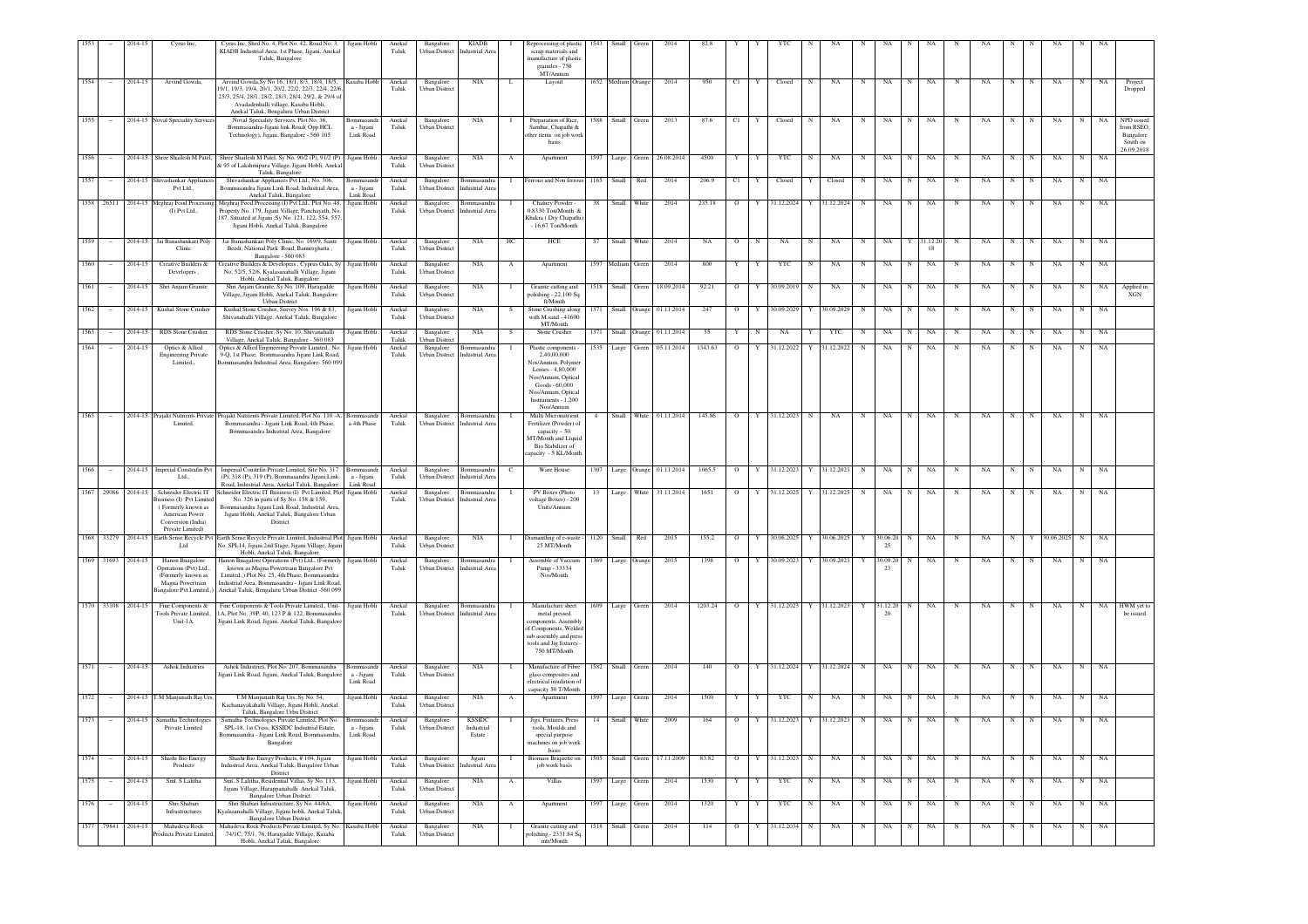|              |        |               | Cyrus Inc.                                                                                                                        | Cyrus Inc. Shed No. 4, Plot No. 42, Road No. 3<br>KIADB Industrial Area, 1st Phase, Jigani, Anekal<br>Taluk, Bangalore                                                                                                                                      | Jigani Hobi                                 | Anekal<br>Taluk           | Bangalore<br><b>Urban District</b>              | <b>KIADE</b><br>ndustrial An          |              | Reprocessing of plast<br>scrap materials and<br>anufacture of plasti<br>granules - 756<br>MT/Annum                                                                                                  |      |                  |                |                          |                   |                    |   |                         |   |                  |            |                          |            |                  |   |                          |            |   |            |             |             |                                                                |
|--------------|--------|---------------|-----------------------------------------------------------------------------------------------------------------------------------|-------------------------------------------------------------------------------------------------------------------------------------------------------------------------------------------------------------------------------------------------------------|---------------------------------------------|---------------------------|-------------------------------------------------|---------------------------------------|--------------|-----------------------------------------------------------------------------------------------------------------------------------------------------------------------------------------------------|------|------------------|----------------|--------------------------|-------------------|--------------------|---|-------------------------|---|------------------|------------|--------------------------|------------|------------------|---|--------------------------|------------|---|------------|-------------|-------------|----------------------------------------------------------------|
|              |        | 2014-15       | Arvind Gowda.                                                                                                                     | Arvind Gowda, Sy No 16, 18/1, 8/3, 18/4, 18/5,<br>9/1, 19/3, 19/4, 20/1, 20/2, 22/2, 22/3, 22/4, 22/6<br>25/3, 25/4, 28/1, 28/2, 28/3, 28/4, 29/2, & 29/4 of<br>Avadadenhalli village, Kasaba Hobli,<br>Anekal Taluk, Bengaluru Urban District              | Casaba Hobl                                 | Anekal<br>Taluk           | Bangalore<br><b>Urban Distric</b>               | NIA                                   |              | Layout                                                                                                                                                                                              | 1652 |                  | )rans          | 2014                     | 950               | C1                 |   | Closed                  |   | NA               |            | NA                       |            |                  |   |                          |            |   |            |             |             | Project<br>Dropped                                             |
| 1555         | $\sim$ |               | 2014-15 Noval Speciality Service                                                                                                  | Noval Speciality Services, Plot No. 36.<br>Bommasandra-Jigani link Road(Opp HCL<br>Technology), Jigani, Bangalore - 560 105                                                                                                                                 | <b>Bommasand</b><br>a - Jigani<br>Link Road | Anekal<br>Taluk           | Bangalore<br>Urban Distric                      | <b>NIA</b>                            |              | Preparation of Rice.<br>Sambar, Chapathi &<br>other items on job wor<br>hasis                                                                                                                       |      | 1588 Small Green |                | 2013                     | 87.6              | C1                 | Y | Closed                  | N | NA               | N          | NA                       | N          | <b>NA</b>        | N | <b>NA</b>                | N          | N | <b>NA</b>  |             | NA          | NPD issued<br>from RSEO<br>Bangalore<br>South on<br>26.09.2018 |
| 1556         |        |               | 2014-15 Shree Shailesh M Patel.                                                                                                   | Shree Shailesh M Patel, Sv No. 90/2 (P), 91/2 (P)<br>k 95 of Lakshmipura Village, Jigani Hobli, Aneka<br>Taluk, Bangalore                                                                                                                                   | Jigani Hobli                                | Anekal<br>Taluk           | Bangalore<br><b>Urban Distric</b>               | <b>NIA</b>                            | $\mathbf{A}$ | Apartment                                                                                                                                                                                           | 1597 | Large            | Green          | 26.08.2014               | 4500              |                    |   | <b>YTC</b>              |   | <b>NA</b>        | N          | <b>NA</b>                |            | NA.              |   | NA                       | N          |   | NA         |             | NA          |                                                                |
| 1557         |        |               | 2014-15 Shivashankar Applia<br>Pvt Ltd.                                                                                           | Shivashankar Appliances Pvt Ltd., No. 306,<br>sandra Jigani Link Road, Industrial Area<br>Anekal Taluk, Bangalore                                                                                                                                           | a - Jigani<br>Link Road                     | Anekal<br>Taluk           | Bangalore<br><b>Urban District</b>              | lomm<br>ndustrial Are                 |              | errous and Non ferrou                                                                                                                                                                               | 1165 | Small            | Red            | 2014                     | 206.9             | Cl                 |   | Closed                  |   | Closed           | N          | NA                       |            | NA               |   | NA                       | N          |   | NA         | N           | NA          |                                                                |
| 1558         | 26511  |               | 2014-15 Meghraj Food Proces<br>(I) Pvt Ltd.,                                                                                      | Meghraj Food Processing (I) Pvt Ltd., Plot No. 48,<br>Property No. 179, Jigani Village, Panchayath, No.<br>87, Situated at Jigani ,Sy No. 121, 122, 554, 557,<br>Jigani Hobli, Anekal Taluk, Bangalore                                                      | Jigani Hobli                                | Anekal<br>Taluk           | Bangalore<br>Urban District                     | <b>Rommasandr</b><br>ndustrial Are    |              | Chatney Powder -<br>$0.8330$ Ton/Month &<br>Khakra (Dry Chapathi<br>$-16.67$ Ton/Month                                                                                                              | 38   | Small            | White          | 2014                     | 235.18            | $\Omega$           |   | 31.12.2024              |   | 31.12.202        |            | NA                       |            | NA               |   | NA                       |            |   |            |             | NA          |                                                                |
| 1559         |        |               | 2014-15 Jai Banashankari Pol-<br>Clinic                                                                                           | Jai Banashankari Poly Clinic, No. 169/9, Sante<br>Beedi, National Park Road, Bannerghatta,<br>Bangalore - 560 083                                                                                                                                           | Jigani Hobli                                | Anekal<br>Taluk           | Bangalore<br>Urban District                     | <b>NIA</b>                            | HC           | HCE                                                                                                                                                                                                 | 57   | Small            | White          | 2014                     | NA                |                    |   | <b>NA</b>               |   | NA               |            | NA                       |            | 1.12.2<br>$18\,$ |   | NA                       |            |   |            |             |             |                                                                |
| 1560         |        | 2014-15       | Creative Builders &<br>Developers                                                                                                 | Creative Builders & Developers, Cyprus Oaks, Sy<br>No. 52/5, 52/6, Kyalasanahalli Village, Jigani<br>Hobli, Anekal Taluk, Bangalore                                                                                                                         | Jigani Hobli                                | Anekal<br>Taluk           | Bangalore<br><b>Urban District</b>              | <b>NIA</b>                            |              | Apartmen                                                                                                                                                                                            | 1597 | Mediu            |                | 2014                     | 800               |                    |   | YTC                     |   | NA               |            | NA                       |            | NA               |   | NA                       |            |   | N/         |             |             |                                                                |
| 561          |        | 2014-15       | Shri Anjani Granite                                                                                                               | Shri Anjani Granite, Sy No. 109, Haragadde<br>Village, Jigani Hobli, Anekal Taluk, Bangalore<br>Urban District                                                                                                                                              | Jigani Hobl                                 | Anekal<br>Taluk           | Bangalore<br>Urban Distric                      | <b>NIA</b>                            |              | Granite cutting and<br>polishing - 22,100 Sq<br>ft/Month                                                                                                                                            | 1518 | Small            | Green          | 18.09.2014               | 92.21             | $\circ$            |   | 0.09.2019               |   | NA               |            | NA                       |            | NA               |   | NA                       |            |   | NA         |             | NA          | Applied in<br><b>XGN</b>                                       |
| 1562         |        | 2014-15       | Kushal Stone Crushe                                                                                                               | Kushal Stone Crusher, Survey Nos. 196 & 83.<br>Shivanahalli Village, Anekal Taluk, Bangalore                                                                                                                                                                | Jigani Hobli                                | Anekal<br>Taluk           | Bangalore<br><b>Urban District</b>              | <b>NIA</b>                            |              | Stone Crushing along<br>with $M$ sand - $41600$<br>MT/Month                                                                                                                                         | 1371 | Small            | Orang          | 01.11.2014               | 247               | $\Omega$           |   | 0.09.2029               |   | 30.09.2029       | N          | NA                       |            | NA               | N | NA.                      | N          |   | NA         |             | NA          |                                                                |
| 1563         |        | 2014-15       | <b>RDS</b> Stone Crusher                                                                                                          | RDS Stone Crusher, Sy No. 10, Shivanahalli<br>Village, Anekal Taluk, Bangalore - 560 083                                                                                                                                                                    | Jigani Hobli                                | Anekal<br>Taluk           | Bangalore<br>Urban District                     | $_{\rm NIA}$                          |              | Stone Crusher                                                                                                                                                                                       | 1371 | Small            | Orange         | 01.11.2014               | 55                | Y                  | N | NA                      |   | <b>YTC</b>       | N          | NA                       | N          | NA               | N | NA                       | N          | N | NA         | N           | NA          |                                                                |
| 1564<br>1565 |        | $2014 - 15$   | Optics & Allied<br><b>Engineering Private</b><br>Limited<br>2014-15 Prajakt Nutrients Private                                     | Optics & Allied Engineering Private Limited., No.<br>9-Q, 1st Phase, Bommasandra Jigani Link Road,<br>sandra Industrial Area, Bangalore- 560 09<br>Praiakt Nutrients Private Limited, Plot No. 110 -A. Bommasandr                                           | Jigani Hobli                                | Anekal<br>Taluk<br>Anckal | Bangalore<br><b>Urban District</b><br>Bangalore | ndustrial Are<br>Bommasandra          |              | Plastic components<br>2.40,00,000<br>Nos/Annum, Polyme<br>Lenses - 4,80,000<br>Nos/Annum, Optical<br>Goods - 60,000<br>Nos/Annum Ontical<br>Instruments - 1,200<br>Nos/Annum<br>Multi Micronutrient | 1535 | Large<br>Small   | Green<br>White | 05.11.2014<br>01.11.2014 | 1343.63<br>145.86 | $\circ$<br>$\circ$ |   | 1.12.2023<br>31.12.2023 | N | 31.12.2022<br>NA | N          | $_{\rm NA}$<br><b>NA</b> | N          | NA<br>NA.        | N | $_{\rm NA}$<br><b>NA</b> | N<br>N     | N | NA<br>NA   | N           | NA          |                                                                |
|              |        |               | Limited                                                                                                                           | Bommasandra - Jigani Link Road, 4th Phase,<br>Bommasandra Industrial Area, Bangalore                                                                                                                                                                        | a 4th Phase                                 | Taluk                     | Urban Distric                                   | ndustrial Are                         |              | Fertilizer (Powder) of<br>$capacity - 50$<br>MT/Month and Liquid<br><b>Bio Stabilizer</b> of<br>apacity - 5 KL/Mont                                                                                 |      |                  |                |                          |                   |                    |   |                         |   |                  |            |                          |            |                  |   |                          |            |   |            |             |             |                                                                |
|              |        |               | 2014-15 Imperial Constrafin P<br>Ltd.,                                                                                            | Imperial Constrfin Private Limited. Site No. 317<br>(P), 318 (P), 319 (P), Bommasandra Jigani Link                                                                                                                                                          | a - Jigani                                  | Anckal<br>Taluk           | Bangalore<br><b>Urban District</b>              | <b>Bommasandra</b><br>ndustrial Are   |              | Ware House                                                                                                                                                                                          |      | Large            | <b>Drang</b>   | 01.11.2014               | 1065.5            |                    |   | 1.12.2023               |   | 31.12.2023       |            | NA                       |            | NA               |   | NA                       |            |   |            |             |             |                                                                |
| 1567         | 29086  | 2014-15       | Schneider Electric IT<br>isiness (I) Pvt Limite<br>(Formerly known as<br>American Power<br>Conversion (India)<br>Private Limited) | Road, Industrial Area, Anekal Taluk, Bangalore<br>Schneider Electric IT Business (I) Pyt Limited, Plo<br>No. 326 in parts of Sy No. 158 & 159,<br>Bommasandra Jigani Link Road, Industrial Area,<br>Jigani Hobli, Anekal Taluk, Bangalore Urban<br>District | Link Road<br>Jigani Hobli                   | Anekal<br>Taluk           | Bangalore<br><b>Urban District</b>              | 3ommasandra<br>ndustrial Are          |              | PV Boxes (Photo<br>voltage Boxes) - 200<br>Units/Annum                                                                                                                                              | 13   | Large            | White          | 31.11.2014               | 1651              | $\circ$            |   | 31.12.2025              |   | 31.12.2025       |            | NA                       |            | NA               |   | NA                       | N          |   | NA         |             |             |                                                                |
| 1568         |        |               | 33279 2014-15 Earth Sense Recycle Pv<br>Ltd                                                                                       | Earth Sense Recycle Private Limited, Industrial Plot<br>No. SPL14, Jigani 2nd Stage, Jigani Village, Jigani<br>Hobli, Anekal Taluk, Bangalore                                                                                                               | Jigani Hobli                                | Anekal<br>Taluk           | Bangalore<br>Urban Distric                      | <b>NIA</b>                            |              | lismantling of e-waste<br>25 MT/Month                                                                                                                                                               | 1120 | Small            | Red            | 2015                     | 155.2             | $\Omega$           |   | 30.06.2025              |   | 30.06.2025       |            | 30.06.20<br>25           |            | <b>NA</b>        | N | NA                       | $_{\rm N}$ |   | 30.06.2025 | $\mathbf N$ | NA          |                                                                |
| 1569         |        | 31693 2014-15 | Hanon Bnagalore<br>Operations (Pvt) Ltd.<br>(Formerly known as<br>Magna Powertrain<br>angalore Pvt Limited                        | Hanon Bnagalore Operations (Pvt) Ltd., (Formerly<br>known as Magna Powertrain Bangalore Pvt<br>Limited) Plot No. 25, 4th Phase, Bommasandr,<br>Industrial Area, Bommasandra - Jigani Link Road,<br>Anekal Taluk, Bengaluru Urban District -560 099          | Jigani Hobli                                | Anckal<br>Taluk           | Bangalore<br><b>Urban District</b>              | sandr<br>ndustrial Are                |              | Assemble of Vaccur<br>Pump - 33334<br>Nos/Month                                                                                                                                                     | 1369 | Large            | Orang          | 2015                     | 1398              | $\circ$            |   | 30.09.2023              |   | 30.09.2023       |            | 30.09.20<br>23           |            | NA               | N | $_{\rm NA}$              | N          | N | NA         |             | NA          |                                                                |
| 1570         | 33108  | 2014-15       | Fine Components &<br>Tools Private Limited.<br>Unit-1A.                                                                           | Fine Components & Tools Private Limited., Unit-<br>A. Plot No. 39P, 40, 123 P & 122. Bommasandra<br>Jigani Link Road, Jigani, Anekal Taluk, Bangalor                                                                                                        | Jigani Hobli                                | Anekal<br>Taluk           | Bangalore<br><b>Urban District</b>              | ndustrial Are                         |              | Manufacture sheet<br>metal pressed<br>components. Assembly<br>of Components, Welded<br>ab assembly and pres<br>tools and Jig fixtures<br>750 MT/Month                                               | 1609 | Large            | Gree           | 2014                     | 1203.24           | $\overline{O}$     |   | 31.12.2023              |   | 31.12.2023       |            | 1.12.20<br>20            |            | NA               |   | NA                       |            |   |            |             | NA          | HWM yet t<br>be issued                                         |
| 1571         | $\sim$ | 2014-15       | Ashok Industries                                                                                                                  | Ashok Industries Plot No. 207 Bommasandra<br>igani Link Road, Jigani, Anekal Taluk, Bangaloro                                                                                                                                                               | a - Jigani<br>Link Road                     | Anekal<br>Taluk           | Bangalore<br><b>Urban Distric</b>               | <b>NIA</b>                            |              | Manufacture of Fibre<br>glass composites and<br>electrical insulation o<br>capacity 50 T/Month                                                                                                      |      | 1582 Small Green |                | 2014                     | 140               | $\Omega$           |   | 31.12.2024              |   | Y 31.12.2024     | $_{\rm N}$ | NA                       | $_{\rm N}$ | <b>NA</b>        | N | NA                       | $_{\rm N}$ | N | <b>NA</b>  | $_{\rm N}$  | NA          |                                                                |
| 1572         |        |               | 2014-15 T.M Manjunath Raj Ur                                                                                                      | T.M Manjunath Raj Urs, Sy No. 54,<br>Kachanavakahalli Village, Jigani Hobli, Anekal<br>Taluk, Bangalore Urbn District                                                                                                                                       | Jigani Hobli                                | Anekal<br>Taluk           | Bangalor<br><b>Urban District</b>               | <b>NIA</b>                            | $\mathbf{A}$ | Apartment                                                                                                                                                                                           | 1597 | Large            | Greet          | 2014                     | 1500              |                    |   | <b>YTC</b>              |   | NA               | $_{\rm N}$ | NA                       | $_{\rm N}$ | NA               | N | NA                       | $_{\rm N}$ | N | NA         | $_{\rm N}$  | NA          |                                                                |
| 1573         |        | 2014-15       | Samatha Technologies<br>Private Limited                                                                                           | Samatha Technologies Private Limited, Plot No.<br>SPL-18, 1st Cross, KSSIDC Indsutrial Estate,<br>asandra - Jigani Link Road, Bommasandra<br>Bangalore                                                                                                      | <b>Bommasand</b><br>a - Jigani<br>Link Road | Anekal<br>${\rm T}$ aluk  | Bangalore<br>Urban Distric                      | <b>KSSIDC</b><br>Industrial<br>Estate |              | Jigs, Fixtures, Press<br>tools, Moulds and<br>special purpose<br>nachines on job worl<br>basis                                                                                                      | 14   | Small            | White          | 2009                     | 164               | $\circ$            | Y | 31.12.2023              |   | 31.12.2023       | N          | NA                       | N          | NA               | N | NA                       | N          |   | NA         | N           | $_{\rm NA}$ |                                                                |
|              |        | 2014-15       | Shashi Bio Energy<br>Products                                                                                                     | Shashi Bio Energy Products, #104, Jigani<br>Industrial Area, Anekal Taluk, Bangalore Urbar<br>District                                                                                                                                                      | Jigani Hobli                                | Anekal<br>Taluk           | Bangalore<br>Urban Distric                      | Jigani<br>dustrial An                 |              | <b>Biomass Briquette on</b><br>job work basis                                                                                                                                                       | 1505 | Small            | Green          | 17.11.2009               | 83.82             | $\Omega$           |   | 31.12.2023              |   | - NA             |            | NA                       |            | NA               |   | NA                       |            |   |            |             |             |                                                                |
| 1575         |        | 2014-15       | Smt. S Lalitha                                                                                                                    | Smt. S Lalitha, Residential Villas, Sy No. 113,<br>Jigani Village, Harappanahalli Anekal Taluk,<br>Bangalore Urban District                                                                                                                                 | Jigani Hobli                                | Anekal<br>Taluk           | Bangalore<br><b>Urban District</b>              | <b>NIA</b>                            |              | Villas                                                                                                                                                                                              | 1597 | Large            | Green          | 2014                     | 1530              |                    |   | YTC                     |   | NA               |            | NA                       |            | NA               |   | NA                       |            |   |            |             |             |                                                                |
|              |        | $2014 - 1:$   | Shri Shabari<br>Infrastructure                                                                                                    | Shri Shabari Infrastructure, Sy No. 44/6A,<br>yalasanahalli Village, Jigani hobli, Anekal Taluk<br><b>Bangalore Urban District</b>                                                                                                                          | Jigani Hobl                                 | Anekal<br>Taluk           | Bangalore<br>Urban Distric                      | <b>NIA</b>                            |              | Apartment                                                                                                                                                                                           | 1597 | Large            | Greet          | 2014                     | 1320              |                    |   | <b>YTC</b>              |   | NA               |            | NA                       |            | NA               |   | NA                       |            |   | NA         |             |             |                                                                |
| 1577         |        | 79841 2014-15 | Mahadeva Rock<br>oducts Private Limite                                                                                            | Mahadeva Rock Products Private Limited Sv No<br>74/1C, 75/1, 76. Haragadde Village, Kasaba<br>Hobli, Anekal Taluk, Bangalore                                                                                                                                | Kasaba Hobli                                | Anekal<br>Taluk           | Bangalore<br><b>Urban District</b>              | <b>NIA</b>                            |              | Granite cutting and<br>olishing - 2331.84 Sc<br>mtr/Month                                                                                                                                           | 1518 | Small            | Green          | 2014                     | 114               | $\Omega$           |   | 31 12 2034              |   | <b>NA</b>        |            | <b>NA</b>                |            | NA               |   | NA                       |            |   | NA         |             |             |                                                                |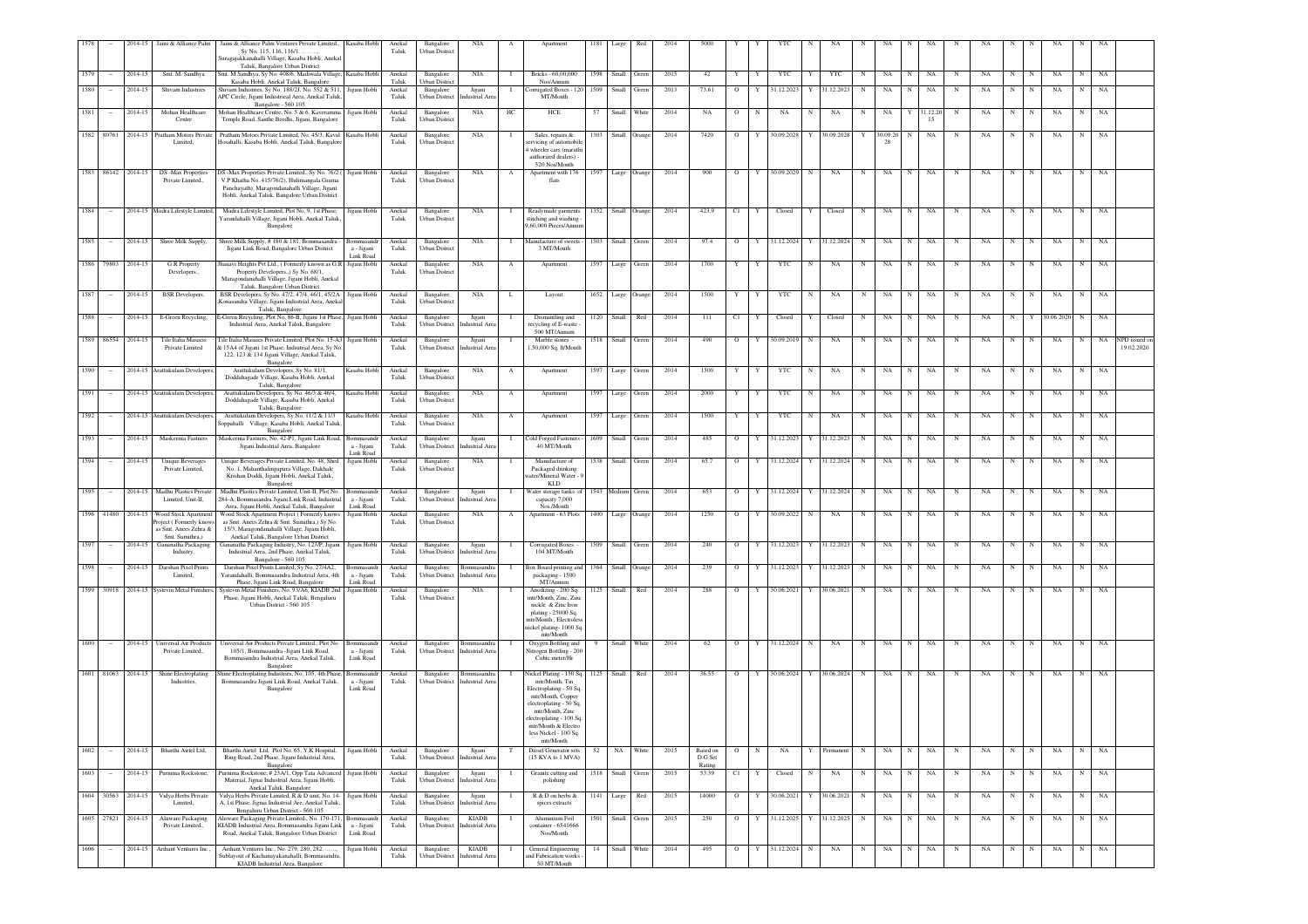| 1578 |        | 2014-15            | Jains & Alliance Palm                                                                      | Jains & Alliance Palm Ventures Private Limited.,<br>Sy No. 115, 116, 116/1<br>Suragajakkanahalli Village, Kasaba Hobli, Anekal<br>Taluk, Bangalore Urban District                                                | Kasaba Hobl                                 | Anekal<br>Taluk          | Bangalore<br>Urban District                          | NIA                                           | А            | Apartment                                                                                                                                                                                                                       | 1181 | Large             | Red               | 2014 | 5000                          |                | YTC             |            | NA          |   | NA             | N          | NA             | N          | NA          |            |   | NA          |            | NA          |                             |
|------|--------|--------------------|--------------------------------------------------------------------------------------------|------------------------------------------------------------------------------------------------------------------------------------------------------------------------------------------------------------------|---------------------------------------------|--------------------------|------------------------------------------------------|-----------------------------------------------|--------------|---------------------------------------------------------------------------------------------------------------------------------------------------------------------------------------------------------------------------------|------|-------------------|-------------------|------|-------------------------------|----------------|-----------------|------------|-------------|---|----------------|------------|----------------|------------|-------------|------------|---|-------------|------------|-------------|-----------------------------|
| 1579 |        | 2014-15            | Smt. M. Sandhya                                                                            | Smt. M Sandhya, Sy No. 408/6, Madiwala Village, Kasaba Hobl                                                                                                                                                      |                                             | Anekal                   | Bangalore                                            | NIA                                           |              | Bricks - 60,00,000                                                                                                                                                                                                              |      | 1598 Small        | Green             | 2015 | 42                            |                | <b>YTC</b>      | Y          | <b>YTC</b>  | N | NA             |            | NA             | N          | NA          | N          |   | NA          |            | NA          |                             |
| 1580 |        | 2014-15            | Shivam Industries                                                                          | Kasaba Hobli, Anekal Taluk, Bangalore<br>Shivam Industries, Sy No. 188/2J, No. 552 & 511, Jigani Hobli<br>APC Circle, Jigani Industrieal Area, Anekal Taluk,                                                     |                                             | Taluk<br>Anckal<br>Taluk | Jrban District<br>Bangalore<br><b>Urban District</b> | Jigani<br>ndustrial Are                       |              | Nos/Annum<br>Corrugated Boxes - 120<br>MT/Month                                                                                                                                                                                 |      | 1509 Small Green  |                   | 2013 | 73.61                         | $\circ$        | 31.12.2023      | Y          | 31.12.2023  |   | NA             | N          | <b>NA</b>      | N          | NA          | N          |   | <b>NA</b>   |            | NA          |                             |
| 1581 |        | 2014-15            | Mohan Healthcare<br>Centre                                                                 | Bangalore - 560 105<br>Mohan Healthcare Centre, No. 5 & 6, Kaveramma Jigani Hobli<br>Temple Road, Santhe Beedhi, Jigani, Bangalore                                                                               |                                             | Anekal<br>Taluk          | Bangalore<br><b>Urban District</b>                   | NIA                                           | HC           | HCE                                                                                                                                                                                                                             | 57   |                   | Small White       | 2014 | NA                            | $\circ$        | NA<br>N         | N          | NA          |   | NA             | Y          | 31.12.20<br>15 | N          | NA          | N          | N | $_{\rm NA}$ | N          | NA          |                             |
|      |        |                    | 1582 80761 2014-15 Pratham Motors Private<br>Limited.                                      | Pratham Motors Private Limited, No. 45/3, Kaval<br>Hosahalli, Kasaba Hobli, Anekal Taluk, Bangalon                                                                                                               | Kasaba Hobl                                 | Anekal<br>Taluk          | Bangalore<br>Jrban District                          | $_{\rm NIA}$                                  |              | Sales, repairs &<br>rvicing of automobil                                                                                                                                                                                        |      |                   | 1303 Small Orange | 2014 | 7420                          | $\circ$        | 30.09.2028      | Y          | 30.09.2028  |   | 30.09.20<br>28 | N          | NA             | N          | $_{\rm NA}$ | $_{\rm N}$ | N | $_{\rm NA}$ | N          | $_{\rm NA}$ |                             |
|      |        |                    |                                                                                            |                                                                                                                                                                                                                  |                                             |                          |                                                      |                                               |              | wheeler cars (maruth<br>authorized dealers) -<br>520 Nos/Month                                                                                                                                                                  |      |                   |                   |      |                               |                |                 |            |             |   |                |            |                |            |             |            |   |             |            |             |                             |
|      |        |                    | 1583 86142 2014-15 DS -Max Properties<br>Private Limited.,                                 | DS -Max Properties Private Limited., Sy No. 76/2 ( Jigani Hobli<br>V.P Khatha No. 415/76/2), Hulimangala Grama<br>Panchayath), Maragondanahalli Village, Jigani<br>Hobli, Anekal Taluk, Bangalore Urban District |                                             | Anekal<br>Taluk          | Bangalore<br>Urban Distric                           | NIA                                           | $\mathbf{A}$ | Apartment with 176<br>flats                                                                                                                                                                                                     |      |                   | 1597 Large Orange | 2014 | 900                           | $\circ$        | 30.09.2029<br>Y | N          | NA          | N | NA             | $_{\rm N}$ | NA             | $_{\rm N}$ | NA          | N          | N | NA          | $_{\rm N}$ | NA          |                             |
| 1584 | $\sim$ |                    |                                                                                            | 2014-15 Mudra Lifestyle Limited, Mudra Lifestyle Limited, Plot No. 9, 1st Phase,<br>Yarandahalli Village, Jigani Hobli, Anekal Taluk,<br>Bangalore                                                               | Jigani Hobli                                | Anekal<br>Taluk          | Bangalore<br>Urban Distric                           | <b>NIA</b>                                    |              | Readymade garments<br>stitching and washing<br>0.60.000 Pieces/Ann                                                                                                                                                              |      |                   | 1352 Small Orange | 2014 | 423.9                         | C1             | Closed          | Y          | Closed      | N | NA             | $_{\rm N}$ | NA             | N          | NA          | N          | N | NA          | N          | NA          |                             |
| 1585 |        | 2014-15            | Shree Milk Supply,                                                                         | Shree Milk Supply, #180 & 181, Bommasandra - Bommasandr<br>Jigani Link Road, Bangalore Urban District                                                                                                            | a - Jigani<br>Link Road                     | Anekal<br>Taluk          | Bangalore<br>Jrban Distric                           | <b>NIA</b>                                    |              | Manufacture of sweets<br>3 MT/Month                                                                                                                                                                                             |      |                   | 1503 Small Green  | 2014 | 97.4                          | $\Omega$       | 31.12.2024      | Y          | 31.12.2024  | N | NA             | N          | NA             | N          | <b>NA</b>   | N          |   | NA          |            | NA          |                             |
| 1586 | 79803  | 2014-15            | G.R Property<br>Developers.                                                                | Jhanavi Heights Pvt Ltd., (Formerly known as G.R Jigani Hobli<br>Property Developers) Sv No. 68/1.<br>Maragondanahalli Village, Jigani Hobli, Anekal<br>Taluk, Bangalore Urban District                          |                                             | Anekal<br>Taluk          | Bangalore<br>Urban Distric                           | <b>NIA</b>                                    | $\mathbf{A}$ | Apartment                                                                                                                                                                                                                       | 1597 | Large             | Green             | 2014 | 1700                          |                | <b>YTC</b>      | N          | <b>NA</b>   |   | NA             | N          | NA             | N          | NA          | N          |   | <b>NA</b>   |            | NA          |                             |
| 1587 | $\sim$ | 2014-15            | <b>BSR</b> Developers,                                                                     | BSR Developers, Sy No. 47/2, 47/4, 46/1, 45/2A Jigani Hobli<br>,Konasandra Village, Jigani Industrial Area, Anekal<br>Taluk, Bangalore                                                                           |                                             | Anckal<br>Taluk          | Bangalore<br>Urban Distric                           | <b>NIA</b>                                    | L.           | Layout                                                                                                                                                                                                                          |      |                   | 1652 Large Orange | 2014 | 1500                          | Y              | <b>YTC</b><br>Y | N          | NA          | N | NA             | N          | NA             | N          | NA          | N          | N | NA          | N          | NA          |                             |
| 1588 |        | 2014-15            | E-Green Recycling,                                                                         | E-Green Recycling, Plot No. 86-B, Jigani 1st Phase, Jigani Hobli<br>Industrial Area, Anekal Taluk, Bangalore                                                                                                     |                                             | Anekal<br>Taluk          | Bangalore<br><b>Urban District</b>                   | Jigani<br>ndustrial Are                       |              | Dismantling and<br>recveling of E-waste<br>500 MT/Annum                                                                                                                                                                         |      | 1120 Small        | Red               | 2014 | 111                           | C1             | Closed<br>Y     | Y          | Closed      | N | NA             | N          | NA             | N          | <b>NA</b>   | N          |   | 30.06.2020  |            | NA          |                             |
|      |        | 1589 86554 2014-15 | Tile Italia Masacis<br>Private Limited                                                     | Tile Italia Masaics Private Limited, Plot No. 15-A3 Jigani Hobli<br>15A4 of Jigani 1st Phase, Indsutrial Area, Sy No<br>122, 123 & 134 Jigani Village, Anekal Taluk,<br>Bangalore                                |                                             | Anekal<br>Taluk          | Bangalore<br>Urban District                          | Jigani<br>dustrial Are                        |              | Marble stones -<br>,50,000 Sq. ft/Mont                                                                                                                                                                                          | 1518 | Small             | Green             | 2014 | 490                           | $\circ$        | 30.09.2019      | $_{\rm N}$ | $_{\rm NA}$ | N | NA             | $_{\rm N}$ | NA             | $_{\rm N}$ | NA          | $_{\rm N}$ | N | $_{\rm NA}$ | N          | NA          | NPD issued on<br>19.02.2020 |
| 1590 | $\sim$ |                    | 2014-15 Arattukulam Developers,                                                            | Arattukulam Developers, Sy No. 81/1,<br>Doddahagade Village, Kasaba Hobli, Anekal<br>Taluk Bangalore                                                                                                             | Kasaba Hobl                                 | Anekal<br>Taluk          | Bangalore<br>Urban Distric                           | $_{\rm NIA}$                                  | $\mathbf{A}$ | Apartment                                                                                                                                                                                                                       |      | 1597 Large        | Green             | 2014 | 1500                          | Y              | YTC             | $_{\rm N}$ | $_{\rm NA}$ | N | NA             | $_{\rm N}$ | NA             | N          | $_{\rm NA}$ | N          | N | $_{\rm NA}$ | N          | NA          |                             |
| 1591 |        |                    | 2014-15 Arattukulam Developers,                                                            | Arattukulam Developers, Sy No. 46/3 & 46/4,<br>Doddahagade Village, Kasaba Hobli, Anekal<br>Taluk, Bangalore                                                                                                     | Kasaba Hobl                                 | Anekal<br>Taluk          | Bangalore<br>Urban Distric                           | $_{\rm NIA}$                                  | $\mathbf{A}$ | Apartment                                                                                                                                                                                                                       |      | 1597 Large        | Green             | 2014 | 2000                          | Y              | YTC             | N          | $_{\rm NA}$ | N | NA             | N          | NA             | N          | $_{\rm NA}$ | N          | N | NA          |            | NA          |                             |
| 1592 |        |                    | 2014-15 Arattukulam Developers,                                                            | Arattukulam Developers, Sy No. 11/2 & 11/3<br>Soppahalli Village, Kasaba Hobli, Anekal Taluk<br>Bangalore                                                                                                        | Kasaba Hobl                                 | Anekal<br>Taluk          | Bangalore<br>Urban Distric                           | <b>NIA</b>                                    | $\mathbf{A}$ | Apartment                                                                                                                                                                                                                       |      |                   | 1597 Large Green  | 2014 | 1500                          | Y              | YTC             | N          | NA          | N | NA             | N          | NA             | N          | NA          | N          | N | NA          | N          | NA          |                             |
| 1593 |        | 2014-15            | Maskeenia Fastners                                                                         | Maskeenia Fastners, No. 42-P1, Jigani Link Road, Bommasandr<br>Jigani Industrial Area, Bangalore                                                                                                                 | a - Jigani<br>Link Road                     | Anekal<br>Taluk          | Bangalore<br><b>Urban District</b>                   | Jigani<br>Industrial Are                      |              | <b>Cold Forged Fasteners</b><br>40 MT/Month                                                                                                                                                                                     |      | 1609 Small Green  |                   | 2014 | 485                           | $\circ$        | 31.12.2023      |            | 31.12.2023  |   | NA             | N          | NA             | N          | NA          | N          |   | NA          |            | NA          |                             |
| 1594 |        | 2014-15            | <b>Unique Beverages</b><br>Private Limited.                                                | Unique Beverages Private Limited, No. 48, Shed<br>No. 1, Mahanthalingapura Village, Dakhale<br>Krishan Doddi, Jigani Hobli, Anekal Taluk,<br>Bangalore                                                           | Jigani Hobli                                | Anekal<br>Taluk          | Bangalore<br><b>Urban District</b>                   | NIA                                           |              | Manufacture of<br>Packaged drinking<br>ater/Mineral Water<br>KLD.                                                                                                                                                               | 1538 |                   | Small Green       | 2014 | 65.                           | $\overline{0}$ | 31.12.2024      | Y          | 31.12.2024  |   | NA             | N          | NA             | N          | NA          | N          |   | NA          |            | NA          |                             |
| 1595 |        | 2014-15            | <b>Madhu Plastics Private</b><br>Limited, Unit-II.                                         | Madhu Plastics Private Limited, Unit-II, Plot No.<br>284-A, Bommasandra Jigani Link Road, Industrial<br>Area, Jigani Hobli, Anekal Taluk, Bangalore                                                              | Bommasand<br>a - Jigani<br><b>Link Road</b> | Anekal<br>Taluk          | Bangalore<br>Urban District                          | Jigani<br>dustrial Are                        |              | Water storage tanks of<br>capacity 7,000<br>Nos./Month                                                                                                                                                                          |      | 1543 Medium Green |                   | 2014 | 653                           | $\overline{0}$ | 31.12.2024      | Y          | 31.12.2024  | N | NA             | N          | NA             | N          | NA          | N          |   | NA.         |            | NA          |                             |
|      |        |                    | 1596 41480 2014-15 Wood Stock Apartmen<br>Project (Formerly knows<br>as Smt. Anees Zehra & | Wood Stock Apartment Project (Formerly knows<br>as Smt. Anees Zehra & Smt. Sumithra,) Sy No.<br>15/3, Maragondanahalli Village, Jigani Hobli,                                                                    | Jigani Hobl                                 | Anekal<br>Taluk          | Bangalore<br>Urban District                          | NIA                                           |              | Apartment - 63 Plots                                                                                                                                                                                                            |      | 1400 Large Orang  |                   | 2014 | 1250                          |                | 30.09.2022      | N          | NA          |   | NA             |            | NA             |            | NA          |            |   | NA          |            |             |                             |
| 1597 |        | 2014-15            | Smt. Sumithra,)<br>Gananatha Packaging<br>Industry,                                        | Anekal Taluk, Bangalore Urban District<br>Gananatha Packaging Industry, No. 123/P, Jigani Jigani Hobli<br>Industrial Area, 2nd Phase, Anekal Taluk,<br>Bangalore - 560 105                                       |                                             | Anekal<br>Taluk          | Bangalore<br>Jrban District                          | Jigani<br>dustrial Are                        |              | Corrugated Boxes<br>104 MT/Month                                                                                                                                                                                                | 1509 | Small             | Green             | 2014 | 240                           | $\circ$        | 31.12.2023      | Y          | 31.12.2023  | N | NA             |            | NA             | N          | NA          | N          |   | NA          |            | NA          |                             |
| 1598 |        | 2014-15            | Darshan Pixel Prints<br>Limited                                                            | Darshan Pixel Prints Limited, Sv No. 27/4A2.<br>Yarandahalli, Bommasandra Industrial Area, 4th<br>Phase, Jigani Link Road, Bangalore                                                                             | Bommasand<br>a - Jigani<br>Link Road        | Anekal<br>Taluk          | Bangalore<br>Urban District                          | tommasandra<br>ndustrial Are                  |              | Box Board printing and<br>packaging - 1500<br>MT/Annum                                                                                                                                                                          | 1364 |                   | Small Orange      | 2014 | 239                           | $\Omega$       | 31.12.2023      | Y          | 31.12.2023  | N | <b>NA</b>      | N          | NA             | N          | NA          | N          |   | <b>NA</b>   |            | NA          |                             |
| 1599 |        |                    | 30918 2014-15 Systevin Metal Finishers.                                                    | Systevin Metal Finishers, No. 93/A6, KIADB 2nd<br>Phase, Jigani Hobli, Anekal Taluk, Bengaluru<br>Urban District - 560 105                                                                                       | Jigani Hobli                                | Anckal<br>Taluk          | Bangalore<br>Urban Distric                           | NIA                                           |              | Anodizing - 200 Sq.<br>mtr/Month, Zinc, Zin<br>nickle & Zinc Iron<br>plating - 25000 Sq.<br>mtr/Month . Electroles<br>nickel plating-1000 Sq.<br>mtr/Month                                                                      | 1125 | Small             | Red               | 2014 | 288                           | $\circ$        | 30.06.2021      | Y          | 30.06.2021  |   | NA             | N          | NA             |            | <b>NA</b>   | N          |   | <b>NA</b>   |            | NA          |                             |
| 1600 |        |                    | Private Limited                                                                            | 2014-15 Universal Air Products Universal Air Products Private Limited., Plot No.<br>105/1. Bommasandra -Jigani Link Road.<br>Bommasandra Industrial Area, Anekal Taluk,<br>Bangalore                             | Bommasand<br>a - Jigani<br>Link Road        | Anckal<br>Taluk          | Bangalore                                            | Bommasandra<br>Urban District Industrial Area |              | Oxygen Bottling and<br>Nitrogen Bottling - 200<br>Cubic meter/Hr                                                                                                                                                                |      |                   | Small White       | 2014 | 62                            | $\circ$        | 31.12.2024      | $_{\rm N}$ | NA          |   | NA             | N          | NA             | N          | NA          | N          | N | <b>NA</b>   |            | NA          |                             |
| 1601 |        | 81063 2014-15      | Shine Electroplating<br>Industries                                                         | Shine Electroplating Industries, No. 105, 4th Phase, Bommasanda<br>Bommasandra Jigani Link Road, Anekal Taluk<br>Bangalore                                                                                       | a - Jigani<br>Link Road                     | Anckal<br>Taluk          | Bangalore<br>Urban District                          | Bommasandra<br><b>Industrial Area</b>         |              | Nickel Plating - 150 Sq.<br>mtr/Month, Tin<br>Electroplating - 50 Sq<br>mtr/Month, Copper<br>electroplating - 50 Sq.<br>mtr/Month, Zinc<br>electroplating - 100 So<br>mtr/Month & Electro<br>less Nickel - 100 Sq.<br>mtr/Month | 1125 | Small             | Red               | 2014 | 36.55                         | $\circ$        | 30.06.2024      | Y          | 30.06.2024  |   | NA             | N          | NA             | N          | NA          | N          |   | <b>NA</b>   |            | NA          |                             |
| 1602 |        | 2014-15            | Bharthi Airtel Ltd,                                                                        | Bharthi Airtel Ltd, Plot No. 65, Y.K Hospital,<br>Ring Road, 2nd Phase, Jigani Industrial Area.<br>Bangalore                                                                                                     | Jigani Hobli                                | Anekal<br>Taluk          | Bangalore<br><b>Urban District</b>                   | Jigani<br>ndustrial Are                       |              | Diesel Generator sets<br>(15 KVA to 1 MVA)                                                                                                                                                                                      | 52   | NA                | White             | 2015 | Based on<br>D.G Set<br>Rating | $\circ$        | NA              | Y          | Permanent   |   | NA             | N          | NA             |            | NA          | N          |   | NA          |            | NA          |                             |
| 1603 |        | 2014-15            | Purnima Rockstone.                                                                         | Purnima Rockstone, #23A/1, Opp Tata Advanced Jigani Hobli<br>Material, Jignai Industrial Area, Jigani Hobli,<br>Anekal Taluk, Bangalore                                                                          |                                             | Anekal<br>Taluk          | Bangalore<br>Urban District                          | Jigani<br>ndustrial Are                       |              | Granite cutting and<br>polishing                                                                                                                                                                                                |      | 1518 Small        | Green             | 2015 | 53.39                         | C1             | Closed          | N          | NA          | N | NA             |            | NA             |            | NA          | N          |   | NA          |            | NA          |                             |
| 1604 | 30563  | 2014-15            | Vidya Herbs Private<br>Limited.                                                            | Vidya Herbs Private Limited, R & D unit, No. 14- Jigani Hobli<br>A, 1st Phase, Jignai Industrial Are, Anekal Taluk,<br>Bengaluru Urban District - 560 105                                                        |                                             | Anekal<br>Taluk          | Bangalore<br>Urban District                          | Jigani<br>dustrial Are                        |              | R & D on herbs &<br>spices extracts                                                                                                                                                                                             |      | 1141 Large        | Red               | 2015 | 14000                         | $\circ$        | 30.06.2021      | Y          | 30.06.2021  |   | NA             | N          | NA             |            | NA          | N          |   | NA          |            | NA          |                             |
|      |        | 1605 27821 2014-15 | Aluware Packaging<br>Private Limited                                                       | Aluware Packaging Private Limited., No. 170-171. Bommasand<br>KIADB Industrial Area, Bommasandra Jigani Link<br>Road, Anekal Taluk, Bangalore Urban District                                                     | a - Jigani<br>Link Road                     | Anekal<br>Taluk          | Bangalore<br><b>Urban District</b>                   | <b>KIADB</b><br>ndustrial Are                 |              | Aluminium Foil<br>container - 6541666<br>Nos/Month                                                                                                                                                                              | 1501 |                   | Small Green       | 2015 | 250                           | $\circ$        | 31.12.2025      | Y          | 31.12.2025  | N | NA             | N          | <b>NA</b>      | N          | <b>NA</b>   | N          | N | <b>NA</b>   |            | NA          |                             |
| 1606 |        |                    | 2014-15 Arihant Ventures Inc.,                                                             | Arihant Ventures Inc., No. 279, 280, 282<br>Sublayout of Kachanayakanahalli Bommasandra<br>KIADB Industrial Area, Bangalore                                                                                      | Jigani Hobli                                | Anckal<br>Taluk          | Bangalore<br><b>Urban District</b>                   | KIADB<br><b>Industrial Area</b>               |              | General Engineering<br>and Fabrication works<br>50 MT/Month                                                                                                                                                                     |      |                   | 14 Small White    | 2014 | 495                           | $\circ$        | 31.12.2024      | N          | NA          |   | NA             | N          | NA             | N          | NA          | N          | N | NA          |            | NA          |                             |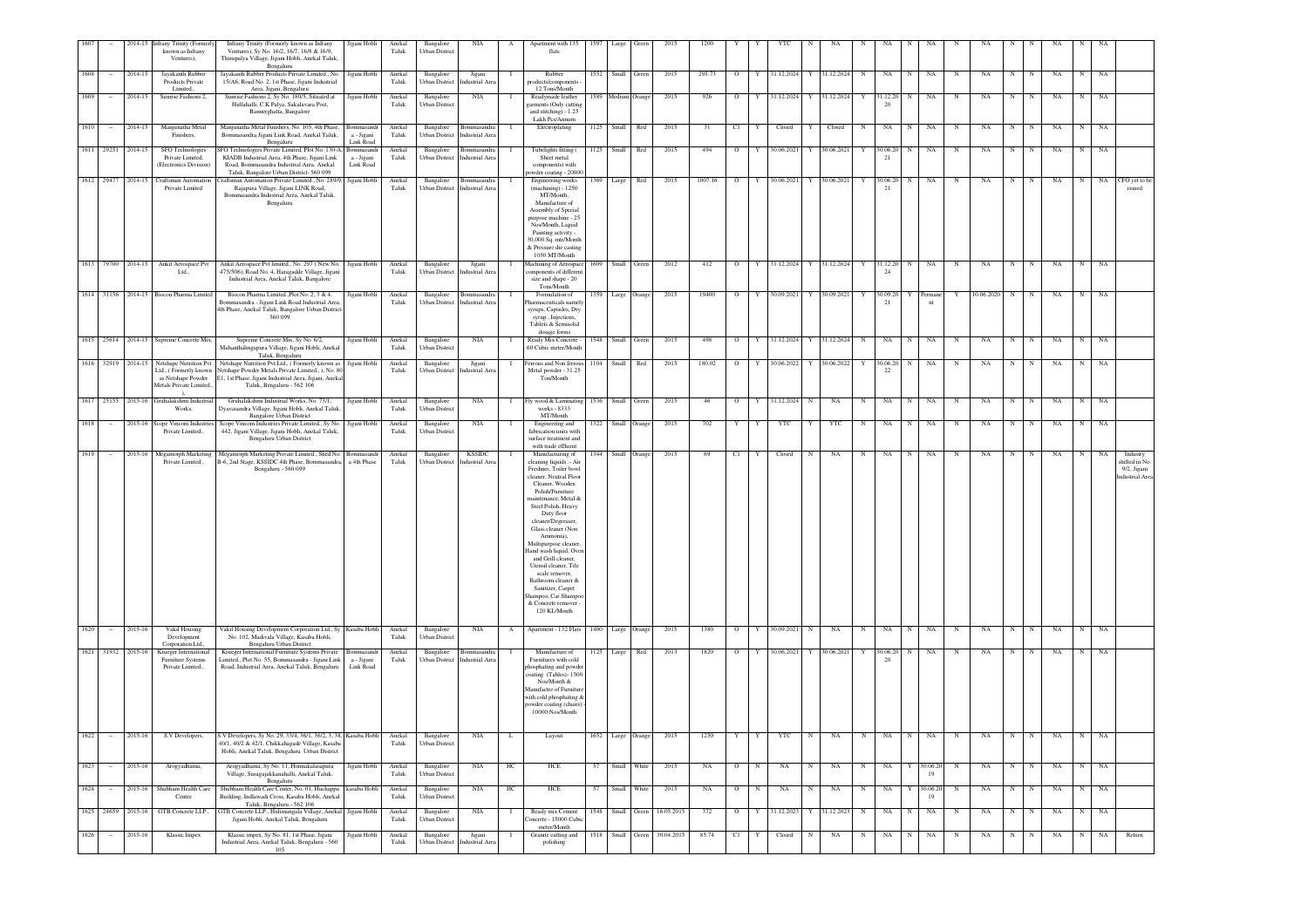| 1607       |            |                    | 2014-15 Infrany Trinity (Formerly<br>known as Infrany<br>Ventures),    | Infrany Trinity (Formerly known as Infrany<br>Ventures), Sy No. 16/2, 16/7, 16/8 & 16/9,<br>Thirupalya Village, Jigani Hobli, Anekal Taluk<br>Bengaluru                                                                          | Jigani Hobli                          | Anekal<br>Taluk           | Bangalore<br><b>Urban District</b>              | NIA                                  |              | Apartment with 135<br>flats                                                                                                                                                                                                                                                                                                                                                         | 1597 | Large                           | Green | 2015                     | 1200         |                |                                |   |                    |            |                |                      |         |            |             |            |            |           |             |                                                                           |
|------------|------------|--------------------|------------------------------------------------------------------------|----------------------------------------------------------------------------------------------------------------------------------------------------------------------------------------------------------------------------------|---------------------------------------|---------------------------|-------------------------------------------------|--------------------------------------|--------------|-------------------------------------------------------------------------------------------------------------------------------------------------------------------------------------------------------------------------------------------------------------------------------------------------------------------------------------------------------------------------------------|------|---------------------------------|-------|--------------------------|--------------|----------------|--------------------------------|---|--------------------|------------|----------------|----------------------|---------|------------|-------------|------------|------------|-----------|-------------|---------------------------------------------------------------------------|
| 1608       |            | 2014-15            | Jayakanth Rubber<br>Products Private<br>Limited.,                      | Jayakanth Rubber Products Private Limited., No. Jigani Hobli<br>15/A6, Road No. 2, 1st Phase, Jigani Industrial<br>Area, Jigani, Bengaluru                                                                                       |                                       | Anekal<br>Taluk           | Bangalore<br><b>Urban District</b>              | Jigani<br>ndustrial Are              |              | Rubber<br>products/components<br>12 Tons/Month                                                                                                                                                                                                                                                                                                                                      |      | 1552 Small Green                |       | 2015                     | 295.73       | $\circ$        | 31.12.2024                     | Y | 31.12.2024         |            | NA             | NA<br>N              |         | N          | NA          |            |            | NA        |             | NA                                                                        |
| 1609       |            | 2014-15            | Sunrise Fashions 2.                                                    | Sunrise Fashions 2, Sv No. 180/5, Situated at<br>Hullahalli, C.K Palya, Sakalavara Post,<br>Bannerghatta, Bangalore                                                                                                              | Jigani Hobli                          | Anckal<br>Taluk           | Bangalore<br><b>Urban District</b>              | <b>NIA</b>                           |              | Readymade leather<br>garments (Only cutting<br>and stitching) - 1.25<br>Lakh Pcs/Annum                                                                                                                                                                                                                                                                                              |      | 1589 Medium Orange              |       | 2015                     | 926          | $\circ$        | 31.12.2024<br>Y                |   | Y 31.12.2024       | Y          | 31.12.20<br>20 | NA<br>N              |         | N          | NA          | N          | N          | NA        |             | NA                                                                        |
| 1610       | $\sim$     | 2014-15            | Maniunatha Metal<br>Finishers.                                         | Manjunatha Metal Finishers, No. 105, 4th Phase,<br>Bommasandra Jigani Link Road, Anekal Taluk,<br>Bengaluru                                                                                                                      | Bommasand<br>a - Jigani<br>Link Road  | Anckal<br>Taluk           | Bangalore<br><b>Urban District</b>              | Bommasandra<br>ndustrial Are         |              | Electroplating                                                                                                                                                                                                                                                                                                                                                                      |      | $1125$ Small                    | Red   | 2015                     | -31          | C1             | Closed<br>Y                    | Y | Closed             | N          | NA.            | $_{\rm N}$           | NA<br>N |            | <b>NA</b>   | N          | N          | NA        | N           | NA                                                                        |
|            | 1611 29251 | 2014-15            | SFO Technologies<br>Private Limited.<br>(Electronics Division)         | SFO Technologies Private Limited, Plot No. 130-A,<br>KIADB Industrial Area, 4th Phase, Jigani Link<br>Road, Bommasandra Industrial Area, Anekal<br>Taluk, Bangalore Urban District- 560 099                                      | Bommasandr<br>a - Jigani<br>Link Road | Anekal<br>Taluk           | Bangalore<br><b>Urban District</b>              | Bommasandra<br>Industrial Are        |              | Tubelights fitting (<br>Sheet metal<br>components) with<br>wder coating - 2000                                                                                                                                                                                                                                                                                                      | 1125 | Small                           | Red   | 2015                     | 494          | $\circ$        | 0.06.2021<br>Y                 | Y | 30.06.2021         |            | 80.06.20<br>21 | N                    | NA      | N          | NA          | N          | N          | NA        |             | NA                                                                        |
|            |            |                    | 1612 29477 2014-15 Craftsman Automation<br>Private Limited             | Craftsman Automation Private Limited., No. 289/9, Jigani Hobli<br>Rajapura Village, Jigani LINK Road,<br>Bommasandra Industrial Area, Anekal Taluk,<br>Bengaluru                                                                 |                                       | Anekal<br>Taluk           | Bangalore<br><b>Urban District</b>              | Bommasandra<br><b>Industrial Are</b> |              | Engineering works<br>$(machining) - 1250$<br>MT/Month,<br>Manufacture of<br>Assembly of Special<br>purpose machine - 25<br>Nos/Month, Liquid<br>Painting activity -<br>30,000 Sq. mtr/Month<br>& Pressure die casting<br>1050 MT/Month                                                                                                                                              |      | 1369 Large                      | Red   | 2015                     | 1007.16      | $\Omega$       | 30.06.2021<br>Y                |   | Y 30.06.2021       | Y          | 30.06.20<br>21 | N<br>NA              |         | $_{\rm N}$ | NA          | N          | N          | NA        | N           | CFO yet to be<br>NA<br>issued                                             |
|            |            | 1613 79700 2014-15 | Ankit Aerospace Pvt<br>Ltd.                                            | Ankit Aerospace Pvt limited., No. 297 (New No. Jigani Hobli<br>475/506), Road No. 4, Haragadde Village, Jigani<br>Industrial Area, Anekal Taluk, Bangalore                                                                       |                                       | Anckal<br>Taluk           | Bangalore<br><b>Urban District</b>              | Jigani<br>ndustrial Are              | -1           | Machining of Aerospace 1609 Small Green<br>components of different<br>size and shape - 20<br>Tons/Month                                                                                                                                                                                                                                                                             |      |                                 |       | 2012                     | 412          | $\circ$        | Y 31.12.2024 Y 31.12.2024      |   |                    | Y          | 31.12.20<br>24 | N                    | NA      | $_{\rm N}$ | NA          | N          | $_{\rm N}$ | NA        | N           | <b>NA</b>                                                                 |
|            |            |                    | 1614 31156 2014-15 Biocon Pharma Limited                               | Biocon Pharma Limited., Plot No. 2, 3 & 4,<br>Bommasandra - Jigani Link Road Industrial Area<br>4th Phase, Anekal Taluk, Bangalore Urban District-<br>560 099                                                                    | Jigani Hobli                          | Anekal<br>Taluk           | Bangalore<br><b>Urban District</b>              | Bommasandra<br>Industrial Are        |              | Formulation of<br>harmaceuticals name<br>syrups, Capsules, Dry<br>syrup, Injections,<br>Tablets & Semisolid<br>dosage forms                                                                                                                                                                                                                                                         | 1359 | Large Orange                    |       | 2015                     | 19400        | $\circ$        | 30.09.2021<br>Y                |   | Y 30.09.2021 Y     |            | 30.09.20<br>21 | Permane<br>Y<br>nt   |         | Y          | 10.06.2020  | $_{\rm N}$ | $_{\rm N}$ | <b>NA</b> | N           | NA                                                                        |
|            |            |                    | 1615 25614 2014-15 Supreme Concrete Mix,                               | Supreme Concrete Mix, Sy No. 6/2,<br>Mahanthalingapura Village, Jigani Hobli, Anekal<br>Taluk, Bengaluru                                                                                                                         | Jigani Hobli                          | Anekal<br>Taluk           | Bangalore<br>Urban Distric                      | NIA                                  |              | Ready Mix Concrete -<br>60 Cubic meter/Mont                                                                                                                                                                                                                                                                                                                                         |      | 1548 Small Green                |       | 2015                     | 498          | $\circ$        | 31.12.2024 Y 31.12.2024 N<br>Y |   |                    |            | NA             | $\mathbb{N}$         | NA      | $_{\rm N}$ | NA          |            | $_{\rm N}$ | NA        | N           | NA                                                                        |
|            |            | 1616 32919 2014-15 | Ltd., (Formerly known<br>as Netshape Powder<br>Metals Private Limited. | Netshape Nutrition Pvt Netshape Nutrition Pvt Ltd., (Formerly known as Jigani Hobli<br>Netshape Powder Metals Private Limited., ), No. 80<br>E1, 1st Phase, Jigani Industrial Area, Jigani, Anekal<br>Taluk, Bengaluru - 562 106 |                                       | Anckal<br>Taluk           | Bangalore<br><b>Urban District</b>              | Jigani<br>ndustrial Are              |              | Ferrous and Non ferrous<br>Metal powder - 31.25<br>Ton/Month                                                                                                                                                                                                                                                                                                                        | 1104 | Small                           | Red   | 2015                     | 180.02       | $\circ$        | 30.06.2022                     |   | 30.06.2022         |            | 30.06.20<br>22 | NA                   |         | N          | NA          |            |            | NA        |             | <b>NA</b>                                                                 |
|            | 1617 25155 |                    | 2015-16 Gruhalakshmi Industrial<br>Works,                              | Gruhalakshmi Industrial Works, No. 73/1,<br>Dyavasandra Village, Jigani Hobli, Anekal Taluk,<br><b>Bangalore Urban District</b>                                                                                                  | Jigani Hobli                          | Anekal<br>Taluk           | Bangalore<br><b>Urban District</b>              | <b>NIA</b>                           |              | Fly wood & Laminating<br>works - 8333<br>MT/Month                                                                                                                                                                                                                                                                                                                                   | 1536 | Small Green                     |       | 2015                     | 46           | $\circ$        | 31.12.2024                     | N | NA                 | N          | NA             | N                    | NA      | N          | $_{\rm NA}$ | N          | N          | NA        |             | $_{\rm NA}$                                                               |
| 1618       |            |                    | 2015-16 Scope Vincom Industries<br>Private Limited.,                   | Scope Vincom Industries Private Limited., Sy No.<br>442, Jigani Village, Jigani Hobli, Anekal Taluk,<br>Bengaluru Urban District                                                                                                 | Jigani Hobli                          | Anekal<br>Taluk           | Bangalore<br><b>Urban District</b>              | NIA                                  |              | Engineering and<br>fabrication units with<br>surface treatment and<br>with trade effluent                                                                                                                                                                                                                                                                                           | 1322 | Small Orange                    |       | 2015                     | 702          | Y              | YTC<br>Y                       | Y | YTC                | N          | NA             | $_{\rm N}$<br>NA     | N       |            | $_{\rm NA}$ | N          | $_{\rm N}$ | NA        | N           | NA                                                                        |
| $1619 - -$ |            |                    | 2015-16 Megamorph Marketing<br>Private Limited.,                       | Megamorph Marketing Private Limited., Shed No.<br>B-6, 2nd Stage, KSSIDC 4th Phase, Bommasandra,<br>Bengaluru - 560 099                                                                                                          | Bommasandr<br>a 4th Phase             | Anekal<br>Taluk           | Bangalore<br>Urban District                     | <b>KSSIDC</b><br>ndustrial Are       |              | Manufacturing of<br>cleaning liquids :- Air<br>Freshner, Toiler bowl<br>cleaner Neutral Floor                                                                                                                                                                                                                                                                                       |      | 1344 Small Orange               |       | 2015                     | 69           | C1             | Closed<br>Y                    | N | NA                 | $_{\rm N}$ | NA             | ${\bf N}$<br>NA      |         | $_{\rm N}$ | $_{\rm NA}$ | N          | N          | NA        | $\mathbf N$ | NA<br>Industry<br>shifted in No.<br>9/2, Jigani<br><b>Industrial Area</b> |
|            |            |                    |                                                                        |                                                                                                                                                                                                                                  |                                       |                           |                                                 |                                      |              | Cleaner, Wooden<br>Polish/Furniture<br>maintenance, Metal &<br>Steel Polish, Heavy<br>Duty floor<br>cleaner/Degreaser,<br>Glass cleaner (Non<br>Ammonia),<br>Multipurpose cleaner<br>Hand wash liquid, Over<br>and Grill cleaner,<br>Utensil cleaner, Tile<br>scale remover,<br>Bathroom cleaner &<br>Sanitizer, Carpet<br>Shampoo, Car Shamp<br>& Concrete remover<br>120 KL/Month |      |                                 |       |                          |              |                |                                |   |                    |            |                |                      |         |            |             |            |            |           |             |                                                                           |
| 1620       | $\sim$     | 2015-16            | Vakil Housing<br>Development<br>Corporation Ltd.                       | Vakil Housing Development Corporation Ltd., Sy Kasaba Hobli<br>No. 102, Madivala Village, Kasaba Hobli,<br>Bengaluru Urban District                                                                                              |                                       | Anekal<br>Taluk           | Bangalore<br><b>Urban District</b>              | <b>NIA</b>                           | $\mathbf{A}$ | Apartment - 132 Flats 1400 Large Orange                                                                                                                                                                                                                                                                                                                                             |      |                                 |       | 2015                     | 1380         | $\overline{0}$ | 30.09.2021 N<br>Y              |   | NA                 | N          | NA .           | $\overline{N}$<br>NA |         | N          | NA          | N          | N          | NA        | N           | NA                                                                        |
|            |            | 1621 31932 2015-16 | Krueger International<br>Furniture Systems<br>Private Limited          | Krueger International Furniture Systems Private<br>Limited., Plot No. 55, Bommasandra - Jigani Link<br>Road, Industrial Area, Anekal Taluk, Bengaluru                                                                            | a - Jigani<br>Link Road               | Anekal<br>Taluk           | Bangalore<br><b>Urban District</b>              | Bommasandra<br>Industrial Area       |              | Manufacture of<br>Furnitures with cold<br>phosphating and powder<br>coating (Tables)- 1500<br>Nos/Month &<br>Manufactre of Furnitu<br>with cold phosphating &<br>sowder coating (chairs)<br>10000 Nos/Month                                                                                                                                                                         | 1125 | Large                           | Red   | 2013                     | 1820         |                | 30.06.2021                     |   | 30.06.2021         |            | 30.06.20<br>20 | NA                   |         |            | NA          |            |            | NA        |             | NA                                                                        |
|            |            |                    | S.V Developers.                                                        | v Developers, Sy No. 29, 33/4, 30/1, 30/2, 3, 3/<br>40/1, 40/2 & 42/1, Chikkahagade Village, Kasaba<br>Hobli, Anekal Taluk, Bengaluru Urban District                                                                             |                                       | Aneka<br>Taluk            | Bangalor<br><b>Urban District</b>               | NJA                                  |              | Layot                                                                                                                                                                                                                                                                                                                                                                               |      | .arg                            |       |                          |              |                | 1 I L                          |   |                    |            |                |                      |         |            |             |            |            |           |             |                                                                           |
| 1623       |            | 2015-16            | Arogyadhama,                                                           | Arogyadhama, Sy No. 11, Honnakalasapura<br>Village, Suragajakkanahalli, Anekal Taluk,<br>Bengaluru                                                                                                                               | Jigani Hobli                          | Anekal<br>Taluk           | Bangalore<br><b>Urban District</b>              | NIA                                  | HC           | HCE                                                                                                                                                                                                                                                                                                                                                                                 | 57   | Small White                     |       | 2015                     | NA           | $\circ$        | NA<br>N                        | N | NA                 | N          | NA             | 19                   | 0.06.20 | N          | NA          |            | N          | NA        |             | NA                                                                        |
| 1624       |            | 2015-16            | Shubham Health Card<br>Centre                                          | Shubham Health Care Center, No. 01, Huchappa<br>Building, Indlawadi Cross, Kasaba Hobli, Anekal<br>Taluk, Bengaluru - 562 106                                                                                                    | kasaba Hobli                          | Anekal<br>Taluk           | Bangalore<br><b>Urban District</b>              | <b>NIA</b>                           | НC           | HCE                                                                                                                                                                                                                                                                                                                                                                                 | 57   | Small White                     |       | 2015                     | NA           | $\circ$        | NA<br>$_{\rm N}$               | N | NA                 | N          | NA             | 19                   | 0.06.20 | N          | NA          | N          | N          | NA        | N           | NA                                                                        |
| 1626       | 1625 24659 | 2015-16<br>2015-16 | GTB Concrete LLP.,<br>Klassic Impex                                    | GTB Concrete LLP., Hulimangala Village, Anekal Jigani Hobli<br>Jigani Hobli, Anekal Taluk, Bengaluru<br>Klassic impex, Sy No. 81, 1st Phase, Jigani                                                                              | Jigani Hobli                          | Anckal<br>Taluk<br>Anekal | Bangalore<br><b>Urban District</b><br>Bangalore | <b>NIA</b><br>Jigani                 |              | Ready mix Cement<br>Concrete - 15000 Cubi<br>meter/Month<br>Granite cutting and                                                                                                                                                                                                                                                                                                     | 1518 | 1548 Small Green<br>Small Green |       | 16.05.2015<br>30.04.2015 | 372<br>85.74 | $\circ$<br>CI. | 31.12.2023<br>Closed<br>Y      |   | Y 31.12.2023<br>NA | N          | NA<br>NA       | NA<br>N<br>N         | NA      | N<br>N     | NA<br>NA    | N          | N<br>N     | NA<br>NA  |             | NA<br>NA<br>Return                                                        |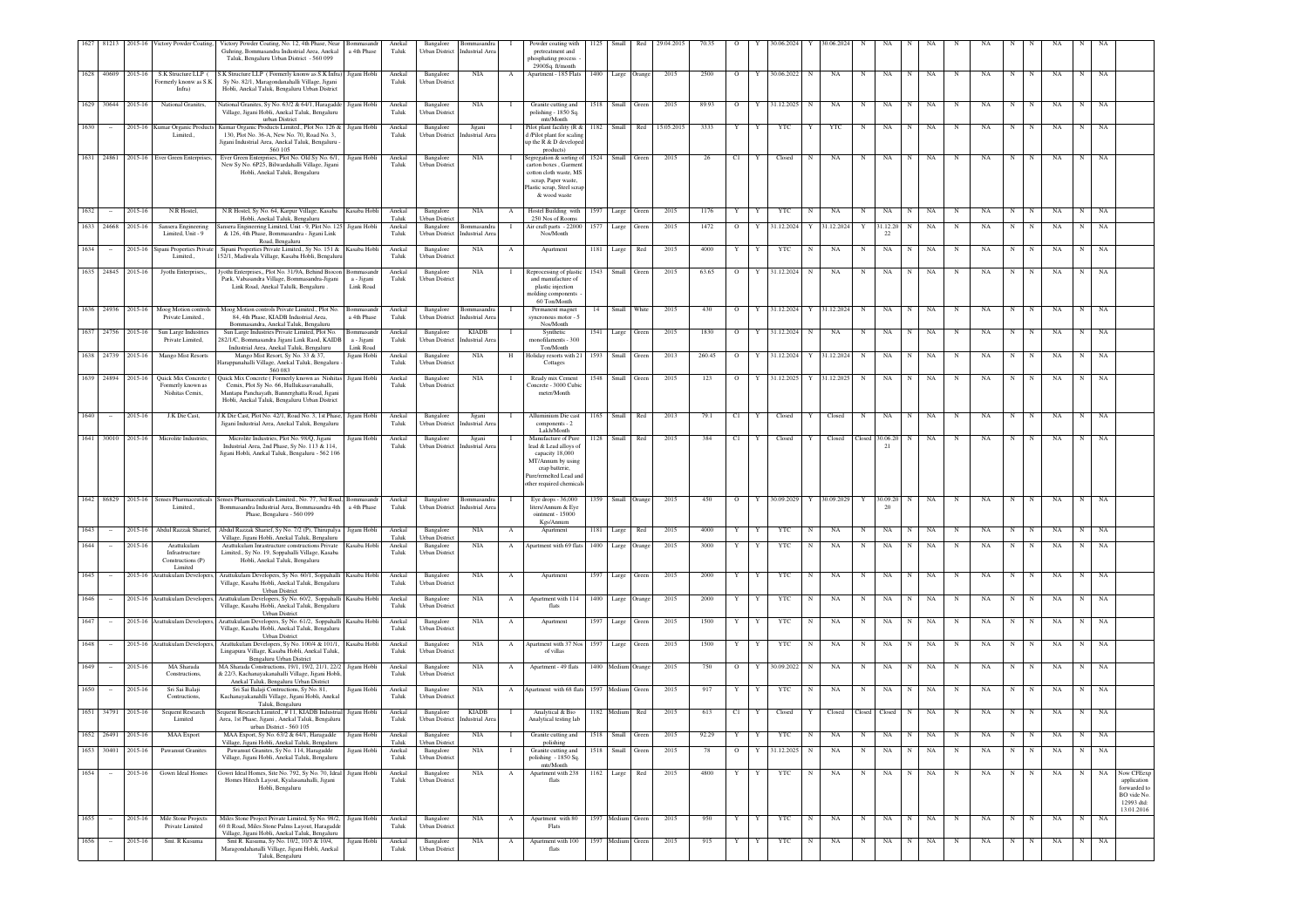| 1627 |        |                    | 81213 2015-16 Victory Powder Coating,                                     | Victory Powder Coating, No. 12, 4th Phase, Near<br>Guhring, Bommasandra Industrial Area, Anekal<br>Taluk, Bengaluru Urban District - 560 099                                                   | Bommasand<br>a 4th Phase             | Anekal<br>Taluk | Bangalore<br><b>Urban District</b> | 3ommasandra<br>Industrial Area |              | Powder coating with<br>pretreatment and<br>phosphating process<br>2900Sq. ft/month                                                                          | Small<br>1125      | Red           | 29.04.2015 | 70.35  | $\circ$  |   | 0.06.2024                  | 60.06.2024  |        |                |            |           |            |           |            |   |             |            |             |                                                                                      |
|------|--------|--------------------|---------------------------------------------------------------------------|------------------------------------------------------------------------------------------------------------------------------------------------------------------------------------------------|--------------------------------------|-----------------|------------------------------------|--------------------------------|--------------|-------------------------------------------------------------------------------------------------------------------------------------------------------------|--------------------|---------------|------------|--------|----------|---|----------------------------|-------------|--------|----------------|------------|-----------|------------|-----------|------------|---|-------------|------------|-------------|--------------------------------------------------------------------------------------|
|      |        |                    | 1628 40609 2015-16 S.K Structure LLP (<br>Formerly knonw as S.K<br>Infra) | S.K Structure LLP (Formerly knonw as S.K Infra) Jigani Hobli<br>Sy No. 82/1, Maragondanahalli Village, Jigani<br>Hobli, Anekal Taluk, Bengaluru Urban District                                 |                                      | Anekal<br>Taluk | Bangalore<br><b>Urban District</b> | <b>NIA</b>                     | $\mathbf{A}$ | Apartment - 185 Flats 1400 Large Orange                                                                                                                     |                    |               | 2015       | 2500   | $\circ$  | Y | 30.06.2022<br>N            | NA          |        | NA             | $_{\rm N}$ | NA        | N          | NA        | N          |   | NA          |            |             |                                                                                      |
| 1629 |        | 30644 2015-16      | National Granites,                                                        | National Granites, Sy No. 63/2 & 64/1, Haragadde Jigani Hobli<br>Village, Jigani Hobli, Anekal Taluk, Bengaluru<br>urban District                                                              |                                      | Anekal<br>Taluk | Bangalore<br><b>Urban Distric</b>  | <b>NIA</b>                     |              | Granite cutting and<br>polishing - 1850 Sq.<br>mtr/Month                                                                                                    | 1518<br>Small      | Green         | 2015       | 89.93  | $\circ$  |   | 31.12.2025<br>N            | NA          |        | NA             |            | NA        |            | NA        |            |   |             |            |             |                                                                                      |
| 1630 |        |                    | 2015-16 Kumar Organic Product<br>Limited.                                 | Kumar Organic Products Limited., Plot No. 126 & Jigani Hobli<br>130, Plot No. 36-A, New No. 70, Road No. 3,<br>Jigani Industrial Area, Anekal Taluk, Bengaluru<br>560 105                      |                                      | Anekal<br>Taluk | Bangalore<br>Urban Distric         | Jigani<br>ndustrial Are        |              | Pilot plant facility (R &<br>/Pilot plant for scaling<br>up the $R \& D$ developed<br>products)                                                             | 1182 Small         | Red           | 15.05.2015 | 3333   |          |   | <b>YTC</b>                 | <b>YTC</b>  |        | NA             |            | NA        | N          | NA        | N          |   | NA          |            | NA          |                                                                                      |
|      |        |                    | 1631 24861 2015-16 Ever Green Enterprises,                                | Ever Green Enterprises, Plot No. Old Sy No. 6/1, Jigani Hobli<br>New Sy No. 6P25, Bilwardahalli Village, Jigani<br>Hobli, Anekal Taluk, Bengaluru                                              |                                      | Anekal<br>Taluk | Bangalore<br><b>Urban District</b> | <b>NIA</b>                     |              | Segregation & sorting of<br>carton boxes, Garment<br>cotton cloth waste. MS<br>scrap, Paper waste,<br>lastic scrap, Steel scrap<br>& wood waste             | 1524 Small         | Green         | 2015       | 26     | C1       |   | Closed<br>N                | $_{\rm NA}$ |        | $_{\rm NA}$    | N          | NA        | N          | NA        | $_{\rm N}$ |   | NA          |            | NA          |                                                                                      |
| 1632 |        | 2015-16            | N.R Hostel                                                                | N.R Hostel, Sy No. 64, Karpur Village, Kasaba<br>Hobli, Anekal Taluk, Bengaluru                                                                                                                | Kasaba Hobl                          | Anekal<br>Taluk | Bangalore<br>Urban Distric         | <b>NIA</b>                     | $\mathbf{A}$ | Hostel Building with<br>250 Nos of Rooms                                                                                                                    | 1597<br>Large      | Green         | 2015       | 1176   |          |   | <b>YTC</b>                 | NA          |        | NA             |            | NA        | N          | NA        | N          |   | NA          |            | NA          |                                                                                      |
| 1633 | 24668  | 2015-16            | Sansera Engineering<br>Limited, Unit - 9                                  | Sansera Engineering Limited, Unit - 9, Plot No. 125 Jigani Hobli<br>& 126, 4th Phase, Bommasandra - Jigani Link<br>Road, Bengaluru                                                             |                                      | Anekal<br>Taluk | Bangalore<br><b>Urban District</b> | Bommasandra<br>ndustrial Are   |              | Air craft parts - 22000<br>Nos/Month                                                                                                                        | 1577<br>Large      | Green         | 2015       | 1472   | $\circ$  |   | 31.12.2024<br>Y            | 31.12.2024  |        | 31.12.20<br>22 |            | NA        | N          | <b>NA</b> | N          |   | <b>NA</b>   |            | NA          |                                                                                      |
| 1634 |        | 2015-16            | Sipani Properties Private<br>Limited.                                     | Sipani Properties Private Limited., Sy No. 151 &<br>152/1, Madiwala Village, Kasaba Hobli, Bengalur                                                                                            | Kasaba Hobl                          | Anekal<br>Taluk | Bangalore<br><b>Urban Distric</b>  | <b>NIA</b>                     | A            | Apartment                                                                                                                                                   | 1181 Large         | Red           | 2015       | 4000   |          |   | <b>YTC</b><br>N            | NA          |        | NA             |            | NA        | N          | NA        | N          |   | NA          |            | NA          |                                                                                      |
| 1635 |        | 24845 2015-16      | Jyothi Enterprises,,                                                      | Jyothi Enterprises,, Plot No. 31/9A, Behind Biocon Bommasand<br>Park, Vabasandra Village, Bommasandra-Jigani<br>Link Road, Anekal Talulk, Bengaluru.                                           | a - Jigani<br>Link Road              | Anekal<br>Taluk | Bangalore<br><b>Urban District</b> | NIA                            |              | Reprocessing of plastic<br>and manufacture of<br>plastic injection<br>nolding components<br>60 Ton/Month                                                    | 1543<br>Small      | Greer         | 2015       | 63.65  |          |   | 31.12.2024<br>N            | NA          |        | NA             |            | NA        |            | NA        |            |   |             |            |             |                                                                                      |
| 1636 |        | 24936 2015-16      | Moog Motion controls<br>Private Limited                                   | Moog Motion controls Private Limited., Plot No.<br>84. 4th Phase, KIADB Industrial Area.                                                                                                       | Bommasandr<br>a 4th Phase            | Anekal<br>Taluk | Bangalore<br><b>Urban Distric</b>  | Bommasandra<br>ndustrial Are   |              | Permanent magnet<br>syncronous motor - 5                                                                                                                    | Small<br>14        | White         | 2015       | 430    | $\circ$  | Y | 31.12.2024<br>Y            | 31.12.2024  | N      | NA             | N          | NA        | N          | <b>NA</b> | N          | N | <b>NA</b>   | N          | <b>NA</b>   |                                                                                      |
| 1637 |        | 24756 2015-16      | Sun Large Industries<br>Private Limited.                                  | Bommasandra, Anekal Taluk, Bengaluru<br>Sun Large Industries Private Limited, Plot No.<br>282/1/C, Bommasandra Jigani Link Raod, KAIDB<br>Industrial Area, Anekal Taluk, Bengaluru             | Bommasand<br>a - Jigani<br>Link Road | Anekal<br>Taluk | Bangalore<br><b>Urban District</b> | <b>KIADB</b><br>ndustrial An   |              | Nos/Month<br>Synthetic<br>monofilaments - 300<br>Ton/Month                                                                                                  | 1541 Large         | Green         | 2015       | 1830   | $\circ$  |   | 31.12.2024<br>N            | $_{\rm NA}$ | N      | $_{\rm NA}$    | N          | NA        | N          | NA        | N          | N | $_{\rm NA}$ | N          | $_{\rm NA}$ |                                                                                      |
|      |        | 1638 24739 2015-16 | Mango Mist Resorts                                                        | Mango Mist Resort, Sy No. 33 & 37,<br>Harappanahalli Village, Anekal Taluk, Bengaluru<br>560 083                                                                                               | Jigani Hobli                         | Anekal<br>Taluk | Bangalore<br>Urban Distric         | <b>NIA</b>                     | н            | Holiday resorts with 21<br>Cottages                                                                                                                         | 1593 Small         | Greer         | 2013       | 260.45 | $\circ$  |   | 31.12.2024<br>$\mathbf{v}$ | 31.12.2024  | N      | $_{\rm NA}$    | N          | NA        | N          | NA        | N          |   | NA          |            | $_{\rm NA}$ |                                                                                      |
|      |        | 1639 24894 2015-16 | Quick Mix Concrete<br>Formerly known as<br>Nishitas Cemix,                | Ouick Mix Concrete (Formerly known as Nishitas<br>Cemix, Plot Sy No. 66, Hullukasavanahalli,<br>Mantapa Panchayath, Bannerghatta Road, Jigani<br>Hobli, Anekal Taluk, Bengaluru Urban District | Jigani Hobli                         | Anekal<br>Taluk | Bangalore<br><b>Urban District</b> | NIA                            |              | Ready mix Cement<br>Concrete - 3000 Cubi<br>meter/Month                                                                                                     | 1548 Small Green   |               | 2015       | 123    | $\circ$  |   | 31.12.2025                 | 31.12.2025  | N      | NA             | N          | NA        | N          | NA        | N          |   | NA          |            | NA          |                                                                                      |
| 1640 |        | 2015-16            | J.K Die Cast,                                                             | J.K Die Cast, Plot No. 42/1, Road No. 3, 1st Phase, Jigani Hobli<br>Jigani Industrial Area, Anekal Taluk, Bengaluru                                                                            |                                      | Anekal<br>Taluk | Bangalore<br>Urban District        | Jigani<br>ndustrial Are        |              | Alluminium Die cast<br>components - 2<br>Lakh/Month                                                                                                         | 1165 Small         | Red           | 2013       | 79.1   | C1       |   | Closed                     | Closed      |        | NA             |            | NA        | N          | NA        | N          |   | NA          |            | NA          |                                                                                      |
|      |        |                    | 1641 30010 2015-16 Microlite Industries,                                  | Microlite Industries. Plot No. 98/O. Jigani<br>Industrial Area, 2nd Phase, Sy No. 113 & 114,<br>Jigani Hobli, Anekal Taluk, Bengaluru - 562 106                                                | Jigani Hobli                         | Anekal<br>Taluk | Bangalore<br><b>Urban District</b> | Jigani<br>ndustrial An         |              | Manufacture of Pure<br>lead & Lead alloys of<br>capacity 18,000<br>MT/Annum by using<br>crap batterie.<br>ure/remelted Lead and<br>other required chemicals | 1128<br>Small      | Red           | 2015       | 384    | C1       |   | Closed                     | Closed      | Closed | 30.06.20<br>21 |            | NA        |            | NA        |            |   |             |            |             |                                                                                      |
| 1642 |        |                    | 86829 2015-16 Senses Pharmaceuticals<br>Limited.,                         | Senses Pharmaceuticals Limited., No. 77, 3rd Road, Bommasandr<br>Bommasandra Industrial Area, Bommasandra 4th<br>Phase, Bengaluru - 560 099                                                    | a 4th Phase                          | Anekal<br>Taluk | Bangalore<br><b>Urban District</b> | Bommasandra<br>ndustrial Area  |              | Eye drops - 36,000<br>liters/Annum & Eye<br>ointment - 15000<br>Kgs/Annum                                                                                   | 1359 Small Orange  |               | 2015       | 450    | $\circ$  |   | 30.09.2029<br>Y            | 30.09.2029  | Y      | 30.09.20<br>20 | N          | NA        | $_{\rm N}$ | NA        | N          |   | NA          |            | NA          |                                                                                      |
| 1643 |        | 2015-16            | Abdul Razzak Sharief                                                      | Abdul Razzak Sharief, Sy No. 7/2 (P), Thirupalya   Jigani Hobli<br>Village, Jigani Hobli, Anekal Taluk, Bengaluru                                                                              |                                      | Anekal<br>Taluk | Bangalore<br>Jrban District        | <b>NIA</b>                     | $\mathbf{A}$ | Apartment                                                                                                                                                   | 1181 Large         | Red           | 2015       | 4000   |          |   | <b>YTC</b>                 | NA          |        | NA             |            | NA        | N          | NA        | N          |   | NA          |            | NA          |                                                                                      |
| 1644 | $\sim$ | 2015-16            | Arattukulam<br>Infrastructure<br>Constructions (P)<br>Limited             | Arattukulam Inrastructure constructions Private Kasaba Hobl<br>Limited., Sy No. 19, Soppahalli Village, Kasaba<br>Hobli, Anekal Taluk, Bengaluru                                               |                                      | Anekal<br>Taluk | Bangalore<br><b>Urban District</b> | <b>NIA</b>                     | $\mathbf{A}$ | Apartment with 69 flats                                                                                                                                     | 1400 Large Orange  |               | 2015       | 3000   |          |   | <b>YTC</b><br>N            | NA          | N      | NA             | N          | NA        | N          | NA        | N          |   | NA.         |            | NA          |                                                                                      |
| 1645 | $\sim$ |                    | 2015-16 Arattukulam Developers                                            | Arattukulam Developers, Sy No. 60/1, Soppahalli Kasaba Hobli<br>Village, Kasaba Hobli, Anekal Taluk, Bengaluru<br><b>Urban District</b>                                                        |                                      | Anckal<br>Taluk | Bangalore<br>Urban Distric         | NIA                            | $\mathbf{A}$ | Apartment                                                                                                                                                   | 1597 Large         | Green         | 2015       | 2000   | Y        | Y | <b>YTC</b><br>N            | NA          | N      | NA             | $_{\rm N}$ | NA        | N          | NA        | N          | N | NA          | $_{\rm N}$ | NA          |                                                                                      |
| 1646 |        |                    | 2015-16 Arattukulam Developers                                            | Arattukulam Developers, Sy No. 60/2, Soppahalli Kasaba Hobli<br>Village, Kasaba Hobli, Anekal Taluk, Bengaluru<br><b>Urban District</b>                                                        |                                      | Anekal<br>Taluk | Bangalore<br>Urban District        | $_{\rm NIA}$                   | A            | Apartment with 114<br>flats                                                                                                                                 | 1400<br>Large      | <b>Drange</b> | 2015       | 2000   | Y        | Y | <b>YTC</b><br>N            | <b>NA</b>   | N      | NA             | N          | NA        | N          | NA        | N          | N | <b>NA</b>   | N          | NA          |                                                                                      |
| 1647 |        |                    | 2015-16 Arattukulam Developers                                            | Arattukulam Developers, Sy No. 61/2, Soppahalli Kasaba Hobli<br>Village, Kasaba Hobli, Anekal Taluk, Bengaluru<br><b>Urban District</b>                                                        |                                      | Anekal<br>Taluk | Bangalore<br>Urban Distric         | $_{\rm NIA}$                   | $\mathbf{A}$ | Apartment                                                                                                                                                   | 1597 Large         | Green         | 2015       | 1500   | Y        |   | YTC<br>N                   | $_{\rm NA}$ | N      | $_{\rm NA}$    | N          | NA        | N          | NA        | $_{\rm N}$ | N | $_{\rm NA}$ | N          | $_{\rm NA}$ |                                                                                      |
| 1648 |        |                    | 2015-16 Arattukulam Developers                                            | Arattukulam Developers, Sy No. 100/4 & 101/1, Kasaba Hobli<br>Lingapura Village, Kasaba Hobli, Anekal Taluk,<br>Bengaluru Urban District                                                       |                                      | Anekal<br>Taluk | Bangalore<br><b>Urban District</b> | <b>NIA</b>                     | A            | Apartment with 37 Nos<br>of villas                                                                                                                          | 1597<br>Large      | Greer         | 2015       | 1500   |          |   | YTC<br>N                   | NA          |        | NA             | N          | NA        | N          | NA        | N          |   | NA          |            | $_{\rm NA}$ |                                                                                      |
| 1649 | $\sim$ | 2015-16            | MA Sharada<br>Constructions.                                              | MA Sharada Constructions, 19/1, 19/2, 21/1, 22/2 Jigani Hobli<br>& 22/3, Kachanayakanahalli Village, Jigani Hobli,<br>Anekal Taluk, Bengaluru Urban District                                   |                                      | Anekal<br>Taluk | Bangalore<br><b>Urban District</b> | NIA                            | $\mathbf{A}$ | Apartment - 49 flats                                                                                                                                        | 1400 Medium Orange |               | 2015       | 750    | $\circ$  | Y | 30.09.2022<br>N            | NA          | N      | NA             | $_{\rm N}$ | NA        | N          | NA        | N          | N | NA          | N          | NA          |                                                                                      |
| 1650 | $\sim$ | 2015-16            | Sri Sai Balaji<br>Contructions.                                           | Sri Sai Balaii Contructions, Sv No. 81.<br>Kachanayakanahlli Village, Jigani Hobli, Anekal<br>Taluk, Bengaluru                                                                                 | Jigani Hobli                         | Anckal<br>Taluk | Bangalore<br><b>Urban District</b> | <b>NIA</b>                     | $\mathbf{A}$ | Apartment with 68 flats 1597 Medium                                                                                                                         |                    | Green         | 2015       | 917    | Y        | Y | <b>YTC</b><br>$_{\rm N}$   | NA          | N      | NA             | $_{\rm N}$ | NA        | N          | <b>NA</b> | N          | N | NA          | N          | NA          |                                                                                      |
| 1651 |        | 34791 2015-16      | Sequent Research<br>Limited                                               | Sequent Research Limited., #11, KIADB Industrial Jigani Hobli<br>Area, 1st Phase, Jigani, Anekal Taluk, Bengaluru<br>urban District - 560 105                                                  |                                      | Anekal<br>Taluk | Bangalore<br><b>Urban District</b> | <b>KIADB</b><br>ndustrial Area |              | Analytical & Bio<br>Analytical testing lab                                                                                                                  | 1182 Medium        | Red           | 2015       | 613    | C1       |   | Closed<br>Y                | Closed      | Closed | Closed         | N          | NA        | $_{\rm N}$ | NA        | $_{\rm N}$ | N | $_{\rm NA}$ | N          | $_{\rm NA}$ |                                                                                      |
|      |        | 1652 26491 2015-16 | <b>MAA</b> Export                                                         | MAA Export, Sy No. 63/2 & 64/1, Haragadde Jigani Hobli<br>Village, Jigani Hobli, Anekal Taluk, Bengaluru                                                                                       |                                      | Anekal<br>Taluk | Bangalore<br><b>Urban District</b> | NIA                            |              | Granite cutting and 1518 Small Green<br>polishing                                                                                                           |                    |               | 2015       | 92.29  |          |   | YTC<br>$\mathbb N$         | NA          | N      | NA             | N          | NA        | N          | NA        | N          | N | NA          | $_{\rm N}$ | NA          |                                                                                      |
| 1653 |        | 30401 2015-16      | <b>Pawansut Granites</b>                                                  | Pawansut Granites, Sy No. 114, Haragadde<br>Village, Jigani Hobli, Anekal Taluk, Bengaluru                                                                                                     | Jigani Hobli                         | Anckal<br>Taluk | Bangalore<br><b>Urban District</b> | <b>NIA</b>                     |              | Granite cutting and<br>polishing - 1850 Sq.<br>mtr/Month                                                                                                    | $1518$ Small       | Green         | 2015       |        | $\Omega$ |   | 31.12.2025                 | <b>NA</b>   |        | NA             | N          | <b>NA</b> |            | NA        | N          |   | NA          |            | NA          |                                                                                      |
| 1654 |        | 2015-16            | Gowri Ideal Homes                                                         | Gowri Ideal Homes, Site No. 792, Sy No. 70, Ideal Jigani Hobli<br>Homes Hitech Lavout, Kvalasanahalli, Jigani<br>Hobli, Bengaluru                                                              |                                      | Anekal<br>Taluk | Bangalore<br><b>Urban District</b> | <b>NIA</b>                     | $\mathbf{A}$ | Apartment with 238<br>flats                                                                                                                                 | 1162 Large         | Red           | 2015       | 4800   |          |   | <b>YTC</b><br>N            | NA          |        | NA.            | N          | NA        | N          | NA.       | N          |   | NA.         |            | NA          | Now CFEexp<br>application<br>forwarded to<br>BO vide No.<br>12993 dtd:<br>13.01.2016 |
| 1655 |        | 2015-16            | Mile Stone Projects<br>Private Limited                                    | Miles Stone Project Private Limited, Sy No. 98/2, Jigani Hobli<br>60 ft Road, Miles Stone Palms Layout, Haragadde                                                                              |                                      | Anekal<br>Taluk | Bangalore<br><b>Urban District</b> | <b>NIA</b>                     | $\mathbf{A}$ | Apartment with 80<br>Flats                                                                                                                                  | 1597 Medium        | Green         | 2015       | 950    | Y        | Y | YTC<br>N                   | NA          | N      | NA             | N          | NA        | $_{\rm N}$ | <b>NA</b> | N          | N | NA          | N          | <b>NA</b>   |                                                                                      |
| 1656 | $\sim$ | 2015-16            | Smt. R Kusuma                                                             | Village, Jigani Hobli, Anekal Taluk, Bengaluru<br>Smt R. Kusuma, Sv No. 10/2, 10/3 & 10/4.<br>Maragondahanalli Village, Jigani Hobli, Anekal<br>Taluk, Bengaluru                               | Jigani Hobli                         | Anekal<br>Taluk | Bangalore<br><b>Urban District</b> | <b>NIA</b>                     | A            | Apartment with 100<br>flats                                                                                                                                 | 1597 Medium        | Green         | 2015       | 915    | Y        | Y | YTC<br>N                   | NA          | N      | NA             | N          | NA        | N          | NA        | $_{\rm N}$ | N | NA          | N          | NA          |                                                                                      |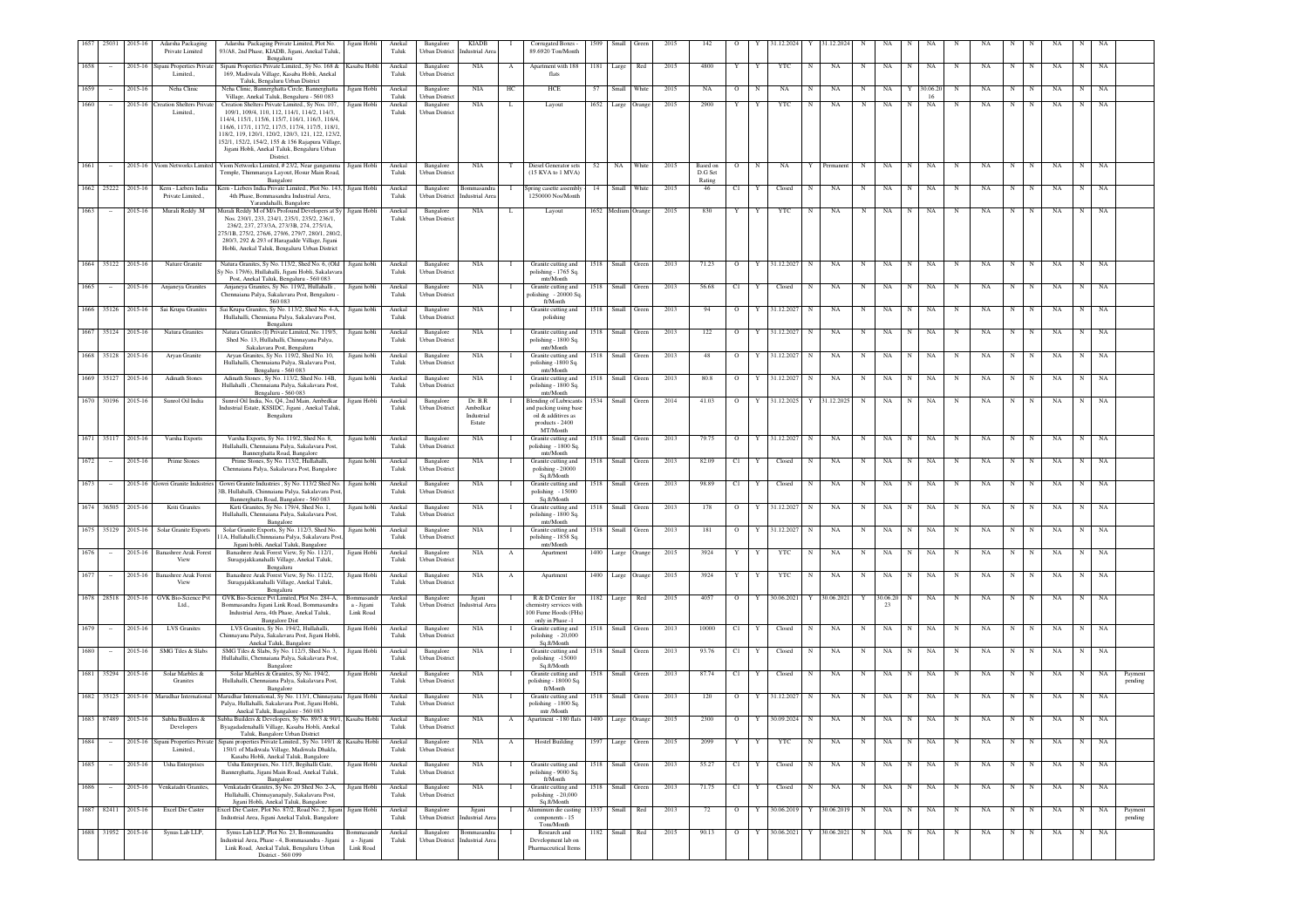| 1657         |               | 25031 2015-16                 | Adarsha Packaging<br>Private Limited                                     | Adarsha Packaging Private Limited, Plot No.<br>93/A8, 2nd Phase, KIADB, Jigani, Anekal Taluk,<br>Bengaluru                                                                                                                                                                                                                                                                 | Jigani Hobli                 | Anekal<br>Taluk           | Bangalore<br><b>Urban District</b>                         | <b>KIADB</b><br>Industrial Area |              | Corrugated Boxes -<br>89.6920 Ton/Month                                         | 1509         | Small              | Green            | 2015         | 142                 | $\circ$            |   | 31.12.2024                         | 31.12.202   |            | NA       |        | NA             |        | NA        |        |            | NA          | NA                 |                    |
|--------------|---------------|-------------------------------|--------------------------------------------------------------------------|----------------------------------------------------------------------------------------------------------------------------------------------------------------------------------------------------------------------------------------------------------------------------------------------------------------------------------------------------------------------------|------------------------------|---------------------------|------------------------------------------------------------|---------------------------------|--------------|---------------------------------------------------------------------------------|--------------|--------------------|------------------|--------------|---------------------|--------------------|---|------------------------------------|-------------|------------|----------|--------|----------------|--------|-----------|--------|------------|-------------|--------------------|--------------------|
| 1658         |               |                               | 2015-16 Sipani Properties Private<br>Limited.                            | Sipani Properties Private Limited., Sy No. 168 & Kasaba Hobl<br>169, Madiwala Village, Kasaba Hobli, Anekal<br>Taluk, Bengaluru Urban District                                                                                                                                                                                                                             |                              | Anckal<br>Taluk           | Bangalore<br><b>Urban District</b>                         | <b>NIA</b>                      |              | Apartment with 188<br>flats                                                     |              | 1181 Large         | Red              | 2015         | 4800                |                    |   | YTC                                | NA          | N          | NA       | N      | NA             | N      | NA        | N      |            | NA          | <b>NA</b>          |                    |
| 1659         |               | 2015-16                       | Neha Clinic                                                              | Neha Clinic, Bannerghatta Circle, Bannerghatta<br>Village, Anekal Taluk, Bengaluru - 560 083                                                                                                                                                                                                                                                                               | Jigani Hobli                 | Anckal<br>Taluk           | Bangalore<br><b>Urban District</b>                         | <b>NIA</b>                      | HC           | HCE                                                                             | 57           | Small              | White            | 2015         | <b>NA</b>           | $\circ$            | N | NA<br>Ν                            | NA          | N          | NA       |        | 30.06.20<br>16 | N      | <b>NA</b> | N      | N          | NA          | <b>NA</b>          |                    |
| 1660         |               | 2015-16                       | <b>Creation Shelters Priva</b><br>Limited.                               | Creation Shelters Private Limited., Sy Nos. 107,<br>109/1, 109/4, 110, 112, 114/1, 114/2, 114/3,<br>114/4, 115/1, 115/6, 115/7, 116/1, 116/3, 116/4,<br>116/6, 117/1, 117/2, 117/3, 117/4, 117/5, 118/1<br>118/2, 119, 120/1, 120/2, 120/3, 121, 122, 123/2<br>152/1, 152/2, 154/2, 155 & 156 Rajapura Village<br>Jigani Hobli, Anekal Taluk, Bengaluru Urban<br>District. | Jigani Hobli                 | Anekal<br>Taluk           | Bangalore<br>Urban District                                | NIA                             |              | Layout                                                                          | 1652         | Large              | <b>Drang</b>     | 2015         | 2900                |                    |   | <b>YTC</b>                         | NA          |            | NA       |        | NA             |        | NA        |        |            | NA          | NA                 |                    |
| 1661         | $\sim$        |                               |                                                                          | 2015-16 Viom Networks Limited Viom Networks Limited, #23/2, Near gangamma<br>Temple, Thimmaraya Layout, Hosur Main Road                                                                                                                                                                                                                                                    | Jigani Hobli                 | Anekal<br>Taluk           | Bangalore<br><b>Urban Distric</b>                          | NIA                             |              | <b>Diesel Generator sets</b><br>(15 KVA to 1 MVA                                | 52           | NA                 | White            | 2015         | Based on<br>D.G Set | $\circ$            | N | NA                                 | Permanent   | N          | NA       |        | NA             | N      | NA        |        |            | NA          | N                  |                    |
|              | 1662 25222    | 2015-16                       | Kern - Liebers India<br>Private Limited.,                                | Bangalore<br>Kern - Liebers India Private Limited., Plot No. 143, Jigani Hobli<br>4th Phase, Bommasandra Industrial Area,                                                                                                                                                                                                                                                  |                              | Anekal<br>Taluk           | Bangalore<br>Urban District                                | Bom<br>asandra<br>ndustrial Are |              | Spring casette assembly<br>1250000 Nos/Month                                    | 14           | Small              | White            | 2015         | Rating<br>46        | C1                 |   | Closed                             | NA          |            | NA       |        | NA             |        | NA        |        |            | NA          |                    |                    |
| 1663         |               | 2015-16                       | Murali Reddy .M                                                          | Yarandahalli, Bangalore<br>Murali Reddy M of M/s Profound Developers at Sy<br>Nos. 230/1, 233, 234/1, 235/1, 235/2, 236/1,<br>236/2, 237, 273/3A, 273/3B, 274, 275/1A,<br>275/1B. 275/2. 276/6. 279/6. 279/7. 280/1. 280/2<br>280/3 292 & 293 of Haragadde Village, Jigani                                                                                                 | Jigani Hobli                 | Anekal<br>Taluk           | Bangalore<br><b>Urban District</b>                         | <b>NIA</b>                      | $\mathbf{L}$ | Layout                                                                          |              | 1652 Medium Orange |                  | 2015         | 830                 |                    |   | <b>YTC</b><br>N                    | NA          |            | NA       |        | NA             | N      | NA        |        |            | NA          | NA                 |                    |
|              |               | 1664 35122 2015-16            | Nature Granite                                                           | Hobli, Anekal Taluk, Bengaluru Urban District<br>Natura Granites, Sv No. 113/2, Shed No. 6, (Old                                                                                                                                                                                                                                                                           | Jigani hobli                 | Anekal                    | Bangalore                                                  | <b>NIA</b>                      |              | Granite cutting and                                                             | 1518         | Small Green        |                  | 2013         | 71.23               | $\circ$            | Y | 31.12.2027<br>N                    | NA          | N          | NA       | N      | NA             | N      | NA        | N      | N          | NA          | <b>NA</b><br>N     |                    |
| 1665         |               | 2015-16                       | Anjaneya Granites                                                        | y No. 179/6), Hullahalli, Jigani Hobli, Sakalavar<br>Post, Anekal Taluk, Bengaluru - 560 083<br>Anjaneya Granites, Sy No. 119/2, Hullahalli,                                                                                                                                                                                                                               | Jigani hobli                 | Taluk<br>Anekal           | <b>Urban Distric</b><br>Bangalore                          | <b>NIA</b>                      |              | polishing - 1765 Sq.<br>mtr/Month<br>Granite cutting and                        | 1518         | Small              | Green            | 2013         | 56.68               | C1                 | Y | Closed<br>N                        | NA          | N          | NA       | N      | NA             | N      | <b>NA</b> | N      | N          | NA.         | <b>NA</b><br>N     |                    |
| 1666         | 35126         | 2015-16                       | Sai Krupa Granites                                                       | Chennaiana Palya, Sakalavara Post, Bengaluru<br>560.083<br>Sai Krupa Granites, Sy No. 113/2, Shed No. 4-A,                                                                                                                                                                                                                                                                 | Jigani hobli                 | Taluk<br>Anekal           | <b>Urban Distric</b><br>Bangalore                          | <b>NIA</b>                      |              | polishing - 20000 So<br>ft/Month<br>Granite cutting and                         | 1518         | Small              | Green            | 2013         | 94                  | $\circ$            | Y | 31.12.2027<br>N                    | $_{\rm NA}$ | N          | NA       | N      | $_{\rm NA}$    | N      | NA        | N      |            | NA          | $_{\rm NA}$<br>N   |                    |
| 1667         |               | 35124 2015-16                 | Natura Granites                                                          | Hullahalli, Chenniana Palva, Sakalayara Post,<br>Bengaluru<br>Natura Granites (I) Private Limited, No. 119/5,                                                                                                                                                                                                                                                              | Jigani hobli                 | Taluk<br>Anekal           | <b>Urban District</b><br>Bangalore                         | $_{\rm NIA}$                    |              | polishing<br>Granite cutting and                                                |              | 1518 Small         | Green            | 2013         | 122                 | $\circ$            |   | 31.12.2027<br>N                    | NA          | N          | NA       | N      | $_{\rm NA}$    | N      | NA        | N      | N          | NA          | NA<br>N            |                    |
|              |               | 1668 35128 2015-16            | Aryan Granite                                                            | Shed No. 13, Hullahalli, Chinnayana Palya,<br>Sakalavara Post, Bengaluru<br>Arvan Granites, Sv No. 119/2, Shed No. 10.                                                                                                                                                                                                                                                     | Jigani hobli                 | Taluk<br>Anekal           | Urban Distric<br>Bangalore                                 | <b>NIA</b>                      |              | polishing - 1800 Sq.<br>mtr/Month<br>Granite cutting and                        | 1518         | Small              | Green            | 2013         | 48                  | $\circ$            |   | 31.12.2027<br>N                    | NA          | N          | NA       | N      | NA             | N      | NA        | N      | N          | NA          | NA<br>N            |                    |
|              |               | 1669 35127 2015-16            | <b>Adinath Stones</b>                                                    | Hullahalli, Chennaiana Palya, Skalavara Post,<br>Bengaluru - 560 083<br>Adinath Stones, Sy No. 113/2, Shed No. 14B,<br>Hullahalli , Chennaiana Palva, Sakalayara Post                                                                                                                                                                                                      | Jigani hobli                 | Taluk<br>Anekal           | <b>Urban District</b><br>Bangalore                         | <b>NIA</b>                      |              | polishing -1800 Sq.<br>mtr/Month<br>Granite cutting and                         |              | 1518 Small Green   |                  | 2013         | 80.8                | $\circ$            |   | 31.12.2027<br>N                    | NA          | N          | NA       | N      | NA             | N      | NA        | N      |            | NA          | <b>NA</b><br>N     |                    |
|              | 1670 30196    | 2015-16                       | Sunrol Oil India                                                         | Bengaluru - 560 083<br>Sunrol Oil India, No, Q4, 2nd Main, Ambedkar<br>Industrial Estate, KSSIDC, Jigani, Anekal Taluk,                                                                                                                                                                                                                                                    | Jigani Hobl                  | Taluk<br>Anekal<br>Taluk  | <b>Urban Distric</b><br>Bangalore<br><b>Urban District</b> | Dr. B.R<br>Ambedkar             |              | polishing - 1800 Sq.<br>mtr/Month<br><b>Blending of Lubricants</b>              | 1534         | Small              | Green            | 2014         | 41.03               | $\circ$            |   | 31.12.2025<br>Y                    | 31.12.2025  |            | NA.      |        | NA             |        | NA        | N      |            | NA          | NA                 |                    |
|              |               |                               |                                                                          | Bengaluru                                                                                                                                                                                                                                                                                                                                                                  |                              |                           |                                                            | Industrial<br>Estate            |              | and packing using base<br>oil & additives as<br>products - 2400<br>MT/Month     |              | 1518 Small Green   |                  |              |                     |                    |   |                                    |             |            |          |        |                |        |           |        |            |             |                    |                    |
|              |               | 1671 35117 2015-16            | Varsha Exports                                                           | Varsha Exports, Sy No. 119/2, Shed No. 8,<br>Hullahalli, Chennaiana Palva, Sakalayara Post.<br>Bannerghatta Road, Bangalore                                                                                                                                                                                                                                                | Jigani hobli                 | Anckal<br>Taluk           | Bangalore<br><b>Urban District</b>                         | <b>NIA</b>                      |              | Granite cutting and<br>polishing - 1800 Sq.<br>mtr/Month                        |              |                    |                  | 2013         | 79.75               | $\circ$            | Y | 31.12.2027<br>N                    | NA          | N          | NA       | N      | NA             | N      | NA        | N      | N          | NA          | <b>NA</b>          |                    |
| 1672         |               | 2015-16                       | <b>Prime Stones</b>                                                      | Prime Stones, Sy No. 113/2, Hullahalli,<br>Chennaiana Palya, Sakalavara Post, Bangalore                                                                                                                                                                                                                                                                                    | Jigani hobli                 | Anekal<br>Taluk           | Bangalore<br><b>Urban Distric</b>                          | <b>NIA</b>                      |              | Granite cutting and<br>$n$ olishin $\sigma$ - 20000<br>Sq.ft/Month              | 1518         | Small              | Green            | 2013         | 82.09               | Cl                 |   | Closed<br>N                        | <b>NA</b>   | N          | NA.      | N      | NA             | N      | NA        | N      |            | <b>NA</b>   | NA                 |                    |
| 1673         |               |                               | 2015-16 Gowri Granite Industrie                                          | Gowri Granite Industries, Sy No. 113/2 Shed No.<br>3B, Hullahalli, Chinnaiana Palya, Sakalavara Post<br>Bannerghatta Road, Bangalore - 560 083                                                                                                                                                                                                                             | Jigani hobl                  | Anekal<br>Taluk           | Bangalor<br>Urban Distric                                  | NIA                             |              | Granite cutting and<br>polishing - 15000<br>Sq.ft/Month                         |              | 1518 Small         | Green            | 2013         | 98.89               | C1                 |   | Closed<br>N                        | NA          |            | NA       |        | NA             | N      | NA        | N      |            | NA          | NA                 |                    |
|              | 1674 36505    | 2015-16<br>1675 35129 2015-16 | Kriti Granites<br>Solar Granite Exports                                  | Kirti Granites, Sy No. 179/4, Shed No. 1,<br>Hullahalli, Chennaiana Palya, Sakalavara Post,<br>Bangalore<br>Solar Granite Exports, Sv No. 112/3, Shed No.                                                                                                                                                                                                                  | Jigani hobli<br>Jigani hobli | Anekal<br>Taluk<br>Anekal | Bangalore<br>Urban Distric                                 | <b>NIA</b><br><b>NIA</b>        |              | Granite cutting and<br>polishing - 1800 Sq.<br>mtr/Month<br>Granite cutting and | 1518<br>1518 | Small<br>Small     | Green<br>Green   | 2013<br>2013 | 178<br>181          | $\circ$<br>$\circ$ | Y | 31.12.2027<br>N<br>31.12.2027<br>N | NA<br>NA    | N          | NA<br>NA | N      | NA<br>NA       | N      | NA<br>NA  | N<br>N |            | NA          | NA<br>N<br>NA<br>N |                    |
| 1676         | $\sim$        | 2015-16                       | <b>Banashree Arak Forest</b>                                             | 1A, Hullahalli, Chinnaiana Palya, Sakalavara Pos<br>Jigani hobli, Anekal Taluk, Bangalore<br>Banashree Arak Forest View, Sy No. 112/1,                                                                                                                                                                                                                                     | Jigani Hobli                 | Taluk<br>Anekal           | Bangalore<br><b>Urban Distric</b><br>Bangalore             | <b>NIA</b>                      | $\mathbf{A}$ | polishing - 1858 Sq.<br>mtr/Month<br>Apartment                                  | 1400         | Large              | Orange           | 2015         | 3924                | Y                  | Y | <b>YTC</b><br>N                    | NA          | N          | NA       | N      | NA             | N<br>N | <b>NA</b> | N      | N<br>N     | NA<br>NA    | <b>NA</b><br>N     |                    |
| 1677         | ÷             | 2015-16                       | View<br><b>Banashree Arak Forest</b>                                     | Suragajakkanahalli Village, Anekal Taluk,<br>Bengaluru<br>Banashree Arak Forest View, Sy No. 112/2,                                                                                                                                                                                                                                                                        | Jigani Hobli                 | Taluk<br>Anekal           | Urban Distric<br>Bangalore                                 | $_{\rm NIA}$                    | $\mathbf{A}$ | Apartment                                                                       |              | 1400 Large         | Orange           | 2015         | 3924                | Y                  |   | <b>YTC</b><br>N                    | $_{\rm NA}$ | $_{\rm N}$ | NA       | N      | $_{\rm NA}$    | N      | NA        | N      |            | $_{\rm NA}$ | NA<br>N            |                    |
|              | 1678 28518    | 2015-16                       | View<br>GVK Bio-Science Pvt                                              | Suragajakkanahalli Village, Anekal Taluk,<br>Bengaluru<br>GVK Bio-Science Pvt Limited, Plot No. 284-A,                                                                                                                                                                                                                                                                     | Bommasand                    | Taluk<br>Anekal           | Urban Distric<br>Bangalore                                 | Jigani                          |              | R & D Center for                                                                | 1182         | Large              | Red              | 2015         | 4057                | $\circ$            |   | 30.06.2021<br>Y                    | 30.06.2021  |            | 30.06.20 |        | NA             | N      | NA        | N      |            | NA          | NA                 |                    |
|              |               |                               | Ltd.                                                                     | Bommasandra Jigani Link Road, Bommasandra<br>Industrial Area, 4th Phase, Anekal Taluk,<br><b>Bangalore Dist</b>                                                                                                                                                                                                                                                            | a - Jigani<br>Link Road      | Taluk                     | <b>Urban District</b>                                      | dustrial Ar                     |              | hemistry services with<br>00 Fume Hoods (FHs<br>only in Phase -1                |              |                    |                  |              |                     |                    |   |                                    |             |            | 23       |        |                |        |           |        |            |             |                    |                    |
| 1679         |               | 2015-16                       | <b>LVS</b> Granites                                                      | LVS Granites, Sy No. 194/2, Hullahalli,<br>Chinnayana Palya, Sakalavara Post, Jigani Hobli,<br>Anekal Taluk, Bangalore                                                                                                                                                                                                                                                     | Jigani Hobl                  | Anekal<br>Taluk           | Bangalore<br>Urban Distric                                 | <b>NIA</b>                      |              | Granite cutting and<br>polishing - 20,000<br>Sq.ft/Month                        | 1518         | Small              | Greet            | 2013         | 10000               | C1                 |   | Closed<br>N                        | NA          | N          | NA       | N      | $_{\rm NA}$    | N      | NA        | N      | N          | NA          | N<br>NA            |                    |
| 1680         | $\sim$        | 2015-16                       | SMG Tiles & Slabs                                                        | SMG Tiles & Slabs, Sv No. 112/3, Shed No. 3<br>Hullahallii, Chennaiana Palya, Sakalavara Post<br>Bangalore                                                                                                                                                                                                                                                                 | Jigani Hobli                 | Anekal<br>Taluk           | Bangalore<br>Urban Distric                                 | NIA                             |              | Granite cutting and<br>polishing -15000<br>Sq.ft/Month                          |              | 1518 Small         | Green            | 2013         | 93.76               | C1                 | Y | Closed<br>N                        | NA          | N          | NA       | N      | NA             | N      | NA        | N      | $_{\rm N}$ | NA          | NA<br>N            |                    |
| 1681         | 35294         | 2015-16                       | Solar Marbles &<br>Granites                                              | Solar Marbles & Granites, Sy No. 194/2,<br>Hullahalli, Chennaiana Palya, Sakalavara Post<br>Bangalore                                                                                                                                                                                                                                                                      | Jigani Hobli                 | Anekal<br>Taluk           | Bangalore<br>Urban Distric                                 | <b>NIA</b>                      |              | Granite cutting and<br>polishing - 18000 Sq<br>ft/Month                         | 1518         | Small              | Green            | 2013         | 87.74               | C1                 | Y | Closed<br>N                        | NA          | N          | NA       | N      | $_{\rm NA}$    | N      | <b>NA</b> | N      | N          | NA          | <b>NA</b><br>N     | Payment<br>pending |
| 1682         | 35125         |                               | 2015-16 Marudhar International                                           | Marudhar International, Sy No. 113/1, Chinnayana<br>Palya Hullahalli Sakalayara Post Jigani Hobli<br>Anekal Taluk, Bangalore - 560 083                                                                                                                                                                                                                                     | Jigani Hobli                 | Anekal<br>Taluk           | Bangalore<br><b>Urban District</b>                         | NIA                             |              | Granite cutting and<br>polishing - 1800 Sq<br>mtr/Month                         | 1518         | Small              | Green            | 2013         | 120                 | $\circ$            | Y | 31.12.2027<br>N                    | NA          | N          | NA       | N      | NA             | N      | NA        | N      | N          | NA          | NA<br>N            |                    |
|              |               | 1683 87489 2015-16            | Subha Builders &<br>Developers                                           | Subha Builders & Developers, Sy No. 89/3 & 90/1, Kasaba Hobli<br>Byagadadenahalli Village, Kasaba Hobli, Anekal<br>Taluk Bangalore Urban District                                                                                                                                                                                                                          |                              | Anekal<br>Taluk           | Bangalore<br><b>Urban District</b>                         | NIA                             | A            | Apartment - 180 flats                                                           | 1400         | Large              | Orange           | 2015         | 2300                | $\circ$            |   | 30.09.2024<br>N                    | NA          |            | NA       |        | NA             |        | NA        |        |            | NA          |                    |                    |
| 1684<br>1685 |               | 2015-16                       | 2015-16 Sipani Properties Private<br>Limited.<br><b>Usha Enterprises</b> | Sipani properties Private Limited., Sy No. 149/1 & Kasaba Hobli<br>150/1 of Madiwala Village, Madiwala Dhakla,<br>Kasaba Hobli, Anekal Taluk, Bangalore<br>Usha Enterprises, No. 11/3. Begihalli Gate.                                                                                                                                                                     | Jigani Hobli                 | Anekal<br>Taluk<br>Anckal | Bangalore<br><b>Urban District</b><br>Bangalore            | NIA<br><b>NIA</b>               | A            | <b>Hostel Building</b><br>Granite cutting and                                   |              | 1518 Small Green   | 1597 Large Green | 2015<br>2013 | 2099<br>55.27       |                    | Y | YTC<br>Closed                      | NA<br>NA    | N          | NA<br>NA | N      | NA<br>NA       | N<br>N | NA<br>NA  | N      |            | NA<br>NA    | NA<br><b>NA</b>    |                    |
| 1686         | $\rightarrow$ | 2015-16                       | Venkatadri Granites,                                                     | Bannerghatta, Jigani Main Road, Anekal Taluk,<br>Bangalore<br>Venkatadri Granites, Sy No. 20 Shed No. 2-A,                                                                                                                                                                                                                                                                 | Jigani Hobli                 | Taluk<br>Anekal           | <b>Urban District</b><br>Bangalore                         | NIA                             |              | polishing - 9000 Sq.<br>ft/Month<br>Granite cutting and                         | 1518         | Small              | Green            | 2013         | 71.75               | C1<br>Cl           |   | N<br>Closed<br>N                   | NA          | N          | NA       | N<br>N | NA             | N      | NA        | N      |            | NA          | <b>NA</b><br>N     |                    |
|              |               | 1687 82411 2015-16            | <b>Excel Die Caster</b>                                                  | Hullahalli, Chinnayanapaly, Sakalavara Post,<br>Jigani Hobli, Anekal Taluk, Bangalore<br>Excel Die Caster, Plot No. 87/2, Road No. 2, Jigani Jigani Hobli                                                                                                                                                                                                                  |                              | Taluk<br>Anekal           | <b>Urban District</b><br>Bangalore                         | Jigani                          |              | polishing - 20,000<br>Sq.ft/Month<br>Aluminum die casting                       | 1337         | Small              | Red              | 2013         | 72                  | $\circ$            |   | 30.06.2019<br>Y                    | 30.06.2019  | N          | NA       |        | NA             | N      | NA        | N      |            | NA          | NA                 | Payment            |
|              |               | 1688 31952 2015-16            | Synus Lab LLP,                                                           | Industrial Area, Jigani Anekal Taluk, Bangalore<br>Synus Lab LLP, Plot No. 23, Bommasandra                                                                                                                                                                                                                                                                                 | <b>Bommasand</b>             | Taluk<br>Anekal           | Urban District                                             | Industrial Are<br>Bommasandra   |              | components - 15<br>Tons/Month<br>Research and                                   | 1182         | Small              | Red              | 2015         | 90.13               | $\circ$            |   | 30.06.2021<br>Y                    | 30.06.2021  |            | NA       |        | NA             |        | NA        | N      |            | NA          | NA                 | pending            |
|              |               |                               |                                                                          | Industrial Area, Phase - 4, Bommasandra - Jigani<br>Link Road, Anekal Taluk, Bengaluru Urban<br>District - 560 099                                                                                                                                                                                                                                                         | a - Jigani<br>Link Road      | Taluk                     | Bangalore<br>Urban District                                | ndustrial Area                  |              | Development lab on<br>Pharmaceutical Items                                      |              |                    |                  |              |                     |                    |   |                                    |             |            |          |        |                |        |           |        |            |             |                    |                    |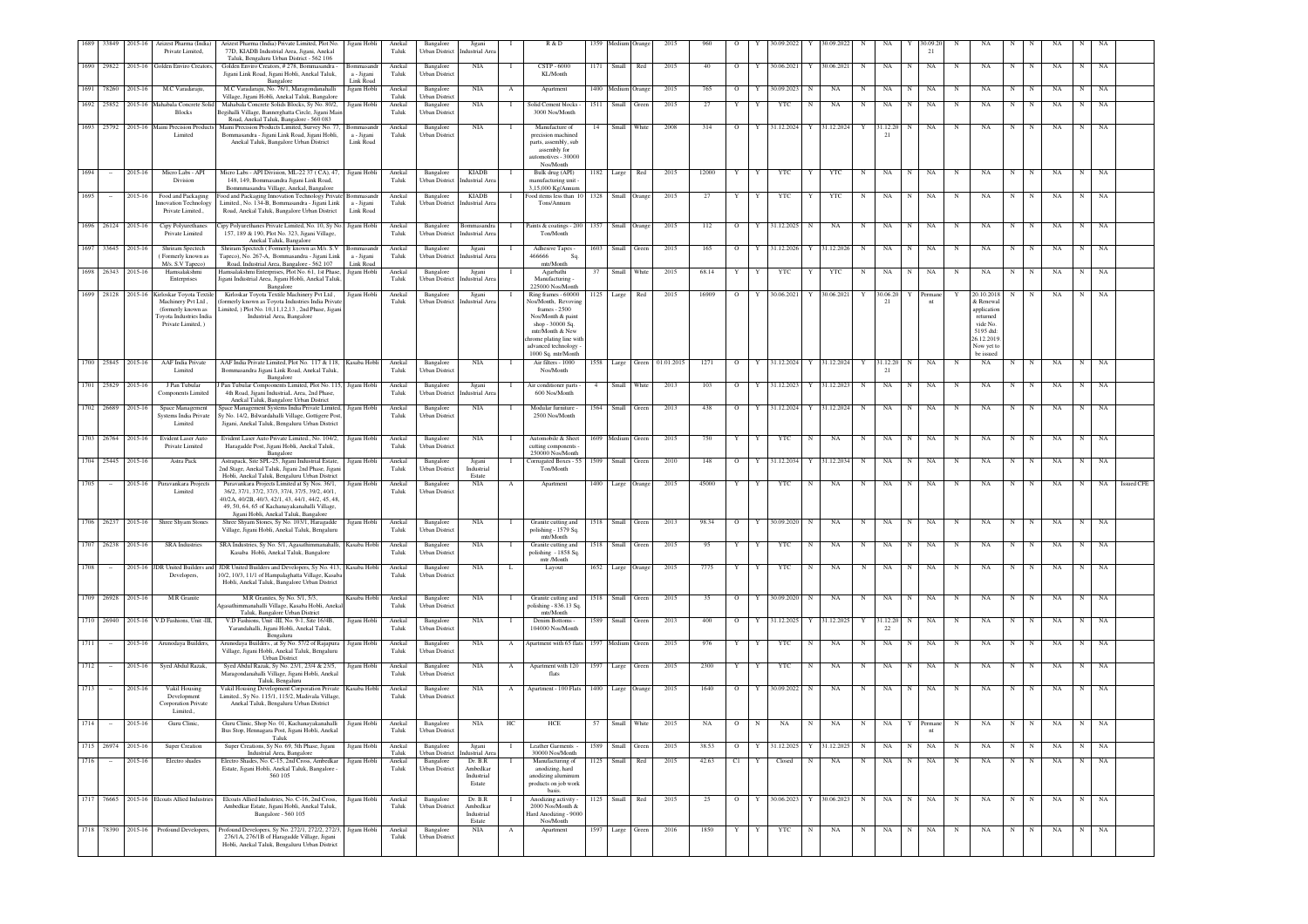|      | 1689               | 33849 | 2015-16            | Arizest Pharma (India)<br>Private Limited,    | Arizest Pharma (India) Private Limited, Plot No<br>77D, KIADB Industrial Area, Jigani, Anekal<br>Taluk, Bengaluru Urban District - 562 106       | Jigani Hobli                         | Anekal<br>Taluk | Bangalore<br>Urban District        | Jigani<br>ndustrial Are               |              | R & D                                           | 1359   | Medium            | Orange             | 2015       | 960         | $\circ$        |            | 30.09.2022      | 30.09.2022   |   | NA             |   | 0.09.2<br>21    |            | NA                       |            |            | NA |            | NA                      |
|------|--------------------|-------|--------------------|-----------------------------------------------|--------------------------------------------------------------------------------------------------------------------------------------------------|--------------------------------------|-----------------|------------------------------------|---------------------------------------|--------------|-------------------------------------------------|--------|-------------------|--------------------|------------|-------------|----------------|------------|-----------------|--------------|---|----------------|---|-----------------|------------|--------------------------|------------|------------|----|------------|-------------------------|
|      |                    |       |                    | 1690 29822 2015-16 Golden Enviro Creators,    | Golden Enviro Creators, # 278, Bommasandra -<br>Jigani Link Road, Jigani Hobli, Anekal Taluk,<br>Bangalore                                       | Bommasand<br>a - Jigani<br>Link Road | Anekal<br>Taluk | Bangalore<br><b>Urban District</b> | <b>NIA</b>                            |              | CSTP - 6000<br>KL/Month                         |        | $1171$ Small      | Red                | 2015       | 40          | $\circ$        |            | 30.06.2021<br>Y | 30.06.2021   | N | NA             | N | NA              | N          | NA                       | N          |            | NA |            | <b>NA</b>               |
|      | 1691               |       | 78260 2015-16      | M.C Varadaraju.                               | M.C Varadaraju, No. 76/1, Maragondanahalli                                                                                                       | Jigani Hobl                          | Anckal          | Bangalore                          | <b>NIA</b>                            | $\mathbf{A}$ | Apartment                                       |        |                   | 1400 Medium Orange | 2015       | 765         | $\circ$        | Y          | 30.09.2023<br>Ν | NA           | N | NA             |   | NA              | N          | NA                       | N          | N          | NA |            | NA                      |
|      | 1692<br>25852      |       |                    | 2015-16 Mahabala Concrete Soli                | Village, Jigani Hobli, Anekal Taluk, Bangalore<br>Mahabala Concrete Solids Blocks, Sy No. 80/2,                                                  | Jigani Hobli                         | Taluk<br>Anekal | Urban Distric<br>Bangalore         | NIA                                   |              | Solid Cement blocks                             | 1511   | Small             | Gree               | 2015       | $2^{\circ}$ |                |            | <b>YTC</b>      | NA           |   | NA             |   | NA              | N          | NA                       |            |            | NA |            | NA                      |
|      |                    |       |                    | Blocks                                        | Begihalli Village, Bannerghatta Circle, Jigani Mai<br>Road, Anekal Taluk, Bangalore - 560 083                                                    |                                      | Taluk           | Urban Distric                      |                                       |              | 3000 Nos/Month                                  |        |                   |                    |            |             |                |            |                 |              |   |                |   |                 |            |                          |            |            |    |            |                         |
|      |                    |       |                    | Limited                                       | 1693 25792 2015-16 Maini Precision Products Maini Precision Products Limited, Survey No. 77<br>Bommasandra - Jigani Link Road, Jigani Hobli,     | <b>Bommasan</b><br>a - Jigani        | Anekal<br>Taluk | Bangalore<br><b>Urban District</b> | NIA                                   |              | Manufacture of<br>precision machined            | 14     | Small             | White              | 2008       | 314         | $\circ$        |            | 31.12.2024<br>Y | 31.12.2024   | Y | 31.12.20<br>21 | N | NA              | N          | NA                       | N          |            | NA | N          | NA                      |
|      |                    |       |                    |                                               | Anekal Taluk, Bangalore Urban District                                                                                                           | Link Road                            |                 |                                    |                                       |              | parts, assembly, sub<br>assembly for            |        |                   |                    |            |             |                |            |                 |              |   |                |   |                 |            |                          |            |            |    |            |                         |
|      |                    |       |                    |                                               |                                                                                                                                                  |                                      |                 |                                    |                                       |              | automotives - 30000<br>Nos/Month                |        |                   |                    |            |             |                |            |                 |              |   |                |   |                 |            |                          |            |            |    |            |                         |
|      | 1694<br>$\sim$     |       | 2015-16            | Micro Labs - API<br>Division                  | Micro Labs - API Division, ML-22 37 (CA), 47, Jigani Hobli<br>148, 149. Bommasandra Jigani Link Road.                                            |                                      | Anekal<br>Taluk | Bangalore<br><b>Urban District</b> | <b>KIADB</b><br>ndustrial Are         | $\mathbf{I}$ | Bulk drug (API)<br>manufacturing unit           |        | 1182 Large        | Red                | 2015       | 12000       | Y              | Y          | <b>YTC</b><br>Y | <b>YTC</b>   | N | NA             | N | NA              | $_{\rm N}$ | NA                       | N          | $_{\rm N}$ | NA | N          | NA                      |
|      |                    |       |                    |                                               | Bommmasandra Village, Anekal, Bangalore                                                                                                          |                                      |                 |                                    |                                       |              | 3,15,000 Kg/Annum                               |        |                   |                    |            |             |                |            |                 |              |   |                |   |                 |            |                          |            |            |    |            |                         |
| 1695 |                    |       | 2015-16            | Food and Packaging<br>Innovation Technology   | Food and Packaging Innovation Technology Private Bommasand<br>Limited No. 134-B Bommasandra - Jigani Link                                        | a - Jigani                           | Anekal<br>Taluk | Bangalore<br><b>Urban District</b> | <b>KIADB</b><br><b>Industrial Are</b> |              | Food items less than 10<br>Tons/Annum           |        | 1328 Small        | Orange             | 2015       | 27          | Y              |            | YTC<br>Y        | YTC          | N | NA             | N | $_{\rm NA}$     | N          | NA                       | N          |            | NA |            | <b>NA</b>               |
|      |                    |       |                    | Private Limited.                              | Road, Anekal Taluk, Bangalore Urban District                                                                                                     | Link Road                            |                 |                                    |                                       |              |                                                 |        |                   |                    |            |             |                |            |                 |              |   |                |   |                 |            |                          |            |            |    |            |                         |
| 1696 | 26124              |       | 2015-16            | Cipy Polyurethanes<br>Private Limited         | Cipy Polyurethanes Private Limited, No. 10, Sy No. Jigani Hobli<br>157, 189 & 190, Plot No. 323, Jigani Village,                                 |                                      | Anekal<br>Taluk | Bangalore<br><b>Urban District</b> | Bommasandra<br>Industrial Are         |              | Paints & coatings - 200<br>Ton/Month            | 1357   | Small             | Orange             | 2015       | 112         | $\circ$        |            | 31.12.2025<br>N | NA           |   | NA             |   | NA              | N          | NA                       |            |            | NA |            |                         |
|      | 1697 33645 2015-16 |       |                    | Shriram Spectech                              | Anekal Taluk, Bangalore<br>Shriram Spectech (Formerly known as M/s. S.V                                                                          | Bommasan                             | Anekal          | Bangalore                          | Jigani                                |              | Adhesive Tapes -                                |        | 1603 Small Green  |                    | 2015       | 165         | $\circ$        |            | 31.12.2026<br>Y | 31.12.2026   | N | NA             | N | NA              | N          | NA                       |            |            | NA |            | NA                      |
|      |                    |       |                    | (Formerly known as<br>M/s. S.V Tapeco)        | Tapeco), No. 267-A, Bommasandra - Jigani Link<br>Road, Industrial Area, Bangalore - 562 107                                                      | a - Jigani<br>Link Road              | Taluk           | Urban District                     | ndustrial Are                         |              | 466666<br>Sq<br>mtr/Month                       |        |                   |                    |            |             |                |            |                 |              |   |                |   |                 |            |                          |            |            |    |            |                         |
|      | 1698 26343         |       | 2015-16            | Hamsalakshmi<br>Enterprises                   | Hamsalakshmi Enterprises, Plot No. 61, 1st Phase,<br>Jigani Industrial Area, Jigani Hobli, Anekal Taluk                                          | Jigani Hobli                         | Anekal<br>Taluk | Bangalore<br><b>Urban District</b> | Jigani<br>Industrial Are              |              | Agarbathi<br>Manufacturing -                    |        | Small             | White              | 2015       | 68.14       |                |            | YTC             | YTC          | N | NA             |   | NA              |            | NA                       | N          |            | NA |            | NA                      |
|      |                    |       |                    | 1699 28128 2015-16 Kirloskar Toyota Textile   | Bangalore<br>Kirloskar Toyota Textile Machinery Pvt Ltd,                                                                                         | Jigani Hobli                         | Anckal          |                                    |                                       |              | 225000 Nos/Month<br>Ring frames - 60000         | 1125   |                   | Red                | 2015       | 16909       |                |            | 30.06.2021      | 30.06.2021   |   | 30.06.20       |   |                 |            | 20.10.2018               | N          |            | NA |            | NA                      |
|      |                    |       |                    | Machinery Pvt Ltd.                            | formerly known as Toyota Industries India Private                                                                                                |                                      | Taluk           | Bangalore<br><b>Urban District</b> | Jigani<br>Industrial Are              |              | Nos/Month, Revoving                             |        | Large             |                    |            |             | $\circ$        | Y          | Y               |              |   | 21             |   | Permane<br>nt   |            | & Renewa                 |            |            |    | N          |                         |
|      |                    |       |                    | (formerly known as<br>Toyota Industries India | imited, ) Plot No. 10,11,12,13, 2nd Phase, Jigan<br>Industrial Area, Bangalore                                                                   |                                      |                 |                                    |                                       |              | frames - 2500<br>Nos/Month & paint              |        |                   |                    |            |             |                |            |                 |              |   |                |   |                 |            | application<br>returned  |            |            |    |            |                         |
|      |                    |       |                    | Private Limited, )                            |                                                                                                                                                  |                                      |                 |                                    |                                       |              | shop - 30000 Sq.<br>mtr/Month & New             |        |                   |                    |            |             |                |            |                 |              |   |                |   |                 |            | vide No.<br>5195 dtd:    |            |            |    |            |                         |
|      |                    |       |                    |                                               |                                                                                                                                                  |                                      |                 |                                    |                                       |              | chrome plating line with<br>advanced technology |        |                   |                    |            |             |                |            |                 |              |   |                |   |                 |            | 26.12.2019<br>Now yet to |            |            |    |            |                         |
|      | 1700 25845 2015-16 |       |                    | AAF India Private                             | AAF India Private Limited, Plot No. 117 & 118, Kasaba Hobli                                                                                      |                                      | Anckal          | Bangalor                           | <b>NIA</b>                            |              | 1000 Sq. mtr/Month<br>Air filters - 1000        |        | 1558 Large        | Green              | 01.01.2015 | 1271        | $\circ$        |            | 31.12.2024      | Y 31.12.2024 | Y | 31.12.20 N     |   | NA              | $_{\rm N}$ | be issued<br>NA          | N          |            | NA | N          | NA                      |
|      |                    |       |                    | Limited                                       | Bommasandra Jigani Link Road, Anekal Taluk,<br>Bangalore                                                                                         |                                      | Taluk           | Urban Distric                      |                                       |              | Nos/Month                                       |        |                   |                    |            |             |                |            |                 |              |   | 21             |   |                 |            |                          |            |            |    |            |                         |
|      | 1701 25829 2015-16 |       |                    | J Pan Tubular<br>Components Limited           | J Pan Tubular Compoonents Limited, Plot No. 115, Jigani Hobli<br>4th Road, Jigani IndustriaL Area, 2nd Phase,                                    |                                      | Anekal<br>Taluk | Bangalore<br>Urban District        | Jigani<br>lustrial Arc                |              | Air conditioner parts -<br>600 Nos/Month        | $\sim$ | Small             | White              | 2013       | 103         | $\circ$        |            | 31.12.2023<br>Y | 31.12.2023   | N | NA             | N | <b>NA</b>       | N          | NA                       | N          |            | NA | N          | <b>NA</b>               |
|      | 1702 26689 2015-16 |       |                    | Space Management                              | Anekal Taluk, Bangalore Urban District<br>Space Management Systems India Private Limited, Jigani Hobli                                           |                                      | Anekal          | Bangalore                          | NIA                                   |              | Modular furniture -                             | 1564   |                   | Small Green        | 2013       | 438         | $\circ$        | Y          | 31.12.2024      | Y 31.12.2024 | N | NA             | N | NA              | N          | NA                       | N          |            | NA | N          | NA                      |
|      |                    |       |                    | Systems India Private                         | Sy No. 14/2, Bilwardahalli Village, Gottigere Post                                                                                               |                                      | Taluk           | <b>Urban Distric</b>               |                                       |              | 2500 Nos/Month                                  |        |                   |                    |            |             |                |            |                 |              |   |                |   |                 |            |                          |            |            |    |            |                         |
|      |                    |       |                    | Limited                                       | Jigani, Anekal Taluk, Bengaluru Urban District                                                                                                   |                                      |                 |                                    |                                       |              |                                                 |        |                   |                    |            |             |                |            |                 |              |   |                |   |                 |            |                          |            |            |    |            |                         |
|      | 1703 26764 2015-16 |       |                    | Evident Laser Auto<br>Private Limited         | Evident Laser Auto Private Limited., No. 104/2.<br>Haragadde Post, Jigani Hobli, Anekal Taluk,                                                   | Jigani Hobli                         | Anckal<br>Taluk | Bangalore<br><b>Urban District</b> | <b>NIA</b>                            |              | Automobile & Sheet<br>cutting components -      |        | 1609 Medium Green |                    | 2015       | 750         |                |            | <b>YTC</b><br>N | NA           | N | NA             | N | NA              | N          | NA                       | N          |            | NA |            | NA                      |
|      | 1704 25445 2015-16 |       |                    | Astra Pack                                    | Bangalore<br>Astrapack, Site SPL-25, Jigani Industrial Estate,                                                                                   | Jigani Hobli                         | Anekal          | Bangalore                          | Jigani                                |              | 250000 Nos/Month<br>Corrugated Boxes - 55       | 1509   | Small             | Green              | 2010       | 148         | $\overline{O}$ |            | 31.12.2034<br>Y | 31.12.2034   | N | NA.            | N | NA              | N          | NA                       | N          |            | NA | N          | NA                      |
|      |                    |       |                    |                                               | 2nd Stage, Anekal Taluk, Jigani 2nd Phase, Jigan<br>Hobli, Anekal Taluk, Bengaluru Urban District                                                |                                      | Taluk           | <b>Urban District</b>              | Industrial<br>Estate                  |              | Ton/Month                                       |        |                   |                    |            |             |                |            |                 |              |   |                |   |                 |            |                          |            |            |    |            |                         |
| 1705 |                    |       | 2015-16            | Puravankara Project<br>Limited                | Puravankara Projects Limited at Sy Nos. 36/1,<br>36/2, 37/1, 37/2, 37/3, 37/4, 37/5, 39/2, 40/1,                                                 | Jigani Hobl                          | Anekal<br>Taluk | Bangalor<br><b>Urban District</b>  | NIA                                   | A            | Apartment                                       |        | 1400 Large        | Orange             | 2015       | 45000       |                |            | <b>YTC</b><br>N | NA           |   | NA             |   | NA              | N          | NA                       | N          |            | NA |            | NA<br><b>Issued CFE</b> |
|      |                    |       |                    |                                               | 40/2A, 40/2B, 40/3, 42/1, 43, 44/1, 44/2, 45, 48,<br>49, 50, 64, 65 of Kachanayakanahalli Village,                                               |                                      |                 |                                    |                                       |              |                                                 |        |                   |                    |            |             |                |            |                 |              |   |                |   |                 |            |                          |            |            |    |            |                         |
|      | 1706 26237         |       | 2015-16            | Shree Shyam Stones                            | Jigani Hobli, Anekal Taluk, Bangalore<br>Shree Shyam Stones, Sy No. 103/1, Haragadde                                                             | Jigani Hobli                         | Anekal          | Bangalore                          | <b>NIA</b>                            |              | Granite cutting and                             |        | 1518 Small        | Green              | 2013       | 98.34       | $\circ$        | Y          | 30.09.2020<br>N | NA           | N | NA             | N | NA              | N          | NA                       | $_{\rm N}$ | N          | NA | $_{\rm N}$ | NA                      |
|      |                    |       |                    |                                               | Village, Jigani Hobli, Anekal Taluk, Bengaluru                                                                                                   |                                      | Taluk           | <b>Urban District</b>              |                                       |              | polishing - 1579 Sq.<br>mtr/Month               |        |                   |                    |            |             |                |            |                 |              |   |                |   |                 |            |                          |            |            |    |            |                         |
|      | 1707 26238 2015-16 |       |                    | <b>SRA</b> Industries                         | SRA Industries, Sy No. 5/1, Agasathimmanahalli,                                                                                                  | Kasaba Hobl                          | Anekal          | Bangalore                          | $_{\rm NIA}$                          |              | Granite cutting and                             | 1518   | Small             | Green              | 2015       | 95          | Y              |            | YTC<br>N        | $_{\rm NA}$  | N | NA             | N | $_{\rm NA}$     | $_{\rm N}$ | NA                       | $_{\rm N}$ | N          | NA | N          | NA                      |
|      |                    |       |                    |                                               | Kasaba Hobli, Anekal Taluk, Bangalore                                                                                                            |                                      | Taluk           | <b>Urban Distric</b>               |                                       |              | polishing - 1858 Sq<br>mtr/Month                |        |                   |                    |            |             |                |            |                 |              |   |                |   |                 |            |                          |            |            |    |            |                         |
| 1708 |                    |       |                    | Developers                                    | 2015-16 JDR United Builders and JDR United Builders and Developers, Sy No. 413, Kasaba Hobl<br>10/2, 10/3, 11/1 of Hampalaghatta Village, Kasaba |                                      | Anekal<br>Taluk | Bangalore<br>Urban District        | <b>NIA</b>                            | L            | Layout                                          |        | 1652 Large        | Orange             | 2015       | 7775        | Y              |            | YTC<br>N        | NA           | N | NA             | N | NA              | N          | NA                       | N          | N          | NA | N          | NA                      |
|      |                    |       |                    |                                               | Hobli, Anekal Taluk, Bangalore Urban District                                                                                                    |                                      |                 |                                    |                                       |              |                                                 |        |                   |                    |            |             |                |            |                 |              |   |                |   |                 |            |                          |            |            |    |            |                         |
|      | 1709 26928         |       | 2015-16            | M.R Granite                                   | M.R Granites, Sy No. 5/1, 5/3,<br>gasathimmanahalli Village, Kasaba Hobli, Aneka                                                                 | Kasaba Hobi                          | Anekal<br>Taluk | Bangalore<br>Urban Distric         | NIA                                   |              | Granite cutting and<br>polishing - 836.13 Sq    | 1518   | Small             | Green              | 2015       | 35          | $\circ$        |            | 30.09.2020<br>N | NA           |   | NA             |   | NA              | N          | NA                       |            |            | NA |            |                         |
|      |                    |       |                    | 1710 26940 2015-16 V.D Fashions, Unit -III,   | Taluk, Bangalore Urban District<br>V.D Fashions, Unit -III, No. 9-1, Site 16/4B.                                                                 | Jigani Hobli                         | Anekal          | Bangalore                          | <b>NIA</b>                            |              | mtr/Month<br>Denim Bottoms -                    |        | 1589 Small Green  |                    | 2013       | 400         | $\circ$        |            | 31.12.2025      | 31.12.2025   | Y | 31.12.20       |   | NA              | N          | NA                       | N          |            | NA | N          | NA                      |
|      |                    |       |                    |                                               | Yarandahalli, Jigani Hobli, Anekal Taluk,<br>Bengaluru                                                                                           |                                      | Taluk           | <b>Urban District</b>              |                                       |              | 104000 Nos/Month                                |        |                   |                    |            |             |                |            |                 |              |   | 22             |   |                 |            |                          |            |            |    |            |                         |
| 1711 |                    |       | 2015-16            | Arunodaya Builders,                           | Arunodaya Builders., at Sv No. 57/2 of Rajapura                                                                                                  | Jigani Hobli                         | Anekal<br>Taluk | Bangalore<br><b>Urban District</b> | <b>NIA</b>                            | $\mathbf{A}$ | Apartment with 65 flats                         | 1597   | Medium Green      |                    | 2015       | 976         |                |            | YTC<br>N        | NA           | N | NA             |   | $_{\rm NA}$     | N          | NA                       | N          |            | NA |            | NA                      |
|      |                    |       |                    |                                               | Village, Jigani Hobli, Anekal Taluk, Bengaluru<br><b>Urban District</b>                                                                          |                                      |                 |                                    |                                       |              |                                                 |        |                   |                    |            |             |                |            |                 |              |   |                |   |                 |            |                          |            |            |    |            |                         |
| 1712 |                    |       | 2015-16            | Syed Abdul Razak,                             | Syed Abdul Razak, Sy No. 23/1, 23/4 & 23/5,<br>Maragondanahalli Village, Jigani Hobli, Anekal                                                    | Jigani Hobli                         | Anekal<br>Taluk | Bangalore<br>Urban Distric         | <b>NIA</b>                            | $\mathbf{A}$ | Apartment with 120<br>flats                     | 1597   | Large             | Green              | 2015       | 2300        |                |            | <b>YTC</b><br>N | NA           | N | NA             | N | NA              | N          | NA                       | N          |            | NA | N          | NA                      |
|      | 1713               |       | 2015-16            | Vakil Housing                                 | Taluk, Bengaluru<br>Vakil Housing Development Corporation Private                                                                                | Kasaba Hob                           | Anekal          | Bangalore                          | NIA                                   | $\mathbf{A}$ | Apartment - 100 Flats                           |        | 1400 Large        | Orange             | 2015       | 1640        | $\circ$        |            | 30.09.2022<br>N | NA           | N | NA             |   | NA              | N          | NA                       | N          |            | NA | N          | NA                      |
|      |                    |       |                    | Development<br>Corporation Private            | .imited., Sy No. 115/1, 115/2, Madivala Village,<br>Anekal Taluk, Bengaluru Urban District                                                       |                                      | Taluk           | Urban District                     |                                       |              |                                                 |        |                   |                    |            |             |                |            |                 |              |   |                |   |                 |            |                          |            |            |    |            |                         |
|      |                    |       |                    | Limited                                       |                                                                                                                                                  |                                      |                 |                                    |                                       |              |                                                 |        |                   |                    |            |             |                |            |                 |              |   |                |   |                 |            |                          |            |            |    |            |                         |
|      | 1714<br>$\sim$     |       | 2015-16            | Guru Clinic,                                  | Guru Clinic, Shop No. 01, Kachanayakanahalli<br>Bus Stop, Hennagara Post, Jigani Hobli, Anekal                                                   | Jigani Hobli                         | Anckal<br>Taluk | Bangalore<br><b>Urban District</b> | <b>NIA</b>                            | HC           | HCE                                             |        | 57 Small White    |                    | 2015       | NA          | $\circ$        | $_{\rm N}$ | NA<br>N         | NA           | N | NA             |   | Y Permane<br>nt | N          | NA                       | N          | $_{\rm N}$ | NA | N          | NA                      |
|      |                    |       | 1715 26974 2015-16 | <b>Super Creation</b>                         | Super Creations, Sy No. 69, 5th Phase, Jigani                                                                                                    | Jigani Hobli                         | Anckal          | Bangalore                          | Jigani                                | $\mathbf{I}$ | Leather Garments                                | 1589   |                   | Small Green        | 2015       | 38.53       | $\circ$        | Y          | 31.12.2025<br>Y | 31.12.2025   | N | NA             | N | NA              | N          | NA                       | N          | N          | NA | N          | NA                      |
|      | 1716               |       | 2015-16            | Electro shades                                | Industrial Area, Bangalore<br>Electro Shades, No. C-15, 2nd Cross, Ambedkar                                                                      | Jigani Hobli                         | Taluk<br>Anekal | <b>Urban District</b><br>Bangalore | <b>Industrial Are</b><br>Dr. B.R      |              | 30000 Nos/Month<br>Manufacturing of             | 1125   | Small             | Red                | 2015       | 42.63       | C1             |            | Closed<br>N     | NA           |   | NA             |   | NA              | N          | NA                       |            |            | NA |            | NA                      |
|      |                    |       |                    |                                               | Estate, Jigani Hobli, Anekal Taluk, Bangalore -<br>560 105                                                                                       |                                      | Taluk           | <b>Urban District</b>              | Ambedkar<br>Industrial                |              | anodizing, hard<br>anodizing aluminum           |        |                   |                    |            |             |                |            |                 |              |   |                |   |                 |            |                          |            |            |    |            |                         |
|      |                    |       |                    |                                               |                                                                                                                                                  |                                      |                 |                                    | Estate                                |              | products on job work<br>basis.                  |        |                   |                    |            |             |                |            |                 |              |   |                |   |                 |            |                          |            |            |    |            |                         |
|      | 1717               |       |                    | 76665 2015-16 Elcoats Allied Industries       | Elcoats Allied Industries, No. C-16, 2nd Cross,<br>Ambedkar Estate, Jigani Hobli, Anekal Taluk,                                                  | Jigani Hobl                          | Anekal<br>Taluk | Bangalore<br><b>Urban District</b> | Dr. B.R<br>Ambedkar                   |              | Anodizing activity -<br>2000 Nos/Month &        | 1125   |                   | Small Red          | 2015       | 25          | $\circ$        | Y          | 30.06.2023<br>Y | 30.06.2023   | N | NA             | N | NA              | N          | NA                       | N          |            | NA | N          | NA                      |
|      |                    |       |                    |                                               | Bangalore - 560 105                                                                                                                              |                                      |                 |                                    | Industrial                            |              | Hard Anodizing - 9000                           |        |                   |                    |            |             |                |            |                 |              |   |                |   |                 |            |                          |            |            |    |            |                         |
|      |                    |       |                    | 1718 78390 2015-16 Profound Developers,       | Profound Developers, Sy No. 272/1, 272/2, 272/3, Jigani Hobli<br>276/1A, 276/1B of Haragadde Village, Jigani                                     |                                      | Anekal          | Bangalore                          | Estate<br>NIA                         |              | Nos/Month<br>Apartment                          |        | 1597 Large Green  |                    | 2016       | 1850        | Y              | Y          | YTC<br>N        | NA           | N | NA             | N | NA              | N          | NA                       | N          |            | NA | N          | NA                      |
|      |                    |       |                    |                                               | Hobli, Anekal Taluk, Bengaluru Urban District                                                                                                    |                                      | Taluk           | <b>Urban District</b>              |                                       |              |                                                 |        |                   |                    |            |             |                |            |                 |              |   |                |   |                 |            |                          |            |            |    |            |                         |
|      |                    |       |                    |                                               |                                                                                                                                                  |                                      |                 |                                    |                                       |              |                                                 |        |                   |                    |            |             |                |            |                 |              |   |                |   |                 |            |                          |            |            |    |            |                         |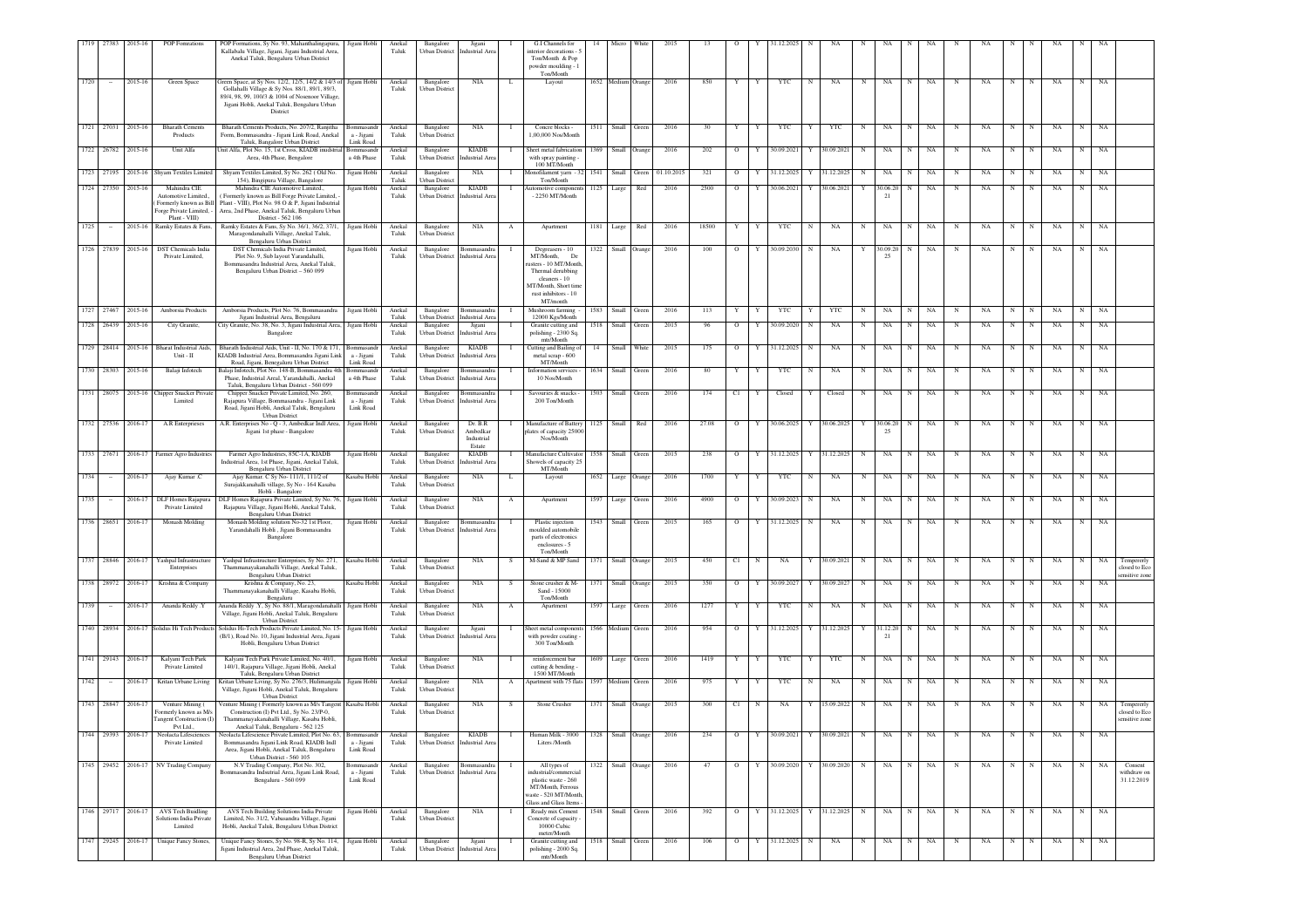| 1719 |            | 27383 2015-16      | POP Fomrations                                                                                          | POP Formations, Sy No. 93, Mahanthalingapura,<br>Kallabalu Village, Jigani, Jigani Industrial Area,<br>Anekal Taluk, Bengaluru Urban District                                                                     | Jigani Hobli                                 | Anckal<br>Taluk | Bangalore<br><b>Urban District</b> | Jigani<br>ndustrial Are                 |              | G.I Channels for<br>interior decorations -<br>Ton/Month & Pop<br>powder moulding<br>Ton/Month                                                             | 14   | Micro              | White | 2015       | 13    | $\circ$ |            | 31.12.2025   |   | NA                                    |   |                   |             |             |            |             |            |                            |             |            |             |                                               |
|------|------------|--------------------|---------------------------------------------------------------------------------------------------------|-------------------------------------------------------------------------------------------------------------------------------------------------------------------------------------------------------------------|----------------------------------------------|-----------------|------------------------------------|-----------------------------------------|--------------|-----------------------------------------------------------------------------------------------------------------------------------------------------------|------|--------------------|-------|------------|-------|---------|------------|--------------|---|---------------------------------------|---|-------------------|-------------|-------------|------------|-------------|------------|----------------------------|-------------|------------|-------------|-----------------------------------------------|
| 1720 | $\sim$     | 2015-16            | Green Space                                                                                             | Green Space, at Sy Nos. 12/2, 12/5, 14/2 & 14/3 of<br>Gollahalli Village & Sv Nos. 88/1, 89/1, 89/3,<br>89/4, 98, 99, 100/3 & 1004 of Nosenoor Village<br>Jigani Hobli, Anekal Taluk, Bengaluru Urban<br>District | Jigani Hobli                                 | Anekal<br>Taluk | Bangalore<br><b>Urban Distric</b>  | <b>NIA</b>                              | L            | Layout                                                                                                                                                    |      | 1652 Medium Orange |       | 2016       | 850   |         |            | <b>YTC</b>   | N | NA                                    | N | NA                | N           | NA          | N          | NA          | N          | N                          | NA          | N          | NA          |                                               |
|      |            | 1721 27031 2015-16 | <b>Bharath Cements</b><br>Products                                                                      | Bharath Cements Products, No. 207/2, Ranjitha<br>Form, Bommasandra - Jigani Link Road, Anekal<br>Taluk, Bangalore Urban District                                                                                  | <b>Bommasand</b><br>a - Jigani<br>Link Road  | Anekal<br>Taluk | Bangalore<br><b>Urban Distric</b>  | $_{\rm NIA}$                            |              | Concre blocks -<br>1.00.000 Nos/Month                                                                                                                     |      | 1511 Small Green   |       | 2016       | 30    | Y       | Y          | YTC          |   | YTC                                   | N | NA                | ${\bf N}$   | NA          | N          | $_{\rm NA}$ | $_{\rm N}$ | N                          | $_{\rm NA}$ | N          | $_{\rm NA}$ |                                               |
|      |            | 1722 26782 2015-16 | Unit Alfa                                                                                               | Unit Alfa, Plot No. 15, 1st Cross, KIADB inudstria<br>Area, 4th Phase, Bengalore                                                                                                                                  | Bommasandı<br>a 4th Phase                    | Anekal<br>Taluk | Bangalore<br><b>Urban District</b> | KIADB<br>ndustrial Are                  |              | Sheet metal fabrication<br>with spray painting<br>100 MT/Month                                                                                            | 1369 | Small Orang        |       | 2016       | 202   | $\circ$ |            | 30.09.2021   |   | 30.09.2021                            | N | NA                | N           | NA          | N          | NA          | N          | N                          | NA          |            | $_{\rm NA}$ |                                               |
|      |            |                    | 1723 27195 2015-16 Shyam Textiles Limited                                                               | Shyam Textiles Limited, Sy No. 262 (Old No.<br>154), Bingipura Village, Bangalore                                                                                                                                 | Jigani Hobli                                 | Anckal<br>Taluk | Bangalore<br><b>Urban District</b> | NIA                                     |              | Monofilament yarn - 3<br>Ton/Month                                                                                                                        |      | 1541 Small Green   |       | 01.10.2015 | 321   | $\circ$ | Y          | 31.12.2025   |   | 31.12.2025                            | N | NA                | N           | NA          | N          | NA          | N          | N                          | NA          | N          | NA          |                                               |
| 1724 | 27350      | 2015-16            | Mahindra CIE<br>Automotive Limited.<br>Formerly known as Bil<br>Forge Private Limited,<br>Plant - VIII) | Mahindra CIE Automotive Limited.,<br>Formerly known as Bill Forge Private Limited.<br>Plant - VIII), Plot No. 98 O & P, Jigani Indsutrial<br>Area, 2nd Phase, Anekal Taluk, Bengaluru Urban<br>District - 562 106 | Jigani Hobl                                  | Anekal<br>Taluk | Bangalore<br><b>Urban District</b> | <b>KIADB</b><br>ndustrial Are           |              | utomotive components<br>$-2250$ MT/Month                                                                                                                  | 1125 | Large              | Red   | 2016       | 2500  | $\circ$ |            | 0.06.2021    |   | 60.06.2021                            |   | 0.06.20<br>21     |             | NA          |            | NA          |            |                            | NA          |            | NA          |                                               |
| 1725 | $\sim$     |                    | 2015-16 Ramky Estates & Fans,                                                                           | Ramky Estates & Fans, Sy No. 36/1, 36/2, 37/1,<br>Maragondanahalli Village, Anekal Taluk,<br>Bengaluru Urban District                                                                                             | Jigani Hobli                                 | Anekal<br>Taluk | Bangalore<br><b>Urban Distric</b>  | NIA                                     | A            | Apartment                                                                                                                                                 |      | 1181 Large         | Red   | 2016       | 18500 | Y       |            | YTC          |   | NA                                    | N | NA                |             | NA          | N          | NA          | N          |                            | NA          | N          | NA          |                                               |
|      | 1726 27839 | 2015-16            | <b>DST</b> Chemicals India<br>Private Limited.                                                          | DST Chemicals India Private Limited,<br>Plot No. 9, Sub layout Yarandahalli.<br>Bommasandra Industrial Area, Anekal Taluk,<br>Bengaluru Urban District - 560 099                                                  | Jigani Hobli                                 | Anekal<br>Taluk | Bangalore<br><b>Urban District</b> | Bommasandra<br><b>Industrial Area</b>   |              | Degreasers - 10<br>MT/Month. De<br>usters - 10 MT/Month<br>Thermal derubbing<br>cleaners - 10<br>MT/Month, Short time<br>rust inhibitors - 10<br>MT/month |      | 1322 Small Orange  |       | 2016       | 100   | $\circ$ |            | 30.09.2030   |   | NA                                    |   | 30.09.20<br>25    |             | NA          | N          | NA          | N          |                            | NA          |            | NA          |                                               |
| 1727 | 27467      | 2015-16            | Amborsia Products                                                                                       | Amborsia Products, Plot No. 76, Bommasandra<br>Jigani Industrial Area, Bengaluru                                                                                                                                  | Jigani Hobli                                 | Anekal<br>Taluk | Bangalore<br><b>Urban District</b> | Bommasandra<br>ndustrial Area           |              | Mushroom farming<br>12000 Kgs/Month                                                                                                                       | 1583 | Small              | Green | 2016       | 113   |         |            | <b>YTC</b>   |   | YTC                                   | N | NA                | N           | NA          |            | <b>NA</b>   | N          | N                          | NA.         |            | NA          |                                               |
| 1728 | 26439      | 2015-16            | City Granite,                                                                                           | City Granite, No. 38, No. 3, Jigani Industrial Area,<br>Bangalore                                                                                                                                                 | Jigani Hobli                                 | Anekal<br>Taluk | Bangalore<br><b>Urban District</b> | Jigani<br>ndustrial Area                |              | Granite cutting and<br>polishing - 2300 Sq.<br>mtr/Month                                                                                                  | 1518 | Small              | Green | 2015       | 96    | $\circ$ |            | 30.09.2020   |   | NA                                    | N | NA                | N           | NA          | N          | NA          | N          | N                          | NA          | N          | NA          |                                               |
|      |            |                    | 1729 28414 2015-16 Bharat Industrial Aids<br>Unit - II                                                  | Bharath Industrial Aids, Unit - II, No. 170 & 171,<br>KIADB Industrial Area, Bommasandra Jigani Link<br>Road, Jigani, Benegaluru Urban District                                                                   | Bommasandı<br>a - Jigani                     | Anekal<br>Taluk | Bangalore<br>Urban Distric         | <b>KIADB</b><br>dustrial Are            |              | Cutting and Bailing of<br>metal scrap - 600                                                                                                               | 14   | Small White        |       | 2015       | 175   | $\circ$ |            | 31.12.2025   | N | NA                                    | N | NA                | N           | NA          | N          | NA          | N          | N                          | NA          |            | NA          |                                               |
|      |            | 1730 28303 2015-16 | Balaji Infotech                                                                                         | Balaii Infotech, Plot No. 148-B. Bommasandra 4th<br>Phase Industrial Areal Yarandahalli Anekal                                                                                                                    | Link Road<br>Bommasandı<br>a 4th Phase       | Anekal<br>Taluk | Bangalore<br><b>Urban District</b> | Bommasandra<br>ndustrial Are            |              | MT/Month<br>Information services -<br>10 Nos/Month                                                                                                        |      | $1634$ Small       | Green | 2016       | -80   |         |            | YTC          |   | NA                                    | N | NA                | N           | NA          | N          | NA          | N          | N                          | NA          | N          | NA          |                                               |
|      |            |                    | 1731 28075 2015-16 Chipper Snacker Private<br>Limited                                                   | Taluk, Bengaluru Urban District - 560 099<br>Chipper Snacker Private Limited, No. 260,<br>Rajapura Village, Bommasandra - Jigani Link<br>Road, Jigani Hobli, Anekal Taluk, Bengaluru                              | <b>Bommasandı</b><br>a - Jigani<br>Link Road | Anekal<br>Taluk | Bangalore<br><b>Urban District</b> | Bommasandra<br>Industrial Are           |              | Savouries & snacks -<br>200 Ton/Month                                                                                                                     | 1503 | Small              | Green | 2016       | 174   | C1      |            | Closed       |   | Closed                                | N | NA                | N           | NA          | N          | NA          | N          | N                          | <b>NA</b>   |            | NA          |                                               |
|      |            | 1732 27536 2016-17 | A.R Enterprieses                                                                                        | <b>Urban District</b><br>A.R. Enterprises No - O - 3. Ambedkar Indl Area.<br>Jigani 1st phase - Bangalore                                                                                                         | Jigani Hobli                                 | Anckal<br>Taluk | Bangalore<br><b>Urban District</b> | Dr. B.R<br>Ambedkar<br>Industrial       | $\mathbf{I}$ | Manufacture of Battery<br>plates of capacity 25000<br>Nos/Month                                                                                           |      | 1125 Small Red     |       | 2016       | 27.08 | $\circ$ |            |              |   | Y 30.06.2025 Y 30.06.2025             | Y | 30.06.20 N<br>-25 |             | NA          | $_{\rm N}$ | NA          | N          | N                          | NA          | $_{\rm N}$ | NA          |                                               |
|      |            |                    | 1733 27671 2016-17 Farmer Agro Industries                                                               | Farmer Agro Industries, 85C-1A, KIADB<br>Industrial Area, 1st Phase, Jigani, Anekal Taluk                                                                                                                         | Jigani Hobli                                 | Anekal<br>Taluk | Bangalore<br><b>Urban District</b> | Estate<br>KIADB<br>ndustrial Are        |              | Manufacture Cultivator<br>Showels of capacity 25                                                                                                          | 1558 | Small              | Green | 2015       | 238   | $\circ$ | Y          | 31.12.2025   |   | 31.12.2025                            | N | NA                | $_{\rm N}$  | NA          | N          | $_{\rm NA}$ | N          | N                          | NA          | N          | $_{\rm NA}$ |                                               |
| 1734 |            | 2016-17            | Ajay Kumar .C                                                                                           | Bengaluru Urban District<br>Ajay Kumar. C Sy No- 111/1, 111/2 of<br>Surajakkanahalli village, Sy No - 164 Kasaba                                                                                                  | Kasaba Hobli                                 | Anekal<br>Taluk | Bangalore<br><b>Urban District</b> | $_{\rm NIA}$                            |              | MT/Month<br>Layout                                                                                                                                        | 1652 | Large              | Orang | 2016       | 1700  | Y       |            | YTC          |   | $_{\rm NA}$                           | N | $_{\rm NA}$       | N           | $_{\rm NA}$ | N          | $_{\rm NA}$ | N          | N                          | $_{\rm NA}$ |            | NA          |                                               |
| 1735 |            | 2016-17            | DLF Homes Rajapura<br>Private Limited                                                                   | Hobli - Bangalore<br>DLF Homes Rajapura Private Limited, Sy No. 76,<br>Rajapura Village, Jigani Hobli, Anekal Taluk,<br>Bengaluru Urban District                                                                  | Jigani Hobli                                 | Anekal<br>Taluk | Bangalore<br>Urban Distric         | NIA                                     | A            | Apartment                                                                                                                                                 |      | 1597 Large Green   |       | 2016       | 4900  | $\circ$ |            | 30.09.2023   |   | NA                                    | N | NA                | N           | NA          | N          | NA          | N          | N                          | NA          | N          | NA          |                                               |
|      |            | 1736 28651 2016-17 | <b>Monash Molding</b>                                                                                   | Monash Molding solution No-32 1st Floor,<br>Yarandahalli Hobli, Jigani Bommasandra<br>Bangalore                                                                                                                   | Jigani Hobli                                 | Anckal<br>Taluk | Bangalore<br><b>Urban District</b> | Bommasandra<br>Industrial Area          |              | Plastic injection<br>moulded automobile<br>parts of electronics<br>enclosures - 5<br>Ton/Month                                                            | 1543 | Small              | Green | 2015       | 165   | $\circ$ |            | 31.12.2025   |   | NA                                    |   | NA                |             | NA          |            | NA          |            |                            | NA          |            | NA          |                                               |
|      |            |                    | 1737 28846 2016-17 Yashpal Infrastructure<br>Enterprises                                                | Yashpal Infrastructure Enterprises, Sy No. 271,<br>Thammanayakanahalli Village, Anekal Taluk,                                                                                                                     | Kasaba Hobli                                 | Anekal<br>Taluk | Bangalore<br><b>Urban Distric</b>  | <b>NIA</b>                              |              | M-Sand & MP Sand                                                                                                                                          | 1371 | Small Orang        |       | 2015       | 450   | C1      |            | NA           |   | 30.09.2021                            |   | NA                |             | NA          |            | NA          |            |                            | NA          |            | NA          | Tempererly<br>closed to Eco                   |
|      |            | 1738 28972 2016-17 | Krishna & Company                                                                                       | Bengaluru Urban District<br>Krishna & Company, No. 23,<br>Thammanayakanahalli Village, Kasaba Hobli,<br>Bengaluru                                                                                                 | Kasaba Hobli                                 | Anckal<br>Taluk | Bangalore<br><b>Urban District</b> | NIA                                     |              | Stone crusher & M-<br>Sand - 15000<br>Ton/Month                                                                                                           |      | 1371 Small Orange  |       | 2015       | 350   | $\circ$ |            | 30.09.2027   |   | 30.09.2027                            | N | NA                |             | NA          | N          | NA          | N          | N                          | NA          | N          | NA          | sensitive zone                                |
| 1739 |            | 2016-17            | Ananda Reddy .Y                                                                                         | Ananda Reddy .Y. Sv No. 88/1. Maragondanahalli<br>Village, Jigani Hobli, Anekal Taluk, Bengaluru<br><b>Urban District</b>                                                                                         | Jigani Hobli                                 | Anekal<br>Taluk | Bangalore<br><b>Urban District</b> | <b>NIA</b>                              |              | Apartment                                                                                                                                                 |      | 1597 Large         | Green | 2016       | 1277  | Y       |            | <b>YTC</b>   |   | NA                                    | N | NA                |             | NA          | N          | NA          | N          |                            | NA          |            | NA          |                                               |
|      |            |                    |                                                                                                         | 1740 28934 2016-17 Solidus Hi Tech Products Solidus Hi-Tech Products Private Limited, No. 15-<br>(B/1), Road No. 10, Jigani Industrial Area, Jigani<br>Hobli, Bengaluru Urban District                            | Jigani Hobli                                 | Anekal<br>Taluk | Bangalore<br><b>Urban District</b> | Jigani<br>ndustrial Are                 | -1           | Sheet metal components<br>with powder coating<br>300 Ton/Month                                                                                            |      | 1566 Medium Green  |       | 2016       | 954   | $\circ$ | Y          | 31.12.2025   |   | Y 31.12.2025                          | Y | 31.12.20<br>21    | N           | NA          | N          | NA          | N          | N                          | NA          | N          | NA          |                                               |
|      |            | 1741 29143 2016-17 | Kalyani Tech Park<br>Private Limited                                                                    | Kalvani Tech Park Private Limited, No. 40/1.<br>140/1, Rajapura Village, Jigani Hobli, Anekal<br>Taluk, Bengaluru Urban District                                                                                  | Jigani Hobli                                 | Anekal<br>Taluk | Bangalore<br><b>Urban District</b> | <b>NIA</b>                              |              | reinforcement bar<br>cutting & hending<br>1500 MT/Month                                                                                                   | 1609 | Large              | Green | 2016       | 1419  | Y       | Y          | YTC          |   | YTC                                   | N | NA                | N           | NA          | N          | $_{\rm NA}$ | N          | N                          | NA          | N          | $_{\rm NA}$ |                                               |
| 1742 |            | 2016-17            | Kritan Urbane Living                                                                                    | Kritan Urbane Living, Sy No. 276/3, Hulimangala<br>Village, Jigani Hobli, Anekal Taluk, Bengaluru<br><b>Urban District</b>                                                                                        | Jigani Hobli                                 | Anekal<br>Taluk | Bangalore<br>Urban Distric         | <b>NIA</b>                              | A            | Apartment with 75 flats                                                                                                                                   | 1597 | Medium             | Green | 2016       | 975   | Y       |            | YTC          |   | NA                                    | N | $_{\rm NA}$       | N           | $_{\rm NA}$ | N          | $_{\rm NA}$ | N          | N                          | $_{\rm NA}$ |            | $_{\rm NA}$ |                                               |
|      |            | 1743 28847 2016-17 | Venture Mining (<br>Formerly known as M/s<br>Tangent Construction (I)<br>Pvt Ltd                        | Venture Mining (Formerly known as M/s Tangent<br>Construction (I) Pvt Ltd., Sy No. 23/P-0,<br>Thammanayakanahalli Village, Kasaba Hobli,<br>Anekal Taluk, Bengaluru - 562 125                                     | Kasaba Hobli                                 | Anekal<br>Taluk | Bangalore<br><b>Urban Distric</b>  | $_{\rm NIA}$                            | s            | Stone Crusher                                                                                                                                             |      | 1371 Small Orange  |       | 2015       | 300   | C1      | $_{\rm N}$ | NA           |   | Y 15.09.2022                          | N | NA                | $_{\rm N}$  | NA          | N          | NA          | N          | N                          | NA          | N          | NA          | Tempererly<br>closed to Eco<br>sensitive zone |
|      |            |                    | 1744 29393 2016-17 Neolacta Lifesciences<br>Private Limited                                             | Neolacta Lifescience Private Limited, Plot No. 63, Bommasandr<br>Bommasandra Jigani Link Road, KIADB Indl<br>Area, Jigani Hobli, Anekal Taluk, Bengaluru<br>Urban District - 560 105                              | a - Jigani<br>Link Road                      | Anekal<br>Taluk | Bangalore                          | KIADB<br>Urban District Industrial Area |              | Human Milk - 3000 1328 Small Orange<br>Liters /Month                                                                                                      |      |                    |       | 2016       | 234   |         |            |              |   | 0 Y 30.09.2021 Y 30.09.2021 N NA N NA |   |                   |             |             | $_{\rm N}$ | NA          |            | $\,$ N $\,$ N $\,$ NA $\,$ |             | N          | NA          |                                               |
|      |            |                    | 1745 29452 2016-17 NV Trading Company                                                                   | N.V Trading Company, Plot No. 302,<br>Bommasandra Indsutrial Area, Jigani Link Road,<br>Bengaluru - 560 099                                                                                                       | a - Jigani<br>Link Road                      | Anekal<br>Taluk | Bangalore<br><b>Urban District</b> | Bommasandra<br><b>Industrial Area</b>   |              | All types of<br>industrial/commercial<br>plastic waste - 260<br>MT/Month, Ferrous<br>waste - 520 MT/Month<br>Glass and Glass Items                        |      | 1322 Small Orange  |       | 2016       | 47    |         |            | 30.09.2020   |   | 30.09.2020                            |   | NA                |             | NA          |            | NA          |            |                            | <b>NA</b>   |            | NA          | Consent<br>withdraw on<br>31.12.2019          |
|      | 1746 29717 | 2016-17            | AVS Tech Buidling<br>Solutions India Private<br>Limited                                                 | AVS Tech Building Solutions India Private<br>Limited, No. 31/2, Vabasandra Village, Jigani<br>Hobli, Anekal Taluk, Bengaluru Urban District                                                                       | Jigani Hobli                                 | Anckal<br>Taluk | Bangalore<br><b>Urban District</b> | NIA                                     |              | Ready mix Cement<br>Concrete of capacity<br>10000 Cubic<br>meter/Month                                                                                    | 1548 | Small Green        |       | 2016       | 392   | $\circ$ |            | 31.12.2025   |   | 31.12.2025                            |   | NA                |             | NA          |            | NA          | N          |                            | NA          |            | NA          |                                               |
| 1747 |            |                    | 29245 2016-17 Unique Fancy Stones,                                                                      | Unique Fancy Stones, Sy No. 98-R, Sy No. 114, Jigani Hobli<br>Jigani Industrial Area, 2nd Phase, Anekal Taluk,<br>Bengaluru Urban District                                                                        |                                              | Anckal<br>Taluk | Bangalore<br><b>Urban District</b> | Jigani<br>dustrial Are                  |              | Granite cutting and<br>polishing - 2000 Sq.<br>mtr/Month                                                                                                  |      | 1518 Small Green   |       | 2016       | 106   | $\circ$ | Y          | 31.12.2025 N |   | NA                                    | N | NA                | $\mathbb N$ | NA          | N          | NA          | N          | N                          | NA          | N          | NA          |                                               |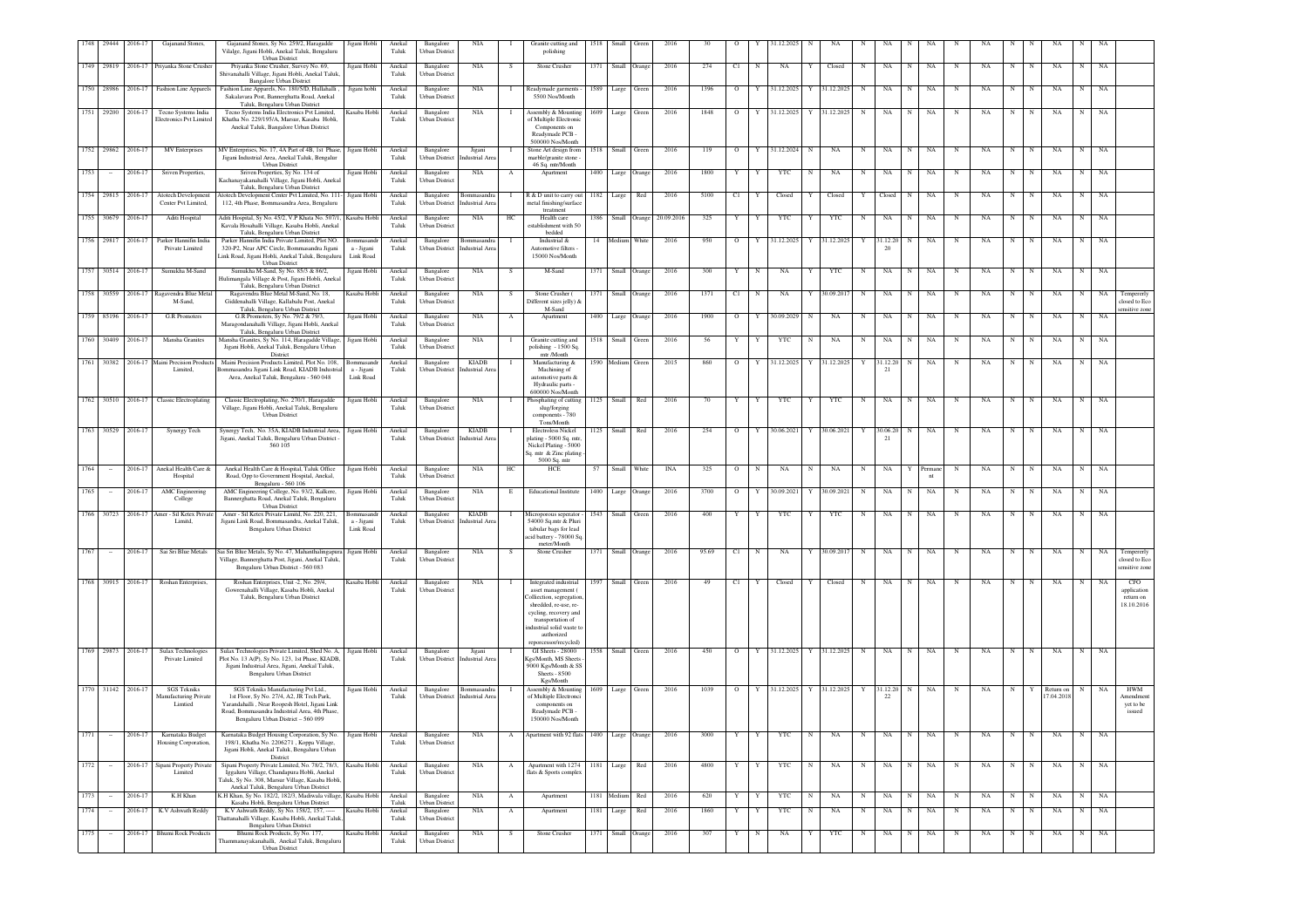| 1748 | 29444 | 2016-17       | Gajanand Stones,                                | Gajanand Stones, Sy No. 259/2, Haragadde<br>Vilalge, Jigani Hobli, Anekal Taluk, Bengaluru                                                                                                  | Jigani Hobli            | Anckal<br>Taluk        | Bangalore<br><b>Urban Distric</b>  | NIA                           |              | Granite cutting and<br>polishing                                                            | 1518              | Small | Green         | 2016             |       | $\circ$     |   | 31.12.2025  |            | NA          |   | NA              | N          | NA          |            | NA          | N          |              | NA          | N | NA          |                                              |
|------|-------|---------------|-------------------------------------------------|---------------------------------------------------------------------------------------------------------------------------------------------------------------------------------------------|-------------------------|------------------------|------------------------------------|-------------------------------|--------------|---------------------------------------------------------------------------------------------|-------------------|-------|---------------|------------------|-------|-------------|---|-------------|------------|-------------|---|-----------------|------------|-------------|------------|-------------|------------|--------------|-------------|---|-------------|----------------------------------------------|
| 1749 |       |               | 29819 2016-17 Priyanka Stone Crusher            | <b>Urban District</b><br>Priyanka Stone Crusher, Survey No. 69,<br>Shiyanahalli Village, Jigani Hobli, Anekal Taluk.                                                                        | Jigani Hobli            | Anekal<br>Taluk        | Bangalore<br><b>Urban District</b> | <b>NIA</b>                    |              | Stone Crusher                                                                               | 1371 Small Orange |       |               | 2016             | 274   | C1          | N | NA.         |            | Closed      | N | NA <sup>-</sup> | N          | NA.         | N          | NA          | N          |              | <b>NA</b>   | N | NA          |                                              |
| 1750 | 28986 | 2016-17       | Fashion Line Apparels                           | <b>Bangalore Urban District</b><br>ashion Line Apparels, No. 180/5/D, Hullahalli<br>Sakalavara Post, Bannerghatta Road, Anekal                                                              | Jigani hobl             | Aneka<br>Taluk         | Bangalore<br><b>Urban Distric</b>  | NIA                           |              | teadymade garments<br>5500 Nos/Month                                                        | 1589              | Large | <b>Green</b>  | 2016             | 1390  |             |   | 1.12.2025   |            | 31.12.202   |   | NA              |            | NA          |            | NA          |            |              | NA          |   | NA          |                                              |
| 1751 | 29200 | 2016-1        | Tecno Systems India                             | Taluk Bengaluru Urban District<br>Tecno Systems India Electronics Pvt Limited,                                                                                                              | Kasaba Hob              | Anekal                 | Bangalore                          | <b>NIA</b>                    |              | Assembly & Mounting                                                                         | 1609              | Large | Green         | 2016             | 1848  | $\Omega$    |   | 31.12.2025  |            | 31.12.202   |   | NA              |            | NA          |            | NA          | N          |              | NA          |   |             |                                              |
|      |       |               | <b>Electronics Pvt Limited</b>                  | Khatha No. 229/195/A, Marsur, Kasaba Hobli,<br>Anekal Taluk, Bangalore Urban District                                                                                                       |                         | Taluk                  | Urban Distric                      |                               |              | of Multiple Electronic<br>Components on<br>Readymade PCB                                    |                   |       |               |                  |       |             |   |             |            |             |   |                 |            |             |            |             |            |              |             |   |             |                                              |
| 1752 | 29862 | 2016-17       | <b>MV</b> Enterprises                           | MV Enterprises, No. 17, 4A Part of 4B, 1st Phase,<br>Jigani Industrial Area, Anekal Taluk, Bengalur                                                                                         | Jigani Hobli            | Anekal<br>Taluk        | Bangalore<br>Jrban District        | Jigani<br>dustrial Ar         |              | 500000 Nos/Month<br>Stone Art design from<br>marble/granite stone                           | 1518              | Small | 'ireer        | 2016             | 119   | $^{\circ}$  |   | 31.12.2024  |            | <b>NA</b>   |   | NA              |            | NA          |            | NA          |            |              |             |   |             |                                              |
| 1753 |       | 2016-17       | Sriven Properties,                              | <b>Urban District</b><br>Sriven Properties, Sy No. 134 of<br>Kachanayakanahalli Village, Jigani Hobli, Anekal                                                                               | Jigani Hobli            | Anekal<br>Taluk        | Bangalon<br>Urban District         | <b>NIA</b>                    | $\mathbf{A}$ | 46 Sq. mtr/Month<br>Apartment                                                               | 1400 Large        |       | <b>Drange</b> | 2016             | 1800  |             |   | YTC         | $_{\rm N}$ | $_{\rm NA}$ |   | $_{\rm NA}$     |            | NA          | $_{\rm N}$ | $_{\rm NA}$ | $_{\rm N}$ |              | NA          |   | NA          |                                              |
| 1754 |       | 29815 2016-17 | Atotech Development<br>Center Pvt Limited,      | Taluk, Bengaluru Urban District<br>Atotech Development Center Pvt Limited, No. 111- Jigani Hobli<br>112, 4th Phase, Bommasandra Area, Bengaluru                                             |                         | Anckal<br>${\rm Tauk}$ | Bangalore<br>Urban Distric         | Bommasandra<br>dustrial Are   | $\mathbf{I}$ | R & D unit to carry out<br>netal finishing/surfac                                           | 1182 Large        |       | Red           | 2016             | 5100  | C1          | Y | Closed      | Y          | Closed      | Y | Closed          | N          | NA          | N          | NA          | N          |              | NA          |   | NA          |                                              |
| 1755 |       | 30679 2016-17 | Aditi Hospital                                  | Aditi Hospital, Sv No. 45/2, V.P Khata No. 507/1.<br>Kavala Hosahalli Village, Kasaba Hobli, Anekal                                                                                         | Kasaba Hobli            | Anekal<br>Taluk        | Bangalore<br>Urban Distric         | <b>NIA</b>                    | HC           | treatment<br>Health care<br>stablishment with 50                                            | 1386 Small        |       | Orange        | 20.09.2016       | 325   |             |   | YTC         |            | <b>YTC</b>  | N | NA              | N          | NA          | N          | NA          | $_{\rm N}$ |              | NA          |   | NA          |                                              |
| 1756 | 29817 | $2016 - 1$    | Parker Hannifin India                           | Taluk, Bengaluru Urban District<br>Parker Hannifin India Private Limited. Plot NO                                                                                                           |                         | Aneka                  | Bangalore                          | 3ommasandra                   |              | $bedded$<br>Industrial &                                                                    | 14                | Medi  | White         | 2016             | 950   | $\mathbf O$ |   | 1.12.2025   |            | 31.12.2025  |   | 31.12.20        |            | $_{\rm NA}$ | N          | NA          | N          |              | NA          |   | NA          |                                              |
|      |       |               | Private Limited                                 | 320-P2, Near APC Circle, Bommasandra Jigani<br>Link Road, Jigani Hobli, Anekal Taluk, Bengalun<br><b>Urban District</b>                                                                     | a - Jigani<br>Link Road | Taluk                  | <b>Urban District</b>              | ndustrial Area                |              | Automotive filters<br>15000 Nos/Month                                                       |                   |       |               |                  |       |             |   |             |            |             |   | 20              |            |             |            |             |            |              |             |   |             |                                              |
| 1757 |       | 30514 2016-17 | Sumukha M-Sand                                  | Sumukha M-Sand, Sy No. 85/3 & 86/2,<br>ulimangala Village & Post, Jigani Hobli, Anekal<br>Taluk, Bengaluru Urban District                                                                   | Jigani Hobli            | Anckal<br>Taluk        | Bangalore<br><b>Irban Distric</b>  | <b>NIA</b>                    | S.           | M-Sand                                                                                      | 1371              | Small | <b>Drange</b> | 2016             | 300   | Y           | N | $_{\rm NA}$ | Y          | YTC         | N | $_{\rm NA}$     | N          | $_{\rm NA}$ | N          | NA          | N          |              | $_{\rm NA}$ |   | $_{\rm NA}$ |                                              |
| 1758 |       |               | 30559 2016-17 Ragavendra Blue Meta<br>M-Sand.   | Ragavendra Blue Metal M-Sand, No. 18.<br>Giddenahalli Village, Kallabalu Post, Anekal<br>Taluk, Bengaluru Urban District                                                                    | Kasaba Hobli            | Anekal<br>Taluk        | Bangalore<br><b>Urban District</b> | <b>NIA</b>                    | s            | Stone Crusher (<br>Different sizes ielly) &<br>M-Sand                                       | 1371 Small        |       | Orange        | 2016             | 1371  | C1          | N | NA          |            | 30.09.2017  | N | NA              | N          | NA          | N          | NA          | $_{\rm N}$ | $\mathbf{N}$ | NA          |   | NA          | Tempererly<br>closed to Eco<br>ensitive zone |
| 1759 | 85196 | $2016 - 1$    | G.R Promoters                                   | G.R Promoters, Sy No. 79/2 & 79/3<br>Maragondanahalli Village, Jigani Hobli, Anekal<br>Taluk, Bengaluru Urban District                                                                      | Jigani Hob              | Aneka<br>Taluk         | Bangalore<br><b>Urban Distric</b>  | <b>NIA</b>                    | A            | Apartment                                                                                   | 1400              | Large | <b>Irang</b>  | 2016             | 1900  |             |   | 0.09.202    |            | NA          |   | NA              |            | NA          |            | NA          |            |              | NA          |   | NA          |                                              |
| 1760 | 30409 | 2016-17       | Mansha Granites                                 | Mansha Granites, Sv No. 114, Haragadde Village,<br>Jigani Hobli, Anekal Taluk, Bengaluru Urban<br>District                                                                                  | Jigani Hobli            | Anekal<br>Taluk        | Bangalore<br><b>Irban Distric</b>  | <b>NIA</b>                    |              | Granite cutting and<br>polishing - 1500 Sq.<br>mtr/Month                                    | 1518              | Small | Green         | 2016             | 56    |             |   | YTC         |            | <b>NA</b>   |   | <b>NA</b>       |            | NA          | N          | <b>NA</b>   | N          |              | NA          |   | NA          |                                              |
| 1761 |       |               | 30382 2016-17 Maini Precision Produc<br>Limited | Maini Precision Products Limited, Plot No. 108.<br>masandra Iigani Link Road, KIADB Industria<br>Area, Anekal Taluk, Bengaluru - 560 048                                                    | a - Iigani<br>Link Road | Anekal<br>Taluk        | Bangalore<br><b>Urban District</b> | KIADR<br>dustrial Ar          |              | Manufacturing &<br>Machining of<br>automotive parts &                                       | 1590              | Madia | Green         | 2015             | 860   |             |   | 31.12.2025  |            | 31.12.2025  |   | 1.12.20<br>21   |            | NA          | N          | NA          | N          |              | NA          |   | NA          |                                              |
| 1762 |       |               | 30510 2016-17 Classic Electroplating            | Classic Electroplating, No. 270/1, Haragadde                                                                                                                                                | Jigani Hobli            | Anekal                 | Bangalore                          | <b>NIA</b>                    |              | Hydraulic parts<br>600000 Nos/Month<br>Phosphating of cutting                               | 1125              | Small | Red           | 2016             |       |             |   | YTC         |            | YTC         |   | NA              |            | NA          |            | NA          |            |              | NA          |   |             |                                              |
|      |       |               |                                                 | Village, Jigani Hobli, Anekal Taluk, Bengaluru<br><b>Urban District</b>                                                                                                                     |                         | Taluk                  | Urban Distric                      |                               |              | slug/forging<br>components - 780<br>Tons/Month                                              |                   |       |               |                  |       |             |   |             |            |             |   |                 |            |             |            |             |            |              |             |   |             |                                              |
| 1763 | 30529 | 2016-17       | Synergy Tech                                    | Synergy Tech, No. 35A, KIADB Industrial Area,<br>Jigani, Anekal Taluk, Bengaluru Urban District<br>560 105                                                                                  | Jigani Hobl             | Anekal<br>Taluk        | Bangalore<br><b>Urban District</b> | <b>KIADB</b><br>ndustrial Are |              | <b>Electroless Nickel</b><br>plating - 5000 Sq. mtr<br>Nickel Plating - 5000                | 1125              | Small | Red           | 2016             | 254   |             |   | 0.06.2021   |            | 0.06.202    |   | 0.06.20<br>21   |            | NA          |            | NA          |            |              |             |   |             |                                              |
| 1764 |       | 2016-17       | Anekal Health Care &                            | Anekal Health Care & Hospital, Taluk Office                                                                                                                                                 | Jigani Hobli            | Anekal                 | Bangalore                          | <b>NIA</b>                    | HC           | sq. mtr & Zinc plating<br>5000 Sq. mtr<br>HCE                                               | 57                | Small | White         | INA              | 325   | $\circ$     | N | NA          | N          | $_{\rm NA}$ |   | NA              |            | ermar       | N          | NA          | N          |              | NA          |   | NA          |                                              |
| 1765 |       | 2016-17       | Hospital<br>AMC Engineering                     | Road, Opp to Government Hospital, Anekal,<br>Bengaluru - 560 106<br>AMC Engineering College, No. 93/2, Kalkere,                                                                             | Jigani Hobli            | Taluk<br>Anekal        | <b>Urban Distric</b><br>Bangalore  | <b>NIA</b>                    | E            | <b>Educational Institute</b>                                                                | 1400 Large        |       | <b>Drange</b> | 2016             | 3700  | $\circ$     |   | 0.09.2021   |            | 30.09.2021  | N | <b>NA</b>       | N          | nt<br>NA    | N          | <b>NA</b>   | N          |              | <b>NA</b>   |   | NA          |                                              |
| 1766 |       |               | College                                         | Bannerghatta Road, Anekal Taluk, Bengaluru<br><b>Urban District</b>                                                                                                                         |                         | Taluk<br>Anekal        | Urban Distric                      | <b>KIADB</b>                  |              | Microporous seperator                                                                       | 1543              | Small | Greer         |                  |       |             |   |             |            |             | N | NA              | $_{\rm N}$ |             | $_{\rm N}$ |             | N          |              | NA          |   | NA          |                                              |
|      | 30723 |               | 2016-17 Amer - Sil Ketex Privat<br>Limitd.      | Amer - Sil Ketex Private Limitd, No. 220, 221,<br>Jigani Link Road, Bommasandra, Anekal Taluk.<br>Bengaluru Urban District                                                                  | a - Jigani<br>Link Road | Taluk                  | Bangalore<br><b>Urban District</b> | dustrial An                   |              | 54000 Sq.mtr & Pluri<br>tabular bags for lead<br>cid battery - 78000 S<br>$\rm meter/Month$ |                   |       |               | 2016             | 400   |             |   | YTC         |            | YTC         |   |                 |            | $_{\rm NA}$ |            | $_{\rm NA}$ |            |              |             |   |             |                                              |
| 1767 |       | 2016-17       | Sai Sri Blue Metals                             | Sai Sri Blue Metals, Sy No. 47, Mahanthalingapura<br>Village, Bannerghatta Post, Jigani, Anekal Taluk,<br>Bengaluru Urban District - 560 083                                                | Jigani Hobl             | Anekal<br>Taluk        | Bangalore<br><b>Urban Distric</b>  | <b>NIA</b>                    |              | Stone Crusher                                                                               | 1371              | Small | <b>Drange</b> | 2016             | 95.69 | C1          |   | NA          |            | 60.09.201   |   | NA              |            | NA          |            | NA          |            |              |             |   |             | Tempereri<br>closed to Eco<br>sensitive zone |
|      |       | 2016-17       | Roshan Enterprises                              | Roshan Enterprises, Unit -2, No. 29/4.<br>Gowrenahalli Village, Kasaba Hobli, Anekal<br>Taluk, Bengaluru Urban District                                                                     |                         | Aneka<br>Taluk         | Bangalore<br><b>Urban Distric</b>  | NIA                           |              | Integrated industrial<br>asset management (<br>colliection, segregation                     |                   |       |               | 201 <sub>0</sub> |       |             |   |             |            |             |   |                 |            |             |            |             |            |              |             |   |             | CFO<br>application<br>return on              |
|      |       |               |                                                 |                                                                                                                                                                                             |                         |                        |                                    |                               |              | shredded, re-use, re-<br>cycling, recovery and<br>transportation of                         |                   |       |               |                  |       |             |   |             |            |             |   |                 |            |             |            |             |            |              |             |   |             | 18.10.2016                                   |
|      |       |               |                                                 |                                                                                                                                                                                             |                         |                        |                                    |                               |              | ndustrial solid waste t<br>authorized<br>reporcessor/recycled)                              |                   |       |               |                  |       |             |   |             |            |             |   |                 |            |             |            |             |            |              |             |   |             |                                              |
| 1769 |       | 29873 2016-17 | Sulax Technologies<br>Private Limited           | Sulax Technologies Private Limited, Shed No. A.<br>Plot No. 13 A(P), Sy No. 123, 1st Phase, KIADB,<br>Jigani Industrial Area, Jigani, Anekal Taluk,                                         | Jigani Hobli            | Anekal<br>Taluk        | Bangalore<br>Jrban District        | Jigani<br>ndustrial Are       |              | GI Sheets - 28000<br>Kgs/Month, MS Sheets<br>9000 Kgs/Month & SS                            | 1558 Small        |       | Green         | 2016             | 450   | $\Omega$    |   | 31.12.2025  |            | 31.12.2025  |   | <b>NA</b>       | N          | NA          | N          | NA          | N          |              | NA          |   | NA          |                                              |
| 1770 |       | 31142 2016-1  | <b>SGS</b> Tekniks                              | Bengaluru Urban District<br>SGS Tekniks Manufacturing Pvt Ltd.,                                                                                                                             | Jigani Hobli            | Anekal                 | Bangalore                          | Bommasandra                   |              | Sheets - 8500<br>Kgs/Month<br>Assembly & Mounting                                           | 1609              |       | Green         | 2016             | 1039  |             |   | 31.12.2025  |            | 31.12.202   |   | 31.12.20        |            | NA          |            | NA          |            |              | Return on   |   |             | <b>HWM</b>                                   |
|      |       |               | Manufacturing Private<br>Limtied                | 1st Floor, Sy No. 27/4, A2, JR Tech Park,<br>Yarandahalli, Near Roopesh Hotel, Jigani Link                                                                                                  |                         | ${\rm Tauk}$           | Urban District                     | ndustrial Are                 |              | of Multiple Electronci<br>components on                                                     |                   | Large |               |                  |       |             |   |             |            |             |   | $22\,$          |            |             |            |             |            |              | 7.04.2018   |   |             | Amendmen<br>yet to be                        |
|      |       |               |                                                 | Road, Bommasandra Industrial Area, 4th Phase<br>Bengaluru Urban District - 560 099                                                                                                          |                         |                        |                                    |                               |              | Readymade PCB<br>150000 Nos/Month                                                           |                   |       |               |                  |       |             |   |             |            |             |   |                 |            |             |            |             |            |              |             |   |             | issued                                       |
| 1771 |       | 2016-17       | Karnataka Budget<br>Housing Corporation,        | Karnataka Budget Housing Corporation, Sy No.<br>198/1, Khatha No. 2206271, Koppa Village,<br>Jigani Hobli, Anekal Taluk, Bengaluru Urban<br>District                                        | Jigani Hobli            | Anekal<br>Taluk        | Bangalore<br>Urban Distric         | <b>NIA</b>                    | $\mathbf{A}$ | Apartment with 92 flats                                                                     | 1400              | Large | <b>Drange</b> | 2016             | 3000  |             |   | <b>YTC</b>  | N          | NA          |   | NA              | N          | NA          | N          | NA          | N          |              | NA          |   | NA          |                                              |
|      |       | 2016-17       | Sipani Property Private<br>Limited              | Sipani Property Private Limited, No. 78/2, 78/3.<br>Iggaluru Village, Chandapura Hobli, Anekal<br>Faluk, Sy No. 308, Marsur Village, Kasaba Hobli<br>Anekal Taluk, Bengaluru Urban District | Kasaba Hobl             | Anekal<br>Taluk        | Bangalore<br><b>Urban District</b> | <b>NIA</b>                    |              | Apartment with 1274<br>flats & Sports complet                                               | 1181 Large        |       | Red           | 2016             | 4800  |             |   | YTC         |            | NA          |   | NA              |            |             |            | NA          |            |              |             |   |             |                                              |
| 1773 |       | 2016-1        | K H Khan                                        | K.H Khan, Sy No. 182/2, 182/3, Madiwala village.<br>Kasaba Hobli, Bengaluru Urban District                                                                                                  | Kasaba Hobi             | Anekal<br>Taluk        | Bangalore<br>Jrban Distric         | <b>NIA</b>                    | $\mathbf{A}$ | Apartment                                                                                   | 1181 Mediu        |       | Red           | 2016             | 620   |             |   | <b>YTC</b>  | N          | NA          |   | NA.             |            | <b>NA</b>   | N          | NA.         | N          |              | NA          |   | NA          |                                              |
| 1774 |       | 2016-1        | K.V Ashwath Reddy                               | K.V Ashwath Reddy, Sy No. 158/2, 157, ---<br>halli Village, Kasaba Hobli, Anekal Taluk                                                                                                      | Kasaba Hob              | Anekal<br>Taluk        | Bangalore<br>Urban Distric         | <b>NIA</b>                    | A            | Apartment                                                                                   | 1181              | Large | Red           | 2016             | 1860  |             |   | YTC         |            | NA          |   | NA              |            | NA          | N          | NA          | N          |              | NA          |   | NA          |                                              |
| 1775 |       |               | 2016-17 Bhumi Rock Products                     | Bengaluru Urban District<br>Bhumi Rock Products, Sy No. 177,<br>manayakanahalli, Anekal Taluk, Bengalu                                                                                      | Kasaba Hobl             | Anekal<br>Taluk        | Bangalore<br>Urban Distric         | <b>NIA</b>                    | s            | Stone Crusher                                                                               | 1371 Small        |       | <b>Drange</b> | 2016             | 307   |             | N | $_{\rm NA}$ |            | YTC         |   | $_{\rm NA}$     | N          | NA          | $_{\rm N}$ | $_{\rm NA}$ | $_{\rm N}$ |              | $_{\rm NA}$ |   | NA          |                                              |
|      |       |               |                                                 | Urban District                                                                                                                                                                              |                         |                        |                                    |                               |              |                                                                                             |                   |       |               |                  |       |             |   |             |            |             |   |                 |            |             |            |             |            |              |             |   |             |                                              |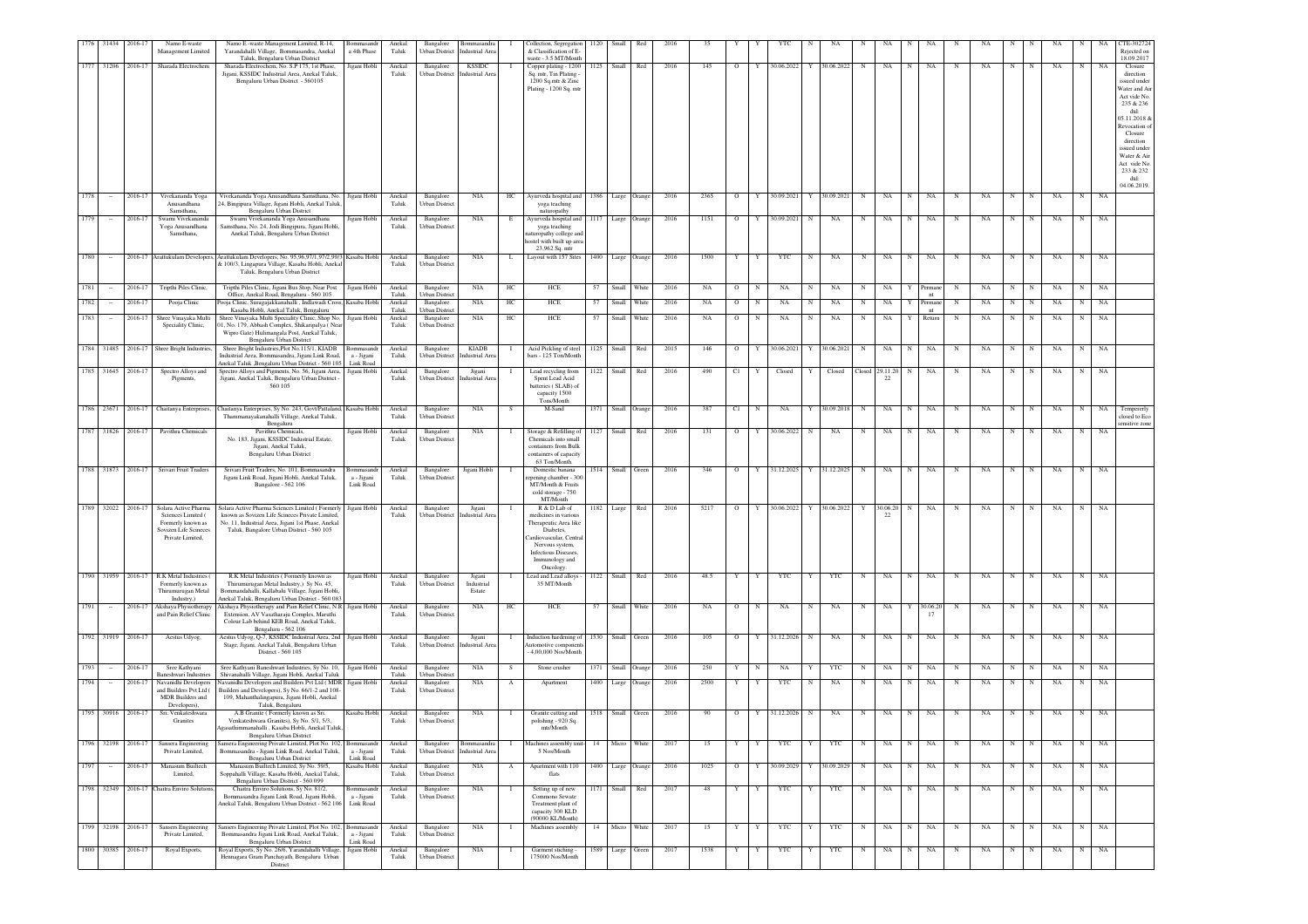|      | 1776 31434 2016-17 |                    | Namo E-waste<br>Management Limited                                | Namo E -waste Management Limited, R-14,<br>Yarandahalli Village, Bommasandra, Anekal<br>Taluk, Bengaluru Urban District                                               | a 4th Phase             | Aneka<br>Taluk  | Bangalore<br><b>Urban District</b> | tommasandra<br>Industrial Area          |              | Collection, Segregation<br>& Classification of E-<br>waste - 3.5 MT/Month | 1120 | Small            | Red               | 2016 | 35        |                |   | YTC                     | NA<br>N           |            | NA                             | N           | NA            | N           | NA          | N          |            | NA          |              | NA          | CTE-302724<br>Rejected on<br>18.09.2017 |
|------|--------------------|--------------------|-------------------------------------------------------------------|-----------------------------------------------------------------------------------------------------------------------------------------------------------------------|-------------------------|-----------------|------------------------------------|-----------------------------------------|--------------|---------------------------------------------------------------------------|------|------------------|-------------------|------|-----------|----------------|---|-------------------------|-------------------|------------|--------------------------------|-------------|---------------|-------------|-------------|------------|------------|-------------|--------------|-------------|-----------------------------------------|
| 1777 |                    | 31206 2016-17      | Sharada Electrochem                                               | Sharada Electrochem No S P 175 1st Phase<br>Jigani, KSSIDC Industrial Area, Anekal Taluk,                                                                             | Jigani Hobli            | Anckal<br>Taluk | Bangalore<br><b>Urban District</b> | <b>KSSIDC</b><br><b>Industrial Area</b> |              | Copper plating - 1200<br>Sq. mtr, Tin Plating -                           |      | 1125 Small       | Red               | 2016 | 145       | $\circ$        |   | 30.06.2022              | 30.06.2022<br>Y   | N          | NA                             | $_{\rm N}$  | NA            |             | NA          |            |            | <b>NA</b>   |              | NA.         | Closure<br>direction                    |
|      |                    |                    |                                                                   | Bengaluru Urban District - 560105                                                                                                                                     |                         |                 |                                    |                                         |              | 1200 Sq.mtr & Zinc<br>Plating - 1200 Sq. mtr                              |      |                  |                   |      |           |                |   |                         |                   |            |                                |             |               |             |             |            |            |             |              |             | issued under<br>Water and Air           |
|      |                    |                    |                                                                   |                                                                                                                                                                       |                         |                 |                                    |                                         |              |                                                                           |      |                  |                   |      |           |                |   |                         |                   |            |                                |             |               |             |             |            |            |             |              |             | Act vide No.<br>235 & 236<br>dtd:       |
|      |                    |                    |                                                                   |                                                                                                                                                                       |                         |                 |                                    |                                         |              |                                                                           |      |                  |                   |      |           |                |   |                         |                   |            |                                |             |               |             |             |            |            |             |              |             | 05.11.2018 &<br>Revocation of           |
|      |                    |                    |                                                                   |                                                                                                                                                                       |                         |                 |                                    |                                         |              |                                                                           |      |                  |                   |      |           |                |   |                         |                   |            |                                |             |               |             |             |            |            |             |              |             | Closure<br>direction                    |
|      |                    |                    |                                                                   |                                                                                                                                                                       |                         |                 |                                    |                                         |              |                                                                           |      |                  |                   |      |           |                |   |                         |                   |            |                                |             |               |             |             |            |            |             |              |             | issued under<br>Water & Air             |
|      |                    |                    |                                                                   |                                                                                                                                                                       |                         |                 |                                    |                                         |              |                                                                           |      |                  |                   |      |           |                |   |                         |                   |            |                                |             |               |             |             |            |            |             |              |             | Act vide No.<br>233 & 232<br>dtd:       |
| 1778 |                    | 2016-17            | Vivekananda Yoga                                                  | Vivekananda Yoga Anusandhana Samsthana, No. Jigani Hobli                                                                                                              |                         | Anekal          | Bangalore                          | <b>NIA</b>                              | HC           | Ayurveda hospital and 1386 Large Orange                                   |      |                  |                   | 2016 | 2365      | $\circ$        | Y | 30.09.2021 Y 30.09.2021 |                   | $_{\rm N}$ | $NA$ $N$                       |             | NA            | N           | NA          | N          | $_{\rm N}$ | NA          | $\mathbb{N}$ | NA          | 04.06.2019.                             |
|      |                    |                    | Anusandhana<br>Samsthana.                                         | 24, Bingipura Village, Jigani Hobli, Anekal Taluk,<br>Bengaluru Urban District                                                                                        |                         | Taluk           | <b>Urban District</b>              |                                         |              | yoga teaching<br>naturopathy                                              |      |                  |                   |      |           |                |   |                         |                   |            |                                |             |               |             |             |            |            |             |              |             |                                         |
| 1779 | $\sim$             | 2016-17            | Swami Vivekananda<br>Yoga Anusandhana                             | Swami Vivekananda Yoga Anusandhana<br>Samsthana, No. 24, Jodi Bingipura, Jigani Hobli,                                                                                | Jigani Hobli            | Anekal<br>Taluk | Bangalore<br><b>Urban District</b> | $_{\rm NIA}$                            | $\,$ E       | Ayurveda hospital and<br>yoga teaching                                    |      |                  | 1117 Large Orange | 2016 | 1151      | $\circ$        | Y | 30.09.2021              | N<br>NA           | N          | NA                             | $_{\rm N}$  | NA            | $_{\rm N}$  | $_{\rm NA}$ | N          | $_{\rm N}$ | NA          | N            | NA          |                                         |
|      |                    |                    | Samsthana.                                                        | Anekal Taluk, Bengaluru Urban District                                                                                                                                |                         |                 |                                    |                                         |              | uropathy college and<br>ostel with built up area<br>23,962 Sq. mtr        |      |                  |                   |      |           |                |   |                         |                   |            |                                |             |               |             |             |            |            |             |              |             |                                         |
| 1780 | $\sim$             |                    |                                                                   | 2016-17 Arattukulam Developers, Arattukulam Developers, No. 95,96,97/1,97/2,99/3 Kasaba Hobli<br>& 100/3, Lingapura Village, Kasaba Hobli, Anekal                     |                         | Anekal<br>Taluk | Bangalore<br><b>Urban District</b> | <b>NIA</b>                              | L            | Layout with 157 Sites 1400 Large Orange                                   |      |                  |                   | 2016 | 1500      | Y              |   | <b>YTC</b>              | NA<br>N           | N          | $NA$ $N$                       |             | NA            | N           | NA          | N          | N          | NA          |              | NA          |                                         |
|      |                    |                    |                                                                   | Taluk, Bengaluru Urban District                                                                                                                                       |                         |                 |                                    |                                         |              |                                                                           |      |                  |                   |      |           |                |   |                         |                   |            |                                |             |               |             |             |            |            |             |              |             |                                         |
| 1781 |                    | 2016-17            | Tripthi Piles Clinic,                                             | Tripthi Piles Clinic, Jigani Bus Stop, Near Post<br>Office, Anekal Road, Bengaluru - 560 105                                                                          | Jigani Hobli            | Anekal<br>Taluk | Bangalore<br>Jrban Distric         | <b>NIA</b>                              | HC           | HCE                                                                       | 57   | Small            | White             | 2016 | <b>NA</b> | $\circ$        | N | NA.                     | <b>NA</b><br>N    |            | <b>NA</b>                      | Y           | Permane<br>nt | N           | <b>NA</b>   | N          | N          | <b>NA</b>   |              | NA          |                                         |
| 1782 |                    | 2016-17            | Pooja Clinic                                                      | Pooja Clinic, Suragajakkanahalli , Indlawadi Cross, Kasaba Hobli<br>Kasaba Hobli, Anekal Taluk, Bengaluru                                                             |                         | Anekal<br>Taluk | Bangalore<br>Jrban District        | $_{\rm NIA}$                            | HC           | HCE                                                                       | 57   | Small            | White             | 2016 | NA        | $\circ$        | N | NA                      | N<br>$_{\rm NA}$  | N          | $_{\rm NA}$                    |             | Perman<br>nt  | N           | $_{\rm NA}$ | $_{\rm N}$ | N          | $_{\rm NA}$ | N            | $_{\rm NA}$ |                                         |
| 1783 |                    | 2016-17            | Shree Vinayaka Multi<br>Speciality Clinic,                        | Shree Vinayaka Multi Speciality Clinic, Shop No.   Jigani Hobli<br>01, No. 179, Abbash Complex, Shikaripalya (Near<br>Wipro Gate) Hulimangala Post, Anekal Taluk,     |                         | Anekal<br>Taluk | Bangalore<br><b>Urban District</b> | NIA                                     | НC           | HCE                                                                       | 57   | Small            | White             | 2016 | NA        | $\circ$        | N | NA                      | N<br>NA           | N          | NA                             | Y           | Return        | N           | NA          | $_{\rm N}$ | N          | NA          | N            | NA          |                                         |
|      |                    |                    | 1784 31485 2016-17 Shree Bright Industries,                       | Bengaluru Urban District<br>Shree Bright Industries, Plot No.115/1, KIADB                                                                                             | Bommasandr              | Anekal          | Bangalore                          | <b>KIADB</b>                            |              | Acid Pickling of steel                                                    |      | 1125 Small       | Red               | 2015 | 146       | $\circ$        |   | 30.06.2021              | 30.06.2021<br>Y   | N          | NA                             | N           | NA            | N           | NA          | N          |            | NA          |              | NA          |                                         |
|      |                    |                    |                                                                   | Industrial Area, Bommasandra, Jigani Link Road,<br>Anekal Taluk , Bengaluru Urban District - 560 105 Link Road                                                        | a - Jigani              | Taluk           | <b>Urban District</b>              | dustrial Are                            |              | bars - 125 Ton/Month                                                      |      |                  |                   |      |           |                |   |                         |                   |            |                                |             |               |             |             |            |            |             |              |             |                                         |
|      |                    | 1785 31645 2016-17 | Spectro Alloys and<br>Pigments,                                   | Spectro Alloys and Pigments, No. 56, Jigani Area, Jigani Hobli<br>Jigani, Anekal Taluk, Bengaluru Urban District -                                                    |                         | Anekal<br>Taluk | Bangalore<br><b>Urban District</b> | Jigani<br>ndustrial Are                 |              | Lead recycling from<br>Spent Lead Acid                                    |      | $1122$ Small     | Red               | 2016 | 490       | C1             | Y | Closed                  | Y                 |            | Closed Closed 29.11.20 N<br>22 |             | NA            | N           | NA          | N          | N          | $_{\rm NA}$ | N            | NA          |                                         |
|      |                    |                    |                                                                   | 560 105                                                                                                                                                               |                         |                 |                                    |                                         |              | batteries (SLAB) of<br>capacity 1500<br>Tons/Month                        |      |                  |                   |      |           |                |   |                         |                   |            |                                |             |               |             |             |            |            |             |              |             |                                         |
|      |                    |                    | 1786 23671 2016-17 Chaitanya Enterprises,                         | Chaitanya Enterprises, Sy No. 243, Govt/Pattaland, Kasaba Hobli<br>Thammanayakanahalli Village, Anekal Taluk,                                                         |                         | Anekal<br>Taluk | Bangalore<br><b>Urban District</b> | <b>NIA</b>                              |              | M-Sand                                                                    |      |                  | 1371 Small Orange | 2016 | 387       | C1             | N | NA                      | 30.09.2018<br>Y   | N          | NA                             | N           | NA            | N           | NA          | N          |            | NA          |              | NA          | Tempererly<br>closed to Eco             |
| 1787 |                    |                    | 31826 2016-17 Pavithra Chemicals                                  | Bengaluru<br>Pavithra Chemicals                                                                                                                                       | Jigani Hobli            | Anekal          | Bangalore                          | <b>NIA</b>                              | л.           | Storage & Refilling of 1127                                               |      | Small            | Red               | 2016 | 131       | $\circ$        |   | 30.06.2022              | NA<br>$\mathbf N$ |            | NA                             | N           | NA            | N           | NA          | N          |            | NA          |              | NA          | sensitive zone                          |
|      |                    |                    |                                                                   | No. 183, Jigani, KSSIDC Industrial Estate,<br>Jigani, Anekal Taluk,                                                                                                   |                         | Taluk           | <b>Urban District</b>              |                                         |              | Chemicals into small<br>containers from Bulk                              |      |                  |                   |      |           |                |   |                         |                   |            |                                |             |               |             |             |            |            |             |              |             |                                         |
|      |                    |                    | 1788 31873 2016-17 Srivari Fruit Traders                          | Bengaluru Urban District<br>Srivari Fruit Traders, No. 101, Bommasandra                                                                                               |                         | Anekal          | Bangalore                          | Jigani Hobli                            |              | containers of capacity<br>63 Ton/Month.<br>Domestic banana                |      | 1514 Small Green |                   | 2016 | 346       | $\circ$        | Y | 31.12.2025 Y 31.12.2025 |                   | $_{\rm N}$ | NA                             | $\mathbf N$ | NA            | $_{\rm N}$  | NA          | N          | N          | NA          | $_{\rm N}$   | NA          |                                         |
|      |                    |                    |                                                                   | Jigani Link Road, Jigani Hobli, Anekal Taluk,<br>Bangalore - 562 106                                                                                                  | a - Jigani<br>Link Road | Taluk           | <b>Urban District</b>              |                                         |              | epening chamber - 300<br>MT/Month & Fruits                                |      |                  |                   |      |           |                |   |                         |                   |            |                                |             |               |             |             |            |            |             |              |             |                                         |
|      |                    |                    |                                                                   |                                                                                                                                                                       |                         |                 |                                    |                                         |              | cold storage - 750<br>MT/Month                                            |      |                  |                   |      |           |                |   |                         |                   |            |                                |             |               |             |             |            |            |             |              |             |                                         |
| 1789 |                    | 32022 2016-17      | Solara Active Pharma<br>Sciences Limited (                        | Solara Active Pharma Sciences Limited (Formerly Jigani Hobli<br>known as Sovizen Life Scineces Private Limited.                                                       |                         | Anekal<br>Taluk | Bangalore<br><b>Urban District</b> | Jigani<br>Industrial Area               |              | R & D Lab of<br>medicines in various                                      |      | 1182 Large       | Red               | 2016 | 5217      | $\overline{0}$ | Y | 30.06.2022 Y 30.06.2022 |                   | Y          | 30.06.20<br>22                 | N           | NA            | $_{\rm N}$  | NA          | N          |            | <b>NA</b>   |              | NA          |                                         |
|      |                    |                    | Formerly known as<br>Sovizen Life Scineces<br>Private Limited,    | No. 11, Industrial Area, Jigani 1st Phase, Anekal<br>Taluk, Bangalore Urban District - 560 105                                                                        |                         |                 |                                    |                                         |              | Therapeutic Area like<br>Diabetes,<br>ardiovascular, Centra               |      |                  |                   |      |           |                |   |                         |                   |            |                                |             |               |             |             |            |            |             |              |             |                                         |
|      |                    |                    |                                                                   |                                                                                                                                                                       |                         |                 |                                    |                                         |              | Nervous system,<br>Infectious Diseases.                                   |      |                  |                   |      |           |                |   |                         |                   |            |                                |             |               |             |             |            |            |             |              |             |                                         |
|      |                    |                    |                                                                   |                                                                                                                                                                       |                         |                 |                                    |                                         |              | Immunology and<br>Oncology.                                               |      |                  |                   |      |           |                |   |                         |                   |            |                                |             |               |             |             |            |            |             |              |             |                                         |
|      |                    |                    | 1790 31959 2016-17 R.K Metal Industries (<br>Formerly known as    | R.K Metal Industries (Formerly known as<br>Thirumurugan Metal Industry,) Sy No. 45,                                                                                   | Jigani Hobli            | Anckal<br>Taluk | Bangalore<br><b>Urban District</b> | Jigani<br>Industrial                    | $\mathbf{I}$ | Lead and Lead alloys - 1122 Small Red<br>35 MT/Month                      |      |                  |                   | 2016 | 48.5      | Y              | Y | YTC                     | YTC<br>Y          | N          | $NA$ $N$                       |             | NA            | $\mathbb N$ | NA          | N          | $_{\rm N}$ | NA          | $\mathbf N$  | NA          |                                         |
| 1791 |                    |                    | Thirumurugan Metal<br>Industry,)<br>2016-17 Akshaya Physiotherapy | Bommandahalli, Kallabalu Village, Jigani Hobli,<br>Anekal Taluk, Bengaluru Urban District - 560 083<br>Akshaya Physiotherapy and Pain Relief Clinic, N.R Jigani Hobli |                         | Anekal          | Bangalore                          | Estate<br>NIA                           | HC           | HCE                                                                       | 57   | Small White      |                   | 2016 | NA        | $\circ$        |   | NA                      | NA                |            | NA                             |             | 30.06.20      |             | NA          |            |            | NA          |              |             |                                         |
|      |                    |                    | and Pain Relief Clinic                                            | Extension, AV Vasatharaju Comples, Maruthi<br>Colour Lab behind KEB Road, Anekal Taluk,                                                                               |                         | Taluk           | <b>Urban District</b>              |                                         |              |                                                                           |      |                  |                   |      |           |                |   |                         |                   |            |                                |             | 17            |             |             |            |            |             |              |             |                                         |
|      |                    | 1792 31919 2016-17 | Aestus Udyog,                                                     | Bengaluru - 562 106<br>Aestus Udyog, Q-7, KSSIDC Industrial Area, 2nd Jigani Hobli                                                                                    |                         | Anekal          | Bangalore                          | Jigani                                  |              | Induction hardening of                                                    |      | 1530 Small       | Green             | 2016 | 105       | $\circ$        |   | 31.12.2026              | NA<br>N           | N          | NA                             | N           | NA            | N           | NA          | N          |            | NA          |              | NA          |                                         |
|      |                    |                    |                                                                   | Stage, Jigani, Anekal Taluk, Bengaluru Urban<br>District - 560 105                                                                                                    |                         | Taluk           | <b>Urban District</b>              | ndustrial Area                          |              | utomotive componen<br>-4,00,000 Nos/Month                                 |      |                  |                   |      |           |                |   |                         |                   |            |                                |             |               |             |             |            |            |             |              |             |                                         |
| 1793 | $\sim$             | 2016-17            | Sree Kathyani<br>Baneshwari Industries                            | Sree Kathyani Baneshwari Industries, Sy No. 10, Jigani Hobli<br>Shivanahalli Village, Jigani Hobli, Anekal Taluk                                                      |                         | Anekal<br>Taluk | Bangalore<br><b>Urban District</b> | NIA                                     | -S           | Stone crusher                                                             |      |                  | 1371 Small Orange | 2016 | 250       |                | N | NA                      | YTC               | N          | NA                             | N           | NA            | N           | NA          | N          | N          | NA          | N            | NA          |                                         |
| 1794 |                    | 2016-17            | Navanidhi Developers<br>and Builders Pvt Ltd (                    | Navanidhi Developers and Builders Pvt Ltd (MDR Jigani Hobli<br>Builders and Developers), Sy No. 66/1-2 and 108-                                                       |                         | Anekal<br>Taluk | Bangalore<br>Urban District        | <b>NIA</b>                              | $\mathbf{A}$ | Apartment                                                                 | 1400 | Large            | Orange            | 2016 | 2500      | Y              | Y | <b>YTC</b>              | NA<br>N           | N          | NA                             | N           | NA            | N           | NA          | N          | N          | NA          | N            | $_{\rm NA}$ |                                         |
|      |                    |                    | MDR Builders and<br>Developers),                                  | 109, Mahanthalingapura, Jigani Hobli, Anekal<br>Taluk, Bengaluru                                                                                                      |                         |                 |                                    |                                         |              |                                                                           |      |                  |                   |      |           |                |   |                         |                   |            |                                |             |               |             |             |            |            |             |              |             |                                         |
|      |                    | 1795 30916 2016-17 | Sri. Venkateshwara<br>Granites                                    | A.B Granite (Formerly known as Sri.<br>Venkateshwara Granites), Sv No. 5/1, 5/3,<br>gasathimmanahalli, Kasaba Hobli, Anekal Taluk                                     | Kasaba Hobli            | Anckal<br>Taluk | Bangalore<br><b>Urban District</b> | <b>NIA</b>                              | $\mathbf{I}$ | Granite cutting and<br>polishing - 920 Sq.<br>mtr/Month                   |      |                  | 1518 Small Green  | 2016 | 90        | $\circ$        |   | Y 31.12.2026 N          | NA                | N          | NA                             | N           | NA            | $_{\rm N}$  | NA          | N          | N          | NA          | $_{\rm N}$   | NA          |                                         |
| 1796 |                    | 32198 2016-17      | Sansera Engineering                                               | Bengaluru Urban District<br>Sansera Engineering Private Limited, Plot No. 102. Bommasandr                                                                             |                         | Anekal          | Bangalore                          | Bommasandra                             | -1           | dachines assembly unit-                                                   | 14   | Micro            | White             | 2017 | 15        | Y              | Y | YTC                     | YTC<br>Y          | N          | NA                             | $_{\rm N}$  | NA            | N           | NA          | N          | N          | NA          | N            | NA          |                                         |
|      |                    |                    | Private Limited,                                                  | Bommasandra - Jigani Link Road, Anekal Taluk,<br>Bengaluru Urban District                                                                                             | a - Jigani<br>Link Road | Taluk           | <b>Urban District</b>              | Industrial Area                         |              | 5 Nos/Month                                                               |      |                  |                   |      |           |                |   |                         |                   |            |                                |             |               |             |             |            |            |             |              |             |                                         |
| 1797 |                    | 2016-17            | Manasum Builtech<br>Limited.                                      | Manasum Builtech Limited, Sy No. 59/5,<br>Soppahalli Village, Kasaba Hobli, Anekal Taluk,                                                                             | Kasaba Hobli            | Anekal<br>Taluk | Bangalore<br><b>Urban District</b> | <b>NIA</b>                              |              | Apartment with 110<br>flats                                               | 1400 | Large            | Orange            | 2016 | 1025      | $\circ$        |   | 0.09.2029               | 30.09.2029        |            | NA                             |             | NA            | N           | NA          | N          |            | NA          |              | NA          |                                         |
|      |                    |                    | 1798 32349 2016-17 Chaitra Enviro Solution                        | Bengaluru Urban District - 560 099<br>Chaitra Enviro Solutions, Sy No. 81/2,<br>Bommasandra Jigani Link Road, Jigani Hobli,                                           | Bommasano<br>a - Jigani | Anekal<br>Taluk | Bangalore<br><b>Urban District</b> | <b>NIA</b>                              |              | Setting up of new<br>Commono Sewate                                       |      | 1171 Small Red   |                   | 2017 | 48        |                |   | YTC                     | <b>YTC</b>        | N          | NA                             | $_{\rm N}$  | NA            | N           | NA          | N          |            | NA          |              | NA          |                                         |
|      |                    |                    |                                                                   | Anekal Taluk, Bengaluru Urban District - 562 106 Link Road                                                                                                            |                         |                 |                                    |                                         |              | Treatment plant of<br>canacity 300 KLD                                    |      |                  |                   |      |           |                |   |                         |                   |            |                                |             |               |             |             |            |            |             |              |             |                                         |
| 1799 |                    | 32198 2016-17      | <b>Sansers Engineering</b>                                        | Sansers Engineering Private Limited, Plot No. 102, Bommasandr                                                                                                         |                         | Anekal          | Bangalore                          | <b>NIA</b>                              |              | (90000 KL/Month)<br>Machines assembly                                     | 14   | Micro            | White             | 2017 | 15        |                |   | <b>YTC</b>              | <b>YTC</b><br>Y   | N          | NA                             | $_{\rm N}$  | NA            | N           | NA          | N          | N          | NA          |              | NA          |                                         |
|      |                    |                    | Private Limited.                                                  | Bommasandra Jigani Link Road, Anekal Taluk,<br>Bengaluru Urban District<br>Royal Exports, Sy No. 26/6, Yarandahalli Village,                                          | a - Jigani<br>Link Road | Taluk           | <b>Urban District</b>              |                                         |              |                                                                           |      |                  |                   |      |           |                |   |                         |                   |            |                                |             |               |             |             |            |            |             |              |             |                                         |
| 1800 |                    | 30385 2016-17      | Royal Exports,                                                    | Hennagara Gram Panchayath, Bengaluru Urban<br>District                                                                                                                | Jigani Hobli            | Anekal<br>Taluk | Bangalore<br><b>Urban District</b> | NIA                                     |              | Garment stiching -<br>175000 Nos/Month                                    |      | 1589 Large       | Green             | 2017 | 1538      |                |   | <b>YTC</b>              | YTC               |            | NA                             |             | NA            | N           | NA          | N          |            | NA          |              | NA          |                                         |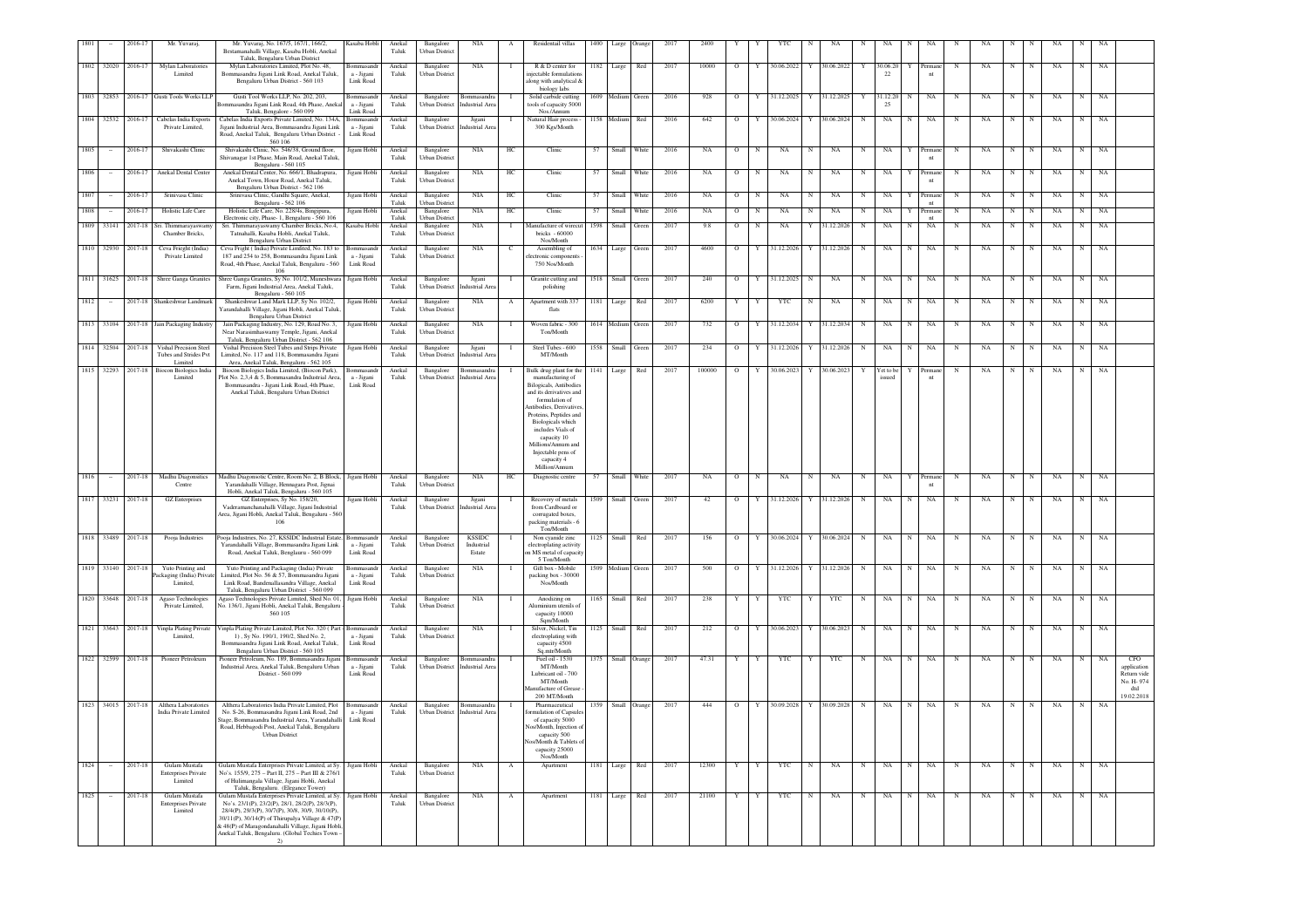| 1801 |       | 2016-1             | Mr. Yuvarai                                                | Mr Yuvarai No 167/5 167/1 166/2<br>Bestamanahalli Village, Kasaba Hobli, Anekal<br>Taluk, Bengaluru Urban District                                                                                                                                                                                                  | Kasaba Hobl                          | Anekal<br>Taluk         | Bangalore<br><b>Urban Distric</b>  | <b>NIA</b>                          | $\mathbf{A}$     | Residentail villas                                                                   | 1400 | Large<br>Orans        | 201  | 2400        |                |              | YTO         |   | NA          |              | NA                  |   | NA                                   |            | NA          |            |            | NA          | NA                       |                                   |
|------|-------|--------------------|------------------------------------------------------------|---------------------------------------------------------------------------------------------------------------------------------------------------------------------------------------------------------------------------------------------------------------------------------------------------------------------|--------------------------------------|-------------------------|------------------------------------|-------------------------------------|------------------|--------------------------------------------------------------------------------------|------|-----------------------|------|-------------|----------------|--------------|-------------|---|-------------|--------------|---------------------|---|--------------------------------------|------------|-------------|------------|------------|-------------|--------------------------|-----------------------------------|
| 1802 | 32020 | 2016-17            | Mylan Laboratories<br>Limited                              | Mylan Laboratories Limited, Plot No. 48,<br>masandra Jigani Link Road, Anekal Taluk,<br>Bengaluru Urban District - 560 103                                                                                                                                                                                          | a - Jigani<br>Link Road              | Aneka<br>Taluk          | Bangalore<br><b>Urban Distric</b>  | <b>NIA</b>                          |                  | R & D center for<br>njectable formulation<br>along with analytical &<br>biology labs |      | 1182 Large<br>Red     | 2017 | 10000       | $\overline{O}$ |              | 0.06.2022   |   | 0.06.202    |              | 0.06.2<br>22        |   | erman<br>$\mathop{\rm nt}\nolimits$  |            | NA          |            |            | NA          | NA                       |                                   |
|      |       |                    | 1803 32853 2016-17 Gusti Tools Works LLF                   | Gusti Tool Works LLP, No. 202, 203,<br>andra Jigani Link Road, 4th Phase, Anek                                                                                                                                                                                                                                      | <b>Bommasand</b><br>a - Jigani       | Anckal<br>Taluk         | Bangalore<br>Jrban District        | Bommasandra<br>ndustrial Are        |                  | Solid carbide cutting<br>tools of capacity 5000                                      |      | 1609 Medium<br>Green  | 2016 | 928         | $\circ$        |              | 31.12.2025  |   | 31.12.2025  |              | 31.12.20<br>25      |   | <b>NA</b>                            | N          | NA          |            |            | NA          | NA                       |                                   |
| 1804 |       | 32532 2016-17      | Cabelas India Export<br>Private Limited.                   | Taluk, Bengalore - 560 099<br>Cabelas India Exports Private Limited, No. 134A,<br>Jigani Industrial Area, Bommasandra Jigani Link<br>Road, Anekal Taluk. Bengaluru Urban District                                                                                                                                   | Link Road<br>a - Jigani<br>Link Road | Aneka<br>Taluk          | Bangalore<br><b>Urban District</b> | Jigani<br>ndustrial Are             |                  | $Nos/Annum$<br>Natural Hair proces<br>300 Kgs/Month                                  |      | 1158 Mediun<br>Red    | 2016 | 642         | $\overline{0}$ |              | 30.06.2024  |   | 30.06.2024  |              | NA                  |   | NA                                   |            | NA          |            |            | NA          | NA                       |                                   |
| 1805 |       | 2016-1             | Shiyakashi Clinic                                          | 560 106<br>Shivakashi Clinic, No. 546/38, Ground floor,<br>Shivanagar 1 st Phase, Main Road, Anekal Taluk                                                                                                                                                                                                           | Jigani Hobli                         | Anekal<br>Taluk         | Bangalore<br>Urban Distric         | <b>NIA</b>                          | HC               | Clinic                                                                               | 57   | Small<br>White        | 2016 | NA          | $\overline{0}$ |              | NA          |   | NA          | N            | NA                  |   | erman<br>$\mathop{\rm nt}\nolimits$  |            | NA          | N          |            | NA          | NA                       |                                   |
| 1806 |       | 2016-17            | Anekal Dental Cente                                        | Bengaluru - 560 105<br>Anekal Dental Center, No. 666/1, Bhadrapura,<br>Anekal Town, Housr Road, Anekal Taluk.                                                                                                                                                                                                       | Jigani Hobli                         | Anekal<br>Taluk         | Bangalore<br><b>Urban Distric</b>  | <b>NIA</b>                          | $_{\mathrm{HC}}$ | Clinic                                                                               | 57   | Small White           | 2016 | $_{\rm NA}$ | $\overline{0}$ | N            | $_{\rm NA}$ |   | $_{\rm NA}$ | N            | $_{\rm NA}$         |   | Permano<br>nt                        | $_{\rm N}$ | NA          | N          | N          | $_{\rm NA}$ | NA<br>N                  |                                   |
| 1807 |       | $2016 - 1$         | Srinivasa Clinic                                           | Bengaluru Urban District - 562 106<br>Srinivasa Clinic, Gandhi Square, Anekal,<br>Bengaluru - 562 106                                                                                                                                                                                                               | Jigani Hobl                          | Anekal<br>Taluk         | Bangalore<br>Jrban Distric         | $_{\rm NIA}$                        | HC               | Clinic                                                                               | 57   | Small<br>White        | 2016 | NA          | $\circ$        | N            | $_{\rm NA}$ |   | $_{\rm NA}$ | N            | NA                  |   | ermano<br>$\mathop{\rm nt}\nolimits$ | N          | NA          | N          |            | NA          | NA                       |                                   |
| 1808 |       | 2016-17            | Holistic Life Care                                         | Holistic Life Care, No. 228/4s, Bingipura,<br>Electronic city, Phase-1, Bengaluru - 560 106                                                                                                                                                                                                                         | Jigani Hobli                         | Anekal<br>Taluk         | Bangalore<br><b>Irhan Distric</b>  | <b>NIA</b>                          | HC               | Clinic                                                                               | 57   | Small<br>White        | 2016 | $_{\rm NA}$ | $\circ$        | N            | NA          |   | $_{\rm NA}$ |              | $_{\rm NA}$         |   | erman<br>nt                          |            | $_{\rm NA}$ | N          |            | NA          | NA                       |                                   |
| 1809 | 33141 | 2017-18            | Sri. Thimmarayaswar<br>Chamber Bricks.                     | Sri. Thimmarayaswamy Chamber Bricks, No.4.<br>Tatnahalli, Kasaba Hobli, Anekal Taluk,<br>Bengaluru Urban District                                                                                                                                                                                                   | Kasaba Hobi                          | Anckal<br>Taluk         | Bangalore<br>Urban Distric         | <b>NIA</b>                          | $\mathbf{I}$     | Aanufacture of wirect<br>bricks - 60000<br>Nos/Month                                 | 1598 | Small<br>Green        | 2017 | 9.8         | $\circ$        |              | NA          |   | 31.12.2026  | $\mathbf{N}$ | NA                  |   | <b>NA</b>                            |            | NA          | N          |            | NA          | NA                       |                                   |
| 1810 | 32930 | 2017-18            | Ceva Frieght (India<br>Private Limited                     | Ceva Fright (India) Private Limfited, No. 183 to<br>187 and 254 to 258, Bommasandra Jigani Link<br>Road, 4th Phase, Anekal Taluk, Bengaluru - 560                                                                                                                                                                   | a - Jigani<br>Link Road              | Aneka<br>Taluk          | Bangalore<br><b>Urban Distric</b>  | NIA                                 |                  | Assembling of<br>ectronic componen<br>750 Nos/Month                                  | 1634 | Large<br>Greet        | 2017 | 4600        | $\overline{0}$ |              | 31.12.2026  |   | 31.12.2026  | N            | NA                  |   | NA                                   |            | NA          |            |            | NA          | NA                       |                                   |
| 1811 |       | 31625 2017-18      | Shree Ganga Granites                                       | 106<br>Shree Ganga Granites, Sy No. 101/2, Muneshwara<br>Farm, Jigani Industrial Area, Anekal Taluk,<br>Bengaluru - 560 105                                                                                                                                                                                         | Jigani Hobli                         | Anekal<br>Taluk         | Bangalore<br>Jrban Distric         | Jigani<br>strial Ar                 |                  | Granite cutting and<br>polishing                                                     |      | $1518$ Small<br>Green | 2017 | 240         | $\overline{O}$ |              | 31.12.2025  |   | NA          | N            | NA                  |   | NA                                   | N          | NA          | N          |            | NA          | NA                       |                                   |
| 1812 |       |                    | 2017-18 Shankeshwar Landmark                               | Shankeshwar Land Mark LLP Sv No. 102/2<br>Yarandahalli Village, Jigani Hobli, Anekal Taluk<br>Bengaluru Urban District                                                                                                                                                                                              | Jigani Hobli                         | Anekal<br>Taluk         | Bangalore<br><b>Urban Distric</b>  | <b>NIA</b>                          |                  | Apartment with 337<br>flats                                                          |      | 1181 Large<br>Red     | 2017 | 6200        |                |              | <b>YTC</b>  |   | NA          |              | NA                  |   | NA                                   |            | NA          | N          |            | NA          | NA                       |                                   |
| 1813 | 33104 |                    | 2017-18 Jain Packaging Industry                            | Jain Packaging Industry, No. 129, Road No. 3,<br>Near Narasimhaswamy Temple, Jigani, Anekal<br>Taluk, Bengaluru Urban District - 562 106                                                                                                                                                                            | Jigani Hobl                          | Anekal<br>Taluk         | Bangalore<br>Urban Distric         | <b>NIA</b>                          |                  | Woven fabric - 300<br>Ton/Month                                                      |      | 1614 Medit<br>Greet   | 2017 | 732         | $\overline{O}$ |              | 1.12.2034   |   | 1.12.203    | N            | NA                  |   | NA                                   |            | NA          |            |            | NA          | NA                       |                                   |
| 1814 | 32504 | 2017-18            | Vishal Precision Steel<br>Tubes and Strides Pvt<br>Limited | Vishal Precision Steel Tubes and Strips Private<br>Limited, No. 117 and 118, Bommasandra Jigani<br>Area, Anekal Taluk, Bengaluru - 562 105                                                                                                                                                                          | Jigani Hobli                         | Anekal<br>Taluk         | Bangalore<br><b>Urban District</b> | Jigani<br>dustrial Ar               |                  | Steel Tubes - 600<br>MT/Month                                                        |      | 1558 Small<br>Green   | 2017 | 234         | $\Omega$       |              | 31 12 2026  |   | 31.12.2026  | N            | <b>NA</b>           |   | NA.                                  | N          | <b>NA</b>   | N          |            | NA.         | NA<br>N                  |                                   |
| 1815 | 3229  | 2017-1             | Biocon Biologics India<br>Limited                          | Biocon Biologics India Limited, (Biocon Park),<br>Plot No. 2,3,4 & 5, Bommasandra Industrial Area,<br>Bommasandra - Jigani Link Road, 4th Phase,                                                                                                                                                                    | a - Jigani<br>Link Road              | Aneka<br>${\rm T}$ aluk | Bangalore<br><b>Urban District</b> | ommasandr<br>ndustrial Are          |                  | Bulk drug plant for the<br>manufacturing of<br>Bilogicals, Antibodie                 |      | 1141 Large<br>Red     | 2017 | 100000      | 0              |              | 0.06.2023   |   | 0.06.202    |              | Yet to be<br>issued |   | erman<br>$\mathop{\rm nt}\nolimits$  |            | NA          |            |            | NA          | NA                       |                                   |
|      |       |                    |                                                            | Anekal Taluk, Bengaluru Urban District                                                                                                                                                                                                                                                                              |                                      |                         |                                    |                                     |                  | and its derivatives and<br>formulation of                                            |      |                       |      |             |                |              |             |   |             |              |                     |   |                                      |            |             |            |            |             |                          |                                   |
|      |       |                    |                                                            |                                                                                                                                                                                                                                                                                                                     |                                      |                         |                                    |                                     |                  | Antibodies, Derivative<br>Proteins, Peptides and                                     |      |                       |      |             |                |              |             |   |             |              |                     |   |                                      |            |             |            |            |             |                          |                                   |
|      |       |                    |                                                            |                                                                                                                                                                                                                                                                                                                     |                                      |                         |                                    |                                     |                  | <b>Biologicals</b> which<br>includes Vials of<br>capacity 10                         |      |                       |      |             |                |              |             |   |             |              |                     |   |                                      |            |             |            |            |             |                          |                                   |
|      |       |                    |                                                            |                                                                                                                                                                                                                                                                                                                     |                                      |                         |                                    |                                     |                  | Millions/Annum and<br>Injectable pens of                                             |      |                       |      |             |                |              |             |   |             |              |                     |   |                                      |            |             |            |            |             |                          |                                   |
|      |       |                    |                                                            |                                                                                                                                                                                                                                                                                                                     |                                      |                         |                                    |                                     |                  | capacity 4<br>Million/Annum                                                          |      |                       |      |             |                |              |             |   |             |              |                     |   |                                      |            |             |            |            |             |                          |                                   |
| 1816 |       | 2017-18            | Madhu Diagonsitics<br>Centr                                | Madhu Diagonsotic Centre, Room No. 2, B Block,<br>Yarandahalli Village, Hennagara Post, Jignai<br>Hobli, Anekal Taluk, Bengaluru - 560 105                                                                                                                                                                          | Jigani Hobli                         | Anckal<br>Taluk         | Bangalore<br><b>Urban Distric</b>  | <b>NIA</b>                          | HC               | Diagnostic centre                                                                    | 57   | Small<br>White        | 2017 | $_{\rm NA}$ | $\circ$        | $_{\rm N}$   | NA          |   | $_{\rm NA}$ | $_{\rm N}$   | $_{\rm NA}$         |   | Perman<br>nt                         | $_{\rm N}$ | NA          | $_{\rm N}$ | $_{\rm N}$ | NA          | NA<br>N                  |                                   |
| 1817 | 33231 | 2017-18            | <b>GZ</b> Enterprises                                      | GZ Enterprises, Sv No. 158/20.<br>Vaderamanchanahalli Village, Jigani Industrial                                                                                                                                                                                                                                    | Jigani Hobli                         | Anekal<br>Taluk         | Bangalore<br><b>Urban District</b> | Jigani<br>ndustrial Are             |                  | Recovery of metals<br>from Cardboard or                                              |      | Small                 | 201  | 42          | $\circ$        |              | 31.12.2026  |   | 31.12.2026  |              | NA                  |   | NA                                   |            | NA          |            |            | NA          |                          |                                   |
|      |       |                    |                                                            | Area, Jigani Hobli, Anekal Taluk, Bengaluru - 560<br>106                                                                                                                                                                                                                                                            |                                      |                         |                                    |                                     |                  | corrugated boxes,<br>packing materials - 6<br>Ton/Month                              |      |                       |      |             |                |              |             |   |             |              |                     |   |                                      |            |             |            |            |             |                          |                                   |
|      |       | 1818 33489 2017-18 | Pooja Industries                                           | Pooja Industries, No. 27, KSSIDC Industrial Estate<br>Yarandahalli Village, Bommasandra Jigani Link                                                                                                                                                                                                                 | a - Jigani                           | Anckal<br>Taluk         | Bangalore<br>Urban Distric         | <b>KSSIDC</b><br>Industrial         |                  | Non cvanide zinc<br>electroplating activity                                          | 1125 | Small Red             | 2017 | 156         | $\circ$        |              | 30.06.2024  |   | 30.06.2024  | N            | NA                  | N | NA                                   | N          | NA          | N          |            | NA          | NA                       |                                   |
|      |       |                    |                                                            | Road, Anekal Taluk, Benglauru - 560 099                                                                                                                                                                                                                                                                             | Link Road                            |                         |                                    | Estate                              |                  | n MS metal of capaci<br>5 Ton/Month                                                  |      |                       |      |             |                |              |             |   |             |              |                     |   |                                      |            |             |            |            |             |                          |                                   |
| 1819 |       | 33140 2017-18      | Yuto Printing and<br>ackaging (India) Priva<br>Limited.    | Yuto Printing and Packaging (India) Private<br>Limited Plot No. 56 & 57 Bommasandra Iigani<br>Link Road, Bandenallasandra Village, Anekal                                                                                                                                                                           | Rommasand<br>a - Iigani<br>Link Road | Anekal<br>Taluk         | Bangalore<br><b>Urban District</b> | <b>NIA</b>                          |                  | Gift box - Mobile<br>packing box - 30000<br>Nos/Month                                |      | 1509 Medium<br>Green  | 2017 | 500         | $\circ$        |              | 31.12.2026  |   | 31.12.2026  | N            | NA                  |   | NA                                   | N          | NA          | N          |            | NA          |                          |                                   |
| 1820 | 33648 | 2017-18            | Agaso Technologies<br>Private Limited,                     | Taluk, Bengaluru Urban District - 560 099<br>Agaso Technologies Private Limited, Shed No. 01,<br>No. 136/1, Jigani Hobli, Anekal Taluk, Bengaluru                                                                                                                                                                   | Jigani Hobli                         | Anekal<br>Taluk         | Bangalore<br><b>Urban Distric</b>  | <b>NIA</b>                          |                  | Anodizing on<br>Aluminium utenils of                                                 | 1165 | Small<br>Red          | 2017 | 238         | Y              |              | YTC         |   | YTC         | N            | NA                  |   | NA                                   | N          | NA          | N          |            | NA          |                          |                                   |
|      |       | 1821 33643 2017-18 | Vinpla Plating Private                                     | 560 105<br>Vinpla Plating Private Limited, Plot No. 320 (Part-                                                                                                                                                                                                                                                      | Bommasand                            | Anckal                  | Bangalore                          | <b>NIA</b>                          |                  | capacity 10000<br>Sqm/Month<br>Silver, Nickel, Tin                                   |      | 1125 Small<br>Red     | 2017 | 212         | $\circ$        |              | 30.06.2023  |   | 30.06.2023  | N            | NA                  |   | NA                                   | N          | NA          | N          |            | NA          | <b>NA</b>                |                                   |
|      |       |                    | Limited.                                                   | 1), Sy No. 190/1, 190/2, Shed No. 2,<br>.<br>ndra Jigani Link Road, Anekal Taluk,<br>Bengaluru Urban District - 560 105                                                                                                                                                                                             | a - Jigani<br>Link Road              | Taluk                   | <b>Urban District</b>              |                                     |                  | electroplating with<br>capacity 4500<br>Sq.mtr/Month                                 |      |                       |      |             |                |              |             |   |             |              |                     |   |                                      |            |             |            |            |             |                          |                                   |
|      |       | 1822 32599 2017-18 | Pioneer Petroleum                                          | Pioneer Petroleum, No. 189, Bommasandra Jigani<br>Industrial Area, Anekal Taluk, Bengaluru Urban<br>District - 560 099                                                                                                                                                                                              | Rommssand<br>a - Jigani<br>Link Road | Anekal<br>Taluk         | Bangalore<br><b>Urban District</b> | Rommacandra<br>ndustrial Are        |                  | Fuel oil - 1530<br>MT/Month<br>Lubricant oil - 700                                   |      | 1375 Small Orange     | 2017 | 47.31       | Y              | $\mathbf{v}$ | <b>YTC</b>  |   | <b>YTC</b>  | $_{\rm N}$   | NA                  | N | NA                                   | $_{\rm N}$ | NA          | $_{\rm N}$ | $_{\rm N}$ | NA          | <b>NA</b><br>$\mathbf N$ | CFO<br>application<br>Return vide |
|      |       |                    |                                                            |                                                                                                                                                                                                                                                                                                                     |                                      |                         |                                    |                                     |                  | $\rm{MT/Month}$<br>nufacture of Grea<br>200 MT/Month                                 |      |                       |      |             |                |              |             |   |             |              |                     |   |                                      |            |             |            |            |             |                          | No. H-974<br>dtd<br>19.02.2018    |
| 1823 | 34015 | 2017-18            | Althera Laboratories<br>India Private Limited              | Althera Laboratories India Private Limited Plot<br>No. S-26. Bommasandra Jigani Link Road. 2nd                                                                                                                                                                                                                      | a - Jigani                           | Anekal<br>Taluk         | Bangalore<br><b>Urban District</b> | Rommscand<br><b>Industrial Area</b> |                  | Pharmaceutical<br>ormulation of Capsuk                                               |      | Small<br>Orang        | 2017 | 444         |                |              | 30.09.2028  |   | 30.09.2028  |              |                     |   |                                      |            |             |            |            |             |                          |                                   |
|      |       |                    |                                                            | Stage, Bommasandra Industrial Area, Yarandahalli<br>Road, Hebbagodi Post, Anekal Taluk, Bengaluru                                                                                                                                                                                                                   | Link Road                            |                         |                                    |                                     |                  | of capacity 5000<br>os/Month, Injection                                              |      |                       |      |             |                |              |             |   |             |              |                     |   |                                      |            |             |            |            |             |                          |                                   |
|      |       |                    |                                                            | <b>Urban District</b>                                                                                                                                                                                                                                                                                               |                                      |                         |                                    |                                     |                  | capacity 500<br><b>x/Month &amp; Tablets</b>                                         |      |                       |      |             |                |              |             |   |             |              |                     |   |                                      |            |             |            |            |             |                          |                                   |
|      |       |                    |                                                            |                                                                                                                                                                                                                                                                                                                     |                                      |                         |                                    |                                     |                  | capacity 25000<br>Nos/Month                                                          |      |                       |      |             |                |              |             |   |             |              |                     |   |                                      |            |             |            |            |             |                          |                                   |
| 1824 |       | 2017-18            | Gulam Mustafa<br><b>Enterprises Private</b><br>Limited     | Gulam Mustafa Enterprises Private Limited, at Sv.<br>No's. 155/9, 275 - Part II, 275 - Part III & 276/1<br>of Hulimangala Village, Jigani Hobli, Anekal<br>Taluk, Bengaluru. (Elegance Tower)                                                                                                                       | Jigani Hobli                         | Anckal<br>Taluk         | Bangalore<br>Urban Distric         | <b>NIA</b>                          | $\mathbf{A}$     | Apartment                                                                            |      | 1181 Large<br>Red     | 2017 | 12300       | Y              | Y            | <b>YTC</b>  | N | NA          | N            | NA                  | N | NA                                   | $_{\rm N}$ | NA          | N          | N          | NA.         | <b>NA</b><br>N           |                                   |
| 1825 |       | 2017-18            | Gulam Mustafa<br><b>Enterprises Private</b><br>Limited     | Gulam Mustafa Enterprises Private Limited, at Sv.<br>No's 23/1(P) 23/2(P) 28/1 28/2(P) 28/3(P)<br>28/4(P), 29/3(P), 30/7(P), 30/8, 30/9, 30/10(P).<br>30/11(P), 30/14(P) of Thirupalya Village & 47(P)<br>& 48(P) of Maragondanahalli Village, Jigani Hobli<br>Anekal Taluk, Bengaluru. (Global Techies Town-<br>2) | Jigani Hobli                         | Anckal<br>Taluk         | Bangalore<br><b>Urban District</b> | <b>NIA</b>                          | A                | Apartment                                                                            |      | 1181 Large<br>Red     | 2017 | 21100       |                |              | YTC         |   | NA          |              | NA                  |   | NA                                   |            | NA          |            |            | NA          | NA                       |                                   |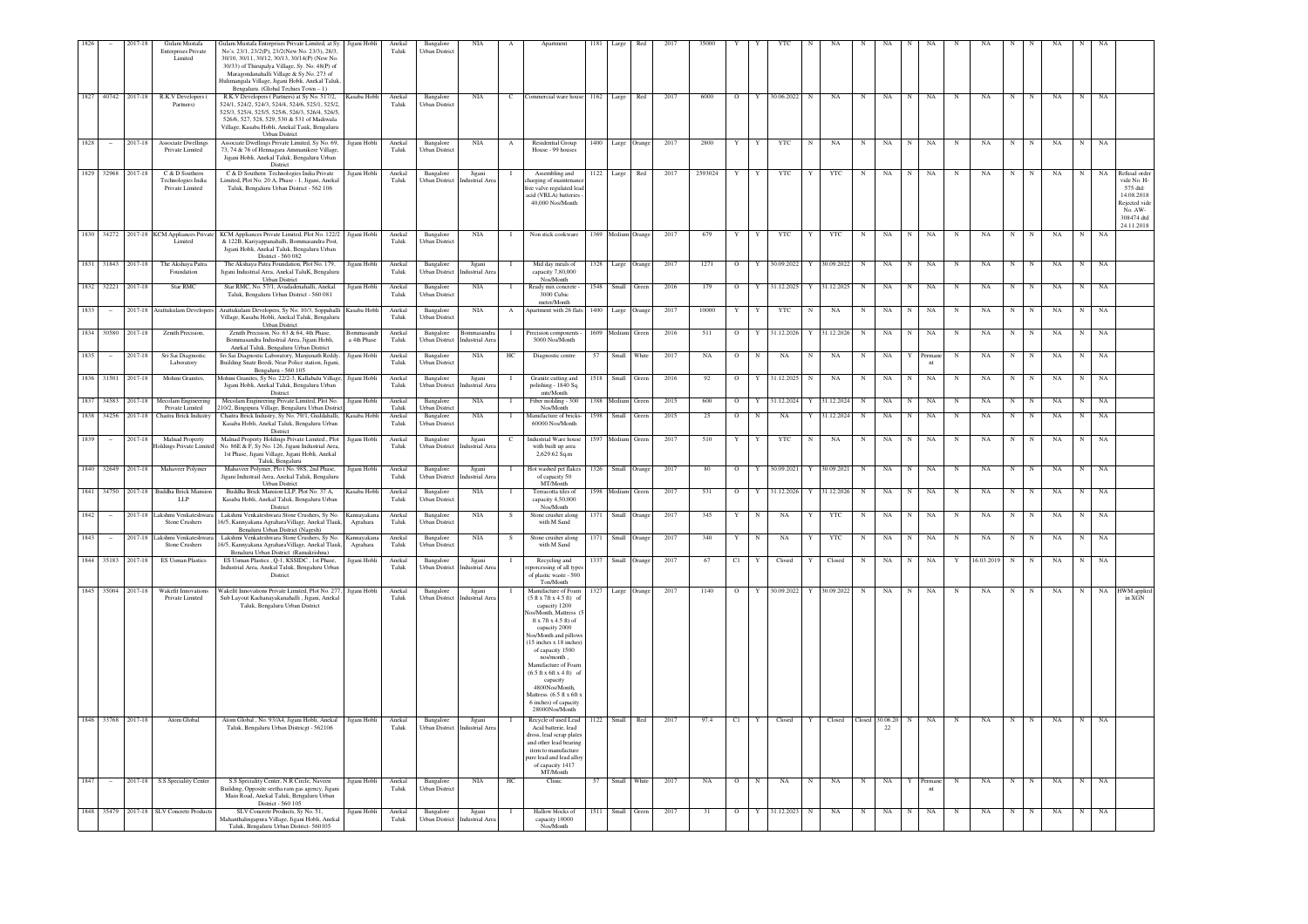| 1826 |        | 2017-18            | Gulam Mustafa<br><b>Enterprises Private</b><br>Limited           | Gulam Mustafa Enterprises Private Limited, at Sy<br>No's 23/1 23/2(P) 23/2(New No. 23/3) 28/3<br>30/10, 30/11, 30/12, 30/13, 30/14(P) (New No<br>30/33) of Thirupalya Village, Sy. No. 48(P) of<br>Maragondanahalli Village & Sy.No. 273 of<br>Hulimangala Village, Jigani Hobli, Anekal Taluk<br>Bengaluru. (Global Techies Town - 1) | Jigani Hobli            | Anekal<br>Taluk | <b>Urban District</b>              | NIA                     |              | Apartmen                                                                                                                                                                                                                                                                                                                                                                                | 1181 | Large              | Red               | 2017 | 35000   |                |              |            |              |                        |                 |                 |            |              |            |           |                |            |           |            |           |                                                                                                                |
|------|--------|--------------------|------------------------------------------------------------------|----------------------------------------------------------------------------------------------------------------------------------------------------------------------------------------------------------------------------------------------------------------------------------------------------------------------------------------|-------------------------|-----------------|------------------------------------|-------------------------|--------------|-----------------------------------------------------------------------------------------------------------------------------------------------------------------------------------------------------------------------------------------------------------------------------------------------------------------------------------------------------------------------------------------|------|--------------------|-------------------|------|---------|----------------|--------------|------------|--------------|------------------------|-----------------|-----------------|------------|--------------|------------|-----------|----------------|------------|-----------|------------|-----------|----------------------------------------------------------------------------------------------------------------|
|      |        |                    | 1827 40742 2017-18 R.K.V Developers (<br>Partners)               | R.K.V Developers (Partners) at Sy No. 517/2,<br>524/1 524/2 524/3 524/4 524/6 525/1 525/2<br>525/3, 525/4, 525/5, 525/6, 526/3, 526/4, 526/5<br>526/6, 527, 528, 529, 530 & 531 of Madiwala<br>Village, Kasaba Hobli, Anekal Tauk, Bengaluru<br><b>Urban District</b>                                                                  | Kasaba Hobli            | Anekal<br>Taluk | Bangalore<br><b>Urban District</b> | <b>NIA</b>              | c            | Commercial ware house                                                                                                                                                                                                                                                                                                                                                                   |      | 1162 Large Red     |                   | 2017 | 6000    | $\circ$        |              | 30.06.2022 | $_{\rm N}$   | NA                     | $_{\mathrm{N}}$ | $_{\rm NA}$     | $_{\rm N}$ | NA           | $_{\rm N}$ | NA        | $_{\rm N}$     | $_{\rm N}$ | NA        | $_{\rm N}$ | NA        |                                                                                                                |
| 1828 |        | 2017-18            | <b>Associate Dwellings</b><br>Private Limited                    | Associate Dwellings Private Limited, Sy No. 69,<br>73, 74 & 76 of Hennagara Ammanikere Village,<br>Jigani Hobli, Anekal Taluk, Bengaluru Urban                                                                                                                                                                                         | Jigani Hobli            | Anekal<br>Taluk | Bangalore<br>Urban Distric         | <b>NIA</b>              |              | <b>Residential Group</b><br>House - 99 houses                                                                                                                                                                                                                                                                                                                                           |      |                    | 1400 Large Orange | 2017 | 2800    | Y              | Y            | YTC        |              | NA                     | N               | NA              | N          | NA           | N          | NA        | N              | N          | NA        |            | NA        |                                                                                                                |
| 1829 | 32968  | 2017-18            | $C$ & D Southern<br><b>Technologies India</b><br>Private Limited | District<br>C & D Southern Technologies India Private<br>Limited, Plot No. 20 A, Phase - 1, Jigani, Anekal<br>Taluk. Bengaluru Urban District - 562 106                                                                                                                                                                                | Jigani Hobli            | Anekal<br>Taluk | Bangalore<br><b>Urban District</b> | Jigani<br>ndustrial Are |              | Assembling and<br>harging of maintenar<br>ree valve regulated lead<br>acid (VRLA) batteries<br>40,000 Nos/Month                                                                                                                                                                                                                                                                         |      | 1122 Large         | Red               | 2017 | 2593024 |                |              | <b>YTC</b> |              | <b>YTC</b>             | N               | NA <sup>-</sup> | N          | <b>NA</b>    | N          | <b>NA</b> | N              | N          | NA.       | N          | NA        | Refusal order<br>vide No. H-<br>575 dtd:<br>14.08.2018<br>Rejected vide<br>No. AW-<br>308474 dtd<br>24.11.2018 |
|      |        |                    | 1830 34272 2017-18 KCM Appliances Private<br>Limited             | KCM Appliances Private Limited, Plot No. 122/2<br>& 122B, Kariyappanahalli, Bommasandra Post,<br>Jigani Hobli, Anekal Taluk, Bengaluru Urban<br>District - 560 082                                                                                                                                                                     | Jigani Hobli            | Anekal<br>Taluk | Bangalore<br><b>Urban District</b> | <b>NIA</b>              | $\mathbf{I}$ | Non stick cookware                                                                                                                                                                                                                                                                                                                                                                      |      | 1369 Medium Orange |                   | 2017 | 679     | Y              | $\mathbf{Y}$ | YTC        | $\mathbf{Y}$ | <b>YTC</b>             | $_{\rm N}$      | NA              | N          | NA           | $_{\rm N}$ | NA        | $_{\rm N}$     | N          | NA        | N          | NA        |                                                                                                                |
|      |        | 1831 31843 2017-18 | The Akshaya Patra<br>Foundation                                  | The Akshaya Patra Foundation, Plot No. 179,<br>Jigani Industrial Area, Anekal TaluK, Bengaluru<br><b>Urban District</b>                                                                                                                                                                                                                | Jigani Hobli            | Anckal<br>Taluk | Bangalore<br>Urban Distric         | Jigani<br>ustrial Are   |              | Mid day meals of<br>capacity 7,80,000<br>Nos/Month                                                                                                                                                                                                                                                                                                                                      |      | 1328 Large         | Orange            | 2017 | 1271    | $\overline{O}$ |              | 30.09.2022 |              | 30.09.2022             | N               | NA              |            | NA           |            | NA        | N              |            | NA        |            | NA        |                                                                                                                |
|      |        | 1832 32221 2017-18 | Star RMC                                                         | Star RMC, No. 57/1, Avadadenahalli, Anekal<br>Taluk, Bengaluru Urban District - 560 081                                                                                                                                                                                                                                                | Jigani Hobli            | Anekal<br>Taluk | Bangalore<br><b>Urban District</b> | <b>NIA</b>              |              | Ready mix concrete<br>3000 Cubic<br>meter/Month                                                                                                                                                                                                                                                                                                                                         | 1548 |                    | Small Greet       | 2016 | 179     | $\circ$        |              | 31.12.2025 |              | 31.12.2025             | N               | NA              |            | NA           |            | NA        |                |            | NA        |            | NA        |                                                                                                                |
| 1833 |        |                    | 2017-18 Arattukulam Developer                                    | Arattukulam Developers, Sv No. 10/3, Soppahalli<br>Village, Kasaba Hobli, Anekal Taluk, Bengaluru<br>Urban District                                                                                                                                                                                                                    | Kasaba Hobl             | Anekal<br>Taluk | Bangalore<br><b>Urban Distric</b>  | <b>NIA</b>              | $\mathbf{A}$ | Apartment with 26 flats                                                                                                                                                                                                                                                                                                                                                                 |      | 1400 Large         | Orang             | 2017 | 10000   |                |              | <b>YTC</b> |              | NA                     | N               | <b>NA</b>       |            | NA.          |            | <b>NA</b> | N              |            | NA        |            | NA        |                                                                                                                |
| 1834 | 30580  | 2017-18            | Zenith Precision,                                                | Zenith Precision, No. 63 & 64, 4th Phase<br>Bommasandra Industrial Area, Jigani Hobli,<br>Anekal Taluk, Bengaluru Urban District                                                                                                                                                                                                       | a 4th Phase             | Anekal<br>Taluk | Bangalore<br><b>Urban District</b> | ndustrial Are           |              | ecision components<br>$5000$ Nos/Month                                                                                                                                                                                                                                                                                                                                                  | 1609 |                    | iree              | 2016 | 511     | $\overline{0}$ |              | 1.12.2026  |              | 31.12.2020             |                 | NA              |            | NA           |            | NA        |                |            | NA        |            | NA        |                                                                                                                |
| 1835 |        | 2017-18            | Sri Sai Diagnostic<br>Laboratory                                 | Sri Sai Diagnostic Laboratory, Manjunath Reddy,<br>Building Snate Beedi, Near Police station, Jigani,<br>Bengaluru - 560 105                                                                                                                                                                                                           | Jigani Hobli            | Anekal<br>Taluk | Bangalore<br><b>Urban District</b> | <b>NIA</b>              |              | Diagnostic centre                                                                                                                                                                                                                                                                                                                                                                       |      | Small              | White             | 2017 | NA      | $\Omega$       |              | NA         |              | NA                     |                 | NA              |            | Perma<br>nt  |            | <b>NA</b> |                |            | NA        |            | <b>NA</b> |                                                                                                                |
| 1836 | 31501  | 2017-18            | Mohini Granites.                                                 | Mohini Granites, Sy No. 22/2-3, Kallabalu Village.<br>Jigani Hobli, Anekal Taluk, Bengaluru Urban<br>District                                                                                                                                                                                                                          | Jigani Hobl             | Anekal<br>Taluk | Bangalore<br><b>Urban District</b> | Jigani<br>dustrial Are  |              | Granite cutting and<br>polishing - 1840 Sq.<br>$\mathrm{mtr/Month}$                                                                                                                                                                                                                                                                                                                     | 1518 | Small              | Gree              | 2016 | 92      | $\circ$        |              | 1.12.2025  |              | NA                     |                 | NA              |            | NA           |            | NA        |                |            | NA        |            | NA        |                                                                                                                |
| 1837 | 34583  | 2017-18            | Mecolam Engineering<br>Private Limited                           | Mecolam Engineering Private Limited, Plot No.<br>210/2, Bingipura Village, Bengaluru Urban Distric                                                                                                                                                                                                                                     | Jigani Hobli            | Anekal<br>Taluk | Bangalore<br><b>Urban Distric</b>  | <b>NIA</b>              |              | Fiber molding - 300<br>Nos/Month                                                                                                                                                                                                                                                                                                                                                        | 1388 | Medium             | Greet             | 2015 | 600     | $\Omega$       |              | 31.12.2024 |              | 31.12.2024             | N               | NA              |            | NA           | N          | NA        |                |            | NA        |            | NA        |                                                                                                                |
| 1838 | 34256  |                    | 2017-18 Chaitra Brick Industry                                   | Chaitra Brick Industry, Sy No. 79/1, Guddahalli,<br>Kasaba Hobli, Anekal Taluk, Bengaluru Urban<br>District                                                                                                                                                                                                                            | Kasaba Hobl             | Anekal<br>Taluk | Bangalore<br><b>Urban Distric</b>  | <b>NIA</b>              |              | Manufacture of bricks-<br>60000 Nos/Month                                                                                                                                                                                                                                                                                                                                               | 1598 | Small              | Green             | 2015 | 25      | $\Omega$       | $_{\rm N}$   | NA         |              | 31.12.2024             | N               | <b>NA</b>       | N          | NA           | N          | NA        | N              | N          | <b>NA</b> | N          | NA        |                                                                                                                |
| 1839 |        | 2017-18            | Malnad Property<br>oldings Private Limit                         | Malnad Property Holdings Private Limited., Plot<br>No. 86E & F, Sy No. 126, Jigani Industrial Area,<br>1st Phase, Jigani Village, Jigani Hobli, Anekal<br>Taluk, Bengaluru                                                                                                                                                             | Jigani Hobli            | Anekal<br>Taluk | Bangalore<br><b>Urban District</b> | Jigani<br>ustrial An    |              | Industrial Ware house<br>with built up area<br>2,629.62 Sq.m                                                                                                                                                                                                                                                                                                                            | 1597 | Medium             | Green             | 2017 | 510     | Y              | Y            | YTC        | N            | NA                     | N               | NA              | N          | NA           | N          | NA        | N              | N          | NA        | N          | NA        |                                                                                                                |
|      |        | 1840 32649 2017-18 | Mahaveer Polymer                                                 | Mahaveer Polymer, Plo t No. 98S, 2nd Phase.<br>Jigani Industrail Area, Anekal Taluk, Bengaluru<br><b>Urban District</b>                                                                                                                                                                                                                | Jigani Hobli            | Anekal<br>Taluk | Bangalore<br><b>Urban District</b> | Jigani<br>dustrial An   |              | Hot washed pet flakes<br>of canacity 50<br>MT/Month                                                                                                                                                                                                                                                                                                                                     |      | 1326 Small Orang   |                   | 2017 | 80      | $\circ$        | $\mathbf{Y}$ | 30.09.2021 |              | Y 30.09.2021           | $\mathbb{N}$    | NA              | $_{\rm N}$ | NA           | N          | NA        | $_{\rm N}$     | N          | NA        | N          | NA        |                                                                                                                |
|      |        |                    | 1841 34750 2017-18 Buddha Brick Mansion<br>LLP                   | Buddha Brick Mansion LLP, Plot No. 37 A,<br>Kasaba Hobli, Anekal Taluk, Bengaluru Urban<br>District                                                                                                                                                                                                                                    | Kasaba Hobli            | Anckal<br>Taluk | Bangalore<br><b>Urban District</b> | <b>NIA</b>              |              | Terracotta tiles of<br>capacity 4,50,000<br>Nos/Month                                                                                                                                                                                                                                                                                                                                   |      | 1598 Medium        | Green             | 2017 | 531     | $\circ$        | Y            | 31.12.2026 |              | 31.12.2026             | N               | NA              | N          | NA           | N          | NA        | $_{\rm N}$     | N          | NA        | N          | NA        |                                                                                                                |
| 1842 |        |                    | 2017-18 Lakshmi Venkateshwara<br><b>Stone Crushers</b>           | Lakshmi Venkateshwara Stone Crushers, Sy No.<br>16/5, Kannyakana AgraharaVillage, Anekal Tlauk<br>Benaluru Urban District (Nagesh)                                                                                                                                                                                                     | annayakan.<br>Agrahara  | Anekal<br>Taluk | Bangalore<br><b>Urban District</b> | <b>NIA</b>              |              | Stone crusher along<br>with M Sand                                                                                                                                                                                                                                                                                                                                                      | 1371 | Small              | Orang             | 2017 | 345     |                | N            | NA         |              | <b>YTC</b>             | N               | NA              |            | NA           |            | NA        | N              |            | NA        |            | NA        |                                                                                                                |
| 1843 |        |                    | 2017-18 Lakshmi Venkateshwara<br><b>Stone Crushers</b>           | Lakshmi Venkateshwara Stone Crushers, Sv No.<br>16/5, Kannyakana Agrahara Village, Anekal Tlauk<br>Benaluru Urban District (Ramakrishna)                                                                                                                                                                                               | Kannavakana<br>Agrahara | Anckal<br>Taluk | Bangalore<br><b>Urban District</b> | NIA                     |              | Stone crusher along<br>with M Sand                                                                                                                                                                                                                                                                                                                                                      | 1371 | Small              | Orang             | 2017 | 340     | Y              | N            | <b>NA</b>  |              | <b>YTC</b>             | N               | NA              | N          | NA.          | N          | <b>NA</b> | N              | N          | <b>NA</b> | N          | NA        |                                                                                                                |
| 1844 | 35183  | 2017-18            | ES Usman Plastics                                                | ES Usman Plastics , Q-1, KSSIDC, 1st Phase,<br>Industrial Area, Anekal Taluk, Bengaluru Urbar<br>District                                                                                                                                                                                                                              | Jigani Hobli            | Anekal<br>Taluk | Bangalore<br>Urban Distric         | Jigani<br>strial An     |              | Recycling and<br>porcessing of all type<br>of plastic waste - 500<br>Ton/Month                                                                                                                                                                                                                                                                                                          | 1337 | Small              | <b>Orang</b>      | 2017 |         | C1             |              | Closed     |              | Closed                 | N               | <b>NA</b>       |            | NA           |            | 16.03.201 | $\overline{N}$ |            | NA        |            | NA        |                                                                                                                |
| 1845 |        | 35004 2017-18      | <b>Wakefit Innovations</b><br>Private Limited                    | Wakefit Innovations Private Limited Plot No. 27<br>Sub Lavout Kachanavakanahalli , Jigani, Anekal<br>Taluk, Bengaluru Urban District                                                                                                                                                                                                   | Jigani Hobli            | Anekal<br>Taluk | Bangalore<br><b>Urban District</b> | Jigani<br>ndustrial Are |              | Manufacture of Foam<br>$(5 ft x 7 ft x 4.5 ft)$ o<br>capacity 1200<br>os/Month, Mattress<br>ft x 7ft x 4.5 ft) of<br>capacity 2000<br><b>Nos/Month</b> and pillow<br>$(15$ inches x 18 inches)<br>of capacity 1500<br>nos/month<br>Manufacture of Foan<br>$(6.5$ ft x 6ft x 4 ft) of<br>capacity<br>4800Nos/Month,<br>Mattress (6.5 ft x 6ft<br>6 inches) of capacity<br>28000Nos/Month | 1327 | Large Orang        |                   | 2017 | 1140    | $\Omega$       |              | 30.09.2022 |              | 30.09.2022             | N               | NA              | N          | NA.          |            | NA.       | N              |            | <b>NA</b> | N          | <b>NA</b> | HWM applie<br>in XGN                                                                                           |
| 1846 |        | 33768 2017-18      | Atom Global                                                      | Atom Global, No. 93/A4, Jigani Hobli, Anekal<br>Taluk, Bengaluru Urban Districgt - 562106                                                                                                                                                                                                                                              | Jigani Hobli            | Anekal<br>Taluk | Bangalore<br><b>Urban District</b> | Jigani<br>ndustrial Are |              | Recycle of used Lead<br>Acid batterie, lead<br>fross, lead scrap plate.<br>and other lead bearing<br>item to manufacture<br>ire lead and lead alk<br>of capacity 1417<br>MT/Month                                                                                                                                                                                                       |      | 1122 Small Red     |                   | 2017 | 97.4    | C1             | Y            | Closed     | Y            | Closed Closed 30.06.20 |                 | 22              | $_{\rm N}$ | NA           | $_{\rm N}$ | <b>NA</b> | $\mathbf N$    | N          | <b>NA</b> | N          | NA        |                                                                                                                |
| 1847 | $\sim$ |                    | 2017-18 S.S Speciality Center                                    | S.S Speciality Center, N.R Circle, Naveen<br>Building, Opposite seetha ram gas agency, Jigani<br>Main Road, Anekal Taluk, Bengaluru Urban<br>District - 560 105                                                                                                                                                                        | Jigani Hobli            | Anekal<br>Taluk | Bangalore<br><b>Urban District</b> | <b>NIA</b>              | HC           | Clinic                                                                                                                                                                                                                                                                                                                                                                                  | 57   |                    | Small White       | 2017 | NA      | $\circ$        | $_{\rm N}$   | NA         | N            | $_{\rm NA}$            | N               | NA              | Y          | Perman<br>nt | N          | NA        | N              | N          | NA        | N          | NA        |                                                                                                                |
| 1848 | 35479  |                    | 2017-18 SLV Concrete Products                                    | SLV Concrete Products, Sy No. 51,<br>Mahanthalingapura Village, Jigani Hobli, Anekal<br>Taluk, Bengaluru Urban District- 560105                                                                                                                                                                                                        | Jigani Hobli            | Anckal<br>Taluk | Bangalore<br><b>Urban District</b> | Jigani<br>dustrial An   |              | Hallow blocks of<br>capacity 10000<br>Nos/Month                                                                                                                                                                                                                                                                                                                                         | 1511 | Small              | Greer             | 2017 | 31      | $\circ$        |              | 31.12.2023 |              | NA                     | N               | NA              |            | NA           |            | NA        | N              | N          | NA        |            | NA        |                                                                                                                |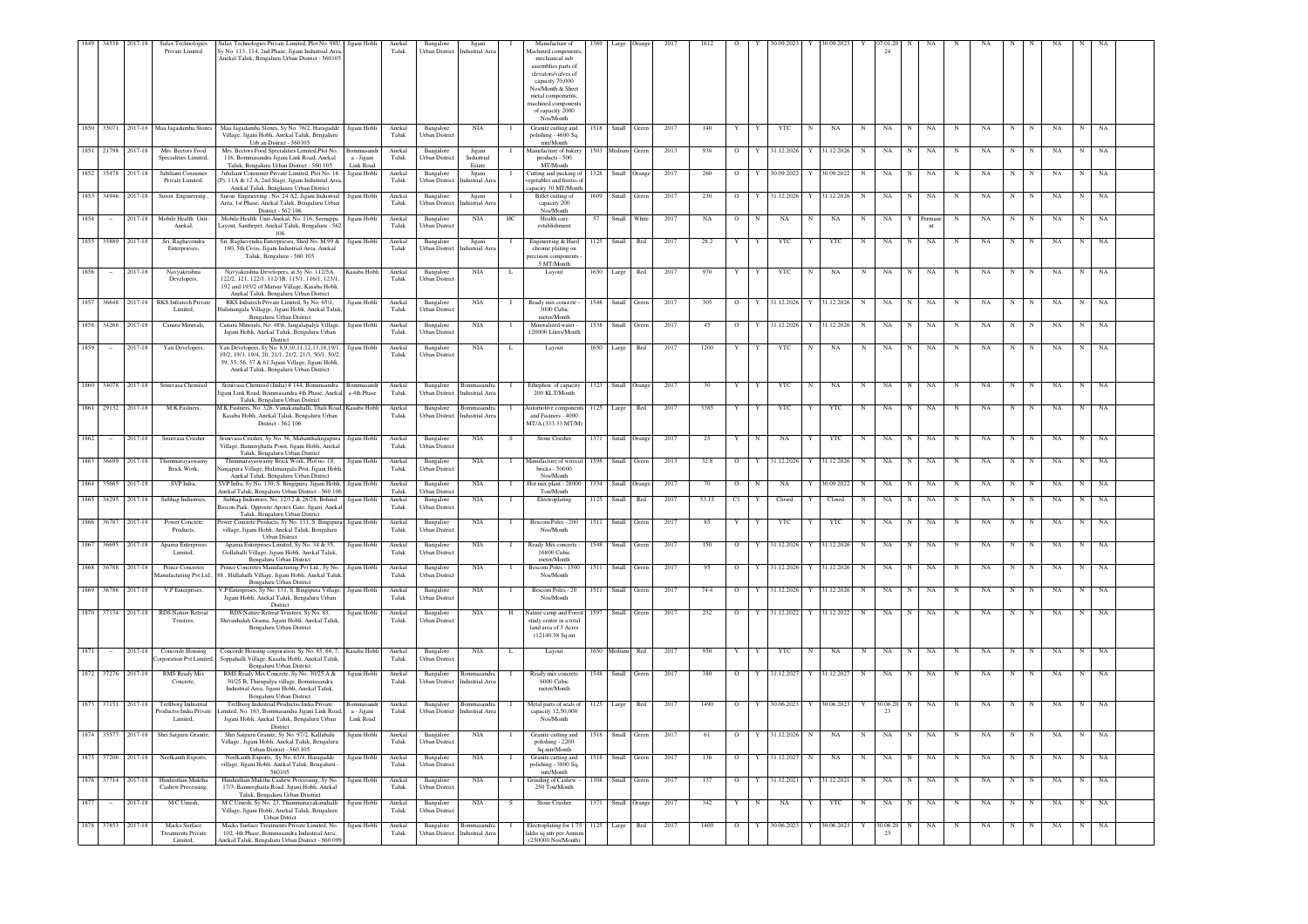|              |               | 1849 34538 2017-18 | Sulax Technologies<br>Private Limited                                     | Sulax Technologies Private Limited, Plot No. 98U, Jigani Hobli<br>Sy No. 113, 114, 2nd Phase, Jigani Industrial Area,<br>Anekal Taluk, Bengaluru Urban District - 560105                               |                                 | Anckal<br>Taluk                   | Bangalore<br>Jrban District        | Jigani<br>dustrial Area                      |              | Manufacture of<br>Aachined components<br>mechanical sub<br>assemblies parts of<br>elevators/valves of<br>capacity 70,000<br>Nos/Month & Sheet<br>metal compoments,<br>nachined components<br>of capacity $\rm\bar{2}000$<br>Nos/Month |              | 1369 Large       | Orange               | 2017         | 1612                    | $\circ$  | Y |              |   | 30.09.2023 Y 30.09.2023 | Y          | 07.01.20<br>24    |            | NA                |   | NA                |            |            | NA        | N          |                   |  |
|--------------|---------------|--------------------|---------------------------------------------------------------------------|--------------------------------------------------------------------------------------------------------------------------------------------------------------------------------------------------------|---------------------------------|-----------------------------------|------------------------------------|----------------------------------------------|--------------|---------------------------------------------------------------------------------------------------------------------------------------------------------------------------------------------------------------------------------------|--------------|------------------|----------------------|--------------|-------------------------|----------|---|--------------|---|-------------------------|------------|-------------------|------------|-------------------|---|-------------------|------------|------------|-----------|------------|-------------------|--|
|              |               |                    | 1850 35071 2017-18 Maa Jagadamba Stones                                   | Maa Jagadamba Stones, Sy No. 76/2, Haragadde Jigani Hobli<br>Village, Jigani Hobli, Anekal Taluk, Bengaluru<br>Urb an District - 560105                                                                |                                 | Anckal<br>Taluk                   | Bangalore<br><b>Irban District</b> | <b>NIA</b>                                   |              | Granite cutting and<br>polishing - 4600 Sq.<br>$\mathrm{mtr/Month}$                                                                                                                                                                   | 1518         | Small            | Green                | 2017         | 140                     |          |   | <b>YTC</b>   |   | NA                      |            | <b>NA</b>         |            | NA.               |   | <b>NA</b>         |            |            | NA        |            | NA                |  |
|              | 1851 21798    | 2017-18            | Mrs. Bectors Food<br>Specialities Limited                                 | Mrs. Bectors Food Specialities Limited, Plot No.<br>116, Bommasandra Jigani Link Road, Anekal<br>Taluk, Bengaluru Urban District - 560 105                                                             | a - Jigani<br>Link Road         | Anekal<br>Taluk                   | Bangalore<br>Urban Distric         | Jigani<br>Industrial<br>Estate               |              | Manufacture of bakery<br>$\text{products}\text{-}500$<br>MT/Month                                                                                                                                                                     |              | 1503 Medium      | Green                | 2013         | 938                     |          |   | 31.12.2026   |   | Y 31.12.2026            | N          | NA                |            | NA                |   | NA                | N          |            | NA        |            | NA                |  |
| 1852         | 35478         | 2017-18            | Jubiliant Consumer<br>Private Limited,                                    | Jubiliant Consumer Private Limited, Plot No. 16<br>(P), 11A & 12 A, 2nd Stage, Jigani Industrial Area,<br>Anekal Taluk, Benglauru Urban District                                                       | Jigani Hobli                    | Anckal<br>Taluk                   | Bangalore<br><b>Irban District</b> | Jigani<br>dustrial Area                      |              | Cutting and packing of<br>egetables and fruitss of<br>apacity 30 MT/Mont                                                                                                                                                              |              | 1328 Small       | Orange               | 2017         | 260                     | $\Omega$ |   | 0.09.202     |   | 30.09.202               |            | NA                |            | NA                |   | <b>NA</b>         |            |            |           |            | NA                |  |
| 1853         |               | 34946 2017-18      | Suron Engineering                                                         | Suron Engineering, No. 24 A2, Jigani Industrial<br>Area, 1st Phase, Anekal Taluk, Bengaluru Urban<br>District - 562 106                                                                                | Jigani Hobli                    | Anekal<br>Taluk                   | Bangalore<br><b>Urban District</b> | Jigani<br>ndustrial Are                      |              | Billet cutting of<br>canacity 200<br>Nos/Month                                                                                                                                                                                        | 1609         | Small            | Greet                | 2017         | 230                     |          |   | 31.12.2026   |   | 31.12.2026              |            | NA                |            | NA                |   | NA                |            |            | NA        |            | NA                |  |
| 1854         |               | 2017-18            | Mobile Health Unit-<br>Anekal,                                            | Mobile Health Unit-Anekal, No. 116, Seenappa<br>Layout, Santhepet, Anekal Taluk, Bengaluru - 562<br>106                                                                                                | Jigani Hobli                    | Anekal<br>Taluk                   | Bangalore<br><b>Irban Distri</b>   | NIA                                          |              | Health care<br>establishmen                                                                                                                                                                                                           | 57           | Small            | White                | 2017         | NA                      |          |   | NA           |   | NA                      |            | NA                |            | erman<br>nt       |   | NA                |            |            | NA        |            | NA                |  |
|              | 1855 35889    | 2017-18            | Sri. Raghavendra<br>Enterprieses,                                         | Sri. Raghavendra Enterprieses, Shed No. M 99 &<br>100, 5th Cross, Jigani Industrial Area, Anekal<br>Taluk, Bengaluru - 560 105                                                                         | Jigani Hobli                    | Anekal<br>Taluk                   | Bangalore<br>Urban Distric         | Jigani<br>dustrial Are                       |              | Engineering & Hard<br>chrome plating on<br>recision components<br>5 MT/Month                                                                                                                                                          | 1125         | Small            | Red                  | 2017         | 28.2                    |          |   | YTC          |   | <b>YTC</b>              | N          | NA                | N          | NA                | N | NA.               | N          |            | NA        |            | NA                |  |
| 1856         |               | 2017-18            | Navyakrishna<br>Developers,                                               | Navyakrishna Developers, at Sy No. 112/5A,<br>122/2, 121, 122/1, 112/1B, 115/1, 116/1, 123/1.<br>192 and 193/2 of Marsur Village Kasaba Hobli<br>Anekal Taluk, Bengaluru Urban District                | Kasaba Hot                      | Aneka<br>Taluk                    | Bangalore<br>Urban District        | NIA                                          |              | Layout                                                                                                                                                                                                                                | 1650         | Large            | Red                  | 2017         | 970                     |          |   | YTC          |   | NA                      |            | NA                |            | NA                |   | NA                |            |            | NA        |            | NA                |  |
| 1857         |               | 36648 2017-18      | <b>RKS</b> Infratech Private<br>Limited,                                  | RKS Infratech Private Limited, Sv No. 65\1.<br>gala Villagge, Jigani Hobli, Anekal Taluk<br>Bengaluru Urban District                                                                                   | Jigani Hobli                    | Anekal<br>Taluk                   | Bangalore<br>rban Distri           | <b>NIA</b>                                   |              | Ready mix concrete -<br>3000 Cubic<br>meter/Month                                                                                                                                                                                     |              | 1548 Small       | Green                | 2017         | 305                     | $\circ$  |   | 31.12.2026   |   | Y 31.12.2026            | N          | NA                | N          | NA                | N | NA                | N          | N          | <b>NA</b> | N          | NA                |  |
|              | 1858 34268    | 2017-18            | Canara Minerals,                                                          | Canara Minerals, No. 48'6, Jangalapalya Village,<br>Jigani Hobli, Anekal Taluk, Bengaluru Urban<br>District                                                                                            | Jigani Hobli                    | Anekal<br>Taluk                   | Bangalore<br><b>Urban District</b> | $_{\rm NIA}$                                 |              | Mineralized water<br>120000 Liters/Month                                                                                                                                                                                              |              | 1538 Small Green |                      | 2017         | 45                      | $\circ$  |   | 31.12.2026   |   | 31.12.2026              | $_{\rm N}$ | $_{\rm NA}$       | $_{\rm N}$ | $_{\rm NA}$       | N | $_{\rm NA}$       | N          | N          | NA        | $_{\rm N}$ | $_{\rm NA}$       |  |
| 1859         | $\sim$        | 2017-18            | Yati Developers,                                                          | Yati Developers, Sy No. 8,9,10,11,12,13,18,19/1,<br>19/2, 19/3, 19/4, 20, 21/1, 21/2, 21/3, 50/1, 50/2,<br>59, 55, 56, 57 & 61 Jigani Village, Jigani Hobli,<br>Anekal Taluk, Bengaluru Urban District | Jigani Hobli                    | Anekal<br>Taluk                   | Bangalore<br><b>Irban District</b> | $_{\rm NIA}$                                 | $\mathbf{L}$ | Layout                                                                                                                                                                                                                                |              | $1650$ Large     | Red                  | 2017         | 1200                    |          |   | <b>YTC</b>   |   | NA                      | N          | NA                | N          | NA                | N | NA                | $_{\rm N}$ | N          | NA        | N          | NA                |  |
| 1860         | 34078         | 2017-18            | Sriniyasa Chemisol                                                        | Sriniyasa Chemisol (India) # 144. Bommaandra<br>Jigani Link Road, Bommasandra 4th Phase, Anekal<br>Taluk, Bengaluru Urban District                                                                     | <b>Bommasand</b><br>a 4th Phase | Anekal<br>Taluk                   | Bangalore<br><b>Irban District</b> | Bommasandra<br>ndustrial Area                |              | Ethephon of capacity<br>200 KLT/Month                                                                                                                                                                                                 | 1323         | Small            | Orange               | 2017         | 30                      |          |   | <b>YTC</b>   |   | <b>NA</b>               |            | NA.               |            | NA.               |   | <b>NA</b>         | N          |            | NA        |            |                   |  |
|              |               | 1861 29132 2017-18 | M.K Fastners.                                                             | M.K Fastners, No. 326, Vanakanahalli, Thali Road, Kasaba Hobli<br>Kasaba Hobli, Anekal Taluk, Bengaluru Urban<br>District - 562 106                                                                    |                                 | Anekal<br>Taluk                   | Bangalore<br><b>Irhan District</b> | tommacandr<br>Industrial Area                |              | utomotive componen<br>and Fastners - 4000<br>MT/A (333.33 MT/M)                                                                                                                                                                       |              | 1125 Large       | Red                  | 2017         | 3385                    |          |   | YTC          |   | YTC                     |            | NA                |            | NA                | N | NA                | N          |            |           |            | NA                |  |
|              |               | 2017-18            | Srinivasa Crusher                                                         | Srinivasa Crusher, Sy No. 56, Mahanthalingapura<br>Village, Bannerghatta Posst, Jigani Hobli, Anekal<br>Taluk, Bengaluru Urban District                                                                | Jigani Hobl                     | Anckal<br>Taluk                   | Bangalore<br>Jrban Distric         | <b>NIA</b>                                   |              | Stone Crusher                                                                                                                                                                                                                         | 1371         | Small            | rang                 | 2017         | 25                      |          |   | NA           |   | YTC                     |            | NA                |            | NA                |   | NA.               |            |            |           |            |                   |  |
| 1863         | 36699         | 2017-18            | l'himmarayaswam<br>Brick Work.                                            | Thimmarayaswamy Brick Work, Plot no. 18,<br>anjapura Village, Hulimangala Post, Jigani Hobli<br>Anekal Taluk, Bengaluru Urban District                                                                 | Jigani Hobli                    | Anekal<br>Taluk                   | Bangalore<br>Jrban District        | <b>NIA</b>                                   |              | Manufacture of wirecut<br>bricks - 50000<br>Nos/Month                                                                                                                                                                                 | 1598         | Small            | Green                | 2013         | 32.8                    |          |   | 31.12.2026   |   | 31.12.2026              |            | NA                |            | NA                |   | NA.               | N          |            | NA        |            | NA                |  |
| 1864<br>1865 | 3566<br>34295 | 2017-18<br>2017-18 | SVP Infra,<br>Subhag Industries,                                          | SVP Infra, Sy No. 130, S. Bingipura, Jigani Hobli,<br>Anekal Taluk, Bengaluru Urban District - 560 106<br>Subhag Industries, No. 12/12 & 28/28, Behind                                                 | Jigani Hobl<br>Jigani Hobli     | Aneka<br>${\rm T}$ aluk<br>Anekal | Bangalore<br>Jrban District        | NIA<br><b>NIA</b>                            |              | lot mix plant - 28000<br>$\operatorname{\mathsf{Top}}\nolimits\!\operatorname{\mathsf{Mont}}\nolimits$<br>Electroplating                                                                                                              | 1334<br>1125 | Small<br>Small   | <b>Drange</b><br>Red | 2017<br>2017 | 7 <sup>c</sup><br>53.15 | C1       | Y | NA<br>Closed |   | 30.09.202<br>Closed     | N          | NA<br>$_{\rm NA}$ | N          | NA<br>$_{\rm NA}$ | N | NA<br>$_{\rm NA}$ | $_{\rm N}$ | N          | <b>NA</b> | $_{\rm N}$ | NA<br>$_{\rm NA}$ |  |
|              |               |                    |                                                                           | Biocon Park, Opposite Apotex Gate, Jigani, Anekal<br>Taluk, Bengaluru Urban District                                                                                                                   |                                 | Taluk                             | Bangalore<br>Urban Distric         |                                              |              |                                                                                                                                                                                                                                       |              |                  |                      |              |                         |          |   |              |   |                         |            |                   |            |                   |   |                   |            |            |           |            |                   |  |
| 1866         | 36787         | 2017-18            | Power Concrete<br><b>Products</b>                                         | Power Concrete Products, Sy No. 131, S. Bingipura Jigani Hobli<br>village, Jigani Hobli, Anekal Taluk, Bengaluru<br><b>Urban District</b>                                                              |                                 | Anckal<br>Taluk                   | Bangalore<br>Urban Distric         | $_{\rm NIA}$                                 |              | Bescom Poles - 200<br>Nos/Month                                                                                                                                                                                                       | 1511         | Small            | Green                | 2017         | 85                      |          |   | <b>YTC</b>   |   | <b>YTC</b>              | N          | $_{\rm NA}$       | N          | NA                | N | NA                | $_{\rm N}$ | N          | NA        |            | NA                |  |
| 1867         | 36695         | 2017-18            | Aparna Enterprises<br>Limited                                             | Aparna Enterprises Limited, Sy No. 34 & 35,<br>Gollaballi Village Iigani Hobli Anekal Taluk<br>Bengaluru Urban District                                                                                | Jigani Hobli                    | Anekal<br>Taluk                   | Bangalore<br><b>Urban District</b> | <b>NIA</b>                                   |              | Ready Mix concrete<br>16800 Cubic<br>meter/Month                                                                                                                                                                                      | 1548         | Small            | Green                | 2017         | 150                     | $\circ$  |   | 31.12.2026   |   | 31.12.2026              |            | NA                | N          | $_{\rm NA}$       | N | NA                | N          | N          | NA        |            | NA                |  |
| 1868         | 36788         | 2017-18            | <b>Prince Concretes</b><br>lanufacturing Pvt Ltd.                         | Prince Concretes Manufacturing Pvt Ltd., Sy No.<br>88, Hullahalli Village, Jigani Hobli, Anekal Taluk<br>Bengaluru Urban District                                                                      | Jigani Hobli                    | Anckal<br>Taluk                   | Bangalore<br>Jrban Distric         | <b>NIA</b>                                   |              | Bescom Poles - 1500<br>Nos/Month                                                                                                                                                                                                      | 1511         | Small            | Green                | 2017         | 95                      | $\circ$  |   | 1.12.2026    |   | 31.12.2026              | N          | $_{\rm NA}$       | N          | $_{\rm NA}$       | N | $_{\rm NA}$       |            | N          | NA        |            | NA                |  |
| 1869         | 36786         | 2017-18            | V.P Enterprises.                                                          | V.P Enterprises, Sy No. 131, S. Bingipura Village,<br>Jigani Hobli, Anekal Taluk, Bengaluru Urban<br>District                                                                                          | Jigani Hobli                    | Anekal<br>Taluk                   | Bangalore<br>Urban Distric         | <b>NIA</b>                                   |              | Bescom Poles - 20<br>Nos/Month                                                                                                                                                                                                        | 1511         | Small            | Green                | 2017         | 744                     | $\Omega$ |   | 31.12.2026   |   | Y 31.12.2026            | N          | <b>NA</b>         | N          | <b>NA</b>         | N | NA                | $_{\rm N}$ | N          | <b>NA</b> |            | NA                |  |
| 1870         | 37134         | 2017-18            | <b>RDS</b> Nature Retreat<br>Trustees.                                    | RDS Nature Retreat Trustees, Sy No. 83,<br>Shivanhalali Grama, Jigani Hobli, Anekal Taluk<br>Bengaluru Urban District                                                                                  | Jigani Hobli                    | Anckal<br>Taluk                   | Bangalore<br>Jrban Distric         | <b>NIA</b>                                   |              | Nature camp and Forest<br>study center in a total<br>land area of 3 Acres<br>(12140.58 Sq.mt)                                                                                                                                         | 1597         | Small            | Green                | 2017         | 232                     | $\circ$  |   | 31.12.2022   |   | 31.12.2022              | N          | NA                | N          | NA                | N | NA                | N          |            | NA        |            | NA                |  |
|              |               | 2017-18            | Concorde Housing<br>orporation Pvt Limite                                 | Concorde Housing corporation, Sy No. 85, 86, 7,<br>Soppahalli Village, Kasaba Hobli, Anekal Taluk,<br>Bengaluru Urban District                                                                         | Kasaba Hobi                     | Anekal<br>Taluk                   | Bangalore<br>Jrban Distric         | <b>NIA</b>                                   |              | Layout                                                                                                                                                                                                                                | 1650         | Mediur           | Red                  | 2017         | 950                     |          |   | YTC          |   | <b>NA</b>               |            | NA                |            | NA                |   | NA                |            |            |           |            | NA                |  |
|              |               | 1872 37276 2017-18 | <b>RMS Ready Mix</b><br>Concrete.                                         | RMS Ready Mix Concrete, Sv No. 30/25 A &<br>30/25 B. Thirupalva village. Bommasandra<br>Industrial Area, Jigani Hobli, Anekal Taluk,<br>Bengaluru Urban District                                       | Jigani Hobli                    | Anekal<br>Taluk                   | Bangalore<br><b>Urban District</b> | <b>Bommasandra</b><br><b>Industrial Area</b> |              | Ready mix concrete<br>6000 Cubic<br>meter/Month                                                                                                                                                                                       | 1548         | Small            | Green                | 2017         | 380                     |          |   | 31.12.2027   |   | 31.12.2027              |            | NA                |            | <b>NA</b>         |   | NA.               |            |            | NA        |            | NA                |  |
|              | 1873 37151    | 2017-18            | <b>Trellborg Industrial</b><br><b>Productss India Private</b><br>Limited. | Trellborg Industrial Productss India Private<br>mited, No. 163, Bommasandra Jigani Link Road,<br>Jigani Hobli, Anekal Taluk, Bengaluru Urban<br>District                                               | a - Jigani<br>Link Road         | Anekal<br>Taluk                   | Bangalore<br><b>Urban District</b> | Industrial Area                              |              | Metal parts of seals of<br>capacity 12,50,000<br>Nos/Month                                                                                                                                                                            |              | 1125 Large       | Red                  | 2017         | 1490                    |          |   | 30.06.2023   |   | $Y = 30.06.2023$        |            | 60.06.20<br>23    |            | NA                |   | NA                |            |            | NA        |            | NA                |  |
|              |               |                    | 1874 35577 2017-18 Shri Satguru Granite,                                  | Shri Satguru Granite, Sy No. 97/2, Kallabalu<br>Village, Jigani Hobli, Anekal Taluk, Bengaluru<br>Urban District - 560 105                                                                             | Jigani Hobli                    | Anekal<br>Taluk                   | Bangalore<br>Jrban Distric         | <b>NIA</b>                                   |              | Granite cutting and<br>polishing - 2200<br>Sq.mtr/Month                                                                                                                                                                               |              | 1518 Small       | Green                | 2017         | 61                      | $\circ$  |   | 31.12.2026   | N | NA                      | N          | NA                | N          | NA                | N | NA                | N          | N          | <b>NA</b> | N          | NA                |  |
|              | 1875 37206    | 2017-18            | Neelkanth Exports,                                                        | Neelkanth Exports, Sy No. 65/4, Haragadde<br>village, Jigani Hobli, Anekal Taluk, Bengaluru -<br>560105                                                                                                | Jigani Hobli                    | Anekal<br>Taluk                   | Bangalore<br>Urban District        | $_{\rm NIA}$                                 |              | Granite cutting and<br>polishing - 3800 Sq,<br>mtr/Month                                                                                                                                                                              |              | 1518 Small       | Green                | 2017         | 136                     | $\circ$  |   | 31.12.2027   |   | $_{\rm NA}$             | $_{\rm N}$ | NA                | $_{\rm N}$ | NA                | N | NA                | $_{\rm N}$ | $_{\rm N}$ | NA        | N          | NA                |  |
| 1876         | 37714         | 2017-18            | Hindusthan Muktha<br>Cashew Processing,                                   | Hindusthan Muktha Cashew Processing, Sy No.<br>17/3, Bannerghatta Road, Jigani Hobli, Anekal<br>Taluk, Bengaluru Urban Disstrict                                                                       | Jigani Hobli                    | Anekal<br>Taluk                   | Bangalore<br>Urban District        | $_{\rm NIA}$                                 |              | <b>Grinding</b> of Cashew<br>250 Ton/Month                                                                                                                                                                                            | 1308         | Small            | Green                | 2017         | 137                     | $\circ$  |   | 31.12.2021   |   | 31.12.2021              | N          | $_{\rm NA}$       | N          | NA                | N | NA                | N          | N          | NA        |            | $_{\rm NA}$       |  |
|              |               | 2017-18            | M.C Umesh                                                                 | M.C Umesh, Sv No. 23. Thammanayakanahalli<br>Village, Jigani Hobli, Anekal Taluk, Bengaluru<br><b>Urban Ditrict</b>                                                                                    | Jigani Hobli                    | Anekal<br>Taluk                   | Bangalore<br>Urban Distric         | <b>NIA</b>                                   |              | Stone Crusher                                                                                                                                                                                                                         | 1371         |                  | Small Orange         | 2017         | 342                     |          | N | NA           |   | <b>YTC</b>              |            | NA                |            | NA                | N | NA                | N          | N          | NA        |            | NA                |  |
| 1878         | 37853         | 2017-18            | <b>Macks Surface</b><br><b>Treatments Private</b><br>Limited              | Macks Surface Treatments Private Limited, No.<br>102, 4th Phase, Bommasandra Industrial Area,<br>Anekal Taluk, Bengaluru Urban District - 560 099                                                      | Jigani Hobli                    | Anekal<br>Taluk                   | Bangalore<br>Urban District        | Bommasandra<br>Industrial Are                |              | Electroplating for 1.75<br>akhs sq mtr per Anni<br>(250000 Nos/Month)                                                                                                                                                                 | 1125         | Large            | Red                  | 2017         | 1400                    | $\circ$  |   | 0.06.2023    |   | 60.06.2023              |            | 30.06.20<br>23    |            | $_{\rm NA}$       |   | $_{\rm NA}$       |            |            | NA        |            |                   |  |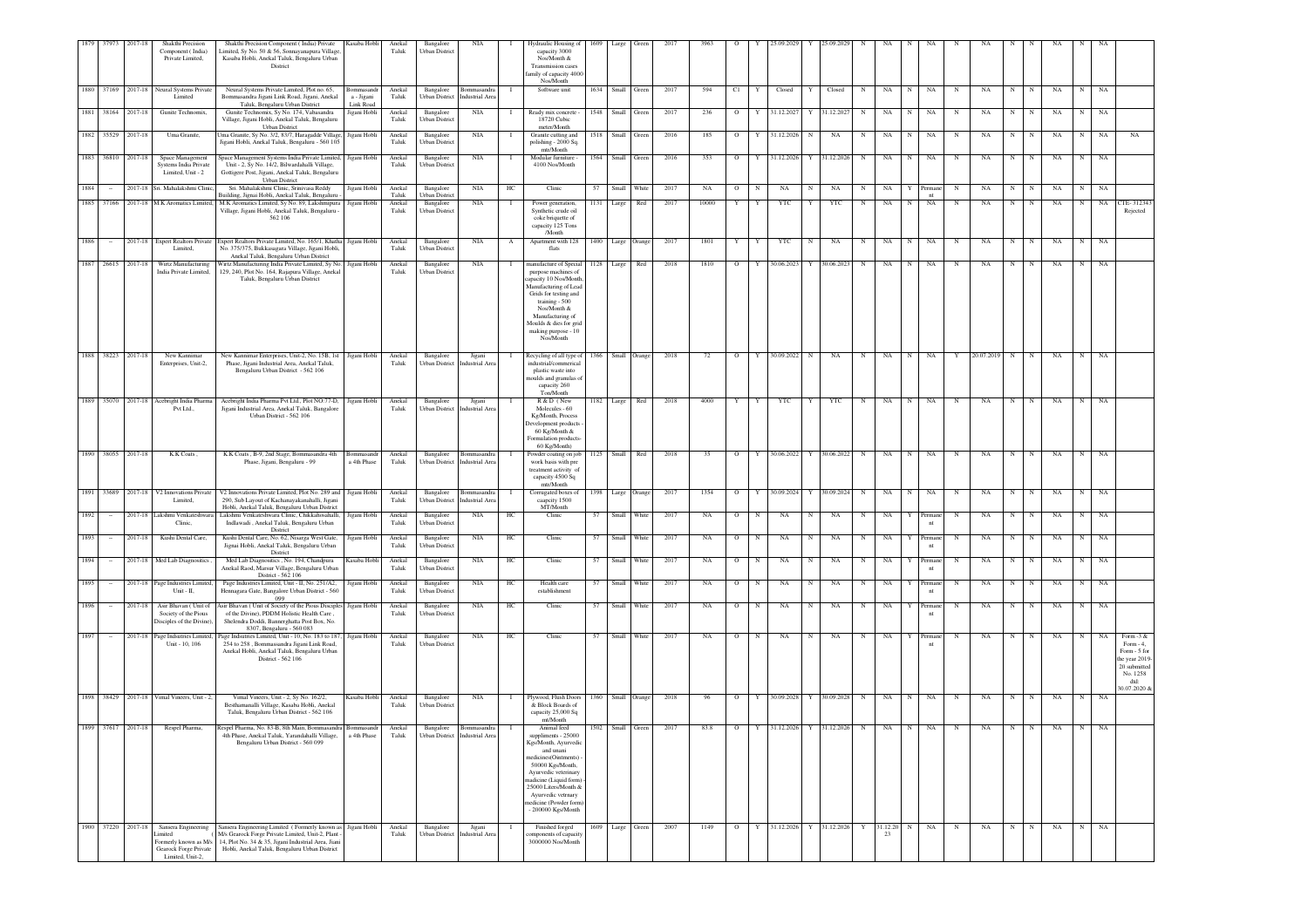| 1879               | 37973  | 2017-18            | Shakthi Precision<br>Component (India)<br>Private Limited,                 | Shakthi Precision Component (India) Private<br>Limited, Sy No. 50 & 56, Sonnayanapura Village,<br>Kasaba Hobli, Anekal Taluk, Bengaluru Urban<br>District                                                                                       | Kasaba Hobli                         | Anckal<br>Taluk | Bangalore<br><b>Urban Distric</b>  | <b>NIA</b>                            |              | <b>Hydraulic Housing of</b><br>capacity 3000<br>Nos/Month &<br>Transmission cases<br>amily of capacity 4000<br>Nos/Month                                                                                                                        | 1609           | Large | Green            | 2017 | 396.  |         |   | 15.09.2029               |   | 25.09.202      |            |                |                 |                                       |            |            |            |                          |             |                 |                                                                                                                      |
|--------------------|--------|--------------------|----------------------------------------------------------------------------|-------------------------------------------------------------------------------------------------------------------------------------------------------------------------------------------------------------------------------------------------|--------------------------------------|-----------------|------------------------------------|---------------------------------------|--------------|-------------------------------------------------------------------------------------------------------------------------------------------------------------------------------------------------------------------------------------------------|----------------|-------|------------------|------|-------|---------|---|--------------------------|---|----------------|------------|----------------|-----------------|---------------------------------------|------------|------------|------------|--------------------------|-------------|-----------------|----------------------------------------------------------------------------------------------------------------------|
|                    |        |                    | 1880 37169 2017-18 Neural Systems Private<br>Limited                       | Neural Systems Private Limited, Plot no. 65,<br>Bommasandra Jigani Link Road, Jigani, Anekal<br>Taluk, Bengaluru Urban District                                                                                                                 | Bommasand<br>a - Jigani<br>Link Road | Anekal<br>Taluk | Bangalore<br><b>Urban District</b> | Bommasandra<br>Industrial Area        |              | Software unit                                                                                                                                                                                                                                   |                |       | 1634 Small Green | 2017 | 594   | C1      |   | Closed                   |   | Closed         | N          | NA             | N               | NA                                    | $_{\rm N}$ | NA         | N          |                          | NA          |                 | NA                                                                                                                   |
| 1881 38164         |        | 2017-18            | Gunite Technomix,                                                          | Gunite Technomix, Sy No. 174, Vabasandra<br>Village, Jigani Hobli, Anekal Taluk, Bengaluru<br><b>Urban District</b>                                                                                                                             | Jigani Hobli                         | Anekal<br>Taluk | Bangalore<br><b>Urban Distric</b>  | $_{\rm NIA}$                          |              | Ready mix concrete<br>18720 Cubic<br>meter/Month                                                                                                                                                                                                | 1548           | Small | Greer            | 2017 | 236   | $\circ$ |   | 31.12.2027               |   | 31.12.2027     |            | NA             |                 | NA                                    | N          | NA         | N          | N                        | NA          |                 | NA                                                                                                                   |
|                    |        | 1882 35529 2017-18 | Uma Granite,                                                               | Uma Granite, Sy No. 3/2, 83/7, Haragadde Village, Jigani Hobli<br>Jigani Hobli, Anekal Taluk, Bengaluru - 560 105                                                                                                                               |                                      | Anekal<br>Taluk | Bangalore<br><b>Urban Distric</b>  | <b>NIA</b>                            |              | Granite cutting and<br>polishing - 2000 Sq.<br>mtr/Month                                                                                                                                                                                        | 1518 Small     |       | Green            | 2016 | 185   | $\circ$ |   | 31.12.2026               | N | NA             | N          | NA             | N               | NA                                    | $_{\rm N}$ | NA         | N          | N                        | NA          | N               | NA<br>NA                                                                                                             |
|                    |        | 1883 36810 2017-18 | Space Management<br><b>Systems India Private</b><br>Limited, Unit - 2      | Space Management Systems India Private Limited, Jigani Hobli<br>Unit - 2, Sy No. 14/2, Bilwardahalli Village,<br>Gottigere Post, Jigani, Anekal Taluk, Bengaluru<br><b>Urban District</b>                                                       |                                      | Anckal<br>Taluk | Bangalore<br><b>Urban District</b> | <b>NIA</b>                            |              | Modular furniture -<br>4100 Nos/Month                                                                                                                                                                                                           | 1564 Small     |       | Green            | 2016 | 353   | $\circ$ | Y | 31.12.2026               |   | Y 31.12.2026   | N          | NA             | N               | NA                                    | N          | NA         | N          | N                        | NA          | N               | NA                                                                                                                   |
| 1884               |        |                    | 2017-18 Sri. Mahalakshmi Clinic                                            | Sri. Mahalakshmi Clinic, Srinivasa Reddy<br>Building, Jignai Hobli, Anekal Taluk, Bengaluru                                                                                                                                                     | Jigani Hobli                         | Anekal<br>Taluk | Bangalore<br><b>Urban Distric</b>  | $_{\rm NIA}$                          | HC           | Clinic                                                                                                                                                                                                                                          | 57             | Small | White            | 2017 | NA    | $\circ$ | N | <b>NA</b>                | N | NA             | N          | NA             |                 | Permane<br>nt                         | N          | NA         | N          | N                        | NA          | N               | <b>NA</b>                                                                                                            |
| 1885 37166         |        |                    | 2017-18 M.K Aromatics Limited,                                             | M.K Aromatics Limited, Sy No. 89, Lakshmipura<br>Village, Jigani Hobli, Anekal Taluk, Bengaluru -<br>562 106                                                                                                                                    | Jigani Hobli                         | Anekal<br>Taluk | Bangalore<br><b>Urban District</b> | NIA                                   |              | Power generation,<br>Synthetic crude oil<br>coke briquette of<br>capacity 125 Tons<br>/Month                                                                                                                                                    | 1131 Large     |       | Red              | 2017 | 10000 |         |   | <b>YTC</b>               |   | YTC            |            | NA             |                 | NA                                    | N          | NA         | N          |                          | NA          |                 | NA<br>CTE-31234<br>Rejected                                                                                          |
| 1886               |        |                    | 2017-18 Expert Realtors Private<br>Limited                                 | Expert Realtors Private Limited, No. 165/1, Khatha Jigani Hobli<br>No. 375/375, Bukkasagara Village, Jigani Hobli,<br>Anekal Taluk, Bengaluru Urban District                                                                                    |                                      | Anekal<br>Taluk | Bangalore<br><b>Urban Distric</b>  | <b>NIA</b>                            | $\mathbf{A}$ | Apartment with 128<br>flats                                                                                                                                                                                                                     | 1400 Large     |       | Orange           | 2017 | 1801  | Y       |   | YTC                      | N | NA             | $_{\rm N}$ | NA             | N               | NA                                    | N          | NA         | N          | N                        | NA          |                 | NA                                                                                                                   |
|                    |        | 1887 26615 2017-18 | Wirtz Manufacturing<br>India Private Limited,                              | Wirtz Manufacturing India Private Limited, Sy No.<br>129, 240, Plot No. 164, Rajapura Village, Anekal<br>Taluk, Bengaluru Urban District                                                                                                        | Jigani Hobli                         | Anekal<br>Taluk | Bangalore<br><b>Urban District</b> | <b>NIA</b>                            |              | manufacture of Special<br>purpose machines of<br>capacity 10 Nos/Month,<br>Manufacturing of Lead<br>Grids for testing and<br>training - 500<br>Nos/Month $\&$<br>Manufacturing of<br>Moulds & dies for grid<br>making purpose - 10<br>Nos/Month | 1128 Large     |       | Red              | 2018 | 1810  | $\circ$ |   | 30.06.2023               |   | 30.06.2023     |            | NA             |                 | NA                                    | N          | NA         | N          |                          | NA          |                 | NA                                                                                                                   |
| 1888 38223         |        | 2017-18            | New Kannimar<br>Enterprises, Unit-2.                                       | New Kannimar Enterprises, Unit-2, No. 15B, 1st Jigani Hobli<br>Phase, Jigani Industrial Area, Anekal Taluk,<br>Bengaluru Urban District - 562 106                                                                                               |                                      | Anckal<br>Taluk | Bangalore<br><b>Urban District</b> | Jigani<br>ndustrial Area              |              | Recycling of all type of<br>industrial/commerical<br>plastic waste into<br>oulds and granulas o<br>capacity 260<br>Ton/Month                                                                                                                    | 1366           |       | Small Orange     | 2018 | 72    | $\circ$ | Y | 30.09.2022               | N | <b>NA</b>      | N          | NA             | N               | NA                                    | Y          | 20.07.2019 | N          | N                        | NA          | N               | NA                                                                                                                   |
|                    |        |                    | 1889 35070 2017-18 Acebright India Pharn<br>Pvt Ltd.,                      | Acebright India Pharma Pvt Ltd., Plot NO:77-D, Jigani Hobli<br>Jigani Industrial Area, Anekal Taluk, Bangalore<br>Urban District - 562 106                                                                                                      |                                      | Anekal<br>Taluk | Bangalore<br><b>Urban District</b> | Jigani<br>Industrial Area             |              | R & D (New<br>Molecules - 60<br>Kg/Month, Process<br>Development products<br>60 Kg/Month &<br>ormulation products                                                                                                                               | 1182 Large     |       | Red              | 2018 | 4000  |         |   | YTC                      |   | YTC            |            | NA             |                 |                                       |            | NA         |            |                          |             |                 |                                                                                                                      |
| 1890 38055 2017-18 |        |                    | K.K Coats<br>1891 33689 2017-18 V2 Innovations Private                     | K.K Coats, B-9, 2nd Stage, Bommasandra 4th<br>Phase, Jigani, Bengaluru - 99                                                                                                                                                                     | Bommasandr<br>a 4th Phase            | Anekal<br>Taluk | Bangalore<br><b>Urban District</b> | Bommasandra<br><b>Industrial Area</b> |              | 60 Kg/Month)<br>Powder coating on job<br>work basis with pre<br>treatment activity of<br>capacity 4500 Sq<br>mtr/Month                                                                                                                          | 1125 Small Red |       |                  | 2018 | 35    | $\circ$ | Y | 30.06.2022<br>30.09.2024 |   | Y 30.06.2022 N | $_{\rm N}$ | NA             | $_{\rm N}$<br>N | NA                                    | $_{\rm N}$ | NA         | N          | $_{\rm N}$<br>$_{\rm N}$ | NA          | $_{\rm N}$<br>N | NA                                                                                                                   |
|                    |        |                    | Limited                                                                    | V2 Innovations Private Limited, Plot No. 289 and Jigani Hobli<br>290, Sub Layout of Kachanayakanahalli, Jigani<br>Hobli, Anekal Taluk, Bengaluru Urban District                                                                                 |                                      | Anekal<br>Taluk | Bangalore<br><b>Urban District</b> | Bommasandra<br><b>Industrial Area</b> |              | Corrugated boxes of<br>caapcity 1500<br>MT/Month                                                                                                                                                                                                | 1398 Large     |       | Orange           | 2017 | 1354  | $\circ$ |   |                          |   | Y 30.09.2024   |            | NA             |                 | NA                                    | $_{\rm N}$ | NA         | $_{\rm N}$ |                          | $_{\rm NA}$ |                 | NA                                                                                                                   |
| 1892               |        |                    | 2017-18 Lakshmi Venkateshwara<br>Clinic,                                   | Lakshmi Venkateshwara Clinic, Chikkahosahalli,<br>Indlawadi, Anekal Taluk, Bengaluru Urban<br>District                                                                                                                                          | Jigani Hobli                         | Anekal<br>Taluk | Bangalore<br><b>Urban District</b> | <b>NIA</b>                            | HC           | Clinic                                                                                                                                                                                                                                          | 57             | Small | White            | 2017 | NA    | $\circ$ | N | NA                       | N | NA             | N          | NA             |                 | Perman<br>nt                          | N          | NA         | N          | $_{\rm N}$               | NA          | N               | NA                                                                                                                   |
| 1893               | $\sim$ | 2017-18            | Kushi Dental Care,                                                         | Kushi Dental Care, No. 62, Nisarga West Gate,<br>Jignai Hobli, Anekal Taluk, Bengaluru Urban<br>District                                                                                                                                        | Jigani Hobli                         | Anekal<br>Taluk | Bangalore<br><b>Urban Distric</b>  | <b>NIA</b>                            | HC           | Clinic                                                                                                                                                                                                                                          | 57             | Small | White            | 2017 | NA    | $\circ$ | N | NA                       | N | NA             | N          | NA             |                 | Permane<br>$\mathop{\mathrm{nt}}$     | N          | NA         | N          | $_{\rm N}$               | NA          | N               | NA                                                                                                                   |
| 1894               |        |                    | 2017-18 Med Lab Diagnositics                                               | Med Lab Diagnositics , No. 194, Chandpura<br>Anekal Raod, Marsur Village, Bengaluru Urban<br>District - 562 106                                                                                                                                 | Kasaba Hobli                         | Anckal<br>Taluk | Bangalore<br><b>Urban Distric</b>  | <b>NIA</b>                            | HC           | Clinic                                                                                                                                                                                                                                          | 57             | Small | White            | 2017 | NA    | $\circ$ |   | NA                       | N | NA             | N          | NA             |                 | Permane<br>$\mathop{\rm nt}\nolimits$ | N          | NA         | N          |                          | NA          |                 | NA                                                                                                                   |
| 1895               |        |                    | 2017-18 Page Industries Limited,<br>Unit - II.                             | Page Industries Limited, Unit - II, No. 251/A2,<br>Hennagara Gate, Bangalore Urban District - 560<br>099                                                                                                                                        | Jigani Hobli                         | Anekal<br>Taluk | Bangalore<br><b>Urban Distric</b>  | NIA                                   | HC           | Health care<br>establishment                                                                                                                                                                                                                    | 57             | Small | White            | 2017 | NA    | $\circ$ | N | NA                       | N | NA             | N          | NA             |                 | ermano<br>nt                          | N          | NA         | N          | N                        | NA          | N               | NA                                                                                                                   |
| 1896               |        |                    | Asir Bhavan (Unit of<br>Society of the Pious<br>Disciples of the Divine    | Asir Bhavan (Unit of Society of the Pious Disciples Jigani Hobli<br>of the Divine), PDDM Holistic Health Care,<br>Shelendra Doddi, Bannerghatta Post Box, No.<br>8307. Bengaluru - 560 083                                                      |                                      | Anekal<br>Taluk | Bangalore<br><b>Urban District</b> | NIA                                   | HC           | Clinic                                                                                                                                                                                                                                          | 57             | Small | White            | 2017 | NA    | $\circ$ |   | NA                       |   | NA             |            | NA             |                 | ermano<br>nt                          |            | NA         |            |                          | NA          |                 |                                                                                                                      |
| 1897               |        |                    | 2017-18 Page Indsutries Limited,<br>Unit - 10, 106                         | Page Indsutries Limited, Unit - 10, No. 183 to 187, Jigani Hobli<br>254 to 258, Bommassandra Jigani Link Road,<br>Anekal Hobli, Anekal Taluk, Bengaluru Urban<br>District - 562 106                                                             |                                      | Anekal<br>Taluk | Bangalore<br><b>Urban District</b> | NIA                                   | HC           | Clinic                                                                                                                                                                                                                                          | 57             | Small | White            | 2017 | NA    | $\circ$ |   | NA                       |   | NA             |            | NA             |                 | Perman<br>nt                          |            | NA         | N          |                          | NA          |                 | Form -3 $&$<br>NA<br>Form - 4,<br>Form - 5 for<br>the year 2019-<br>20 submitted<br>No. 1258<br>dtd:<br>30.07.2020 & |
|                    |        |                    | 1898 38429 2017-18 Vimal Vincers, Unit - 2,                                | Vimal Vineers, Unit - 2, Sy No. 162/2,<br>Besthamanalli Village, Kasaba Hobli, Anekal<br>Taluk Bengalum Urban District - 562 106                                                                                                                | Kasaba Hobli                         | Anekal<br>Taluk | Bangalore<br><b>Urban District</b> | $_{\rm NIA}$                          |              | Plywood, Flush Doors<br>& Block Boards of                                                                                                                                                                                                       | 1360 Small     |       | Orange           | 2018 | 96    | $\circ$ | Y | 30.09.2028               |   | Y 30.09.2028 N |            | NA             | $_{\rm N}$      | NA                                    | ${\bf N}$  | NA         | N          | $_{\rm N}$               | NA          | NA              |                                                                                                                      |
|                    |        | 1899 37617 2017-18 | Respel Pharma,                                                             | Respel Pharma, No. 83-B, 8th Main, Bommasandra Bommasandr                                                                                                                                                                                       |                                      | Anekal          | Bangalore                          | Bommasandra                           |              | capacity 25,000 Sq<br>mt/Month<br>Animal feed                                                                                                                                                                                                   | 1502           | Small | Green            | 2017 | 83.8  | $\circ$ |   | 31.12.2026               |   | 31.12.2026     |            | NA             |                 | NA                                    | N          | NA         | N          |                          | NA          |                 | NA                                                                                                                   |
|                    |        |                    |                                                                            | th Phase, Anekal Taluk, Yarandahalli Village.<br>Bengaluru Urban District - 560 099                                                                                                                                                             | a 4th Phase                          | Taluk           | rhan Distri                        | dustrial Are                          |              | aents - 2500<br>Kgs/Month, Ayurvedic<br>and unani<br>nedicines(Ointments)<br>50000 Kgs/Month,<br>Avurvedic veterinary<br>nadicine (Liquid form)<br>25000 Liters/Month &<br>Ayurvedic vetrnary<br>nedicine (Powder form)<br>200000 Kgs/Month     |                |       |                  |      |       |         |   |                          |   |                |            |                |                 |                                       |            |            |            |                          |             |                 |                                                                                                                      |
|                    |        | 1900 37220 2017-18 | Sansera Engineering<br>imited<br>Gearock Forge Private<br>Limited, Unit-2, | Sansera Engineering Limited (Formerly known as Jigani Hobli<br>M/s Gearock Forge Private Limited, Unit-2, Plant -<br>Formerly known as M/s 14, Plot No. 34 & 35, Jigani Industrial Area, Jiani<br>Hobli, Anekal Taluk, Bengaluru Urban District |                                      | Anckal<br>Taluk | Bangalore<br><b>Urban District</b> | Jigani<br><b>Industrial Area</b>      |              | Finished forged<br>omponents of capacity<br>3000000 Nos/Month                                                                                                                                                                                   | 1609 Large     |       | Green            | 2007 | 1149  | $\circ$ | Y | 31.12.2026               |   | Y 31.12.2026   | Y          | 31.12.20<br>23 | N               | NA                                    | N          | NA         | N          | $_{\rm N}$               | NA          | $_{\rm N}$      | NA                                                                                                                   |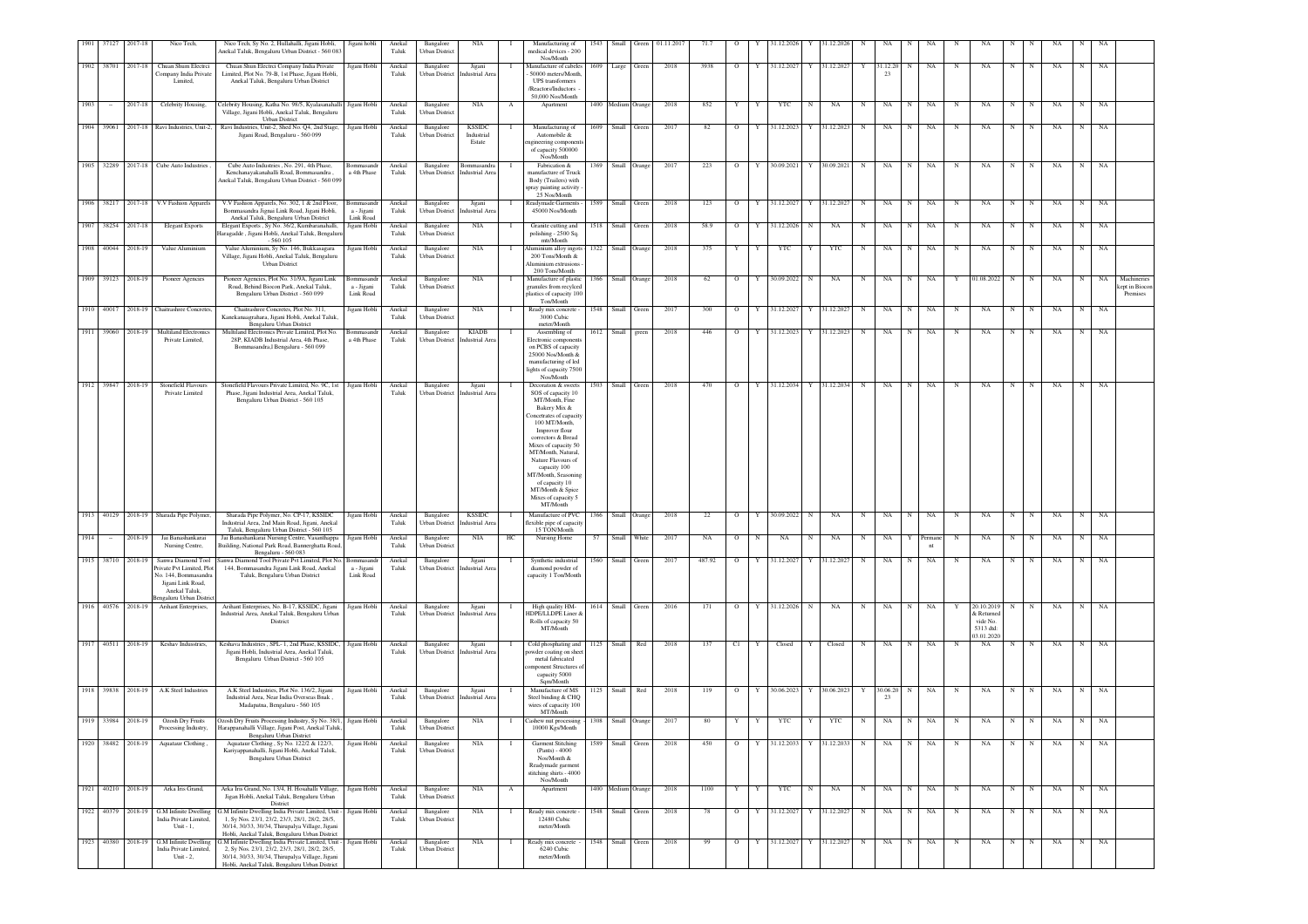|      |        | 1901 37127 2017-18 | Nico Tech,                                                                                                         | Nico Tech, Sy No. 2, Hullahalli, Jigani Hobli,<br>Anekal Taluk, Bengaluru Urban District - 560 083                                                                                                        | Jigani hobli                            | Anekal<br>Taluk          | Bangalore<br><b>Urban District</b>                          | NIA                                   |              | Manufacturing of<br>medical devices - 200<br>Nos/Month                                                                                                                                                                                                                                                                                             |            |                    |                    | 1543 Small Green 01.11.2017 | 71.7   | $\Omega$       | Y | 31.12.2026   |   | Y 31.12.2026   | $_{\rm N}$ | NA             | $_{\rm N}$ | NA          | N          | NA                                                              | N          | N          | NA   | N          | NA          |                           |
|------|--------|--------------------|--------------------------------------------------------------------------------------------------------------------|-----------------------------------------------------------------------------------------------------------------------------------------------------------------------------------------------------------|-----------------------------------------|--------------------------|-------------------------------------------------------------|---------------------------------------|--------------|----------------------------------------------------------------------------------------------------------------------------------------------------------------------------------------------------------------------------------------------------------------------------------------------------------------------------------------------------|------------|--------------------|--------------------|-----------------------------|--------|----------------|---|--------------|---|----------------|------------|----------------|------------|-------------|------------|-----------------------------------------------------------------|------------|------------|------|------------|-------------|---------------------------|
|      |        | 1902 38701 2017-18 | Chuan Shum Electrci<br>Company India Private<br>Limited.                                                           | Chuan Shun Electrci Company India Private<br>Limited, Plot No. 79-B, 1st Phase, Jigani Hobli,<br>Anekal Taluk, Bengaluru Urban District                                                                   | Jigani Hobl                             | Anekal<br>Taluk          | Bangalore<br><b>Urban District</b>                          | Jigani<br><b>Industrial Area</b>      |              | Manufacture of cabeles<br>50000 meters/Month.<br><b>UPS</b> transformers<br>/Reactors/Inductors                                                                                                                                                                                                                                                    | 1609       | Large              | Green              | 2018                        | 3938   | $\overline{0}$ |   | 31.12.2027   |   | 31.12.2027     | Y          | 31.12.20<br>23 |            | NA          | N          | NA                                                              | N          | N          | NA.  |            | <b>NA</b>   |                           |
| 1903 |        | 2017-18            | Celebrity Housing,                                                                                                 | Celebrity Housing, Katha No. 98/5, Kyalasanahalli<br>Village, Jigani Hobli, Anekal Taluk, Bengaluru                                                                                                       | Jigani Hobli                            | Anckal<br>Taluk          | Bangalore<br><b>Urban District</b>                          | <b>NIA</b>                            | $\mathbf{A}$ | 50,000 Nos/Month<br>Apartment                                                                                                                                                                                                                                                                                                                      |            |                    | 1400 Medium Orange | 2018                        | 852    | Y              |   | YTC          |   | NA             | N          | NA             | N          | NA.         | N          | NA                                                              | N          | N          | NA   | N          | NA          |                           |
| 1904 |        |                    | 39061 2017-18 Ravi Industries, Unit-2,                                                                             | <b>Urban District</b><br>Ravi Industries, Unit-2, Shed No. Q4, 2nd Stage,<br>Jigani Road, Bengaluru - 560 099                                                                                             | Jigani Hobli                            | Anekal<br>Taluk          | Bangalore<br><b>Urban District</b>                          | <b>KSSIDC</b><br>Industrial<br>Estate |              | Manufacturing of<br>Automobile &<br>gineering componer                                                                                                                                                                                                                                                                                             | 1609       | Small              | Green              | 2017                        | 82     | $\overline{0}$ |   | 31.12.2023   |   | Y 31.12.2023   | N          | NA             | N          | NA          | N          | NA                                                              | N          | N          | NA   | N          | NA          |                           |
|      |        |                    | 1905 32289 2017-18 Cube Auto Industries                                                                            | Cube Auto Industries, No. 291, 4th Phase,<br>Kenchanayakanahalli Road, Bommasandra,<br>Anekal Taluk, Bengaluru Urban District - 560 099                                                                   | Bommasand<br>a 4th Phase                | Anekal<br>Taluk          | Bangalore<br><b>Urban District</b>                          | Bommasandra<br><b>Industrial Area</b> |              | of capacity 500000<br>Nos/Month<br>Fabrication &<br>anufacture of Truck<br>Body (Trailers) with                                                                                                                                                                                                                                                    |            |                    | 1369 Small Orange  | 2017                        | 223    | $\circ$        | Y | 30.09.2021   |   | Y 30.09.2021 N |            | NA .           | $_{\rm N}$ | NA          | N          | NA                                                              | N          | N          | NA   | N          | NA          |                           |
|      |        |                    | 1906 38217 2017-18 V.V Fashion Apparels                                                                            | V.V Fashion Apparels, No. 302, 1 & 2nd Floor,                                                                                                                                                             | Bommasand                               | Anekal                   | Bangalore                                                   | Jigani                                |              | spray painting activity<br>25 Nos/Month<br>Readymade Garments                                                                                                                                                                                                                                                                                      |            | 1589 Small Green   |                    | 2018                        | 123    | $\circ$        |   | 31.12.2027   |   | 31.12.2027     | $_{\rm N}$ | NA             | N          | NA          | $_{\rm N}$ | NA                                                              | N          | N          | NA   | N          | NA          |                           |
| 1907 |        | 38254 2017-18      | Elegant Exports                                                                                                    | Bommasandra Jignai Link Road, Jigani Hobli,<br>Anekal Taluk, Bengaluru Urban District<br>Elegant Exports . Sv No. 36/2. Kumbaranahalli.                                                                   | a - Jigani<br>Link Road<br>Jigani Hobli | Taluk<br>Anekal          | <b>Urban District</b><br>Bangalore                          | Industrial Area<br>NIA                |              | 45000 Nos/Month<br>Granite cutting and                                                                                                                                                                                                                                                                                                             |            | 1518 Small         | Green              | 2018                        | 58.9   | $\circ$        |   | 31.12.2026   |   | NA             |            | NA             |            | NA          |            | NA                                                              | N          |            | NA   |            | NA          |                           |
|      |        | 1908 40044 2018-19 | Value Aluminium                                                                                                    | Haragadde, Jigani Hobli, Anekal Taluk, Bengalur<br>$-560105$<br>Value Aluminium, Sy No. 146, Bukkasagara<br>Village, Jigani Hobli, Anekal Taluk, Bengaluru                                                | Jigani Hobli                            | Taluk<br>Anekal<br>Taluk | <b>Urban District</b><br>Bangalore<br><b>Urban District</b> | <b>NIA</b>                            |              | polishing - 2500 Sq.<br>mtr/Month<br>Aluminium alloy ingots<br>200 Tons/Month &                                                                                                                                                                                                                                                                    |            |                    | 1322 Small Orange  | 2018                        | 375    | Y              |   | <b>YTC</b>   |   | <b>YTC</b>     | N          | NA             | N          | NA          | N          | NA                                                              | N          | N          | NA   | N          | NA          |                           |
|      |        | 1909 39123 2018-19 | <b>Pioneer Agencies</b>                                                                                            | <b>Urban District</b><br>Pioneer Agencies, Plot No. 31/9A, Jigani Link                                                                                                                                    | Bommasand                               | Anekal                   | Bangalore                                                   | <b>NIA</b>                            |              | luminium extrusion<br>200 Tons/Month<br>Manufacture of plastic                                                                                                                                                                                                                                                                                     |            |                    | 1366 Small Orange  | 2018                        | 62     | $\circ$        | Y | 30.09.2022   | N | NA             | N          | NA             | N          | NA          | Y          | 01.08.2022                                                      | N          | N          | NA   | $_{\rm N}$ | <b>NA</b>   | Machineries               |
|      |        |                    |                                                                                                                    | Road, Behind Biocon Park, Anekal Taluk,<br>Bengaluru Urban District - 560 099                                                                                                                             | a - Jigani<br>Link Road                 | Taluk                    | <b>Urban District</b>                                       |                                       |              | granules from recylced<br>lastics of capacity 100<br>Ton/Month                                                                                                                                                                                                                                                                                     |            |                    |                    |                             |        |                |   |              |   |                |            |                |            |             |            |                                                                 |            |            |      |            |             | cept in Bioco<br>Premises |
|      |        |                    | 1910 40017 2018-19 Chaitrashree Concretes                                                                          | Chaitrashree Concretes, Plot No. 311.<br>Kanekanaagrahara, Jigani Hobli, Anekal Taluk<br>Bengaluru Urban District                                                                                         | Jigani Hobli                            | Anckal<br>Taluk          | Bangalore<br><b>Urban District</b>                          | <b>NIA</b>                            |              | Ready mix concrete -<br>3000 Cubic<br>meter/Month                                                                                                                                                                                                                                                                                                  |            | 1548 Small Green   |                    | 2017                        | 300    | $\circ$        |   | 31.12.2027   |   | 31.12.2027     | N          | NA             | N          | NA          | N          | NA                                                              | N          | N          | - NA |            | NA          |                           |
|      |        |                    | 1911 39060 2018-19 Multiland Electronics<br>Private Limited.                                                       | Multiland Electronics Private Limited, Plot No.<br>28P, KIADB Industrial Area, 4th Phase,<br>Bommasandra, l Bengaluru - 560 099                                                                           | Bommasand<br>a 4th Phase                | Anekal<br>Taluk          | Bangalore<br><b>Urban District</b>                          | <b>KIADB</b><br>Industrial Area       |              | Assembling of<br>Electronic component<br>on PCBS of capacity<br>25000 Nos/Month &<br>manufacturing of led<br>lights of capacity 7500<br>Nos/Month                                                                                                                                                                                                  |            | $1612$ Small       | green              | 2018                        | 446    | $\circ$        | Y | 31.12.2023   |   | Y 31.12.2023   | $_{\rm N}$ | NA             | N          | NA          | $_{\rm N}$ | NA                                                              | N          | $_{\rm N}$ | NA   | N          | NA          |                           |
| 1912 | 39847  | 2018-19            | Stonefield Flavours<br>Private Limited                                                                             | Stonefield Flavours Private Limited, No. 9C, 1st<br>Phase, Jigani Industrial Area, Anekal Taluk,<br>Bengaluru Urban District - 560 105                                                                    | Jigani Hobli                            | Anekal<br>Taluk          | Bangalore<br><b>Urban District</b>                          | Jigani<br>Industrial Are              |              | Decoration & sweets<br>SOS of capacity 10<br>MT/Month, Fine<br>Bakery Mix &<br>oncetrates of capacity<br>100 MT/Month,<br>Improver flour<br>correctors & Bread<br>Mixes of capacity 50<br>MT/Month, Natural,<br>Nature Flavours of<br>capacity 100<br>MT/Month, Seasoning<br>of capacity 10<br>MT/Month & Spice<br>Mixes of capacity 5<br>MT/Month | 1503       | Small              | Green              | 2018                        | 470    | $\circ$        |   | 31.12.2034   |   | 31.12.2034     | N          | NA             |            | NA          |            | NA                                                              |            |            | NA   |            |             |                           |
| 1913 | 40129  |                    | 2018-19 Sharada Pipe Polymer,                                                                                      | Sharada Pipe Polymer, No. CP-17, KSSIDC<br>Industrial Area, 2nd Main Road, Jigani, Anekal<br>Taluk, Bengaluru Urban District - 560 105                                                                    | Jigani Hobli                            | Anekal<br>Taluk          | Bangalore<br><b>Urban District</b>                          | <b>KSSIDC</b><br>Industrial Are       |              | Manufacture of PVC<br>lexible pipe of capacity<br>15 TON/Month                                                                                                                                                                                                                                                                                     | 1366       | Small              | Orange             | 2018                        | 22     | $\circ$        |   | 30.09.2022   |   | $_{\rm NA}$    | N          | NA             | N          | NA          | N          | NA                                                              | N          | N          | NA   | N          | NA          |                           |
| 1914 | $\sim$ | 2018-19            | Jai Banashankarai<br>Nursing Centre,                                                                               | Jai Banashankarai Nursing Centre, Vasanthappa<br>Building, National Park Road, Bannerghatta Road<br>Bengaluru - 560 083                                                                                   | Jigani Hobli                            | Anekal<br>Taluk          | Bangalore<br><b>Urban District</b>                          | NIA                                   | HC           | Nursing Home                                                                                                                                                                                                                                                                                                                                       | 57         | Small              | White              | 2017                        | NA     | $\circ$        | N | NA           |   | NA             | N          | NA             |            | Y Permane   | N          | NA                                                              | N          | N          | NA   | $_{\rm N}$ | NA          |                           |
|      |        | 1915 38710 2018-19 | Private Pvt Limited, Plot<br>No. 144, Bommasandra<br>Jigani Link Road,<br>Anekal Taluk,<br>Bengaluru Urban Distric | Sanwa Diamond Tool Sanwa Diamond Tool Private Pvt Limited, Plot No. Bommasand<br>144, Bommasandra Jigani Link Road, Anekal<br>Taluk, Bengaluru Urban District                                             | a - Jigani<br>Link Road                 | Anekal<br>Taluk          | Bangalore<br><b>Urban District</b>                          | Jigani<br>Industrial Area             |              | Synthetic industrial<br>diamond powder of<br>capacity 1 Ton/Month                                                                                                                                                                                                                                                                                  |            | 1560 Small         | Green              | 2017                        | 487.92 | $\circ$        |   | 31.12.2027   |   | 31.12.2027     | N          | NA             |            | NA          |            | NA                                                              | N          |            | NA   | N          | NA          |                           |
|      |        |                    | 1916 40576 2018-19 Arihant Enterprises,                                                                            | Arihant Enterprises, No. B-17, KSSIDC, Jigani<br>Industrial Area, Anekal Taluk, Bengaluru Urban<br>District                                                                                               | Jigani Hobli                            | Anekal<br>Taluk          | Bangalore<br>Urban District                                 | Jigan<br>Industrial Area              |              | High quality HM-<br>IDPE/LLDPE Liner &<br>Rolls of capacity 50<br>MT/Month                                                                                                                                                                                                                                                                         |            | 1614 Small Green   |                    | 2016                        | 171    | $\circ$        |   | Y 31.12.2026 | N | NA             | $_{\rm N}$ | NA             | N          | NA          |            | 20.10.2019<br>& Returned<br>vide No.<br>5313 dtd:<br>03.01.2020 | N          | N          | NA   | $_{\rm N}$ | NA          |                           |
|      |        | 1917 40511 2018-19 | Keshav Indusstries                                                                                                 | Keshava Industries, SPL-1, 2nd Phase, KSSIDC,<br>Jigani Hobli, Industrial Area, Anekal Taluk,<br>Bengaluru Urban District - 560 105                                                                       | Jigani Hobli                            | Anekal<br>Taluk          | Bangalore<br><b>Urban District</b>                          | Jigani<br><b>Industrial Area</b>      | -1           | Cold phosphating and<br>bowder coating on sheet<br>metal fabricated<br>mponent Structures o<br>capacity 5000<br>Sqm/Month                                                                                                                                                                                                                          | 1125 Small |                    | Red                | 2018                        | 137    | C1             | Y | Closed       |   | Closed         | N          | NA             | N          | NA          | N          | $_{\rm NA}$                                                     | N          | $_{\rm N}$ | NA   | $_{\rm N}$ | NA          |                           |
|      |        |                    | 1918 39838 2018-19 A.K Steel Industries                                                                            | A.K Steel Industries, Plot No. 136/2, Jigani<br>Industrial Area, Near India Overseas Bnak,<br>Madapatna, Bengaluru - 560 105                                                                              | Jigani Hobli                            | Anekal<br>Taluk          | Bangalor<br><b>Urban District</b>                           | Jigan<br><b>Industrial Area</b>       |              | Manufacture of MS<br>Steel binding & CHQ<br>wires of capacity 100<br>MT/Month                                                                                                                                                                                                                                                                      |            | 1125 Small Red     |                    | 2018                        | 119    | $\circ$        | Y | 30.06.2023   |   | Y 30.06.2023 Y |            | 30.06.20<br>23 | N          | NA          | $_{\rm N}$ | NA                                                              | N          | N          | NA   | $_{\rm N}$ | NA          |                           |
|      |        | 1919 33984 2018-19 | Ozosh Dry Fruits<br>Processing Industry,                                                                           | Ozosh Dry Fruits Processing Industry, Sy No. 38/1, Jigani Hobli<br>Harappanahalli Village, Jigani Post, Anekal Taluk,<br>Bengaluru Urban District                                                         |                                         | Anekal<br>Taluk          | Bangalore<br><b>Urban District</b>                          | NIA                                   |              | ashew nut processing<br>10000 Kgs/Month                                                                                                                                                                                                                                                                                                            |            | 1308 Small         | Orange             | 2017                        | 80     |                |   | YTC          |   | YTC            |            | NA             |            | NA          | N          | NA                                                              | N          |            | NA   |            |             |                           |
|      |        |                    | 1920 38482 2018-19 Aquataur Clothing,                                                                              | Aquataur Clothing , Sy No. 122/2 & 122/3,<br>Kariyappanahalli, Jigani Hobli, Anekal Taluk,<br>Bengaluru Urban District                                                                                    | Jigani Hobli                            | Anekal<br>Taluk          | Bangalore<br><b>Urban District</b>                          | NIA                                   |              | <b>Garment Stitching</b><br>$(Pants) - 4000$<br>Nos/Month $\&$<br>Readymade garment<br>stitching shirts - 4000<br>Nos/Month                                                                                                                                                                                                                        |            |                    | 1589 Small Green   | 2018                        | 450    | $\circ$        |   | 31.12.2033   |   | Y 31.12.2033   | N          | NA             | N          | NA          |            | NA                                                              |            |            | NA.  |            |             |                           |
|      |        | 1921 40210 2018-19 | Arka Iris Grand,                                                                                                   | Arka Iris Grand, No. 13/4, H. Hosahalli Village,<br>Jigan Hobli, Anekal Taluk, Bengaluru Urban<br>District                                                                                                | Jigani Hobli                            | Anekal<br>Taluk          | Bangalore<br><b>Urban District</b>                          | <b>NIA</b>                            | $\mathbf{A}$ | Apartment                                                                                                                                                                                                                                                                                                                                          |            | 1400 Medium Orange |                    | 2018                        | 1100   | Y              | Y | <b>YTC</b>   | N | <b>NA</b>      | $_{\rm N}$ | NA             | N          | NA -        | ${\bf N}$  | NA                                                              | N          | N          | NA   | N          | NA          |                           |
|      |        | 1922 40379 2018-19 | G.M Infinite Dwelling<br>India Private Limited<br>Unit - $1$ .                                                     | G.M Infinite Dwelling India Private Limited, Unit -<br>1, Sy Nos. 23/1, 23/2, 23/3, 28/1, 28/2, 28/5,<br>30/14, 30/33, 30/34, Thirupalya Village, Jigani<br>Hobli, Anekal Taluk, Bengaluru Urban District | Jigani Hobli                            | Anekal<br>Taluk          | Bangalore<br><b>Urban District</b>                          | <b>NIA</b>                            | 1            | Ready mix concrete -<br>12480 Cubic<br>meter/Month                                                                                                                                                                                                                                                                                                 | 1548 Small |                    | Green              | 2018                        | 78     | $\circ$        |   | 31.12.2027   |   | 31.12.2027     | $_{\rm N}$ | $_{\rm NA}$    | N          | $_{\rm NA}$ | $_{\rm N}$ | $_{\rm NA}$                                                     | $_{\rm N}$ | $_{\rm N}$ | NA   | $_{\rm N}$ | NA          |                           |
| 1923 |        | 40380 2018-19      | G.M Infinite Dwelling<br>India Private Limited<br>Unit $-2$ .                                                      | G.M Infinite Dwelling India Private Limited, Unit -<br>2, Sy Nos. 23/1, 23/2, 23/3, 28/1, 28/2, 28/5,<br>30/14. 30/33, 30/34, Thirupalya Village, Jigani<br>Hobli, Anekal Taluk, Bengaluru Urban District | Jigani Hobli                            | Anekal<br>Taluk          | Bangalore<br><b>Urban District</b>                          | $_{\rm NIA}$                          |              | Ready mix concrete<br>6240 Cubic<br>meter/Month                                                                                                                                                                                                                                                                                                    | 1548       | Small              | Green              | 2018                        | 99     | $\circ$        |   | 31.12.2027   |   | 31.12.2027     | N          | $_{\rm NA}$    |            | $_{\rm NA}$ | N          | NA                                                              | N          | N          | NA   | N          | $_{\rm NA}$ |                           |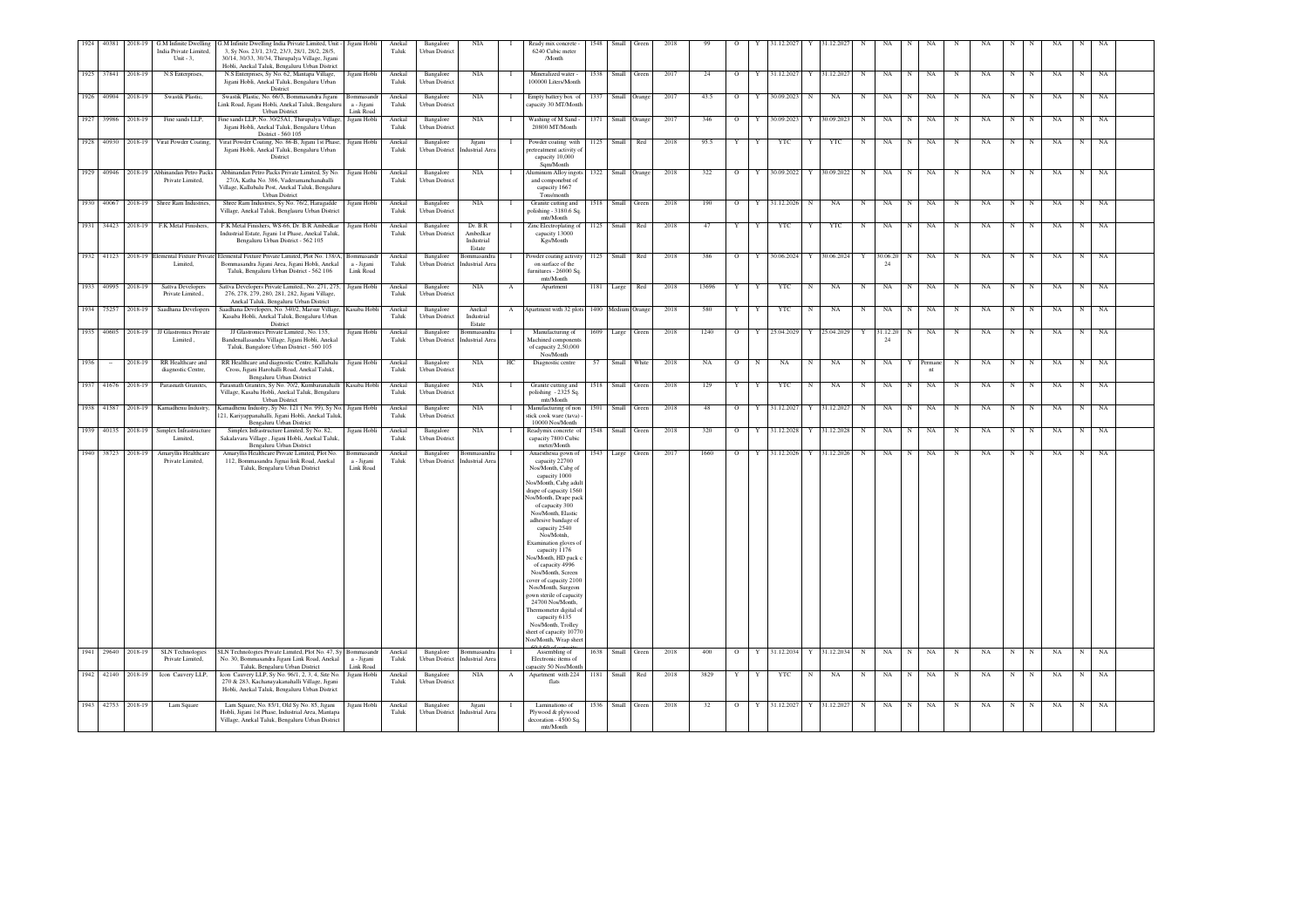|      |            | 1924 40381 2018-19            | G.M Infinite Dwelling<br>India Private Limited,<br>$Unit - 3$       | G.M Infinite Dwelling India Private Limited, Unit - Jigani Hobli<br>3, Sy Nos. 23/1, 23/2, 23/3, 28/1, 28/2, 28/5,<br>30/14, 30/33, 30/34, Thirupalya Village, Jigani                                   |                                                          | Anekal<br>Taluk           | Bangalore<br>Urban District                     | <b>NIA</b>                                          |                | Ready mix concrete<br>6240 Cubic meter<br>/Month                                                                                                                                                                                                                                                                                                                                                                                                                                                                                                                                                                                | 1548 | Small                     | Green | 2018         |             |                           |              | 1.12.202                 |   | 31.12.202                    |              |                |                     |             |            |                 |            |            |                        |            |             |  |
|------|------------|-------------------------------|---------------------------------------------------------------------|---------------------------------------------------------------------------------------------------------------------------------------------------------------------------------------------------------|----------------------------------------------------------|---------------------------|-------------------------------------------------|-----------------------------------------------------|----------------|---------------------------------------------------------------------------------------------------------------------------------------------------------------------------------------------------------------------------------------------------------------------------------------------------------------------------------------------------------------------------------------------------------------------------------------------------------------------------------------------------------------------------------------------------------------------------------------------------------------------------------|------|---------------------------|-------|--------------|-------------|---------------------------|--------------|--------------------------|---|------------------------------|--------------|----------------|---------------------|-------------|------------|-----------------|------------|------------|------------------------|------------|-------------|--|
| 1925 | 37841      | 2018-19                       | N.S Enterprises,                                                    | Hobli, Anekal Taluk, Bengaluru Urban District<br>N.S Enterprises, Sy No. 62, Mantapa Village,<br>Jigani Hobli, Anekal Taluk, Bengaluru Urban                                                            | Jigani Hobli                                             | Anekal<br>Taluk           | Bangalore<br><b>Urban Distric</b>               | <b>NIA</b>                                          |                | Mineralized water -<br>100000 Liters/Month                                                                                                                                                                                                                                                                                                                                                                                                                                                                                                                                                                                      | 1538 | Small                     | Green | 2017         | 24          | $\circ$                   |              | 31.12.2027               |   | 31.12.2027                   | N            | NA             |                     | NA          | N          | NA              | N          |            | NA                     |            | NA          |  |
|      |            | 1926 40904 2018-19            | Swastik Plastic,                                                    | District<br>Swastik Plastic, No. 66/3, Bommasandra Jigani<br>Link Road, Jigani Hobli, Anekal Taluk, Bengaluru                                                                                           | Bommasand<br>a - Jigani                                  | Anekal<br>Taluk           | Bangalore<br>Urban District                     | NIA                                                 |                | Empty battery box of<br>apacity 30 MT/Montl                                                                                                                                                                                                                                                                                                                                                                                                                                                                                                                                                                                     |      | 1337 Small Orange         |       | 2017         | 43.5        | $\circ$                   |              | 30.09.2023               |   | NA                           | N            | NA             |                     | NA          | N          | NA              | N          |            | NA                     |            | NA          |  |
|      |            | 1927 39986 2018-19            | Fine sands LLP,                                                     | <b>Urban District</b><br>Fine sands LLP, No. 30/25A1, Thirupalya Village, Jigani Hobli<br>Jigani Hobli, Anekal Taluk, Bengaluru Urban                                                                   | Link Road                                                | Anekal<br>Taluk           | Bangalore<br><b>Urban District</b>              | <b>NIA</b>                                          |                | Washing of M Sand -<br>20800 MT/Month                                                                                                                                                                                                                                                                                                                                                                                                                                                                                                                                                                                           |      | 1371 Small Orange         |       | 2017         | 346         | $\circ$                   |              | 30.09.2023               |   | 30.09.2023                   | N            | NA             |                     | NA          | N          | NA              | N          |            | NA                     |            | NA          |  |
|      |            |                               | 1928 40930 2018-19 Virat Powder Coating,                            | District - 560 105<br>Virat Powder Coating, No. 86-B, Jigani 1st Phase,<br>Jigani Hobli, Anekal Taluk, Bengaluru Urban                                                                                  | Jigani Hobli                                             | Anckal<br>Taluk           | Bangalore<br><b>Urban District</b>              | Jigani<br>Industrial Area                           |                | Powder coating with<br>retreatment activity o                                                                                                                                                                                                                                                                                                                                                                                                                                                                                                                                                                                   |      | 1125 Small Red            |       | 2018         | 95.5        |                           |              | <b>YTC</b>               |   | <b>YTC</b>                   | N            | NA             | N                   | NA          | N          | NA              | N          | N          | NA                     | N          | NA          |  |
|      |            |                               | 1929 40946 2018-19 Abhinandan Petro Packs                           | District<br>Abhinandan Petro Packs Private Limited, Sy No.                                                                                                                                              | Jigani Hobli                                             | Anekal                    | Bangalore                                       | NIA                                                 |                | capacity 10,000<br>Sqm/Month<br>Aluminum Alloy ingots                                                                                                                                                                                                                                                                                                                                                                                                                                                                                                                                                                           |      | 1322 Small Orange         |       | 2018         | 322         | $\circ$                   | Y            | 30.09.2022               | Y | 30.09.2022 N                 |              | NA             | $_{\rm N}$          | NA          | $_{\rm N}$ | NA              | $_{\rm N}$ | $_{\rm N}$ | <b>NA</b>              | $_{\rm N}$ | NA          |  |
|      |            |                               | Private Limited.                                                    | 27/A, Katha No. 386, Vaderamanchanahalli<br>Village, Kallubalu Post, Anekal Taluk, Bengaluru<br><b>Urban District</b>                                                                                   |                                                          | Taluk                     | <b>Urban District</b>                           |                                                     |                | and componebnt of<br>capacity 1667<br>Tons/month                                                                                                                                                                                                                                                                                                                                                                                                                                                                                                                                                                                |      |                           |       |              |             |                           |              |                          |   |                              |              |                |                     |             |            |                 |            |            |                        |            |             |  |
|      | 1930 40067 | 2018-19                       | Shree Ram Industries,                                               | Shree Ram Industries, Sy No. 76/2, Haragadde<br>Village, Anekal Taluk, Benglauru Urban District                                                                                                         | Jigani Hobli                                             | Anekal<br>Taluk           | Bangalore<br><b>Urban Distric</b>               | <b>NIA</b>                                          |                | Granite cutting and<br>polishing - 3180.6 Sc<br>mtr/Month                                                                                                                                                                                                                                                                                                                                                                                                                                                                                                                                                                       | 1518 | Small                     | Green | 2018         | 190         | $\circ$                   |              | 31.12.2026               |   | $_{\rm NA}$                  | N            | $_{\rm NA}$    | N                   | $_{\rm NA}$ | N          | $_{\rm NA}$     | $_{\rm N}$ | N          | NA                     |            | $_{\rm NA}$ |  |
|      |            | 1931 34423 2018-19            | F.K Metal Finishers,                                                | F.K Metal Finishers, WS-66, Dr. B.R Ambedkar<br>Industrial Estate, Jigani 1st Phase, Anekal Taluk,<br>Bengaluru Urban District - 562 105                                                                | Jigani Hobli                                             | Anekal<br>Taluk           | Bangalore<br>Urban District                     | Dr. B.R<br>Ambedkar<br>Industrial<br>Estate         |                | Zinc Electroplating of<br>capacity 13000<br>Kgs/Month                                                                                                                                                                                                                                                                                                                                                                                                                                                                                                                                                                           |      | 1125 Small Red            |       | 2018         | 47          | Y                         | Y            | YTC                      |   | YTC                          | N            | NA             | N                   | NA          | $_{\rm N}$ | <b>NA</b>       | N          | N          | <b>NA</b>              | $_{\rm N}$ | NA          |  |
|      |            |                               | Limited.                                                            | 1932 41123 2018-19 Elemental Fixture Private Elemental Fixture Private Limited, Plot No. 138/A, Bommasand<br>Bommasandra Jigani Area, Jigani Hobli, Anekal<br>Taluk, Bengaluru Urban District - 562 106 | a - Jigani<br>Link Road                                  | Anekal<br>Taluk           | Bangalore<br><b>Urban District</b>              | Bommasandra<br><b>Industrial Area</b>               |                | owder coating activity<br>on surface of the<br>furnitures - 26000 Sc                                                                                                                                                                                                                                                                                                                                                                                                                                                                                                                                                            | 1125 | Small                     | Red   | 2018         | 386         | $\circ$                   |              | 30.06.2024               |   | 30.06.2024                   |              | 30.06.20<br>24 |                     | NA          | N          | NA              | N          |            | NA                     |            | NA          |  |
|      | 1933 40995 | 2018-19                       | Sattva Developers<br>Private Limited                                | Sattva Developers Private Limited., No. 271, 275, Jigani Hobli<br>276, 278, 279, 280, 281, 282, Jigani Village,                                                                                         |                                                          | Anekal<br>Taluk           | Bangalore<br><b>Urban District</b>              | <b>NIA</b>                                          |                | mtr/Month<br>Apartment                                                                                                                                                                                                                                                                                                                                                                                                                                                                                                                                                                                                          | 1181 | Large                     | Red   | 2018         | 13696       |                           |              | YTC                      |   | NA                           | N            | NA             |                     | NA          | N          | NA              | N          |            | <b>NA</b>              |            | NA          |  |
|      |            | 1934 75257 2018-19            | Saadhana Developers                                                 | Anekal Taluk, Bengaluru Urban District<br>Saadhana Developers, No. 340/2, Marsur Village,<br>Kasaba Hobli, Anekal Taluk, Bengaluru Urban                                                                | Kasaba Hobi                                              | Anekal<br>Taluk           | Bangalore<br>Urban District                     | Anekal<br>Industrial                                | $\mathbf{A}$   | Apartment with 32 plots 1400 Medium Orange                                                                                                                                                                                                                                                                                                                                                                                                                                                                                                                                                                                      |      |                           |       | 2018         | 580         |                           |              | <b>YTC</b>               |   | NA                           | N            | NA             |                     | NA          | N          | NA              | N          |            | NA.                    |            | NA          |  |
|      | 1935 40605 | 2018-19                       | JJ Glastronics Private<br>Limited                                   | District<br>JJ Glastronics Private Limited, No. 135,<br>Bandenallasandra Village, Jigani Hobli, Anekal                                                                                                  | Jigani Hobli                                             | Anekal<br>Taluk           | Bangalore<br>Urban District                     | Estate<br><b>Bommasandra</b><br>Industrial Area     |                | Manufacturing of<br>Machined components                                                                                                                                                                                                                                                                                                                                                                                                                                                                                                                                                                                         | 1609 | Large                     | Green | 2018         | 1240        | O                         |              | 25.04.2029               |   | 25.04.2029                   |              | 31.12.20<br>24 |                     | NA          | N          | NA              |            |            | NA                     |            |             |  |
| 1936 |            | 2018-19                       | RR Healthcare and                                                   | Taluk, Bangalore Urban District - 560 105<br>RR Healthcare and diagnostic Centre, Kallabalu                                                                                                             | Jigani Hobli                                             | Anekal                    | Bangalore                                       | <b>NIA</b>                                          | H <sub>C</sub> | of capacity 2,50,000<br>Nos/Month<br>Diagnostic centre                                                                                                                                                                                                                                                                                                                                                                                                                                                                                                                                                                          | 57   | Small                     | Whit  | 2018         | NA          | $\overline{0}$            |              | NA                       |   | NA                           | N            | NA             |                     | Perman      | N          | NA              | N          |            | NA                     |            | NA          |  |
|      | 1937 41676 | 2018-19                       | diagnostic Centre.<br>Parasnath Granites,                           | Cross, Jigani Harohalli Road, Anekal Taluk,<br>Bengaluru Urban District<br>Parasnath Granites, Sy No. 70/2, Kumbaranahalli                                                                              | Kasaba Hobi                                              | Taluk<br>Anekal           | Jrban District<br>Bangalore                     | NIA                                                 |                | Granite cutting and                                                                                                                                                                                                                                                                                                                                                                                                                                                                                                                                                                                                             |      | 1518 Small Green          |       | 2018         | 129         |                           |              | <b>YTC</b>               |   | NA                           |              | NA             |                     | nt<br>NA    | N          | NA              | N          | N          | NA                     | N          | NA          |  |
|      |            |                               | 1938 41587 2018-19 Kamadhenu Industry,                              | Village, Kasaba Hobli, Anekal Taluk, Bengaluru<br><b>Urban District</b><br>Kamadhenu Industry, Sy No. 121 (No. 99), Sy No. Jigani Hobli                                                                 |                                                          | Taluk<br>Anckal           | Jrban District<br>Bangalore                     | NIA                                                 |                | polishing - 2325 Sq.<br>mtr/Month<br>Manufacturing of non                                                                                                                                                                                                                                                                                                                                                                                                                                                                                                                                                                       | 1501 | Small Green               |       | 2018         | 48          | $\circ$                   |              | 31.12.2027               |   | 31.12.2027                   | N            | NA             |                     | NA          | N          | NA              | N          | N          | NA                     | N          | NA          |  |
|      | 1939 40135 | 2018-19                       | Simplex Infrastructure                                              | 121, Kariyappanahalli, Jigani Hobli, Anekal Taluk.<br>Bengaluru Urban District<br>Simplex Infrastructure Limited, Sy No. 82,                                                                            | Jigani Hobli                                             | Taluk<br>Anekal           | Urban Distric<br>Bangalore                      | <b>NIA</b>                                          |                | tick cook ware (tava)<br>10000 Nos/Month<br>Readymix concrete of                                                                                                                                                                                                                                                                                                                                                                                                                                                                                                                                                                |      | 1548 Small Green          |       | 2018         | 320         | $\circ$                   | $\mathbf{v}$ | 31.12.2028               |   | Y 31.12.2028 N               |              | $_{\rm NA}$    | N                   | NA          | N          | NA              | N          | N          | <b>NA</b>              | N          | NA          |  |
|      | 1940 38723 |                               | Limited                                                             | Sakalayara Village , Jigani Hobli, Anekal Taluk<br>Bengaluru Urban District                                                                                                                             |                                                          | Taluk                     | <b>Urban Distric</b>                            |                                                     |                | capacity 7800 Cubic<br>meter/Month                                                                                                                                                                                                                                                                                                                                                                                                                                                                                                                                                                                              |      |                           |       |              |             |                           |              |                          |   |                              |              |                |                     |             |            |                 |            |            |                        |            |             |  |
|      |            | 2018-19<br>1941 29640 2018-19 | Amaryllis Healthcare<br>Private Limited.<br><b>SLN</b> Technologies | Amaryllis Healthcare Private Limited, Plot No.<br>112. Bommasandra Jignai link Road, Anekal<br>Taluk, Bengaluru Urban District<br>SLN Technologies Private Limited, Plot No. 47, Sy                     | <b>Bommasand</b><br>a - Jigani<br>Link Road<br>Bommasand | Anekal<br>Taluk<br>Anckal | Bangalore<br><b>Urban District</b><br>Bangalore | <b>Bommasandra</b><br>Industrial Are<br>Bommasandra |                | Anaesthesia gown of<br>capacity 22700<br>Nos/Month, Cabg of<br>capacity 1000<br>Nos/Month, Cabg adul<br>drape of capacity 1560<br>los/Month, Drape pac<br>of capacity 300<br>Nos/Month, Elastic<br>adhesive bandage of<br>capacity 2540<br>Nos/Motnh,<br>Examination gloves o<br>capacity 1176<br>Vos/Month, HD pack<br>of capacity 4996<br>Nos/Month, Screen<br>cover of capacity 2100<br>Nos/Month, Surgeon<br>own sterile of capacity<br>24700 Nos/Month,<br>Thermometer digital<br>capacity 6135<br>Nos/Month, Trolley<br>heet of capacity 1077<br>Nos/Month, Wrap shee<br>60. <sup>0</sup> 60 of capacity<br>Assembling of | 1543 | Large<br>1638 Small Green | Green | 2017<br>2018 | 1660<br>400 | $\circ$<br>$\overline{0}$ | Y            | 31.12.2026<br>31.12.2034 | Y | 31.12.2026<br>Y 31.12.2034 N | $\mathbb{N}$ | NA<br>NA.      | N<br>$\overline{N}$ | NA<br>NA    | N<br>N     | <b>NA</b><br>NA | N<br>N     | N<br>N     | <b>NA</b><br><b>NA</b> | N<br>N     | NA<br>NA    |  |
|      |            |                               | Private Limited,                                                    | No. 30, Bommasandra Jigani Link Road, Anekal<br>Taluk, Bengaluru Urban District                                                                                                                         | a - Jigani<br>Link Road                                  | Taluk                     | <b>Urban District</b>                           | <b>Industrial Area</b>                              |                | Electronic items of<br>capacity 50 Nos/Month                                                                                                                                                                                                                                                                                                                                                                                                                                                                                                                                                                                    |      |                           |       |              |             |                           |              |                          |   |                              |              |                |                     |             |            |                 |            |            |                        |            |             |  |
|      | 1942 42140 | 2018-19                       | Icon Cauvery LLP,                                                   | Icon Cauvery LLP, Sy No. 96/1, 2, 3, 4, Site No.<br>270 & 283, Kachanayakanahalli Village, Jigani<br>Hobli, Anekal Taluk, Bengaluru Urban District                                                      | Jigani Hobli                                             | Anckal<br>Taluk           | Bangalore<br><b>Urban District</b>              | <b>NIA</b>                                          | $\mathbf{A}$   | Apartment with 224<br>flats                                                                                                                                                                                                                                                                                                                                                                                                                                                                                                                                                                                                     | 1181 | Small                     | Red   | 2018         | 3829        | Y                         |              | <b>YTC</b>               |   | <b>NA</b>                    | N            | NA             |                     | <b>NA</b>   | N          | <b>NA</b>       | N          |            | NA                     |            | NA          |  |
|      |            | 1943 42753 2018-19            | Lam Square                                                          | Lam Square, No. 85/1, Old Sy No. 85, Jigani<br>Hobli, Jigani 1st Phase, Industrial Area, Mantapa<br>Village, Anekal Taluk, Bengaluru Urban District                                                     | Jigani Hobli                                             | Anckal<br>Taluk           | Bangalore<br><b>Urban District</b>              | Jigani<br><b>Industrial Area</b>                    |                | Laminationo of<br>Plywood & plywood<br>decoration - 4500 Sq.<br>mtr/Month                                                                                                                                                                                                                                                                                                                                                                                                                                                                                                                                                       |      | 1536 Small Green          |       | 2018         | 32          | $\overline{0}$            |              | 31.12.2027               |   | Y 31.12.2027 N               |              | NA             | N                   | NA          | N          | <b>NA</b>       | N          | N          | <b>NA</b>              | N          | NA          |  |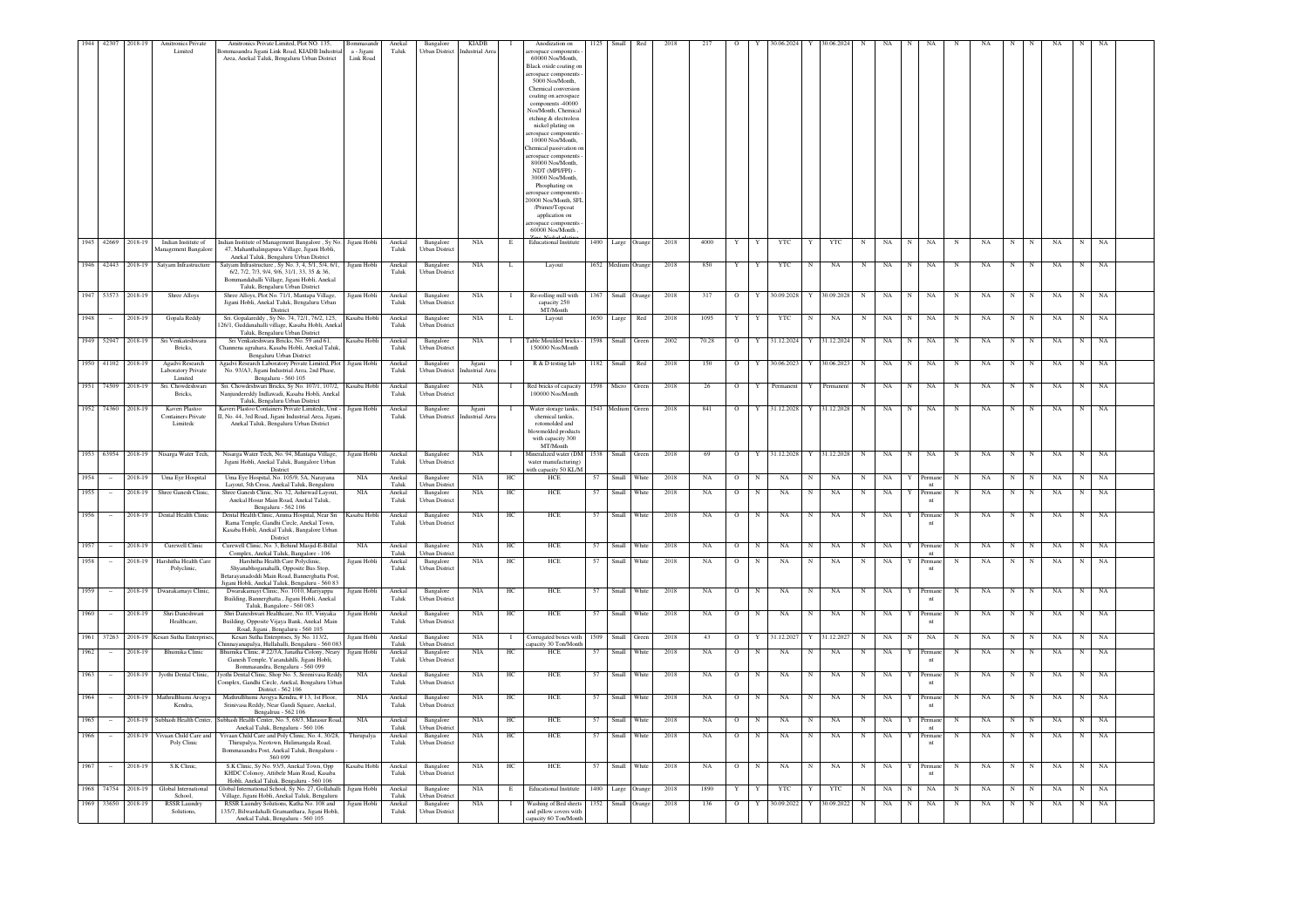| 1944<br>1945 | 42307        | $2018 - 19$<br>42669 2018-19 | Amitronics Private<br>Limited<br>Indian Institute of   | Amitronics Private Limited, Plot NO. 135.<br>nmasandra Jigani Link Road, KIADB Industria<br>Area, Anekal Taluk, Bengaluru Urban District<br>Indian Institute of Management Bangalore, Sy No.                                                | a - Jigani<br><b>Link Road</b><br>Jigani Hobli | Aneka<br>Taluk<br>Anekal | Bangalore<br>Urban Distric<br>Bangalore                   | <b>KIADB</b><br>dustrial Are<br><b>NIA</b> |    | Anodization on<br>rospace component<br>60000 Nos/Month.<br>Black oxide coating o<br>erospace component<br>5000 Nos/Month,<br>Chemical conversion<br>coating on aerospace<br>components -40000<br>Nos/Month Chemica<br>etching & electroless<br>nickel plating on<br>erospace components<br>10000 Nos/Month,<br>Chemical passivation o<br>erospace components<br>80000 Nos/Month<br>NDT (MPI/FPI) -<br>30000 Nos/Month,<br>Phosphating on<br>ospace component<br>20000 Nos/Month, SFL<br>/Primer/Topcoat<br>application on<br>rospace components<br>60000 Nos/Month<br><b>Educational Institute</b> | 1125         | Small<br>Red<br>1400 Large Orange | 2018         | 4000      | Y              |            | YTC         | YTC                     | N          | NA        | N | NA<br>N                                    |   | NA          | N          | $_{\rm N}$  | NA        | NA<br>N        |  |
|--------------|--------------|------------------------------|--------------------------------------------------------|---------------------------------------------------------------------------------------------------------------------------------------------------------------------------------------------------------------------------------------------|------------------------------------------------|--------------------------|-----------------------------------------------------------|--------------------------------------------|----|----------------------------------------------------------------------------------------------------------------------------------------------------------------------------------------------------------------------------------------------------------------------------------------------------------------------------------------------------------------------------------------------------------------------------------------------------------------------------------------------------------------------------------------------------------------------------------------------------|--------------|-----------------------------------|--------------|-----------|----------------|------------|-------------|-------------------------|------------|-----------|---|--------------------------------------------|---|-------------|------------|-------------|-----------|----------------|--|
| 1946         | 42443        | 2018-19                      | Management Bangalore<br>Satyam Infrastructure          | 47. Mahanthalingapura Village, Jigani Hobli.<br>Anekal Taluk, Bengaluru Urban District<br>Satvam Infrastructure . Sv No. 3, 4, 5/1, 5/4, 6/1.<br>6/2, 7/2, 7/3, 9/4, 9/6, 31/1, 33, 35 & 36,<br>Bommandahalli Village, Jigani Hobli, Anekal | Jigani Hobli                                   | Taluk<br>Anekal<br>Taluk | <b>Urban Distric</b><br>Bangalore<br><b>Urban Distric</b> | <b>NIA</b>                                 | L  | Lavout                                                                                                                                                                                                                                                                                                                                                                                                                                                                                                                                                                                             |              | 1652 Medium Orango                | 2018         | 850       | Y              | Y          | <b>YTC</b>  | NA                      | N          | <b>NA</b> | N | NA<br>N                                    |   | <b>NA</b>   | N          | N           | <b>NA</b> | NA<br>N        |  |
|              |              | 1947 53573 2018-19           | Shree Alloys                                           | Taluk, Bengaluru Urban District<br>Shree Alloys, Plot No. 71/1, Mantapa Village,<br>Jigani Hobli, Anekal Taluk, Bengaluru Urban<br>District                                                                                                 | Jigani Hobli                                   | Anekal<br>Taluk          | Bangalore<br><b>Urban Distric</b>                         | $_{\rm NIA}$                               | I  | Re-rolling mill with<br>capacity 250<br>MT/Month                                                                                                                                                                                                                                                                                                                                                                                                                                                                                                                                                   |              | 1367 Small Orange                 | 2018         | 317       | $\circ$        |            | 30.09.2028  | 30.09.2028              | $_{\rm N}$ | NA        | N | NA<br>$_{\rm N}$                           |   | NA          | N          | $_{\rm N}$  | NA        | N<br>NA        |  |
| 1948         |              | 2018-19                      | Gopala Reddy                                           | Sri. Gopalareddy, Sy No. 74, 72/1, 76/2, 125,<br>126/1. Guddanahalli village, Kasaba Hobli, Aneka<br>Taluk, Bengaluru Urban District                                                                                                        | Kasaba Hobl                                    | Anckal<br>Taluk          | Bangalore<br><b>Urban District</b>                        | NIA                                        | L  | Layout                                                                                                                                                                                                                                                                                                                                                                                                                                                                                                                                                                                             |              | 1650 Large<br>Red                 | 2018         | 1095      | v              |            | YTC         | NA                      | N          | NA        | N | NA<br>N                                    |   | NA          | N          | N           | NA        | NA<br>N        |  |
| 1949         |              | 52947 2018-19                | Sri Venkateshwara<br>Bricks,                           | Sri Venkateshwara Bricks, No. 59 and 61,<br>hannena agrahara, Kasaba Hobli, Anekal Taluk<br>Bengaluru Urban District                                                                                                                        | Kasaba Hobl                                    | Anekal<br>Taluk          | Bangalore<br><b>Urban Distric</b>                         | <b>NIA</b>                                 |    | Table Moulded bricks<br>150000 Nos/Month                                                                                                                                                                                                                                                                                                                                                                                                                                                                                                                                                           |              | 1598 Small<br>Green               | 2002         | 70.28     | $\overline{0}$ |            | 31.12.2024  | 31.12.2024              | N          | NA        |   | NA<br>N                                    |   | NA          | N          |             | NA        | NA             |  |
| 1950         | 41102 2018-1 |                              | Agadvi Research<br>Laboratory Private<br>Limited       | Agadvi Research Laboratory Private Limited, Plot<br>No. 93/A3, Jigani Industrial Area, 2nd Phase,<br>Bengaluru - 560 105                                                                                                                    | Jigani Hobli                                   | Anckal<br>Taluk          | Bangalore<br><b>Urban District</b>                        | Jigan<br>ndustrial Are                     |    | R & D testing lab                                                                                                                                                                                                                                                                                                                                                                                                                                                                                                                                                                                  |              | 1182 Small<br>Red                 | 2018         | 150       | $\circ$        |            | 30.06.2023  | 30.06.2023              |            | NA        |   | NA                                         |   | NA          |            |             | NA        | NA             |  |
| 1951         | 74509        | 2018-19                      | Sri. Chowdeshwari<br>Bricks.<br>Kaveri Plastoo         | Sri. Chowdeshwari Bricks, Sy No. 107/1, 107/2,<br>Nanjundereddy Indlawadi, Kasaba Hobli, Anekal<br>Taluk, Bengaluru Urban District                                                                                                          | Kasaba Hobl<br>Jigani Hobl                     | Anckal<br>Taluk          | Bangalore<br>Urban District                               | <b>NIA</b>                                 |    | Red bricks of capacity<br>100000 Nos/Month                                                                                                                                                                                                                                                                                                                                                                                                                                                                                                                                                         | 1598<br>1543 | Micro<br>Greet<br>Medium Green    | 2018<br>2018 | 26<br>841 | $\circ$        |            | Permanent   | Permanent<br>31.12.2028 | N          | NA<br>NA  |   | NA.<br>NA                                  |   | NA<br>NA    | N          |             | NA.<br>NA | NA             |  |
| 1952         |              | 74360 2018-19                | <b>Containers Private</b><br>$\operatorname{Limitedc}$ | Kaveri Plastoo Containers Private Limitedc, Unit<br>, No. 44, 3rd Road, Jigani Industrial Area, Jigani,<br>Anekal Taluk, Bengaluru Urban District                                                                                           |                                                | Aneka<br>Taluk           | Bangalore<br><b>Urban District</b>                        | Jigani<br>dustrial Are                     |    | Water storage tanks,<br>chemical tankis,<br>rotomolded and<br>blowmolded products<br>with capacity 300<br>MT/Month                                                                                                                                                                                                                                                                                                                                                                                                                                                                                 |              |                                   |              |           | $\overline{0}$ |            | 31.12.2028  |                         | N          |           |   |                                            |   |             | N          |             |           |                |  |
|              |              | 1953 63954 2018-19           | Nisarga Water Tech.                                    | Nisarga Water Tech. No. 94. Mantapa Village.<br>Jigani Hobli, Anekal Taluk, Bangalore Urban<br>District                                                                                                                                     | Jigani Hobli                                   | Anckal<br>Taluk          | Bangalore<br><b>Urban Distric</b>                         | <b>NIA</b>                                 |    | Mineralized water (DN<br>water manufacturing<br>with capacity 50 KL/M                                                                                                                                                                                                                                                                                                                                                                                                                                                                                                                              |              | 1538 Small Green                  | 2018         | 69        | $\circ$        |            | 31.12.2028  | Y 31.12.2028            | N          | NA        | N | NA <sup>-</sup><br>N                       |   | NA          | N          | N           | <b>NA</b> | NA             |  |
| 1954         |              | 2018-19                      | Uma Eye Hospital                                       | Uma Eye Hospital, No. 105/9, 5A, Narayana<br>Layout, 5th Cross, Anekal Taluk, Bengaluru                                                                                                                                                     | <b>NIA</b>                                     | Anekal<br>Taluk          | Bangalore<br>Urban Distric                                | <b>NIA</b>                                 | HC | HCE                                                                                                                                                                                                                                                                                                                                                                                                                                                                                                                                                                                                | 57           | Small<br>White                    | 2018         | NA        | $\circ$        |            | NA          | $_{\rm NA}$             | N          | NA        |   | Permane<br>N<br>$\mathop{\rm nt}\nolimits$ |   | NA          | N          | N           | NA        | NA             |  |
| 1955         |              | 2018-19                      | Shree Ganesh Clinic                                    | Shree Ganesh Clinic, No. 32, Ashirwad Layout,<br>Anekal Hosur Main Road, Anekal Taluk,<br>Bengaluru - 562 106                                                                                                                               | <b>NIA</b>                                     | Anekal<br>Taluk          | Bangalore<br>Urban District                               | $_{\rm NIA}$                               | HC | HCE                                                                                                                                                                                                                                                                                                                                                                                                                                                                                                                                                                                                | 57           | Small<br>White                    | 2018         | NA        | $\circ$        | N          | $_{\rm NA}$ | $_{\rm NA}$             | N          | NA        |   | erman<br>N<br>$\mathop{\rm nt}\nolimits$   |   | NA          | N          | N           | NA        | $_{\rm NA}$    |  |
| 1956         | $\sim$       | 2018-19                      | Dental Health Clinic                                   | Dental Health Clinic, Amma Hospital, Near Sri<br>Rama Temple, Gandhi Circle, Anekal Town,<br>Kasaba Hobli, Anekal Taluk, Bangalore Urban<br>District                                                                                        | Kasaba Hobli                                   | Anekal<br>Taluk          | Bangalore<br><b>Urban District</b>                        | <b>NIA</b>                                 | HC | HCE                                                                                                                                                                                                                                                                                                                                                                                                                                                                                                                                                                                                |              | 57 Small White                    | 2018         | NA        | $\circ$        | $_{\rm N}$ | NA          | NA                      | N          | NA        | v | Permano<br>nt                              | N | NA          | $_{\rm N}$ | $_{\rm N}$  | NA        | NA<br>N        |  |
| 1957         |              | 2018-19                      | Curewell Clinic                                        | Curewell Clinic, No. 3, Behind Masjid-E-Billal<br>Complex, Anekal Taluk, Bangalore - 106                                                                                                                                                    | <b>NIA</b>                                     | Anekal<br>Taluk          | Bangalore<br>Urban Distric                                | <b>NIA</b>                                 | HС | HCE                                                                                                                                                                                                                                                                                                                                                                                                                                                                                                                                                                                                | 57           | Small<br>White                    | 2018         | NA        | $\circ$        |            | NA          | NA                      |            | NA        |   | ermane<br>$\mathop{\rm nt}\nolimits$       |   | NA          |            |             | NA        | NA             |  |
| 1958         |              | 2018-19                      | Harshitha Health Car<br>Polyclinic,                    | Harshitha Health Care Polyclinic<br>Shyanabhoganahalli, Opposite Bus Stop.<br>Betaravanadoddi Main Road, Bannerghatta Post<br>Jigani Hobli, Anekal Taluk, Bengaluru - 560 83                                                                | ligani Hobli                                   | Anekal<br>Taluk          | Bangalore<br><b>Urban Distric</b>                         | NIA                                        | HC | HCE                                                                                                                                                                                                                                                                                                                                                                                                                                                                                                                                                                                                | 57           | Small<br>White                    | 2018         | NA        | $\overline{0}$ |            | NA          | NA                      |            | NA        |   | erman<br>$\mathop{\rm nt}\nolimits$        |   | NA          |            |             | NA        | NA             |  |
| 1959         |              | 2018-19                      | Dwarakamavi Clinic.                                    | Dwarakamavi Clinic, No. 1010, Mariyappa<br>Building, Bannerghatta , Jigani Hobli, Anekal<br>Taluk, Bangalore - 560 083                                                                                                                      | Jigani Hobli                                   | Anckal<br>Taluk          | Bangalore<br>Urban District                               | <b>NIA</b>                                 | HC | HCE                                                                                                                                                                                                                                                                                                                                                                                                                                                                                                                                                                                                | 57           | Small<br>White                    | 2018         | NA        | $\circ$        | N          | <b>NA</b>   | NA                      | N          | NA        |   | ermano<br>N<br>nt                          |   | <b>NA</b>   | N          | N           | <b>NA</b> | NA<br>N        |  |
| 1960         |              | 2018-19                      | Shri Daneshwari<br>Healthcare,                         | Shri Daneshwari Healthcare, No. 03, Vinyaka<br>Building, Opposite Vijaya Bank, Anekal Main<br>Road, Jigani , Bengaluru - 560 105                                                                                                            | Jigani Hobli                                   | Aneka<br>Taluk           | Bangalore<br><b>Urban Distric</b>                         | <b>NIA</b>                                 | HC | HCE                                                                                                                                                                                                                                                                                                                                                                                                                                                                                                                                                                                                | 57           | Small<br>White                    | 2018         | NA        | $\overline{0}$ |            | <b>NA</b>   | NA                      | N          | NA        |   | erman<br>$\mathop{\rm nt}\nolimits$        |   | <b>NA</b>   | N          |             | NA        | NA             |  |
| 1961         | 37263        |                              | 2018-19 Kesari Sutha Enterprises                       | Kesari Sutha Enterprises, Sy No. 113/2,<br>Thinnayanapalya, Hullahalli, Bengaluru - 560 083                                                                                                                                                 | Jigani Hobli                                   | Anekal<br>Taluk          | Bangalore<br><b>Urban District</b>                        | <b>NIA</b>                                 |    | Corrugated boxes with<br>apacity 30 Ton/Month                                                                                                                                                                                                                                                                                                                                                                                                                                                                                                                                                      | 1509         | Small<br>Greet                    | 2018         | 43        | $\circ$        |            | 31.12.2027  | 31.12.2027              |            | NA        |   | $_{\rm NA}$<br>N                           |   | NA          | N          |             | NA        | NA             |  |
| 1962         |              | 2018-19                      | Bhumika Clinic                                         | Bhumika Clinic, #22/3A, Janatha Colony, Neary<br>Ganesh Temple, Yarandahlli, Jigani Hobli,<br>Bommasandra, Bengaluru - 560 099                                                                                                              | Jigani Hobli                                   | Anekal<br>Taluk          | Bangalore<br><b>Urban District</b>                        | <b>NIA</b>                                 | HC | HCE.                                                                                                                                                                                                                                                                                                                                                                                                                                                                                                                                                                                               | 57           | Small<br>White                    | 2018         | NA        | $\circ$        | N          | NA          | NA                      | N          | NA        |   | Permane<br>N<br>nt                         |   | NA          | N          | $\mathbf N$ | NA        | NA<br>N        |  |
| 1963         |              | 2018-19                      | Jyothi Dental Clinic                                   | Jyothi Dental Clinic, Shop No. 5, Sreeniyasa Reddy<br>omplex, Gandhi Circle, Anekal, Bengaluru Urba<br>District - 562 106                                                                                                                   | <b>NIA</b>                                     | Anekal<br>Taluk          | Bangalore<br><b>Urban Distric</b>                         | <b>NIA</b>                                 | HC | HCE                                                                                                                                                                                                                                                                                                                                                                                                                                                                                                                                                                                                | 57           | Small<br>White                    | 2018         | NA        | $\circ$        | N          | NA          | NA                      | N          | <b>NA</b> |   | ermano<br>nt                               | N | <b>NA</b>   | N          | N           | <b>NA</b> | <b>NA</b><br>N |  |
| 1964         |              | 2018-19                      | MathruBhumi Arogya<br>Kendra,                          | MathruBhumi Arogya Kendra, #13, 1st Floor,<br>Srinivasa Reddy, Near Gandi Square, Anekal,<br>Bengalruu - 562 106                                                                                                                            | NIA                                            | Anekal<br>${\rm Tauk}$   | Bangalore<br><b>Urban District</b>                        | <b>NIA</b>                                 | HC | HCE                                                                                                                                                                                                                                                                                                                                                                                                                                                                                                                                                                                                |              | 57 Small<br>White                 | 2018         | NA        | $\circ$        | N          | $_{\rm NA}$ | $_{\rm NA}$             | $_{\rm N}$ | NA        |   | erman<br>$\mathop{\rm nt}\nolimits$        | N | NA          | N          | N           | NA        | N<br>NA        |  |
| 1965         |              |                              | 2018-19 Subhash Health Center                          | ubhash Health Center, No. 5, 68/3, Marasur Road<br>Anekal Taluk, Bengaluru - 560 106                                                                                                                                                        | <b>NIA</b>                                     | Anekal<br>Taluk          | Bangalore<br><b>Urban District</b>                        | <b>NIA</b>                                 | HC | HCE                                                                                                                                                                                                                                                                                                                                                                                                                                                                                                                                                                                                | 57           | Small<br>White                    | 2018         | NA        | $\circ$        | N          | $_{\rm NA}$ | NA                      | N          | NA        |   | Perman<br>N<br>nt                          |   | $_{\rm NA}$ | N          | N           | NA        | NA<br>N        |  |
| 1966         |              | 2018-19                      | Vivaan Child Care and<br>Poly Clinic                   | Vivaan Child Care and Poly Clinic, No. 4, 30/28.<br>Thirupalya, Neotown, Hulimangala Road,<br>Bommasandra Post, Anekal Taluk, Bengaluru<br>560 099                                                                                          | Thirupalya                                     | Anckal<br>Taluk          | Bangalore<br><b>Urban District</b>                        | <b>NIA</b>                                 | HC | HCE                                                                                                                                                                                                                                                                                                                                                                                                                                                                                                                                                                                                | 57           | Small<br>White                    | 2018         | NA        | $\circ$        |            | NA          | NA                      | N          | NA        |   | Permane<br>nt                              |   | NA          | N          |             | <b>NA</b> | NA             |  |
| 1967         |              | 2018-19                      | S.K Clinic,                                            | S.K Clinic, Sy No. 93/5, Anekal Town, Opp<br>KHDC Colonoy, Attibele Main Road, Kasaba<br>Hobli, Anekal Taluk, Bengaluru - 560 106                                                                                                           | Casaba Hobli                                   | Anekal<br>Taluk          | Bangalore<br><b>Urban Distric</b>                         | <b>NIA</b>                                 | HC | <b>HCE</b>                                                                                                                                                                                                                                                                                                                                                                                                                                                                                                                                                                                         | 57           | Small<br>White                    | 2018         | NA        | $\overline{0}$ |            | NA          | NA                      |            | NA        |   | 'erman<br>$\mathop{\rm nt}\nolimits$       |   | NA          | N          |             | NA        | NA             |  |
| 1968         | 74754        | 2018-19                      | Global Internatio<br>School.                           | ilobal International School. Sv No. 27. Gollaball<br>Village, Jigani Hobli, Anekal Taluk, Bengaluru                                                                                                                                         | Jigani Hobli                                   | Anekal<br>Taluk          | Bangalore<br>Urban District                               | <b>NIA</b>                                 | E. | <b>Educational Institute</b>                                                                                                                                                                                                                                                                                                                                                                                                                                                                                                                                                                       |              | 1400 Large Orange                 | 2018         | 1890      |                |            | YTC         | YTC                     | N          | NA        |   | NA                                         |   | NA          | N          | N           | NA        | NA             |  |
| 1969         | 33650        | 2018-19                      | <b>RSSR Laundry</b><br>Solutions,                      | RSSR Laundry Solutions, Katha No. 108 and<br>135/7, Bilwardahalli Gramanthara, Jigani Hobli,<br>Anekal Taluk, Bengaluru - 560 105                                                                                                           | Jigani Hobli                                   | Anckal<br>Taluk          | Bangalore<br>Urban District                               | <b>NIA</b>                                 | -1 | Washing of Bed sheets<br>and pillow covers with<br>capacity 60 Ton/Month                                                                                                                                                                                                                                                                                                                                                                                                                                                                                                                           |              | 1352 Small Orang                  | 2018         | 136       | $\circ$        |            | 30.09.2022  | 30.09.2022              | N          | NA        | N | NA<br>N                                    |   | NA          | N          | N           | NA        | NA<br>N        |  |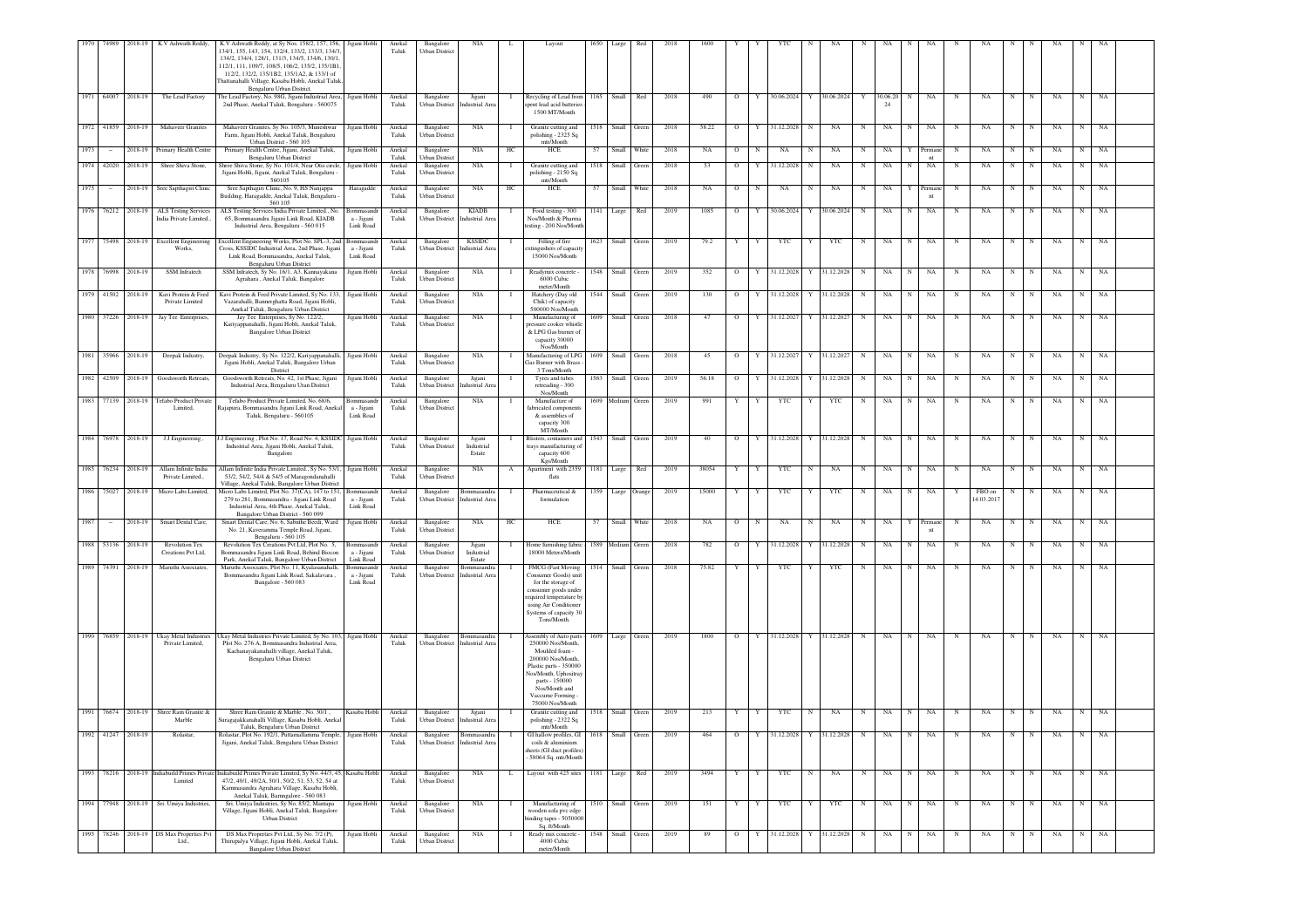|      | 74989 | 2018-19            | K.V Ashwath Reddy.                                    | K.V Ashwath Reddy, at Sv Nos. 158/2, 157, 156,<br>134/1, 155, 143, 154, 132/4, 133/2, 133/3, 134/3,<br>134/2, 134/4, 128/1, 131/3, 134/5, 134/6, 130/1,<br>112/1 111 109/7 108/5 106/2 135/2 135/1B1<br>112/2, 132/2, 135/1B2, 135/1A2, & 133/1 of<br>hattanahalli Village, Kasaba Hobli, Anekal Taluk<br>Bengaluru Urban District. | Jigani Hobli                         | Anckal<br>Taluk | Bangalore<br><b>Urban District</b> | <b>NIA</b>                          |                | Layou                                                               |      | 1650 Large<br>Red     | 2018 |           |                |   |            |   |              |            |                |   |               |   |                    |   |            |     |                  |  |
|------|-------|--------------------|-------------------------------------------------------|-------------------------------------------------------------------------------------------------------------------------------------------------------------------------------------------------------------------------------------------------------------------------------------------------------------------------------------|--------------------------------------|-----------------|------------------------------------|-------------------------------------|----------------|---------------------------------------------------------------------|------|-----------------------|------|-----------|----------------|---|------------|---|--------------|------------|----------------|---|---------------|---|--------------------|---|------------|-----|------------------|--|
| 1971 |       | 64007 2018-19      | The Lead Factory                                      | The Lead Factory, No. 98G, Jigani Industrial Area,<br>2nd Phase, Anekal Taluk, Bengaluru - 560075                                                                                                                                                                                                                                   | Jigani Hobli                         | Anekal<br>Taluk | Bangalore<br>Urban Distric         | Jigani<br>lustrial Are              | -1             | Recycling of Lead from<br>ent lead acid batteric<br>1500 MT/Month   |      | 1165 Small<br>Red     | 2018 | 490       | $\overline{0}$ |   | 30.06.2024 | Y | 30.06.2024   | Y          | 30.06.20<br>24 | N | NA            | N | NA                 | N | $_{\rm N}$ | NA  | NA<br>$_{\rm N}$ |  |
| 1972 | 41859 | 2018-19            | <b>Mahaveer Granites</b>                              | Mahaveer Granites, Sy No. 105/3, Muneshwar<br>Farm, Jigani Hobli, Anekal Taluk, Bengaluru<br>Urban District - 560 105                                                                                                                                                                                                               | Jigani Hobli                         | Anekal<br>Taluk | Bangalore<br><b>Irban Distric</b>  | <b>NIA</b>                          |                | Granite cutting and<br>polishing - 2325 Sq<br>mtr/Month             | 1518 | Small<br>Frees        | 2018 | 58.22     | $\circ$        |   | 31.12.2028 |   | $_{\rm NA}$  | N          | NA             |   | NA            | N | NA                 | N |            | NA  |                  |  |
| 1973 |       | 2018-19            | Primary Health Centr                                  | Primary Health Centre, Jigani, Anekal Taluk,                                                                                                                                                                                                                                                                                        | Jigani Hobli                         | Anekal<br>Taluk | Bangalore<br>Urban Distric         | NIA.                                | HC             | <b>HCE</b>                                                          | 57   | Small<br>White        | 2018 | <b>NA</b> | $\circ$        | N | NA         |   | $_{\rm NA}$  | N          | <b>NA</b>      |   | erman<br>nt   | N | NA                 | N | $_{\rm N}$ | NA  | NA               |  |
| 1974 | 42020 | 2018-19            | Shree Shiva Stone,                                    | Bengaluru Urban District<br>Shree Shiva Stone, Sy No. 101/4, Near Otis circle,                                                                                                                                                                                                                                                      | Jigani Hobl                          | Anekal          | Bangalore                          | <b>NIA</b>                          |                | Granite cutting and                                                 | 1518 | Small<br><b>Greet</b> | 2018 | -53       | $\circ$        |   | 1.12.2028  |   | NA           |            | NA             |   | NA            |   | NA                 |   |            | NA  | NA               |  |
| 1975 |       | 2018-19            |                                                       | Jigani Hobli, Jigani, Anekal Taluk, Bengaluru<br>560105<br>Sree Sapthagiri Clinic, No. 9, HS Nanjappa                                                                                                                                                                                                                               |                                      | Taluk<br>Anekal | Urban Distric<br>Bangalore         | NIA                                 | H <sub>C</sub> | polishing - 2150 Sq.<br>$\mathrm{mtr/Month}$<br><b>HCE</b>          | 57   | Small<br>White        | 2018 | NA        | $\Omega$       |   | <b>NA</b>  |   | NA           | N          | NA             |   | erman         |   | <b>NA</b>          | N |            | NA  | NA               |  |
|      |       |                    | Sree Sapthagiri Clini                                 | Building, Haragadde, Anekal Taluk, Bengaluru<br>560 105                                                                                                                                                                                                                                                                             | Haragadde                            | Taluk           | <b>Urban Distric</b>               |                                     |                |                                                                     |      |                       |      |           |                |   |            |   |              |            |                |   | nt            |   |                    |   |            |     |                  |  |
| 1976 | 76212 | 2018-1             | <b>ALS Testing Services</b><br>India Private Limited. | ALS Testing Services India Private Limited., No<br>65, Bommasandra Jigani Link Road, KIADB<br>Industrial Area, Bengaluru - 560 015                                                                                                                                                                                                  | $\mathbf{a}$ - Jigani<br>Link Road   | Aneka<br>Taluk  | Bangalore<br><b>Urban District</b> | <b>KIADB</b><br>ductrial Ar         |                | Food testing - 300<br>Nos/Month & Pharm<br>esting - 200 Nos/Mon     | 1141 | Large                 | 2019 | 1085      |                |   | 0.06.2024  |   | 0.06.202     |            | NA             |   | NA            |   | NA                 |   |            | NA  |                  |  |
| 1977 | 75498 | 2018-19            | <b>Excellent Engineering</b><br>Works,                | Excellent Engineering Works, Plot No. SPL-3, 2nd<br>Cross, KSSIDC Industrial Area, 2nd Phase, Jigani<br>Link Road, Bommasandra, Anekal Taluk,<br>Bengaluru Urban District                                                                                                                                                           | a - Jigani<br>Link Road              | Aneka<br>Taluk  | Bangalore<br><b>Urban Distric</b>  | <b>KSSIDC</b><br>ndustrial Ar       |                | Filling of fire<br>ingushers of capacit<br>15000 Nos/Month          | 1623 | Small<br>Greet        | 2019 | 79.2      |                |   | YTC        |   | YTC          | N          | NA             |   | NA            |   | NA                 |   |            | NA  | NA               |  |
| 1978 |       | 76998 2018-19      | SSM Infratech                                         | SSM Infratech, Sy No. 16/1, A3, Kannayakana<br>Agrahara, Anekal Taluk, Bangalore                                                                                                                                                                                                                                                    | Jigani Hobli                         | Anekal<br>Taluk | Bangalore<br>Jrban Distric         | <b>NIA</b>                          |                | Readymix concrete<br>6000 Cubic<br>meter/Month                      |      | 1548 Small<br>Green   | 2019 | 352       | $\overline{0}$ |   | 31.12.2028 |   | 31.12.2028   | N          | NA             |   | NA            | N | NA                 | N |            | NA  | NA               |  |
|      |       | 1979 41502 2018-19 | Kavi Protein & Feed<br>Private Limited                | Kavi Protein & Feed Private Limited, Sy No. 133,<br>Vazarahalli, Bannerghatta Road, Jigani Hobli,<br>Anekal Taluk, Bengaluru Urban District                                                                                                                                                                                         | Jigani Hobli                         | Anekal<br>Taluk | Bangalore<br><b>Urban Distric</b>  | <b>NIA</b>                          |                | Hatchery (Day old<br>Chik) of capacity<br>500000 Nos/Month          |      | 1544 Small<br>Greet   | 2019 | 130       | $\mathcal{O}$  |   | 31.12.2028 |   | 31.12.2028   | $_{\rm N}$ | $_{\rm NA}$    |   | $_{\rm NA}$   | N | $_{\rm NA}$        | N | N          | NA  | $_{\rm NA}$<br>N |  |
| 1980 | 37226 | 2018-19            | Jay Tee Enterprises,                                  | Jay Tee Enterprises, Sy No. 122/2,<br>Kariyappanahalli, Jigani Hobli, Anekal Taluk,<br><b>Bangalore Urban District</b>                                                                                                                                                                                                              | Jigani Hobli                         | Anekal<br>Taluk | Bangalore<br>Urban Distric         | <b>NIA</b>                          |                | Manufacturing of<br>ssure cooker whistl<br>& LPG Gas burner of      | 1609 | Small<br>Green        | 2018 | 47        | $\overline{0}$ |   | 31.12.2027 |   | 31.12.2027   | N          | $_{\rm NA}$    | N | NA            | N | NA                 | N | N          | NA  | $_{\rm NA}$<br>N |  |
| 1981 | 35966 | 2018-19            | Deepak Industry,                                      | Deepak Industry, Sy No. 122/2, Kariyappanahalli,                                                                                                                                                                                                                                                                                    | Jigani Hobli                         | Anekal          | Bangalore                          | <b>NIA</b>                          |                | capacity 30000<br>Nos/Month<br>Manufacturing of LPG                 | 1609 | Small<br><b>Greet</b> | 2018 | 45        | $\circ$        |   | 31.12.2027 |   | 31.12.2027   | N          | $_{\rm NA}$    |   | NA            | N | NA                 | N |            | NA  |                  |  |
| 1982 | 42509 | 2018-19            | Goodsworth Retreats.                                  | Jigani Hobli, Anekal Taluk, Bangalore Urban<br>District<br>Goodsworth Retreats, No. 42, 1st Phase, Jigani                                                                                                                                                                                                                           | Jigani Hobli                         | Taluk<br>Anckal | Urban Distrio<br>Bangalore         | Jigani                              |                | Gas Burner with Brass<br>3 Tons/Month<br>Tyres and tubes            | 1563 | Small<br>Green        | 2019 | 56.18     | $\overline{O}$ |   | 31.12.2028 |   | 31.12.2028   | N          | NA             |   | <b>NA</b>     | N | NA                 |   |            | NA  | NA               |  |
|      |       |                    |                                                       | Industrial Area, Bengaluru Uran District                                                                                                                                                                                                                                                                                            |                                      | Taluk           | Jrban District                     | dustrial Ar                         |                | retreading - 300<br>$\operatorname{\sf Nos/Month}$                  |      |                       |      |           |                |   |            |   |              |            |                |   |               |   |                    | N |            |     |                  |  |
| 1983 |       |                    | 77139 2018-19 Tefabo Product Private<br>Limited.      | Tefabo Product Private Limited, No. 68/6.<br>tajapura, Bommasandra Jigani Link Road, Aneka                                                                                                                                                                                                                                          | a - Jigani                           | Aneka<br>Taluk  | Bangalore<br><b>Urban Distric</b>  | <b>NIA</b>                          |                | Manufacture of<br>fabricated componen                               | 1609 | Media                 | 2019 | 991       |                |   | YTC        |   | YTC          |            | NA             |   | NA            |   | NA                 |   |            | NA  | NA               |  |
|      |       |                    |                                                       | Taluk, Bengaluru - 560105                                                                                                                                                                                                                                                                                                           | Link Road                            |                 |                                    |                                     |                | & assemblies of<br>capacity 300                                     |      |                       |      |           |                |   |            |   |              |            |                |   |               |   |                    |   |            |     |                  |  |
| 1984 |       | 76978 2018-19      | J.J Engineering                                       | J.J Engineering, Plot No. 17, Road No. 4, KSSIDC                                                                                                                                                                                                                                                                                    | Jigani Hobli                         | Anckal          | Bangalore                          | Jigan                               |                | MT/Month<br>Blisters, containers an                                 |      | 1543 Small<br>Green   | 2019 | 40        | $\overline{0}$ |   | 31.12.2028 |   | 31.12.2028   | N          | NA             |   | NA            |   | NA                 |   |            | NA  | NA               |  |
|      |       |                    |                                                       | Industrial Area, Jigani Hobli, Anekal Taluk,<br>Bangalore                                                                                                                                                                                                                                                                           |                                      | Taluk           | <b>Urban District</b>              | Industrial<br>Estate                |                | trays manufacturing o<br>capacity 600<br>Kgs/Month                  |      |                       |      |           |                |   |            |   |              |            |                |   |               |   |                    |   |            |     |                  |  |
| 1985 | 76234 | 2018-1             | Allam Infinite India<br>Private Limited.,             | Allam Infinite India Private Limited., Sy No. 53/1.<br>53/2, 54/2, 54/4 & 54/5 of Maragondanahalli<br>Village, Anekal Taluk, Bangalore Urban District                                                                                                                                                                               | Jigani Hob                           | Aneka<br>Taluk  | Bangalore<br>Urban Distric         | NIA                                 |                | ent with 23<br>flats                                                | 1181 | Large<br>Red          | 2019 | 3805      |                |   | <b>YTC</b> |   | NA           |            | NA             |   | NA            |   | NA                 |   |            | NA  |                  |  |
| 1986 | 75027 | 2018-19            | Micro Labs Limited.                                   | Micro Labs Limited, Plot No. 37(CA), 147 to 151<br>279 to 281, Bommasandra - Jigani Link Road<br>Industrial Area, 4th Phase, Anekal Taluk,                                                                                                                                                                                          | a - Jigani<br>Link Road              | Anekal<br>Taluk | Bangalore<br>Jrban District        | tommasandra<br>dustrial Ar          |                | Pharmaceutical &<br>formulation                                     | 1359 | Large<br>Orang        | 2019 | 15000     |                |   | <b>YTC</b> |   | YTC          | N          | NA             |   | NA            |   | FBO on<br>4.03.201 |   |            | NA  | NA               |  |
| 1987 |       | 2018-19            | Smart Dental Care.                                    | Bangalore Urban District - 560 099<br>Smart Dental Care, No. 6, Sabnthe Beedi, Ward<br>No. 21, Kaveramma Temple Road, Jigani,<br>Bengaluru - 560 105                                                                                                                                                                                | Jigani Hobli                         | Anekal<br>Taluk | Bangalore<br>Urban Distric         | <b>NIA</b>                          | HC             | HCE                                                                 | 57   | Small White           | 2018 | NA        | $\circ$        | N | NA         |   | NA           | N          | NA             |   | Permano<br>nt | N | NA                 | N | $_{\rm N}$ | NA  | NA<br>N          |  |
| 1988 | 53136 | $2018 - 19$        | <b>Revolution Tex</b><br>Creations Pvt Ltd,           | Revolution Tex Creations Pvt Ltd, Plot No. 5,<br>Bommasandra Jigani Link Road, Behind Biocon                                                                                                                                                                                                                                        | ommasan<br>a - Jigani<br>Link Road   | Anekal<br>Taluk | Bangalore<br>Urban Distric         | Jigani<br>Industrial<br>Estate      |                | Home furnishing fabric<br>18000 Meters/Month                        |      | 1589 Medit<br>Greet   | 2018 | 782       | $\circ$        |   | 1.12.2028  |   | 31.12.2028   | N          | $_{\rm NA}$    |   | $_{\rm NA}$   | N | NA                 | N |            | NA  | NA<br>Ν          |  |
| 1989 | 74391 | 2018-19            | Maruthi Associates.                                   | Park, Anekal Taluk, Bangalore Urban District<br>Maruthi Associates, Plot No. 11, Kvalasanahalli,<br>Bommasandra Jigani Link Road, Sakalavara,<br>Bangalore - 560 083                                                                                                                                                                | Bommasand<br>a - Jigani<br>Link Road | Anekal<br>Taluk | Bangalore<br>Urban Distric         | <b>Bommasandra</b><br>ndustrial Are |                | FMCG (Fast Moving<br>Consumer Goods) un<br>for the storage of       | 1514 | Small<br>Green        | 2018 | 75.82     |                |   | <b>YTC</b> |   | <b>YTC</b>   | N          | <b>NA</b>      |   | <b>NA</b>     |   | <b>NA</b>          | N |            | NA. | NA               |  |
|      |       |                    |                                                       |                                                                                                                                                                                                                                                                                                                                     |                                      |                 |                                    |                                     |                | consumer goods unde<br>equired temperature b                        |      |                       |      |           |                |   |            |   |              |            |                |   |               |   |                    |   |            |     |                  |  |
|      |       |                    |                                                       |                                                                                                                                                                                                                                                                                                                                     |                                      |                 |                                    |                                     |                | using Air Conditioner                                               |      |                       |      |           |                |   |            |   |              |            |                |   |               |   |                    |   |            |     |                  |  |
|      |       |                    |                                                       |                                                                                                                                                                                                                                                                                                                                     |                                      |                 |                                    |                                     |                | systems of capacity 30<br>Tons/Month.                               |      |                       |      |           |                |   |            |   |              |            |                |   |               |   |                    |   |            |     |                  |  |
| 1990 |       |                    | 76859 2018-19 Ukay Metal Industries                   | Ukay Metal Industries Private Limited, Sy No. 103, Jigani Hobli                                                                                                                                                                                                                                                                     |                                      | Anekal          | Bangalore                          | Bommasandra                         |                | Assembly of Auto parts                                              |      | 1609 Large            | 2019 | 1800      | $\Omega$       |   | 31.12.2028 |   | 31.12.2028 N |            | NA             |   | NA            |   | $_{\rm NA}$        |   |            | NA  | <b>NA</b>        |  |
|      |       |                    | Private Limited,                                      | Plot No. 276 A, Bommasandra Industrial Area,<br>Kachanayakanahalli village, Anekal Taluk,                                                                                                                                                                                                                                           |                                      | Taluk           | <b>Urban District</b>              | Industrial Area                     |                | 250000 Nos/Month,<br>Moulded foam -                                 |      |                       |      |           |                |   |            |   |              |            |                |   |               |   |                    |   |            |     |                  |  |
|      |       |                    |                                                       | Bengaluru Urban District                                                                                                                                                                                                                                                                                                            |                                      |                 |                                    |                                     |                | 200000 Nos/Month<br>Plastic parts - 350000                          |      |                       |      |           |                |   |            |   |              |            |                |   |               |   |                    |   |            |     |                  |  |
|      |       |                    |                                                       |                                                                                                                                                                                                                                                                                                                                     |                                      |                 |                                    |                                     |                | Nos/Month, Uphositra<br>parts - 150000                              |      |                       |      |           |                |   |            |   |              |            |                |   |               |   |                    |   |            |     |                  |  |
|      |       |                    |                                                       |                                                                                                                                                                                                                                                                                                                                     |                                      |                 |                                    |                                     |                | Nos/Month and<br>Vaccume Forming                                    |      |                       |      |           |                |   |            |   |              |            |                |   |               |   |                    |   |            |     |                  |  |
| 1001 |       | 76674 2018-19      | Shree Ram Granite &                                   | Shree Ram Granite & Marble No. 30/1                                                                                                                                                                                                                                                                                                 | Kasaba Hobli                         | Anekal          | Bangalore                          | Jigan                               |                | 75000 Nos/Month<br>Granite cutting and                              | 1518 | Small<br>Green        | 2019 | 213       |                |   | <b>YTC</b> |   | NA           |            | NA             |   | NA.           |   | NA                 |   |            | NA  |                  |  |
|      |       |                    | Marble                                                | uragajakkanahalli Village, Kasaba Hobli, Aneka<br>Taluk, Bengaluru Urban District                                                                                                                                                                                                                                                   |                                      | Taluk           | <b>Urban District</b>              | ndustrial Are                       |                | polishing - 2322 Sq<br>mtr/Month                                    |      |                       |      |           |                |   |            |   |              |            |                |   |               |   |                    |   |            |     |                  |  |
| 1992 | 41247 | 2018-19            | Rolastar                                              | Rolastar, Plot No. 192/1, Puttamallamma Temple,<br>Jigani, Anekal Taluk, Bengaluru Urban District                                                                                                                                                                                                                                   | Jigani Hobl                          | Anekal<br>Taluk | Bangalore<br><b>Urban District</b> | 3ommasandra<br>ndustrial Are        |                | GI hallow profiles, GI<br>coils & alumini<br>heets (GI duct profile | 1618 | Small                 | 2019 | 464       | $\circ$        |   | 1.12.2028  |   | 31.12.2028   |            | NA             |   | NA            |   | NA                 |   |            | NA  |                  |  |
| 1993 | 78216 |                    | 2018-19 Indiabuild Primes Privat                      | Indiabuild Primes Private Limited, Sy No. 44/3, 45,                                                                                                                                                                                                                                                                                 | Kasaba Hobi                          | Anekal          | Bangalore                          | <b>NIA</b>                          | L              | 58064 Sq. mtr/Month<br>Layout with 425 sites                        |      | 1181 Large<br>Red     | 2019 | 3494      | Y              |   | YTC        |   | $_{\rm NA}$  | N          | $_{\rm NA}$    | N | $_{\rm NA}$   | N | $_{\rm NA}$        | N | N          | NA  | NA<br>N          |  |
|      |       |                    | Limited                                               | 47/2, 49/1, 49/2A, 50/1, 50/2, 51, 53, 52, 54 at<br>Kammasandra Agrahara Village, Kasaba Hobli,<br>Anekal Taluk, Bamngalore - 560 083                                                                                                                                                                                               |                                      | Taluk           | Urban Distrio                      |                                     |                |                                                                     |      |                       |      |           |                |   |            |   |              |            |                |   |               |   |                    |   |            |     |                  |  |
| 1994 |       |                    | 77948 2018-19 Sri. Umiya Industries,                  | Sri. Umiya Industries, Sy No. 85/2, Mantapa<br>Village, Jigani Hobli, Anekal Taluk, Bangalore<br><b>Urban District</b>                                                                                                                                                                                                              | Jigani Hobli                         | Anekal<br>Taluk | Bangalore<br>Jrban Distric         | <b>NIA</b>                          |                | Manufacturing of<br>wooden sofa pvc edge<br>nding tapes - 505000    |      | 1510 Small<br>Green   | 2019 | 151       |                |   | <b>YTC</b> |   | YTC          |            | NA             |   | NA            |   | NA                 |   |            | NA  |                  |  |
| 1995 |       |                    | 78246 2018-19 DS Max Properties Pv<br>Ltd.,           | DS Max Properties Pvt Ltd., Sv No. 7/2 (P).<br>Thirupalya Village, Jigani Hobli, Anekal Taluk,                                                                                                                                                                                                                                      | Jigani Hobli                         | Anckal<br>Taluk | Bangalore<br>Urban Distric         | <b>NIA</b>                          |                | Sq. ft/Month<br>Ready mix concrete<br>4000 Cubic                    | 1548 | Small<br>Green        | 2019 |           |                |   | 31.12.2028 |   | 31.12.2028   |            | NA             |   |               |   | NA                 |   |            |     |                  |  |
|      |       |                    |                                                       | <b>Bangalore Urban District</b>                                                                                                                                                                                                                                                                                                     |                                      |                 |                                    |                                     |                | meter/Montl                                                         |      |                       |      |           |                |   |            |   |              |            |                |   |               |   |                    |   |            |     |                  |  |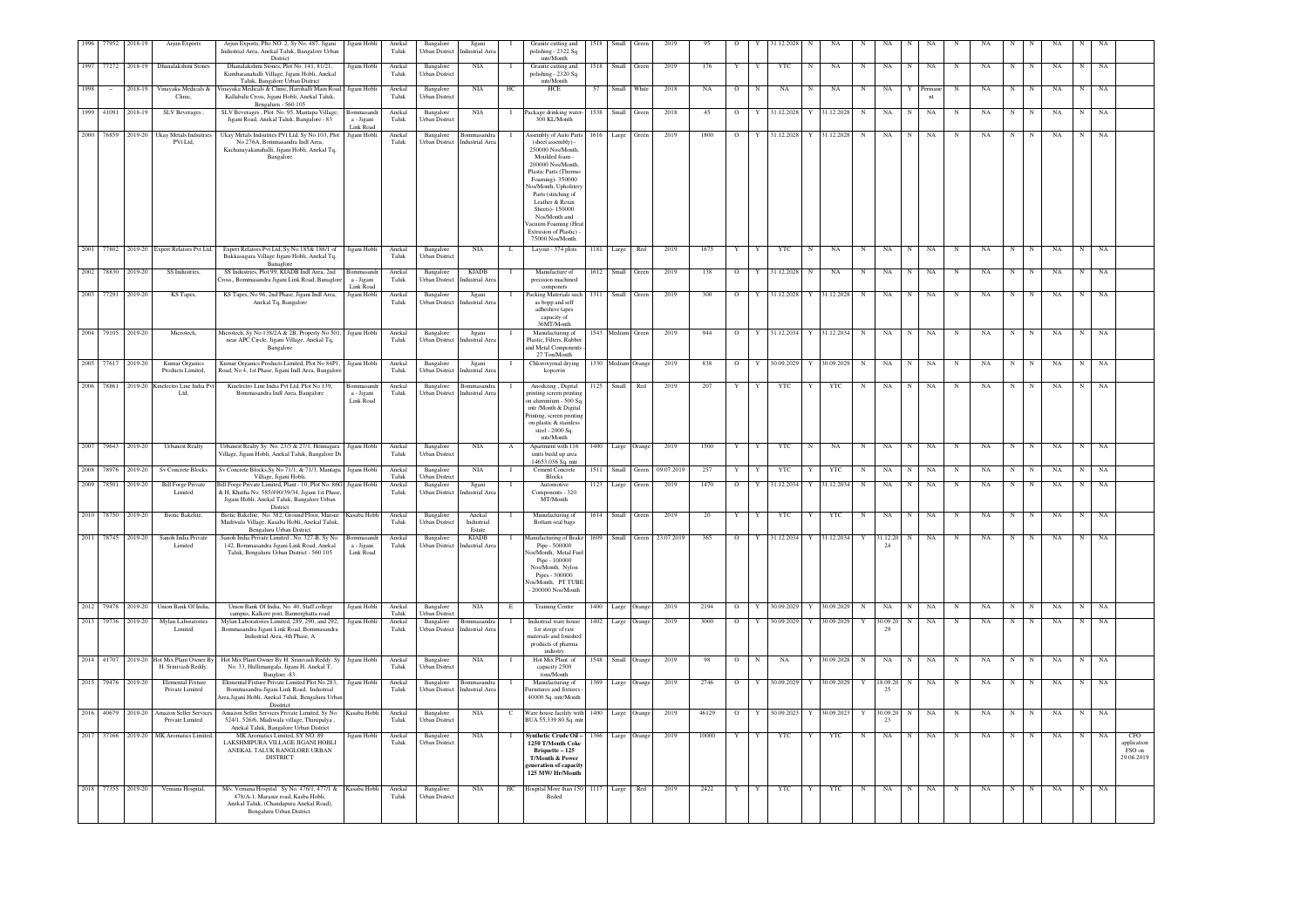| 1996 | 77952 | 2018-19            | Arjun Exports                                                    | Ariun Exports, Plto NO. 2, Sv No. 487, Jigani<br>Industrial Area, Anekal Taluk, Bangalore Urban<br>District                                                         | Jigani Hobli                         | Anekal<br>Taluk | Bangalore<br><b>Urban District</b> | Jigani<br>ndustrial Area             |               | Granite cutting and<br>polishing - 2322 Sq.<br>mtr/Month                                                                                                                                                                                                                                                                                | 1518              | Small | Green         | 2019       | 95    | $\circ$        |            | 31.12.2028 | NA               |                | NA             |            | NA                                   | N            | NA          | N              |              | NA          |                | NA          |                                                   |
|------|-------|--------------------|------------------------------------------------------------------|---------------------------------------------------------------------------------------------------------------------------------------------------------------------|--------------------------------------|-----------------|------------------------------------|--------------------------------------|---------------|-----------------------------------------------------------------------------------------------------------------------------------------------------------------------------------------------------------------------------------------------------------------------------------------------------------------------------------------|-------------------|-------|---------------|------------|-------|----------------|------------|------------|------------------|----------------|----------------|------------|--------------------------------------|--------------|-------------|----------------|--------------|-------------|----------------|-------------|---------------------------------------------------|
| 1997 |       | 77272 2018-19      | Dhanalakshmi Stones                                              | Dhanalakshmi Stones, Plot No. 141, 81/21,<br>Kumbaranahalli Village, Jigani Hobli, Anekal<br>Taluk, Bangalore Urban District                                        | Jigani Hobli                         | Anekal<br>Taluk | Bangalore<br>Jrban Distric         | <b>NIA</b>                           |               | Granite cutting and<br>polishing - 2320 Sq.<br>mtr/Month                                                                                                                                                                                                                                                                                | 1518              | Small | Green         | 2019       | 176   |                |            | YTC        | NA<br>N          | N              | NA             | N          | NA                                   | N            | NA          | N              |              | NA          |                | NA          |                                                   |
| 1998 |       | 2018-19            | Vinayaka Medicals &<br>Clinic.                                   | inayaka Medicals & Clinic, Harohalli Main Road,<br>Kallabalu Cross, Jigani Hobli, Anekal Taluk,<br>Bengaluru - 560 105                                              | Jigani Hobli                         | Anekal<br>Taluk | Bangalore<br><b>Urban District</b> | <b>NIA</b>                           | HC            | HCE                                                                                                                                                                                                                                                                                                                                     | 57                | Small | White         | 2018       | NA    | $\overline{0}$ |            | NA         | NA               |                | NA             |            | 'ermai<br>$\mathop{\rm nt}\nolimits$ |              | NA          | N              |              | NA          |                | NA          |                                                   |
| 1000 | 41091 | 2018-19            | SLV Beverages,                                                   | SLV Beverages, Plot No. 95. Mantapa Village,<br>Jigani Road, Anekal Taluk, Bangalore - 83                                                                           | a - Jigani<br>Link Road              | Anekal<br>Taluk | Bangalore<br><b>Urban District</b> | <b>NIA</b>                           |               | ackage drinking water<br>300 KL/Month                                                                                                                                                                                                                                                                                                   | 1538 Small        |       | Green         | 2018       | 45    | $\Omega$       |            | 31 12 2028 | 31 12 2028       |                | NA.            |            | <b>NA</b>                            |              | NA.         | N              |              | NA          |                | NA          |                                                   |
| 2000 | 76859 |                    | 2019-20 Ukay Metals Indsutries<br>$\hbox{PVt Ltd},$              | Ukay Metals Indsutries PVt Ltd, Sy No 103, Plot<br>No 276A, Bommasandra Indl Area,<br>Kachanayakanahalli, Jigani Hobli, Anekal Tq,<br>Bangalore                     | Jigani Hobli                         | Anekal<br>Taluk | Bangalore<br><b>Urban District</b> | Bommasandra<br>ndustrial Area        |               | <b>Assembly of Auto Parts</b><br>(sheet assembly) -<br>250000 Nos/Month,<br>Moulded foam -<br>200000 Nos/Month<br>Plastic Parts (Therme<br>Foaming)- 350000<br>Vos/Month, Upholstery<br>Parts (stitching of<br>Leather & Rexin<br>Sheets)-150000<br>Nos/Month and<br>acuum Foaming (Heat<br>Extrusion of Plastic) -<br>75000 Nos/Month. | 1616              | Large | Green         | 2019       | 1800  | $\circ$        |            | 31.12.2028 | 31.12.2028<br>Y  |                | NA             |            | NA                                   | N            | NA          | N              |              | NA          |                | NA          |                                                   |
| 2001 | 77802 |                    | 2019-20 Expert Relators Pvt Ltd,                                 | Expert Relators Pvt Ltd, Sy No 185& 186/1 of<br>Bukkasagara Village Jigani Hobli, Anekal Tq,<br>Banaglore                                                           | Jigani Hobli                         | Anekal<br>Taluk | Bangalore<br><b>Urban Distric</b>  | <b>NIA</b>                           | L             | Layout - 374 plots                                                                                                                                                                                                                                                                                                                      | 1181              | Large | Red           | 2019       | 1675  |                |            | YTC        | $_{\rm NA}$<br>N | N              | NA             |            | NA                                   | N            | $_{\rm NA}$ | N              |              | NA          |                | NA          |                                                   |
| 2002 | 78830 | 2019-20            | SS Industries,                                                   | SS Industries, Plot 99, KIADB Indl Area, 2nd<br>Tross,, Bommasandra Jigani Link Road, Banaglor                                                                      | a - Jigani<br>Link Road              | Anekal<br>Taluk | Bangalore<br><b>Urban District</b> | <b>KIADB</b><br>dustrial An          |               | Manufacture of<br>precision machined<br>componets                                                                                                                                                                                                                                                                                       | $1612$ Small      |       | Green         | 2019       | 138   | $\circ$        | Y          | 31.12.2028 | NA<br>$_{\rm N}$ | N              | $_{\rm NA}$    | $_{\rm N}$ | NA                                   | $_{\rm N}$   | NA          | $_{\rm N}$     | N            | NA          | $_{\rm N}$     | $_{\rm NA}$ |                                                   |
|      |       | 2003 77291 2019-20 | KS Tapes.                                                        | KS Tapes, No 96, 2nd Phase, Jigani Indl Area,<br>Anekal Tq, Bangalore                                                                                               | Jigani Hobli                         | Anekal<br>Taluk | Bangalore<br><b>Urban District</b> | Jigani<br>ndustrial Are              |               | Packing Materials such<br>as bopp and self<br>adheshive tapes<br>capacity of<br>36MT/Month                                                                                                                                                                                                                                              | 1311 Small Green  |       |               | 2019       | 300   | $\Omega$       |            | 31.12.2028 | 31.12.2028<br>Y  | N              | NA             | N          | $_{\rm NA}$                          | $_{\rm N}$   | NA          | $_{\rm N}$     | N            | <b>NA</b>   | N              | $_{\rm NA}$ |                                                   |
| 2004 | 79105 | 2019-20            | <b>Microtech</b>                                                 | Microtech, Sy No 138/2A & 2B, Property No 501,<br>near APC Circle, Jigani Village, Anekal Tq,<br>Bangalore                                                          | Jigani Hobli                         | Anekal<br>Taluk | Bangalore<br><b>Urban District</b> | Jigani<br>dustrial Arc               |               | Manufacturing of<br>Plastic, Filters, Rubbe<br>nd Metal Component                                                                                                                                                                                                                                                                       |                   |       | Green         | 2019       | 944   |                |            | 31.12.2034 | 31.12.203        |                | NA             |            | NA                                   |              | NA          |                |              | NA          |                |             |                                                   |
| 2005 | 77617 | 2019-20            | Kumar Organics<br>Products Limited                               | Kumar Organics Products Limited, Plot No 84P1, Jigani Hobli<br>Road, No 4, 1st Phase, Jigani Indl Area, Bangalor                                                    |                                      | Anckal<br>Taluk | Bangalore<br><b>Urban District</b> | Jigani<br>Industrial Are             |               | 27 Ton/Month<br>Chloroxyenal drying<br>kopcerin                                                                                                                                                                                                                                                                                         | 1330 Mediu        |       | Orange        | 2019       | 838   | $\Omega$       |            | 30.09.2029 | 30.09.2029       |                | NA.            |            | NA                                   |              | NA.         |                |              | NA          |                | NA          |                                                   |
| 2006 | 78861 |                    | 2019-20 Kinelectro Line India Py<br>Ltd,                         | Kinelectro Line India Pvt Ltd, Plot No 139,<br>Bommasandra Indl Area, Bangalore                                                                                     | Bommasand<br>a - Jigani<br>Link Road | Anekal<br>Taluk | Bangalore<br><b>Urban District</b> | Bommasandra<br>ndustrial Area        |               | Anodizing . Digital<br>printing screen printing<br>n aluminium - 500 Sq<br>mtr /Month & Digital<br>rinting, screen printing<br>on plastic & stainless<br>steel - 2000 Sq.<br>mtr/Month                                                                                                                                                  | 1125              | Small | Red           | 2019       | 207   |                |            | <b>YTC</b> | <b>YTC</b>       |                | <b>NA</b>      |            | NA                                   | N            | <b>NA</b>   | N              |              | <b>NA</b>   |                | NA          |                                                   |
| 2007 |       | 79643 2019-20      | <b>Urbanest Realty</b>                                           | Urbanest Realty Sy. No. 23/3 & 27/1, Hennagara<br>Village, Jigani Hobli, Anekal Taluk, Bangalore Di                                                                 | Jigani Hobli                         | Anekal<br>Taluk | Bangalore<br><b>Urban District</b> | <b>NIA</b>                           |               | Apartment with 116<br>units build up area<br>14653.036 Sq. mtr                                                                                                                                                                                                                                                                          | 1400              | Large | Orange        | 2019       | 1500  |                |            | <b>YTC</b> | NA               |                | NA             |            | NA                                   |              | NA          |                |              | NA          |                | NA          |                                                   |
| 2008 | 78976 | 2019-20            | Sv Concrete Blocks                                               | Sv Concrete Blocks, Sy No 71/1, & 71/3, Mantapa<br>Village, Jigani Hobli,                                                                                           | Jigani Hobli                         | Anekal<br>Taluk | Bangalore<br>Jrban District        | <b>NIA</b>                           |               | <b>Cement Concrete</b><br><b>Blocks</b>                                                                                                                                                                                                                                                                                                 | 1511              | Small | Green         | 09.07.201  | 257   |                |            | YTC        | YTC              |                | <b>NA</b>      | N          | NA                                   | N            | <b>NA</b>   | N              |              | <b>NA</b>   |                | NA          |                                                   |
| 2009 | 78501 | 2019-20            | <b>Bill Forge Private</b><br>Limited                             | Bill Forge Private Limited, Plant - 10, Plot No. 86G<br>& H, Khatha No. 585/490/39/34, Jigani 1st Phase,<br>Jigani Hobli, Anekal Taluk, Bangalore Urban<br>District | Jigani Hobli                         | Anekal<br>Taluk | Bangalore<br><b>Urban District</b> | Jigani<br>ndustrial Are              |               | Automotive<br>Components - 320<br>MT/Month                                                                                                                                                                                                                                                                                              | 1123              | Large | Green         | 2019       | 1470  | $\circ$        |            | 31.12.2034 | 31.12.2034       |                | NA             | N          | NA                                   | N            | NA          | N              |              | NA          |                | NA          |                                                   |
| 2010 |       | 78750 2019-20      | Biotic Bakelite,                                                 | Biotic Bakelite, No. 382, Ground Floor, Marsur<br>Madiwala Village, Kasaba Hobli, Anekal Taluk,<br>Bengaluru Urban District                                         | Kasaba Hobli                         | Anekal<br>Taluk | Bangalore<br><b>Urban District</b> | Anekal<br>Industrial<br>Estate       |               | Manufacturing of<br>Bottam seal bags                                                                                                                                                                                                                                                                                                    | $1614$ Small      |       | Green         | 2019       | 20    |                |            | <b>YTC</b> | YTC              | N              | $_{\rm NA}$    | N          | NA                                   | $_{\rm N}$   | NA          | N              | N            | NA          |                | NA          |                                                   |
| 2011 |       | 78745 2019-20      | Sanoh India Private<br>Limited                                   | Sanoh India Private Limited, No. 327-B, Sy No.<br>142. Bommasandra Jigani Link Road. Anekal<br>Taluk, Bengaluru Urban District - 560 105                            | a - Jigani<br>Link Road              | Anekal<br>Taluk | Bangalore<br>Urban Distric         | <b>KIADB</b><br>ndustrial An         |               | lanufacturing of Brake<br>Pipe - 500000<br>os/Month, Metal Fue<br>Pipe - 100000<br>Nos/Month, Nylon<br>Pipes - 300000<br>los/Month PT TURE<br>200000 Nos/Month                                                                                                                                                                          | 1609              | Small | Green         | 23.07.2019 | 365   | $\circ$        |            | 31.12.2034 | 31.12.2034<br>Y  |                | 31.12.20<br>24 |            | NA                                   | N            | NA          | N              | N            | NA          | N              | NA          |                                                   |
| 2012 | 79478 | 2019-20            | Union Bank Of India.                                             | Union Bank Of India, No. 40, Staff college<br>campus, Kalkere post, Bannerghatta road                                                                               | Jigani Hobli                         | Anekal<br>Taluk | Bangalore<br><b>Urban District</b> | <b>NIA</b>                           | E             | <b>Training Centre</b>                                                                                                                                                                                                                                                                                                                  | 1400              | Large | <b>Drang</b>  | 2019       | 2194  | $\Omega$       |            | 30.09.2029 | 30.09.2029       |                | <b>NA</b>      |            | NA                                   | N            | NA          | N              |              | NA          |                | NA          |                                                   |
| 2013 |       | 79736 2019-20      | Mylan Laboratories<br>Limited                                    | Mylan Laboratories Limited, 289, 290, and 292,<br>masandra Jigani Link Road, Bommasandra<br>Rom<br>Industrial Area, 4th Phase, A                                    | Jigani Hobli                         | Anekal<br>Taluk | Bangalore<br><b>Urban District</b> | <b>Bommasandra</b><br>ndustrial Area |               | Industrial ware house<br>for storge of raw<br>materials and fonished<br>products of pharma<br>industry                                                                                                                                                                                                                                  | 1402 Large        |       | Orange        | 2019       | 3000  | $\circ$        | Y          | 30.09.2029 | Y<br>30.09.2029  |                | 30.09.20<br>29 | N          | $_{\rm NA}$                          | $_{\rm N}$   | $_{\rm NA}$ | $\,$ N $\,$    | N            | $_{\rm NA}$ | $\overline{N}$ | $_{\rm NA}$ |                                                   |
|      |       |                    | 2014 41707 2019-20 Hot Mix Plant Owner By<br>H. Srinivash Reddy. | Hot Mix Plant Owner By H. Srinivash Reddy. Sy Jigani Hobli<br>No. 33, Hullimangala, Jigani H, Anekal T,<br>Banglore -83.                                            |                                      | Anekal<br>Taluk | Bangalore<br>Urban Distric         | $_{\rm NIA}$                         | $\mathbf{I}$  | Hot Mix Plant of<br>capacity 2500<br>tons/Month                                                                                                                                                                                                                                                                                         | 1548 Small        |       | Orange        | 2019       | 98    | $\overline{0}$ | $_{\rm N}$ | NA         | Y 30.09.2028     | N              | NA             | $_{\rm N}$ | NA                                   | N            | NA          | $\overline{N}$ | N            | NA          | N              | $_{\rm NA}$ |                                                   |
| 2015 | 79476 | 2019-20            | <b>Elemental Fixture</b><br>Private Limited                      | Elemental Fixture Private Limited Plot No.283,<br>masandra-Jigani Link Road, Industrial<br>Bon<br>krea,Jigani Hobli, Anekal Taluk, Bengaluru Urba<br>Disstrict      | Jigani Hobli                         | Aneka<br>Taluk  | Bangalore<br><b>Urban District</b> | kommasandra<br>ndustrial Are         |               | Manufacturing of<br>rnitures and fixture<br>40000 Sq. mtr/Month                                                                                                                                                                                                                                                                         | 369               | Large | <b>Drange</b> | 2019       | 2746  | $\circ$        |            | 0.09.2029  | 30.09.2029       |                | 8.09.2<br>25   |            | NA                                   | N            | NA          | N              |              | NA          |                | NA          |                                                   |
|      |       |                    | 2016 40679 2019-20 Amazon Seller Service<br>Private Limited      | Amazon Seller Services Private Limited, Sv No.<br>524/1, 526/6. Madiwala village. Thirupalva.<br>Anekal Taluk, Bangalore Urban District                             | Kasaba Hobli                         | Anekal<br>Taluk | Bangalore<br><b>Urban Distric</b>  | <b>NIA</b>                           | $\mathcal{C}$ | Ware house facility with<br>BUA 55,339.80 Sq. mt                                                                                                                                                                                                                                                                                        | 1400 Large Orange |       |               | 2019       | 46129 | $\Omega$       |            | 30.09.2023 | 30.09.2023<br>Y  |                | 30.09.20<br>23 |            | NA                                   | N            | NA          | N              | N            | NA          | N              | <b>NA</b>   |                                                   |
| 2017 |       |                    | 37166 2019-20 MK Aromatics Limited                               | MK Aromatics Limited, SY NO. 89<br>LAKSHMIPURA VILLAGE JIGANI HOBLI<br>ANEKAL TALUK BANGLORE URBAN<br><b>DISTRICT</b>                                               | Jigani Hobli                         | Anekal<br>Taluk | Bangalore<br><b>Urban District</b> | <b>NIA</b>                           |               | Synthetic Crude Oil –<br>1250 T/Month Coke<br>$Briquette-125% \label{eq:11}$<br><b>T/Month &amp; Power</b><br>generation of capacity<br>125 MW/Hr/Month                                                                                                                                                                                 | 1366              | Large | Orange        | 2019       | 10000 |                |            | YTC        | YTC              |                | NA             |            | NA                                   | N            | NA          | N              |              | <b>NA</b>   |                | <b>NA</b>   | <b>CEO</b><br>application<br>FSO on<br>29.06.2019 |
|      |       | 2018 77355 2019-20 | Vemana Hospital,                                                 | M/s. Vemana Hospital Sy No. 476/1, 477/1 &<br>478/A-1. Marasur road. Kasba Hobli.<br>Anekal Taluk, (Chandapura Anekal Road),<br>Bengaluru Urban District.           | Kasaba Hobli                         | Anekal<br>Taluk | Bangalore<br><b>Urban District</b> | <b>NIA</b>                           | HC            | Hospital More than 150 1117 Large<br>Beded                                                                                                                                                                                                                                                                                              |                   |       | Red           | 2019       | 2422  | Y              | Y          | <b>YTC</b> | Y<br><b>YTC</b>  | $\overline{N}$ | NA             | N          | $_{\rm NA}$                          | $\mathbb{N}$ | NA          | $\,$ N $\,$    | $\mathbb{N}$ | NA          | $\mathbb{N}$   | NA          |                                                   |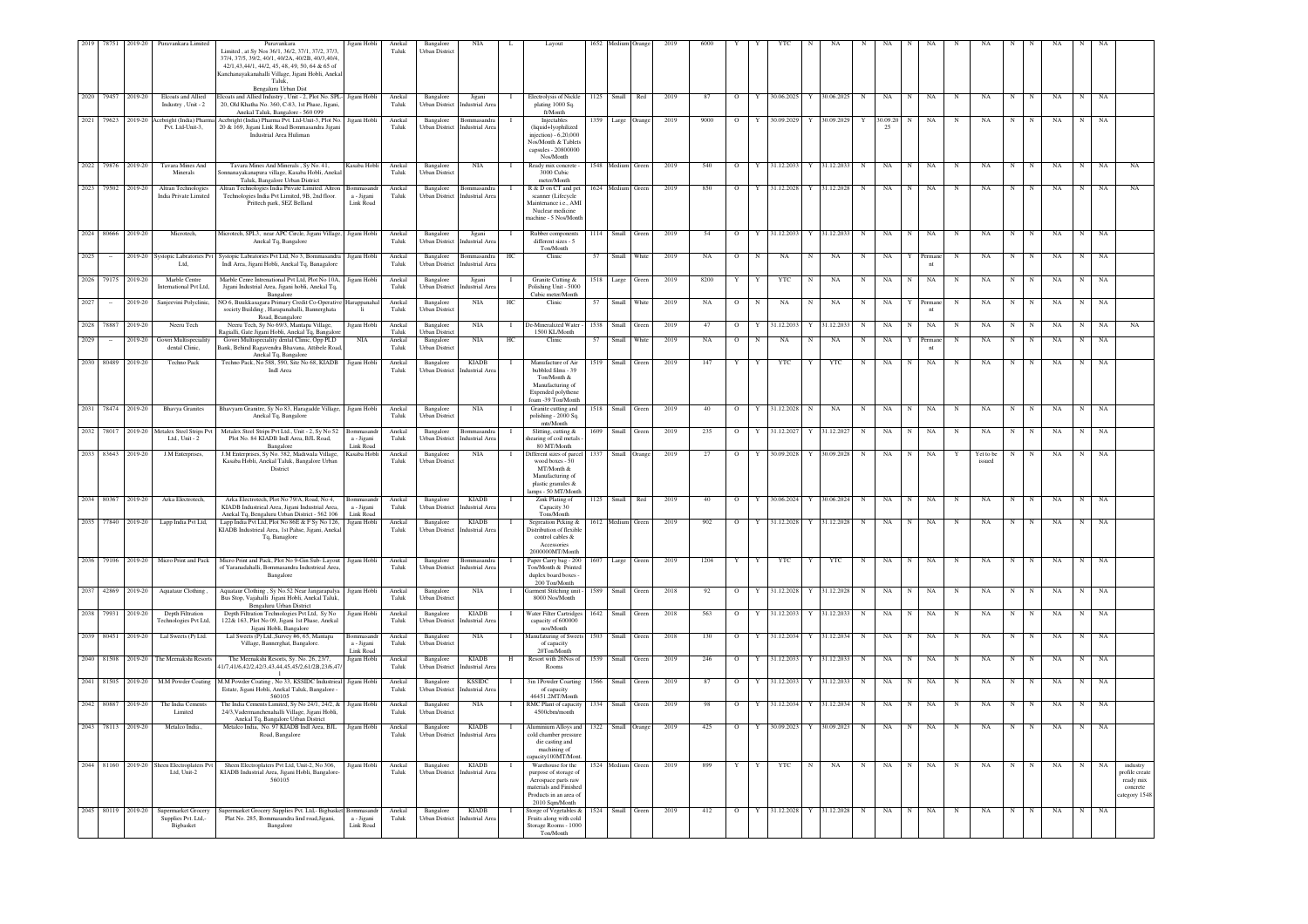|              |            | 78751 2019-20      | Puravankara Limited                                       | Puravankara<br>Limited, at Sy Nos 36/1, 36/2, 37/1, 37/2, 37/3,<br>37/4, 37/5, 39/2, 40/1, 40/2A, 40/2B, 40/3, 40/4,<br>42/1.43.44/1.44/2.45.48.49.50.64 & 65 of<br>Canchanayakanahalli Village, Jigani Hobli, Anekal<br>Taluk,<br>Bengaluru Urban Dist | Jigani Hobli                                | Aneka<br>Taluk            | Bangalore<br>Urban District                     | NIA                           |    | Layout                                                                                                                                  | 1652         | Medium            |                | 201          | 6000      |                            |                   | YTC                     |   |                         |                 |                 |            |                                      |             |                     |                 |            |                 |            |             |                                                                     |
|--------------|------------|--------------------|-----------------------------------------------------------|---------------------------------------------------------------------------------------------------------------------------------------------------------------------------------------------------------------------------------------------------------|---------------------------------------------|---------------------------|-------------------------------------------------|-------------------------------|----|-----------------------------------------------------------------------------------------------------------------------------------------|--------------|-------------------|----------------|--------------|-----------|----------------------------|-------------------|-------------------------|---|-------------------------|-----------------|-----------------|------------|--------------------------------------|-------------|---------------------|-----------------|------------|-----------------|------------|-------------|---------------------------------------------------------------------|
| 2020         | 79457      | 2019-20            | Elcoats and Allied<br>Industry, Unit - $2\,$              | Elcoats and Allied Industry, Unit - 2, Plot No. SPL-<br>20, Old Khatha No. 360, C-83, 1st Phase, Jigani,<br>Anekal Taluk, Bangalore - 560 099                                                                                                           | Jigani Hobli                                | Anekal<br>Taluk           | Bangalore<br><b>Urban Distric</b>               | Jigani<br>dustrial Are        |    | Electrolysis of Nickle<br>plating 1000 Sq.<br>ft/Month                                                                                  | 1125         | Small             | Red            | 2019         | 87        | $\circ$                    |                   | 30.06.2025              |   | 30.06.2025              | N               | NA              | $_{\rm N}$ | NA                                   | N           | NA                  | N               | $_{\rm N}$ | $_{\rm NA}$     | $_{\rm N}$ | NA          |                                                                     |
| 2021         |            |                    | 79623 2019-20 Acebright (India) Phar<br>Pvt. Ltd-Unit-3.  | Acebright (India) Pharma Pvt. Ltd-Unit-3, Plot No.<br>20 & 169. Jigani Link Road Bommasandra Jigani<br>Industrial Area Huliman                                                                                                                          | Jigani Hobli                                | Anekal<br>Taluk           | Bangalore<br><b>Urban District</b>              | tommasandra<br>ndustrial Are  |    | Injectables<br>(liquid+lyophilized<br>injection) - 6,20,000<br>Nos/Month & Tablets<br>capsules - 20800000<br>Nos/Month                  |              | 1359 Large Orange |                | 2019         | 9000      | $\circ$                    | $\mathbf{Y}$      | 30.09.2029              | Y | 30.09.2029              | Y               | 30.09.20<br>25  | N          | NA                                   | N           | NA                  | N               | N          | NA              | N          | NA          |                                                                     |
| 2022         |            | 79876 2019-20      | Tavara Mines And<br>Minerals                              | Tavara Mines And Minerals, Sy No. 41,<br>ayakanapura village, Kasaba Hobli, Aneka                                                                                                                                                                       | Kasaba Hobli                                | Anekal<br>Taluk           | Bangalore<br><b>Urban District</b>              | <b>NIA</b>                    |    | Ready mix concrete -<br>3000 Cubic                                                                                                      |              | 1548 Medium Green |                | 2019         | 540       | $\Omega$                   |                   | 31.12.2033              |   | 31.12.2033              | N               | NA              | N          | NA                                   | N           | NA                  | N               |            | NA              |            | NA          |                                                                     |
| 2023         | 79502      | 2019-20            | Altran Technologies<br>India Private Limited              | Taluk, Bangalore Urban District<br>Altran Technologies India Private Limited. Altron<br>Technologies India Pvt Limited, 9B, 2nd floor.<br>Prittech park, SEZ Belland                                                                                    | a - Jigani<br>Link Road                     | Anekal<br>Taluk           | Bangalore<br><b>Urban District</b>              | Bommasandr<br>Industrial Are  |    | meter/Month<br>R & D on CT and pet<br>scanner (Lifecycle<br>Maintenance i.e., AMI<br>Nuclear medicine<br>achine - 5 Nos/Mont            | 1624         | Mediun            | Green          | 2019         | 850       | $\Omega$                   |                   | 31.12.2028              |   | 31.12.2028              |                 | <b>NA</b>       |            | NA                                   |             | NA                  |                 |            |                 |            |             |                                                                     |
| 2024         |            | 80666 2019-20      | Microtech                                                 | Microtech, SPL3, near APC Circle, Jigani Village,<br>Anekal Tq, Bangalore                                                                                                                                                                               | Jigani Hobli                                | Anekal<br>Taluk           | Bangalore<br><b>Urban District</b>              | Jigani<br>dustrial Are        |    | Rubber components<br>different sizes - 5<br>Ton/Month                                                                                   | 1114         |                   | Small Green    | 2019         | 54        | $\Omega$                   | Y                 | 31.12.2033              |   | Y 31.12.2033            | N               | NA              | $_{\rm N}$ | <b>NA</b>                            | $\mathbf N$ | <b>NA</b>           | N               | N          | <b>NA</b>       | $_{\rm N}$ | NA          |                                                                     |
| 2025         | $\sim$     |                    | 2019-20 Systopic Labratories Pv<br>Ltd.                   | Systopic Labratories Pvt Ltd, No 3, Bommasandra<br>Indl Area, Jigani Hobli, Anekal Tq, Banagalore                                                                                                                                                       | Jigani Hobli                                | Anekal<br>Taluk           | Bangalore<br><b>Urban District</b>              | Bommasandra<br>ndustrial Are  |    | Clinic                                                                                                                                  | 57           | Small             | White          | 2019         | NA        | $\circ$                    | $_{\rm N}$        | NA                      |   | <b>NA</b>               | N               | NA              | Y          | Perman<br>$\mathop{\rm nt}\nolimits$ | N           | NA                  | N               | $_{\rm N}$ | NA              | N          | NA          |                                                                     |
| 2026         |            | 79175 2019-20      | Marble Centre<br>International Pvt Ltd.                   | Marble Cenre Intrenational Pvt Ltd. Plot No 10A.<br>Jigani Industrial Area, Jigani hobli, Anekal To,<br>Bangalore                                                                                                                                       | Jigani Hobli                                | Anekal<br>Taluk           | Bangalore<br><b>Urban District</b>              | Jigani<br>ndustrial Are       |    | Granite Cutting &<br>Polishing Unit - 5000<br>Cubic meter/Month                                                                         |              | 1518 Large Green  |                | 2019         | 8200      | Y                          | Y                 | YTC                     | N | NA                      | $_{\rm N}$      | NA              | $_{\rm N}$ | NA                                   | N           | NA                  | N               | N          | NA              | N          | NA          |                                                                     |
| 2027         |            | 2019-20            | Sanjeevini Polyclinic,                                    | NO 6, Buukkasagara Primary Credit Co-Operative<br>society Building, Harapanahalli, Bannerghata<br>Road, Beangalore                                                                                                                                      | Harappanaha                                 | Anekal<br>Taluk           | Bangalore<br>Urban Distric                      | $_{\rm NIA}$                  | HO | Clinic                                                                                                                                  | 57           | Small             | White          | 2019         | NA        | $\circ$                    | N                 | $_{\rm NA}$             |   | NA                      | N               | NA              |            | Perman                               | N           | NA                  | N               | N          | NA              | N          | NA          |                                                                     |
| 2028<br>2029 | 78887      | 2019-20<br>2019-20 | Neeru Tech<br>Gowri Multispeciality                       | Neeru Tech, Sy No 69/3, Mantapa Village,<br>tagialli, Gate Jigani Hobli, Anekal Tq, Bangalor<br>Gowri Multispeciality dental Clinic, Opp PLD                                                                                                            | Jigani Hobli<br>NIA                         | Anekal<br>Taluk<br>Anekal | Bangalore<br><b>Urban District</b><br>Bangalore | <b>NIA</b><br><b>NIA</b>      | HC | De-Mineralized Water<br>1500 KL/Month<br>Clinic                                                                                         | 1538<br>57   | Small<br>Small    | Greet<br>White | 2019<br>2019 | 47<br>NA  | $\Omega$<br>$\circ$        | $\mathbf{v}$<br>N | 31.12.2033<br><b>NA</b> | N | 31.12.2033<br><b>NA</b> | $_{\rm N}$<br>N | NA<br><b>NA</b> | $_{\rm N}$ | NA<br>Perman                         | N<br>N      | NA<br><b>NA</b>     | $_{\rm N}$<br>N | N<br>N     | NA<br><b>NA</b> | N<br>N     | NA<br>NA    | NA                                                                  |
| 2030         | 80489      | 2019-20            | dental Clinic.<br><b>Techno Pack</b>                      | Bank, Behind Ragavendra Bhavana, Attibele Road<br>Anekal Tq, Bangalore<br>Techno Pack, No 588, 590, Site No 68, KIADB                                                                                                                                   | Jigani Hobli                                | Taluk<br>Anekal           | <b>Urban District</b><br>Bangalore              | <b>KIADB</b>                  |    | Manufacture of Air                                                                                                                      | 1519         | Small             | Greer          | 2019         | 147       |                            |                   | YTC                     |   | YTC                     | N               | NA              | N          | nt<br>NA                             |             | NA                  | N               | N          | NA              | N          | NA          |                                                                     |
|              |            |                    |                                                           | Indl Area                                                                                                                                                                                                                                               |                                             | Taluk                     | <b>Urban District</b>                           | dustrial Are                  |    | bubbled films - 39<br>Ton/Month &<br>Manufacturing of<br>Expended polythene<br>foam -39 Ton/Month                                       |              |                   |                |              |           |                            |                   |                         |   |                         |                 |                 |            |                                      |             |                     |                 |            |                 |            |             |                                                                     |
| 2031         | 78017      | 78474 2019-20      | <b>Bhavya</b> Granites                                    | Bhavyam Granitre, Sy No 83, Haragadde Village,<br>Anekal Tq, Bangalore<br>Metalex Steel Strins Pvt Ltd Unit - 2 Sv No 52                                                                                                                                | Jigani Hobli                                | Anckal<br>Taluk<br>Anekal | Bangalore<br><b>Urban Distric</b>               | <b>NIA</b><br>Bommasandra     |    | Granite cutting and<br>polishing - 2000 Sq.<br>$\mathrm{mtr/Month}$                                                                     | 1518<br>1609 | Small             | Green          | 2019<br>2019 | 40<br>235 | $\overline{0}$<br>$\Omega$ |                   | 31.12.2028              | N | NA                      | N               | NA              | N          | NA                                   | N           | NA                  | N               | N          | NA              | N          | NA          |                                                                     |
| 2032         |            |                    | 2019-20 Metalex Steel Strips Pv<br>Ltd., Unit - 2         | Plot No. 84 KIADB Indi Area, BJL Road,<br>Bangalore                                                                                                                                                                                                     | <b>Bommasand</b><br>a - Jigani<br>Link Road | Taluk                     | Bangalore<br><b>Urban District</b>              | ndustrial Are                 |    | Slitting, cutting &<br>hearing of coil metals<br>80 MT/Month                                                                            |              |                   | Small Green    |              |           |                            |                   | 31.12.2027              |   | 31.12.2027              | N               | NA              | N          | NA                                   | N           | <b>NA</b>           | N               | N          | NA              | N          | NA          |                                                                     |
|              |            | 2033 83643 2019-20 | J.M Enterprises.                                          | J.M Enterprises, Sv No. 382. Madiwala Village.<br>Kasaba Hobli, Anekal Taluk, Bangalore Urban<br>District                                                                                                                                               | Kasaba Hobli                                | Anekal<br>Taluk           | Bangalore<br><b>Urban Distric</b>               | <b>NIA</b>                    |    | Different sizes of parcel<br>wood boxes - $30$<br>MT/Month &<br>Manufacturing of<br>plastic granules &<br>amps - 50 MT/Mont             | 1337         | Small             | Orange         | 2019         | 27        | $\circ$                    |                   | 30.09.2028              |   | 30.09.2028              |                 | <b>NA</b>       |            | NA.                                  |             | Yet to be<br>issued |                 |            | NA              |            |             |                                                                     |
| 2034         | 80367      | 2019-20            | Arka Electrotech.                                         | Arka Electrotech, Plot No 79/A, Road, No 4.<br>KIADB Industrieal Area, Jigani Industrial Area,<br>Anekal Tq, Bengaluru Urban District - 562 106                                                                                                         | kommasand<br>a - Jigani<br>Link Road        | Anekal<br>Taluk           | Bangalore<br><b>Urban District</b>              | <b>KIADB</b><br>ndustrial Are |    | Zink Plating of<br>Capacity 30<br>Tons/Month                                                                                            | 1125         | Small             | Red            | 2019         | 40        | $\circ$                    |                   | 30.06.2024              |   | 30.06.2024              | N               | NA              |            | NA.                                  |             | <b>NA</b>           |                 |            | NA              |            |             |                                                                     |
| 2035         |            | 77840 2019-20      | Lapp India Pvt Ltd,                                       | Lapp India Pvt Ltd, Plot No 86E & F Sy No 126,<br>KIADB Industrical Area, 1st Pahse, Jigani, Anekal<br>Tq, Banaglore                                                                                                                                    | Jigani Hobli                                | Anekal<br>Taluk           | Bangalore<br><b>Urban Distric</b>               | <b>KIADB</b><br>dustrial Are  |    | Segreation Pcking &<br>Distribution of flexible<br>control cables &<br>Accessories<br>2000000MT/Month                                   | 1612         | Mediur            | Gree           | 2019         | 902       | $\overline{0}$             |                   | 31.12.2028              |   | 31.12.2028              | N               | NA              |            | NA                                   |             | NA                  | N               |            | NA              |            | NA          |                                                                     |
| 2036         |            |                    | 79106 2019-20 Micro Print and Pack                        | Micro Print and Pack, Plot No 9-Gin Sub-Layout<br>of Yaranadahalli, Bommasandra Industrieal Area,<br>Bangalore                                                                                                                                          | Jigani Hobli                                | Anekal<br>Taluk           | Bangalore<br>Urban District                     | Bommasandra<br>ndustrial Are  |    | Paper Carry bag - 200<br>Ton/Month & Printed<br>duplex board boxes<br>200 Ton/Month                                                     |              | 1607 Large Green  |                | 2019         | 1204      |                            |                   | <b>YTC</b>              |   | <b>YTC</b>              |                 | NA              |            | NA                                   |             | NA                  |                 |            | NA              |            |             |                                                                     |
|              |            | 2037 42869 2019-20 | Aquataur Clothing,                                        | Aquataur Clothing, Sy No.52 Near Jangarapalya<br>Bus Stop, Vajahalli Jigani Hobli, Anekal Taluk,<br>Bengaluru Urban District                                                                                                                            | Jigani Hobli                                | Anekal<br>Taluk           | Bangalore<br><b>Urban Distric</b>               | <b>NIA</b>                    |    | arment Stitching unit<br>8000 Nos/Month                                                                                                 | 1589         | Small             | Green          | 2018         | 92        | $\Omega$                   |                   | 31.12.2028              |   | 31.12.2028              | N               | NA              | N          | NA                                   | N           | NA.                 | N               |            | NA              | N          | NA          |                                                                     |
| 2038         |            | 79931 2019-20      | Depth Filtration<br>Technologies Pvt Ltd,                 | Depth Filtration Technologies Pvt Ltd. Sv No<br>122& 163, Plot No 09, Jigani 1st Phase, Anekal<br>Jigani Hobli, Bangalore                                                                                                                               | Jigani Hobli                                | Anekal<br>Taluk           | Bangalore<br>Urban Distric                      | <b>KIADB</b><br>dustrial Are  |    | Water Filter Cartridges<br>capacity of 600000<br>nos/Month                                                                              | 1642         | Small             | Green          | 2018         | 563       | $\circ$                    |                   | 31.12.2033              |   | 31.12.2033              | N               | <b>NA</b>       | N          | NA.                                  |             | <b>NA</b>           | N               |            | NA              |            | NA          |                                                                     |
| 2039         | 80451      | 2019-20            | Lal Sweets (P) Ltd.                                       | Lal Sweets (P) Ltd., Survey #6, 65, Mantapa<br>Village, Bannerghat, Bangalore.                                                                                                                                                                          | a - Jigani<br>Link Road                     | Anekal<br>Taluk           | Bangalore<br><b>Urban District</b>              | NIA                           |    | fanufaturing of Swer<br>of capacity<br>20Ton/Month                                                                                      | 1503         | Small             | iree           | 2018         | 130       | O                          |                   | 31.12.2034              |   | 31.12.2034              |                 | NA              |            | NA                                   |             | NA                  |                 |            | NA              |            |             |                                                                     |
| 2040         |            |                    | 81508 2019-20 The Meenakshi Resort                        | The Meenakshi Resorts, Sv. No. 26, 23/7.<br>1/7,41/6,42/2,42/3,43,44,45,45/2,61/2B,23/6,47                                                                                                                                                              | Jigani Hobli                                | Anckal<br>Taluk           | Bangalore<br>Jrban Distric                      | <b>KIADB</b><br>lustrial Ar   |    | Resort with 26Nos of<br>$\mbox{Rooms}$                                                                                                  | 1539         | Small             | Green          | 2019         | 246       | $\circ$                    |                   | 31.12.2033              |   | 31.12.2033              | N               | NA              | N          | NA                                   | N           | NA                  | N               | N          | NA              | N          | NA          |                                                                     |
| 2041         | 81505      | 2019-20            | M.M Powder Coating                                        | M.M Powder Coating, No 33, KSSIDC Industriea<br>Estate, Jigani Hobli, Anekal Taluk, Bangalore -<br>560105                                                                                                                                               | Jigani Hobli                                | Anekal<br>Taluk           | Bangalore<br><b>Urban Distric</b>               | <b>KSSIDC</b><br>dustrial Are |    | 3in 1Powder Coarting<br>of capacity<br>46451.2MT/Month                                                                                  | 1566         | Small             | Greer          | 2019         | 87        | $\overline{0}$             |                   | 31.12.2033              |   | 31.12.2033              | N               | $_{\rm NA}$     | N          | NA                                   | N           | NA                  | N               | N          | NA              | N          | NA          |                                                                     |
|              | 2042 80887 | 2019-20            | The India Cements<br>Limited                              | The India Cements Limited, Sv No 24/1, 24/2, &<br>24/3, Vadermanchenahalli Village, Jigani Hobli,<br>Anekal Tq, Bangalore Urban District                                                                                                                | Jigani Hobli                                | Anekal<br>Taluk           | Bangalore<br><b>Urban District</b>              | <b>NIA</b>                    |    | RMC Plant of capacity<br>4500cbm/month                                                                                                  |              | 1334 Small Green  |                | 2019         | 98        | $\Omega$                   |                   | 31.12.2034              |   | 31.12.2034              | N               | $_{\rm NA}$     | N          | NA                                   | N           | NA                  | $_{\rm N}$      | N          | $_{\rm NA}$     | $_{\rm N}$ | $_{\rm NA}$ |                                                                     |
| 2043         |            | 78113 2019-20      | Metalco India                                             | Metalco India, No. 97 KIADB Indl Area, BJL<br>Road, Bangalore                                                                                                                                                                                           | Jigani Hobli                                | Anekal<br>Taluk           | Bangalore<br><b>Urban Distric</b>               | <b>KIADB</b><br>ndustrial An  |    | Aluminium Alloys and<br>cold chamber pressur<br>die casting and<br>machining of<br>apacity100MT/Mont                                    | 1322         | Small             | Orang          | 2019         | 425       | $\overline{O}$             |                   | 30.09.2023              |   | 30.09.2023              | N               | $_{\rm NA}$     | N          | $_{\rm NA}$                          | N           | $_{\rm NA}$         | N               | N          | NA              | $_{\rm N}$ | $_{\rm NA}$ |                                                                     |
|              |            |                    | 2044 81160 2019-20 Sheen Electroplaters Py<br>Ltd, Unit-2 | Sheen Electroplaters Pvt Ltd. Unit-2, No 306.<br>KIADB Industrial Area, Jigani Hobli, Bangalore-<br>560105                                                                                                                                              | Jigani Hobli                                | Anckal<br>Taluk           | Bangalore<br><b>Urban District</b>              | <b>KIADB</b><br>ndustrial An  |    | Warehouse for the<br>purpose of storage of<br>Aerospace parts raw<br>materials and Finisher<br>Products in an area of<br>2010 Sam/Month |              | 1524 Medium Green |                | 2019         | 899       |                            |                   | <b>YTC</b>              |   | NA                      | N               | <b>NA</b>       |            | NA                                   |             | <b>NA</b>           |                 |            | NA              |            | NA          | industry<br>profile create<br>ready mix<br>concrete<br>ategory 1548 |
|              |            | 2045 80119 2019-20 | Supermarket Grocery<br>Supplies Pvt. Ltd,-<br>Bigbasket   | Supermarket Grocery Supplies Pvt. Ltd,- Bigbaske<br>Plat No. 285, Bommasandra lind road, Jigani,<br>$\label{eq:2} \textbf{Bangalore}$                                                                                                                   | a - Jigani<br>Link Road                     | Anekal<br>Taluk           | Bangalore<br><b>Urban District</b>              | <b>KIADB</b><br>ndustrial Are |    | Storge of Vegetables &<br>Fruits along with cold<br>Storage Rooms - 1000<br>Ton/Month                                                   |              | 1524 Small Green  |                | 2019         | 412       | $\circ$                    | Y                 | 31.12.2028              |   | Y 31.12.2028 N          |                 | NA 1            | $_{\rm N}$ | NA.                                  | N           | NA                  | N               |            | <b>NA</b>       | N          | NA          |                                                                     |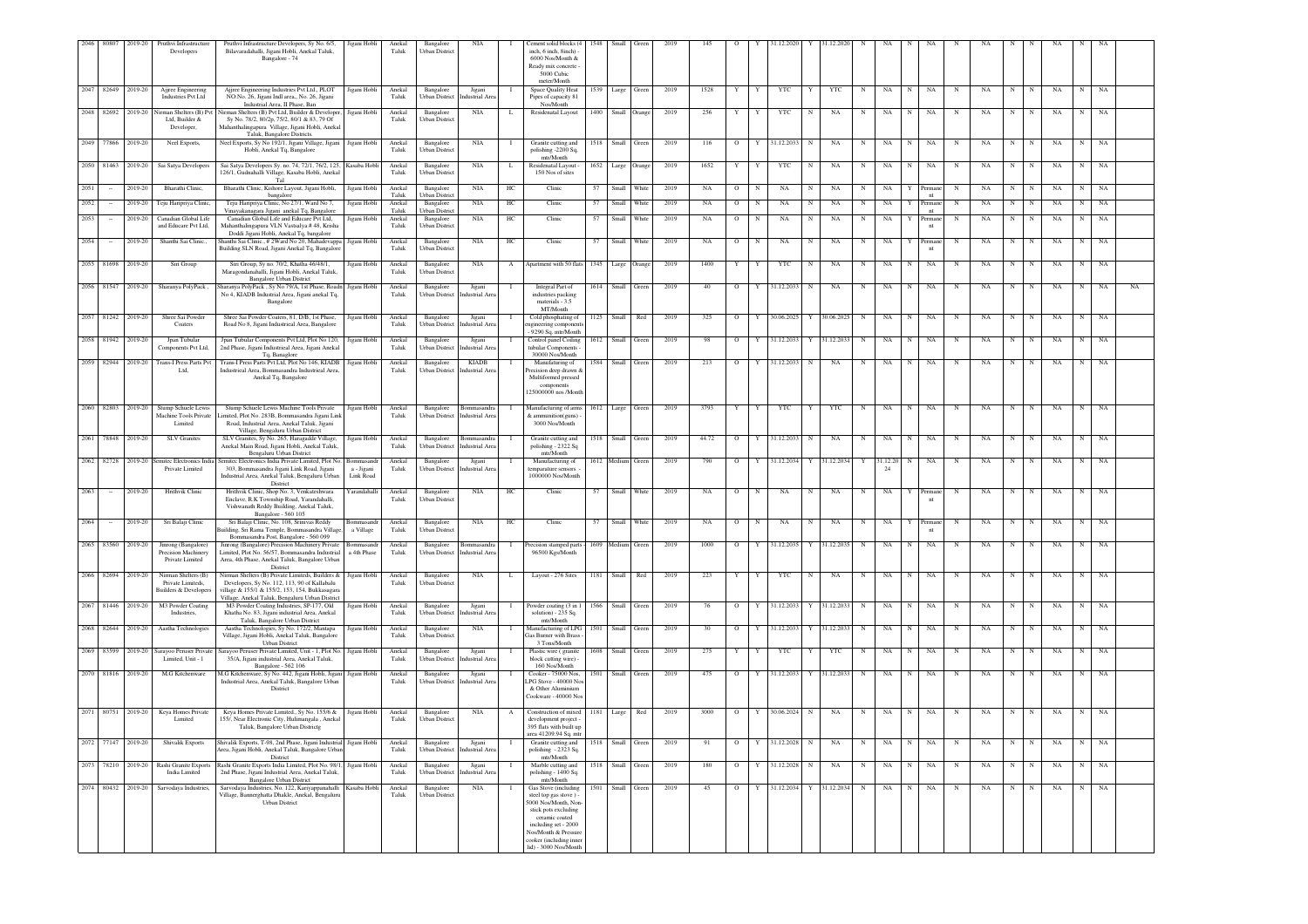| 2046         | 80807               | 2019-20                  | Pruthvi Infrastructur<br>Developers                                | Pruthvi Infrastructure Developers, Sv No. 6/5.<br>Bilavaradahalli, Jigani Hobli, Anekal Taluk,<br>Bangalore - 74                                                               | igani Hobli                  | Anekal<br>Taluk           | Bangalore<br><b>Urban District</b>      | <b>NIA</b>                                   |              | Cement solid blocks (4<br>inch, 6 inch, 8inch) -<br>$6000$ Nos/Month $\&$<br>Ready mix concrete<br>5000 Cubic<br>meter/Month                                                                                       | 1548     | Small                    | Green          | 2019         | 145             | $\circ$             |                  | 31.12.2020               |   | 31.12.2020        |            | NA.               |            |                        |        |                   |                |            |                   |            |             |  |
|--------------|---------------------|--------------------------|--------------------------------------------------------------------|--------------------------------------------------------------------------------------------------------------------------------------------------------------------------------|------------------------------|---------------------------|-----------------------------------------|----------------------------------------------|--------------|--------------------------------------------------------------------------------------------------------------------------------------------------------------------------------------------------------------------|----------|--------------------------|----------------|--------------|-----------------|---------------------|------------------|--------------------------|---|-------------------|------------|-------------------|------------|------------------------|--------|-------------------|----------------|------------|-------------------|------------|-------------|--|
| 2047         | 82649<br>2048 82692 | 2019-20<br>2019-20       | Ajjree Engineering<br>Industries Pvt Ltd<br>Nirman Shelters (B) Py | Ajjree Engineering Industries Pvt Ltd., PLOT<br>NO:No. 26, Jigani Indl area,, No. 26, Jigani<br>Industrial Area, II Phase, Ban<br>man Shelters (B) Pvt Ltd, Builder & Develope | Jigani Hobli<br>Jigani Hobli | Anekal<br>Taluk<br>Anekal | Bangalore<br>Urban Distric<br>Bangalore | Jigani<br>nstrial A<br><b>NIA</b>            | $\mathbf{L}$ | Space Quality Heat<br>Pipes of capacity 81<br>Nos/Month<br>Residenatal Layout                                                                                                                                      |          | 1539 Large<br>1400 Small | Green          | 2019<br>2019 | 1528<br>256     | Y<br>Y              |                  | <b>YTC</b><br><b>YTC</b> | N | YTC<br>NA         | N          | NA<br>NA          | N          | NA<br>NA               | N<br>N | <b>NA</b><br>NA   | N<br>N         | N<br>N     | NA<br>NA          | N<br>N     | NA<br>NA    |  |
|              |                     |                          | Ltd, Builder &<br>Developer,                                       | Sy No. 78/2, 80/2p, 75/2, 80/1 & 83, 79 Of<br>thalingapura Village, Jigani Hobli, Anekal<br>Taluk, Bangalore Districts.                                                        |                              | Taluk                     | Urban Distric                           |                                              |              |                                                                                                                                                                                                                    |          |                          | Orang          |              |                 |                     |                  |                          |   |                   | N          |                   |            |                        |        |                   |                |            |                   |            |             |  |
| 2049<br>2050 | 81463               | 77866 2019-20<br>2019-20 | Neel Exports,<br>Sai Satya Developers                              | Neel Exports, Sy No 192/1, Jigani Village, Jigani<br>Hobli, Anekal To, Bangalore<br>Sai Satya Developers Sy. no. 74, 72/1, 76/2, 125,                                          | Jigani Hobli<br>Kasaba Hobli | Anekal<br>Taluk           | Bangalore<br><b>Urban Distric</b>       | $_{\rm NIA}$<br><b>NIA</b>                   |              | Granite cutting and<br>polishing -2200 Sq.<br>mtr/Month<br>Residenatal Layout                                                                                                                                      | 1518     | Small<br>1652 Large      | Greet          | 2019<br>2019 | 116<br>1652     | $\circ$             |                  | 31.12.2033<br><b>YTC</b> |   | $_{\rm NA}$<br>NA | $_{\rm N}$ | $_{\rm NA}$<br>NA | N          | $_{\rm NA}$<br>NA      | N      | $_{\rm NA}$<br>NA | N              |            | NA<br>$_{\rm NA}$ | $_{\rm N}$ | NA<br>NA    |  |
|              |                     |                          |                                                                    | 126/1, Gudnahalli Village, Kasaba Hobli, Anekal<br>Tal                                                                                                                         |                              | Anekal<br>Taluk           | Bangalore<br>Urban Distric              |                                              |              | 150 Nos of sites                                                                                                                                                                                                   |          |                          | Orang          |              |                 | Y                   |                  |                          |   |                   | N          |                   |            |                        | N      |                   | N              |            |                   | N          |             |  |
| 2051<br>2052 |                     | 2019-20<br>2019-20       | Bharathi Clinic.<br>Teju Haripriya Clinic,                         | Bharathi Clinic, Kishore Layout, Jigani Hobli,<br>bangalore<br>Teju Haripriya Clinic, No 27/1, Ward No 7,                                                                      | Jigani Hobli<br>Jigani Hobl  | Anekal<br>Taluk<br>Anekal | Bangalore<br>Urban Distric<br>Bangalore | <b>NIA</b><br><b>NIA</b>                     | HC<br>HC     | Clinic<br>Clinic                                                                                                                                                                                                   | 57<br>57 | Small<br>Small           | White<br>White | 2019<br>2019 | <b>NA</b><br>NA | $\Omega$<br>$\circ$ | $\mathbf N$<br>N | <b>NA</b><br>NA          | N | <b>NA</b><br>NA   | N<br>N     | NA<br>NA          |            | Permar<br>nt<br>Perman | N      | <b>NA</b><br>NA   | N              | N          | <b>NA</b><br>NA   | $_{\rm N}$ | NA<br>NA    |  |
| 2053         |                     | 2019-20                  | Canadian Global Life                                               | Vinayakanagara Jigani anekal Tq, Bangalore<br>Canadian Global Life and Educare Pvt Ltd.                                                                                        | Jigani Hobli                 | Taluk<br>Anekal           | Jrban Distric<br>Bangalore              | <b>NIA</b>                                   | HC           | Clinic                                                                                                                                                                                                             | 57       | Small                    | White          | 2019         | NA              | $\overline{O}$      | N                | NA                       |   | NA                | N          | NA                |            | nt<br>'erma            |        | NA                | $\overline{N}$ |            | NA                |            | NA          |  |
| 2054         |                     | 2019-20                  | and Educare Pvt Ltd,<br>Shanthi Sai Clinic.,                       | Mahanthalingapura VLN Vastsalya #48, Krisha<br>Doddi Jigani Hobli, Anekal To, bangalore<br>hanthi Sai Clinic., # 2Ward No 20, Mahadevappa                                      | Jigani Hobli                 | Taluk<br>Anekal           | <b>Urban District</b><br>Bangalore      | <b>NIA</b>                                   | H            | Clinic                                                                                                                                                                                                             | 57       | Small                    | White          | 2019         | NA              | $\overline{0}$      | N                | NA                       |   | <b>NA</b>         | N          | NA                |            | nt<br>ermar            |        | NA                |                |            | NA                |            | NA          |  |
|              |                     |                          |                                                                    | Building SLN Road, Jigani Anekal Tq, Bangalor                                                                                                                                  |                              | Taluk                     | Urban Distric                           |                                              |              |                                                                                                                                                                                                                    |          |                          |                |              |                 |                     |                  |                          |   |                   |            |                   |            | nt                     |        |                   |                |            |                   |            |             |  |
| 2055         | 81698               | 2019-20                  | Siri Group                                                         | Siri Group, Sy no. 70/2, Khatha 46/48/1,<br>Maragondanahalli, Jigani Hobli, Anekal Taluk.<br><b>Bangalore Urban District</b>                                                   | Jigani Hobli                 | Anekal<br>Taluk           | Bangalore<br><b>Urban Distric</b>       | <b>NIA</b>                                   | $\mathbf{A}$ | Apartment with 50 flats                                                                                                                                                                                            |          | 1345 Large               | Orang          | 2019         | 1400            |                     |                  | YTC                      |   | <b>NA</b>         | N          | NA.               |            | NA                     | N      | NA.               | N              | N          | <b>NA</b>         | N          | NA          |  |
|              | 2056 81547          | 2019-20                  | Sharanya PolyPack                                                  | haranya PolyPack , Sy No 79/A, 1st Phase, Roadr<br>No 4, KIADB Industrial Area, Jigani anekal Tq,<br>Bangalore                                                                 | igani Hobli                  | Anekal<br>Taluk           | Bangalor<br><b>Urban District</b>       | Jigani<br>ndustrial Are                      |              | Integral Part of<br>industries packing<br>materials - 3.5<br>$\rm{MT/Month}$                                                                                                                                       | 1614     | Small                    | Gree           | 2019         | 40              | $\overline{0}$      |                  | 1.12.2033                |   | NA                | N          | NA                |            | NA                     |        | NA                |                |            | NA                |            | NA          |  |
| 2057         | 81242               | 2019-20                  | Shree Sai Powder<br>Coaters                                        | Shree Sai Powder Coaters, 81, D/B, 1st Phase,<br>Road No 8, Jigani Industrieal Area, Bangalore                                                                                 | Jigani Hobli                 | Anekal<br>Taluk           | Bangalore<br><b>Urban Distric</b>       | Jigani<br>ductrial Ar                        |              | Cold phosphating of<br>ing compo                                                                                                                                                                                   | 1125     | Small                    | Red            | 2019         | 325             | $\circ$             |                  | 30.06.2025               |   | 30.06.2025        | N          | NA                | N          | $_{\rm NA}$            | N      | NA                | N              | N          | NA                | N          | $_{\rm NA}$ |  |
| 2058         | 81942               | 2019-20                  | <b>Inan Tubular</b><br>Components Pvt Ltd,                         | Joan Tubular Components Pvt Ltd. Plot No 120.<br>2nd Phase, Jigani Industrieal Area, Jigani Aneka<br>Tq, Banaglore                                                             | Jigani Hobli                 | Anekal<br>Taluk           | Bangalore<br>Jrban Distric              | ligani<br>ustrial Ar                         |              | - 9290 Sq. mtr/Month<br>Control panel Coiling<br>tubular Components<br>30000 Nos/Month                                                                                                                             | 1612     | Small                    | Green          | 2019         | 98              | $\Omega$            |                  | 31 12 2033               |   | 31.12.2032        | N          | <b>NA</b>         | N          | NA.                    | N      | NA                | N              | N          | NA.               | N          | NA          |  |
| 2059         | 82944               | 2019-20                  | Trans-I Press Parts Pvt<br>Ltd.                                    | Trans-I Press Parts Pvt Ltd, Plot No 146, KIADB<br>Industrical Area, Bommasandra Industrical Area                                                                              | Jigani Hobli                 | Anekal<br>Taluk           | Bangalor<br><b>Urban District</b>       | <b>KIADB</b><br>ndustrial Are                |              | Manufaturing of<br>recision deep drawn &                                                                                                                                                                           | 1584     | Small                    | Gree           | 2019         | 213             | $\circ$             |                  | 31.12.2033               |   | NA                | $_{\rm N}$ | NA                |            | NA                     | N      | NA                | N              |            | NA                | $_{\rm N}$ | NA          |  |
|              |                     |                          |                                                                    | Anekal Tq, Bangalore                                                                                                                                                           |                              |                           |                                         |                                              |              | Multiformed pressed<br>components<br>25000000 nos/Mon                                                                                                                                                              |          |                          |                |              |                 |                     |                  |                          |   |                   |            |                   |            |                        |        |                   |                |            |                   |            |             |  |
|              |                     | 2060 82803 2019-20       | Stump Schuele Lewis<br>Machine Tools Private<br>Limited            | Stump Schuele Lewis Machine Tools Private<br>imited. Plot No. 283B. Bommasandra Jigani Link<br>Road, Industrial Area, Anekal Taluk, Jigani                                     | Jigani Hobli                 | Anekal<br>Taluk           | Bangalore<br><b>Urban District</b>      | <b>Bommasandra</b><br><b>Industrial Area</b> |              | Manufacturing of arms<br>& ammunition(guns)<br>3000 Nos/Month                                                                                                                                                      |          | 1612 Large Green         |                | 2019         | 3793            |                     |                  | <b>YTC</b>               |   | <b>YTC</b>        |            | NA                |            | NA                     |        | NA                |                |            | NA                |            | NA          |  |
| 2061         |                     | 78848 2019-20            | SLV Granite                                                        | Village, Bengaluru Urban District<br>SLV Granites, Sy No. 265, Haragadde Village,<br>Anekal Main Road, Jigani Hobli, Anekal Taluk.                                             | ligani Hobli                 | Anekal<br>Taluk           | Bangalore<br><b>Urban District</b>      | tommacandr<br>ndustrial Are                  |              | Granite cutting and<br>polishing - 2322 Sq                                                                                                                                                                         | 1518     | Small                    | Gree           | 2019         | 44.72           | $\overline{0}$      |                  | 31.12.2033               |   | NA                |            | NA                |            | NA                     |        | NA                |                |            | NA                |            | NA          |  |
| 2062         | 82728               | 2019-20                  | mitec Electronics Ind<br>Private Limited                           | Bengaluru Urban District<br>emitec Electronics India Private Limited, Plot No<br>303, Bommasandra Jigani Link Road, Jigani                                                     | Bommasand<br>a - Jigani      | Anekal<br>Taluk           | Bangalore<br><b>Urban Distric</b>       | Jigani<br>lustrial Ar                        |              | mtr/Month<br>Manufacturing of<br>emparature sensors                                                                                                                                                                | 1612     | Medium                   | Greer          | 2019         | 790             | $\circ$             |                  | 1.12.2034                |   | 31.12.203         |            | 31.12.20<br>24    |            | NA                     |        | NA                |                |            | NA                |            | NA          |  |
| 2063         |                     | 2019-20                  | Hrithvik Clinic                                                    | Industrial Area, Anekal Taluk, Bengaluru Urban<br>District<br>Hrithvik Clinic, Shop No. 3, Venkateshwara                                                                       | Link Road<br>Yarandahall     | Anekal                    | Bangalore                               | <b>NIA</b>                                   | HC           | 1000000 Nos/Month<br>Clinic                                                                                                                                                                                        | 57       | Small                    | White          | 2019         | NA              | $\circ$             | N                | NA                       |   | <b>NA</b>         | N          | NA                |            | erman                  |        | NA                | N              |            | NA                | N          | NA          |  |
| 2064         | $\sim$              | 2019-20                  | Sri Balaji Clinic                                                  | Enclave, R.K Township Road, Yarandahalli,<br>Vishwanath Reddy Building, Anekal Taluk,<br>Bangalore - 560 105<br>Sri Balaii Clinic, No. 108, Srinivas Reddy                     | Rommscand                    | Taluk<br>Anekal           | Urban Distric<br>Bangalore              | <b>NIA</b>                                   | HC           | Clinic                                                                                                                                                                                                             | 57       | Small White              |                | 2019         | NA              | $\circ$             | N                | NA                       |   | NA                | N          | NA                |            | nt<br>Permai           | N      | NA                | N              | N          | NA                | $_{\rm N}$ | NA          |  |
| 2065         | 83560               | 2019-20                  | Jinrong (Bangalore)                                                | ilding, Sri Rama Temple, Bommasandra Village<br>Bommasandra Post, Bangalore - 560 099<br>Jinrong (Bangalore) Precision Machinery Private                                       | a Village<br>3ommasand       | Taluk<br>Anekal           | <b>Urban Distric</b><br>Bangalore       | tommasandra                                  |              | recision stamped parts                                                                                                                                                                                             |          | 1609 Medium Green        |                | 2019         | 1000            | $\overline{0}$      |                  | 1.12.2035                |   | 31.12.203         | N          | $_{\rm NA}$       |            | nt<br>$_{\rm NA}$      | N      | $_{\rm NA}$       | N              | N          | NA                | N          | $_{\rm NA}$ |  |
| 2066         | 82694               | 2019-20                  | Precision Machinery<br>Private Limited<br>Nirman Shelters (B)      | Limited Plot No. 56/57 Bommasandra Industrial<br>Area, 4th Phase, Anekal Taluk, Bangalore Urban<br>District<br>Nirman Shelters (B) Private Limiteds, Builders &                | a 4th Phase<br>Jigani Hobli  | Taluk<br>Anekal           | <b>Urban District</b><br>Bangalore      | ndustrial Are<br><b>NIA</b>                  | L            | 96500 Kgs/Month<br>Layout - 276 Sites                                                                                                                                                                              | 1181     | Small                    | Red            | 2019         | 223             |                     |                  | <b>YTC</b>               |   | <b>NA</b>         | N          | NA                | N          | $_{\rm NA}$            | N      | <b>NA</b>         | N              |            | <b>NA</b>         |            | NA          |  |
|              |                     |                          | Private Limiteds,<br>Builders & Developers                         | Developers, Sy No. 112, 113, 90 of Kallabalu<br>village & 155/1 & 155/2 153 154 Bukkasagara<br>Village, Anekal Taluk, Bengaluru Urban District                                 |                              | Taluk                     | Urban Distric                           |                                              |              |                                                                                                                                                                                                                    |          |                          |                |              |                 | Y                   |                  |                          |   |                   |            |                   |            |                        |        |                   |                |            |                   | N          |             |  |
| 2067         | 81446               | 2019-20                  | M3 Powder Coating<br>Industries.                                   | M3 Powder Coating Industries, SP-177, Old<br>Khatha No. 83, Jigani industrial Area, Anekal<br>Taluk, Bangalore Urban District                                                  | Jigani Hobli                 | Anekal<br>Taluk           | Bangalore<br>Jrban District             | Jigani<br>lustrial A                         |              | Powder coating (3 in 1)<br>solution) - 235 Sq.<br>mtr/Month                                                                                                                                                        | 1566     | Small                    | Greer          | 2019         | 76              | $\Omega$            |                  | 31.12.2033               |   | 31.12.2032        | N          | <b>NA</b>         |            | NA.                    |        | <b>NA</b>         | N              |            | NA                |            | NA          |  |
| 2068         |                     | 82644 2019-20            | Aastha Technologies                                                | Aastha Technologies, Sy No. 172/2, Mantapa<br>Village, Jigani Hobli, Anekal Taluk, Bangalore<br><b>Urban District</b>                                                          | Jigani Hobli                 | Anekal<br>Taluk           | Bangalore<br><b>Urban District</b>      | <b>NIA</b>                                   |              | Manufacturing of LPG<br><b>Gas Burner with Brass</b><br>3 Tons/Month                                                                                                                                               | 1501     | Small                    | Green          | 2019         | 30              | $\Omega$            |                  | 31.12.2033               |   | 31.12.203         | N          | NA                | N          | NA                     | N      | NA                | N              |            | NA                |            | NA          |  |
| 2069         | 83599               | 2019-20                  | Saravoo Peruser Priva<br>Limited, Unit - 1                         | arayoo Peruser Private Limited, Unit - 1, Plot No.<br>35/A, Jigani industrial Area, Anekal Taluk,<br>Bangalore - 562 106                                                       | Jigani Hobl                  | Aneka<br>${\rm T}$ aluk   | Bangalore<br><b>Urban District</b>      | Jigani<br>ustrial An                         |              | Plastic wire (granite<br>block cutting wire) -<br>160 Nos/Month                                                                                                                                                    | 608      | Small                    | Green          | 2019         | 275             |                     |                  | YTC                      |   | YTC               |            | NA                |            | NA                     |        | NA                |                |            |                   |            | NA          |  |
|              |                     | 2070 81816 2019-20       | M.G Kitchenware                                                    | M.G Kitchenware, Sv No. 442, Jigani Hobli, Jigan<br>Industrial Area, Anekal Taluk, Bangalore Urban<br>District                                                                 | Jigani Hobli                 | Anckal<br>Taluk           | Bangalore<br><b>Urban District</b>      | Jigani<br>ndustrial Are                      |              | Cooker - 75000 Nos.<br>PG Stove - 40000 No<br>& Other Aluminium<br>Cookware - 40000 No                                                                                                                             | 1501     | Small Green              |                | 2019         | 475             | $\circ$             |                  | 31.12.2033               |   | 31.12.2033        | N          | NA                |            | NA                     |        | NA                | N              |            | <b>NA</b>         | N          | NA          |  |
|              |                     | 2071 80751 2019-20       | Keya Homes Private<br>Limited                                      | Keva Homes Private Limited., Sv No. 155/6 &<br>155/, Near Electronic City, Hulimangala, Anekal                                                                                 | Jigani Hobli                 | Anckal<br>Taluk           | Bangalore<br><b>Urban District</b>      | <b>NIA</b>                                   |              | Construction of mixed<br>development project -                                                                                                                                                                     | 1181     | Large                    | Red            | 2019         | 3000            | $\circ$             |                  | 30.06.2024               |   | NA                | N          | <b>NA</b>         |            | NA                     |        | <b>NA</b>         |                |            | NA                |            | NA          |  |
|              |                     | 2072 77147 2019-20       | Shivalik Exports                                                   | Taluk, Bangalore Urban Districtg<br>Shivalik Exports, T-98, 2nd Phase, Jigani Industrial Jigani Hobli                                                                          |                              | Anekal                    | Bangalore                               |                                              |              | 395 flats with built up<br>area 41209.94 Sq. mt                                                                                                                                                                    |          | 1518 Small Green         |                | 2019         | 91              | $\circ$             | $\mathbf{v}$     | 31.12.2028               | N | NA                | N          | NA                | $_{\rm N}$ | NA                     | N      | NA                | N              | $_{\rm N}$ | <b>NA</b>         | $_{\rm N}$ | NA          |  |
|              |                     |                          |                                                                    | Area, Jigani Hobli, Anekal Taluk, Bangalore Urbar<br>District                                                                                                                  |                              | Taluk                     | <b>Urban District</b>                   | Jigani<br>dustrial Are                       |              | Granite cutting and<br>polishing - 2323 Sq.<br>mtr/Month                                                                                                                                                           |          |                          |                |              |                 |                     |                  |                          |   |                   |            |                   |            |                        |        |                   |                |            |                   |            |             |  |
| 2073         | 78210               | 2019-20                  | Rashi Granite Exports<br>India Limited                             | Rashi Granite Exports India Limited, Plot No. 98/1<br>2nd Phase, Jigani Industrial Area, Anekal Taluk,<br><b>Bangalore Urban District</b>                                      | Jigani Hobli                 | Anekal<br>Taluk           | Bangalore<br><b>Urban Distric</b>       | Jigani<br>strial An                          |              | Marble cutting and<br>polishing - 1400 Sq.<br>mtr/Month                                                                                                                                                            | 1518     | Small                    | Greer          | 2019         | 180             | $\circ$             |                  | 31.12.2028               |   | $_{\rm NA}$       | N          | <b>NA</b>         | N          | NA                     | N      | NA                | N              | N          | NA                |            | $_{\rm NA}$ |  |
| 2074         |                     | 80432 2019-20            | Sarvodaya Industries,                                              | Sarvodava Industries, No. 122, Karivappanahalli<br>Village, Bannerghatta Dhakle, Anekal, Bengaluru<br><b>Urban District</b>                                                    | Kasaba Hobli                 | Anckal<br>Taluk           | Bangalore<br><b>Urban District</b>      | <b>NIA</b>                                   |              | Gas Stove (including<br>steel top gas stove) -<br>5000 Nos/Month, Nor<br>stick pots excluding<br>ceramic coated<br>including set - 2000<br>Nos/Month & Pressure<br>cooker (including inne<br>lid) - 3000 Nos/Montl | 1501     | Small                    | Green          | 2019         | 45              | $\circ$             |                  | 31.12.2034               |   | 31.12.2034        | N          | NA                |            | NA                     | N      | NA                | N              |            | NA                |            |             |  |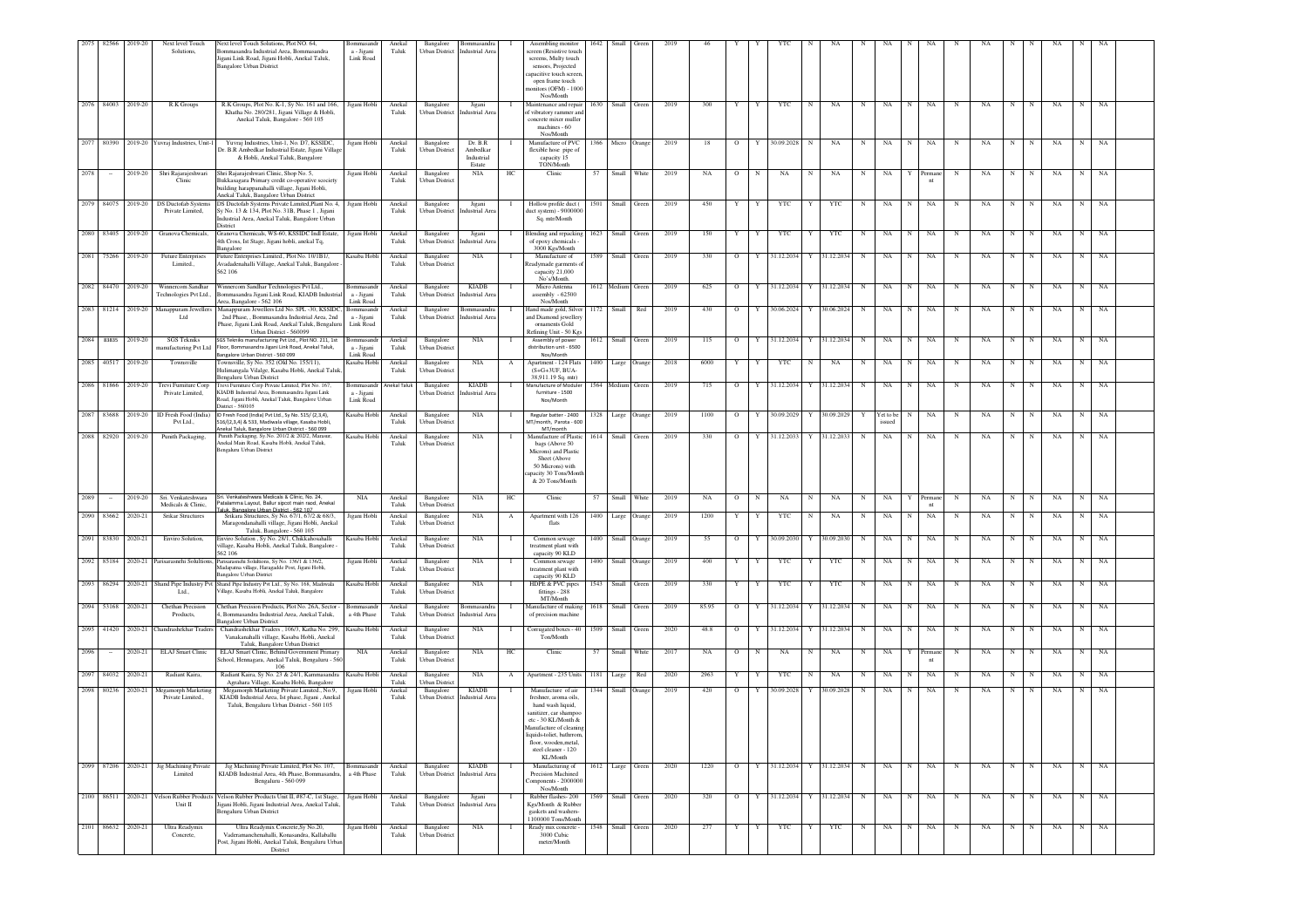| 2075         |                | 82566 2019-20     | Next level Touch<br>Solutions,                      | Next level Touch Solutions, Plot NO, 64.<br>Bommasandra Industrial Area, Bommasandra<br>Jigani Link Road, Jigani Hobli, Anekal Taluk,<br>Bangalore Urban District                       | a - Jigani<br>Link Road                           | Anekal<br>Taluk                  | Bangalore<br><b>Urban District</b>             | Industrial Area                             |    | Assembling monitor<br>creen (Resistive touch<br>screens, Multy touch<br>sensors Projected<br>apacitive touch scree<br>open frame touch<br>itors (OFM) - 100<br>Nos/Month                                 | 1642         |                  |       |              |              |                |   |                  |                 |   |                     |   |               |   |             |            |   |                |                |  |
|--------------|----------------|-------------------|-----------------------------------------------------|-----------------------------------------------------------------------------------------------------------------------------------------------------------------------------------------|---------------------------------------------------|----------------------------------|------------------------------------------------|---------------------------------------------|----|----------------------------------------------------------------------------------------------------------------------------------------------------------------------------------------------------------|--------------|------------------|-------|--------------|--------------|----------------|---|------------------|-----------------|---|---------------------|---|---------------|---|-------------|------------|---|----------------|----------------|--|
|              | 84003          | 2019-20           | R.K Group                                           | R.K Groups, Plot No. K-1, Sy No. 161 and 166,<br>Khatha No. 280/281, Jigani Village & Hobli,<br>Anekal Taluk, Bangalore - 560 105                                                       | Jigani Hobli                                      | Aneka<br>Taluk                   | Bangalore<br><b>Urban District</b>             | Jigani<br>Industrial Are                    |    | Maintenance and repai<br>of vibratory rammer an<br>concrete mixer mulle<br>machines - $60\,$<br>Nos/Month                                                                                                |              |                  |       | 2019         | 300          |                |   | YTC              | NA              |   | NA                  |   | NA            |   |             |            |   |                |                |  |
| 2077         | 80390          |                   | 2019-20 Yuvraj Industries, Unit-                    | Yuvraj Industries, Unit-1, No. D7, KSSIDC,<br>Dr. B.R Ambedkar Industrial Estate, Jigani Village<br>& Hobli, Anekal Taluk, Bangalore                                                    | Jigani Hobl                                       | Anekal<br>Taluk                  | Bangalore<br><b>Urban District</b>             | Dr. B.F<br>Ambedkar<br>Industrial<br>Estate |    | Manufacture of PV<br>flexible hose pipe of<br>capacity 15<br>TON/Month                                                                                                                                   | 366          | Micro            | Orang | 2019         | 18           |                |   | 30.09.2028       | NA              |   | NA                  |   | NA            |   | NA          |            |   |                |                |  |
|              |                | 2019-20           | Shri Rajarajeshwari<br>Clini                        | Shri Rajarajeshwari Clinic, Shop No. 5,<br>Bukkasagara Primary credit co-operative scociety<br>puilding harappanahalli village, Jigani Hobli,<br>Anekal Taluk, Bangalore Urban District | Jigani Hob                                        | Aneka<br>Taluk                   | Bangalore<br><b>Urban Distric</b>              | NIA                                         |    | Clinic                                                                                                                                                                                                   |              | Smal             |       | 2019         | NA           |                |   | NA               | NA              |   | NA                  |   | ermar<br>nt   |   | NA          |            |   | NA             |                |  |
| 2079         | 84075          | 2019-20           | <b>DS</b> Ductofab Systems<br>Private Limited,      | DS Ductofab Systems Private Limited, Plant No. 4,<br>Sy No. 13 & 134, Plot No. 31B, Phase 1, Jigani<br>Industrial Area, Anekal Taluk, Bangalore Urban<br>District                       | Jigani Hobl                                       | Anekal<br>Taluk                  | Bangalore<br>Urban Distric                     | Jigani<br>dustrial Ar                       |    | Hollow profile duct (<br>uct system) - 900000<br>Sq. mtr/Month                                                                                                                                           | 1501         | Small            | iree  | 2019         | 450          |                |   | YTC              | YTC             |   | NA                  |   | NA            |   | NA          |            |   | NA             |                |  |
|              | 2080 83405     | 2019-20           | Granova Chemicals                                   | Granova Chemicals, WS-60, KSSIDC Indl Estate<br>4th Cross, Ist Stage, Jigani hobli, anekal Tq,                                                                                          | Jigani Hobli                                      | Anekal<br>Taluk                  | Bangalore<br>Urban District                    | Jigani<br>ustrial Are                       |    | Blending and repacking<br>of epoxy chemicals                                                                                                                                                             | 1623         | Small            | Green | 2019         | 150          |                |   | <b>YTC</b>       | YTC             |   | NA                  |   | NA            |   | NA          | N          |   | NA             | NA             |  |
| 2081         | 75266          | 2019-20           | <b>Future Enterprises</b><br>Limited.               | angalore<br>Future Enterprises Limited., Plot No. 10/1B1/,<br>Avadadenahalli Village, Anekal Taluk, Bangaloro<br>562 106                                                                | Kasaba Hobl                                       | Anckal<br>Taluk                  | Bangalore<br><b>Urban District</b>             | NIA                                         |    | 3000 Kgs/Month<br>Manufacture of<br>eadymade garments<br>capacity 21,000                                                                                                                                 | 1589         | Small            |       | 2019         | 330          | $\mathbf O$    |   | 31.12.2034       | 31.12.2034      |   | NA                  |   | NA            |   | NA          |            |   | NA             |                |  |
| 2082         | 84470          | 2019-20           | Winnercom Sandhai<br>Technologies Pvt Ltd.          | Winnercom Sandhar Technologies Pvt Ltd.,<br>nmasandra Jigani Link Road, KIADB Industr                                                                                                   | Bommasan<br>a - Jigani                            | Anckal<br>${\rm T}$ aluk         | Bangalore<br><b>Urban District</b>             | <b>KIADB</b><br>dustrial Ar                 |    | No's/Month.<br>Micro Antenna<br>assembly - 62500                                                                                                                                                         | 1612         |                  | Gree  | 2019         | 625          | $\circ$        |   | 1.12.2034        | 31.12.2034      |   | NA                  |   | $_{\rm NA}$   |   | NA          | $_{\rm N}$ |   | NA             | NA             |  |
|              |                |                   | 2083 81214 2019-20 Manappuram Jewellers<br>Ltd      | Area, Bangalore - 562 106<br>Manappuram Jewellers Ltd No. SPL -30. KSSIDC<br>2nd Phase, , Bommasandra Industrial Area, 2nd<br>Phase, Jigani Link Road, Anekal Taluk, Bengalur           | Link Road<br>Bommasand<br>a - Jigani<br>Link Road | Anckal<br>$\operatorname{Taluk}$ | Bangalore<br><b>Urban District</b>             | Bommasandra<br><b>Industrial Area</b>       |    | Nos/Month<br>Hand made gold, Silve<br>ind Diamond jewellery<br>ornaments Gold                                                                                                                            | 1172         | Small            | Red   | 2019         | 430          | $\circ$        |   | 30.06.2024       | 30.06.2024      | N | NA                  | N | <b>NA</b>     | N | NA          | N          |   | NA             | NA             |  |
|              | 2084 83835     | 2019-20           | <b>SGS Tekniks</b><br>nanufacturing Pvt Ltd         | Urban District - 560099<br>SGS Tekniks manufacturing Pvt Ltd., Plot NO. 211. 1st<br>Floor, Bommasandra Jigani Link Road, Anekal Taluk,                                                  | Rommacano<br>a - Jigani                           | Anekal<br>Taluk                  | Bangalore<br><b>Urban Distric</b>              | <b>NIA</b>                                  |    | Refining Unit - 50 Kg<br>Assembly of nower<br>distribution unit - 6500                                                                                                                                   | 1612         | Small            | Green | 2019         | 115          | $\Omega$       |   | 31 12 2034       | 31 12 2034      | N | NA                  |   | NA.           |   | NA.         | N          | N | NA <sup></sup> | <b>NA</b>      |  |
| 2085         | 40517          | 2019-20           | Townsvill                                           | Bangalore Urban District - 560 099<br>Townsville, Sy No. 352 (Old No. 155/11)<br>Hulimangala Vilalge, Kasaba Hobli, Anekal Taluk<br>Bengaluru Urban District                            | Link Road<br>Kasaba Hob                           | Aneka<br>Taluk                   | Bangalore<br><b>Urban Distric</b>              | NIA                                         |    | Nos/Month<br>Apartment - 124 Flats<br>$(S+G+3UF, BUA)$<br>38.911.19 Sq. mtr)                                                                                                                             | 1400         | Large            | rang  | 2018         | 6000         |                |   | YTO              | NA              |   | NA                  |   | NA            |   | NA          |            |   |                | NA             |  |
| 2086         | 81866          | 2019-20           | Trevi Furniture Corp<br>Private Limited,            | Frevi Furniture Corp Private Limited, Plot No. 167<br>KIADB Industrial Area, Bommasandra Jigani Link<br>toad, Jigani Hobli, Anekal Taluk, Bangalore Urban                               | ommasanc<br>a - Jigani<br>Link Road               | nekal Talul                      | Bangalore<br><b>Urban District</b>             | <b>KIADB</b><br>ndustrial Are               |    | Manufacture of Modul<br>furniture - 1500<br>Nos/Month                                                                                                                                                    |              |                  |       | 2019         | 715          | $\Omega$       |   | 1.12.2034        | 1.12.203        |   | NA                  |   | NA            |   | NA          |            |   | NA             |                |  |
| 2087         | 83688          | 2019-20           | <b>ID</b> Fresh Food (In<br>Pvt Ltd.,               | listrict - 560105<br>ID Fresh Food (India) Pvt Ltd., Sy No. 515/ (2,3,4),<br>516/(2.3.4) & 533. Madiwala village. Kasaba Hobli<br>nekal Taluk, Bangalore Urban District - 560 099       | Kasaba Ho                                         | Aneka<br>Taluk                   | Bangalore<br><b>Urban District</b>             | NIA                                         |    | Regular batter - 2400<br>T/month Parota - 600<br>MT/month                                                                                                                                                | 1328         | Large            | rans  | 2019         | 1100         |                |   | 0.09.202         | 0.9.202         |   | Yet to be<br>boussi |   | NA            |   | NA          |            |   | NA             |                |  |
| 2088         | 82920          | 2019-20           | Punith Packaging,                                   | Punith Packaging, Sy.No. 201/2 & 202/2, Marast<br>Anekal Main Road, Kasaba Hobli, Anekal Taluk,<br>ngaluru Urban District                                                               | asaba Ho                                          | Aneka<br>Taluk                   | Bangalore<br><b>Urban Distric</b>              | NIA                                         |    | lanufacture of Plas<br>bags (Above 50<br>Microns) and Plastic<br>Sheet (Above<br>50 Microns) with<br>pacity 30 Tons/Mon<br>& 20 Tons/Month                                                               |              |                  |       | 2019         |              |                |   | 1.12.20          | 1.12.20         |   | NA                  |   |               |   |             |            |   |                |                |  |
|              |                | 2019-20           | Sri. Venkateshwara<br>Medicals & Clinic,            | Sri. Venkateshwara Medicals & Clinic, No. 24,<br>Patalamma Lavout, Ballur sipcot main raod, Anekal                                                                                      | <b>NIA</b>                                        | Anekal<br>Taluk                  | Bangalore<br><b>Urban Distric</b>              | <b>NIA</b>                                  | HC | Clinic                                                                                                                                                                                                   | 57           | Small            | White | 2019         | <b>NA</b>    | $\circ$        | N | <b>NA</b>        | NA              | N | NA.                 |   | Permane<br>nt |   | NA          | N          | N | <b>NA</b>      | <b>NA</b><br>N |  |
| 2090         | 83662          | 2020-21           | <b>Srikar Structures</b>                            | luk. Bannalore Urban District - 562 107<br>Srikara Structures, Sy No. 67/1, 67/2 & 68/3,<br>Maragondanahalli village, Jigani Hobli, Anekal<br>Taluk, Bangalore - 560 105                | Jigani Hobli                                      | Anekal<br>${\rm T}$ aluk         | Bangalore<br><b>Urban Distric</b>              | <b>NIA</b>                                  |    | Apartment with 126<br>$\operatorname{flats}$                                                                                                                                                             | 1400         | Large            | Orang | 2019         | 1200         |                |   | <b>YTC</b>       | NA              | N | NA                  |   | NA            |   | NA          | N          |   | NA             | NA             |  |
|              | 83830          | 2020-21           | <b>Enviro Solution</b>                              | Enviro Solution Sv No 28/1 Chikkahosaballi<br>village, Kasaba Hobli, Anekal Taluk, Bangalore<br>562 106                                                                                 | Kasaba Hobli                                      | Anekal<br>Taluk                  | Bangalore<br><b>Urban District</b>             | <b>NIA</b>                                  |    | Common sewage<br>treatment plant with<br>capacity 90 KLD                                                                                                                                                 | 1400         | Small            |       | 2019         | 55           | $\Omega$       |   | 30.09.2030       | 30.09.2030      |   | NA                  |   | NA            |   | NA          | N          |   | NA             | NA             |  |
|              | 85184          | 2020-21           | Parisarasnehi Solul                                 | arisarasnehi Solultions, Sy No. 136/1 & 136/2,<br>Madapatna village, Haragadde Post, Jigani Hobli,<br>ingalore Urban District<br>Shand Pipe Industry Pvt Ltd., Sy No. 168, Madiwala     | Jigani Hobl                                       | Anckal<br>Taluk                  | Bangalore<br><b>Urban District</b>             | NIA                                         |    | Common sewage<br>treatment plant with<br>capacity 90 KLD                                                                                                                                                 | 400          | Small            |       | 2019<br>2019 | 400          |                |   | YTC              | YTC             |   | $_{\rm NA}$         |   | NA            |   | $_{\rm NA}$ |            |   | NA             | NA             |  |
| 2093<br>2094 | 86294<br>53168 | 2020-21<br>2020-2 | Shand Pipe Industry Py<br>Ltd<br>Chethan Precision  | Village, Kasaba Hobli, Anekal Taluk, Bangalore<br>Chethan Precision Products, Plot No. 26A, Sector                                                                                      | Casaba Hob                                        | Anckal<br>Taluk<br>Anekal        | Bangalore<br><b>Urban Distric</b><br>Bangalore | <b>NIA</b>                                  |    | HDPE & PVC pipes<br>fittings - 288<br>MT/Month<br>Manufacture of making                                                                                                                                  | 1543<br>1618 | Small<br>Small   | Gree  | 2019         | 330<br>85.95 | $\overline{0}$ |   | YTC<br>1.12.2034 | YTC<br>1.12.203 |   | NA.<br>NA           |   | NA<br>NA      |   | NA<br>NA    | N          |   | NA<br>NA       | NA             |  |
| 2095         | 41420          |                   | Products<br>2020-21 Chandrashekhar Traders          | Bommasandra Industrial Area, Anekal Taluk,<br><b>Bangalore Urban District</b><br>Chandrashekhar Traders, 106/3, Katha No. 299,                                                          | a 4th Phase<br>Kasaba Hobl                        | Taluk<br>Anckal                  | <b>Urban District</b><br>Bangalore             | ndustrial Are<br><b>NIA</b>                 |    | of precision machine<br>Corrugated boxes - 40                                                                                                                                                            | 1509         | Small            | Green | 2020         | 48.8         | $\circ$        |   | 1.12.2034        | 31.12.203       | N | NA                  |   | <b>NA</b>     |   | <b>NA</b>   |            |   | NA             | NA             |  |
| 2006         |                | 2020-21           | <b>ELAJ</b> Smart Clinic                            | Vanakanahalli village, Kasaba Hobli, Anekal<br>Taluk, Bangalore Urban District<br>ELAJ Smart Clinic. Behind Government Primary                                                          | <b>NIA</b>                                        | $\operatorname{Taluk}$<br>Anckal | Urban District<br>Bangalore                    | <b>NIA</b>                                  | H  | Ton/Month<br>Clinic                                                                                                                                                                                      | 57           | Small            | White | 2017         | NA           | $\overline{O}$ |   | NA               | <b>NA</b>       | N | NA                  |   | Permar        |   | <b>NA</b>   | N          |   | NA             | NA             |  |
| 2097         | 84032          | 2020-2            | Radiant Kaira                                       | School, Hennagara, Anekal Taluk, Bengaluru - 560<br>Radiant Kaira, Sv No. 23 & 24/1. Kan                                                                                                |                                                   | Taluk<br>Anekal                  | <b>Urban Distric</b><br>Bangalore              | NIA                                         |    | Apartment - 235 Units                                                                                                                                                                                    | 1181         | Large            | Red   | 2020         | 2963         |                |   | <b>YTC</b>       | NA              |   | NA                  |   | nt<br>NA      |   | NA          |            |   | NA             | NA             |  |
| 2098         | 80236          | 2020-21           | Megamorph Marketins                                 | Agrahara Village, Kasaba Hobli, Bangalore<br>Megamorph Marketing Private Limited., No.9.                                                                                                | Iigani Hobl                                       | Taluk<br>Anckal                  | <b>Urban District</b><br>Bangalore             | <b>KIADB</b>                                |    | Manufacture of air                                                                                                                                                                                       |              | Small            |       | 2019         | 420          |                |   | 0.09.2028        | 0.09.202        |   | NA                  |   | NA            |   | NA          |            |   | NA             | NA             |  |
|              |                |                   | Private Limited.,                                   | KIADB Industrial Area, Ist phase, Jigani, Anekal<br>Taluk, Bengaluru Urban District - 560 105                                                                                           |                                                   | Taluk                            | <b>Urban District</b>                          | Industrial Are                              |    | freshner, aroma oils,<br>hand wash liquid,<br>anitizer, car shamp<br>etc - 30 KL/Month &<br>lanufacture of cleanii<br>iquids-toliet, bathrro<br>floor, wooden, metal.<br>steel cleaner - 120<br>KL/Month |              |                  |       |              |              |                |   |                  |                 |   |                     |   |               |   |             |            |   |                |                |  |
|              |                |                   | 2099 87206 2020-21 Jig Machining Private<br>Limited | lig Machining Private Limited Plot No. 107<br>KIADB Industrial Area, 4th Phase, Bommasandra.<br>Bengaluru - 560 099                                                                     | a 4th Phase                                       | Anekal<br>Taluk                  | <b>Bangalore</b><br><b>Urban District</b>      | KIADR<br>Industrial Are                     |    | Manufacturing of<br>Precision Machined<br>omponents - 200000<br>Nos/Month                                                                                                                                |              | 1612 Large Green |       | 2020         | 1220         | $\Omega$       |   | 31.12.2034       | 31.12.2034      |   | NA                  |   | NA            |   | NA          |            |   | NA             |                |  |
|              |                |                   | 2100 86511 2020-21 Velson Rubber Product<br>Unit II | Velson Rubber Products Unit II, #87-C, 1st Stage,<br>Jigani Hobli, Jigani Industrial Area, Anekal Taluk,<br>Bengaluru Urban District                                                    | Jigani Hobli                                      | Anekal<br>Taluk                  | Bangalore<br><b>Urban District</b>             | Jigani<br>ndustrial Are                     |    | Rubber flashes-200<br>Kes/Month & Rubbe<br>gaskets and washers-                                                                                                                                          | 1569         | Small            | Green | 2020         | 320          | $\Omega$       |   | 31.12.2034       | 31.12.2034      | N | NA                  |   | NA            |   | NA          | N          | N | NA             | NA<br>N        |  |
| 2101         | 86632          | 2020-21           | Ultra Readymix<br>Concrete                          | Ultra Readymix Concrete, Sy No.20,<br>Vaderamanchenaballi Konasandra Kallaballu<br>Post, Jigani Hobli, Anekal Taluk, Bengaluru Urbar<br>District                                        | Jigani Hobli                                      | Anekal<br>Taluk                  | Bangalore<br><b>Urban District</b>             | $_{\rm NIA}$                                |    | 100000 Tons/Month<br>Ready mix concrete<br>3000 Cubic<br>meter/Month                                                                                                                                     | 548          | Small            | Greer | 2020         | 277          |                |   | YTC              | $_{\rm YTC}$    |   | NA                  |   | NA            |   | NA          |            |   | NA             |                |  |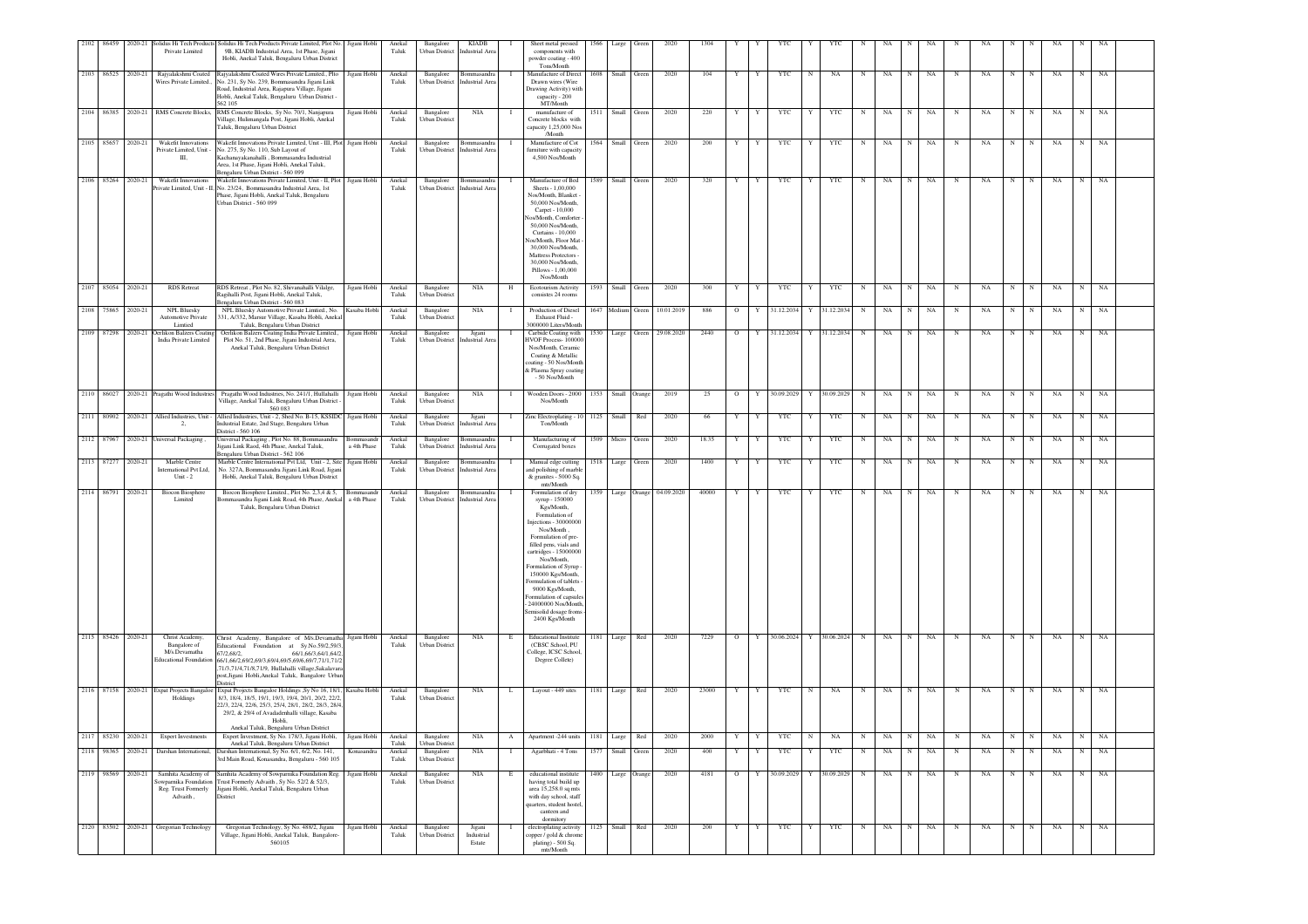| 2102       | 86459      | $2020 - 2$         | lidus Hi Tech Pro<br>Private Limited                       | idus Hi Tech Products Private Limited, Plot N<br>9B. KIADB Industrial Area, 1st Phase, Jigani                                                                          | Jigani Hobli                    | Taluk           | <b>Urban District</b>              | KIADI<br>Industrial Area                    |                              | Sheet metal pressed<br>components with                                                          | 1566 | Large               | Green         | 2020       | 130   |          |   | YTC        |   | YTC              |                |             |              |             |        | NA        |            |            |           |            |    |  |
|------------|------------|--------------------|------------------------------------------------------------|------------------------------------------------------------------------------------------------------------------------------------------------------------------------|---------------------------------|-----------------|------------------------------------|---------------------------------------------|------------------------------|-------------------------------------------------------------------------------------------------|------|---------------------|---------------|------------|-------|----------|---|------------|---|------------------|----------------|-------------|--------------|-------------|--------|-----------|------------|------------|-----------|------------|----|--|
| 2103       | 86525      | 2020-21            | Rajyalakshmi Coated                                        | Hobli, Anekal Taluk, Bengaluru Urban District<br>Rajyalakshmi Coated Wires Private Limited., Plto                                                                      | Jigani Hobl                     | Anekal          | Bangalore                          | 3ommasandra                                 |                              | powder coating - 400<br>Tons/Month<br>Manufacture of Direct                                     | 1608 | Small               | Greer         | 2020       | 104   |          |   | <b>YTC</b> |   | NA               | N              | NA          | $_{\rm N}$   | NA          |        | NA        | N          |            | NA        |            | NA |  |
|            |            |                    | Wires Private Limited.,                                    | No. 231, Sy No. 239, Bommasandra Jigani Link<br>Road, Industrial Area, Rajapura Village, Jigani<br>Hobli, Anekal Taluk, Bengaluru Urban District -                     |                                 | ${\rm T}$ aluk  | Urban District                     | ndustrial Area                              |                              | Drawn wires (Wire<br>Drawing Activity) with<br>capacity - 200                                   |      |                     |               |            |       |          |   |            |   |                  |                |             |              |             |        |           |            |            |           |            |    |  |
|            |            |                    |                                                            | 562 105<br>2104 86385 2020-21 RMS Concrete Blocks, RMS Concrete Blocks, Sy No. 70/1, Nanjapura                                                                         | Jigani Hobli                    | Anekal          | Bangalore                          | <b>NIA</b>                                  |                              | MT/Month<br>manufacture of                                                                      | 1511 | Small               | Green         | 2020       | 220   |          |   | YTC        | Y | YTC              | N              | $_{\rm NA}$ | $_{\rm N}$   | $_{\rm NA}$ | N      | NA        | N          | N          | NA        | N          | NA |  |
|            |            |                    |                                                            | Village, Hulimangala Post, Jigani Hobli, Anekal<br>Taluk, Bengaluru Urban District                                                                                     |                                 | Taluk           | <b>Urban District</b>              |                                             |                              | Concrete blocks with<br>capacity 1,25,000 Nos<br>/Month                                         |      |                     |               |            |       |          |   |            |   |                  |                |             |              |             |        |           |            |            |           |            |    |  |
|            | 2105 85657 | 2020-21            | Wakefit Innovations<br>Private Limited, Unit-<br>III.      | Wakefit Innovations Private Limited, Unit - III, Plot Jigani Hobli<br>No. 275, Sy No. 110, Sub Layout of<br>Kachanavakanahalli . Bommasandra Industrial                |                                 | Anekal<br>Taluk | Bangalore<br>Jrban Distric         | Bommasandra<br>ndustrial Are                |                              | Manufacture of Cot<br>urniture with capacity<br>4 500 Nos/Month                                 | 1564 | Small               | Green         | 2020       | 200   | Y        | Y | YTC        | Y | <b>YTC</b>       | N              | NA          | N            | NA          | N      | NA        | N          | N          | NA        | N          | NA |  |
|            |            |                    |                                                            | Area, 1st Phase, Jigani Hobli, Anekal Taluk,<br>Bengaluru Urban District - 560 099                                                                                     |                                 |                 |                                    |                                             |                              |                                                                                                 |      |                     |               |            |       |          |   |            |   |                  |                |             |              |             |        |           |            |            |           |            |    |  |
| 2106       | 85264      | 2020-21            | Wakefit Innovations                                        | Wakefit Innovations Private Limited, Unit - II, Plot<br>ivate Limited, Unit - II, No. 23/24, Bommasandra Industrial Area, 1st                                          | Jigani Hobli                    | Anekal<br>Taluk | Bangalore<br>Urban District        | Bommasandra<br>Industrial Are               |                              | Manufacture of Bed<br>Sheets - $1,\!00,\!000$                                                   | 1589 | Small               | <b>Greet</b>  | 2020       | 320   |          |   | YTC        |   | YTC              |                | NA          |              | NA          |        | NA        |            |            | NA        |            |    |  |
|            |            |                    |                                                            | Phase, Jigani Hobli, Anekal Taluk, Bengaluru<br>Urban District - 560 099                                                                                               |                                 |                 |                                    |                                             |                              | Nos/Month, Blanket<br>50,000 Nos/Month.<br>Carpet - 10,000                                      |      |                     |               |            |       |          |   |            |   |                  |                |             |              |             |        |           |            |            |           |            |    |  |
|            |            |                    |                                                            |                                                                                                                                                                        |                                 |                 |                                    |                                             |                              | os/Month, Comforter<br>50,000 Nos/Month.                                                        |      |                     |               |            |       |          |   |            |   |                  |                |             |              |             |        |           |            |            |           |            |    |  |
|            |            |                    |                                                            |                                                                                                                                                                        |                                 |                 |                                    |                                             |                              | Curtains - 10,000<br>los/Month, Floor Mat                                                       |      |                     |               |            |       |          |   |            |   |                  |                |             |              |             |        |           |            |            |           |            |    |  |
|            |            |                    |                                                            |                                                                                                                                                                        |                                 |                 |                                    |                                             |                              | 30,000 Nos/Month.<br>Mattress Protectors                                                        |      |                     |               |            |       |          |   |            |   |                  |                |             |              |             |        |           |            |            |           |            |    |  |
|            |            |                    |                                                            |                                                                                                                                                                        |                                 |                 |                                    |                                             |                              | 30,000 Nos/Month.<br>Pillows - 1,00,000                                                         |      |                     |               |            |       |          |   |            |   |                  |                |             |              |             |        |           |            |            |           |            |    |  |
|            |            | 2107 85054 2020-21 | <b>RDS</b> Retreat                                         | RDS Retreat, Plot No. 82, Shivanahalli Vilalge,                                                                                                                        | Jigani Hobli                    | Anckal          | Bangalore                          | <b>NIA</b>                                  |                              | Nos/Month<br>Ecotourism Activity                                                                |      | Small               | Green         | 2020       | 300   |          |   | YTC        |   | YTC              |                | <b>NA</b>   |              | NA.         |        | NA        |            |            | NA        |            | NA |  |
| 2108       |            |                    |                                                            | Ragihalli Post, Jigani Hobli, Anekal Taluk,<br>Bengaluru Urban District - 560 083                                                                                      | Kasaba Hobi                     | Taluk<br>Anekal | Jrban District                     |                                             |                              | consistes 24 rooms<br>Production of Diesel                                                      |      |                     | Green         | 10.01.2019 | 880   |          |   | 1.12.2034  |   | 31.12.2034       |                |             |              |             |        |           |            |            |           |            |    |  |
|            | 75865      | 2020-21            | <b>NPL Bluesky</b><br><b>Automotive Private</b><br>Limtied | NPL Bluesky Automotive Private Limtied., No.<br>331, A/332, Marsur Village, Kasaba Hobli, Anekal<br>Taluk, Bengaluru Urban District                                    |                                 | Taluk           | Bangalore<br><b>Urban District</b> | NIA                                         |                              | Exhaust Fluid -<br>3000000 Liters/Mont                                                          |      |                     |               |            |       |          |   |            |   |                  |                | NA          |              | NA          |        | NA        |            |            | N/        |            | NA |  |
| 2109       | 87298      | 2020-21            | Oerlikon Balzers Coating<br>India Private Limited          | Oerlikon Balzers Coating India Private Limited.,<br>Plot No. 51, 2nd Phase, Jigani Industrial Area,                                                                    | Jigani Hobli                    | Anekal<br>Taluk | Bangalore<br>Urban District        | Jigani<br>dustrial Ar                       |                              | Carbide Coating with<br><b>IVOF Process-100000</b>                                              | 1530 | Large               | Green         | 29.08.2020 | 2440  |          |   | 1.12.2034  |   | 31.12.2034       |                | NA          |              | NA          |        | NA        |            |            | NA        |            |    |  |
|            |            |                    |                                                            | Anekal Taluk, Bengaluru Urban District                                                                                                                                 |                                 |                 |                                    |                                             |                              | Nos/Month, Ceramic<br>Coating & Metallic                                                        |      |                     |               |            |       |          |   |            |   |                  |                |             |              |             |        |           |            |            |           |            |    |  |
|            |            |                    |                                                            |                                                                                                                                                                        |                                 |                 |                                    |                                             |                              | oating - 50 Nos/Month<br>& Plasma Spray coatin                                                  |      |                     |               |            |       |          |   |            |   |                  |                |             |              |             |        |           |            |            |           |            |    |  |
|            |            |                    |                                                            |                                                                                                                                                                        |                                 |                 |                                    |                                             |                              | - 50 Nos/Month                                                                                  |      |                     |               |            |       |          |   |            |   |                  |                |             |              |             |        |           |            |            |           |            |    |  |
|            |            |                    |                                                            | 2110 86027 2020-21 Pragathi Wood Industries Pragathi Wood Industries, No. 241/1, Hullahalli Jigani Hobli<br>Village, Anekal Taluk, Bengaluru Urban District<br>560 083 |                                 | Anekal<br>Taluk | Bangalore<br>Urban Distric         | <b>NIA</b>                                  |                              | Wooden Doors - 2000<br>Nos/Month                                                                |      | 1353 Small Orange   |               | 2019       | 25    | $\Omega$ | Y | 30.09.2029 |   | Y 30.09.2029     | $\overline{N}$ | NA          | $\mathbb{N}$ | NA          | N      | <b>NA</b> | N          | N          | <b>NA</b> | N          | NA |  |
| 2111       | 80902      | 2020-21            | Allied Industries, Uni<br>2,                               | Allied Industries, Unit - 2, Shed No. B-15, KSSIDC<br>Industrial Estate, 2nd Stage, Bengaluru Urban<br>District - 560 106                                              | Jigani Hobi                     | Aneka<br>Taluk  | Bangalore<br><b>Urban District</b> | Jigani<br>dustrial Are                      |                              | inc Electroplating -<br>Ton/Month                                                               | 1125 | smal                | Red           | 2020       |       |          |   | YTC        |   | YTC              |                | NA          |              | NA          |        | NA        |            |            |           |            | NA |  |
| 2112       | 87967      |                    | 2020-21 Universal Packaging                                | Universal Packaging , Plot No. 88, Bommasandra<br>Jigani Link Raod, 4th Phase, Anekal Taluk,<br>Bengaluru Urban District - 562 106                                     | <b>Bommasand</b><br>a 4th Phase | Anckal<br>Taluk | Bangalore<br>Jrban District        | Bommasandra<br>ndustrial Area               |                              | Manufacturing of<br>Corrugated boxes                                                            | 1509 | Micro               | Green         | 2020       | 18.35 |          |   | <b>YTC</b> |   | YTC              |                | NA          |              | NA.         |        | <b>NA</b> |            |            | NA        |            | NA |  |
|            |            | 2113 87277 2020-21 | Marble Centre<br>International Pvt Ltd.<br>Unit - 2        | Marble Centre International Pvt Ltd, Unit - 2, Site Jigani Hobli<br>No. 327A, Bommasandra Jigani Link Road, Jigani<br>Hobli, Anekal Taluk, Bengaluru Urban District    |                                 | Anekal<br>Taluk | Bangalore<br><b>Urban District</b> | <b>Bommasandr</b><br><b>Industrial Area</b> |                              | Manual edge cutting<br>and polishing of marble<br>& granites - 5000 Sq.<br>$\mathrm{mtr/Month}$ |      | 1518 Large          | Green         | 2020       | 1400  |          |   | <b>YTC</b> |   | YTC              |                | NA          |              | NA          | N      | NA        |            |            | NA        |            | NA |  |
| 2114 86791 |            | 2020-21            | <b>Biocon Biosphere</b><br>Limited                         | Biocon Biosphere Limited., Plot No. 2,3,4 & 5,<br>nmasandra Jigani Link Road, 4th Phase, Anekal                                                                        | a 4th Phase                     | Anekal<br>Taluk | Bangalore<br><b>Urban District</b> | <b>Industrial Area</b>                      |                              | Formulation of dry<br>syrup - 150000                                                            |      | Large               | <b>Drange</b> | 04.09.2020 | 40000 |          |   | YTC        |   | YTC              |                | NA          |              | NA          |        | NA        |            |            | NA        |            | NA |  |
|            |            |                    |                                                            | Taluk, Bengaluru Urban District                                                                                                                                        |                                 |                 |                                    |                                             |                              | Kgs/Month.<br>Formulation of                                                                    |      |                     |               |            |       |          |   |            |   |                  |                |             |              |             |        |           |            |            |           |            |    |  |
|            |            |                    |                                                            |                                                                                                                                                                        |                                 |                 |                                    |                                             |                              | ijections - 30000000<br>Nos/Month<br>Formulation of pre-                                        |      |                     |               |            |       |          |   |            |   |                  |                |             |              |             |        |           |            |            |           |            |    |  |
|            |            |                    |                                                            |                                                                                                                                                                        |                                 |                 |                                    |                                             |                              | filled pens, vials and<br>cartridges - 15000000                                                 |      |                     |               |            |       |          |   |            |   |                  |                |             |              |             |        |           |            |            |           |            |    |  |
|            |            |                    |                                                            |                                                                                                                                                                        |                                 |                 |                                    |                                             |                              | Nos/Month<br>Formulation of Syrup                                                               |      |                     |               |            |       |          |   |            |   |                  |                |             |              |             |        |           |            |            |           |            |    |  |
|            |            |                    |                                                            |                                                                                                                                                                        |                                 |                 |                                    |                                             |                              | 150000 Kgs/Month,<br>ormulation of tablets                                                      |      |                     |               |            |       |          |   |            |   |                  |                |             |              |             |        |           |            |            |           |            |    |  |
|            |            |                    |                                                            |                                                                                                                                                                        |                                 |                 |                                    |                                             |                              | 9000 Kgs/Month.<br>ormulation of capsule                                                        |      |                     |               |            |       |          |   |            |   |                  |                |             |              |             |        |           |            |            |           |            |    |  |
|            |            |                    |                                                            |                                                                                                                                                                        |                                 |                 |                                    |                                             |                              | 24000000 Nos/Month<br>misolid dosage from                                                       |      |                     |               |            |       |          |   |            |   |                  |                |             |              |             |        |           |            |            |           |            |    |  |
|            | 2115 85426 |                    |                                                            |                                                                                                                                                                        |                                 |                 |                                    | <b>NIA</b>                                  |                              | 2400 Kgs/Month                                                                                  |      |                     |               | 2020       | 7229  |          |   | 0.06.2024  |   |                  |                |             |              |             |        |           |            |            |           |            |    |  |
|            |            | 2020-21            | Christ Academy,<br>Bangalore of<br>M/s.Devamatha           | Christ Academy, Bangalore of M/s.Devamatha Jigani Hobli<br>Educational Foundation at Sy.No.59/2,59/3,<br>67/2.68/2.                                                    |                                 | Anekal<br>Taluk | Bangalore<br><b>Urban Distric</b>  |                                             |                              | <b>Educational Institute</b><br>(CBSC School, PU<br>College, ICSC School                        | 1181 | Large               | Red           |            |       |          |   |            |   | 30.06.2024       |                | NA          |              | NA          |        | NA        |            |            | NA        |            |    |  |
|            |            |                    | <b>Educational Foundation</b>                              | 66/1,66/3,64/1,64/2,<br>66/1,66/2,69/2,69/3,69/4,69/5,69/6,69/7,71/1,71/2<br>,71/3,71/4,71/8,71/9, Hullahalli village,Sakalavara                                       |                                 |                 |                                    |                                             |                              | Degree Collete)                                                                                 |      |                     |               |            |       |          |   |            |   |                  |                |             |              |             |        |           |            |            |           |            |    |  |
|            |            |                    |                                                            | post, Jigani Hobli, Anekal Taluk, Bangalore Urban<br>District                                                                                                          |                                 |                 |                                    |                                             |                              |                                                                                                 |      |                     |               |            |       |          |   |            |   |                  |                |             |              |             |        |           |            |            |           |            |    |  |
| 2116       | 87158      |                    | 2020-21 Expat Projects Bangalo<br>Holdings                 | Expat Projects Bangaloe Holdings , Sy No 16, 18/1<br>8/3, 18/4, 18/5, 19/1, 19/3, 19/4, 20/1, 20/2, 22/2.                                                              |                                 | Aneka<br>Taluk  | Bangalore<br><b>Urban District</b> | NIA                                         |                              | Layout - 449 sites                                                                              | 1181 | Large               |               | 2020       | 2300  |          |   |            |   | NA               |                | NA          |              | NA          |        | NA        |            |            |           |            | NA |  |
|            |            |                    |                                                            | 22/3. 22/4. 22/6. 25/3. 25/4. 28/1. 28/2. 28/3. 28/4<br>29/2, & 29/4 of Avadadenhalli village, Kasaba                                                                  |                                 |                 |                                    |                                             |                              |                                                                                                 |      |                     |               |            |       |          |   |            |   |                  |                |             |              |             |        |           |            |            |           |            |    |  |
| 2117       | 85230      | 2020-21            |                                                            | Hobli.<br>Anekal Taluk, Bengaluru Urban District                                                                                                                       |                                 | Anekal          | Bangalore                          | <b>NIA</b>                                  |                              |                                                                                                 |      |                     | Red           | 2020       | 2000  |          |   | <b>YTC</b> | N | <b>NA</b>        |                | <b>NA</b>   | N            | NA          |        | NA.       | N          | N          | NA        | N          | NA |  |
| 2118       | 98365      | 2020-21            | Expert Investments<br>Darshan International.               | Expert Investment, Sy No. 178/3, Jigani Hobli,<br>Anekal Taluk, Bengaluru Urban District<br>Darshan International, Sv No. 6/1, 6/2, No. 141.                           | Jigani Hobli<br>Konasandra      | Taluk<br>Anekal | <b>Irban District</b><br>Bangalore | <b>NIA</b>                                  | $\mathbf{A}$<br>$\mathbf{I}$ | Apartment -244 units<br>Agarbhati - 4 Tons                                                      | 1577 | 1181 Large<br>Small | Green         | 2020       | 400   |          |   | YTC        | Y | YTC              | N<br>N         | <b>NA</b>   | N            | NA          | N<br>N | <b>NA</b> | N          | N          | <b>NA</b> | N          | NA |  |
|            |            |                    |                                                            | 3rd Main Road, Konasandra, Bengaluru - 560 105                                                                                                                         |                                 | Taluk           | rban Distri                        |                                             |                              |                                                                                                 |      |                     |               |            |       |          |   |            |   |                  |                |             |              |             |        |           |            |            |           |            |    |  |
|            | 2119 98569 | 2020-21            | Samhita Academy of<br>Reg. Trust Formerly                  | Samhita Academy of Sowparnika Foundation Reg.<br>Sownarnika Foundation Trust Formerly Advaith Sy No 52/2 & 52/3<br>Jigani Hobli, Anekal Taluk, Bengaluru Urban         | Jigani Hobli                    | Anekal<br>Taluk | Bangalore<br><b>Urban District</b> | $_{\rm NIA}$                                |                              | educational institute<br>having total build up<br>area 15,258.0 sq mts                          |      | 1400 Large          | Orange        | 2020       | 4181  | $\circ$  | Y | 30.09.2029 |   | $Y = 30.09.2029$ | $_{\rm N}$     | NA          | $_{\rm N}$   | $_{\rm NA}$ | N      | NA        | $_{\rm N}$ | $_{\rm N}$ | NA        | $_{\rm N}$ | NA |  |
|            |            |                    | Advaith.                                                   | District                                                                                                                                                               |                                 |                 |                                    |                                             |                              | with day school, staff<br>arters, student hoste                                                 |      |                     |               |            |       |          |   |            |   |                  |                |             |              |             |        |           |            |            |           |            |    |  |
|            |            |                    |                                                            |                                                                                                                                                                        |                                 |                 |                                    |                                             |                              | canteen and<br>dormitory                                                                        |      |                     |               |            |       |          |   |            |   |                  |                |             |              |             |        |           |            |            |           |            |    |  |
|            |            |                    | 2120 83502 2020-21 Gregorian Technology                    | Gregorian Technology, Sy No. 488/2, Jigani<br>Village, Jigani Hobli, Anekal Taluk, Bangalore                                                                           | Jigani Hobli                    | Anckal<br>Taluk | Bangalore<br>Jrban District        | Jigani<br>Industrial                        |                              | electroplating activity<br>opper / gold & chrom                                                 |      | 1125 Small          | Red           | 2020       | 200   |          |   | <b>YTC</b> | Y | <b>YTC</b>       | N              | NA          | N            | NA          | N      | NA        | N          | N          | NA        | N          | NA |  |
|            |            |                    |                                                            | 560105                                                                                                                                                                 |                                 |                 |                                    | Estate                                      |                              | plating) - 500 Sq.<br>mtr/Month                                                                 |      |                     |               |            |       |          |   |            |   |                  |                |             |              |             |        |           |            |            |           |            |    |  |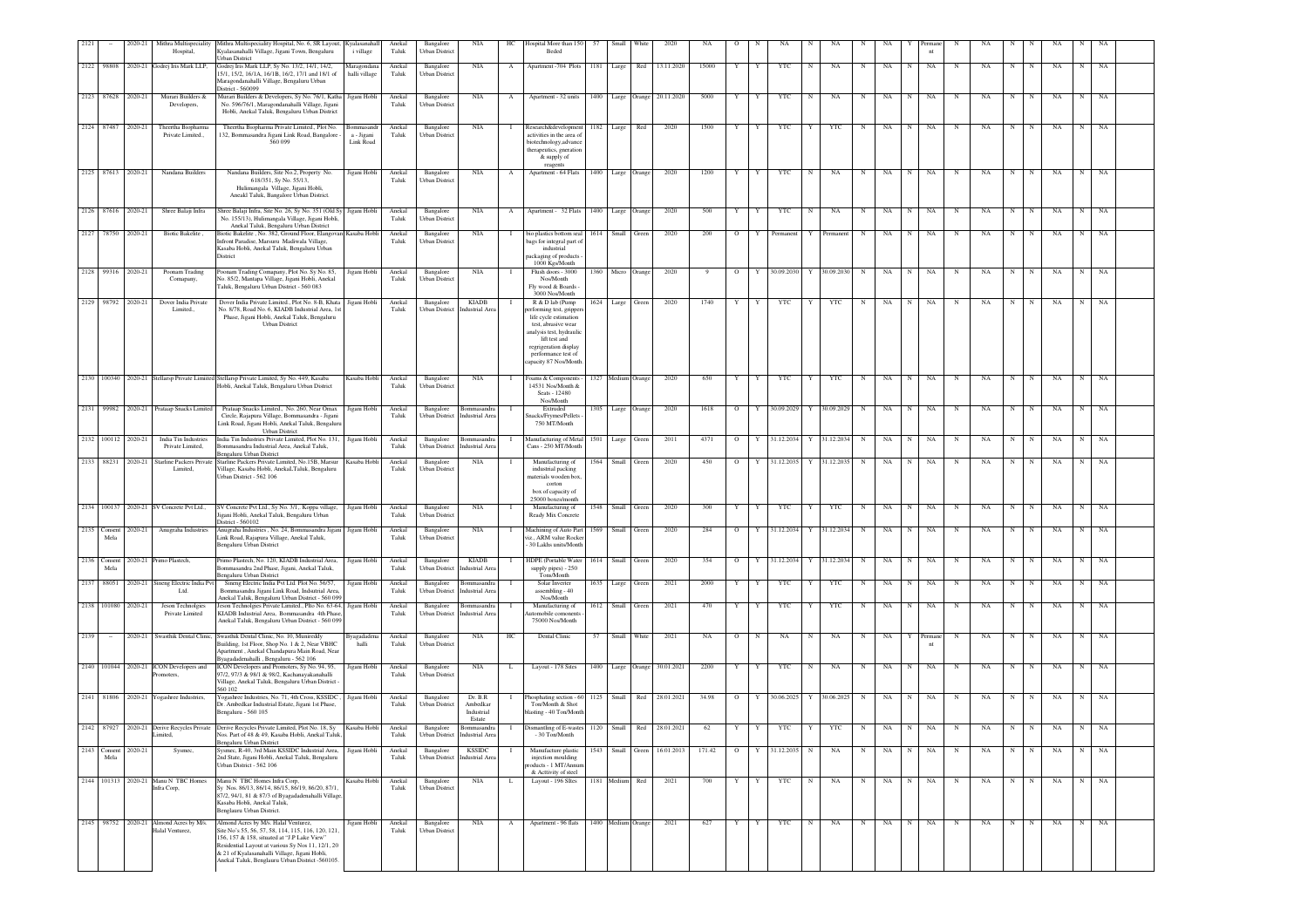| 2121 |                              | 2020-21             | Mithra Multispeciality<br>Hospital,                        | Mithra Multispeciality Hospital, No. 6, SR Layout,<br>Kyalasanahalli Village, Jigani Town, Bengaluru<br>Urban District                                                                                                                                                                             | Kyalasanaha<br>i village              | Anekal<br>Taluk | Bangalore<br><b>Urban District</b> | NIA                                           | HC           | Hospital More than 15<br>Beded                                                                                                                                                                                 | 57   | Small             | White              | 2020                         | NA     | $\circ$ | N | NA         |   | NA           |             | NA          |             | 'ermai<br>nt |            | NA          |            |   | NA        |   | NA          |  |
|------|------------------------------|---------------------|------------------------------------------------------------|----------------------------------------------------------------------------------------------------------------------------------------------------------------------------------------------------------------------------------------------------------------------------------------------------|---------------------------------------|-----------------|------------------------------------|-----------------------------------------------|--------------|----------------------------------------------------------------------------------------------------------------------------------------------------------------------------------------------------------------|------|-------------------|--------------------|------------------------------|--------|---------|---|------------|---|--------------|-------------|-------------|-------------|--------------|------------|-------------|------------|---|-----------|---|-------------|--|
| 2122 |                              |                     | 98808 2020-21 Godrej Iris Mark LLP,                        | Godrej Iris Mark LLP, Sy No. 13/2, 14/1, 14/2,<br>15/1, 15/2, 16/1A, 16/1B, 16/2, 17/1 and 18/1 of<br>Maragondanahalli Village, Bengaluru Urban<br>District - 560099                                                                                                                               | Maragondana<br>halli village          | Anckal<br>Taluk | Bangalore<br><b>Urban District</b> | <b>NIA</b>                                    |              | Apartment -704 Plots 1181 Large Red                                                                                                                                                                            |      |                   |                    | 13.11.2020                   | 15000  |         |   | YTC        |   | NA           |             | NA          | N           | NA           |            | NA          | N          |   | NA        |   | <b>NA</b>   |  |
|      |                              | 2123 87628 2020-21  | Murari Builders &<br>Developers,                           | Murari Builders & Developers, Sy No. 76/1, Katha<br>No. 596/76/1, Maragondanahalli Village, Jigani<br>Hobli, Anekal Taluk, Bengaluru Urban District                                                                                                                                                | Jigani Hobli                          | Anekal<br>Taluk | Bangalore<br><b>Urban Distric</b>  | <b>NIA</b>                                    | A            | Apartment - 32 units                                                                                                                                                                                           |      |                   | 1400 Large Orange  | 20.11.2020                   | 5000   |         |   | YTC        | N | NA           | N           | NA          | N           | NA           |            | NA          | N          |   | NA        |   | NA          |  |
|      |                              | 2124 87487 2020-21  | Theertha Biopharma<br>Private Limited.,                    | Theertha Biopharma Private Limited., Plot No.<br>132, Bommasandra Jigani Link Road, Bangalore<br>560 099                                                                                                                                                                                           | Bommasandı<br>a - Jigani<br>Link Road | Anekal<br>Taluk | Bangalore<br><b>Urban District</b> | NIA                                           |              | Research&development<br>activities in the area o<br>biotechnology, advance<br>therapeutics, gneratio<br>& supply of<br>reagents                                                                                |      | 1182 Large Red    |                    | 2020                         | 1500   |         |   | YTC        |   | YTC          | N           | NA          | N           | NA           | N          | NA          | N          | N | NA        | N | NA          |  |
|      |                              | 2125 87613 2020-21  | Nandana Builders                                           | Nandana Builders, Site No.2, Property No.<br>618/351. Sv No. 55/13.<br>Hulimangala Village, Jigani Hobli,<br>Aneakl Taluk, Bangalore Urban District.                                                                                                                                               | Jigani Hobli                          | Anckal<br>Taluk | Bangalore<br><b>Urban District</b> | <b>NIA</b>                                    | $\mathbf{A}$ | Apartment - 64 Flats                                                                                                                                                                                           |      | 1400 Large Orange |                    | 2020                         | 1200   | Y       | Y | <b>YTC</b> | N | NA           | N           | NA          | N           | NA           | $_{\rm N}$ | NA          | N          | N | NA        | N | NA          |  |
|      |                              | 2126 87616 2020-21  | Shree Balaji Infra                                         | Shree Balaji Infra, Site No. 26, Sy No. 351 (Old Sy<br>No. 155/13), Hulimangala Village, Jigani Hobli,<br>Anekal Taluk, Bengaluru Urban District                                                                                                                                                   | Jigani Hobli                          | Anckal<br>Taluk | Bangalore<br><b>Urban District</b> | NIA                                           | $\mathbf{A}$ | Apartment - 32 Flats 1400 Large Orange                                                                                                                                                                         |      |                   |                    | 2020                         | 500    |         |   | YTC        |   | NA           | N           | NA          | N           | NA           | N          | NA          | N          | N | NA        | N | NA          |  |
| 2127 |                              | 78750 2020-21       | Biotic Bakelite,                                           | Biotic Bakelite , No. 382, Ground Floor, Elangovan Kasaba Hobli<br>Infront Paradise, Marsuru Madiwala Village,<br>Kasaba Hobli, Anekal Taluk, Bengaluru Urban<br>District                                                                                                                          |                                       | Anekal<br>Taluk | Bangalore<br><b>Urban District</b> | NIA                                           |              | bio plastics bottom seal<br>bags for integral part of<br>industrial<br>packaging of products<br>1000 Kgs/Month                                                                                                 | 1614 | Small             | Green              | 2020                         | 200    | $\circ$ |   | Permanent  |   | Permanent    |             | NA          |             | NA           |            | NA          | N          |   | NA        |   | NA          |  |
|      |                              | 2128 99316 2020-21  | Poonam Trading<br>Comapany                                 | Poonam Trading Comapany, Plot No. Sy No. 85,<br>No. 85/2, Mantapa Village, Jigani Hobli, Anekal<br>Faluk, Bengaluru Urban District - 560 083                                                                                                                                                       | Jigani Hobli                          | Anckal<br>Taluk | Bangalore<br><b>Urban District</b> | NIA                                           |              | Flush doors - 3000<br>Nos/Month<br>Fly wood & Boards<br>3000 Nos/Month                                                                                                                                         |      | 1360 Micro Orang  |                    | 2020                         |        | $\circ$ |   | 30.09.2030 |   | 30.09.2030   |             | NA          |             | NA           |            | NA          | N          |   | NA        |   | NA          |  |
| 2129 |                              | 98792 2020-21       | Dover India Private<br>Limited.,                           | Dover India Private Limited., Plot No. 8-B, Khata<br>No. 8/78, Road No. 6, KIADB Industrial Area, 1st<br>Phase, Jigani Hobli, Anekal Taluk, Bengaluru<br><b>Urban District</b>                                                                                                                     | Jigani Hobli                          | Anekal<br>Taluk | Bangalore<br>Urban District        | KIADB<br>dustrial Are                         |              | R & D lab (Pump<br>rforming test, gripper<br>life cycle estimation<br>test, abrasive wear<br>analysis test, hydrauli<br>lift test and<br>regrigeration display<br>performance test of<br>capacity 87 Nos/Month | 1624 | Large             | Green              | 2020                         | 1740   |         |   | YTC        | Y | YTC          | N           | $_{\rm NA}$ | N           | NA           | N          | NA          | N          | N | NA        | N | $_{\rm NA}$ |  |
|      |                              |                     |                                                            | 2130 100340 2020-21 Stellarsp Private Limited Stellarsp Private Limited, Sy No. 449, Kasaba<br>Hobli, Anekal Taluk, Bengaluru Urban District                                                                                                                                                       | Kasaba Hobli                          | Anekal<br>Taluk | Bangalore<br><b>Urban District</b> | NIA                                           | $\mathbf{I}$ | Foams & Components -<br>14531 Nos/Month &<br>Seats - 12480                                                                                                                                                     |      |                   | 1327 Medium Orange | 2020                         | 650    | Y       | Y | YTC        | Y | YTC          | $_{\rm N}$  | NA          | N           | NA           | $_{\rm N}$ | NA          | N          | N | NA        | N | NA          |  |
|      |                              |                     | 2131 99982 2020-21 Prataap Snacks Limited                  | Prataap Snacks Limited., No. 260, Near Omax<br>Circle, Rajapura Village, Bommasandra - Jigani<br>Link Road, Jigani Hobli, Anekal Taluk, Bengaluru<br><b>Urban District</b>                                                                                                                         | Jigani Hobli                          | Anekal<br>Taluk | Bangalore<br><b>Urban District</b> | Bommasandra<br>ndustrial Are                  |              | Nos/Month<br>Extruded<br>acks/Frymes/Pellets<br>750 MT/Month                                                                                                                                                   |      | 1305 Large Orange |                    | 2020                         | 1618   | $\circ$ | Y | 30.09.2029 | Y | 30.09.2029   | N           | NA          | $_{\rm N}$  | NA           | N          | NA          | N          | N | NA        | N | NA          |  |
|      |                              | 2132 100112 2020-21 | India Tin Industries<br>Private Limited,                   | India Tin Industries Private Limited. Plot No. 131.<br>Bommasandra Industrial Area, Anekal Taluk,<br>Bengaluru Urban District                                                                                                                                                                      | Jigani Hobli                          | Anckal<br>Taluk | Bangalore<br><b>Urban District</b> | Bommasandra<br>Industrial Are                 |              | Manufacturing of Metal 1501 Large Green<br>Cans - 250 MT/Month                                                                                                                                                 |      |                   |                    | 2011                         | 4371   | $\circ$ | Y | 31.12.2034 |   | 31.12.2034   | N           | NA          | N           | NA           | - N        | NA          | N          | N | NA        |   | NA          |  |
|      |                              |                     | 2133 88231 2020-21 Starline Packers Private<br>Limited.    | Starline Packers Private Limited, No.15B, Marsur<br>Village, Kasaba Hobli, AnekaLTaluk, Bengaluru<br>Urban District - 562 106                                                                                                                                                                      | Kasaba Hobli                          | Anekal<br>Taluk | Bangalore<br><b>Urban District</b> | <b>NIA</b>                                    |              | Manufacturing of<br>industrial packing<br>naterials wooden box<br>corton<br>box of capacity of                                                                                                                 | 1564 | Small Green       |                    | 2020                         | 450    | $\circ$ | Y | 31.12.2035 |   | Y 31.12.2035 | N           | NA          | N           | NA           | N          | NA          | N          | N | NA.       | N | NA          |  |
|      |                              |                     | 2134 100137 2020-21 SV Concrete Pvt Ltd.,                  | SV Concrete Pvt Ltd., Sy No. 3/1,. Koppa village,<br>ligani Hobli, Anekal Taluk, Bengaluru Urban<br>District - 560102                                                                                                                                                                              | Jigani Hobli                          | Anekal<br>Taluk | Bangalore<br>Urban Distric         | NIA                                           |              | 25000 boxes/month<br>Manufacturing of<br>Ready Mix Concrete                                                                                                                                                    | 1548 |                   | Small Green        | 2020                         | 300    |         |   | <b>YTC</b> |   | <b>YTC</b>   | N           | NA          | N           | NA           | N          | NA          | N          | N | NA        | N | NA          |  |
| 2135 | Consent<br>Mela              | 2020-21             | Anugraha Industries                                        | Anugraha Industries, No. 24, Bommasandra Jigani<br>.ink Road, Rajapura Village, Anekal Taluk,<br>Bengaluru Urban District                                                                                                                                                                          | Jigani Hobli                          | Anekal<br>Taluk | Bangalore<br><b>Urban District</b> | NIA                                           |              | Machining of Auto Part<br>iz., ARM value Rocke<br>30 Lakhs units/Montl                                                                                                                                         |      | 1569 Small Green  |                    | 2020                         | 284    | $\circ$ | Y | 31.12.2034 |   | Y 31.12.2034 | N           | NA          | $_{\rm N}$  | NA           | N          | NA          | N          | N | NA        | N | NA          |  |
| 2136 | Consent<br>Mela              |                     | 2020-21 Primo Plastech,                                    | Primo Plastech, No. 120, KIADB Industrial Area,<br>ommasandra 2nd Phase, Jigani, Anekal Taluk,<br>engaluru Urban District                                                                                                                                                                          | Jigani Hobli                          | Anekal<br>Taluk | Bangalore<br><b>Urban District</b> | KIADB<br>ndustrial Are                        |              | HDPE (Portable Water<br>supply pipes) - 250<br>Tons/Month                                                                                                                                                      | 1614 |                   | Small Green        | 2020                         | 354    | $\circ$ | Y | 31.12.2034 |   | 31.12.2034   | N           | NA          | N           | NA           | N          | NA          | N          | N | NA        | N | $_{\rm NA}$ |  |
|      | 2137 88051                   |                     | 2020-21 Sineng Electric India Pvt<br>Ltd.                  | Sineng Electric India Pvt Ltd. Plot No. 56/57,<br>Bommasandra Jigani Link Road, Indsutrial Area,<br>Anekal Taluk, Bengaluru Urban District - 560 099                                                                                                                                               | Jigani Hobli                          | Anekal<br>Taluk | Bangalore<br><b>Urban District</b> | Bommasandra<br><b>Industrial Area</b>         |              | Solar Inverter<br>assembling - 40<br>Nos/Month                                                                                                                                                                 |      | 1635 Large Green  |                    | 2021                         | 2000   | Y       | Y | YTC        |   | YTC          | N           | NA          | $_{\rm N}$  | NA           | N          | NA          | N          | N | NA        | N | NA          |  |
|      |                              | 2138 101080 2020-21 | Jeson Technolgies<br>Private Limited                       | Jeson Technolgies Private Limited., Plto No. 63-64,<br>KIADB Industrial Area. Bommasandra 4th Phase<br>Anekal Taluk, Bengaluru Urban District - 560 099                                                                                                                                            | Jigani Hobli                          | Anckal<br>Taluk | Bangalore<br><b>Urban District</b> | Bommasandra<br><b>Industrial Area</b>         |              | Manufacturing of<br>utomobile comonent<br>75000 Nos/Month                                                                                                                                                      |      | 1612 Small Green  |                    | 2021                         | 470    | Y       | Y | <b>YTC</b> |   | <b>YTC</b>   | N           | NA          | N           | NA           | N          | $_{\rm NA}$ | N          | N | <b>NA</b> | N | NA          |  |
| 2139 |                              |                     | 2020-21 Swasthik Dental Clinic,                            | Swasthik Dental Clinic, No. 10, Munireddy<br>Building, 1st Floor, Shop No. 1 & 2, Near VBHC<br>Apartment , Anekal Chandapura Main Road, Near<br>Byagadadenahalli, Bengaluru - 562 106                                                                                                              | vagadadena<br>halli                   | Anekal<br>Taluk | Bangalore<br><b>Urban Distric</b>  | <b>NIA</b>                                    | HC           | Dental Clinic                                                                                                                                                                                                  | 57   | Small             | White              | 2021                         | NA     | $\circ$ | N | <b>NA</b>  | N | NA           | N           | NA          | Y           | Perman<br>nt | N          | NA          | N          | N | <b>NA</b> | N | NA          |  |
|      |                              |                     | 2140 101044 2020-21 ICON Developers and<br>Promoters,      | ICON Developers and Promoters, Sy No. 94, 95,<br>97/2, 97/3 & 98/1 & 98/2, Kachanayakanahalli<br>Village, Anekal Taluk, Bengaluru Urban District<br>560 102                                                                                                                                        | Jigani Hobli                          | Anekal<br>Taluk | Bangalore<br><b>Urban District</b> | <b>NIA</b>                                    | L            | Layout - 178 Sites                                                                                                                                                                                             |      |                   |                    | 1400 Large Orange 30.01.2021 | 2200   | Y       | Y | YTC        | N | NA           | N           | NA          | N           | NA           | N          | NA          | N          | N | NA        | N | NA          |  |
|      |                              |                     | 2141 81806 2020-21 Yogashree Industries,                   | Yogashree Industries, No. 71, 4th Cross, KSSIDC,<br>Dr. Ambedkar Industrial Estate, Jigani 1st Phase,<br>Bengaluru - 560 105                                                                                                                                                                       | Jigani Hobli                          | Anekal<br>Taluk | Bangalore<br><b>Urban District</b> | Dr. B.R<br>Ambedkar<br>Industrial<br>Estate   |              | Phosphating section - 60 1125 Small Red 28.01.2021<br>Ton/Month & Shot<br>blasting - 40 Ton/Mont                                                                                                               |      |                   |                    |                              | 34.98  | $\circ$ | Y | 30.06.2025 |   | Y 30.06.2025 | $\mathbf N$ | NA          | N           | NA           | N          | NA          | N          | N | NA        | N | NA          |  |
|      |                              |                     | Limited                                                    | 2142 87927 2020-21 Derive Recycles Private Derive Recycles Private Limited, Plot No. 18, Sy<br>Nos. Part of 48 & 49, Kasaba Hobli, Anekal Taluk,<br>Bengaluru Urban District                                                                                                                       | Kasaba Hobli                          | Anckal<br>Taluk | Bangalore                          | Bommasandra<br>Urban District Industrial Area |              | Dismantling of E-wastes 1120 Small Red 28.01.2021<br>- 30 Ton/Month                                                                                                                                            |      |                   |                    |                              | 62     |         |   | YTC        |   | <b>YTC</b>   | N           | NA          | $\mathbb N$ | NA           | $_{\rm N}$ | NA          | N          |   | NA        | N | NA          |  |
|      | 2143 Consent 2020-21<br>Mela |                     | Sysmec,                                                    | Sysmec, R-40, 3rd Main KSSIDC Industrial Area,<br>2nd State, Jigani Hobli, Anekal Taluk, Bengaluru<br>Urban District - 562 106                                                                                                                                                                     | Jigani Hobli                          | Anekal<br>Taluk | Bangalore<br><b>Urban District</b> | <b>KSSIDC</b><br>Industrial Are               | л.           | Manufacture plastic<br>injection moulding<br>roducts - 1 MT/Anni<br>& Acttivity of steel                                                                                                                       | 1543 |                   | Small Green        | 16.01.2013                   | 171.42 | $\circ$ |   | 31.12.2035 | N | NA           | N           | NA          | N           | NA           | N          | NA          | N          | N | NA        | N | NA          |  |
|      |                              |                     | 2144 101313 2020-21 Manu N TBC Homes<br>infra Corp,        | Manu N TBC Homes Infra Corp,<br>Sv Nos. 86/13, 86/14, 86/15, 86/19, 86/20, 87/1.<br>87/2, 94/1, 81 & 87/3 of Byagadadenahalli Village<br>Kasaba Hobli, Anekal Taluk,<br>Benglauru Urban District.                                                                                                  | Kasaba Hobli                          | Anekal<br>Taluk | Bangalore<br><b>Urban District</b> | <b>NIA</b>                                    | L            | Layout - 196 SItes                                                                                                                                                                                             |      | 1181 Medium Red   |                    | 2021                         | 700    | Y       | Y | <b>YTC</b> | N | NA           | N           | <b>NA</b>   | N           | <b>NA</b>    | $_{\rm N}$ | <b>NA</b>   | $_{\rm N}$ | N | NA        | N | NA          |  |
|      |                              |                     | 2145 98752 2020-21 Almond Acres by M/s.<br>Halal Venturez. | Almond Acres by M/s. Halal Venturez,<br>Site No's 55, 56, 57, 58, 114, 115, 116, 120, 121,<br>156, 157 & 158, situated at "J.P Lake View"<br>Residential Layout at various Sy Nos 11, 12/1, 20<br>& 21 of Kyalasanahalli Village, Jigani Hobli,<br>Anekal Taluk, Benglauru Urban District -560105. | Jigani Hobli                          | Anckal<br>Taluk | Bangalore<br><b>Urban District</b> | NIA                                           | A            | Apartment - 96 flats 1400 Medium Orange                                                                                                                                                                        |      |                   |                    | 2021                         | 627    | Y       | Y | YTC        | N | NA           | N           | NA          | $_{\rm N}$  | NA           | N          | NA          | N          | N | NA        | N | NA          |  |